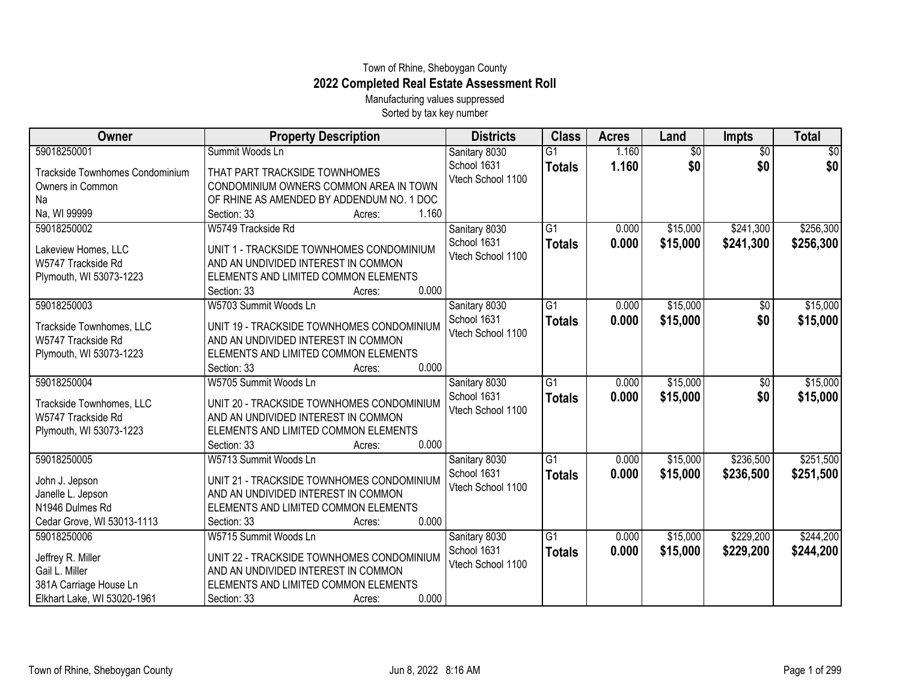## Town of Rhine, Sheboygan County **2022 Completed Real Estate Assessment Roll**

Manufacturing values suppressed Sorted by tax key number

| Owner                                                                                                       | <b>Property Description</b>                                                                                                                                                         | <b>Districts</b>                                  | <b>Class</b>                     | <b>Acres</b>   | Land                   | <b>Impts</b>           | <b>Total</b>           |
|-------------------------------------------------------------------------------------------------------------|-------------------------------------------------------------------------------------------------------------------------------------------------------------------------------------|---------------------------------------------------|----------------------------------|----------------|------------------------|------------------------|------------------------|
| 59018250001<br>Trackside Townhomes Condominium<br>Owners in Common<br>Na<br>Na, WI 99999                    | Summit Woods Ln<br>THAT PART TRACKSIDE TOWNHOMES<br>CONDOMINIUM OWNERS COMMON AREA IN TOWN<br>OF RHINE AS AMENDED BY ADDENDUM NO. 1 DOC<br>1.160<br>Section: 33<br>Acres:           | Sanitary 8030<br>School 1631<br>Vtech School 1100 | $\overline{G1}$<br><b>Totals</b> | 1.160<br>1.160 | $\overline{60}$<br>\$0 | $\overline{50}$<br>\$0 | \$0<br>\$0             |
| 59018250002<br>Lakeview Homes, LLC<br>W5747 Trackside Rd<br>Plymouth, WI 53073-1223                         | W5749 Trackside Rd<br>UNIT 1 - TRACKSIDE TOWNHOMES CONDOMINIUM<br>AND AN UNDIVIDED INTEREST IN COMMON<br>ELEMENTS AND LIMITED COMMON ELEMENTS<br>0.000<br>Section: 33<br>Acres:     | Sanitary 8030<br>School 1631<br>Vtech School 1100 | $\overline{G1}$<br><b>Totals</b> | 0.000<br>0.000 | \$15,000<br>\$15,000   | \$241,300<br>\$241,300 | \$256,300<br>\$256,300 |
| 59018250003<br>Trackside Townhomes, LLC<br>W5747 Trackside Rd<br>Plymouth, WI 53073-1223                    | W5703 Summit Woods Ln<br>UNIT 19 - TRACKSIDE TOWNHOMES CONDOMINIUM<br>AND AN UNDIVIDED INTEREST IN COMMON<br>ELEMENTS AND LIMITED COMMON ELEMENTS<br>0.000<br>Section: 33<br>Acres: | Sanitary 8030<br>School 1631<br>Vtech School 1100 | $\overline{G1}$<br><b>Totals</b> | 0.000<br>0.000 | \$15,000<br>\$15,000   | $\sqrt{$0}$<br>\$0     | \$15,000<br>\$15,000   |
| 59018250004<br>Trackside Townhomes, LLC<br>W5747 Trackside Rd<br>Plymouth, WI 53073-1223                    | W5705 Summit Woods Ln<br>UNIT 20 - TRACKSIDE TOWNHOMES CONDOMINIUM<br>AND AN UNDIVIDED INTEREST IN COMMON<br>ELEMENTS AND LIMITED COMMON ELEMENTS<br>0.000<br>Section: 33<br>Acres: | Sanitary 8030<br>School 1631<br>Vtech School 1100 | $\overline{G1}$<br><b>Totals</b> | 0.000<br>0.000 | \$15,000<br>\$15,000   | \$0<br>\$0             | \$15,000<br>\$15,000   |
| 59018250005<br>John J. Jepson<br>Janelle L. Jepson<br>N1946 Dulmes Rd<br>Cedar Grove, WI 53013-1113         | W5713 Summit Woods Ln<br>UNIT 21 - TRACKSIDE TOWNHOMES CONDOMINIUM<br>AND AN UNDIVIDED INTEREST IN COMMON<br>ELEMENTS AND LIMITED COMMON ELEMENTS<br>0.000<br>Section: 33<br>Acres: | Sanitary 8030<br>School 1631<br>Vtech School 1100 | $\overline{G1}$<br><b>Totals</b> | 0.000<br>0.000 | \$15,000<br>\$15,000   | \$236,500<br>\$236,500 | \$251,500<br>\$251,500 |
| 59018250006<br>Jeffrey R. Miller<br>Gail L. Miller<br>381A Carriage House Ln<br>Elkhart Lake, WI 53020-1961 | W5715 Summit Woods Ln<br>UNIT 22 - TRACKSIDE TOWNHOMES CONDOMINIUM<br>AND AN UNDIVIDED INTEREST IN COMMON<br>ELEMENTS AND LIMITED COMMON ELEMENTS<br>0.000<br>Section: 33<br>Acres: | Sanitary 8030<br>School 1631<br>Vtech School 1100 | $\overline{G1}$<br><b>Totals</b> | 0.000<br>0.000 | \$15,000<br>\$15,000   | \$229,200<br>\$229,200 | \$244,200<br>\$244,200 |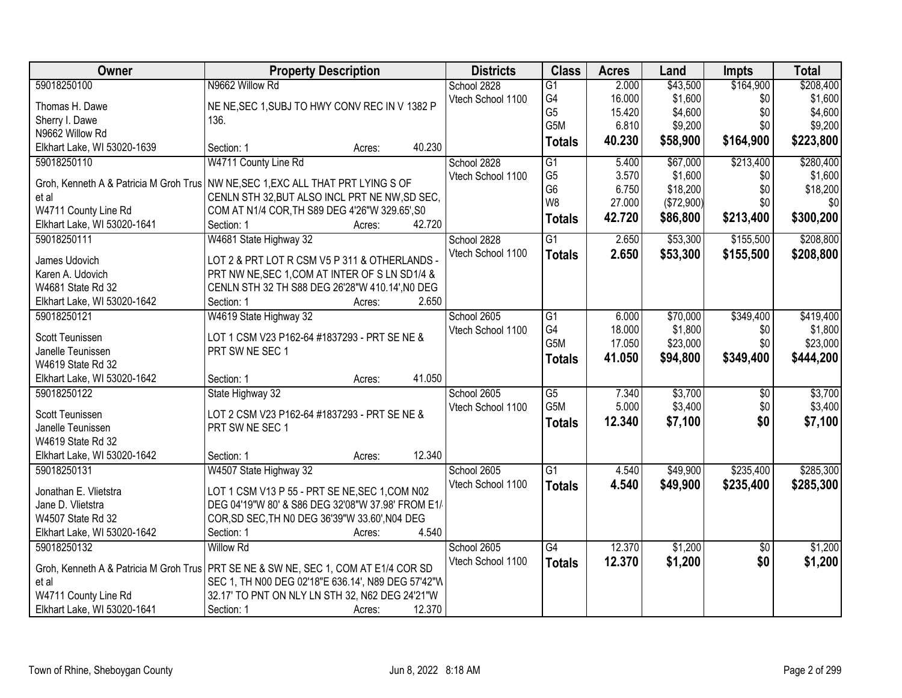| <b>Owner</b>                           | <b>Property Description</b>                                                           | <b>Districts</b>  | <b>Class</b>     | <b>Acres</b> | Land       | <b>Impts</b>    | <b>Total</b> |
|----------------------------------------|---------------------------------------------------------------------------------------|-------------------|------------------|--------------|------------|-----------------|--------------|
| 59018250100                            | N9662 Willow Rd                                                                       | School 2828       | $\overline{G1}$  | 2.000        | \$43,500   | \$164,900       | \$208,400    |
| Thomas H. Dawe                         | NE NE, SEC 1, SUBJ TO HWY CONV REC IN V 1382 P                                        | Vtech School 1100 | G4               | 16.000       | \$1,600    | \$0             | \$1,600      |
| Sherry I. Dawe                         | 136.                                                                                  |                   | G <sub>5</sub>   | 15.420       | \$4,600    | \$0             | \$4,600      |
| N9662 Willow Rd                        |                                                                                       |                   | G5M              | 6.810        | \$9,200    | \$0             | \$9,200      |
| Elkhart Lake, WI 53020-1639            | 40.230<br>Section: 1<br>Acres:                                                        |                   | <b>Totals</b>    | 40.230       | \$58,900   | \$164,900       | \$223,800    |
| 59018250110                            | W4711 County Line Rd                                                                  | School 2828       | $\overline{G1}$  | 5.400        | \$67,000   | \$213,400       | \$280,400    |
|                                        |                                                                                       | Vtech School 1100 | G <sub>5</sub>   | 3.570        | \$1,600    | \$0             | \$1,600      |
| Groh, Kenneth A & Patricia M Groh Trus | NW NE, SEC 1, EXC ALL THAT PRT LYING S OF                                             |                   | G <sub>6</sub>   | 6.750        | \$18,200   | \$0             | \$18,200     |
| et al                                  | CENLN STH 32, BUT ALSO INCL PRT NE NW, SD SEC,                                        |                   | W8               | 27.000       | (\$72,900) | \$0             | \$0          |
| W4711 County Line Rd                   | COM AT N1/4 COR, TH S89 DEG 4'26"W 329.65', S0<br>42.720                              |                   | <b>Totals</b>    | 42.720       | \$86,800   | \$213,400       | \$300,200    |
| Elkhart Lake, WI 53020-1641            | Section: 1<br>Acres:                                                                  |                   |                  |              |            |                 |              |
| 59018250111                            | W4681 State Highway 32                                                                | School 2828       | $\overline{G1}$  | 2.650        | \$53,300   | \$155,500       | \$208,800    |
| James Udovich                          | LOT 2 & PRT LOT R CSM V5 P 311 & OTHERLANDS -                                         | Vtech School 1100 | <b>Totals</b>    | 2.650        | \$53,300   | \$155,500       | \$208,800    |
| Karen A. Udovich                       | PRT NW NE, SEC 1, COM AT INTER OF S LN SD1/4 &                                        |                   |                  |              |            |                 |              |
| W4681 State Rd 32                      | CENLN STH 32 TH S88 DEG 26'28"W 410.14', NO DEG                                       |                   |                  |              |            |                 |              |
| Elkhart Lake, WI 53020-1642            | 2.650<br>Section: 1<br>Acres:                                                         |                   |                  |              |            |                 |              |
| 59018250121                            | W4619 State Highway 32                                                                | School 2605       | G1               | 6.000        | \$70,000   | \$349,400       | \$419,400    |
|                                        |                                                                                       | Vtech School 1100 | G4               | 18.000       | \$1,800    | \$0             | \$1,800      |
| Scott Teunissen                        | LOT 1 CSM V23 P162-64 #1837293 - PRT SE NE &                                          |                   | G5M              | 17.050       | \$23,000   | \$0             | \$23,000     |
| Janelle Teunissen<br>W4619 State Rd 32 | PRT SW NE SEC 1                                                                       |                   | <b>Totals</b>    | 41.050       | \$94,800   | \$349,400       | \$444,200    |
| Elkhart Lake, WI 53020-1642            | 41.050<br>Section: 1                                                                  |                   |                  |              |            |                 |              |
| 59018250122                            | Acres:<br>State Highway 32                                                            | School 2605       | $\overline{G5}$  | 7.340        | \$3,700    | $\overline{50}$ | \$3,700      |
|                                        |                                                                                       |                   | G <sub>5</sub> M | 5.000        | \$3,400    | \$0             | \$3,400      |
| Scott Teunissen                        | LOT 2 CSM V23 P162-64 #1837293 - PRT SE NE &                                          | Vtech School 1100 |                  | 12.340       |            | \$0             |              |
| Janelle Teunissen                      | PRT SW NE SEC 1                                                                       |                   | <b>Totals</b>    |              | \$7,100    |                 | \$7,100      |
| W4619 State Rd 32                      |                                                                                       |                   |                  |              |            |                 |              |
| Elkhart Lake, WI 53020-1642            | 12.340<br>Section: 1<br>Acres:                                                        |                   |                  |              |            |                 |              |
| 59018250131                            | W4507 State Highway 32                                                                | School 2605       | $\overline{G1}$  | 4.540        | \$49,900   | \$235,400       | \$285,300    |
| Jonathan E. Vlietstra                  | LOT 1 CSM V13 P 55 - PRT SE NE, SEC 1, COM N02                                        | Vtech School 1100 | <b>Totals</b>    | 4.540        | \$49,900   | \$235,400       | \$285,300    |
| Jane D. Vlietstra                      | DEG 04'19"W 80' & S86 DEG 32'08"W 37.98' FROM E1/                                     |                   |                  |              |            |                 |              |
| W4507 State Rd 32                      | COR, SD SEC, TH N0 DEG 36'39"W 33.60', N04 DEG                                        |                   |                  |              |            |                 |              |
| Elkhart Lake, WI 53020-1642            | Section: 1<br>4.540<br>Acres:                                                         |                   |                  |              |            |                 |              |
| 59018250132                            | <b>Willow Rd</b>                                                                      | School 2605       | G4               | 12.370       | \$1,200    | $\overline{30}$ | \$1,200      |
|                                        |                                                                                       | Vtech School 1100 | <b>Totals</b>    | 12.370       | \$1,200    | \$0             | \$1,200      |
|                                        | Groh, Kenneth A & Patricia M Groh Trus   PRT SE NE & SW NE, SEC 1, COM AT E1/4 COR SD |                   |                  |              |            |                 |              |
| et al                                  | SEC 1, TH N00 DEG 02'18"E 636.14', N89 DEG 57'42"W                                    |                   |                  |              |            |                 |              |
| W4711 County Line Rd                   | 32.17' TO PNT ON NLY LN STH 32, N62 DEG 24'21"W                                       |                   |                  |              |            |                 |              |
| Elkhart Lake, WI 53020-1641            | Section: 1<br>12.370<br>Acres:                                                        |                   |                  |              |            |                 |              |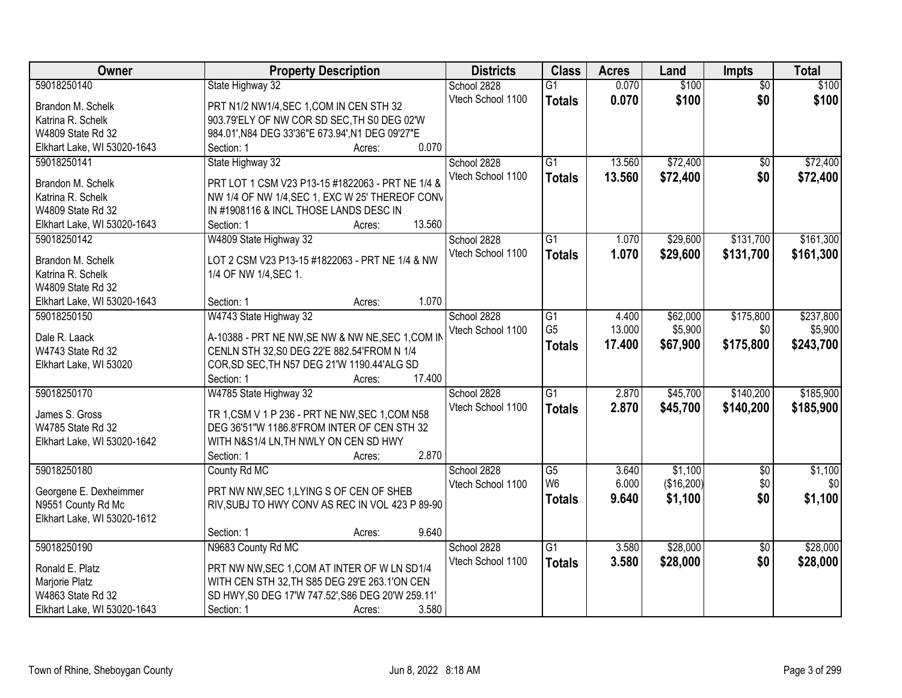| Owner                       | <b>Property Description</b>                       | <b>Districts</b>  | <b>Class</b>    | <b>Acres</b> | Land       | <b>Impts</b>    | <b>Total</b> |
|-----------------------------|---------------------------------------------------|-------------------|-----------------|--------------|------------|-----------------|--------------|
| 59018250140                 | State Highway 32                                  | School 2828       | $\overline{G1}$ | 0.070        | \$100      | $\overline{50}$ | \$100        |
| Brandon M. Schelk           | PRT N1/2 NW1/4, SEC 1, COM IN CEN STH 32          | Vtech School 1100 | <b>Totals</b>   | 0.070        | \$100      | \$0             | \$100        |
| Katrina R. Schelk           | 903.79'ELY OF NW COR SD SEC, TH S0 DEG 02'W       |                   |                 |              |            |                 |              |
| W4809 State Rd 32           | 984.01', N84 DEG 33'36"E 673.94', N1 DEG 09'27"E  |                   |                 |              |            |                 |              |
| Elkhart Lake, WI 53020-1643 | 0.070<br>Section: 1<br>Acres:                     |                   |                 |              |            |                 |              |
| 59018250141                 | State Highway 32                                  | School 2828       | $\overline{G1}$ | 13.560       | \$72,400   | \$0             | \$72,400     |
|                             |                                                   | Vtech School 1100 | <b>Totals</b>   | 13.560       | \$72,400   | \$0             | \$72,400     |
| Brandon M. Schelk           | PRT LOT 1 CSM V23 P13-15 #1822063 - PRT NE 1/4 &  |                   |                 |              |            |                 |              |
| Katrina R. Schelk           | NW 1/4 OF NW 1/4, SEC 1, EXC W 25' THEREOF CONV   |                   |                 |              |            |                 |              |
| W4809 State Rd 32           | IN #1908116 & INCL THOSE LANDS DESC IN            |                   |                 |              |            |                 |              |
| Elkhart Lake, WI 53020-1643 | 13.560<br>Section: 1<br>Acres:                    |                   |                 |              |            |                 |              |
| 59018250142                 | W4809 State Highway 32                            | School 2828       | G1              | 1.070        | \$29,600   | \$131,700       | \$161,300    |
| Brandon M. Schelk           | LOT 2 CSM V23 P13-15 #1822063 - PRT NE 1/4 & NW   | Vtech School 1100 | <b>Totals</b>   | 1.070        | \$29,600   | \$131,700       | \$161,300    |
| Katrina R. Schelk           | 1/4 OF NW 1/4, SEC 1.                             |                   |                 |              |            |                 |              |
| W4809 State Rd 32           |                                                   |                   |                 |              |            |                 |              |
| Elkhart Lake, WI 53020-1643 | 1.070<br>Section: 1<br>Acres:                     |                   |                 |              |            |                 |              |
| 59018250150                 | W4743 State Highway 32                            | School 2828       | G1              | 4.400        | \$62,000   | \$175,800       | \$237,800    |
|                             |                                                   | Vtech School 1100 | G <sub>5</sub>  | 13.000       | \$5,900    | \$0             | \$5,900      |
| Dale R. Laack               | A-10388 - PRT NE NW, SE NW & NW NE, SEC 1, COM IN |                   | <b>Totals</b>   | 17.400       | \$67,900   | \$175,800       | \$243,700    |
| W4743 State Rd 32           | CENLN STH 32, S0 DEG 22'E 882.54'FROM N 1/4       |                   |                 |              |            |                 |              |
| Elkhart Lake, WI 53020      | COR, SD SEC, TH N57 DEG 21'W 1190.44'ALG SD       |                   |                 |              |            |                 |              |
|                             | 17.400<br>Section: 1<br>Acres:                    |                   |                 |              |            |                 |              |
| 59018250170                 | W4785 State Highway 32                            | School 2828       | $\overline{G1}$ | 2.870        | \$45,700   | \$140,200       | \$185,900    |
| James S. Gross              | TR 1, CSM V 1 P 236 - PRT NE NW, SEC 1, COM N58   | Vtech School 1100 | <b>Totals</b>   | 2.870        | \$45,700   | \$140,200       | \$185,900    |
| W4785 State Rd 32           | DEG 36'51"W 1186.8'FROM INTER OF CEN STH 32       |                   |                 |              |            |                 |              |
| Elkhart Lake, WI 53020-1642 | WITH N&S1/4 LN, TH NWLY ON CEN SD HWY             |                   |                 |              |            |                 |              |
|                             | 2.870<br>Section: 1<br>Acres:                     |                   |                 |              |            |                 |              |
| 59018250180                 | County Rd MC                                      | School 2828       | $\overline{G5}$ | 3.640        | \$1,100    | $\overline{60}$ | \$1,100      |
|                             |                                                   | Vtech School 1100 | W <sub>6</sub>  | 6.000        | (\$16,200) | \$0             | \$0          |
| Georgene E. Dexheimmer      | PRT NW NW, SEC 1, LYING S OF CEN OF SHEB          |                   | <b>Totals</b>   | 9.640        | \$1,100    | \$0             | \$1,100      |
| N9551 County Rd Mc          | RIV, SUBJ TO HWY CONV AS REC IN VOL 423 P 89-90   |                   |                 |              |            |                 |              |
| Elkhart Lake, WI 53020-1612 |                                                   |                   |                 |              |            |                 |              |
|                             | 9.640<br>Section: 1<br>Acres:                     |                   |                 |              |            |                 |              |
| 59018250190                 | N9683 County Rd MC                                | School 2828       | $\overline{G1}$ | 3.580        | \$28,000   | $\overline{50}$ | \$28,000     |
| Ronald E. Platz             | PRT NW NW, SEC 1, COM AT INTER OF W LN SD1/4      | Vtech School 1100 | <b>Totals</b>   | 3.580        | \$28,000   | \$0             | \$28,000     |
| Marjorie Platz              | WITH CEN STH 32, TH S85 DEG 29'E 263.1'ON CEN     |                   |                 |              |            |                 |              |
| W4863 State Rd 32           | SD HWY, S0 DEG 17'W 747.52', S86 DEG 20'W 259.11' |                   |                 |              |            |                 |              |
| Elkhart Lake, WI 53020-1643 | 3.580<br>Section: 1<br>Acres:                     |                   |                 |              |            |                 |              |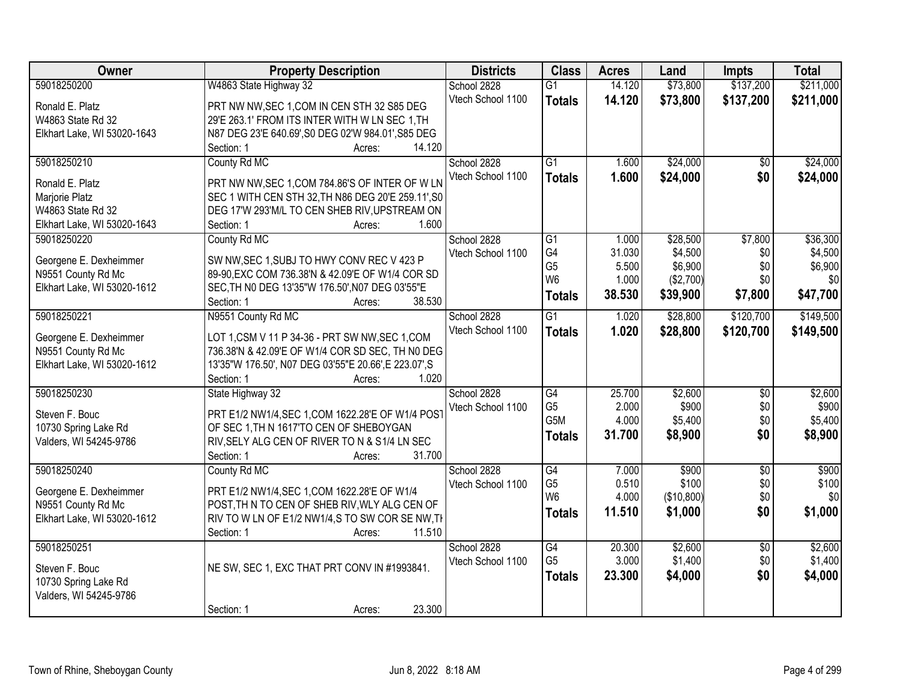| Owner                       | <b>Property Description</b>                           | <b>Districts</b>  | <b>Class</b>    | <b>Acres</b> | Land       | <b>Impts</b>    | <b>Total</b> |
|-----------------------------|-------------------------------------------------------|-------------------|-----------------|--------------|------------|-----------------|--------------|
| 59018250200                 | W4863 State Highway 32                                | School 2828       | $\overline{G1}$ | 14.120       | \$73,800   | \$137,200       | \$211,000    |
| Ronald E. Platz             | PRT NW NW, SEC 1, COM IN CEN STH 32 S85 DEG           | Vtech School 1100 | <b>Totals</b>   | 14.120       | \$73,800   | \$137,200       | \$211,000    |
| W4863 State Rd 32           | 29'E 263.1' FROM ITS INTER WITH W LN SEC 1, TH        |                   |                 |              |            |                 |              |
| Elkhart Lake, WI 53020-1643 | N87 DEG 23'E 640.69', S0 DEG 02'W 984.01', S85 DEG    |                   |                 |              |            |                 |              |
|                             | 14.120<br>Section: 1<br>Acres:                        |                   |                 |              |            |                 |              |
| 59018250210                 | County Rd MC                                          | School 2828       | $\overline{G1}$ | 1.600        | \$24,000   | \$0             | \$24,000     |
|                             |                                                       | Vtech School 1100 | <b>Totals</b>   | 1.600        | \$24,000   | \$0             | \$24,000     |
| Ronald E. Platz             | PRT NW NW, SEC 1, COM 784.86'S OF INTER OF WLN        |                   |                 |              |            |                 |              |
| Marjorie Platz              | SEC 1 WITH CEN STH 32, TH N86 DEG 20'E 259.11', S0    |                   |                 |              |            |                 |              |
| W4863 State Rd 32           | DEG 17'W 293'M/L TO CEN SHEB RIV, UPSTREAM ON         |                   |                 |              |            |                 |              |
| Elkhart Lake, WI 53020-1643 | 1.600<br>Section: 1<br>Acres:                         |                   |                 |              |            |                 |              |
| 59018250220                 | County Rd MC                                          | School 2828       | G1              | 1.000        | \$28,500   | \$7,800         | \$36,300     |
| Georgene E. Dexheimmer      | SW NW, SEC 1, SUBJ TO HWY CONV REC V 423 P            | Vtech School 1100 | G4              | 31.030       | \$4,500    | \$0             | \$4,500      |
| N9551 County Rd Mc          | 89-90, EXC COM 736.38'N & 42.09'E OF W1/4 COR SD      |                   | G <sub>5</sub>  | 5.500        | \$6,900    | \$0             | \$6,900      |
| Elkhart Lake, WI 53020-1612 | SEC, TH NO DEG 13'35"W 176.50', N07 DEG 03'55"E       |                   | W <sub>6</sub>  | 1.000        | (\$2,700)  | \$0             | \$0          |
|                             | Section: 1<br>38.530<br>Acres:                        |                   | <b>Totals</b>   | 38.530       | \$39,900   | \$7,800         | \$47,700     |
| 59018250221                 | N9551 County Rd MC                                    | School 2828       | G1              | 1.020        | \$28,800   | \$120,700       | \$149,500    |
|                             |                                                       | Vtech School 1100 | <b>Totals</b>   | 1.020        | \$28,800   | \$120,700       | \$149,500    |
| Georgene E. Dexheimmer      | LOT 1, CSM V 11 P 34-36 - PRT SW NW, SEC 1, COM       |                   |                 |              |            |                 |              |
| N9551 County Rd Mc          | 736.38'N & 42.09'E OF W1/4 COR SD SEC, TH N0 DEG      |                   |                 |              |            |                 |              |
| Elkhart Lake, WI 53020-1612 | 13'35"W 176.50', N07 DEG 03'55"E 20.66', E 223.07', S |                   |                 |              |            |                 |              |
|                             | 1.020<br>Section: 1<br>Acres:                         |                   |                 |              |            |                 |              |
| 59018250230                 | State Highway 32                                      | School 2828       | $\overline{G4}$ | 25.700       | \$2,600    | $\overline{50}$ | \$2,600      |
| Steven F. Bouc              | PRT E1/2 NW1/4, SEC 1, COM 1622.28'E OF W1/4 POS'     | Vtech School 1100 | G <sub>5</sub>  | 2.000        | \$900      | \$0             | \$900        |
| 10730 Spring Lake Rd        | OF SEC 1, TH N 1617'TO CEN OF SHEBOYGAN               |                   | G5M             | 4.000        | \$5,400    | \$0             | \$5,400      |
| Valders, WI 54245-9786      | RIV, SELY ALG CEN OF RIVER TO N & S1/4 LN SEC         |                   | <b>Totals</b>   | 31.700       | \$8,900    | \$0             | \$8,900      |
|                             | 31.700<br>Section: 1<br>Acres:                        |                   |                 |              |            |                 |              |
| 59018250240                 | County Rd MC                                          | School 2828       | G4              | 7.000        | \$900      | $\overline{50}$ | \$900        |
|                             |                                                       | Vtech School 1100 | G <sub>5</sub>  | 0.510        | \$100      | \$0             | \$100        |
| Georgene E. Dexheimmer      | PRT E1/2 NW1/4, SEC 1, COM 1622.28'E OF W1/4          |                   | W <sub>6</sub>  | 4.000        | (\$10,800) | \$0             | \$0          |
| N9551 County Rd Mc          | POST, TH N TO CEN OF SHEB RIV, WLY ALG CEN OF         |                   | <b>Totals</b>   | 11.510       | \$1,000    | \$0             | \$1,000      |
| Elkhart Lake, WI 53020-1612 | RIV TO W LN OF E1/2 NW1/4,S TO SW COR SE NW, TH       |                   |                 |              |            |                 |              |
|                             | 11.510<br>Section: 1<br>Acres:                        |                   |                 |              |            |                 |              |
| 59018250251                 |                                                       | School 2828       | $\overline{G4}$ | 20.300       | \$2,600    | $\overline{50}$ | \$2,600      |
| Steven F. Bouc              | NE SW, SEC 1, EXC THAT PRT CONV IN #1993841.          | Vtech School 1100 | G <sub>5</sub>  | 3.000        | \$1,400    | \$0             | \$1,400      |
| 10730 Spring Lake Rd        |                                                       |                   | <b>Totals</b>   | 23.300       | \$4,000    | \$0             | \$4,000      |
| Valders, WI 54245-9786      |                                                       |                   |                 |              |            |                 |              |
|                             | 23.300<br>Section: 1<br>Acres:                        |                   |                 |              |            |                 |              |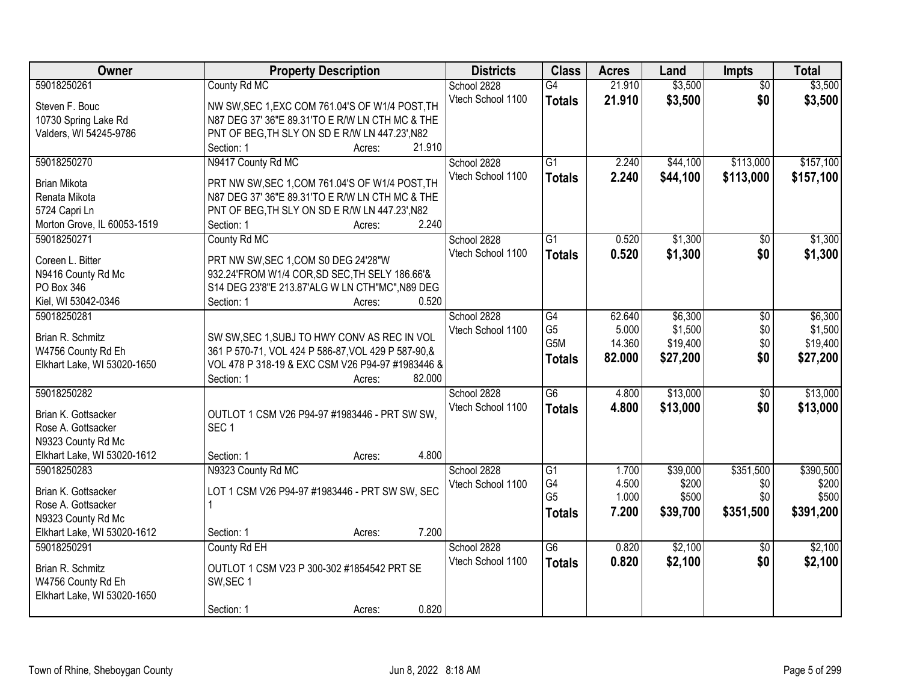| Owner                       | <b>Property Description</b>                             | <b>Districts</b>  | <b>Class</b>     | <b>Acres</b> | Land     | <b>Impts</b>    | <b>Total</b> |
|-----------------------------|---------------------------------------------------------|-------------------|------------------|--------------|----------|-----------------|--------------|
| 59018250261                 | County Rd MC                                            | School 2828       | G4               | 21.910       | \$3,500  | $\overline{50}$ | \$3,500      |
| Steven F. Bouc              | NW SW, SEC 1, EXC COM 761.04'S OF W1/4 POST, TH         | Vtech School 1100 | <b>Totals</b>    | 21.910       | \$3,500  | \$0             | \$3,500      |
| 10730 Spring Lake Rd        | N87 DEG 37' 36"E 89.31'TO E R/W LN CTH MC & THE         |                   |                  |              |          |                 |              |
| Valders, WI 54245-9786      | PNT OF BEG, TH SLY ON SD E R/W LN 447.23', N82          |                   |                  |              |          |                 |              |
|                             | 21.910<br>Section: 1<br>Acres:                          |                   |                  |              |          |                 |              |
| 59018250270                 | N9417 County Rd MC                                      | School 2828       | $\overline{G1}$  | 2.240        | \$44,100 | \$113,000       | \$157,100    |
|                             |                                                         | Vtech School 1100 | <b>Totals</b>    | 2.240        | \$44,100 | \$113,000       | \$157,100    |
| <b>Brian Mikota</b>         | PRT NW SW, SEC 1, COM 761.04'S OF W1/4 POST, TH         |                   |                  |              |          |                 |              |
| Renata Mikota               | N87 DEG 37' 36"E 89.31'TO E R/W LN CTH MC & THE         |                   |                  |              |          |                 |              |
| 5724 Capri Ln               | PNT OF BEG, TH SLY ON SD E R/W LN 447.23', N82<br>2.240 |                   |                  |              |          |                 |              |
| Morton Grove, IL 60053-1519 | Section: 1<br>Acres:                                    |                   |                  |              |          |                 |              |
| 59018250271                 | County Rd MC                                            | School 2828       | $\overline{G1}$  | 0.520        | \$1,300  | $\sqrt[6]{}$    | \$1,300      |
| Coreen L. Bitter            | PRT NW SW, SEC 1, COM S0 DEG 24'28"W                    | Vtech School 1100 | <b>Totals</b>    | 0.520        | \$1,300  | \$0             | \$1,300      |
| N9416 County Rd Mc          | 932.24'FROM W1/4 COR, SD SEC, TH SELY 186.66'&          |                   |                  |              |          |                 |              |
| PO Box 346                  | S14 DEG 23'8"E 213.87'ALG W LN CTH"MC", N89 DEG         |                   |                  |              |          |                 |              |
| Kiel, WI 53042-0346         | 0.520<br>Section: 1<br>Acres:                           |                   |                  |              |          |                 |              |
| 59018250281                 |                                                         | School 2828       | G4               | 62.640       | \$6,300  | \$0             | \$6,300      |
| Brian R. Schmitz            | SW SW, SEC 1, SUBJ TO HWY CONV AS REC IN VOL            | Vtech School 1100 | G <sub>5</sub>   | 5.000        | \$1,500  | \$0             | \$1,500      |
| W4756 County Rd Eh          | 361 P 570-71, VOL 424 P 586-87, VOL 429 P 587-90, &     |                   | G <sub>5</sub> M | 14.360       | \$19,400 | \$0             | \$19,400     |
| Elkhart Lake, WI 53020-1650 | VOL 478 P 318-19 & EXC CSM V26 P94-97 #1983446 &        |                   | <b>Totals</b>    | 82.000       | \$27,200 | \$0             | \$27,200     |
|                             | 82.000<br>Section: 1<br>Acres:                          |                   |                  |              |          |                 |              |
| 59018250282                 |                                                         | School 2828       | $\overline{G6}$  | 4.800        | \$13,000 | $\overline{60}$ | \$13,000     |
|                             |                                                         | Vtech School 1100 | <b>Totals</b>    | 4.800        | \$13,000 | \$0             | \$13,000     |
| Brian K. Gottsacker         | OUTLOT 1 CSM V26 P94-97 #1983446 - PRT SW SW,           |                   |                  |              |          |                 |              |
| Rose A. Gottsacker          | SEC <sub>1</sub>                                        |                   |                  |              |          |                 |              |
| N9323 County Rd Mc          |                                                         |                   |                  |              |          |                 |              |
| Elkhart Lake, WI 53020-1612 | 4.800<br>Section: 1<br>Acres:                           |                   |                  |              |          |                 |              |
| 59018250283                 | N9323 County Rd MC                                      | School 2828       | $\overline{G1}$  | 1.700        | \$39,000 | \$351,500       | \$390,500    |
| Brian K. Gottsacker         | LOT 1 CSM V26 P94-97 #1983446 - PRT SW SW, SEC          | Vtech School 1100 | G4               | 4.500        | \$200    | \$0             | \$200        |
| Rose A. Gottsacker          |                                                         |                   | G <sub>5</sub>   | 1.000        | \$500    | \$0             | \$500        |
| N9323 County Rd Mc          |                                                         |                   | <b>Totals</b>    | 7.200        | \$39,700 | \$351,500       | \$391,200    |
| Elkhart Lake, WI 53020-1612 | 7.200<br>Section: 1<br>Acres:                           |                   |                  |              |          |                 |              |
| 59018250291                 | County Rd EH                                            | School 2828       | G6               | 0.820        | \$2,100  | $\overline{50}$ | \$2,100      |
|                             |                                                         | Vtech School 1100 | <b>Totals</b>    | 0.820        | \$2,100  | \$0             | \$2,100      |
| Brian R. Schmitz            | OUTLOT 1 CSM V23 P 300-302 #1854542 PRT SE              |                   |                  |              |          |                 |              |
| W4756 County Rd Eh          | SW, SEC 1                                               |                   |                  |              |          |                 |              |
| Elkhart Lake, WI 53020-1650 |                                                         |                   |                  |              |          |                 |              |
|                             | 0.820<br>Section: 1<br>Acres:                           |                   |                  |              |          |                 |              |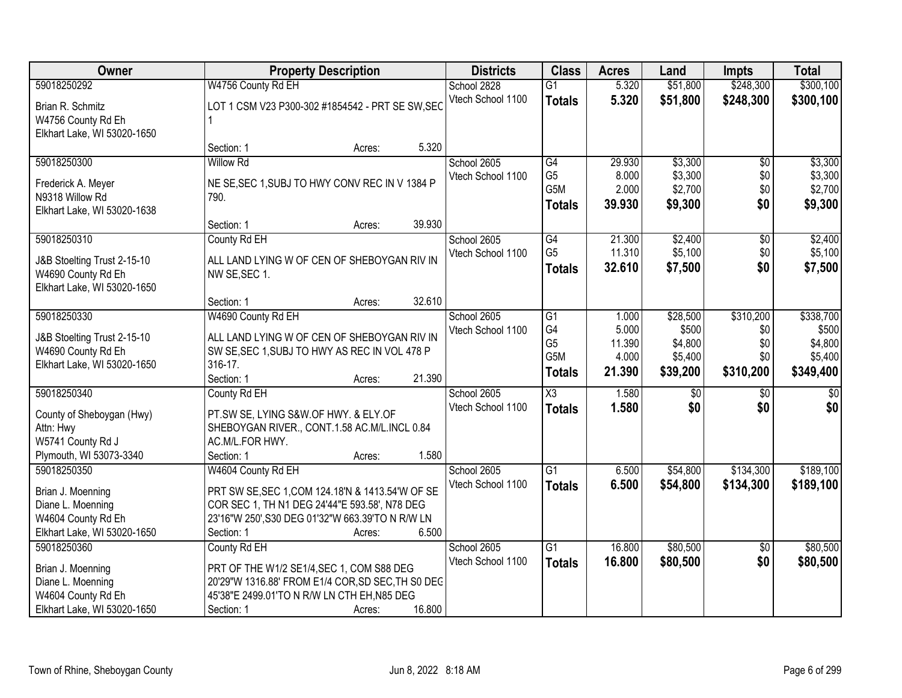| Owner                                                                                                 | <b>Property Description</b>                                                                                                                                         |                  | <b>Districts</b>                 | <b>Class</b>                                 | <b>Acres</b>                       | Land                                    | <b>Impts</b>                   | <b>Total</b>                             |
|-------------------------------------------------------------------------------------------------------|---------------------------------------------------------------------------------------------------------------------------------------------------------------------|------------------|----------------------------------|----------------------------------------------|------------------------------------|-----------------------------------------|--------------------------------|------------------------------------------|
| 59018250292                                                                                           | W4756 County Rd EH                                                                                                                                                  |                  | School 2828                      | $\overline{G1}$                              | 5.320                              | \$51,800                                | \$248,300                      | \$300,100                                |
| Brian R. Schmitz<br>W4756 County Rd Eh<br>Elkhart Lake, WI 53020-1650                                 | LOT 1 CSM V23 P300-302 #1854542 - PRT SE SW, SEC                                                                                                                    |                  | Vtech School 1100                | <b>Totals</b>                                | 5.320                              | \$51,800                                | \$248,300                      | \$300,100                                |
|                                                                                                       | Section: 1                                                                                                                                                          | 5.320<br>Acres:  |                                  |                                              |                                    |                                         |                                |                                          |
| 59018250300                                                                                           | <b>Willow Rd</b><br>NE SE, SEC 1, SUBJ TO HWY CONV REC IN V 1384 P                                                                                                  |                  | School 2605<br>Vtech School 1100 | G4<br>G <sub>5</sub>                         | 29.930<br>8.000                    | \$3,300<br>\$3,300                      | \$0<br>\$0                     | \$3,300<br>\$3,300                       |
| Frederick A. Meyer<br>N9318 Willow Rd<br>Elkhart Lake, WI 53020-1638                                  | 790.                                                                                                                                                                |                  |                                  | G5M<br><b>Totals</b>                         | 2.000<br>39.930                    | \$2,700<br>\$9,300                      | \$0<br>\$0                     | \$2,700<br>\$9,300                       |
|                                                                                                       | Section: 1                                                                                                                                                          | 39.930<br>Acres: |                                  |                                              |                                    |                                         |                                |                                          |
| 59018250310                                                                                           | County Rd EH                                                                                                                                                        |                  | School 2605                      | G4                                           | 21.300                             | \$2,400                                 | \$0                            | \$2,400                                  |
| J&B Stoelting Trust 2-15-10<br>W4690 County Rd Eh<br>Elkhart Lake, WI 53020-1650                      | ALL LAND LYING W OF CEN OF SHEBOYGAN RIV IN<br>NW SE, SEC 1.                                                                                                        |                  | Vtech School 1100                | G <sub>5</sub><br><b>Totals</b>              | 11.310<br>32.610                   | \$5,100<br>\$7,500                      | \$0<br>\$0                     | \$5,100<br>\$7,500                       |
|                                                                                                       | Section: 1                                                                                                                                                          | 32.610<br>Acres: |                                  |                                              |                                    |                                         |                                |                                          |
| 59018250330                                                                                           | W4690 County Rd EH                                                                                                                                                  |                  | School 2605                      | $\overline{G1}$                              | 1.000                              | \$28,500                                | \$310,200                      | \$338,700                                |
| J&B Stoelting Trust 2-15-10<br>W4690 County Rd Eh<br>Elkhart Lake, WI 53020-1650                      | ALL LAND LYING W OF CEN OF SHEBOYGAN RIV IN<br>SW SE, SEC 1, SUBJ TO HWY AS REC IN VOL 478 P<br>316-17.                                                             |                  | Vtech School 1100                | G4<br>G <sub>5</sub><br>G5M<br><b>Totals</b> | 5.000<br>11.390<br>4.000<br>21.390 | \$500<br>\$4,800<br>\$5,400<br>\$39,200 | \$0<br>\$0<br>\$0<br>\$310,200 | \$500<br>\$4,800<br>\$5,400<br>\$349,400 |
|                                                                                                       | Section: 1                                                                                                                                                          | 21.390<br>Acres: |                                  |                                              |                                    |                                         |                                |                                          |
| 59018250340<br>County of Sheboygan (Hwy)<br>Attn: Hwy<br>W5741 County Rd J<br>Plymouth, WI 53073-3340 | County Rd EH<br>PT.SW SE, LYING S&W.OF HWY. & ELY.OF<br>SHEBOYGAN RIVER., CONT.1.58 AC.M/L.INCL 0.84<br>AC.M/L.FOR HWY.<br>Section: 1                               | 1.580<br>Acres:  | School 2605<br>Vtech School 1100 | $\overline{\chi_3}$<br><b>Totals</b>         | 1.580<br>1.580                     | \$0<br>\$0                              | \$0<br>\$0                     | $\overline{50}$<br>\$0                   |
| 59018250350                                                                                           | W4604 County Rd EH                                                                                                                                                  |                  | School 2605                      | $\overline{G1}$                              | 6.500                              | \$54,800                                | \$134,300                      | \$189,100                                |
| Brian J. Moenning<br>Diane L. Moenning<br>W4604 County Rd Eh<br>Elkhart Lake, WI 53020-1650           | PRT SW SE, SEC 1, COM 124.18'N & 1413.54'W OF SE<br>COR SEC 1, TH N1 DEG 24'44"E 593.58', N78 DEG<br>23'16"W 250', S30 DEG 01'32"W 663.39'TO N R/W LN<br>Section: 1 | 6.500<br>Acres:  | Vtech School 1100                | <b>Totals</b>                                | 6.500                              | \$54,800                                | \$134,300                      | \$189,100                                |
| 59018250360                                                                                           | County Rd EH                                                                                                                                                        |                  | School 2605                      | $\overline{G1}$                              | 16.800                             | \$80,500                                | $\overline{30}$                | \$80,500                                 |
| Brian J. Moenning<br>Diane L. Moenning<br>W4604 County Rd Eh<br>Elkhart Lake, WI 53020-1650           | PRT OF THE W1/2 SE1/4, SEC 1, COM S88 DEG<br>20'29"W 1316.88' FROM E1/4 COR, SD SEC, TH S0 DEC<br>45'38"E 2499.01'TO N R/W LN CTH EH, N85 DEG<br>Section: 1         | 16.800<br>Acres: | Vtech School 1100                | <b>Totals</b>                                | 16.800                             | \$80,500                                | \$0                            | \$80,500                                 |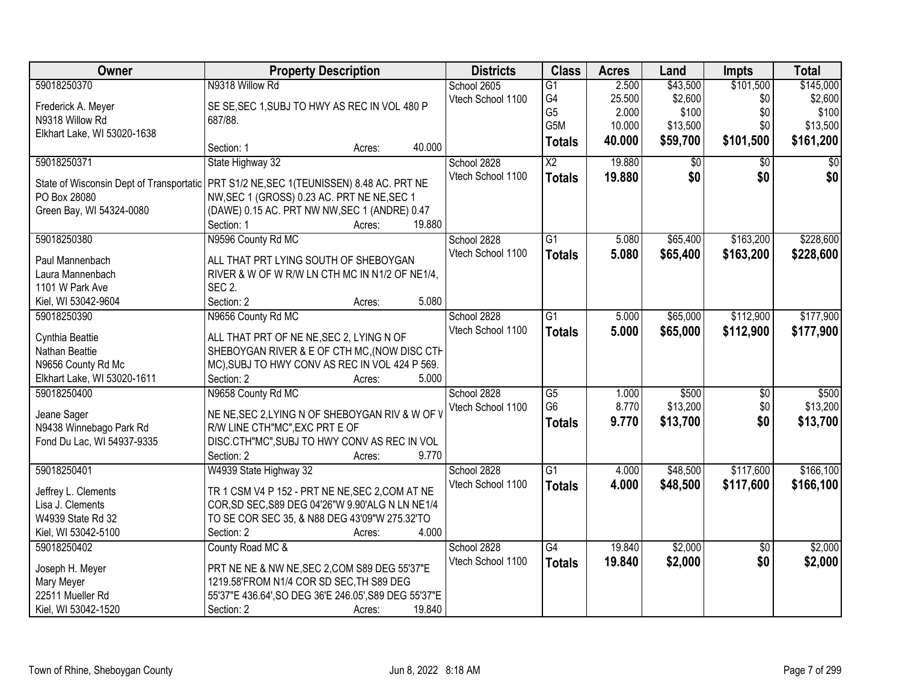| 59018250370<br>N9318 Willow Rd<br>2.500<br>\$43,500<br>\$101,500<br>\$145,000<br>School 2605<br>$\overline{G1}$<br>G4<br>\$2,600<br>\$2,600<br>Vtech School 1100<br>25.500<br>\$0<br>SE SE, SEC 1, SUBJ TO HWY AS REC IN VOL 480 P<br>Frederick A. Meyer<br>G <sub>5</sub><br>\$100<br>\$0<br>\$100<br>2.000<br>N9318 Willow Rd<br>687/88.<br>G5M<br>\$13,500<br>\$0<br>10.000<br>Elkhart Lake, WI 53020-1638<br>\$59,700<br>\$101,500<br>\$161,200<br>40.000<br><b>Totals</b><br>40.000<br>Section: 1<br>Acres:<br>$\overline{\text{X2}}$<br>59018250371<br>State Highway 32<br>School 2828<br>19.880<br>$\overline{50}$<br>$\overline{50}$<br>\$0<br>\$0<br>Vtech School 1100<br>\$0<br>\$0<br>19.880<br><b>Totals</b><br>PRT S1/2 NE, SEC 1 (TEUNISSEN) 8.48 AC. PRT NE<br>State of Wisconsin Dept of Transportatic<br>NW, SEC 1 (GROSS) 0.23 AC. PRT NE NE, SEC 1<br>PO Box 28080 |
|---------------------------------------------------------------------------------------------------------------------------------------------------------------------------------------------------------------------------------------------------------------------------------------------------------------------------------------------------------------------------------------------------------------------------------------------------------------------------------------------------------------------------------------------------------------------------------------------------------------------------------------------------------------------------------------------------------------------------------------------------------------------------------------------------------------------------------------------------------------------------------------|
|                                                                                                                                                                                                                                                                                                                                                                                                                                                                                                                                                                                                                                                                                                                                                                                                                                                                                       |
| \$13,500                                                                                                                                                                                                                                                                                                                                                                                                                                                                                                                                                                                                                                                                                                                                                                                                                                                                              |
|                                                                                                                                                                                                                                                                                                                                                                                                                                                                                                                                                                                                                                                                                                                                                                                                                                                                                       |
|                                                                                                                                                                                                                                                                                                                                                                                                                                                                                                                                                                                                                                                                                                                                                                                                                                                                                       |
|                                                                                                                                                                                                                                                                                                                                                                                                                                                                                                                                                                                                                                                                                                                                                                                                                                                                                       |
|                                                                                                                                                                                                                                                                                                                                                                                                                                                                                                                                                                                                                                                                                                                                                                                                                                                                                       |
|                                                                                                                                                                                                                                                                                                                                                                                                                                                                                                                                                                                                                                                                                                                                                                                                                                                                                       |
|                                                                                                                                                                                                                                                                                                                                                                                                                                                                                                                                                                                                                                                                                                                                                                                                                                                                                       |
| Green Bay, WI 54324-0080<br>(DAWE) 0.15 AC. PRT NW NW, SEC 1 (ANDRE) 0.47                                                                                                                                                                                                                                                                                                                                                                                                                                                                                                                                                                                                                                                                                                                                                                                                             |
| 19.880<br>Section: 1<br>Acres:                                                                                                                                                                                                                                                                                                                                                                                                                                                                                                                                                                                                                                                                                                                                                                                                                                                        |
| N9596 County Rd MC<br>\$65,400<br>\$163,200<br>\$228,600<br>59018250380<br>School 2828<br>$\overline{G1}$<br>5.080                                                                                                                                                                                                                                                                                                                                                                                                                                                                                                                                                                                                                                                                                                                                                                    |
| Vtech School 1100<br>\$163,200<br>5.080<br>\$65,400<br>\$228,600<br><b>Totals</b><br>ALL THAT PRT LYING SOUTH OF SHEBOYGAN<br>Paul Mannenbach                                                                                                                                                                                                                                                                                                                                                                                                                                                                                                                                                                                                                                                                                                                                         |
| Laura Mannenbach<br>RIVER & W OF W R/W LN CTH MC IN N1/2 OF NE1/4,                                                                                                                                                                                                                                                                                                                                                                                                                                                                                                                                                                                                                                                                                                                                                                                                                    |
| 1101 W Park Ave<br><b>SEC 2.</b>                                                                                                                                                                                                                                                                                                                                                                                                                                                                                                                                                                                                                                                                                                                                                                                                                                                      |
| 5.080<br>Section: 2<br>Kiel, WI 53042-9604                                                                                                                                                                                                                                                                                                                                                                                                                                                                                                                                                                                                                                                                                                                                                                                                                                            |
| Acres:<br>59018250390<br>N9656 County Rd MC<br>School 2828<br>$\overline{G1}$<br>\$65,000<br>\$112,900<br>\$177,900<br>5.000                                                                                                                                                                                                                                                                                                                                                                                                                                                                                                                                                                                                                                                                                                                                                          |
|                                                                                                                                                                                                                                                                                                                                                                                                                                                                                                                                                                                                                                                                                                                                                                                                                                                                                       |
| Vtech School 1100<br>5.000<br>\$65,000<br>\$112,900<br>\$177,900<br><b>Totals</b><br>ALL THAT PRT OF NE NE, SEC 2, LYING N OF<br>Cynthia Beattie                                                                                                                                                                                                                                                                                                                                                                                                                                                                                                                                                                                                                                                                                                                                      |
| Nathan Beattie<br>SHEBOYGAN RIVER & E OF CTH MC, (NOW DISC CTH                                                                                                                                                                                                                                                                                                                                                                                                                                                                                                                                                                                                                                                                                                                                                                                                                        |
| N9656 County Rd Mc<br>MC), SUBJ TO HWY CONV AS REC IN VOL 424 P 569.                                                                                                                                                                                                                                                                                                                                                                                                                                                                                                                                                                                                                                                                                                                                                                                                                  |
| Section: 2<br>5.000<br>Elkhart Lake, WI 53020-1611<br>Acres:                                                                                                                                                                                                                                                                                                                                                                                                                                                                                                                                                                                                                                                                                                                                                                                                                          |
| N9658 County Rd MC<br>$\overline{G5}$<br>\$500<br>\$500<br>59018250400<br>School 2828<br>1.000<br>\$0                                                                                                                                                                                                                                                                                                                                                                                                                                                                                                                                                                                                                                                                                                                                                                                 |
| G <sub>6</sub><br>8.770<br>\$13,200<br>\$0<br>\$13,200<br>Vtech School 1100                                                                                                                                                                                                                                                                                                                                                                                                                                                                                                                                                                                                                                                                                                                                                                                                           |
| NE NE, SEC 2, LYING N OF SHEBOYGAN RIV & W OF V<br>Jeane Sager<br>\$0<br>9.770<br>\$13,700<br>\$13,700<br><b>Totals</b><br>N9438 Winnebago Park Rd<br>R/W LINE CTH"MC", EXC PRT E OF                                                                                                                                                                                                                                                                                                                                                                                                                                                                                                                                                                                                                                                                                                  |
| DISC.CTH"MC", SUBJ TO HWY CONV AS REC IN VOL                                                                                                                                                                                                                                                                                                                                                                                                                                                                                                                                                                                                                                                                                                                                                                                                                                          |
| Fond Du Lac, WI 54937-9335<br>9.770<br>Section: 2                                                                                                                                                                                                                                                                                                                                                                                                                                                                                                                                                                                                                                                                                                                                                                                                                                     |
| Acres:<br>$\overline{G1}$<br>\$48,500<br>\$117,600<br>\$166,100<br>59018250401<br>School 2828<br>4.000                                                                                                                                                                                                                                                                                                                                                                                                                                                                                                                                                                                                                                                                                                                                                                                |
| W4939 State Highway 32                                                                                                                                                                                                                                                                                                                                                                                                                                                                                                                                                                                                                                                                                                                                                                                                                                                                |
| Vtech School 1100<br>4.000<br>\$48,500<br>\$117,600<br>\$166,100<br><b>Totals</b><br>TR 1 CSM V4 P 152 - PRT NE NE, SEC 2, COM AT NE<br>Jeffrey L. Clements                                                                                                                                                                                                                                                                                                                                                                                                                                                                                                                                                                                                                                                                                                                           |
| COR, SD SEC, S89 DEG 04'26"W 9.90'ALG N LN NE1/4<br>Lisa J. Clements                                                                                                                                                                                                                                                                                                                                                                                                                                                                                                                                                                                                                                                                                                                                                                                                                  |
| W4939 State Rd 32<br>TO SE COR SEC 35, & N88 DEG 43'09"W 275.32'TO                                                                                                                                                                                                                                                                                                                                                                                                                                                                                                                                                                                                                                                                                                                                                                                                                    |
| Kiel, WI 53042-5100<br>Section: 2<br>4.000<br>Acres:                                                                                                                                                                                                                                                                                                                                                                                                                                                                                                                                                                                                                                                                                                                                                                                                                                  |
| \$2,000<br>59018250402<br>County Road MC &<br>School 2828<br>$\overline{G4}$<br>19.840<br>\$2,000<br>$\overline{30}$                                                                                                                                                                                                                                                                                                                                                                                                                                                                                                                                                                                                                                                                                                                                                                  |
| \$0<br>Vtech School 1100<br>\$2,000<br>\$2,000<br>19.840<br><b>Totals</b><br>PRT NE NE & NW NE, SEC 2, COM S89 DEG 55'37"E<br>Joseph H. Meyer                                                                                                                                                                                                                                                                                                                                                                                                                                                                                                                                                                                                                                                                                                                                         |
| 1219.58'FROM N1/4 COR SD SEC. TH S89 DEG<br>Mary Meyer                                                                                                                                                                                                                                                                                                                                                                                                                                                                                                                                                                                                                                                                                                                                                                                                                                |
| 22511 Mueller Rd<br>55'37"E 436.64', SO DEG 36'E 246.05', S89 DEG 55'37"E                                                                                                                                                                                                                                                                                                                                                                                                                                                                                                                                                                                                                                                                                                                                                                                                             |
| Kiel, WI 53042-1520<br>Section: 2<br>19.840<br>Acres:                                                                                                                                                                                                                                                                                                                                                                                                                                                                                                                                                                                                                                                                                                                                                                                                                                 |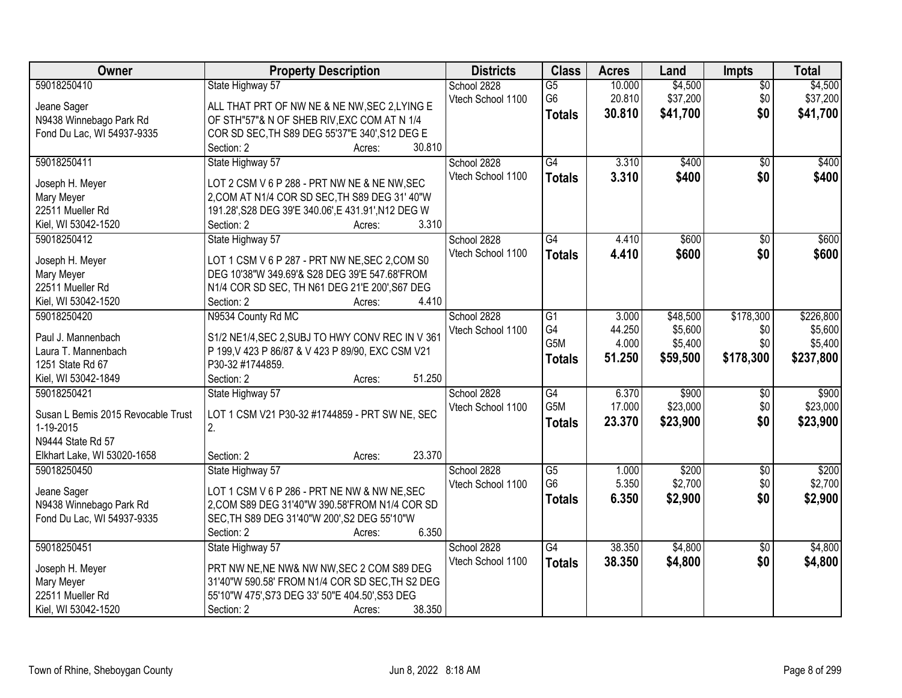| Owner                              | <b>Property Description</b>                         | <b>Districts</b>  | <b>Class</b>     | <b>Acres</b> | Land     | <b>Impts</b>    | <b>Total</b> |
|------------------------------------|-----------------------------------------------------|-------------------|------------------|--------------|----------|-----------------|--------------|
| 59018250410                        | State Highway 57                                    | School 2828       | $\overline{G5}$  | 10.000       | \$4,500  | $\overline{50}$ | \$4,500      |
| Jeane Sager                        | ALL THAT PRT OF NW NE & NE NW, SEC 2, LYING E       | Vtech School 1100 | G <sub>6</sub>   | 20.810       | \$37,200 | \$0             | \$37,200     |
| N9438 Winnebago Park Rd            | OF STH"57"& N OF SHEB RIV, EXC COM AT N 1/4         |                   | <b>Totals</b>    | 30.810       | \$41,700 | \$0             | \$41,700     |
| Fond Du Lac, WI 54937-9335         | COR SD SEC, TH S89 DEG 55'37"E 340', S12 DEG E      |                   |                  |              |          |                 |              |
|                                    | 30.810<br>Section: 2<br>Acres:                      |                   |                  |              |          |                 |              |
| 59018250411                        | State Highway 57                                    | School 2828       | $\overline{G4}$  | 3.310        | \$400    | $\overline{50}$ | \$400        |
|                                    |                                                     | Vtech School 1100 | <b>Totals</b>    | 3.310        | \$400    | \$0             | \$400        |
| Joseph H. Meyer                    | LOT 2 CSM V 6 P 288 - PRT NW NE & NE NW, SEC        |                   |                  |              |          |                 |              |
| Mary Meyer                         | 2, COM AT N1/4 COR SD SEC, TH S89 DEG 31' 40"W      |                   |                  |              |          |                 |              |
| 22511 Mueller Rd                   | 191.28', S28 DEG 39'E 340.06', E 431.91', N12 DEG W |                   |                  |              |          |                 |              |
| Kiel, WI 53042-1520                | 3.310<br>Section: 2<br>Acres:                       |                   |                  |              |          |                 |              |
| 59018250412                        | State Highway 57                                    | School 2828       | $\overline{G4}$  | 4.410        | \$600    | \$0             | \$600        |
| Joseph H. Meyer                    | LOT 1 CSM V 6 P 287 - PRT NW NE, SEC 2, COM S0      | Vtech School 1100 | <b>Totals</b>    | 4.410        | \$600    | \$0             | \$600        |
| Mary Meyer                         | DEG 10'38"W 349.69'& S28 DEG 39'E 547.68'FROM       |                   |                  |              |          |                 |              |
| 22511 Mueller Rd                   | N1/4 COR SD SEC, TH N61 DEG 21'E 200', S67 DEG      |                   |                  |              |          |                 |              |
| Kiel, WI 53042-1520                | 4.410<br>Section: 2<br>Acres:                       |                   |                  |              |          |                 |              |
| 59018250420                        | N9534 County Rd MC                                  | School 2828       | G1               | 3.000        | \$48,500 | \$178,300       | \$226,800    |
|                                    |                                                     | Vtech School 1100 | G4               | 44.250       | \$5,600  | \$0             | \$5,600      |
| Paul J. Mannenbach                 | S1/2 NE1/4, SEC 2, SUBJ TO HWY CONV REC IN V 361    |                   | G5M              | 4.000        | \$5,400  | \$0             | \$5,400      |
| Laura T. Mannenbach                | P 199, V 423 P 86/87 & V 423 P 89/90, EXC CSM V21   |                   | <b>Totals</b>    | 51.250       | \$59,500 | \$178,300       | \$237,800    |
| 1251 State Rd 67                   | P30-32 #1744859.                                    |                   |                  |              |          |                 |              |
| Kiel, WI 53042-1849                | Section: 2<br>51.250<br>Acres:                      |                   |                  |              |          |                 |              |
| 59018250421                        | State Highway 57                                    | School 2828       | $\overline{G4}$  | 6.370        | \$900    | \$0             | \$900        |
| Susan L Bemis 2015 Revocable Trust | LOT 1 CSM V21 P30-32 #1744859 - PRT SW NE, SEC      | Vtech School 1100 | G <sub>5</sub> M | 17.000       | \$23,000 | \$0             | \$23,000     |
| 1-19-2015                          | 2.                                                  |                   | <b>Totals</b>    | 23.370       | \$23,900 | \$0             | \$23,900     |
| N9444 State Rd 57                  |                                                     |                   |                  |              |          |                 |              |
| Elkhart Lake, WI 53020-1658        | 23.370<br>Section: 2<br>Acres:                      |                   |                  |              |          |                 |              |
| 59018250450                        | State Highway 57                                    | School 2828       | $\overline{G5}$  | 1.000        | \$200    | $\sqrt{6}$      | \$200        |
|                                    |                                                     | Vtech School 1100 | G <sub>6</sub>   | 5.350        | \$2,700  | \$0             | \$2,700      |
| Jeane Sager                        | LOT 1 CSM V 6 P 286 - PRT NE NW & NW NE, SEC        |                   | <b>Totals</b>    | 6.350        | \$2,900  | \$0             | \$2,900      |
| N9438 Winnebago Park Rd            | 2, COM S89 DEG 31'40"W 390.58'FROM N1/4 COR SD      |                   |                  |              |          |                 |              |
| Fond Du Lac, WI 54937-9335         | SEC, TH S89 DEG 31'40"W 200', S2 DEG 55'10"W        |                   |                  |              |          |                 |              |
|                                    | 6.350<br>Section: 2<br>Acres:                       |                   |                  |              |          |                 |              |
| 59018250451                        | State Highway 57                                    | School 2828       | G4               | 38.350       | \$4,800  | $\overline{50}$ | \$4,800      |
| Joseph H. Meyer                    | PRT NW NE, NE NW& NW NW, SEC 2 COM S89 DEG          | Vtech School 1100 | <b>Totals</b>    | 38.350       | \$4,800  | \$0             | \$4,800      |
| Mary Meyer                         | 31'40"W 590.58' FROM N1/4 COR SD SEC, TH S2 DEG     |                   |                  |              |          |                 |              |
| 22511 Mueller Rd                   | 55'10"W 475', S73 DEG 33' 50"E 404.50', S53 DEG     |                   |                  |              |          |                 |              |
| Kiel, WI 53042-1520                | 38.350<br>Section: 2<br>Acres:                      |                   |                  |              |          |                 |              |
|                                    |                                                     |                   |                  |              |          |                 |              |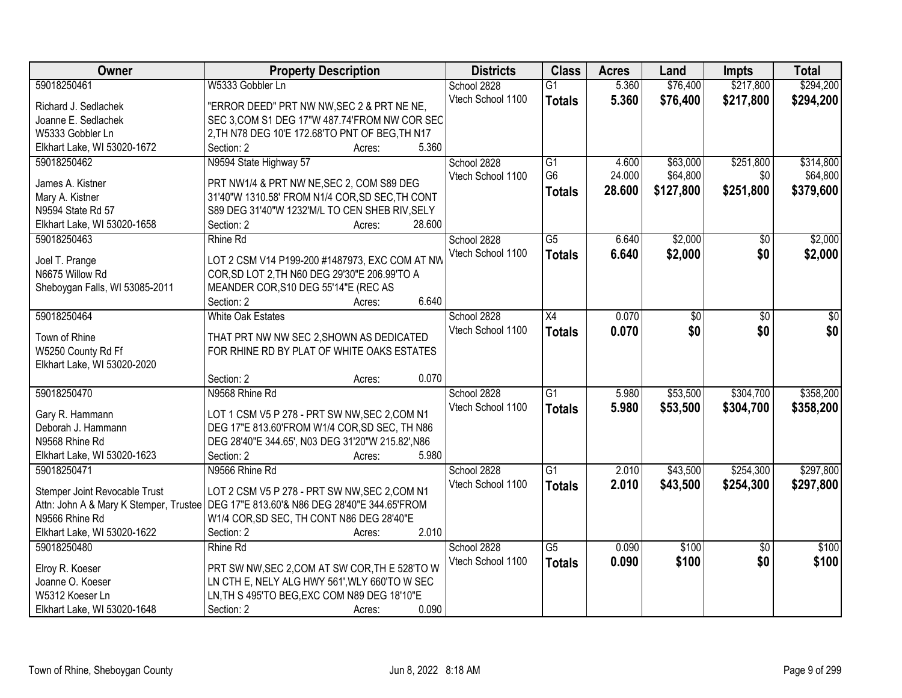| Owner                                  | <b>Property Description</b>                       | <b>Districts</b>  | <b>Class</b>    | <b>Acres</b> | Land      | <b>Impts</b>    | <b>Total</b> |
|----------------------------------------|---------------------------------------------------|-------------------|-----------------|--------------|-----------|-----------------|--------------|
| 59018250461                            | W5333 Gobbler Ln                                  | School 2828       | $\overline{G1}$ | 5.360        | \$76,400  | \$217,800       | \$294,200    |
| Richard J. Sedlachek                   | "ERROR DEED" PRT NW NW, SEC 2 & PRT NE NE,        | Vtech School 1100 | <b>Totals</b>   | 5.360        | \$76,400  | \$217,800       | \$294,200    |
| Joanne E. Sedlachek                    | SEC 3, COM S1 DEG 17"W 487.74'FROM NW COR SEC     |                   |                 |              |           |                 |              |
| W5333 Gobbler Ln                       | 2, TH N78 DEG 10'E 172.68'TO PNT OF BEG, TH N17   |                   |                 |              |           |                 |              |
| Elkhart Lake, WI 53020-1672            | 5.360<br>Section: 2<br>Acres:                     |                   |                 |              |           |                 |              |
| 59018250462                            | N9594 State Highway 57                            | School 2828       | G1              | 4.600        | \$63,000  | \$251,800       | \$314,800    |
|                                        |                                                   | Vtech School 1100 | G <sub>6</sub>  | 24.000       | \$64,800  | \$0             | \$64,800     |
| James A. Kistner                       | PRT NW1/4 & PRT NW NE, SEC 2, COM S89 DEG         |                   | <b>Totals</b>   | 28.600       | \$127,800 | \$251,800       | \$379,600    |
| Mary A. Kistner                        | 31'40"W 1310.58' FROM N1/4 COR, SD SEC, TH CONT   |                   |                 |              |           |                 |              |
| N9594 State Rd 57                      | S89 DEG 31'40"W 1232'M/L TO CEN SHEB RIV, SELY    |                   |                 |              |           |                 |              |
| Elkhart Lake, WI 53020-1658            | 28.600<br>Section: 2<br>Acres:                    |                   |                 |              |           |                 |              |
| 59018250463                            | Rhine Rd                                          | School 2828       | $\overline{G5}$ | 6.640        | \$2,000   | $\overline{50}$ | \$2,000      |
| Joel T. Prange                         | LOT 2 CSM V14 P199-200 #1487973, EXC COM AT NW    | Vtech School 1100 | <b>Totals</b>   | 6.640        | \$2,000   | \$0             | \$2,000      |
| N6675 Willow Rd                        | COR, SD LOT 2, TH N60 DEG 29'30"E 206.99'TO A     |                   |                 |              |           |                 |              |
| Sheboygan Falls, WI 53085-2011         | MEANDER COR, S10 DEG 55'14"E (REC AS              |                   |                 |              |           |                 |              |
|                                        | 6.640<br>Section: 2<br>Acres:                     |                   |                 |              |           |                 |              |
| 59018250464                            | <b>White Oak Estates</b>                          | School 2828       | X4              | 0.070        | \$0       | \$0             | \$0          |
|                                        |                                                   | Vtech School 1100 | <b>Totals</b>   | 0.070        | \$0       | \$0             | \$0          |
| Town of Rhine                          | THAT PRT NW NW SEC 2, SHOWN AS DEDICATED          |                   |                 |              |           |                 |              |
| W5250 County Rd Ff                     | FOR RHINE RD BY PLAT OF WHITE OAKS ESTATES        |                   |                 |              |           |                 |              |
| Elkhart Lake, WI 53020-2020            |                                                   |                   |                 |              |           |                 |              |
|                                        | 0.070<br>Section: 2<br>Acres:                     |                   |                 |              |           |                 |              |
| 59018250470                            | N9568 Rhine Rd                                    | School 2828       | $\overline{G1}$ | 5.980        | \$53,500  | \$304,700       | \$358,200    |
| Gary R. Hammann                        | LOT 1 CSM V5 P 278 - PRT SW NW, SEC 2, COM N1     | Vtech School 1100 | <b>Totals</b>   | 5.980        | \$53,500  | \$304,700       | \$358,200    |
| Deborah J. Hammann                     | DEG 17"E 813.60'FROM W1/4 COR, SD SEC, TH N86     |                   |                 |              |           |                 |              |
| N9568 Rhine Rd                         | DEG 28'40"E 344.65', N03 DEG 31'20"W 215.82', N86 |                   |                 |              |           |                 |              |
| Elkhart Lake, WI 53020-1623            | Section: 2<br>5.980<br>Acres:                     |                   |                 |              |           |                 |              |
| 59018250471                            | N9566 Rhine Rd                                    |                   | G1              | 2.010        |           | \$254,300       | \$297,800    |
|                                        |                                                   | School 2828       |                 |              | \$43,500  |                 |              |
| Stemper Joint Revocable Trust          | LOT 2 CSM V5 P 278 - PRT SW NW, SEC 2, COM N1     | Vtech School 1100 | <b>Totals</b>   | 2.010        | \$43,500  | \$254,300       | \$297,800    |
| Attn: John A & Mary K Stemper, Trustee | DEG 17"E 813.60'& N86 DEG 28'40"E 344.65'FROM     |                   |                 |              |           |                 |              |
| N9566 Rhine Rd                         | W1/4 COR, SD SEC, TH CONT N86 DEG 28'40"E         |                   |                 |              |           |                 |              |
| Elkhart Lake, WI 53020-1622            | 2.010<br>Section: 2<br>Acres:                     |                   |                 |              |           |                 |              |
| 59018250480                            | Rhine Rd                                          | School 2828       | $\overline{G5}$ | 0.090        | \$100     | $\overline{50}$ | \$100        |
|                                        | PRT SW NW, SEC 2, COM AT SW COR, TH E 528'TO W    | Vtech School 1100 | <b>Totals</b>   | 0.090        | \$100     | \$0             | \$100        |
| Elroy R. Koeser                        |                                                   |                   |                 |              |           |                 |              |
| Joanne O. Koeser<br>W5312 Koeser Ln    | LN CTH E, NELY ALG HWY 561', WLY 660'TO W SEC     |                   |                 |              |           |                 |              |
|                                        | LN, TH S 495'TO BEG, EXC COM N89 DEG 18'10"E      |                   |                 |              |           |                 |              |
| Elkhart Lake, WI 53020-1648            | 0.090<br>Section: 2<br>Acres:                     |                   |                 |              |           |                 |              |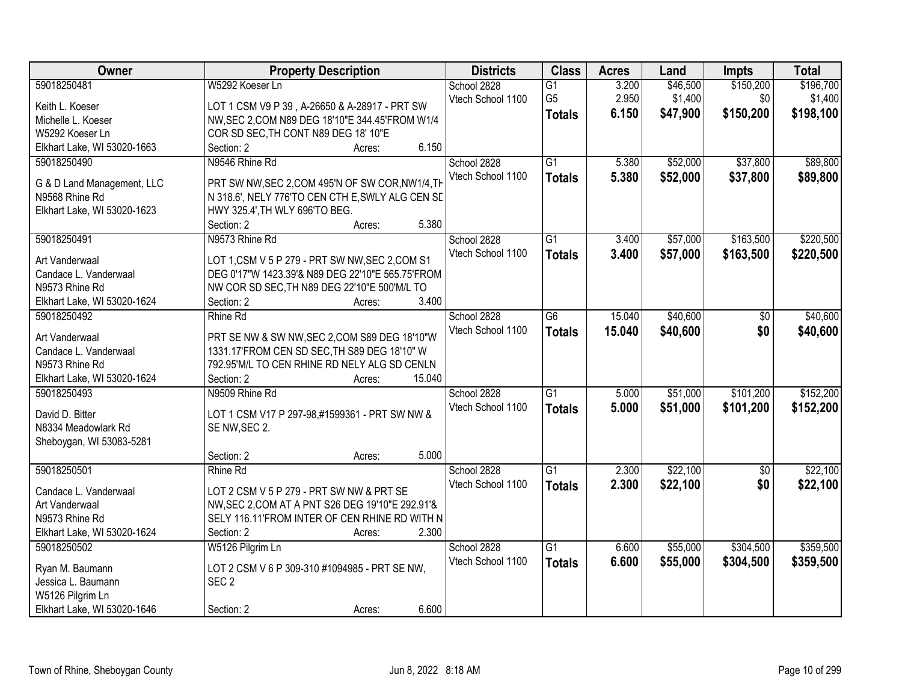| Owner                       | <b>Property Description</b>                      | <b>Districts</b>  | <b>Class</b>    | <b>Acres</b> | Land     | <b>Impts</b>    | <b>Total</b> |
|-----------------------------|--------------------------------------------------|-------------------|-----------------|--------------|----------|-----------------|--------------|
| 59018250481                 | W5292 Koeser Ln                                  | School 2828       | $\overline{G1}$ | 3.200        | \$46,500 | \$150,200       | \$196,700    |
| Keith L. Koeser             | LOT 1 CSM V9 P 39, A-26650 & A-28917 - PRT SW    | Vtech School 1100 | G <sub>5</sub>  | 2.950        | \$1,400  | \$0             | \$1,400      |
| Michelle L. Koeser          | NW, SEC 2, COM N89 DEG 18'10"E 344.45'FROM W1/4  |                   | <b>Totals</b>   | 6.150        | \$47,900 | \$150,200       | \$198,100    |
| W5292 Koeser Ln             | COR SD SEC, TH CONT N89 DEG 18' 10"E             |                   |                 |              |          |                 |              |
| Elkhart Lake, WI 53020-1663 | 6.150<br>Section: 2<br>Acres:                    |                   |                 |              |          |                 |              |
| 59018250490                 | N9546 Rhine Rd                                   | School 2828       | $\overline{G1}$ | 5.380        | \$52,000 | \$37,800        | \$89,800     |
|                             |                                                  | Vtech School 1100 | <b>Totals</b>   | 5.380        | \$52,000 | \$37,800        | \$89,800     |
| G & D Land Management, LLC  | PRT SW NW, SEC 2, COM 495'N OF SW COR, NW1/4, TH |                   |                 |              |          |                 |              |
| N9568 Rhine Rd              | N 318.6', NELY 776'TO CEN CTH E, SWLY ALG CEN SE |                   |                 |              |          |                 |              |
| Elkhart Lake, WI 53020-1623 | HWY 325.4', TH WLY 696'TO BEG.                   |                   |                 |              |          |                 |              |
|                             | 5.380<br>Section: 2<br>Acres:                    |                   |                 |              |          |                 |              |
| 59018250491                 | N9573 Rhine Rd                                   | School 2828       | G1              | 3.400        | \$57,000 | \$163,500       | \$220,500    |
| Art Vanderwaal              | LOT 1,CSM V 5 P 279 - PRT SW NW, SEC 2,COM S1    | Vtech School 1100 | <b>Totals</b>   | 3.400        | \$57,000 | \$163,500       | \$220,500    |
| Candace L. Vanderwaal       | DEG 0'17"W 1423.39'& N89 DEG 22'10"E 565.75'FROM |                   |                 |              |          |                 |              |
| N9573 Rhine Rd              | NW COR SD SEC, TH N89 DEG 22'10"E 500'M/L TO     |                   |                 |              |          |                 |              |
| Elkhart Lake, WI 53020-1624 | 3.400<br>Section: 2<br>Acres:                    |                   |                 |              |          |                 |              |
| 59018250492                 | <b>Rhine Rd</b>                                  | School 2828       | G6              | 15.040       | \$40,600 | \$0             | \$40,600     |
|                             |                                                  | Vtech School 1100 | <b>Totals</b>   | 15.040       | \$40,600 | \$0             | \$40,600     |
| Art Vanderwaal              | PRT SE NW & SW NW, SEC 2, COM S89 DEG 18'10"W    |                   |                 |              |          |                 |              |
| Candace L. Vanderwaal       | 1331.17'FROM CEN SD SEC, TH S89 DEG 18'10" W     |                   |                 |              |          |                 |              |
| N9573 Rhine Rd              | 792.95'M/L TO CEN RHINE RD NELY ALG SD CENLN     |                   |                 |              |          |                 |              |
| Elkhart Lake, WI 53020-1624 | Section: 2<br>15.040<br>Acres:                   |                   |                 |              |          |                 |              |
| 59018250493                 | N9509 Rhine Rd                                   | School 2828       | $\overline{G1}$ | 5.000        | \$51,000 | \$101,200       | \$152,200    |
| David D. Bitter             | LOT 1 CSM V17 P 297-98,#1599361 - PRT SW NW &    | Vtech School 1100 | <b>Totals</b>   | 5.000        | \$51,000 | \$101,200       | \$152,200    |
| N8334 Meadowlark Rd         | SE NW, SEC 2.                                    |                   |                 |              |          |                 |              |
| Sheboygan, WI 53083-5281    |                                                  |                   |                 |              |          |                 |              |
|                             | 5.000<br>Section: 2<br>Acres:                    |                   |                 |              |          |                 |              |
| 59018250501                 | Rhine Rd                                         | School 2828       | $\overline{G1}$ | 2.300        | \$22,100 | $\overline{60}$ | \$22,100     |
|                             |                                                  | Vtech School 1100 | <b>Totals</b>   | 2.300        | \$22,100 | \$0             | \$22,100     |
| Candace L. Vanderwaal       | LOT 2 CSM V 5 P 279 - PRT SW NW & PRT SE         |                   |                 |              |          |                 |              |
| Art Vanderwaal              | NW, SEC 2, COM AT A PNT S26 DEG 19'10"E 292.91'& |                   |                 |              |          |                 |              |
| N9573 Rhine Rd              | SELY 116.11'FROM INTER OF CEN RHINE RD WITH N    |                   |                 |              |          |                 |              |
| Elkhart Lake, WI 53020-1624 | 2.300<br>Section: 2<br>Acres:                    |                   |                 |              |          |                 |              |
| 59018250502                 | W5126 Pilgrim Ln                                 | School 2828       | $\overline{G1}$ | 6.600        | \$55,000 | \$304,500       | \$359,500    |
| Ryan M. Baumann             | LOT 2 CSM V 6 P 309-310 #1094985 - PRT SE NW,    | Vtech School 1100 | <b>Totals</b>   | 6.600        | \$55,000 | \$304,500       | \$359,500    |
| Jessica L. Baumann          | SEC <sub>2</sub>                                 |                   |                 |              |          |                 |              |
| W5126 Pilgrim Ln            |                                                  |                   |                 |              |          |                 |              |
| Elkhart Lake, WI 53020-1646 | 6.600<br>Section: 2<br>Acres:                    |                   |                 |              |          |                 |              |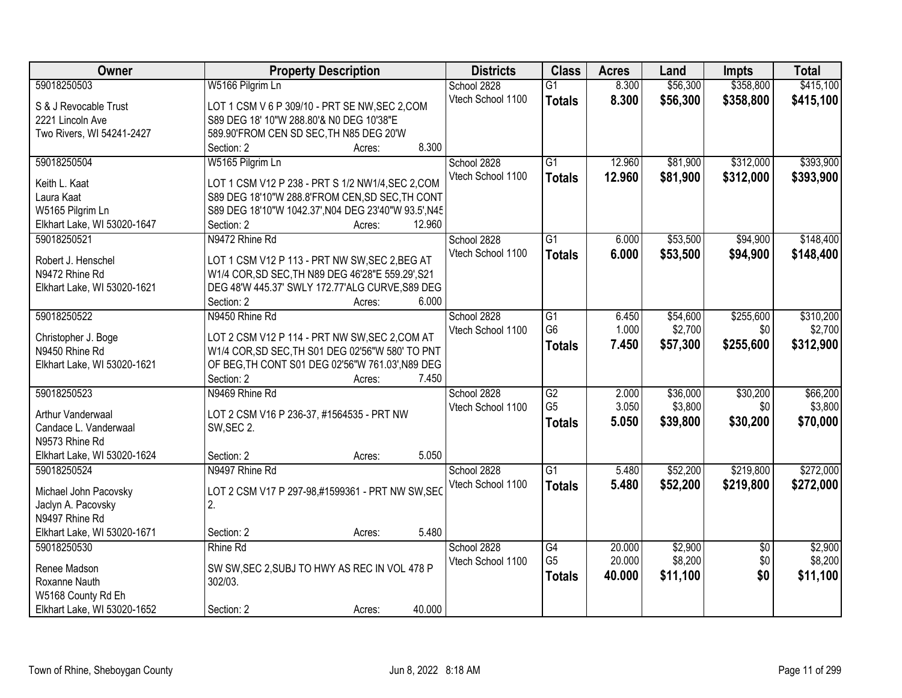| Owner                                      | <b>Property Description</b>                                                                        | <b>Districts</b>  | <b>Class</b>    | <b>Acres</b> | Land     | <b>Impts</b>    | <b>Total</b> |
|--------------------------------------------|----------------------------------------------------------------------------------------------------|-------------------|-----------------|--------------|----------|-----------------|--------------|
| 59018250503                                | W5166 Pilgrim Ln                                                                                   | School 2828       | $\overline{G1}$ | 8.300        | \$56,300 | \$358,800       | \$415,100    |
| S & J Revocable Trust                      | LOT 1 CSM V 6 P 309/10 - PRT SE NW, SEC 2, COM                                                     | Vtech School 1100 | <b>Totals</b>   | 8.300        | \$56,300 | \$358,800       | \$415,100    |
| 2221 Lincoln Ave                           | S89 DEG 18' 10"W 288.80'& N0 DEG 10'38"E                                                           |                   |                 |              |          |                 |              |
| Two Rivers, WI 54241-2427                  | 589.90'FROM CEN SD SEC, TH N85 DEG 20'W                                                            |                   |                 |              |          |                 |              |
|                                            | 8.300<br>Section: 2<br>Acres:                                                                      |                   |                 |              |          |                 |              |
| 59018250504                                | W5165 Pilgrim Ln                                                                                   | School 2828       | $\overline{G1}$ | 12.960       | \$81,900 | \$312,000       | \$393,900    |
|                                            |                                                                                                    | Vtech School 1100 | <b>Totals</b>   | 12.960       | \$81,900 | \$312,000       | \$393,900    |
| Keith L. Kaat                              | LOT 1 CSM V12 P 238 - PRT S 1/2 NW1/4, SEC 2, COM                                                  |                   |                 |              |          |                 |              |
| Laura Kaat                                 | S89 DEG 18'10"W 288.8'FROM CEN, SD SEC, TH CONT                                                    |                   |                 |              |          |                 |              |
| W5165 Pilgrim Ln                           | S89 DEG 18'10"W 1042.37', N04 DEG 23'40"W 93.5', N45<br>12.960<br>Section: 2                       |                   |                 |              |          |                 |              |
| Elkhart Lake, WI 53020-1647<br>59018250521 | Acres:<br>N9472 Rhine Rd                                                                           | School 2828       | $\overline{G1}$ | 6.000        | \$53,500 | \$94,900        | \$148,400    |
|                                            |                                                                                                    | Vtech School 1100 |                 |              |          |                 |              |
| Robert J. Henschel                         | LOT 1 CSM V12 P 113 - PRT NW SW, SEC 2, BEG AT                                                     |                   | <b>Totals</b>   | 6.000        | \$53,500 | \$94,900        | \$148,400    |
| N9472 Rhine Rd                             | W1/4 COR, SD SEC, TH N89 DEG 46'28"E 559.29', S21                                                  |                   |                 |              |          |                 |              |
| Elkhart Lake, WI 53020-1621                | DEG 48'W 445.37' SWLY 172.77'ALG CURVE, S89 DEG                                                    |                   |                 |              |          |                 |              |
|                                            | Section: 2<br>6.000<br>Acres:                                                                      |                   |                 |              |          |                 |              |
| 59018250522                                | N9450 Rhine Rd                                                                                     | School 2828       | G1              | 6.450        | \$54,600 | \$255,600       | \$310,200    |
|                                            |                                                                                                    | Vtech School 1100 | G <sub>6</sub>  | 1.000        | \$2,700  | \$0             | \$2,700      |
| Christopher J. Boge<br>N9450 Rhine Rd      | LOT 2 CSM V12 P 114 - PRT NW SW, SEC 2, COM AT<br>W1/4 COR, SD SEC, TH S01 DEG 02'56"W 580' TO PNT |                   | <b>Totals</b>   | 7.450        | \$57,300 | \$255,600       | \$312,900    |
|                                            | OF BEG, TH CONT S01 DEG 02'56"W 761.03', N89 DEG                                                   |                   |                 |              |          |                 |              |
| Elkhart Lake, WI 53020-1621                | 7.450<br>Section: 2                                                                                |                   |                 |              |          |                 |              |
| 59018250523                                | Acres:<br>N9469 Rhine Rd                                                                           | School 2828       | $\overline{G2}$ | 2.000        | \$36,000 | \$30,200        | \$66,200     |
|                                            |                                                                                                    | Vtech School 1100 | G <sub>5</sub>  | 3.050        | \$3,800  | \$0             | \$3,800      |
| Arthur Vanderwaal                          | LOT 2 CSM V16 P 236-37, #1564535 - PRT NW                                                          |                   |                 |              |          |                 |              |
| Candace L. Vanderwaal                      | SW, SEC 2.                                                                                         |                   | <b>Totals</b>   | 5.050        | \$39,800 | \$30,200        | \$70,000     |
| N9573 Rhine Rd                             |                                                                                                    |                   |                 |              |          |                 |              |
| Elkhart Lake, WI 53020-1624                | 5.050<br>Section: 2<br>Acres:                                                                      |                   |                 |              |          |                 |              |
| 59018250524                                | N9497 Rhine Rd                                                                                     | School 2828       | $\overline{G1}$ | 5.480        | \$52,200 | \$219,800       | \$272,000    |
| Michael John Pacovsky                      | LOT 2 CSM V17 P 297-98,#1599361 - PRT NW SW, SEC                                                   | Vtech School 1100 | <b>Totals</b>   | 5.480        | \$52,200 | \$219,800       | \$272,000    |
| Jaclyn A. Pacovsky                         | 2.                                                                                                 |                   |                 |              |          |                 |              |
| N9497 Rhine Rd                             |                                                                                                    |                   |                 |              |          |                 |              |
| Elkhart Lake, WI 53020-1671                | 5.480<br>Section: 2<br>Acres:                                                                      |                   |                 |              |          |                 |              |
| 59018250530                                | Rhine Rd                                                                                           | School 2828       | $\overline{G4}$ | 20.000       | \$2,900  | $\overline{50}$ | \$2,900      |
|                                            |                                                                                                    | Vtech School 1100 | G <sub>5</sub>  | 20.000       | \$8,200  | \$0             | \$8,200      |
| Renee Madson                               | SW SW, SEC 2, SUBJ TO HWY AS REC IN VOL 478 P                                                      |                   |                 | 40.000       | \$11,100 | \$0             | \$11,100     |
| Roxanne Nauth                              | 302/03.                                                                                            |                   | <b>Totals</b>   |              |          |                 |              |
| W5168 County Rd Eh                         |                                                                                                    |                   |                 |              |          |                 |              |
| Elkhart Lake, WI 53020-1652                | 40.000<br>Section: 2<br>Acres:                                                                     |                   |                 |              |          |                 |              |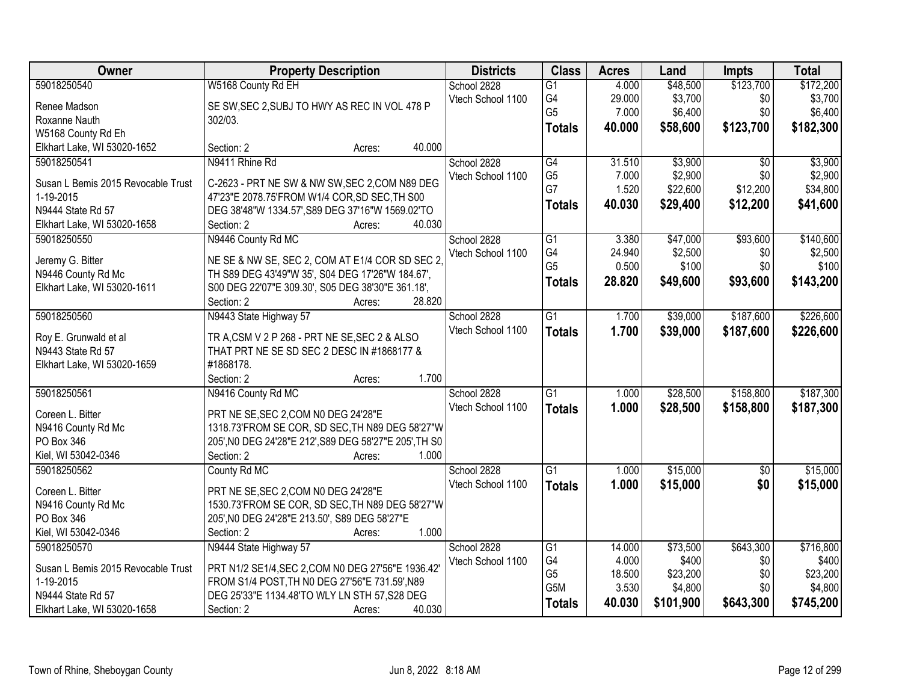| Owner                              | <b>Property Description</b>                            |        |        | <b>Districts</b>  | <b>Class</b>    | <b>Acres</b>    | Land                | <b>Impts</b>    | <b>Total</b>       |
|------------------------------------|--------------------------------------------------------|--------|--------|-------------------|-----------------|-----------------|---------------------|-----------------|--------------------|
| 59018250540                        | W5168 County Rd EH                                     |        |        | School 2828       | $\overline{G1}$ | 4.000           | \$48,500            | \$123,700       | \$172,200          |
| Renee Madson                       | SE SW, SEC 2, SUBJ TO HWY AS REC IN VOL 478 P          |        |        | Vtech School 1100 | G4              | 29.000          | \$3,700             | \$0             | \$3,700            |
| Roxanne Nauth                      | 302/03.                                                |        |        |                   | G <sub>5</sub>  | 7.000           | \$6,400             | \$0             | \$6,400            |
| W5168 County Rd Eh                 |                                                        |        |        |                   | <b>Totals</b>   | 40.000          | \$58,600            | \$123,700       | \$182,300          |
| Elkhart Lake, WI 53020-1652        | Section: 2                                             | Acres: | 40.000 |                   |                 |                 |                     |                 |                    |
| 59018250541                        | N9411 Rhine Rd                                         |        |        | School 2828       | $\overline{G4}$ | 31.510          | \$3,900             | $\overline{50}$ | \$3,900            |
|                                    |                                                        |        |        | Vtech School 1100 | G <sub>5</sub>  | 7.000           | \$2,900             | \$0             | \$2,900            |
| Susan L Bemis 2015 Revocable Trust | C-2623 - PRT NE SW & NW SW, SEC 2, COM N89 DEG         |        |        |                   | G7              | 1.520           | \$22,600            | \$12,200        | \$34,800           |
| 1-19-2015                          | 47'23"E 2078.75'FROM W1/4 COR, SD SEC, TH S00          |        |        |                   | <b>Totals</b>   | 40.030          | \$29,400            | \$12,200        | \$41,600           |
| N9444 State Rd 57                  | DEG 38'48"W 1334.57', S89 DEG 37'16"W 1569.02'TO       |        |        |                   |                 |                 |                     |                 |                    |
| Elkhart Lake, WI 53020-1658        | Section: 2                                             | Acres: | 40.030 |                   |                 |                 |                     |                 |                    |
| 59018250550                        | N9446 County Rd MC                                     |        |        | School 2828       | G1              | 3.380           | \$47,000            | \$93,600        | \$140,600          |
| Jeremy G. Bitter                   | NE SE & NW SE, SEC 2, COM AT E1/4 COR SD SEC 2         |        |        | Vtech School 1100 | G4              | 24.940          | \$2,500             | \$0             | \$2,500            |
| N9446 County Rd Mc                 | TH S89 DEG 43'49"W 35', S04 DEG 17'26"W 184.67',       |        |        |                   | G <sub>5</sub>  | 0.500           | \$100               | \$0             | \$100              |
| Elkhart Lake, WI 53020-1611        | S00 DEG 22'07"E 309.30', S05 DEG 38'30"E 361.18',      |        |        |                   | <b>Totals</b>   | 28.820          | \$49,600            | \$93,600        | \$143,200          |
|                                    | Section: 2                                             | Acres: | 28.820 |                   |                 |                 |                     |                 |                    |
| 59018250560                        | N9443 State Highway 57                                 |        |        | School 2828       | G1              | 1.700           | \$39,000            | \$187,600       | \$226,600          |
|                                    |                                                        |        |        | Vtech School 1100 | <b>Totals</b>   | 1.700           | \$39,000            | \$187,600       | \$226,600          |
| Roy E. Grunwald et al              | TR A, CSM V 2 P 268 - PRT NE SE, SEC 2 & ALSO          |        |        |                   |                 |                 |                     |                 |                    |
| N9443 State Rd 57                  | THAT PRT NE SE SD SEC 2 DESC IN #1868177 &             |        |        |                   |                 |                 |                     |                 |                    |
| Elkhart Lake, WI 53020-1659        | #1868178.                                              |        |        |                   |                 |                 |                     |                 |                    |
|                                    | Section: 2                                             | Acres: | 1.700  |                   |                 |                 |                     |                 |                    |
| 59018250561                        | N9416 County Rd MC                                     |        |        | School 2828       | $\overline{G1}$ | 1.000           | \$28,500            | \$158,800       | \$187,300          |
| Coreen L. Bitter                   | PRT NE SE, SEC 2, COM N0 DEG 24'28"E                   |        |        | Vtech School 1100 | <b>Totals</b>   | 1.000           | \$28,500            | \$158,800       | \$187,300          |
| N9416 County Rd Mc                 | 1318.73'FROM SE COR, SD SEC, TH N89 DEG 58'27"W        |        |        |                   |                 |                 |                     |                 |                    |
| PO Box 346                         | 205', NO DEG 24'28"E 212', S89 DEG 58'27"E 205', TH S0 |        |        |                   |                 |                 |                     |                 |                    |
| Kiel, WI 53042-0346                | Section: 2                                             | Acres: | 1.000  |                   |                 |                 |                     |                 |                    |
| 59018250562                        | County Rd MC                                           |        |        | School 2828       | G1              | 1.000           | \$15,000            | $\sqrt{6}$      | \$15,000           |
|                                    |                                                        |        |        | Vtech School 1100 | <b>Totals</b>   | 1.000           | \$15,000            | \$0             | \$15,000           |
| Coreen L. Bitter                   | PRT NE SE, SEC 2, COM N0 DEG 24'28"E                   |        |        |                   |                 |                 |                     |                 |                    |
| N9416 County Rd Mc                 | 1530.73'FROM SE COR, SD SEC, TH N89 DEG 58'27"W        |        |        |                   |                 |                 |                     |                 |                    |
| PO Box 346                         | 205', NO DEG 24'28"E 213.50', S89 DEG 58'27"E          |        |        |                   |                 |                 |                     |                 |                    |
| Kiel, WI 53042-0346                | Section: 2                                             | Acres: | 1.000  |                   |                 |                 |                     |                 |                    |
| 59018250570                        | N9444 State Highway 57                                 |        |        | School 2828       | G1<br>G4        | 14.000<br>4.000 | \$73,500<br>\$400   | \$643,300       | \$716,800<br>\$400 |
| Susan L Bemis 2015 Revocable Trust | PRT N1/2 SE1/4, SEC 2, COM N0 DEG 27'56"E 1936.42'     |        |        | Vtech School 1100 | G <sub>5</sub>  |                 |                     | \$0             | \$23,200           |
| 1-19-2015                          | FROM S1/4 POST, TH N0 DEG 27'56"E 731.59', N89         |        |        |                   | G5M             | 18.500<br>3.530 | \$23,200<br>\$4,800 | \$0<br>\$0      | \$4,800            |
| N9444 State Rd 57                  | DEG 25'33"E 1134.48'TO WLY LN STH 57, S28 DEG          |        |        |                   |                 | 40.030          |                     |                 |                    |
| Elkhart Lake, WI 53020-1658        | Section: 2                                             | Acres: | 40.030 |                   | <b>Totals</b>   |                 | \$101,900           | \$643,300       | \$745,200          |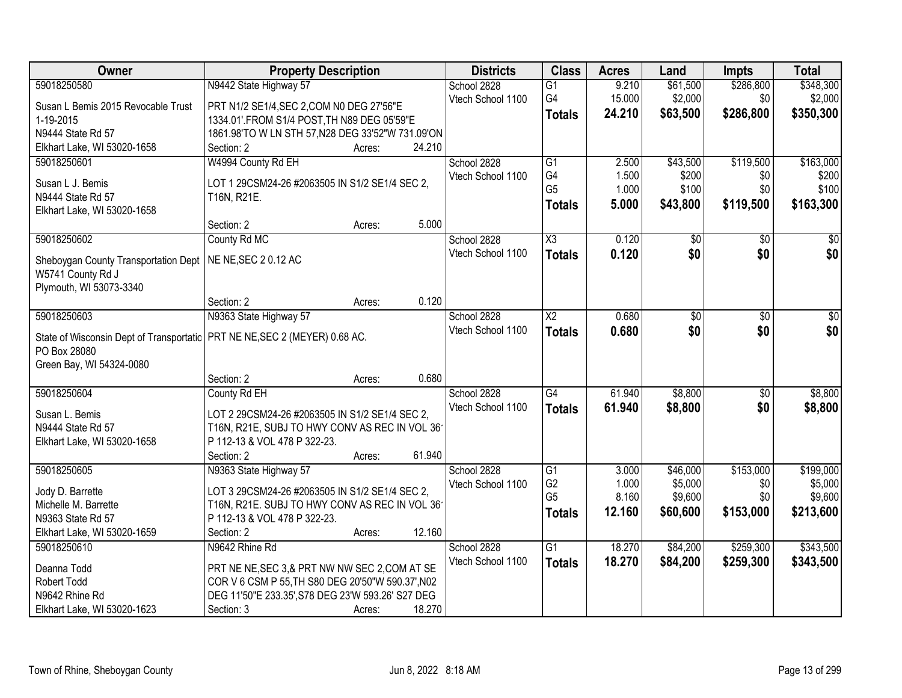| Owner                                                                        | <b>Property Description</b>                                   | <b>Districts</b>  | <b>Class</b>           | <b>Acres</b> | Land            | <b>Impts</b>    | <b>Total</b> |
|------------------------------------------------------------------------------|---------------------------------------------------------------|-------------------|------------------------|--------------|-----------------|-----------------|--------------|
| 59018250580                                                                  | N9442 State Highway 57                                        | School 2828       | $\overline{G1}$        | 9.210        | \$61,500        | \$286,800       | \$348,300    |
| Susan L Bemis 2015 Revocable Trust                                           | PRT N1/2 SE1/4, SEC 2, COM N0 DEG 27'56"E                     | Vtech School 1100 | G4                     | 15.000       | \$2,000         | \$0             | \$2,000      |
| 1-19-2015                                                                    | 1334.01'.FROM S1/4 POST, TH N89 DEG 05'59"E                   |                   | <b>Totals</b>          | 24.210       | \$63,500        | \$286,800       | \$350,300    |
| N9444 State Rd 57                                                            | 1861.98'TO W LN STH 57, N28 DEG 33'52"W 731.09'ON             |                   |                        |              |                 |                 |              |
| Elkhart Lake, WI 53020-1658                                                  | 24.210<br>Section: 2<br>Acres:                                |                   |                        |              |                 |                 |              |
| 59018250601                                                                  | W4994 County Rd EH                                            | School 2828       | $\overline{G1}$        | 2.500        | \$43,500        | \$119,500       | \$163,000    |
|                                                                              |                                                               | Vtech School 1100 | G4                     | 1.500        | \$200           | \$0             | \$200        |
| Susan L J. Bemis<br>N9444 State Rd 57                                        | LOT 1 29CSM24-26 #2063505 IN S1/2 SE1/4 SEC 2,<br>T16N, R21E. |                   | G <sub>5</sub>         | 1.000        | \$100           | \$0             | \$100        |
| Elkhart Lake, WI 53020-1658                                                  |                                                               |                   | <b>Totals</b>          | 5.000        | \$43,800        | \$119,500       | \$163,300    |
|                                                                              | 5.000<br>Section: 2<br>Acres:                                 |                   |                        |              |                 |                 |              |
| 59018250602                                                                  | County Rd MC                                                  | School 2828       | $\overline{\text{X3}}$ | 0.120        | $\overline{50}$ | \$0             | $\sqrt{50}$  |
|                                                                              |                                                               | Vtech School 1100 | <b>Totals</b>          | 0.120        | \$0             | \$0             | \$0          |
| Sheboygan County Transportation Dept<br>W5741 County Rd J                    | NE NE, SEC 2 0.12 AC                                          |                   |                        |              |                 |                 |              |
| Plymouth, WI 53073-3340                                                      |                                                               |                   |                        |              |                 |                 |              |
|                                                                              | 0.120<br>Section: 2<br>Acres:                                 |                   |                        |              |                 |                 |              |
| 59018250603                                                                  | N9363 State Highway 57                                        | School 2828       | X <sub>2</sub>         | 0.680        | \$0             | $\sqrt[6]{3}$   | $\sqrt{50}$  |
|                                                                              |                                                               | Vtech School 1100 | <b>Totals</b>          | 0.680        | \$0             | \$0             | \$0          |
| State of Wisconsin Dept of Transportatic   PRT NE NE, SEC 2 (MEYER) 0.68 AC. |                                                               |                   |                        |              |                 |                 |              |
| PO Box 28080                                                                 |                                                               |                   |                        |              |                 |                 |              |
| Green Bay, WI 54324-0080                                                     |                                                               |                   |                        |              |                 |                 |              |
|                                                                              | 0.680<br>Section: 2<br>Acres:                                 |                   |                        |              |                 |                 |              |
| 59018250604                                                                  | County Rd EH                                                  | School 2828       | $\overline{G4}$        | 61.940       | \$8,800         | $\overline{50}$ | \$8,800      |
| Susan L. Bemis                                                               | LOT 2 29CSM24-26 #2063505 IN S1/2 SE1/4 SEC 2,                | Vtech School 1100 | <b>Totals</b>          | 61.940       | \$8,800         | \$0             | \$8,800      |
| N9444 State Rd 57                                                            | T16N, R21E, SUBJ TO HWY CONV AS REC IN VOL 36                 |                   |                        |              |                 |                 |              |
| Elkhart Lake, WI 53020-1658                                                  | P 112-13 & VOL 478 P 322-23.                                  |                   |                        |              |                 |                 |              |
|                                                                              | 61.940<br>Section: 2<br>Acres:                                |                   |                        |              |                 |                 |              |
| 59018250605                                                                  | N9363 State Highway 57                                        | School 2828       | G1                     | 3.000        | \$46,000        | \$153,000       | \$199,000    |
| Jody D. Barrette                                                             | LOT 3 29CSM24-26 #2063505 IN S1/2 SE1/4 SEC 2,                | Vtech School 1100 | G <sub>2</sub>         | 1.000        | \$5,000         | \$0             | \$5,000      |
| Michelle M. Barrette                                                         | T16N, R21E. SUBJ TO HWY CONV AS REC IN VOL 36                 |                   | G <sub>5</sub>         | 8.160        | \$9,600         | \$0             | \$9,600      |
| N9363 State Rd 57                                                            | P 112-13 & VOL 478 P 322-23.                                  |                   | <b>Totals</b>          | 12.160       | \$60,600        | \$153,000       | \$213,600    |
| Elkhart Lake, WI 53020-1659                                                  | 12.160<br>Section: 2<br>Acres:                                |                   |                        |              |                 |                 |              |
| 59018250610                                                                  | N9642 Rhine Rd                                                | School 2828       | G1                     | 18.270       | \$84,200        | \$259,300       | \$343,500    |
|                                                                              | PRT NE NE, SEC 3, & PRT NW NW SEC 2, COM AT SE                | Vtech School 1100 | <b>Totals</b>          | 18.270       | \$84,200        | \$259,300       | \$343,500    |
| Deanna Todd<br>Robert Todd                                                   | COR V 6 CSM P 55, TH S80 DEG 20'50"W 590.37', N02             |                   |                        |              |                 |                 |              |
| N9642 Rhine Rd                                                               | DEG 11'50"E 233.35', S78 DEG 23'W 593.26' S27 DEG             |                   |                        |              |                 |                 |              |
| Elkhart Lake, WI 53020-1623                                                  | 18.270<br>Section: 3<br>Acres:                                |                   |                        |              |                 |                 |              |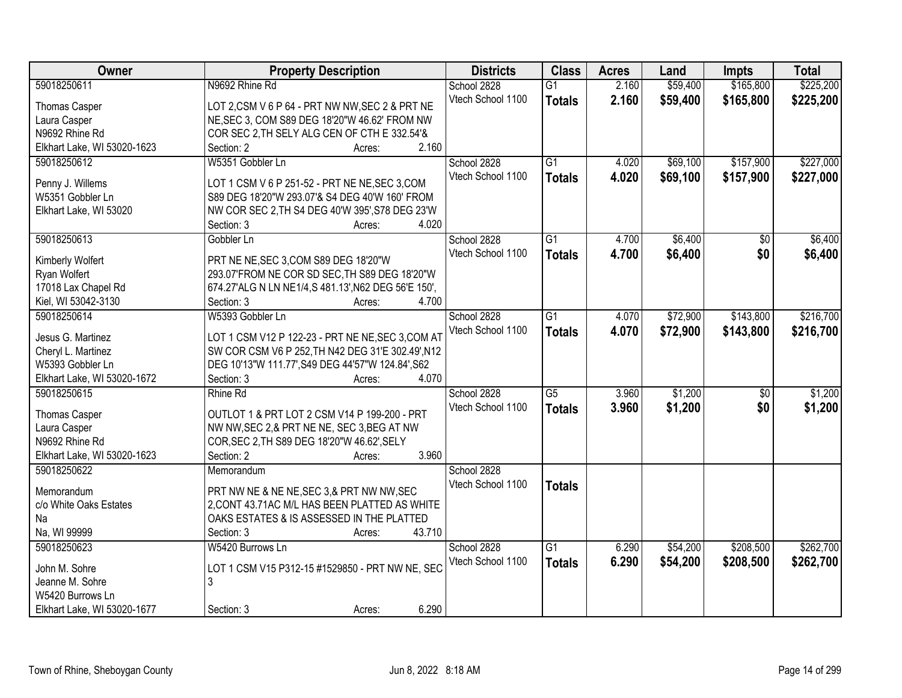| Owner                       | <b>Property Description</b>                         | <b>Districts</b>  | <b>Class</b>    | <b>Acres</b> | Land     | <b>Impts</b>    | <b>Total</b> |
|-----------------------------|-----------------------------------------------------|-------------------|-----------------|--------------|----------|-----------------|--------------|
| 59018250611                 | N9692 Rhine Rd                                      | School 2828       | $\overline{G1}$ | 2.160        | \$59,400 | \$165,800       | \$225,200    |
| Thomas Casper               | LOT 2,CSM V 6 P 64 - PRT NW NW, SEC 2 & PRT NE      | Vtech School 1100 | <b>Totals</b>   | 2.160        | \$59,400 | \$165,800       | \$225,200    |
| Laura Casper                | NE, SEC 3, COM S89 DEG 18'20"W 46.62' FROM NW       |                   |                 |              |          |                 |              |
| N9692 Rhine Rd              | COR SEC 2, TH SELY ALG CEN OF CTH E 332.54'&        |                   |                 |              |          |                 |              |
| Elkhart Lake, WI 53020-1623 | 2.160<br>Section: 2<br>Acres:                       |                   |                 |              |          |                 |              |
| 59018250612                 | W5351 Gobbler Ln                                    | School 2828       | $\overline{G1}$ | 4.020        | \$69,100 | \$157,900       | \$227,000    |
|                             |                                                     | Vtech School 1100 | <b>Totals</b>   | 4.020        | \$69,100 | \$157,900       | \$227,000    |
| Penny J. Willems            | LOT 1 CSM V 6 P 251-52 - PRT NE NE, SEC 3, COM      |                   |                 |              |          |                 |              |
| W5351 Gobbler Ln            | S89 DEG 18'20"W 293.07'& S4 DEG 40'W 160' FROM      |                   |                 |              |          |                 |              |
| Elkhart Lake, WI 53020      | NW COR SEC 2, TH S4 DEG 40'W 395', S78 DEG 23'W     |                   |                 |              |          |                 |              |
|                             | 4.020<br>Section: 3<br>Acres:                       |                   |                 |              |          |                 |              |
| 59018250613                 | Gobbler Ln                                          | School 2828       | G1              | 4.700        | \$6,400  | $\sqrt{6}$      | \$6,400      |
| Kimberly Wolfert            | PRT NE NE, SEC 3, COM S89 DEG 18'20"W               | Vtech School 1100 | <b>Totals</b>   | 4.700        | \$6,400  | \$0             | \$6,400      |
| Ryan Wolfert                | 293.07'FROM NE COR SD SEC, TH S89 DEG 18'20"W       |                   |                 |              |          |                 |              |
| 17018 Lax Chapel Rd         | 674.27'ALG N LN NE1/4,S 481.13', N62 DEG 56'E 150', |                   |                 |              |          |                 |              |
| Kiel, WI 53042-3130         | 4.700<br>Section: 3<br>Acres:                       |                   |                 |              |          |                 |              |
| 59018250614                 | W5393 Gobbler Ln                                    | School 2828       | G1              | 4.070        | \$72,900 | \$143,800       | \$216,700    |
|                             |                                                     | Vtech School 1100 | <b>Totals</b>   | 4.070        | \$72,900 | \$143,800       | \$216,700    |
| Jesus G. Martinez           | LOT 1 CSM V12 P 122-23 - PRT NE NE, SEC 3, COM AT   |                   |                 |              |          |                 |              |
| Cheryl L. Martinez          | SW COR CSM V6 P 252, TH N42 DEG 31'E 302.49', N12   |                   |                 |              |          |                 |              |
| W5393 Gobbler Ln            | DEG 10'13"W 111.77', S49 DEG 44'57"W 124.84', S62   |                   |                 |              |          |                 |              |
| Elkhart Lake, WI 53020-1672 | 4.070<br>Section: 3<br>Acres:                       |                   |                 |              |          |                 |              |
| 59018250615                 | Rhine Rd                                            | School 2828       | $\overline{G5}$ | 3.960        | \$1,200  | $\overline{50}$ | \$1,200      |
| Thomas Casper               | OUTLOT 1 & PRT LOT 2 CSM V14 P 199-200 - PRT        | Vtech School 1100 | <b>Totals</b>   | 3.960        | \$1,200  | \$0             | \$1,200      |
| Laura Casper                | NW NW, SEC 2,& PRT NE NE, SEC 3, BEG AT NW          |                   |                 |              |          |                 |              |
| N9692 Rhine Rd              | COR, SEC 2, TH S89 DEG 18'20"W 46.62', SELY         |                   |                 |              |          |                 |              |
| Elkhart Lake, WI 53020-1623 | Section: 2<br>3.960<br>Acres:                       |                   |                 |              |          |                 |              |
| 59018250622                 | Memorandum                                          | School 2828       |                 |              |          |                 |              |
|                             |                                                     |                   |                 |              |          |                 |              |
| Memorandum                  | PRT NW NE & NE NE, SEC 3,& PRT NW NW, SEC           | Vtech School 1100 | <b>Totals</b>   |              |          |                 |              |
| c/o White Oaks Estates      | 2, CONT 43.71AC M/L HAS BEEN PLATTED AS WHITE       |                   |                 |              |          |                 |              |
| Na                          | OAKS ESTATES & IS ASSESSED IN THE PLATTED           |                   |                 |              |          |                 |              |
| Na, WI 99999                | 43.710<br>Section: 3<br>Acres:                      |                   |                 |              |          |                 |              |
| 59018250623                 | W5420 Burrows Ln                                    | School 2828       | $\overline{G1}$ | 6.290        | \$54,200 | \$208,500       | \$262,700    |
|                             |                                                     | Vtech School 1100 | <b>Totals</b>   | 6.290        | \$54,200 | \$208,500       | \$262,700    |
| John M. Sohre               | LOT 1 CSM V15 P312-15 #1529850 - PRT NW NE, SEC     |                   |                 |              |          |                 |              |
| Jeanne M. Sohre             | 3                                                   |                   |                 |              |          |                 |              |
| W5420 Burrows Ln            |                                                     |                   |                 |              |          |                 |              |
| Elkhart Lake, WI 53020-1677 | 6.290<br>Section: 3<br>Acres:                       |                   |                 |              |          |                 |              |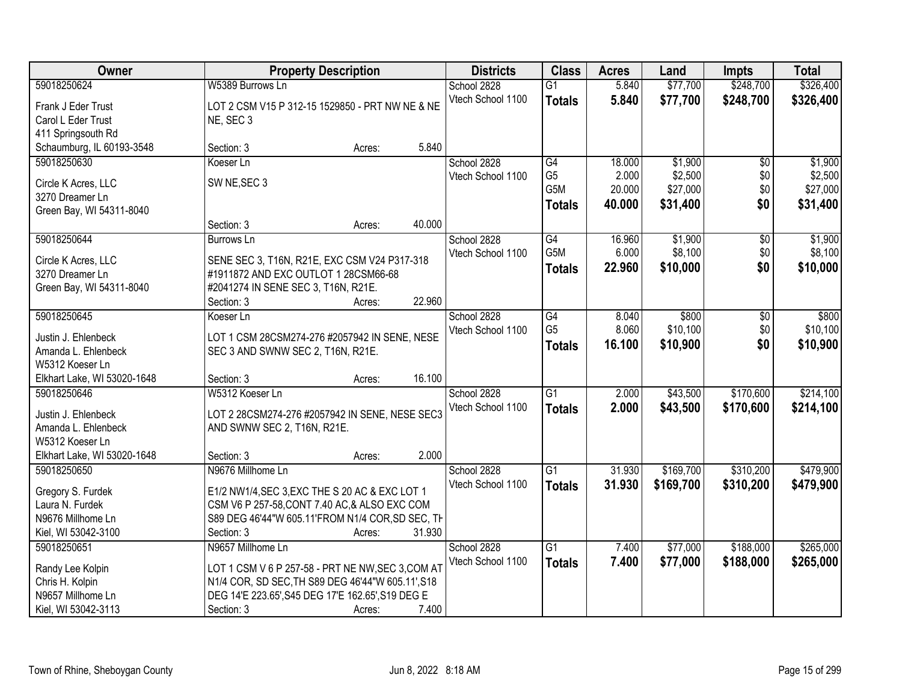| Owner                                          | <b>Property Description</b>                       |        |        | <b>Districts</b>  | <b>Class</b>     | <b>Acres</b> | Land      | <b>Impts</b>    | <b>Total</b> |
|------------------------------------------------|---------------------------------------------------|--------|--------|-------------------|------------------|--------------|-----------|-----------------|--------------|
| 59018250624                                    | W5389 Burrows Ln                                  |        |        | School 2828       | $\overline{G1}$  | 5.840        | \$77,700  | \$248,700       | \$326,400    |
| Frank J Eder Trust                             | LOT 2 CSM V15 P 312-15 1529850 - PRT NW NE & NE   |        |        | Vtech School 1100 | <b>Totals</b>    | 5.840        | \$77,700  | \$248,700       | \$326,400    |
| Carol L Eder Trust                             | NE, SEC 3                                         |        |        |                   |                  |              |           |                 |              |
| 411 Springsouth Rd                             |                                                   |        |        |                   |                  |              |           |                 |              |
| Schaumburg, IL 60193-3548                      | Section: 3                                        | Acres: | 5.840  |                   |                  |              |           |                 |              |
| 59018250630                                    | Koeser Ln                                         |        |        | School 2828       | G4               | 18.000       | \$1,900   | \$0             | \$1,900      |
| Circle K Acres, LLC                            | SW NE, SEC 3                                      |        |        | Vtech School 1100 | G <sub>5</sub>   | 2.000        | \$2,500   | \$0             | \$2,500      |
| 3270 Dreamer Ln                                |                                                   |        |        |                   | G <sub>5</sub> M | 20.000       | \$27,000  | \$0             | \$27,000     |
| Green Bay, WI 54311-8040                       |                                                   |        |        |                   | <b>Totals</b>    | 40.000       | \$31,400  | \$0             | \$31,400     |
|                                                | Section: 3                                        | Acres: | 40.000 |                   |                  |              |           |                 |              |
| 59018250644                                    | <b>Burrows Ln</b>                                 |        |        | School 2828       | G4               | 16.960       | \$1,900   | $\overline{50}$ | \$1,900      |
| Circle K Acres, LLC                            | SENE SEC 3, T16N, R21E, EXC CSM V24 P317-318      |        |        | Vtech School 1100 | G5M              | 6.000        | \$8,100   | \$0             | \$8,100      |
| 3270 Dreamer Ln                                | #1911872 AND EXC OUTLOT 1 28CSM66-68              |        |        |                   | <b>Totals</b>    | 22.960       | \$10,000  | \$0             | \$10,000     |
| Green Bay, WI 54311-8040                       | #2041274 IN SENE SEC 3, T16N, R21E.               |        |        |                   |                  |              |           |                 |              |
|                                                | Section: 3                                        | Acres: | 22.960 |                   |                  |              |           |                 |              |
| 59018250645                                    | Koeser Ln                                         |        |        | School 2828       | G4               | 8.040        | \$800     | \$0             | \$800        |
|                                                |                                                   |        |        | Vtech School 1100 | G <sub>5</sub>   | 8.060        | \$10,100  | \$0             | \$10,100     |
| Justin J. Ehlenbeck                            | LOT 1 CSM 28CSM274-276 #2057942 IN SENE, NESE     |        |        |                   | <b>Totals</b>    | 16.100       | \$10,900  | \$0             | \$10,900     |
| Amanda L. Ehlenbeck                            | SEC 3 AND SWNW SEC 2, T16N, R21E.                 |        |        |                   |                  |              |           |                 |              |
| W5312 Koeser Ln<br>Elkhart Lake, WI 53020-1648 | Section: 3                                        |        | 16.100 |                   |                  |              |           |                 |              |
| 59018250646                                    | W5312 Koeser Ln                                   | Acres: |        | School 2828       | $\overline{G1}$  | 2.000        | \$43,500  | \$170,600       | \$214,100    |
|                                                |                                                   |        |        | Vtech School 1100 |                  |              |           |                 |              |
| Justin J. Ehlenbeck                            | LOT 2 28CSM274-276 #2057942 IN SENE, NESE SEC3    |        |        |                   | <b>Totals</b>    | 2.000        | \$43,500  | \$170,600       | \$214,100    |
| Amanda L. Ehlenbeck                            | AND SWNW SEC 2, T16N, R21E.                       |        |        |                   |                  |              |           |                 |              |
| W5312 Koeser Ln                                |                                                   |        |        |                   |                  |              |           |                 |              |
| Elkhart Lake, WI 53020-1648                    | Section: 3                                        | Acres: | 2.000  |                   |                  |              |           |                 |              |
| 59018250650                                    | N9676 Millhome Ln                                 |        |        | School 2828       | $\overline{G1}$  | 31.930       | \$169,700 | \$310,200       | \$479,900    |
| Gregory S. Furdek                              | E1/2 NW1/4, SEC 3, EXC THE S 20 AC & EXC LOT 1    |        |        | Vtech School 1100 | <b>Totals</b>    | 31.930       | \$169,700 | \$310,200       | \$479,900    |
| Laura N. Furdek                                | CSM V6 P 257-58, CONT 7.40 AC, & ALSO EXC COM     |        |        |                   |                  |              |           |                 |              |
| N9676 Millhome Ln                              | S89 DEG 46'44"W 605.11'FROM N1/4 COR, SD SEC, TH  |        |        |                   |                  |              |           |                 |              |
| Kiel, WI 53042-3100                            | Section: 3                                        | Acres: | 31.930 |                   |                  |              |           |                 |              |
| 59018250651                                    | N9657 Millhome Ln                                 |        |        | School 2828       | $\overline{G1}$  | 7.400        | \$77,000  | \$188,000       | \$265,000    |
| Randy Lee Kolpin                               | LOT 1 CSM V 6 P 257-58 - PRT NE NW, SEC 3, COM AT |        |        | Vtech School 1100 | <b>Totals</b>    | 7.400        | \$77,000  | \$188,000       | \$265,000    |
| Chris H. Kolpin                                | N1/4 COR, SD SEC, TH S89 DEG 46'44"W 605.11', S18 |        |        |                   |                  |              |           |                 |              |
| N9657 Millhome Ln                              | DEG 14'E 223.65', S45 DEG 17'E 162.65', S19 DEG E |        |        |                   |                  |              |           |                 |              |
| Kiel, WI 53042-3113                            | Section: 3                                        | Acres: | 7.400  |                   |                  |              |           |                 |              |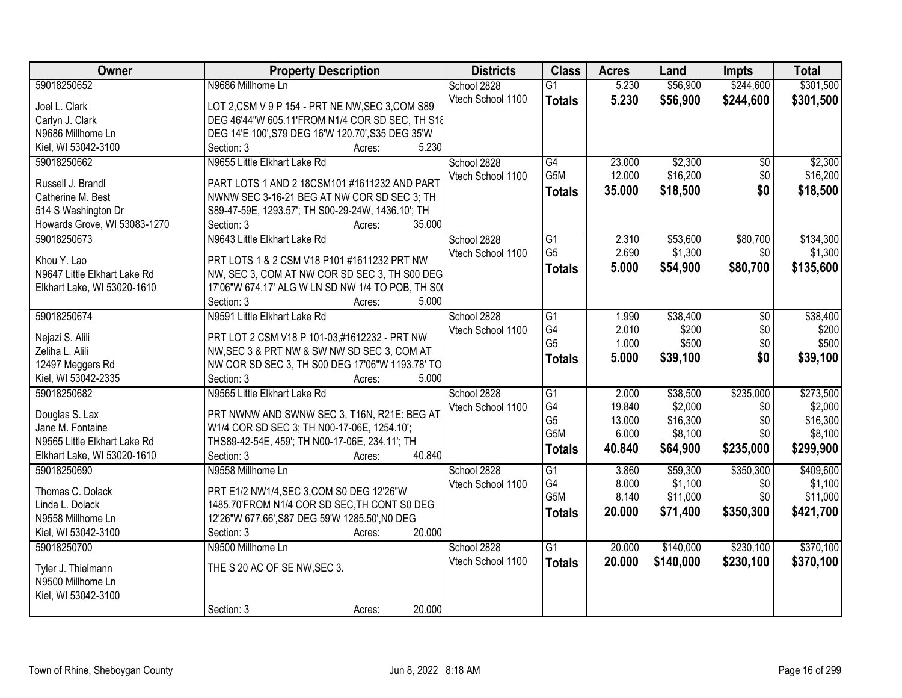| Owner                        | <b>Property Description</b>                       | <b>Districts</b>  | <b>Class</b>    | <b>Acres</b> | Land      | <b>Impts</b> | <b>Total</b> |
|------------------------------|---------------------------------------------------|-------------------|-----------------|--------------|-----------|--------------|--------------|
| 59018250652                  | N9686 Millhome Ln                                 | School 2828       | $\overline{G1}$ | 5.230        | \$56,900  | \$244,600    | \$301,500    |
| Joel L. Clark                | LOT 2,CSM V 9 P 154 - PRT NE NW, SEC 3,COM S89    | Vtech School 1100 | <b>Totals</b>   | 5.230        | \$56,900  | \$244,600    | \$301,500    |
| Carlyn J. Clark              | DEG 46'44"W 605.11'FROM N1/4 COR SD SEC, TH S18   |                   |                 |              |           |              |              |
| N9686 Millhome Ln            | DEG 14'E 100', S79 DEG 16'W 120.70', S35 DEG 35'W |                   |                 |              |           |              |              |
| Kiel, WI 53042-3100          | 5.230<br>Section: 3<br>Acres:                     |                   |                 |              |           |              |              |
| 59018250662                  | N9655 Little Elkhart Lake Rd                      | School 2828       | G4              | 23.000       | \$2,300   | \$0          | \$2,300      |
| Russell J. Brandl            | PART LOTS 1 AND 2 18CSM101 #1611232 AND PART      | Vtech School 1100 | G5M             | 12.000       | \$16,200  | \$0          | \$16,200     |
| Catherine M. Best            | NWNW SEC 3-16-21 BEG AT NW COR SD SEC 3; TH       |                   | <b>Totals</b>   | 35.000       | \$18,500  | \$0          | \$18,500     |
| 514 S Washington Dr          | S89-47-59E, 1293.57'; TH S00-29-24W, 1436.10'; TH |                   |                 |              |           |              |              |
| Howards Grove, WI 53083-1270 | 35.000<br>Section: 3<br>Acres:                    |                   |                 |              |           |              |              |
| 59018250673                  | N9643 Little Elkhart Lake Rd                      | School 2828       | G1              | 2.310        | \$53,600  | \$80,700     | \$134,300    |
|                              |                                                   | Vtech School 1100 | G <sub>5</sub>  | 2.690        | \$1,300   | \$0          | \$1,300      |
| Khou Y. Lao                  | PRT LOTS 1 & 2 CSM V18 P101 #1611232 PRT NW       |                   | <b>Totals</b>   | 5.000        | \$54,900  | \$80,700     | \$135,600    |
| N9647 Little Elkhart Lake Rd | NW, SEC 3, COM AT NW COR SD SEC 3, TH S00 DEG     |                   |                 |              |           |              |              |
| Elkhart Lake, WI 53020-1610  | 17'06"W 674.17' ALG W LN SD NW 1/4 TO POB, TH S00 |                   |                 |              |           |              |              |
|                              | 5.000<br>Section: 3<br>Acres:                     |                   |                 |              |           |              |              |
| 59018250674                  | N9591 Little Elkhart Lake Rd                      | School 2828       | G1              | 1.990        | \$38,400  | $\sqrt[6]{}$ | \$38,400     |
| Nejazi S. Alili              | PRT LOT 2 CSM V18 P 101-03,#1612232 - PRT NW      | Vtech School 1100 | G4              | 2.010        | \$200     | \$0          | \$200        |
| Zeliha L. Alili              | NW, SEC 3 & PRT NW & SW NW SD SEC 3, COM AT       |                   | G <sub>5</sub>  | 1.000        | \$500     | \$0          | \$500        |
| 12497 Meggers Rd             | NW COR SD SEC 3, TH S00 DEG 17'06"W 1193.78' TO   |                   | <b>Totals</b>   | 5.000        | \$39,100  | \$0          | \$39,100     |
| Kiel, WI 53042-2335          | 5.000<br>Section: 3<br>Acres:                     |                   |                 |              |           |              |              |
| 59018250682                  | N9565 Little Elkhart Lake Rd                      | School 2828       | $\overline{G1}$ | 2.000        | \$38,500  | \$235,000    | \$273,500    |
| Douglas S. Lax               | PRT NWNW AND SWNW SEC 3, T16N, R21E: BEG AT       | Vtech School 1100 | G4              | 19.840       | \$2,000   | \$0          | \$2,000      |
| Jane M. Fontaine             | W1/4 COR SD SEC 3; TH N00-17-06E, 1254.10';       |                   | G <sub>5</sub>  | 13.000       | \$16,300  | \$0          | \$16,300     |
| N9565 Little Elkhart Lake Rd | THS89-42-54E, 459'; TH N00-17-06E, 234.11'; TH    |                   | G5M             | 6.000        | \$8,100   | \$0          | \$8,100      |
| Elkhart Lake, WI 53020-1610  | 40.840<br>Section: 3<br>Acres:                    |                   | <b>Totals</b>   | 40.840       | \$64,900  | \$235,000    | \$299,900    |
| 59018250690                  | N9558 Millhome Ln                                 | School 2828       | $\overline{G1}$ | 3.860        | \$59,300  | \$350,300    | \$409,600    |
|                              |                                                   | Vtech School 1100 | G4              | 8.000        | \$1,100   | \$0          | \$1,100      |
| Thomas C. Dolack             | PRT E1/2 NW1/4, SEC 3, COM S0 DEG 12'26"W         |                   | G5M             | 8.140        | \$11,000  | \$0          | \$11,000     |
| Linda L. Dolack              | 1485.70'FROM N1/4 COR SD SEC, TH CONT S0 DEG      |                   | <b>Totals</b>   | 20.000       | \$71,400  | \$350,300    | \$421,700    |
| N9558 Millhome Ln            | 12'26"W 677.66', S87 DEG 59'W 1285.50', NO DEG    |                   |                 |              |           |              |              |
| Kiel, WI 53042-3100          | Section: 3<br>20.000<br>Acres:                    |                   |                 |              |           |              |              |
| 59018250700                  | N9500 Millhome Ln                                 | School 2828       | $\overline{G1}$ | 20.000       | \$140,000 | \$230,100    | \$370,100    |
| Tyler J. Thielmann           | THE S 20 AC OF SE NW, SEC 3.                      | Vtech School 1100 | <b>Totals</b>   | 20.000       | \$140,000 | \$230,100    | \$370,100    |
| N9500 Millhome Ln            |                                                   |                   |                 |              |           |              |              |
| Kiel, WI 53042-3100          |                                                   |                   |                 |              |           |              |              |
|                              | 20.000<br>Section: 3<br>Acres:                    |                   |                 |              |           |              |              |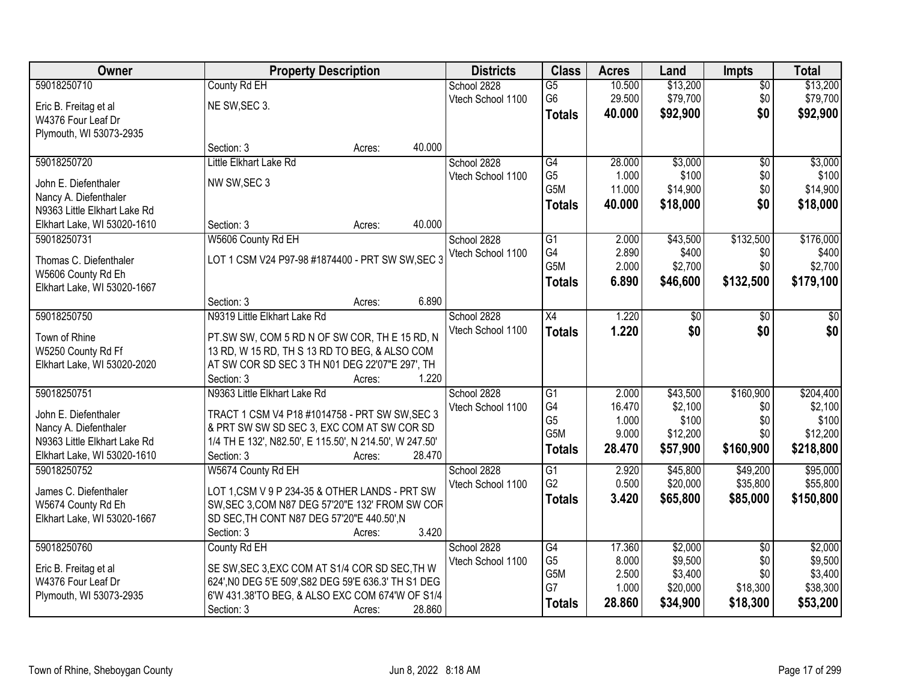| 59018250710<br>County Rd EH<br>10.500<br>\$13,200<br>School 2828<br>$\overline{G5}$<br>$\overline{50}$                                             | \$13,200  |
|----------------------------------------------------------------------------------------------------------------------------------------------------|-----------|
|                                                                                                                                                    |           |
| \$79,700<br>G <sub>6</sub><br>29.500<br>\$0<br>Vtech School 1100<br>NE SW, SEC 3.<br>Eric B. Freitag et al                                         | \$79,700  |
| \$92,900<br>\$0<br>40.000<br><b>Totals</b><br>W4376 Four Leaf Dr                                                                                   | \$92,900  |
| Plymouth, WI 53073-2935                                                                                                                            |           |
| 40.000<br>Section: 3<br>Acres:                                                                                                                     |           |
| \$3,000<br>59018250720<br>Little Elkhart Lake Rd<br>School 2828<br>$\overline{G4}$<br>28.000<br>$\overline{50}$                                    | \$3,000   |
| G <sub>5</sub><br>1.000<br>\$100<br>\$0<br>Vtech School 1100<br>NW SW, SEC 3<br>John E. Diefenthaler                                               | \$100     |
| G5M<br>11.000<br>\$14,900<br>\$0<br>Nancy A. Diefenthaler                                                                                          | \$14,900  |
| \$0<br>40.000<br>\$18,000<br><b>Totals</b><br>N9363 Little Elkhart Lake Rd                                                                         | \$18,000  |
| 40.000<br>Elkhart Lake, WI 53020-1610<br>Section: 3<br>Acres:                                                                                      |           |
| \$132,500<br>59018250731<br>W5606 County Rd EH<br>School 2828<br>$\overline{G1}$<br>\$43,500<br>2.000                                              | \$176,000 |
| G4<br>2.890<br>\$400<br>Vtech School 1100<br>\$0                                                                                                   | \$400     |
| LOT 1 CSM V24 P97-98 #1874400 - PRT SW SW, SEC 3<br>Thomas C. Diefenthaler<br>G <sub>5</sub> M<br>2.000<br>\$2,700<br>\$0                          | \$2,700   |
| W5606 County Rd Eh<br>6.890<br>\$46,600<br>\$132,500<br><b>Totals</b>                                                                              | \$179,100 |
| Elkhart Lake, WI 53020-1667<br>6.890                                                                                                               |           |
| Section: 3<br>Acres:<br>N9319 Little Elkhart Lake Rd                                                                                               |           |
| 59018250750<br>School 2828<br>X4<br>1.220<br>\$0<br>$\sqrt[6]{3}$<br>\$0<br>Vtech School 1100                                                      | \$0       |
| \$0<br>1.220<br><b>Totals</b><br>Town of Rhine<br>PT.SW SW, COM 5 RD N OF SW COR, TH E 15 RD, N                                                    | \$0       |
| W5250 County Rd Ff<br>13 RD, W 15 RD, TH S 13 RD TO BEG, & ALSO COM                                                                                |           |
| AT SW COR SD SEC 3 TH N01 DEG 22'07"E 297', TH<br>Elkhart Lake, WI 53020-2020                                                                      |           |
| Section: 3<br>1.220<br>Acres:                                                                                                                      |           |
| 59018250751<br>N9363 Little Elkhart Lake Rd<br>$\overline{G1}$<br>2.000<br>\$43,500<br>\$160,900<br>School 2828                                    | \$204,400 |
| G4<br>16.470<br>\$2,100<br>\$0<br>Vtech School 1100<br>John E. Diefenthaler<br>TRACT 1 CSM V4 P18 #1014758 - PRT SW SW, SEC 3                      | \$2,100   |
| G <sub>5</sub><br>1.000<br>\$100<br>\$0<br>Nancy A. Diefenthaler<br>& PRT SW SW SD SEC 3, EXC COM AT SW COR SD                                     | \$100     |
| G <sub>5</sub> M<br>9.000<br>\$12,200<br>\$0<br>N9363 Little Elkhart Lake Rd<br>1/4 TH E 132', N82.50', E 115.50', N 214.50', W 247.50'            | \$12,200  |
| 28.470<br>\$57,900<br>\$160,900<br><b>Totals</b><br>Elkhart Lake, WI 53020-1610<br>28.470<br>Section: 3<br>Acres:                                  | \$218,800 |
| 59018250752<br>W5674 County Rd EH<br>School 2828<br>$\overline{G1}$<br>2.920<br>\$45,800<br>\$49,200                                               | \$95,000  |
| G <sub>2</sub><br>0.500<br>\$20,000<br>\$35,800<br>Vtech School 1100<br>LOT 1, CSM V 9 P 234-35 & OTHER LANDS - PRT SW<br>James C. Diefenthaler    | \$55,800  |
| 3.420<br>\$65,800<br>\$85,000<br><b>Totals</b><br>SW, SEC 3, COM N87 DEG 57'20"E 132' FROM SW COF<br>W5674 County Rd Eh                            | \$150,800 |
| SD SEC, TH CONT N87 DEG 57'20"E 440.50', N<br>Elkhart Lake, WI 53020-1667                                                                          |           |
| 3.420<br>Section: 3<br>Acres:                                                                                                                      |           |
| 59018250760<br>School 2828<br>G4<br>\$2,000<br>County Rd EH<br>17.360<br>$\overline{50}$                                                           | \$2,000   |
| G <sub>5</sub><br>\$9,500<br>8.000<br>\$0<br>Vtech School 1100<br>SE SW, SEC 3, EXC COM AT S1/4 COR SD SEC, TH W                                   | \$9,500   |
| Eric B. Freitag et al<br>G <sub>5</sub> M<br>2.500<br>\$3,400<br>\$0<br>W4376 Four Leaf Dr<br>624', NO DEG 5'E 509', S82 DEG 59'E 636.3' TH S1 DEG | \$3,400   |
| G7<br>1.000<br>\$20,000<br>\$18,300<br>Plymouth, WI 53073-2935<br>6'W 431.38'TO BEG, & ALSO EXC COM 674'W OF S1/4                                  | \$38,300  |
| 28.860<br>\$34,900<br>\$18,300<br><b>Totals</b><br>28.860<br>Section: 3<br>Acres:                                                                  | \$53,200  |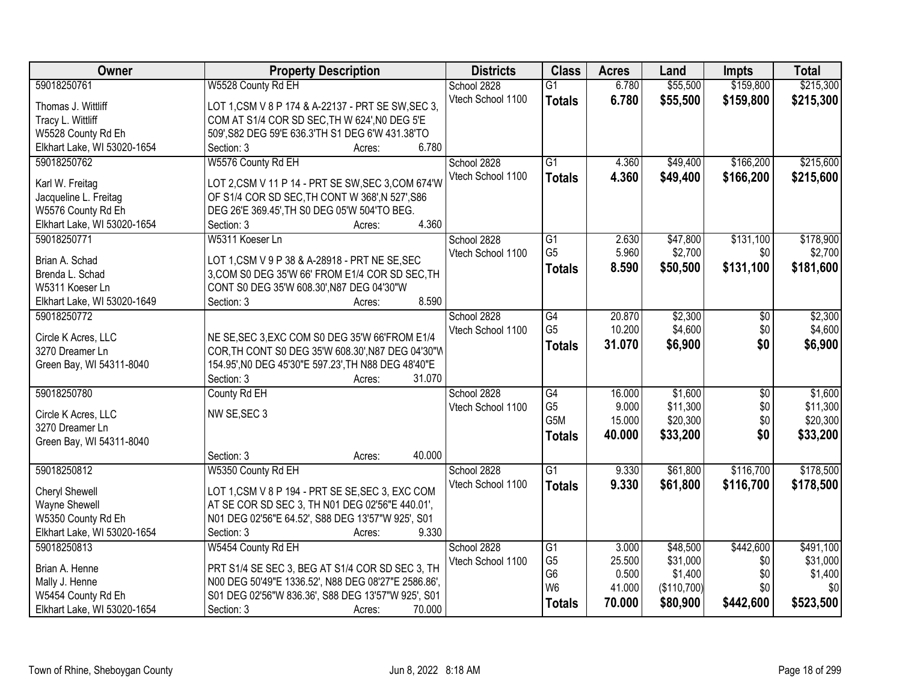| \$55,500<br>\$159,800<br>\$215,300<br>59018250761<br>W5528 County Rd EH<br>School 2828<br>6.780<br>$\overline{G1}$<br>Vtech School 1100<br>6.780<br>\$55,500<br>\$159,800<br>\$215,300<br><b>Totals</b><br>LOT 1, CSM V 8 P 174 & A-22137 - PRT SE SW, SEC 3,<br>Thomas J. Wittliff<br>Tracy L. Wittliff<br>COM AT S1/4 COR SD SEC, TH W 624', NO DEG 5'E<br>509', S82 DEG 59'E 636.3'TH S1 DEG 6'W 431.38'TO<br>W5528 County Rd Eh<br>6.780<br>Elkhart Lake, WI 53020-1654<br>Section: 3<br>Acres:<br>59018250762<br>W5576 County Rd EH<br>$\overline{G1}$<br>\$49,400<br>\$166,200<br>School 2828<br>4.360<br>4.360<br>Vtech School 1100<br>\$49,400<br>\$166,200<br><b>Totals</b><br>LOT 2,CSM V 11 P 14 - PRT SE SW, SEC 3, COM 674'W<br>Karl W. Freitag<br>OF S1/4 COR SD SEC, TH CONT W 368', N 527', S86<br>Jacqueline L. Freitag<br>W5576 County Rd Eh<br>DEG 26'E 369.45', TH S0 DEG 05'W 504'TO BEG.<br>4.360<br>Elkhart Lake, WI 53020-1654<br>Section: 3<br>Acres:<br>\$131,100<br>School 2828<br>$\overline{G1}$<br>\$47,800<br>59018250771<br>W5311 Koeser Ln<br>2.630<br>G <sub>5</sub><br>5.960<br>\$2,700<br>\$0<br>Vtech School 1100<br>LOT 1, CSM V 9 P 38 & A-28918 - PRT NE SE, SEC<br>Brian A. Schad |
|----------------------------------------------------------------------------------------------------------------------------------------------------------------------------------------------------------------------------------------------------------------------------------------------------------------------------------------------------------------------------------------------------------------------------------------------------------------------------------------------------------------------------------------------------------------------------------------------------------------------------------------------------------------------------------------------------------------------------------------------------------------------------------------------------------------------------------------------------------------------------------------------------------------------------------------------------------------------------------------------------------------------------------------------------------------------------------------------------------------------------------------------------------------------------------------------------------------------------|
|                                                                                                                                                                                                                                                                                                                                                                                                                                                                                                                                                                                                                                                                                                                                                                                                                                                                                                                                                                                                                                                                                                                                                                                                                            |
|                                                                                                                                                                                                                                                                                                                                                                                                                                                                                                                                                                                                                                                                                                                                                                                                                                                                                                                                                                                                                                                                                                                                                                                                                            |
|                                                                                                                                                                                                                                                                                                                                                                                                                                                                                                                                                                                                                                                                                                                                                                                                                                                                                                                                                                                                                                                                                                                                                                                                                            |
| \$215,600<br>\$215,600                                                                                                                                                                                                                                                                                                                                                                                                                                                                                                                                                                                                                                                                                                                                                                                                                                                                                                                                                                                                                                                                                                                                                                                                     |
| \$178,900<br>\$2,700                                                                                                                                                                                                                                                                                                                                                                                                                                                                                                                                                                                                                                                                                                                                                                                                                                                                                                                                                                                                                                                                                                                                                                                                       |
|                                                                                                                                                                                                                                                                                                                                                                                                                                                                                                                                                                                                                                                                                                                                                                                                                                                                                                                                                                                                                                                                                                                                                                                                                            |
|                                                                                                                                                                                                                                                                                                                                                                                                                                                                                                                                                                                                                                                                                                                                                                                                                                                                                                                                                                                                                                                                                                                                                                                                                            |
|                                                                                                                                                                                                                                                                                                                                                                                                                                                                                                                                                                                                                                                                                                                                                                                                                                                                                                                                                                                                                                                                                                                                                                                                                            |
|                                                                                                                                                                                                                                                                                                                                                                                                                                                                                                                                                                                                                                                                                                                                                                                                                                                                                                                                                                                                                                                                                                                                                                                                                            |
|                                                                                                                                                                                                                                                                                                                                                                                                                                                                                                                                                                                                                                                                                                                                                                                                                                                                                                                                                                                                                                                                                                                                                                                                                            |
|                                                                                                                                                                                                                                                                                                                                                                                                                                                                                                                                                                                                                                                                                                                                                                                                                                                                                                                                                                                                                                                                                                                                                                                                                            |
|                                                                                                                                                                                                                                                                                                                                                                                                                                                                                                                                                                                                                                                                                                                                                                                                                                                                                                                                                                                                                                                                                                                                                                                                                            |
|                                                                                                                                                                                                                                                                                                                                                                                                                                                                                                                                                                                                                                                                                                                                                                                                                                                                                                                                                                                                                                                                                                                                                                                                                            |
| 8.590<br>\$131,100<br>\$50,500<br>\$181,600<br><b>Totals</b><br>3, COM S0 DEG 35'W 66' FROM E1/4 COR SD SEC, TH<br>Brenda L. Schad                                                                                                                                                                                                                                                                                                                                                                                                                                                                                                                                                                                                                                                                                                                                                                                                                                                                                                                                                                                                                                                                                         |
| W5311 Koeser Ln<br>CONT S0 DEG 35'W 608.30', N87 DEG 04'30"W                                                                                                                                                                                                                                                                                                                                                                                                                                                                                                                                                                                                                                                                                                                                                                                                                                                                                                                                                                                                                                                                                                                                                               |
| 8.590<br>Elkhart Lake, WI 53020-1649<br>Section: 3<br>Acres:                                                                                                                                                                                                                                                                                                                                                                                                                                                                                                                                                                                                                                                                                                                                                                                                                                                                                                                                                                                                                                                                                                                                                               |
| \$2,300<br>\$2,300<br>59018250772<br>School 2828<br>G4<br>20.870<br>$\sqrt[6]{3}$                                                                                                                                                                                                                                                                                                                                                                                                                                                                                                                                                                                                                                                                                                                                                                                                                                                                                                                                                                                                                                                                                                                                          |
| G <sub>5</sub><br>10.200<br>\$4,600<br>\$0<br>\$4,600<br>Vtech School 1100                                                                                                                                                                                                                                                                                                                                                                                                                                                                                                                                                                                                                                                                                                                                                                                                                                                                                                                                                                                                                                                                                                                                                 |
| Circle K Acres, LLC<br>NE SE, SEC 3, EXC COM S0 DEG 35'W 66'FROM E1/4<br>\$6,900<br>\$0<br>\$6,900<br>31.070<br><b>Totals</b>                                                                                                                                                                                                                                                                                                                                                                                                                                                                                                                                                                                                                                                                                                                                                                                                                                                                                                                                                                                                                                                                                              |
| 3270 Dreamer Ln<br>COR, TH CONT S0 DEG 35'W 608.30', N87 DEG 04'30"W                                                                                                                                                                                                                                                                                                                                                                                                                                                                                                                                                                                                                                                                                                                                                                                                                                                                                                                                                                                                                                                                                                                                                       |
| 154.95', NO DEG 45'30"E 597.23', TH N88 DEG 48'40"E<br>Green Bay, WI 54311-8040                                                                                                                                                                                                                                                                                                                                                                                                                                                                                                                                                                                                                                                                                                                                                                                                                                                                                                                                                                                                                                                                                                                                            |
| Section: 3<br>31.070<br>Acres:                                                                                                                                                                                                                                                                                                                                                                                                                                                                                                                                                                                                                                                                                                                                                                                                                                                                                                                                                                                                                                                                                                                                                                                             |
| $\overline{G4}$<br>\$1,600<br>59018250780<br>County Rd EH<br>16.000<br>$\overline{50}$<br>\$1,600<br>School 2828                                                                                                                                                                                                                                                                                                                                                                                                                                                                                                                                                                                                                                                                                                                                                                                                                                                                                                                                                                                                                                                                                                           |
| G <sub>5</sub><br>9.000<br>\$11,300<br>\$0<br>\$11,300<br>Vtech School 1100<br>NW SE, SEC 3<br>Circle K Acres, LLC                                                                                                                                                                                                                                                                                                                                                                                                                                                                                                                                                                                                                                                                                                                                                                                                                                                                                                                                                                                                                                                                                                         |
| G5M<br>\$0<br>15.000<br>\$20,300<br>\$20,300<br>3270 Dreamer Ln                                                                                                                                                                                                                                                                                                                                                                                                                                                                                                                                                                                                                                                                                                                                                                                                                                                                                                                                                                                                                                                                                                                                                            |
| \$0<br>40.000<br>\$33,200<br>\$33,200<br><b>Totals</b><br>Green Bay, WI 54311-8040                                                                                                                                                                                                                                                                                                                                                                                                                                                                                                                                                                                                                                                                                                                                                                                                                                                                                                                                                                                                                                                                                                                                         |
| 40.000<br>Section: 3<br>Acres:                                                                                                                                                                                                                                                                                                                                                                                                                                                                                                                                                                                                                                                                                                                                                                                                                                                                                                                                                                                                                                                                                                                                                                                             |
| 59018250812<br>School 2828<br>$\overline{G1}$<br>9.330<br>\$61,800<br>\$116,700<br>\$178,500<br>W5350 County Rd EH                                                                                                                                                                                                                                                                                                                                                                                                                                                                                                                                                                                                                                                                                                                                                                                                                                                                                                                                                                                                                                                                                                         |
| \$61,800<br>Vtech School 1100<br>9.330<br>\$116,700<br>\$178,500<br><b>Totals</b>                                                                                                                                                                                                                                                                                                                                                                                                                                                                                                                                                                                                                                                                                                                                                                                                                                                                                                                                                                                                                                                                                                                                          |
| <b>Cheryl Shewell</b><br>LOT 1, CSM V 8 P 194 - PRT SE SE, SEC 3, EXC COM                                                                                                                                                                                                                                                                                                                                                                                                                                                                                                                                                                                                                                                                                                                                                                                                                                                                                                                                                                                                                                                                                                                                                  |
| Wayne Shewell<br>AT SE COR SD SEC 3, TH N01 DEG 02'56"E 440.01',                                                                                                                                                                                                                                                                                                                                                                                                                                                                                                                                                                                                                                                                                                                                                                                                                                                                                                                                                                                                                                                                                                                                                           |
| N01 DEG 02'56"E 64.52', S88 DEG 13'57"W 925', S01<br>W5350 County Rd Eh                                                                                                                                                                                                                                                                                                                                                                                                                                                                                                                                                                                                                                                                                                                                                                                                                                                                                                                                                                                                                                                                                                                                                    |
| Elkhart Lake, WI 53020-1654<br>Section: 3<br>9.330<br>Acres:                                                                                                                                                                                                                                                                                                                                                                                                                                                                                                                                                                                                                                                                                                                                                                                                                                                                                                                                                                                                                                                                                                                                                               |
| \$442,600<br>59018250813<br>W5454 County Rd EH<br>School 2828<br>$\overline{G1}$<br>\$48,500<br>\$491,100<br>3.000                                                                                                                                                                                                                                                                                                                                                                                                                                                                                                                                                                                                                                                                                                                                                                                                                                                                                                                                                                                                                                                                                                         |
| G <sub>5</sub><br>\$31,000<br>\$31,000<br>25.500<br>\$0<br>Vtech School 1100<br>PRT S1/4 SE SEC 3, BEG AT S1/4 COR SD SEC 3, TH<br>Brian A. Henne                                                                                                                                                                                                                                                                                                                                                                                                                                                                                                                                                                                                                                                                                                                                                                                                                                                                                                                                                                                                                                                                          |
| G <sub>6</sub><br>0.500<br>\$1,400<br>\$1,400<br>\$0<br>N00 DEG 50'49"E 1336.52', N88 DEG 08'27"E 2586.86',<br>Mally J. Henne                                                                                                                                                                                                                                                                                                                                                                                                                                                                                                                                                                                                                                                                                                                                                                                                                                                                                                                                                                                                                                                                                              |
| W <sub>6</sub><br>41.000<br>(\$110,700)<br>\$0<br>\$0<br>W5454 County Rd Eh<br>S01 DEG 02'56"W 836.36', S88 DEG 13'57"W 925', S01                                                                                                                                                                                                                                                                                                                                                                                                                                                                                                                                                                                                                                                                                                                                                                                                                                                                                                                                                                                                                                                                                          |
| \$523,500<br>70.000<br>\$80,900<br>\$442,600<br><b>Totals</b><br>Elkhart Lake, WI 53020-1654<br>70.000<br>Section: 3<br>Acres:                                                                                                                                                                                                                                                                                                                                                                                                                                                                                                                                                                                                                                                                                                                                                                                                                                                                                                                                                                                                                                                                                             |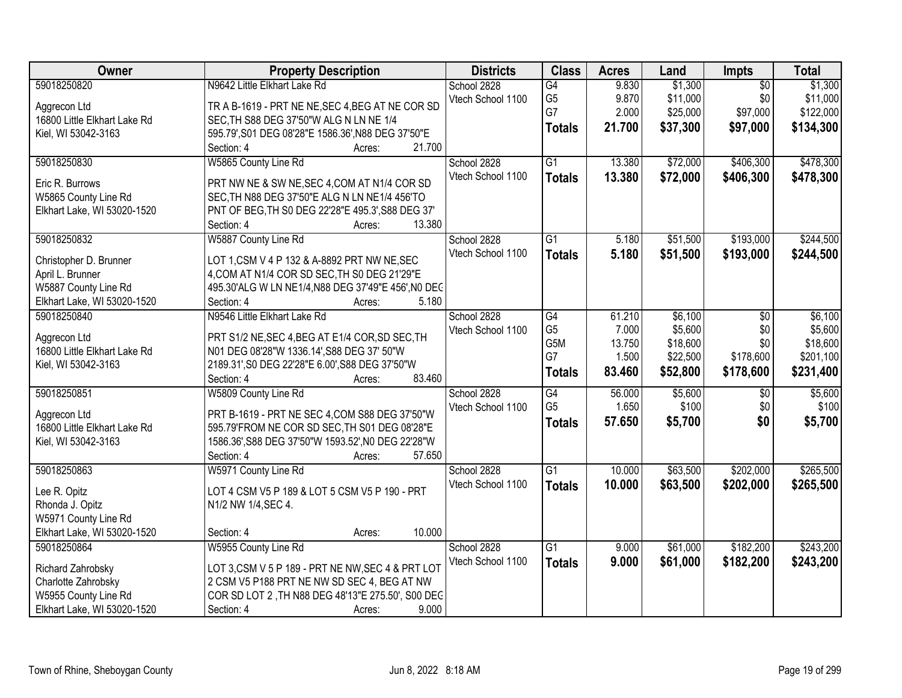| Owner                                      | <b>Property Description</b>                                                | <b>Districts</b>  | <b>Class</b>    | <b>Acres</b> | Land     | Impts           | <b>Total</b> |
|--------------------------------------------|----------------------------------------------------------------------------|-------------------|-----------------|--------------|----------|-----------------|--------------|
| 59018250820                                | N9642 Little Elkhart Lake Rd                                               | School 2828       | G4              | 9.830        | \$1,300  | $\overline{50}$ | \$1,300      |
| Aggrecon Ltd                               | TR A B-1619 - PRT NE NE, SEC 4, BEG AT NE COR SD                           | Vtech School 1100 | G <sub>5</sub>  | 9.870        | \$11,000 | \$0             | \$11,000     |
| 16800 Little Elkhart Lake Rd               | SEC, TH S88 DEG 37'50"W ALG N LN NE 1/4                                    |                   | G7              | 2.000        | \$25,000 | \$97,000        | \$122,000    |
| Kiel, WI 53042-3163                        | 595.79', S01 DEG 08'28"E 1586.36', N88 DEG 37'50"E                         |                   | <b>Totals</b>   | 21.700       | \$37,300 | \$97,000        | \$134,300    |
|                                            | 21.700<br>Section: 4<br>Acres:                                             |                   |                 |              |          |                 |              |
| 59018250830                                | W5865 County Line Rd                                                       | School 2828       | $\overline{G1}$ | 13.380       | \$72,000 | \$406,300       | \$478,300    |
| Eric R. Burrows                            | PRT NW NE & SW NE, SEC 4, COM AT N1/4 COR SD                               | Vtech School 1100 | <b>Totals</b>   | 13.380       | \$72,000 | \$406,300       | \$478,300    |
| W5865 County Line Rd                       | SEC, TH N88 DEG 37'50"E ALG N LN NE1/4 456'TO                              |                   |                 |              |          |                 |              |
| Elkhart Lake, WI 53020-1520                | PNT OF BEG, TH S0 DEG 22'28"E 495.3', S88 DEG 37'                          |                   |                 |              |          |                 |              |
|                                            | 13.380<br>Section: 4<br>Acres:                                             |                   |                 |              |          |                 |              |
| 59018250832                                | W5887 County Line Rd                                                       | School 2828       | $\overline{G1}$ | 5.180        | \$51,500 | \$193,000       | \$244,500    |
|                                            |                                                                            | Vtech School 1100 | <b>Totals</b>   | 5.180        | \$51,500 | \$193,000       | \$244,500    |
| Christopher D. Brunner                     | LOT 1, CSM V 4 P 132 & A-8892 PRT NW NE, SEC                               |                   |                 |              |          |                 |              |
| April L. Brunner                           | 4, COM AT N1/4 COR SD SEC, TH S0 DEG 21'29"E                               |                   |                 |              |          |                 |              |
| W5887 County Line Rd                       | 495.30'ALG W LN NE1/4, N88 DEG 37'49"E 456', N0 DEC<br>5.180<br>Section: 4 |                   |                 |              |          |                 |              |
| Elkhart Lake, WI 53020-1520<br>59018250840 | Acres:<br>N9546 Little Elkhart Lake Rd                                     | School 2828       | $\overline{G4}$ | 61.210       | \$6,100  | \$0             | \$6,100      |
|                                            |                                                                            | Vtech School 1100 | G <sub>5</sub>  | 7.000        | \$5,600  | \$0             | \$5,600      |
| Aggrecon Ltd                               | PRT S1/2 NE, SEC 4, BEG AT E1/4 COR, SD SEC, TH                            |                   | G5M             | 13.750       | \$18,600 | \$0             | \$18,600     |
| 16800 Little Elkhart Lake Rd               | N01 DEG 08'28"W 1336.14', S88 DEG 37' 50"W                                 |                   | G7              | 1.500        | \$22,500 | \$178,600       | \$201,100    |
| Kiel, WI 53042-3163                        | 2189.31', S0 DEG 22'28"E 6.00', S88 DEG 37'50"W                            |                   |                 | 83.460       | \$52,800 | \$178,600       | \$231,400    |
|                                            | Section: 4<br>83.460<br>Acres:                                             |                   | <b>Totals</b>   |              |          |                 |              |
| 59018250851                                | W5809 County Line Rd                                                       | School 2828       | $\overline{G4}$ | 56.000       | \$5,600  | $\overline{50}$ | \$5,600      |
| Aggrecon Ltd                               | PRT B-1619 - PRT NE SEC 4, COM S88 DEG 37'50"W                             | Vtech School 1100 | G <sub>5</sub>  | 1.650        | \$100    | \$0             | \$100        |
| 16800 Little Elkhart Lake Rd               | 595.79'FROM NE COR SD SEC, TH S01 DEG 08'28"E                              |                   | <b>Totals</b>   | 57.650       | \$5,700  | \$0             | \$5,700      |
| Kiel, WI 53042-3163                        | 1586.36', S88 DEG 37'50"W 1593.52', N0 DEG 22'28"W                         |                   |                 |              |          |                 |              |
|                                            | Section: 4<br>57.650<br>Acres:                                             |                   |                 |              |          |                 |              |
| 59018250863                                | W5971 County Line Rd                                                       | School 2828       | $\overline{G1}$ | 10.000       | \$63,500 | \$202,000       | \$265,500    |
| Lee R. Opitz                               | LOT 4 CSM V5 P 189 & LOT 5 CSM V5 P 190 - PRT                              | Vtech School 1100 | <b>Totals</b>   | 10.000       | \$63,500 | \$202,000       | \$265,500    |
|                                            |                                                                            |                   |                 |              |          |                 |              |
| Rhonda J. Opitz<br>W5971 County Line Rd    | N1/2 NW 1/4, SEC 4.                                                        |                   |                 |              |          |                 |              |
| Elkhart Lake, WI 53020-1520                | 10.000<br>Section: 4<br>Acres:                                             |                   |                 |              |          |                 |              |
| 59018250864                                | W5955 County Line Rd                                                       | School 2828       | $\overline{G1}$ | 9.000        | \$61,000 | \$182,200       | \$243,200    |
|                                            |                                                                            | Vtech School 1100 |                 | 9.000        | \$61,000 | \$182,200       |              |
| Richard Zahrobsky                          | LOT 3, CSM V 5 P 189 - PRT NE NW, SEC 4 & PRT LOT                          |                   | <b>Totals</b>   |              |          |                 | \$243,200    |
| Charlotte Zahrobsky                        | 2 CSM V5 P188 PRT NE NW SD SEC 4, BEG AT NW                                |                   |                 |              |          |                 |              |
| W5955 County Line Rd                       | COR SD LOT 2, TH N88 DEG 48'13"E 275.50', S00 DEC                          |                   |                 |              |          |                 |              |
| Elkhart Lake, WI 53020-1520                | 9.000<br>Section: 4<br>Acres:                                              |                   |                 |              |          |                 |              |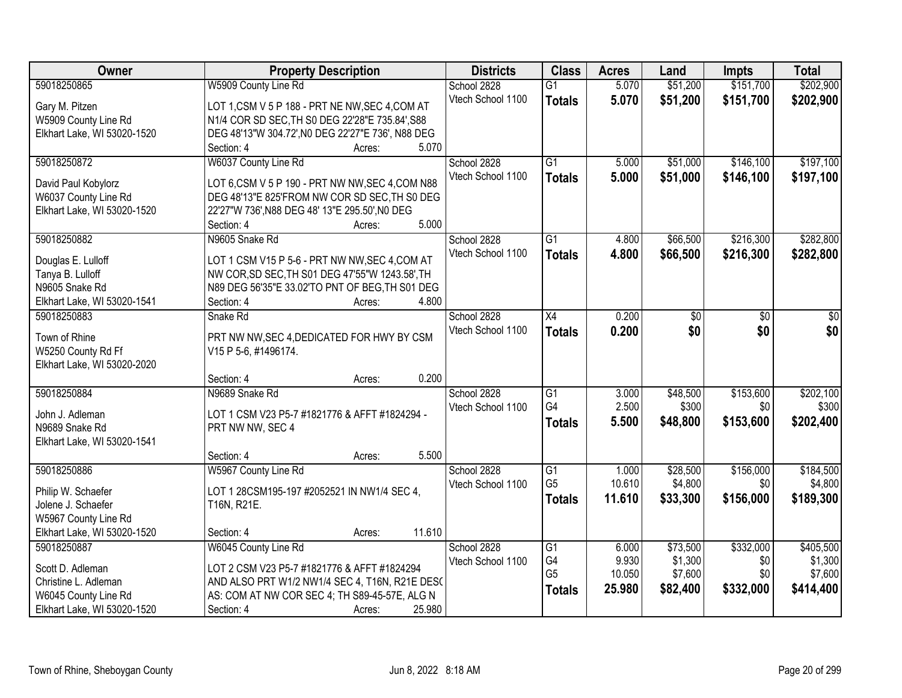| \$151,700<br>\$202,900<br>59018250865<br>W5909 County Line Rd<br>5.070<br>\$51,200<br>School 2828<br>$\overline{G1}$<br>\$51,200<br>Vtech School 1100<br>5.070<br>\$151,700<br>\$202,900<br><b>Totals</b><br>LOT 1,CSM V 5 P 188 - PRT NE NW, SEC 4, COM AT<br>Gary M. Pitzen<br>W5909 County Line Rd<br>N1/4 COR SD SEC, TH S0 DEG 22'28"E 735.84', S88<br>DEG 48'13"W 304.72', N0 DEG 22'27"E 736', N88 DEG<br>Elkhart Lake, WI 53020-1520<br>5.070<br>Section: 4<br>Acres:<br>W6037 County Line Rd<br>$\overline{G1}$<br>\$146,100<br>\$197,100<br>59018250872<br>School 2828<br>\$51,000<br>5.000<br>Vtech School 1100<br>5.000<br>\$51,000<br>\$146,100<br>\$197,100<br><b>Totals</b><br>David Paul Kobylorz<br>LOT 6, CSM V 5 P 190 - PRT NW NW, SEC 4, COM N88<br>DEG 48'13"E 825'FROM NW COR SD SEC, TH S0 DEG<br>W6037 County Line Rd<br>Elkhart Lake, WI 53020-1520<br>22'27"W 736', N88 DEG 48' 13"E 295.50', N0 DEG<br>5.000<br>Section: 4<br>Acres:<br>59018250882<br>$\overline{G1}$<br>\$66,500<br>\$216,300<br>\$282,800<br>N9605 Snake Rd<br>School 2828<br>4.800<br>Vtech School 1100<br>\$216,300<br>4.800<br>\$66,500<br>\$282,800<br><b>Totals</b><br>LOT 1 CSM V15 P 5-6 - PRT NW NW, SEC 4, COM AT<br>Douglas E. Lulloff<br>NW COR, SD SEC, TH S01 DEG 47'55"W 1243.58', TH<br>Tanya B. Lulloff<br>N9605 Snake Rd<br>N89 DEG 56'35"E 33.02'TO PNT OF BEG, TH S01 DEG<br>4.800<br>Elkhart Lake, WI 53020-1541<br>Section: 4<br>Acres:<br>59018250883<br>School 2828<br>$\overline{X4}$<br>0.200<br>Snake Rd<br>$\sqrt{30}$<br>\$0<br>$\overline{50}$<br>\$0<br>\$0<br>\$0<br>Vtech School 1100<br>0.200<br><b>Totals</b><br>Town of Rhine<br>PRT NW NW, SEC 4, DEDICATED FOR HWY BY CSM<br>W5250 County Rd Ff<br>V15 P 5-6, #1496174.<br>Elkhart Lake, WI 53020-2020<br>0.200<br>Section: 4<br>Acres:<br>59018250884<br>\$153,600<br>\$202,100<br>N9689 Snake Rd<br>$\overline{G1}$<br>3.000<br>\$48,500<br>School 2828<br>G4<br>2.500<br>\$300<br>\$300<br>\$0<br>Vtech School 1100<br>John J. Adleman<br>LOT 1 CSM V23 P5-7 #1821776 & AFFT #1824294 -<br>\$153,600<br>\$202,400<br>5.500<br>\$48,800<br><b>Totals</b><br>PRT NW NW, SEC 4<br>N9689 Snake Rd<br>Elkhart Lake, WI 53020-1541<br>5.500<br>Section: 4<br>Acres:<br>\$156,000<br>59018250886<br>School 2828<br>$\overline{G1}$<br>\$28,500<br>\$184,500<br>W5967 County Line Rd<br>1.000<br>G <sub>5</sub><br>10.610<br>\$4,800<br>\$4,800<br>\$0<br>Vtech School 1100<br>Philip W. Schaefer<br>LOT 1 28CSM195-197 #2052521 IN NW1/4 SEC 4,<br>11.610<br>\$33,300<br>\$156,000<br>\$189,300<br><b>Totals</b><br>Jolene J. Schaefer<br>T16N, R21E.<br>W5967 County Line Rd<br>11.610<br>Elkhart Lake, WI 53020-1520<br>Section: 4<br>Acres: | Owner       | <b>Property Description</b> | <b>Districts</b> | <b>Class</b>    | <b>Acres</b> | Land     | <b>Impts</b> | <b>Total</b> |
|--------------------------------------------------------------------------------------------------------------------------------------------------------------------------------------------------------------------------------------------------------------------------------------------------------------------------------------------------------------------------------------------------------------------------------------------------------------------------------------------------------------------------------------------------------------------------------------------------------------------------------------------------------------------------------------------------------------------------------------------------------------------------------------------------------------------------------------------------------------------------------------------------------------------------------------------------------------------------------------------------------------------------------------------------------------------------------------------------------------------------------------------------------------------------------------------------------------------------------------------------------------------------------------------------------------------------------------------------------------------------------------------------------------------------------------------------------------------------------------------------------------------------------------------------------------------------------------------------------------------------------------------------------------------------------------------------------------------------------------------------------------------------------------------------------------------------------------------------------------------------------------------------------------------------------------------------------------------------------------------------------------------------------------------------------------------------------------------------------------------------------------------------------------------------------------------------------------------------------------------------------------------------------------------------------------------------------------------------------------------------------------------------------------------------------------------------------------------------------------------------------------------------------------------------------------------------------------------------------------------------------------------------------------------------------------------------------------------------------|-------------|-----------------------------|------------------|-----------------|--------------|----------|--------------|--------------|
|                                                                                                                                                                                                                                                                                                                                                                                                                                                                                                                                                                                                                                                                                                                                                                                                                                                                                                                                                                                                                                                                                                                                                                                                                                                                                                                                                                                                                                                                                                                                                                                                                                                                                                                                                                                                                                                                                                                                                                                                                                                                                                                                                                                                                                                                                                                                                                                                                                                                                                                                                                                                                                                                                                                                |             |                             |                  |                 |              |          |              |              |
|                                                                                                                                                                                                                                                                                                                                                                                                                                                                                                                                                                                                                                                                                                                                                                                                                                                                                                                                                                                                                                                                                                                                                                                                                                                                                                                                                                                                                                                                                                                                                                                                                                                                                                                                                                                                                                                                                                                                                                                                                                                                                                                                                                                                                                                                                                                                                                                                                                                                                                                                                                                                                                                                                                                                |             |                             |                  |                 |              |          |              |              |
|                                                                                                                                                                                                                                                                                                                                                                                                                                                                                                                                                                                                                                                                                                                                                                                                                                                                                                                                                                                                                                                                                                                                                                                                                                                                                                                                                                                                                                                                                                                                                                                                                                                                                                                                                                                                                                                                                                                                                                                                                                                                                                                                                                                                                                                                                                                                                                                                                                                                                                                                                                                                                                                                                                                                |             |                             |                  |                 |              |          |              |              |
|                                                                                                                                                                                                                                                                                                                                                                                                                                                                                                                                                                                                                                                                                                                                                                                                                                                                                                                                                                                                                                                                                                                                                                                                                                                                                                                                                                                                                                                                                                                                                                                                                                                                                                                                                                                                                                                                                                                                                                                                                                                                                                                                                                                                                                                                                                                                                                                                                                                                                                                                                                                                                                                                                                                                |             |                             |                  |                 |              |          |              |              |
|                                                                                                                                                                                                                                                                                                                                                                                                                                                                                                                                                                                                                                                                                                                                                                                                                                                                                                                                                                                                                                                                                                                                                                                                                                                                                                                                                                                                                                                                                                                                                                                                                                                                                                                                                                                                                                                                                                                                                                                                                                                                                                                                                                                                                                                                                                                                                                                                                                                                                                                                                                                                                                                                                                                                |             |                             |                  |                 |              |          |              |              |
|                                                                                                                                                                                                                                                                                                                                                                                                                                                                                                                                                                                                                                                                                                                                                                                                                                                                                                                                                                                                                                                                                                                                                                                                                                                                                                                                                                                                                                                                                                                                                                                                                                                                                                                                                                                                                                                                                                                                                                                                                                                                                                                                                                                                                                                                                                                                                                                                                                                                                                                                                                                                                                                                                                                                |             |                             |                  |                 |              |          |              |              |
|                                                                                                                                                                                                                                                                                                                                                                                                                                                                                                                                                                                                                                                                                                                                                                                                                                                                                                                                                                                                                                                                                                                                                                                                                                                                                                                                                                                                                                                                                                                                                                                                                                                                                                                                                                                                                                                                                                                                                                                                                                                                                                                                                                                                                                                                                                                                                                                                                                                                                                                                                                                                                                                                                                                                |             |                             |                  |                 |              |          |              |              |
|                                                                                                                                                                                                                                                                                                                                                                                                                                                                                                                                                                                                                                                                                                                                                                                                                                                                                                                                                                                                                                                                                                                                                                                                                                                                                                                                                                                                                                                                                                                                                                                                                                                                                                                                                                                                                                                                                                                                                                                                                                                                                                                                                                                                                                                                                                                                                                                                                                                                                                                                                                                                                                                                                                                                |             |                             |                  |                 |              |          |              |              |
|                                                                                                                                                                                                                                                                                                                                                                                                                                                                                                                                                                                                                                                                                                                                                                                                                                                                                                                                                                                                                                                                                                                                                                                                                                                                                                                                                                                                                                                                                                                                                                                                                                                                                                                                                                                                                                                                                                                                                                                                                                                                                                                                                                                                                                                                                                                                                                                                                                                                                                                                                                                                                                                                                                                                |             |                             |                  |                 |              |          |              |              |
|                                                                                                                                                                                                                                                                                                                                                                                                                                                                                                                                                                                                                                                                                                                                                                                                                                                                                                                                                                                                                                                                                                                                                                                                                                                                                                                                                                                                                                                                                                                                                                                                                                                                                                                                                                                                                                                                                                                                                                                                                                                                                                                                                                                                                                                                                                                                                                                                                                                                                                                                                                                                                                                                                                                                |             |                             |                  |                 |              |          |              |              |
|                                                                                                                                                                                                                                                                                                                                                                                                                                                                                                                                                                                                                                                                                                                                                                                                                                                                                                                                                                                                                                                                                                                                                                                                                                                                                                                                                                                                                                                                                                                                                                                                                                                                                                                                                                                                                                                                                                                                                                                                                                                                                                                                                                                                                                                                                                                                                                                                                                                                                                                                                                                                                                                                                                                                |             |                             |                  |                 |              |          |              |              |
|                                                                                                                                                                                                                                                                                                                                                                                                                                                                                                                                                                                                                                                                                                                                                                                                                                                                                                                                                                                                                                                                                                                                                                                                                                                                                                                                                                                                                                                                                                                                                                                                                                                                                                                                                                                                                                                                                                                                                                                                                                                                                                                                                                                                                                                                                                                                                                                                                                                                                                                                                                                                                                                                                                                                |             |                             |                  |                 |              |          |              |              |
|                                                                                                                                                                                                                                                                                                                                                                                                                                                                                                                                                                                                                                                                                                                                                                                                                                                                                                                                                                                                                                                                                                                                                                                                                                                                                                                                                                                                                                                                                                                                                                                                                                                                                                                                                                                                                                                                                                                                                                                                                                                                                                                                                                                                                                                                                                                                                                                                                                                                                                                                                                                                                                                                                                                                |             |                             |                  |                 |              |          |              |              |
|                                                                                                                                                                                                                                                                                                                                                                                                                                                                                                                                                                                                                                                                                                                                                                                                                                                                                                                                                                                                                                                                                                                                                                                                                                                                                                                                                                                                                                                                                                                                                                                                                                                                                                                                                                                                                                                                                                                                                                                                                                                                                                                                                                                                                                                                                                                                                                                                                                                                                                                                                                                                                                                                                                                                |             |                             |                  |                 |              |          |              |              |
|                                                                                                                                                                                                                                                                                                                                                                                                                                                                                                                                                                                                                                                                                                                                                                                                                                                                                                                                                                                                                                                                                                                                                                                                                                                                                                                                                                                                                                                                                                                                                                                                                                                                                                                                                                                                                                                                                                                                                                                                                                                                                                                                                                                                                                                                                                                                                                                                                                                                                                                                                                                                                                                                                                                                |             |                             |                  |                 |              |          |              |              |
|                                                                                                                                                                                                                                                                                                                                                                                                                                                                                                                                                                                                                                                                                                                                                                                                                                                                                                                                                                                                                                                                                                                                                                                                                                                                                                                                                                                                                                                                                                                                                                                                                                                                                                                                                                                                                                                                                                                                                                                                                                                                                                                                                                                                                                                                                                                                                                                                                                                                                                                                                                                                                                                                                                                                |             |                             |                  |                 |              |          |              |              |
|                                                                                                                                                                                                                                                                                                                                                                                                                                                                                                                                                                                                                                                                                                                                                                                                                                                                                                                                                                                                                                                                                                                                                                                                                                                                                                                                                                                                                                                                                                                                                                                                                                                                                                                                                                                                                                                                                                                                                                                                                                                                                                                                                                                                                                                                                                                                                                                                                                                                                                                                                                                                                                                                                                                                |             |                             |                  |                 |              |          |              |              |
|                                                                                                                                                                                                                                                                                                                                                                                                                                                                                                                                                                                                                                                                                                                                                                                                                                                                                                                                                                                                                                                                                                                                                                                                                                                                                                                                                                                                                                                                                                                                                                                                                                                                                                                                                                                                                                                                                                                                                                                                                                                                                                                                                                                                                                                                                                                                                                                                                                                                                                                                                                                                                                                                                                                                |             |                             |                  |                 |              |          |              |              |
|                                                                                                                                                                                                                                                                                                                                                                                                                                                                                                                                                                                                                                                                                                                                                                                                                                                                                                                                                                                                                                                                                                                                                                                                                                                                                                                                                                                                                                                                                                                                                                                                                                                                                                                                                                                                                                                                                                                                                                                                                                                                                                                                                                                                                                                                                                                                                                                                                                                                                                                                                                                                                                                                                                                                |             |                             |                  |                 |              |          |              |              |
|                                                                                                                                                                                                                                                                                                                                                                                                                                                                                                                                                                                                                                                                                                                                                                                                                                                                                                                                                                                                                                                                                                                                                                                                                                                                                                                                                                                                                                                                                                                                                                                                                                                                                                                                                                                                                                                                                                                                                                                                                                                                                                                                                                                                                                                                                                                                                                                                                                                                                                                                                                                                                                                                                                                                |             |                             |                  |                 |              |          |              |              |
|                                                                                                                                                                                                                                                                                                                                                                                                                                                                                                                                                                                                                                                                                                                                                                                                                                                                                                                                                                                                                                                                                                                                                                                                                                                                                                                                                                                                                                                                                                                                                                                                                                                                                                                                                                                                                                                                                                                                                                                                                                                                                                                                                                                                                                                                                                                                                                                                                                                                                                                                                                                                                                                                                                                                |             |                             |                  |                 |              |          |              |              |
|                                                                                                                                                                                                                                                                                                                                                                                                                                                                                                                                                                                                                                                                                                                                                                                                                                                                                                                                                                                                                                                                                                                                                                                                                                                                                                                                                                                                                                                                                                                                                                                                                                                                                                                                                                                                                                                                                                                                                                                                                                                                                                                                                                                                                                                                                                                                                                                                                                                                                                                                                                                                                                                                                                                                |             |                             |                  |                 |              |          |              |              |
|                                                                                                                                                                                                                                                                                                                                                                                                                                                                                                                                                                                                                                                                                                                                                                                                                                                                                                                                                                                                                                                                                                                                                                                                                                                                                                                                                                                                                                                                                                                                                                                                                                                                                                                                                                                                                                                                                                                                                                                                                                                                                                                                                                                                                                                                                                                                                                                                                                                                                                                                                                                                                                                                                                                                |             |                             |                  |                 |              |          |              |              |
|                                                                                                                                                                                                                                                                                                                                                                                                                                                                                                                                                                                                                                                                                                                                                                                                                                                                                                                                                                                                                                                                                                                                                                                                                                                                                                                                                                                                                                                                                                                                                                                                                                                                                                                                                                                                                                                                                                                                                                                                                                                                                                                                                                                                                                                                                                                                                                                                                                                                                                                                                                                                                                                                                                                                |             |                             |                  |                 |              |          |              |              |
|                                                                                                                                                                                                                                                                                                                                                                                                                                                                                                                                                                                                                                                                                                                                                                                                                                                                                                                                                                                                                                                                                                                                                                                                                                                                                                                                                                                                                                                                                                                                                                                                                                                                                                                                                                                                                                                                                                                                                                                                                                                                                                                                                                                                                                                                                                                                                                                                                                                                                                                                                                                                                                                                                                                                |             |                             |                  |                 |              |          |              |              |
|                                                                                                                                                                                                                                                                                                                                                                                                                                                                                                                                                                                                                                                                                                                                                                                                                                                                                                                                                                                                                                                                                                                                                                                                                                                                                                                                                                                                                                                                                                                                                                                                                                                                                                                                                                                                                                                                                                                                                                                                                                                                                                                                                                                                                                                                                                                                                                                                                                                                                                                                                                                                                                                                                                                                |             |                             |                  |                 |              |          |              |              |
|                                                                                                                                                                                                                                                                                                                                                                                                                                                                                                                                                                                                                                                                                                                                                                                                                                                                                                                                                                                                                                                                                                                                                                                                                                                                                                                                                                                                                                                                                                                                                                                                                                                                                                                                                                                                                                                                                                                                                                                                                                                                                                                                                                                                                                                                                                                                                                                                                                                                                                                                                                                                                                                                                                                                |             |                             |                  |                 |              |          |              |              |
|                                                                                                                                                                                                                                                                                                                                                                                                                                                                                                                                                                                                                                                                                                                                                                                                                                                                                                                                                                                                                                                                                                                                                                                                                                                                                                                                                                                                                                                                                                                                                                                                                                                                                                                                                                                                                                                                                                                                                                                                                                                                                                                                                                                                                                                                                                                                                                                                                                                                                                                                                                                                                                                                                                                                |             |                             |                  |                 |              |          |              |              |
|                                                                                                                                                                                                                                                                                                                                                                                                                                                                                                                                                                                                                                                                                                                                                                                                                                                                                                                                                                                                                                                                                                                                                                                                                                                                                                                                                                                                                                                                                                                                                                                                                                                                                                                                                                                                                                                                                                                                                                                                                                                                                                                                                                                                                                                                                                                                                                                                                                                                                                                                                                                                                                                                                                                                |             |                             |                  |                 |              |          |              |              |
|                                                                                                                                                                                                                                                                                                                                                                                                                                                                                                                                                                                                                                                                                                                                                                                                                                                                                                                                                                                                                                                                                                                                                                                                                                                                                                                                                                                                                                                                                                                                                                                                                                                                                                                                                                                                                                                                                                                                                                                                                                                                                                                                                                                                                                                                                                                                                                                                                                                                                                                                                                                                                                                                                                                                |             |                             |                  |                 |              |          |              |              |
|                                                                                                                                                                                                                                                                                                                                                                                                                                                                                                                                                                                                                                                                                                                                                                                                                                                                                                                                                                                                                                                                                                                                                                                                                                                                                                                                                                                                                                                                                                                                                                                                                                                                                                                                                                                                                                                                                                                                                                                                                                                                                                                                                                                                                                                                                                                                                                                                                                                                                                                                                                                                                                                                                                                                |             |                             |                  |                 |              |          |              |              |
|                                                                                                                                                                                                                                                                                                                                                                                                                                                                                                                                                                                                                                                                                                                                                                                                                                                                                                                                                                                                                                                                                                                                                                                                                                                                                                                                                                                                                                                                                                                                                                                                                                                                                                                                                                                                                                                                                                                                                                                                                                                                                                                                                                                                                                                                                                                                                                                                                                                                                                                                                                                                                                                                                                                                |             |                             |                  |                 |              |          |              |              |
|                                                                                                                                                                                                                                                                                                                                                                                                                                                                                                                                                                                                                                                                                                                                                                                                                                                                                                                                                                                                                                                                                                                                                                                                                                                                                                                                                                                                                                                                                                                                                                                                                                                                                                                                                                                                                                                                                                                                                                                                                                                                                                                                                                                                                                                                                                                                                                                                                                                                                                                                                                                                                                                                                                                                | 59018250887 | W6045 County Line Rd        | School 2828      | $\overline{G1}$ | 6.000        | \$73,500 | \$332,000    | \$405,500    |
| G4<br>9.930<br>\$1,300<br>\$1,300<br>Vtech School 1100<br>\$0<br>Scott D. Adleman<br>LOT 2 CSM V23 P5-7 #1821776 & AFFT #1824294                                                                                                                                                                                                                                                                                                                                                                                                                                                                                                                                                                                                                                                                                                                                                                                                                                                                                                                                                                                                                                                                                                                                                                                                                                                                                                                                                                                                                                                                                                                                                                                                                                                                                                                                                                                                                                                                                                                                                                                                                                                                                                                                                                                                                                                                                                                                                                                                                                                                                                                                                                                               |             |                             |                  |                 |              |          |              |              |
| G <sub>5</sub><br>10.050<br>\$7,600<br>\$0<br>\$7,600<br>AND ALSO PRT W1/2 NW1/4 SEC 4, T16N, R21E DESC<br>Christine L. Adleman                                                                                                                                                                                                                                                                                                                                                                                                                                                                                                                                                                                                                                                                                                                                                                                                                                                                                                                                                                                                                                                                                                                                                                                                                                                                                                                                                                                                                                                                                                                                                                                                                                                                                                                                                                                                                                                                                                                                                                                                                                                                                                                                                                                                                                                                                                                                                                                                                                                                                                                                                                                                |             |                             |                  |                 |              |          |              |              |
| 25.980<br>\$82,400<br>\$332,000<br>\$414,400<br><b>Totals</b><br>AS: COM AT NW COR SEC 4; TH S89-45-57E, ALG N<br>W6045 County Line Rd                                                                                                                                                                                                                                                                                                                                                                                                                                                                                                                                                                                                                                                                                                                                                                                                                                                                                                                                                                                                                                                                                                                                                                                                                                                                                                                                                                                                                                                                                                                                                                                                                                                                                                                                                                                                                                                                                                                                                                                                                                                                                                                                                                                                                                                                                                                                                                                                                                                                                                                                                                                         |             |                             |                  |                 |              |          |              |              |
| 25.980<br>Elkhart Lake, WI 53020-1520<br>Section: 4<br>Acres:                                                                                                                                                                                                                                                                                                                                                                                                                                                                                                                                                                                                                                                                                                                                                                                                                                                                                                                                                                                                                                                                                                                                                                                                                                                                                                                                                                                                                                                                                                                                                                                                                                                                                                                                                                                                                                                                                                                                                                                                                                                                                                                                                                                                                                                                                                                                                                                                                                                                                                                                                                                                                                                                  |             |                             |                  |                 |              |          |              |              |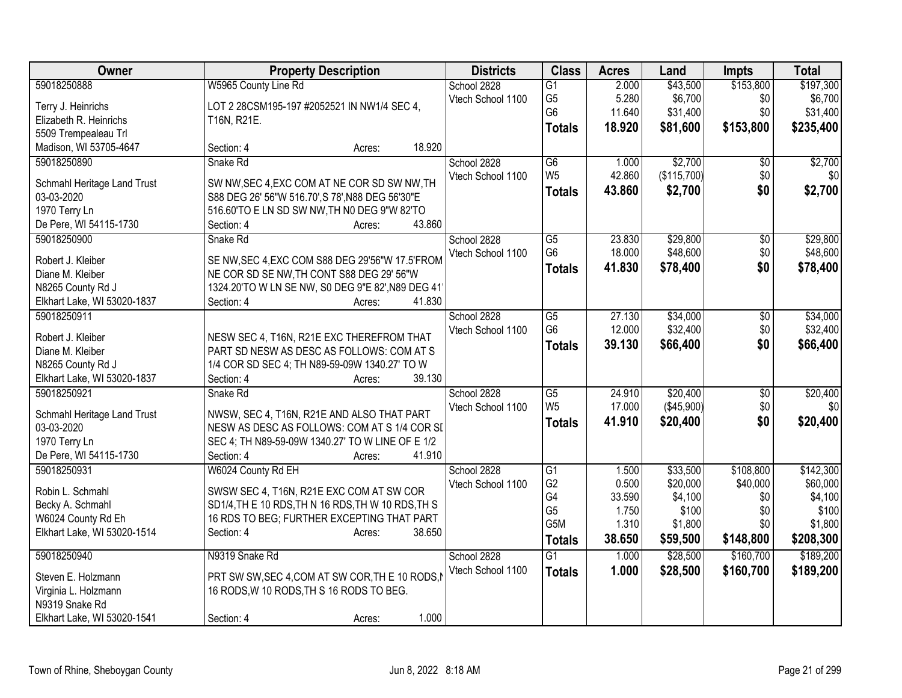| Owner                       | <b>Property Description</b>                        | <b>Districts</b>  | <b>Class</b>           | <b>Acres</b> | Land        | <b>Impts</b>    | <b>Total</b> |
|-----------------------------|----------------------------------------------------|-------------------|------------------------|--------------|-------------|-----------------|--------------|
| 59018250888                 | W5965 County Line Rd                               | School 2828       | $\overline{G1}$        | 2.000        | \$43,500    | \$153,800       | \$197,300    |
| Terry J. Heinrichs          | LOT 2 28CSM195-197 #2052521 IN NW1/4 SEC 4,        | Vtech School 1100 | G <sub>5</sub>         | 5.280        | \$6,700     | \$0             | \$6,700      |
| Elizabeth R. Heinrichs      | T16N, R21E.                                        |                   | G <sub>6</sub>         | 11.640       | \$31,400    | \$0             | \$31,400     |
| 5509 Trempealeau Trl        |                                                    |                   | <b>Totals</b>          | 18.920       | \$81,600    | \$153,800       | \$235,400    |
| Madison, WI 53705-4647      | 18.920<br>Section: 4<br>Acres:                     |                   |                        |              |             |                 |              |
| 59018250890                 | Snake Rd                                           | School 2828       | $\overline{G6}$        | 1.000        | \$2,700     | \$0             | \$2,700      |
|                             |                                                    | Vtech School 1100 | W <sub>5</sub>         | 42.860       | (\$115,700) | \$0             | 30           |
| Schmahl Heritage Land Trust | SW NW, SEC 4, EXC COM AT NE COR SD SW NW, TH       |                   | <b>Totals</b>          | 43.860       | \$2,700     | \$0             | \$2,700      |
| 03-03-2020                  | S88 DEG 26' 56"W 516.70', S 78', N88 DEG 56'30"E   |                   |                        |              |             |                 |              |
| 1970 Terry Ln               | 516.60'TO E LN SD SW NW, TH N0 DEG 9"W 82'TO       |                   |                        |              |             |                 |              |
| De Pere, WI 54115-1730      | Section: 4<br>43.860<br>Acres:                     |                   |                        |              |             |                 |              |
| 59018250900                 | Snake Rd                                           | School 2828       | $\overline{G5}$        | 23.830       | \$29,800    | $\overline{50}$ | \$29,800     |
| Robert J. Kleiber           | SE NW, SEC 4, EXC COM S88 DEG 29'56"W 17.5'FROM    | Vtech School 1100 | G <sub>6</sub>         | 18.000       | \$48,600    | \$0             | \$48,600     |
| Diane M. Kleiber            | NE COR SD SE NW, TH CONT S88 DEG 29' 56"W          |                   | <b>Totals</b>          | 41.830       | \$78,400    | \$0             | \$78,400     |
| N8265 County Rd J           | 1324.20'TO W LN SE NW, S0 DEG 9"E 82', N89 DEG 41' |                   |                        |              |             |                 |              |
| Elkhart Lake, WI 53020-1837 | 41.830<br>Section: 4<br>Acres:                     |                   |                        |              |             |                 |              |
| 59018250911                 |                                                    | School 2828       | $\overline{G5}$        | 27.130       | \$34,000    | \$0             | \$34,000     |
|                             |                                                    | Vtech School 1100 | G <sub>6</sub>         | 12.000       | \$32,400    | \$0             | \$32,400     |
| Robert J. Kleiber           | NESW SEC 4, T16N, R21E EXC THEREFROM THAT          |                   | <b>Totals</b>          | 39.130       | \$66,400    | \$0             | \$66,400     |
| Diane M. Kleiber            | PART SD NESW AS DESC AS FOLLOWS: COM AT S          |                   |                        |              |             |                 |              |
| N8265 County Rd J           | 1/4 COR SD SEC 4; TH N89-59-09W 1340.27' TO W      |                   |                        |              |             |                 |              |
| Elkhart Lake, WI 53020-1837 | 39.130<br>Section: 4<br>Acres:                     |                   |                        |              |             |                 |              |
| 59018250921                 | Snake Rd                                           | School 2828       | $\overline{\text{G5}}$ | 24.910       | \$20,400    | $\overline{60}$ | \$20,400     |
| Schmahl Heritage Land Trust | NWSW, SEC 4, T16N, R21E AND ALSO THAT PART         | Vtech School 1100 | W <sub>5</sub>         | 17.000       | (\$45,900)  | \$0             | \$0          |
| 03-03-2020                  | NESW AS DESC AS FOLLOWS: COM AT S 1/4 COR SI       |                   | <b>Totals</b>          | 41.910       | \$20,400    | \$0             | \$20,400     |
| 1970 Terry Ln               | SEC 4; TH N89-59-09W 1340.27' TO W LINE OF E 1/2   |                   |                        |              |             |                 |              |
| De Pere, WI 54115-1730      | 41.910<br>Section: 4<br>Acres:                     |                   |                        |              |             |                 |              |
| 59018250931                 | W6024 County Rd EH                                 | School 2828       | $\overline{G1}$        | 1.500        | \$33,500    | \$108,800       | \$142,300    |
|                             |                                                    | Vtech School 1100 | G <sub>2</sub>         | 0.500        | \$20,000    | \$40,000        | \$60,000     |
| Robin L. Schmahl            | SWSW SEC 4, T16N, R21E EXC COM AT SW COR           |                   | G4                     | 33.590       | \$4,100     | \$0             | \$4,100      |
| Becky A. Schmahl            | SD1/4, TH E 10 RDS, TH N 16 RDS, TH W 10 RDS, TH S |                   | G <sub>5</sub>         | 1.750        | \$100       | \$0             | \$100        |
| W6024 County Rd Eh          | 16 RDS TO BEG; FURTHER EXCEPTING THAT PART         |                   | G5M                    | 1.310        | \$1,800     | \$0             | \$1,800      |
| Elkhart Lake, WI 53020-1514 | Section: 4<br>38.650<br>Acres:                     |                   | <b>Totals</b>          | 38.650       | \$59,500    | \$148,800       | \$208,300    |
| 59018250940                 | N9319 Snake Rd                                     | School 2828       | $\overline{G1}$        | 1.000        | \$28,500    | \$160,700       | \$189,200    |
|                             |                                                    | Vtech School 1100 | <b>Totals</b>          | 1.000        | \$28,500    | \$160,700       | \$189,200    |
| Steven E. Holzmann          | PRT SW SW, SEC 4, COM AT SW COR, THE 10 RODS, I    |                   |                        |              |             |                 |              |
| Virginia L. Holzmann        | 16 RODS, W 10 RODS, TH S 16 RODS TO BEG.           |                   |                        |              |             |                 |              |
| N9319 Snake Rd              |                                                    |                   |                        |              |             |                 |              |
| Elkhart Lake, WI 53020-1541 | 1.000<br>Section: 4<br>Acres:                      |                   |                        |              |             |                 |              |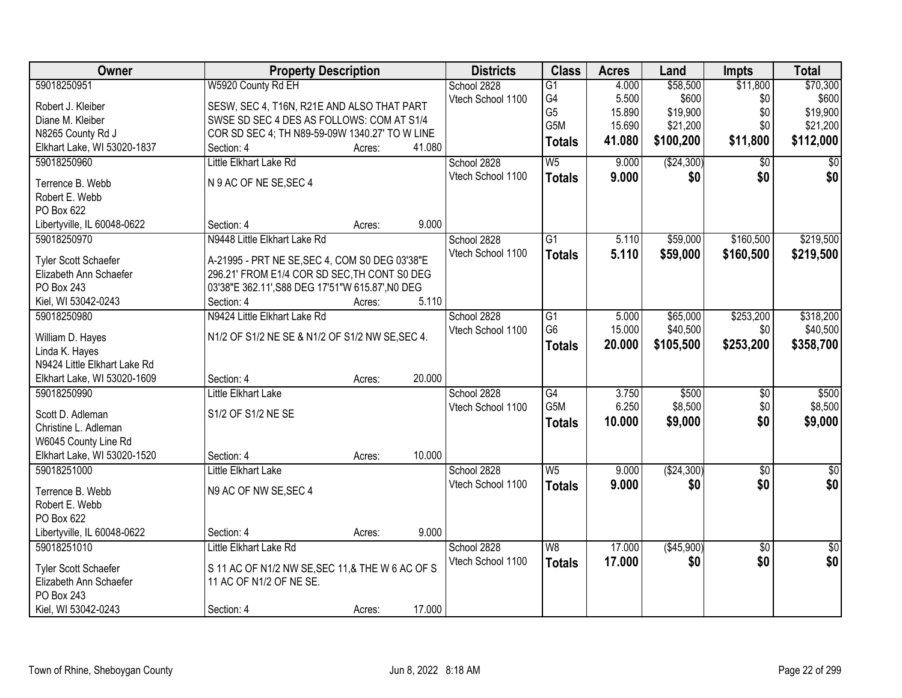| Owner                                | <b>Property Description</b>                                    |        |        | <b>Districts</b>  | <b>Class</b>     | <b>Acres</b> | Land         | <b>Impts</b>    | <b>Total</b>    |
|--------------------------------------|----------------------------------------------------------------|--------|--------|-------------------|------------------|--------------|--------------|-----------------|-----------------|
| 59018250951                          | W5920 County Rd EH                                             |        |        | School 2828       | $\overline{G1}$  | 4.000        | \$58,500     | \$11,800        | \$70,300        |
| Robert J. Kleiber                    | SESW, SEC 4, T16N, R21E AND ALSO THAT PART                     |        |        | Vtech School 1100 | G4               | 5.500        | \$600        | \$0             | \$600           |
| Diane M. Kleiber                     | SWSE SD SEC 4 DES AS FOLLOWS: COM AT S1/4                      |        |        |                   | G <sub>5</sub>   | 15.890       | \$19,900     | \$0             | \$19,900        |
| N8265 County Rd J                    | COR SD SEC 4; TH N89-59-09W 1340.27' TO W LINE                 |        |        |                   | G5M              | 15.690       | \$21,200     | \$0             | \$21,200        |
| Elkhart Lake, WI 53020-1837          | Section: 4                                                     | Acres: | 41.080 |                   | <b>Totals</b>    | 41.080       | \$100,200    | \$11,800        | \$112,000       |
| 59018250960                          | Little Elkhart Lake Rd                                         |        |        | School 2828       | W <sub>5</sub>   | 9.000        | (\$24,300)   | $\overline{50}$ | \$0             |
| Terrence B. Webb                     | N 9 AC OF NE SE, SEC 4                                         |        |        | Vtech School 1100 | <b>Totals</b>    | 9.000        | \$0          | \$0             | \$0             |
| Robert E. Webb                       |                                                                |        |        |                   |                  |              |              |                 |                 |
| PO Box 622                           |                                                                |        |        |                   |                  |              |              |                 |                 |
| Libertyville, IL 60048-0622          | Section: 4                                                     | Acres: | 9.000  |                   |                  |              |              |                 |                 |
| 59018250970                          | N9448 Little Elkhart Lake Rd                                   |        |        | School 2828       | $\overline{G1}$  | 5.110        | \$59,000     | \$160,500       | \$219,500       |
|                                      |                                                                |        |        | Vtech School 1100 | <b>Totals</b>    | 5.110        | \$59,000     | \$160,500       | \$219,500       |
| Tyler Scott Schaefer                 | A-21995 - PRT NE SE, SEC 4, COM S0 DEG 03'38"E                 |        |        |                   |                  |              |              |                 |                 |
| Elizabeth Ann Schaefer<br>PO Box 243 | 296.21' FROM E1/4 COR SD SEC, TH CONT S0 DEG                   |        |        |                   |                  |              |              |                 |                 |
| Kiel, WI 53042-0243                  | 03'38"E 362.11', S88 DEG 17'51"W 615.87', NO DEG<br>Section: 4 | Acres: | 5.110  |                   |                  |              |              |                 |                 |
| 59018250980                          | N9424 Little Elkhart Lake Rd                                   |        |        | School 2828       | G1               | 5.000        | \$65,000     | \$253,200       | \$318,200       |
|                                      |                                                                |        |        | Vtech School 1100 | G <sub>6</sub>   | 15.000       | \$40,500     | \$0             | \$40,500        |
| William D. Hayes                     | N1/2 OF S1/2 NE SE & N1/2 OF S1/2 NW SE, SEC 4.                |        |        |                   |                  | 20.000       | \$105,500    | \$253,200       | \$358,700       |
| Linda K. Hayes                       |                                                                |        |        |                   | <b>Totals</b>    |              |              |                 |                 |
| N9424 Little Elkhart Lake Rd         |                                                                |        |        |                   |                  |              |              |                 |                 |
| Elkhart Lake, WI 53020-1609          | Section: 4                                                     | Acres: | 20.000 |                   |                  |              |              |                 |                 |
| 59018250990                          | <b>Little Elkhart Lake</b>                                     |        |        | School 2828       | G4               | 3.750        | \$500        | $\overline{50}$ | \$500           |
| Scott D. Adleman                     | S1/2 OF S1/2 NE SE                                             |        |        | Vtech School 1100 | G <sub>5</sub> M | 6.250        | \$8,500      | \$0             | \$8,500         |
| Christine L. Adleman                 |                                                                |        |        |                   | <b>Totals</b>    | 10.000       | \$9,000      | \$0             | \$9,000         |
| W6045 County Line Rd                 |                                                                |        |        |                   |                  |              |              |                 |                 |
| Elkhart Lake, WI 53020-1520          | Section: 4                                                     | Acres: | 10.000 |                   |                  |              |              |                 |                 |
| 59018251000                          | Little Elkhart Lake                                            |        |        | School 2828       | W <sub>5</sub>   | 9.000        | ( \$24, 300) | $\overline{50}$ | $\overline{50}$ |
| Terrence B. Webb                     | N9 AC OF NW SE, SEC 4                                          |        |        | Vtech School 1100 | <b>Totals</b>    | 9.000        | \$0          | \$0             | \$0             |
| Robert E. Webb                       |                                                                |        |        |                   |                  |              |              |                 |                 |
| PO Box 622                           |                                                                |        |        |                   |                  |              |              |                 |                 |
| Libertyville, IL 60048-0622          | Section: 4                                                     | Acres: | 9.000  |                   |                  |              |              |                 |                 |
| 59018251010                          | Little Elkhart Lake Rd                                         |        |        | School 2828       | W8               | 17.000       | (\$45,900)   | $\overline{50}$ | $\sqrt{50}$     |
|                                      |                                                                |        |        | Vtech School 1100 | <b>Totals</b>    | 17.000       | \$0          | \$0             | \$0             |
| Tyler Scott Schaefer                 | S 11 AC OF N1/2 NW SE, SEC 11, & THE W 6 AC OF S               |        |        |                   |                  |              |              |                 |                 |
| Elizabeth Ann Schaefer               | 11 AC OF N1/2 OF NE SE.                                        |        |        |                   |                  |              |              |                 |                 |
| PO Box 243                           |                                                                |        |        |                   |                  |              |              |                 |                 |
| Kiel, WI 53042-0243                  | Section: 4                                                     | Acres: | 17.000 |                   |                  |              |              |                 |                 |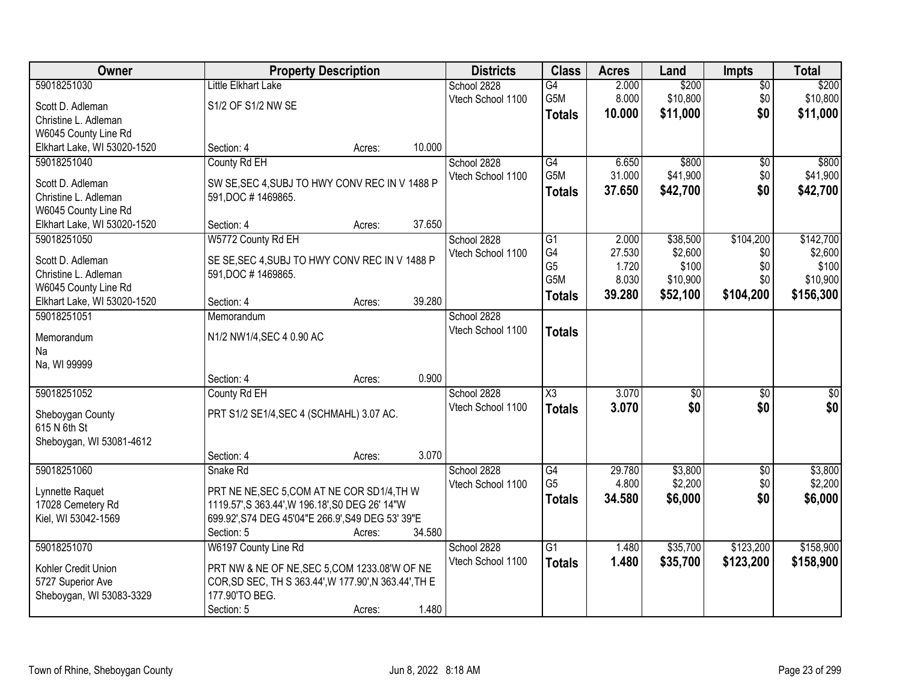| Owner                       |                                                       | <b>Property Description</b> |        | <b>Districts</b>  | <b>Class</b>        | <b>Acres</b> | Land                | <b>Impts</b>    | <b>Total</b> |
|-----------------------------|-------------------------------------------------------|-----------------------------|--------|-------------------|---------------------|--------------|---------------------|-----------------|--------------|
| 59018251030                 | Little Elkhart Lake                                   |                             |        | School 2828       | $\overline{G4}$     | 2.000        | \$200               | $\overline{50}$ | \$200        |
| Scott D. Adleman            | S1/2 OF S1/2 NW SE                                    |                             |        | Vtech School 1100 | G <sub>5</sub> M    | 8.000        | \$10,800            | \$0             | \$10,800     |
| Christine L. Adleman        |                                                       |                             |        |                   | <b>Totals</b>       | 10.000       | \$11,000            | \$0             | \$11,000     |
| W6045 County Line Rd        |                                                       |                             |        |                   |                     |              |                     |                 |              |
| Elkhart Lake, WI 53020-1520 | Section: 4                                            | Acres:                      | 10.000 |                   |                     |              |                     |                 |              |
| 59018251040                 | County Rd EH                                          |                             |        | School 2828       | G4                  | 6.650        | \$800               | \$0             | \$800        |
|                             |                                                       |                             |        | Vtech School 1100 | G5M                 | 31.000       | \$41,900            | \$0             | \$41,900     |
| Scott D. Adleman            | SW SE, SEC 4, SUBJ TO HWY CONV REC IN V 1488 P        |                             |        |                   | <b>Totals</b>       | 37.650       | \$42,700            | \$0             | \$42,700     |
| Christine L. Adleman        | 591, DOC #1469865.                                    |                             |        |                   |                     |              |                     |                 |              |
| W6045 County Line Rd        |                                                       |                             | 37.650 |                   |                     |              |                     |                 |              |
| Elkhart Lake, WI 53020-1520 | Section: 4                                            | Acres:                      |        |                   | $\overline{G1}$     | 2.000        |                     | \$104,200       | \$142,700    |
| 59018251050                 | W5772 County Rd EH                                    |                             |        | School 2828       | G4                  | 27.530       | \$38,500<br>\$2,600 |                 | \$2,600      |
| Scott D. Adleman            | SE SE, SEC 4, SUBJ TO HWY CONV REC IN V 1488 P        |                             |        | Vtech School 1100 | G <sub>5</sub>      | 1.720        | \$100               | \$0<br>\$0      | \$100        |
| Christine L. Adleman        | 591, DOC #1469865.                                    |                             |        |                   | G5M                 | 8.030        | \$10,900            | \$0             | \$10,900     |
| W6045 County Line Rd        |                                                       |                             |        |                   | <b>Totals</b>       | 39.280       | \$52,100            | \$104,200       | \$156,300    |
| Elkhart Lake, WI 53020-1520 | Section: 4                                            | Acres:                      | 39.280 |                   |                     |              |                     |                 |              |
| 59018251051                 | Memorandum                                            |                             |        | School 2828       |                     |              |                     |                 |              |
| Memorandum                  | N1/2 NW1/4, SEC 4 0.90 AC                             |                             |        | Vtech School 1100 | <b>Totals</b>       |              |                     |                 |              |
| Na                          |                                                       |                             |        |                   |                     |              |                     |                 |              |
| Na, WI 99999                |                                                       |                             |        |                   |                     |              |                     |                 |              |
|                             | Section: 4                                            | Acres:                      | 0.900  |                   |                     |              |                     |                 |              |
| 59018251052                 | County Rd EH                                          |                             |        | School 2828       | $\overline{\chi_3}$ | 3.070        | $\overline{50}$     | $\overline{30}$ | $\sqrt{50}$  |
|                             |                                                       |                             |        | Vtech School 1100 | <b>Totals</b>       | 3.070        | \$0                 | \$0             | \$0          |
| Sheboygan County            | PRT S1/2 SE1/4, SEC 4 (SCHMAHL) 3.07 AC.              |                             |        |                   |                     |              |                     |                 |              |
| 615 N 6th St                |                                                       |                             |        |                   |                     |              |                     |                 |              |
| Sheboygan, WI 53081-4612    | Section: 4                                            |                             | 3.070  |                   |                     |              |                     |                 |              |
| 59018251060                 | Snake Rd                                              | Acres:                      |        | School 2828       | G4                  | 29.780       | \$3,800             | $\overline{50}$ | \$3,800      |
|                             |                                                       |                             |        | Vtech School 1100 | G <sub>5</sub>      | 4.800        | \$2,200             | \$0             | \$2,200      |
| Lynnette Raquet             | PRT NE NE, SEC 5, COM AT NE COR SD1/4, TH W           |                             |        |                   | <b>Totals</b>       | 34.580       | \$6,000             | \$0             | \$6,000      |
| 17028 Cemetery Rd           | 1119.57', S 363.44', W 196.18', S0 DEG 26' 14"W       |                             |        |                   |                     |              |                     |                 |              |
| Kiel, WI 53042-1569         | 699.92', S74 DEG 45'04"E 266.9', S49 DEG 53' 39"E     |                             |        |                   |                     |              |                     |                 |              |
|                             | Section: 5                                            | Acres:                      | 34.580 |                   |                     |              |                     |                 |              |
| 59018251070                 | W6197 County Line Rd                                  |                             |        | School 2828       | $\overline{G1}$     | 1.480        | \$35,700            | \$123,200       | \$158,900    |
| Kohler Credit Union         | PRT NW & NE OF NE, SEC 5, COM 1233.08'W OF NE         |                             |        | Vtech School 1100 | <b>Totals</b>       | 1.480        | \$35,700            | \$123,200       | \$158,900    |
| 5727 Superior Ave           | COR, SD SEC, TH S 363.44', W 177.90', N 363.44', TH E |                             |        |                   |                     |              |                     |                 |              |
| Sheboygan, WI 53083-3329    | 177.90'TO BEG.                                        |                             |        |                   |                     |              |                     |                 |              |
|                             | Section: 5                                            | Acres:                      | 1.480  |                   |                     |              |                     |                 |              |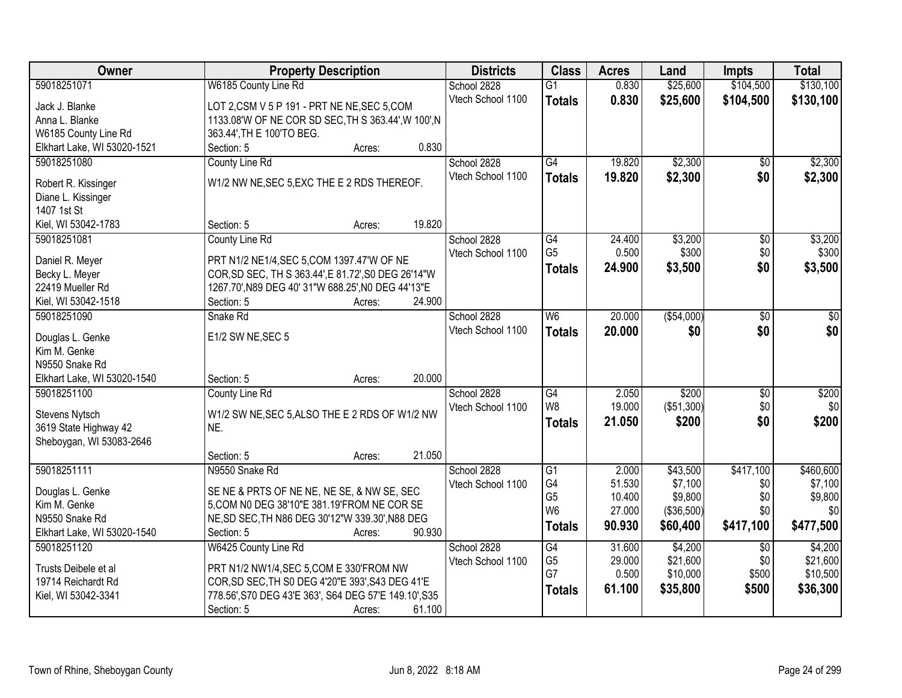| Owner                       | <b>Property Description</b>                           | <b>Districts</b>  | <b>Class</b>                      | <b>Acres</b> | Land        | <b>Impts</b>    | <b>Total</b> |
|-----------------------------|-------------------------------------------------------|-------------------|-----------------------------------|--------------|-------------|-----------------|--------------|
| 59018251071                 | W6185 County Line Rd                                  | School 2828       | $\overline{G1}$                   | 0.830        | \$25,600    | \$104,500       | \$130,100    |
| Jack J. Blanke              | LOT 2,CSM V 5 P 191 - PRT NE NE, SEC 5,COM            | Vtech School 1100 | <b>Totals</b>                     | 0.830        | \$25,600    | \$104,500       | \$130,100    |
| Anna L. Blanke              | 1133.08'W OF NE COR SD SEC, TH S 363.44', W 100', N   |                   |                                   |              |             |                 |              |
| W6185 County Line Rd        | 363.44', TH E 100'TO BEG.                             |                   |                                   |              |             |                 |              |
| Elkhart Lake, WI 53020-1521 | 0.830<br>Section: 5<br>Acres:                         |                   |                                   |              |             |                 |              |
| 59018251080                 | County Line Rd                                        | School 2828       | $\overline{G4}$                   | 19.820       | \$2,300     | $\overline{50}$ | \$2,300      |
|                             |                                                       | Vtech School 1100 | <b>Totals</b>                     | 19.820       | \$2,300     | \$0             | \$2,300      |
| Robert R. Kissinger         | W1/2 NW NE, SEC 5, EXC THE E 2 RDS THEREOF.           |                   |                                   |              |             |                 |              |
| Diane L. Kissinger          |                                                       |                   |                                   |              |             |                 |              |
| 1407 1st St                 | 19.820                                                |                   |                                   |              |             |                 |              |
| Kiel, WI 53042-1783         | Section: 5<br>Acres:                                  |                   |                                   |              |             |                 |              |
| 59018251081                 | County Line Rd                                        | School 2828       | $\overline{G4}$<br>G <sub>5</sub> | 24.400       | \$3,200     | $\overline{50}$ | \$3,200      |
| Daniel R. Meyer             | PRT N1/2 NE1/4, SEC 5, COM 1397.47'W OF NE            | Vtech School 1100 |                                   | 0.500        | \$300       | \$0             | \$300        |
| Becky L. Meyer              | COR, SD SEC, TH S 363.44', E 81.72', S0 DEG 26'14"W   |                   | <b>Totals</b>                     | 24.900       | \$3,500     | \$0             | \$3,500      |
| 22419 Mueller Rd            | 1267.70', N89 DEG 40' 31"W 688.25', N0 DEG 44'13"E    |                   |                                   |              |             |                 |              |
| Kiel, WI 53042-1518         | 24.900<br>Section: 5<br>Acres:                        |                   |                                   |              |             |                 |              |
| 59018251090                 | Snake Rd                                              | School 2828       | W6                                | 20.000       | ( \$54,000) | \$0             | $\sqrt{50}$  |
| Douglas L. Genke            | E1/2 SW NE, SEC 5                                     | Vtech School 1100 | <b>Totals</b>                     | 20.000       | \$0         | \$0             | \$0          |
| Kim M. Genke                |                                                       |                   |                                   |              |             |                 |              |
| N9550 Snake Rd              |                                                       |                   |                                   |              |             |                 |              |
| Elkhart Lake, WI 53020-1540 | 20.000<br>Section: 5<br>Acres:                        |                   |                                   |              |             |                 |              |
| 59018251100                 | County Line Rd                                        | School 2828       | G4                                | 2.050        | \$200       | \$0             | \$200        |
|                             |                                                       | Vtech School 1100 | W <sub>8</sub>                    | 19.000       | (\$51,300)  | \$0             | \$0          |
| Stevens Nytsch              | W1/2 SW NE, SEC 5, ALSO THE E 2 RDS OF W1/2 NW        |                   | <b>Totals</b>                     | 21.050       | \$200       | \$0             | \$200        |
| 3619 State Highway 42       | NE.                                                   |                   |                                   |              |             |                 |              |
| Sheboygan, WI 53083-2646    |                                                       |                   |                                   |              |             |                 |              |
|                             | 21.050<br>Section: 5<br>Acres:                        |                   |                                   |              |             |                 |              |
| 59018251111                 | N9550 Snake Rd                                        | School 2828       | $\overline{G1}$                   | 2.000        | \$43,500    | \$417,100       | \$460,600    |
| Douglas L. Genke            | SE NE & PRTS OF NE NE, NE SE, & NW SE, SEC            | Vtech School 1100 | G4                                | 51.530       | \$7,100     | \$0             | \$7,100      |
| Kim M. Genke                | 5, COM N0 DEG 38'10"E 381.19'FROM NE COR SE           |                   | G <sub>5</sub><br>W <sub>6</sub>  | 10.400       | \$9,800     | \$0             | \$9,800      |
| N9550 Snake Rd              | NE, SD SEC, TH N86 DEG 30'12"W 339.30', N88 DEG       |                   |                                   | 27.000       | (\$36,500)  | \$0             | \$0          |
| Elkhart Lake, WI 53020-1540 | 90.930<br>Section: 5<br>Acres:                        |                   | <b>Totals</b>                     | 90.930       | \$60,400    | \$417,100       | \$477,500    |
| 59018251120                 | W6425 County Line Rd                                  | School 2828       | G4                                | 31.600       | \$4,200     | $\overline{50}$ | \$4,200      |
|                             |                                                       | Vtech School 1100 | G <sub>5</sub>                    | 29.000       | \$21,600    | \$0             | \$21,600     |
| Trusts Deibele et al        | PRT N1/2 NW1/4, SEC 5, COM E 330'FROM NW              |                   | G7                                | 0.500        | \$10,000    | \$500           | \$10,500     |
| 19714 Reichardt Rd          | COR, SD SEC, TH S0 DEG 4'20"E 393', S43 DEG 41'E      |                   | <b>Totals</b>                     | 61.100       | \$35,800    | \$500           | \$36,300     |
| Kiel, WI 53042-3341         | 778.56', S70 DEG 43'E 363', S64 DEG 57'E 149.10', S35 |                   |                                   |              |             |                 |              |
|                             | 61.100<br>Section: 5<br>Acres:                        |                   |                                   |              |             |                 |              |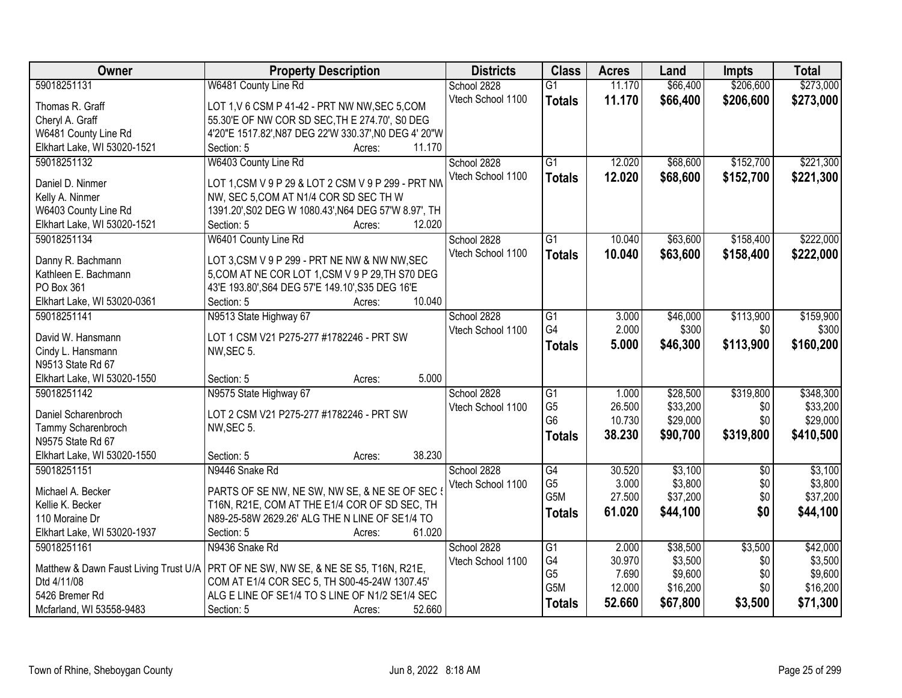| Owner                       | <b>Property Description</b>                                                          | <b>Districts</b>  | <b>Class</b>     | <b>Acres</b> | Land     | <b>Impts</b>    | <b>Total</b> |
|-----------------------------|--------------------------------------------------------------------------------------|-------------------|------------------|--------------|----------|-----------------|--------------|
| 59018251131                 | W6481 County Line Rd                                                                 | School 2828       | $\overline{G1}$  | 11.170       | \$66,400 | \$206,600       | \$273,000    |
| Thomas R. Graff             | LOT 1, V 6 CSM P 41-42 - PRT NW NW, SEC 5, COM                                       | Vtech School 1100 | <b>Totals</b>    | 11.170       | \$66,400 | \$206,600       | \$273,000    |
| Cheryl A. Graff             | 55.30'E OF NW COR SD SEC, TH E 274.70', S0 DEG                                       |                   |                  |              |          |                 |              |
| W6481 County Line Rd        | 4'20"E 1517.82', N87 DEG 22'W 330.37', N0 DEG 4' 20"W                                |                   |                  |              |          |                 |              |
| Elkhart Lake, WI 53020-1521 | 11.170<br>Section: 5<br>Acres:                                                       |                   |                  |              |          |                 |              |
| 59018251132                 | W6403 County Line Rd                                                                 | School 2828       | $\overline{G1}$  | 12.020       | \$68,600 | \$152,700       | \$221,300    |
| Daniel D. Ninmer            | LOT 1, CSM V 9 P 29 & LOT 2 CSM V 9 P 299 - PRT NW                                   | Vtech School 1100 | <b>Totals</b>    | 12.020       | \$68,600 | \$152,700       | \$221,300    |
| Kelly A. Ninmer             | NW, SEC 5, COM AT N1/4 COR SD SEC TH W                                               |                   |                  |              |          |                 |              |
| W6403 County Line Rd        | 1391.20', S02 DEG W 1080.43', N64 DEG 57'W 8.97', TH                                 |                   |                  |              |          |                 |              |
| Elkhart Lake, WI 53020-1521 | 12.020<br>Section: 5<br>Acres:                                                       |                   |                  |              |          |                 |              |
| 59018251134                 | W6401 County Line Rd                                                                 | School 2828       | $\overline{G1}$  | 10.040       | \$63,600 | \$158,400       | \$222,000    |
|                             |                                                                                      | Vtech School 1100 |                  |              |          |                 |              |
| Danny R. Bachmann           | LOT 3,CSM V 9 P 299 - PRT NE NW & NW NW,SEC                                          |                   | <b>Totals</b>    | 10.040       | \$63,600 | \$158,400       | \$222,000    |
| Kathleen E. Bachmann        | 5, COM AT NE COR LOT 1, CSM V 9 P 29, TH S70 DEG                                     |                   |                  |              |          |                 |              |
| PO Box 361                  | 43'E 193.80', S64 DEG 57'E 149.10', S35 DEG 16'E                                     |                   |                  |              |          |                 |              |
| Elkhart Lake, WI 53020-0361 | 10.040<br>Section: 5<br>Acres:                                                       |                   |                  |              |          |                 |              |
| 59018251141                 | N9513 State Highway 67                                                               | School 2828       | G1               | 3.000        | \$46,000 | \$113,900       | \$159,900    |
|                             |                                                                                      | Vtech School 1100 | G4               | 2.000        | \$300    | \$0             | \$300        |
| David W. Hansmann           | LOT 1 CSM V21 P275-277 #1782246 - PRT SW                                             |                   | <b>Totals</b>    | 5.000        | \$46,300 | \$113,900       | \$160,200    |
| Cindy L. Hansmann           | NW, SEC 5.                                                                           |                   |                  |              |          |                 |              |
| N9513 State Rd 67           |                                                                                      |                   |                  |              |          |                 |              |
| Elkhart Lake, WI 53020-1550 | 5.000<br>Section: 5<br>Acres:                                                        |                   |                  |              |          |                 |              |
| 59018251142                 | N9575 State Highway 67                                                               | School 2828       | $\overline{G1}$  | 1.000        | \$28,500 | \$319,800       | \$348,300    |
| Daniel Scharenbroch         | LOT 2 CSM V21 P275-277 #1782246 - PRT SW                                             | Vtech School 1100 | G <sub>5</sub>   | 26.500       | \$33,200 | \$0             | \$33,200     |
| Tammy Scharenbroch          | NW, SEC 5.                                                                           |                   | G <sub>6</sub>   | 10.730       | \$29,000 | \$0             | \$29,000     |
| N9575 State Rd 67           |                                                                                      |                   | <b>Totals</b>    | 38.230       | \$90,700 | \$319,800       | \$410,500    |
| Elkhart Lake, WI 53020-1550 | 38.230<br>Section: 5<br>Acres:                                                       |                   |                  |              |          |                 |              |
| 59018251151                 | N9446 Snake Rd                                                                       | School 2828       | $\overline{G4}$  | 30.520       | \$3,100  | $\overline{50}$ | \$3,100      |
|                             |                                                                                      | Vtech School 1100 | G <sub>5</sub>   | 3.000        | \$3,800  | \$0             | \$3,800      |
| Michael A. Becker           | PARTS OF SE NW, NE SW, NW SE, & NE SE OF SEC                                         |                   | G <sub>5</sub> M | 27.500       | \$37,200 | \$0             | \$37,200     |
| Kellie K. Becker            | T16N, R21E, COM AT THE E1/4 COR OF SD SEC, TH                                        |                   | <b>Totals</b>    | 61.020       | \$44,100 | \$0             | \$44,100     |
| 110 Moraine Dr              | N89-25-58W 2629.26' ALG THE N LINE OF SE1/4 TO                                       |                   |                  |              |          |                 |              |
| Elkhart Lake, WI 53020-1937 | 61.020<br>Section: 5<br>Acres:                                                       |                   |                  |              |          |                 |              |
| 59018251161                 | N9436 Snake Rd                                                                       | School 2828       | G1               | 2.000        | \$38,500 | \$3,500         | \$42,000     |
|                             | Matthew & Dawn Faust Living Trust U/A   PRT OF NE SW, NW SE, & NE SE S5, T16N, R21E, | Vtech School 1100 | G4               | 30.970       | \$3,500  | \$0             | \$3,500      |
| Dtd 4/11/08                 | COM AT E1/4 COR SEC 5, TH S00-45-24W 1307.45'                                        |                   | G <sub>5</sub>   | 7.690        | \$9,600  | \$0             | \$9,600      |
| 5426 Bremer Rd              | ALG E LINE OF SE1/4 TO S LINE OF N1/2 SE1/4 SEC                                      |                   | G <sub>5</sub> M | 12.000       | \$16,200 | \$0             | \$16,200     |
| Mcfarland, WI 53558-9483    | 52.660<br>Section: 5<br>Acres:                                                       |                   | <b>Totals</b>    | 52.660       | \$67,800 | \$3,500         | \$71,300     |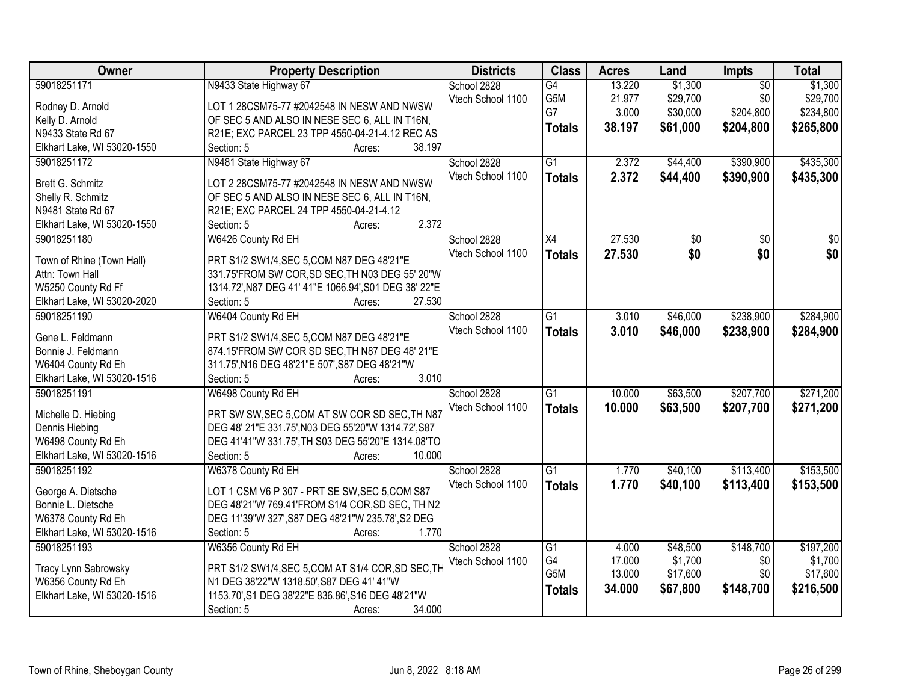| Owner                       | <b>Property Description</b>                           | <b>Districts</b>  | <b>Class</b>     | <b>Acres</b> | Land     | Impts           | <b>Total</b>    |
|-----------------------------|-------------------------------------------------------|-------------------|------------------|--------------|----------|-----------------|-----------------|
| 59018251171                 | N9433 State Highway 67                                | School 2828       | G4               | 13.220       | \$1,300  | $\overline{50}$ | \$1,300         |
| Rodney D. Arnold            | LOT 1 28CSM75-77 #2042548 IN NESW AND NWSW            | Vtech School 1100 | G5M              | 21.977       | \$29,700 | \$0             | \$29,700        |
| Kelly D. Arnold             | OF SEC 5 AND ALSO IN NESE SEC 6, ALL IN T16N,         |                   | G7               | 3.000        | \$30,000 | \$204,800       | \$234,800       |
| N9433 State Rd 67           | R21E; EXC PARCEL 23 TPP 4550-04-21-4.12 REC AS        |                   | <b>Totals</b>    | 38.197       | \$61,000 | \$204,800       | \$265,800       |
| Elkhart Lake, WI 53020-1550 | 38.197<br>Section: 5<br>Acres:                        |                   |                  |              |          |                 |                 |
| 59018251172                 | N9481 State Highway 67                                | School 2828       | $\overline{G1}$  | 2.372        | \$44,400 | \$390,900       | \$435,300       |
|                             |                                                       | Vtech School 1100 | <b>Totals</b>    | 2.372        | \$44,400 | \$390,900       | \$435,300       |
| Brett G. Schmitz            | LOT 2 28CSM75-77 #2042548 IN NESW AND NWSW            |                   |                  |              |          |                 |                 |
| Shelly R. Schmitz           | OF SEC 5 AND ALSO IN NESE SEC 6, ALL IN T16N,         |                   |                  |              |          |                 |                 |
| N9481 State Rd 67           | R21E; EXC PARCEL 24 TPP 4550-04-21-4.12               |                   |                  |              |          |                 |                 |
| Elkhart Lake, WI 53020-1550 | 2.372<br>Section: 5<br>Acres:                         |                   |                  |              |          |                 |                 |
| 59018251180                 | W6426 County Rd EH                                    | School 2828       | X4               | 27.530       | \$0      | \$0             | $\overline{50}$ |
| Town of Rhine (Town Hall)   | PRT S1/2 SW1/4, SEC 5, COM N87 DEG 48'21"E            | Vtech School 1100 | <b>Totals</b>    | 27.530       | \$0      | \$0             | \$0             |
| Attn: Town Hall             | 331.75'FROM SW COR, SD SEC, TH N03 DEG 55' 20"W       |                   |                  |              |          |                 |                 |
| W5250 County Rd Ff          | 1314.72', N87 DEG 41' 41"E 1066.94', S01 DEG 38' 22"E |                   |                  |              |          |                 |                 |
| Elkhart Lake, WI 53020-2020 | Section: 5<br>27.530<br>Acres:                        |                   |                  |              |          |                 |                 |
| 59018251190                 | W6404 County Rd EH                                    | School 2828       | $\overline{G1}$  | 3.010        | \$46,000 | \$238,900       | \$284,900       |
|                             |                                                       | Vtech School 1100 | <b>Totals</b>    | 3.010        | \$46,000 | \$238,900       | \$284,900       |
| Gene L. Feldmann            | PRT S1/2 SW1/4, SEC 5, COM N87 DEG 48'21"E            |                   |                  |              |          |                 |                 |
| Bonnie J. Feldmann          | 874.15'FROM SW COR SD SEC, TH N87 DEG 48' 21"E        |                   |                  |              |          |                 |                 |
| W6404 County Rd Eh          | 311.75', N16 DEG 48'21"E 507', S87 DEG 48'21"W        |                   |                  |              |          |                 |                 |
| Elkhart Lake, WI 53020-1516 | 3.010<br>Section: 5<br>Acres:                         |                   |                  |              |          |                 |                 |
| 59018251191                 | W6498 County Rd EH                                    | School 2828       | $\overline{G1}$  | 10.000       | \$63,500 | \$207,700       | \$271,200       |
| Michelle D. Hiebing         | PRT SW SW, SEC 5, COM AT SW COR SD SEC, TH N87        | Vtech School 1100 | <b>Totals</b>    | 10.000       | \$63,500 | \$207,700       | \$271,200       |
| Dennis Hiebing              | DEG 48' 21"E 331.75', N03 DEG 55'20"W 1314.72', S87   |                   |                  |              |          |                 |                 |
| W6498 County Rd Eh          | DEG 41'41"W 331.75', TH S03 DEG 55'20"E 1314.08'TO    |                   |                  |              |          |                 |                 |
| Elkhart Lake, WI 53020-1516 | 10.000<br>Section: 5<br>Acres:                        |                   |                  |              |          |                 |                 |
| 59018251192                 | W6378 County Rd EH                                    | School 2828       | $\overline{G1}$  | 1.770        | \$40,100 | \$113,400       | \$153,500       |
|                             |                                                       | Vtech School 1100 | <b>Totals</b>    | 1.770        | \$40,100 | \$113,400       | \$153,500       |
| George A. Dietsche          | LOT 1 CSM V6 P 307 - PRT SE SW, SEC 5, COM S87        |                   |                  |              |          |                 |                 |
| Bonnie L. Dietsche          | DEG 48'21"W 769.41'FROM S1/4 COR, SD SEC, TH N2       |                   |                  |              |          |                 |                 |
| W6378 County Rd Eh          | DEG 11'39"W 327', S87 DEG 48'21"W 235.78', S2 DEG     |                   |                  |              |          |                 |                 |
| Elkhart Lake, WI 53020-1516 | Section: 5<br>1.770<br>Acres:                         |                   |                  |              |          |                 |                 |
| 59018251193                 | W6356 County Rd EH                                    | School 2828       | G1               | 4.000        | \$48,500 | \$148,700       | \$197,200       |
| Tracy Lynn Sabrowsky        | PRT S1/2 SW1/4, SEC 5, COM AT S1/4 COR, SD SEC, TH    | Vtech School 1100 | G4               | 17.000       | \$1,700  | \$0             | \$1,700         |
| W6356 County Rd Eh          | N1 DEG 38'22"W 1318.50', S87 DEG 41' 41"W             |                   | G <sub>5</sub> M | 13.000       | \$17,600 | \$0             | \$17,600        |
| Elkhart Lake, WI 53020-1516 | 1153.70', S1 DEG 38'22"E 836.86', S16 DEG 48'21"W     |                   | <b>Totals</b>    | 34.000       | \$67,800 | \$148,700       | \$216,500       |
|                             | 34.000<br>Section: 5<br>Acres:                        |                   |                  |              |          |                 |                 |
|                             |                                                       |                   |                  |              |          |                 |                 |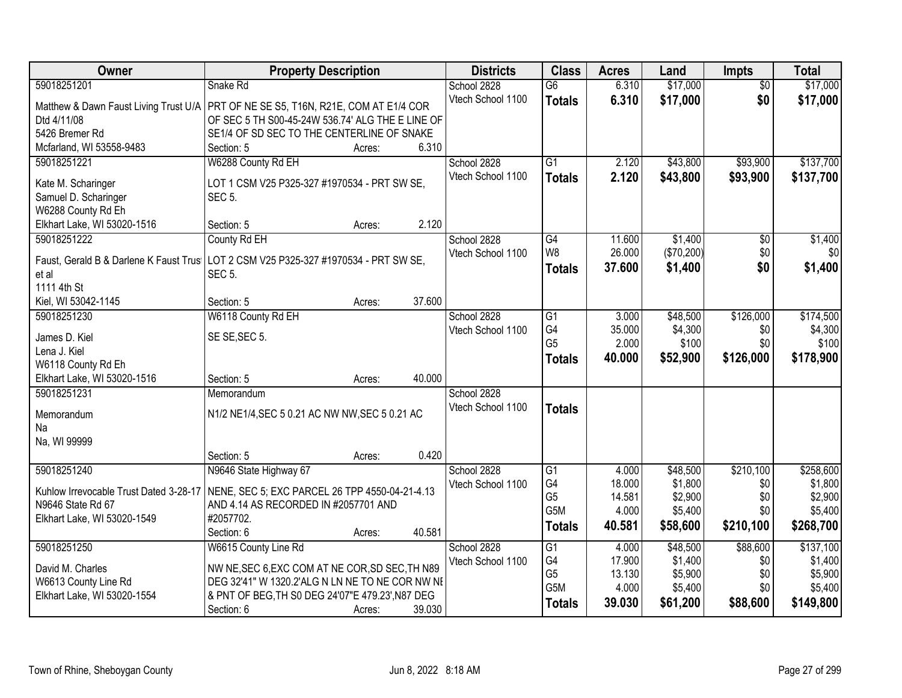| Owner                                  | <b>Property Description</b>                                                           | <b>Districts</b>  | <b>Class</b>     | <b>Acres</b> | Land       | <b>Impts</b>    | <b>Total</b> |
|----------------------------------------|---------------------------------------------------------------------------------------|-------------------|------------------|--------------|------------|-----------------|--------------|
| 59018251201                            | Snake Rd                                                                              | School 2828       | $\overline{G6}$  | 6.310        | \$17,000   | $\overline{50}$ | \$17,000     |
|                                        | Matthew & Dawn Faust Living Trust U/A   PRT OF NE SE S5, T16N, R21E, COM AT E1/4 COR  | Vtech School 1100 | <b>Totals</b>    | 6.310        | \$17,000   | \$0             | \$17,000     |
| Dtd 4/11/08                            | OF SEC 5 TH S00-45-24W 536.74' ALG THE E LINE OF                                      |                   |                  |              |            |                 |              |
| 5426 Bremer Rd                         | SE1/4 OF SD SEC TO THE CENTERLINE OF SNAKE                                            |                   |                  |              |            |                 |              |
| Mcfarland, WI 53558-9483               | Section: 5<br>Acres:                                                                  | 6.310             |                  |              |            |                 |              |
| 59018251221                            | W6288 County Rd EH                                                                    | School 2828       | $\overline{G1}$  | 2.120        | \$43,800   | \$93,900        | \$137,700    |
|                                        |                                                                                       | Vtech School 1100 | <b>Totals</b>    | 2.120        | \$43,800   | \$93,900        | \$137,700    |
| Kate M. Scharinger                     | LOT 1 CSM V25 P325-327 #1970534 - PRT SW SE,                                          |                   |                  |              |            |                 |              |
| Samuel D. Scharinger                   | <b>SEC 5.</b>                                                                         |                   |                  |              |            |                 |              |
| W6288 County Rd Eh                     |                                                                                       |                   |                  |              |            |                 |              |
| Elkhart Lake, WI 53020-1516            | Section: 5<br>Acres:                                                                  | 2.120             |                  |              |            |                 |              |
| 59018251222                            | County Rd EH                                                                          | School 2828       | G4               | 11.600       | \$1,400    | \$0             | \$1,400      |
|                                        | Faust, Gerald B & Darlene K Faust Trus   LOT 2 CSM V25 P325-327 #1970534 - PRT SW SE, | Vtech School 1100 | W <sub>8</sub>   | 26.000       | (\$70,200) | \$0             | \$0          |
| et al                                  | SEC <sub>5</sub> .                                                                    |                   | <b>Totals</b>    | 37.600       | \$1,400    | \$0             | \$1,400      |
| 1111 4th St                            |                                                                                       |                   |                  |              |            |                 |              |
| Kiel, WI 53042-1145                    | Section: 5<br>Acres:                                                                  | 37.600            |                  |              |            |                 |              |
| 59018251230                            | W6118 County Rd EH                                                                    | School 2828       | G1               | 3.000        | \$48,500   | \$126,000       | \$174,500    |
| James D. Kiel                          | SE SE, SEC 5.                                                                         | Vtech School 1100 | G4               | 35.000       | \$4,300    | \$0             | \$4,300      |
| Lena J. Kiel                           |                                                                                       |                   | G <sub>5</sub>   | 2.000        | \$100      | \$0             | \$100        |
| W6118 County Rd Eh                     |                                                                                       |                   | <b>Totals</b>    | 40.000       | \$52,900   | \$126,000       | \$178,900    |
| Elkhart Lake, WI 53020-1516            | Section: 5<br>Acres:                                                                  | 40.000            |                  |              |            |                 |              |
| 59018251231                            | Memorandum                                                                            | School 2828       |                  |              |            |                 |              |
|                                        |                                                                                       | Vtech School 1100 | <b>Totals</b>    |              |            |                 |              |
| Memorandum                             | N1/2 NE1/4, SEC 5 0.21 AC NW NW, SEC 5 0.21 AC                                        |                   |                  |              |            |                 |              |
| Na                                     |                                                                                       |                   |                  |              |            |                 |              |
| Na, WI 99999                           |                                                                                       |                   |                  |              |            |                 |              |
|                                        | Section: 5<br>Acres:                                                                  | 0.420             |                  |              |            |                 |              |
| 59018251240                            | N9646 State Highway 67                                                                | School 2828       | G1               | 4.000        | \$48,500   | \$210,100       | \$258,600    |
| Kuhlow Irrevocable Trust Dated 3-28-17 | NENE, SEC 5; EXC PARCEL 26 TPP 4550-04-21-4.13                                        | Vtech School 1100 | G4               | 18.000       | \$1,800    | \$0             | \$1,800      |
| N9646 State Rd 67                      | AND 4.14 AS RECORDED IN #2057701 AND                                                  |                   | G <sub>5</sub>   | 14.581       | \$2,900    | \$0             | \$2,900      |
| Elkhart Lake, WI 53020-1549            | #2057702.                                                                             |                   | G <sub>5</sub> M | 4.000        | \$5,400    | \$0             | \$5,400      |
|                                        | 40.581<br>Section: 6<br>Acres:                                                        |                   | <b>Totals</b>    | 40.581       | \$58,600   | \$210,100       | \$268,700    |
| 59018251250                            | W6615 County Line Rd                                                                  | School 2828       | G1               | 4.000        | \$48,500   | \$88,600        | \$137,100    |
|                                        |                                                                                       | Vtech School 1100 | G4               | 17.900       | \$1,400    | \$0             | \$1,400      |
| David M. Charles                       | NW NE, SEC 6, EXC COM AT NE COR, SD SEC, TH N89                                       |                   | G <sub>5</sub>   | 13.130       | \$5,900    | \$0             | \$5,900      |
| W6613 County Line Rd                   | DEG 32'41" W 1320.2'ALG N LN NE TO NE COR NW NE                                       |                   | G5M              | 4.000        | \$5,400    | \$0             | \$5,400      |
| Elkhart Lake, WI 53020-1554            | & PNT OF BEG, TH S0 DEG 24'07"E 479.23', N87 DEG                                      | 39.030            | <b>Totals</b>    | 39.030       | \$61,200   | \$88,600        | \$149,800    |
|                                        | Section: 6<br>Acres:                                                                  |                   |                  |              |            |                 |              |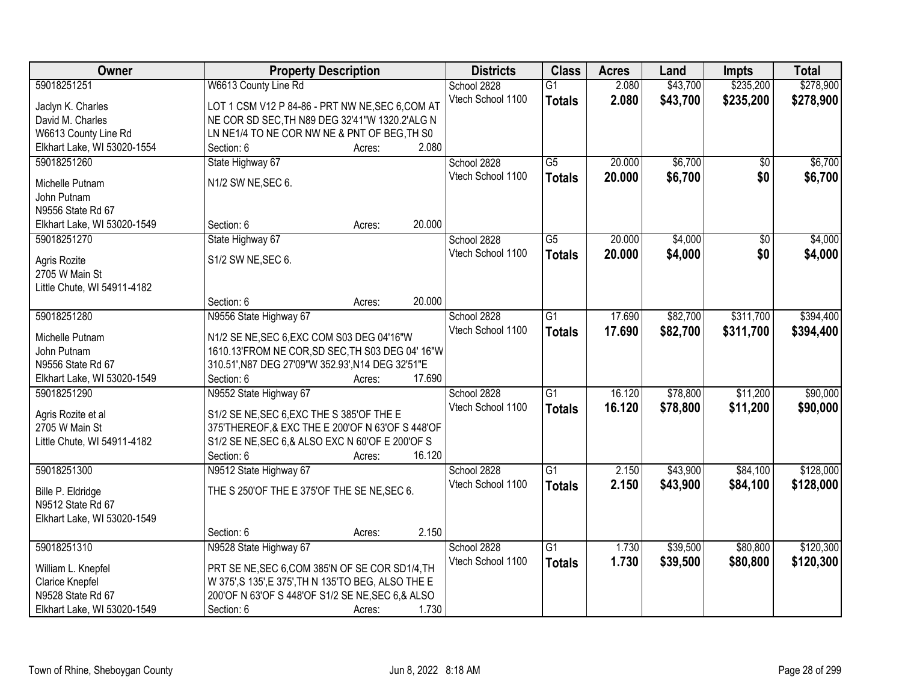| Owner                       | <b>Property Description</b>                         |        |        | <b>Districts</b>  | <b>Class</b>    | <b>Acres</b> | Land     | <b>Impts</b>    | <b>Total</b> |
|-----------------------------|-----------------------------------------------------|--------|--------|-------------------|-----------------|--------------|----------|-----------------|--------------|
| 59018251251                 | W6613 County Line Rd                                |        |        | School 2828       | $\overline{G1}$ | 2.080        | \$43,700 | \$235,200       | \$278,900    |
| Jaclyn K. Charles           | LOT 1 CSM V12 P 84-86 - PRT NW NE, SEC 6, COM AT    |        |        | Vtech School 1100 | <b>Totals</b>   | 2.080        | \$43,700 | \$235,200       | \$278,900    |
| David M. Charles            | NE COR SD SEC, TH N89 DEG 32'41"W 1320.2'ALG N      |        |        |                   |                 |              |          |                 |              |
| W6613 County Line Rd        | LN NE1/4 TO NE COR NW NE & PNT OF BEG, TH S0        |        |        |                   |                 |              |          |                 |              |
| Elkhart Lake, WI 53020-1554 | Section: 6                                          | Acres: | 2.080  |                   |                 |              |          |                 |              |
| 59018251260                 | State Highway 67                                    |        |        | School 2828       | $\overline{G5}$ | 20.000       | \$6,700  | $\overline{50}$ | \$6,700      |
|                             |                                                     |        |        | Vtech School 1100 | <b>Totals</b>   | 20.000       | \$6,700  | \$0             | \$6,700      |
| Michelle Putnam             | N1/2 SW NE, SEC 6.                                  |        |        |                   |                 |              |          |                 |              |
| John Putnam                 |                                                     |        |        |                   |                 |              |          |                 |              |
| N9556 State Rd 67           |                                                     |        |        |                   |                 |              |          |                 |              |
| Elkhart Lake, WI 53020-1549 | Section: 6                                          | Acres: | 20.000 |                   |                 |              |          |                 |              |
| 59018251270                 | State Highway 67                                    |        |        | School 2828       | $\overline{G5}$ | 20.000       | \$4,000  | $\overline{50}$ | \$4,000      |
| Agris Rozite                | S1/2 SW NE, SEC 6.                                  |        |        | Vtech School 1100 | <b>Totals</b>   | 20.000       | \$4,000  | \$0             | \$4,000      |
| 2705 W Main St              |                                                     |        |        |                   |                 |              |          |                 |              |
| Little Chute, WI 54911-4182 |                                                     |        |        |                   |                 |              |          |                 |              |
|                             | Section: 6                                          | Acres: | 20.000 |                   |                 |              |          |                 |              |
| 59018251280                 | N9556 State Highway 67                              |        |        | School 2828       | $\overline{G1}$ | 17.690       | \$82,700 | \$311,700       | \$394,400    |
|                             |                                                     |        |        | Vtech School 1100 | <b>Totals</b>   | 17.690       | \$82,700 | \$311,700       | \$394,400    |
| Michelle Putnam             | N1/2 SE NE, SEC 6, EXC COM S03 DEG 04'16"W          |        |        |                   |                 |              |          |                 |              |
| John Putnam                 | 1610.13'FROM NE COR, SD SEC, TH S03 DEG 04' 16"W    |        |        |                   |                 |              |          |                 |              |
| N9556 State Rd 67           | 310.51', N87 DEG 27'09"W 352.93', N14 DEG 32'51"E   |        |        |                   |                 |              |          |                 |              |
| Elkhart Lake, WI 53020-1549 | Section: 6                                          | Acres: | 17.690 |                   |                 |              |          |                 |              |
| 59018251290                 | N9552 State Highway 67                              |        |        | School 2828       | $\overline{G1}$ | 16.120       | \$78,800 | \$11,200        | \$90,000     |
| Agris Rozite et al          | S1/2 SE NE, SEC 6, EXC THE S 385' OF THE E          |        |        | Vtech School 1100 | <b>Totals</b>   | 16.120       | \$78,800 | \$11,200        | \$90,000     |
| 2705 W Main St              | 375'THEREOF, & EXC THE E 200'OF N 63'OF S 448'OF    |        |        |                   |                 |              |          |                 |              |
| Little Chute, WI 54911-4182 | S1/2 SE NE, SEC 6, & ALSO EXC N 60'OF E 200'OF S    |        |        |                   |                 |              |          |                 |              |
|                             | Section: 6                                          | Acres: | 16.120 |                   |                 |              |          |                 |              |
| 59018251300                 | N9512 State Highway 67                              |        |        | School 2828       | $\overline{G1}$ | 2.150        | \$43,900 | \$84,100        | \$128,000    |
|                             |                                                     |        |        | Vtech School 1100 | <b>Totals</b>   | 2.150        | \$43,900 | \$84,100        | \$128,000    |
| Bille P. Eldridge           | THE S 250'OF THE E 375'OF THE SE NE, SEC 6.         |        |        |                   |                 |              |          |                 |              |
| N9512 State Rd 67           |                                                     |        |        |                   |                 |              |          |                 |              |
| Elkhart Lake, WI 53020-1549 |                                                     |        |        |                   |                 |              |          |                 |              |
|                             | Section: 6                                          | Acres: | 2.150  |                   |                 |              |          |                 |              |
| 59018251310                 | N9528 State Highway 67                              |        |        | School 2828       | $\overline{G1}$ | 1.730        | \$39,500 | \$80,800        | \$120,300    |
| William L. Knepfel          | PRT SE NE, SEC 6, COM 385'N OF SE COR SD1/4, TH     |        |        | Vtech School 1100 | <b>Totals</b>   | 1.730        | \$39,500 | \$80,800        | \$120,300    |
| Clarice Knepfel             | W 375', S 135', E 375', TH N 135'TO BEG, ALSO THE E |        |        |                   |                 |              |          |                 |              |
| N9528 State Rd 67           | 200'OF N 63'OF S 448'OF S1/2 SE NE, SEC 6, & ALSO   |        |        |                   |                 |              |          |                 |              |
| Elkhart Lake, WI 53020-1549 | Section: 6                                          | Acres: | 1.730  |                   |                 |              |          |                 |              |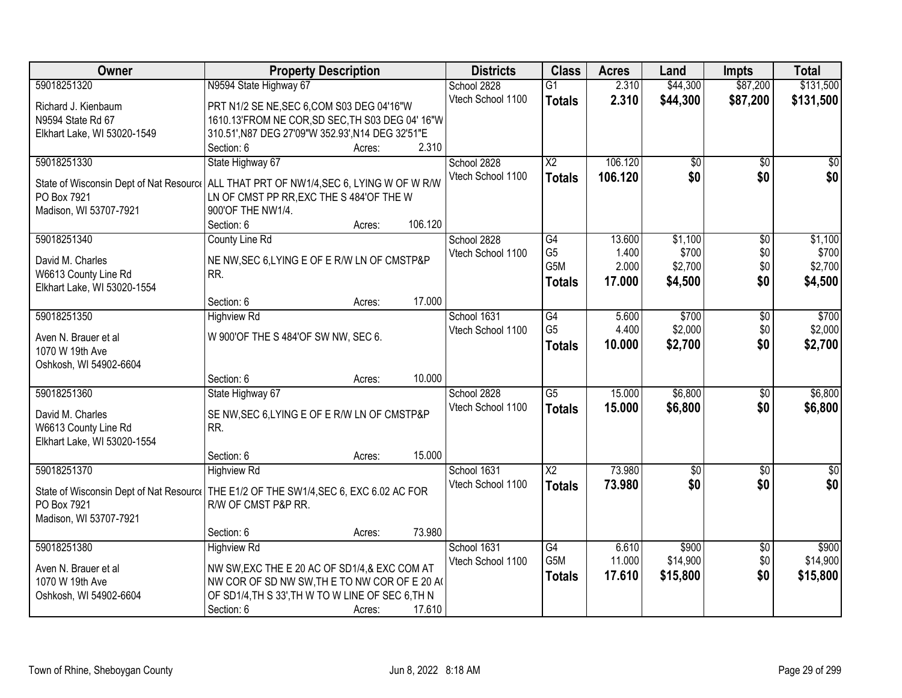| Owner                                                                                                  | <b>Property Description</b>                       |        |         | <b>Districts</b>  | <b>Class</b>    | <b>Acres</b> | Land            | <b>Impts</b>    | <b>Total</b> |
|--------------------------------------------------------------------------------------------------------|---------------------------------------------------|--------|---------|-------------------|-----------------|--------------|-----------------|-----------------|--------------|
| 59018251320                                                                                            | N9594 State Highway 67                            |        |         | School 2828       | $\overline{G1}$ | 2.310        | \$44,300        | \$87,200        | \$131,500    |
| Richard J. Kienbaum                                                                                    | PRT N1/2 SE NE, SEC 6, COM S03 DEG 04'16"W        |        |         | Vtech School 1100 | <b>Totals</b>   | 2.310        | \$44,300        | \$87,200        | \$131,500    |
| N9594 State Rd 67                                                                                      | 1610.13'FROM NE COR, SD SEC, TH S03 DEG 04' 16"W  |        |         |                   |                 |              |                 |                 |              |
| Elkhart Lake, WI 53020-1549                                                                            | 310.51', N87 DEG 27'09"W 352.93', N14 DEG 32'51"E |        |         |                   |                 |              |                 |                 |              |
|                                                                                                        | Section: 6                                        | Acres: | 2.310   |                   |                 |              |                 |                 |              |
| 59018251330                                                                                            | State Highway 67                                  |        |         | School 2828       | $\overline{X2}$ | 106.120      | $\overline{50}$ | \$0             | \$0          |
|                                                                                                        |                                                   |        |         | Vtech School 1100 | <b>Totals</b>   | 106.120      | \$0             | \$0             | \$0          |
| State of Wisconsin Dept of Nat Resourc   ALL THAT PRT OF NW1/4, SEC 6, LYING W OF W R/W<br>PO Box 7921 | LN OF CMST PP RR, EXC THE S 484'OF THE W          |        |         |                   |                 |              |                 |                 |              |
| Madison, WI 53707-7921                                                                                 | 900'OF THE NW1/4.                                 |        |         |                   |                 |              |                 |                 |              |
|                                                                                                        | Section: 6                                        | Acres: | 106.120 |                   |                 |              |                 |                 |              |
| 59018251340                                                                                            | County Line Rd                                    |        |         | School 2828       | G4              | 13.600       | \$1,100         | $\overline{60}$ | \$1,100      |
|                                                                                                        |                                                   |        |         | Vtech School 1100 | G <sub>5</sub>  | 1.400        | \$700           | \$0             | \$700        |
| David M. Charles                                                                                       | NE NW, SEC 6, LYING E OF E R/W LN OF CMSTP&P      |        |         |                   | G5M             | 2.000        | \$2,700         | \$0             | \$2,700      |
| W6613 County Line Rd                                                                                   | RR.                                               |        |         |                   | <b>Totals</b>   | 17.000       | \$4,500         | \$0             | \$4,500      |
| Elkhart Lake, WI 53020-1554                                                                            |                                                   |        |         |                   |                 |              |                 |                 |              |
|                                                                                                        | Section: 6                                        | Acres: | 17.000  |                   |                 |              |                 |                 |              |
| 59018251350                                                                                            | <b>Highview Rd</b>                                |        |         | School 1631       | G4              | 5.600        | \$700           | \$0             | \$700        |
| Aven N. Brauer et al                                                                                   | W 900'OF THE S 484'OF SW NW, SEC 6.               |        |         | Vtech School 1100 | G <sub>5</sub>  | 4.400        | \$2,000         | \$0             | \$2,000      |
| 1070 W 19th Ave                                                                                        |                                                   |        |         |                   | <b>Totals</b>   | 10.000       | \$2,700         | \$0             | \$2,700      |
| Oshkosh, WI 54902-6604                                                                                 |                                                   |        |         |                   |                 |              |                 |                 |              |
|                                                                                                        | Section: 6                                        | Acres: | 10.000  |                   |                 |              |                 |                 |              |
| 59018251360                                                                                            | State Highway 67                                  |        |         | School 2828       | $\overline{G5}$ | 15.000       | \$6,800         | $\overline{50}$ | \$6,800      |
| David M. Charles                                                                                       | SE NW, SEC 6, LYING E OF E R/W LN OF CMSTP&P      |        |         | Vtech School 1100 | <b>Totals</b>   | 15.000       | \$6,800         | \$0             | \$6,800      |
| W6613 County Line Rd                                                                                   | RR.                                               |        |         |                   |                 |              |                 |                 |              |
| Elkhart Lake, WI 53020-1554                                                                            |                                                   |        |         |                   |                 |              |                 |                 |              |
|                                                                                                        | Section: 6                                        | Acres: | 15.000  |                   |                 |              |                 |                 |              |
| 59018251370                                                                                            | <b>Highview Rd</b>                                |        |         | School 1631       | $\overline{X2}$ | 73.980       | $\sqrt{50}$     | \$0             | \$0          |
| State of Wisconsin Dept of Nat Resourc   THE E1/2 OF THE SW1/4, SEC 6, EXC 6.02 AC FOR                 |                                                   |        |         | Vtech School 1100 | <b>Totals</b>   | 73.980       | \$0             | \$0             | \$0          |
| PO Box 7921                                                                                            | R/W OF CMST P&P RR.                               |        |         |                   |                 |              |                 |                 |              |
| Madison, WI 53707-7921                                                                                 |                                                   |        |         |                   |                 |              |                 |                 |              |
|                                                                                                        | Section: 6                                        | Acres: | 73.980  |                   |                 |              |                 |                 |              |
| 59018251380                                                                                            | <b>Highview Rd</b>                                |        |         | School 1631       | G4              | 6.610        | \$900           | $\overline{60}$ | \$900        |
|                                                                                                        |                                                   |        |         | Vtech School 1100 | G5M             | 11.000       | \$14,900        | \$0             | \$14,900     |
| Aven N. Brauer et al                                                                                   | NW SW, EXC THE E 20 AC OF SD1/4, & EXC COM AT     |        |         |                   | <b>Totals</b>   | 17.610       | \$15,800        | \$0             | \$15,800     |
| 1070 W 19th Ave                                                                                        | NW COR OF SD NW SW, THE TO NW COR OF E 20 A       |        |         |                   |                 |              |                 |                 |              |
| Oshkosh, WI 54902-6604                                                                                 | OF SD1/4, TH S 33', TH W TO W LINE OF SEC 6, TH N |        |         |                   |                 |              |                 |                 |              |
|                                                                                                        | Section: 6                                        | Acres: | 17.610  |                   |                 |              |                 |                 |              |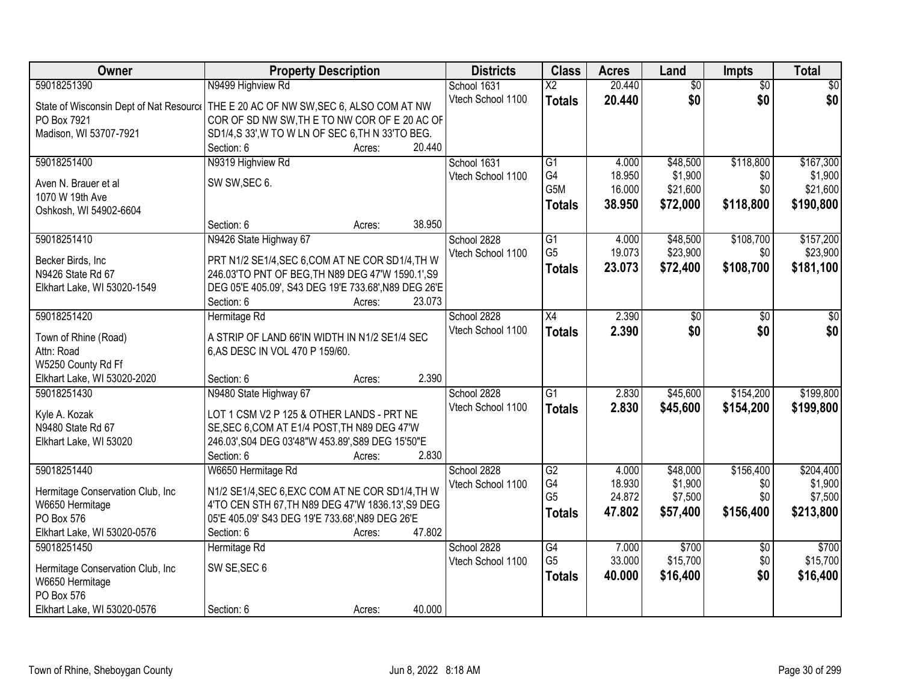| Owner                                                | <b>Property Description</b>                                    | <b>Districts</b>  | <b>Class</b>             | <b>Acres</b> | Land            | <b>Impts</b>    | <b>Total</b> |
|------------------------------------------------------|----------------------------------------------------------------|-------------------|--------------------------|--------------|-----------------|-----------------|--------------|
| 59018251390                                          | N9499 Highview Rd                                              | School 1631       | $\overline{\mathsf{x2}}$ | 20.440       | $\overline{50}$ | $\overline{50}$ | $\sqrt{50}$  |
| State of Wisconsin Dept of Nat Resource              | THE E 20 AC OF NW SW, SEC 6, ALSO COM AT NW                    | Vtech School 1100 | <b>Totals</b>            | 20.440       | \$0             | \$0             | \$0          |
| PO Box 7921                                          | COR OF SD NW SW, THE TO NW COR OF E 20 AC OF                   |                   |                          |              |                 |                 |              |
| Madison, WI 53707-7921                               | SD1/4,S 33', W TO W LN OF SEC 6, TH N 33'TO BEG.               |                   |                          |              |                 |                 |              |
|                                                      | Section: 6<br>20.440<br>Acres:                                 |                   |                          |              |                 |                 |              |
| 59018251400                                          | N9319 Highview Rd                                              | School 1631       | $\overline{G1}$          | 4.000        | \$48,500        | \$118,800       | \$167,300    |
|                                                      | SW SW, SEC 6.                                                  | Vtech School 1100 | G <sub>4</sub>           | 18.950       | \$1,900         | \$0             | \$1,900      |
| Aven N. Brauer et al<br>1070 W 19th Ave              |                                                                |                   | G5M                      | 16.000       | \$21,600        | \$0             | \$21,600     |
| Oshkosh, WI 54902-6604                               |                                                                |                   | <b>Totals</b>            | 38.950       | \$72,000        | \$118,800       | \$190,800    |
|                                                      | 38.950<br>Section: 6<br>Acres:                                 |                   |                          |              |                 |                 |              |
| 59018251410                                          | N9426 State Highway 67                                         | School 2828       | $\overline{G1}$          | 4.000        | \$48,500        | \$108,700       | \$157,200    |
|                                                      |                                                                | Vtech School 1100 | G <sub>5</sub>           | 19.073       | \$23,900        | \$0             | \$23,900     |
| Becker Birds, Inc                                    | PRT N1/2 SE1/4, SEC 6, COM AT NE COR SD1/4, TH W               |                   | <b>Totals</b>            | 23.073       | \$72,400        | \$108,700       | \$181,100    |
| N9426 State Rd 67                                    | 246.03'TO PNT OF BEG, TH N89 DEG 47'W 1590.1', S9              |                   |                          |              |                 |                 |              |
| Elkhart Lake, WI 53020-1549                          | DEG 05'E 405.09', S43 DEG 19'E 733.68', N89 DEG 26'E<br>23.073 |                   |                          |              |                 |                 |              |
| 59018251420                                          | Section: 6<br>Acres:<br>Hermitage Rd                           | School 2828       | $\overline{X4}$          | 2.390        | $\overline{50}$ | \$0             | \$0          |
|                                                      |                                                                | Vtech School 1100 |                          | 2.390        | \$0             | \$0             | \$0          |
| Town of Rhine (Road)                                 | A STRIP OF LAND 66'IN WIDTH IN N1/2 SE1/4 SEC                  |                   | <b>Totals</b>            |              |                 |                 |              |
| Attn: Road                                           | 6, AS DESC IN VOL 470 P 159/60.                                |                   |                          |              |                 |                 |              |
| W5250 County Rd Ff                                   |                                                                |                   |                          |              |                 |                 |              |
| Elkhart Lake, WI 53020-2020                          | 2.390<br>Section: 6<br>Acres:                                  |                   |                          |              |                 |                 |              |
| 59018251430                                          | N9480 State Highway 67                                         | School 2828       | $\overline{G1}$          | 2.830        | \$45,600        | \$154,200       | \$199,800    |
| Kyle A. Kozak                                        | LOT 1 CSM V2 P 125 & OTHER LANDS - PRT NE                      | Vtech School 1100 | <b>Totals</b>            | 2.830        | \$45,600        | \$154,200       | \$199,800    |
| N9480 State Rd 67                                    | SE, SEC 6, COM AT E1/4 POST, TH N89 DEG 47'W                   |                   |                          |              |                 |                 |              |
| Elkhart Lake, WI 53020                               | 246.03', S04 DEG 03'48"W 453.89', S89 DEG 15'50"E              |                   |                          |              |                 |                 |              |
|                                                      | 2.830<br>Section: 6<br>Acres:                                  |                   |                          |              |                 |                 |              |
| 59018251440                                          | W6650 Hermitage Rd                                             | School 2828       | $\overline{G2}$          | 4.000        | \$48,000        | \$156,400       | \$204,400    |
|                                                      | N1/2 SE1/4, SEC 6, EXC COM AT NE COR SD1/4, TH W               | Vtech School 1100 | G4                       | 18.930       | \$1,900         | \$0             | \$1,900      |
| Hermitage Conservation Club, Inc.<br>W6650 Hermitage | 4'TO CEN STH 67, TH N89 DEG 47'W 1836.13', S9 DEG              |                   | G <sub>5</sub>           | 24.872       | \$7,500         | \$0             | \$7,500      |
| PO Box 576                                           | 05'E 405.09' S43 DEG 19'E 733.68', N89 DEG 26'E                |                   | <b>Totals</b>            | 47.802       | \$57,400        | \$156,400       | \$213,800    |
| Elkhart Lake, WI 53020-0576                          | 47.802<br>Section: 6<br>Acres:                                 |                   |                          |              |                 |                 |              |
| 59018251450                                          | Hermitage Rd                                                   | School 2828       | $\overline{G4}$          | 7.000        | \$700           | $\overline{30}$ | \$700        |
|                                                      |                                                                | Vtech School 1100 | G <sub>5</sub>           | 33.000       | \$15,700        | \$0             | \$15,700     |
| Hermitage Conservation Club, Inc                     | SW SE, SEC 6                                                   |                   | <b>Totals</b>            | 40.000       | \$16,400        | \$0             | \$16,400     |
| W6650 Hermitage                                      |                                                                |                   |                          |              |                 |                 |              |
| PO Box 576                                           |                                                                |                   |                          |              |                 |                 |              |
| Elkhart Lake, WI 53020-0576                          | 40.000<br>Section: 6<br>Acres:                                 |                   |                          |              |                 |                 |              |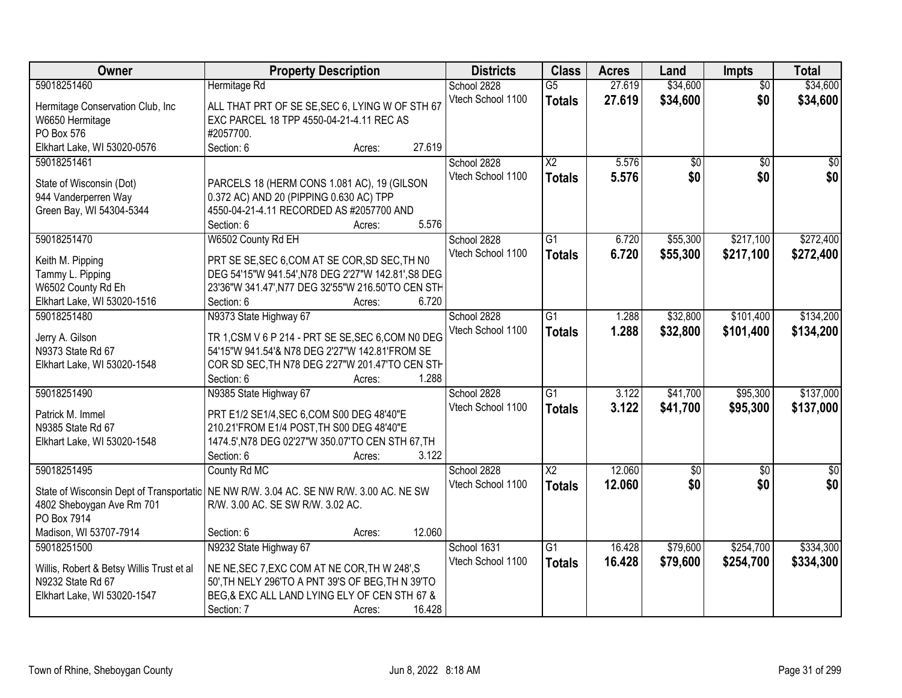| \$34,600<br>\$34,600<br>59018251460<br>$\overline{G5}$<br>27.619<br>Hermitage Rd<br>School 2828<br>$\overline{50}$<br>\$34,600<br>\$0<br>Vtech School 1100<br>27.619<br>\$34,600<br><b>Totals</b><br>ALL THAT PRT OF SE SE, SEC 6, LYING W OF STH 67<br>Hermitage Conservation Club, Inc<br>EXC PARCEL 18 TPP 4550-04-21-4.11 REC AS<br>W6650 Hermitage<br>#2057700.<br>PO Box 576<br>Elkhart Lake, WI 53020-0576<br>27.619<br>Section: 6<br>Acres: |
|-----------------------------------------------------------------------------------------------------------------------------------------------------------------------------------------------------------------------------------------------------------------------------------------------------------------------------------------------------------------------------------------------------------------------------------------------------|
|                                                                                                                                                                                                                                                                                                                                                                                                                                                     |
|                                                                                                                                                                                                                                                                                                                                                                                                                                                     |
|                                                                                                                                                                                                                                                                                                                                                                                                                                                     |
|                                                                                                                                                                                                                                                                                                                                                                                                                                                     |
|                                                                                                                                                                                                                                                                                                                                                                                                                                                     |
| School 2828<br>$\overline{X2}$<br>5.576<br>$\overline{50}$<br>$\sqrt{50}$<br>59018251461<br>$\overline{50}$                                                                                                                                                                                                                                                                                                                                         |
| \$0<br>Vtech School 1100<br>5.576<br>\$0<br>\$0<br><b>Totals</b>                                                                                                                                                                                                                                                                                                                                                                                    |
| State of Wisconsin (Dot)<br>PARCELS 18 (HERM CONS 1.081 AC), 19 (GILSON                                                                                                                                                                                                                                                                                                                                                                             |
| 944 Vanderperren Way<br>0.372 AC) AND 20 (PIPPING 0.630 AC) TPP                                                                                                                                                                                                                                                                                                                                                                                     |
| Green Bay, WI 54304-5344<br>4550-04-21-4.11 RECORDED AS #2057700 AND<br>5.576                                                                                                                                                                                                                                                                                                                                                                       |
| Section: 6<br>Acres:                                                                                                                                                                                                                                                                                                                                                                                                                                |
| \$217,100<br>\$272,400<br>59018251470<br>W6502 County Rd EH<br>School 2828<br>$\overline{G1}$<br>6.720<br>\$55,300                                                                                                                                                                                                                                                                                                                                  |
| Vtech School 1100<br>6.720<br>\$55,300<br>\$217,100<br>\$272,400<br><b>Totals</b><br>PRT SE SE, SEC 6, COM AT SE COR, SD SEC, TH NO<br>Keith M. Pipping                                                                                                                                                                                                                                                                                             |
| Tammy L. Pipping<br>DEG 54'15"W 941.54', N78 DEG 2'27"W 142.81', S8 DEG                                                                                                                                                                                                                                                                                                                                                                             |
| W6502 County Rd Eh<br>23'36"W 341.47', N77 DEG 32'55"W 216.50'TO CEN STH                                                                                                                                                                                                                                                                                                                                                                            |
| 6.720<br>Elkhart Lake, WI 53020-1516<br>Section: 6<br>Acres:                                                                                                                                                                                                                                                                                                                                                                                        |
| N9373 State Highway 67<br>$\overline{G1}$<br>\$32,800<br>\$101,400<br>\$134,200<br>59018251480<br>School 2828<br>1.288                                                                                                                                                                                                                                                                                                                              |
| Vtech School 1100<br>1.288<br>\$32,800<br>\$101,400<br>\$134,200<br><b>Totals</b><br>TR 1, CSM V 6 P 214 - PRT SE SE, SEC 6, COM N0 DEG<br>Jerry A. Gilson                                                                                                                                                                                                                                                                                          |
| 54'15"W 941.54'& N78 DEG 2'27"W 142.81'FROM SE<br>N9373 State Rd 67                                                                                                                                                                                                                                                                                                                                                                                 |
| Elkhart Lake, WI 53020-1548<br>COR SD SEC, TH N78 DEG 2'27"W 201.47'TO CEN STH                                                                                                                                                                                                                                                                                                                                                                      |
| 1.288<br>Section: 6<br>Acres:                                                                                                                                                                                                                                                                                                                                                                                                                       |
| N9385 State Highway 67<br>$\overline{G1}$<br>\$41,700<br>\$95,300<br>\$137,000<br>59018251490<br>3.122<br>School 2828                                                                                                                                                                                                                                                                                                                               |
| Vtech School 1100<br>3.122<br>\$41,700<br>\$95,300<br>\$137,000<br><b>Totals</b>                                                                                                                                                                                                                                                                                                                                                                    |
| Patrick M. Immel<br>PRT E1/2 SE1/4, SEC 6, COM S00 DEG 48'40"E                                                                                                                                                                                                                                                                                                                                                                                      |
| N9385 State Rd 67<br>210.21'FROM E1/4 POST, TH S00 DEG 48'40"E                                                                                                                                                                                                                                                                                                                                                                                      |
| 1474.5', N78 DEG 02'27"W 350.07'TO CEN STH 67, TH<br>Elkhart Lake, WI 53020-1548                                                                                                                                                                                                                                                                                                                                                                    |
| 3.122<br>Section: 6<br>Acres:                                                                                                                                                                                                                                                                                                                                                                                                                       |
| $\overline{X2}$<br>12.060<br>59018251495<br>School 2828<br>$\sqrt{$0}$<br>$\frac{1}{2}$<br>County Rd MC<br>\$0                                                                                                                                                                                                                                                                                                                                      |
| \$0<br>\$0<br>\$0<br>Vtech School 1100<br>12.060<br><b>Totals</b><br>State of Wisconsin Dept of Transportatic   NE NW R/W. 3.04 AC. SE NW R/W. 3.00 AC. NE SW                                                                                                                                                                                                                                                                                       |
| 4802 Sheboygan Ave Rm 701<br>R/W. 3.00 AC. SE SW R/W. 3.02 AC.                                                                                                                                                                                                                                                                                                                                                                                      |
| PO Box 7914                                                                                                                                                                                                                                                                                                                                                                                                                                         |
| Madison, WI 53707-7914<br>12.060<br>Section: 6<br>Acres:                                                                                                                                                                                                                                                                                                                                                                                            |
| N9232 State Highway 67<br>\$334,300<br>16.428<br>\$79,600<br>\$254,700<br>59018251500<br>School 1631<br>G1                                                                                                                                                                                                                                                                                                                                          |
| Vtech School 1100<br>16.428<br>\$79,600<br>\$334,300<br>\$254,700<br><b>Totals</b><br>Willis, Robert & Betsy Willis Trust et al<br>NE NE, SEC 7, EXC COM AT NE COR, TH W 248', S                                                                                                                                                                                                                                                                    |
| 50', TH NELY 296'TO A PNT 39'S OF BEG, TH N 39'TO<br>N9232 State Rd 67                                                                                                                                                                                                                                                                                                                                                                              |
| BEG,& EXC ALL LAND LYING ELY OF CEN STH 67 &<br>Elkhart Lake, WI 53020-1547                                                                                                                                                                                                                                                                                                                                                                         |
| 16.428<br>Section: 7<br>Acres:                                                                                                                                                                                                                                                                                                                                                                                                                      |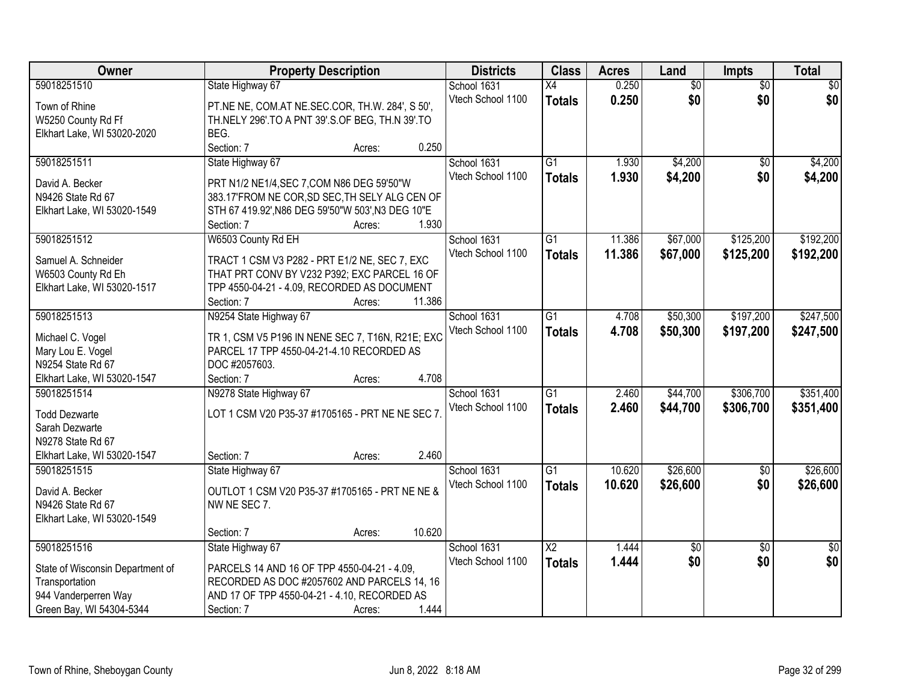| Owner                            | <b>Property Description</b>                                     | <b>Districts</b> | <b>Class</b>      | <b>Acres</b>    | Land   | Impts           | <b>Total</b>    |                 |
|----------------------------------|-----------------------------------------------------------------|------------------|-------------------|-----------------|--------|-----------------|-----------------|-----------------|
| 59018251510                      | State Highway 67                                                |                  | School 1631       | $\overline{X4}$ | 0.250  | $\overline{60}$ | $\overline{50}$ | $\overline{50}$ |
| Town of Rhine                    | PT.NE NE, COM.AT NE.SEC.COR, TH.W. 284', S 50',                 |                  | Vtech School 1100 | <b>Totals</b>   | 0.250  | \$0             | \$0             | \$0             |
| W5250 County Rd Ff               | TH.NELY 296'.TO A PNT 39'.S.OF BEG, TH.N 39'.TO                 |                  |                   |                 |        |                 |                 |                 |
| Elkhart Lake, WI 53020-2020      | BEG.                                                            |                  |                   |                 |        |                 |                 |                 |
|                                  | Section: 7                                                      | Acres:           | 0.250             |                 |        |                 |                 |                 |
| 59018251511                      | State Highway 67                                                |                  | School 1631       | $\overline{G1}$ | 1.930  | \$4,200         | $\overline{50}$ | \$4,200         |
|                                  |                                                                 |                  | Vtech School 1100 | <b>Totals</b>   | 1.930  | \$4,200         | \$0             | \$4,200         |
| David A. Becker                  | PRT N1/2 NE1/4, SEC 7, COM N86 DEG 59'50"W                      |                  |                   |                 |        |                 |                 |                 |
| N9426 State Rd 67                | 383.17'FROM NE COR, SD SEC, TH SELY ALG CEN OF                  |                  |                   |                 |        |                 |                 |                 |
| Elkhart Lake, WI 53020-1549      | STH 67 419.92', N86 DEG 59'50"W 503', N3 DEG 10"E<br>Section: 7 | Acres:           | 1.930             |                 |        |                 |                 |                 |
| 59018251512                      | W6503 County Rd EH                                              |                  | School 1631       | $\overline{G1}$ | 11.386 | \$67,000        | \$125,200       | \$192,200       |
|                                  |                                                                 |                  | Vtech School 1100 |                 |        |                 |                 |                 |
| Samuel A. Schneider              | TRACT 1 CSM V3 P282 - PRT E1/2 NE, SEC 7, EXC                   |                  |                   | <b>Totals</b>   | 11.386 | \$67,000        | \$125,200       | \$192,200       |
| W6503 County Rd Eh               | THAT PRT CONV BY V232 P392; EXC PARCEL 16 OF                    |                  |                   |                 |        |                 |                 |                 |
| Elkhart Lake, WI 53020-1517      | TPP 4550-04-21 - 4.09, RECORDED AS DOCUMENT                     |                  |                   |                 |        |                 |                 |                 |
|                                  | Section: 7                                                      | 11.386<br>Acres: |                   |                 |        |                 |                 |                 |
| 59018251513                      | N9254 State Highway 67                                          |                  | School 1631       | $\overline{G1}$ | 4.708  | \$50,300        | \$197,200       | \$247,500       |
| Michael C. Vogel                 | TR 1, CSM V5 P196 IN NENE SEC 7, T16N, R21E; EXC                |                  | Vtech School 1100 | <b>Totals</b>   | 4.708  | \$50,300        | \$197,200       | \$247,500       |
| Mary Lou E. Vogel                | PARCEL 17 TPP 4550-04-21-4.10 RECORDED AS                       |                  |                   |                 |        |                 |                 |                 |
| N9254 State Rd 67                | DOC #2057603.                                                   |                  |                   |                 |        |                 |                 |                 |
| Elkhart Lake, WI 53020-1547      | Section: 7                                                      | Acres:           | 4.708             |                 |        |                 |                 |                 |
| 59018251514                      | N9278 State Highway 67                                          |                  | School 1631       | $\overline{G1}$ | 2.460  | \$44,700        | \$306,700       | \$351,400       |
|                                  |                                                                 |                  | Vtech School 1100 | <b>Totals</b>   | 2.460  | \$44,700        | \$306,700       | \$351,400       |
| <b>Todd Dezwarte</b>             | LOT 1 CSM V20 P35-37 #1705165 - PRT NE NE SEC 7                 |                  |                   |                 |        |                 |                 |                 |
| Sarah Dezwarte                   |                                                                 |                  |                   |                 |        |                 |                 |                 |
| N9278 State Rd 67                |                                                                 |                  |                   |                 |        |                 |                 |                 |
| Elkhart Lake, WI 53020-1547      | Section: 7                                                      | Acres:           | 2.460             |                 |        |                 |                 |                 |
| 59018251515                      | State Highway 67                                                |                  | School 1631       | $\overline{G1}$ | 10.620 | \$26,600        | $\overline{60}$ | \$26,600        |
| David A. Becker                  | OUTLOT 1 CSM V20 P35-37 #1705165 - PRT NE NE &                  |                  | Vtech School 1100 | <b>Totals</b>   | 10.620 | \$26,600        | \$0             | \$26,600        |
| N9426 State Rd 67                | NW NE SEC 7.                                                    |                  |                   |                 |        |                 |                 |                 |
| Elkhart Lake, WI 53020-1549      |                                                                 |                  |                   |                 |        |                 |                 |                 |
|                                  | Section: 7                                                      | 10.620<br>Acres: |                   |                 |        |                 |                 |                 |
| 59018251516                      | State Highway 67                                                |                  | School 1631       | $\overline{X2}$ | 1.444  | \$0             | $\overline{50}$ | \$0             |
|                                  |                                                                 |                  | Vtech School 1100 | <b>Totals</b>   | 1.444  | \$0             | \$0             | \$0             |
| State of Wisconsin Department of | PARCELS 14 AND 16 OF TPP 4550-04-21 - 4.09,                     |                  |                   |                 |        |                 |                 |                 |
| Transportation                   | RECORDED AS DOC #2057602 AND PARCELS 14, 16                     |                  |                   |                 |        |                 |                 |                 |
| 944 Vanderperren Way             | AND 17 OF TPP 4550-04-21 - 4.10, RECORDED AS                    |                  |                   |                 |        |                 |                 |                 |
| Green Bay, WI 54304-5344         | Section: 7                                                      | Acres:           | 1.444             |                 |        |                 |                 |                 |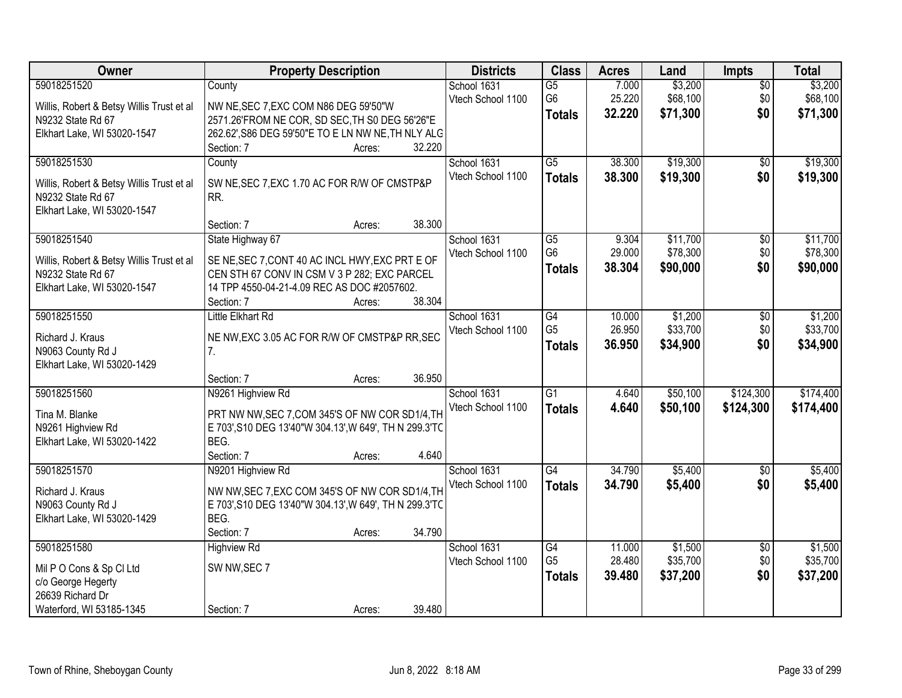| Owner                                          | <b>Property Description</b>                            | <b>Districts</b>  | <b>Class</b>    | <b>Acres</b> | Land     | <b>Impts</b>    | <b>Total</b> |
|------------------------------------------------|--------------------------------------------------------|-------------------|-----------------|--------------|----------|-----------------|--------------|
| 59018251520                                    | County                                                 | School 1631       | $\overline{G5}$ | 7.000        | \$3,200  | $\overline{50}$ | \$3,200      |
| Willis, Robert & Betsy Willis Trust et al      | NW NE, SEC 7, EXC COM N86 DEG 59'50"W                  | Vtech School 1100 | G <sub>6</sub>  | 25.220       | \$68,100 | \$0             | \$68,100     |
| N9232 State Rd 67                              | 2571.26'FROM NE COR, SD SEC, TH S0 DEG 56'26"E         |                   | <b>Totals</b>   | 32.220       | \$71,300 | \$0             | \$71,300     |
| Elkhart Lake, WI 53020-1547                    | 262.62', S86 DEG 59'50"E TO E LN NW NE, TH NLY ALG     |                   |                 |              |          |                 |              |
|                                                | 32.220<br>Section: 7<br>Acres:                         |                   |                 |              |          |                 |              |
| 59018251530                                    | County                                                 | School 1631       | $\overline{G5}$ | 38.300       | \$19,300 | \$0             | \$19,300     |
| Willis, Robert & Betsy Willis Trust et al      | SW NE, SEC 7, EXC 1.70 AC FOR R/W OF CMSTP&P           | Vtech School 1100 | <b>Totals</b>   | 38.300       | \$19,300 | \$0             | \$19,300     |
| N9232 State Rd 67                              | RR.                                                    |                   |                 |              |          |                 |              |
| Elkhart Lake, WI 53020-1547                    |                                                        |                   |                 |              |          |                 |              |
|                                                | 38.300<br>Section: 7<br>Acres:                         |                   |                 |              |          |                 |              |
| 59018251540                                    | State Highway 67                                       | School 1631       | G5              | 9.304        | \$11,700 | \$0             | \$11,700     |
| Willis, Robert & Betsy Willis Trust et al      | SE NE, SEC 7, CONT 40 AC INCL HWY, EXC PRT E OF        | Vtech School 1100 | G <sub>6</sub>  | 29.000       | \$78,300 | \$0             | \$78,300     |
| N9232 State Rd 67                              | CEN STH 67 CONV IN CSM V 3 P 282; EXC PARCEL           |                   | <b>Totals</b>   | 38.304       | \$90,000 | \$0             | \$90,000     |
| Elkhart Lake, WI 53020-1547                    | 14 TPP 4550-04-21-4.09 REC AS DOC #2057602.            |                   |                 |              |          |                 |              |
|                                                | 38.304<br>Section: 7<br>Acres:                         |                   |                 |              |          |                 |              |
| 59018251550                                    | Little Elkhart Rd                                      | School 1631       | G4              | 10.000       | \$1,200  | $\sqrt[6]{}$    | \$1,200      |
| Richard J. Kraus                               | NE NW, EXC 3.05 AC FOR R/W OF CMSTP&P RR, SEC          | Vtech School 1100 | G <sub>5</sub>  | 26.950       | \$33,700 | \$0             | \$33,700     |
| N9063 County Rd J                              | 7.                                                     |                   | <b>Totals</b>   | 36.950       | \$34,900 | \$0             | \$34,900     |
| Elkhart Lake, WI 53020-1429                    |                                                        |                   |                 |              |          |                 |              |
|                                                | 36.950<br>Section: 7<br>Acres:                         |                   |                 |              |          |                 |              |
| 59018251560                                    | N9261 Highview Rd                                      | School 1631       | $\overline{G1}$ | 4.640        | \$50,100 | \$124,300       | \$174,400    |
| Tina M. Blanke                                 | PRT NW NW, SEC 7, COM 345'S OF NW COR SD1/4, TH        | Vtech School 1100 | <b>Totals</b>   | 4.640        | \$50,100 | \$124,300       | \$174,400    |
| N9261 Highview Rd                              | E 703', S10 DEG 13'40"W 304.13', W 649', TH N 299.3'TC |                   |                 |              |          |                 |              |
| Elkhart Lake, WI 53020-1422                    | BEG.                                                   |                   |                 |              |          |                 |              |
|                                                | Section: 7<br>4.640<br>Acres:                          |                   |                 |              |          |                 |              |
| 59018251570                                    | N9201 Highview Rd                                      | School 1631       | $\overline{G4}$ | 34.790       | \$5,400  | $\overline{50}$ | \$5,400      |
| Richard J. Kraus                               | NW NW, SEC 7, EXC COM 345'S OF NW COR SD1/4, TH        | Vtech School 1100 | <b>Totals</b>   | 34.790       | \$5,400  | \$0             | \$5,400      |
| N9063 County Rd J                              | E 703', S10 DEG 13'40"W 304.13', W 649', TH N 299.3'TC |                   |                 |              |          |                 |              |
| Elkhart Lake, WI 53020-1429                    | BEG.                                                   |                   |                 |              |          |                 |              |
|                                                | 34.790<br>Section: 7<br>Acres:                         |                   |                 |              |          |                 |              |
| 59018251580                                    | <b>Highview Rd</b>                                     | School 1631       | $\overline{G4}$ | 11.000       | \$1,500  | $\overline{50}$ | \$1,500      |
|                                                |                                                        | Vtech School 1100 | G <sub>5</sub>  | 28.480       | \$35,700 | \$0             | \$35,700     |
| Mil P O Cons & Sp Cl Ltd<br>c/o George Hegerty | SW NW, SEC 7                                           |                   | <b>Totals</b>   | 39.480       | \$37,200 | \$0             | \$37,200     |
| 26639 Richard Dr                               |                                                        |                   |                 |              |          |                 |              |
| Waterford, WI 53185-1345                       | 39.480<br>Section: 7<br>Acres:                         |                   |                 |              |          |                 |              |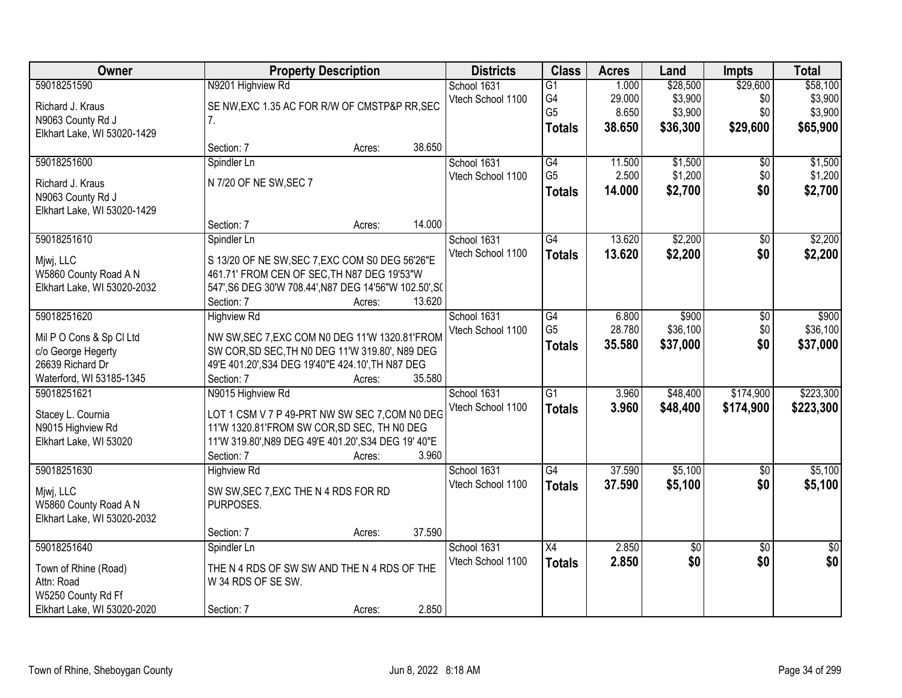| N9201 Highview Rd<br>\$29,600<br>59018251590<br>School 1631<br>$\overline{G1}$<br>1.000<br>\$28,500<br>G4<br>\$3,900<br>29.000<br>\$0<br>Vtech School 1100<br>SE NW, EXC 1.35 AC FOR R/W OF CMSTP&P RR, SEC<br>Richard J. Kraus<br>G <sub>5</sub><br>8.650<br>\$3,900<br>\$0<br>N9063 County Rd J<br>7.<br>38.650<br>\$36,300<br>\$29,600<br><b>Totals</b><br>Elkhart Lake, WI 53020-1429 | \$58,100<br>\$3,900<br>\$3,900<br>\$65,900<br>\$1,500 |
|-------------------------------------------------------------------------------------------------------------------------------------------------------------------------------------------------------------------------------------------------------------------------------------------------------------------------------------------------------------------------------------------|-------------------------------------------------------|
|                                                                                                                                                                                                                                                                                                                                                                                           |                                                       |
|                                                                                                                                                                                                                                                                                                                                                                                           |                                                       |
|                                                                                                                                                                                                                                                                                                                                                                                           |                                                       |
|                                                                                                                                                                                                                                                                                                                                                                                           |                                                       |
| 38.650<br>Section: 7<br>Acres:                                                                                                                                                                                                                                                                                                                                                            |                                                       |
| 59018251600<br>School 1631<br>G4<br>\$1,500<br>Spindler Ln<br>11.500<br>\$0                                                                                                                                                                                                                                                                                                               |                                                       |
| G <sub>5</sub><br>2.500<br>\$1,200<br>\$0<br>Vtech School 1100<br>N 7/20 OF NE SW, SEC 7<br>Richard J. Kraus                                                                                                                                                                                                                                                                              | \$1,200                                               |
| \$0<br>14.000<br>\$2,700<br><b>Totals</b><br>N9063 County Rd J                                                                                                                                                                                                                                                                                                                            | \$2,700                                               |
| Elkhart Lake, WI 53020-1429                                                                                                                                                                                                                                                                                                                                                               |                                                       |
| 14.000<br>Section: 7<br>Acres:                                                                                                                                                                                                                                                                                                                                                            |                                                       |
| \$2,200<br>59018251610<br>G4<br>13.620<br>\$0<br>Spindler Ln<br>School 1631                                                                                                                                                                                                                                                                                                               | \$2,200                                               |
| Vtech School 1100<br>13.620<br>\$2,200<br>\$0<br><b>Totals</b><br>Mjwj, LLC<br>S 13/20 OF NE SW, SEC 7, EXC COM S0 DEG 56'26"E                                                                                                                                                                                                                                                            | \$2,200                                               |
| W5860 County Road A N<br>461.71' FROM CEN OF SEC, TH N87 DEG 19'53"W                                                                                                                                                                                                                                                                                                                      |                                                       |
| Elkhart Lake, WI 53020-2032<br>547', S6 DEG 30'W 708.44', N87 DEG 14'56"W 102.50', S(                                                                                                                                                                                                                                                                                                     |                                                       |
| 13.620<br>Section: 7<br>Acres:                                                                                                                                                                                                                                                                                                                                                            |                                                       |
| \$900<br>59018251620<br>School 1631<br>$\overline{G4}$<br><b>Highview Rd</b><br>6.800<br>\$0                                                                                                                                                                                                                                                                                              | \$900                                                 |
| G <sub>5</sub><br>28.780<br>\$36,100<br>\$0<br>Vtech School 1100<br>NW SW, SEC 7, EXC COM N0 DEG 11'W 1320.81'FROM<br>Mil P O Cons & Sp Cl Ltd                                                                                                                                                                                                                                            | \$36,100                                              |
| \$0<br>35.580<br>\$37,000<br><b>Totals</b><br>SW COR, SD SEC, TH NO DEG 11'W 319.80', N89 DEG<br>c/o George Hegerty                                                                                                                                                                                                                                                                       | \$37,000                                              |
| 26639 Richard Dr<br>49'E 401.20', S34 DEG 19'40"E 424.10', TH N87 DEG                                                                                                                                                                                                                                                                                                                     |                                                       |
| Waterford, WI 53185-1345<br>35.580<br>Section: 7<br>Acres:                                                                                                                                                                                                                                                                                                                                |                                                       |
| $\overline{G1}$<br>\$174,900<br>59018251621<br>3.960<br>\$48,400<br>N9015 Highview Rd<br>School 1631                                                                                                                                                                                                                                                                                      | \$223,300                                             |
| 3.960<br>\$174,900<br>Vtech School 1100<br><b>Totals</b><br>\$48,400<br>LOT 1 CSM V 7 P 49-PRT NW SW SEC 7, COM N0 DEG<br>Stacey L. Cournia                                                                                                                                                                                                                                               | \$223,300                                             |
| N9015 Highview Rd<br>11'W 1320.81'FROM SW COR, SD SEC, TH NO DEG                                                                                                                                                                                                                                                                                                                          |                                                       |
| Elkhart Lake, WI 53020<br>11'W 319.80', N89 DEG 49'E 401.20', S34 DEG 19' 40"E                                                                                                                                                                                                                                                                                                            |                                                       |
| 3.960<br>Section: 7<br>Acres:                                                                                                                                                                                                                                                                                                                                                             |                                                       |
| $\overline{G4}$<br>37.590<br>\$5,100<br>59018251630<br>School 1631<br>$\overline{60}$<br><b>Highview Rd</b>                                                                                                                                                                                                                                                                               | \$5,100                                               |
| \$0<br>Vtech School 1100<br>37.590<br>\$5,100<br><b>Totals</b>                                                                                                                                                                                                                                                                                                                            | \$5,100                                               |
| Mjwj, LLC<br>SW SW, SEC 7, EXC THE N 4 RDS FOR RD<br>W5860 County Road A N<br>PURPOSES.                                                                                                                                                                                                                                                                                                   |                                                       |
| Elkhart Lake, WI 53020-2032                                                                                                                                                                                                                                                                                                                                                               |                                                       |
| 37.590<br>Section: 7<br>Acres:                                                                                                                                                                                                                                                                                                                                                            |                                                       |
| 59018251640<br>School 1631<br>2.850<br>X4<br>\$0<br>$\overline{50}$<br>Spindler Ln                                                                                                                                                                                                                                                                                                        | $\overline{50}$                                       |
| 2.850<br>\$0<br>\$0<br>Vtech School 1100<br><b>Totals</b>                                                                                                                                                                                                                                                                                                                                 | \$0                                                   |
| Town of Rhine (Road)<br>THE N 4 RDS OF SW SW AND THE N 4 RDS OF THE                                                                                                                                                                                                                                                                                                                       |                                                       |
| Attn: Road<br>W 34 RDS OF SE SW.<br>W5250 County Rd Ff                                                                                                                                                                                                                                                                                                                                    |                                                       |
| 2.850<br>Elkhart Lake, WI 53020-2020<br>Section: 7<br>Acres:                                                                                                                                                                                                                                                                                                                              |                                                       |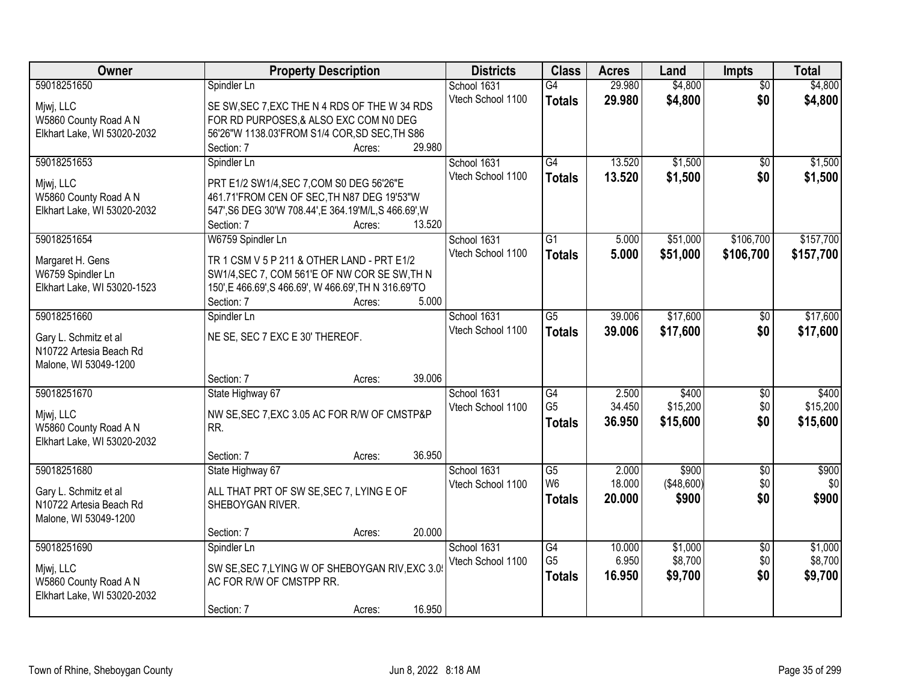| Owner<br><b>Property Description</b><br><b>Districts</b><br><b>Class</b><br><b>Acres</b><br>Land                                                     | <b>Impts</b>    | <b>Total</b> |
|------------------------------------------------------------------------------------------------------------------------------------------------------|-----------------|--------------|
| 59018251650<br>29.980<br>\$4,800<br>Spindler Ln<br>School 1631<br>$\overline{G4}$                                                                    | $\overline{50}$ | \$4,800      |
| Vtech School 1100<br>29.980<br>\$4,800<br><b>Totals</b><br>Mjwj, LLC<br>SE SW, SEC 7, EXC THE N 4 RDS OF THE W 34 RDS                                | \$0             | \$4,800      |
| W5860 County Road A N<br>FOR RD PURPOSES, & ALSO EXC COM NO DEG                                                                                      |                 |              |
| 56'26"W 1138.03'FROM S1/4 COR, SD SEC, TH S86<br>Elkhart Lake, WI 53020-2032                                                                         |                 |              |
| 29.980<br>Section: 7<br>Acres:                                                                                                                       |                 |              |
| 59018251653<br>G4<br>13.520<br>\$1,500<br>School 1631<br>Spindler Ln                                                                                 | \$0             | \$1,500      |
| Vtech School 1100<br>13.520<br>\$1,500<br><b>Totals</b><br>Mjwj, LLC<br>PRT E1/2 SW1/4, SEC 7, COM S0 DEG 56'26"E                                    | \$0             | \$1,500      |
| W5860 County Road A N<br>461.71'FROM CEN OF SEC, TH N87 DEG 19'53"W                                                                                  |                 |              |
| Elkhart Lake, WI 53020-2032<br>547', S6 DEG 30'W 708.44', E 364.19'M/L, S 466.69', W                                                                 |                 |              |
| 13.520<br>Section: 7<br>Acres:                                                                                                                       |                 |              |
| 59018251654<br>W6759 Spindler Ln<br>G1<br>\$51,000<br>School 1631<br>5.000                                                                           | \$106,700       | \$157,700    |
| Vtech School 1100<br>\$51,000<br>5.000<br><b>Totals</b><br>TR 1 CSM V 5 P 211 & OTHER LAND - PRT E1/2<br>Margaret H. Gens                            | \$106,700       | \$157,700    |
| W6759 Spindler Ln<br>SW1/4, SEC 7, COM 561'E OF NW COR SE SW, TH N                                                                                   |                 |              |
| Elkhart Lake, WI 53020-1523<br>150', E 466.69', S 466.69', W 466.69', TH N 316.69'TO                                                                 |                 |              |
| 5.000<br>Section: 7<br>Acres:                                                                                                                        |                 |              |
| \$17,600<br>59018251660<br>$\overline{G5}$<br>39.006<br>School 1631<br>Spindler Ln                                                                   | $\sqrt[6]{3}$   | \$17,600     |
| Vtech School 1100<br>39,006<br>\$17,600<br><b>Totals</b><br>Gary L. Schmitz et al<br>NE SE, SEC 7 EXC E 30' THEREOF.                                 | \$0             | \$17,600     |
| N10722 Artesia Beach Rd                                                                                                                              |                 |              |
| Malone, WI 53049-1200                                                                                                                                |                 |              |
| 39.006<br>Section: 7<br>Acres:                                                                                                                       |                 |              |
| \$400<br>59018251670<br>$\overline{G4}$<br>2.500<br>State Highway 67<br>School 1631                                                                  | \$0             | \$400        |
| G <sub>5</sub><br>34.450<br>\$15,200<br>Vtech School 1100                                                                                            | \$0             | \$15,200     |
| Mjwj, LLC<br>NW SE, SEC 7, EXC 3.05 AC FOR R/W OF CMSTP&P<br>36.950<br>\$15,600<br><b>Totals</b><br>W5860 County Road A N<br>RR.                     | \$0             | \$15,600     |
| Elkhart Lake, WI 53020-2032                                                                                                                          |                 |              |
| 36.950<br>Section: 7<br>Acres:                                                                                                                       |                 |              |
| 59018251680<br>School 1631<br>G5<br>2.000<br>\$900<br>State Highway 67                                                                               | $\overline{50}$ | \$900        |
| W <sub>6</sub><br>18.000<br>(\$48,600)<br>Vtech School 1100                                                                                          | \$0             | \$0          |
| ALL THAT PRT OF SW SE, SEC 7, LYING E OF<br>Gary L. Schmitz et al<br>20,000<br>\$900<br><b>Totals</b><br>SHEBOYGAN RIVER.<br>N10722 Artesia Beach Rd | \$0             | \$900        |
| Malone, WI 53049-1200                                                                                                                                |                 |              |
| 20.000<br>Section: 7<br>Acres:                                                                                                                       |                 |              |
| 59018251690<br>G4<br>\$1,000<br>School 1631<br>10.000<br>Spindler Ln                                                                                 | $\overline{50}$ | \$1,000      |
| G <sub>5</sub><br>\$8,700<br>6.950<br>Vtech School 1100                                                                                              | \$0             | \$8,700      |
| SW SE, SEC 7, LYING W OF SHEBOYGAN RIV, EXC 3.0<br>Mjwj, LLC<br>\$9,700<br>16.950<br><b>Totals</b><br>AC FOR R/W OF CMSTPP RR.                       | \$0             | \$9,700      |
| W5860 County Road A N<br>Elkhart Lake, WI 53020-2032                                                                                                 |                 |              |
| 16.950<br>Section: 7<br>Acres:                                                                                                                       |                 |              |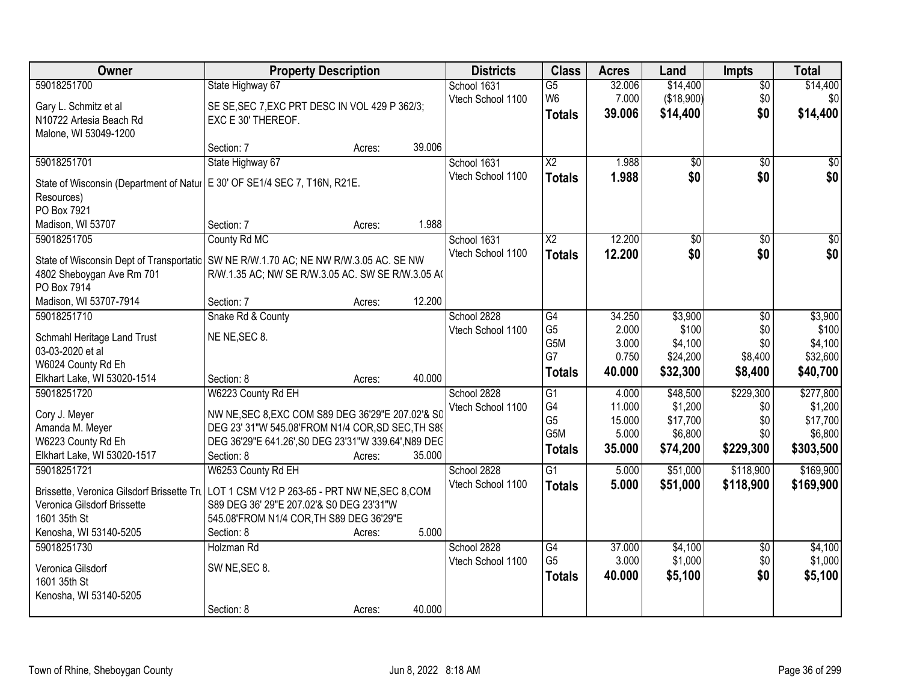| Owner                                                                                  | <b>Property Description</b>                          |        |        | <b>Districts</b>  | <b>Class</b>           | <b>Acres</b> | Land            | <b>Impts</b>    | <b>Total</b>    |
|----------------------------------------------------------------------------------------|------------------------------------------------------|--------|--------|-------------------|------------------------|--------------|-----------------|-----------------|-----------------|
| 59018251700                                                                            | State Highway 67                                     |        |        | School 1631       | $\overline{G5}$        | 32.006       | \$14,400        | $\overline{50}$ | \$14,400        |
| Gary L. Schmitz et al                                                                  | SE SE, SEC 7, EXC PRT DESC IN VOL 429 P 362/3;       |        |        | Vtech School 1100 | W <sub>6</sub>         | 7.000        | (\$18,900)      | \$0             | \$0             |
| N10722 Artesia Beach Rd                                                                | EXC E 30' THEREOF.                                   |        |        |                   | <b>Totals</b>          | 39.006       | \$14,400        | \$0             | \$14,400        |
| Malone, WI 53049-1200                                                                  |                                                      |        |        |                   |                        |              |                 |                 |                 |
|                                                                                        | Section: 7                                           | Acres: | 39.006 |                   |                        |              |                 |                 |                 |
| 59018251701                                                                            | State Highway 67                                     |        |        | School 1631       | $\overline{\text{X2}}$ | 1.988        | $\overline{50}$ | $\overline{50}$ | $\sqrt{50}$     |
| State of Wisconsin (Department of Natur                                                | E 30' OF SE1/4 SEC 7, T16N, R21E.                    |        |        | Vtech School 1100 | <b>Totals</b>          | 1.988        | \$0             | \$0             | \$0             |
| Resources)                                                                             |                                                      |        |        |                   |                        |              |                 |                 |                 |
| PO Box 7921                                                                            |                                                      |        |        |                   |                        |              |                 |                 |                 |
| Madison, WI 53707                                                                      | Section: 7                                           | Acres: | 1.988  |                   |                        |              |                 |                 |                 |
| 59018251705                                                                            | County Rd MC                                         |        |        | School 1631       | X <sub>2</sub>         | 12.200       | \$0             | \$0             | $\overline{30}$ |
| State of Wisconsin Dept of Transportatic   SW NE R/W.1.70 AC; NE NW R/W.3.05 AC. SE NW |                                                      |        |        | Vtech School 1100 | <b>Totals</b>          | 12.200       | \$0             | \$0             | \$0             |
| 4802 Sheboygan Ave Rm 701                                                              | R/W.1.35 AC; NW SE R/W.3.05 AC. SW SE R/W.3.05 A(    |        |        |                   |                        |              |                 |                 |                 |
| PO Box 7914                                                                            |                                                      |        |        |                   |                        |              |                 |                 |                 |
| Madison, WI 53707-7914                                                                 | Section: 7                                           | Acres: | 12.200 |                   |                        |              |                 |                 |                 |
| 59018251710                                                                            | Snake Rd & County                                    |        |        | School 2828       | G4                     | 34.250       | \$3,900         | $\sqrt[6]{}$    | \$3,900         |
| Schmahl Heritage Land Trust                                                            | NE NE, SEC 8.                                        |        |        | Vtech School 1100 | G <sub>5</sub>         | 2.000        | \$100           | \$0             | \$100           |
| 03-03-2020 et al                                                                       |                                                      |        |        |                   | G5M                    | 3.000        | \$4,100         | \$0             | \$4,100         |
| W6024 County Rd Eh                                                                     |                                                      |        |        |                   | G7                     | 0.750        | \$24,200        | \$8,400         | \$32,600        |
| Elkhart Lake, WI 53020-1514                                                            | Section: 8                                           | Acres: | 40.000 |                   | <b>Totals</b>          | 40.000       | \$32,300        | \$8,400         | \$40,700        |
| 59018251720                                                                            | W6223 County Rd EH                                   |        |        | School 2828       | $\overline{G1}$        | 4.000        | \$48,500        | \$229,300       | \$277,800       |
| Cory J. Meyer                                                                          | NW NE, SEC 8, EXC COM S89 DEG 36'29"E 207.02'& S0    |        |        | Vtech School 1100 | G4                     | 11.000       | \$1,200         | \$0             | \$1,200         |
| Amanda M. Meyer                                                                        | DEG 23' 31"W 545.08'FROM N1/4 COR, SD SEC, TH S89    |        |        |                   | G <sub>5</sub>         | 15.000       | \$17,700        | \$0             | \$17,700        |
| W6223 County Rd Eh                                                                     | DEG 36'29"E 641.26', S0 DEG 23'31"W 339.64', N89 DEC |        |        |                   | G5M                    | 5.000        | \$6,800         | \$0             | \$6,800         |
| Elkhart Lake, WI 53020-1517                                                            | Section: 8                                           | Acres: | 35.000 |                   | <b>Totals</b>          | 35.000       | \$74,200        | \$229,300       | \$303,500       |
| 59018251721                                                                            | W6253 County Rd EH                                   |        |        | School 2828       | $\overline{G1}$        | 5.000        | \$51,000        | \$118,900       | \$169,900       |
| Brissette, Veronica Gilsdorf Brissette Tru                                             | LOT 1 CSM V12 P 263-65 - PRT NW NE, SEC 8, COM       |        |        | Vtech School 1100 | <b>Totals</b>          | 5.000        | \$51,000        | \$118,900       | \$169,900       |
| Veronica Gilsdorf Brissette                                                            | S89 DEG 36' 29"E 207.02'& S0 DEG 23'31"W             |        |        |                   |                        |              |                 |                 |                 |
| 1601 35th St                                                                           | 545.08'FROM N1/4 COR, TH S89 DEG 36'29"E             |        |        |                   |                        |              |                 |                 |                 |
| Kenosha, WI 53140-5205                                                                 | Section: 8                                           | Acres: | 5.000  |                   |                        |              |                 |                 |                 |
| 59018251730                                                                            | Holzman Rd                                           |        |        | School 2828       | G4                     | 37.000       | \$4,100         | $\overline{50}$ | \$4,100         |
| Veronica Gilsdorf                                                                      | SW NE, SEC 8.                                        |        |        | Vtech School 1100 | G <sub>5</sub>         | 3.000        | \$1,000         | \$0             | \$1,000         |
| 1601 35th St                                                                           |                                                      |        |        |                   | <b>Totals</b>          | 40.000       | \$5,100         | \$0             | \$5,100         |
| Kenosha, WI 53140-5205                                                                 |                                                      |        |        |                   |                        |              |                 |                 |                 |
|                                                                                        | Section: 8                                           | Acres: | 40.000 |                   |                        |              |                 |                 |                 |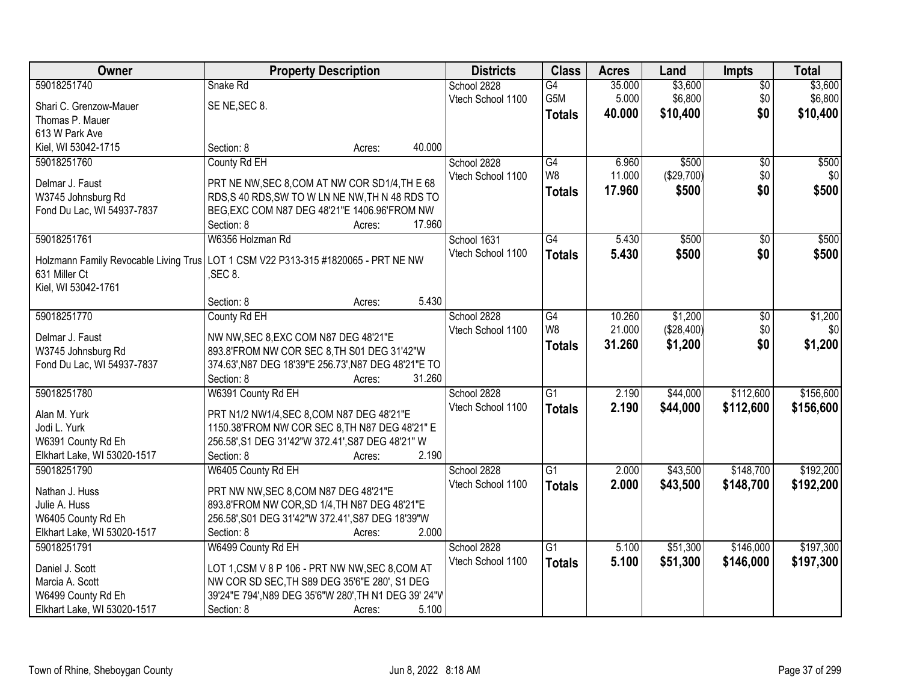| Owner                                 | <b>Property Description</b>                           |        |        | <b>Districts</b>  | <b>Class</b>     | <b>Acres</b> | Land       | <b>Impts</b>    | <b>Total</b> |
|---------------------------------------|-------------------------------------------------------|--------|--------|-------------------|------------------|--------------|------------|-----------------|--------------|
| 59018251740                           | Snake Rd                                              |        |        | School 2828       | $\overline{G4}$  | 35.000       | \$3,600    | $\overline{50}$ | \$3,600      |
| Shari C. Grenzow-Mauer                | SE NE, SEC 8.                                         |        |        | Vtech School 1100 | G <sub>5</sub> M | 5.000        | \$6,800    | \$0             | \$6,800      |
| Thomas P. Mauer                       |                                                       |        |        |                   | <b>Totals</b>    | 40.000       | \$10,400   | \$0             | \$10,400     |
| 613 W Park Ave                        |                                                       |        |        |                   |                  |              |            |                 |              |
| Kiel, WI 53042-1715                   | Section: 8                                            | Acres: | 40.000 |                   |                  |              |            |                 |              |
| 59018251760                           | County Rd EH                                          |        |        | School 2828       | G4               | 6.960        | \$500      | $\overline{50}$ | \$500        |
|                                       |                                                       |        |        | Vtech School 1100 | W <sub>8</sub>   | 11.000       | (\$29,700) | \$0             | \$0          |
| Delmar J. Faust                       | PRT NE NW, SEC 8, COM AT NW COR SD1/4, TH E 68        |        |        |                   | <b>Totals</b>    | 17.960       | \$500      | \$0             | \$500        |
| W3745 Johnsburg Rd                    | RDS, S 40 RDS, SW TO W LN NE NW, TH N 48 RDS TO       |        |        |                   |                  |              |            |                 |              |
| Fond Du Lac, WI 54937-7837            | BEG, EXC COM N87 DEG 48'21"E 1406.96'FROM NW          |        |        |                   |                  |              |            |                 |              |
|                                       | Section: 8                                            | Acres: | 17.960 |                   |                  |              |            |                 |              |
| 59018251761                           | W6356 Holzman Rd                                      |        |        | School 1631       | G4               | 5.430        | \$500      | \$0             | \$500        |
| Holzmann Family Revocable Living Trus | LOT 1 CSM V22 P313-315 #1820065 - PRT NE NW           |        |        | Vtech School 1100 | <b>Totals</b>    | 5.430        | \$500      | \$0             | \$500        |
| 631 Miller Ct                         | SEC 8.                                                |        |        |                   |                  |              |            |                 |              |
| Kiel, WI 53042-1761                   |                                                       |        |        |                   |                  |              |            |                 |              |
|                                       | Section: 8                                            | Acres: | 5.430  |                   |                  |              |            |                 |              |
| 59018251770                           | County Rd EH                                          |        |        | School 2828       | G4               | 10.260       | \$1,200    | \$0             | \$1,200      |
|                                       |                                                       |        |        | Vtech School 1100 | W <sub>8</sub>   | 21.000       | (\$28,400) | \$0             | \$0          |
| Delmar J. Faust                       | NW NW, SEC 8, EXC COM N87 DEG 48'21"E                 |        |        |                   | <b>Totals</b>    | 31.260       | \$1,200    | \$0             | \$1,200      |
| W3745 Johnsburg Rd                    | 893.8'FROM NW COR SEC 8, TH S01 DEG 31'42"W           |        |        |                   |                  |              |            |                 |              |
| Fond Du Lac, WI 54937-7837            | 374.63', N87 DEG 18'39"E 256.73', N87 DEG 48'21"E TO  |        |        |                   |                  |              |            |                 |              |
|                                       | Section: 8                                            | Acres: | 31.260 |                   |                  |              |            |                 |              |
| 59018251780                           | W6391 County Rd EH                                    |        |        | School 2828       | $\overline{G1}$  | 2.190        | \$44,000   | \$112,600       | \$156,600    |
| Alan M. Yurk                          | PRT N1/2 NW1/4, SEC 8, COM N87 DEG 48'21"E            |        |        | Vtech School 1100 | <b>Totals</b>    | 2.190        | \$44,000   | \$112,600       | \$156,600    |
| Jodi L. Yurk                          | 1150.38'FROM NW COR SEC 8, TH N87 DEG 48'21" E        |        |        |                   |                  |              |            |                 |              |
| W6391 County Rd Eh                    | 256.58', S1 DEG 31'42"W 372.41', S87 DEG 48'21" W     |        |        |                   |                  |              |            |                 |              |
| Elkhart Lake, WI 53020-1517           | Section: 8                                            | Acres: | 2.190  |                   |                  |              |            |                 |              |
| 59018251790                           | W6405 County Rd EH                                    |        |        | School 2828       | G1               | 2.000        | \$43,500   | \$148,700       | \$192,200    |
|                                       |                                                       |        |        | Vtech School 1100 | <b>Totals</b>    | 2.000        | \$43,500   | \$148,700       | \$192,200    |
| Nathan J. Huss                        | PRT NW NW, SEC 8, COM N87 DEG 48'21"E                 |        |        |                   |                  |              |            |                 |              |
| Julie A. Huss                         | 893.8'FROM NW COR, SD 1/4, TH N87 DEG 48'21"E         |        |        |                   |                  |              |            |                 |              |
| W6405 County Rd Eh                    | 256.58', S01 DEG 31'42"W 372.41', S87 DEG 18'39"W     |        |        |                   |                  |              |            |                 |              |
| Elkhart Lake, WI 53020-1517           | Section: 8                                            | Acres: | 2.000  |                   |                  |              |            |                 |              |
| 59018251791                           | W6499 County Rd EH                                    |        |        | School 2828       | $\overline{G1}$  | 5.100        | \$51,300   | \$146,000       | \$197,300    |
| Daniel J. Scott                       | LOT 1, CSM V 8 P 106 - PRT NW NW, SEC 8, COM AT       |        |        | Vtech School 1100 | <b>Totals</b>    | 5.100        | \$51,300   | \$146,000       | \$197,300    |
| Marcia A. Scott                       | NW COR SD SEC, TH S89 DEG 35'6"E 280', S1 DEG         |        |        |                   |                  |              |            |                 |              |
| W6499 County Rd Eh                    | 39'24"E 794', N89 DEG 35'6"W 280', TH N1 DEG 39' 24"V |        |        |                   |                  |              |            |                 |              |
| Elkhart Lake, WI 53020-1517           | Section: 8                                            | Acres: | 5.100  |                   |                  |              |            |                 |              |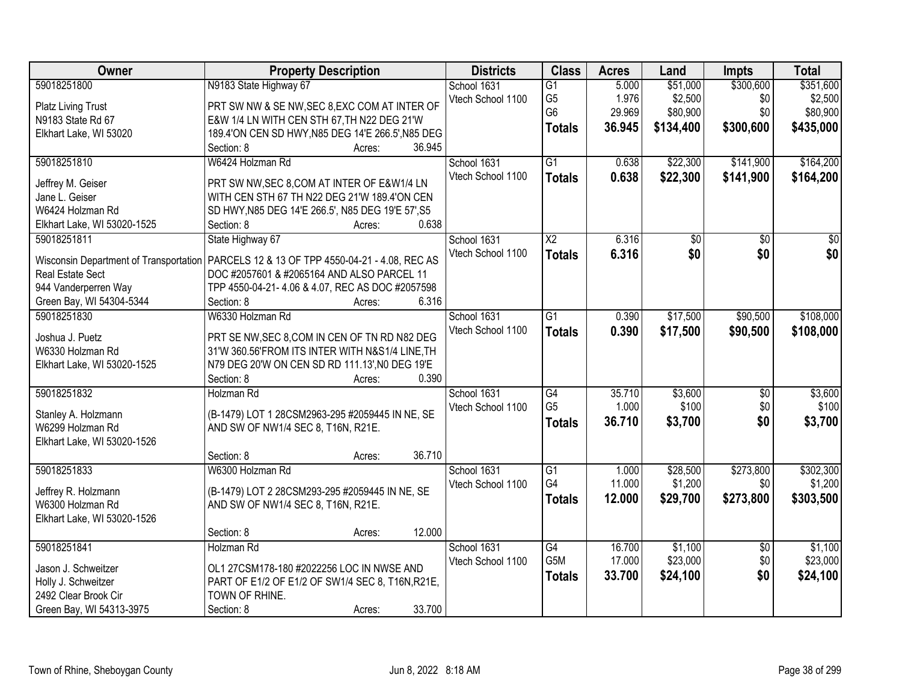| Owner                                                             | <b>Property Description</b>                                                                    | <b>Districts</b>  | <b>Class</b>                     | <b>Acres</b>   | Land                | <b>Impts</b>     | <b>Total</b>        |
|-------------------------------------------------------------------|------------------------------------------------------------------------------------------------|-------------------|----------------------------------|----------------|---------------------|------------------|---------------------|
| 59018251800                                                       | N9183 State Highway 67                                                                         | School 1631       | $\overline{G1}$                  | 5.000<br>1.976 | \$51,000<br>\$2,500 | \$300,600<br>\$0 | \$351,600           |
| Platz Living Trust                                                | PRT SW NW & SE NW, SEC 8, EXC COM AT INTER OF                                                  | Vtech School 1100 | G <sub>5</sub><br>G <sub>6</sub> | 29.969         | \$80,900            | \$0              | \$2,500<br>\$80,900 |
| N9183 State Rd 67                                                 | E&W 1/4 LN WITH CEN STH 67, TH N22 DEG 21'W                                                    |                   |                                  | 36.945         | \$134,400           | \$300,600        | \$435,000           |
| Elkhart Lake, WI 53020                                            | 189.4'ON CEN SD HWY, N85 DEG 14'E 266.5', N85 DEG                                              |                   | <b>Totals</b>                    |                |                     |                  |                     |
|                                                                   | Section: 8<br>36.945<br>Acres:                                                                 |                   |                                  |                |                     |                  |                     |
| 59018251810                                                       | W6424 Holzman Rd                                                                               | School 1631       | $\overline{G1}$                  | 0.638          | \$22,300            | \$141,900        | \$164,200           |
| Jeffrey M. Geiser                                                 | PRT SW NW, SEC 8, COM AT INTER OF E&W1/4 LN                                                    | Vtech School 1100 | <b>Totals</b>                    | 0.638          | \$22,300            | \$141,900        | \$164,200           |
| Jane L. Geiser                                                    | WITH CEN STH 67 TH N22 DEG 21'W 189.4'ON CEN                                                   |                   |                                  |                |                     |                  |                     |
| W6424 Holzman Rd                                                  | SD HWY, N85 DEG 14'E 266.5', N85 DEG 19'E 57', S5                                              |                   |                                  |                |                     |                  |                     |
| Elkhart Lake, WI 53020-1525                                       | 0.638<br>Section: 8<br>Acres:                                                                  |                   |                                  |                |                     |                  |                     |
| 59018251811                                                       | State Highway 67                                                                               | School 1631       | $\overline{\text{X2}}$           | 6.316          | $\overline{50}$     | $\overline{50}$  | $\overline{50}$     |
|                                                                   |                                                                                                | Vtech School 1100 | <b>Totals</b>                    | 6.316          | \$0                 | \$0              | \$0                 |
| Wisconsin Department of Transportation<br><b>Real Estate Sect</b> | PARCELS 12 & 13 OF TPP 4550-04-21 - 4.08, REC AS<br>DOC #2057601 & #2065164 AND ALSO PARCEL 11 |                   |                                  |                |                     |                  |                     |
| 944 Vanderperren Way                                              | TPP 4550-04-21-4.06 & 4.07, REC AS DOC #2057598                                                |                   |                                  |                |                     |                  |                     |
| Green Bay, WI 54304-5344                                          | Section: 8<br>6.316<br>Acres:                                                                  |                   |                                  |                |                     |                  |                     |
| 59018251830                                                       | W6330 Holzman Rd                                                                               | School 1631       | $\overline{G1}$                  | 0.390          | \$17,500            | \$90,500         | \$108,000           |
|                                                                   |                                                                                                | Vtech School 1100 | <b>Totals</b>                    | 0.390          | \$17,500            | \$90,500         | \$108,000           |
| Joshua J. Puetz                                                   | PRT SE NW, SEC 8, COM IN CEN OF TN RD N82 DEG                                                  |                   |                                  |                |                     |                  |                     |
| W6330 Holzman Rd                                                  | 31'W 360.56'FROM ITS INTER WITH N&S1/4 LINE, TH                                                |                   |                                  |                |                     |                  |                     |
| Elkhart Lake, WI 53020-1525                                       | N79 DEG 20'W ON CEN SD RD 111.13', N0 DEG 19'E                                                 |                   |                                  |                |                     |                  |                     |
|                                                                   | 0.390<br>Section: 8<br>Acres:                                                                  |                   |                                  |                |                     |                  |                     |
| 59018251832                                                       | Holzman Rd                                                                                     | School 1631       | $\overline{G4}$                  | 35.710         | \$3,600             | \$0              | \$3,600             |
| Stanley A. Holzmann                                               | (B-1479) LOT 1 28CSM2963-295 #2059445 IN NE, SE                                                | Vtech School 1100 | G <sub>5</sub>                   | 1.000          | \$100               | \$0              | \$100               |
| W6299 Holzman Rd                                                  | AND SW OF NW1/4 SEC 8, T16N, R21E.                                                             |                   | <b>Totals</b>                    | 36.710         | \$3,700             | \$0              | \$3,700             |
| Elkhart Lake, WI 53020-1526                                       |                                                                                                |                   |                                  |                |                     |                  |                     |
|                                                                   | 36.710<br>Section: 8<br>Acres:                                                                 |                   |                                  |                |                     |                  |                     |
| 59018251833                                                       | W6300 Holzman Rd                                                                               | School 1631       | $\overline{G1}$                  | 1.000          | \$28,500            | \$273,800        | \$302,300           |
| Jeffrey R. Holzmann                                               | (B-1479) LOT 2 28CSM293-295 #2059445 IN NE, SE                                                 | Vtech School 1100 | G4                               | 11.000         | \$1,200             | \$0              | \$1,200             |
| W6300 Holzman Rd                                                  | AND SW OF NW1/4 SEC 8, T16N, R21E.                                                             |                   | <b>Totals</b>                    | 12.000         | \$29,700            | \$273,800        | \$303,500           |
| Elkhart Lake, WI 53020-1526                                       |                                                                                                |                   |                                  |                |                     |                  |                     |
|                                                                   | 12.000<br>Section: 8<br>Acres:                                                                 |                   |                                  |                |                     |                  |                     |
| 59018251841                                                       | Holzman Rd                                                                                     | School 1631       | G4                               | 16.700         | \$1,100             | $\overline{50}$  | \$1,100             |
|                                                                   |                                                                                                | Vtech School 1100 | G5M                              | 17.000         | \$23,000            | \$0              | \$23,000            |
| Jason J. Schweitzer                                               | OL1 27CSM178-180 #2022256 LOC IN NWSE AND                                                      |                   | <b>Totals</b>                    | 33.700         | \$24,100            | \$0              | \$24,100            |
| Holly J. Schweitzer                                               | PART OF E1/2 OF E1/2 OF SW1/4 SEC 8, T16N, R21E,                                               |                   |                                  |                |                     |                  |                     |
| 2492 Clear Brook Cir                                              | TOWN OF RHINE.                                                                                 |                   |                                  |                |                     |                  |                     |
| Green Bay, WI 54313-3975                                          | 33.700<br>Section: 8<br>Acres:                                                                 |                   |                                  |                |                     |                  |                     |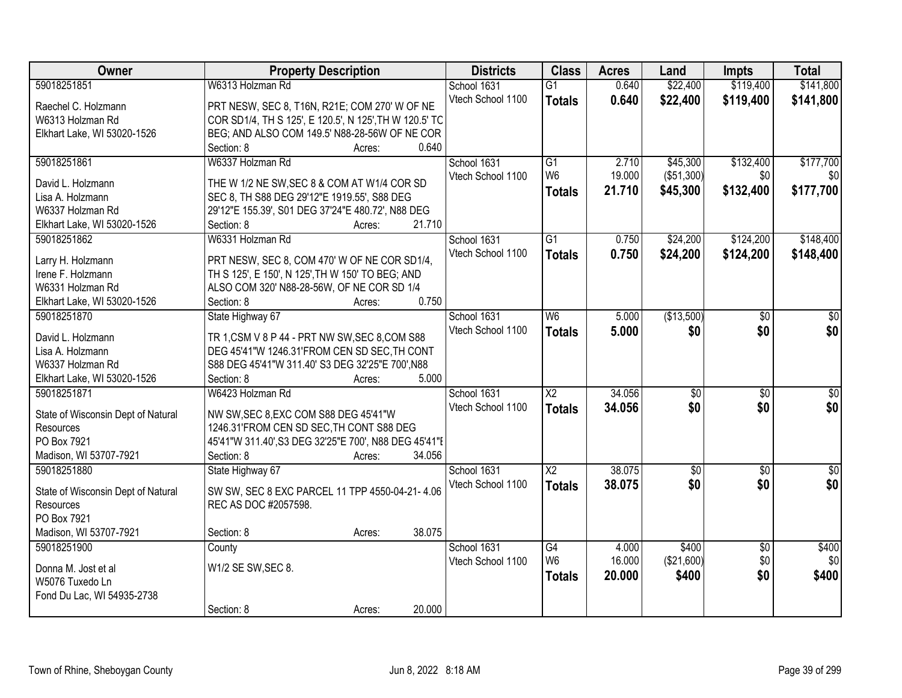| Owner                                  | <b>Property Description</b>                                       | <b>Districts</b>  | <b>Class</b>           | <b>Acres</b> | Land            | <b>Impts</b>    | <b>Total</b>     |
|----------------------------------------|-------------------------------------------------------------------|-------------------|------------------------|--------------|-----------------|-----------------|------------------|
| 59018251851                            | W6313 Holzman Rd                                                  | School 1631       | $\overline{G1}$        | 0.640        | \$22,400        | \$119,400       | \$141,800        |
| Raechel C. Holzmann                    | PRT NESW, SEC 8, T16N, R21E; COM 270' W OF NE                     | Vtech School 1100 | <b>Totals</b>          | 0.640        | \$22,400        | \$119,400       | \$141,800        |
| W6313 Holzman Rd                       | COR SD1/4, TH S 125', E 120.5', N 125', TH W 120.5' TC            |                   |                        |              |                 |                 |                  |
| Elkhart Lake, WI 53020-1526            | BEG; AND ALSO COM 149.5' N88-28-56W OF NE COR                     |                   |                        |              |                 |                 |                  |
|                                        | 0.640<br>Section: 8<br>Acres:                                     |                   |                        |              |                 |                 |                  |
| 59018251861                            | W6337 Holzman Rd                                                  | School 1631       | $\overline{G1}$        | 2.710        | \$45,300        | \$132,400       | \$177,700        |
|                                        |                                                                   | Vtech School 1100 | W <sub>6</sub>         | 19.000       | (\$51,300)      | \$0             | \$0              |
| David L. Holzmann                      | THE W 1/2 NE SW, SEC 8 & COM AT W1/4 COR SD                       |                   | <b>Totals</b>          | 21.710       | \$45,300        | \$132,400       | \$177,700        |
| Lisa A. Holzmann                       | SEC 8, TH S88 DEG 29'12"E 1919.55', S88 DEG                       |                   |                        |              |                 |                 |                  |
| W6337 Holzman Rd                       | 29'12"E 155.39', S01 DEG 37'24"E 480.72', N88 DEG                 |                   |                        |              |                 |                 |                  |
| Elkhart Lake, WI 53020-1526            | 21.710<br>Section: 8<br>Acres:                                    |                   |                        |              |                 |                 |                  |
| 59018251862                            | W6331 Holzman Rd                                                  | School 1631       | G1                     | 0.750        | \$24,200        | \$124,200       | \$148,400        |
|                                        | PRT NESW, SEC 8, COM 470' W OF NE COR SD1/4,                      | Vtech School 1100 | <b>Totals</b>          | 0.750        | \$24,200        | \$124,200       | \$148,400        |
| Larry H. Holzmann<br>Irene F. Holzmann | TH S 125', E 150', N 125', TH W 150' TO BEG; AND                  |                   |                        |              |                 |                 |                  |
|                                        |                                                                   |                   |                        |              |                 |                 |                  |
| W6331 Holzman Rd                       | ALSO COM 320' N88-28-56W, OF NE COR SD 1/4<br>0.750<br>Section: 8 |                   |                        |              |                 |                 |                  |
| Elkhart Lake, WI 53020-1526            | Acres:                                                            |                   |                        |              |                 |                 |                  |
| 59018251870                            | State Highway 67                                                  | School 1631       | W <sub>6</sub>         | 5.000        | (\$13,500)      | $\sqrt{6}$      | \$0              |
| David L. Holzmann                      | TR 1, CSM V 8 P 44 - PRT NW SW, SEC 8, COM S88                    | Vtech School 1100 | <b>Totals</b>          | 5.000        | \$0             | \$0             | \$0              |
| Lisa A. Holzmann                       | DEG 45'41"W 1246.31'FROM CEN SD SEC, TH CONT                      |                   |                        |              |                 |                 |                  |
| W6337 Holzman Rd                       | S88 DEG 45'41"W 311.40' S3 DEG 32'25"E 700', N88                  |                   |                        |              |                 |                 |                  |
| Elkhart Lake, WI 53020-1526            | 5.000<br>Section: 8<br>Acres:                                     |                   |                        |              |                 |                 |                  |
| 59018251871                            | W6423 Holzman Rd                                                  | School 1631       | $\overline{X2}$        | 34.056       | $\overline{50}$ | $\overline{30}$ | $\overline{30}$  |
|                                        |                                                                   | Vtech School 1100 | <b>Totals</b>          | 34.056       | \$0             | \$0             | \$0              |
| State of Wisconsin Dept of Natural     | NW SW, SEC 8, EXC COM S88 DEG 45'41"W                             |                   |                        |              |                 |                 |                  |
| <b>Resources</b>                       | 1246.31'FROM CEN SD SEC.TH CONT S88 DEG                           |                   |                        |              |                 |                 |                  |
| PO Box 7921                            | 45'41"W 311.40', S3 DEG 32'25"E 700', N88 DEG 45'41"E             |                   |                        |              |                 |                 |                  |
| Madison, WI 53707-7921                 | Section: 8<br>34.056<br>Acres:                                    |                   |                        |              |                 |                 |                  |
| 59018251880                            | State Highway 67                                                  | School 1631       | $\overline{\text{X2}}$ | 38.075       | $\overline{50}$ | $\overline{50}$ | $\overline{\$0}$ |
| State of Wisconsin Dept of Natural     | SW SW, SEC 8 EXC PARCEL 11 TPP 4550-04-21-4.06                    | Vtech School 1100 | <b>Totals</b>          | 38.075       | \$0             | \$0             | \$0              |
| Resources                              | REC AS DOC #2057598.                                              |                   |                        |              |                 |                 |                  |
| PO Box 7921                            |                                                                   |                   |                        |              |                 |                 |                  |
| Madison, WI 53707-7921                 | 38.075<br>Section: 8<br>Acres:                                    |                   |                        |              |                 |                 |                  |
| 59018251900                            | County                                                            | School 1631       | G4                     | 4.000        | \$400           | $\overline{50}$ | \$400            |
|                                        |                                                                   | Vtech School 1100 | W <sub>6</sub>         | 16.000       | (\$21,600)      | \$0             | \$0              |
| Donna M. Jost et al                    | W1/2 SE SW, SEC 8.                                                |                   | <b>Totals</b>          | 20.000       | \$400           | \$0             | \$400            |
| W5076 Tuxedo Ln                        |                                                                   |                   |                        |              |                 |                 |                  |
| Fond Du Lac, WI 54935-2738             |                                                                   |                   |                        |              |                 |                 |                  |
|                                        | 20.000<br>Section: 8<br>Acres:                                    |                   |                        |              |                 |                 |                  |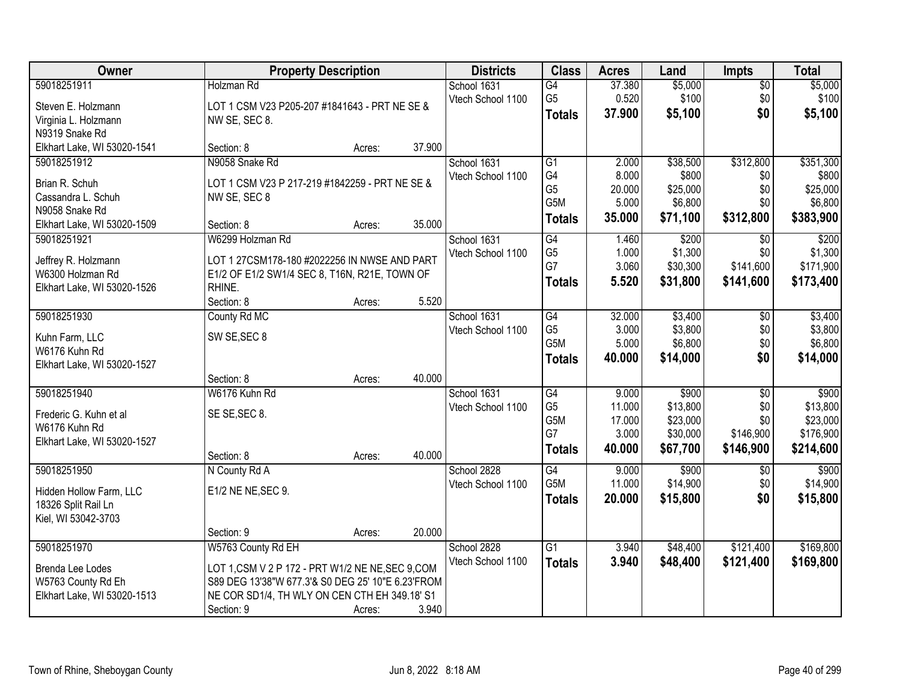| Owner                                                                                 | <b>Property Description</b>                                                                                                                                                                 |        |        | <b>Districts</b>                 | <b>Class</b>                                                    | <b>Acres</b>                                 | Land                                                  | <b>Impts</b>                                | <b>Total</b>                                            |
|---------------------------------------------------------------------------------------|---------------------------------------------------------------------------------------------------------------------------------------------------------------------------------------------|--------|--------|----------------------------------|-----------------------------------------------------------------|----------------------------------------------|-------------------------------------------------------|---------------------------------------------|---------------------------------------------------------|
| 59018251911<br>Steven E. Holzmann<br>Virginia L. Holzmann<br>N9319 Snake Rd           | Holzman Rd<br>LOT 1 CSM V23 P205-207 #1841643 - PRT NE SE &<br>NW SE, SEC 8.                                                                                                                |        |        | School 1631<br>Vtech School 1100 | G4<br>G <sub>5</sub><br><b>Totals</b>                           | 37.380<br>0.520<br>37.900                    | \$5,000<br>\$100<br>\$5,100                           | $\overline{50}$<br>\$0<br>\$0               | \$5,000<br>\$100<br>\$5,100                             |
| Elkhart Lake, WI 53020-1541<br>59018251912<br>Brian R. Schuh<br>Cassandra L. Schuh    | Section: 8<br>N9058 Snake Rd<br>LOT 1 CSM V23 P 217-219 #1842259 - PRT NE SE &<br>NW SE, SEC 8                                                                                              | Acres: | 37.900 | School 1631<br>Vtech School 1100 | $\overline{G1}$<br>G4<br>G <sub>5</sub><br>G <sub>5</sub> M     | 2.000<br>8.000<br>20.000<br>5.000            | \$38,500<br>\$800<br>\$25,000<br>\$6,800              | \$312,800<br>\$0<br>\$0<br>\$0              | \$351,300<br>\$800<br>\$25,000<br>\$6,800               |
| N9058 Snake Rd<br>Elkhart Lake, WI 53020-1509                                         | Section: 8                                                                                                                                                                                  | Acres: | 35.000 |                                  | <b>Totals</b>                                                   | 35.000                                       | \$71,100                                              | \$312,800                                   | \$383,900                                               |
| 59018251921<br>Jeffrey R. Holzmann<br>W6300 Holzman Rd<br>Elkhart Lake, WI 53020-1526 | W6299 Holzman Rd<br>LOT 1 27CSM178-180 #2022256 IN NWSE AND PART<br>E1/2 OF E1/2 SW1/4 SEC 8, T16N, R21E, TOWN OF<br>RHINE.                                                                 |        |        | School 1631<br>Vtech School 1100 | $\overline{G4}$<br>G <sub>5</sub><br>G7<br><b>Totals</b>        | 1.460<br>1.000<br>3.060<br>5.520             | \$200<br>\$1,300<br>\$30,300<br>\$31,800              | $\sqrt{6}$<br>\$0<br>\$141,600<br>\$141,600 | \$200<br>\$1,300<br>\$171,900<br>\$173,400              |
|                                                                                       | Section: 8                                                                                                                                                                                  | Acres: | 5.520  |                                  |                                                                 |                                              |                                                       |                                             |                                                         |
| 59018251930<br>Kuhn Farm, LLC<br>W6176 Kuhn Rd<br>Elkhart Lake, WI 53020-1527         | County Rd MC<br>SW SE, SEC 8                                                                                                                                                                |        |        | School 1631<br>Vtech School 1100 | G4<br>G <sub>5</sub><br>G <sub>5</sub> M<br><b>Totals</b>       | 32.000<br>3.000<br>5.000<br>40.000           | \$3,400<br>\$3,800<br>\$6,800<br>\$14,000             | \$0<br>\$0<br>\$0<br>\$0                    | \$3,400<br>\$3,800<br>\$6,800<br>\$14,000               |
|                                                                                       | Section: 8                                                                                                                                                                                  | Acres: | 40.000 |                                  |                                                                 |                                              |                                                       |                                             |                                                         |
| 59018251940<br>Frederic G. Kuhn et al<br>W6176 Kuhn Rd<br>Elkhart Lake, WI 53020-1527 | W6176 Kuhn Rd<br>SE SE, SEC 8.<br>Section: 8                                                                                                                                                | Acres: | 40.000 | School 1631<br>Vtech School 1100 | $\overline{G4}$<br>G <sub>5</sub><br>G5M<br>G7<br><b>Totals</b> | 9.000<br>11.000<br>17.000<br>3.000<br>40.000 | \$900<br>\$13,800<br>\$23,000<br>\$30,000<br>\$67,700 | \$0<br>\$0<br>\$0<br>\$146,900<br>\$146,900 | \$900<br>\$13,800<br>\$23,000<br>\$176,900<br>\$214,600 |
| 59018251950<br>Hidden Hollow Farm, LLC<br>18326 Split Rail Ln<br>Kiel, WI 53042-3703  | N County Rd A<br>E1/2 NE NE, SEC 9.<br>Section: 9                                                                                                                                           | Acres: | 20.000 | School 2828<br>Vtech School 1100 | $\overline{G4}$<br>G5M<br><b>Totals</b>                         | 9.000<br>11.000<br>20.000                    | \$900<br>\$14,900<br>\$15,800                         | $\sqrt{$0}$<br>\$0<br>\$0                   | \$900<br>\$14,900<br>\$15,800                           |
| 59018251970<br>Brenda Lee Lodes<br>W5763 County Rd Eh<br>Elkhart Lake, WI 53020-1513  | W5763 County Rd EH<br>LOT 1, CSM V 2 P 172 - PRT W1/2 NE NE, SEC 9, COM<br>S89 DEG 13'38"W 677.3'& S0 DEG 25' 10"E 6.23'FROM<br>NE COR SD1/4, TH WLY ON CEN CTH EH 349.18' S1<br>Section: 9 | Acres: | 3.940  | School 2828<br>Vtech School 1100 | G1<br><b>Totals</b>                                             | 3.940<br>3.940                               | \$48,400<br>\$48,400                                  | \$121,400<br>\$121,400                      | \$169,800<br>\$169,800                                  |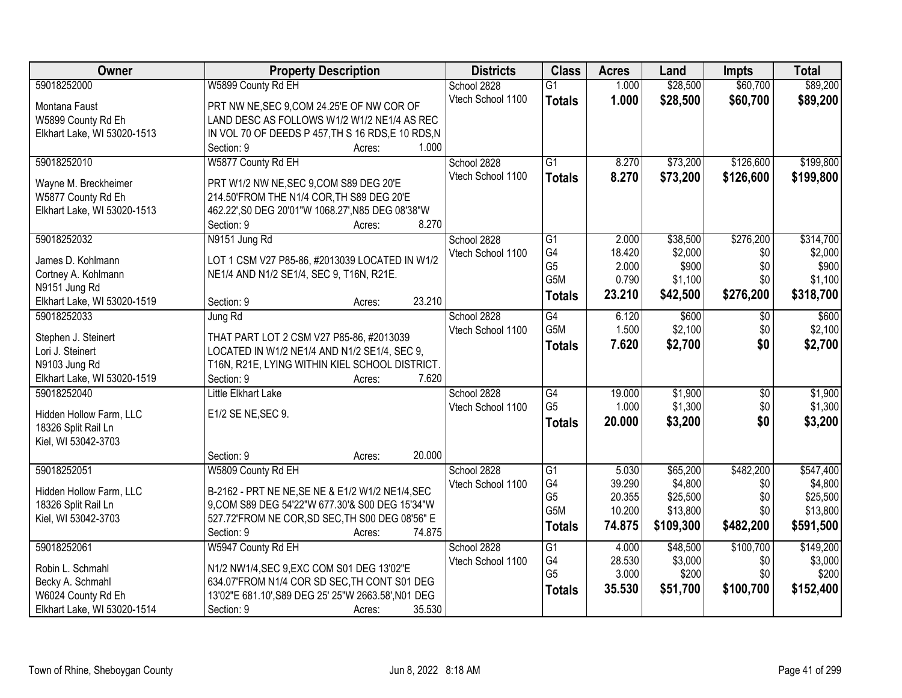| Owner                       | <b>Property Description</b>                                     |        | <b>Districts</b>  | <b>Class</b>         | <b>Acres</b>     | Land                | <b>Impts</b> | <b>Total</b>         |
|-----------------------------|-----------------------------------------------------------------|--------|-------------------|----------------------|------------------|---------------------|--------------|----------------------|
| 59018252000                 | W5899 County Rd EH                                              |        | School 2828       | $\overline{G1}$      | 1.000            | \$28,500            | \$60,700     | \$89,200             |
| Montana Faust               | PRT NW NE, SEC 9, COM 24.25'E OF NW COR OF                      |        | Vtech School 1100 | <b>Totals</b>        | 1.000            | \$28,500            | \$60,700     | \$89,200             |
| W5899 County Rd Eh          | LAND DESC AS FOLLOWS W1/2 W1/2 NE1/4 AS REC                     |        |                   |                      |                  |                     |              |                      |
| Elkhart Lake, WI 53020-1513 | IN VOL 70 OF DEEDS P 457, TH S 16 RDS, E 10 RDS, N              |        |                   |                      |                  |                     |              |                      |
|                             | Section: 9<br>Acres:                                            | 1.000  |                   |                      |                  |                     |              |                      |
| 59018252010                 | W5877 County Rd EH                                              |        | School 2828       | $\overline{G1}$      | 8.270            | \$73,200            | \$126,600    | \$199,800            |
|                             |                                                                 |        | Vtech School 1100 | <b>Totals</b>        | 8.270            | \$73,200            | \$126,600    | \$199,800            |
| Wayne M. Breckheimer        | PRT W1/2 NW NE, SEC 9, COM S89 DEG 20'E                         |        |                   |                      |                  |                     |              |                      |
| W5877 County Rd Eh          | 214.50'FROM THE N1/4 COR, TH S89 DEG 20'E                       |        |                   |                      |                  |                     |              |                      |
| Elkhart Lake, WI 53020-1513 | 462.22', S0 DEG 20'01"W 1068.27', N85 DEG 08'38"W<br>Section: 9 | 8.270  |                   |                      |                  |                     |              |                      |
| 59018252032                 | Acres:<br>N9151 Jung Rd                                         |        | School 2828       | $\overline{G1}$      | 2.000            | \$38,500            | \$276,200    | \$314,700            |
|                             |                                                                 |        | Vtech School 1100 | G4                   | 18.420           | \$2,000             | \$0          | \$2,000              |
| James D. Kohlmann           | LOT 1 CSM V27 P85-86, #2013039 LOCATED IN W1/2                  |        |                   | G <sub>5</sub>       | 2.000            | \$900               | \$0          | \$900                |
| Cortney A. Kohlmann         | NE1/4 AND N1/2 SE1/4, SEC 9, T16N, R21E.                        |        |                   | G5M                  | 0.790            | \$1,100             | \$0          | \$1,100              |
| N9151 Jung Rd               |                                                                 |        |                   | <b>Totals</b>        | 23.210           | \$42,500            | \$276,200    | \$318,700            |
| Elkhart Lake, WI 53020-1519 | Section: 9<br>Acres:                                            | 23.210 |                   |                      |                  |                     |              |                      |
| 59018252033                 | Jung Rd                                                         |        | School 2828       | G4                   | 6.120            | \$600               | $\sqrt{6}$   | \$600                |
| Stephen J. Steinert         | THAT PART LOT 2 CSM V27 P85-86, #2013039                        |        | Vtech School 1100 | G5M                  | 1.500            | \$2,100             | \$0          | \$2,100              |
| Lori J. Steinert            | LOCATED IN W1/2 NE1/4 AND N1/2 SE1/4, SEC 9,                    |        |                   | <b>Totals</b>        | 7.620            | \$2,700             | \$0          | \$2,700              |
| N9103 Jung Rd               | T16N, R21E, LYING WITHIN KIEL SCHOOL DISTRICT.                  |        |                   |                      |                  |                     |              |                      |
| Elkhart Lake, WI 53020-1519 | Section: 9<br>Acres:                                            | 7.620  |                   |                      |                  |                     |              |                      |
| 59018252040                 | Little Elkhart Lake                                             |        | School 2828       | $\overline{G4}$      | 19.000           | \$1,900             | \$0          | \$1,900              |
|                             |                                                                 |        | Vtech School 1100 | G <sub>5</sub>       | 1.000            | \$1,300             | \$0          | \$1,300              |
| Hidden Hollow Farm, LLC     | E1/2 SE NE, SEC 9.                                              |        |                   | <b>Totals</b>        | 20.000           | \$3,200             | \$0          | \$3,200              |
| 18326 Split Rail Ln         |                                                                 |        |                   |                      |                  |                     |              |                      |
| Kiel, WI 53042-3703         |                                                                 |        |                   |                      |                  |                     |              |                      |
|                             | Section: 9<br>Acres:                                            | 20.000 |                   |                      |                  |                     |              |                      |
| 59018252051                 | W5809 County Rd EH                                              |        | School 2828       | $\overline{G1}$      | 5.030            | \$65,200            | \$482,200    | \$547,400            |
| Hidden Hollow Farm, LLC     | B-2162 - PRT NE NE, SE NE & E1/2 W1/2 NE1/4, SEC                |        | Vtech School 1100 | G4<br>G <sub>5</sub> | 39.290<br>20.355 | \$4,800<br>\$25,500 | \$0          | \$4,800              |
| 18326 Split Rail Ln         | 9, COM S89 DEG 54'22"W 677.30'& S00 DEG 15'34"W                 |        |                   | G5M                  | 10.200           | \$13,800            | \$0<br>\$0   | \$25,500<br>\$13,800 |
| Kiel, WI 53042-3703         | 527.72'FROM NE COR, SD SEC, TH S00 DEG 08'56" E                 |        |                   |                      |                  |                     |              |                      |
|                             | Section: 9<br>Acres:                                            | 74.875 |                   | <b>Totals</b>        | 74.875           | \$109,300           | \$482,200    | \$591,500            |
| 59018252061                 | W5947 County Rd EH                                              |        | School 2828       | $\overline{G1}$      | 4.000            | \$48,500            | \$100,700    | \$149,200            |
| Robin L. Schmahl            | N1/2 NW1/4, SEC 9, EXC COM S01 DEG 13'02"E                      |        | Vtech School 1100 | G4                   | 28.530           | \$3,000             | \$0          | \$3,000              |
| Becky A. Schmahl            | 634.07'FROM N1/4 COR SD SEC, TH CONT S01 DEG                    |        |                   | G <sub>5</sub>       | 3.000            | \$200               | \$0          | \$200                |
| W6024 County Rd Eh          | 13'02"E 681.10', S89 DEG 25' 25"W 2663.58', N01 DEG             |        |                   | <b>Totals</b>        | 35.530           | \$51,700            | \$100,700    | \$152,400            |
| Elkhart Lake, WI 53020-1514 | Section: 9<br>Acres:                                            | 35.530 |                   |                      |                  |                     |              |                      |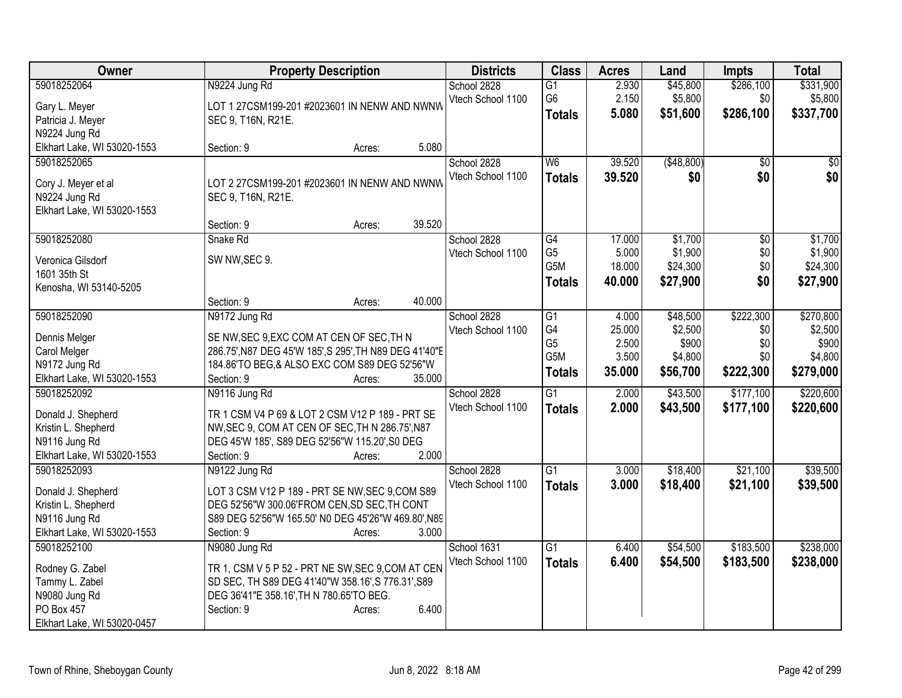| Owner                                        | <b>Property Description</b>                                                                     |        |        | <b>Districts</b>  | <b>Class</b>         | <b>Acres</b>   | Land             | <b>Impts</b>    | <b>Total</b>     |
|----------------------------------------------|-------------------------------------------------------------------------------------------------|--------|--------|-------------------|----------------------|----------------|------------------|-----------------|------------------|
| 59018252064                                  | N9224 Jung Rd                                                                                   |        |        | School 2828       | G1                   | 2.930          | \$45,800         | \$286,100       | \$331,900        |
| Gary L. Meyer                                | LOT 1 27CSM199-201 #2023601 IN NENW AND NWNW                                                    |        |        | Vtech School 1100 | G <sub>6</sub>       | 2.150          | \$5,800          | \$0             | \$5,800          |
| Patricia J. Meyer                            | SEC 9, T16N, R21E.                                                                              |        |        |                   | <b>Totals</b>        | 5.080          | \$51,600         | \$286,100       | \$337,700        |
| N9224 Jung Rd                                |                                                                                                 |        |        |                   |                      |                |                  |                 |                  |
| Elkhart Lake, WI 53020-1553                  | Section: 9                                                                                      | Acres: | 5.080  |                   |                      |                |                  |                 |                  |
| 59018252065                                  |                                                                                                 |        |        | School 2828       | W6                   | 39.520         | ( \$48, 800)     | $\overline{50}$ | \$0              |
|                                              |                                                                                                 |        |        | Vtech School 1100 | <b>Totals</b>        | 39.520         | \$0              | \$0             | \$0              |
| Cory J. Meyer et al                          | LOT 2 27CSM199-201 #2023601 IN NENW AND NWNW                                                    |        |        |                   |                      |                |                  |                 |                  |
| N9224 Jung Rd<br>Elkhart Lake, WI 53020-1553 | SEC 9, T16N, R21E.                                                                              |        |        |                   |                      |                |                  |                 |                  |
|                                              | Section: 9                                                                                      | Acres: | 39.520 |                   |                      |                |                  |                 |                  |
| 59018252080                                  | Snake Rd                                                                                        |        |        | School 2828       | G4                   | 17.000         | \$1,700          | \$0             | \$1,700          |
|                                              |                                                                                                 |        |        | Vtech School 1100 | G <sub>5</sub>       | 5.000          | \$1,900          | \$0             | \$1,900          |
| Veronica Gilsdorf                            | SW NW, SEC 9.                                                                                   |        |        |                   | G5M                  | 18.000         | \$24,300         | \$0             | \$24,300         |
| 1601 35th St                                 |                                                                                                 |        |        |                   | <b>Totals</b>        | 40.000         | \$27,900         | \$0             | \$27,900         |
| Kenosha, WI 53140-5205                       |                                                                                                 |        |        |                   |                      |                |                  |                 |                  |
|                                              | Section: 9                                                                                      | Acres: | 40.000 |                   |                      |                |                  |                 |                  |
| 59018252090                                  | N9172 Jung Rd                                                                                   |        |        | School 2828       | $\overline{G1}$      | 4.000          | \$48,500         | \$222,300       | \$270,800        |
| Dennis Melger                                | SE NW, SEC 9, EXC COM AT CEN OF SEC, TH N                                                       |        |        | Vtech School 1100 | G4<br>G <sub>5</sub> | 25.000         | \$2,500          | \$0             | \$2,500          |
| Carol Melger                                 | 286.75', N87 DEG 45'W 185', S 295', TH N89 DEG 41'40"E                                          |        |        |                   | G5M                  | 2.500<br>3.500 | \$900<br>\$4,800 | \$0<br>\$0      | \$900<br>\$4,800 |
| N9172 Jung Rd                                | 184.86'TO BEG, & ALSO EXC COM S89 DEG 52'56"W                                                   |        |        |                   |                      |                |                  |                 |                  |
| Elkhart Lake, WI 53020-1553                  | Section: 9                                                                                      | Acres: | 35.000 |                   | <b>Totals</b>        | 35.000         | \$56,700         | \$222,300       | \$279,000        |
| 59018252092                                  | N9116 Jung Rd                                                                                   |        |        | School 2828       | $\overline{G1}$      | 2.000          | \$43,500         | \$177,100       | \$220,600        |
| Donald J. Shepherd                           | TR 1 CSM V4 P 69 & LOT 2 CSM V12 P 189 - PRT SE                                                 |        |        | Vtech School 1100 | <b>Totals</b>        | 2.000          | \$43,500         | \$177,100       | \$220,600        |
| Kristin L. Shepherd                          | NW, SEC 9, COM AT CEN OF SEC, TH N 286.75', N87                                                 |        |        |                   |                      |                |                  |                 |                  |
| N9116 Jung Rd                                | DEG 45'W 185', S89 DEG 52'56"W 115.20', S0 DEG                                                  |        |        |                   |                      |                |                  |                 |                  |
| Elkhart Lake, WI 53020-1553                  | Section: 9                                                                                      | Acres: | 2.000  |                   |                      |                |                  |                 |                  |
| 59018252093                                  | N9122 Jung Rd                                                                                   |        |        | School 2828       | $\overline{G1}$      | 3.000          | \$18,400         | \$21,100        | \$39,500         |
|                                              |                                                                                                 |        |        | Vtech School 1100 | <b>Totals</b>        | 3.000          | \$18,400         | \$21,100        | \$39,500         |
| Donald J. Shepherd<br>Kristin L. Shepherd    | LOT 3 CSM V12 P 189 - PRT SE NW, SEC 9, COM S89<br>DEG 52'56"W 300.06'FROM CEN, SD SEC, TH CONT |        |        |                   |                      |                |                  |                 |                  |
| N9116 Jung Rd                                | S89 DEG 52'56"W 165.50' NO DEG 45'26"W 469.80', N89                                             |        |        |                   |                      |                |                  |                 |                  |
| Elkhart Lake, WI 53020-1553                  | Section: 9                                                                                      | Acres: | 3.000  |                   |                      |                |                  |                 |                  |
| 59018252100                                  | N9080 Jung Rd                                                                                   |        |        | School 1631       | $\overline{G1}$      | 6.400          | \$54,500         | \$183,500       | \$238,000        |
|                                              |                                                                                                 |        |        | Vtech School 1100 | <b>Totals</b>        | 6.400          | \$54,500         | \$183,500       | \$238,000        |
| Rodney G. Zabel                              | TR 1, CSM V 5 P 52 - PRT NE SW, SEC 9, COM AT CEN                                               |        |        |                   |                      |                |                  |                 |                  |
| Tammy L. Zabel                               | SD SEC, TH S89 DEG 41'40"W 358.16', S 776.31', S89                                              |        |        |                   |                      |                |                  |                 |                  |
| N9080 Jung Rd                                | DEG 36'41"E 358.16', TH N 780.65'TO BEG.                                                        |        |        |                   |                      |                |                  |                 |                  |
| PO Box 457                                   | Section: 9                                                                                      | Acres: | 6.400  |                   |                      |                |                  |                 |                  |
| Elkhart Lake, WI 53020-0457                  |                                                                                                 |        |        |                   |                      |                |                  |                 |                  |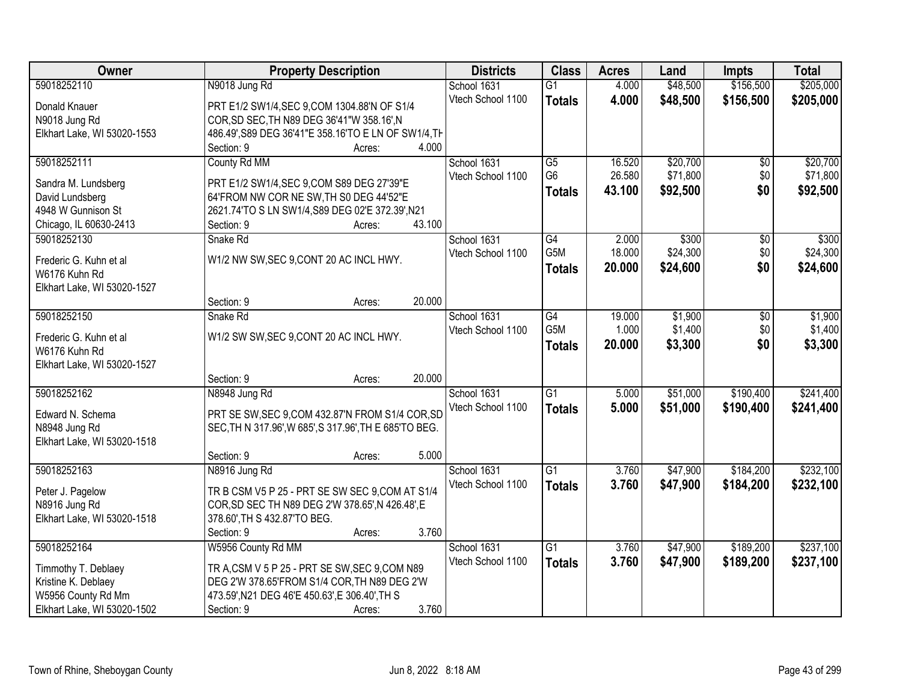| Owner                                 | <b>Property Description</b>                                                           |        | <b>Districts</b>  | <b>Class</b>     | <b>Acres</b> | Land     | <b>Impts</b>    | <b>Total</b> |
|---------------------------------------|---------------------------------------------------------------------------------------|--------|-------------------|------------------|--------------|----------|-----------------|--------------|
| 59018252110                           | N9018 Jung Rd                                                                         |        | School 1631       | $\overline{G1}$  | 4.000        | \$48,500 | \$156,500       | \$205,000    |
| Donald Knauer                         | PRT E1/2 SW1/4, SEC 9, COM 1304.88'N OF S1/4                                          |        | Vtech School 1100 | <b>Totals</b>    | 4.000        | \$48,500 | \$156,500       | \$205,000    |
| N9018 Jung Rd                         | COR, SD SEC, TH N89 DEG 36'41"W 358.16', N                                            |        |                   |                  |              |          |                 |              |
| Elkhart Lake, WI 53020-1553           | 486.49', S89 DEG 36'41"E 358.16'TO E LN OF SW1/4, TH                                  |        |                   |                  |              |          |                 |              |
|                                       | Section: 9                                                                            | Acres: | 4.000             |                  |              |          |                 |              |
| 59018252111                           | County Rd MM                                                                          |        | School 1631       | $\overline{G5}$  | 16.520       | \$20,700 | \$0             | \$20,700     |
|                                       |                                                                                       |        | Vtech School 1100 | G <sub>6</sub>   | 26.580       | \$71,800 | \$0             | \$71,800     |
| Sandra M. Lundsberg                   | PRT E1/2 SW1/4, SEC 9, COM S89 DEG 27'39"E<br>64'FROM NW COR NE SW, TH S0 DEG 44'52"E |        |                   | <b>Totals</b>    | 43.100       | \$92,500 | \$0             | \$92,500     |
| David Lundsberg<br>4948 W Gunnison St | 2621.74'TO S LN SW1/4, S89 DEG 02'E 372.39', N21                                      |        |                   |                  |              |          |                 |              |
| Chicago, IL 60630-2413                | Section: 9                                                                            |        | 43.100            |                  |              |          |                 |              |
| 59018252130                           | Snake Rd                                                                              | Acres: | School 1631       | G4               | 2.000        | \$300    | $\overline{50}$ | \$300        |
|                                       |                                                                                       |        | Vtech School 1100 | G <sub>5</sub> M | 18.000       | \$24,300 | \$0             | \$24,300     |
| Frederic G. Kuhn et al                | W1/2 NW SW, SEC 9, CONT 20 AC INCL HWY.                                               |        |                   |                  | 20.000       | \$24,600 | \$0             |              |
| W6176 Kuhn Rd                         |                                                                                       |        |                   | Totals           |              |          |                 | \$24,600     |
| Elkhart Lake, WI 53020-1527           |                                                                                       |        |                   |                  |              |          |                 |              |
|                                       | Section: 9                                                                            | Acres: | 20.000            |                  |              |          |                 |              |
| 59018252150                           | Snake Rd                                                                              |        | School 1631       | G4               | 19.000       | \$1,900  | \$0             | \$1,900      |
| Frederic G. Kuhn et al                | W1/2 SW SW, SEC 9, CONT 20 AC INCL HWY.                                               |        | Vtech School 1100 | G5M              | 1.000        | \$1,400  | \$0             | \$1,400      |
| W6176 Kuhn Rd                         |                                                                                       |        |                   | <b>Totals</b>    | 20.000       | \$3,300  | \$0             | \$3,300      |
| Elkhart Lake, WI 53020-1527           |                                                                                       |        |                   |                  |              |          |                 |              |
|                                       | Section: 9                                                                            | Acres: | 20.000            |                  |              |          |                 |              |
| 59018252162                           | N8948 Jung Rd                                                                         |        | School 1631       | $\overline{G1}$  | 5.000        | \$51,000 | \$190,400       | \$241,400    |
|                                       |                                                                                       |        | Vtech School 1100 | <b>Totals</b>    | 5.000        | \$51,000 | \$190,400       | \$241,400    |
| Edward N. Schema                      | PRT SE SW, SEC 9, COM 432.87'N FROM S1/4 COR, SD                                      |        |                   |                  |              |          |                 |              |
| N8948 Jung Rd                         | SEC, TH N 317.96', W 685', S 317.96', TH E 685'TO BEG.                                |        |                   |                  |              |          |                 |              |
| Elkhart Lake, WI 53020-1518           |                                                                                       |        |                   |                  |              |          |                 |              |
|                                       | Section: 9                                                                            | Acres: | 5.000             |                  |              |          |                 |              |
| 59018252163                           | N8916 Jung Rd                                                                         |        | School 1631       | $\overline{G1}$  | 3.760        | \$47,900 | \$184,200       | \$232,100    |
| Peter J. Pagelow                      | TR B CSM V5 P 25 - PRT SE SW SEC 9, COM AT S1/4                                       |        | Vtech School 1100 | <b>Totals</b>    | 3.760        | \$47,900 | \$184,200       | \$232,100    |
| N8916 Jung Rd                         | COR, SD SEC TH N89 DEG 2'W 378.65', N 426.48', E                                      |        |                   |                  |              |          |                 |              |
| Elkhart Lake, WI 53020-1518           | 378.60', TH S 432.87'TO BEG.                                                          |        |                   |                  |              |          |                 |              |
|                                       | Section: 9                                                                            | Acres: | 3.760             |                  |              |          |                 |              |
| 59018252164                           | W5956 County Rd MM                                                                    |        | School 1631       | $\overline{G1}$  | 3.760        | \$47,900 | \$189,200       | \$237,100    |
|                                       |                                                                                       |        | Vtech School 1100 | <b>Totals</b>    | 3.760        | \$47,900 | \$189,200       | \$237,100    |
| Timmothy T. Deblaey                   | TR A, CSM V 5 P 25 - PRT SE SW, SEC 9, COM N89                                        |        |                   |                  |              |          |                 |              |
| Kristine K. Deblaey                   | DEG 2'W 378.65'FROM S1/4 COR, TH N89 DEG 2'W                                          |        |                   |                  |              |          |                 |              |
| W5956 County Rd Mm                    | 473.59', N21 DEG 46'E 450.63', E 306.40', TH S                                        |        |                   |                  |              |          |                 |              |
| Elkhart Lake, WI 53020-1502           | Section: 9                                                                            | Acres: | 3.760             |                  |              |          |                 |              |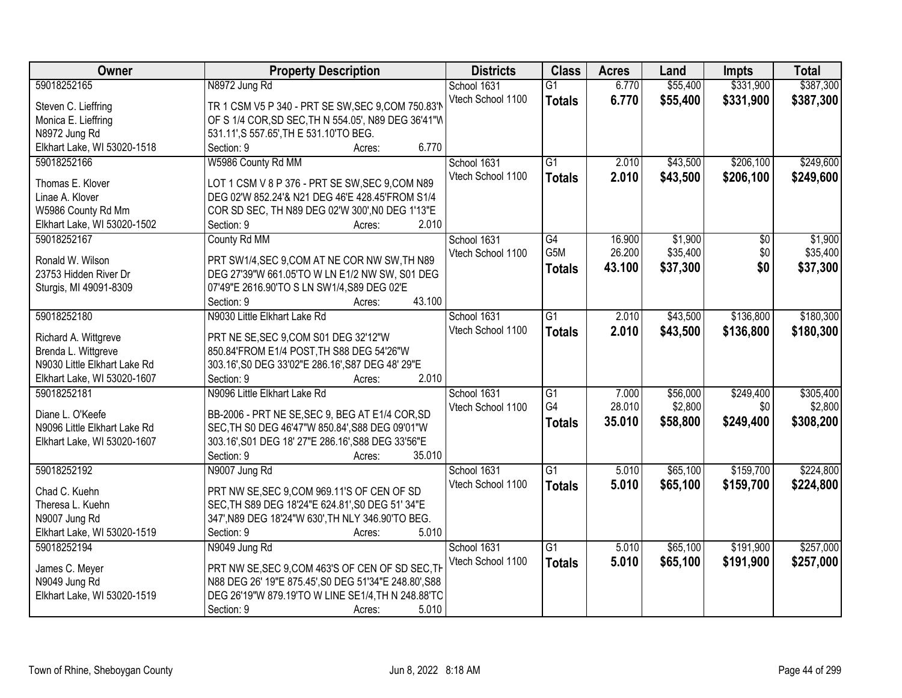| Owner<br><b>Districts</b><br><b>Class</b><br><b>Property Description</b><br><b>Acres</b><br>Land<br><b>Impts</b>                                  | <b>Total</b> |
|---------------------------------------------------------------------------------------------------------------------------------------------------|--------------|
| \$331,900<br>59018252165<br>\$55,400<br>N8972 Jung Rd<br>School 1631<br>$\overline{G1}$<br>6.770                                                  | \$387,300    |
| Vtech School 1100<br>6.770<br>\$55,400<br>\$331,900<br><b>Totals</b><br>TR 1 CSM V5 P 340 - PRT SE SW, SEC 9, COM 750.83'N<br>Steven C. Lieffring | \$387,300    |
| OF S 1/4 COR, SD SEC, TH N 554.05', N89 DEG 36'41"W<br>Monica E. Lieffring                                                                        |              |
| 531.11', S 557.65', TH E 531.10'TO BEG.<br>N8972 Jung Rd                                                                                          |              |
| Elkhart Lake, WI 53020-1518<br>6.770<br>Section: 9<br>Acres:                                                                                      |              |
| \$206,100<br>59018252166<br>W5986 County Rd MM<br>$\overline{G1}$<br>2.010<br>\$43,500<br>School 1631                                             | \$249,600    |
| 2.010<br>\$206,100<br>Vtech School 1100<br>\$43,500<br><b>Totals</b>                                                                              | \$249,600    |
| Thomas E. Klover<br>LOT 1 CSM V 8 P 376 - PRT SE SW, SEC 9, COM N89                                                                               |              |
| Linae A. Klover<br>DEG 02'W 852.24'& N21 DEG 46'E 428.45'FROM S1/4                                                                                |              |
| W5986 County Rd Mm<br>COR SD SEC, TH N89 DEG 02'W 300', N0 DEG 1'13"E                                                                             |              |
| 2.010<br>Elkhart Lake, WI 53020-1502<br>Section: 9<br>Acres:                                                                                      |              |
| \$1,900<br>59018252167<br>County Rd MM<br>School 1631<br>$\overline{G4}$<br>16.900<br>$\overline{50}$                                             | \$1,900      |
| G5M<br>\$0<br>26.200<br>\$35,400<br>Vtech School 1100<br>PRT SW1/4, SEC 9, COM AT NE COR NW SW, TH N89<br>Ronald W. Wilson                        | \$35,400     |
| \$37,300<br>\$0<br>43.100<br><b>Totals</b><br>23753 Hidden River Dr<br>DEG 27'39"W 661.05'TO W LN E1/2 NW SW, S01 DEG                             | \$37,300     |
| 07'49"E 2616.90'TO S LN SW1/4, S89 DEG 02'E<br>Sturgis, MI 49091-8309                                                                             |              |
| 43.100<br>Section: 9<br>Acres:                                                                                                                    |              |
| 59018252180<br>N9030 Little Elkhart Lake Rd<br>$\overline{G1}$<br>\$43,500<br>\$136,800<br>School 1631<br>2.010                                   | \$180,300    |
| Vtech School 1100<br>2.010<br>\$43,500<br>\$136,800<br><b>Totals</b>                                                                              | \$180,300    |
| Richard A. Wittgreve<br>PRT NE SE, SEC 9, COM S01 DEG 32'12"W                                                                                     |              |
| Brenda L. Wittgreve<br>850.84'FROM E1/4 POST, TH S88 DEG 54'26"W                                                                                  |              |
| N9030 Little Elkhart Lake Rd<br>303.16', S0 DEG 33'02"E 286.16', S87 DEG 48' 29"E                                                                 |              |
| 2.010<br>Elkhart Lake, WI 53020-1607<br>Section: 9<br>Acres:                                                                                      |              |
| N9096 Little Elkhart Lake Rd<br>\$249,400<br>59018252181<br>$\overline{G1}$<br>7.000<br>\$56,000<br>School 1631                                   | \$305,400    |
| G4<br>28.010<br>\$2,800<br>\$0<br>Vtech School 1100<br>Diane L. O'Keefe<br>BB-2006 - PRT NE SE, SEC 9, BEG AT E1/4 COR, SD                        | \$2,800      |
| 35.010<br>\$249,400<br>\$58,800<br><b>Totals</b><br>N9096 Little Elkhart Lake Rd<br>SEC, TH S0 DEG 46'47"W 850.84', S88 DEG 09'01"W               | \$308,200    |
| 303.16', S01 DEG 18' 27"E 286.16', S88 DEG 33'56"E<br>Elkhart Lake, WI 53020-1607                                                                 |              |
| 35.010<br>Section: 9<br>Acres:                                                                                                                    |              |
| $\overline{G1}$<br>\$65,100<br>\$159,700<br>59018252192<br>N9007 Jung Rd<br>School 1631<br>5.010                                                  | \$224,800    |
| Vtech School 1100<br>5.010<br>\$65,100<br>\$159,700<br><b>Totals</b>                                                                              | \$224,800    |
| Chad C. Kuehn<br>PRT NW SE, SEC 9, COM 969.11'S OF CEN OF SD                                                                                      |              |
| SEC, TH S89 DEG 18'24"E 624.81', S0 DEG 51' 34"E<br>Theresa L. Kuehn                                                                              |              |
| 347', N89 DEG 18'24"W 630', TH NLY 346.90'TO BEG.<br>N9007 Jung Rd                                                                                |              |
| Elkhart Lake, WI 53020-1519<br>5.010<br>Section: 9<br>Acres:                                                                                      |              |
| \$191,900<br>$\overline{G1}$<br>\$65,100<br>59018252194<br>N9049 Jung Rd<br>School 1631<br>5.010                                                  | \$257,000    |
| Vtech School 1100<br>5.010<br>\$65,100<br>\$191,900<br><b>Totals</b><br>PRT NW SE, SEC 9, COM 463'S OF CEN OF SD SEC, TH<br>James C. Meyer        | \$257,000    |
| N88 DEG 26' 19"E 875.45', S0 DEG 51'34"E 248.80', S88<br>N9049 Jung Rd                                                                            |              |
| Elkhart Lake, WI 53020-1519<br>DEG 26'19"W 879.19'TO W LINE SE1/4, TH N 248.88'TC                                                                 |              |
| 5.010<br>Section: 9<br>Acres:                                                                                                                     |              |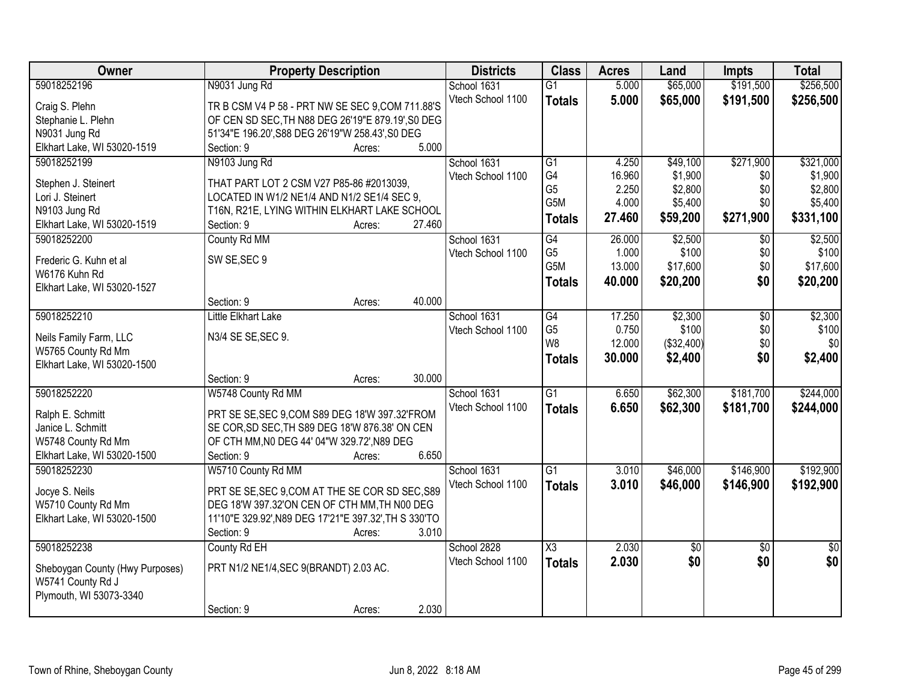| Owner                                        | <b>Property Description</b>                                                    | <b>Districts</b>  | <b>Class</b>           | <b>Acres</b> | Land            | <b>Impts</b>    | <b>Total</b>    |
|----------------------------------------------|--------------------------------------------------------------------------------|-------------------|------------------------|--------------|-----------------|-----------------|-----------------|
| 59018252196                                  | N9031 Jung Rd                                                                  | School 1631       | $\overline{G1}$        | 5.000        | \$65,000        | \$191,500       | \$256,500       |
| Craig S. Plehn                               | TR B CSM V4 P 58 - PRT NW SE SEC 9, COM 711.88'S                               | Vtech School 1100 | <b>Totals</b>          | 5.000        | \$65,000        | \$191,500       | \$256,500       |
| Stephanie L. Plehn                           | OF CEN SD SEC, TH N88 DEG 26'19"E 879.19', S0 DEG                              |                   |                        |              |                 |                 |                 |
| N9031 Jung Rd                                | 51'34"E 196.20', S88 DEG 26'19"W 258.43', S0 DEG                               |                   |                        |              |                 |                 |                 |
| Elkhart Lake, WI 53020-1519                  | 5.000<br>Section: 9<br>Acres:                                                  |                   |                        |              |                 |                 |                 |
| 59018252199                                  | N9103 Jung Rd                                                                  | School 1631       | G1                     | 4.250        | \$49,100        | \$271,900       | \$321,000       |
|                                              |                                                                                | Vtech School 1100 | G4                     | 16.960       | \$1,900         | \$0             | \$1,900         |
| Stephen J. Steinert                          | THAT PART LOT 2 CSM V27 P85-86 #2013039.                                       |                   | G <sub>5</sub>         | 2.250        | \$2,800         | \$0             | \$2,800         |
| Lori J. Steinert                             | LOCATED IN W1/2 NE1/4 AND N1/2 SE1/4 SEC 9,                                    |                   | G5M                    | 4.000        | \$5,400         | \$0             | \$5,400         |
| N9103 Jung Rd<br>Elkhart Lake, WI 53020-1519 | T16N, R21E, LYING WITHIN ELKHART LAKE SCHOOL<br>27.460<br>Section: 9<br>Acres: |                   | <b>Totals</b>          | 27.460       | \$59,200        | \$271,900       | \$331,100       |
| 59018252200                                  | County Rd MM                                                                   | School 1631       | G4                     | 26.000       | \$2,500         | \$0             | \$2,500         |
|                                              |                                                                                | Vtech School 1100 | G <sub>5</sub>         | 1.000        | \$100           | \$0             | \$100           |
| Frederic G. Kuhn et al                       | SW SE, SEC 9                                                                   |                   | G5M                    | 13.000       | \$17,600        | \$0             | \$17,600        |
| W6176 Kuhn Rd                                |                                                                                |                   | <b>Totals</b>          | 40.000       | \$20,200        | \$0             | \$20,200        |
| Elkhart Lake, WI 53020-1527                  |                                                                                |                   |                        |              |                 |                 |                 |
|                                              | 40.000<br>Section: 9<br>Acres:                                                 |                   |                        |              |                 |                 |                 |
| 59018252210                                  | Little Elkhart Lake                                                            | School 1631       | $\overline{G4}$        | 17.250       | \$2,300         | \$0             | \$2,300         |
| Neils Family Farm, LLC                       | N3/4 SE SE, SEC 9.                                                             | Vtech School 1100 | G <sub>5</sub>         | 0.750        | \$100           | \$0             | \$100           |
| W5765 County Rd Mm                           |                                                                                |                   | W <sub>8</sub>         | 12.000       | (\$32,400)      | \$0             | \$0             |
| Elkhart Lake, WI 53020-1500                  |                                                                                |                   | <b>Totals</b>          | 30.000       | \$2,400         | \$0             | \$2,400         |
|                                              | Section: 9<br>30.000<br>Acres:                                                 |                   |                        |              |                 |                 |                 |
| 59018252220                                  | W5748 County Rd MM                                                             | School 1631       | $\overline{G1}$        | 6.650        | \$62,300        | \$181,700       | \$244,000       |
|                                              |                                                                                | Vtech School 1100 | <b>Totals</b>          | 6.650        | \$62,300        | \$181,700       | \$244,000       |
| Ralph E. Schmitt                             | PRT SE SE, SEC 9, COM S89 DEG 18'W 397.32'FROM                                 |                   |                        |              |                 |                 |                 |
| Janice L. Schmitt                            | SE COR, SD SEC, TH S89 DEG 18'W 876.38' ON CEN                                 |                   |                        |              |                 |                 |                 |
| W5748 County Rd Mm                           | OF CTH MM, N0 DEG 44' 04"W 329.72', N89 DEG<br>6.650                           |                   |                        |              |                 |                 |                 |
| Elkhart Lake, WI 53020-1500                  | Section: 9<br>Acres:                                                           |                   |                        |              |                 |                 |                 |
| 59018252230                                  | W5710 County Rd MM                                                             | School 1631       | $\overline{G1}$        | 3.010        | \$46,000        | \$146,900       | \$192,900       |
| Jocye S. Neils                               | PRT SE SE, SEC 9, COM AT THE SE COR SD SEC, S89                                | Vtech School 1100 | <b>Totals</b>          | 3.010        | \$46,000        | \$146,900       | \$192,900       |
| W5710 County Rd Mm                           | DEG 18'W 397.32'ON CEN OF CTH MM, TH N00 DEG                                   |                   |                        |              |                 |                 |                 |
| Elkhart Lake, WI 53020-1500                  | 11'10"E 329.92', N89 DEG 17'21"E 397.32', TH S 330'TO                          |                   |                        |              |                 |                 |                 |
|                                              | 3.010<br>Section: 9<br>Acres:                                                  |                   |                        |              |                 |                 |                 |
| 59018252238                                  | County Rd EH                                                                   | School 2828       | $\overline{\text{X3}}$ | 2.030        | $\overline{30}$ | $\overline{50}$ | $\overline{30}$ |
| Sheboygan County (Hwy Purposes)              | PRT N1/2 NE1/4, SEC 9(BRANDT) 2.03 AC.                                         | Vtech School 1100 | <b>Totals</b>          | 2.030        | \$0             | \$0             | \$0             |
| W5741 County Rd J                            |                                                                                |                   |                        |              |                 |                 |                 |
| Plymouth, WI 53073-3340                      |                                                                                |                   |                        |              |                 |                 |                 |
|                                              | 2.030<br>Section: 9<br>Acres:                                                  |                   |                        |              |                 |                 |                 |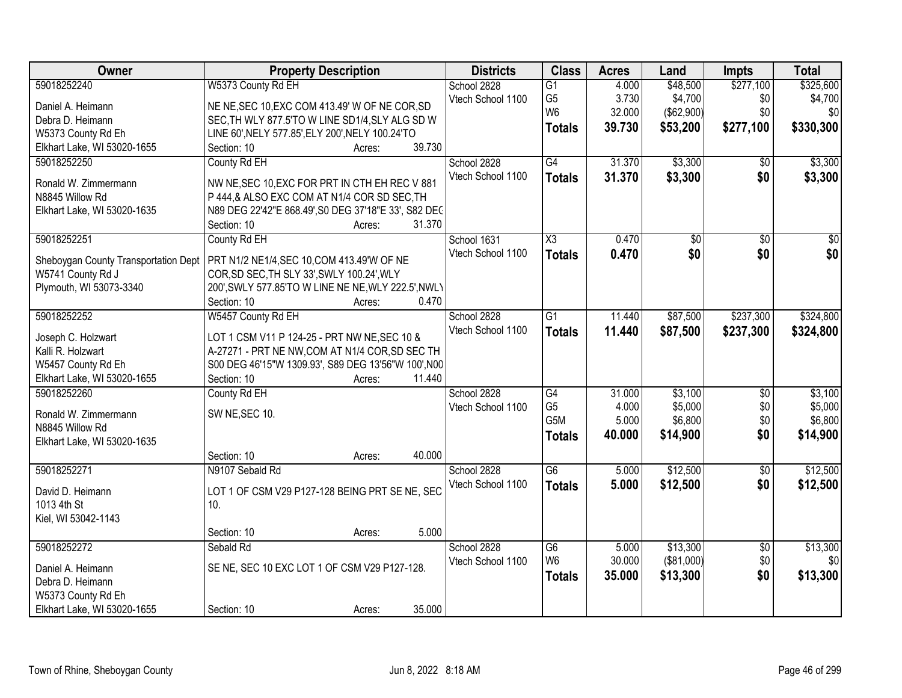| <b>Class</b><br>Owner<br><b>Property Description</b><br><b>Districts</b><br><b>Acres</b><br>Land                                         | Impts           | <b>Total</b>    |
|------------------------------------------------------------------------------------------------------------------------------------------|-----------------|-----------------|
| 59018252240<br>W5373 County Rd EH<br>\$48,500<br>School 2828<br>$\overline{G1}$<br>4.000                                                 | \$277,100       | \$325,600       |
| G <sub>5</sub><br>3.730<br>\$4,700<br>Vtech School 1100<br>Daniel A. Heimann<br>NE NE, SEC 10, EXC COM 413.49' W OF NE COR, SD           | \$0             | \$4,700         |
| W <sub>6</sub><br>32.000<br>(\$62,900)<br>Debra D. Heimann<br>SEC, TH WLY 877.5'TO W LINE SD1/4, SLY ALG SD W                            | \$0             | \$0             |
| 39.730<br>\$53,200<br><b>Totals</b><br>LINE 60', NELY 577.85', ELY 200', NELY 100.24'TO<br>W5373 County Rd Eh                            | \$277,100       | \$330,300       |
| Elkhart Lake, WI 53020-1655<br>39.730<br>Section: 10<br>Acres:                                                                           |                 |                 |
| G4<br>\$3,300<br>59018252250<br>County Rd EH<br>31.370<br>School 2828                                                                    | \$0             | \$3,300         |
| 31.370<br>\$3,300<br>Vtech School 1100<br><b>Totals</b>                                                                                  | \$0             | \$3,300         |
| Ronald W. Zimmermann<br>NW NE, SEC 10, EXC FOR PRT IN CTH EH REC V 881                                                                   |                 |                 |
| N8845 Willow Rd<br>P 444,& ALSO EXC COM AT N1/4 COR SD SEC, TH                                                                           |                 |                 |
| N89 DEG 22'42"E 868.49', S0 DEG 37'18"E 33', S82 DEC<br>Elkhart Lake, WI 53020-1635                                                      |                 |                 |
| 31.370<br>Section: 10<br>Acres:                                                                                                          |                 |                 |
| 59018252251<br>County Rd EH<br>School 1631<br>$\overline{\text{X3}}$<br>0.470<br>\$0                                                     | $\overline{50}$ | $\overline{50}$ |
| \$0<br>Vtech School 1100<br>0.470<br><b>Totals</b><br>PRT N1/2 NE1/4, SEC 10, COM 413.49'W OF NE<br>Sheboygan County Transportation Dept | \$0             | \$0             |
| W5741 County Rd J<br>COR, SD SEC, TH SLY 33', SWLY 100.24', WLY                                                                          |                 |                 |
| Plymouth, WI 53073-3340<br>200', SWLY 577.85'TO W LINE NE NE, WLY 222.5', NWLY                                                           |                 |                 |
| Section: 10<br>0.470<br>Acres:                                                                                                           |                 |                 |
| 59018252252<br>W5457 County Rd EH<br>\$87,500<br>School 2828<br>G1<br>11.440                                                             | \$237,300       | \$324,800       |
| Vtech School 1100<br>11.440<br>\$87,500<br><b>Totals</b><br>LOT 1 CSM V11 P 124-25 - PRT NW NE, SEC 10 &<br>Joseph C. Holzwart           | \$237,300       | \$324,800       |
| A-27271 - PRT NE NW, COM AT N1/4 COR, SD SEC TH<br>Kalli R. Holzwart                                                                     |                 |                 |
| S00 DEG 46'15"W 1309.93', S89 DEG 13'56"W 100', N00<br>W5457 County Rd Eh                                                                |                 |                 |
| Elkhart Lake, WI 53020-1655<br>Section: 10<br>11.440<br>Acres:                                                                           |                 |                 |
| \$3,100<br>59018252260<br>$\overline{G4}$<br>31.000<br>County Rd EH<br>School 2828                                                       | $\overline{50}$ | \$3,100         |
| G <sub>5</sub><br>4.000<br>\$5,000<br>Vtech School 1100                                                                                  | \$0             | \$5,000         |
| SW NE, SEC 10.<br>Ronald W. Zimmermann<br>G <sub>5</sub> M<br>\$6,800<br>5.000                                                           | \$0             | \$6,800         |
| N8845 Willow Rd<br>40.000<br>\$14,900<br><b>Totals</b>                                                                                   | \$0             | \$14,900        |
| Elkhart Lake, WI 53020-1635                                                                                                              |                 |                 |
| 40.000<br>Section: 10<br>Acres:                                                                                                          |                 |                 |
| G6<br>\$12,500<br>59018252271<br>N9107 Sebald Rd<br>School 2828<br>5.000                                                                 | $\overline{50}$ | \$12,500        |
| \$12,500<br>Vtech School 1100<br>5.000<br><b>Totals</b><br>LOT 1 OF CSM V29 P127-128 BEING PRT SE NE, SEC<br>David D. Heimann            | \$0             | \$12,500        |
| 1013 4th St<br>10.                                                                                                                       |                 |                 |
| Kiel, WI 53042-1143                                                                                                                      |                 |                 |
| 5.000<br>Section: 10<br>Acres:                                                                                                           |                 |                 |
| \$13,300<br>59018252272<br>School 2828<br>Sebald Rd<br>G6<br>5.000                                                                       | $\overline{50}$ | \$13,300        |
| W <sub>6</sub><br>30.000<br>( \$81,000)<br>Vtech School 1100<br>SE NE, SEC 10 EXC LOT 1 OF CSM V29 P127-128.<br>Daniel A. Heimann        | \$0             | \$0             |
| \$13,300<br>35.000<br><b>Totals</b><br>Debra D. Heimann                                                                                  | \$0             | \$13,300        |
| W5373 County Rd Eh                                                                                                                       |                 |                 |
| 35.000<br>Elkhart Lake, WI 53020-1655<br>Section: 10<br>Acres:                                                                           |                 |                 |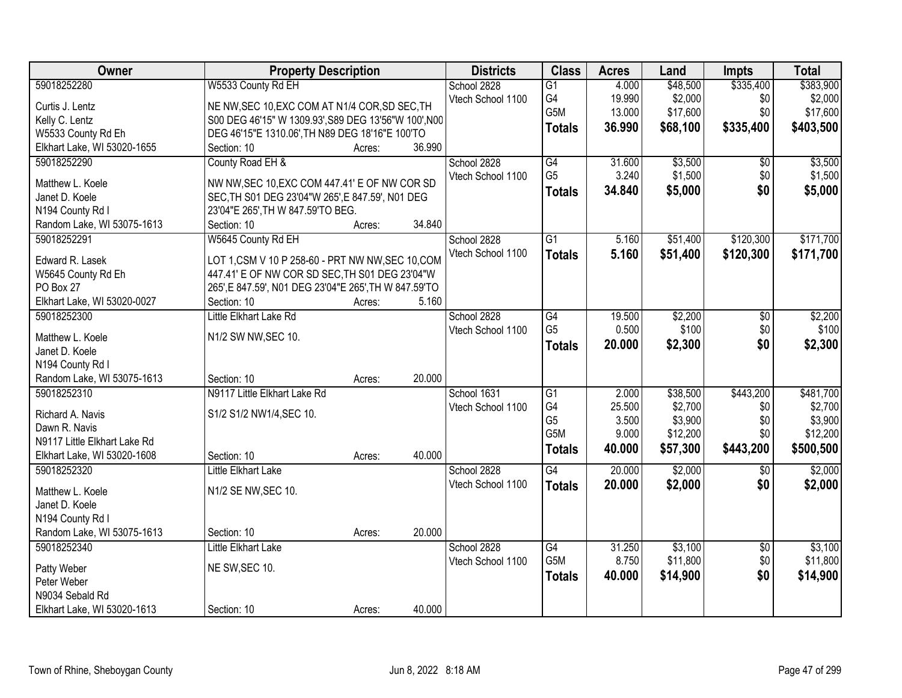| Owner                        | <b>Property Description</b>                           |        | <b>Districts</b>  | <b>Class</b>    | <b>Acres</b> | Land     | <b>Impts</b>    | <b>Total</b> |
|------------------------------|-------------------------------------------------------|--------|-------------------|-----------------|--------------|----------|-----------------|--------------|
| 59018252280                  | W5533 County Rd EH                                    |        | School 2828       | $\overline{G1}$ | 4.000        | \$48,500 | \$335,400       | \$383,900    |
| Curtis J. Lentz              | NE NW, SEC 10, EXC COM AT N1/4 COR, SD SEC, TH        |        | Vtech School 1100 | G4              | 19.990       | \$2,000  | \$0             | \$2,000      |
| Kelly C. Lentz               | S00 DEG 46'15" W 1309.93', S89 DEG 13'56"W 100', N00  |        |                   | G5M             | 13.000       | \$17,600 | \$0             | \$17,600     |
| W5533 County Rd Eh           | DEG 46'15"E 1310.06', TH N89 DEG 18'16"E 100'TO       |        |                   | <b>Totals</b>   | 36.990       | \$68,100 | \$335,400       | \$403,500    |
| Elkhart Lake, WI 53020-1655  | Section: 10<br>Acres:                                 | 36.990 |                   |                 |              |          |                 |              |
| 59018252290                  | County Road EH &                                      |        | School 2828       | G4              | 31.600       | \$3,500  | $\overline{30}$ | \$3,500      |
|                              |                                                       |        | Vtech School 1100 | G <sub>5</sub>  | 3.240        | \$1,500  | \$0             | \$1,500      |
| Matthew L. Koele             | NW NW, SEC 10, EXC COM 447.41' E OF NW COR SD         |        |                   | <b>Totals</b>   | 34.840       | \$5,000  | \$0             | \$5,000      |
| Janet D. Koele               | SEC, TH S01 DEG 23'04"W 265', E 847.59', N01 DEG      |        |                   |                 |              |          |                 |              |
| N194 County Rd I             | 23'04"E 265', TH W 847.59'TO BEG.                     |        |                   |                 |              |          |                 |              |
| Random Lake, WI 53075-1613   | Section: 10<br>Acres:                                 | 34.840 |                   |                 |              |          |                 |              |
| 59018252291                  | W5645 County Rd EH                                    |        | School 2828       | $\overline{G1}$ | 5.160        | \$51,400 | \$120,300       | \$171,700    |
| Edward R. Lasek              | LOT 1, CSM V 10 P 258-60 - PRT NW NW, SEC 10, COM     |        | Vtech School 1100 | <b>Totals</b>   | 5.160        | \$51,400 | \$120,300       | \$171,700    |
| W5645 County Rd Eh           | 447.41' E OF NW COR SD SEC, TH S01 DEG 23'04"W        |        |                   |                 |              |          |                 |              |
| PO Box 27                    | 265', E 847.59', N01 DEG 23'04"E 265', TH W 847.59'TO |        |                   |                 |              |          |                 |              |
| Elkhart Lake, WI 53020-0027  | Section: 10<br>Acres:                                 | 5.160  |                   |                 |              |          |                 |              |
| 59018252300                  | Little Elkhart Lake Rd                                |        | School 2828       | $\overline{G4}$ | 19.500       | \$2,200  | \$0             | \$2,200      |
|                              |                                                       |        | Vtech School 1100 | G <sub>5</sub>  | 0.500        | \$100    | \$0             | \$100        |
| Matthew L. Koele             | N1/2 SW NW, SEC 10.                                   |        |                   | <b>Totals</b>   | 20.000       | \$2,300  | \$0             | \$2,300      |
| Janet D. Koele               |                                                       |        |                   |                 |              |          |                 |              |
| N194 County Rd I             |                                                       |        |                   |                 |              |          |                 |              |
| Random Lake, WI 53075-1613   | Section: 10<br>Acres:                                 | 20.000 |                   |                 |              |          |                 |              |
| 59018252310                  | N9117 Little Elkhart Lake Rd                          |        | School 1631       | $\overline{G1}$ | 2.000        | \$38,500 | \$443,200       | \$481,700    |
| Richard A. Navis             | S1/2 S1/2 NW1/4, SEC 10.                              |        | Vtech School 1100 | G4              | 25.500       | \$2,700  | \$0             | \$2,700      |
| Dawn R. Navis                |                                                       |        |                   | G <sub>5</sub>  | 3.500        | \$3,900  | \$0             | \$3,900      |
| N9117 Little Elkhart Lake Rd |                                                       |        |                   | G5M             | 9.000        | \$12,200 | \$0             | \$12,200     |
| Elkhart Lake, WI 53020-1608  | Section: 10<br>Acres:                                 | 40.000 |                   | <b>Totals</b>   | 40.000       | \$57,300 | \$443,200       | \$500,500    |
| 59018252320                  | <b>Little Elkhart Lake</b>                            |        | School 2828       | $\overline{G4}$ | 20.000       | \$2,000  | \$0             | \$2,000      |
|                              |                                                       |        | Vtech School 1100 | <b>Totals</b>   | 20.000       | \$2,000  | \$0             | \$2,000      |
| Matthew L. Koele             | N1/2 SE NW, SEC 10.                                   |        |                   |                 |              |          |                 |              |
| Janet D. Koele               |                                                       |        |                   |                 |              |          |                 |              |
| N194 County Rd I             |                                                       |        |                   |                 |              |          |                 |              |
| Random Lake, WI 53075-1613   | Section: 10<br>Acres:                                 | 20.000 |                   |                 |              |          |                 |              |
| 59018252340                  | Little Elkhart Lake                                   |        | School 2828       | $\overline{G4}$ | 31.250       | \$3,100  | $\overline{50}$ | \$3,100      |
| Patty Weber                  | NE SW, SEC 10.                                        |        | Vtech School 1100 | G5M             | 8.750        | \$11,800 | \$0             | \$11,800     |
| Peter Weber                  |                                                       |        |                   | <b>Totals</b>   | 40.000       | \$14,900 | \$0             | \$14,900     |
| N9034 Sebald Rd              |                                                       |        |                   |                 |              |          |                 |              |
| Elkhart Lake, WI 53020-1613  | Section: 10<br>Acres:                                 | 40.000 |                   |                 |              |          |                 |              |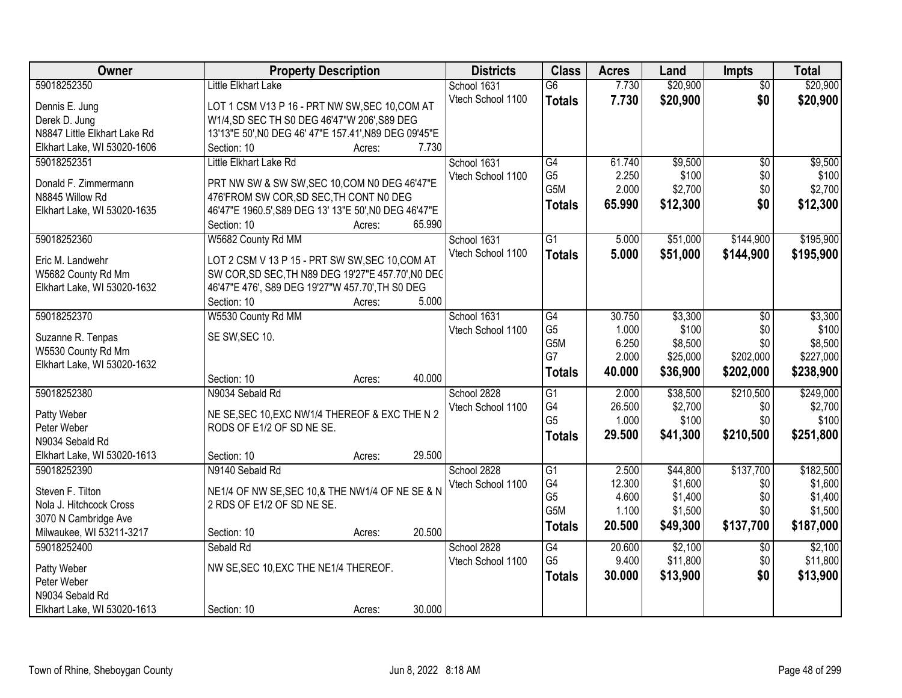| Owner                        | <b>Property Description</b>                                     | <b>Districts</b>  | <b>Class</b>         | <b>Acres</b>   | Land               | <b>Impts</b>    | <b>Total</b>       |
|------------------------------|-----------------------------------------------------------------|-------------------|----------------------|----------------|--------------------|-----------------|--------------------|
| 59018252350                  | Little Elkhart Lake                                             | School 1631       | $\overline{G6}$      | 7.730          | \$20,900           | $\overline{50}$ | \$20,900           |
| Dennis E. Jung               | LOT 1 CSM V13 P 16 - PRT NW SW, SEC 10, COM AT                  | Vtech School 1100 | <b>Totals</b>        | 7.730          | \$20,900           | \$0             | \$20,900           |
| Derek D. Jung                | W1/4, SD SEC TH S0 DEG 46'47"W 206', S89 DEG                    |                   |                      |                |                    |                 |                    |
| N8847 Little Elkhart Lake Rd | 13'13"E 50', N0 DEG 46' 47"E 157.41', N89 DEG 09'45"E           |                   |                      |                |                    |                 |                    |
| Elkhart Lake, WI 53020-1606  | 7.730<br>Section: 10<br>Acres:                                  |                   |                      |                |                    |                 |                    |
| 59018252351                  | Little Elkhart Lake Rd                                          | School 1631       | $\overline{G4}$      | 61.740         | \$9,500            | $\overline{50}$ | \$9,500            |
|                              |                                                                 | Vtech School 1100 | G <sub>5</sub>       | 2.250          | \$100              | \$0             | \$100              |
| Donald F. Zimmermann         | PRT NW SW & SW SW, SEC 10, COM N0 DEG 46'47"E                   |                   | G5M                  | 2.000          | \$2,700            | \$0             | \$2,700            |
| N8845 Willow Rd              | 476'FROM SW COR, SD SEC, TH CONT NO DEG                         |                   | <b>Totals</b>        | 65.990         | \$12,300           | \$0             | \$12,300           |
| Elkhart Lake, WI 53020-1635  | 46'47"E 1960.5', S89 DEG 13' 13"E 50', N0 DEG 46'47"E<br>65.990 |                   |                      |                |                    |                 |                    |
|                              | Section: 10<br>Acres:                                           |                   |                      |                |                    |                 |                    |
| 59018252360                  | W5682 County Rd MM                                              | School 1631       | $\overline{G1}$      | 5.000          | \$51,000           | \$144,900       | \$195,900          |
| Eric M. Landwehr             | LOT 2 CSM V 13 P 15 - PRT SW SW, SEC 10, COM AT                 | Vtech School 1100 | <b>Totals</b>        | 5.000          | \$51,000           | \$144,900       | \$195,900          |
| W5682 County Rd Mm           | SW COR, SD SEC, TH N89 DEG 19'27"E 457.70', N0 DEC              |                   |                      |                |                    |                 |                    |
| Elkhart Lake, WI 53020-1632  | 46'47"E 476', S89 DEG 19'27"W 457.70', TH S0 DEG                |                   |                      |                |                    |                 |                    |
|                              | 5.000<br>Section: 10<br>Acres:                                  |                   |                      |                |                    |                 |                    |
| 59018252370                  | W5530 County Rd MM                                              | School 1631       | G4                   | 30.750         | \$3,300            | $\sqrt[6]{3}$   | \$3,300            |
| Suzanne R. Tenpas            | SE SW, SEC 10.                                                  | Vtech School 1100 | G <sub>5</sub>       | 1.000          | \$100              | \$0             | \$100              |
| W5530 County Rd Mm           |                                                                 |                   | G5M                  | 6.250          | \$8,500            | \$0             | \$8,500            |
| Elkhart Lake, WI 53020-1632  |                                                                 |                   | G7                   | 2.000          | \$25,000           | \$202,000       | \$227,000          |
|                              | 40.000<br>Section: 10<br>Acres:                                 |                   | <b>Totals</b>        | 40.000         | \$36,900           | \$202,000       | \$238,900          |
| 59018252380                  | N9034 Sebald Rd                                                 | School 2828       | $\overline{G1}$      | 2.000          | \$38,500           | \$210,500       | \$249,000          |
|                              |                                                                 | Vtech School 1100 | G4                   | 26.500         | \$2,700            | \$0             | \$2,700            |
| Patty Weber                  | NE SE, SEC 10, EXC NW1/4 THEREOF & EXC THE N 2                  |                   | G <sub>5</sub>       | 1.000          | \$100              | \$0             | \$100              |
| Peter Weber                  | RODS OF E1/2 OF SD NE SE.                                       |                   | <b>Totals</b>        | 29.500         | \$41,300           | \$210,500       | \$251,800          |
| N9034 Sebald Rd              |                                                                 |                   |                      |                |                    |                 |                    |
| Elkhart Lake, WI 53020-1613  | 29.500<br>Section: 10<br>Acres:                                 |                   |                      |                |                    |                 |                    |
| 59018252390                  | N9140 Sebald Rd                                                 | School 2828       | $\overline{G1}$      | 2.500          | \$44,800           | \$137,700       | \$182,500          |
| Steven F. Tilton             | NE1/4 OF NW SE, SEC 10, & THE NW1/4 OF NE SE & N                | Vtech School 1100 | G4<br>G <sub>5</sub> | 12.300         | \$1,600            | \$0             | \$1,600            |
| Nola J. Hitchcock Cross      | 2 RDS OF E1/2 OF SD NE SE.                                      |                   | G <sub>5</sub> M     | 4.600<br>1.100 | \$1,400<br>\$1,500 | \$0<br>\$0      | \$1,400<br>\$1,500 |
| 3070 N Cambridge Ave         |                                                                 |                   |                      |                |                    |                 |                    |
| Milwaukee, WI 53211-3217     | 20.500<br>Section: 10<br>Acres:                                 |                   | <b>Totals</b>        | 20.500         | \$49,300           | \$137,700       | \$187,000          |
| 59018252400                  | Sebald Rd                                                       | School 2828       | G4                   | 20.600         | \$2,100            | $\overline{50}$ | \$2,100            |
| Patty Weber                  | NW SE, SEC 10, EXC THE NE1/4 THEREOF.                           | Vtech School 1100 | G <sub>5</sub>       | 9.400          | \$11,800           | \$0             | \$11,800           |
| Peter Weber                  |                                                                 |                   | <b>Totals</b>        | 30.000         | \$13,900           | \$0             | \$13,900           |
| N9034 Sebald Rd              |                                                                 |                   |                      |                |                    |                 |                    |
| Elkhart Lake, WI 53020-1613  | 30.000<br>Section: 10<br>Acres:                                 |                   |                      |                |                    |                 |                    |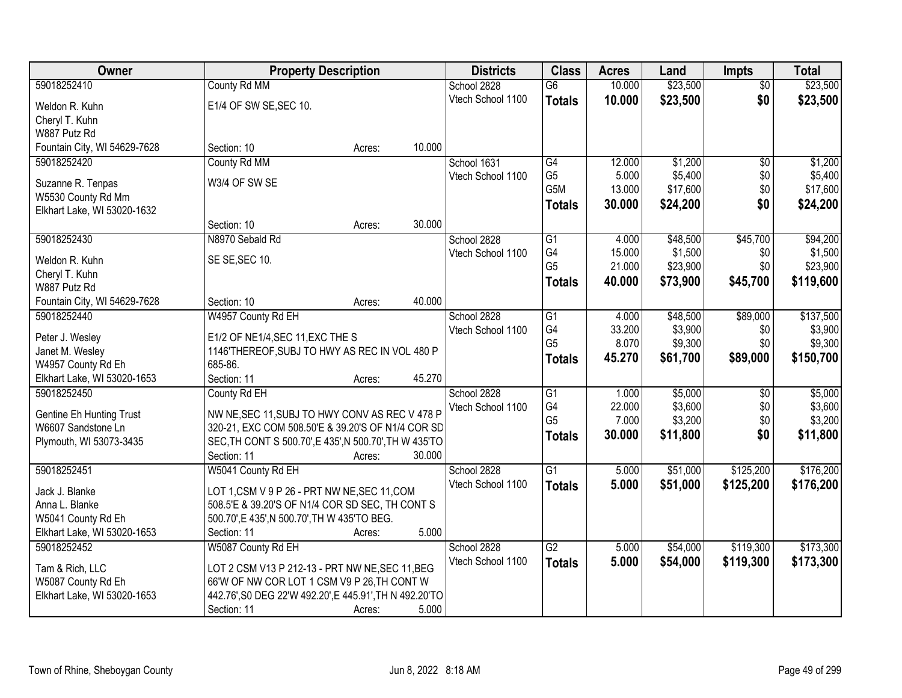| Owner                           | <b>Property Description</b>                             |        |        | <b>Districts</b>  | <b>Class</b>    | <b>Acres</b> | Land     | <b>Impts</b>    | <b>Total</b> |
|---------------------------------|---------------------------------------------------------|--------|--------|-------------------|-----------------|--------------|----------|-----------------|--------------|
| 59018252410                     | County Rd MM                                            |        |        | School 2828       | $\overline{G6}$ | 10.000       | \$23,500 | $\overline{50}$ | \$23,500     |
| Weldon R. Kuhn                  | E1/4 OF SW SE, SEC 10.                                  |        |        | Vtech School 1100 | <b>Totals</b>   | 10.000       | \$23,500 | \$0             | \$23,500     |
| Cheryl T. Kuhn                  |                                                         |        |        |                   |                 |              |          |                 |              |
| W887 Putz Rd                    |                                                         |        |        |                   |                 |              |          |                 |              |
| Fountain City, WI 54629-7628    | Section: 10                                             | Acres: | 10.000 |                   |                 |              |          |                 |              |
| 59018252420                     | County Rd MM                                            |        |        | School 1631       | G4              | 12.000       | \$1,200  | $\overline{50}$ | \$1,200      |
| Suzanne R. Tenpas               | W3/4 OF SW SE                                           |        |        | Vtech School 1100 | G <sub>5</sub>  | 5.000        | \$5,400  | \$0             | \$5,400      |
| W5530 County Rd Mm              |                                                         |        |        |                   | G5M             | 13.000       | \$17,600 | \$0             | \$17,600     |
| Elkhart Lake, WI 53020-1632     |                                                         |        |        |                   | <b>Totals</b>   | 30.000       | \$24,200 | \$0             | \$24,200     |
|                                 | Section: 10                                             | Acres: | 30.000 |                   |                 |              |          |                 |              |
| 59018252430                     | N8970 Sebald Rd                                         |        |        | School 2828       | $\overline{G1}$ | 4.000        | \$48,500 | \$45,700        | \$94,200     |
| Weldon R. Kuhn                  | SE SE, SEC 10.                                          |        |        | Vtech School 1100 | G4              | 15.000       | \$1,500  | \$0             | \$1,500      |
| Cheryl T. Kuhn                  |                                                         |        |        |                   | G <sub>5</sub>  | 21.000       | \$23,900 | \$0             | \$23,900     |
| W887 Putz Rd                    |                                                         |        |        |                   | <b>Totals</b>   | 40.000       | \$73,900 | \$45,700        | \$119,600    |
| Fountain City, WI 54629-7628    | Section: 10                                             | Acres: | 40.000 |                   |                 |              |          |                 |              |
| 59018252440                     | W4957 County Rd EH                                      |        |        | School 2828       | G1              | 4.000        | \$48,500 | \$89,000        | \$137,500    |
| Peter J. Wesley                 | E1/2 OF NE1/4, SEC 11, EXC THE S                        |        |        | Vtech School 1100 | G4              | 33.200       | \$3,900  | \$0             | \$3,900      |
| Janet M. Wesley                 | 1146'THEREOF, SUBJ TO HWY AS REC IN VOL 480 P           |        |        |                   | G <sub>5</sub>  | 8.070        | \$9,300  | \$0             | \$9,300      |
| W4957 County Rd Eh              | 685-86.                                                 |        |        |                   | <b>Totals</b>   | 45.270       | \$61,700 | \$89,000        | \$150,700    |
| Elkhart Lake, WI 53020-1653     | Section: 11                                             | Acres: | 45.270 |                   |                 |              |          |                 |              |
| 59018252450                     | County Rd EH                                            |        |        | School 2828       | $\overline{G1}$ | 1.000        | \$5,000  | \$0             | \$5,000      |
| <b>Gentine Eh Hunting Trust</b> | NW NE, SEC 11, SUBJ TO HWY CONV AS REC V 478 P          |        |        | Vtech School 1100 | G4              | 22.000       | \$3,600  | \$0             | \$3,600      |
| W6607 Sandstone Ln              | 320-21, EXC COM 508.50'E & 39.20'S OF N1/4 COR SD       |        |        |                   | G <sub>5</sub>  | 7.000        | \$3,200  | \$0             | \$3,200      |
| Plymouth, WI 53073-3435         | SEC, TH CONT S 500.70', E 435', N 500.70', TH W 435'TO  |        |        |                   | <b>Totals</b>   | 30.000       | \$11,800 | \$0             | \$11,800     |
|                                 | Section: 11                                             | Acres: | 30.000 |                   |                 |              |          |                 |              |
| 59018252451                     | W5041 County Rd EH                                      |        |        | School 2828       | $\overline{G1}$ | 5.000        | \$51,000 | \$125,200       | \$176,200    |
| Jack J. Blanke                  | LOT 1,CSM V 9 P 26 - PRT NW NE, SEC 11, COM             |        |        | Vtech School 1100 | <b>Totals</b>   | 5.000        | \$51,000 | \$125,200       | \$176,200    |
| Anna L. Blanke                  | 508.5'E & 39.20'S OF N1/4 COR SD SEC, TH CONT S         |        |        |                   |                 |              |          |                 |              |
| W5041 County Rd Eh              | 500.70', E 435', N 500.70', TH W 435'TO BEG.            |        |        |                   |                 |              |          |                 |              |
| Elkhart Lake, WI 53020-1653     | Section: 11                                             | Acres: | 5.000  |                   |                 |              |          |                 |              |
| 59018252452                     | W5087 County Rd EH                                      |        |        | School 2828       | G2              | 5.000        | \$54,000 | \$119,300       | \$173,300    |
| Tam & Rich, LLC                 | LOT 2 CSM V13 P 212-13 - PRT NW NE, SEC 11, BEG         |        |        | Vtech School 1100 | <b>Totals</b>   | 5.000        | \$54,000 | \$119,300       | \$173,300    |
| W5087 County Rd Eh              | 66'W OF NW COR LOT 1 CSM V9 P 26, TH CONT W             |        |        |                   |                 |              |          |                 |              |
| Elkhart Lake, WI 53020-1653     | 442.76', S0 DEG 22'W 492.20', E 445.91', TH N 492.20'TO |        |        |                   |                 |              |          |                 |              |
|                                 | Section: 11                                             | Acres: | 5.000  |                   |                 |              |          |                 |              |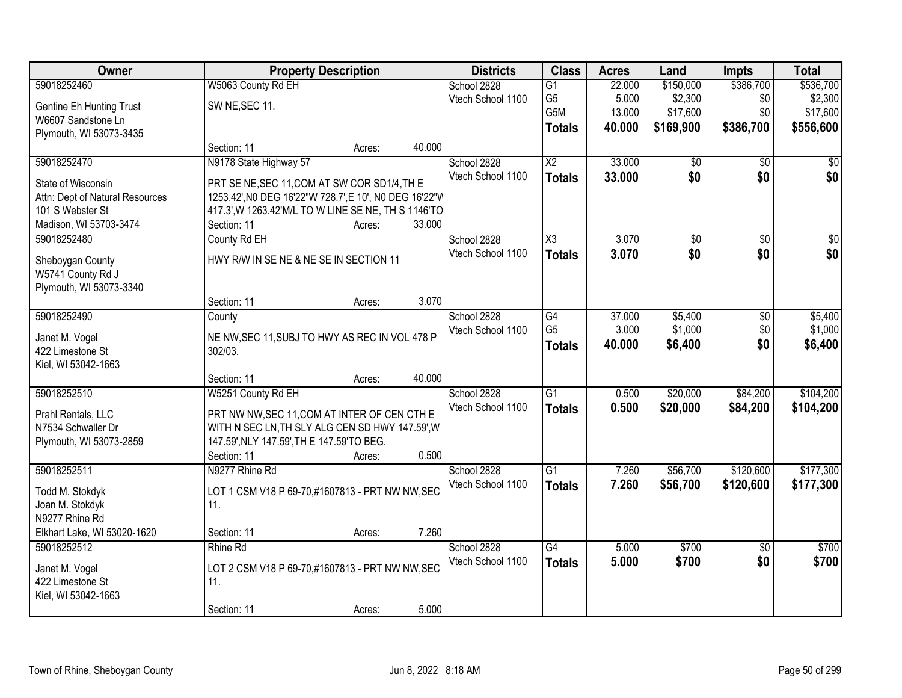| Owner                           |                                                        | <b>Property Description</b> |        | <b>Districts</b>  | <b>Class</b>           | <b>Acres</b> | Land      | <b>Impts</b>    | <b>Total</b>    |
|---------------------------------|--------------------------------------------------------|-----------------------------|--------|-------------------|------------------------|--------------|-----------|-----------------|-----------------|
| 59018252460                     | W5063 County Rd EH                                     |                             |        | School 2828       | $\overline{G1}$        | 22.000       | \$150,000 | \$386,700       | \$536,700       |
| <b>Gentine Eh Hunting Trust</b> | SW NE, SEC 11.                                         |                             |        | Vtech School 1100 | G <sub>5</sub>         | 5.000        | \$2,300   | \$0             | \$2,300         |
| W6607 Sandstone Ln              |                                                        |                             |        |                   | G5M                    | 13.000       | \$17,600  | \$0             | \$17,600        |
| Plymouth, WI 53073-3435         |                                                        |                             |        |                   | <b>Totals</b>          | 40.000       | \$169,900 | \$386,700       | \$556,600       |
|                                 | Section: 11                                            | Acres:                      | 40.000 |                   |                        |              |           |                 |                 |
| 59018252470                     | N9178 State Highway 57                                 |                             |        | School 2828       | $\overline{X2}$        | 33.000       | \$0       | $\overline{50}$ | \$0             |
| State of Wisconsin              | PRT SE NE, SEC 11, COM AT SW COR SD1/4, TH E           |                             |        | Vtech School 1100 | <b>Totals</b>          | 33.000       | \$0       | \$0             | \$0             |
| Attn: Dept of Natural Resources | 1253.42', NO DEG 16'22"W 728.7', E 10', NO DEG 16'22"V |                             |        |                   |                        |              |           |                 |                 |
| 101 S Webster St                | 417.3', W 1263.42' M/L TO W LINE SE NE, TH S 1146'TO   |                             |        |                   |                        |              |           |                 |                 |
| Madison, WI 53703-3474          | Section: 11                                            | Acres:                      | 33.000 |                   |                        |              |           |                 |                 |
| 59018252480                     | County Rd EH                                           |                             |        | School 2828       | $\overline{\text{X3}}$ | 3.070        | \$0       | $\overline{50}$ | $\overline{50}$ |
| Sheboygan County                | HWY R/W IN SE NE & NE SE IN SECTION 11                 |                             |        | Vtech School 1100 | <b>Totals</b>          | 3.070        | \$0       | \$0             | \$0             |
| W5741 County Rd J               |                                                        |                             |        |                   |                        |              |           |                 |                 |
| Plymouth, WI 53073-3340         |                                                        |                             |        |                   |                        |              |           |                 |                 |
|                                 | Section: 11                                            | Acres:                      | 3.070  |                   |                        |              |           |                 |                 |
| 59018252490                     | County                                                 |                             |        | School 2828       | G4                     | 37.000       | \$5,400   | \$0             | \$5,400         |
|                                 |                                                        |                             |        | Vtech School 1100 | G <sub>5</sub>         | 3.000        | \$1,000   | \$0             | \$1,000         |
| Janet M. Vogel                  | NE NW, SEC 11, SUBJ TO HWY AS REC IN VOL 478 P         |                             |        |                   | <b>Totals</b>          | 40.000       | \$6,400   | \$0             | \$6,400         |
| 422 Limestone St                | 302/03.                                                |                             |        |                   |                        |              |           |                 |                 |
| Kiel, WI 53042-1663             | Section: 11                                            | Acres:                      | 40.000 |                   |                        |              |           |                 |                 |
| 59018252510                     | W5251 County Rd EH                                     |                             |        | School 2828       | $\overline{G1}$        | 0.500        | \$20,000  | \$84,200        | \$104,200       |
|                                 |                                                        |                             |        | Vtech School 1100 | <b>Totals</b>          | 0.500        | \$20,000  | \$84,200        | \$104,200       |
| Prahl Rentals, LLC              | PRT NW NW, SEC 11, COM AT INTER OF CEN CTH E           |                             |        |                   |                        |              |           |                 |                 |
| N7534 Schwaller Dr              | WITH N SEC LN, TH SLY ALG CEN SD HWY 147.59', W        |                             |        |                   |                        |              |           |                 |                 |
| Plymouth, WI 53073-2859         | 147.59', NLY 147.59', TH E 147.59'TO BEG.              |                             |        |                   |                        |              |           |                 |                 |
|                                 | Section: 11                                            | Acres:                      | 0.500  |                   |                        |              |           |                 |                 |
| 59018252511                     | N9277 Rhine Rd                                         |                             |        | School 2828       | $\overline{G1}$        | 7.260        | \$56,700  | \$120,600       | \$177,300       |
| Todd M. Stokdyk                 | LOT 1 CSM V18 P 69-70,#1607813 - PRT NW NW, SEC        |                             |        | Vtech School 1100 | <b>Totals</b>          | 7.260        | \$56,700  | \$120,600       | \$177,300       |
| Joan M. Stokdyk                 | 11.                                                    |                             |        |                   |                        |              |           |                 |                 |
| N9277 Rhine Rd                  |                                                        |                             |        |                   |                        |              |           |                 |                 |
| Elkhart Lake, WI 53020-1620     | Section: 11                                            | Acres:                      | 7.260  |                   |                        |              |           |                 |                 |
| 59018252512                     | Rhine Rd                                               |                             |        | School 2828       | $\overline{G4}$        | 5.000        | \$700     | $\overline{50}$ | \$700           |
| Janet M. Vogel                  | LOT 2 CSM V18 P 69-70,#1607813 - PRT NW NW, SEC        |                             |        | Vtech School 1100 | <b>Totals</b>          | 5.000        | \$700     | \$0             | \$700           |
| 422 Limestone St                | 11.                                                    |                             |        |                   |                        |              |           |                 |                 |
| Kiel, WI 53042-1663             |                                                        |                             |        |                   |                        |              |           |                 |                 |
|                                 | Section: 11                                            | Acres:                      | 5.000  |                   |                        |              |           |                 |                 |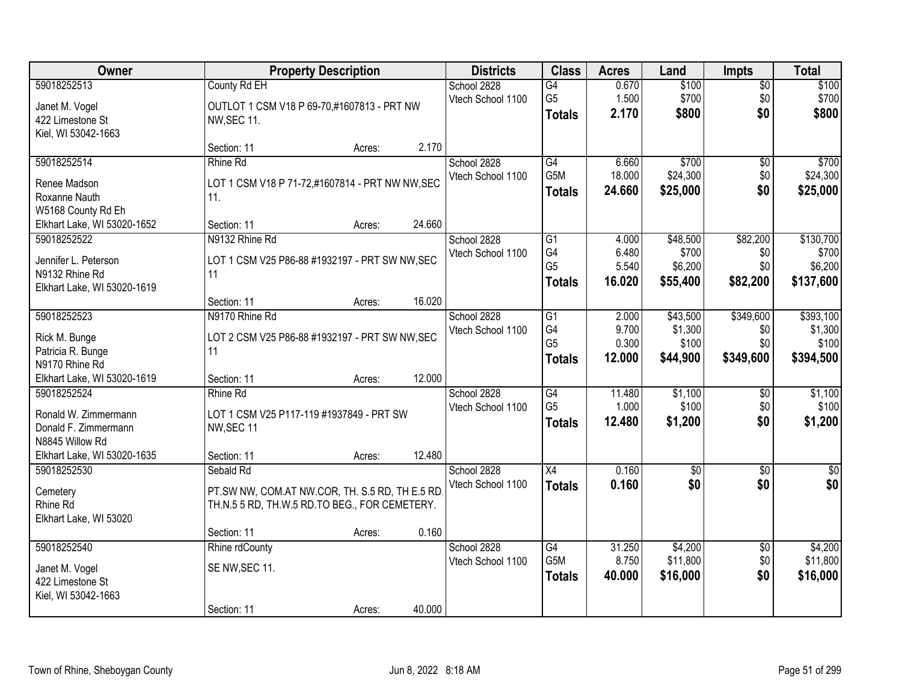| <b>Owner</b>                |                                                 | <b>Property Description</b> |        | <b>Districts</b>  | <b>Class</b>    | <b>Acres</b> | Land            | <b>Impts</b>    | <b>Total</b> |
|-----------------------------|-------------------------------------------------|-----------------------------|--------|-------------------|-----------------|--------------|-----------------|-----------------|--------------|
| 59018252513                 | County Rd EH                                    |                             |        | School 2828       | G4              | 0.670        | \$100           | $\overline{50}$ | \$100        |
| Janet M. Vogel              | OUTLOT 1 CSM V18 P 69-70,#1607813 - PRT NW      |                             |        | Vtech School 1100 | G <sub>5</sub>  | 1.500        | \$700           | \$0             | \$700        |
| 422 Limestone St            | <b>NW, SEC 11.</b>                              |                             |        |                   | <b>Totals</b>   | 2.170        | \$800           | \$0             | \$800        |
| Kiel, WI 53042-1663         |                                                 |                             |        |                   |                 |              |                 |                 |              |
|                             | Section: 11                                     | Acres:                      | 2.170  |                   |                 |              |                 |                 |              |
| 59018252514                 | Rhine Rd                                        |                             |        | School 2828       | G4              | 6.660        | \$700           | \$0             | \$700        |
| Renee Madson                | LOT 1 CSM V18 P 71-72,#1607814 - PRT NW NW, SEC |                             |        | Vtech School 1100 | G5M             | 18.000       | \$24,300        | \$0             | \$24,300     |
| Roxanne Nauth               | 11.                                             |                             |        |                   | <b>Totals</b>   | 24.660       | \$25,000        | \$0             | \$25,000     |
| W5168 County Rd Eh          |                                                 |                             |        |                   |                 |              |                 |                 |              |
| Elkhart Lake, WI 53020-1652 | Section: 11                                     | Acres:                      | 24.660 |                   |                 |              |                 |                 |              |
| 59018252522                 | N9132 Rhine Rd                                  |                             |        | School 2828       | $\overline{G1}$ | 4.000        | \$48,500        | \$82,200        | \$130,700    |
| Jennifer L. Peterson        | LOT 1 CSM V25 P86-88 #1932197 - PRT SW NW, SEC  |                             |        | Vtech School 1100 | G4              | 6.480        | \$700           | \$0             | \$700        |
| N9132 Rhine Rd              | 11                                              |                             |        |                   | G <sub>5</sub>  | 5.540        | \$6,200         | \$0             | \$6,200      |
| Elkhart Lake, WI 53020-1619 |                                                 |                             |        |                   | <b>Totals</b>   | 16.020       | \$55,400        | \$82,200        | \$137,600    |
|                             | Section: 11                                     | Acres:                      | 16.020 |                   |                 |              |                 |                 |              |
| 59018252523                 | N9170 Rhine Rd                                  |                             |        | School 2828       | G1              | 2.000        | \$43,500        | \$349,600       | \$393,100    |
| Rick M. Bunge               | LOT 2 CSM V25 P86-88 #1932197 - PRT SW NW, SEC  |                             |        | Vtech School 1100 | G4              | 9.700        | \$1,300         | \$0             | \$1,300      |
| Patricia R. Bunge           | 11                                              |                             |        |                   | G <sub>5</sub>  | 0.300        | \$100           | \$0             | \$100        |
| N9170 Rhine Rd              |                                                 |                             |        |                   | <b>Totals</b>   | 12.000       | \$44,900        | \$349,600       | \$394,500    |
| Elkhart Lake, WI 53020-1619 | Section: 11                                     | Acres:                      | 12.000 |                   |                 |              |                 |                 |              |
| 59018252524                 | Rhine Rd                                        |                             |        | School 2828       | $\overline{G4}$ | 11.480       | \$1,100         | $\overline{50}$ | \$1,100      |
| Ronald W. Zimmermann        | LOT 1 CSM V25 P117-119 #1937849 - PRT SW        |                             |        | Vtech School 1100 | G <sub>5</sub>  | 1.000        | \$100           | \$0             | \$100        |
| Donald F. Zimmermann        | NW, SEC 11                                      |                             |        |                   | <b>Totals</b>   | 12.480       | \$1,200         | \$0             | \$1,200      |
| N8845 Willow Rd             |                                                 |                             |        |                   |                 |              |                 |                 |              |
| Elkhart Lake, WI 53020-1635 | Section: 11                                     | Acres:                      | 12.480 |                   |                 |              |                 |                 |              |
| 59018252530                 | Sebald Rd                                       |                             |        | School 2828       | X4              | 0.160        | $\overline{50}$ | \$0             | $\sqrt{50}$  |
| Cemetery                    | PT.SW NW, COM.AT NW.COR, TH. S.5 RD, TH E.5 RD, |                             |        | Vtech School 1100 | <b>Totals</b>   | 0.160        | \$0             | \$0             | \$0          |
| Rhine Rd                    | TH.N.5 5 RD, TH.W.5 RD.TO BEG., FOR CEMETERY.   |                             |        |                   |                 |              |                 |                 |              |
| Elkhart Lake, WI 53020      |                                                 |                             |        |                   |                 |              |                 |                 |              |
|                             | Section: 11                                     | Acres:                      | 0.160  |                   |                 |              |                 |                 |              |
| 59018252540                 | Rhine rdCounty                                  |                             |        | School 2828       | $\overline{G4}$ | 31.250       | \$4,200         | $\overline{50}$ | \$4,200      |
| Janet M. Vogel              | SE NW, SEC 11.                                  |                             |        | Vtech School 1100 | G5M             | 8.750        | \$11,800        | \$0             | \$11,800     |
| 422 Limestone St            |                                                 |                             |        |                   | <b>Totals</b>   | 40.000       | \$16,000        | \$0             | \$16,000     |
| Kiel, WI 53042-1663         |                                                 |                             |        |                   |                 |              |                 |                 |              |
|                             | Section: 11                                     | Acres:                      | 40.000 |                   |                 |              |                 |                 |              |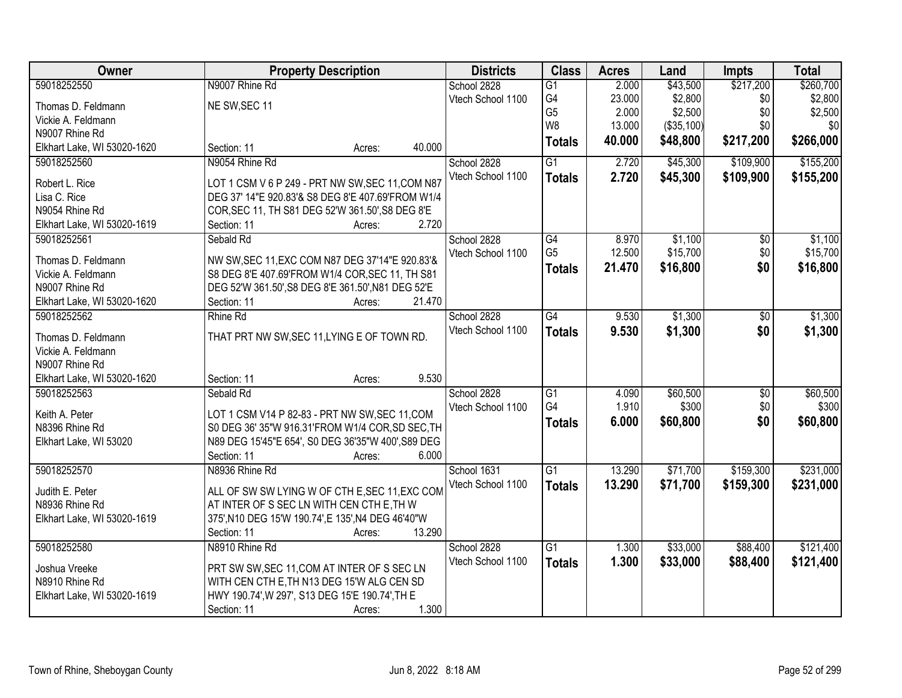| Owner                          | <b>Property Description</b>                                                        | <b>Districts</b>  | <b>Class</b>    | <b>Acres</b> | Land       | <b>Impts</b>    | <b>Total</b> |
|--------------------------------|------------------------------------------------------------------------------------|-------------------|-----------------|--------------|------------|-----------------|--------------|
| 59018252550                    | N9007 Rhine Rd                                                                     | School 2828       | $\overline{G1}$ | 2.000        | \$43,500   | \$217,200       | \$260,700    |
| Thomas D. Feldmann             | NE SW, SEC 11                                                                      | Vtech School 1100 | G4              | 23.000       | \$2,800    | \$0             | \$2,800      |
| Vickie A. Feldmann             |                                                                                    |                   | G <sub>5</sub>  | 2.000        | \$2,500    | \$0             | \$2,500      |
| N9007 Rhine Rd                 |                                                                                    |                   | W <sub>8</sub>  | 13.000       | (\$35,100) | \$0             | \$0          |
| Elkhart Lake, WI 53020-1620    | 40.000<br>Section: 11<br>Acres:                                                    |                   | <b>Totals</b>   | 40.000       | \$48,800   | \$217,200       | \$266,000    |
| 59018252560                    | N9054 Rhine Rd                                                                     | School 2828       | $\overline{G1}$ | 2.720        | \$45,300   | \$109,900       | \$155,200    |
|                                |                                                                                    | Vtech School 1100 | <b>Totals</b>   | 2.720        | \$45,300   | \$109,900       | \$155,200    |
| Robert L. Rice                 | LOT 1 CSM V 6 P 249 - PRT NW SW, SEC 11, COM N87                                   |                   |                 |              |            |                 |              |
| Lisa C. Rice<br>N9054 Rhine Rd | DEG 37' 14"E 920.83'& S8 DEG 8'E 407.69'FROM W1/4                                  |                   |                 |              |            |                 |              |
| Elkhart Lake, WI 53020-1619    | COR, SEC 11, TH S81 DEG 52'W 361.50', S8 DEG 8'E<br>2.720<br>Section: 11<br>Acres: |                   |                 |              |            |                 |              |
| 59018252561                    | Sebald Rd                                                                          | School 2828       | G4              | 8.970        | \$1,100    | \$0             | \$1,100      |
|                                |                                                                                    | Vtech School 1100 | G <sub>5</sub>  | 12.500       | \$15,700   | \$0             | \$15,700     |
| Thomas D. Feldmann             | NW SW, SEC 11, EXC COM N87 DEG 37'14"E 920.83'&                                    |                   |                 | 21.470       | \$16,800   | \$0             |              |
| Vickie A. Feldmann             | S8 DEG 8'E 407.69'FROM W1/4 COR, SEC 11, TH S81                                    |                   | <b>Totals</b>   |              |            |                 | \$16,800     |
| N9007 Rhine Rd                 | DEG 52'W 361.50', S8 DEG 8'E 361.50', N81 DEG 52'E                                 |                   |                 |              |            |                 |              |
| Elkhart Lake, WI 53020-1620    | Section: 11<br>21.470<br>Acres:                                                    |                   |                 |              |            |                 |              |
| 59018252562                    | Rhine Rd                                                                           | School 2828       | $\overline{G4}$ | 9.530        | \$1,300    | \$0             | \$1,300      |
| Thomas D. Feldmann             | THAT PRT NW SW, SEC 11, LYING E OF TOWN RD.                                        | Vtech School 1100 | <b>Totals</b>   | 9.530        | \$1,300    | \$0             | \$1,300      |
| Vickie A. Feldmann             |                                                                                    |                   |                 |              |            |                 |              |
| N9007 Rhine Rd                 |                                                                                    |                   |                 |              |            |                 |              |
| Elkhart Lake, WI 53020-1620    | 9.530<br>Section: 11<br>Acres:                                                     |                   |                 |              |            |                 |              |
| 59018252563                    | Sebald Rd                                                                          | School 2828       | $\overline{G1}$ | 4.090        | \$60,500   | $\overline{50}$ | \$60,500     |
|                                |                                                                                    | Vtech School 1100 | G4              | 1.910        | \$300      | \$0             | \$300        |
| Keith A. Peter                 | LOT 1 CSM V14 P 82-83 - PRT NW SW, SEC 11, COM                                     |                   | <b>Totals</b>   | 6.000        | \$60,800   | \$0             | \$60,800     |
| N8396 Rhine Rd                 | S0 DEG 36' 35"W 916.31'FROM W1/4 COR, SD SEC, TH                                   |                   |                 |              |            |                 |              |
| Elkhart Lake, WI 53020         | N89 DEG 15'45"E 654', S0 DEG 36'35"W 400', S89 DEG                                 |                   |                 |              |            |                 |              |
|                                | Section: 11<br>6.000<br>Acres:                                                     |                   |                 |              |            |                 |              |
| 59018252570                    | N8936 Rhine Rd                                                                     | School 1631       | $\overline{G1}$ | 13.290       | \$71,700   | \$159,300       | \$231,000    |
| Judith E. Peter                | ALL OF SW SW LYING W OF CTH E, SEC 11, EXC COM                                     | Vtech School 1100 | <b>Totals</b>   | 13.290       | \$71,700   | \$159,300       | \$231,000    |
| N8936 Rhine Rd                 | AT INTER OF S SEC LN WITH CEN CTH E, TH W                                          |                   |                 |              |            |                 |              |
| Elkhart Lake, WI 53020-1619    | 375', N10 DEG 15'W 190.74', E 135', N4 DEG 46'40"W                                 |                   |                 |              |            |                 |              |
|                                | 13.290<br>Section: 11<br>Acres:                                                    |                   |                 |              |            |                 |              |
| 59018252580                    | N8910 Rhine Rd                                                                     | School 2828       | $\overline{G1}$ | 1.300        | \$33,000   | \$88,400        | \$121,400    |
|                                |                                                                                    | Vtech School 1100 | <b>Totals</b>   | 1.300        | \$33,000   | \$88,400        | \$121,400    |
| Joshua Vreeke                  | PRT SW SW, SEC 11, COM AT INTER OF S SEC LN                                        |                   |                 |              |            |                 |              |
| N8910 Rhine Rd                 | WITH CEN CTH E, TH N13 DEG 15'W ALG CEN SD                                         |                   |                 |              |            |                 |              |
| Elkhart Lake, WI 53020-1619    | HWY 190.74', W 297', S13 DEG 15'E 190.74', TH E                                    |                   |                 |              |            |                 |              |
|                                | 1.300<br>Section: 11<br>Acres:                                                     |                   |                 |              |            |                 |              |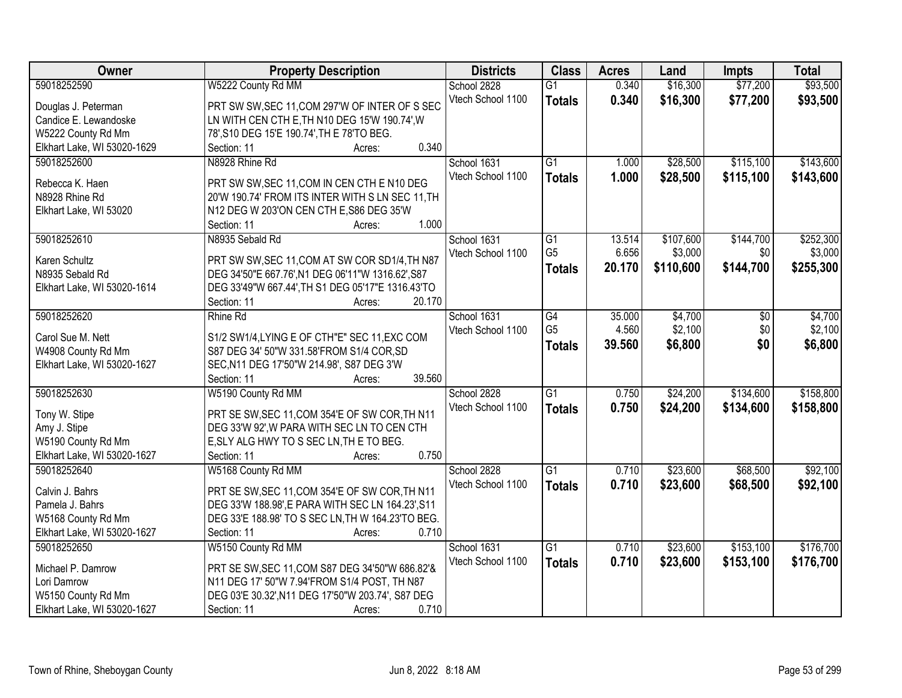| Owner                       | <b>Property Description</b>                       | <b>Districts</b>  | <b>Class</b>    | <b>Acres</b> | Land      | <b>Impts</b> | <b>Total</b> |
|-----------------------------|---------------------------------------------------|-------------------|-----------------|--------------|-----------|--------------|--------------|
| 59018252590                 | W5222 County Rd MM                                | School 2828       | $\overline{G1}$ | 0.340        | \$16,300  | \$77,200     | \$93,500     |
| Douglas J. Peterman         | PRT SW SW, SEC 11, COM 297'W OF INTER OF S SEC    | Vtech School 1100 | <b>Totals</b>   | 0.340        | \$16,300  | \$77,200     | \$93,500     |
| Candice E. Lewandoske       | LN WITH CEN CTH E, TH N10 DEG 15'W 190.74', W     |                   |                 |              |           |              |              |
| W5222 County Rd Mm          | 78', S10 DEG 15'E 190.74', TH E 78'TO BEG.        |                   |                 |              |           |              |              |
| Elkhart Lake, WI 53020-1629 | 0.340<br>Section: 11<br>Acres:                    |                   |                 |              |           |              |              |
| 59018252600                 | N8928 Rhine Rd                                    | School 1631       | $\overline{G1}$ | 1.000        | \$28,500  | \$115,100    | \$143,600    |
| Rebecca K. Haen             | PRT SW SW, SEC 11, COM IN CEN CTH E N10 DEG       | Vtech School 1100 | <b>Totals</b>   | 1.000        | \$28,500  | \$115,100    | \$143,600    |
| N8928 Rhine Rd              | 20'W 190.74' FROM ITS INTER WITH S LN SEC 11, TH  |                   |                 |              |           |              |              |
| Elkhart Lake, WI 53020      | N12 DEG W 203'ON CEN CTH E, S86 DEG 35'W          |                   |                 |              |           |              |              |
|                             | 1.000<br>Section: 11<br>Acres:                    |                   |                 |              |           |              |              |
| 59018252610                 | N8935 Sebald Rd                                   | School 1631       | G1              | 13.514       | \$107,600 | \$144,700    | \$252,300    |
|                             |                                                   | Vtech School 1100 | G <sub>5</sub>  | 6.656        | \$3,000   | \$0          | \$3,000      |
| Karen Schultz               | PRT SW SW, SEC 11, COM AT SW COR SD1/4, TH N87    |                   |                 | 20.170       | \$110,600 | \$144,700    | \$255,300    |
| N8935 Sebald Rd             | DEG 34'50"E 667.76', N1 DEG 06'11"W 1316.62', S87 |                   | <b>Totals</b>   |              |           |              |              |
| Elkhart Lake, WI 53020-1614 | DEG 33'49"W 667.44', TH S1 DEG 05'17"E 1316.43'TO |                   |                 |              |           |              |              |
|                             | 20.170<br>Section: 11<br>Acres:                   |                   |                 |              |           |              |              |
| 59018252620                 | Rhine Rd                                          | School 1631       | $\overline{G4}$ | 35.000       | \$4,700   | \$0          | \$4,700      |
| Carol Sue M. Nett           | S1/2 SW1/4, LYING E OF CTH"E" SEC 11, EXC COM     | Vtech School 1100 | G <sub>5</sub>  | 4.560        | \$2,100   | \$0          | \$2,100      |
| W4908 County Rd Mm          | S87 DEG 34' 50"W 331.58'FROM S1/4 COR, SD         |                   | <b>Totals</b>   | 39.560       | \$6,800   | \$0          | \$6,800      |
| Elkhart Lake, WI 53020-1627 | SEC, N11 DEG 17'50"W 214.98', S87 DEG 3'W         |                   |                 |              |           |              |              |
|                             | 39.560<br>Section: 11<br>Acres:                   |                   |                 |              |           |              |              |
| 59018252630                 | W5190 County Rd MM                                | School 2828       | $\overline{G1}$ | 0.750        | \$24,200  | \$134,600    | \$158,800    |
|                             |                                                   | Vtech School 1100 |                 | 0.750        | \$24,200  |              |              |
| Tony W. Stipe               | PRT SE SW, SEC 11, COM 354'E OF SW COR, TH N11    |                   | <b>Totals</b>   |              |           | \$134,600    | \$158,800    |
| Amy J. Stipe                | DEG 33'W 92', W PARA WITH SEC LN TO CEN CTH       |                   |                 |              |           |              |              |
| W5190 County Rd Mm          | E, SLY ALG HWY TO S SEC LN, TH E TO BEG.          |                   |                 |              |           |              |              |
| Elkhart Lake, WI 53020-1627 | 0.750<br>Section: 11<br>Acres:                    |                   |                 |              |           |              |              |
| 59018252640                 | W5168 County Rd MM                                | School 2828       | $\overline{G1}$ | 0.710        | \$23,600  | \$68,500     | \$92,100     |
| Calvin J. Bahrs             | PRT SE SW, SEC 11, COM 354'E OF SW COR, TH N11    | Vtech School 1100 | <b>Totals</b>   | 0.710        | \$23,600  | \$68,500     | \$92,100     |
| Pamela J. Bahrs             | DEG 33'W 188.98', E PARA WITH SEC LN 164.23', S11 |                   |                 |              |           |              |              |
| W5168 County Rd Mm          | DEG 33'E 188.98' TO S SEC LN, TH W 164.23'TO BEG. |                   |                 |              |           |              |              |
| Elkhart Lake, WI 53020-1627 | 0.710<br>Section: 11<br>Acres:                    |                   |                 |              |           |              |              |
| 59018252650                 | W5150 County Rd MM                                | School 1631       | $\overline{G1}$ | 0.710        | \$23,600  | \$153,100    | \$176,700    |
|                             |                                                   | Vtech School 1100 | <b>Totals</b>   | 0.710        | \$23,600  | \$153,100    | \$176,700    |
| Michael P. Damrow           | PRT SE SW, SEC 11, COM S87 DEG 34'50"W 686.82'&   |                   |                 |              |           |              |              |
| Lori Damrow                 | N11 DEG 17' 50"W 7.94'FROM S1/4 POST, TH N87      |                   |                 |              |           |              |              |
| W5150 County Rd Mm          | DEG 03'E 30.32', N11 DEG 17'50"W 203.74', S87 DEG |                   |                 |              |           |              |              |
| Elkhart Lake, WI 53020-1627 | 0.710<br>Section: 11<br>Acres:                    |                   |                 |              |           |              |              |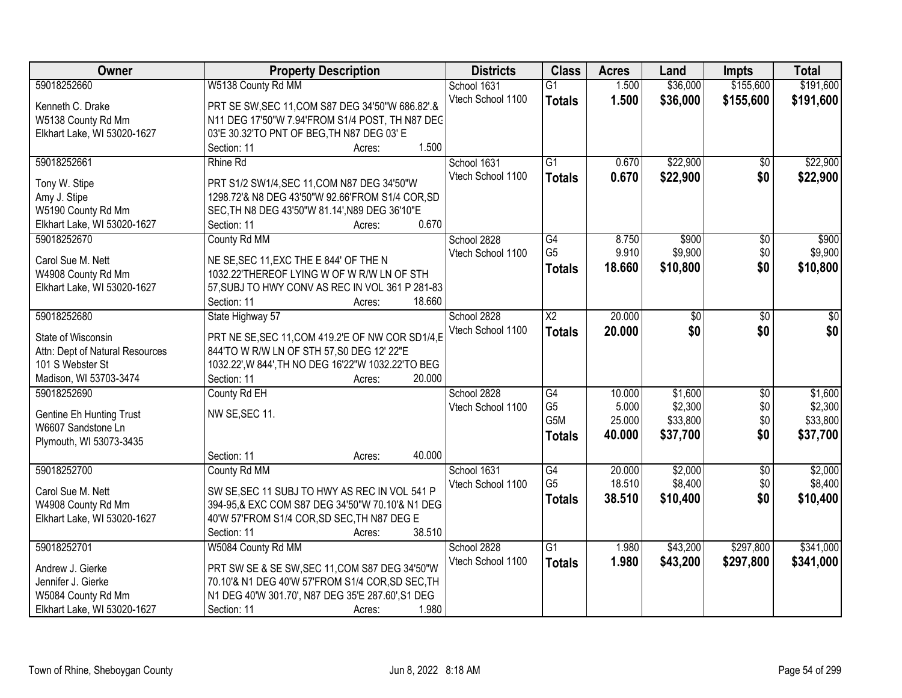| Owner                           | <b>Property Description</b>                        | <b>Districts</b>  | <b>Class</b>    | <b>Acres</b> | Land     | <b>Impts</b>    | <b>Total</b> |
|---------------------------------|----------------------------------------------------|-------------------|-----------------|--------------|----------|-----------------|--------------|
| 59018252660                     | W5138 County Rd MM                                 | School 1631       | $\overline{G1}$ | 1.500        | \$36,000 | \$155,600       | \$191,600    |
| Kenneth C. Drake                | PRT SE SW, SEC 11, COM S87 DEG 34'50"W 686.82".&   | Vtech School 1100 | <b>Totals</b>   | 1.500        | \$36,000 | \$155,600       | \$191,600    |
| W5138 County Rd Mm              | N11 DEG 17'50"W 7.94'FROM S1/4 POST, TH N87 DEC    |                   |                 |              |          |                 |              |
| Elkhart Lake, WI 53020-1627     | 03'E 30.32'TO PNT OF BEG, TH N87 DEG 03' E         |                   |                 |              |          |                 |              |
|                                 | 1.500<br>Section: 11<br>Acres:                     |                   |                 |              |          |                 |              |
| 59018252661                     | Rhine Rd                                           | School 1631       | $\overline{G1}$ | 0.670        | \$22,900 | $\overline{50}$ | \$22,900     |
|                                 |                                                    | Vtech School 1100 | <b>Totals</b>   | 0.670        | \$22,900 | \$0             | \$22,900     |
| Tony W. Stipe                   | PRT S1/2 SW1/4, SEC 11, COM N87 DEG 34'50"W        |                   |                 |              |          |                 |              |
| Amy J. Stipe                    | 1298.72'& N8 DEG 43'50"W 92.66'FROM S1/4 COR, SD   |                   |                 |              |          |                 |              |
| W5190 County Rd Mm              | SEC, TH N8 DEG 43'50"W 81.14', N89 DEG 36'10"E     |                   |                 |              |          |                 |              |
| Elkhart Lake, WI 53020-1627     | 0.670<br>Section: 11<br>Acres:                     |                   |                 |              |          |                 |              |
| 59018252670                     | County Rd MM                                       | School 2828       | $\overline{G4}$ | 8.750        | \$900    | $\overline{50}$ | \$900        |
| Carol Sue M. Nett               | NE SE, SEC 11, EXC THE E 844' OF THE N             | Vtech School 1100 | G <sub>5</sub>  | 9.910        | \$9,900  | \$0             | \$9,900      |
| W4908 County Rd Mm              | 1032.22'THEREOF LYING W OF W R/W LN OF STH         |                   | <b>Totals</b>   | 18.660       | \$10,800 | \$0             | \$10,800     |
| Elkhart Lake, WI 53020-1627     | 57, SUBJ TO HWY CONV AS REC IN VOL 361 P 281-83    |                   |                 |              |          |                 |              |
|                                 | 18.660<br>Section: 11<br>Acres:                    |                   |                 |              |          |                 |              |
| 59018252680                     | State Highway 57                                   | School 2828       | $\overline{X2}$ | 20.000       | \$0      | \$0             | \$0          |
|                                 |                                                    | Vtech School 1100 | <b>Totals</b>   | 20.000       | \$0      | \$0             | \$0          |
| State of Wisconsin              | PRT NE SE, SEC 11, COM 419.2'E OF NW COR SD1/4, E  |                   |                 |              |          |                 |              |
| Attn: Dept of Natural Resources | 844'TO W R/W LN OF STH 57, S0 DEG 12' 22"E         |                   |                 |              |          |                 |              |
| 101 S Webster St                | 1032.22', W 844', TH NO DEG 16'22"W 1032.22'TO BEG |                   |                 |              |          |                 |              |
| Madison, WI 53703-3474          | 20.000<br>Section: 11<br>Acres:                    |                   |                 |              |          |                 |              |
| 59018252690                     | County Rd EH                                       | School 2828       | $\overline{G4}$ | 10.000       | \$1,600  | $\overline{30}$ | \$1,600      |
| <b>Gentine Eh Hunting Trust</b> | NW SE, SEC 11.                                     | Vtech School 1100 | G <sub>5</sub>  | 5.000        | \$2,300  | \$0             | \$2,300      |
| W6607 Sandstone Ln              |                                                    |                   | G5M             | 25.000       | \$33,800 | \$0             | \$33,800     |
| Plymouth, WI 53073-3435         |                                                    |                   | <b>Totals</b>   | 40.000       | \$37,700 | \$0             | \$37,700     |
|                                 | 40.000<br>Section: 11<br>Acres:                    |                   |                 |              |          |                 |              |
| 59018252700                     | County Rd MM                                       | School 1631       | G4              | 20.000       | \$2,000  | $\sqrt{6}$      | \$2,000      |
|                                 |                                                    | Vtech School 1100 | G <sub>5</sub>  | 18.510       | \$8,400  | \$0             | \$8,400      |
| Carol Sue M. Nett               | SW SE, SEC 11 SUBJ TO HWY AS REC IN VOL 541 P      |                   | <b>Totals</b>   | 38.510       | \$10,400 | \$0             | \$10,400     |
| W4908 County Rd Mm              | 394-95,& EXC COM S87 DEG 34'50"W 70.10'& N1 DEG    |                   |                 |              |          |                 |              |
| Elkhart Lake, WI 53020-1627     | 40'W 57'FROM S1/4 COR, SD SEC, TH N87 DEG E        |                   |                 |              |          |                 |              |
|                                 | 38.510<br>Section: 11<br>Acres:                    |                   |                 |              |          |                 |              |
| 59018252701                     | W5084 County Rd MM                                 | School 2828       | $\overline{G1}$ | 1.980        | \$43,200 | \$297,800       | \$341,000    |
| Andrew J. Gierke                | PRT SW SE & SE SW, SEC 11, COM S87 DEG 34'50"W     | Vtech School 1100 | <b>Totals</b>   | 1.980        | \$43,200 | \$297,800       | \$341,000    |
| Jennifer J. Gierke              | 70.10'& N1 DEG 40'W 57'FROM S1/4 COR, SD SEC, TH   |                   |                 |              |          |                 |              |
| W5084 County Rd Mm              | N1 DEG 40'W 301.70', N87 DEG 35'E 287.60', S1 DEG  |                   |                 |              |          |                 |              |
| Elkhart Lake, WI 53020-1627     | 1.980<br>Section: 11<br>Acres:                     |                   |                 |              |          |                 |              |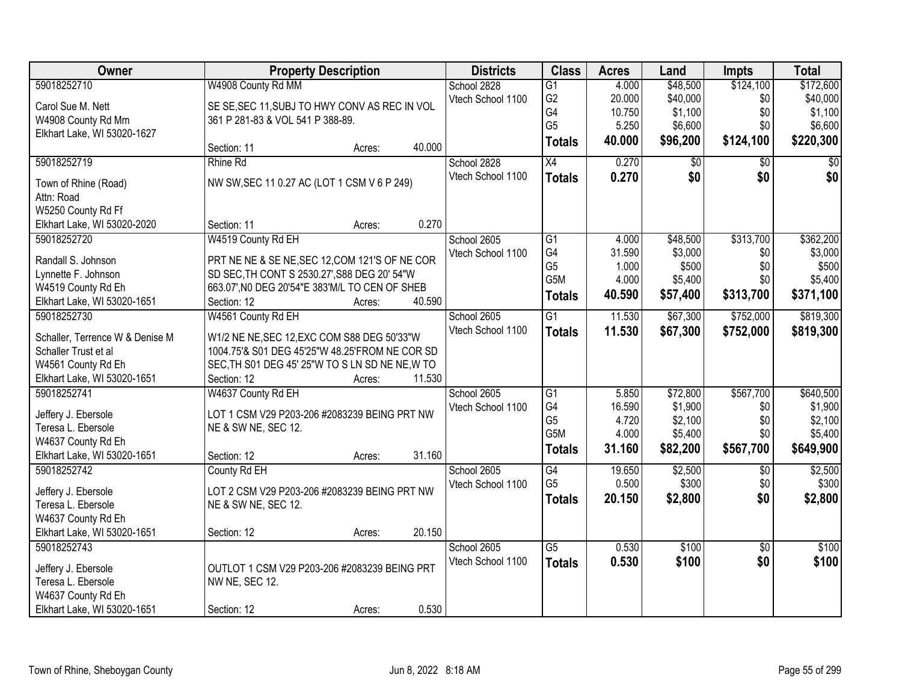| Owner                           | <b>Property Description</b>                     |        |        | <b>Districts</b>  | <b>Class</b>    | <b>Acres</b> | Land     | <b>Impts</b>    | <b>Total</b>    |
|---------------------------------|-------------------------------------------------|--------|--------|-------------------|-----------------|--------------|----------|-----------------|-----------------|
| 59018252710                     | W4908 County Rd MM                              |        |        | School 2828       | $\overline{G1}$ | 4.000        | \$48,500 | \$124,100       | \$172,600       |
| Carol Sue M. Nett               | SE SE, SEC 11, SUBJ TO HWY CONV AS REC IN VOL   |        |        | Vtech School 1100 | G <sub>2</sub>  | 20.000       | \$40,000 | \$0             | \$40,000        |
| W4908 County Rd Mm              | 361 P 281-83 & VOL 541 P 388-89.                |        |        |                   | G4              | 10.750       | \$1,100  | \$0             | \$1,100         |
| Elkhart Lake, WI 53020-1627     |                                                 |        |        |                   | G <sub>5</sub>  | 5.250        | \$6,600  | \$0             | \$6,600         |
|                                 | Section: 11                                     | Acres: | 40.000 |                   | <b>Totals</b>   | 40.000       | \$96,200 | \$124,100       | \$220,300       |
| 59018252719                     | Rhine Rd                                        |        |        | School 2828       | $\overline{X4}$ | 0.270        | \$0      | \$0             | $\overline{50}$ |
|                                 |                                                 |        |        | Vtech School 1100 |                 | 0.270        | \$0      | \$0             | \$0             |
| Town of Rhine (Road)            | NW SW, SEC 11 0.27 AC (LOT 1 CSM V 6 P 249)     |        |        |                   | <b>Totals</b>   |              |          |                 |                 |
| Attn: Road                      |                                                 |        |        |                   |                 |              |          |                 |                 |
| W5250 County Rd Ff              |                                                 |        |        |                   |                 |              |          |                 |                 |
| Elkhart Lake, WI 53020-2020     | Section: 11                                     | Acres: | 0.270  |                   |                 |              |          |                 |                 |
| 59018252720                     | W4519 County Rd EH                              |        |        | School 2605       | $\overline{G1}$ | 4.000        | \$48,500 | \$313,700       | \$362,200       |
| Randall S. Johnson              |                                                 |        |        | Vtech School 1100 | G4              | 31.590       | \$3,000  | \$0             | \$3,000         |
|                                 | PRT NE NE & SE NE, SEC 12, COM 121'S OF NE COR  |        |        |                   | G <sub>5</sub>  | 1.000        | \$500    | \$0             | \$500           |
| Lynnette F. Johnson             | SD SEC, TH CONT S 2530.27', S88 DEG 20' 54"W    |        |        |                   | G5M             | 4.000        | \$5,400  | \$0             | \$5,400         |
| W4519 County Rd Eh              | 663.07', NO DEG 20'54"E 383'M/L TO CEN OF SHEB  |        | 40.590 |                   | <b>Totals</b>   | 40.590       | \$57,400 | \$313,700       | \$371,100       |
| Elkhart Lake, WI 53020-1651     | Section: 12                                     | Acres: |        |                   |                 |              |          |                 |                 |
| 59018252730                     | W4561 County Rd EH                              |        |        | School 2605       | G1              | 11.530       | \$67,300 | \$752,000       | \$819,300       |
| Schaller, Terrence W & Denise M | W1/2 NE NE, SEC 12, EXC COM S88 DEG 50'33"W     |        |        | Vtech School 1100 | <b>Totals</b>   | 11.530       | \$67,300 | \$752,000       | \$819,300       |
| Schaller Trust et al            | 1004.75'& S01 DEG 45'25"W 48.25'FROM NE COR SD  |        |        |                   |                 |              |          |                 |                 |
| W4561 County Rd Eh              | SEC, TH S01 DEG 45' 25"W TO S LN SD NE NE, W TO |        |        |                   |                 |              |          |                 |                 |
| Elkhart Lake, WI 53020-1651     | Section: 12                                     | Acres: | 11.530 |                   |                 |              |          |                 |                 |
| 59018252741                     | W4637 County Rd EH                              |        |        | School 2605       | $\overline{G1}$ | 5.850        | \$72,800 | \$567,700       | \$640,500       |
|                                 |                                                 |        |        | Vtech School 1100 | G4              | 16.590       | \$1,900  | \$0             | \$1,900         |
| Jeffery J. Ebersole             | LOT 1 CSM V29 P203-206 #2083239 BEING PRT NW    |        |        |                   | G <sub>5</sub>  | 4.720        | \$2,100  | \$0             | \$2,100         |
| Teresa L. Ebersole              | NE & SW NE, SEC 12.                             |        |        |                   | G5M             | 4.000        | \$5,400  | \$0             | \$5,400         |
| W4637 County Rd Eh              |                                                 |        |        |                   | <b>Totals</b>   | 31.160       | \$82,200 | \$567,700       | \$649,900       |
| Elkhart Lake, WI 53020-1651     | Section: 12                                     | Acres: | 31.160 |                   |                 |              |          |                 |                 |
| 59018252742                     | County Rd EH                                    |        |        | School 2605       | G4              | 19.650       | \$2,500  | $\sqrt{6}$      | \$2,500         |
| Jeffery J. Ebersole             | LOT 2 CSM V29 P203-206 #2083239 BEING PRT NW    |        |        | Vtech School 1100 | G <sub>5</sub>  | 0.500        | \$300    | \$0             | \$300           |
| Teresa L. Ebersole              | NE & SW NE, SEC 12.                             |        |        |                   | <b>Totals</b>   | 20.150       | \$2,800  | \$0             | \$2,800         |
| W4637 County Rd Eh              |                                                 |        |        |                   |                 |              |          |                 |                 |
| Elkhart Lake, WI 53020-1651     | Section: 12                                     | Acres: | 20.150 |                   |                 |              |          |                 |                 |
| 59018252743                     |                                                 |        |        | School 2605       | $\overline{G5}$ | 0.530        | \$100    | $\overline{50}$ | \$100           |
|                                 |                                                 |        |        | Vtech School 1100 | <b>Totals</b>   | 0.530        | \$100    | \$0             | \$100           |
| Jeffery J. Ebersole             | OUTLOT 1 CSM V29 P203-206 #2083239 BEING PRT    |        |        |                   |                 |              |          |                 |                 |
| Teresa L. Ebersole              | NW NE, SEC 12.                                  |        |        |                   |                 |              |          |                 |                 |
| W4637 County Rd Eh              |                                                 |        |        |                   |                 |              |          |                 |                 |
| Elkhart Lake, WI 53020-1651     | Section: 12                                     | Acres: | 0.530  |                   |                 |              |          |                 |                 |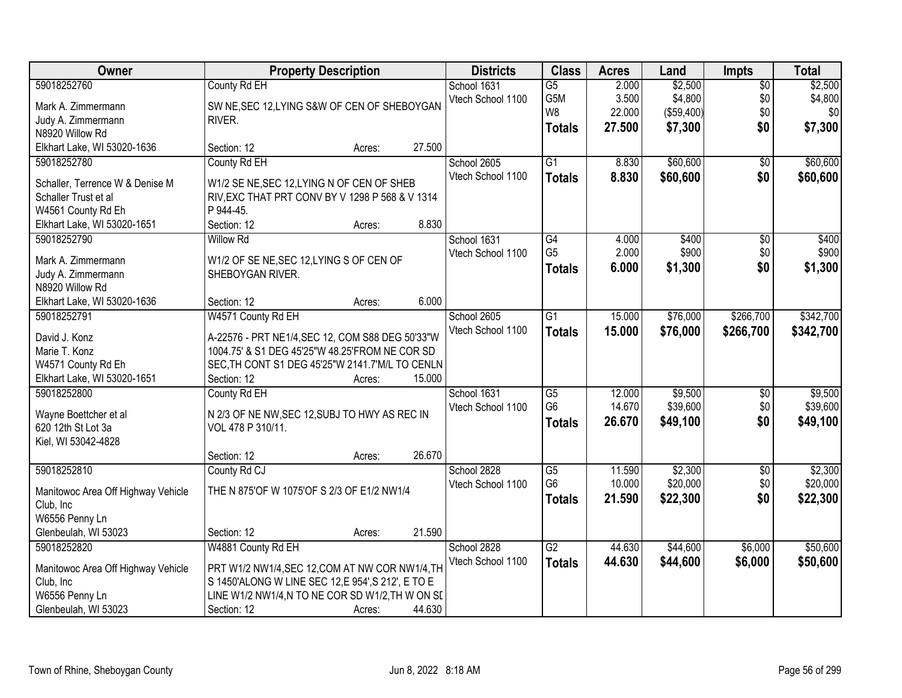| Owner                              | <b>Property Description</b>                      |        |        | <b>Districts</b>  | <b>Class</b>    | <b>Acres</b>   | Land       | Impts                  | <b>Total</b>   |
|------------------------------------|--------------------------------------------------|--------|--------|-------------------|-----------------|----------------|------------|------------------------|----------------|
| 59018252760                        | County Rd EH                                     |        |        | School 1631       | $\overline{G5}$ | 2.000          | \$2,500    | $\overline{50}$        | \$2,500        |
| Mark A. Zimmermann                 | SW NE, SEC 12, LYING S&W OF CEN OF SHEBOYGAN     |        |        | Vtech School 1100 | G5M             | 3.500          | \$4,800    | \$0                    | \$4,800        |
| Judy A. Zimmermann                 | RIVER.                                           |        |        |                   | W8              | 22.000         | (\$59,400) | \$0                    | \$0            |
| N8920 Willow Rd                    |                                                  |        |        |                   | <b>Totals</b>   | 27.500         | \$7,300    | \$0                    | \$7,300        |
| Elkhart Lake, WI 53020-1636        | Section: 12                                      | Acres: | 27.500 |                   |                 |                |            |                        |                |
| 59018252780                        | County Rd EH                                     |        |        | School 2605       | $\overline{G1}$ | 8.830          | \$60,600   | $\overline{50}$        | \$60,600       |
|                                    |                                                  |        |        | Vtech School 1100 | <b>Totals</b>   | 8.830          | \$60,600   | \$0                    | \$60,600       |
| Schaller, Terrence W & Denise M    | W1/2 SE NE, SEC 12, LYING N OF CEN OF SHEB       |        |        |                   |                 |                |            |                        |                |
| Schaller Trust et al               | RIV, EXC THAT PRT CONV BY V 1298 P 568 & V 1314  |        |        |                   |                 |                |            |                        |                |
| W4561 County Rd Eh                 | P 944-45.                                        |        | 8.830  |                   |                 |                |            |                        |                |
| Elkhart Lake, WI 53020-1651        | Section: 12<br><b>Willow Rd</b>                  | Acres: |        |                   | $\overline{G4}$ |                | \$400      |                        |                |
| 59018252790                        |                                                  |        |        | School 1631       | G <sub>5</sub>  | 4.000<br>2.000 | \$900      | $\overline{50}$<br>\$0 | \$400<br>\$900 |
| Mark A. Zimmermann                 | W1/2 OF SE NE, SEC 12, LYING S OF CEN OF         |        |        | Vtech School 1100 |                 |                |            |                        |                |
| Judy A. Zimmermann                 | SHEBOYGAN RIVER.                                 |        |        |                   | <b>Totals</b>   | 6.000          | \$1,300    | \$0                    | \$1,300        |
| N8920 Willow Rd                    |                                                  |        |        |                   |                 |                |            |                        |                |
| Elkhart Lake, WI 53020-1636        | Section: 12                                      | Acres: | 6.000  |                   |                 |                |            |                        |                |
| 59018252791                        | W4571 County Rd EH                               |        |        | School 2605       | $\overline{G1}$ | 15.000         | \$76,000   | \$266,700              | \$342,700      |
| David J. Konz                      | A-22576 - PRT NE1/4, SEC 12, COM S88 DEG 50'33"W |        |        | Vtech School 1100 | <b>Totals</b>   | 15.000         | \$76,000   | \$266,700              | \$342,700      |
| Marie T. Konz                      | 1004.75' & S1 DEG 45'25"W 48.25'FROM NE COR SD   |        |        |                   |                 |                |            |                        |                |
| W4571 County Rd Eh                 | SEC, TH CONT S1 DEG 45'25"W 2141.7'M/L TO CENLN  |        |        |                   |                 |                |            |                        |                |
| Elkhart Lake, WI 53020-1651        | Section: 12                                      | Acres: | 15.000 |                   |                 |                |            |                        |                |
| 59018252800                        | County Rd EH                                     |        |        | School 1631       | $\overline{G5}$ | 12.000         | \$9,500    | \$0                    | \$9,500        |
|                                    |                                                  |        |        | Vtech School 1100 | G <sub>6</sub>  | 14.670         | \$39,600   | \$0                    | \$39,600       |
| Wayne Boettcher et al              | N 2/3 OF NE NW, SEC 12, SUBJ TO HWY AS REC IN    |        |        |                   | <b>Totals</b>   | 26.670         | \$49,100   | \$0                    | \$49,100       |
| 620 12th St Lot 3a                 | VOL 478 P 310/11.                                |        |        |                   |                 |                |            |                        |                |
| Kiel, WI 53042-4828                |                                                  |        |        |                   |                 |                |            |                        |                |
|                                    | Section: 12                                      | Acres: | 26.670 |                   |                 |                |            |                        |                |
| 59018252810                        | County Rd CJ                                     |        |        | School 2828       | $\overline{G5}$ | 11.590         | \$2,300    | $\sqrt{6}$             | \$2,300        |
| Manitowoc Area Off Highway Vehicle | THE N 875'OF W 1075'OF S 2/3 OF E1/2 NW1/4       |        |        | Vtech School 1100 | G <sub>6</sub>  | 10.000         | \$20,000   | \$0                    | \$20,000       |
| Club, Inc                          |                                                  |        |        |                   | <b>Totals</b>   | 21.590         | \$22,300   | \$0                    | \$22,300       |
| W6556 Penny Ln                     |                                                  |        |        |                   |                 |                |            |                        |                |
| Glenbeulah, WI 53023               | Section: 12                                      | Acres: | 21.590 |                   |                 |                |            |                        |                |
| 59018252820                        | W4881 County Rd EH                               |        |        | School 2828       | $\overline{G2}$ | 44.630         | \$44,600   | \$6,000                | \$50,600       |
|                                    |                                                  |        |        | Vtech School 1100 | <b>Totals</b>   | 44.630         | \$44,600   | \$6,000                | \$50,600       |
| Manitowoc Area Off Highway Vehicle | PRT W1/2 NW1/4, SEC 12, COM AT NW COR NW1/4, TH  |        |        |                   |                 |                |            |                        |                |
| Club, Inc                          | S 1450'ALONG W LINE SEC 12,E 954',S 212', E TO E |        |        |                   |                 |                |            |                        |                |
| W6556 Penny Ln                     | LINE W1/2 NW1/4,N TO NE COR SD W1/2,TH W ON SL   |        |        |                   |                 |                |            |                        |                |
| Glenbeulah, WI 53023               | Section: 12                                      | Acres: | 44.630 |                   |                 |                |            |                        |                |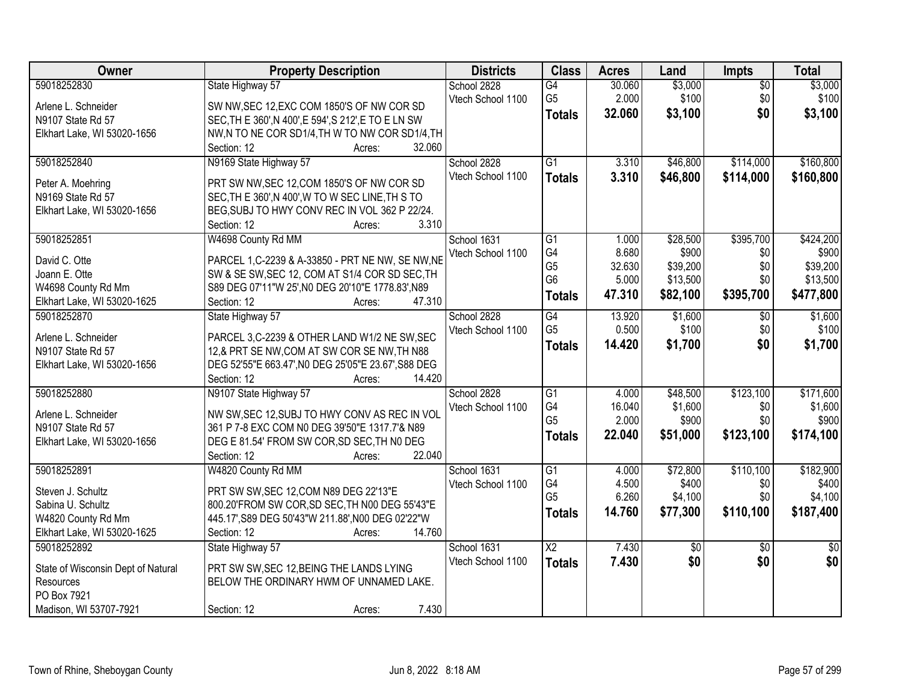| Owner                              | <b>Property Description</b>                                           | <b>Districts</b>  | <b>Class</b>    | <b>Acres</b> | Land            | <b>Impts</b>    | <b>Total</b>    |
|------------------------------------|-----------------------------------------------------------------------|-------------------|-----------------|--------------|-----------------|-----------------|-----------------|
| 59018252830                        | State Highway 57                                                      | School 2828       | $\overline{G4}$ | 30.060       | \$3,000         | $\overline{50}$ | \$3,000         |
| Arlene L. Schneider                | SW NW, SEC 12, EXC COM 1850'S OF NW COR SD                            | Vtech School 1100 | G <sub>5</sub>  | 2.000        | \$100           | \$0             | \$100           |
| N9107 State Rd 57                  | SEC, TH E 360', N 400', E 594', S 212', E TO E LN SW                  |                   | <b>Totals</b>   | 32.060       | \$3,100         | \$0             | \$3,100         |
| Elkhart Lake, WI 53020-1656        | NW,N TO NE COR SD1/4, TH W TO NW COR SD1/4, TH                        |                   |                 |              |                 |                 |                 |
|                                    | 32.060<br>Section: 12<br>Acres:                                       |                   |                 |              |                 |                 |                 |
| 59018252840                        | N9169 State Highway 57                                                | School 2828       | $\overline{G1}$ | 3.310        | \$46,800        | \$114,000       | \$160,800       |
|                                    |                                                                       | Vtech School 1100 | <b>Totals</b>   | 3.310        | \$46,800        | \$114,000       | \$160,800       |
| Peter A. Moehring                  | PRT SW NW, SEC 12, COM 1850'S OF NW COR SD                            |                   |                 |              |                 |                 |                 |
| N9169 State Rd 57                  | SEC, TH E 360', N 400', W TO W SEC LINE, TH S TO                      |                   |                 |              |                 |                 |                 |
| Elkhart Lake, WI 53020-1656        | BEG, SUBJ TO HWY CONV REC IN VOL 362 P 22/24.<br>3.310<br>Section: 12 |                   |                 |              |                 |                 |                 |
| 59018252851                        | Acres:<br>W4698 County Rd MM                                          | School 1631       | G1              | 1.000        | \$28,500        | \$395,700       | \$424,200       |
|                                    |                                                                       | Vtech School 1100 | G4              | 8.680        | \$900           | \$0             | \$900           |
| David C. Otte                      | PARCEL 1, C-2239 & A-33850 - PRT NE NW, SE NW, NE                     |                   | G <sub>5</sub>  | 32.630       | \$39,200        | \$0             | \$39,200        |
| Joann E. Otte                      | SW & SE SW, SEC 12, COM AT S1/4 COR SD SEC, TH                        |                   | G <sub>6</sub>  | 5.000        | \$13,500        | \$0             | \$13,500        |
| W4698 County Rd Mm                 | S89 DEG 07'11"W 25', NO DEG 20'10"E 1778.83', N89                     |                   | <b>Totals</b>   | 47.310       | \$82,100        | \$395,700       | \$477,800       |
| Elkhart Lake, WI 53020-1625        | 47.310<br>Section: 12<br>Acres:                                       |                   |                 |              |                 |                 |                 |
| 59018252870                        | State Highway 57                                                      | School 2828       | G4              | 13.920       | \$1,600         | $\overline{50}$ | \$1,600         |
| Arlene L. Schneider                | PARCEL 3,C-2239 & OTHER LAND W1/2 NE SW, SEC                          | Vtech School 1100 | G <sub>5</sub>  | 0.500        | \$100           | \$0             | \$100           |
| N9107 State Rd 57                  | 12,& PRT SE NW, COM AT SW COR SE NW, TH N88                           |                   | <b>Totals</b>   | 14.420       | \$1,700         | \$0             | \$1,700         |
| Elkhart Lake, WI 53020-1656        | DEG 52'55"E 663.47', NO DEG 25'05"E 23.67', S88 DEG                   |                   |                 |              |                 |                 |                 |
|                                    | Section: 12<br>14.420<br>Acres:                                       |                   |                 |              |                 |                 |                 |
| 59018252880                        | N9107 State Highway 57                                                | School 2828       | $\overline{G1}$ | 4.000        | \$48,500        | \$123,100       | \$171,600       |
|                                    |                                                                       | Vtech School 1100 | G4              | 16.040       | \$1,600         | \$0             | \$1,600         |
| Arlene L. Schneider                | NW SW, SEC 12, SUBJ TO HWY CONV AS REC IN VOL                         |                   | G <sub>5</sub>  | 2.000        | \$900           | \$0             | \$900           |
| N9107 State Rd 57                  | 361 P 7-8 EXC COM N0 DEG 39'50"E 1317.7'& N89                         |                   | <b>Totals</b>   | 22.040       | \$51,000        | \$123,100       | \$174,100       |
| Elkhart Lake, WI 53020-1656        | DEG E 81.54' FROM SW COR, SD SEC, TH NO DEG                           |                   |                 |              |                 |                 |                 |
|                                    | 22.040<br>Section: 12<br>Acres:                                       |                   |                 |              |                 |                 |                 |
| 59018252891                        | W4820 County Rd MM                                                    | School 1631       | $\overline{G1}$ | 4.000        | \$72,800        | \$110,100       | \$182,900       |
| Steven J. Schultz                  | PRT SW SW, SEC 12, COM N89 DEG 22'13"E                                | Vtech School 1100 | G4              | 4.500        | \$400           | \$0             | \$400           |
| Sabina U. Schultz                  | 800.20'FROM SW COR, SD SEC, TH N00 DEG 55'43"E                        |                   | G <sub>5</sub>  | 6.260        | \$4,100         | \$0             | \$4,100         |
| W4820 County Rd Mm                 | 445.17', S89 DEG 50'43"W 211.88', N00 DEG 02'22"W                     |                   | <b>Totals</b>   | 14.760       | \$77,300        | \$110,100       | \$187,400       |
| Elkhart Lake, WI 53020-1625        | 14.760<br>Section: 12<br>Acres:                                       |                   |                 |              |                 |                 |                 |
| 59018252892                        | State Highway 57                                                      | School 1631       | $\overline{X2}$ | 7.430        | $\overline{50}$ | $\overline{30}$ | $\overline{50}$ |
| State of Wisconsin Dept of Natural | PRT SW SW, SEC 12, BEING THE LANDS LYING                              | Vtech School 1100 | <b>Totals</b>   | 7.430        | \$0             | \$0             | \$0             |
| <b>Resources</b>                   | BELOW THE ORDINARY HWM OF UNNAMED LAKE.                               |                   |                 |              |                 |                 |                 |
| PO Box 7921                        |                                                                       |                   |                 |              |                 |                 |                 |
| Madison, WI 53707-7921             | 7.430<br>Section: 12<br>Acres:                                        |                   |                 |              |                 |                 |                 |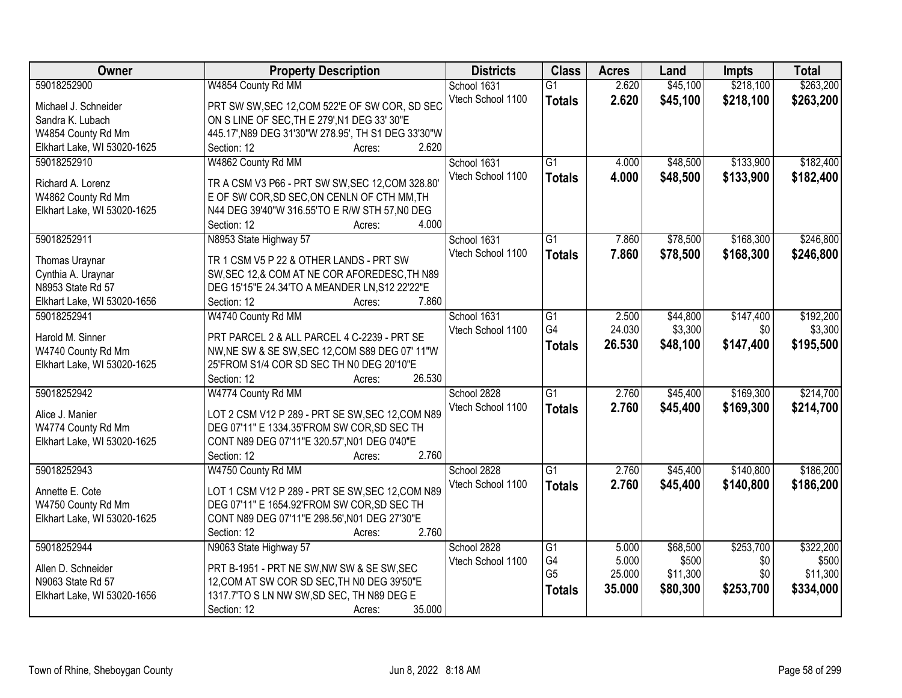| Owner                                   | <b>Property Description</b>                                                      | <b>Districts</b>  | <b>Class</b>    | <b>Acres</b> | Land     | Impts     | <b>Total</b> |
|-----------------------------------------|----------------------------------------------------------------------------------|-------------------|-----------------|--------------|----------|-----------|--------------|
| 59018252900                             | W4854 County Rd MM                                                               | School 1631       | $\overline{G1}$ | 2.620        | \$45,100 | \$218,100 | \$263,200    |
| Michael J. Schneider                    | PRT SW SW, SEC 12, COM 522'E OF SW COR, SD SEC                                   | Vtech School 1100 | <b>Totals</b>   | 2.620        | \$45,100 | \$218,100 | \$263,200    |
| Sandra K. Lubach                        | ON S LINE OF SEC, TH E 279', N1 DEG 33' 30"E                                     |                   |                 |              |          |           |              |
| W4854 County Rd Mm                      | 445.17', N89 DEG 31'30"W 278.95', TH S1 DEG 33'30"W                              |                   |                 |              |          |           |              |
| Elkhart Lake, WI 53020-1625             | 2.620<br>Section: 12<br>Acres:                                                   |                   |                 |              |          |           |              |
| 59018252910                             | W4862 County Rd MM                                                               | School 1631       | $\overline{G1}$ | 4.000        | \$48,500 | \$133,900 | \$182,400    |
| Richard A. Lorenz                       | TR A CSM V3 P66 - PRT SW SW, SEC 12, COM 328.80'                                 | Vtech School 1100 | <b>Totals</b>   | 4.000        | \$48,500 | \$133,900 | \$182,400    |
| W4862 County Rd Mm                      | E OF SW COR, SD SEC, ON CENLN OF CTH MM, TH                                      |                   |                 |              |          |           |              |
| Elkhart Lake, WI 53020-1625             | N44 DEG 39'40"W 316.55'TO E R/W STH 57,N0 DEG                                    |                   |                 |              |          |           |              |
|                                         | 4.000<br>Section: 12<br>Acres:                                                   |                   |                 |              |          |           |              |
| 59018252911                             | N8953 State Highway 57                                                           | School 1631       | G1              | 7.860        | \$78,500 | \$168,300 | \$246,800    |
|                                         | TR 1 CSM V5 P 22 & OTHER LANDS - PRT SW                                          | Vtech School 1100 | <b>Totals</b>   | 7.860        | \$78,500 | \$168,300 | \$246,800    |
| Thomas Uraynar                          | SW, SEC 12, & COM AT NE COR AFOREDESC, TH N89                                    |                   |                 |              |          |           |              |
| Cynthia A. Uraynar<br>N8953 State Rd 57 |                                                                                  |                   |                 |              |          |           |              |
| Elkhart Lake, WI 53020-1656             | DEG 15'15"E 24.34'TO A MEANDER LN, S12 22'22"E<br>7.860<br>Section: 12<br>Acres: |                   |                 |              |          |           |              |
| 59018252941                             | W4740 County Rd MM                                                               | School 1631       | G1              | 2.500        | \$44,800 | \$147,400 | \$192,200    |
|                                         |                                                                                  | Vtech School 1100 | G4              | 24.030       | \$3,300  | \$0       | \$3,300      |
| Harold M. Sinner                        | PRT PARCEL 2 & ALL PARCEL 4 C-2239 - PRT SE                                      |                   |                 |              |          |           |              |
| W4740 County Rd Mm                      | NW, NE SW & SE SW, SEC 12, COM S89 DEG 07' 11"W                                  |                   | <b>Totals</b>   | 26.530       | \$48,100 | \$147,400 | \$195,500    |
| Elkhart Lake, WI 53020-1625             | 25'FROM S1/4 COR SD SEC TH N0 DEG 20'10"E                                        |                   |                 |              |          |           |              |
|                                         | 26.530<br>Section: 12<br>Acres:                                                  |                   |                 |              |          |           |              |
| 59018252942                             | W4774 County Rd MM                                                               | School 2828       | $\overline{G1}$ | 2.760        | \$45,400 | \$169,300 | \$214,700    |
| Alice J. Manier                         | LOT 2 CSM V12 P 289 - PRT SE SW, SEC 12, COM N89                                 | Vtech School 1100 | <b>Totals</b>   | 2.760        | \$45,400 | \$169,300 | \$214,700    |
| W4774 County Rd Mm                      | DEG 07'11" E 1334.35'FROM SW COR, SD SEC TH                                      |                   |                 |              |          |           |              |
| Elkhart Lake, WI 53020-1625             | CONT N89 DEG 07'11"E 320.57', N01 DEG 0'40"E                                     |                   |                 |              |          |           |              |
|                                         | 2.760<br>Section: 12<br>Acres:                                                   |                   |                 |              |          |           |              |
| 59018252943                             | W4750 County Rd MM                                                               | School 2828       | G1              | 2.760        | \$45,400 | \$140,800 | \$186,200    |
|                                         |                                                                                  | Vtech School 1100 | <b>Totals</b>   | 2.760        | \$45,400 | \$140,800 | \$186,200    |
| Annette E. Cote                         | LOT 1 CSM V12 P 289 - PRT SE SW, SEC 12, COM N89                                 |                   |                 |              |          |           |              |
| W4750 County Rd Mm                      | DEG 07'11" E 1654.92'FROM SW COR, SD SEC TH                                      |                   |                 |              |          |           |              |
| Elkhart Lake, WI 53020-1625             | CONT N89 DEG 07'11"E 298.56', N01 DEG 27'30"E                                    |                   |                 |              |          |           |              |
|                                         | 2.760<br>Section: 12<br>Acres:                                                   |                   |                 |              |          |           |              |
| 59018252944                             | N9063 State Highway 57                                                           | School 2828       | G1              | 5.000        | \$68,500 | \$253,700 | \$322,200    |
| Allen D. Schneider                      | PRT B-1951 - PRT NE SW, NW SW & SE SW, SEC                                       | Vtech School 1100 | G4              | 5.000        | \$500    | \$0       | \$500        |
| N9063 State Rd 57                       | 12, COM AT SW COR SD SEC, TH N0 DEG 39'50"E                                      |                   | G <sub>5</sub>  | 25.000       | \$11,300 | \$0       | \$11,300     |
| Elkhart Lake, WI 53020-1656             | 1317.7'TO S LN NW SW, SD SEC, TH N89 DEG E                                       |                   | <b>Totals</b>   | 35.000       | \$80,300 | \$253,700 | \$334,000    |
|                                         | 35.000<br>Section: 12<br>Acres:                                                  |                   |                 |              |          |           |              |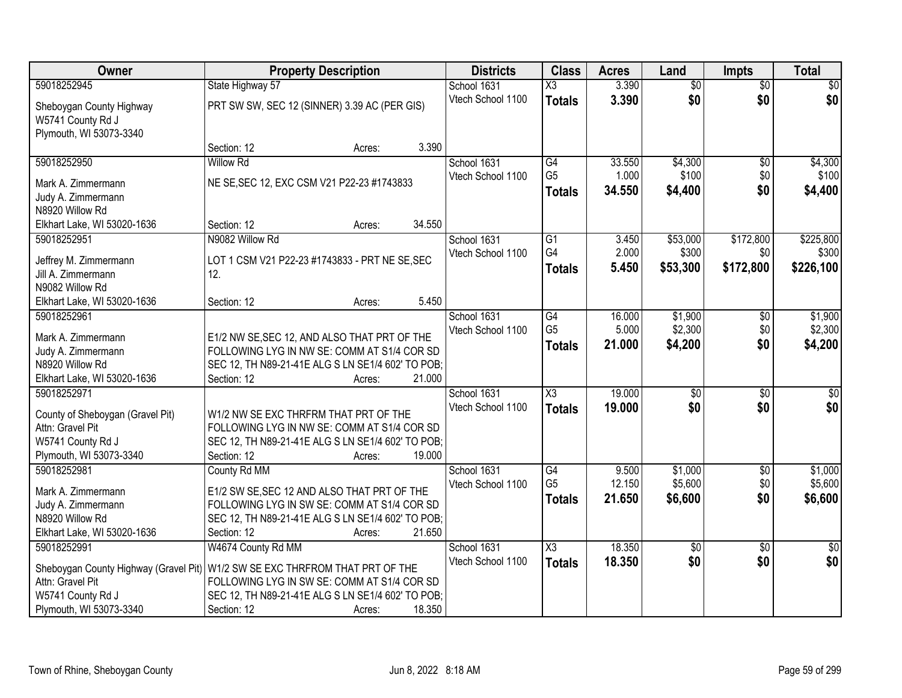| <b>Owner</b>                                                             | <b>Property Description</b>                                                                 | <b>Districts</b>  | <b>Class</b>                    | <b>Acres</b>    | Land             | <b>Impts</b>    | <b>Total</b>     |
|--------------------------------------------------------------------------|---------------------------------------------------------------------------------------------|-------------------|---------------------------------|-----------------|------------------|-----------------|------------------|
| 59018252945                                                              | State Highway 57                                                                            | School 1631       | $\overline{\text{X3}}$          | 3.390           | $\overline{50}$  | $\overline{50}$ | $\overline{30}$  |
| Sheboygan County Highway<br>W5741 County Rd J<br>Plymouth, WI 53073-3340 | PRT SW SW, SEC 12 (SINNER) 3.39 AC (PER GIS)                                                | Vtech School 1100 | <b>Totals</b>                   | 3.390           | \$0              | \$0             | \$0              |
|                                                                          | 3.390<br>Section: 12<br>Acres:                                                              |                   |                                 |                 |                  |                 |                  |
| 59018252950                                                              | <b>Willow Rd</b>                                                                            | School 1631       | $\overline{G4}$                 | 33.550          | \$4,300          | $\overline{50}$ | \$4,300          |
| Mark A. Zimmermann                                                       | NE SE, SEC 12, EXC CSM V21 P22-23 #1743833                                                  | Vtech School 1100 | G <sub>5</sub><br><b>Totals</b> | 1.000<br>34.550 | \$100<br>\$4,400 | \$0<br>\$0      | \$100<br>\$4,400 |
| Judy A. Zimmermann<br>N8920 Willow Rd                                    |                                                                                             |                   |                                 |                 |                  |                 |                  |
| Elkhart Lake, WI 53020-1636                                              | 34.550<br>Section: 12<br>Acres:                                                             |                   |                                 |                 |                  |                 |                  |
| 59018252951                                                              | N9082 Willow Rd                                                                             | School 1631       | G1                              | 3.450           | \$53,000         | \$172,800       | \$225,800        |
|                                                                          |                                                                                             | Vtech School 1100 | G4                              | 2.000           | \$300            | \$0             | \$300            |
| Jeffrey M. Zimmermann<br>Jill A. Zimmermann                              | LOT 1 CSM V21 P22-23 #1743833 - PRT NE SE, SEC<br>12.                                       |                   | <b>Totals</b>                   | 5.450           | \$53,300         | \$172,800       | \$226,100        |
| N9082 Willow Rd                                                          |                                                                                             |                   |                                 |                 |                  |                 |                  |
| Elkhart Lake, WI 53020-1636                                              | 5.450<br>Section: 12<br>Acres:                                                              |                   |                                 |                 |                  |                 |                  |
| 59018252961                                                              |                                                                                             | School 1631       | G4                              | 16.000          | \$1,900          | \$0             | \$1,900          |
|                                                                          |                                                                                             | Vtech School 1100 | G <sub>5</sub>                  | 5.000           | \$2,300          | \$0             | \$2,300          |
| Mark A. Zimmermann                                                       | E1/2 NW SE, SEC 12, AND ALSO THAT PRT OF THE<br>FOLLOWING LYG IN NW SE: COMM AT S1/4 COR SD |                   | <b>Totals</b>                   | 21.000          | \$4,200          | \$0             | \$4,200          |
| Judy A. Zimmermann<br>N8920 Willow Rd                                    | SEC 12, TH N89-21-41E ALG S LN SE1/4 602' TO POB;                                           |                   |                                 |                 |                  |                 |                  |
| Elkhart Lake, WI 53020-1636                                              | 21.000<br>Section: 12<br>Acres:                                                             |                   |                                 |                 |                  |                 |                  |
| 59018252971                                                              |                                                                                             | School 1631       | $\overline{\chi_3}$             | 19.000          | $\overline{50}$  | $\overline{50}$ | $\overline{50}$  |
|                                                                          |                                                                                             | Vtech School 1100 | <b>Totals</b>                   | 19.000          | \$0              | \$0             | \$0              |
| County of Sheboygan (Gravel Pit)                                         | W1/2 NW SE EXC THRFRM THAT PRT OF THE                                                       |                   |                                 |                 |                  |                 |                  |
| Attn: Gravel Pit                                                         | FOLLOWING LYG IN NW SE: COMM AT S1/4 COR SD                                                 |                   |                                 |                 |                  |                 |                  |
| W5741 County Rd J<br>Plymouth, WI 53073-3340                             | SEC 12, TH N89-21-41E ALG S LN SE1/4 602' TO POB;<br>19.000<br>Section: 12<br>Acres:        |                   |                                 |                 |                  |                 |                  |
| 59018252981                                                              | County Rd MM                                                                                | School 1631       | $\overline{G4}$                 | 9.500           | \$1,000          | $\overline{60}$ | \$1,000          |
|                                                                          |                                                                                             | Vtech School 1100 | G <sub>5</sub>                  | 12.150          | \$5,600          | \$0             | \$5,600          |
| Mark A. Zimmermann                                                       | E1/2 SW SE, SEC 12 AND ALSO THAT PRT OF THE                                                 |                   | <b>Totals</b>                   | 21.650          | \$6,600          | \$0             | \$6,600          |
| Judy A. Zimmermann                                                       | FOLLOWING LYG IN SW SE: COMM AT S1/4 COR SD                                                 |                   |                                 |                 |                  |                 |                  |
| N8920 Willow Rd<br>Elkhart Lake, WI 53020-1636                           | SEC 12, TH N89-21-41E ALG S LN SE1/4 602' TO POB;<br>21.650<br>Section: 12                  |                   |                                 |                 |                  |                 |                  |
| 59018252991                                                              | Acres:<br>W4674 County Rd MM                                                                | School 1631       | X3                              | 18.350          | $\overline{50}$  | $\overline{30}$ | $\overline{50}$  |
|                                                                          |                                                                                             | Vtech School 1100 | <b>Totals</b>                   | 18.350          | \$0              | \$0             | \$0              |
| Sheboygan County Highway (Gravel Pit)                                    | W1/2 SW SE EXC THRFROM THAT PRT OF THE                                                      |                   |                                 |                 |                  |                 |                  |
| Attn: Gravel Pit                                                         | FOLLOWING LYG IN SW SE: COMM AT S1/4 COR SD                                                 |                   |                                 |                 |                  |                 |                  |
| W5741 County Rd J                                                        | SEC 12, TH N89-21-41E ALG S LN SE1/4 602' TO POB;                                           |                   |                                 |                 |                  |                 |                  |
| Plymouth, WI 53073-3340                                                  | 18.350<br>Section: 12<br>Acres:                                                             |                   |                                 |                 |                  |                 |                  |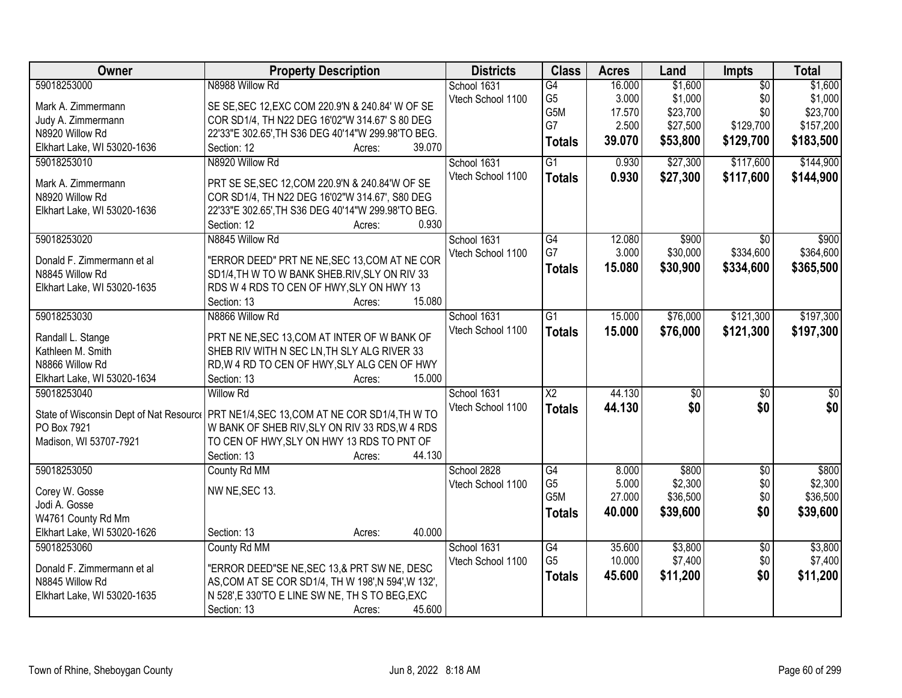| School 1631<br>$\overline{G4}$<br>G <sub>5</sub><br>\$1,000<br>\$1,000<br>Vtech School 1100<br>3.000<br>\$0<br>SE SE, SEC 12, EXC COM 220.9'N & 240.84' W OF SE<br>Mark A. Zimmermann<br>G5M<br>17.570<br>\$23,700<br>\$0<br>\$23,700<br>COR SD1/4, TH N22 DEG 16'02"W 314.67' S 80 DEG<br>Judy A. Zimmermann<br>G7<br>2.500<br>\$27,500<br>\$129,700<br>\$157,200<br>N8920 Willow Rd<br>22'33"E 302.65', TH S36 DEG 40'14"W 299.98'TO BEG.<br>39.070<br>\$53,800<br>\$129,700<br>\$183,500<br><b>Totals</b><br>Elkhart Lake, WI 53020-1636<br>39.070<br>Section: 12<br>Acres:<br>N8920 Willow Rd<br>$\overline{G1}$<br>\$27,300<br>\$117,600<br>\$144,900<br>59018253010<br>School 1631<br>0.930<br>Vtech School 1100<br>0.930<br>\$27,300<br>\$117,600<br>\$144,900<br><b>Totals</b><br>PRT SE SE, SEC 12, COM 220.9'N & 240.84'W OF SE<br>Mark A. Zimmermann<br>N8920 Willow Rd<br>COR SD1/4, TH N22 DEG 16'02"W 314.67', S80 DEG<br>22'33"E 302.65', TH S36 DEG 40'14"W 299.98'TO BEG.<br>Elkhart Lake, WI 53020-1636<br>0.930<br>Section: 12<br>Acres:<br>59018253020<br>N8845 Willow Rd<br>School 1631<br>$\overline{G4}$<br>\$900<br>\$900<br>12.080<br>\$0<br>G7<br>\$334,600<br>3.000<br>\$30,000<br>\$364,600<br>Vtech School 1100<br>"ERROR DEED" PRT NE NE, SEC 13, COM AT NE COR<br>Donald F. Zimmermann et al<br>15.080<br>\$30,900<br>\$334,600<br>\$365,500<br><b>Totals</b><br>N8845 Willow Rd<br>SD1/4, TH W TO W BANK SHEB. RIV, SLY ON RIV 33<br>Elkhart Lake, WI 53020-1635<br>RDS W 4 RDS TO CEN OF HWY, SLY ON HWY 13<br>15.080<br>Section: 13<br>Acres:<br>\$197,300<br>59018253030<br>N8866 Willow Rd<br>15.000<br>\$76,000<br>\$121,300<br>School 1631<br>G1<br>Vtech School 1100<br>15.000<br>\$76,000<br>\$121,300<br>\$197,300<br><b>Totals</b><br>PRT NE NE, SEC 13, COM AT INTER OF W BANK OF<br>Randall L. Stange<br>SHEB RIV WITH N SEC LN, TH SLY ALG RIVER 33<br>Kathleen M. Smith<br>N8866 Willow Rd<br>RD, W 4 RD TO CEN OF HWY, SLY ALG CEN OF HWY<br>15.000<br>Elkhart Lake, WI 53020-1634<br>Section: 13<br>Acres:<br>59018253040<br>$\overline{\text{X2}}$<br>44.130<br>$\sqrt{50}$<br>$\overline{50}$<br><b>Willow Rd</b><br>School 1631<br>\$0<br>\$0<br>\$0<br>44.130<br>\$0<br>Vtech School 1100<br><b>Totals</b><br>PRT NE1/4, SEC 13, COM AT NE COR SD1/4, TH W TO<br>State of Wisconsin Dept of Nat Resource<br>W BANK OF SHEB RIV, SLY ON RIV 33 RDS, W 4 RDS<br>PO Box 7921<br>Madison, WI 53707-7921<br>TO CEN OF HWY, SLY ON HWY 13 RDS TO PNT OF<br>44.130<br>Section: 13<br>Acres:<br>59018253050<br>School 2828<br>G4<br>\$800<br>$\overline{50}$<br>\$800<br>County Rd MM<br>8.000<br>G <sub>5</sub><br>\$2,300<br>\$0<br>\$2,300<br>5.000<br>Vtech School 1100<br>NW NE, SEC 13.<br>Corey W. Gosse<br>G <sub>5</sub> M<br>27.000<br>\$36,500<br>\$0<br>\$36,500<br>Jodi A. Gosse<br>40.000<br>\$39,600<br>\$0<br>\$39,600 | Owner       | <b>Property Description</b> | <b>Districts</b> | <b>Class</b>  | <b>Acres</b> | Land    | Impts           | <b>Total</b> |
|------------------------------------------------------------------------------------------------------------------------------------------------------------------------------------------------------------------------------------------------------------------------------------------------------------------------------------------------------------------------------------------------------------------------------------------------------------------------------------------------------------------------------------------------------------------------------------------------------------------------------------------------------------------------------------------------------------------------------------------------------------------------------------------------------------------------------------------------------------------------------------------------------------------------------------------------------------------------------------------------------------------------------------------------------------------------------------------------------------------------------------------------------------------------------------------------------------------------------------------------------------------------------------------------------------------------------------------------------------------------------------------------------------------------------------------------------------------------------------------------------------------------------------------------------------------------------------------------------------------------------------------------------------------------------------------------------------------------------------------------------------------------------------------------------------------------------------------------------------------------------------------------------------------------------------------------------------------------------------------------------------------------------------------------------------------------------------------------------------------------------------------------------------------------------------------------------------------------------------------------------------------------------------------------------------------------------------------------------------------------------------------------------------------------------------------------------------------------------------------------------------------------------------------------------------------------------------------------------------------------------------------------------------------------------------------------------------------------------------------------------------------------------------------------------------------------------------------------------------------------------------|-------------|-----------------------------|------------------|---------------|--------------|---------|-----------------|--------------|
|                                                                                                                                                                                                                                                                                                                                                                                                                                                                                                                                                                                                                                                                                                                                                                                                                                                                                                                                                                                                                                                                                                                                                                                                                                                                                                                                                                                                                                                                                                                                                                                                                                                                                                                                                                                                                                                                                                                                                                                                                                                                                                                                                                                                                                                                                                                                                                                                                                                                                                                                                                                                                                                                                                                                                                                                                                                                                    | 59018253000 | N8988 Willow Rd             |                  |               | 16.000       | \$1,600 | $\overline{60}$ | \$1,600      |
|                                                                                                                                                                                                                                                                                                                                                                                                                                                                                                                                                                                                                                                                                                                                                                                                                                                                                                                                                                                                                                                                                                                                                                                                                                                                                                                                                                                                                                                                                                                                                                                                                                                                                                                                                                                                                                                                                                                                                                                                                                                                                                                                                                                                                                                                                                                                                                                                                                                                                                                                                                                                                                                                                                                                                                                                                                                                                    |             |                             |                  |               |              |         |                 |              |
|                                                                                                                                                                                                                                                                                                                                                                                                                                                                                                                                                                                                                                                                                                                                                                                                                                                                                                                                                                                                                                                                                                                                                                                                                                                                                                                                                                                                                                                                                                                                                                                                                                                                                                                                                                                                                                                                                                                                                                                                                                                                                                                                                                                                                                                                                                                                                                                                                                                                                                                                                                                                                                                                                                                                                                                                                                                                                    |             |                             |                  |               |              |         |                 |              |
|                                                                                                                                                                                                                                                                                                                                                                                                                                                                                                                                                                                                                                                                                                                                                                                                                                                                                                                                                                                                                                                                                                                                                                                                                                                                                                                                                                                                                                                                                                                                                                                                                                                                                                                                                                                                                                                                                                                                                                                                                                                                                                                                                                                                                                                                                                                                                                                                                                                                                                                                                                                                                                                                                                                                                                                                                                                                                    |             |                             |                  |               |              |         |                 |              |
|                                                                                                                                                                                                                                                                                                                                                                                                                                                                                                                                                                                                                                                                                                                                                                                                                                                                                                                                                                                                                                                                                                                                                                                                                                                                                                                                                                                                                                                                                                                                                                                                                                                                                                                                                                                                                                                                                                                                                                                                                                                                                                                                                                                                                                                                                                                                                                                                                                                                                                                                                                                                                                                                                                                                                                                                                                                                                    |             |                             |                  |               |              |         |                 |              |
|                                                                                                                                                                                                                                                                                                                                                                                                                                                                                                                                                                                                                                                                                                                                                                                                                                                                                                                                                                                                                                                                                                                                                                                                                                                                                                                                                                                                                                                                                                                                                                                                                                                                                                                                                                                                                                                                                                                                                                                                                                                                                                                                                                                                                                                                                                                                                                                                                                                                                                                                                                                                                                                                                                                                                                                                                                                                                    |             |                             |                  |               |              |         |                 |              |
|                                                                                                                                                                                                                                                                                                                                                                                                                                                                                                                                                                                                                                                                                                                                                                                                                                                                                                                                                                                                                                                                                                                                                                                                                                                                                                                                                                                                                                                                                                                                                                                                                                                                                                                                                                                                                                                                                                                                                                                                                                                                                                                                                                                                                                                                                                                                                                                                                                                                                                                                                                                                                                                                                                                                                                                                                                                                                    |             |                             |                  |               |              |         |                 |              |
|                                                                                                                                                                                                                                                                                                                                                                                                                                                                                                                                                                                                                                                                                                                                                                                                                                                                                                                                                                                                                                                                                                                                                                                                                                                                                                                                                                                                                                                                                                                                                                                                                                                                                                                                                                                                                                                                                                                                                                                                                                                                                                                                                                                                                                                                                                                                                                                                                                                                                                                                                                                                                                                                                                                                                                                                                                                                                    |             |                             |                  |               |              |         |                 |              |
|                                                                                                                                                                                                                                                                                                                                                                                                                                                                                                                                                                                                                                                                                                                                                                                                                                                                                                                                                                                                                                                                                                                                                                                                                                                                                                                                                                                                                                                                                                                                                                                                                                                                                                                                                                                                                                                                                                                                                                                                                                                                                                                                                                                                                                                                                                                                                                                                                                                                                                                                                                                                                                                                                                                                                                                                                                                                                    |             |                             |                  |               |              |         |                 |              |
|                                                                                                                                                                                                                                                                                                                                                                                                                                                                                                                                                                                                                                                                                                                                                                                                                                                                                                                                                                                                                                                                                                                                                                                                                                                                                                                                                                                                                                                                                                                                                                                                                                                                                                                                                                                                                                                                                                                                                                                                                                                                                                                                                                                                                                                                                                                                                                                                                                                                                                                                                                                                                                                                                                                                                                                                                                                                                    |             |                             |                  |               |              |         |                 |              |
|                                                                                                                                                                                                                                                                                                                                                                                                                                                                                                                                                                                                                                                                                                                                                                                                                                                                                                                                                                                                                                                                                                                                                                                                                                                                                                                                                                                                                                                                                                                                                                                                                                                                                                                                                                                                                                                                                                                                                                                                                                                                                                                                                                                                                                                                                                                                                                                                                                                                                                                                                                                                                                                                                                                                                                                                                                                                                    |             |                             |                  |               |              |         |                 |              |
|                                                                                                                                                                                                                                                                                                                                                                                                                                                                                                                                                                                                                                                                                                                                                                                                                                                                                                                                                                                                                                                                                                                                                                                                                                                                                                                                                                                                                                                                                                                                                                                                                                                                                                                                                                                                                                                                                                                                                                                                                                                                                                                                                                                                                                                                                                                                                                                                                                                                                                                                                                                                                                                                                                                                                                                                                                                                                    |             |                             |                  |               |              |         |                 |              |
|                                                                                                                                                                                                                                                                                                                                                                                                                                                                                                                                                                                                                                                                                                                                                                                                                                                                                                                                                                                                                                                                                                                                                                                                                                                                                                                                                                                                                                                                                                                                                                                                                                                                                                                                                                                                                                                                                                                                                                                                                                                                                                                                                                                                                                                                                                                                                                                                                                                                                                                                                                                                                                                                                                                                                                                                                                                                                    |             |                             |                  |               |              |         |                 |              |
|                                                                                                                                                                                                                                                                                                                                                                                                                                                                                                                                                                                                                                                                                                                                                                                                                                                                                                                                                                                                                                                                                                                                                                                                                                                                                                                                                                                                                                                                                                                                                                                                                                                                                                                                                                                                                                                                                                                                                                                                                                                                                                                                                                                                                                                                                                                                                                                                                                                                                                                                                                                                                                                                                                                                                                                                                                                                                    |             |                             |                  |               |              |         |                 |              |
|                                                                                                                                                                                                                                                                                                                                                                                                                                                                                                                                                                                                                                                                                                                                                                                                                                                                                                                                                                                                                                                                                                                                                                                                                                                                                                                                                                                                                                                                                                                                                                                                                                                                                                                                                                                                                                                                                                                                                                                                                                                                                                                                                                                                                                                                                                                                                                                                                                                                                                                                                                                                                                                                                                                                                                                                                                                                                    |             |                             |                  |               |              |         |                 |              |
|                                                                                                                                                                                                                                                                                                                                                                                                                                                                                                                                                                                                                                                                                                                                                                                                                                                                                                                                                                                                                                                                                                                                                                                                                                                                                                                                                                                                                                                                                                                                                                                                                                                                                                                                                                                                                                                                                                                                                                                                                                                                                                                                                                                                                                                                                                                                                                                                                                                                                                                                                                                                                                                                                                                                                                                                                                                                                    |             |                             |                  |               |              |         |                 |              |
|                                                                                                                                                                                                                                                                                                                                                                                                                                                                                                                                                                                                                                                                                                                                                                                                                                                                                                                                                                                                                                                                                                                                                                                                                                                                                                                                                                                                                                                                                                                                                                                                                                                                                                                                                                                                                                                                                                                                                                                                                                                                                                                                                                                                                                                                                                                                                                                                                                                                                                                                                                                                                                                                                                                                                                                                                                                                                    |             |                             |                  |               |              |         |                 |              |
|                                                                                                                                                                                                                                                                                                                                                                                                                                                                                                                                                                                                                                                                                                                                                                                                                                                                                                                                                                                                                                                                                                                                                                                                                                                                                                                                                                                                                                                                                                                                                                                                                                                                                                                                                                                                                                                                                                                                                                                                                                                                                                                                                                                                                                                                                                                                                                                                                                                                                                                                                                                                                                                                                                                                                                                                                                                                                    |             |                             |                  |               |              |         |                 |              |
|                                                                                                                                                                                                                                                                                                                                                                                                                                                                                                                                                                                                                                                                                                                                                                                                                                                                                                                                                                                                                                                                                                                                                                                                                                                                                                                                                                                                                                                                                                                                                                                                                                                                                                                                                                                                                                                                                                                                                                                                                                                                                                                                                                                                                                                                                                                                                                                                                                                                                                                                                                                                                                                                                                                                                                                                                                                                                    |             |                             |                  |               |              |         |                 |              |
|                                                                                                                                                                                                                                                                                                                                                                                                                                                                                                                                                                                                                                                                                                                                                                                                                                                                                                                                                                                                                                                                                                                                                                                                                                                                                                                                                                                                                                                                                                                                                                                                                                                                                                                                                                                                                                                                                                                                                                                                                                                                                                                                                                                                                                                                                                                                                                                                                                                                                                                                                                                                                                                                                                                                                                                                                                                                                    |             |                             |                  |               |              |         |                 |              |
|                                                                                                                                                                                                                                                                                                                                                                                                                                                                                                                                                                                                                                                                                                                                                                                                                                                                                                                                                                                                                                                                                                                                                                                                                                                                                                                                                                                                                                                                                                                                                                                                                                                                                                                                                                                                                                                                                                                                                                                                                                                                                                                                                                                                                                                                                                                                                                                                                                                                                                                                                                                                                                                                                                                                                                                                                                                                                    |             |                             |                  |               |              |         |                 |              |
|                                                                                                                                                                                                                                                                                                                                                                                                                                                                                                                                                                                                                                                                                                                                                                                                                                                                                                                                                                                                                                                                                                                                                                                                                                                                                                                                                                                                                                                                                                                                                                                                                                                                                                                                                                                                                                                                                                                                                                                                                                                                                                                                                                                                                                                                                                                                                                                                                                                                                                                                                                                                                                                                                                                                                                                                                                                                                    |             |                             |                  |               |              |         |                 |              |
|                                                                                                                                                                                                                                                                                                                                                                                                                                                                                                                                                                                                                                                                                                                                                                                                                                                                                                                                                                                                                                                                                                                                                                                                                                                                                                                                                                                                                                                                                                                                                                                                                                                                                                                                                                                                                                                                                                                                                                                                                                                                                                                                                                                                                                                                                                                                                                                                                                                                                                                                                                                                                                                                                                                                                                                                                                                                                    |             |                             |                  |               |              |         |                 |              |
|                                                                                                                                                                                                                                                                                                                                                                                                                                                                                                                                                                                                                                                                                                                                                                                                                                                                                                                                                                                                                                                                                                                                                                                                                                                                                                                                                                                                                                                                                                                                                                                                                                                                                                                                                                                                                                                                                                                                                                                                                                                                                                                                                                                                                                                                                                                                                                                                                                                                                                                                                                                                                                                                                                                                                                                                                                                                                    |             |                             |                  |               |              |         |                 |              |
|                                                                                                                                                                                                                                                                                                                                                                                                                                                                                                                                                                                                                                                                                                                                                                                                                                                                                                                                                                                                                                                                                                                                                                                                                                                                                                                                                                                                                                                                                                                                                                                                                                                                                                                                                                                                                                                                                                                                                                                                                                                                                                                                                                                                                                                                                                                                                                                                                                                                                                                                                                                                                                                                                                                                                                                                                                                                                    |             |                             |                  |               |              |         |                 |              |
|                                                                                                                                                                                                                                                                                                                                                                                                                                                                                                                                                                                                                                                                                                                                                                                                                                                                                                                                                                                                                                                                                                                                                                                                                                                                                                                                                                                                                                                                                                                                                                                                                                                                                                                                                                                                                                                                                                                                                                                                                                                                                                                                                                                                                                                                                                                                                                                                                                                                                                                                                                                                                                                                                                                                                                                                                                                                                    |             |                             |                  |               |              |         |                 |              |
|                                                                                                                                                                                                                                                                                                                                                                                                                                                                                                                                                                                                                                                                                                                                                                                                                                                                                                                                                                                                                                                                                                                                                                                                                                                                                                                                                                                                                                                                                                                                                                                                                                                                                                                                                                                                                                                                                                                                                                                                                                                                                                                                                                                                                                                                                                                                                                                                                                                                                                                                                                                                                                                                                                                                                                                                                                                                                    |             |                             |                  |               |              |         |                 |              |
|                                                                                                                                                                                                                                                                                                                                                                                                                                                                                                                                                                                                                                                                                                                                                                                                                                                                                                                                                                                                                                                                                                                                                                                                                                                                                                                                                                                                                                                                                                                                                                                                                                                                                                                                                                                                                                                                                                                                                                                                                                                                                                                                                                                                                                                                                                                                                                                                                                                                                                                                                                                                                                                                                                                                                                                                                                                                                    |             |                             |                  |               |              |         |                 |              |
|                                                                                                                                                                                                                                                                                                                                                                                                                                                                                                                                                                                                                                                                                                                                                                                                                                                                                                                                                                                                                                                                                                                                                                                                                                                                                                                                                                                                                                                                                                                                                                                                                                                                                                                                                                                                                                                                                                                                                                                                                                                                                                                                                                                                                                                                                                                                                                                                                                                                                                                                                                                                                                                                                                                                                                                                                                                                                    |             |                             |                  |               |              |         |                 |              |
|                                                                                                                                                                                                                                                                                                                                                                                                                                                                                                                                                                                                                                                                                                                                                                                                                                                                                                                                                                                                                                                                                                                                                                                                                                                                                                                                                                                                                                                                                                                                                                                                                                                                                                                                                                                                                                                                                                                                                                                                                                                                                                                                                                                                                                                                                                                                                                                                                                                                                                                                                                                                                                                                                                                                                                                                                                                                                    |             |                             |                  |               |              |         |                 |              |
| W4761 County Rd Mm                                                                                                                                                                                                                                                                                                                                                                                                                                                                                                                                                                                                                                                                                                                                                                                                                                                                                                                                                                                                                                                                                                                                                                                                                                                                                                                                                                                                                                                                                                                                                                                                                                                                                                                                                                                                                                                                                                                                                                                                                                                                                                                                                                                                                                                                                                                                                                                                                                                                                                                                                                                                                                                                                                                                                                                                                                                                 |             |                             |                  | <b>Totals</b> |              |         |                 |              |
| Elkhart Lake, WI 53020-1626<br>40.000<br>Section: 13<br>Acres:                                                                                                                                                                                                                                                                                                                                                                                                                                                                                                                                                                                                                                                                                                                                                                                                                                                                                                                                                                                                                                                                                                                                                                                                                                                                                                                                                                                                                                                                                                                                                                                                                                                                                                                                                                                                                                                                                                                                                                                                                                                                                                                                                                                                                                                                                                                                                                                                                                                                                                                                                                                                                                                                                                                                                                                                                     |             |                             |                  |               |              |         |                 |              |
| 59018253060<br>\$3,800<br>\$3,800<br>County Rd MM<br>School 1631<br>G4<br>35.600<br>$\overline{50}$                                                                                                                                                                                                                                                                                                                                                                                                                                                                                                                                                                                                                                                                                                                                                                                                                                                                                                                                                                                                                                                                                                                                                                                                                                                                                                                                                                                                                                                                                                                                                                                                                                                                                                                                                                                                                                                                                                                                                                                                                                                                                                                                                                                                                                                                                                                                                                                                                                                                                                                                                                                                                                                                                                                                                                                |             |                             |                  |               |              |         |                 |              |
| G <sub>5</sub><br>\$7,400<br>\$0<br>\$7,400<br>10.000<br>Vtech School 1100<br>"ERROR DEED"SE NE, SEC 13, & PRT SW NE, DESC<br>Donald F. Zimmermann et al                                                                                                                                                                                                                                                                                                                                                                                                                                                                                                                                                                                                                                                                                                                                                                                                                                                                                                                                                                                                                                                                                                                                                                                                                                                                                                                                                                                                                                                                                                                                                                                                                                                                                                                                                                                                                                                                                                                                                                                                                                                                                                                                                                                                                                                                                                                                                                                                                                                                                                                                                                                                                                                                                                                           |             |                             |                  |               |              |         |                 |              |
| \$11,200<br>\$0<br>\$11,200<br>45.600<br><b>Totals</b><br>AS, COM AT SE COR SD1/4, TH W 198', N 594', W 132',<br>N8845 Willow Rd                                                                                                                                                                                                                                                                                                                                                                                                                                                                                                                                                                                                                                                                                                                                                                                                                                                                                                                                                                                                                                                                                                                                                                                                                                                                                                                                                                                                                                                                                                                                                                                                                                                                                                                                                                                                                                                                                                                                                                                                                                                                                                                                                                                                                                                                                                                                                                                                                                                                                                                                                                                                                                                                                                                                                   |             |                             |                  |               |              |         |                 |              |
| N 528',E 330'TO E LINE SW NE, TH S TO BEG, EXC<br>Elkhart Lake, WI 53020-1635                                                                                                                                                                                                                                                                                                                                                                                                                                                                                                                                                                                                                                                                                                                                                                                                                                                                                                                                                                                                                                                                                                                                                                                                                                                                                                                                                                                                                                                                                                                                                                                                                                                                                                                                                                                                                                                                                                                                                                                                                                                                                                                                                                                                                                                                                                                                                                                                                                                                                                                                                                                                                                                                                                                                                                                                      |             |                             |                  |               |              |         |                 |              |
| Section: 13<br>45.600<br>Acres:                                                                                                                                                                                                                                                                                                                                                                                                                                                                                                                                                                                                                                                                                                                                                                                                                                                                                                                                                                                                                                                                                                                                                                                                                                                                                                                                                                                                                                                                                                                                                                                                                                                                                                                                                                                                                                                                                                                                                                                                                                                                                                                                                                                                                                                                                                                                                                                                                                                                                                                                                                                                                                                                                                                                                                                                                                                    |             |                             |                  |               |              |         |                 |              |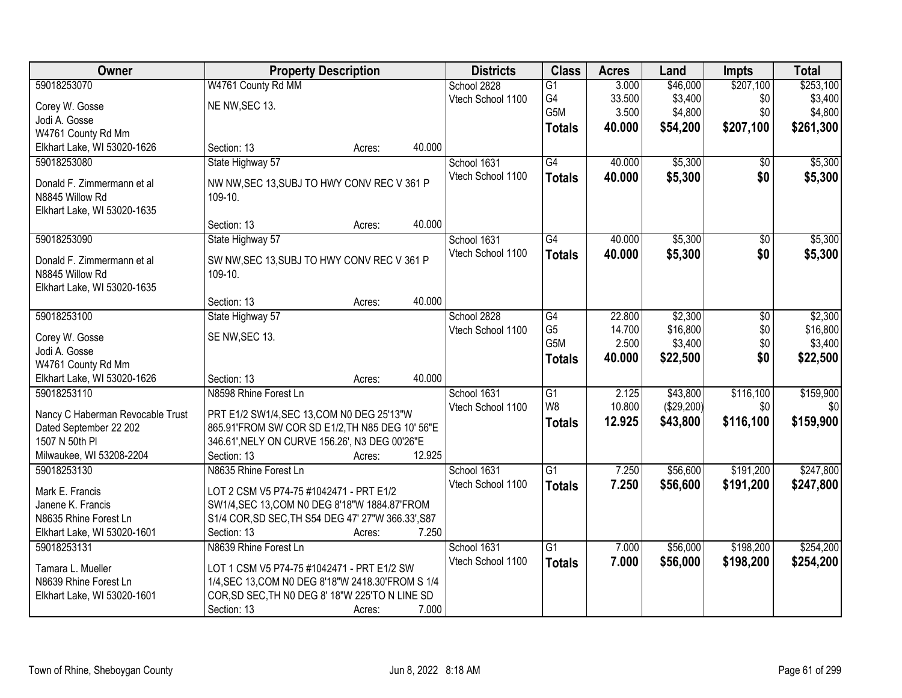| Owner                            | <b>Property Description</b>                        |        |        | <b>Districts</b>  | <b>Class</b>    | <b>Acres</b> | Land       | Impts           | <b>Total</b> |
|----------------------------------|----------------------------------------------------|--------|--------|-------------------|-----------------|--------------|------------|-----------------|--------------|
| 59018253070                      | W4761 County Rd MM                                 |        |        | School 2828       | $\overline{G1}$ | 3.000        | \$46,000   | \$207,100       | \$253,100    |
| Corey W. Gosse                   | NE NW, SEC 13.                                     |        |        | Vtech School 1100 | G4              | 33.500       | \$3,400    | \$0             | \$3,400      |
| Jodi A. Gosse                    |                                                    |        |        |                   | G5M             | 3.500        | \$4,800    | \$0             | \$4,800      |
| W4761 County Rd Mm               |                                                    |        |        |                   | <b>Totals</b>   | 40.000       | \$54,200   | \$207,100       | \$261,300    |
| Elkhart Lake, WI 53020-1626      | Section: 13                                        | Acres: | 40.000 |                   |                 |              |            |                 |              |
| 59018253080                      | State Highway 57                                   |        |        | School 1631       | G4              | 40.000       | \$5,300    | $\overline{50}$ | \$5,300      |
|                                  |                                                    |        |        | Vtech School 1100 | <b>Totals</b>   | 40.000       | \$5,300    | \$0             | \$5,300      |
| Donald F. Zimmermann et al       | NW NW, SEC 13, SUBJ TO HWY CONV REC V 361 P        |        |        |                   |                 |              |            |                 |              |
| N8845 Willow Rd                  | 109-10.                                            |        |        |                   |                 |              |            |                 |              |
| Elkhart Lake, WI 53020-1635      |                                                    |        |        |                   |                 |              |            |                 |              |
|                                  | Section: 13                                        | Acres: | 40.000 |                   |                 |              |            |                 |              |
| 59018253090                      | State Highway 57                                   |        |        | School 1631       | G4              | 40.000       | \$5,300    | \$0             | \$5,300      |
| Donald F. Zimmermann et al       | SW NW, SEC 13, SUBJ TO HWY CONV REC V 361 P        |        |        | Vtech School 1100 | <b>Totals</b>   | 40.000       | \$5,300    | \$0             | \$5,300      |
| N8845 Willow Rd                  | 109-10.                                            |        |        |                   |                 |              |            |                 |              |
| Elkhart Lake, WI 53020-1635      |                                                    |        |        |                   |                 |              |            |                 |              |
|                                  | Section: 13                                        | Acres: | 40.000 |                   |                 |              |            |                 |              |
| 59018253100                      | State Highway 57                                   |        |        | School 2828       | G4              | 22.800       | \$2,300    | \$0             | \$2,300      |
|                                  | SE NW, SEC 13.                                     |        |        | Vtech School 1100 | G <sub>5</sub>  | 14.700       | \$16,800   | \$0             | \$16,800     |
| Corey W. Gosse<br>Jodi A. Gosse  |                                                    |        |        |                   | G5M             | 2.500        | \$3,400    | \$0             | \$3,400      |
| W4761 County Rd Mm               |                                                    |        |        |                   | <b>Totals</b>   | 40.000       | \$22,500   | \$0             | \$22,500     |
| Elkhart Lake, WI 53020-1626      | Section: 13                                        | Acres: | 40.000 |                   |                 |              |            |                 |              |
| 59018253110                      | N8598 Rhine Forest Ln                              |        |        | School 1631       | $\overline{G1}$ | 2.125        | \$43,800   | \$116,100       | \$159,900    |
|                                  |                                                    |        |        | Vtech School 1100 | W <sub>8</sub>  | 10.800       | (\$29,200) | \$0             | \$0          |
| Nancy C Haberman Revocable Trust | PRT E1/2 SW1/4, SEC 13, COM N0 DEG 25'13"W         |        |        |                   | <b>Totals</b>   | 12.925       | \$43,800   | \$116,100       | \$159,900    |
| Dated September 22 202           | 865.91'FROM SW COR SD E1/2, TH N85 DEG 10' 56"E    |        |        |                   |                 |              |            |                 |              |
| 1507 N 50th PI                   | 346.61', NELY ON CURVE 156.26', N3 DEG 00'26"E     |        |        |                   |                 |              |            |                 |              |
| Milwaukee, WI 53208-2204         | Section: 13                                        | Acres: | 12.925 |                   |                 |              |            |                 |              |
| 59018253130                      | N8635 Rhine Forest Ln                              |        |        | School 1631       | $\overline{G1}$ | 7.250        | \$56,600   | \$191,200       | \$247,800    |
| Mark E. Francis                  | LOT 2 CSM V5 P74-75 #1042471 - PRT E1/2            |        |        | Vtech School 1100 | <b>Totals</b>   | 7.250        | \$56,600   | \$191,200       | \$247,800    |
| Janene K. Francis                | SW1/4, SEC 13, COM N0 DEG 8'18"W 1884.87'FROM      |        |        |                   |                 |              |            |                 |              |
| N8635 Rhine Forest Ln            | S1/4 COR, SD SEC, TH S54 DEG 47' 27"W 366.33', S87 |        |        |                   |                 |              |            |                 |              |
| Elkhart Lake, WI 53020-1601      | Section: 13                                        | Acres: | 7.250  |                   |                 |              |            |                 |              |
| 59018253131                      | N8639 Rhine Forest Ln                              |        |        | School 1631       | G1              | 7.000        | \$56,000   | \$198,200       | \$254,200    |
|                                  |                                                    |        |        | Vtech School 1100 | <b>Totals</b>   | 7.000        | \$56,000   | \$198,200       | \$254,200    |
| Tamara L. Mueller                | LOT 1 CSM V5 P74-75 #1042471 - PRT E1/2 SW         |        |        |                   |                 |              |            |                 |              |
| N8639 Rhine Forest Ln            | 1/4, SEC 13, COM N0 DEG 8'18"W 2418.30'FROM S 1/4  |        |        |                   |                 |              |            |                 |              |
| Elkhart Lake, WI 53020-1601      | COR, SD SEC, TH NO DEG 8' 18"W 225'TO N LINE SD    |        |        |                   |                 |              |            |                 |              |
|                                  | Section: 13                                        | Acres: | 7.000  |                   |                 |              |            |                 |              |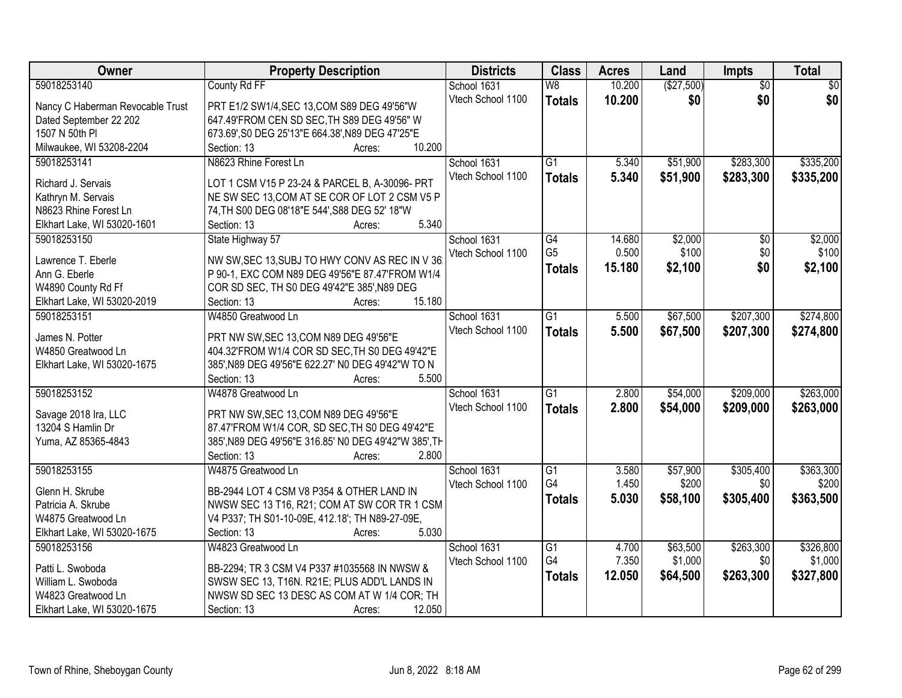| (\$27,500)<br>59018253140<br>County Rd FF<br>10.200<br>$\overline{50}$<br>$\overline{50}$<br>School 1631<br>$\overline{\mathsf{W}8}$<br>\$0<br>Vtech School 1100<br>\$0<br>10.200<br>\$0<br><b>Totals</b><br>Nancy C Haberman Revocable Trust<br>PRT E1/2 SW1/4, SEC 13, COM S89 DEG 49'56"W<br>647.49'FROM CEN SD SEC, TH S89 DEG 49'56" W<br>Dated September 22 202<br>1507 N 50th PI<br>673.69', S0 DEG 25'13"E 664.38', N89 DEG 47'25"E<br>Milwaukee, WI 53208-2204<br>10.200<br>Section: 13<br>Acres:<br>\$283,300<br>\$335,200<br>59018253141<br>N8623 Rhine Forest Ln<br>$\overline{G1}$<br>5.340<br>\$51,900<br>School 1631<br>Vtech School 1100<br>5.340<br>\$51,900<br>\$283,300<br><b>Totals</b><br>Richard J. Servais<br>LOT 1 CSM V15 P 23-24 & PARCEL B, A-30096- PRT<br>NE SW SEC 13, COM AT SE COR OF LOT 2 CSM V5 P<br>Kathryn M. Servais<br>N8623 Rhine Forest Ln<br>74, TH S00 DEG 08'18"E 544', S88 DEG 52' 18"W<br>5.340<br>Elkhart Lake, WI 53020-1601<br>Section: 13<br>Acres:<br>\$2,000<br>59018253150<br>State Highway 57<br>School 1631<br>$\overline{G4}$<br>14.680<br>$\overline{50}$<br>G <sub>5</sub><br>\$100<br>\$0<br>0.500<br>Vtech School 1100<br>NW SW, SEC 13, SUBJ TO HWY CONV AS REC IN V 36<br>Lawrence T. Eberle<br>15.180<br>\$2,100<br>\$0<br>\$2,100<br><b>Totals</b><br>P 90-1, EXC COM N89 DEG 49'56"E 87.47'FROM W1/4<br>Ann G. Eberle<br>W4890 County Rd Ff<br>COR SD SEC, TH S0 DEG 49'42"E 385', N89 DEG<br>15.180<br>Elkhart Lake, WI 53020-2019<br>Section: 13<br>Acres:<br>\$207,300<br>59018253151<br>W4850 Greatwood Ln<br>$\overline{G1}$<br>\$67,500<br>\$274,800<br>School 1631<br>5.500<br>Vtech School 1100<br>5.500<br>\$67,500<br>\$207,300<br><b>Totals</b><br>James N. Potter<br>PRT NW SW, SEC 13, COM N89 DEG 49'56"E<br>404.32'FROM W1/4 COR SD SEC, TH S0 DEG 49'42"E<br>W4850 Greatwood Ln<br>385', N89 DEG 49'56"E 622.27' N0 DEG 49'42"W TO N<br>Elkhart Lake, WI 53020-1675<br>5.500<br>Section: 13<br>Acres:<br>\$209,000<br>59018253152<br>$\overline{G1}$<br>2.800<br>\$54,000<br>W4878 Greatwood Ln<br>School 1631 | Owner                | <b>Property Description</b>            | <b>Districts</b>  | <b>Class</b>  | <b>Acres</b> | Land     | Impts     | <b>Total</b> |
|-------------------------------------------------------------------------------------------------------------------------------------------------------------------------------------------------------------------------------------------------------------------------------------------------------------------------------------------------------------------------------------------------------------------------------------------------------------------------------------------------------------------------------------------------------------------------------------------------------------------------------------------------------------------------------------------------------------------------------------------------------------------------------------------------------------------------------------------------------------------------------------------------------------------------------------------------------------------------------------------------------------------------------------------------------------------------------------------------------------------------------------------------------------------------------------------------------------------------------------------------------------------------------------------------------------------------------------------------------------------------------------------------------------------------------------------------------------------------------------------------------------------------------------------------------------------------------------------------------------------------------------------------------------------------------------------------------------------------------------------------------------------------------------------------------------------------------------------------------------------------------------------------------------------------------------------------------------------------------------------------------------------------------------------------------------------------------------------------|----------------------|----------------------------------------|-------------------|---------------|--------------|----------|-----------|--------------|
|                                                                                                                                                                                                                                                                                                                                                                                                                                                                                                                                                                                                                                                                                                                                                                                                                                                                                                                                                                                                                                                                                                                                                                                                                                                                                                                                                                                                                                                                                                                                                                                                                                                                                                                                                                                                                                                                                                                                                                                                                                                                                                 |                      |                                        |                   |               |              |          |           |              |
| \$335,200<br>\$2,000<br>\$100<br>\$274,800<br>\$263,000                                                                                                                                                                                                                                                                                                                                                                                                                                                                                                                                                                                                                                                                                                                                                                                                                                                                                                                                                                                                                                                                                                                                                                                                                                                                                                                                                                                                                                                                                                                                                                                                                                                                                                                                                                                                                                                                                                                                                                                                                                         |                      |                                        |                   |               |              |          |           |              |
|                                                                                                                                                                                                                                                                                                                                                                                                                                                                                                                                                                                                                                                                                                                                                                                                                                                                                                                                                                                                                                                                                                                                                                                                                                                                                                                                                                                                                                                                                                                                                                                                                                                                                                                                                                                                                                                                                                                                                                                                                                                                                                 |                      |                                        |                   |               |              |          |           |              |
|                                                                                                                                                                                                                                                                                                                                                                                                                                                                                                                                                                                                                                                                                                                                                                                                                                                                                                                                                                                                                                                                                                                                                                                                                                                                                                                                                                                                                                                                                                                                                                                                                                                                                                                                                                                                                                                                                                                                                                                                                                                                                                 |                      |                                        |                   |               |              |          |           |              |
|                                                                                                                                                                                                                                                                                                                                                                                                                                                                                                                                                                                                                                                                                                                                                                                                                                                                                                                                                                                                                                                                                                                                                                                                                                                                                                                                                                                                                                                                                                                                                                                                                                                                                                                                                                                                                                                                                                                                                                                                                                                                                                 |                      |                                        |                   |               |              |          |           |              |
|                                                                                                                                                                                                                                                                                                                                                                                                                                                                                                                                                                                                                                                                                                                                                                                                                                                                                                                                                                                                                                                                                                                                                                                                                                                                                                                                                                                                                                                                                                                                                                                                                                                                                                                                                                                                                                                                                                                                                                                                                                                                                                 |                      |                                        |                   |               |              |          |           |              |
|                                                                                                                                                                                                                                                                                                                                                                                                                                                                                                                                                                                                                                                                                                                                                                                                                                                                                                                                                                                                                                                                                                                                                                                                                                                                                                                                                                                                                                                                                                                                                                                                                                                                                                                                                                                                                                                                                                                                                                                                                                                                                                 |                      |                                        |                   |               |              |          |           |              |
|                                                                                                                                                                                                                                                                                                                                                                                                                                                                                                                                                                                                                                                                                                                                                                                                                                                                                                                                                                                                                                                                                                                                                                                                                                                                                                                                                                                                                                                                                                                                                                                                                                                                                                                                                                                                                                                                                                                                                                                                                                                                                                 |                      |                                        |                   |               |              |          |           |              |
|                                                                                                                                                                                                                                                                                                                                                                                                                                                                                                                                                                                                                                                                                                                                                                                                                                                                                                                                                                                                                                                                                                                                                                                                                                                                                                                                                                                                                                                                                                                                                                                                                                                                                                                                                                                                                                                                                                                                                                                                                                                                                                 |                      |                                        |                   |               |              |          |           |              |
|                                                                                                                                                                                                                                                                                                                                                                                                                                                                                                                                                                                                                                                                                                                                                                                                                                                                                                                                                                                                                                                                                                                                                                                                                                                                                                                                                                                                                                                                                                                                                                                                                                                                                                                                                                                                                                                                                                                                                                                                                                                                                                 |                      |                                        |                   |               |              |          |           |              |
|                                                                                                                                                                                                                                                                                                                                                                                                                                                                                                                                                                                                                                                                                                                                                                                                                                                                                                                                                                                                                                                                                                                                                                                                                                                                                                                                                                                                                                                                                                                                                                                                                                                                                                                                                                                                                                                                                                                                                                                                                                                                                                 |                      |                                        |                   |               |              |          |           |              |
|                                                                                                                                                                                                                                                                                                                                                                                                                                                                                                                                                                                                                                                                                                                                                                                                                                                                                                                                                                                                                                                                                                                                                                                                                                                                                                                                                                                                                                                                                                                                                                                                                                                                                                                                                                                                                                                                                                                                                                                                                                                                                                 |                      |                                        |                   |               |              |          |           |              |
|                                                                                                                                                                                                                                                                                                                                                                                                                                                                                                                                                                                                                                                                                                                                                                                                                                                                                                                                                                                                                                                                                                                                                                                                                                                                                                                                                                                                                                                                                                                                                                                                                                                                                                                                                                                                                                                                                                                                                                                                                                                                                                 |                      |                                        |                   |               |              |          |           |              |
|                                                                                                                                                                                                                                                                                                                                                                                                                                                                                                                                                                                                                                                                                                                                                                                                                                                                                                                                                                                                                                                                                                                                                                                                                                                                                                                                                                                                                                                                                                                                                                                                                                                                                                                                                                                                                                                                                                                                                                                                                                                                                                 |                      |                                        |                   |               |              |          |           |              |
|                                                                                                                                                                                                                                                                                                                                                                                                                                                                                                                                                                                                                                                                                                                                                                                                                                                                                                                                                                                                                                                                                                                                                                                                                                                                                                                                                                                                                                                                                                                                                                                                                                                                                                                                                                                                                                                                                                                                                                                                                                                                                                 |                      |                                        |                   |               |              |          |           |              |
|                                                                                                                                                                                                                                                                                                                                                                                                                                                                                                                                                                                                                                                                                                                                                                                                                                                                                                                                                                                                                                                                                                                                                                                                                                                                                                                                                                                                                                                                                                                                                                                                                                                                                                                                                                                                                                                                                                                                                                                                                                                                                                 |                      |                                        |                   |               |              |          |           |              |
|                                                                                                                                                                                                                                                                                                                                                                                                                                                                                                                                                                                                                                                                                                                                                                                                                                                                                                                                                                                                                                                                                                                                                                                                                                                                                                                                                                                                                                                                                                                                                                                                                                                                                                                                                                                                                                                                                                                                                                                                                                                                                                 |                      |                                        |                   |               |              |          |           |              |
|                                                                                                                                                                                                                                                                                                                                                                                                                                                                                                                                                                                                                                                                                                                                                                                                                                                                                                                                                                                                                                                                                                                                                                                                                                                                                                                                                                                                                                                                                                                                                                                                                                                                                                                                                                                                                                                                                                                                                                                                                                                                                                 |                      |                                        |                   |               |              |          |           |              |
|                                                                                                                                                                                                                                                                                                                                                                                                                                                                                                                                                                                                                                                                                                                                                                                                                                                                                                                                                                                                                                                                                                                                                                                                                                                                                                                                                                                                                                                                                                                                                                                                                                                                                                                                                                                                                                                                                                                                                                                                                                                                                                 |                      |                                        |                   |               |              |          |           |              |
|                                                                                                                                                                                                                                                                                                                                                                                                                                                                                                                                                                                                                                                                                                                                                                                                                                                                                                                                                                                                                                                                                                                                                                                                                                                                                                                                                                                                                                                                                                                                                                                                                                                                                                                                                                                                                                                                                                                                                                                                                                                                                                 |                      |                                        |                   |               |              |          |           |              |
|                                                                                                                                                                                                                                                                                                                                                                                                                                                                                                                                                                                                                                                                                                                                                                                                                                                                                                                                                                                                                                                                                                                                                                                                                                                                                                                                                                                                                                                                                                                                                                                                                                                                                                                                                                                                                                                                                                                                                                                                                                                                                                 |                      |                                        |                   |               |              |          |           |              |
|                                                                                                                                                                                                                                                                                                                                                                                                                                                                                                                                                                                                                                                                                                                                                                                                                                                                                                                                                                                                                                                                                                                                                                                                                                                                                                                                                                                                                                                                                                                                                                                                                                                                                                                                                                                                                                                                                                                                                                                                                                                                                                 |                      |                                        |                   |               |              |          |           |              |
|                                                                                                                                                                                                                                                                                                                                                                                                                                                                                                                                                                                                                                                                                                                                                                                                                                                                                                                                                                                                                                                                                                                                                                                                                                                                                                                                                                                                                                                                                                                                                                                                                                                                                                                                                                                                                                                                                                                                                                                                                                                                                                 |                      |                                        |                   |               |              |          |           |              |
|                                                                                                                                                                                                                                                                                                                                                                                                                                                                                                                                                                                                                                                                                                                                                                                                                                                                                                                                                                                                                                                                                                                                                                                                                                                                                                                                                                                                                                                                                                                                                                                                                                                                                                                                                                                                                                                                                                                                                                                                                                                                                                 | Savage 2018 Ira, LLC | PRT NW SW, SEC 13, COM N89 DEG 49'56"E | Vtech School 1100 | <b>Totals</b> | 2.800        | \$54,000 | \$209,000 | \$263,000    |
| 13204 S Hamlin Dr<br>87.47'FROM W1/4 COR, SD SEC, TH S0 DEG 49'42"E                                                                                                                                                                                                                                                                                                                                                                                                                                                                                                                                                                                                                                                                                                                                                                                                                                                                                                                                                                                                                                                                                                                                                                                                                                                                                                                                                                                                                                                                                                                                                                                                                                                                                                                                                                                                                                                                                                                                                                                                                             |                      |                                        |                   |               |              |          |           |              |
| 385', N89 DEG 49'56"E 316.85' N0 DEG 49'42"W 385', TH<br>Yuma, AZ 85365-4843                                                                                                                                                                                                                                                                                                                                                                                                                                                                                                                                                                                                                                                                                                                                                                                                                                                                                                                                                                                                                                                                                                                                                                                                                                                                                                                                                                                                                                                                                                                                                                                                                                                                                                                                                                                                                                                                                                                                                                                                                    |                      |                                        |                   |               |              |          |           |              |
| Section: 13<br>2.800<br>Acres:                                                                                                                                                                                                                                                                                                                                                                                                                                                                                                                                                                                                                                                                                                                                                                                                                                                                                                                                                                                                                                                                                                                                                                                                                                                                                                                                                                                                                                                                                                                                                                                                                                                                                                                                                                                                                                                                                                                                                                                                                                                                  |                      |                                        |                   |               |              |          |           |              |
| \$305,400<br>\$363,300<br>59018253155<br>W4875 Greatwood Ln<br>School 1631<br>$\overline{G1}$<br>3.580<br>\$57,900                                                                                                                                                                                                                                                                                                                                                                                                                                                                                                                                                                                                                                                                                                                                                                                                                                                                                                                                                                                                                                                                                                                                                                                                                                                                                                                                                                                                                                                                                                                                                                                                                                                                                                                                                                                                                                                                                                                                                                              |                      |                                        |                   |               |              |          |           |              |
| G4<br>1.450<br>\$200<br>\$0<br>\$200<br>Vtech School 1100                                                                                                                                                                                                                                                                                                                                                                                                                                                                                                                                                                                                                                                                                                                                                                                                                                                                                                                                                                                                                                                                                                                                                                                                                                                                                                                                                                                                                                                                                                                                                                                                                                                                                                                                                                                                                                                                                                                                                                                                                                       |                      |                                        |                   |               |              |          |           |              |
| BB-2944 LOT 4 CSM V8 P354 & OTHER LAND IN<br>Glenn H. Skrube<br>\$363,500<br>5.030<br>\$58,100<br>\$305,400<br><b>Totals</b>                                                                                                                                                                                                                                                                                                                                                                                                                                                                                                                                                                                                                                                                                                                                                                                                                                                                                                                                                                                                                                                                                                                                                                                                                                                                                                                                                                                                                                                                                                                                                                                                                                                                                                                                                                                                                                                                                                                                                                    |                      |                                        |                   |               |              |          |           |              |
| NWSW SEC 13 T16, R21; COM AT SW COR TR 1 CSM<br>Patricia A. Skrube                                                                                                                                                                                                                                                                                                                                                                                                                                                                                                                                                                                                                                                                                                                                                                                                                                                                                                                                                                                                                                                                                                                                                                                                                                                                                                                                                                                                                                                                                                                                                                                                                                                                                                                                                                                                                                                                                                                                                                                                                              |                      |                                        |                   |               |              |          |           |              |
| W4875 Greatwood Ln<br>V4 P337; TH S01-10-09E, 412.18'; TH N89-27-09E,                                                                                                                                                                                                                                                                                                                                                                                                                                                                                                                                                                                                                                                                                                                                                                                                                                                                                                                                                                                                                                                                                                                                                                                                                                                                                                                                                                                                                                                                                                                                                                                                                                                                                                                                                                                                                                                                                                                                                                                                                           |                      |                                        |                   |               |              |          |           |              |
| 5.030<br>Elkhart Lake, WI 53020-1675<br>Section: 13<br>Acres:                                                                                                                                                                                                                                                                                                                                                                                                                                                                                                                                                                                                                                                                                                                                                                                                                                                                                                                                                                                                                                                                                                                                                                                                                                                                                                                                                                                                                                                                                                                                                                                                                                                                                                                                                                                                                                                                                                                                                                                                                                   |                      |                                        |                   |               |              |          |           |              |
| 59018253156<br>W4823 Greatwood Ln<br>School 1631<br>$\overline{G1}$<br>\$63,500<br>\$263,300<br>\$326,800<br>4.700                                                                                                                                                                                                                                                                                                                                                                                                                                                                                                                                                                                                                                                                                                                                                                                                                                                                                                                                                                                                                                                                                                                                                                                                                                                                                                                                                                                                                                                                                                                                                                                                                                                                                                                                                                                                                                                                                                                                                                              |                      |                                        |                   |               |              |          |           |              |
| G4<br>7.350<br>\$1,000<br>\$0<br>\$1,000<br>Vtech School 1100<br>BB-2294; TR 3 CSM V4 P337 #1035568 IN NWSW &<br>Patti L. Swoboda                                                                                                                                                                                                                                                                                                                                                                                                                                                                                                                                                                                                                                                                                                                                                                                                                                                                                                                                                                                                                                                                                                                                                                                                                                                                                                                                                                                                                                                                                                                                                                                                                                                                                                                                                                                                                                                                                                                                                               |                      |                                        |                   |               |              |          |           |              |
| \$263,300<br>12.050<br>\$64,500<br>\$327,800<br><b>Totals</b><br>William L. Swoboda<br>SWSW SEC 13, T16N. R21E; PLUS ADD'L LANDS IN                                                                                                                                                                                                                                                                                                                                                                                                                                                                                                                                                                                                                                                                                                                                                                                                                                                                                                                                                                                                                                                                                                                                                                                                                                                                                                                                                                                                                                                                                                                                                                                                                                                                                                                                                                                                                                                                                                                                                             |                      |                                        |                   |               |              |          |           |              |
| NWSW SD SEC 13 DESC AS COM AT W 1/4 COR; TH<br>W4823 Greatwood Ln                                                                                                                                                                                                                                                                                                                                                                                                                                                                                                                                                                                                                                                                                                                                                                                                                                                                                                                                                                                                                                                                                                                                                                                                                                                                                                                                                                                                                                                                                                                                                                                                                                                                                                                                                                                                                                                                                                                                                                                                                               |                      |                                        |                   |               |              |          |           |              |
| Elkhart Lake, WI 53020-1675<br>12.050<br>Section: 13<br>Acres:                                                                                                                                                                                                                                                                                                                                                                                                                                                                                                                                                                                                                                                                                                                                                                                                                                                                                                                                                                                                                                                                                                                                                                                                                                                                                                                                                                                                                                                                                                                                                                                                                                                                                                                                                                                                                                                                                                                                                                                                                                  |                      |                                        |                   |               |              |          |           |              |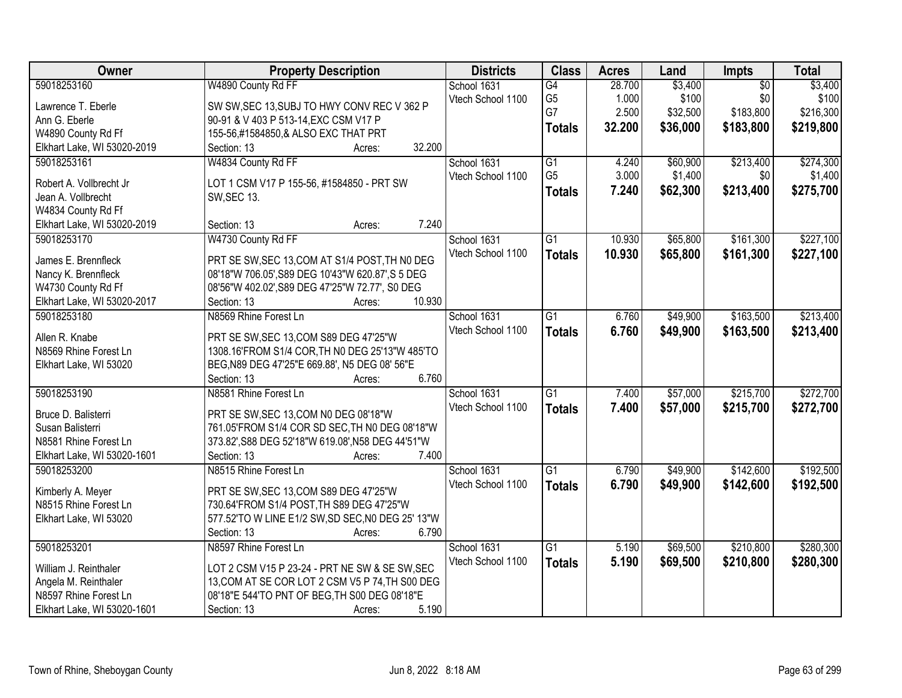| Owner                       | <b>Property Description</b>                       | <b>Districts</b>  | <b>Class</b>    | <b>Acres</b> | Land     | Impts           | <b>Total</b> |
|-----------------------------|---------------------------------------------------|-------------------|-----------------|--------------|----------|-----------------|--------------|
| 59018253160                 | W4890 County Rd FF                                | School 1631       | G4              | 28.700       | \$3,400  | $\overline{50}$ | \$3,400      |
| Lawrence T. Eberle          | SW SW, SEC 13, SUBJ TO HWY CONV REC V 362 P       | Vtech School 1100 | G <sub>5</sub>  | 1.000        | \$100    | \$0             | \$100        |
| Ann G. Eberle               | 90-91 & V 403 P 513-14, EXC CSM V17 P             |                   | G7              | 2.500        | \$32,500 | \$183,800       | \$216,300    |
| W4890 County Rd Ff          | 155-56,#1584850,& ALSO EXC THAT PRT               |                   | <b>Totals</b>   | 32.200       | \$36,000 | \$183,800       | \$219,800    |
| Elkhart Lake, WI 53020-2019 | 32.200<br>Section: 13<br>Acres:                   |                   |                 |              |          |                 |              |
| 59018253161                 | W4834 County Rd FF                                | School 1631       | $\overline{G1}$ | 4.240        | \$60,900 | \$213,400       | \$274,300    |
|                             |                                                   | Vtech School 1100 | G <sub>5</sub>  | 3.000        | \$1,400  | \$0             | \$1,400      |
| Robert A. Vollbrecht Jr     | LOT 1 CSM V17 P 155-56, #1584850 - PRT SW         |                   |                 | 7.240        | \$62,300 | \$213,400       |              |
| Jean A. Vollbrecht          | <b>SW, SEC 13.</b>                                |                   | <b>Totals</b>   |              |          |                 | \$275,700    |
| W4834 County Rd Ff          |                                                   |                   |                 |              |          |                 |              |
| Elkhart Lake, WI 53020-2019 | 7.240<br>Section: 13<br>Acres:                    |                   |                 |              |          |                 |              |
| 59018253170                 | W4730 County Rd FF                                | School 1631       | $\overline{G1}$ | 10.930       | \$65,800 | \$161,300       | \$227,100    |
|                             |                                                   | Vtech School 1100 | <b>Totals</b>   | 10.930       | \$65,800 | \$161,300       | \$227,100    |
| James E. Brennfleck         | PRT SE SW, SEC 13, COM AT S1/4 POST, TH NO DEG    |                   |                 |              |          |                 |              |
| Nancy K. Brennfleck         | 08'18"W 706.05', S89 DEG 10'43"W 620.87', S 5 DEG |                   |                 |              |          |                 |              |
| W4730 County Rd Ff          | 08'56"W 402.02', S89 DEG 47'25"W 72.77', S0 DEG   |                   |                 |              |          |                 |              |
| Elkhart Lake, WI 53020-2017 | 10.930<br>Section: 13<br>Acres:                   |                   |                 |              |          |                 |              |
| 59018253180                 | N8569 Rhine Forest Ln                             | School 1631       | $\overline{G1}$ | 6.760        | \$49,900 | \$163,500       | \$213,400    |
| Allen R. Knabe              | PRT SE SW, SEC 13, COM S89 DEG 47'25"W            | Vtech School 1100 | <b>Totals</b>   | 6.760        | \$49,900 | \$163,500       | \$213,400    |
| N8569 Rhine Forest Ln       | 1308.16'FROM S1/4 COR, TH N0 DEG 25'13"W 485'TO   |                   |                 |              |          |                 |              |
| Elkhart Lake, WI 53020      | BEG, N89 DEG 47'25"E 669.88', N5 DEG 08' 56"E     |                   |                 |              |          |                 |              |
|                             | Section: 13<br>6.760<br>Acres:                    |                   |                 |              |          |                 |              |
| 59018253190                 | N8581 Rhine Forest Ln                             | School 1631       | $\overline{G1}$ | 7.400        | \$57,000 | \$215,700       | \$272,700    |
|                             |                                                   | Vtech School 1100 | <b>Totals</b>   | 7.400        | \$57,000 | \$215,700       | \$272,700    |
| Bruce D. Balisterri         | PRT SE SW, SEC 13, COM N0 DEG 08'18"W             |                   |                 |              |          |                 |              |
| Susan Balisterri            | 761.05'FROM S1/4 COR SD SEC, TH N0 DEG 08'18"W    |                   |                 |              |          |                 |              |
| N8581 Rhine Forest Ln       | 373.82', S88 DEG 52'18"W 619.08', N58 DEG 44'51"W |                   |                 |              |          |                 |              |
| Elkhart Lake, WI 53020-1601 | Section: 13<br>7.400<br>Acres:                    |                   |                 |              |          |                 |              |
| 59018253200                 | N8515 Rhine Forest Ln                             | School 1631       | $\overline{G1}$ | 6.790        | \$49,900 | \$142,600       | \$192,500    |
| Kimberly A. Meyer           | PRT SE SW, SEC 13, COM S89 DEG 47'25"W            | Vtech School 1100 | <b>Totals</b>   | 6.790        | \$49,900 | \$142,600       | \$192,500    |
| N8515 Rhine Forest Ln       | 730.64'FROM S1/4 POST, TH S89 DEG 47'25"W         |                   |                 |              |          |                 |              |
| Elkhart Lake, WI 53020      | 577.52'TO W LINE E1/2 SW, SD SEC, NO DEG 25' 13"W |                   |                 |              |          |                 |              |
|                             | 6.790<br>Section: 13<br>Acres:                    |                   |                 |              |          |                 |              |
| 59018253201                 | N8597 Rhine Forest Ln                             | School 1631       | $\overline{G1}$ | 5.190        | \$69,500 | \$210,800       | \$280,300    |
|                             |                                                   |                   |                 |              |          |                 |              |
| William J. Reinthaler       | LOT 2 CSM V15 P 23-24 - PRT NE SW & SE SW, SEC    | Vtech School 1100 | <b>Totals</b>   | 5.190        | \$69,500 | \$210,800       | \$280,300    |
| Angela M. Reinthaler        | 13, COM AT SE COR LOT 2 CSM V5 P 74, TH S00 DEG   |                   |                 |              |          |                 |              |
| N8597 Rhine Forest Ln       | 08'18"E 544'TO PNT OF BEG, TH S00 DEG 08'18"E     |                   |                 |              |          |                 |              |
| Elkhart Lake, WI 53020-1601 | 5.190<br>Section: 13<br>Acres:                    |                   |                 |              |          |                 |              |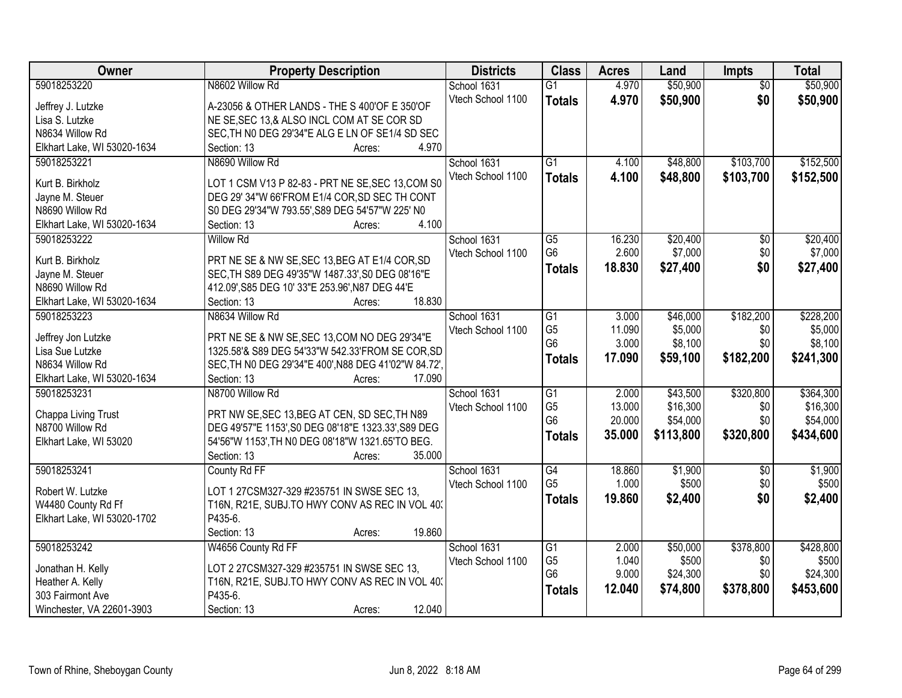| Owner                       | <b>Property Description</b>                          | <b>Districts</b>  | <b>Class</b>    | <b>Acres</b> | Land      | <b>Impts</b>    | <b>Total</b> |
|-----------------------------|------------------------------------------------------|-------------------|-----------------|--------------|-----------|-----------------|--------------|
| 59018253220                 | N8602 Willow Rd                                      | School 1631       | $\overline{G1}$ | 4.970        | \$50,900  | $\overline{50}$ | \$50,900     |
| Jeffrey J. Lutzke           | A-23056 & OTHER LANDS - THE S 400'OF E 350'OF        | Vtech School 1100 | <b>Totals</b>   | 4.970        | \$50,900  | \$0             | \$50,900     |
| Lisa S. Lutzke              | NE SE, SEC 13,& ALSO INCL COM AT SE COR SD           |                   |                 |              |           |                 |              |
| N8634 Willow Rd             | SEC, TH NO DEG 29'34"E ALG E LN OF SE1/4 SD SEC      |                   |                 |              |           |                 |              |
| Elkhart Lake, WI 53020-1634 | 4.970<br>Section: 13<br>Acres:                       |                   |                 |              |           |                 |              |
| 59018253221                 | N8690 Willow Rd                                      | School 1631       | $\overline{G1}$ | 4.100        | \$48,800  | \$103,700       | \$152,500    |
| Kurt B. Birkholz            | LOT 1 CSM V13 P 82-83 - PRT NE SE, SEC 13, COM S0    | Vtech School 1100 | <b>Totals</b>   | 4.100        | \$48,800  | \$103,700       | \$152,500    |
| Jayne M. Steuer             | DEG 29' 34"W 66'FROM E1/4 COR, SD SEC TH CONT        |                   |                 |              |           |                 |              |
| N8690 Willow Rd             | S0 DEG 29'34"W 793.55', S89 DEG 54'57"W 225' N0      |                   |                 |              |           |                 |              |
| Elkhart Lake, WI 53020-1634 | 4.100<br>Section: 13<br>Acres:                       |                   |                 |              |           |                 |              |
| 59018253222                 | <b>Willow Rd</b>                                     | School 1631       | $\overline{G5}$ | 16.230       | \$20,400  | \$0             | \$20,400     |
|                             |                                                      | Vtech School 1100 | G <sub>6</sub>  | 2.600        | \$7,000   | \$0             | \$7,000      |
| Kurt B. Birkholz            | PRT NE SE & NW SE, SEC 13, BEG AT E1/4 COR, SD       |                   | Totals          | 18.830       | \$27,400  | \$0             | \$27,400     |
| Jayne M. Steuer             | SEC, TH S89 DEG 49'35"W 1487.33', S0 DEG 08'16"E     |                   |                 |              |           |                 |              |
| N8690 Willow Rd             | 412.09', S85 DEG 10' 33"E 253.96', N87 DEG 44'E      |                   |                 |              |           |                 |              |
| Elkhart Lake, WI 53020-1634 | 18.830<br>Section: 13<br>Acres:                      |                   |                 |              |           |                 |              |
| 59018253223                 | N8634 Willow Rd                                      | School 1631       | $\overline{G1}$ | 3.000        | \$46,000  | \$182,200       | \$228,200    |
| Jeffrey Jon Lutzke          | PRT NE SE & NW SE, SEC 13, COM NO DEG 29'34"E        | Vtech School 1100 | G <sub>5</sub>  | 11.090       | \$5,000   | \$0             | \$5,000      |
| Lisa Sue Lutzke             | 1325.58'& S89 DEG 54'33"W 542.33'FROM SE COR, SD     |                   | G <sub>6</sub>  | 3.000        | \$8,100   | \$0             | \$8,100      |
| N8634 Willow Rd             | SEC, TH NO DEG 29'34"E 400', N88 DEG 41'02"W 84.72', |                   | <b>Totals</b>   | 17.090       | \$59,100  | \$182,200       | \$241,300    |
| Elkhart Lake, WI 53020-1634 | 17.090<br>Section: 13<br>Acres:                      |                   |                 |              |           |                 |              |
| 59018253231                 | N8700 Willow Rd                                      | School 1631       | $\overline{G1}$ | 2.000        | \$43,500  | \$320,800       | \$364,300    |
|                             |                                                      | Vtech School 1100 | G <sub>5</sub>  | 13.000       | \$16,300  | \$0             | \$16,300     |
| Chappa Living Trust         | PRT NW SE, SEC 13, BEG AT CEN, SD SEC, TH N89        |                   | G <sub>6</sub>  | 20.000       | \$54,000  | \$0             | \$54,000     |
| N8700 Willow Rd             | DEG 49'57"E 1153', S0 DEG 08'18"E 1323.33', S89 DEG  |                   | <b>Totals</b>   | 35.000       | \$113,800 | \$320,800       | \$434,600    |
| Elkhart Lake, WI 53020      | 54'56"W 1153', TH NO DEG 08'18"W 1321.65'TO BEG.     |                   |                 |              |           |                 |              |
|                             | 35.000<br>Section: 13<br>Acres:                      |                   |                 |              |           |                 |              |
| 59018253241                 | County Rd FF                                         | School 1631       | G4              | 18.860       | \$1,900   | $\sqrt{6}$      | \$1,900      |
| Robert W. Lutzke            | LOT 1 27CSM327-329 #235751 IN SWSE SEC 13,           | Vtech School 1100 | G <sub>5</sub>  | 1.000        | \$500     | \$0             | \$500        |
| W4480 County Rd Ff          | T16N, R21E, SUBJ.TO HWY CONV AS REC IN VOL 40.       |                   | <b>Totals</b>   | 19.860       | \$2,400   | \$0             | \$2,400      |
| Elkhart Lake, WI 53020-1702 | P435-6.                                              |                   |                 |              |           |                 |              |
|                             | Section: 13<br>19.860<br>Acres:                      |                   |                 |              |           |                 |              |
| 59018253242                 | W4656 County Rd FF                                   | School 1631       | G1              | 2.000        | \$50,000  | \$378,800       | \$428,800    |
|                             |                                                      | Vtech School 1100 | G <sub>5</sub>  | 1.040        | \$500     | \$0             | \$500        |
| Jonathan H. Kelly           | LOT 2 27CSM327-329 #235751 IN SWSE SEC 13,           |                   | G <sub>6</sub>  | 9.000        | \$24,300  | \$0             | \$24,300     |
| Heather A. Kelly            | T16N, R21E, SUBJ.TO HWY CONV AS REC IN VOL 40.       |                   | <b>Totals</b>   | 12.040       | \$74,800  | \$378,800       | \$453,600    |
| 303 Fairmont Ave            | P435-6.                                              |                   |                 |              |           |                 |              |
| Winchester, VA 22601-3903   | 12.040<br>Section: 13<br>Acres:                      |                   |                 |              |           |                 |              |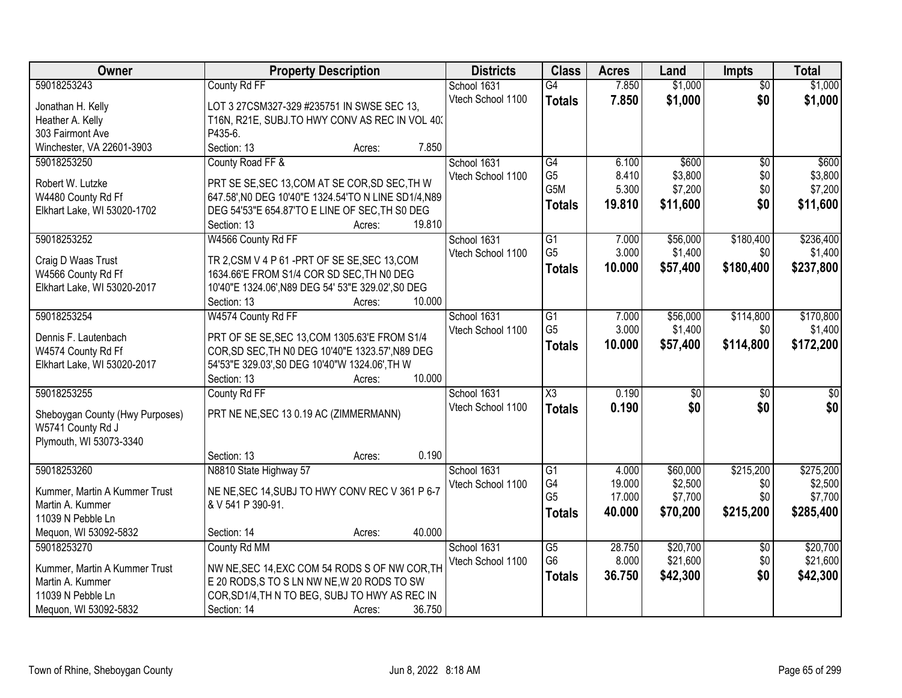| Owner                                  | <b>Property Description</b>                                                                            | <b>Districts</b>  | <b>Class</b>           | <b>Acres</b> | Land            | <b>Impts</b>    | <b>Total</b>    |
|----------------------------------------|--------------------------------------------------------------------------------------------------------|-------------------|------------------------|--------------|-----------------|-----------------|-----------------|
| 59018253243                            | County Rd FF                                                                                           | School 1631       | $\overline{G4}$        | 7.850        | \$1,000         | $\overline{50}$ | \$1,000         |
| Jonathan H. Kelly                      | LOT 3 27CSM327-329 #235751 IN SWSE SEC 13,                                                             | Vtech School 1100 | <b>Totals</b>          | 7.850        | \$1,000         | \$0             | \$1,000         |
| Heather A. Kelly                       | T16N, R21E, SUBJ.TO HWY CONV AS REC IN VOL 40.                                                         |                   |                        |              |                 |                 |                 |
| 303 Fairmont Ave                       | P435-6.                                                                                                |                   |                        |              |                 |                 |                 |
| Winchester, VA 22601-3903              | 7.850<br>Section: 13<br>Acres:                                                                         |                   |                        |              |                 |                 |                 |
| 59018253250                            | County Road FF &                                                                                       | School 1631       | G4                     | 6.100        | \$600           | $\overline{50}$ | \$600           |
|                                        |                                                                                                        | Vtech School 1100 | G <sub>5</sub>         | 8.410        | \$3,800         | \$0             | \$3,800         |
| Robert W. Lutzke<br>W4480 County Rd Ff | PRT SE SE, SEC 13, COM AT SE COR, SD SEC, TH W<br>647.58', NO DEG 10'40"E 1324.54'TO N LINE SD1/4, N89 |                   | G5M                    | 5.300        | \$7,200         | \$0             | \$7,200         |
| Elkhart Lake, WI 53020-1702            | DEG 54'53"E 654.87'TO E LINE OF SEC, TH S0 DEG                                                         |                   | <b>Totals</b>          | 19.810       | \$11,600        | \$0             | \$11,600        |
|                                        | 19.810<br>Section: 13<br>Acres:                                                                        |                   |                        |              |                 |                 |                 |
| 59018253252                            | W4566 County Rd FF                                                                                     | School 1631       | G1                     | 7.000        | \$56,000        | \$180,400       | \$236,400       |
|                                        |                                                                                                        | Vtech School 1100 | G <sub>5</sub>         | 3.000        | \$1,400         | \$0             | \$1,400         |
| Craig D Waas Trust                     | TR 2, CSM V 4 P 61 - PRT OF SE SE, SEC 13, COM                                                         |                   | Totals                 | 10.000       | \$57,400        | \$180,400       | \$237,800       |
| W4566 County Rd Ff                     | 1634.66'E FROM S1/4 COR SD SEC, TH N0 DEG                                                              |                   |                        |              |                 |                 |                 |
| Elkhart Lake, WI 53020-2017            | 10'40"E 1324.06', N89 DEG 54' 53"E 329.02', S0 DEG                                                     |                   |                        |              |                 |                 |                 |
|                                        | 10.000<br>Section: 13<br>Acres:                                                                        |                   |                        |              |                 |                 |                 |
| 59018253254                            | W4574 County Rd FF                                                                                     | School 1631       | $\overline{G1}$        | 7.000        | \$56,000        | \$114,800       | \$170,800       |
| Dennis F. Lautenbach                   | PRT OF SE SE, SEC 13, COM 1305.63'E FROM S1/4                                                          | Vtech School 1100 | G <sub>5</sub>         | 3.000        | \$1,400         | \$0             | \$1,400         |
| W4574 County Rd Ff                     | COR, SD SEC, TH NO DEG 10'40"E 1323.57', N89 DEG                                                       |                   | <b>Totals</b>          | 10.000       | \$57,400        | \$114,800       | \$172,200       |
| Elkhart Lake, WI 53020-2017            | 54'53"E 329.03', S0 DEG 10'40"W 1324.06', TH W                                                         |                   |                        |              |                 |                 |                 |
|                                        | 10.000<br>Section: 13<br>Acres:                                                                        |                   |                        |              |                 |                 |                 |
| 59018253255                            | County Rd FF                                                                                           | School 1631       | $\overline{\text{X3}}$ | 0.190        | $\overline{50}$ | \$0             | $\overline{50}$ |
| Sheboygan County (Hwy Purposes)        | PRT NE NE, SEC 13 0.19 AC (ZIMMERMANN)                                                                 | Vtech School 1100 | <b>Totals</b>          | 0.190        | \$0             | \$0             | \$0             |
| W5741 County Rd J                      |                                                                                                        |                   |                        |              |                 |                 |                 |
| Plymouth, WI 53073-3340                |                                                                                                        |                   |                        |              |                 |                 |                 |
|                                        | 0.190<br>Section: 13<br>Acres:                                                                         |                   |                        |              |                 |                 |                 |
| 59018253260                            | N8810 State Highway 57                                                                                 | School 1631       | G1                     | 4.000        | \$60,000        | \$215,200       | \$275,200       |
| Kummer, Martin A Kummer Trust          | NE NE, SEC 14, SUBJ TO HWY CONV REC V 361 P 6-7                                                        | Vtech School 1100 | G4                     | 19.000       | \$2,500         | \$0             | \$2,500         |
| Martin A. Kummer                       | & V 541 P 390-91.                                                                                      |                   | G <sub>5</sub>         | 17.000       | \$7,700         | \$0             | \$7,700         |
| 11039 N Pebble Ln                      |                                                                                                        |                   | <b>Totals</b>          | 40.000       | \$70,200        | \$215,200       | \$285,400       |
| Mequon, WI 53092-5832                  | 40.000<br>Section: 14<br>Acres:                                                                        |                   |                        |              |                 |                 |                 |
| 59018253270                            | County Rd MM                                                                                           | School 1631       | $\overline{G5}$        | 28.750       | \$20,700        | $\overline{60}$ | \$20,700        |
|                                        |                                                                                                        | Vtech School 1100 | G <sub>6</sub>         | 8.000        | \$21,600        | \$0             | \$21,600        |
| Kummer, Martin A Kummer Trust          | NW NE, SEC 14, EXC COM 54 RODS S OF NW COR, TH                                                         |                   | <b>Totals</b>          | 36.750       | \$42,300        | \$0             | \$42,300        |
| Martin A. Kummer<br>11039 N Pebble Ln  | E 20 RODS, S TO S LN NW NE, W 20 RODS TO SW<br>COR, SD1/4, TH N TO BEG, SUBJ TO HWY AS REC IN          |                   |                        |              |                 |                 |                 |
| Mequon, WI 53092-5832                  | 36.750<br>Section: 14<br>Acres:                                                                        |                   |                        |              |                 |                 |                 |
|                                        |                                                                                                        |                   |                        |              |                 |                 |                 |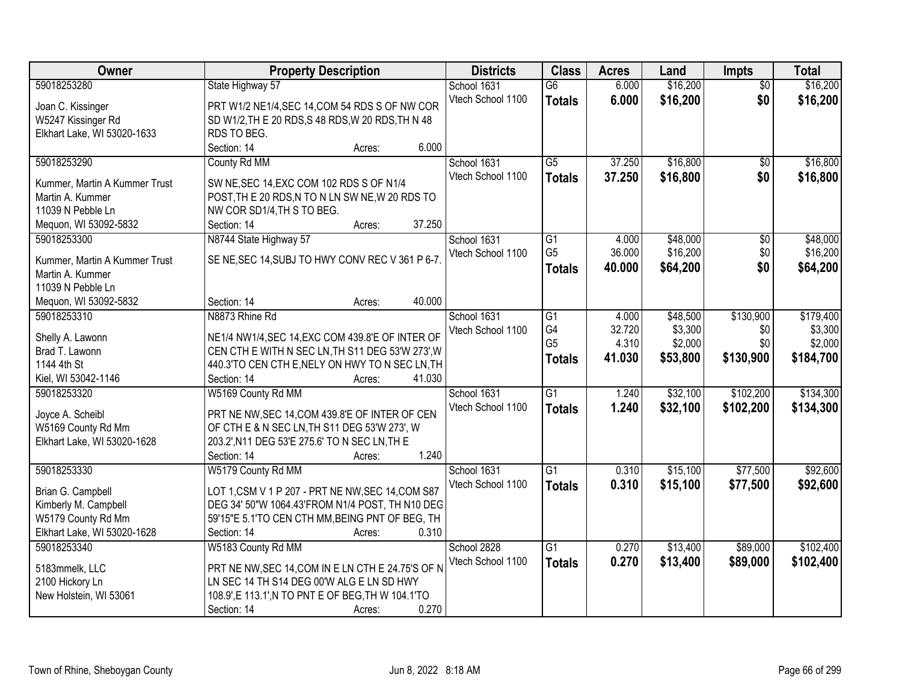| Owner                              | <b>Property Description</b>                                                                          | <b>Districts</b>  | <b>Class</b>         | <b>Acres</b> | Land     | <b>Impts</b>    | <b>Total</b> |
|------------------------------------|------------------------------------------------------------------------------------------------------|-------------------|----------------------|--------------|----------|-----------------|--------------|
| 59018253280                        | State Highway 57                                                                                     | School 1631       | $\overline{G6}$      | 6.000        | \$16,200 | $\overline{50}$ | \$16,200     |
| Joan C. Kissinger                  | PRT W1/2 NE1/4, SEC 14, COM 54 RDS S OF NW COR                                                       | Vtech School 1100 | <b>Totals</b>        | 6.000        | \$16,200 | \$0             | \$16,200     |
| W5247 Kissinger Rd                 | SD W1/2, TH E 20 RDS, S 48 RDS, W 20 RDS, TH N 48                                                    |                   |                      |              |          |                 |              |
| Elkhart Lake, WI 53020-1633        | RDS TO BEG.                                                                                          |                   |                      |              |          |                 |              |
|                                    | 6.000<br>Section: 14<br>Acres:                                                                       |                   |                      |              |          |                 |              |
| 59018253290                        | County Rd MM                                                                                         | School 1631       | $\overline{G5}$      | 37.250       | \$16,800 | $\overline{50}$ | \$16,800     |
|                                    |                                                                                                      | Vtech School 1100 | <b>Totals</b>        | 37.250       | \$16,800 | \$0             | \$16,800     |
| Kummer, Martin A Kummer Trust      | SW NE, SEC 14, EXC COM 102 RDS S OF N1/4                                                             |                   |                      |              |          |                 |              |
| Martin A. Kummer                   | POST, THE 20 RDS, N TO N LN SW NE, W 20 RDS TO                                                       |                   |                      |              |          |                 |              |
| 11039 N Pebble Ln                  | NW COR SD1/4, TH S TO BEG.<br>37.250                                                                 |                   |                      |              |          |                 |              |
| Mequon, WI 53092-5832              | Section: 14<br>Acres:                                                                                |                   |                      |              |          |                 |              |
| 59018253300                        | N8744 State Highway 57                                                                               | School 1631       | G1<br>G <sub>5</sub> | 4.000        | \$48,000 | \$0             | \$48,000     |
| Kummer, Martin A Kummer Trust      | SE NE, SEC 14, SUBJ TO HWY CONV REC V 361 P 6-7.                                                     | Vtech School 1100 |                      | 36.000       | \$16,200 | \$0             | \$16,200     |
| Martin A. Kummer                   |                                                                                                      |                   | <b>Totals</b>        | 40.000       | \$64,200 | \$0             | \$64,200     |
| 11039 N Pebble Ln                  |                                                                                                      |                   |                      |              |          |                 |              |
| Mequon, WI 53092-5832              | 40.000<br>Section: 14<br>Acres:                                                                      |                   |                      |              |          |                 |              |
| 59018253310                        | N8873 Rhine Rd                                                                                       | School 1631       | G1                   | 4.000        | \$48,500 | \$130,900       | \$179,400    |
|                                    |                                                                                                      | Vtech School 1100 | G4                   | 32.720       | \$3,300  | \$0             | \$3,300      |
| Shelly A. Lawonn<br>Brad T. Lawonn | NE1/4 NW1/4, SEC 14, EXC COM 439.8'E OF INTER OF<br>CEN CTH E WITH N SEC LN, TH S11 DEG 53'W 273', W |                   | G <sub>5</sub>       | 4.310        | \$2,000  | \$0             | \$2,000      |
| 1144 4th St                        | 440.3'TO CEN CTH E, NELY ON HWY TO N SEC LN, TH                                                      |                   | <b>Totals</b>        | 41.030       | \$53,800 | \$130,900       | \$184,700    |
| Kiel, WI 53042-1146                | 41.030<br>Section: 14                                                                                |                   |                      |              |          |                 |              |
| 59018253320                        | Acres:<br>W5169 County Rd MM                                                                         | School 1631       | $\overline{G1}$      | 1.240        | \$32,100 | \$102,200       | \$134,300    |
|                                    |                                                                                                      |                   |                      |              |          |                 |              |
| Joyce A. Scheibl                   | PRT NE NW, SEC 14, COM 439.8'E OF INTER OF CEN                                                       | Vtech School 1100 | <b>Totals</b>        | 1.240        | \$32,100 | \$102,200       | \$134,300    |
| W5169 County Rd Mm                 | OF CTH E & N SEC LN, TH S11 DEG 53'W 273', W                                                         |                   |                      |              |          |                 |              |
| Elkhart Lake, WI 53020-1628        | 203.2', N11 DEG 53'E 275.6' TO N SEC LN, TH E                                                        |                   |                      |              |          |                 |              |
|                                    | Section: 14<br>1.240<br>Acres:                                                                       |                   |                      |              |          |                 |              |
| 59018253330                        | W5179 County Rd MM                                                                                   | School 1631       | $\overline{G1}$      | 0.310        | \$15,100 | \$77,500        | \$92,600     |
| Brian G. Campbell                  | LOT 1, CSM V 1 P 207 - PRT NE NW, SEC 14, COM S87                                                    | Vtech School 1100 | <b>Totals</b>        | 0.310        | \$15,100 | \$77,500        | \$92,600     |
| Kimberly M. Campbell               | DEG 34' 50"W 1064.43'FROM N1/4 POST, TH N10 DEG                                                      |                   |                      |              |          |                 |              |
| W5179 County Rd Mm                 | 59'15"E 5.1'TO CEN CTH MM, BEING PNT OF BEG, TH                                                      |                   |                      |              |          |                 |              |
| Elkhart Lake, WI 53020-1628        | Section: 14<br>0.310<br>Acres:                                                                       |                   |                      |              |          |                 |              |
| 59018253340                        | W5183 County Rd MM                                                                                   | School 2828       | $\overline{G1}$      | 0.270        | \$13,400 | \$89,000        | \$102,400    |
|                                    |                                                                                                      | Vtech School 1100 | <b>Totals</b>        | 0.270        | \$13,400 | \$89,000        | \$102,400    |
| 5183mmelk, LLC                     | PRT NE NW, SEC 14, COM IN E LN CTH E 24.75'S OF N                                                    |                   |                      |              |          |                 |              |
| 2100 Hickory Ln                    | LN SEC 14 TH S14 DEG 00'W ALG E LN SD HWY                                                            |                   |                      |              |          |                 |              |
| New Holstein, WI 53061             | 108.9', E 113.1', N TO PNT E OF BEG, TH W 104.1'TO                                                   |                   |                      |              |          |                 |              |
|                                    | 0.270<br>Section: 14<br>Acres:                                                                       |                   |                      |              |          |                 |              |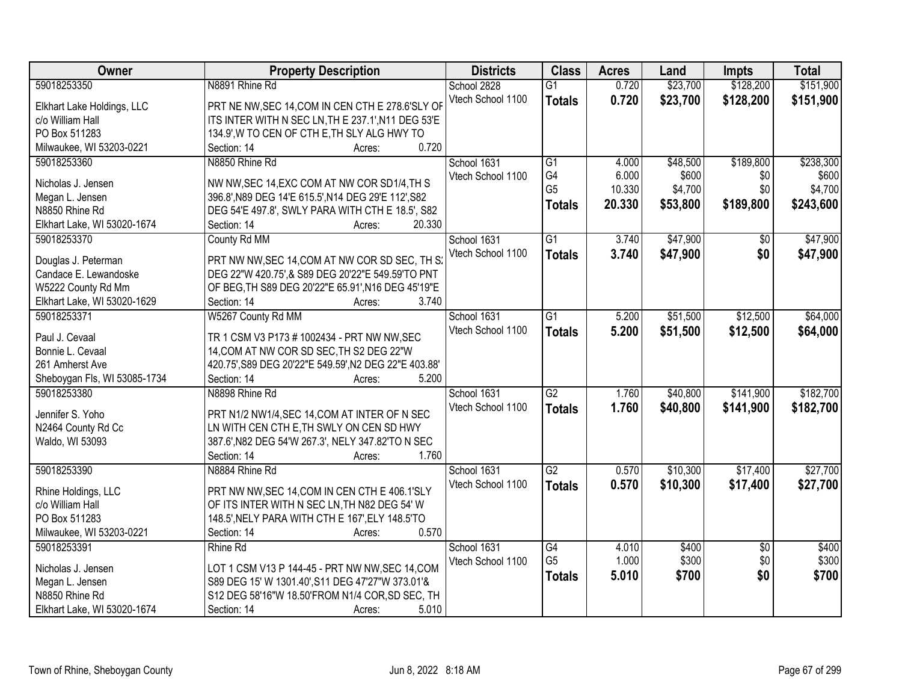| \$151,900<br>59018253350<br>N8891 Rhine Rd<br>School 2828<br>0.720<br>\$23,700<br>\$128,200<br>$\overline{G1}$<br>\$23,700<br>Vtech School 1100<br>0.720<br>\$128,200<br>\$151,900<br><b>Totals</b><br>PRT NE NW, SEC 14, COM IN CEN CTH E 278.6'SLY OF<br>Elkhart Lake Holdings, LLC<br>ITS INTER WITH N SEC LN, THE 237.1', N11 DEG 53'E<br>c/o William Hall<br>134.9', W TO CEN OF CTH E, TH SLY ALG HWY TO<br>PO Box 511283<br>0.720<br>Milwaukee, WI 53203-0221<br>Section: 14<br>Acres:<br>\$189,800<br>\$238,300<br>59018253360<br>N8850 Rhine Rd<br>School 1631<br>$\overline{G1}$<br>\$48,500<br>4.000<br>G4<br>6.000<br>Vtech School 1100<br>\$600<br>\$0<br>\$600<br>Nicholas J. Jensen<br>NW NW, SEC 14, EXC COM AT NW COR SD1/4, TH S<br>G <sub>5</sub><br>\$4,700<br>10.330<br>\$4,700<br>\$0<br>396.8', N89 DEG 14'E 615.5', N14 DEG 29'E 112', S82<br>Megan L. Jensen<br>20.330<br>\$53,800<br>\$189,800<br>\$243,600<br><b>Totals</b><br>N8850 Rhine Rd<br>DEG 54'E 497.8', SWLY PARA WITH CTH E 18.5', S82<br>20.330<br>Elkhart Lake, WI 53020-1674<br>Section: 14<br>Acres: |
|------------------------------------------------------------------------------------------------------------------------------------------------------------------------------------------------------------------------------------------------------------------------------------------------------------------------------------------------------------------------------------------------------------------------------------------------------------------------------------------------------------------------------------------------------------------------------------------------------------------------------------------------------------------------------------------------------------------------------------------------------------------------------------------------------------------------------------------------------------------------------------------------------------------------------------------------------------------------------------------------------------------------------------------------------------------------------------------------|
|                                                                                                                                                                                                                                                                                                                                                                                                                                                                                                                                                                                                                                                                                                                                                                                                                                                                                                                                                                                                                                                                                                |
|                                                                                                                                                                                                                                                                                                                                                                                                                                                                                                                                                                                                                                                                                                                                                                                                                                                                                                                                                                                                                                                                                                |
|                                                                                                                                                                                                                                                                                                                                                                                                                                                                                                                                                                                                                                                                                                                                                                                                                                                                                                                                                                                                                                                                                                |
|                                                                                                                                                                                                                                                                                                                                                                                                                                                                                                                                                                                                                                                                                                                                                                                                                                                                                                                                                                                                                                                                                                |
|                                                                                                                                                                                                                                                                                                                                                                                                                                                                                                                                                                                                                                                                                                                                                                                                                                                                                                                                                                                                                                                                                                |
|                                                                                                                                                                                                                                                                                                                                                                                                                                                                                                                                                                                                                                                                                                                                                                                                                                                                                                                                                                                                                                                                                                |
|                                                                                                                                                                                                                                                                                                                                                                                                                                                                                                                                                                                                                                                                                                                                                                                                                                                                                                                                                                                                                                                                                                |
|                                                                                                                                                                                                                                                                                                                                                                                                                                                                                                                                                                                                                                                                                                                                                                                                                                                                                                                                                                                                                                                                                                |
|                                                                                                                                                                                                                                                                                                                                                                                                                                                                                                                                                                                                                                                                                                                                                                                                                                                                                                                                                                                                                                                                                                |
|                                                                                                                                                                                                                                                                                                                                                                                                                                                                                                                                                                                                                                                                                                                                                                                                                                                                                                                                                                                                                                                                                                |
|                                                                                                                                                                                                                                                                                                                                                                                                                                                                                                                                                                                                                                                                                                                                                                                                                                                                                                                                                                                                                                                                                                |
| G1<br>\$47,900<br>\$47,900<br>59018253370<br>County Rd MM<br>School 1631<br>3.740<br>$\overline{50}$                                                                                                                                                                                                                                                                                                                                                                                                                                                                                                                                                                                                                                                                                                                                                                                                                                                                                                                                                                                           |
| Vtech School 1100<br>\$47,900<br>\$0<br>3.740<br>\$47,900<br><b>Totals</b><br>PRT NW NW, SEC 14, COM AT NW COR SD SEC, TH S:<br>Douglas J. Peterman                                                                                                                                                                                                                                                                                                                                                                                                                                                                                                                                                                                                                                                                                                                                                                                                                                                                                                                                            |
| DEG 22"W 420.75',& S89 DEG 20'22"E 549.59'TO PNT<br>Candace E. Lewandoske                                                                                                                                                                                                                                                                                                                                                                                                                                                                                                                                                                                                                                                                                                                                                                                                                                                                                                                                                                                                                      |
| OF BEG, TH S89 DEG 20'22"E 65.91', N16 DEG 45'19"E<br>W5222 County Rd Mm                                                                                                                                                                                                                                                                                                                                                                                                                                                                                                                                                                                                                                                                                                                                                                                                                                                                                                                                                                                                                       |
| Elkhart Lake, WI 53020-1629<br>Section: 14<br>3.740<br>Acres:                                                                                                                                                                                                                                                                                                                                                                                                                                                                                                                                                                                                                                                                                                                                                                                                                                                                                                                                                                                                                                  |
| 59018253371<br>W5267 County Rd MM<br>School 1631<br>$\overline{G1}$<br>\$51,500<br>\$12,500<br>\$64,000<br>5.200                                                                                                                                                                                                                                                                                                                                                                                                                                                                                                                                                                                                                                                                                                                                                                                                                                                                                                                                                                               |
| Vtech School 1100<br>5.200<br>\$51,500<br>\$12,500<br>\$64,000<br><b>Totals</b>                                                                                                                                                                                                                                                                                                                                                                                                                                                                                                                                                                                                                                                                                                                                                                                                                                                                                                                                                                                                                |
| Paul J. Cevaal<br>TR 1 CSM V3 P173 # 1002434 - PRT NW NW, SEC                                                                                                                                                                                                                                                                                                                                                                                                                                                                                                                                                                                                                                                                                                                                                                                                                                                                                                                                                                                                                                  |
| Bonnie L. Cevaal<br>14, COM AT NW COR SD SEC, TH S2 DEG 22"W                                                                                                                                                                                                                                                                                                                                                                                                                                                                                                                                                                                                                                                                                                                                                                                                                                                                                                                                                                                                                                   |
| 261 Amherst Ave<br>420.75', S89 DEG 20'22"E 549.59', N2 DEG 22"E 403.88'                                                                                                                                                                                                                                                                                                                                                                                                                                                                                                                                                                                                                                                                                                                                                                                                                                                                                                                                                                                                                       |
| 5.200<br>Sheboygan Fls, WI 53085-1734<br>Section: 14<br>Acres:                                                                                                                                                                                                                                                                                                                                                                                                                                                                                                                                                                                                                                                                                                                                                                                                                                                                                                                                                                                                                                 |
| \$141,900<br>\$182,700<br>59018253380<br>$\overline{G2}$<br>1.760<br>\$40,800<br>N8898 Rhine Rd<br>School 1631                                                                                                                                                                                                                                                                                                                                                                                                                                                                                                                                                                                                                                                                                                                                                                                                                                                                                                                                                                                 |
| 1.760<br>\$40,800<br>\$182,700<br>Vtech School 1100<br><b>Totals</b><br>\$141,900<br>Jennifer S. Yoho<br>PRT N1/2 NW1/4, SEC 14, COM AT INTER OF N SEC                                                                                                                                                                                                                                                                                                                                                                                                                                                                                                                                                                                                                                                                                                                                                                                                                                                                                                                                         |
| N2464 County Rd Cc<br>LN WITH CEN CTH E, TH SWLY ON CEN SD HWY                                                                                                                                                                                                                                                                                                                                                                                                                                                                                                                                                                                                                                                                                                                                                                                                                                                                                                                                                                                                                                 |
| Waldo, WI 53093<br>387.6', N82 DEG 54'W 267.3', NELY 347.82'TO N SEC                                                                                                                                                                                                                                                                                                                                                                                                                                                                                                                                                                                                                                                                                                                                                                                                                                                                                                                                                                                                                           |
| Section: 14<br>1.760<br>Acres:                                                                                                                                                                                                                                                                                                                                                                                                                                                                                                                                                                                                                                                                                                                                                                                                                                                                                                                                                                                                                                                                 |
| $\overline{G2}$<br>\$10,300<br>\$17,400<br>\$27,700<br>59018253390<br>N8884 Rhine Rd<br>School 1631<br>0.570                                                                                                                                                                                                                                                                                                                                                                                                                                                                                                                                                                                                                                                                                                                                                                                                                                                                                                                                                                                   |
| Vtech School 1100<br>0.570<br>\$10,300<br>\$17,400<br>\$27,700<br><b>Totals</b>                                                                                                                                                                                                                                                                                                                                                                                                                                                                                                                                                                                                                                                                                                                                                                                                                                                                                                                                                                                                                |
| PRT NW NW, SEC 14, COM IN CEN CTH E 406.1'SLY<br>Rhine Holdings, LLC                                                                                                                                                                                                                                                                                                                                                                                                                                                                                                                                                                                                                                                                                                                                                                                                                                                                                                                                                                                                                           |
| c/o William Hall<br>OF ITS INTER WITH N SEC LN, TH N82 DEG 54' W                                                                                                                                                                                                                                                                                                                                                                                                                                                                                                                                                                                                                                                                                                                                                                                                                                                                                                                                                                                                                               |
| 148.5', NELY PARA WITH CTH E 167', ELY 148.5'TO<br>PO Box 511283                                                                                                                                                                                                                                                                                                                                                                                                                                                                                                                                                                                                                                                                                                                                                                                                                                                                                                                                                                                                                               |
| Milwaukee, WI 53203-0221<br>0.570<br>Section: 14<br>Acres:                                                                                                                                                                                                                                                                                                                                                                                                                                                                                                                                                                                                                                                                                                                                                                                                                                                                                                                                                                                                                                     |
| 59018253391<br>School 1631<br>G4<br>\$400<br>Rhine Rd<br>4.010<br>\$400<br>$\overline{50}$                                                                                                                                                                                                                                                                                                                                                                                                                                                                                                                                                                                                                                                                                                                                                                                                                                                                                                                                                                                                     |
| \$300<br>G <sub>5</sub><br>1.000<br>\$300<br>\$0<br>Vtech School 1100<br>LOT 1 CSM V13 P 144-45 - PRT NW NW, SEC 14, COM<br>Nicholas J. Jensen                                                                                                                                                                                                                                                                                                                                                                                                                                                                                                                                                                                                                                                                                                                                                                                                                                                                                                                                                 |
| \$700<br>\$0<br>\$700<br>5.010<br><b>Totals</b><br>S89 DEG 15' W 1301.40', S11 DEG 47'27"W 373.01'&<br>Megan L. Jensen                                                                                                                                                                                                                                                                                                                                                                                                                                                                                                                                                                                                                                                                                                                                                                                                                                                                                                                                                                         |
| N8850 Rhine Rd<br>S12 DEG 58'16"W 18.50'FROM N1/4 COR, SD SEC, TH                                                                                                                                                                                                                                                                                                                                                                                                                                                                                                                                                                                                                                                                                                                                                                                                                                                                                                                                                                                                                              |
| Elkhart Lake, WI 53020-1674<br>5.010<br>Section: 14<br>Acres:                                                                                                                                                                                                                                                                                                                                                                                                                                                                                                                                                                                                                                                                                                                                                                                                                                                                                                                                                                                                                                  |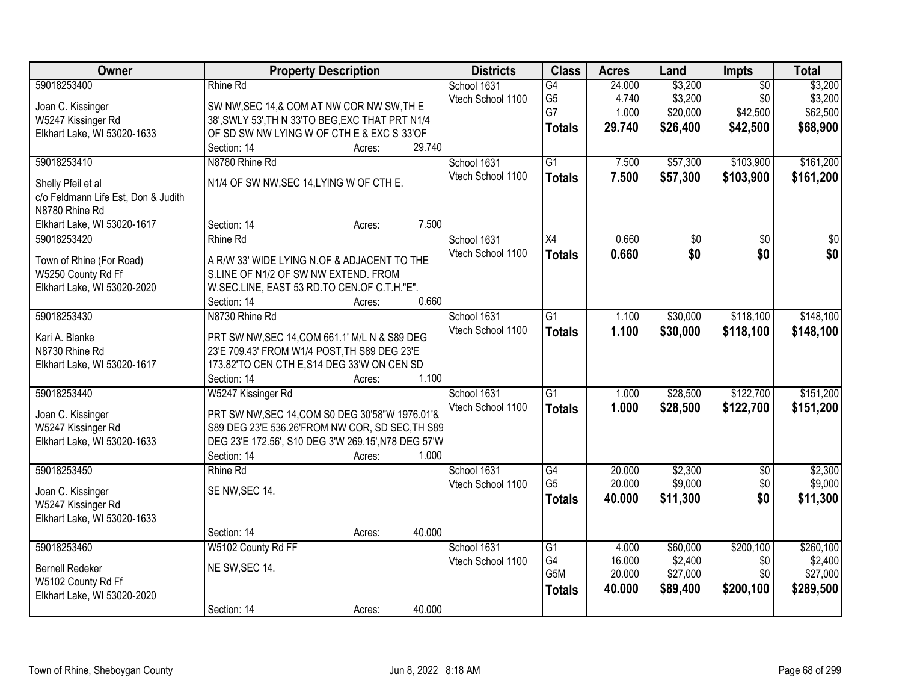| Owner                                                 | <b>Property Description</b>                         |        |        | <b>Districts</b>                 | <b>Class</b>         | <b>Acres</b>     | Land               | <b>Impts</b>      | <b>Total</b>       |
|-------------------------------------------------------|-----------------------------------------------------|--------|--------|----------------------------------|----------------------|------------------|--------------------|-------------------|--------------------|
| 59018253400                                           | Rhine Rd                                            |        |        | School 1631                      | G4                   | 24.000           | \$3,200            | $\overline{50}$   | \$3,200            |
| Joan C. Kissinger                                     | SW NW, SEC 14, & COM AT NW COR NW SW, TH E          |        |        | Vtech School 1100                | G <sub>5</sub>       | 4.740            | \$3,200            | \$0               | \$3,200            |
| W5247 Kissinger Rd                                    | 38', SWLY 53', TH N 33'TO BEG, EXC THAT PRT N1/4    |        |        |                                  | G7                   | 1.000            | \$20,000           | \$42,500          | \$62,500           |
| Elkhart Lake, WI 53020-1633                           | OF SD SW NW LYING W OF CTH E & EXC S 33'OF          |        |        |                                  | <b>Totals</b>        | 29.740           | \$26,400           | \$42,500          | \$68,900           |
|                                                       | Section: 14                                         | Acres: | 29.740 |                                  |                      |                  |                    |                   |                    |
| 59018253410                                           | N8780 Rhine Rd                                      |        |        | School 1631                      | $\overline{G1}$      | 7.500            | \$57,300           | \$103,900         | \$161,200          |
|                                                       | N1/4 OF SW NW, SEC 14, LYING W OF CTH E.            |        |        | Vtech School 1100                | <b>Totals</b>        | 7.500            | \$57,300           | \$103,900         | \$161,200          |
| Shelly Pfeil et al                                    |                                                     |        |        |                                  |                      |                  |                    |                   |                    |
| c/o Feldmann Life Est, Don & Judith<br>N8780 Rhine Rd |                                                     |        |        |                                  |                      |                  |                    |                   |                    |
| Elkhart Lake, WI 53020-1617                           | Section: 14                                         | Acres: | 7.500  |                                  |                      |                  |                    |                   |                    |
| 59018253420                                           | Rhine Rd                                            |        |        | School 1631                      | $\overline{X4}$      | 0.660            | \$0                | $\overline{50}$   | $\overline{50}$    |
|                                                       |                                                     |        |        | Vtech School 1100                | <b>Totals</b>        | 0.660            | \$0                | \$0               | \$0                |
| Town of Rhine (For Road)                              | A R/W 33' WIDE LYING N.OF & ADJACENT TO THE         |        |        |                                  |                      |                  |                    |                   |                    |
| W5250 County Rd Ff                                    | S.LINE OF N1/2 OF SW NW EXTEND. FROM                |        |        |                                  |                      |                  |                    |                   |                    |
| Elkhart Lake, WI 53020-2020                           | W.SEC.LINE, EAST 53 RD.TO CEN.OF C.T.H."E".         |        |        |                                  |                      |                  |                    |                   |                    |
|                                                       | Section: 14                                         | Acres: | 0.660  |                                  |                      |                  |                    |                   |                    |
| 59018253430                                           | N8730 Rhine Rd                                      |        |        | School 1631                      | G1                   | 1.100            | \$30,000           | \$118,100         | \$148,100          |
| Kari A. Blanke                                        | PRT SW NW, SEC 14, COM 661.1' M/L N & S89 DEG       |        |        | Vtech School 1100                | <b>Totals</b>        | 1.100            | \$30,000           | \$118,100         | \$148,100          |
| N8730 Rhine Rd                                        | 23'E 709.43' FROM W1/4 POST, TH S89 DEG 23'E        |        |        |                                  |                      |                  |                    |                   |                    |
| Elkhart Lake, WI 53020-1617                           | 173.82'TO CEN CTH E, S14 DEG 33'W ON CEN SD         |        |        |                                  |                      |                  |                    |                   |                    |
|                                                       | Section: 14                                         | Acres: | 1.100  |                                  |                      |                  |                    |                   |                    |
| 59018253440                                           | W5247 Kissinger Rd                                  |        |        | School 1631                      | $\overline{G1}$      | 1.000            | \$28,500           | \$122,700         | \$151,200          |
|                                                       |                                                     |        |        | Vtech School 1100                | <b>Totals</b>        | 1.000            | \$28,500           | \$122,700         | \$151,200          |
| Joan C. Kissinger                                     | PRT SW NW, SEC 14, COM S0 DEG 30'58"W 1976.01'&     |        |        |                                  |                      |                  |                    |                   |                    |
| W5247 Kissinger Rd                                    | S89 DEG 23'E 536.26'FROM NW COR, SD SEC, TH S89     |        |        |                                  |                      |                  |                    |                   |                    |
| Elkhart Lake, WI 53020-1633                           | DEG 23'E 172.56', S10 DEG 3'W 269.15', N78 DEG 57'W |        | 1.000  |                                  |                      |                  |                    |                   |                    |
|                                                       | Section: 14                                         | Acres: |        |                                  |                      |                  |                    |                   |                    |
| 59018253450                                           | Rhine Rd                                            |        |        | School 1631<br>Vtech School 1100 | G4<br>G <sub>5</sub> | 20.000<br>20.000 | \$2,300<br>\$9,000 | $\sqrt{6}$<br>\$0 | \$2,300<br>\$9,000 |
| Joan C. Kissinger                                     | SE NW, SEC 14.                                      |        |        |                                  |                      |                  |                    | \$0               |                    |
| W5247 Kissinger Rd                                    |                                                     |        |        |                                  | <b>Totals</b>        | 40.000           | \$11,300           |                   | \$11,300           |
| Elkhart Lake, WI 53020-1633                           |                                                     |        |        |                                  |                      |                  |                    |                   |                    |
|                                                       | Section: 14                                         | Acres: | 40.000 |                                  |                      |                  |                    |                   |                    |
| 59018253460                                           | W5102 County Rd FF                                  |        |        | School 1631                      | $\overline{G1}$      | 4.000            | \$60,000           | \$200,100         | \$260,100          |
| <b>Bernell Redeker</b>                                | NE SW, SEC 14.                                      |        |        | Vtech School 1100                | G4                   | 16.000           | \$2,400            | \$0               | \$2,400            |
| W5102 County Rd Ff                                    |                                                     |        |        |                                  | G <sub>5</sub> M     | 20.000           | \$27,000           | \$0               | \$27,000           |
| Elkhart Lake, WI 53020-2020                           |                                                     |        |        |                                  | <b>Totals</b>        | 40.000           | \$89,400           | \$200,100         | \$289,500          |
|                                                       | Section: 14                                         | Acres: | 40.000 |                                  |                      |                  |                    |                   |                    |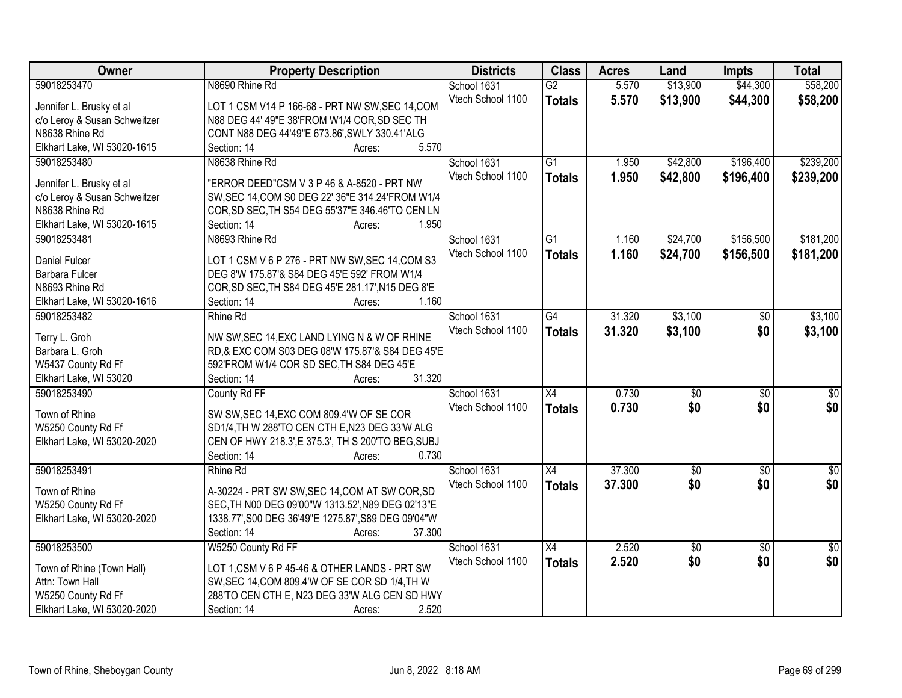| Owner                        | <b>Property Description</b>                         | <b>Districts</b>  | <b>Class</b>    | <b>Acres</b> | Land            | <b>Impts</b>    | <b>Total</b>    |
|------------------------------|-----------------------------------------------------|-------------------|-----------------|--------------|-----------------|-----------------|-----------------|
| 59018253470                  | N8690 Rhine Rd                                      | School 1631       | $\overline{G2}$ | 5.570        | \$13,900        | \$44,300        | \$58,200        |
| Jennifer L. Brusky et al     | LOT 1 CSM V14 P 166-68 - PRT NW SW, SEC 14, COM     | Vtech School 1100 | <b>Totals</b>   | 5.570        | \$13,900        | \$44,300        | \$58,200        |
| c/o Leroy & Susan Schweitzer | N88 DEG 44' 49"E 38'FROM W1/4 COR, SD SEC TH        |                   |                 |              |                 |                 |                 |
| N8638 Rhine Rd               | CONT N88 DEG 44'49"E 673.86', SWLY 330.41'ALG       |                   |                 |              |                 |                 |                 |
| Elkhart Lake, WI 53020-1615  | Section: 14<br>5.570<br>Acres:                      |                   |                 |              |                 |                 |                 |
| 59018253480                  | N8638 Rhine Rd                                      | School 1631       | $\overline{G1}$ | 1.950        | \$42,800        | \$196,400       | \$239,200       |
|                              |                                                     | Vtech School 1100 | <b>Totals</b>   | 1.950        | \$42,800        | \$196,400       | \$239,200       |
| Jennifer L. Brusky et al     | "ERROR DEED"CSM V 3 P 46 & A-8520 - PRT NW          |                   |                 |              |                 |                 |                 |
| c/o Leroy & Susan Schweitzer | SW, SEC 14, COM S0 DEG 22' 36"E 314.24' FROM W1/4   |                   |                 |              |                 |                 |                 |
| N8638 Rhine Rd               | COR, SD SEC, TH S54 DEG 55'37"E 346.46'TO CEN LN    |                   |                 |              |                 |                 |                 |
| Elkhart Lake, WI 53020-1615  | 1.950<br>Section: 14<br>Acres:                      |                   |                 |              |                 |                 |                 |
| 59018253481                  | N8693 Rhine Rd                                      | School 1631       | G1              | 1.160        | \$24,700        | \$156,500       | \$181,200       |
| Daniel Fulcer                | LOT 1 CSM V 6 P 276 - PRT NW SW, SEC 14, COM S3     | Vtech School 1100 | <b>Totals</b>   | 1.160        | \$24,700        | \$156,500       | \$181,200       |
| Barbara Fulcer               | DEG 8'W 175.87'& S84 DEG 45'E 592' FROM W1/4        |                   |                 |              |                 |                 |                 |
| N8693 Rhine Rd               | COR, SD SEC, TH S84 DEG 45'E 281.17', N15 DEG 8'E   |                   |                 |              |                 |                 |                 |
| Elkhart Lake, WI 53020-1616  | Section: 14<br>1.160<br>Acres:                      |                   |                 |              |                 |                 |                 |
| 59018253482                  | <b>Rhine Rd</b>                                     | School 1631       | $\overline{G4}$ | 31.320       | \$3,100         | $\frac{1}{20}$  | \$3,100         |
|                              |                                                     | Vtech School 1100 | <b>Totals</b>   | 31.320       | \$3,100         | \$0             | \$3,100         |
| Terry L. Groh                | NW SW, SEC 14, EXC LAND LYING N & W OF RHINE        |                   |                 |              |                 |                 |                 |
| Barbara L. Groh              | RD,& EXC COM S03 DEG 08'W 175.87'& S84 DEG 45'E     |                   |                 |              |                 |                 |                 |
| W5437 County Rd Ff           | 592'FROM W1/4 COR SD SEC, TH S84 DEG 45'E           |                   |                 |              |                 |                 |                 |
| Elkhart Lake, WI 53020       | 31.320<br>Section: 14<br>Acres:                     |                   |                 |              |                 |                 |                 |
| 59018253490                  | County Rd FF                                        | School 1631       | $\overline{X4}$ | 0.730        | $\overline{50}$ | $\overline{50}$ | $\sqrt{30}$     |
| Town of Rhine                | SW SW, SEC 14, EXC COM 809.4'W OF SE COR            | Vtech School 1100 | <b>Totals</b>   | 0.730        | \$0             | \$0             | \$0             |
| W5250 County Rd Ff           | SD1/4, TH W 288'TO CEN CTH E, N23 DEG 33'W ALG      |                   |                 |              |                 |                 |                 |
| Elkhart Lake, WI 53020-2020  | CEN OF HWY 218.3', E 375.3', TH S 200'TO BEG, SUBJ  |                   |                 |              |                 |                 |                 |
|                              | 0.730<br>Section: 14                                |                   |                 |              |                 |                 |                 |
|                              | Acres:                                              |                   |                 |              |                 |                 |                 |
| 59018253491                  | <b>Rhine Rd</b>                                     | School 1631       | X4              | 37.300       | $\sqrt{50}$     | $\overline{50}$ | $\sqrt{50}$     |
| Town of Rhine                | A-30224 - PRT SW SW, SEC 14, COM AT SW COR, SD      | Vtech School 1100 | <b>Totals</b>   | 37.300       | \$0             | \$0             | \$0             |
| W5250 County Rd Ff           | SEC, TH N00 DEG 09'00"W 1313.52', N89 DEG 02'13"E   |                   |                 |              |                 |                 |                 |
| Elkhart Lake, WI 53020-2020  | 1338.77', S00 DEG 36'49"E 1275.87', S89 DEG 09'04"W |                   |                 |              |                 |                 |                 |
|                              | 37.300<br>Section: 14<br>Acres:                     |                   |                 |              |                 |                 |                 |
| 59018253500                  | W5250 County Rd FF                                  | School 1631       | X4              | 2.520        | $\overline{50}$ | $\overline{50}$ | $\overline{50}$ |
|                              |                                                     | Vtech School 1100 | <b>Totals</b>   | 2.520        | \$0             | \$0             | \$0             |
| Town of Rhine (Town Hall)    | LOT 1, CSM V 6 P 45-46 & OTHER LANDS - PRT SW       |                   |                 |              |                 |                 |                 |
| Attn: Town Hall              | SW, SEC 14, COM 809.4'W OF SE COR SD 1/4, TH W      |                   |                 |              |                 |                 |                 |
| W5250 County Rd Ff           | 288'TO CEN CTH E, N23 DEG 33'W ALG CEN SD HWY       |                   |                 |              |                 |                 |                 |
| Elkhart Lake, WI 53020-2020  | 2.520<br>Section: 14<br>Acres:                      |                   |                 |              |                 |                 |                 |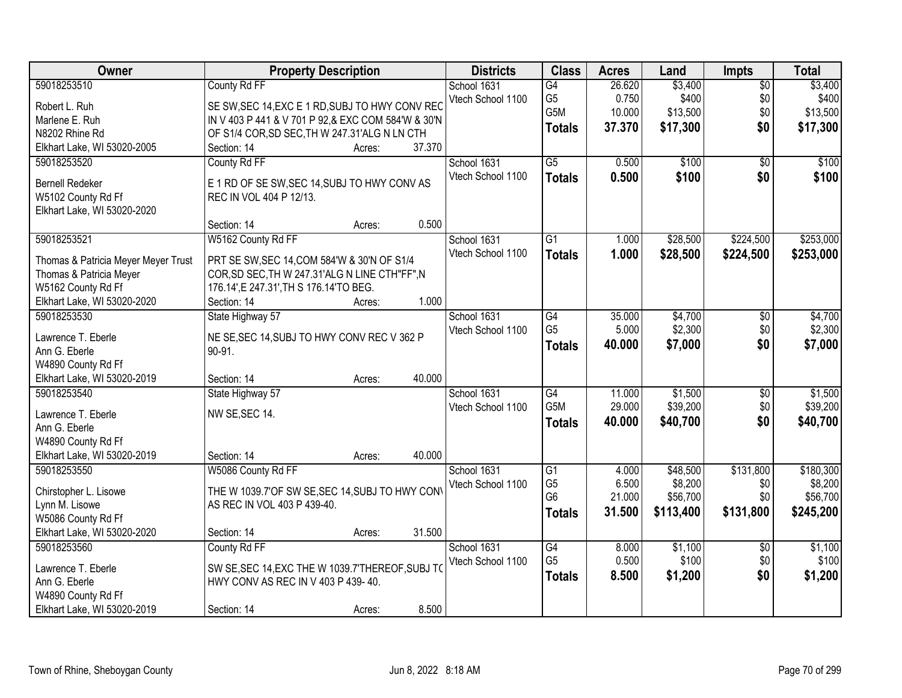| Owner                               | <b>Property Description</b>                        |        | <b>Districts</b>  | <b>Class</b>     | <b>Acres</b> | Land      | <b>Impts</b>    | <b>Total</b> |
|-------------------------------------|----------------------------------------------------|--------|-------------------|------------------|--------------|-----------|-----------------|--------------|
| 59018253510                         | County Rd FF                                       |        | School 1631       | $\overline{G4}$  | 26.620       | \$3,400   | $\overline{50}$ | \$3,400      |
| Robert L. Ruh                       | SE SW, SEC 14, EXC E 1 RD, SUBJ TO HWY CONV REC    |        | Vtech School 1100 | G <sub>5</sub>   | 0.750        | \$400     | \$0             | \$400        |
| Marlene E. Ruh                      | IN V 403 P 441 & V 701 P 92,& EXC COM 584'W & 30'N |        |                   | G5M              | 10.000       | \$13,500  | \$0             | \$13,500     |
| N8202 Rhine Rd                      | OF S1/4 COR, SD SEC, TH W 247.31'ALG N LN CTH      |        |                   | <b>Totals</b>    | 37.370       | \$17,300  | \$0             | \$17,300     |
| Elkhart Lake, WI 53020-2005         | Section: 14<br>Acres:                              | 37.370 |                   |                  |              |           |                 |              |
| 59018253520                         | County Rd FF                                       |        | School 1631       | $\overline{G5}$  | 0.500        | \$100     | $\overline{50}$ | \$100        |
|                                     |                                                    |        | Vtech School 1100 | <b>Totals</b>    | 0.500        | \$100     | \$0             | \$100        |
| <b>Bernell Redeker</b>              | E 1 RD OF SE SW, SEC 14, SUBJ TO HWY CONV AS       |        |                   |                  |              |           |                 |              |
| W5102 County Rd Ff                  | REC IN VOL 404 P 12/13.                            |        |                   |                  |              |           |                 |              |
| Elkhart Lake, WI 53020-2020         |                                                    |        |                   |                  |              |           |                 |              |
|                                     | Section: 14<br>Acres:                              | 0.500  |                   |                  |              |           |                 |              |
| 59018253521                         | W5162 County Rd FF                                 |        | School 1631       | $\overline{G1}$  | 1.000        | \$28,500  | \$224,500       | \$253,000    |
| Thomas & Patricia Meyer Meyer Trust | PRT SE SW, SEC 14, COM 584'W & 30'N OF S1/4        |        | Vtech School 1100 | <b>Totals</b>    | 1.000        | \$28,500  | \$224,500       | \$253,000    |
| Thomas & Patricia Meyer             | COR, SD SEC, TH W 247.31'ALG N LINE CTH"FF", N     |        |                   |                  |              |           |                 |              |
| W5162 County Rd Ff                  | 176.14', E 247.31', TH S 176.14'TO BEG.            |        |                   |                  |              |           |                 |              |
| Elkhart Lake, WI 53020-2020         | Section: 14<br>Acres:                              | 1.000  |                   |                  |              |           |                 |              |
| 59018253530                         | State Highway 57                                   |        | School 1631       | G4               | 35.000       | \$4,700   | \$0             | \$4,700      |
|                                     |                                                    |        | Vtech School 1100 | G <sub>5</sub>   | 5.000        | \$2,300   | \$0             | \$2,300      |
| Lawrence T. Eberle                  | NE SE, SEC 14, SUBJ TO HWY CONV REC V 362 P        |        |                   | Totals           | 40.000       | \$7,000   | \$0             | \$7,000      |
| Ann G. Eberle                       | 90-91.                                             |        |                   |                  |              |           |                 |              |
| W4890 County Rd Ff                  |                                                    |        |                   |                  |              |           |                 |              |
| Elkhart Lake, WI 53020-2019         | Section: 14<br>Acres:                              | 40.000 |                   |                  |              |           |                 |              |
| 59018253540                         | State Highway 57                                   |        | School 1631       | $\overline{G4}$  | 11.000       | \$1,500   | \$0             | \$1,500      |
| Lawrence T. Eberle                  | NW SE, SEC 14.                                     |        | Vtech School 1100 | G <sub>5</sub> M | 29.000       | \$39,200  | \$0             | \$39,200     |
| Ann G. Eberle                       |                                                    |        |                   | <b>Totals</b>    | 40.000       | \$40,700  | \$0             | \$40,700     |
| W4890 County Rd Ff                  |                                                    |        |                   |                  |              |           |                 |              |
| Elkhart Lake, WI 53020-2019         | Section: 14<br>Acres:                              | 40.000 |                   |                  |              |           |                 |              |
| 59018253550                         | W5086 County Rd FF                                 |        | School 1631       | $\overline{G1}$  | 4.000        | \$48,500  | \$131,800       | \$180,300    |
|                                     |                                                    |        | Vtech School 1100 | G <sub>5</sub>   | 6.500        | \$8,200   | \$0             | \$8,200      |
| Chirstopher L. Lisowe               | THE W 1039.7'OF SW SE, SEC 14, SUBJ TO HWY CON     |        |                   | G <sub>6</sub>   | 21.000       | \$56,700  | \$0             | \$56,700     |
| Lynn M. Lisowe                      | AS REC IN VOL 403 P 439-40.                        |        |                   | Totals           | 31.500       | \$113,400 | \$131,800       | \$245,200    |
| W5086 County Rd Ff                  |                                                    |        |                   |                  |              |           |                 |              |
| Elkhart Lake, WI 53020-2020         | Section: 14<br>Acres:                              | 31.500 |                   |                  |              |           |                 |              |
| 59018253560                         | County Rd FF                                       |        | School 1631       | G4               | 8.000        | \$1,100   | $\overline{30}$ | \$1,100      |
| Lawrence T. Eberle                  | SW SE, SEC 14, EXC THE W 1039.7'THEREOF, SUBJ TO   |        | Vtech School 1100 | G <sub>5</sub>   | 0.500        | \$100     | \$0             | \$100        |
| Ann G. Eberle                       | HWY CONV AS REC IN V 403 P 439-40.                 |        |                   | <b>Totals</b>    | 8.500        | \$1,200   | \$0             | \$1,200      |
| W4890 County Rd Ff                  |                                                    |        |                   |                  |              |           |                 |              |
| Elkhart Lake, WI 53020-2019         | Section: 14<br>Acres:                              | 8.500  |                   |                  |              |           |                 |              |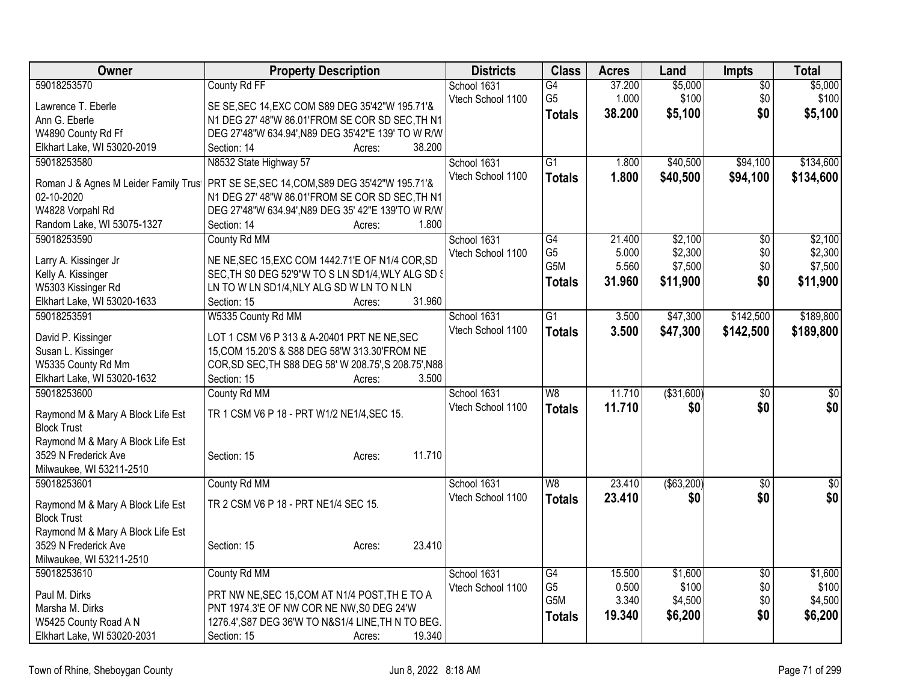| Owner                                                     | <b>Property Description</b>                           | <b>Districts</b>  | <b>Class</b>     | <b>Acres</b> | Land        | <b>Impts</b>    | <b>Total</b>    |
|-----------------------------------------------------------|-------------------------------------------------------|-------------------|------------------|--------------|-------------|-----------------|-----------------|
| 59018253570                                               | County Rd FF                                          | School 1631       | G4               | 37.200       | \$5,000     | $\overline{$0}$ | \$5,000         |
| Lawrence T. Eberle                                        | SE SE, SEC 14, EXC COM S89 DEG 35'42"W 195.71'&       | Vtech School 1100 | G <sub>5</sub>   | 1.000        | \$100       | \$0             | \$100           |
| Ann G. Eberle                                             | N1 DEG 27' 48"W 86.01'FROM SE COR SD SEC, TH N1       |                   | <b>Totals</b>    | 38,200       | \$5,100     | \$0             | \$5,100         |
| W4890 County Rd Ff                                        | DEG 27'48"W 634.94', N89 DEG 35'42"E 139' TO W R/W    |                   |                  |              |             |                 |                 |
| Elkhart Lake, WI 53020-2019                               | 38.200<br>Section: 14<br>Acres:                       |                   |                  |              |             |                 |                 |
| 59018253580                                               | N8532 State Highway 57                                | School 1631       | G1               | 1.800        | \$40,500    | \$94,100        | \$134,600       |
|                                                           |                                                       | Vtech School 1100 | <b>Totals</b>    | 1.800        | \$40,500    | \$94,100        | \$134,600       |
| Roman J & Agnes M Leider Family Trus                      | PRT SE SE, SEC 14, COM, S89 DEG 35'42"W 195.71'&      |                   |                  |              |             |                 |                 |
| 02-10-2020                                                | N1 DEG 27' 48"W 86.01'FROM SE COR SD SEC, TH N1       |                   |                  |              |             |                 |                 |
| W4828 Vorpahl Rd                                          | DEG 27'48"W 634.94', N89 DEG 35' 42"E 139'TO W R/W    |                   |                  |              |             |                 |                 |
| Random Lake, WI 53075-1327                                | 1.800<br>Section: 14<br>Acres:                        |                   |                  |              |             |                 |                 |
| 59018253590                                               | County Rd MM                                          | School 1631       | $\overline{G4}$  | 21.400       | \$2,100     | $\overline{50}$ | \$2,100         |
| Larry A. Kissinger Jr                                     | NE NE, SEC 15, EXC COM 1442.71'E OF N1/4 COR, SD      | Vtech School 1100 | G <sub>5</sub>   | 5.000        | \$2,300     | \$0             | \$2,300         |
| Kelly A. Kissinger                                        | SEC, TH SO DEG 52'9"W TO S LN SD1/4, WLY ALG SD S     |                   | G5M              | 5.560        | \$7,500     | \$0             | \$7,500         |
| W5303 Kissinger Rd                                        | LN TO W LN SD1/4, NLY ALG SD W LN TO N LN             |                   | <b>Totals</b>    | 31.960       | \$11,900    | \$0             | \$11,900        |
| Elkhart Lake, WI 53020-1633                               | 31.960<br>Section: 15<br>Acres:                       |                   |                  |              |             |                 |                 |
| 59018253591                                               | W5335 County Rd MM                                    | School 1631       | $\overline{G1}$  | 3.500        | \$47,300    | \$142,500       | \$189,800       |
|                                                           |                                                       | Vtech School 1100 | <b>Totals</b>    | 3.500        | \$47,300    | \$142,500       | \$189,800       |
| David P. Kissinger                                        | LOT 1 CSM V6 P 313 & A-20401 PRT NE NE, SEC           |                   |                  |              |             |                 |                 |
| Susan L. Kissinger                                        | 15, COM 15.20'S & S88 DEG 58'W 313.30'FROM NE         |                   |                  |              |             |                 |                 |
| W5335 County Rd Mm                                        | COR, SD SEC, TH S88 DEG 58' W 208.75', S 208.75', N88 |                   |                  |              |             |                 |                 |
| Elkhart Lake, WI 53020-1632                               | Section: 15<br>3.500<br>Acres:                        |                   |                  |              |             |                 |                 |
| 59018253600                                               | County Rd MM                                          | School 1631       | $\overline{W8}$  | 11.710       | ( \$31,600) | $\overline{50}$ | $\overline{50}$ |
| Raymond M & Mary A Block Life Est                         | TR 1 CSM V6 P 18 - PRT W1/2 NE1/4, SEC 15.            | Vtech School 1100 | <b>Totals</b>    | 11.710       | \$0         | \$0             | \$0             |
| <b>Block Trust</b>                                        |                                                       |                   |                  |              |             |                 |                 |
| Raymond M & Mary A Block Life Est                         |                                                       |                   |                  |              |             |                 |                 |
| 3529 N Frederick Ave                                      | 11.710<br>Section: 15<br>Acres:                       |                   |                  |              |             |                 |                 |
| Milwaukee, WI 53211-2510                                  |                                                       |                   |                  |              |             |                 |                 |
| 59018253601                                               | County Rd MM                                          | School 1631       | W <sub>8</sub>   | 23.410       | ( \$63,200) | $\sqrt{6}$      | $\overline{50}$ |
|                                                           |                                                       | Vtech School 1100 | <b>Totals</b>    | 23.410       | \$0         | \$0             | \$0             |
| Raymond M & Mary A Block Life Est<br><b>Block Trust</b>   | TR 2 CSM V6 P 18 - PRT NE1/4 SEC 15.                  |                   |                  |              |             |                 |                 |
|                                                           |                                                       |                   |                  |              |             |                 |                 |
| Raymond M & Mary A Block Life Est<br>3529 N Frederick Ave | 23.410                                                |                   |                  |              |             |                 |                 |
| Milwaukee, WI 53211-2510                                  | Section: 15<br>Acres:                                 |                   |                  |              |             |                 |                 |
| 59018253610                                               | County Rd MM                                          | School 1631       | $\overline{G4}$  | 15.500       | \$1,600     | $\overline{50}$ | \$1,600         |
|                                                           |                                                       | Vtech School 1100 | G <sub>5</sub>   | 0.500        | \$100       | \$0             | \$100           |
| Paul M. Dirks                                             | PRT NW NE, SEC 15, COM AT N1/4 POST, THE TO A         |                   | G <sub>5</sub> M | 3.340        | \$4,500     | \$0             | \$4,500         |
| Marsha M. Dirks                                           | PNT 1974.3'E OF NW COR NE NW, S0 DEG 24'W             |                   |                  | 19.340       | \$6,200     | \$0             | \$6,200         |
| W5425 County Road A N                                     | 1276.4', S87 DEG 36'W TO N&S1/4 LINE, TH N TO BEG.    |                   | <b>Totals</b>    |              |             |                 |                 |
| Elkhart Lake, WI 53020-2031                               | 19.340<br>Section: 15<br>Acres:                       |                   |                  |              |             |                 |                 |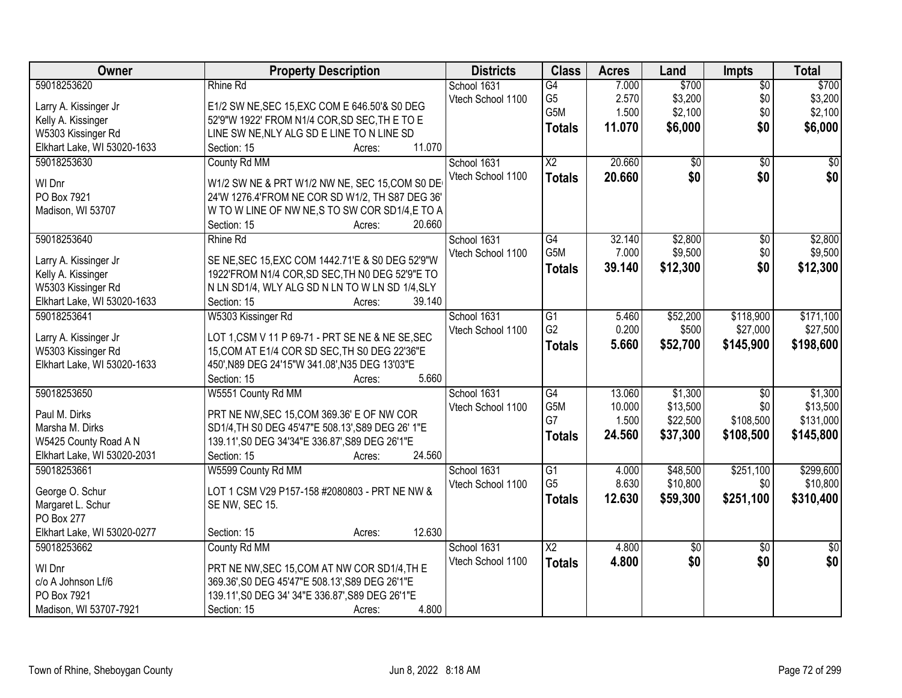| Owner                       | <b>Property Description</b>                       | <b>Districts</b>  | <b>Class</b>     | <b>Acres</b> | Land            | <b>Impts</b>    | <b>Total</b>  |
|-----------------------------|---------------------------------------------------|-------------------|------------------|--------------|-----------------|-----------------|---------------|
| 59018253620                 | Rhine Rd                                          | School 1631       | $\overline{G4}$  | 7.000        | \$700           | $\overline{50}$ | \$700         |
| Larry A. Kissinger Jr       | E1/2 SW NE, SEC 15, EXC COM E 646.50'& S0 DEG     | Vtech School 1100 | G <sub>5</sub>   | 2.570        | \$3,200         | \$0             | \$3,200       |
| Kelly A. Kissinger          | 52'9"W 1922' FROM N1/4 COR, SD SEC, TH E TO E     |                   | G5M              | 1.500        | \$2,100         | \$0             | \$2,100       |
| W5303 Kissinger Rd          | LINE SW NE, NLY ALG SD E LINE TO N LINE SD        |                   | <b>Totals</b>    | 11.070       | \$6,000         | \$0             | \$6,000       |
| Elkhart Lake, WI 53020-1633 | 11.070<br>Section: 15<br>Acres:                   |                   |                  |              |                 |                 |               |
| 59018253630                 | County Rd MM                                      | School 1631       | $\overline{X2}$  | 20.660       | $\overline{50}$ | $\overline{50}$ | $\sqrt{50}$   |
|                             |                                                   | Vtech School 1100 | <b>Totals</b>    | 20.660       | \$0             | \$0             | \$0           |
| WI Dnr                      | W1/2 SW NE & PRT W1/2 NW NE, SEC 15, COM S0 DE    |                   |                  |              |                 |                 |               |
| PO Box 7921                 | 24'W 1276.4'FROM NE COR SD W1/2, TH S87 DEG 36'   |                   |                  |              |                 |                 |               |
| Madison, WI 53707           | W TO W LINE OF NW NE, S TO SW COR SD1/4, E TO A   |                   |                  |              |                 |                 |               |
|                             | 20.660<br>Section: 15<br>Acres:                   |                   |                  |              |                 |                 |               |
| 59018253640                 | <b>Rhine Rd</b>                                   | School 1631       | G4               | 32.140       | \$2,800         | \$0             | \$2,800       |
| Larry A. Kissinger Jr       | SE NE, SEC 15, EXC COM 1442.71'E & S0 DEG 52'9"W  | Vtech School 1100 | G <sub>5</sub> M | 7.000        | \$9,500         | \$0             | \$9,500       |
| Kelly A. Kissinger          | 1922'FROM N1/4 COR, SD SEC, TH N0 DEG 52'9"E TO   |                   | <b>Totals</b>    | 39.140       | \$12,300        | \$0             | \$12,300      |
| W5303 Kissinger Rd          | N LN SD1/4, WLY ALG SD N LN TO W LN SD 1/4, SLY   |                   |                  |              |                 |                 |               |
| Elkhart Lake, WI 53020-1633 | 39.140<br>Section: 15<br>Acres:                   |                   |                  |              |                 |                 |               |
| 59018253641                 | W5303 Kissinger Rd                                | School 1631       | $\overline{G1}$  | 5.460        | \$52,200        | \$118,900       | \$171,100     |
|                             |                                                   | Vtech School 1100 | G <sub>2</sub>   | 0.200        | \$500           | \$27,000        | \$27,500      |
| Larry A. Kissinger Jr       | LOT 1, CSM V 11 P 69-71 - PRT SE NE & NE SE, SEC  |                   | <b>Totals</b>    | 5.660        | \$52,700        | \$145,900       | \$198,600     |
| W5303 Kissinger Rd          | 15, COM AT E1/4 COR SD SEC, TH S0 DEG 22'36"E     |                   |                  |              |                 |                 |               |
| Elkhart Lake, WI 53020-1633 | 450', N89 DEG 24'15"W 341.08', N35 DEG 13'03"E    |                   |                  |              |                 |                 |               |
|                             | 5.660<br>Section: 15<br>Acres:                    |                   |                  |              |                 |                 |               |
| 59018253650                 | W5551 County Rd MM                                | School 1631       | $\overline{G4}$  | 13.060       | \$1,300         | $\overline{30}$ | \$1,300       |
| Paul M. Dirks               | PRT NE NW, SEC 15, COM 369.36' E OF NW COR        | Vtech School 1100 | G5M              | 10.000       | \$13,500        | \$0             | \$13,500      |
| Marsha M. Dirks             | SD1/4, TH S0 DEG 45'47"E 508.13', S89 DEG 26' 1"E |                   | G7               | 1.500        | \$22,500        | \$108,500       | \$131,000     |
| W5425 County Road A N       | 139.11', S0 DEG 34'34"E 336.87', S89 DEG 26'1"E   |                   | <b>Totals</b>    | 24.560       | \$37,300        | \$108,500       | \$145,800     |
| Elkhart Lake, WI 53020-2031 | 24.560<br>Section: 15<br>Acres:                   |                   |                  |              |                 |                 |               |
| 59018253661                 | W5599 County Rd MM                                | School 1631       | $\overline{G1}$  | 4.000        | \$48,500        | \$251,100       | \$299,600     |
|                             |                                                   | Vtech School 1100 | G <sub>5</sub>   | 8.630        | \$10,800        | \$0             | \$10,800      |
| George O. Schur             | LOT 1 CSM V29 P157-158 #2080803 - PRT NE NW &     |                   | <b>Totals</b>    | 12.630       | \$59,300        | \$251,100       | \$310,400     |
| Margaret L. Schur           | SE NW, SEC 15.                                    |                   |                  |              |                 |                 |               |
| PO Box 277                  |                                                   |                   |                  |              |                 |                 |               |
| Elkhart Lake, WI 53020-0277 | 12.630<br>Section: 15<br>Acres:                   |                   |                  |              |                 |                 |               |
| 59018253662                 | County Rd MM                                      | School 1631       | $\overline{X2}$  | 4.800        | $\overline{50}$ | $\overline{30}$ | $\frac{1}{6}$ |
| WI Dnr                      | PRT NE NW, SEC 15, COM AT NW COR SD1/4, TH E      | Vtech School 1100 | <b>Totals</b>    | 4.800        | \$0             | \$0             | \$0           |
| c/o A Johnson Lf/6          | 369.36', S0 DEG 45'47"E 508.13', S89 DEG 26'1"E   |                   |                  |              |                 |                 |               |
| PO Box 7921                 | 139.11', S0 DEG 34' 34"E 336.87', S89 DEG 26'1"E  |                   |                  |              |                 |                 |               |
| Madison, WI 53707-7921      | 4.800<br>Section: 15<br>Acres:                    |                   |                  |              |                 |                 |               |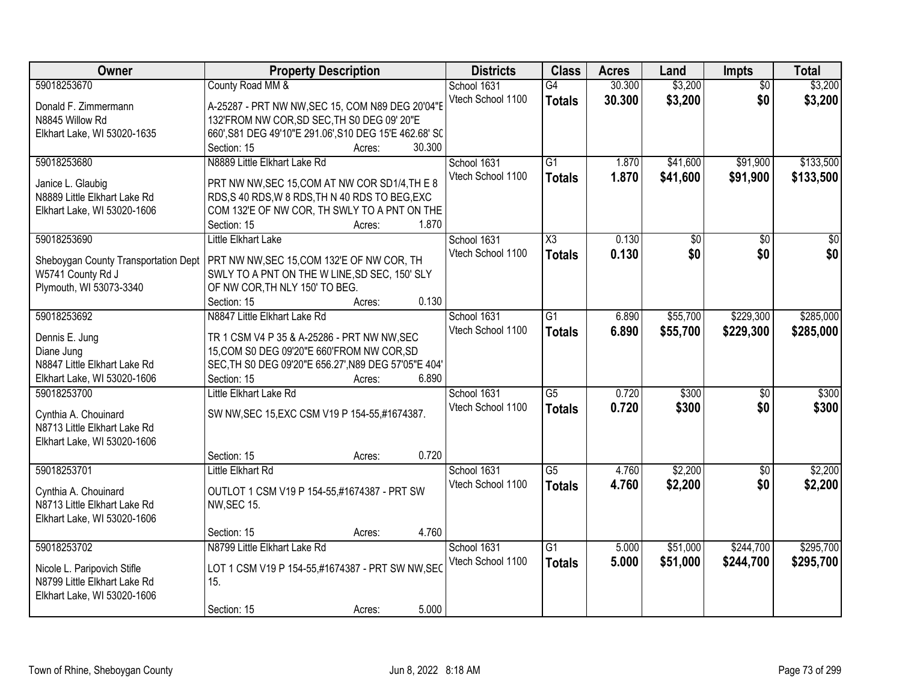| Owner                                | <b>Property Description</b>                            | <b>Districts</b>  | <b>Class</b>        | <b>Acres</b> | Land            | <b>Impts</b>    | <b>Total</b>    |
|--------------------------------------|--------------------------------------------------------|-------------------|---------------------|--------------|-----------------|-----------------|-----------------|
| 59018253670                          | County Road MM &                                       | School 1631       | G4                  | 30.300       | \$3,200         | $\overline{50}$ | \$3,200         |
| Donald F. Zimmermann                 | A-25287 - PRT NW NW, SEC 15, COM N89 DEG 20'04"E       | Vtech School 1100 | <b>Totals</b>       | 30.300       | \$3,200         | \$0             | \$3,200         |
| N8845 Willow Rd                      | 132'FROM NW COR, SD SEC, TH S0 DEG 09' 20"E            |                   |                     |              |                 |                 |                 |
| Elkhart Lake, WI 53020-1635          | 660', S81 DEG 49'10"E 291.06', S10 DEG 15'E 462.68' SC |                   |                     |              |                 |                 |                 |
|                                      | 30.300<br>Section: 15<br>Acres:                        |                   |                     |              |                 |                 |                 |
| 59018253680                          | N8889 Little Elkhart Lake Rd                           | School 1631       | $\overline{G1}$     | 1.870        | \$41,600        | \$91,900        | \$133,500       |
|                                      |                                                        | Vtech School 1100 | <b>Totals</b>       | 1.870        | \$41,600        | \$91,900        | \$133,500       |
| Janice L. Glaubig                    | PRT NW NW, SEC 15, COM AT NW COR SD1/4, TH E 8         |                   |                     |              |                 |                 |                 |
| N8889 Little Elkhart Lake Rd         | RDS, S 40 RDS, W 8 RDS, TH N 40 RDS TO BEG, EXC        |                   |                     |              |                 |                 |                 |
| Elkhart Lake, WI 53020-1606          | COM 132'E OF NW COR, TH SWLY TO A PNT ON THE           |                   |                     |              |                 |                 |                 |
|                                      | 1.870<br>Section: 15<br>Acres:                         |                   |                     |              |                 |                 |                 |
| 59018253690                          | Little Elkhart Lake                                    | School 1631       | $\overline{\chi_3}$ | 0.130        | $\overline{50}$ | \$0             | $\overline{30}$ |
|                                      |                                                        | Vtech School 1100 | <b>Totals</b>       | 0.130        | \$0             | \$0             | \$0             |
| Sheboygan County Transportation Dept | PRT NW NW, SEC 15, COM 132'E OF NW COR, TH             |                   |                     |              |                 |                 |                 |
| W5741 County Rd J                    | SWLY TO A PNT ON THE W LINE, SD SEC, 150' SLY          |                   |                     |              |                 |                 |                 |
| Plymouth, WI 53073-3340              | OF NW COR, TH NLY 150' TO BEG.<br>0.130                |                   |                     |              |                 |                 |                 |
|                                      | Section: 15<br>Acres:                                  |                   |                     |              |                 |                 |                 |
| 59018253692                          | N8847 Little Elkhart Lake Rd                           | School 1631       | $\overline{G1}$     | 6.890        | \$55,700        | \$229,300       | \$285,000       |
| Dennis E. Jung                       | TR 1 CSM V4 P 35 & A-25286 - PRT NW NW, SEC            | Vtech School 1100 | <b>Totals</b>       | 6.890        | \$55,700        | \$229,300       | \$285,000       |
| Diane Jung                           | 15, COM S0 DEG 09'20"E 660'FROM NW COR, SD             |                   |                     |              |                 |                 |                 |
| N8847 Little Elkhart Lake Rd         | SEC, TH S0 DEG 09'20"E 656.27', N89 DEG 57'05"E 404'   |                   |                     |              |                 |                 |                 |
| Elkhart Lake, WI 53020-1606          | 6.890<br>Section: 15<br>Acres:                         |                   |                     |              |                 |                 |                 |
| 59018253700                          | Little Elkhart Lake Rd                                 | School 1631       | $\overline{G5}$     | 0.720        | \$300           | $\overline{30}$ | \$300           |
|                                      |                                                        | Vtech School 1100 | <b>Totals</b>       | 0.720        | \$300           | \$0             | \$300           |
| Cynthia A. Chouinard                 | SW NW, SEC 15, EXC CSM V19 P 154-55, #1674387.         |                   |                     |              |                 |                 |                 |
| N8713 Little Elkhart Lake Rd         |                                                        |                   |                     |              |                 |                 |                 |
| Elkhart Lake, WI 53020-1606          |                                                        |                   |                     |              |                 |                 |                 |
|                                      | 0.720<br>Section: 15<br>Acres:                         |                   |                     |              |                 |                 |                 |
| 59018253701                          | <b>Little Elkhart Rd</b>                               | School 1631       | G5                  | 4.760        | \$2,200         | \$0             | \$2,200         |
| Cynthia A. Chouinard                 | OUTLOT 1 CSM V19 P 154-55,#1674387 - PRT SW            | Vtech School 1100 | <b>Totals</b>       | 4.760        | \$2,200         | \$0             | \$2,200         |
| N8713 Little Elkhart Lake Rd         | <b>NW, SEC 15.</b>                                     |                   |                     |              |                 |                 |                 |
| Elkhart Lake, WI 53020-1606          |                                                        |                   |                     |              |                 |                 |                 |
|                                      | 4.760<br>Section: 15<br>Acres:                         |                   |                     |              |                 |                 |                 |
| 59018253702                          | N8799 Little Elkhart Lake Rd                           | School 1631       | $\overline{G1}$     | 5.000        | \$51,000        | \$244,700       | \$295,700       |
|                                      |                                                        | Vtech School 1100 |                     |              |                 |                 |                 |
| Nicole L. Paripovich Stifle          | LOT 1 CSM V19 P 154-55,#1674387 - PRT SW NW, SEC       |                   | <b>Totals</b>       | 5.000        | \$51,000        | \$244,700       | \$295,700       |
| N8799 Little Elkhart Lake Rd         | 15.                                                    |                   |                     |              |                 |                 |                 |
| Elkhart Lake, WI 53020-1606          |                                                        |                   |                     |              |                 |                 |                 |
|                                      | 5.000<br>Section: 15<br>Acres:                         |                   |                     |              |                 |                 |                 |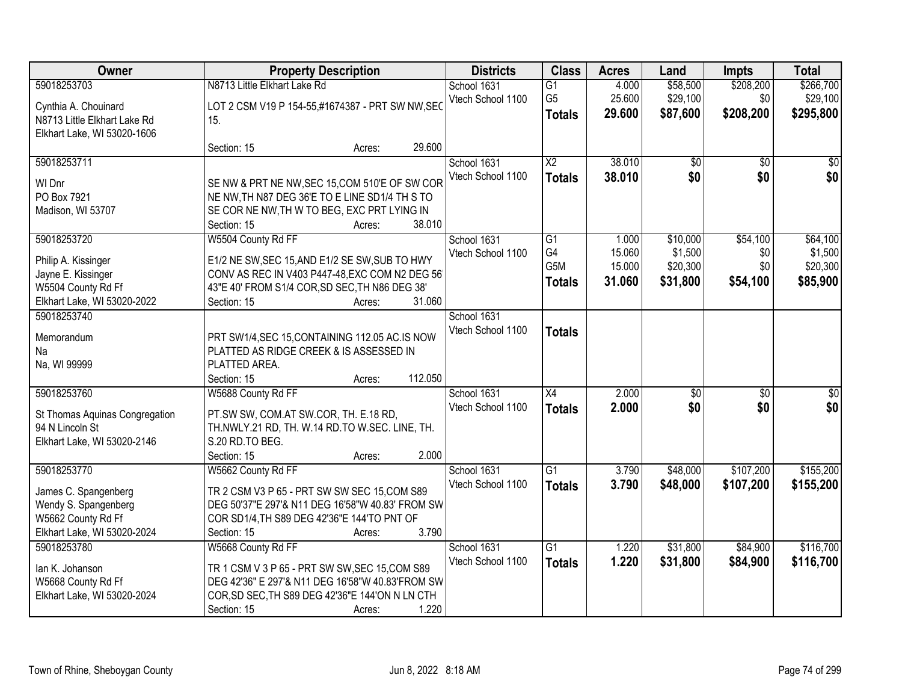| Owner                                             |                                                                                                 | <b>Property Description</b> | <b>Districts</b>  | <b>Class</b>           | <b>Acres</b> | Land            | <b>Impts</b>    | <b>Total</b>    |
|---------------------------------------------------|-------------------------------------------------------------------------------------------------|-----------------------------|-------------------|------------------------|--------------|-----------------|-----------------|-----------------|
| 59018253703                                       | N8713 Little Elkhart Lake Rd                                                                    |                             | School 1631       | $\overline{G1}$        | 4.000        | \$58,500        | \$208,200       | \$266,700       |
| Cynthia A. Chouinard                              | LOT 2 CSM V19 P 154-55,#1674387 - PRT SW NW, SEC                                                |                             | Vtech School 1100 | G <sub>5</sub>         | 25.600       | \$29,100        | \$0             | \$29,100        |
| N8713 Little Elkhart Lake Rd                      | 15.                                                                                             |                             |                   | <b>Totals</b>          | 29.600       | \$87,600        | \$208,200       | \$295,800       |
| Elkhart Lake, WI 53020-1606                       |                                                                                                 |                             |                   |                        |              |                 |                 |                 |
|                                                   | Section: 15                                                                                     | Acres:                      | 29.600            |                        |              |                 |                 |                 |
| 59018253711                                       |                                                                                                 |                             | School 1631       | $\overline{\text{X2}}$ | 38.010       | $\overline{50}$ | $\overline{50}$ | $\sqrt{50}$     |
| WI Dnr                                            | SE NW & PRT NE NW, SEC 15, COM 510'E OF SW COR                                                  |                             | Vtech School 1100 | <b>Totals</b>          | 38.010       | \$0             | \$0             | \$0             |
| PO Box 7921                                       | NE NW, TH N87 DEG 36'E TO E LINE SD1/4 TH S TO                                                  |                             |                   |                        |              |                 |                 |                 |
| Madison, WI 53707                                 | SE COR NE NW, TH W TO BEG, EXC PRT LYING IN                                                     |                             |                   |                        |              |                 |                 |                 |
|                                                   | Section: 15                                                                                     | Acres:                      | 38.010            |                        |              |                 |                 |                 |
| 59018253720                                       | W5504 County Rd FF                                                                              |                             | School 1631       | G1                     | 1.000        | \$10,000        | \$54,100        | \$64,100        |
| Philip A. Kissinger                               | E1/2 NE SW, SEC 15, AND E1/2 SE SW, SUB TO HWY                                                  |                             | Vtech School 1100 | G4                     | 15.060       | \$1,500         | \$0             | \$1,500         |
| Jayne E. Kissinger                                | CONV AS REC IN V403 P447-48, EXC COM N2 DEG 56                                                  |                             |                   | G <sub>5</sub> M       | 15.000       | \$20,300        | \$0             | \$20,300        |
| W5504 County Rd Ff                                | 43"E 40' FROM S1/4 COR, SD SEC, TH N86 DEG 38'                                                  |                             |                   | <b>Totals</b>          | 31.060       | \$31,800        | \$54,100        | \$85,900        |
| Elkhart Lake, WI 53020-2022                       | Section: 15                                                                                     | Acres:                      | 31.060            |                        |              |                 |                 |                 |
| 59018253740                                       |                                                                                                 |                             | School 1631       |                        |              |                 |                 |                 |
|                                                   |                                                                                                 |                             | Vtech School 1100 | <b>Totals</b>          |              |                 |                 |                 |
| Memorandum<br>Na                                  | PRT SW1/4, SEC 15, CONTAINING 112.05 AC.IS NOW<br>PLATTED AS RIDGE CREEK & IS ASSESSED IN       |                             |                   |                        |              |                 |                 |                 |
| Na, WI 99999                                      | PLATTED AREA.                                                                                   |                             |                   |                        |              |                 |                 |                 |
|                                                   | Section: 15                                                                                     | Acres:                      | 112.050           |                        |              |                 |                 |                 |
| 59018253760                                       | W5688 County Rd FF                                                                              |                             | School 1631       | $\overline{X4}$        | 2.000        | $\overline{50}$ | $\overline{50}$ | $\overline{50}$ |
|                                                   |                                                                                                 |                             | Vtech School 1100 | <b>Totals</b>          | 2.000        | \$0             | \$0             | \$0             |
| St Thomas Aquinas Congregation<br>94 N Lincoln St | PT.SW SW, COM.AT SW.COR, TH. E.18 RD,<br>TH.NWLY.21 RD, TH. W.14 RD.TO W.SEC. LINE, TH.         |                             |                   |                        |              |                 |                 |                 |
| Elkhart Lake, WI 53020-2146                       | S.20 RD.TO BEG.                                                                                 |                             |                   |                        |              |                 |                 |                 |
|                                                   | Section: 15                                                                                     | Acres:                      | 2.000             |                        |              |                 |                 |                 |
| 59018253770                                       | W5662 County Rd FF                                                                              |                             | School 1631       | $\overline{G1}$        | 3.790        | \$48,000        | \$107,200       | \$155,200       |
|                                                   |                                                                                                 |                             | Vtech School 1100 | <b>Totals</b>          | 3.790        | \$48,000        | \$107,200       | \$155,200       |
| James C. Spangenberg                              | TR 2 CSM V3 P 65 - PRT SW SW SEC 15, COM S89                                                    |                             |                   |                        |              |                 |                 |                 |
| Wendy S. Spangenberg<br>W5662 County Rd Ff        | DEG 50'37"E 297'& N11 DEG 16'58"W 40.83' FROM SW<br>COR SD1/4, TH S89 DEG 42'36"E 144'TO PNT OF |                             |                   |                        |              |                 |                 |                 |
| Elkhart Lake, WI 53020-2024                       | Section: 15                                                                                     | Acres:                      | 3.790             |                        |              |                 |                 |                 |
| 59018253780                                       | W5668 County Rd FF                                                                              |                             | School 1631       | $\overline{G1}$        | 1.220        | \$31,800        | \$84,900        | \$116,700       |
|                                                   |                                                                                                 |                             | Vtech School 1100 | <b>Totals</b>          | 1.220        | \$31,800        | \$84,900        | \$116,700       |
| lan K. Johanson                                   | TR 1 CSM V 3 P 65 - PRT SW SW, SEC 15, COM S89                                                  |                             |                   |                        |              |                 |                 |                 |
| W5668 County Rd Ff                                | DEG 42'36" E 297'& N11 DEG 16'58"W 40.83'FROM SW                                                |                             |                   |                        |              |                 |                 |                 |
| Elkhart Lake, WI 53020-2024                       | COR, SD SEC, TH S89 DEG 42'36"E 144'ON N LN CTH                                                 |                             |                   |                        |              |                 |                 |                 |
|                                                   | Section: 15                                                                                     | Acres:                      | 1.220             |                        |              |                 |                 |                 |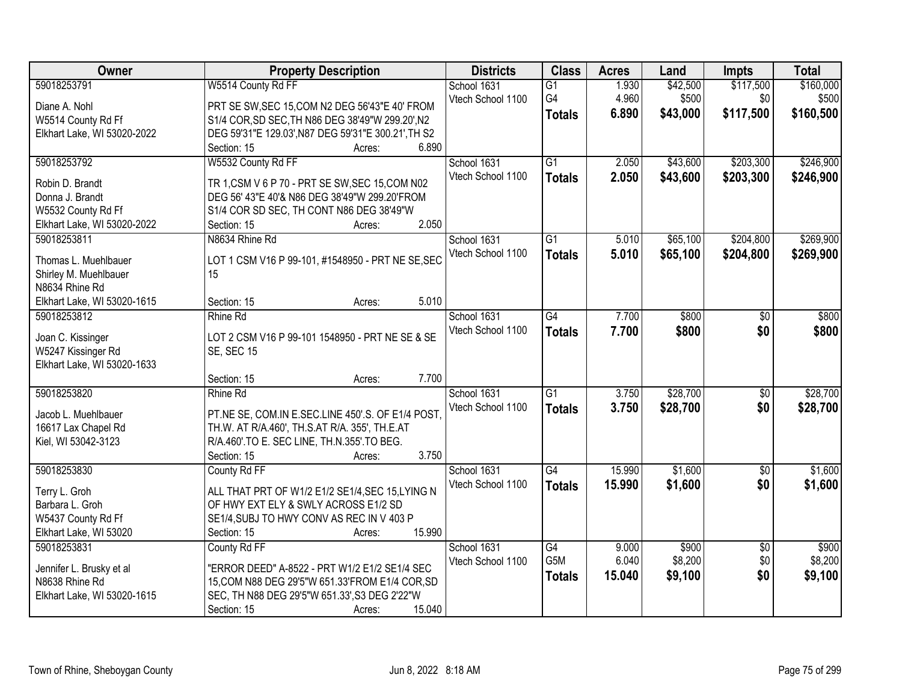| Owner                              | <b>Property Description</b>                         | <b>Districts</b>  | <b>Class</b>    | <b>Acres</b> | Land     | <b>Impts</b>    | <b>Total</b> |
|------------------------------------|-----------------------------------------------------|-------------------|-----------------|--------------|----------|-----------------|--------------|
| 59018253791                        | W5514 County Rd FF                                  | School 1631       | $\overline{G1}$ | 1.930        | \$42,500 | \$117,500       | \$160,000    |
| Diane A. Nohl                      | PRT SE SW, SEC 15, COM N2 DEG 56'43"E 40' FROM      | Vtech School 1100 | G4              | 4.960        | \$500    | \$0             | \$500        |
| W5514 County Rd Ff                 | S1/4 COR, SD SEC, TH N86 DEG 38'49"W 299.20', N2    |                   | <b>Totals</b>   | 6.890        | \$43,000 | \$117,500       | \$160,500    |
| Elkhart Lake, WI 53020-2022        | DEG 59'31"E 129.03', N87 DEG 59'31"E 300.21', TH S2 |                   |                 |              |          |                 |              |
|                                    | 6.890<br>Section: 15<br>Acres:                      |                   |                 |              |          |                 |              |
| 59018253792                        | W5532 County Rd FF                                  | School 1631       | $\overline{G1}$ | 2.050        | \$43,600 | \$203,300       | \$246,900    |
|                                    | TR 1, CSM V 6 P 70 - PRT SE SW, SEC 15, COM N02     | Vtech School 1100 | <b>Totals</b>   | 2.050        | \$43,600 | \$203,300       | \$246,900    |
| Robin D. Brandt<br>Donna J. Brandt | DEG 56' 43"E 40'& N86 DEG 38'49"W 299.20'FROM       |                   |                 |              |          |                 |              |
| W5532 County Rd Ff                 | S1/4 COR SD SEC, TH CONT N86 DEG 38'49"W            |                   |                 |              |          |                 |              |
| Elkhart Lake, WI 53020-2022        | 2.050<br>Section: 15<br>Acres:                      |                   |                 |              |          |                 |              |
| 59018253811                        | N8634 Rhine Rd                                      | School 1631       | G1              | 5.010        | \$65,100 | \$204,800       | \$269,900    |
|                                    |                                                     | Vtech School 1100 | <b>Totals</b>   | 5.010        | \$65,100 | \$204,800       | \$269,900    |
| Thomas L. Muehlbauer               | LOT 1 CSM V16 P 99-101, #1548950 - PRT NE SE, SEC   |                   |                 |              |          |                 |              |
| Shirley M. Muehlbauer              | 15                                                  |                   |                 |              |          |                 |              |
| N8634 Rhine Rd                     |                                                     |                   |                 |              |          |                 |              |
| Elkhart Lake, WI 53020-1615        | Section: 15<br>5.010<br>Acres:                      |                   |                 |              |          |                 |              |
| 59018253812                        | Rhine Rd                                            | School 1631       | G4              | 7.700        | \$800    | \$0             | \$800        |
| Joan C. Kissinger                  | LOT 2 CSM V16 P 99-101 1548950 - PRT NE SE & SE     | Vtech School 1100 | <b>Totals</b>   | 7.700        | \$800    | \$0             | \$800        |
| W5247 Kissinger Rd                 | <b>SE, SEC 15</b>                                   |                   |                 |              |          |                 |              |
| Elkhart Lake, WI 53020-1633        |                                                     |                   |                 |              |          |                 |              |
|                                    | 7.700<br>Section: 15<br>Acres:                      |                   |                 |              |          |                 |              |
| 59018253820                        | <b>Rhine Rd</b>                                     | School 1631       | $\overline{G1}$ | 3.750        | \$28,700 | $\overline{50}$ | \$28,700     |
| Jacob L. Muehlbauer                | PT.NE SE, COM.IN E.SEC.LINE 450'.S. OF E1/4 POST.   | Vtech School 1100 | <b>Totals</b>   | 3.750        | \$28,700 | \$0             | \$28,700     |
| 16617 Lax Chapel Rd                | TH.W. AT R/A.460', TH.S.AT R/A. 355', TH.E.AT       |                   |                 |              |          |                 |              |
| Kiel, WI 53042-3123                | R/A.460'.TO E. SEC LINE, TH.N.355'.TO BEG.          |                   |                 |              |          |                 |              |
|                                    | 3.750<br>Section: 15<br>Acres:                      |                   |                 |              |          |                 |              |
| 59018253830                        | County Rd FF                                        | School 1631       | G4              | 15.990       | \$1,600  | $\overline{50}$ | \$1,600      |
| Terry L. Groh                      | ALL THAT PRT OF W1/2 E1/2 SE1/4, SEC 15, LYING N    | Vtech School 1100 | <b>Totals</b>   | 15.990       | \$1,600  | \$0             | \$1,600      |
| Barbara L. Groh                    | OF HWY EXT ELY & SWLY ACROSS E1/2 SD                |                   |                 |              |          |                 |              |
| W5437 County Rd Ff                 | SE1/4, SUBJ TO HWY CONV AS REC IN V 403 P           |                   |                 |              |          |                 |              |
| Elkhart Lake, WI 53020             | 15.990<br>Section: 15<br>Acres:                     |                   |                 |              |          |                 |              |
| 59018253831                        | County Rd FF                                        | School 1631       | $\overline{G4}$ | 9.000        | \$900    | $\overline{30}$ | \$900        |
|                                    |                                                     | Vtech School 1100 | G5M             | 6.040        | \$8,200  | \$0             | \$8,200      |
| Jennifer L. Brusky et al           | "ERROR DEED" A-8522 - PRT W1/2 E1/2 SE1/4 SEC       |                   | <b>Totals</b>   | 15.040       | \$9,100  | \$0             | \$9,100      |
| N8638 Rhine Rd                     | 15, COM N88 DEG 29'5"W 651.33'FROM E1/4 COR, SD     |                   |                 |              |          |                 |              |
| Elkhart Lake, WI 53020-1615        | SEC, TH N88 DEG 29'5"W 651.33', S3 DEG 2'22"W       |                   |                 |              |          |                 |              |
|                                    | 15.040<br>Section: 15<br>Acres:                     |                   |                 |              |          |                 |              |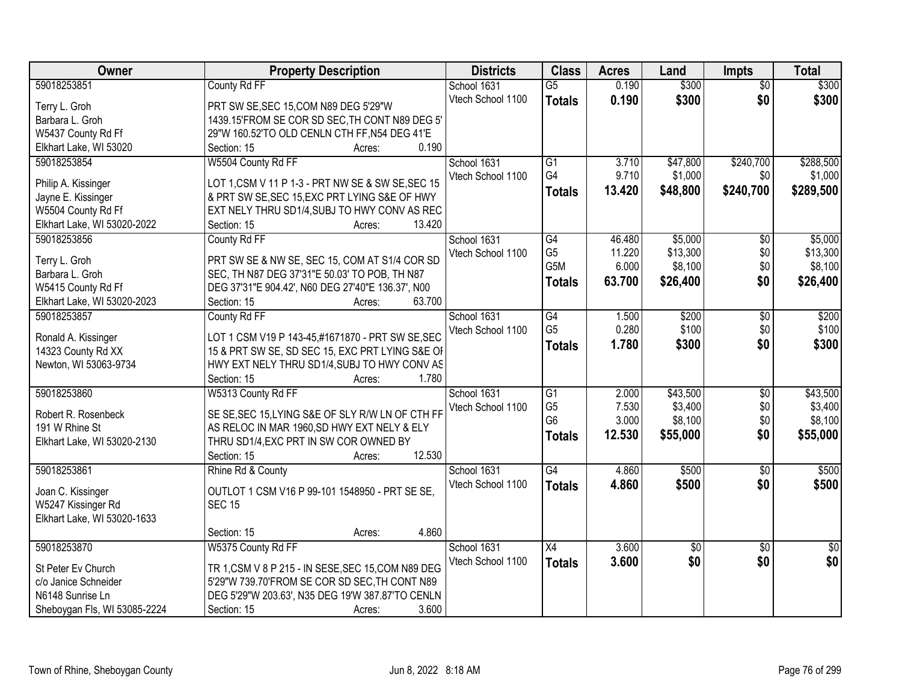| 59018253851<br>School 1631<br>$\overline{G5}$<br>0.190<br>$\overline{50}$<br>Vtech School 1100<br>\$300<br>0.190<br>\$300<br>\$0<br><b>Totals</b><br>Terry L. Groh<br>PRT SW SE, SEC 15, COM N89 DEG 5'29"W<br>1439.15'FROM SE COR SD SEC, TH CONT N89 DEG 5'<br>Barbara L. Groh<br>29"W 160.52'TO OLD CENLN CTH FF, N54 DEG 41'E<br>W5437 County Rd Ff<br>0.190<br>Elkhart Lake, WI 53020<br>Section: 15<br>Acres:<br>59018253854<br>W5504 County Rd FF<br>$\overline{G1}$<br>\$47,800<br>\$240,700<br>School 1631<br>3.710<br>G4<br>9.710<br>\$1,000<br>Vtech School 1100<br>\$0<br>LOT 1, CSM V 11 P 1-3 - PRT NW SE & SW SE, SEC 15<br>Philip A. Kissinger<br>13.420<br>\$48,800<br>\$240,700<br>\$289,500<br><b>Totals</b><br>& PRT SW SE, SEC 15, EXC PRT LYING S&E OF HWY<br>Jayne E. Kissinger<br>W5504 County Rd Ff<br>EXT NELY THRU SD1/4, SUBJ TO HWY CONV AS REC<br>13.420<br>Elkhart Lake, WI 53020-2022<br>Section: 15<br>Acres:<br>School 1631<br>\$5,000<br>59018253856<br>County Rd FF<br>G4<br>46.480<br>$\sqrt[6]{}$<br>G <sub>5</sub><br>\$13,300<br>\$0<br>11.220<br>Vtech School 1100<br>PRT SW SE & NW SE, SEC 15, COM AT S1/4 COR SD<br>Terry L. Groh<br>G5M<br>6.000<br>\$8,100<br>\$0<br>SEC, TH N87 DEG 37'31"E 50.03' TO POB, TH N87<br>Barbara L. Groh<br>\$0<br>63.700<br>\$26,400<br><b>Totals</b><br>DEG 37'31"E 904.42', N60 DEG 27'40"E 136.37', N00<br>W5415 County Rd Ff<br>63.700<br>Elkhart Lake, WI 53020-2023<br>Section: 15<br>Acres:<br>59018253857<br>County Rd FF<br>School 1631<br>$\overline{G4}$<br>\$200<br>$\overline{50}$<br>1.500<br>G <sub>5</sub><br>0.280<br>\$100<br>\$0<br>Vtech School 1100<br>LOT 1 CSM V19 P 143-45,#1671870 - PRT SW SE, SEC<br>Ronald A. Kissinger<br>\$0<br>1.780<br>\$300<br><b>Totals</b><br>15 & PRT SW SE, SD SEC 15, EXC PRT LYING S&E OF<br>14323 County Rd XX<br>Newton, WI 53063-9734<br>HWY EXT NELY THRU SD1/4, SUBJ TO HWY CONV AS<br>Section: 15<br>1.780<br>Acres:<br>59018253860<br>W5313 County Rd FF<br>$\overline{G1}$<br>2.000<br>\$43,500<br>$\overline{50}$<br>School 1631<br>G <sub>5</sub><br>7.530<br>\$3,400<br>\$0<br>Vtech School 1100<br>SE SE, SEC 15, LYING S&E OF SLY R/W LN OF CTH FF<br>Robert R. Rosenbeck<br>G <sub>6</sub><br>3.000<br>\$8,100<br>\$0<br>191 W Rhine St<br>AS RELOC IN MAR 1960, SD HWY EXT NELY & ELY<br>\$0<br>12.530<br>\$55,000<br><b>Totals</b><br>Elkhart Lake, WI 53020-2130<br>THRU SD1/4, EXC PRT IN SW COR OWNED BY<br>12.530<br>Section: 15<br>Acres:<br>$\overline{G4}$<br>59018253861<br>Rhine Rd & County<br>School 1631<br>4.860<br>\$500<br>$\sqrt{6}$<br>\$0<br>4.860<br>\$500<br>Vtech School 1100<br><b>Totals</b><br>OUTLOT 1 CSM V16 P 99-101 1548950 - PRT SE SE,<br>Joan C. Kissinger<br><b>SEC 15</b><br>W5247 Kissinger Rd<br>Elkhart Lake, WI 53020-1633<br>4.860<br>Section: 15<br>Acres:<br>W5375 County Rd FF<br>3.600<br>59018253870<br>School 1631<br>$\overline{X4}$<br>$\overline{50}$<br>$\overline{50}$<br>\$0<br>\$0<br>\$0<br>3.600<br>Vtech School 1100<br><b>Totals</b><br>TR 1, CSM V 8 P 215 - IN SESE, SEC 15, COM N89 DEG<br>St Peter Ev Church<br>5'29"W 739.70'FROM SE COR SD SEC, TH CONT N89<br>c/o Janice Schneider<br>N6148 Sunrise Ln<br>DEG 5'29"W 203.63', N35 DEG 19'W 387.87'TO CENLN | Owner                        | <b>Property Description</b> | <b>Districts</b> | <b>Class</b> | <b>Acres</b> | Land  | Impts | <b>Total</b> |
|------------------------------------------------------------------------------------------------------------------------------------------------------------------------------------------------------------------------------------------------------------------------------------------------------------------------------------------------------------------------------------------------------------------------------------------------------------------------------------------------------------------------------------------------------------------------------------------------------------------------------------------------------------------------------------------------------------------------------------------------------------------------------------------------------------------------------------------------------------------------------------------------------------------------------------------------------------------------------------------------------------------------------------------------------------------------------------------------------------------------------------------------------------------------------------------------------------------------------------------------------------------------------------------------------------------------------------------------------------------------------------------------------------------------------------------------------------------------------------------------------------------------------------------------------------------------------------------------------------------------------------------------------------------------------------------------------------------------------------------------------------------------------------------------------------------------------------------------------------------------------------------------------------------------------------------------------------------------------------------------------------------------------------------------------------------------------------------------------------------------------------------------------------------------------------------------------------------------------------------------------------------------------------------------------------------------------------------------------------------------------------------------------------------------------------------------------------------------------------------------------------------------------------------------------------------------------------------------------------------------------------------------------------------------------------------------------------------------------------------------------------------------------------------------------------------------------------------------------------------------------------------------------------------------------------------------------------------------------------------------------------------------------------------------------------------------------------------------------------------------------------------------------------------------------------------------------------------------------------------------------------------------------|------------------------------|-----------------------------|------------------|--------------|--------------|-------|-------|--------------|
|                                                                                                                                                                                                                                                                                                                                                                                                                                                                                                                                                                                                                                                                                                                                                                                                                                                                                                                                                                                                                                                                                                                                                                                                                                                                                                                                                                                                                                                                                                                                                                                                                                                                                                                                                                                                                                                                                                                                                                                                                                                                                                                                                                                                                                                                                                                                                                                                                                                                                                                                                                                                                                                                                                                                                                                                                                                                                                                                                                                                                                                                                                                                                                                                                                                                              |                              | County Rd FF                |                  |              |              | \$300 |       | \$300        |
| \$55,000                                                                                                                                                                                                                                                                                                                                                                                                                                                                                                                                                                                                                                                                                                                                                                                                                                                                                                                                                                                                                                                                                                                                                                                                                                                                                                                                                                                                                                                                                                                                                                                                                                                                                                                                                                                                                                                                                                                                                                                                                                                                                                                                                                                                                                                                                                                                                                                                                                                                                                                                                                                                                                                                                                                                                                                                                                                                                                                                                                                                                                                                                                                                                                                                                                                                     |                              |                             |                  |              |              |       |       |              |
|                                                                                                                                                                                                                                                                                                                                                                                                                                                                                                                                                                                                                                                                                                                                                                                                                                                                                                                                                                                                                                                                                                                                                                                                                                                                                                                                                                                                                                                                                                                                                                                                                                                                                                                                                                                                                                                                                                                                                                                                                                                                                                                                                                                                                                                                                                                                                                                                                                                                                                                                                                                                                                                                                                                                                                                                                                                                                                                                                                                                                                                                                                                                                                                                                                                                              |                              |                             |                  |              |              |       |       |              |
| \$288,500<br>\$1,000<br>\$5,000<br>\$13,300<br>\$8,100                                                                                                                                                                                                                                                                                                                                                                                                                                                                                                                                                                                                                                                                                                                                                                                                                                                                                                                                                                                                                                                                                                                                                                                                                                                                                                                                                                                                                                                                                                                                                                                                                                                                                                                                                                                                                                                                                                                                                                                                                                                                                                                                                                                                                                                                                                                                                                                                                                                                                                                                                                                                                                                                                                                                                                                                                                                                                                                                                                                                                                                                                                                                                                                                                       |                              |                             |                  |              |              |       |       |              |
|                                                                                                                                                                                                                                                                                                                                                                                                                                                                                                                                                                                                                                                                                                                                                                                                                                                                                                                                                                                                                                                                                                                                                                                                                                                                                                                                                                                                                                                                                                                                                                                                                                                                                                                                                                                                                                                                                                                                                                                                                                                                                                                                                                                                                                                                                                                                                                                                                                                                                                                                                                                                                                                                                                                                                                                                                                                                                                                                                                                                                                                                                                                                                                                                                                                                              |                              |                             |                  |              |              |       |       |              |
|                                                                                                                                                                                                                                                                                                                                                                                                                                                                                                                                                                                                                                                                                                                                                                                                                                                                                                                                                                                                                                                                                                                                                                                                                                                                                                                                                                                                                                                                                                                                                                                                                                                                                                                                                                                                                                                                                                                                                                                                                                                                                                                                                                                                                                                                                                                                                                                                                                                                                                                                                                                                                                                                                                                                                                                                                                                                                                                                                                                                                                                                                                                                                                                                                                                                              |                              |                             |                  |              |              |       |       |              |
|                                                                                                                                                                                                                                                                                                                                                                                                                                                                                                                                                                                                                                                                                                                                                                                                                                                                                                                                                                                                                                                                                                                                                                                                                                                                                                                                                                                                                                                                                                                                                                                                                                                                                                                                                                                                                                                                                                                                                                                                                                                                                                                                                                                                                                                                                                                                                                                                                                                                                                                                                                                                                                                                                                                                                                                                                                                                                                                                                                                                                                                                                                                                                                                                                                                                              |                              |                             |                  |              |              |       |       |              |
|                                                                                                                                                                                                                                                                                                                                                                                                                                                                                                                                                                                                                                                                                                                                                                                                                                                                                                                                                                                                                                                                                                                                                                                                                                                                                                                                                                                                                                                                                                                                                                                                                                                                                                                                                                                                                                                                                                                                                                                                                                                                                                                                                                                                                                                                                                                                                                                                                                                                                                                                                                                                                                                                                                                                                                                                                                                                                                                                                                                                                                                                                                                                                                                                                                                                              |                              |                             |                  |              |              |       |       |              |
|                                                                                                                                                                                                                                                                                                                                                                                                                                                                                                                                                                                                                                                                                                                                                                                                                                                                                                                                                                                                                                                                                                                                                                                                                                                                                                                                                                                                                                                                                                                                                                                                                                                                                                                                                                                                                                                                                                                                                                                                                                                                                                                                                                                                                                                                                                                                                                                                                                                                                                                                                                                                                                                                                                                                                                                                                                                                                                                                                                                                                                                                                                                                                                                                                                                                              |                              |                             |                  |              |              |       |       |              |
|                                                                                                                                                                                                                                                                                                                                                                                                                                                                                                                                                                                                                                                                                                                                                                                                                                                                                                                                                                                                                                                                                                                                                                                                                                                                                                                                                                                                                                                                                                                                                                                                                                                                                                                                                                                                                                                                                                                                                                                                                                                                                                                                                                                                                                                                                                                                                                                                                                                                                                                                                                                                                                                                                                                                                                                                                                                                                                                                                                                                                                                                                                                                                                                                                                                                              |                              |                             |                  |              |              |       |       |              |
|                                                                                                                                                                                                                                                                                                                                                                                                                                                                                                                                                                                                                                                                                                                                                                                                                                                                                                                                                                                                                                                                                                                                                                                                                                                                                                                                                                                                                                                                                                                                                                                                                                                                                                                                                                                                                                                                                                                                                                                                                                                                                                                                                                                                                                                                                                                                                                                                                                                                                                                                                                                                                                                                                                                                                                                                                                                                                                                                                                                                                                                                                                                                                                                                                                                                              |                              |                             |                  |              |              |       |       |              |
|                                                                                                                                                                                                                                                                                                                                                                                                                                                                                                                                                                                                                                                                                                                                                                                                                                                                                                                                                                                                                                                                                                                                                                                                                                                                                                                                                                                                                                                                                                                                                                                                                                                                                                                                                                                                                                                                                                                                                                                                                                                                                                                                                                                                                                                                                                                                                                                                                                                                                                                                                                                                                                                                                                                                                                                                                                                                                                                                                                                                                                                                                                                                                                                                                                                                              |                              |                             |                  |              |              |       |       |              |
| \$26,400<br>\$200<br>\$100<br>\$300<br>\$43,500<br>\$3,400<br>\$8,100<br>\$500<br>\$500<br>$\overline{50}$                                                                                                                                                                                                                                                                                                                                                                                                                                                                                                                                                                                                                                                                                                                                                                                                                                                                                                                                                                                                                                                                                                                                                                                                                                                                                                                                                                                                                                                                                                                                                                                                                                                                                                                                                                                                                                                                                                                                                                                                                                                                                                                                                                                                                                                                                                                                                                                                                                                                                                                                                                                                                                                                                                                                                                                                                                                                                                                                                                                                                                                                                                                                                                   |                              |                             |                  |              |              |       |       |              |
|                                                                                                                                                                                                                                                                                                                                                                                                                                                                                                                                                                                                                                                                                                                                                                                                                                                                                                                                                                                                                                                                                                                                                                                                                                                                                                                                                                                                                                                                                                                                                                                                                                                                                                                                                                                                                                                                                                                                                                                                                                                                                                                                                                                                                                                                                                                                                                                                                                                                                                                                                                                                                                                                                                                                                                                                                                                                                                                                                                                                                                                                                                                                                                                                                                                                              |                              |                             |                  |              |              |       |       |              |
|                                                                                                                                                                                                                                                                                                                                                                                                                                                                                                                                                                                                                                                                                                                                                                                                                                                                                                                                                                                                                                                                                                                                                                                                                                                                                                                                                                                                                                                                                                                                                                                                                                                                                                                                                                                                                                                                                                                                                                                                                                                                                                                                                                                                                                                                                                                                                                                                                                                                                                                                                                                                                                                                                                                                                                                                                                                                                                                                                                                                                                                                                                                                                                                                                                                                              |                              |                             |                  |              |              |       |       |              |
|                                                                                                                                                                                                                                                                                                                                                                                                                                                                                                                                                                                                                                                                                                                                                                                                                                                                                                                                                                                                                                                                                                                                                                                                                                                                                                                                                                                                                                                                                                                                                                                                                                                                                                                                                                                                                                                                                                                                                                                                                                                                                                                                                                                                                                                                                                                                                                                                                                                                                                                                                                                                                                                                                                                                                                                                                                                                                                                                                                                                                                                                                                                                                                                                                                                                              |                              |                             |                  |              |              |       |       |              |
|                                                                                                                                                                                                                                                                                                                                                                                                                                                                                                                                                                                                                                                                                                                                                                                                                                                                                                                                                                                                                                                                                                                                                                                                                                                                                                                                                                                                                                                                                                                                                                                                                                                                                                                                                                                                                                                                                                                                                                                                                                                                                                                                                                                                                                                                                                                                                                                                                                                                                                                                                                                                                                                                                                                                                                                                                                                                                                                                                                                                                                                                                                                                                                                                                                                                              |                              |                             |                  |              |              |       |       |              |
|                                                                                                                                                                                                                                                                                                                                                                                                                                                                                                                                                                                                                                                                                                                                                                                                                                                                                                                                                                                                                                                                                                                                                                                                                                                                                                                                                                                                                                                                                                                                                                                                                                                                                                                                                                                                                                                                                                                                                                                                                                                                                                                                                                                                                                                                                                                                                                                                                                                                                                                                                                                                                                                                                                                                                                                                                                                                                                                                                                                                                                                                                                                                                                                                                                                                              |                              |                             |                  |              |              |       |       |              |
|                                                                                                                                                                                                                                                                                                                                                                                                                                                                                                                                                                                                                                                                                                                                                                                                                                                                                                                                                                                                                                                                                                                                                                                                                                                                                                                                                                                                                                                                                                                                                                                                                                                                                                                                                                                                                                                                                                                                                                                                                                                                                                                                                                                                                                                                                                                                                                                                                                                                                                                                                                                                                                                                                                                                                                                                                                                                                                                                                                                                                                                                                                                                                                                                                                                                              |                              |                             |                  |              |              |       |       |              |
|                                                                                                                                                                                                                                                                                                                                                                                                                                                                                                                                                                                                                                                                                                                                                                                                                                                                                                                                                                                                                                                                                                                                                                                                                                                                                                                                                                                                                                                                                                                                                                                                                                                                                                                                                                                                                                                                                                                                                                                                                                                                                                                                                                                                                                                                                                                                                                                                                                                                                                                                                                                                                                                                                                                                                                                                                                                                                                                                                                                                                                                                                                                                                                                                                                                                              |                              |                             |                  |              |              |       |       |              |
|                                                                                                                                                                                                                                                                                                                                                                                                                                                                                                                                                                                                                                                                                                                                                                                                                                                                                                                                                                                                                                                                                                                                                                                                                                                                                                                                                                                                                                                                                                                                                                                                                                                                                                                                                                                                                                                                                                                                                                                                                                                                                                                                                                                                                                                                                                                                                                                                                                                                                                                                                                                                                                                                                                                                                                                                                                                                                                                                                                                                                                                                                                                                                                                                                                                                              |                              |                             |                  |              |              |       |       |              |
|                                                                                                                                                                                                                                                                                                                                                                                                                                                                                                                                                                                                                                                                                                                                                                                                                                                                                                                                                                                                                                                                                                                                                                                                                                                                                                                                                                                                                                                                                                                                                                                                                                                                                                                                                                                                                                                                                                                                                                                                                                                                                                                                                                                                                                                                                                                                                                                                                                                                                                                                                                                                                                                                                                                                                                                                                                                                                                                                                                                                                                                                                                                                                                                                                                                                              |                              |                             |                  |              |              |       |       |              |
|                                                                                                                                                                                                                                                                                                                                                                                                                                                                                                                                                                                                                                                                                                                                                                                                                                                                                                                                                                                                                                                                                                                                                                                                                                                                                                                                                                                                                                                                                                                                                                                                                                                                                                                                                                                                                                                                                                                                                                                                                                                                                                                                                                                                                                                                                                                                                                                                                                                                                                                                                                                                                                                                                                                                                                                                                                                                                                                                                                                                                                                                                                                                                                                                                                                                              |                              |                             |                  |              |              |       |       |              |
|                                                                                                                                                                                                                                                                                                                                                                                                                                                                                                                                                                                                                                                                                                                                                                                                                                                                                                                                                                                                                                                                                                                                                                                                                                                                                                                                                                                                                                                                                                                                                                                                                                                                                                                                                                                                                                                                                                                                                                                                                                                                                                                                                                                                                                                                                                                                                                                                                                                                                                                                                                                                                                                                                                                                                                                                                                                                                                                                                                                                                                                                                                                                                                                                                                                                              |                              |                             |                  |              |              |       |       |              |
|                                                                                                                                                                                                                                                                                                                                                                                                                                                                                                                                                                                                                                                                                                                                                                                                                                                                                                                                                                                                                                                                                                                                                                                                                                                                                                                                                                                                                                                                                                                                                                                                                                                                                                                                                                                                                                                                                                                                                                                                                                                                                                                                                                                                                                                                                                                                                                                                                                                                                                                                                                                                                                                                                                                                                                                                                                                                                                                                                                                                                                                                                                                                                                                                                                                                              |                              |                             |                  |              |              |       |       |              |
|                                                                                                                                                                                                                                                                                                                                                                                                                                                                                                                                                                                                                                                                                                                                                                                                                                                                                                                                                                                                                                                                                                                                                                                                                                                                                                                                                                                                                                                                                                                                                                                                                                                                                                                                                                                                                                                                                                                                                                                                                                                                                                                                                                                                                                                                                                                                                                                                                                                                                                                                                                                                                                                                                                                                                                                                                                                                                                                                                                                                                                                                                                                                                                                                                                                                              |                              |                             |                  |              |              |       |       |              |
|                                                                                                                                                                                                                                                                                                                                                                                                                                                                                                                                                                                                                                                                                                                                                                                                                                                                                                                                                                                                                                                                                                                                                                                                                                                                                                                                                                                                                                                                                                                                                                                                                                                                                                                                                                                                                                                                                                                                                                                                                                                                                                                                                                                                                                                                                                                                                                                                                                                                                                                                                                                                                                                                                                                                                                                                                                                                                                                                                                                                                                                                                                                                                                                                                                                                              |                              |                             |                  |              |              |       |       |              |
|                                                                                                                                                                                                                                                                                                                                                                                                                                                                                                                                                                                                                                                                                                                                                                                                                                                                                                                                                                                                                                                                                                                                                                                                                                                                                                                                                                                                                                                                                                                                                                                                                                                                                                                                                                                                                                                                                                                                                                                                                                                                                                                                                                                                                                                                                                                                                                                                                                                                                                                                                                                                                                                                                                                                                                                                                                                                                                                                                                                                                                                                                                                                                                                                                                                                              |                              |                             |                  |              |              |       |       |              |
|                                                                                                                                                                                                                                                                                                                                                                                                                                                                                                                                                                                                                                                                                                                                                                                                                                                                                                                                                                                                                                                                                                                                                                                                                                                                                                                                                                                                                                                                                                                                                                                                                                                                                                                                                                                                                                                                                                                                                                                                                                                                                                                                                                                                                                                                                                                                                                                                                                                                                                                                                                                                                                                                                                                                                                                                                                                                                                                                                                                                                                                                                                                                                                                                                                                                              |                              |                             |                  |              |              |       |       |              |
|                                                                                                                                                                                                                                                                                                                                                                                                                                                                                                                                                                                                                                                                                                                                                                                                                                                                                                                                                                                                                                                                                                                                                                                                                                                                                                                                                                                                                                                                                                                                                                                                                                                                                                                                                                                                                                                                                                                                                                                                                                                                                                                                                                                                                                                                                                                                                                                                                                                                                                                                                                                                                                                                                                                                                                                                                                                                                                                                                                                                                                                                                                                                                                                                                                                                              |                              |                             |                  |              |              |       |       |              |
|                                                                                                                                                                                                                                                                                                                                                                                                                                                                                                                                                                                                                                                                                                                                                                                                                                                                                                                                                                                                                                                                                                                                                                                                                                                                                                                                                                                                                                                                                                                                                                                                                                                                                                                                                                                                                                                                                                                                                                                                                                                                                                                                                                                                                                                                                                                                                                                                                                                                                                                                                                                                                                                                                                                                                                                                                                                                                                                                                                                                                                                                                                                                                                                                                                                                              |                              |                             |                  |              |              |       |       |              |
|                                                                                                                                                                                                                                                                                                                                                                                                                                                                                                                                                                                                                                                                                                                                                                                                                                                                                                                                                                                                                                                                                                                                                                                                                                                                                                                                                                                                                                                                                                                                                                                                                                                                                                                                                                                                                                                                                                                                                                                                                                                                                                                                                                                                                                                                                                                                                                                                                                                                                                                                                                                                                                                                                                                                                                                                                                                                                                                                                                                                                                                                                                                                                                                                                                                                              |                              |                             |                  |              |              |       |       |              |
|                                                                                                                                                                                                                                                                                                                                                                                                                                                                                                                                                                                                                                                                                                                                                                                                                                                                                                                                                                                                                                                                                                                                                                                                                                                                                                                                                                                                                                                                                                                                                                                                                                                                                                                                                                                                                                                                                                                                                                                                                                                                                                                                                                                                                                                                                                                                                                                                                                                                                                                                                                                                                                                                                                                                                                                                                                                                                                                                                                                                                                                                                                                                                                                                                                                                              |                              |                             |                  |              |              |       |       |              |
|                                                                                                                                                                                                                                                                                                                                                                                                                                                                                                                                                                                                                                                                                                                                                                                                                                                                                                                                                                                                                                                                                                                                                                                                                                                                                                                                                                                                                                                                                                                                                                                                                                                                                                                                                                                                                                                                                                                                                                                                                                                                                                                                                                                                                                                                                                                                                                                                                                                                                                                                                                                                                                                                                                                                                                                                                                                                                                                                                                                                                                                                                                                                                                                                                                                                              |                              |                             |                  |              |              |       |       |              |
|                                                                                                                                                                                                                                                                                                                                                                                                                                                                                                                                                                                                                                                                                                                                                                                                                                                                                                                                                                                                                                                                                                                                                                                                                                                                                                                                                                                                                                                                                                                                                                                                                                                                                                                                                                                                                                                                                                                                                                                                                                                                                                                                                                                                                                                                                                                                                                                                                                                                                                                                                                                                                                                                                                                                                                                                                                                                                                                                                                                                                                                                                                                                                                                                                                                                              |                              |                             |                  |              |              |       |       |              |
|                                                                                                                                                                                                                                                                                                                                                                                                                                                                                                                                                                                                                                                                                                                                                                                                                                                                                                                                                                                                                                                                                                                                                                                                                                                                                                                                                                                                                                                                                                                                                                                                                                                                                                                                                                                                                                                                                                                                                                                                                                                                                                                                                                                                                                                                                                                                                                                                                                                                                                                                                                                                                                                                                                                                                                                                                                                                                                                                                                                                                                                                                                                                                                                                                                                                              |                              |                             |                  |              |              |       |       |              |
| Acres:                                                                                                                                                                                                                                                                                                                                                                                                                                                                                                                                                                                                                                                                                                                                                                                                                                                                                                                                                                                                                                                                                                                                                                                                                                                                                                                                                                                                                                                                                                                                                                                                                                                                                                                                                                                                                                                                                                                                                                                                                                                                                                                                                                                                                                                                                                                                                                                                                                                                                                                                                                                                                                                                                                                                                                                                                                                                                                                                                                                                                                                                                                                                                                                                                                                                       | Sheboygan Fls, WI 53085-2224 | 3.600<br>Section: 15        |                  |              |              |       |       |              |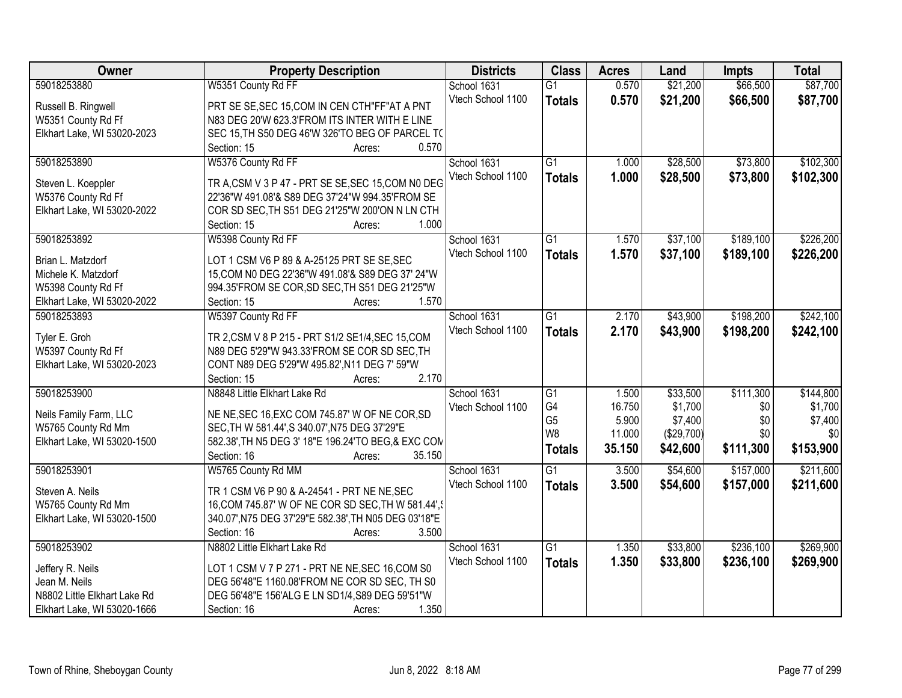| <b>Owner</b>                 | <b>Property Description</b>                          | <b>Districts</b>  | <b>Class</b>    | <b>Acres</b> | Land       | <b>Impts</b> | <b>Total</b> |
|------------------------------|------------------------------------------------------|-------------------|-----------------|--------------|------------|--------------|--------------|
| 59018253880                  | W5351 County Rd FF                                   | School 1631       | $\overline{G1}$ | 0.570        | \$21,200   | \$66,500     | \$87,700     |
| Russell B. Ringwell          | PRT SE SE, SEC 15, COM IN CEN CTH"FF" AT A PNT       | Vtech School 1100 | <b>Totals</b>   | 0.570        | \$21,200   | \$66,500     | \$87,700     |
| W5351 County Rd Ff           | N83 DEG 20'W 623.3'FROM ITS INTER WITH E LINE        |                   |                 |              |            |              |              |
| Elkhart Lake, WI 53020-2023  | SEC 15, TH S50 DEG 46'W 326'TO BEG OF PARCEL T(      |                   |                 |              |            |              |              |
|                              | 0.570<br>Section: 15<br>Acres:                       |                   |                 |              |            |              |              |
| 59018253890                  | W5376 County Rd FF                                   | School 1631       | $\overline{G1}$ | 1.000        | \$28,500   | \$73,800     | \$102,300    |
|                              |                                                      | Vtech School 1100 |                 | 1.000        | \$28,500   | \$73,800     | \$102,300    |
| Steven L. Koeppler           | TR A, CSM V 3 P 47 - PRT SE SE, SEC 15, COM N0 DEG   |                   | <b>Totals</b>   |              |            |              |              |
| W5376 County Rd Ff           | 22'36"W 491.08'& S89 DEG 37'24"W 994.35'FROM SE      |                   |                 |              |            |              |              |
| Elkhart Lake, WI 53020-2022  | COR SD SEC, TH S51 DEG 21'25"W 200'ON N LN CTH       |                   |                 |              |            |              |              |
|                              | 1.000<br>Section: 15<br>Acres:                       |                   |                 |              |            |              |              |
| 59018253892                  | W5398 County Rd FF                                   | School 1631       | $\overline{G1}$ | 1.570        | \$37,100   | \$189,100    | \$226,200    |
|                              |                                                      | Vtech School 1100 | <b>Totals</b>   | 1.570        | \$37,100   | \$189,100    | \$226,200    |
| Brian L. Matzdorf            | LOT 1 CSM V6 P 89 & A-25125 PRT SE SE, SEC           |                   |                 |              |            |              |              |
| Michele K. Matzdorf          | 15, COM N0 DEG 22'36"W 491.08'& S89 DEG 37' 24"W     |                   |                 |              |            |              |              |
| W5398 County Rd Ff           | 994.35'FROM SE COR, SD SEC, TH S51 DEG 21'25"W       |                   |                 |              |            |              |              |
| Elkhart Lake, WI 53020-2022  | Section: 15<br>1.570<br>Acres:                       |                   |                 |              |            |              |              |
| 59018253893                  | W5397 County Rd FF                                   | School 1631       | $\overline{G1}$ | 2.170        | \$43,900   | \$198,200    | \$242,100    |
| Tyler E. Groh                | TR 2, CSM V 8 P 215 - PRT S1/2 SE1/4, SEC 15, COM    | Vtech School 1100 | <b>Totals</b>   | 2.170        | \$43,900   | \$198,200    | \$242,100    |
| W5397 County Rd Ff           | N89 DEG 5'29"W 943.33'FROM SE COR SD SEC, TH         |                   |                 |              |            |              |              |
| Elkhart Lake, WI 53020-2023  | CONT N89 DEG 5'29"W 495.82', N11 DEG 7' 59"W         |                   |                 |              |            |              |              |
|                              | 2.170<br>Section: 15<br>Acres:                       |                   |                 |              |            |              |              |
| 59018253900                  | N8848 Little Elkhart Lake Rd                         | School 1631       | $\overline{G1}$ | 1.500        | \$33,500   | \$111,300    | \$144,800    |
|                              |                                                      | Vtech School 1100 | G4              | 16.750       | \$1,700    | \$0          | \$1,700      |
| Neils Family Farm, LLC       | NE NE, SEC 16, EXC COM 745.87' W OF NE COR, SD       |                   | G <sub>5</sub>  | 5.900        | \$7,400    | \$0          | \$7,400      |
| W5765 County Rd Mm           | SEC, TH W 581.44', S 340.07', N75 DEG 37'29"E        |                   | W <sub>8</sub>  | 11.000       | (\$29,700) | \$0          | \$0          |
| Elkhart Lake, WI 53020-1500  | 582.38', TH N5 DEG 3' 18"E 196.24'TO BEG, & EXC CON  |                   | <b>Totals</b>   | 35.150       | \$42,600   | \$111,300    | \$153,900    |
|                              | Section: 16<br>35.150<br>Acres:                      |                   |                 |              |            |              |              |
| 59018253901                  | W5765 County Rd MM                                   | School 1631       | G1              | 3.500        | \$54,600   | \$157,000    | \$211,600    |
| Steven A. Neils              | TR 1 CSM V6 P 90 & A-24541 - PRT NE NE, SEC          | Vtech School 1100 | <b>Totals</b>   | 3.500        | \$54,600   | \$157,000    | \$211,600    |
| W5765 County Rd Mm           | 16, COM 745.87' W OF NE COR SD SEC, TH W 581.44', \  |                   |                 |              |            |              |              |
| Elkhart Lake, WI 53020-1500  | 340.07', N75 DEG 37'29"E 582.38', TH N05 DEG 03'18"E |                   |                 |              |            |              |              |
|                              | 3.500<br>Section: 16<br>Acres:                       |                   |                 |              |            |              |              |
| 59018253902                  | N8802 Little Elkhart Lake Rd                         | School 1631       | $\overline{G1}$ | 1.350        | \$33,800   | \$236,100    | \$269,900    |
|                              |                                                      | Vtech School 1100 |                 |              |            |              |              |
| Jeffery R. Neils             | LOT 1 CSM V 7 P 271 - PRT NE NE, SEC 16, COM S0      |                   | <b>Totals</b>   | 1.350        | \$33,800   | \$236,100    | \$269,900    |
| Jean M. Neils                | DEG 56'48"E 1160.08'FROM NE COR SD SEC, TH S0        |                   |                 |              |            |              |              |
| N8802 Little Elkhart Lake Rd | DEG 56'48"E 156'ALG E LN SD1/4, S89 DEG 59'51"W      |                   |                 |              |            |              |              |
| Elkhart Lake, WI 53020-1666  | 1.350<br>Section: 16<br>Acres:                       |                   |                 |              |            |              |              |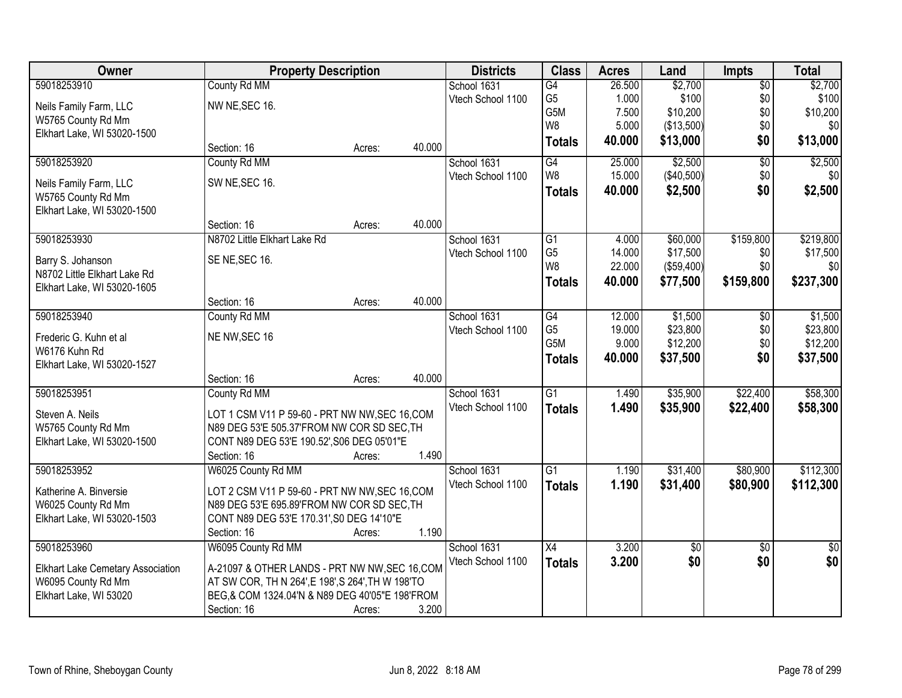| Owner                                    |                                                   | <b>Property Description</b> |        | <b>Districts</b>  | <b>Class</b>     | <b>Acres</b> | Land            | <b>Impts</b>    | <b>Total</b>    |
|------------------------------------------|---------------------------------------------------|-----------------------------|--------|-------------------|------------------|--------------|-----------------|-----------------|-----------------|
| 59018253910                              | County Rd MM                                      |                             |        | School 1631       | $\overline{G4}$  | 26.500       | \$2,700         | $\overline{50}$ | \$2,700         |
| Neils Family Farm, LLC                   | NW NE, SEC 16.                                    |                             |        | Vtech School 1100 | G <sub>5</sub>   | 1.000        | \$100           | \$0             | \$100           |
| W5765 County Rd Mm                       |                                                   |                             |        |                   | G <sub>5</sub> M | 7.500        | \$10,200        | \$0             | \$10,200        |
| Elkhart Lake, WI 53020-1500              |                                                   |                             |        |                   | W <sub>8</sub>   | 5.000        | (\$13,500)      | \$0             | \$0             |
|                                          | Section: 16                                       | Acres:                      | 40.000 |                   | <b>Totals</b>    | 40.000       | \$13,000        | \$0             | \$13,000        |
| 59018253920                              | County Rd MM                                      |                             |        | School 1631       | G4               | 25.000       | \$2,500         | $\overline{50}$ | \$2,500         |
| Neils Family Farm, LLC                   | SW NE, SEC 16.                                    |                             |        | Vtech School 1100 | W <sub>8</sub>   | 15.000       | (\$40,500)      | \$0             | \$0             |
| W5765 County Rd Mm                       |                                                   |                             |        |                   | <b>Totals</b>    | 40.000       | \$2,500         | \$0             | \$2,500         |
| Elkhart Lake, WI 53020-1500              |                                                   |                             |        |                   |                  |              |                 |                 |                 |
|                                          | Section: 16                                       | Acres:                      | 40.000 |                   |                  |              |                 |                 |                 |
| 59018253930                              | N8702 Little Elkhart Lake Rd                      |                             |        | School 1631       | $\overline{G1}$  | 4.000        | \$60,000        | \$159,800       | \$219,800       |
| Barry S. Johanson                        | SE NE, SEC 16.                                    |                             |        | Vtech School 1100 | G <sub>5</sub>   | 14.000       | \$17,500        | \$0             | \$17,500        |
| N8702 Little Elkhart Lake Rd             |                                                   |                             |        |                   | W <sub>8</sub>   | 22.000       | (\$59,400)      | \$0             | \$0             |
| Elkhart Lake, WI 53020-1605              |                                                   |                             |        |                   | <b>Totals</b>    | 40.000       | \$77,500        | \$159,800       | \$237,300       |
|                                          | Section: 16                                       | Acres:                      | 40.000 |                   |                  |              |                 |                 |                 |
| 59018253940                              | County Rd MM                                      |                             |        | School 1631       | G4               | 12.000       | \$1,500         | $\sqrt[6]{3}$   | \$1,500         |
| Frederic G. Kuhn et al                   | NE NW, SEC 16                                     |                             |        | Vtech School 1100 | G <sub>5</sub>   | 19.000       | \$23,800        | \$0             | \$23,800        |
| W6176 Kuhn Rd                            |                                                   |                             |        |                   | G5M              | 9.000        | \$12,200        | \$0             | \$12,200        |
| Elkhart Lake, WI 53020-1527              |                                                   |                             |        |                   | <b>Totals</b>    | 40.000       | \$37,500        | \$0             | \$37,500        |
|                                          | Section: 16                                       | Acres:                      | 40.000 |                   |                  |              |                 |                 |                 |
| 59018253951                              | County Rd MM                                      |                             |        | School 1631       | $\overline{G1}$  | 1.490        | \$35,900        | \$22,400        | \$58,300        |
| Steven A. Neils                          | LOT 1 CSM V11 P 59-60 - PRT NW NW, SEC 16, COM    |                             |        | Vtech School 1100 | <b>Totals</b>    | 1.490        | \$35,900        | \$22,400        | \$58,300        |
| W5765 County Rd Mm                       | N89 DEG 53'E 505.37'FROM NW COR SD SEC, TH        |                             |        |                   |                  |              |                 |                 |                 |
| Elkhart Lake, WI 53020-1500              | CONT N89 DEG 53'E 190.52', S06 DEG 05'01"E        |                             |        |                   |                  |              |                 |                 |                 |
|                                          | Section: 16                                       | Acres:                      | 1.490  |                   |                  |              |                 |                 |                 |
| 59018253952                              | W6025 County Rd MM                                |                             |        | School 1631       | $\overline{G1}$  | 1.190        | \$31,400        | \$80,900        | \$112,300       |
| Katherine A. Binversie                   | LOT 2 CSM V11 P 59-60 - PRT NW NW, SEC 16, COM    |                             |        | Vtech School 1100 | <b>Totals</b>    | 1.190        | \$31,400        | \$80,900        | \$112,300       |
| W6025 County Rd Mm                       | N89 DEG 53'E 695.89'FROM NW COR SD SEC, TH        |                             |        |                   |                  |              |                 |                 |                 |
| Elkhart Lake, WI 53020-1503              | CONT N89 DEG 53'E 170.31', S0 DEG 14'10"E         |                             |        |                   |                  |              |                 |                 |                 |
|                                          | Section: 16                                       | Acres:                      | 1.190  |                   |                  |              |                 |                 |                 |
| 59018253960                              | W6095 County Rd MM                                |                             |        | School 1631       | $\overline{X4}$  | 3.200        | $\overline{50}$ | $\overline{30}$ | $\overline{50}$ |
| <b>Elkhart Lake Cemetary Association</b> | A-21097 & OTHER LANDS - PRT NW NW, SEC 16, COM    |                             |        | Vtech School 1100 | <b>Totals</b>    | 3.200        | \$0             | \$0             | \$0             |
| W6095 County Rd Mm                       | AT SW COR, TH N 264', E 198', S 264', TH W 198'TO |                             |        |                   |                  |              |                 |                 |                 |
| Elkhart Lake, WI 53020                   | BEG,& COM 1324.04'N & N89 DEG 40'05"E 198'FROM    |                             |        |                   |                  |              |                 |                 |                 |
|                                          | Section: 16                                       | Acres:                      | 3.200  |                   |                  |              |                 |                 |                 |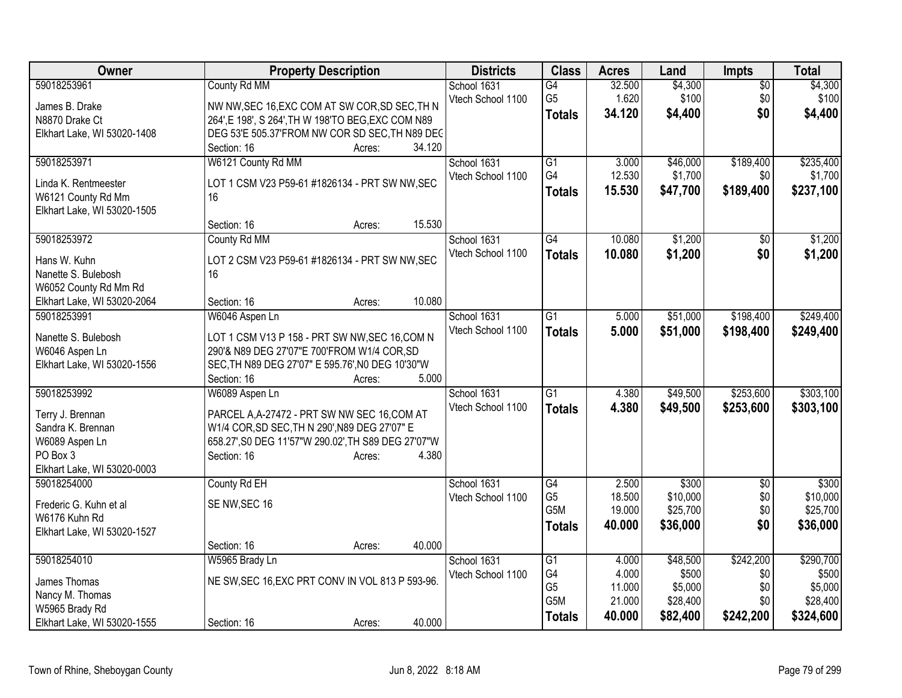| Owner                               | <b>Property Description</b>                               | <b>Districts</b>  | <b>Class</b>                       | <b>Acres</b>     | Land                 | <b>Impts</b>      | <b>Total</b>        |
|-------------------------------------|-----------------------------------------------------------|-------------------|------------------------------------|------------------|----------------------|-------------------|---------------------|
| 59018253961                         | County Rd MM                                              | School 1631       | G4                                 | 32.500           | \$4,300              | \$0               | \$4,300             |
| James B. Drake                      | NW NW, SEC 16, EXC COM AT SW COR, SD SEC, TH N            | Vtech School 1100 | G <sub>5</sub>                     | 1.620            | \$100                | \$0               | \$100               |
| N8870 Drake Ct                      | 264', E 198', S 264', TH W 198'TO BEG, EXC COM N89        |                   | <b>Totals</b>                      | 34.120           | \$4,400              | \$0               | \$4,400             |
| Elkhart Lake, WI 53020-1408         | DEG 53'E 505.37'FROM NW COR SD SEC, TH N89 DEC            |                   |                                    |                  |                      |                   |                     |
|                                     | 34.120<br>Section: 16<br>Acres:                           |                   |                                    |                  |                      |                   |                     |
| 59018253971                         | W6121 County Rd MM                                        | School 1631       | $\overline{G1}$                    | 3.000            | \$46,000             | \$189,400         | \$235,400           |
| Linda K. Rentmeester                | LOT 1 CSM V23 P59-61 #1826134 - PRT SW NW, SEC            | Vtech School 1100 | G4                                 | 12.530           | \$1,700              | \$0               | \$1,700             |
| W6121 County Rd Mm                  | 16                                                        |                   | <b>Totals</b>                      | 15.530           | \$47,700             | \$189,400         | \$237,100           |
| Elkhart Lake, WI 53020-1505         |                                                           |                   |                                    |                  |                      |                   |                     |
|                                     | 15.530<br>Section: 16<br>Acres:                           |                   |                                    |                  |                      |                   |                     |
| 59018253972                         | County Rd MM                                              | School 1631       | $\overline{G4}$                    | 10.080           | \$1,200              | \$0               | \$1,200             |
|                                     |                                                           | Vtech School 1100 | <b>Totals</b>                      | 10.080           | \$1,200              | \$0               | \$1,200             |
| Hans W. Kuhn<br>Nanette S. Bulebosh | LOT 2 CSM V23 P59-61 #1826134 - PRT SW NW, SEC<br>16      |                   |                                    |                  |                      |                   |                     |
| W6052 County Rd Mm Rd               |                                                           |                   |                                    |                  |                      |                   |                     |
| Elkhart Lake, WI 53020-2064         | 10.080<br>Section: 16<br>Acres:                           |                   |                                    |                  |                      |                   |                     |
| 59018253991                         | W6046 Aspen Ln                                            | School 1631       | $\overline{G1}$                    | 5.000            | \$51,000             | \$198,400         | \$249,400           |
|                                     |                                                           | Vtech School 1100 | <b>Totals</b>                      | 5.000            | \$51,000             | \$198,400         | \$249,400           |
| Nanette S. Bulebosh                 | LOT 1 CSM V13 P 158 - PRT SW NW, SEC 16, COM N            |                   |                                    |                  |                      |                   |                     |
| W6046 Aspen Ln                      | 290'& N89 DEG 27'07"E 700'FROM W1/4 COR, SD               |                   |                                    |                  |                      |                   |                     |
| Elkhart Lake, WI 53020-1556         | SEC, TH N89 DEG 27'07" E 595.76', N0 DEG 10'30"W<br>5.000 |                   |                                    |                  |                      |                   |                     |
| 59018253992                         | Section: 16<br>Acres:<br>W6089 Aspen Ln                   | School 1631       | $\overline{G1}$                    | 4.380            | \$49,500             | \$253,600         | \$303,100           |
|                                     |                                                           | Vtech School 1100 |                                    |                  |                      |                   |                     |
| Terry J. Brennan                    | PARCEL A, A-27472 - PRT SW NW SEC 16, COM AT              |                   | <b>Totals</b>                      | 4.380            | \$49,500             | \$253,600         | \$303,100           |
| Sandra K. Brennan                   | W1/4 COR, SD SEC, TH N 290', N89 DEG 27'07" E             |                   |                                    |                  |                      |                   |                     |
| W6089 Aspen Ln                      | 658.27', S0 DEG 11'57"W 290.02', TH S89 DEG 27'07"W       |                   |                                    |                  |                      |                   |                     |
| PO Box 3                            | 4.380<br>Section: 16<br>Acres:                            |                   |                                    |                  |                      |                   |                     |
| Elkhart Lake, WI 53020-0003         |                                                           |                   |                                    |                  |                      |                   |                     |
| 59018254000                         | County Rd EH                                              | School 1631       | G4<br>G <sub>5</sub>               | 2.500<br>18.500  | \$300<br>\$10,000    | $\sqrt{6}$<br>\$0 | \$300<br>\$10,000   |
| Frederic G. Kuhn et al              | SE NW, SEC 16                                             | Vtech School 1100 | G5M                                | 19.000           | \$25,700             | \$0               | \$25,700            |
| W6176 Kuhn Rd                       |                                                           |                   | <b>Totals</b>                      | 40.000           | \$36,000             | \$0               | \$36,000            |
| Elkhart Lake, WI 53020-1527         |                                                           |                   |                                    |                  |                      |                   |                     |
|                                     | 40.000<br>Section: 16<br>Acres:                           |                   |                                    |                  |                      |                   |                     |
| 59018254010                         | W5965 Brady Ln                                            | School 1631       | $\overline{G1}$                    | 4.000            | \$48,500             | \$242,200         | \$290,700           |
| James Thomas                        | NE SW, SEC 16, EXC PRT CONV IN VOL 813 P 593-96.          | Vtech School 1100 | G4                                 | 4.000            | \$500                | \$0               | \$500               |
| Nancy M. Thomas                     |                                                           |                   | G <sub>5</sub><br>G <sub>5</sub> M | 11.000<br>21.000 | \$5,000              | \$0<br>\$0        | \$5,000<br>\$28,400 |
| W5965 Brady Rd                      |                                                           |                   |                                    | 40.000           | \$28,400<br>\$82,400 | \$242,200         | \$324,600           |
| Elkhart Lake, WI 53020-1555         | 40.000<br>Section: 16<br>Acres:                           |                   | <b>Totals</b>                      |                  |                      |                   |                     |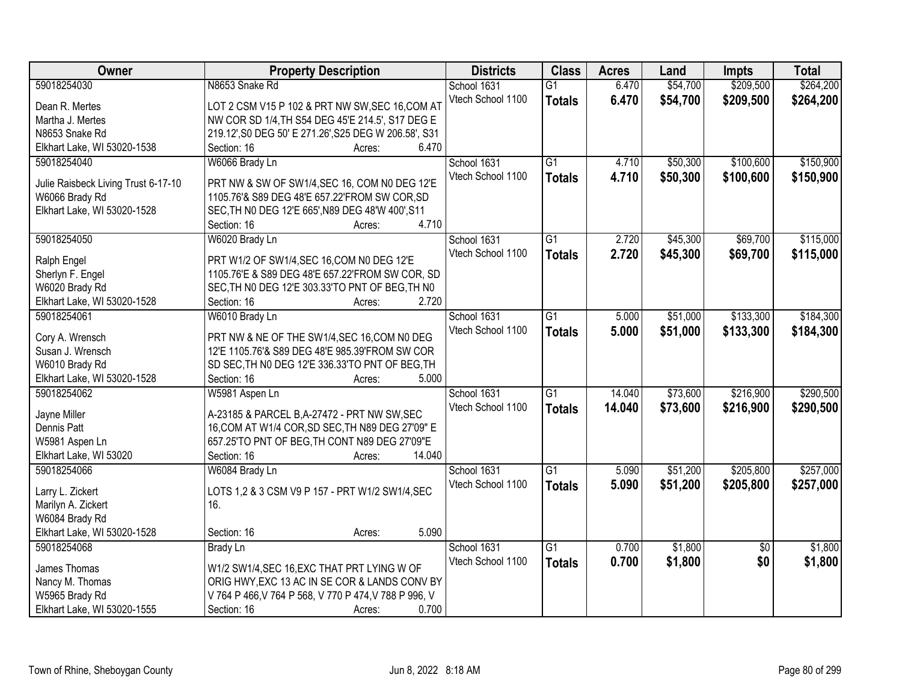| Owner                               | <b>Property Description</b>                               | <b>Districts</b>  | <b>Class</b>    | <b>Acres</b> | Land     | <b>Impts</b>    | <b>Total</b> |
|-------------------------------------|-----------------------------------------------------------|-------------------|-----------------|--------------|----------|-----------------|--------------|
| 59018254030                         | N8653 Snake Rd                                            | School 1631       | $\overline{G1}$ | 6.470        | \$54,700 | \$209,500       | \$264,200    |
| Dean R. Mertes                      | LOT 2 CSM V15 P 102 & PRT NW SW, SEC 16, COM AT           | Vtech School 1100 | <b>Totals</b>   | 6.470        | \$54,700 | \$209,500       | \$264,200    |
| Martha J. Mertes                    | NW COR SD 1/4, TH S54 DEG 45'E 214.5', S17 DEG E          |                   |                 |              |          |                 |              |
| N8653 Snake Rd                      | 219.12', S0 DEG 50' E 271.26', S25 DEG W 206.58', S31     |                   |                 |              |          |                 |              |
| Elkhart Lake, WI 53020-1538         | 6.470<br>Section: 16<br>Acres:                            |                   |                 |              |          |                 |              |
| 59018254040                         | W6066 Brady Ln                                            | School 1631       | $\overline{G1}$ | 4.710        | \$50,300 | \$100,600       | \$150,900    |
|                                     |                                                           | Vtech School 1100 | <b>Totals</b>   | 4.710        | \$50,300 | \$100,600       | \$150,900    |
| Julie Raisbeck Living Trust 6-17-10 | PRT NW & SW OF SW1/4, SEC 16, COM N0 DEG 12'E             |                   |                 |              |          |                 |              |
| W6066 Brady Rd                      | 1105.76'& S89 DEG 48'E 657.22'FROM SW COR, SD             |                   |                 |              |          |                 |              |
| Elkhart Lake, WI 53020-1528         | SEC, TH NO DEG 12'E 665', N89 DEG 48'W 400', S11<br>4.710 |                   |                 |              |          |                 |              |
|                                     | Section: 16<br>Acres:                                     |                   |                 |              |          |                 |              |
| 59018254050                         | W6020 Brady Ln                                            | School 1631       | $\overline{G1}$ | 2.720        | \$45,300 | \$69,700        | \$115,000    |
| Ralph Engel                         | PRT W1/2 OF SW1/4, SEC 16, COM N0 DEG 12'E                | Vtech School 1100 | <b>Totals</b>   | 2.720        | \$45,300 | \$69,700        | \$115,000    |
| Sherlyn F. Engel                    | 1105.76'E & S89 DEG 48'E 657.22'FROM SW COR, SD           |                   |                 |              |          |                 |              |
| W6020 Brady Rd                      | SEC, TH NO DEG 12'E 303.33'TO PNT OF BEG, TH NO           |                   |                 |              |          |                 |              |
| Elkhart Lake, WI 53020-1528         | 2.720<br>Section: 16<br>Acres:                            |                   |                 |              |          |                 |              |
| 59018254061                         | W6010 Brady Ln                                            | School 1631       | G1              | 5.000        | \$51,000 | \$133,300       | \$184,300    |
|                                     |                                                           | Vtech School 1100 | <b>Totals</b>   | 5.000        | \$51,000 | \$133,300       | \$184,300    |
| Cory A. Wrensch                     | PRT NW & NE OF THE SW1/4, SEC 16, COM N0 DEG              |                   |                 |              |          |                 |              |
| Susan J. Wrensch                    | 12'E 1105.76'& S89 DEG 48'E 985.39'FROM SW COR            |                   |                 |              |          |                 |              |
| W6010 Brady Rd                      | SD SEC, TH NO DEG 12'E 336.33'TO PNT OF BEG, TH           |                   |                 |              |          |                 |              |
| Elkhart Lake, WI 53020-1528         | 5.000<br>Section: 16<br>Acres:                            |                   |                 |              |          |                 |              |
| 59018254062                         | W5981 Aspen Ln                                            | School 1631       | $\overline{G1}$ | 14.040       | \$73,600 | \$216,900       | \$290,500    |
| Jayne Miller                        | A-23185 & PARCEL B, A-27472 - PRT NW SW, SEC              | Vtech School 1100 | <b>Totals</b>   | 14.040       | \$73,600 | \$216,900       | \$290,500    |
| Dennis Patt                         | 16, COM AT W1/4 COR, SD SEC, TH N89 DEG 27'09" E          |                   |                 |              |          |                 |              |
| W5981 Aspen Ln                      | 657.25'TO PNT OF BEG, TH CONT N89 DEG 27'09"E             |                   |                 |              |          |                 |              |
| Elkhart Lake, WI 53020              | 14.040<br>Section: 16<br>Acres:                           |                   |                 |              |          |                 |              |
| 59018254066                         | W6084 Brady Ln                                            | School 1631       | $\overline{G1}$ | 5.090        | \$51,200 | \$205,800       | \$257,000    |
|                                     |                                                           | Vtech School 1100 | <b>Totals</b>   | 5.090        | \$51,200 | \$205,800       | \$257,000    |
| Larry L. Zickert                    | LOTS 1,2 & 3 CSM V9 P 157 - PRT W1/2 SW1/4, SEC           |                   |                 |              |          |                 |              |
| Marilyn A. Zickert                  | 16.                                                       |                   |                 |              |          |                 |              |
| W6084 Brady Rd                      |                                                           |                   |                 |              |          |                 |              |
| Elkhart Lake, WI 53020-1528         | 5.090<br>Section: 16<br>Acres:                            |                   |                 |              |          |                 |              |
| 59018254068                         | <b>Brady Ln</b>                                           | School 1631       | G1              | 0.700        | \$1,800  | $\overline{30}$ | \$1,800      |
| James Thomas                        | W1/2 SW1/4, SEC 16, EXC THAT PRT LYING W OF               | Vtech School 1100 | <b>Totals</b>   | 0.700        | \$1,800  | \$0             | \$1,800      |
| Nancy M. Thomas                     | ORIG HWY, EXC 13 AC IN SE COR & LANDS CONV BY             |                   |                 |              |          |                 |              |
| W5965 Brady Rd                      | V 764 P 466, V 764 P 568, V 770 P 474, V 788 P 996, V     |                   |                 |              |          |                 |              |
| Elkhart Lake, WI 53020-1555         | 0.700<br>Section: 16<br>Acres:                            |                   |                 |              |          |                 |              |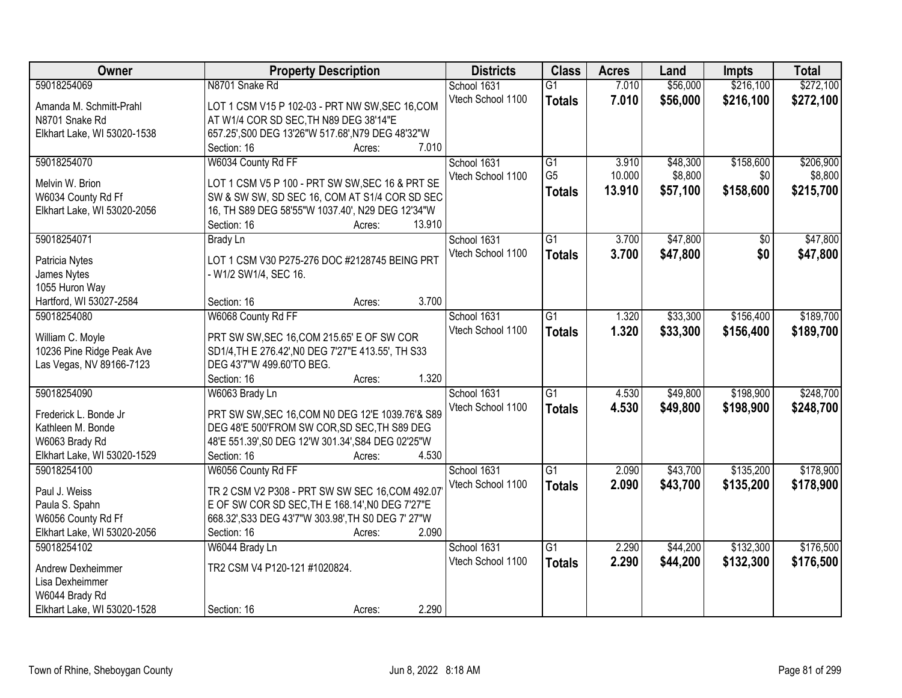| Owner                                             | <b>Property Description</b>                                                | <b>Districts</b>  | <b>Class</b>    | <b>Acres</b> | Land     | <b>Impts</b> | <b>Total</b> |
|---------------------------------------------------|----------------------------------------------------------------------------|-------------------|-----------------|--------------|----------|--------------|--------------|
| 59018254069                                       | N8701 Snake Rd                                                             | School 1631       | $\overline{G1}$ | 7.010        | \$56,000 | \$216,100    | \$272,100    |
| Amanda M. Schmitt-Prahl                           | LOT 1 CSM V15 P 102-03 - PRT NW SW, SEC 16, COM                            | Vtech School 1100 | <b>Totals</b>   | 7.010        | \$56,000 | \$216,100    | \$272,100    |
| N8701 Snake Rd                                    | AT W1/4 COR SD SEC, TH N89 DEG 38'14"E                                     |                   |                 |              |          |              |              |
| Elkhart Lake, WI 53020-1538                       | 657.25', S00 DEG 13'26"W 517.68', N79 DEG 48'32"W                          |                   |                 |              |          |              |              |
|                                                   | 7.010<br>Section: 16<br>Acres:                                             |                   |                 |              |          |              |              |
| 59018254070                                       | W6034 County Rd FF                                                         | School 1631       | $\overline{G1}$ | 3.910        | \$48,300 | \$158,600    | \$206,900    |
|                                                   |                                                                            | Vtech School 1100 | G <sub>5</sub>  | 10.000       | \$8,800  | \$0          | \$8,800      |
| Melvin W. Brion                                   | LOT 1 CSM V5 P 100 - PRT SW SW, SEC 16 & PRT SE                            |                   | <b>Totals</b>   | 13.910       | \$57,100 | \$158,600    | \$215,700    |
| W6034 County Rd Ff                                | SW & SW SW, SD SEC 16, COM AT S1/4 COR SD SEC                              |                   |                 |              |          |              |              |
| Elkhart Lake, WI 53020-2056                       | 16, TH S89 DEG 58'55"W 1037.40', N29 DEG 12'34"W                           |                   |                 |              |          |              |              |
|                                                   | 13.910<br>Section: 16<br>Acres:                                            |                   |                 |              |          |              |              |
| 59018254071                                       | Brady Ln                                                                   | School 1631       | $\overline{G1}$ | 3.700        | \$47,800 | \$0          | \$47,800     |
| Patricia Nytes                                    | LOT 1 CSM V30 P275-276 DOC #2128745 BEING PRT                              | Vtech School 1100 | <b>Totals</b>   | 3.700        | \$47,800 | \$0          | \$47,800     |
| James Nytes                                       | - W1/2 SW1/4, SEC 16.                                                      |                   |                 |              |          |              |              |
| 1055 Huron Way                                    |                                                                            |                   |                 |              |          |              |              |
| Hartford, WI 53027-2584                           | 3.700<br>Section: 16<br>Acres:                                             |                   |                 |              |          |              |              |
| 59018254080                                       | W6068 County Rd FF                                                         | School 1631       | $\overline{G1}$ | 1.320        | \$33,300 | \$156,400    | \$189,700    |
|                                                   |                                                                            | Vtech School 1100 | <b>Totals</b>   | 1.320        | \$33,300 | \$156,400    | \$189,700    |
| William C. Moyle                                  | PRT SW SW, SEC 16, COM 215.65' E OF SW COR                                 |                   |                 |              |          |              |              |
| 10236 Pine Ridge Peak Ave                         | SD1/4, TH E 276.42', NO DEG 7'27"E 413.55', TH S33                         |                   |                 |              |          |              |              |
| Las Vegas, NV 89166-7123                          | DEG 43'7"W 499.60'TO BEG.                                                  |                   |                 |              |          |              |              |
|                                                   | 1.320<br>Section: 16<br>Acres:                                             |                   |                 |              |          |              |              |
| 59018254090                                       | W6063 Brady Ln                                                             | School 1631       | $\overline{G1}$ | 4.530        | \$49,800 | \$198,900    | \$248,700    |
| Frederick L. Bonde Jr                             | PRT SW SW, SEC 16, COM N0 DEG 12'E 1039.76'& S89                           | Vtech School 1100 | <b>Totals</b>   | 4.530        | \$49,800 | \$198,900    | \$248,700    |
| Kathleen M. Bonde                                 | DEG 48'E 500'FROM SW COR, SD SEC, TH S89 DEG                               |                   |                 |              |          |              |              |
| W6063 Brady Rd                                    | 48'E 551.39', S0 DEG 12'W 301.34', S84 DEG 02'25"W                         |                   |                 |              |          |              |              |
| Elkhart Lake, WI 53020-1529                       | 4.530<br>Section: 16<br>Acres:                                             |                   |                 |              |          |              |              |
| 59018254100                                       | W6056 County Rd FF                                                         | School 1631       | $\overline{G1}$ | 2.090        | \$43,700 | \$135,200    | \$178,900    |
|                                                   |                                                                            | Vtech School 1100 | <b>Totals</b>   | 2.090        | \$43,700 | \$135,200    | \$178,900    |
| Paul J. Weiss                                     | TR 2 CSM V2 P308 - PRT SW SW SEC 16, COM 492.07                            |                   |                 |              |          |              |              |
| Paula S. Spahn                                    | E OF SW COR SD SEC, TH E 168.14', NO DEG 7'27"E                            |                   |                 |              |          |              |              |
| W6056 County Rd Ff<br>Elkhart Lake, WI 53020-2056 | 668.32', S33 DEG 43'7"W 303.98', TH S0 DEG 7' 27"W<br>2.090<br>Section: 16 |                   |                 |              |          |              |              |
| 59018254102                                       | Acres:                                                                     | School 1631       | $\overline{G1}$ | 2.290        | \$44,200 | \$132,300    | \$176,500    |
|                                                   | W6044 Brady Ln                                                             |                   |                 |              |          |              |              |
| Andrew Dexheimmer                                 | TR2 CSM V4 P120-121 #1020824.                                              | Vtech School 1100 | <b>Totals</b>   | 2.290        | \$44,200 | \$132,300    | \$176,500    |
| Lisa Dexheimmer                                   |                                                                            |                   |                 |              |          |              |              |
| W6044 Brady Rd                                    |                                                                            |                   |                 |              |          |              |              |
| Elkhart Lake, WI 53020-1528                       | 2.290<br>Section: 16<br>Acres:                                             |                   |                 |              |          |              |              |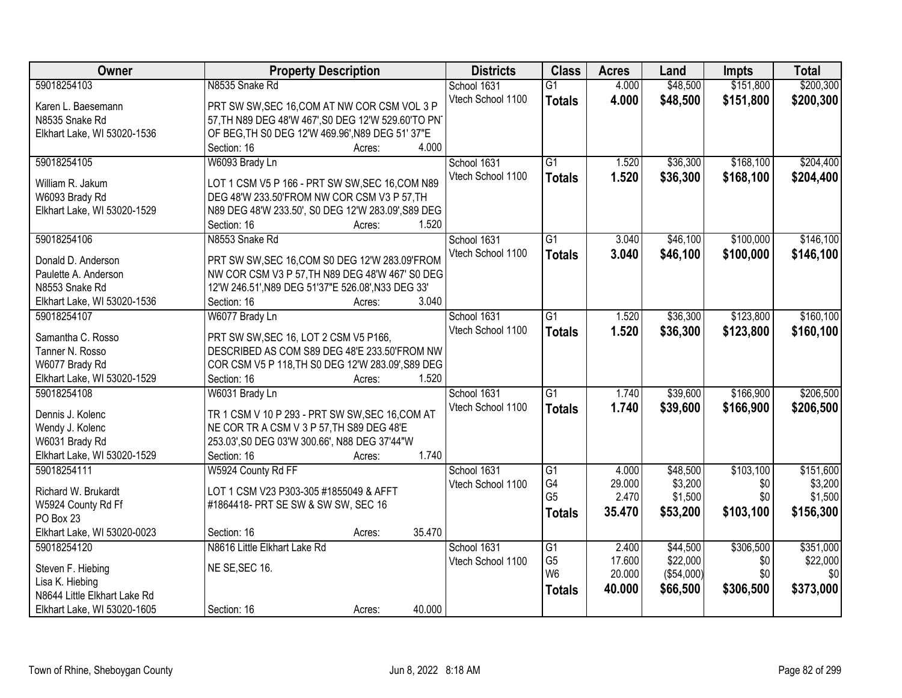| Owner                        | <b>Property Description</b>                        | <b>Districts</b>  | <b>Class</b>    | <b>Acres</b> | Land       | <b>Impts</b> | <b>Total</b> |
|------------------------------|----------------------------------------------------|-------------------|-----------------|--------------|------------|--------------|--------------|
| 59018254103                  | N8535 Snake Rd                                     | School 1631       | $\overline{G1}$ | 4.000        | \$48,500   | \$151,800    | \$200,300    |
| Karen L. Baesemann           | PRT SW SW, SEC 16, COM AT NW COR CSM VOL 3 P       | Vtech School 1100 | <b>Totals</b>   | 4.000        | \$48,500   | \$151,800    | \$200,300    |
| N8535 Snake Rd               | 57, TH N89 DEG 48'W 467', S0 DEG 12'W 529.60'TO PN |                   |                 |              |            |              |              |
| Elkhart Lake, WI 53020-1536  | OF BEG, TH S0 DEG 12'W 469.96', N89 DEG 51' 37"E   |                   |                 |              |            |              |              |
|                              | 4.000<br>Section: 16<br>Acres:                     |                   |                 |              |            |              |              |
| 59018254105                  | W6093 Brady Ln                                     | School 1631       | $\overline{G1}$ | 1.520        | \$36,300   | \$168,100    | \$204,400    |
|                              |                                                    | Vtech School 1100 | <b>Totals</b>   | 1.520        | \$36,300   | \$168,100    | \$204,400    |
| William R. Jakum             | LOT 1 CSM V5 P 166 - PRT SW SW, SEC 16, COM N89    |                   |                 |              |            |              |              |
| W6093 Brady Rd               | DEG 48'W 233.50'FROM NW COR CSM V3 P 57, TH        |                   |                 |              |            |              |              |
| Elkhart Lake, WI 53020-1529  | N89 DEG 48'W 233.50', S0 DEG 12'W 283.09', S89 DEG |                   |                 |              |            |              |              |
|                              | 1.520<br>Section: 16<br>Acres:                     |                   |                 |              |            |              |              |
| 59018254106                  | N8553 Snake Rd                                     | School 1631       | G1              | 3.040        | \$46,100   | \$100,000    | \$146,100    |
| Donald D. Anderson           | PRT SW SW, SEC 16, COM S0 DEG 12'W 283.09'FROM     | Vtech School 1100 | <b>Totals</b>   | 3.040        | \$46,100   | \$100,000    | \$146,100    |
| Paulette A. Anderson         | NW COR CSM V3 P 57, TH N89 DEG 48'W 467' S0 DEG    |                   |                 |              |            |              |              |
| N8553 Snake Rd               | 12'W 246.51', N89 DEG 51'37"E 526.08', N33 DEG 33' |                   |                 |              |            |              |              |
| Elkhart Lake, WI 53020-1536  | Section: 16<br>3.040<br>Acres:                     |                   |                 |              |            |              |              |
| 59018254107                  |                                                    |                   | $\overline{G1}$ |              |            | \$123,800    |              |
|                              | W6077 Brady Ln                                     | School 1631       |                 | 1.520        | \$36,300   |              | \$160, 100   |
| Samantha C. Rosso            | PRT SW SW, SEC 16, LOT 2 CSM V5 P166,              | Vtech School 1100 | <b>Totals</b>   | 1.520        | \$36,300   | \$123,800    | \$160,100    |
| Tanner N. Rosso              | DESCRIBED AS COM S89 DEG 48'E 233.50'FROM NW       |                   |                 |              |            |              |              |
| W6077 Brady Rd               | COR CSM V5 P 118, TH S0 DEG 12'W 283.09', S89 DEG  |                   |                 |              |            |              |              |
| Elkhart Lake, WI 53020-1529  | 1.520<br>Section: 16<br>Acres:                     |                   |                 |              |            |              |              |
| 59018254108                  | W6031 Brady Ln                                     | School 1631       | $\overline{G1}$ | 1.740        | \$39,600   | \$166,900    | \$206,500    |
|                              |                                                    | Vtech School 1100 | <b>Totals</b>   | 1.740        | \$39,600   | \$166,900    | \$206,500    |
| Dennis J. Kolenc             | TR 1 CSM V 10 P 293 - PRT SW SW, SEC 16, COM AT    |                   |                 |              |            |              |              |
| Wendy J. Kolenc              | NE COR TR A CSM V 3 P 57, TH S89 DEG 48'E          |                   |                 |              |            |              |              |
| W6031 Brady Rd               | 253.03', S0 DEG 03'W 300.66', N88 DEG 37'44"W      |                   |                 |              |            |              |              |
| Elkhart Lake, WI 53020-1529  | Section: 16<br>1.740<br>Acres:                     |                   |                 |              |            |              |              |
| 59018254111                  | W5924 County Rd FF                                 | School 1631       | $\overline{G1}$ | 4.000        | \$48,500   | \$103,100    | \$151,600    |
| Richard W. Brukardt          | LOT 1 CSM V23 P303-305 #1855049 & AFFT             | Vtech School 1100 | G4              | 29.000       | \$3,200    | \$0          | \$3,200      |
| W5924 County Rd Ff           | #1864418- PRT SE SW & SW SW, SEC 16                |                   | G <sub>5</sub>  | 2.470        | \$1,500    | \$0          | \$1,500      |
| PO Box 23                    |                                                    |                   | <b>Totals</b>   | 35.470       | \$53,200   | \$103,100    | \$156,300    |
| Elkhart Lake, WI 53020-0023  | 35.470<br>Section: 16<br>Acres:                    |                   |                 |              |            |              |              |
| 59018254120                  | N8616 Little Elkhart Lake Rd                       | School 1631       | $\overline{G1}$ | 2.400        | \$44,500   | \$306,500    | \$351,000    |
|                              |                                                    | Vtech School 1100 | G <sub>5</sub>  | 17.600       | \$22,000   | \$0          | \$22,000     |
| Steven F. Hiebing            | NE SE, SEC 16.                                     |                   | W <sub>6</sub>  | 20.000       | (\$54,000) | \$0          | \$0          |
| Lisa K. Hiebing              |                                                    |                   | <b>Totals</b>   | 40.000       | \$66,500   | \$306,500    | \$373,000    |
| N8644 Little Elkhart Lake Rd |                                                    |                   |                 |              |            |              |              |
| Elkhart Lake, WI 53020-1605  | 40.000<br>Section: 16<br>Acres:                    |                   |                 |              |            |              |              |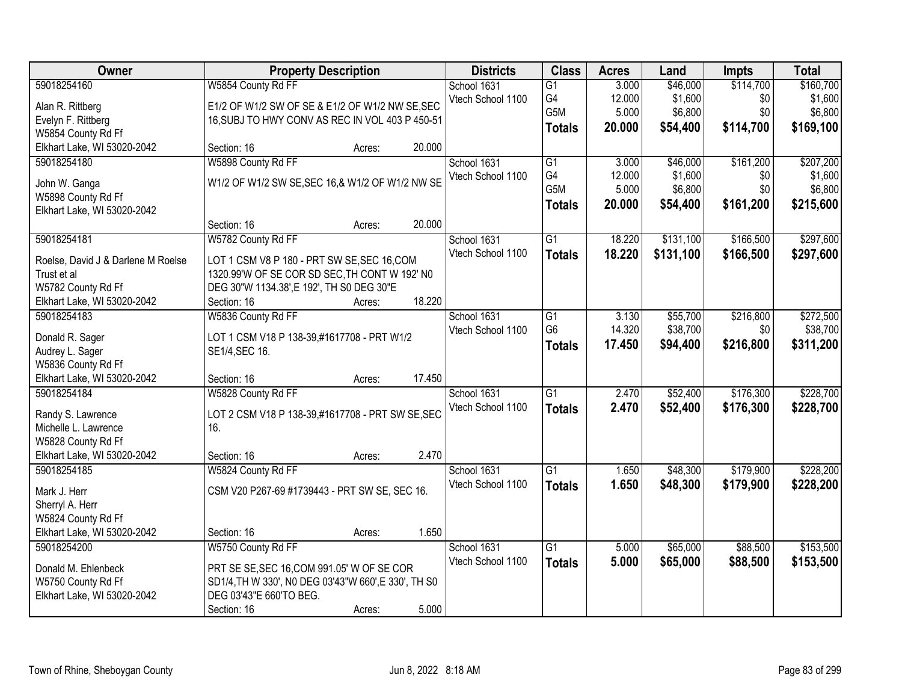| Owner                                             |                                                      | <b>Property Description</b> |        | <b>Districts</b>  | <b>Class</b>     | <b>Acres</b> | Land      | <b>Impts</b> | <b>Total</b> |
|---------------------------------------------------|------------------------------------------------------|-----------------------------|--------|-------------------|------------------|--------------|-----------|--------------|--------------|
| 59018254160                                       | W5854 County Rd FF                                   |                             |        | School 1631       | $\overline{G1}$  | 3.000        | \$46,000  | \$114,700    | \$160,700    |
| Alan R. Rittberg                                  | E1/2 OF W1/2 SW OF SE & E1/2 OF W1/2 NW SE, SEC      |                             |        | Vtech School 1100 | G4               | 12.000       | \$1,600   | \$0          | \$1,600      |
| Evelyn F. Rittberg                                | 16, SUBJ TO HWY CONV AS REC IN VOL 403 P 450-51      |                             |        |                   | G5M              | 5.000        | \$6,800   | \$0          | \$6,800      |
| W5854 County Rd Ff                                |                                                      |                             |        |                   | <b>Totals</b>    | 20.000       | \$54,400  | \$114,700    | \$169,100    |
| Elkhart Lake, WI 53020-2042                       | Section: 16                                          | Acres:                      | 20.000 |                   |                  |              |           |              |              |
| 59018254180                                       | W5898 County Rd FF                                   |                             |        | School 1631       | $\overline{G1}$  | 3.000        | \$46,000  | \$161,200    | \$207,200    |
|                                                   | W1/2 OF W1/2 SW SE, SEC 16, & W1/2 OF W1/2 NW SE     |                             |        | Vtech School 1100 | G4               | 12.000       | \$1,600   | \$0          | \$1,600      |
| John W. Ganga                                     |                                                      |                             |        |                   | G <sub>5</sub> M | 5.000        | \$6,800   | \$0          | \$6,800      |
| W5898 County Rd Ff<br>Elkhart Lake, WI 53020-2042 |                                                      |                             |        |                   | <b>Totals</b>    | 20.000       | \$54,400  | \$161,200    | \$215,600    |
|                                                   | Section: 16                                          | Acres:                      | 20.000 |                   |                  |              |           |              |              |
| 59018254181                                       | W5782 County Rd FF                                   |                             |        | School 1631       | $\overline{G1}$  | 18.220       | \$131,100 | \$166,500    | \$297,600    |
|                                                   |                                                      |                             |        | Vtech School 1100 |                  |              |           |              |              |
| Roelse, David J & Darlene M Roelse                | LOT 1 CSM V8 P 180 - PRT SW SE, SEC 16, COM          |                             |        |                   | <b>Totals</b>    | 18.220       | \$131,100 | \$166,500    | \$297,600    |
| Trust et al                                       | 1320.99'W OF SE COR SD SEC, TH CONT W 192' NO        |                             |        |                   |                  |              |           |              |              |
| W5782 County Rd Ff                                | DEG 30"W 1134.38', E 192', TH S0 DEG 30"E            |                             |        |                   |                  |              |           |              |              |
| Elkhart Lake, WI 53020-2042                       | Section: 16                                          | Acres:                      | 18.220 |                   |                  |              |           |              |              |
| 59018254183                                       | W5836 County Rd FF                                   |                             |        | School 1631       | G1               | 3.130        | \$55,700  | \$216,800    | \$272,500    |
| Donald R. Sager                                   | LOT 1 CSM V18 P 138-39,#1617708 - PRT W1/2           |                             |        | Vtech School 1100 | G <sub>6</sub>   | 14.320       | \$38,700  | \$0          | \$38,700     |
| Audrey L. Sager                                   | SE1/4, SEC 16.                                       |                             |        |                   | <b>Totals</b>    | 17.450       | \$94,400  | \$216,800    | \$311,200    |
| W5836 County Rd Ff                                |                                                      |                             |        |                   |                  |              |           |              |              |
| Elkhart Lake, WI 53020-2042                       | Section: 16                                          | Acres:                      | 17.450 |                   |                  |              |           |              |              |
| 59018254184                                       | W5828 County Rd FF                                   |                             |        | School 1631       | $\overline{G1}$  | 2.470        | \$52,400  | \$176,300    | \$228,700    |
|                                                   |                                                      |                             |        | Vtech School 1100 | <b>Totals</b>    | 2.470        | \$52,400  | \$176,300    | \$228,700    |
| Randy S. Lawrence                                 | LOT 2 CSM V18 P 138-39,#1617708 - PRT SW SE, SEC     |                             |        |                   |                  |              |           |              |              |
| Michelle L. Lawrence                              | 16.                                                  |                             |        |                   |                  |              |           |              |              |
| W5828 County Rd Ff                                |                                                      |                             |        |                   |                  |              |           |              |              |
| Elkhart Lake, WI 53020-2042                       | Section: 16                                          | Acres:                      | 2.470  |                   |                  |              |           |              |              |
| 59018254185                                       | W5824 County Rd FF                                   |                             |        | School 1631       | $\overline{G1}$  | 1.650        | \$48,300  | \$179,900    | \$228,200    |
| Mark J. Herr                                      | CSM V20 P267-69 #1739443 - PRT SW SE, SEC 16.        |                             |        | Vtech School 1100 | <b>Totals</b>    | 1.650        | \$48,300  | \$179,900    | \$228,200    |
| Sherryl A. Herr                                   |                                                      |                             |        |                   |                  |              |           |              |              |
| W5824 County Rd Ff                                |                                                      |                             |        |                   |                  |              |           |              |              |
| Elkhart Lake, WI 53020-2042                       | Section: 16                                          | Acres:                      | 1.650  |                   |                  |              |           |              |              |
| 59018254200                                       | W5750 County Rd FF                                   |                             |        | School 1631       | $\overline{G1}$  | 5.000        | \$65,000  | \$88,500     | \$153,500    |
| Donald M. Ehlenbeck                               | PRT SE SE, SEC 16, COM 991.05' W OF SE COR           |                             |        | Vtech School 1100 | <b>Totals</b>    | 5.000        | \$65,000  | \$88,500     | \$153,500    |
| W5750 County Rd Ff                                | SD1/4, TH W 330', N0 DEG 03'43"W 660', E 330', TH S0 |                             |        |                   |                  |              |           |              |              |
| Elkhart Lake, WI 53020-2042                       | DEG 03'43"E 660'TO BEG.                              |                             |        |                   |                  |              |           |              |              |
|                                                   |                                                      |                             | 5.000  |                   |                  |              |           |              |              |
|                                                   | Section: 16                                          | Acres:                      |        |                   |                  |              |           |              |              |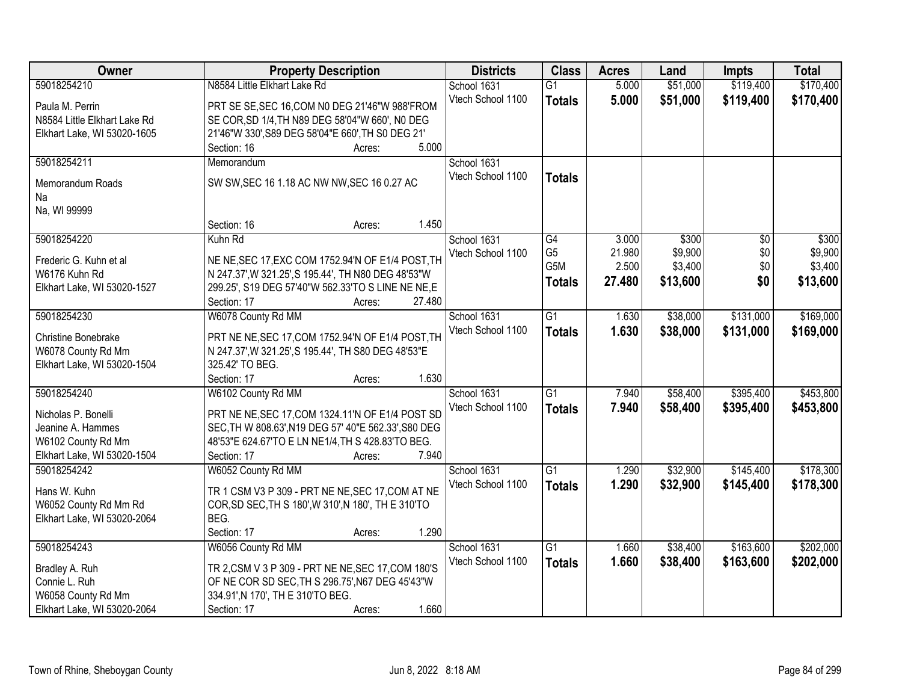| Owner                        | <b>Property Description</b>                          |        |        | <b>Districts</b>  | <b>Class</b>    | <b>Acres</b> | Land     | <b>Impts</b>    | <b>Total</b> |
|------------------------------|------------------------------------------------------|--------|--------|-------------------|-----------------|--------------|----------|-----------------|--------------|
| 59018254210                  | N8584 Little Elkhart Lake Rd                         |        |        | School 1631       | $\overline{G1}$ | 5.000        | \$51,000 | \$119,400       | \$170,400    |
| Paula M. Perrin              | PRT SE SE, SEC 16, COM N0 DEG 21'46"W 988'FROM       |        |        | Vtech School 1100 | <b>Totals</b>   | 5.000        | \$51,000 | \$119,400       | \$170,400    |
| N8584 Little Elkhart Lake Rd | SE COR, SD 1/4, TH N89 DEG 58'04"W 660', NO DEG      |        |        |                   |                 |              |          |                 |              |
| Elkhart Lake, WI 53020-1605  | 21'46"W 330', S89 DEG 58'04"E 660', TH S0 DEG 21'    |        |        |                   |                 |              |          |                 |              |
|                              | Section: 16                                          | Acres: | 5.000  |                   |                 |              |          |                 |              |
| 59018254211                  | Memorandum                                           |        |        | School 1631       |                 |              |          |                 |              |
|                              |                                                      |        |        | Vtech School 1100 |                 |              |          |                 |              |
| Memorandum Roads             | SW SW, SEC 16 1.18 AC NW NW, SEC 16 0.27 AC          |        |        |                   | <b>Totals</b>   |              |          |                 |              |
| Na                           |                                                      |        |        |                   |                 |              |          |                 |              |
| Na, WI 99999                 |                                                      |        |        |                   |                 |              |          |                 |              |
|                              | Section: 16                                          | Acres: | 1.450  |                   |                 |              |          |                 |              |
| 59018254220                  | Kuhn Rd                                              |        |        | School 1631       | $\overline{G4}$ | 3.000        | \$300    | $\overline{50}$ | \$300        |
|                              |                                                      |        |        | Vtech School 1100 | G <sub>5</sub>  | 21.980       | \$9,900  | \$0             | \$9,900      |
| Frederic G. Kuhn et al       | NE NE, SEC 17, EXC COM 1752.94'N OF E1/4 POST, TH    |        |        |                   | G5M             | 2.500        | \$3,400  | \$0             | \$3,400      |
| W6176 Kuhn Rd                | N 247.37', W 321.25', S 195.44', TH N80 DEG 48'53"W  |        |        |                   | <b>Totals</b>   | 27.480       | \$13,600 | \$0             | \$13,600     |
| Elkhart Lake, WI 53020-1527  | 299.25', S19 DEG 57'40"W 562.33'TO S LINE NE NE, E   |        |        |                   |                 |              |          |                 |              |
|                              | Section: 17                                          | Acres: | 27.480 |                   |                 |              |          |                 |              |
| 59018254230                  | W6078 County Rd MM                                   |        |        | School 1631       | $\overline{G1}$ | 1.630        | \$38,000 | \$131,000       | \$169,000    |
| Christine Bonebrake          | PRT NE NE, SEC 17, COM 1752.94'N OF E1/4 POST, TH    |        |        | Vtech School 1100 | <b>Totals</b>   | 1.630        | \$38,000 | \$131,000       | \$169,000    |
| W6078 County Rd Mm           | N 247.37', W 321.25', S 195.44', TH S80 DEG 48'53"E  |        |        |                   |                 |              |          |                 |              |
| Elkhart Lake, WI 53020-1504  | 325.42' TO BEG.                                      |        |        |                   |                 |              |          |                 |              |
|                              | Section: 17                                          | Acres: | 1.630  |                   |                 |              |          |                 |              |
| 59018254240                  | W6102 County Rd MM                                   |        |        | School 1631       | $\overline{G1}$ | 7.940        | \$58,400 | \$395,400       | \$453,800    |
|                              |                                                      |        |        | Vtech School 1100 | <b>Totals</b>   | 7.940        | \$58,400 | \$395,400       | \$453,800    |
| Nicholas P. Bonelli          | PRT NE NE, SEC 17, COM 1324.11'N OF E1/4 POST SD     |        |        |                   |                 |              |          |                 |              |
| Jeanine A. Hammes            | SEC, TH W 808.63', N19 DEG 57' 40"E 562.33', S80 DEG |        |        |                   |                 |              |          |                 |              |
| W6102 County Rd Mm           | 48'53"E 624.67'TO E LN NE1/4, TH S 428.83'TO BEG.    |        |        |                   |                 |              |          |                 |              |
| Elkhart Lake, WI 53020-1504  | Section: 17                                          | Acres: | 7.940  |                   |                 |              |          |                 |              |
| 59018254242                  | W6052 County Rd MM                                   |        |        | School 1631       | $\overline{G1}$ | 1.290        | \$32,900 | \$145,400       | \$178,300    |
| Hans W. Kuhn                 | TR 1 CSM V3 P 309 - PRT NE NE, SEC 17, COM AT NE     |        |        | Vtech School 1100 | <b>Totals</b>   | 1.290        | \$32,900 | \$145,400       | \$178,300    |
| W6052 County Rd Mm Rd        | COR, SD SEC, TH S 180', W 310', N 180', TH E 310'TO  |        |        |                   |                 |              |          |                 |              |
| Elkhart Lake, WI 53020-2064  | BEG.                                                 |        |        |                   |                 |              |          |                 |              |
|                              | Section: 17                                          | Acres: | 1.290  |                   |                 |              |          |                 |              |
| 59018254243                  | W6056 County Rd MM                                   |        |        | School 1631       | $\overline{G1}$ | 1.660        | \$38,400 | \$163,600       | \$202,000    |
|                              |                                                      |        |        | Vtech School 1100 |                 | 1.660        | \$38,400 | \$163,600       | \$202,000    |
| Bradley A. Ruh               | TR 2, CSM V 3 P 309 - PRT NE NE, SEC 17, COM 180'S   |        |        |                   | <b>Totals</b>   |              |          |                 |              |
| Connie L. Ruh                | OF NE COR SD SEC, TH S 296.75', N67 DEG 45'43"W      |        |        |                   |                 |              |          |                 |              |
| W6058 County Rd Mm           | 334.91', N 170', TH E 310'TO BEG.                    |        |        |                   |                 |              |          |                 |              |
| Elkhart Lake, WI 53020-2064  | Section: 17                                          | Acres: | 1.660  |                   |                 |              |          |                 |              |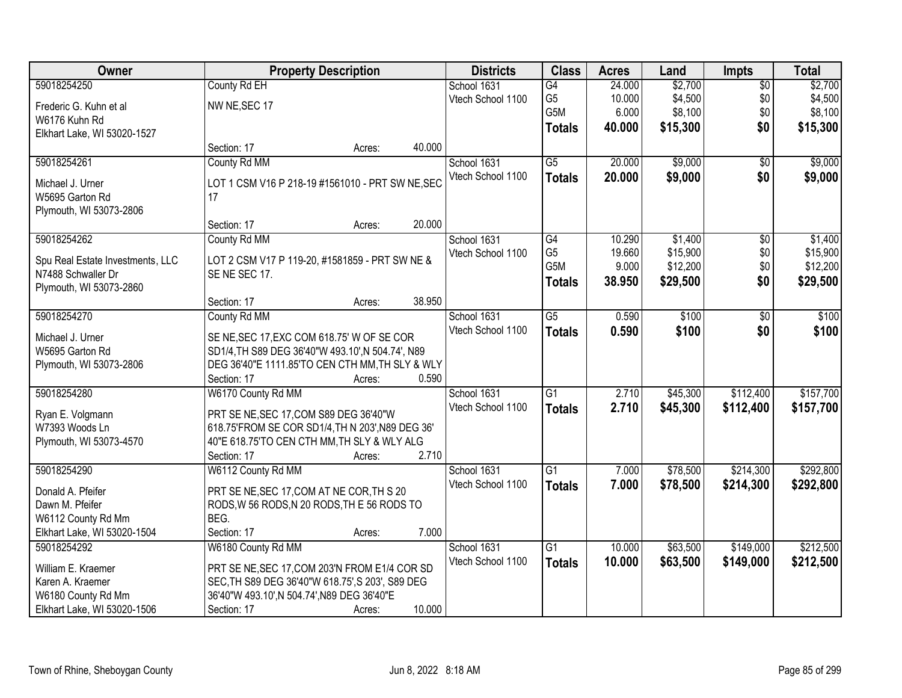| Owner                                      |                                                                                            | <b>Property Description</b> |        | <b>Districts</b>  | <b>Class</b>    | <b>Acres</b> | Land     | Impts           | <b>Total</b> |
|--------------------------------------------|--------------------------------------------------------------------------------------------|-----------------------------|--------|-------------------|-----------------|--------------|----------|-----------------|--------------|
| 59018254250                                | County Rd EH                                                                               |                             |        | School 1631       | G4              | 24.000       | \$2,700  | $\overline{50}$ | \$2,700      |
| Frederic G. Kuhn et al                     | NW NE, SEC 17                                                                              |                             |        | Vtech School 1100 | G <sub>5</sub>  | 10.000       | \$4,500  | \$0             | \$4,500      |
| W6176 Kuhn Rd                              |                                                                                            |                             |        |                   | G5M             | 6.000        | \$8,100  | \$0             | \$8,100      |
| Elkhart Lake, WI 53020-1527                |                                                                                            |                             |        |                   | <b>Totals</b>   | 40.000       | \$15,300 | \$0             | \$15,300     |
|                                            | Section: 17                                                                                | Acres:                      | 40.000 |                   |                 |              |          |                 |              |
| 59018254261                                | County Rd MM                                                                               |                             |        | School 1631       | $\overline{G5}$ | 20.000       | \$9,000  | $\overline{50}$ | \$9,000      |
| Michael J. Urner                           | LOT 1 CSM V16 P 218-19 #1561010 - PRT SW NE, SEC                                           |                             |        | Vtech School 1100 | <b>Totals</b>   | 20.000       | \$9,000  | \$0             | \$9,000      |
| W5695 Garton Rd                            | 17                                                                                         |                             |        |                   |                 |              |          |                 |              |
| Plymouth, WI 53073-2806                    |                                                                                            |                             |        |                   |                 |              |          |                 |              |
|                                            | Section: 17                                                                                | Acres:                      | 20.000 |                   |                 |              |          |                 |              |
| 59018254262                                | County Rd MM                                                                               |                             |        | School 1631       | $\overline{G4}$ | 10.290       | \$1,400  | $\overline{50}$ | \$1,400      |
| Spu Real Estate Investments, LLC           | LOT 2 CSM V17 P 119-20, #1581859 - PRT SW NE &                                             |                             |        | Vtech School 1100 | G <sub>5</sub>  | 19.660       | \$15,900 | \$0             | \$15,900     |
| N7488 Schwaller Dr                         | SENE SEC 17.                                                                               |                             |        |                   | G5M             | 9.000        | \$12,200 | \$0             | \$12,200     |
| Plymouth, WI 53073-2860                    |                                                                                            |                             |        |                   | <b>Totals</b>   | 38.950       | \$29,500 | \$0             | \$29,500     |
|                                            | Section: 17                                                                                | Acres:                      | 38.950 |                   |                 |              |          |                 |              |
| 59018254270                                | County Rd MM                                                                               |                             |        | School 1631       | $\overline{G5}$ | 0.590        | \$100    | $\overline{50}$ | \$100        |
| Michael J. Urner                           | SE NE, SEC 17, EXC COM 618.75' W OF SE COR                                                 |                             |        | Vtech School 1100 | <b>Totals</b>   | 0.590        | \$100    | \$0             | \$100        |
| W5695 Garton Rd                            | SD1/4, TH S89 DEG 36'40"W 493.10', N 504.74', N89                                          |                             |        |                   |                 |              |          |                 |              |
| Plymouth, WI 53073-2806                    | DEG 36'40"E 1111.85'TO CEN CTH MM, TH SLY & WLY                                            |                             |        |                   |                 |              |          |                 |              |
|                                            | Section: 17                                                                                | Acres:                      | 0.590  |                   |                 |              |          |                 |              |
| 59018254280                                | W6170 County Rd MM                                                                         |                             |        | School 1631       | $\overline{G1}$ | 2.710        | \$45,300 | \$112,400       | \$157,700    |
|                                            |                                                                                            |                             |        | Vtech School 1100 | <b>Totals</b>   | 2.710        | \$45,300 | \$112,400       | \$157,700    |
| Ryan E. Volgmann<br>W7393 Woods Ln         | PRT SE NE, SEC 17, COM S89 DEG 36'40"W<br>618.75'FROM SE COR SD1/4, TH N 203', N89 DEG 36' |                             |        |                   |                 |              |          |                 |              |
| Plymouth, WI 53073-4570                    | 40"E 618.75'TO CEN CTH MM, TH SLY & WLY ALG                                                |                             |        |                   |                 |              |          |                 |              |
|                                            | Section: 17                                                                                | Acres:                      | 2.710  |                   |                 |              |          |                 |              |
| 59018254290                                | W6112 County Rd MM                                                                         |                             |        | School 1631       | $\overline{G1}$ | 7.000        | \$78,500 | \$214,300       | \$292,800    |
|                                            |                                                                                            |                             |        | Vtech School 1100 | <b>Totals</b>   | 7.000        | \$78,500 | \$214,300       | \$292,800    |
| Donald A. Pfeifer                          | PRT SE NE, SEC 17, COM AT NE COR, TH S 20                                                  |                             |        |                   |                 |              |          |                 |              |
| Dawn M. Pfeifer                            | RODS, W 56 RODS, N 20 RODS, TH E 56 RODS TO                                                |                             |        |                   |                 |              |          |                 |              |
| W6112 County Rd Mm                         | BEG.<br>Section: 17                                                                        |                             | 7.000  |                   |                 |              |          |                 |              |
| Elkhart Lake, WI 53020-1504<br>59018254292 | W6180 County Rd MM                                                                         | Acres:                      |        | School 1631       | $\overline{G1}$ | 10.000       | \$63,500 | \$149,000       | \$212,500    |
|                                            |                                                                                            |                             |        | Vtech School 1100 |                 |              |          |                 |              |
| William E. Kraemer                         | PRT SE NE, SEC 17, COM 203'N FROM E1/4 COR SD                                              |                             |        |                   | <b>Totals</b>   | 10.000       | \$63,500 | \$149,000       | \$212,500    |
| Karen A. Kraemer                           | SEC, TH S89 DEG 36'40"W 618.75', S 203', S89 DEG                                           |                             |        |                   |                 |              |          |                 |              |
| W6180 County Rd Mm                         | 36'40"W 493.10', N 504.74', N89 DEG 36'40"E                                                |                             |        |                   |                 |              |          |                 |              |
| Elkhart Lake, WI 53020-1506                | Section: 17                                                                                | Acres:                      | 10.000 |                   |                 |              |          |                 |              |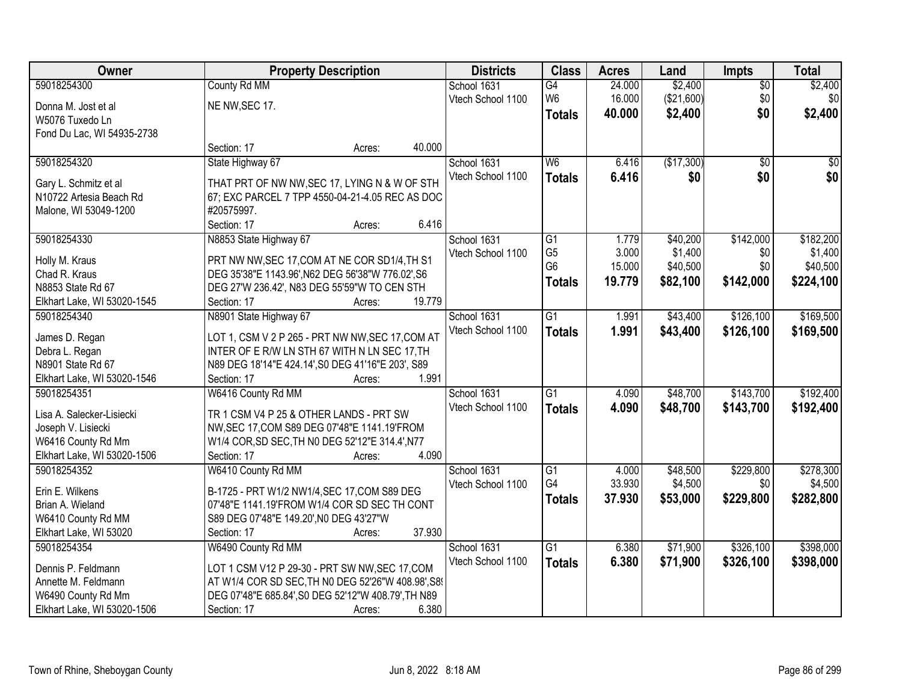| Owner                                             | <b>Property Description</b>                                                                               |        |        | <b>Districts</b>  | <b>Class</b>    | <b>Acres</b> | Land       | <b>Impts</b>    | <b>Total</b> |
|---------------------------------------------------|-----------------------------------------------------------------------------------------------------------|--------|--------|-------------------|-----------------|--------------|------------|-----------------|--------------|
| 59018254300                                       | County Rd MM                                                                                              |        |        | School 1631       | G4              | 24.000       | \$2,400    | $\overline{50}$ | \$2,400      |
| Donna M. Jost et al                               | NE NW, SEC 17.                                                                                            |        |        | Vtech School 1100 | W <sub>6</sub>  | 16.000       | (\$21,600) | \$0             | \$0          |
| W5076 Tuxedo Ln                                   |                                                                                                           |        |        |                   | <b>Totals</b>   | 40.000       | \$2,400    | \$0             | \$2,400      |
| Fond Du Lac, WI 54935-2738                        |                                                                                                           |        |        |                   |                 |              |            |                 |              |
|                                                   | Section: 17                                                                                               | Acres: | 40.000 |                   |                 |              |            |                 |              |
| 59018254320                                       | State Highway 67                                                                                          |        |        | School 1631       | W <sub>6</sub>  | 6.416        | (\$17,300) | $\overline{50}$ | $\sqrt{50}$  |
| Gary L. Schmitz et al                             | THAT PRT OF NW NW, SEC 17, LYING N & W OF STH                                                             |        |        | Vtech School 1100 | <b>Totals</b>   | 6.416        | \$0        | \$0             | \$0          |
| N10722 Artesia Beach Rd                           | 67; EXC PARCEL 7 TPP 4550-04-21-4.05 REC AS DOC                                                           |        |        |                   |                 |              |            |                 |              |
| Malone, WI 53049-1200                             | #20575997.                                                                                                |        |        |                   |                 |              |            |                 |              |
|                                                   | Section: 17                                                                                               | Acres: | 6.416  |                   |                 |              |            |                 |              |
| 59018254330                                       | N8853 State Highway 67                                                                                    |        |        | School 1631       | $\overline{G1}$ | 1.779        | \$40,200   | \$142,000       | \$182,200    |
|                                                   |                                                                                                           |        |        | Vtech School 1100 | G <sub>5</sub>  | 3.000        | \$1,400    | \$0             | \$1,400      |
| Holly M. Kraus                                    | PRT NW NW, SEC 17, COM AT NE COR SD1/4, TH S1                                                             |        |        |                   | G <sub>6</sub>  | 15.000       | \$40,500   | \$0             | \$40,500     |
| Chad R. Kraus                                     | DEG 35'38"E 1143.96', N62 DEG 56'38"W 776.02', S6                                                         |        |        |                   | <b>Totals</b>   | 19.779       | \$82,100   | \$142,000       | \$224,100    |
| N8853 State Rd 67<br>Elkhart Lake, WI 53020-1545  | DEG 27'W 236.42', N83 DEG 55'59"W TO CEN STH<br>Section: 17                                               |        | 19.779 |                   |                 |              |            |                 |              |
| 59018254340                                       | N8901 State Highway 67                                                                                    | Acres: |        | School 1631       | $\overline{G1}$ | 1.991        | \$43,400   | \$126,100       | \$169,500    |
|                                                   |                                                                                                           |        |        | Vtech School 1100 |                 | 1.991        |            |                 |              |
| James D. Regan                                    | LOT 1, CSM V 2 P 265 - PRT NW NW, SEC 17, COM AT                                                          |        |        |                   | <b>Totals</b>   |              | \$43,400   | \$126,100       | \$169,500    |
| Debra L. Regan                                    | INTER OF E R/W LN STH 67 WITH N LN SEC 17, TH                                                             |        |        |                   |                 |              |            |                 |              |
| N8901 State Rd 67                                 | N89 DEG 18'14"E 424.14', S0 DEG 41'16"E 203', S89                                                         |        |        |                   |                 |              |            |                 |              |
| Elkhart Lake, WI 53020-1546                       | Section: 17                                                                                               | Acres: | 1.991  |                   |                 |              |            |                 |              |
| 59018254351                                       | W6416 County Rd MM                                                                                        |        |        | School 1631       | $\overline{G1}$ | 4.090        | \$48,700   | \$143,700       | \$192,400    |
| Lisa A. Salecker-Lisiecki                         | TR 1 CSM V4 P 25 & OTHER LANDS - PRT SW                                                                   |        |        | Vtech School 1100 | <b>Totals</b>   | 4.090        | \$48,700   | \$143,700       | \$192,400    |
| Joseph V. Lisiecki                                | NW, SEC 17, COM S89 DEG 07'48"E 1141.19'FROM                                                              |        |        |                   |                 |              |            |                 |              |
| W6416 County Rd Mm                                | W1/4 COR, SD SEC, TH N0 DEG 52'12"E 314.4', N77                                                           |        |        |                   |                 |              |            |                 |              |
| Elkhart Lake, WI 53020-1506                       | Section: 17                                                                                               | Acres: | 4.090  |                   |                 |              |            |                 |              |
| 59018254352                                       | W6410 County Rd MM                                                                                        |        |        | School 1631       | $\overline{G1}$ | 4.000        | \$48,500   | \$229,800       | \$278,300    |
| Erin E. Wilkens                                   | B-1725 - PRT W1/2 NW1/4, SEC 17, COM S89 DEG                                                              |        |        | Vtech School 1100 | G4              | 33.930       | \$4,500    | \$0             | \$4,500      |
| Brian A. Wieland                                  | 07'48"E 1141.19'FROM W1/4 COR SD SEC TH CONT                                                              |        |        |                   | <b>Totals</b>   | 37.930       | \$53,000   | \$229,800       | \$282,800    |
| W6410 County Rd MM                                | S89 DEG 07'48"E 149.20', N0 DEG 43'27"W                                                                   |        |        |                   |                 |              |            |                 |              |
| Elkhart Lake, WI 53020                            | Section: 17                                                                                               | Acres: | 37.930 |                   |                 |              |            |                 |              |
| 59018254354                                       | W6490 County Rd MM                                                                                        |        |        | School 1631       | G1              | 6.380        | \$71,900   | \$326,100       | \$398,000    |
|                                                   |                                                                                                           |        |        | Vtech School 1100 | <b>Totals</b>   | 6.380        | \$71,900   | \$326,100       | \$398,000    |
| Dennis P. Feldmann                                | LOT 1 CSM V12 P 29-30 - PRT SW NW, SEC 17, COM                                                            |        |        |                   |                 |              |            |                 |              |
| Annette M. Feldmann                               | AT W1/4 COR SD SEC, TH N0 DEG 52'26"W 408.98', S8!<br>DEG 07'48"E 685.84', S0 DEG 52'12"W 408.79', TH N89 |        |        |                   |                 |              |            |                 |              |
| W6490 County Rd Mm<br>Elkhart Lake, WI 53020-1506 | Section: 17                                                                                               | Acres: | 6.380  |                   |                 |              |            |                 |              |
|                                                   |                                                                                                           |        |        |                   |                 |              |            |                 |              |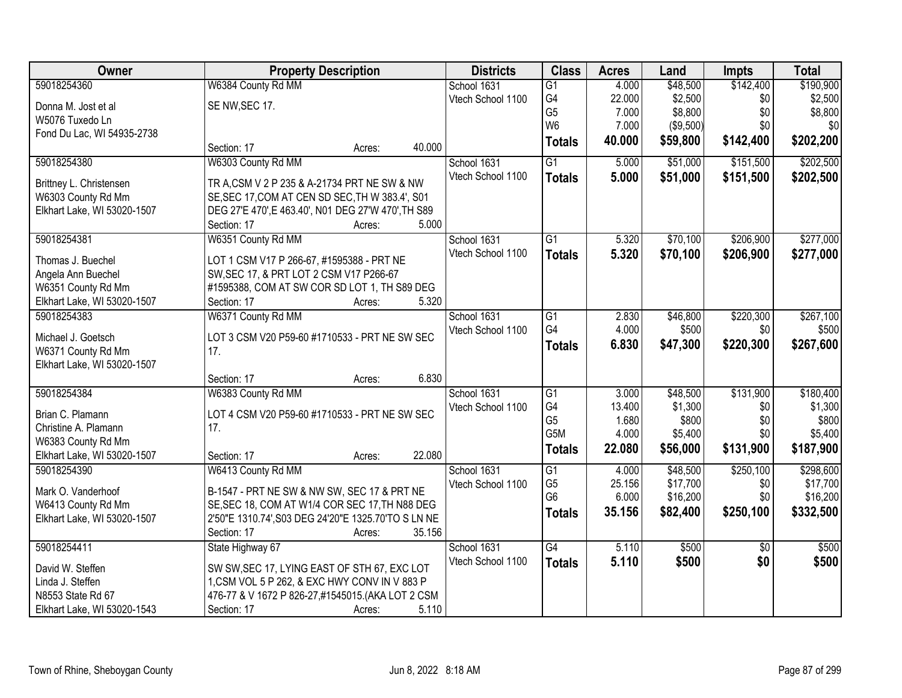| Owner                       | <b>Property Description</b>                         |                  | <b>Districts</b>  | <b>Class</b>    | <b>Acres</b> | Land                | <b>Impts</b>    | <b>Total</b>         |
|-----------------------------|-----------------------------------------------------|------------------|-------------------|-----------------|--------------|---------------------|-----------------|----------------------|
| 59018254360                 | W6384 County Rd MM                                  |                  | School 1631       | $\overline{G1}$ | 4.000        | \$48,500            | \$142,400       | \$190,900            |
| Donna M. Jost et al         | SE NW, SEC 17.                                      |                  | Vtech School 1100 | G4              | 22.000       | \$2,500             | \$0             | \$2,500              |
| W5076 Tuxedo Ln             |                                                     |                  |                   | G <sub>5</sub>  | 7.000        | \$8,800             | \$0             | \$8,800              |
| Fond Du Lac, WI 54935-2738  |                                                     |                  |                   | W <sub>6</sub>  | 7.000        | (\$9,500)           | \$0             | \$0                  |
|                             | Section: 17                                         | 40.000<br>Acres: |                   | <b>Totals</b>   | 40.000       | \$59,800            | \$142,400       | \$202,200            |
| 59018254380                 | W6303 County Rd MM                                  |                  | School 1631       | $\overline{G1}$ | 5.000        | \$51,000            | \$151,500       | \$202,500            |
| Brittney L. Christensen     | TR A, CSM V 2 P 235 & A-21734 PRT NE SW & NW        |                  | Vtech School 1100 | <b>Totals</b>   | 5.000        | \$51,000            | \$151,500       | \$202,500            |
| W6303 County Rd Mm          | SE, SEC 17, COM AT CEN SD SEC, TH W 383.4', S01     |                  |                   |                 |              |                     |                 |                      |
| Elkhart Lake, WI 53020-1507 | DEG 27'E 470', E 463.40', N01 DEG 27'W 470', TH S89 |                  |                   |                 |              |                     |                 |                      |
|                             | Section: 17                                         | 5.000<br>Acres:  |                   |                 |              |                     |                 |                      |
| 59018254381                 | W6351 County Rd MM                                  |                  | School 1631       | $\overline{G1}$ | 5.320        | \$70,100            | \$206,900       | \$277,000            |
| Thomas J. Buechel           | LOT 1 CSM V17 P 266-67, #1595388 - PRT NE           |                  | Vtech School 1100 | <b>Totals</b>   | 5.320        | \$70,100            | \$206,900       | \$277,000            |
| Angela Ann Buechel          | SW, SEC 17, & PRT LOT 2 CSM V17 P266-67             |                  |                   |                 |              |                     |                 |                      |
| W6351 County Rd Mm          | #1595388, COM AT SW COR SD LOT 1, TH S89 DEG        |                  |                   |                 |              |                     |                 |                      |
| Elkhart Lake, WI 53020-1507 | Section: 17                                         | 5.320<br>Acres:  |                   |                 |              |                     |                 |                      |
| 59018254383                 | W6371 County Rd MM                                  |                  | School 1631       | G1              | 2.830        | \$46,800            | \$220,300       | \$267,100            |
|                             |                                                     |                  | Vtech School 1100 | G4              | 4.000        | \$500               | \$0             | \$500                |
| Michael J. Goetsch          | LOT 3 CSM V20 P59-60 #1710533 - PRT NE SW SEC       |                  |                   | <b>Totals</b>   | 6.830        | \$47,300            | \$220,300       | \$267,600            |
| W6371 County Rd Mm          | 17.                                                 |                  |                   |                 |              |                     |                 |                      |
| Elkhart Lake, WI 53020-1507 |                                                     | 6.830            |                   |                 |              |                     |                 |                      |
| 59018254384                 | Section: 17<br>W6383 County Rd MM                   | Acres:           |                   | $\overline{G1}$ | 3.000        |                     | \$131,900       |                      |
|                             |                                                     |                  | School 1631       | G4              | 13.400       | \$48,500<br>\$1,300 | \$0             | \$180,400<br>\$1,300 |
| Brian C. Plamann            | LOT 4 CSM V20 P59-60 #1710533 - PRT NE SW SEC       |                  | Vtech School 1100 | G <sub>5</sub>  | 1.680        | \$800               | \$0             | \$800                |
| Christine A. Plamann        | 17.                                                 |                  |                   | G5M             | 4.000        | \$5,400             | \$0             | \$5,400              |
| W6383 County Rd Mm          |                                                     |                  |                   | <b>Totals</b>   | 22.080       | \$56,000            | \$131,900       | \$187,900            |
| Elkhart Lake, WI 53020-1507 | Section: 17                                         | 22.080<br>Acres: |                   |                 |              |                     |                 |                      |
| 59018254390                 | W6413 County Rd MM                                  |                  | School 1631       | $\overline{G1}$ | 4.000        | \$48,500            | \$250,100       | \$298,600            |
| Mark O. Vanderhoof          | B-1547 - PRT NE SW & NW SW, SEC 17 & PRT NE         |                  | Vtech School 1100 | G <sub>5</sub>  | 25.156       | \$17,700            | \$0             | \$17,700             |
| W6413 County Rd Mm          | SE, SEC 18, COM AT W1/4 COR SEC 17, TH N88 DEG      |                  |                   | G <sub>6</sub>  | 6.000        | \$16,200            | \$0             | \$16,200             |
| Elkhart Lake, WI 53020-1507 | 2'50"E 1310.74', S03 DEG 24'20"E 1325.70'TO S LN NE |                  |                   | <b>Totals</b>   | 35.156       | \$82,400            | \$250,100       | \$332,500            |
|                             | Section: 17                                         | 35.156<br>Acres: |                   |                 |              |                     |                 |                      |
| 59018254411                 | State Highway 67                                    |                  | School 1631       | $\overline{G4}$ | 5.110        | \$500               | $\overline{30}$ | \$500                |
| David W. Steffen            | SW SW, SEC 17, LYING EAST OF STH 67, EXC LOT        |                  | Vtech School 1100 | <b>Totals</b>   | 5.110        | \$500               | \$0             | \$500                |
| Linda J. Steffen            | 1, CSM VOL 5 P 262, & EXC HWY CONV IN V 883 P       |                  |                   |                 |              |                     |                 |                      |
| N8553 State Rd 67           | 476-77 & V 1672 P 826-27, #1545015. (AKA LOT 2 CSM  |                  |                   |                 |              |                     |                 |                      |
| Elkhart Lake, WI 53020-1543 | Section: 17                                         | 5.110<br>Acres:  |                   |                 |              |                     |                 |                      |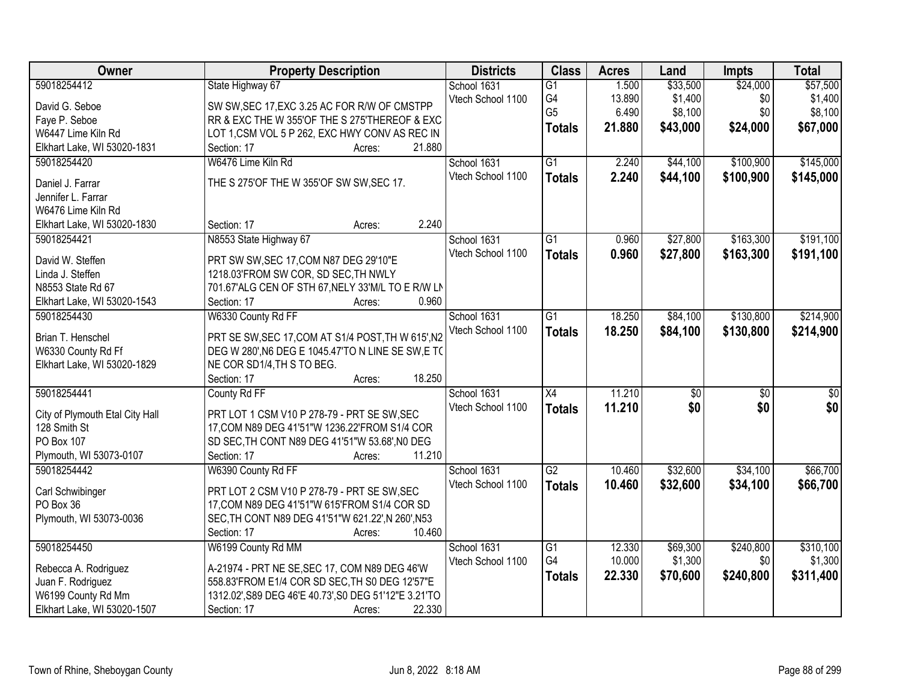| 59018254412<br>1.500<br>\$33,500<br>\$24,000<br>State Highway 67<br>School 1631<br>$\overline{G1}$                                           | \$57,500         |
|----------------------------------------------------------------------------------------------------------------------------------------------|------------------|
| G4<br>\$1,400<br>13.890<br>\$0<br>Vtech School 1100<br>David G. Seboe<br>SW SW, SEC 17, EXC 3.25 AC FOR R/W OF CMSTPP                        | \$1,400          |
| G <sub>5</sub><br>6.490<br>\$8,100<br>\$0<br>Faye P. Seboe<br>RR & EXC THE W 355'OF THE S 275'THEREOF & EXC                                  | \$8,100          |
| 21.880<br>\$43,000<br>\$24,000<br><b>Totals</b><br>LOT 1,CSM VOL 5 P 262, EXC HWY CONV AS REC IN<br>W6447 Lime Kiln Rd                       | \$67,000         |
| 21.880<br>Elkhart Lake, WI 53020-1831<br>Section: 17<br>Acres:                                                                               |                  |
| W6476 Lime Kiln Rd<br>$\overline{G1}$<br>\$44,100<br>\$100,900<br>59018254420<br>School 1631<br>2.240                                        | \$145,000        |
| Vtech School 1100<br>2.240<br>\$100,900<br>\$44,100<br><b>Totals</b>                                                                         | \$145,000        |
| THE S 275'OF THE W 355'OF SW SW, SEC 17.<br>Daniel J. Farrar                                                                                 |                  |
| Jennifer L. Farrar                                                                                                                           |                  |
| W6476 Lime Kiln Rd                                                                                                                           |                  |
| 2.240<br>Elkhart Lake, WI 53020-1830<br>Section: 17<br>Acres:                                                                                |                  |
| \$27,800<br>\$163,300<br>59018254421<br>N8553 State Highway 67<br>School 1631<br>$\overline{G1}$<br>0.960                                    | \$191,100        |
| Vtech School 1100<br>\$163,300<br>0.960<br>\$27,800<br><b>Totals</b><br>David W. Steffen<br>PRT SW SW, SEC 17, COM N87 DEG 29'10"E           | \$191,100        |
| Linda J. Steffen<br>1218.03'FROM SW COR, SD SEC, TH NWLY                                                                                     |                  |
| N8553 State Rd 67<br>701.67'ALG CEN OF STH 67, NELY 33'M/L TO E R/W LN                                                                       |                  |
| 0.960<br>Section: 17<br>Elkhart Lake, WI 53020-1543<br>Acres:                                                                                |                  |
| 59018254430<br>W6330 County Rd FF<br>School 1631<br>$\overline{G1}$<br>18.250<br>\$84,100<br>\$130,800                                       | \$214,900        |
| Vtech School 1100<br>18.250<br>\$84,100<br>\$130,800<br><b>Totals</b>                                                                        | \$214,900        |
| PRT SE SW, SEC 17, COM AT S1/4 POST, TH W 615', N2<br>Brian T. Henschel                                                                      |                  |
| W6330 County Rd Ff<br>DEG W 280', N6 DEG E 1045.47'TO N LINE SE SW, E TO                                                                     |                  |
| Elkhart Lake, WI 53020-1829<br>NE COR SD1/4, TH S TO BEG.                                                                                    |                  |
| Section: 17<br>18.250<br>Acres:                                                                                                              |                  |
| $\overline{X4}$<br>11.210<br>59018254441<br>$\overline{50}$<br>$\overline{50}$<br>County Rd FF<br>School 1631                                | $\overline{\$0}$ |
| 11.210<br>\$0<br>\$0<br>Vtech School 1100<br><b>Totals</b><br>PRT LOT 1 CSM V10 P 278-79 - PRT SE SW, SEC<br>City of Plymouth Etal City Hall | \$0              |
| 128 Smith St<br>17, COM N89 DEG 41'51"W 1236.22' FROM S1/4 COR                                                                               |                  |
| PO Box 107<br>SD SEC, TH CONT N89 DEG 41'51"W 53.68', N0 DEG                                                                                 |                  |
| 11.210<br>Plymouth, WI 53073-0107<br>Section: 17<br>Acres:                                                                                   |                  |
| 59018254442<br>$\overline{G2}$<br>10.460<br>\$32,600<br>\$34,100<br>W6390 County Rd FF<br>School 1631                                        | \$66,700         |
| Vtech School 1100<br>\$32,600<br>\$34,100<br>10.460<br><b>Totals</b>                                                                         | \$66,700         |
| Carl Schwibinger<br>PRT LOT 2 CSM V10 P 278-79 - PRT SE SW, SEC                                                                              |                  |
| PO Box 36<br>17, COM N89 DEG 41'51"W 615'FROM S1/4 COR SD                                                                                    |                  |
| Plymouth, WI 53073-0036<br>SEC, TH CONT N89 DEG 41'51"W 621.22', N 260', N53                                                                 |                  |
| 10.460<br>Section: 17<br>Acres:                                                                                                              |                  |
| 59018254450<br>W6199 County Rd MM<br>School 1631<br>$\overline{G1}$<br>12.330<br>\$69,300<br>\$240,800                                       | \$310,100        |
| G4<br>10.000<br>\$1,300<br>\$0<br>Vtech School 1100<br>Rebecca A. Rodriguez<br>A-21974 - PRT NE SE, SEC 17, COM N89 DEG 46'W                 | \$1,300          |
| 22.330<br>\$70,600<br>\$240,800<br><b>Totals</b><br>558.83'FROM E1/4 COR SD SEC, TH S0 DEG 12'57"E<br>Juan F. Rodriguez                      | \$311,400        |
| W6199 County Rd Mm<br>1312.02', S89 DEG 46'E 40.73', S0 DEG 51'12"E 3.21'TO                                                                  |                  |
| 22.330<br>Elkhart Lake, WI 53020-1507<br>Section: 17<br>Acres:                                                                               |                  |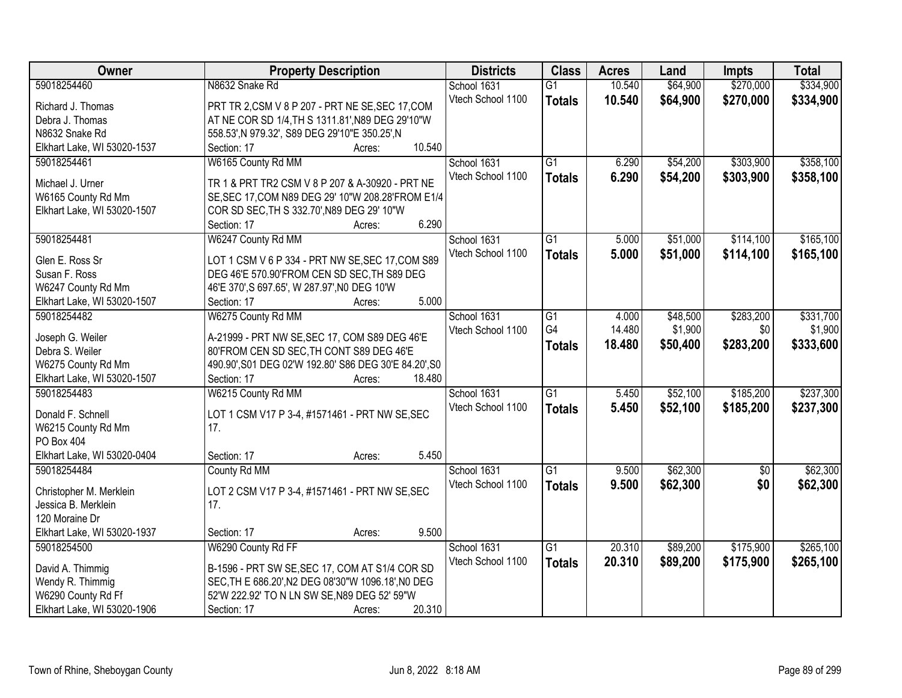| Owner                               | <b>Property Description</b>                                                               | <b>Districts</b>  | <b>Class</b>    | <b>Acres</b> | Land     | Impts           | <b>Total</b> |
|-------------------------------------|-------------------------------------------------------------------------------------------|-------------------|-----------------|--------------|----------|-----------------|--------------|
| 59018254460                         | N8632 Snake Rd                                                                            | School 1631       | $\overline{G1}$ | 10.540       | \$64,900 | \$270,000       | \$334,900    |
| Richard J. Thomas                   | PRT TR 2,CSM V 8 P 207 - PRT NE SE, SEC 17, COM                                           | Vtech School 1100 | <b>Totals</b>   | 10.540       | \$64,900 | \$270,000       | \$334,900    |
| Debra J. Thomas                     | AT NE COR SD 1/4, TH S 1311.81', N89 DEG 29'10"W                                          |                   |                 |              |          |                 |              |
| N8632 Snake Rd                      | 558.53', N 979.32', S89 DEG 29'10"E 350.25', N                                            |                   |                 |              |          |                 |              |
| Elkhart Lake, WI 53020-1537         | 10.540<br>Section: 17<br>Acres:                                                           |                   |                 |              |          |                 |              |
| 59018254461                         | W6165 County Rd MM                                                                        | School 1631       | $\overline{G1}$ | 6.290        | \$54,200 | \$303,900       | \$358,100    |
|                                     |                                                                                           | Vtech School 1100 | <b>Totals</b>   | 6.290        | \$54,200 | \$303,900       | \$358,100    |
| Michael J. Urner                    | TR 1 & PRT TR2 CSM V 8 P 207 & A-30920 - PRT NE                                           |                   |                 |              |          |                 |              |
| W6165 County Rd Mm                  | SE, SEC 17, COM N89 DEG 29' 10"W 208.28' FROM E1/4                                        |                   |                 |              |          |                 |              |
| Elkhart Lake, WI 53020-1507         | COR SD SEC, TH S 332.70', N89 DEG 29' 10"W<br>6.290                                       |                   |                 |              |          |                 |              |
|                                     | Section: 17<br>Acres:                                                                     |                   |                 |              |          |                 |              |
| 59018254481                         | W6247 County Rd MM                                                                        | School 1631       | $\overline{G1}$ | 5.000        | \$51,000 | \$114,100       | \$165,100    |
| Glen E. Ross Sr                     | LOT 1 CSM V 6 P 334 - PRT NW SE, SEC 17, COM S89                                          | Vtech School 1100 | <b>Totals</b>   | 5.000        | \$51,000 | \$114,100       | \$165,100    |
| Susan F. Ross                       | DEG 46'E 570.90'FROM CEN SD SEC, TH S89 DEG                                               |                   |                 |              |          |                 |              |
| W6247 County Rd Mm                  | 46'E 370', S 697.65', W 287.97', NO DEG 10'W                                              |                   |                 |              |          |                 |              |
| Elkhart Lake, WI 53020-1507         | 5.000<br>Section: 17<br>Acres:                                                            |                   |                 |              |          |                 |              |
| 59018254482                         | W6275 County Rd MM                                                                        | School 1631       | G1              | 4.000        | \$48,500 | \$283,200       | \$331,700    |
|                                     |                                                                                           | Vtech School 1100 | G4              | 14.480       | \$1,900  | \$0             | \$1,900      |
| Joseph G. Weiler<br>Debra S. Weiler | A-21999 - PRT NW SE, SEC 17, COM S89 DEG 46'E<br>80'FROM CEN SD SEC, TH CONT S89 DEG 46'E |                   | <b>Totals</b>   | 18.480       | \$50,400 | \$283,200       | \$333,600    |
| W6275 County Rd Mm                  | 490.90', S01 DEG 02'W 192.80' S86 DEG 30'E 84.20', S0                                     |                   |                 |              |          |                 |              |
| Elkhart Lake, WI 53020-1507         | Section: 17<br>18.480<br>Acres:                                                           |                   |                 |              |          |                 |              |
| 59018254483                         | W6215 County Rd MM                                                                        | School 1631       | $\overline{G1}$ | 5.450        | \$52,100 | \$185,200       | \$237,300    |
|                                     |                                                                                           | Vtech School 1100 |                 | 5.450        | \$52,100 | \$185,200       | \$237,300    |
| Donald F. Schnell                   | LOT 1 CSM V17 P 3-4, #1571461 - PRT NW SE, SEC                                            |                   | <b>Totals</b>   |              |          |                 |              |
| W6215 County Rd Mm                  | 17.                                                                                       |                   |                 |              |          |                 |              |
| PO Box 404                          |                                                                                           |                   |                 |              |          |                 |              |
| Elkhart Lake, WI 53020-0404         | 5.450<br>Section: 17<br>Acres:                                                            |                   |                 |              |          |                 |              |
| 59018254484                         | County Rd MM                                                                              | School 1631       | G1              | 9.500        | \$62,300 | $\overline{50}$ | \$62,300     |
| Christopher M. Merklein             | LOT 2 CSM V17 P 3-4, #1571461 - PRT NW SE, SEC                                            | Vtech School 1100 | <b>Totals</b>   | 9.500        | \$62,300 | \$0             | \$62,300     |
| Jessica B. Merklein                 | 17.                                                                                       |                   |                 |              |          |                 |              |
| 120 Moraine Dr                      |                                                                                           |                   |                 |              |          |                 |              |
| Elkhart Lake, WI 53020-1937         | 9.500<br>Section: 17<br>Acres:                                                            |                   |                 |              |          |                 |              |
| 59018254500                         | W6290 County Rd FF                                                                        | School 1631       | $\overline{G1}$ | 20.310       | \$89,200 | \$175,900       | \$265,100    |
|                                     |                                                                                           | Vtech School 1100 | <b>Totals</b>   | 20.310       | \$89,200 | \$175,900       | \$265,100    |
| David A. Thimmig                    | B-1596 - PRT SW SE, SEC 17, COM AT S1/4 COR SD                                            |                   |                 |              |          |                 |              |
| Wendy R. Thimmig                    | SEC, TH E 686.20', N2 DEG 08'30"W 1096.18', N0 DEG                                        |                   |                 |              |          |                 |              |
| W6290 County Rd Ff                  | 52'W 222.92' TO N LN SW SE, N89 DEG 52' 59"W                                              |                   |                 |              |          |                 |              |
| Elkhart Lake, WI 53020-1906         | 20.310<br>Section: 17<br>Acres:                                                           |                   |                 |              |          |                 |              |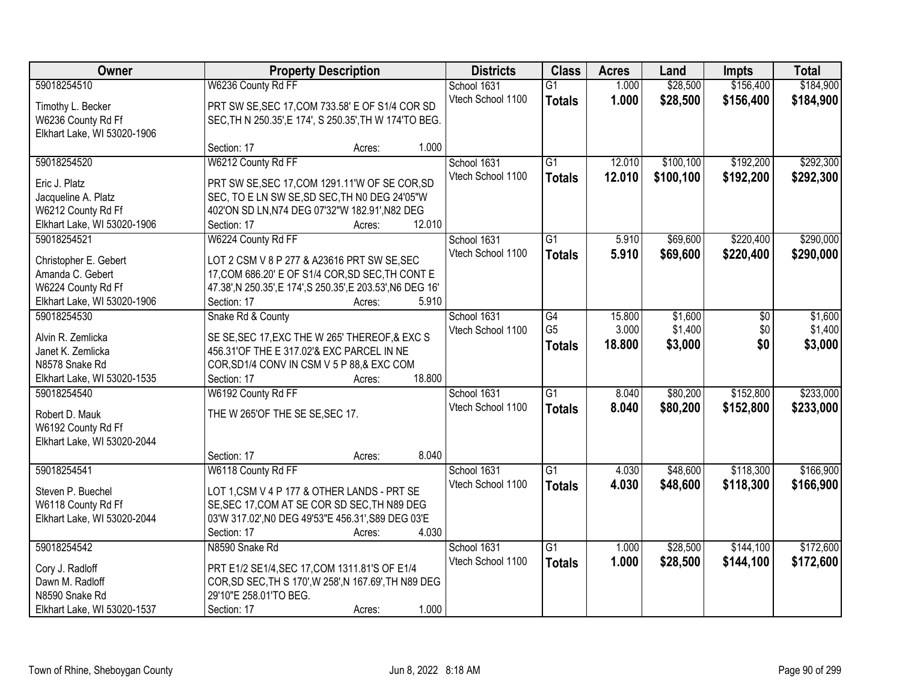| Owner                       | <b>Property Description</b>                                 |                  | <b>Districts</b>  | <b>Class</b>    | <b>Acres</b> | Land      | Impts     | <b>Total</b> |
|-----------------------------|-------------------------------------------------------------|------------------|-------------------|-----------------|--------------|-----------|-----------|--------------|
| 59018254510                 | W6236 County Rd FF                                          |                  | School 1631       | $\overline{G1}$ | 1.000        | \$28,500  | \$156,400 | \$184,900    |
| Timothy L. Becker           | PRT SW SE, SEC 17, COM 733.58' E OF S1/4 COR SD             |                  | Vtech School 1100 | <b>Totals</b>   | 1.000        | \$28,500  | \$156,400 | \$184,900    |
| W6236 County Rd Ff          | SEC, TH N 250.35', E 174', S 250.35', TH W 174'TO BEG.      |                  |                   |                 |              |           |           |              |
| Elkhart Lake, WI 53020-1906 |                                                             |                  |                   |                 |              |           |           |              |
|                             | Section: 17                                                 | 1.000<br>Acres:  |                   |                 |              |           |           |              |
| 59018254520                 | W6212 County Rd FF                                          |                  | School 1631       | $\overline{G1}$ | 12.010       | \$100,100 | \$192,200 | \$292,300    |
| Eric J. Platz               | PRT SW SE, SEC 17, COM 1291.11'W OF SE COR, SD              |                  | Vtech School 1100 | <b>Totals</b>   | 12.010       | \$100,100 | \$192,200 | \$292,300    |
| Jacqueline A. Platz         | SEC, TO E LN SW SE, SD SEC, TH N0 DEG 24'05"W               |                  |                   |                 |              |           |           |              |
| W6212 County Rd Ff          | 402'ON SD LN, N74 DEG 07'32"W 182.91', N82 DEG              |                  |                   |                 |              |           |           |              |
| Elkhart Lake, WI 53020-1906 | Section: 17                                                 | 12.010<br>Acres: |                   |                 |              |           |           |              |
| 59018254521                 | W6224 County Rd FF                                          |                  | School 1631       | G1              | 5.910        | \$69,600  | \$220,400 | \$290,000    |
|                             |                                                             |                  | Vtech School 1100 | <b>Totals</b>   | 5.910        | \$69,600  | \$220,400 | \$290,000    |
| Christopher E. Gebert       | LOT 2 CSM V 8 P 277 & A23616 PRT SW SE, SEC                 |                  |                   |                 |              |           |           |              |
| Amanda C. Gebert            | 17, COM 686.20' E OF S1/4 COR, SD SEC, TH CONT E            |                  |                   |                 |              |           |           |              |
| W6224 County Rd Ff          | 47.38', N 250.35', E 174', S 250.35', E 203.53', N6 DEG 16' |                  |                   |                 |              |           |           |              |
| Elkhart Lake, WI 53020-1906 | Section: 17                                                 | 5.910<br>Acres:  |                   |                 |              |           |           |              |
| 59018254530                 | Snake Rd & County                                           |                  | School 1631       | G4              | 15.800       | \$1,600   | \$0       | \$1,600      |
| Alvin R. Zemlicka           | SE SE, SEC 17, EXC THE W 265' THEREOF, & EXC S              |                  | Vtech School 1100 | G <sub>5</sub>  | 3.000        | \$1,400   | \$0       | \$1,400      |
| Janet K. Zemlicka           | 456.31'OF THE E 317.02'& EXC PARCEL IN NE                   |                  |                   | <b>Totals</b>   | 18.800       | \$3,000   | \$0       | \$3,000      |
| N8578 Snake Rd              | COR, SD1/4 CONV IN CSM V 5 P 88, & EXC COM                  |                  |                   |                 |              |           |           |              |
| Elkhart Lake, WI 53020-1535 | Section: 17                                                 | 18.800<br>Acres: |                   |                 |              |           |           |              |
| 59018254540                 | W6192 County Rd FF                                          |                  | School 1631       | $\overline{G1}$ | 8.040        | \$80,200  | \$152,800 | \$233,000    |
| Robert D. Mauk              | THE W 265'OF THE SE SE, SEC 17.                             |                  | Vtech School 1100 | <b>Totals</b>   | 8.040        | \$80,200  | \$152,800 | \$233,000    |
| W6192 County Rd Ff          |                                                             |                  |                   |                 |              |           |           |              |
| Elkhart Lake, WI 53020-2044 |                                                             |                  |                   |                 |              |           |           |              |
|                             | Section: 17                                                 | 8.040<br>Acres:  |                   |                 |              |           |           |              |
| 59018254541                 | W6118 County Rd FF                                          |                  | School 1631       | $\overline{G1}$ | 4.030        | \$48,600  | \$118,300 | \$166,900    |
|                             |                                                             |                  | Vtech School 1100 | <b>Totals</b>   | 4.030        | \$48,600  | \$118,300 | \$166,900    |
| Steven P. Buechel           | LOT 1,CSM V 4 P 177 & OTHER LANDS - PRT SE                  |                  |                   |                 |              |           |           |              |
| W6118 County Rd Ff          | SE, SEC 17, COM AT SE COR SD SEC, TH N89 DEG                |                  |                   |                 |              |           |           |              |
| Elkhart Lake, WI 53020-2044 | 03'W 317.02', NO DEG 49'53"E 456.31', S89 DEG 03'E          | 4.030            |                   |                 |              |           |           |              |
| 59018254542                 | Section: 17                                                 | Acres:           |                   |                 |              |           |           |              |
|                             | N8590 Snake Rd                                              |                  | School 1631       | $\overline{G1}$ | 1.000        | \$28,500  | \$144,100 | \$172,600    |
| Cory J. Radloff             | PRT E1/2 SE1/4, SEC 17, COM 1311.81'S OF E1/4               |                  | Vtech School 1100 | <b>Totals</b>   | 1.000        | \$28,500  | \$144,100 | \$172,600    |
| Dawn M. Radloff             | COR, SD SEC, TH S 170', W 258', N 167.69', TH N89 DEG       |                  |                   |                 |              |           |           |              |
| N8590 Snake Rd              | 29'10"E 258.01'TO BEG.                                      |                  |                   |                 |              |           |           |              |
| Elkhart Lake, WI 53020-1537 | Section: 17                                                 | 1.000<br>Acres:  |                   |                 |              |           |           |              |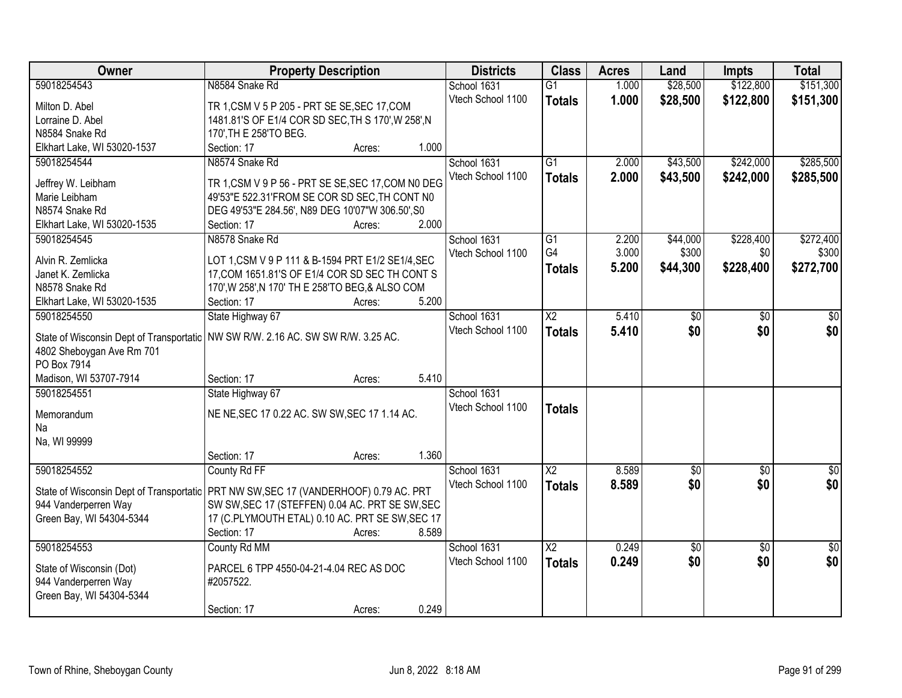| Owner                       | <b>Property Description</b>                                                          | <b>Districts</b>  | <b>Class</b>           | <b>Acres</b> | Land            | Impts           | <b>Total</b>    |
|-----------------------------|--------------------------------------------------------------------------------------|-------------------|------------------------|--------------|-----------------|-----------------|-----------------|
| 59018254543                 | N8584 Snake Rd                                                                       | School 1631       | $\overline{G1}$        | 1.000        | \$28,500        | \$122,800       | \$151,300       |
| Milton D. Abel              | TR 1, CSM V 5 P 205 - PRT SE SE, SEC 17, COM                                         | Vtech School 1100 | <b>Totals</b>          | 1.000        | \$28,500        | \$122,800       | \$151,300       |
| Lorraine D. Abel            | 1481.81'S OF E1/4 COR SD SEC, TH S 170', W 258', N                                   |                   |                        |              |                 |                 |                 |
| N8584 Snake Rd              | 170', TH E 258'TO BEG.                                                               |                   |                        |              |                 |                 |                 |
| Elkhart Lake, WI 53020-1537 | Section: 17<br>1.000<br>Acres:                                                       |                   |                        |              |                 |                 |                 |
| 59018254544                 | N8574 Snake Rd                                                                       | School 1631       | $\overline{G1}$        | 2.000        | \$43,500        | \$242,000       | \$285,500       |
| Jeffrey W. Leibham          | TR 1, CSM V 9 P 56 - PRT SE SE, SEC 17, COM NO DEG                                   | Vtech School 1100 | <b>Totals</b>          | 2.000        | \$43,500        | \$242,000       | \$285,500       |
| Marie Leibham               | 49'53"E 522.31'FROM SE COR SD SEC, TH CONT NO                                        |                   |                        |              |                 |                 |                 |
| N8574 Snake Rd              | DEG 49'53"E 284.56', N89 DEG 10'07"W 306.50', S0                                     |                   |                        |              |                 |                 |                 |
| Elkhart Lake, WI 53020-1535 | 2.000<br>Section: 17<br>Acres:                                                       |                   |                        |              |                 |                 |                 |
| 59018254545                 | N8578 Snake Rd                                                                       | School 1631       | G1                     | 2.200        | \$44,000        | \$228,400       | \$272,400       |
|                             |                                                                                      | Vtech School 1100 | G4                     | 3.000        | \$300           | \$0             | \$300           |
| Alvin R. Zemlicka           | LOT 1, CSM V 9 P 111 & B-1594 PRT E1/2 SE1/4, SEC                                    |                   | <b>Totals</b>          | 5.200        | \$44,300        | \$228,400       | \$272,700       |
| Janet K. Zemlicka           | 17, COM 1651.81'S OF E1/4 COR SD SEC TH CONT S                                       |                   |                        |              |                 |                 |                 |
| N8578 Snake Rd              | 170', W 258', N 170' TH E 258'TO BEG, & ALSO COM                                     |                   |                        |              |                 |                 |                 |
| Elkhart Lake, WI 53020-1535 | Section: 17<br>5.200<br>Acres:                                                       |                   |                        |              |                 |                 |                 |
| 59018254550                 | State Highway 67                                                                     | School 1631       | $\overline{\text{X2}}$ | 5.410        | \$0             | \$0             | \$0             |
|                             | State of Wisconsin Dept of Transportatic   NW SW R/W. 2.16 AC. SW SW R/W. 3.25 AC.   | Vtech School 1100 | <b>Totals</b>          | 5.410        | \$0             | \$0             | \$0             |
| 4802 Sheboygan Ave Rm 701   |                                                                                      |                   |                        |              |                 |                 |                 |
| PO Box 7914                 |                                                                                      |                   |                        |              |                 |                 |                 |
| Madison, WI 53707-7914      | 5.410<br>Section: 17<br>Acres:                                                       |                   |                        |              |                 |                 |                 |
| 59018254551                 | State Highway 67                                                                     | School 1631       |                        |              |                 |                 |                 |
|                             |                                                                                      | Vtech School 1100 | <b>Totals</b>          |              |                 |                 |                 |
| Memorandum                  | NE NE, SEC 17 0.22 AC. SW SW, SEC 17 1.14 AC.                                        |                   |                        |              |                 |                 |                 |
| Na<br>Na, WI 99999          |                                                                                      |                   |                        |              |                 |                 |                 |
|                             | 1.360<br>Section: 17<br>Acres:                                                       |                   |                        |              |                 |                 |                 |
| 59018254552                 | County Rd FF                                                                         | School 1631       | $\overline{X2}$        | 8.589        | $\overline{50}$ | $\overline{50}$ | $\overline{50}$ |
|                             |                                                                                      | Vtech School 1100 | <b>Totals</b>          | 8.589        | \$0             | \$0             | \$0             |
|                             | State of Wisconsin Dept of Transportatic PRT NW SW, SEC 17 (VANDERHOOF) 0.79 AC. PRT |                   |                        |              |                 |                 |                 |
| 944 Vanderperren Way        | SW SW, SEC 17 (STEFFEN) 0.04 AC. PRT SE SW, SEC                                      |                   |                        |              |                 |                 |                 |
| Green Bay, WI 54304-5344    | 17 (C.PLYMOUTH ETAL) 0.10 AC. PRT SE SW, SEC 17                                      |                   |                        |              |                 |                 |                 |
|                             | 8.589<br>Section: 17<br>Acres:                                                       |                   |                        |              |                 |                 |                 |
| 59018254553                 | County Rd MM                                                                         | School 1631       | $\overline{\text{X2}}$ | 0.249        | $\sqrt{50}$     | $\overline{50}$ | $\overline{50}$ |
| State of Wisconsin (Dot)    | PARCEL 6 TPP 4550-04-21-4.04 REC AS DOC                                              | Vtech School 1100 | <b>Totals</b>          | 0.249        | \$0             | \$0             | \$0             |
| 944 Vanderperren Way        | #2057522.                                                                            |                   |                        |              |                 |                 |                 |
| Green Bay, WI 54304-5344    |                                                                                      |                   |                        |              |                 |                 |                 |
|                             | 0.249<br>Section: 17<br>Acres:                                                       |                   |                        |              |                 |                 |                 |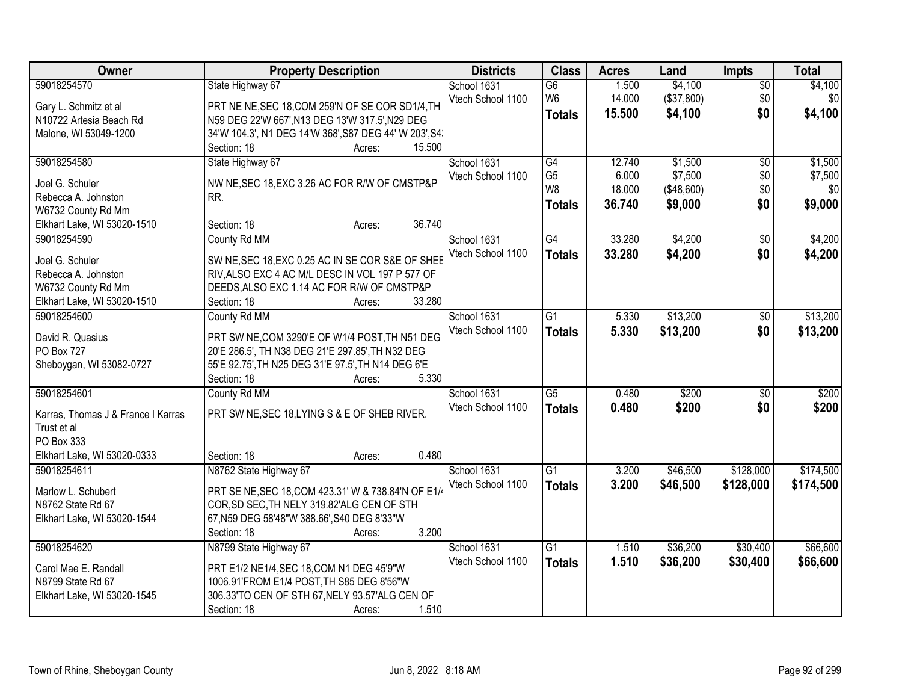| Owner                              | <b>Property Description</b>                           | <b>Districts</b>  | <b>Class</b>    | <b>Acres</b> | Land        | <b>Impts</b>    | <b>Total</b> |
|------------------------------------|-------------------------------------------------------|-------------------|-----------------|--------------|-------------|-----------------|--------------|
| 59018254570                        | State Highway 67                                      | School 1631       | $\overline{G6}$ | 1.500        | \$4,100     | $\overline{50}$ | \$4,100      |
| Gary L. Schmitz et al              | PRT NE NE, SEC 18, COM 259'N OF SE COR SD1/4, TH      | Vtech School 1100 | W <sub>6</sub>  | 14.000       | (\$37,800)  | \$0             | \$0          |
| N10722 Artesia Beach Rd            | N59 DEG 22'W 667', N13 DEG 13'W 317.5', N29 DEG       |                   | <b>Totals</b>   | 15.500       | \$4,100     | \$0             | \$4,100      |
| Malone, WI 53049-1200              | 34'W 104.3', N1 DEG 14'W 368', S87 DEG 44' W 203', S4 |                   |                 |              |             |                 |              |
|                                    | 15.500<br>Section: 18<br>Acres:                       |                   |                 |              |             |                 |              |
| 59018254580                        | State Highway 67                                      | School 1631       | G4              | 12.740       | \$1,500     | $\overline{50}$ | \$1,500      |
|                                    |                                                       | Vtech School 1100 | G <sub>5</sub>  | 6.000        | \$7,500     | \$0             | \$7,500      |
| Joel G. Schuler                    | NW NE, SEC 18, EXC 3.26 AC FOR R/W OF CMSTP&P         |                   | W <sub>8</sub>  | 18.000       | ( \$48,600) | \$0             | \$0          |
| Rebecca A. Johnston                | RR.                                                   |                   | <b>Totals</b>   | 36.740       | \$9,000     | \$0             | \$9,000      |
| W6732 County Rd Mm                 |                                                       |                   |                 |              |             |                 |              |
| Elkhart Lake, WI 53020-1510        | 36.740<br>Section: 18<br>Acres:                       |                   |                 |              |             |                 |              |
| 59018254590                        | County Rd MM                                          | School 1631       | G4              | 33.280       | \$4,200     | \$0             | \$4,200      |
| Joel G. Schuler                    | SW NE, SEC 18, EXC 0.25 AC IN SE COR S&E OF SHEE      | Vtech School 1100 | <b>Totals</b>   | 33.280       | \$4,200     | \$0             | \$4,200      |
| Rebecca A. Johnston                | RIV, ALSO EXC 4 AC M/L DESC IN VOL 197 P 577 OF       |                   |                 |              |             |                 |              |
| W6732 County Rd Mm                 | DEEDS, ALSO EXC 1.14 AC FOR R/W OF CMSTP&P            |                   |                 |              |             |                 |              |
| Elkhart Lake, WI 53020-1510        | 33.280<br>Section: 18<br>Acres:                       |                   |                 |              |             |                 |              |
| 59018254600                        | County Rd MM                                          | School 1631       | G1              | 5.330        | \$13,200    | \$0             | \$13,200     |
|                                    |                                                       | Vtech School 1100 | <b>Totals</b>   | 5.330        | \$13,200    | \$0             | \$13,200     |
| David R. Quasius                   | PRT SW NE, COM 3290'E OF W1/4 POST, TH N51 DEG        |                   |                 |              |             |                 |              |
| <b>PO Box 727</b>                  | 20'E 286.5', TH N38 DEG 21'E 297.85', TH N32 DEG      |                   |                 |              |             |                 |              |
| Sheboygan, WI 53082-0727           | 55'E 92.75', TH N25 DEG 31'E 97.5', TH N14 DEG 6'E    |                   |                 |              |             |                 |              |
|                                    | 5.330<br>Section: 18<br>Acres:                        |                   |                 |              |             |                 |              |
| 59018254601                        | County Rd MM                                          | School 1631       | $\overline{G5}$ | 0.480        | \$200       | $\overline{50}$ | \$200        |
| Karras, Thomas J & France I Karras | PRT SW NE, SEC 18, LYING S & E OF SHEB RIVER.         | Vtech School 1100 | <b>Totals</b>   | 0.480        | \$200       | \$0             | \$200        |
| Trust et al                        |                                                       |                   |                 |              |             |                 |              |
| PO Box 333                         |                                                       |                   |                 |              |             |                 |              |
| Elkhart Lake, WI 53020-0333        | 0.480<br>Section: 18<br>Acres:                        |                   |                 |              |             |                 |              |
| 59018254611                        | N8762 State Highway 67                                | School 1631       | $\overline{G1}$ | 3.200        | \$46,500    | \$128,000       | \$174,500    |
|                                    |                                                       |                   |                 |              |             |                 |              |
| Marlow L. Schubert                 | PRT SE NE, SEC 18, COM 423.31' W & 738.84'N OF E1/    | Vtech School 1100 | <b>Totals</b>   | 3.200        | \$46,500    | \$128,000       | \$174,500    |
| N8762 State Rd 67                  | COR, SD SEC, TH NELY 319.82'ALG CEN OF STH            |                   |                 |              |             |                 |              |
| Elkhart Lake, WI 53020-1544        | 67, N59 DEG 58'48"W 388.66', S40 DEG 8'33"W           |                   |                 |              |             |                 |              |
|                                    | 3.200<br>Section: 18<br>Acres:                        |                   |                 |              |             |                 |              |
| 59018254620                        | N8799 State Highway 67                                | School 1631       | $\overline{G1}$ | 1.510        | \$36,200    | \$30,400        | \$66,600     |
|                                    |                                                       | Vtech School 1100 | <b>Totals</b>   | 1.510        | \$36,200    | \$30,400        | \$66,600     |
| Carol Mae E. Randall               | PRT E1/2 NE1/4, SEC 18, COM N1 DEG 45'9"W             |                   |                 |              |             |                 |              |
| N8799 State Rd 67                  | 1006.91'FROM E1/4 POST, TH S85 DEG 8'56"W             |                   |                 |              |             |                 |              |
| Elkhart Lake, WI 53020-1545        | 306.33'TO CEN OF STH 67, NELY 93.57'ALG CEN OF        |                   |                 |              |             |                 |              |
|                                    | Section: 18<br>1.510<br>Acres:                        |                   |                 |              |             |                 |              |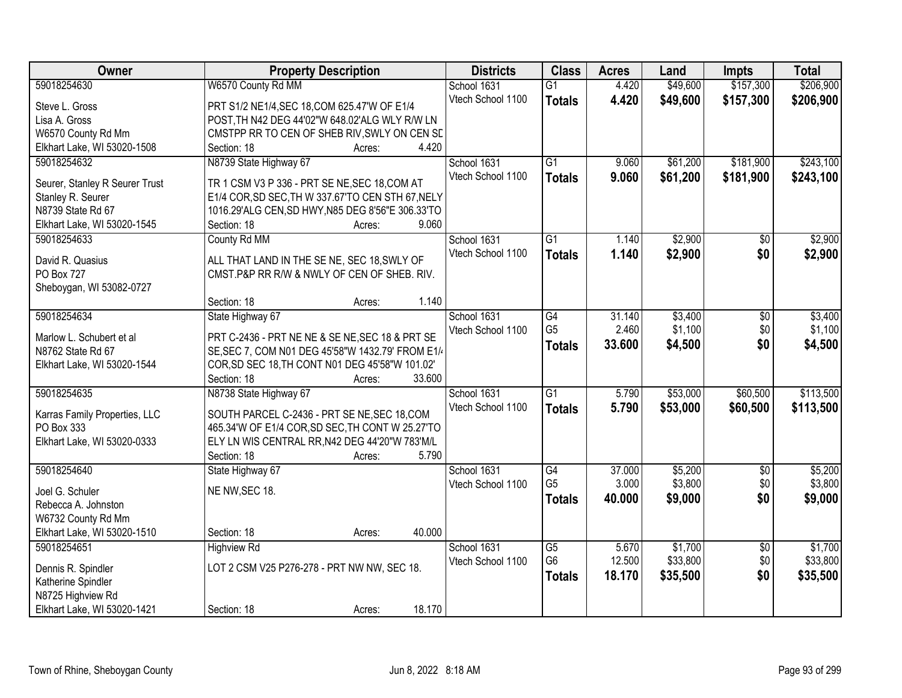| Owner                          | <b>Property Description</b>                       | <b>Districts</b>  | <b>Class</b>    | <b>Acres</b> | Land     | <b>Impts</b>    | <b>Total</b> |
|--------------------------------|---------------------------------------------------|-------------------|-----------------|--------------|----------|-----------------|--------------|
| 59018254630                    | W6570 County Rd MM                                | School 1631       | $\overline{G1}$ | 4.420        | \$49,600 | \$157,300       | \$206,900    |
| Steve L. Gross                 | PRT S1/2 NE1/4, SEC 18, COM 625.47'W OF E1/4      | Vtech School 1100 | <b>Totals</b>   | 4.420        | \$49,600 | \$157,300       | \$206,900    |
| Lisa A. Gross                  | POST, TH N42 DEG 44'02"W 648.02'ALG WLY R/W LN    |                   |                 |              |          |                 |              |
| W6570 County Rd Mm             | CMSTPP RR TO CEN OF SHEB RIV, SWLY ON CEN SE      |                   |                 |              |          |                 |              |
| Elkhart Lake, WI 53020-1508    | 4.420<br>Section: 18<br>Acres:                    |                   |                 |              |          |                 |              |
| 59018254632                    | N8739 State Highway 67                            | School 1631       | $\overline{G1}$ | 9.060        | \$61,200 | \$181,900       | \$243,100    |
|                                |                                                   | Vtech School 1100 | <b>Totals</b>   | 9.060        | \$61,200 | \$181,900       | \$243,100    |
| Seurer, Stanley R Seurer Trust | TR 1 CSM V3 P 336 - PRT SE NE, SEC 18, COM AT     |                   |                 |              |          |                 |              |
| Stanley R. Seurer              | E1/4 COR, SD SEC, TH W 337.67'TO CEN STH 67, NELY |                   |                 |              |          |                 |              |
| N8739 State Rd 67              | 1016.29'ALG CEN, SD HWY, N85 DEG 8'56"E 306.33'TO |                   |                 |              |          |                 |              |
| Elkhart Lake, WI 53020-1545    | 9.060<br>Section: 18<br>Acres:                    |                   |                 |              |          |                 |              |
| 59018254633                    | County Rd MM                                      | School 1631       | $\overline{G1}$ | 1.140        | \$2,900  | $\overline{50}$ | \$2,900      |
| David R. Quasius               | ALL THAT LAND IN THE SE NE, SEC 18, SWLY OF       | Vtech School 1100 | <b>Totals</b>   | 1.140        | \$2,900  | \$0             | \$2,900      |
| PO Box 727                     | CMST.P&P RR R/W & NWLY OF CEN OF SHEB. RIV.       |                   |                 |              |          |                 |              |
| Sheboygan, WI 53082-0727       |                                                   |                   |                 |              |          |                 |              |
|                                | 1.140<br>Section: 18<br>Acres:                    |                   |                 |              |          |                 |              |
| 59018254634                    | State Highway 67                                  | School 1631       | G4              | 31.140       | \$3,400  | \$0             | \$3,400      |
|                                |                                                   | Vtech School 1100 | G <sub>5</sub>  | 2.460        | \$1,100  | \$0             | \$1,100      |
| Marlow L. Schubert et al       | PRT C-2436 - PRT NE NE & SE NE, SEC 18 & PRT SE   |                   | <b>Totals</b>   | 33.600       | \$4,500  | \$0             | \$4,500      |
| N8762 State Rd 67              | SE, SEC 7, COM N01 DEG 45'58"W 1432.79' FROM E1/  |                   |                 |              |          |                 |              |
| Elkhart Lake, WI 53020-1544    | COR, SD SEC 18, TH CONT N01 DEG 45'58"W 101.02"   |                   |                 |              |          |                 |              |
|                                | 33.600<br>Section: 18<br>Acres:                   |                   |                 |              |          |                 |              |
| 59018254635                    | N8738 State Highway 67                            | School 1631       | $\overline{G1}$ | 5.790        | \$53,000 | \$60,500        | \$113,500    |
| Karras Family Properties, LLC  | SOUTH PARCEL C-2436 - PRT SE NE, SEC 18, COM      | Vtech School 1100 | <b>Totals</b>   | 5.790        | \$53,000 | \$60,500        | \$113,500    |
| PO Box 333                     | 465.34'W OF E1/4 COR, SD SEC, TH CONT W 25.27'TO  |                   |                 |              |          |                 |              |
| Elkhart Lake, WI 53020-0333    | ELY LN WIS CENTRAL RR, N42 DEG 44'20"W 783'M/L    |                   |                 |              |          |                 |              |
|                                | Section: 18<br>5.790<br>Acres:                    |                   |                 |              |          |                 |              |
| 59018254640                    | State Highway 67                                  | School 1631       | G4              | 37.000       | \$5,200  | $\sqrt{6}$      | \$5,200      |
|                                |                                                   | Vtech School 1100 | G <sub>5</sub>  | 3.000        | \$3,800  | \$0             | \$3,800      |
| Joel G. Schuler                | NE NW, SEC 18.                                    |                   | <b>Totals</b>   | 40.000       | \$9,000  | \$0             | \$9,000      |
| Rebecca A. Johnston            |                                                   |                   |                 |              |          |                 |              |
| W6732 County Rd Mm             |                                                   |                   |                 |              |          |                 |              |
| Elkhart Lake, WI 53020-1510    | 40.000<br>Section: 18<br>Acres:                   |                   |                 |              |          |                 |              |
| 59018254651                    | <b>Highview Rd</b>                                | School 1631       | $\overline{G5}$ | 5.670        | \$1,700  | $\overline{50}$ | \$1,700      |
| Dennis R. Spindler             | LOT 2 CSM V25 P276-278 - PRT NW NW, SEC 18.       | Vtech School 1100 | G <sub>6</sub>  | 12.500       | \$33,800 | \$0             | \$33,800     |
| Katherine Spindler             |                                                   |                   | <b>Totals</b>   | 18.170       | \$35,500 | \$0             | \$35,500     |
| N8725 Highview Rd              |                                                   |                   |                 |              |          |                 |              |
| Elkhart Lake, WI 53020-1421    | 18.170<br>Section: 18<br>Acres:                   |                   |                 |              |          |                 |              |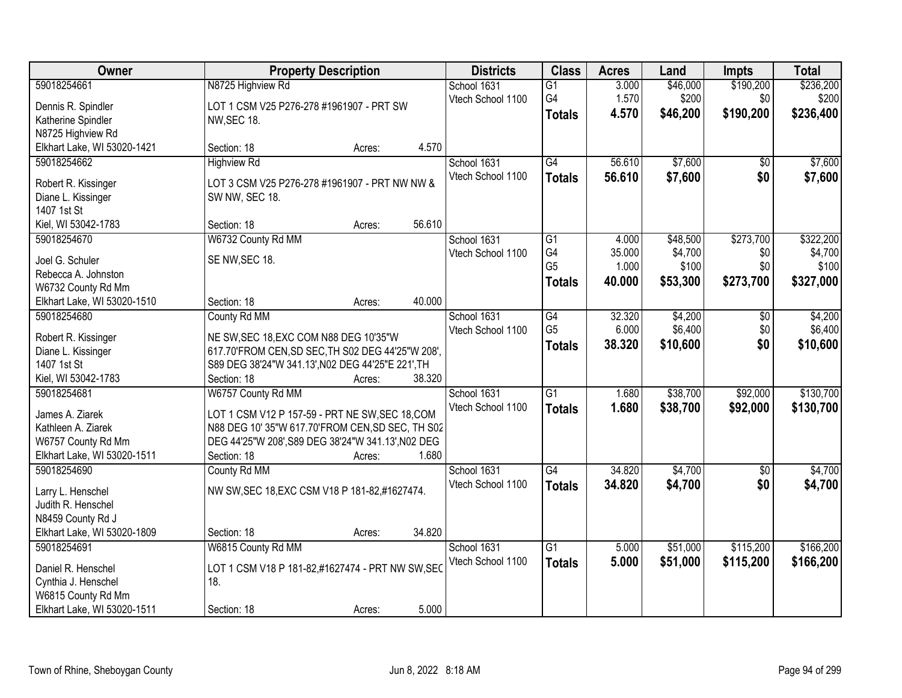| Owner                             |                                                                  | <b>Property Description</b> |        | <b>Districts</b>  | <b>Class</b>    | <b>Acres</b>    | Land                | <b>Impts</b>    | <b>Total</b>     |
|-----------------------------------|------------------------------------------------------------------|-----------------------------|--------|-------------------|-----------------|-----------------|---------------------|-----------------|------------------|
| 59018254661                       | N8725 Highview Rd                                                |                             |        | School 1631       | $\overline{G1}$ | 3.000           | \$46,000            | \$190,200       | \$236,200        |
| Dennis R. Spindler                | LOT 1 CSM V25 P276-278 #1961907 - PRT SW                         |                             |        | Vtech School 1100 | G4              | 1.570           | \$200               | \$0             | \$200            |
| Katherine Spindler                | NW, SEC 18.                                                      |                             |        |                   | <b>Totals</b>   | 4.570           | \$46,200            | \$190,200       | \$236,400        |
| N8725 Highview Rd                 |                                                                  |                             |        |                   |                 |                 |                     |                 |                  |
| Elkhart Lake, WI 53020-1421       | Section: 18                                                      | Acres:                      | 4.570  |                   |                 |                 |                     |                 |                  |
| 59018254662                       | <b>Highview Rd</b>                                               |                             |        | School 1631       | G4              | 56.610          | \$7,600             | \$0             | \$7,600          |
|                                   |                                                                  |                             |        | Vtech School 1100 | <b>Totals</b>   | 56.610          | \$7,600             | \$0             | \$7,600          |
| Robert R. Kissinger               | LOT 3 CSM V25 P276-278 #1961907 - PRT NW NW &                    |                             |        |                   |                 |                 |                     |                 |                  |
| Diane L. Kissinger<br>1407 1st St | SW NW, SEC 18.                                                   |                             |        |                   |                 |                 |                     |                 |                  |
| Kiel, WI 53042-1783               | Section: 18                                                      |                             | 56.610 |                   |                 |                 |                     |                 |                  |
| 59018254670                       |                                                                  | Acres:                      |        | School 1631       | G1              |                 |                     | \$273,700       |                  |
|                                   | W6732 County Rd MM                                               |                             |        |                   | G4              | 4.000<br>35.000 | \$48,500<br>\$4,700 |                 | \$322,200        |
| Joel G. Schuler                   | SE NW, SEC 18.                                                   |                             |        | Vtech School 1100 | G <sub>5</sub>  | 1.000           | \$100               | \$0<br>\$0      | \$4,700<br>\$100 |
| Rebecca A. Johnston               |                                                                  |                             |        |                   |                 |                 |                     |                 |                  |
| W6732 County Rd Mm                |                                                                  |                             |        |                   | <b>Totals</b>   | 40.000          | \$53,300            | \$273,700       | \$327,000        |
| Elkhart Lake, WI 53020-1510       | Section: 18                                                      | Acres:                      | 40.000 |                   |                 |                 |                     |                 |                  |
| 59018254680                       | County Rd MM                                                     |                             |        | School 1631       | G4              | 32.320          | \$4,200             | $\sqrt[6]{}$    | \$4,200          |
|                                   |                                                                  |                             |        | Vtech School 1100 | G <sub>5</sub>  | 6.000           | \$6,400             | \$0             | \$6,400          |
| Robert R. Kissinger               | NE SW, SEC 18, EXC COM N88 DEG 10'35"W                           |                             |        |                   | <b>Totals</b>   | 38.320          | \$10,600            | \$0             | \$10,600         |
| Diane L. Kissinger<br>1407 1st St | 617.70'FROM CEN, SD SEC, TH S02 DEG 44'25"W 208',                |                             |        |                   |                 |                 |                     |                 |                  |
| Kiel, WI 53042-1783               | S89 DEG 38'24"W 341.13', N02 DEG 44'25"E 221', TH<br>Section: 18 |                             | 38.320 |                   |                 |                 |                     |                 |                  |
| 59018254681                       | W6757 County Rd MM                                               | Acres:                      |        | School 1631       | $\overline{G1}$ | 1.680           | \$38,700            | \$92,000        | \$130,700        |
|                                   |                                                                  |                             |        |                   |                 |                 |                     |                 |                  |
| James A. Ziarek                   | LOT 1 CSM V12 P 157-59 - PRT NE SW, SEC 18, COM                  |                             |        | Vtech School 1100 | <b>Totals</b>   | 1.680           | \$38,700            | \$92,000        | \$130,700        |
| Kathleen A. Ziarek                | N88 DEG 10' 35"W 617.70'FROM CEN, SD SEC, TH S02                 |                             |        |                   |                 |                 |                     |                 |                  |
| W6757 County Rd Mm                | DEG 44'25"W 208', S89 DEG 38'24"W 341.13', N02 DEG               |                             |        |                   |                 |                 |                     |                 |                  |
| Elkhart Lake, WI 53020-1511       | Section: 18                                                      | Acres:                      | 1.680  |                   |                 |                 |                     |                 |                  |
| 59018254690                       | County Rd MM                                                     |                             |        | School 1631       | $\overline{G4}$ | 34.820          | \$4,700             | $\overline{50}$ | \$4,700          |
| Larry L. Henschel                 | NW SW, SEC 18, EXC CSM V18 P 181-82, #1627474.                   |                             |        | Vtech School 1100 | <b>Totals</b>   | 34.820          | \$4,700             | \$0             | \$4,700          |
| Judith R. Henschel                |                                                                  |                             |        |                   |                 |                 |                     |                 |                  |
| N8459 County Rd J                 |                                                                  |                             |        |                   |                 |                 |                     |                 |                  |
| Elkhart Lake, WI 53020-1809       | Section: 18                                                      | Acres:                      | 34.820 |                   |                 |                 |                     |                 |                  |
| 59018254691                       | W6815 County Rd MM                                               |                             |        | School 1631       | $\overline{G1}$ | 5.000           | \$51,000            | \$115,200       | \$166,200        |
|                                   |                                                                  |                             |        | Vtech School 1100 |                 | 5.000           | \$51,000            | \$115,200       | \$166,200        |
| Daniel R. Henschel                | LOT 1 CSM V18 P 181-82,#1627474 - PRT NW SW, SEC                 |                             |        |                   | <b>Totals</b>   |                 |                     |                 |                  |
| Cynthia J. Henschel               | 18.                                                              |                             |        |                   |                 |                 |                     |                 |                  |
| W6815 County Rd Mm                |                                                                  |                             |        |                   |                 |                 |                     |                 |                  |
| Elkhart Lake, WI 53020-1511       | Section: 18                                                      | Acres:                      | 5.000  |                   |                 |                 |                     |                 |                  |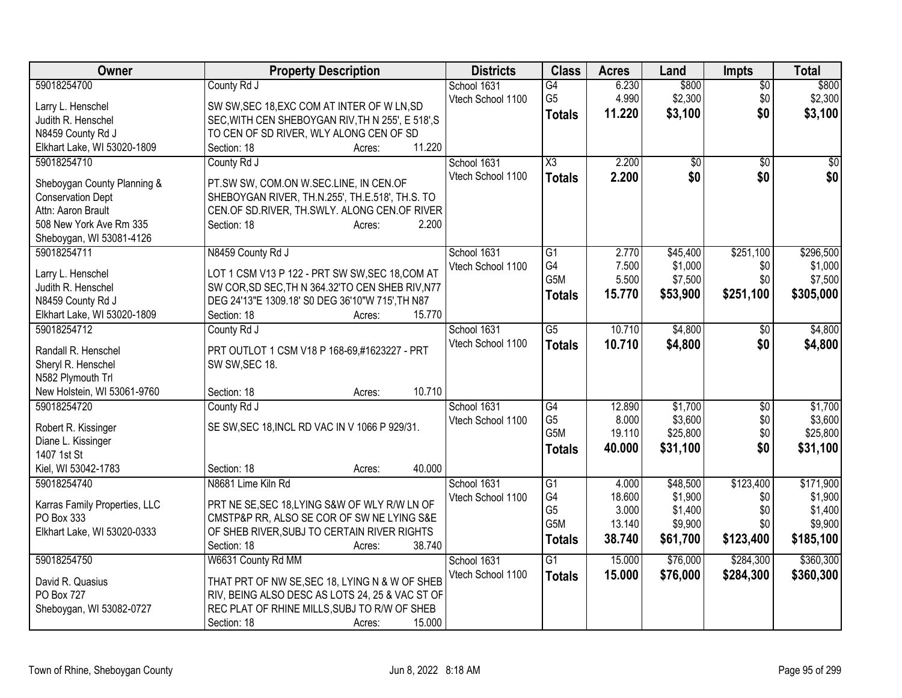| Owner                                   | <b>Property Description</b>                       | <b>Districts</b>  | <b>Class</b>     | <b>Acres</b> | Land     | <b>Impts</b>    | <b>Total</b> |
|-----------------------------------------|---------------------------------------------------|-------------------|------------------|--------------|----------|-----------------|--------------|
| 59018254700                             | County Rd J                                       | School 1631       | G4               | 6.230        | \$800    | $\overline{50}$ | \$800        |
| Larry L. Henschel                       | SW SW, SEC 18, EXC COM AT INTER OF W LN, SD       | Vtech School 1100 | G <sub>5</sub>   | 4.990        | \$2,300  | \$0             | \$2,300      |
| Judith R. Henschel                      | SEC, WITH CEN SHEBOYGAN RIV, TH N 255', E 518', S |                   | <b>Totals</b>    | 11.220       | \$3,100  | \$0             | \$3,100      |
| N8459 County Rd J                       | TO CEN OF SD RIVER, WLY ALONG CEN OF SD           |                   |                  |              |          |                 |              |
| Elkhart Lake, WI 53020-1809             | 11.220<br>Section: 18<br>Acres:                   |                   |                  |              |          |                 |              |
| 59018254710                             | County Rd J                                       | School 1631       | X3               | 2.200        | \$0      | $\overline{50}$ | \$0          |
|                                         |                                                   | Vtech School 1100 | <b>Totals</b>    | 2.200        | \$0      | \$0             | \$0          |
| Sheboygan County Planning &             | PT.SW SW, COM.ON W.SEC.LINE, IN CEN.OF            |                   |                  |              |          |                 |              |
| <b>Conservation Dept</b>                | SHEBOYGAN RIVER, TH.N.255', TH.E.518', TH.S. TO   |                   |                  |              |          |                 |              |
| Attn: Aaron Brault                      | CEN.OF SD.RIVER, TH.SWLY. ALONG CEN.OF RIVER      |                   |                  |              |          |                 |              |
| 508 New York Ave Rm 335                 | Section: 18<br>2.200<br>Acres:                    |                   |                  |              |          |                 |              |
| Sheboygan, WI 53081-4126<br>59018254711 | N8459 County Rd J                                 | School 1631       | G1               | 2.770        | \$45,400 | \$251,100       | \$296,500    |
|                                         |                                                   | Vtech School 1100 | G4               | 7.500        | \$1,000  | \$0             | \$1,000      |
| Larry L. Henschel                       | LOT 1 CSM V13 P 122 - PRT SW SW, SEC 18, COM AT   |                   | G5M              | 5.500        | \$7,500  | \$0             | \$7,500      |
| Judith R. Henschel                      | SW COR, SD SEC, TH N 364.32'TO CEN SHEB RIV, N77  |                   |                  | 15.770       | \$53,900 | \$251,100       | \$305,000    |
| N8459 County Rd J                       | DEG 24'13"E 1309.18' S0 DEG 36'10"W 715', TH N87  |                   | <b>Totals</b>    |              |          |                 |              |
| Elkhart Lake, WI 53020-1809             | 15.770<br>Section: 18<br>Acres:                   |                   |                  |              |          |                 |              |
| 59018254712                             | County Rd J                                       | School 1631       | G5               | 10.710       | \$4,800  | \$0             | \$4,800      |
| Randall R. Henschel                     | PRT OUTLOT 1 CSM V18 P 168-69,#1623227 - PRT      | Vtech School 1100 | <b>Totals</b>    | 10.710       | \$4,800  | \$0             | \$4,800      |
| Sheryl R. Henschel                      | SW SW, SEC 18.                                    |                   |                  |              |          |                 |              |
| N582 Plymouth Trl                       |                                                   |                   |                  |              |          |                 |              |
| New Holstein, WI 53061-9760             | 10.710<br>Section: 18<br>Acres:                   |                   |                  |              |          |                 |              |
| 59018254720                             | County Rd J                                       | School 1631       | G4               | 12.890       | \$1,700  | $\sqrt[6]{3}$   | \$1,700      |
|                                         |                                                   | Vtech School 1100 | G <sub>5</sub>   | 8.000        | \$3,600  | \$0             | \$3,600      |
| Robert R. Kissinger                     | SE SW, SEC 18, INCL RD VAC IN V 1066 P 929/31.    |                   | G <sub>5</sub> M | 19.110       | \$25,800 | \$0             | \$25,800     |
| Diane L. Kissinger                      |                                                   |                   | <b>Totals</b>    | 40.000       | \$31,100 | \$0             | \$31,100     |
| 1407 1st St                             |                                                   |                   |                  |              |          |                 |              |
| Kiel, WI 53042-1783                     | 40.000<br>Section: 18<br>Acres:                   |                   |                  |              |          |                 |              |
| 59018254740                             | N8681 Lime Kiln Rd                                | School 1631       | $\overline{G1}$  | 4.000        | \$48,500 | \$123,400       | \$171,900    |
| Karras Family Properties, LLC           | PRT NE SE, SEC 18, LYING S&W OF WLY R/W LN OF     | Vtech School 1100 | G <sub>4</sub>   | 18.600       | \$1,900  | \$0             | \$1,900      |
| PO Box 333                              | CMSTP&P RR, ALSO SE COR OF SW NE LYING S&E        |                   | G <sub>5</sub>   | 3.000        | \$1,400  | \$0             | \$1,400      |
| Elkhart Lake, WI 53020-0333             | OF SHEB RIVER, SUBJ TO CERTAIN RIVER RIGHTS       |                   | G5M              | 13.140       | \$9,900  | \$0             | \$9,900      |
|                                         | 38.740<br>Section: 18<br>Acres:                   |                   | <b>Totals</b>    | 38.740       | \$61,700 | \$123,400       | \$185,100    |
| 59018254750                             | W6631 County Rd MM                                | School 1631       | $\overline{G1}$  | 15.000       | \$76,000 | \$284,300       | \$360,300    |
|                                         |                                                   | Vtech School 1100 | <b>Totals</b>    | 15.000       | \$76,000 | \$284,300       | \$360,300    |
| David R. Quasius                        | THAT PRT OF NW SE, SEC 18, LYING N & W OF SHEB    |                   |                  |              |          |                 |              |
| PO Box 727                              | RIV, BEING ALSO DESC AS LOTS 24, 25 & VAC ST OF   |                   |                  |              |          |                 |              |
| Sheboygan, WI 53082-0727                | REC PLAT OF RHINE MILLS, SUBJ TO R/W OF SHEB      |                   |                  |              |          |                 |              |
|                                         | 15.000<br>Section: 18<br>Acres:                   |                   |                  |              |          |                 |              |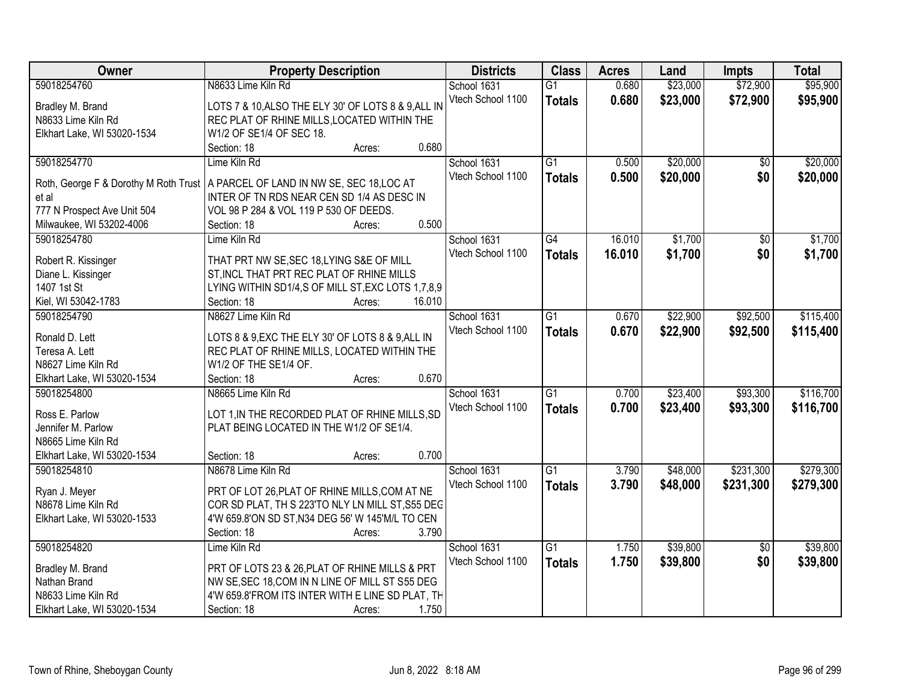| Owner                                 | <b>Property Description</b>                         | <b>Districts</b>  | <b>Class</b>    | <b>Acres</b> | Land     | <b>Impts</b> | <b>Total</b> |
|---------------------------------------|-----------------------------------------------------|-------------------|-----------------|--------------|----------|--------------|--------------|
| 59018254760                           | N8633 Lime Kiln Rd                                  | School 1631       | $\overline{G1}$ | 0.680        | \$23,000 | \$72,900     | \$95,900     |
| Bradley M. Brand                      | LOTS 7 & 10, ALSO THE ELY 30' OF LOTS 8 & 9, ALL IN | Vtech School 1100 | <b>Totals</b>   | 0.680        | \$23,000 | \$72,900     | \$95,900     |
| N8633 Lime Kiln Rd                    | REC PLAT OF RHINE MILLS, LOCATED WITHIN THE         |                   |                 |              |          |              |              |
| Elkhart Lake, WI 53020-1534           | W1/2 OF SE1/4 OF SEC 18.                            |                   |                 |              |          |              |              |
|                                       | 0.680<br>Section: 18<br>Acres:                      |                   |                 |              |          |              |              |
| 59018254770                           | Lime Kiln Rd                                        | School 1631       | $\overline{G1}$ | 0.500        | \$20,000 | \$0          | \$20,000     |
|                                       |                                                     | Vtech School 1100 | <b>Totals</b>   | 0.500        | \$20,000 | \$0          | \$20,000     |
| Roth, George F & Dorothy M Roth Trust | A PARCEL OF LAND IN NW SE, SEC 18, LOC AT           |                   |                 |              |          |              |              |
| et al                                 | INTER OF TN RDS NEAR CEN SD 1/4 AS DESC IN          |                   |                 |              |          |              |              |
| 777 N Prospect Ave Unit 504           | VOL 98 P 284 & VOL 119 P 530 OF DEEDS.<br>0.500     |                   |                 |              |          |              |              |
| Milwaukee, WI 53202-4006              | Section: 18<br>Acres:                               |                   |                 |              |          |              |              |
| 59018254780                           | Lime Kiln Rd                                        | School 1631       | G4              | 16.010       | \$1,700  | \$0          | \$1,700      |
| Robert R. Kissinger                   | THAT PRT NW SE, SEC 18, LYING S&E OF MILL           | Vtech School 1100 | <b>Totals</b>   | 16.010       | \$1,700  | \$0          | \$1,700      |
| Diane L. Kissinger                    | ST, INCL THAT PRT REC PLAT OF RHINE MILLS           |                   |                 |              |          |              |              |
| 1407 1st St                           | LYING WITHIN SD1/4,S OF MILL ST, EXC LOTS 1,7,8,9   |                   |                 |              |          |              |              |
| Kiel, WI 53042-1783                   | 16.010<br>Section: 18<br>Acres:                     |                   |                 |              |          |              |              |
| 59018254790                           | N8627 Lime Kiln Rd                                  | School 1631       | G1              | 0.670        | \$22,900 | \$92,500     | \$115,400    |
|                                       |                                                     | Vtech School 1100 | <b>Totals</b>   | 0.670        | \$22,900 | \$92,500     | \$115,400    |
| Ronald D. Lett                        | LOTS 8 & 9, EXC THE ELY 30' OF LOTS 8 & 9, ALL IN   |                   |                 |              |          |              |              |
| Teresa A. Lett                        | REC PLAT OF RHINE MILLS, LOCATED WITHIN THE         |                   |                 |              |          |              |              |
| N8627 Lime Kiln Rd                    | W1/2 OF THE SE1/4 OF.                               |                   |                 |              |          |              |              |
| Elkhart Lake, WI 53020-1534           | 0.670<br>Section: 18<br>Acres:                      |                   |                 |              |          |              |              |
| 59018254800                           | N8665 Lime Kiln Rd                                  | School 1631       | $\overline{G1}$ | 0.700        | \$23,400 | \$93,300     | \$116,700    |
| Ross E. Parlow                        | LOT 1, IN THE RECORDED PLAT OF RHINE MILLS, SD      | Vtech School 1100 | <b>Totals</b>   | 0.700        | \$23,400 | \$93,300     | \$116,700    |
| Jennifer M. Parlow                    | PLAT BEING LOCATED IN THE W1/2 OF SE1/4.            |                   |                 |              |          |              |              |
| N8665 Lime Kiln Rd                    |                                                     |                   |                 |              |          |              |              |
| Elkhart Lake, WI 53020-1534           | 0.700<br>Section: 18<br>Acres:                      |                   |                 |              |          |              |              |
| 59018254810                           | N8678 Lime Kiln Rd                                  | School 1631       | $\overline{G1}$ | 3.790        | \$48,000 | \$231,300    | \$279,300    |
|                                       |                                                     | Vtech School 1100 | <b>Totals</b>   | 3.790        | \$48,000 | \$231,300    | \$279,300    |
| Ryan J. Meyer                         | PRT OF LOT 26, PLAT OF RHINE MILLS, COM AT NE       |                   |                 |              |          |              |              |
| N8678 Lime Kiln Rd                    | COR SD PLAT, TH S 223'TO NLY LN MILL ST, S55 DEC    |                   |                 |              |          |              |              |
| Elkhart Lake, WI 53020-1533           | 4'W 659.8'ON SD ST, N34 DEG 56' W 145'M/L TO CEN    |                   |                 |              |          |              |              |
|                                       | Section: 18<br>3.790<br>Acres:                      |                   |                 |              |          |              |              |
| 59018254820                           | Lime Kiln Rd                                        | School 1631       | $\overline{G1}$ | 1.750        | \$39,800 | $\sqrt{6}$   | \$39,800     |
| Bradley M. Brand                      | PRT OF LOTS 23 & 26, PLAT OF RHINE MILLS & PRT      | Vtech School 1100 | <b>Totals</b>   | 1.750        | \$39,800 | \$0          | \$39,800     |
| Nathan Brand                          | NW SE, SEC 18, COM IN N LINE OF MILL ST S55 DEG     |                   |                 |              |          |              |              |
| N8633 Lime Kiln Rd                    | 4'W 659.8'FROM ITS INTER WITH E LINE SD PLAT, TH    |                   |                 |              |          |              |              |
| Elkhart Lake, WI 53020-1534           | 1.750<br>Section: 18<br>Acres:                      |                   |                 |              |          |              |              |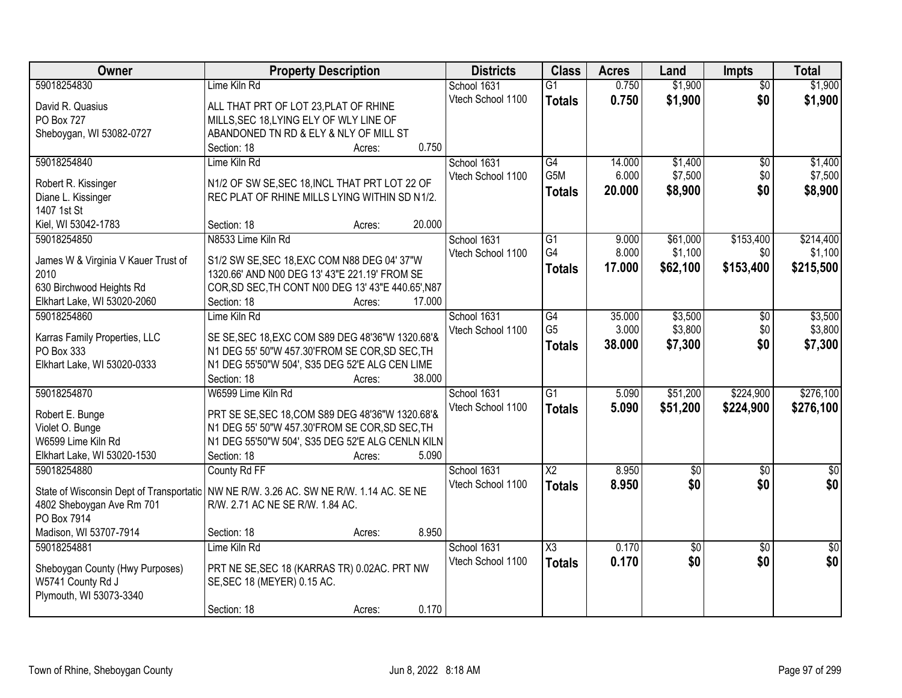| Owner                                     | <b>Property Description</b>                        | <b>Districts</b>  | <b>Class</b>        | <b>Acres</b> | Land                   | <b>Impts</b>           | <b>Total</b>           |
|-------------------------------------------|----------------------------------------------------|-------------------|---------------------|--------------|------------------------|------------------------|------------------------|
| 59018254830                               | Lime Kiln Rd                                       | School 1631       | $\overline{G1}$     | 0.750        | \$1,900                | $\overline{50}$        | \$1,900                |
| David R. Quasius                          | ALL THAT PRT OF LOT 23, PLAT OF RHINE              | Vtech School 1100 | <b>Totals</b>       | 0.750        | \$1,900                | \$0                    | \$1,900                |
| <b>PO Box 727</b>                         | MILLS, SEC 18, LYING ELY OF WLY LINE OF            |                   |                     |              |                        |                        |                        |
| Sheboygan, WI 53082-0727                  | ABANDONED TN RD & ELY & NLY OF MILL ST             |                   |                     |              |                        |                        |                        |
|                                           | 0.750<br>Section: 18<br>Acres:                     |                   |                     |              |                        |                        |                        |
| 59018254840                               | Lime Kiln Rd                                       | School 1631       | $\overline{G4}$     | 14.000       | \$1,400                | \$0                    | \$1,400                |
|                                           | N1/2 OF SW SE, SEC 18, INCL THAT PRT LOT 22 OF     | Vtech School 1100 | G <sub>5</sub> M    | 6.000        | \$7,500                | \$0                    | \$7,500                |
| Robert R. Kissinger<br>Diane L. Kissinger | REC PLAT OF RHINE MILLS LYING WITHIN SD N1/2.      |                   | <b>Totals</b>       | 20.000       | \$8,900                | \$0                    | \$8,900                |
| 1407 1st St                               |                                                    |                   |                     |              |                        |                        |                        |
| Kiel, WI 53042-1783                       | 20.000<br>Section: 18<br>Acres:                    |                   |                     |              |                        |                        |                        |
| 59018254850                               | N8533 Lime Kiln Rd                                 | School 1631       | $\overline{G1}$     | 9.000        | \$61,000               | \$153,400              | \$214,400              |
|                                           |                                                    | Vtech School 1100 | G4                  | 8.000        | \$1,100                | \$0                    | \$1,100                |
| James W & Virginia V Kauer Trust of       | S1/2 SW SE, SEC 18, EXC COM N88 DEG 04' 37"W       |                   | <b>Totals</b>       | 17,000       | \$62,100               | \$153,400              | \$215,500              |
| 2010                                      | 1320.66' AND N00 DEG 13' 43"E 221.19' FROM SE      |                   |                     |              |                        |                        |                        |
| 630 Birchwood Heights Rd                  | COR, SD SEC, TH CONT N00 DEG 13' 43"E 440.65', N87 |                   |                     |              |                        |                        |                        |
| Elkhart Lake, WI 53020-2060               | Section: 18<br>17.000<br>Acres:                    |                   |                     |              |                        |                        |                        |
| 59018254860                               | Lime Kiln Rd                                       | School 1631       | G4                  | 35.000       | \$3,500                | $\sqrt[6]{3}$          | \$3,500                |
| Karras Family Properties, LLC             | SE SE, SEC 18, EXC COM S89 DEG 48'36"W 1320.68'&   | Vtech School 1100 | G <sub>5</sub>      | 3.000        | \$3,800                | \$0                    | \$3,800                |
| PO Box 333                                | N1 DEG 55' 50"W 457.30'FROM SE COR, SD SEC, TH     |                   | <b>Totals</b>       | 38.000       | \$7,300                | \$0                    | \$7,300                |
| Elkhart Lake, WI 53020-0333               | N1 DEG 55'50"W 504', S35 DEG 52'E ALG CEN LIME     |                   |                     |              |                        |                        |                        |
|                                           | Section: 18<br>38.000<br>Acres:                    |                   |                     |              |                        |                        |                        |
| 59018254870                               | W6599 Lime Kiln Rd                                 | School 1631       | $\overline{G1}$     | 5.090        | \$51,200               | \$224,900              | \$276,100              |
| Robert E. Bunge                           | PRT SE SE, SEC 18, COM S89 DEG 48'36"W 1320.68'&   | Vtech School 1100 | <b>Totals</b>       | 5.090        | \$51,200               | \$224,900              | \$276,100              |
| Violet O. Bunge                           | N1 DEG 55' 50"W 457.30'FROM SE COR, SD SEC, TH     |                   |                     |              |                        |                        |                        |
| W6599 Lime Kiln Rd                        | N1 DEG 55'50"W 504', S35 DEG 52'E ALG CENLN KILN   |                   |                     |              |                        |                        |                        |
| Elkhart Lake, WI 53020-1530               | 5.090<br>Section: 18<br>Acres:                     |                   |                     |              |                        |                        |                        |
| 59018254880                               | County Rd FF                                       | School 1631       | $\overline{X2}$     | 8.950        | $\sqrt{6}$             | \$0                    | \$0                    |
|                                           |                                                    | Vtech School 1100 | <b>Totals</b>       | 8.950        | \$0                    | \$0                    | \$0                    |
| State of Wisconsin Dept of Transportatic  | NW NE R/W. 3.26 AC. SW NE R/W. 1.14 AC. SE NE      |                   |                     |              |                        |                        |                        |
| 4802 Sheboygan Ave Rm 701                 | R/W. 2.71 AC NE SE R/W. 1.84 AC.                   |                   |                     |              |                        |                        |                        |
| PO Box 7914<br>Madison, WI 53707-7914     | 8.950                                              |                   |                     |              |                        |                        |                        |
|                                           | Section: 18<br>Acres:<br>Lime Kiln Rd              | School 1631       | $\overline{\chi_3}$ | 0.170        |                        |                        |                        |
| 59018254881                               |                                                    | Vtech School 1100 |                     | 0.170        | $\overline{50}$<br>\$0 | $\overline{30}$<br>\$0 | $\overline{30}$<br>\$0 |
| Sheboygan County (Hwy Purposes)           | PRT NE SE, SEC 18 (KARRAS TR) 0.02AC. PRT NW       |                   | <b>Totals</b>       |              |                        |                        |                        |
| W5741 County Rd J                         | SE, SEC 18 (MEYER) 0.15 AC.                        |                   |                     |              |                        |                        |                        |
| Plymouth, WI 53073-3340                   |                                                    |                   |                     |              |                        |                        |                        |
|                                           | 0.170<br>Section: 18<br>Acres:                     |                   |                     |              |                        |                        |                        |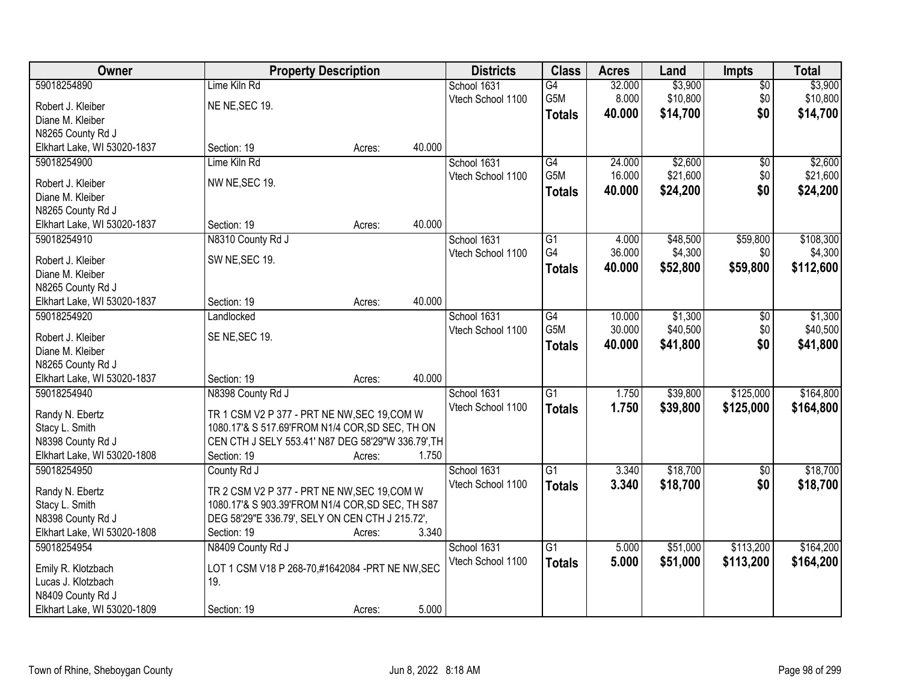| Owner                                            |                                                    | <b>Property Description</b> |        | <b>Districts</b>  | <b>Class</b>    | <b>Acres</b> | Land     | Impts           | <b>Total</b> |
|--------------------------------------------------|----------------------------------------------------|-----------------------------|--------|-------------------|-----------------|--------------|----------|-----------------|--------------|
| 59018254890                                      | Lime Kiln Rd                                       |                             |        | School 1631       | G4              | 32.000       | \$3,900  | $\overline{50}$ | \$3,900      |
| Robert J. Kleiber                                | NE NE, SEC 19.                                     |                             |        | Vtech School 1100 | G5M             | 8.000        | \$10,800 | \$0             | \$10,800     |
| Diane M. Kleiber                                 |                                                    |                             |        |                   | <b>Totals</b>   | 40.000       | \$14,700 | \$0             | \$14,700     |
| N8265 County Rd J                                |                                                    |                             |        |                   |                 |              |          |                 |              |
| Elkhart Lake, WI 53020-1837                      | Section: 19                                        | Acres:                      | 40.000 |                   |                 |              |          |                 |              |
| 59018254900                                      | Lime Kiln Rd                                       |                             |        | School 1631       | G4              | 24.000       | \$2,600  | \$0             | \$2,600      |
|                                                  |                                                    |                             |        | Vtech School 1100 | G5M             | 16.000       | \$21,600 | \$0             | \$21,600     |
| Robert J. Kleiber                                | NW NE, SEC 19.                                     |                             |        |                   | <b>Totals</b>   | 40.000       | \$24,200 | \$0             | \$24,200     |
| Diane M. Kleiber                                 |                                                    |                             |        |                   |                 |              |          |                 |              |
| N8265 County Rd J                                |                                                    |                             |        |                   |                 |              |          |                 |              |
| Elkhart Lake, WI 53020-1837                      | Section: 19                                        | Acres:                      | 40.000 |                   |                 |              |          |                 |              |
| 59018254910                                      | N8310 County Rd J                                  |                             |        | School 1631       | G1              | 4.000        | \$48,500 | \$59,800        | \$108,300    |
| Robert J. Kleiber                                | SW NE, SEC 19.                                     |                             |        | Vtech School 1100 | G4              | 36.000       | \$4,300  | \$0             | \$4,300      |
| Diane M. Kleiber                                 |                                                    |                             |        |                   | <b>Totals</b>   | 40.000       | \$52,800 | \$59,800        | \$112,600    |
| N8265 County Rd J                                |                                                    |                             |        |                   |                 |              |          |                 |              |
| Elkhart Lake, WI 53020-1837                      | Section: 19                                        | Acres:                      | 40.000 |                   |                 |              |          |                 |              |
| 59018254920                                      | Landlocked                                         |                             |        | School 1631       | G4              | 10.000       | \$1,300  | $\sqrt[6]{}$    | \$1,300      |
|                                                  |                                                    |                             |        | Vtech School 1100 | G5M             | 30.000       | \$40,500 | \$0             | \$40,500     |
| Robert J. Kleiber<br>Diane M. Kleiber            | SE NE, SEC 19.                                     |                             |        |                   | <b>Totals</b>   | 40.000       | \$41,800 | \$0             | \$41,800     |
|                                                  |                                                    |                             |        |                   |                 |              |          |                 |              |
| N8265 County Rd J<br>Elkhart Lake, WI 53020-1837 | Section: 19                                        | Acres:                      | 40.000 |                   |                 |              |          |                 |              |
| 59018254940                                      | N8398 County Rd J                                  |                             |        | School 1631       | $\overline{G1}$ | 1.750        | \$39,800 | \$125,000       | \$164,800    |
|                                                  |                                                    |                             |        | Vtech School 1100 |                 |              |          |                 |              |
| Randy N. Ebertz                                  | TR 1 CSM V2 P 377 - PRT NE NW, SEC 19, COM W       |                             |        |                   | <b>Totals</b>   | 1.750        | \$39,800 | \$125,000       | \$164,800    |
| Stacy L. Smith                                   | 1080.17'& S 517.69'FROM N1/4 COR, SD SEC, TH ON    |                             |        |                   |                 |              |          |                 |              |
| N8398 County Rd J                                | CEN CTH J SELY 553.41' N87 DEG 58'29"W 336.79', TH |                             |        |                   |                 |              |          |                 |              |
| Elkhart Lake, WI 53020-1808                      | Section: 19                                        | Acres:                      | 1.750  |                   |                 |              |          |                 |              |
| 59018254950                                      | County Rd J                                        |                             |        | School 1631       | $\overline{G1}$ | 3.340        | \$18,700 | $\overline{50}$ | \$18,700     |
| Randy N. Ebertz                                  | TR 2 CSM V2 P 377 - PRT NE NW, SEC 19, COM W       |                             |        | Vtech School 1100 | <b>Totals</b>   | 3.340        | \$18,700 | \$0             | \$18,700     |
| Stacy L. Smith                                   | 1080.17'& S 903.39'FROM N1/4 COR, SD SEC, TH S87   |                             |        |                   |                 |              |          |                 |              |
| N8398 County Rd J                                | DEG 58'29"E 336.79', SELY ON CEN CTH J 215.72',    |                             |        |                   |                 |              |          |                 |              |
| Elkhart Lake, WI 53020-1808                      | Section: 19                                        | Acres:                      | 3.340  |                   |                 |              |          |                 |              |
| 59018254954                                      | N8409 County Rd J                                  |                             |        | School 1631       | $\overline{G1}$ | 5.000        | \$51,000 | \$113,200       | \$164,200    |
|                                                  |                                                    |                             |        | Vtech School 1100 | <b>Totals</b>   | 5.000        | \$51,000 | \$113,200       | \$164,200    |
| Emily R. Klotzbach                               | LOT 1 CSM V18 P 268-70,#1642084 -PRT NE NW, SEC    |                             |        |                   |                 |              |          |                 |              |
| Lucas J. Klotzbach                               | 19.                                                |                             |        |                   |                 |              |          |                 |              |
| N8409 County Rd J                                |                                                    |                             |        |                   |                 |              |          |                 |              |
| Elkhart Lake, WI 53020-1809                      | Section: 19                                        | Acres:                      | 5.000  |                   |                 |              |          |                 |              |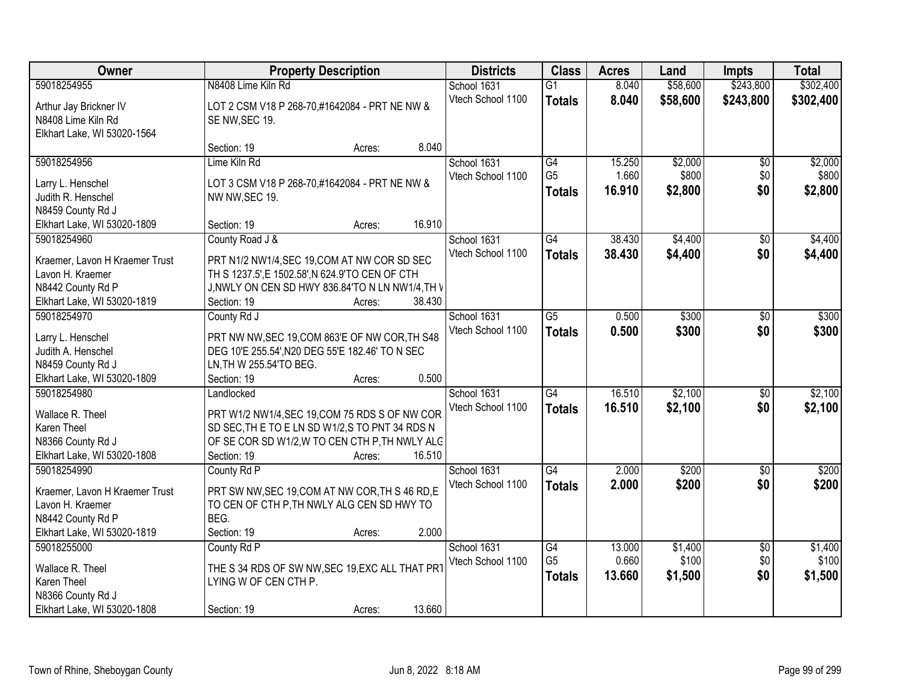| Owner                          | <b>Property Description</b>                      |                  | <b>Districts</b>  | <b>Class</b>                      | <b>Acres</b>    | Land             | <b>Impts</b>    | <b>Total</b>     |
|--------------------------------|--------------------------------------------------|------------------|-------------------|-----------------------------------|-----------------|------------------|-----------------|------------------|
| 59018254955                    | N8408 Lime Kiln Rd                               |                  | School 1631       | $\overline{G1}$                   | 8.040           | \$58,600         | \$243,800       | \$302,400        |
| Arthur Jay Brickner IV         | LOT 2 CSM V18 P 268-70,#1642084 - PRT NE NW &    |                  | Vtech School 1100 | <b>Totals</b>                     | 8.040           | \$58,600         | \$243,800       | \$302,400        |
| N8408 Lime Kiln Rd             | SE NW, SEC 19.                                   |                  |                   |                                   |                 |                  |                 |                  |
| Elkhart Lake, WI 53020-1564    |                                                  |                  |                   |                                   |                 |                  |                 |                  |
|                                | Section: 19                                      | 8.040<br>Acres:  |                   |                                   |                 |                  |                 |                  |
| 59018254956                    | Lime Kiln Rd                                     |                  | School 1631       | G4                                | 15.250          | \$2,000          | $\overline{50}$ | \$2,000          |
| Larry L. Henschel              | LOT 3 CSM V18 P 268-70,#1642084 - PRT NE NW &    |                  | Vtech School 1100 | G <sub>5</sub>                    | 1.660           | \$800            | \$0             | \$800            |
| Judith R. Henschel             | NW NW, SEC 19.                                   |                  |                   | <b>Totals</b>                     | 16.910          | \$2,800          | \$0             | \$2,800          |
| N8459 County Rd J              |                                                  |                  |                   |                                   |                 |                  |                 |                  |
| Elkhart Lake, WI 53020-1809    | Section: 19                                      | 16.910<br>Acres: |                   |                                   |                 |                  |                 |                  |
| 59018254960                    | County Road J &                                  |                  | School 1631       | G4                                | 38.430          | \$4,400          | $\sqrt{6}$      | \$4,400          |
|                                |                                                  |                  | Vtech School 1100 | <b>Totals</b>                     | 38.430          | \$4,400          | \$0             | \$4,400          |
| Kraemer, Lavon H Kraemer Trust | PRT N1/2 NW1/4, SEC 19, COM AT NW COR SD SEC     |                  |                   |                                   |                 |                  |                 |                  |
| Lavon H. Kraemer               | TH S 1237.5', E 1502.58', N 624.9'TO CEN OF CTH  |                  |                   |                                   |                 |                  |                 |                  |
| N8442 County Rd P              | J, NWLY ON CEN SD HWY 836.84'TO N LN NW1/4, TH V |                  |                   |                                   |                 |                  |                 |                  |
| Elkhart Lake, WI 53020-1819    | Section: 19                                      | 38.430<br>Acres: |                   |                                   |                 |                  |                 |                  |
| 59018254970                    | County Rd J                                      |                  | School 1631       | $\overline{G5}$                   | 0.500           | \$300            | \$0             | \$300            |
| Larry L. Henschel              | PRT NW NW, SEC 19, COM 863'E OF NW COR, TH S48   |                  | Vtech School 1100 | <b>Totals</b>                     | 0.500           | \$300            | \$0             | \$300            |
| Judith A. Henschel             | DEG 10'E 255.54', N20 DEG 55'E 182.46' TO N SEC  |                  |                   |                                   |                 |                  |                 |                  |
| N8459 County Rd J              | LN, TH W 255.54'TO BEG.                          |                  |                   |                                   |                 |                  |                 |                  |
| Elkhart Lake, WI 53020-1809    | Section: 19                                      | 0.500<br>Acres:  |                   |                                   |                 |                  |                 |                  |
| 59018254980                    | Landlocked                                       |                  | School 1631       | $\overline{G4}$                   | 16.510          | \$2,100          | $\overline{50}$ | \$2,100          |
| Wallace R. Theel               | PRT W1/2 NW1/4, SEC 19, COM 75 RDS S OF NW COR   |                  | Vtech School 1100 | <b>Totals</b>                     | 16.510          | \$2,100          | \$0             | \$2,100          |
| Karen Theel                    | SD SEC. THE TO ELN SD W1/2.S TO PNT 34 RDS N     |                  |                   |                                   |                 |                  |                 |                  |
| N8366 County Rd J              | OF SE COR SD W1/2, W TO CEN CTH P, TH NWLY ALC   |                  |                   |                                   |                 |                  |                 |                  |
| Elkhart Lake, WI 53020-1808    | Section: 19                                      | 16.510<br>Acres: |                   |                                   |                 |                  |                 |                  |
| 59018254990                    | County Rd P                                      |                  | School 1631       | $\overline{G4}$                   | 2.000           | \$200            | $\overline{50}$ | \$200            |
|                                |                                                  |                  | Vtech School 1100 | <b>Totals</b>                     | 2.000           | \$200            | \$0             | \$200            |
| Kraemer, Lavon H Kraemer Trust | PRT SW NW, SEC 19, COM AT NW COR, TH S 46 RD, E  |                  |                   |                                   |                 |                  |                 |                  |
| Lavon H. Kraemer               | TO CEN OF CTH P, TH NWLY ALG CEN SD HWY TO       |                  |                   |                                   |                 |                  |                 |                  |
| N8442 County Rd P              | BEG.                                             |                  |                   |                                   |                 |                  |                 |                  |
| Elkhart Lake, WI 53020-1819    | Section: 19                                      | 2.000<br>Acres:  |                   |                                   |                 |                  |                 |                  |
| 59018255000                    | County Rd P                                      |                  | School 1631       | $\overline{G4}$<br>G <sub>5</sub> | 13.000<br>0.660 | \$1,400<br>\$100 | $\overline{50}$ | \$1,400<br>\$100 |
| Wallace R. Theel               | THE S 34 RDS OF SW NW, SEC 19, EXC ALL THAT PRT  |                  | Vtech School 1100 |                                   |                 |                  | \$0             |                  |
| Karen Theel                    | LYING W OF CEN CTH P.                            |                  |                   | <b>Totals</b>                     | 13.660          | \$1,500          | \$0             | \$1,500          |
| N8366 County Rd J              |                                                  |                  |                   |                                   |                 |                  |                 |                  |
| Elkhart Lake, WI 53020-1808    | Section: 19                                      | 13.660<br>Acres: |                   |                                   |                 |                  |                 |                  |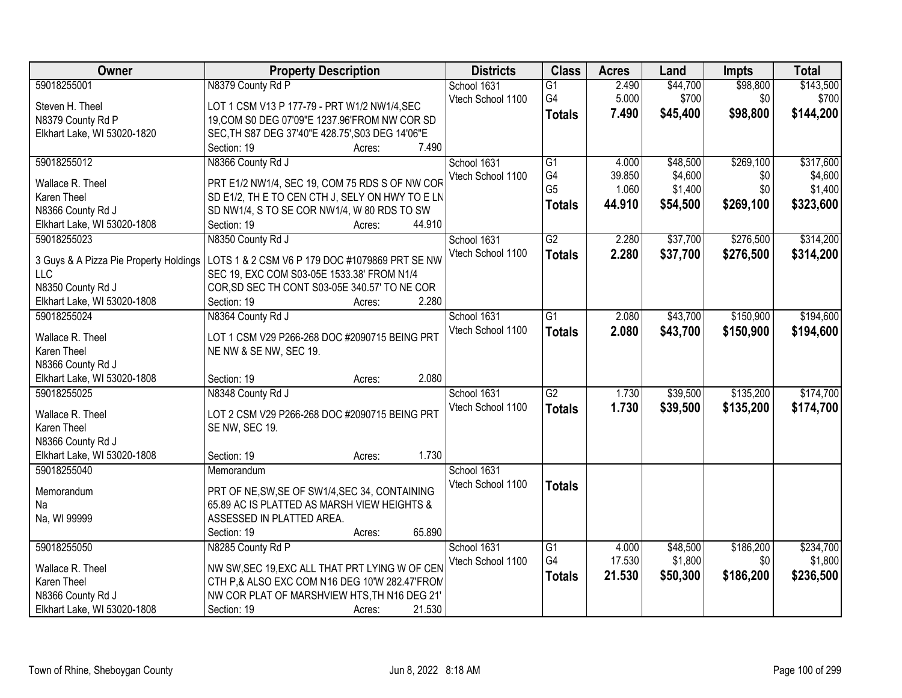| Owner                                            | <b>Property Description</b>                                                                   | <b>Districts</b>  | <b>Class</b>    | <b>Acres</b> | Land     | Impts     | <b>Total</b> |
|--------------------------------------------------|-----------------------------------------------------------------------------------------------|-------------------|-----------------|--------------|----------|-----------|--------------|
| 59018255001                                      | N8379 County Rd P                                                                             | School 1631       | $\overline{G1}$ | 2.490        | \$44,700 | \$98,800  | \$143,500    |
| Steven H. Theel                                  | LOT 1 CSM V13 P 177-79 - PRT W1/2 NW1/4, SEC                                                  | Vtech School 1100 | G4              | 5.000        | \$700    | \$0       | \$700        |
| N8379 County Rd P                                | 19, COM S0 DEG 07'09"E 1237.96'FROM NW COR SD                                                 |                   | <b>Totals</b>   | 7.490        | \$45,400 | \$98,800  | \$144,200    |
| Elkhart Lake, WI 53020-1820                      | SEC, TH S87 DEG 37'40"E 428.75', S03 DEG 14'06"E                                              |                   |                 |              |          |           |              |
|                                                  | Section: 19<br>7.490<br>Acres:                                                                |                   |                 |              |          |           |              |
| 59018255012                                      | N8366 County Rd J                                                                             | School 1631       | $\overline{G1}$ | 4.000        | \$48,500 | \$269,100 | \$317,600    |
|                                                  |                                                                                               | Vtech School 1100 | G4              | 39.850       | \$4,600  | \$0       | \$4,600      |
| Wallace R. Theel                                 | PRT E1/2 NW1/4, SEC 19, COM 75 RDS S OF NW COR                                                |                   | G <sub>5</sub>  | 1.060        | \$1,400  | \$0       | \$1,400      |
| Karen Theel                                      | SD E1/2, TH E TO CEN CTH J, SELY ON HWY TO E LN                                               |                   | <b>Totals</b>   | 44.910       | \$54,500 | \$269,100 | \$323,600    |
| N8366 County Rd J                                | SD NW1/4, S TO SE COR NW1/4, W 80 RDS TO SW<br>44.910                                         |                   |                 |              |          |           |              |
| Elkhart Lake, WI 53020-1808                      | Section: 19<br>Acres:                                                                         |                   |                 |              |          |           |              |
| 59018255023                                      | N8350 County Rd J                                                                             | School 1631       | G2              | 2.280        | \$37,700 | \$276,500 | \$314,200    |
| 3 Guys & A Pizza Pie Property Holdings           | LOTS 1 & 2 CSM V6 P 179 DOC #1079869 PRT SE NW                                                | Vtech School 1100 | <b>Totals</b>   | 2.280        | \$37,700 | \$276,500 | \$314,200    |
| <b>LLC</b>                                       | SEC 19, EXC COM S03-05E 1533.38' FROM N1/4                                                    |                   |                 |              |          |           |              |
| N8350 County Rd J                                | COR, SD SEC TH CONT S03-05E 340.57' TO NE COR                                                 |                   |                 |              |          |           |              |
| Elkhart Lake, WI 53020-1808                      | 2.280<br>Section: 19<br>Acres:                                                                |                   |                 |              |          |           |              |
| 59018255024                                      | N8364 County Rd J                                                                             | School 1631       | $\overline{G1}$ | 2.080        | \$43,700 | \$150,900 | \$194,600    |
|                                                  |                                                                                               | Vtech School 1100 | <b>Totals</b>   | 2.080        | \$43,700 | \$150,900 | \$194,600    |
| Wallace R. Theel<br>Karen Theel                  | LOT 1 CSM V29 P266-268 DOC #2090715 BEING PRT                                                 |                   |                 |              |          |           |              |
|                                                  | NE NW & SE NW, SEC 19.                                                                        |                   |                 |              |          |           |              |
| N8366 County Rd J<br>Elkhart Lake, WI 53020-1808 | 2.080<br>Section: 19                                                                          |                   |                 |              |          |           |              |
| 59018255025                                      | Acres:<br>N8348 County Rd J                                                                   |                   | $\overline{G2}$ | 1.730        | \$39,500 | \$135,200 | \$174,700    |
|                                                  |                                                                                               | School 1631       |                 |              |          |           |              |
| Wallace R. Theel                                 | LOT 2 CSM V29 P266-268 DOC #2090715 BEING PRT                                                 | Vtech School 1100 | <b>Totals</b>   | 1.730        | \$39,500 | \$135,200 | \$174,700    |
| <b>Karen Theel</b>                               | SE NW, SEC 19.                                                                                |                   |                 |              |          |           |              |
| N8366 County Rd J                                |                                                                                               |                   |                 |              |          |           |              |
| Elkhart Lake, WI 53020-1808                      | 1.730<br>Section: 19<br>Acres:                                                                |                   |                 |              |          |           |              |
| 59018255040                                      | Memorandum                                                                                    | School 1631       |                 |              |          |           |              |
| Memorandum                                       |                                                                                               | Vtech School 1100 | <b>Totals</b>   |              |          |           |              |
| Na                                               | PRT OF NE, SW, SE OF SW1/4, SEC 34, CONTAINING<br>65.89 AC IS PLATTED AS MARSH VIEW HEIGHTS & |                   |                 |              |          |           |              |
| Na, WI 99999                                     | ASSESSED IN PLATTED AREA.                                                                     |                   |                 |              |          |           |              |
|                                                  | 65.890<br>Section: 19                                                                         |                   |                 |              |          |           |              |
| 59018255050                                      | Acres:<br>N8285 County Rd P                                                                   | School 1631       | G1              | 4.000        | \$48,500 | \$186,200 | \$234,700    |
|                                                  |                                                                                               |                   | G4              | 17.530       | \$1,800  | \$0       | \$1,800      |
| Wallace R. Theel                                 | NW SW, SEC 19, EXC ALL THAT PRT LYING W OF CEN                                                | Vtech School 1100 |                 |              |          |           |              |
| Karen Theel                                      | CTH P,& ALSO EXC COM N16 DEG 10'W 282.47'FROM                                                 |                   | <b>Totals</b>   | 21.530       | \$50,300 | \$186,200 | \$236,500    |
| N8366 County Rd J                                | NW COR PLAT OF MARSHVIEW HTS, TH N16 DEG 21'                                                  |                   |                 |              |          |           |              |
| Elkhart Lake, WI 53020-1808                      | 21.530<br>Section: 19<br>Acres:                                                               |                   |                 |              |          |           |              |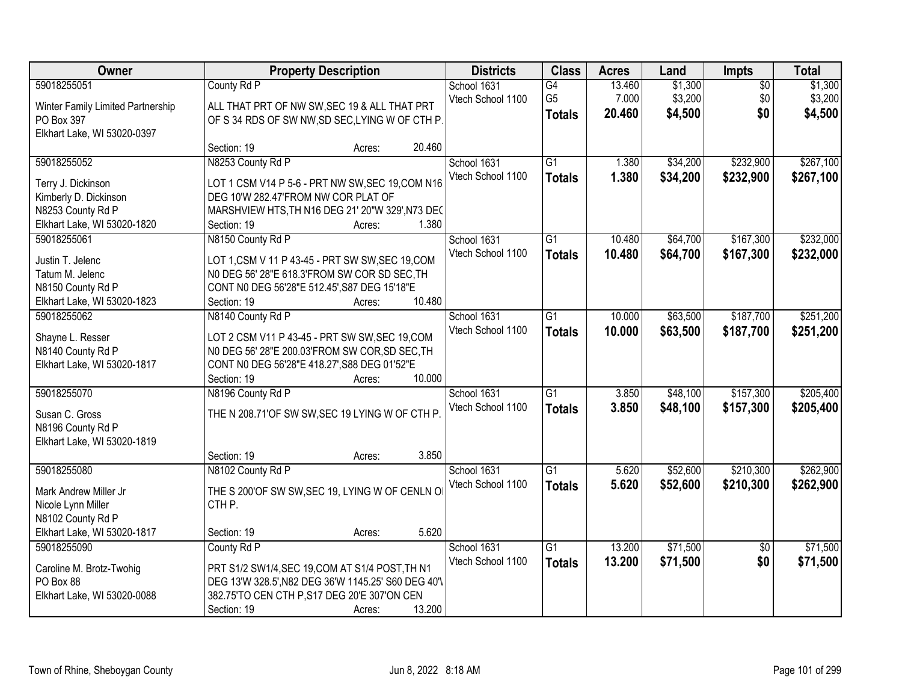| Owner                             |                                                     | <b>Property Description</b> |        | <b>Districts</b>  | <b>Class</b>    | <b>Acres</b> | Land     | Impts           | <b>Total</b> |
|-----------------------------------|-----------------------------------------------------|-----------------------------|--------|-------------------|-----------------|--------------|----------|-----------------|--------------|
| 59018255051                       | County Rd P                                         |                             |        | School 1631       | G4              | 13.460       | \$1,300  | $\overline{50}$ | \$1,300      |
| Winter Family Limited Partnership | ALL THAT PRT OF NW SW, SEC 19 & ALL THAT PRT        |                             |        | Vtech School 1100 | G <sub>5</sub>  | 7.000        | \$3,200  | \$0             | \$3,200      |
| PO Box 397                        | OF S 34 RDS OF SW NW, SD SEC, LYING W OF CTH P.     |                             |        |                   | <b>Totals</b>   | 20.460       | \$4,500  | \$0             | \$4,500      |
| Elkhart Lake, WI 53020-0397       |                                                     |                             |        |                   |                 |              |          |                 |              |
|                                   | Section: 19                                         | Acres:                      | 20.460 |                   |                 |              |          |                 |              |
| 59018255052                       | N8253 County Rd P                                   |                             |        | School 1631       | $\overline{G1}$ | 1.380        | \$34,200 | \$232,900       | \$267,100    |
| Terry J. Dickinson                | LOT 1 CSM V14 P 5-6 - PRT NW SW, SEC 19, COM N16    |                             |        | Vtech School 1100 | <b>Totals</b>   | 1.380        | \$34,200 | \$232,900       | \$267,100    |
| Kimberly D. Dickinson             | DEG 10'W 282.47'FROM NW COR PLAT OF                 |                             |        |                   |                 |              |          |                 |              |
| N8253 County Rd P                 | MARSHVIEW HTS, TH N16 DEG 21' 20"W 329', N73 DEC    |                             |        |                   |                 |              |          |                 |              |
| Elkhart Lake, WI 53020-1820       | Section: 19                                         | Acres:                      | 1.380  |                   |                 |              |          |                 |              |
| 59018255061                       | N8150 County Rd P                                   |                             |        | School 1631       | $\overline{G1}$ | 10.480       | \$64,700 | \$167,300       | \$232,000    |
|                                   |                                                     |                             |        | Vtech School 1100 | <b>Totals</b>   | 10.480       | \$64,700 | \$167,300       | \$232,000    |
| Justin T. Jelenc                  | LOT 1, CSM V 11 P 43-45 - PRT SW SW, SEC 19, COM    |                             |        |                   |                 |              |          |                 |              |
| Tatum M. Jelenc                   | NO DEG 56' 28"E 618.3'FROM SW COR SD SEC, TH        |                             |        |                   |                 |              |          |                 |              |
| N8150 County Rd P                 | CONT N0 DEG 56'28"E 512.45', S87 DEG 15'18"E        |                             |        |                   |                 |              |          |                 |              |
| Elkhart Lake, WI 53020-1823       | Section: 19                                         | Acres:                      | 10.480 |                   |                 |              |          |                 |              |
| 59018255062                       | N8140 County Rd P                                   |                             |        | School 1631       | G1              | 10.000       | \$63,500 | \$187,700       | \$251,200    |
| Shayne L. Resser                  | LOT 2 CSM V11 P 43-45 - PRT SW SW, SEC 19, COM      |                             |        | Vtech School 1100 | <b>Totals</b>   | 10.000       | \$63,500 | \$187,700       | \$251,200    |
| N8140 County Rd P                 | N0 DEG 56' 28"E 200.03'FROM SW COR, SD SEC, TH      |                             |        |                   |                 |              |          |                 |              |
| Elkhart Lake, WI 53020-1817       | CONT N0 DEG 56'28"E 418.27', S88 DEG 01'52"E        |                             |        |                   |                 |              |          |                 |              |
|                                   | Section: 19                                         | Acres:                      | 10.000 |                   |                 |              |          |                 |              |
| 59018255070                       | N8196 County Rd P                                   |                             |        | School 1631       | $\overline{G1}$ | 3.850        | \$48,100 | \$157,300       | \$205,400    |
| Susan C. Gross                    | THE N 208.71'OF SW SW, SEC 19 LYING W OF CTH P.     |                             |        | Vtech School 1100 | <b>Totals</b>   | 3.850        | \$48,100 | \$157,300       | \$205,400    |
| N8196 County Rd P                 |                                                     |                             |        |                   |                 |              |          |                 |              |
| Elkhart Lake, WI 53020-1819       |                                                     |                             |        |                   |                 |              |          |                 |              |
|                                   | Section: 19                                         | Acres:                      | 3.850  |                   |                 |              |          |                 |              |
| 59018255080                       | N8102 County Rd P                                   |                             |        | School 1631       | $\overline{G1}$ | 5.620        | \$52,600 | \$210,300       | \$262,900    |
|                                   |                                                     |                             |        | Vtech School 1100 | <b>Totals</b>   | 5.620        | \$52,600 | \$210,300       | \$262,900    |
| Mark Andrew Miller Jr             | THE S 200'OF SW SW, SEC 19, LYING W OF CENLN O      |                             |        |                   |                 |              |          |                 |              |
| Nicole Lynn Miller                | CTH P.                                              |                             |        |                   |                 |              |          |                 |              |
| N8102 County Rd P                 |                                                     |                             |        |                   |                 |              |          |                 |              |
| Elkhart Lake, WI 53020-1817       | Section: 19                                         | Acres:                      | 5.620  |                   |                 |              |          |                 |              |
| 59018255090                       | County Rd P                                         |                             |        | School 1631       | $\overline{G1}$ | 13.200       | \$71,500 | $\overline{50}$ | \$71,500     |
| Caroline M. Brotz-Twohig          | PRT S1/2 SW1/4, SEC 19, COM AT S1/4 POST, TH N1     |                             |        | Vtech School 1100 | <b>Totals</b>   | 13.200       | \$71,500 | \$0             | \$71,500     |
| PO Box 88                         | DEG 13'W 328.5', N82 DEG 36'W 1145.25' S60 DEG 40'\ |                             |        |                   |                 |              |          |                 |              |
| Elkhart Lake, WI 53020-0088       | 382.75'TO CEN CTH P, S17 DEG 20'E 307'ON CEN        |                             |        |                   |                 |              |          |                 |              |
|                                   | Section: 19                                         | Acres:                      | 13.200 |                   |                 |              |          |                 |              |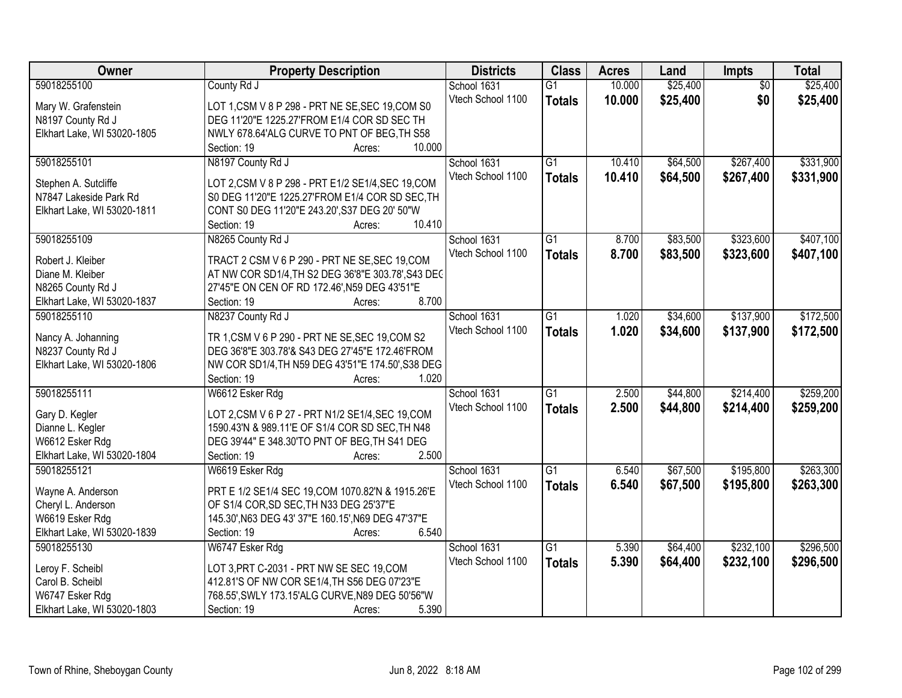| Owner                       | <b>Property Description</b>                        | <b>Districts</b>  | <b>Class</b>    | <b>Acres</b> | Land     | Impts           | <b>Total</b> |
|-----------------------------|----------------------------------------------------|-------------------|-----------------|--------------|----------|-----------------|--------------|
| 59018255100                 | County Rd J                                        | School 1631       | $\overline{G1}$ | 10.000       | \$25,400 | $\overline{50}$ | \$25,400     |
| Mary W. Grafenstein         | LOT 1, CSM V 8 P 298 - PRT NE SE, SEC 19, COM S0   | Vtech School 1100 | <b>Totals</b>   | 10.000       | \$25,400 | \$0             | \$25,400     |
| N8197 County Rd J           | DEG 11'20"E 1225.27'FROM E1/4 COR SD SEC TH        |                   |                 |              |          |                 |              |
| Elkhart Lake, WI 53020-1805 | NWLY 678.64'ALG CURVE TO PNT OF BEG, TH S58        |                   |                 |              |          |                 |              |
|                             | 10.000<br>Section: 19<br>Acres:                    |                   |                 |              |          |                 |              |
| 59018255101                 | N8197 County Rd J                                  | School 1631       | $\overline{G1}$ | 10.410       | \$64,500 | \$267,400       | \$331,900    |
|                             |                                                    | Vtech School 1100 | <b>Totals</b>   | 10.410       | \$64,500 | \$267,400       | \$331,900    |
| Stephen A. Sutcliffe        | LOT 2, CSM V 8 P 298 - PRT E1/2 SE1/4, SEC 19, COM |                   |                 |              |          |                 |              |
| N7847 Lakeside Park Rd      | S0 DEG 11'20"E 1225.27'FROM E1/4 COR SD SEC, TH    |                   |                 |              |          |                 |              |
| Elkhart Lake, WI 53020-1811 | CONT S0 DEG 11'20"E 243.20', S37 DEG 20' 50"W      |                   |                 |              |          |                 |              |
|                             | 10.410<br>Section: 19<br>Acres:                    |                   |                 |              |          |                 |              |
| 59018255109                 | N8265 County Rd J                                  | School 1631       | $\overline{G1}$ | 8.700        | \$83,500 | \$323,600       | \$407,100    |
| Robert J. Kleiber           | TRACT 2 CSM V 6 P 290 - PRT NE SE, SEC 19, COM     | Vtech School 1100 | <b>Totals</b>   | 8.700        | \$83,500 | \$323,600       | \$407,100    |
| Diane M. Kleiber            | AT NW COR SD1/4, TH S2 DEG 36'8"E 303.78', S43 DEC |                   |                 |              |          |                 |              |
| N8265 County Rd J           | 27'45"E ON CEN OF RD 172.46', N59 DEG 43'51"E      |                   |                 |              |          |                 |              |
| Elkhart Lake, WI 53020-1837 | 8.700<br>Section: 19<br>Acres:                     |                   |                 |              |          |                 |              |
| 59018255110                 | N8237 County Rd J                                  | School 1631       | G1              | 1.020        | \$34,600 | \$137,900       | \$172,500    |
|                             |                                                    | Vtech School 1100 | <b>Totals</b>   | 1.020        | \$34,600 | \$137,900       | \$172,500    |
| Nancy A. Johanning          | TR 1, CSM V 6 P 290 - PRT NE SE, SEC 19, COM S2    |                   |                 |              |          |                 |              |
| N8237 County Rd J           | DEG 36'8"E 303.78'& S43 DEG 27'45"E 172.46'FROM    |                   |                 |              |          |                 |              |
| Elkhart Lake, WI 53020-1806 | NW COR SD1/4, TH N59 DEG 43'51"E 174.50', S38 DEG  |                   |                 |              |          |                 |              |
|                             | Section: 19<br>1.020<br>Acres:                     |                   |                 |              |          |                 |              |
| 59018255111                 | W6612 Esker Rdg                                    | School 1631       | $\overline{G1}$ | 2.500        | \$44,800 | \$214,400       | \$259,200    |
| Gary D. Kegler              | LOT 2, CSM V 6 P 27 - PRT N1/2 SE1/4, SEC 19, COM  | Vtech School 1100 | <b>Totals</b>   | 2.500        | \$44,800 | \$214,400       | \$259,200    |
| Dianne L. Kegler            | 1590.43'N & 989.11'E OF S1/4 COR SD SEC, TH N48    |                   |                 |              |          |                 |              |
| W6612 Esker Rdg             | DEG 39'44" E 348.30'TO PNT OF BEG, TH S41 DEG      |                   |                 |              |          |                 |              |
| Elkhart Lake, WI 53020-1804 | 2.500<br>Section: 19                               |                   |                 |              |          |                 |              |
|                             | Acres:                                             |                   |                 |              |          |                 |              |
| 59018255121                 | W6619 Esker Rdg                                    | School 1631       | $\overline{G1}$ | 6.540        | \$67,500 | \$195,800       | \$263,300    |
| Wayne A. Anderson           | PRT E 1/2 SE1/4 SEC 19, COM 1070.82'N & 1915.26'E  | Vtech School 1100 | <b>Totals</b>   | 6.540        | \$67,500 | \$195,800       | \$263,300    |
| Cheryl L. Anderson          | OF S1/4 COR, SD SEC, TH N33 DEG 25'37"E            |                   |                 |              |          |                 |              |
| W6619 Esker Rdg             | 145.30', N63 DEG 43' 37"E 160.15', N69 DEG 47'37"E |                   |                 |              |          |                 |              |
| Elkhart Lake, WI 53020-1839 | 6.540<br>Section: 19<br>Acres:                     |                   |                 |              |          |                 |              |
| 59018255130                 | W6747 Esker Rdg                                    | School 1631       | $\overline{G1}$ | 5.390        | \$64,400 | \$232,100       | \$296,500    |
|                             |                                                    | Vtech School 1100 | <b>Totals</b>   | 5.390        | \$64,400 | \$232,100       | \$296,500    |
| Leroy F. Scheibl            | LOT 3, PRT C-2031 - PRT NW SE SEC 19, COM          |                   |                 |              |          |                 |              |
| Carol B. Scheibl            | 412.81'S OF NW COR SE1/4, TH S56 DEG 07'23"E       |                   |                 |              |          |                 |              |
| W6747 Esker Rdg             | 768.55', SWLY 173.15'ALG CURVE, N89 DEG 50'56"W    |                   |                 |              |          |                 |              |
| Elkhart Lake, WI 53020-1803 | 5.390<br>Section: 19<br>Acres:                     |                   |                 |              |          |                 |              |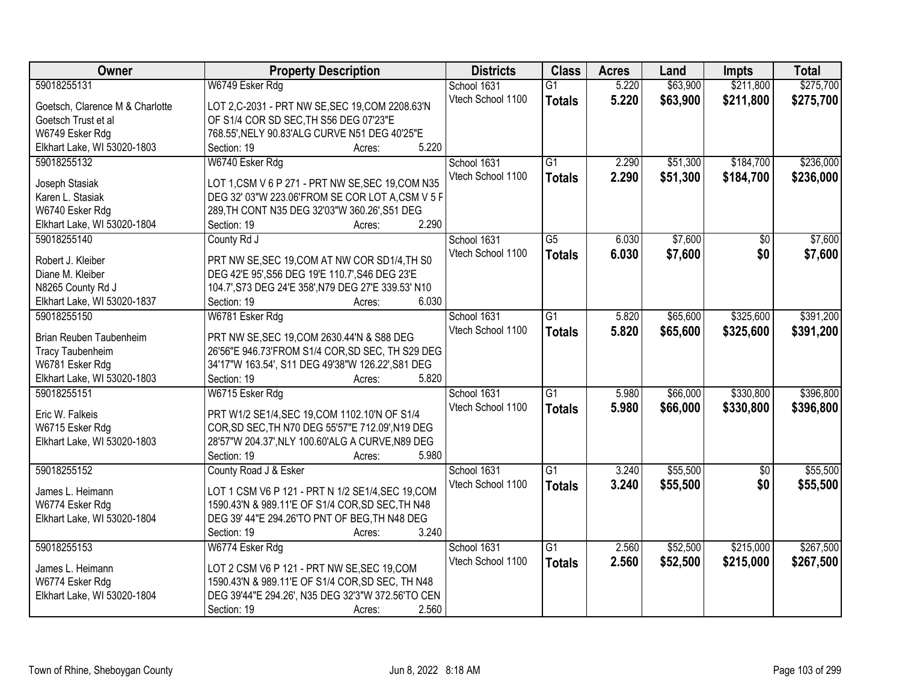| Owner                                          | <b>Property Description</b>                         | <b>Districts</b>  | <b>Class</b>    | <b>Acres</b> | Land     | <b>Impts</b>    | <b>Total</b> |
|------------------------------------------------|-----------------------------------------------------|-------------------|-----------------|--------------|----------|-----------------|--------------|
| 59018255131                                    | W6749 Esker Rdg                                     | School 1631       | $\overline{G1}$ | 5.220        | \$63,900 | \$211,800       | \$275,700    |
| Goetsch, Clarence M & Charlotte                | LOT 2,C-2031 - PRT NW SE, SEC 19, COM 2208.63'N     | Vtech School 1100 | <b>Totals</b>   | 5.220        | \$63,900 | \$211,800       | \$275,700    |
| Goetsch Trust et al                            | OF S1/4 COR SD SEC, TH S56 DEG 07'23"E              |                   |                 |              |          |                 |              |
| W6749 Esker Rdg                                | 768.55', NELY 90.83'ALG CURVE N51 DEG 40'25"E       |                   |                 |              |          |                 |              |
| Elkhart Lake, WI 53020-1803                    | 5.220<br>Section: 19<br>Acres:                      |                   |                 |              |          |                 |              |
| 59018255132                                    | W6740 Esker Rdg                                     | School 1631       | $\overline{G1}$ | 2.290        | \$51,300 | \$184,700       | \$236,000    |
|                                                |                                                     | Vtech School 1100 | <b>Totals</b>   | 2.290        | \$51,300 | \$184,700       | \$236,000    |
| Joseph Stasiak                                 | LOT 1, CSM V 6 P 271 - PRT NW SE, SEC 19, COM N35   |                   |                 |              |          |                 |              |
| Karen L. Stasiak                               | DEG 32' 03"W 223.06'FROM SE COR LOT A,CSM V 5 F     |                   |                 |              |          |                 |              |
| W6740 Esker Rdg                                | 289, TH CONT N35 DEG 32'03"W 360.26', S51 DEG       |                   |                 |              |          |                 |              |
| Elkhart Lake, WI 53020-1804                    | 2.290<br>Section: 19<br>Acres:                      |                   |                 |              |          |                 |              |
| 59018255140                                    | County Rd J                                         | School 1631       | $\overline{G5}$ | 6.030        | \$7,600  | $\overline{50}$ | \$7,600      |
| Robert J. Kleiber                              | PRT NW SE, SEC 19, COM AT NW COR SD1/4, TH S0       | Vtech School 1100 | <b>Totals</b>   | 6.030        | \$7,600  | \$0             | \$7,600      |
| Diane M. Kleiber                               | DEG 42'E 95', S56 DEG 19'E 110.7', S46 DEG 23'E     |                   |                 |              |          |                 |              |
| N8265 County Rd J                              | 104.7', S73 DEG 24'E 358', N79 DEG 27'E 339.53' N10 |                   |                 |              |          |                 |              |
| Elkhart Lake, WI 53020-1837                    | 6.030<br>Section: 19<br>Acres:                      |                   |                 |              |          |                 |              |
| 59018255150                                    | W6781 Esker Rdg                                     | School 1631       | $\overline{G1}$ | 5.820        | \$65,600 | \$325,600       | \$391,200    |
|                                                |                                                     | Vtech School 1100 | <b>Totals</b>   | 5.820        | \$65,600 | \$325,600       | \$391,200    |
| Brian Reuben Taubenheim                        | PRT NW SE, SEC 19, COM 2630.44'N & S88 DEG          |                   |                 |              |          |                 |              |
| <b>Tracy Taubenheim</b>                        | 26'56"E 946.73'FROM S1/4 COR, SD SEC, TH S29 DEG    |                   |                 |              |          |                 |              |
| W6781 Esker Rdg                                | 34'17"W 163.54', S11 DEG 49'38"W 126.22', S81 DEG   |                   |                 |              |          |                 |              |
| Elkhart Lake, WI 53020-1803                    | 5.820<br>Section: 19<br>Acres:                      |                   |                 |              |          |                 |              |
| 59018255151                                    | W6715 Esker Rdg                                     | School 1631       | $\overline{G1}$ | 5.980        | \$66,000 | \$330,800       | \$396,800    |
| Eric W. Falkeis                                | PRT W1/2 SE1/4, SEC 19, COM 1102.10'N OF S1/4       | Vtech School 1100 | <b>Totals</b>   | 5.980        | \$66,000 | \$330,800       | \$396,800    |
| W6715 Esker Rdg                                | COR, SD SEC, TH N70 DEG 55'57"E 712.09', N19 DEG    |                   |                 |              |          |                 |              |
| Elkhart Lake, WI 53020-1803                    | 28'57"W 204.37', NLY 100.60'ALG A CURVE, N89 DEG    |                   |                 |              |          |                 |              |
|                                                | Section: 19<br>5.980<br>Acres:                      |                   |                 |              |          |                 |              |
| 59018255152                                    | County Road J & Esker                               | School 1631       | $\overline{G1}$ | 3.240        | \$55,500 | $\overline{50}$ | \$55,500     |
|                                                |                                                     | Vtech School 1100 |                 |              |          | \$0             |              |
| James L. Heimann                               | LOT 1 CSM V6 P 121 - PRT N 1/2 SE1/4, SEC 19, COM   |                   | <b>Totals</b>   | 3.240        | \$55,500 |                 | \$55,500     |
| W6774 Esker Rdg                                | 1590.43'N & 989.11'E OF S1/4 COR, SD SEC, TH N48    |                   |                 |              |          |                 |              |
| Elkhart Lake, WI 53020-1804                    | DEG 39' 44"E 294.26'TO PNT OF BEG, TH N48 DEG       |                   |                 |              |          |                 |              |
|                                                | 3.240<br>Section: 19<br>Acres:                      |                   |                 |              |          |                 |              |
| 59018255153                                    | W6774 Esker Rdg                                     | School 1631       | $\overline{G1}$ | 2.560        | \$52,500 | \$215,000       | \$267,500    |
| James L. Heimann                               | LOT 2 CSM V6 P 121 - PRT NW SE, SEC 19, COM         | Vtech School 1100 | <b>Totals</b>   | 2.560        | \$52,500 | \$215,000       | \$267,500    |
|                                                | 1590.43'N & 989.11'E OF S1/4 COR, SD SEC, TH N48    |                   |                 |              |          |                 |              |
| W6774 Esker Rdg<br>Elkhart Lake, WI 53020-1804 | DEG 39'44"E 294.26', N35 DEG 32'3"W 372.56'TO CEN   |                   |                 |              |          |                 |              |
|                                                | 2.560<br>Section: 19                                |                   |                 |              |          |                 |              |
|                                                | Acres:                                              |                   |                 |              |          |                 |              |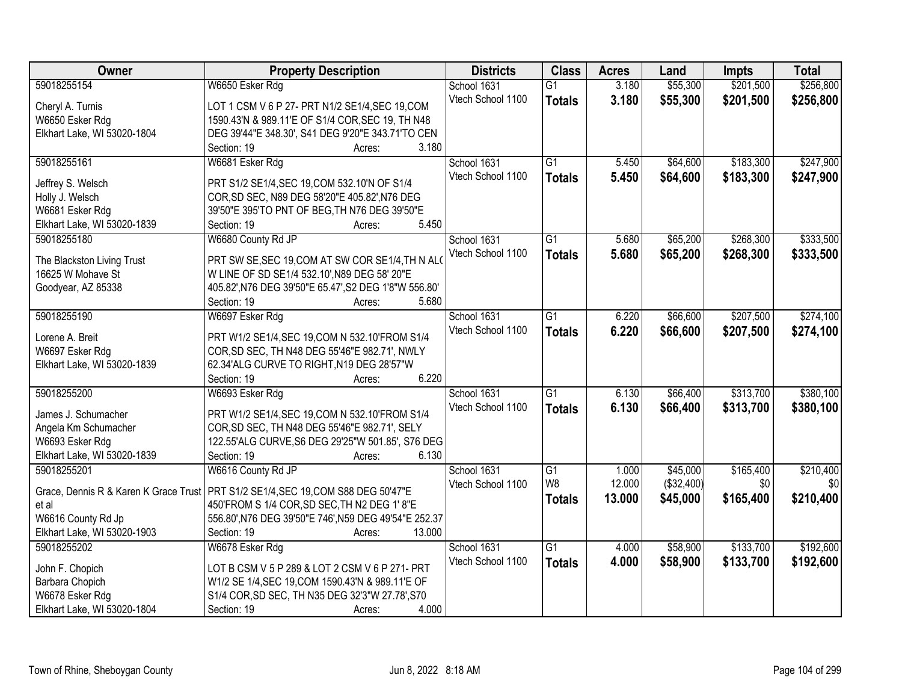| Owner                       | <b>Property Description</b>                                                         | <b>Districts</b>                 | <b>Class</b>    | <b>Acres</b> | Land       | <b>Impts</b> | <b>Total</b>     |
|-----------------------------|-------------------------------------------------------------------------------------|----------------------------------|-----------------|--------------|------------|--------------|------------------|
| 59018255154                 | W6650 Esker Rdg                                                                     | School 1631                      | $\overline{G1}$ | 3.180        | \$55,300   | \$201,500    | \$256,800        |
| Cheryl A. Turnis            | LOT 1 CSM V 6 P 27- PRT N1/2 SE1/4, SEC 19, COM                                     | Vtech School 1100                | <b>Totals</b>   | 3.180        | \$55,300   | \$201,500    | \$256,800        |
| W6650 Esker Rdg             | 1590.43'N & 989.11'E OF S1/4 COR, SEC 19, TH N48                                    |                                  |                 |              |            |              |                  |
| Elkhart Lake, WI 53020-1804 | DEG 39'44"E 348.30', S41 DEG 9'20"E 343.71'TO CEN                                   |                                  |                 |              |            |              |                  |
|                             | Section: 19<br>3.180<br>Acres:                                                      |                                  |                 |              |            |              |                  |
| 59018255161                 | W6681 Esker Rdg                                                                     | School 1631                      | $\overline{G1}$ | 5.450        | \$64,600   | \$183,300    | \$247,900        |
|                             |                                                                                     | Vtech School 1100                | <b>Totals</b>   | 5.450        | \$64,600   | \$183,300    | \$247,900        |
| Jeffrey S. Welsch           | PRT S1/2 SE1/4, SEC 19, COM 532.10'N OF S1/4                                        |                                  |                 |              |            |              |                  |
| Holly J. Welsch             | COR, SD SEC, N89 DEG 58'20"E 405.82', N76 DEG                                       |                                  |                 |              |            |              |                  |
| W6681 Esker Rdg             | 39'50"E 395'TO PNT OF BEG, TH N76 DEG 39'50"E                                       |                                  |                 |              |            |              |                  |
| Elkhart Lake, WI 53020-1839 | 5.450<br>Section: 19<br>Acres:                                                      |                                  |                 |              |            |              |                  |
| 59018255180                 | W6680 County Rd JP                                                                  | School 1631                      | $\overline{G1}$ | 5.680        | \$65,200   | \$268,300    | \$333,500        |
| The Blackston Living Trust  | PRT SW SE, SEC 19, COM AT SW COR SE1/4, TH N ALO                                    | Vtech School 1100                | <b>Totals</b>   | 5.680        | \$65,200   | \$268,300    | \$333,500        |
| 16625 W Mohave St           | W LINE OF SD SE1/4 532.10', N89 DEG 58' 20"E                                        |                                  |                 |              |            |              |                  |
| Goodyear, AZ 85338          | 405.82', N76 DEG 39'50"E 65.47', S2 DEG 1'8"W 556.80'                               |                                  |                 |              |            |              |                  |
|                             | Section: 19<br>5.680<br>Acres:                                                      |                                  |                 |              |            |              |                  |
| 59018255190                 | W6697 Esker Rdg                                                                     | School 1631                      | G1              | 6.220        | \$66,600   | \$207,500    | \$274,100        |
|                             |                                                                                     | Vtech School 1100                |                 | 6.220        | \$66,600   | \$207,500    | \$274,100        |
| Lorene A. Breit             | PRT W1/2 SE1/4, SEC 19, COM N 532.10 FROM S1/4                                      |                                  | <b>Totals</b>   |              |            |              |                  |
| W6697 Esker Rdg             | COR, SD SEC, TH N48 DEG 55'46"E 982.71', NWLY                                       |                                  |                 |              |            |              |                  |
| Elkhart Lake, WI 53020-1839 | 62.34'ALG CURVE TO RIGHT, N19 DEG 28'57"W                                           |                                  |                 |              |            |              |                  |
|                             | 6.220<br>Section: 19<br>Acres:                                                      |                                  |                 |              |            |              |                  |
| 59018255200                 | W6693 Esker Rdg                                                                     | School 1631                      | $\overline{G1}$ | 6.130        | \$66,400   | \$313,700    | \$380,100        |
| James J. Schumacher         | PRT W1/2 SE1/4, SEC 19, COM N 532.10'FROM S1/4                                      | Vtech School 1100                | <b>Totals</b>   | 6.130        | \$66,400   | \$313,700    | \$380,100        |
| Angela Km Schumacher        | COR, SD SEC, TH N48 DEG 55'46"E 982.71', SELY                                       |                                  |                 |              |            |              |                  |
| W6693 Esker Rdg             | 122.55'ALG CURVE, S6 DEG 29'25"W 501.85', S76 DEG                                   |                                  |                 |              |            |              |                  |
| Elkhart Lake, WI 53020-1839 | Section: 19<br>6.130<br>Acres:                                                      |                                  |                 |              |            |              |                  |
| 59018255201                 |                                                                                     |                                  | G1              | 1.000        | \$45,000   | \$165,400    |                  |
|                             | W6616 County Rd JP                                                                  | School 1631<br>Vtech School 1100 | W <sub>8</sub>  | 12.000       | (\$32,400) | \$0          | \$210,400<br>\$0 |
|                             | Grace, Dennis R & Karen K Grace Trust   PRT S1/2 SE1/4, SEC 19, COM S88 DEG 50'47"E |                                  |                 |              |            |              |                  |
| et al                       | 450'FROM S 1/4 COR, SD SEC, TH N2 DEG 1' 8"E                                        |                                  | <b>Totals</b>   | 13.000       | \$45,000   | \$165,400    | \$210,400        |
| W6616 County Rd Jp          | 556.80', N76 DEG 39'50"E 746', N59 DEG 49'54"E 252.37                               |                                  |                 |              |            |              |                  |
| Elkhart Lake, WI 53020-1903 | 13.000<br>Section: 19<br>Acres:                                                     |                                  |                 |              |            |              |                  |
| 59018255202                 | W6678 Esker Rdg                                                                     | School 1631                      | $\overline{G1}$ | 4.000        | \$58,900   | \$133,700    | \$192,600        |
|                             |                                                                                     | Vtech School 1100                | <b>Totals</b>   | 4.000        | \$58,900   | \$133,700    | \$192,600        |
| John F. Chopich             | LOT B CSM V 5 P 289 & LOT 2 CSM V 6 P 271- PRT                                      |                                  |                 |              |            |              |                  |
| Barbara Chopich             | W1/2 SE 1/4, SEC 19, COM 1590.43'N & 989.11'E OF                                    |                                  |                 |              |            |              |                  |
| W6678 Esker Rdg             | S1/4 COR, SD SEC, TH N35 DEG 32'3"W 27.78', S70                                     |                                  |                 |              |            |              |                  |
| Elkhart Lake, WI 53020-1804 | 4.000<br>Section: 19<br>Acres:                                                      |                                  |                 |              |            |              |                  |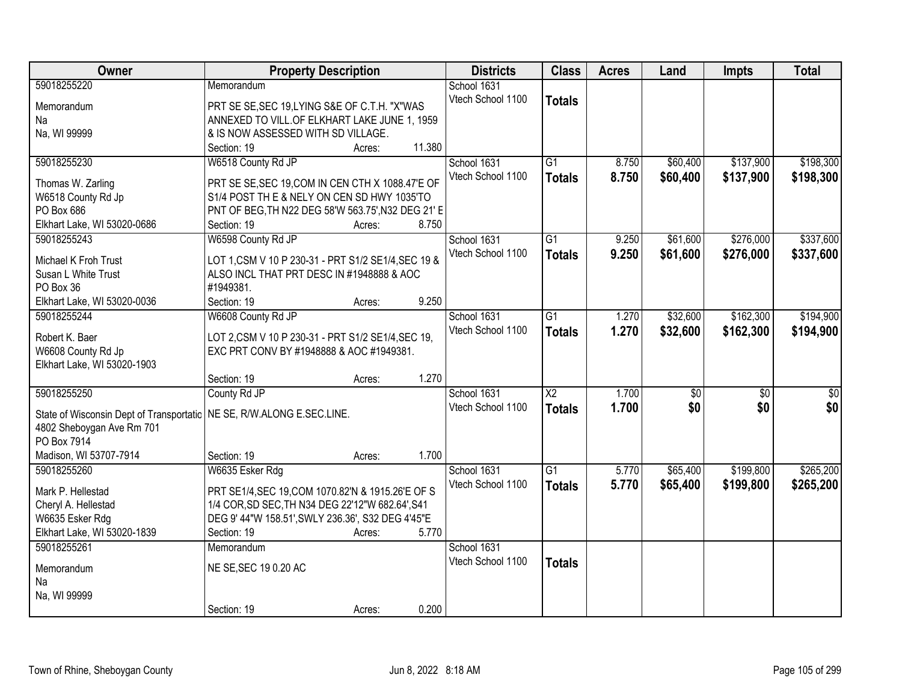| Owner                                                                   | <b>Property Description</b>                            |                  | <b>Districts</b>  | <b>Class</b>    | <b>Acres</b> | Land            | <b>Impts</b> | <b>Total</b>     |
|-------------------------------------------------------------------------|--------------------------------------------------------|------------------|-------------------|-----------------|--------------|-----------------|--------------|------------------|
| 59018255220                                                             | Memorandum                                             |                  | School 1631       |                 |              |                 |              |                  |
| Memorandum                                                              | PRT SE SE, SEC 19, LYING S&E OF C.T.H. "X"WAS          |                  | Vtech School 1100 | <b>Totals</b>   |              |                 |              |                  |
| Na                                                                      | ANNEXED TO VILL.OF ELKHART LAKE JUNE 1, 1959           |                  |                   |                 |              |                 |              |                  |
| Na, WI 99999                                                            | & IS NOW ASSESSED WITH SD VILLAGE.                     |                  |                   |                 |              |                 |              |                  |
|                                                                         | Section: 19                                            | 11.380<br>Acres: |                   |                 |              |                 |              |                  |
| 59018255230                                                             | W6518 County Rd JP                                     |                  | School 1631       | $\overline{G1}$ | 8.750        | \$60,400        | \$137,900    | \$198,300        |
| Thomas W. Zarling                                                       | PRT SE SE, SEC 19, COM IN CEN CTH X 1088.47'E OF       |                  | Vtech School 1100 | <b>Totals</b>   | 8.750        | \$60,400        | \$137,900    | \$198,300        |
| W6518 County Rd Jp                                                      | S1/4 POST TH E & NELY ON CEN SD HWY 1035'TO            |                  |                   |                 |              |                 |              |                  |
| PO Box 686                                                              | PNT OF BEG, TH N22 DEG 58'W 563.75', N32 DEG 21' E     |                  |                   |                 |              |                 |              |                  |
| Elkhart Lake, WI 53020-0686                                             | Section: 19                                            | 8.750<br>Acres:  |                   |                 |              |                 |              |                  |
| 59018255243                                                             | W6598 County Rd JP                                     |                  | School 1631       | G1              | 9.250        | \$61,600        | \$276,000    | \$337,600        |
|                                                                         |                                                        |                  | Vtech School 1100 | <b>Totals</b>   | 9.250        | \$61,600        | \$276,000    | \$337,600        |
| Michael K Froh Trust                                                    | LOT 1, CSM V 10 P 230-31 - PRT S1/2 SE1/4, SEC 19 &    |                  |                   |                 |              |                 |              |                  |
| Susan L White Trust<br>PO Box 36                                        | ALSO INCL THAT PRT DESC IN #1948888 & AOC<br>#1949381. |                  |                   |                 |              |                 |              |                  |
| Elkhart Lake, WI 53020-0036                                             | Section: 19                                            | 9.250<br>Acres:  |                   |                 |              |                 |              |                  |
| 59018255244                                                             | W6608 County Rd JP                                     |                  | School 1631       | G1              | 1.270        | \$32,600        | \$162,300    | \$194,900        |
|                                                                         |                                                        |                  | Vtech School 1100 | <b>Totals</b>   | 1.270        | \$32,600        | \$162,300    | \$194,900        |
| Robert K. Baer                                                          | LOT 2, CSM V 10 P 230-31 - PRT S1/2 SE1/4, SEC 19,     |                  |                   |                 |              |                 |              |                  |
| W6608 County Rd Jp                                                      | EXC PRT CONV BY #1948888 & AOC #1949381.               |                  |                   |                 |              |                 |              |                  |
| Elkhart Lake, WI 53020-1903                                             |                                                        |                  |                   |                 |              |                 |              |                  |
|                                                                         | Section: 19                                            | 1.270<br>Acres:  |                   |                 |              |                 |              |                  |
| 59018255250                                                             | County Rd JP                                           |                  | School 1631       | $\overline{X2}$ | 1.700        | $\overline{50}$ | \$0          | $\overline{\$0}$ |
| State of Wisconsin Dept of Transportatic   NE SE, R/W.ALONG E.SEC.LINE. |                                                        |                  | Vtech School 1100 | <b>Totals</b>   | 1.700        | \$0             | \$0          | \$0              |
| 4802 Sheboygan Ave Rm 701                                               |                                                        |                  |                   |                 |              |                 |              |                  |
| PO Box 7914                                                             |                                                        |                  |                   |                 |              |                 |              |                  |
| Madison, WI 53707-7914                                                  | Section: 19                                            | 1.700<br>Acres:  |                   |                 |              |                 |              |                  |
| 59018255260                                                             | W6635 Esker Rdg                                        |                  | School 1631       | G1              | 5.770        | \$65,400        | \$199,800    | \$265,200        |
| Mark P. Hellestad                                                       | PRT SE1/4, SEC 19, COM 1070.82'N & 1915.26'E OF S      |                  | Vtech School 1100 | <b>Totals</b>   | 5.770        | \$65,400        | \$199,800    | \$265,200        |
| Cheryl A. Hellestad                                                     | 1/4 COR, SD SEC, TH N34 DEG 22'12"W 682.64', S41       |                  |                   |                 |              |                 |              |                  |
| W6635 Esker Rdg                                                         | DEG 9' 44"W 158.51', SWLY 236.36', S32 DEG 4'45"E      |                  |                   |                 |              |                 |              |                  |
| Elkhart Lake, WI 53020-1839                                             | Section: 19                                            | 5.770<br>Acres:  |                   |                 |              |                 |              |                  |
| 59018255261                                                             | Memorandum                                             |                  | School 1631       |                 |              |                 |              |                  |
| Memorandum                                                              | NE SE, SEC 19 0.20 AC                                  |                  | Vtech School 1100 | <b>Totals</b>   |              |                 |              |                  |
| Na                                                                      |                                                        |                  |                   |                 |              |                 |              |                  |
| Na, WI 99999                                                            |                                                        |                  |                   |                 |              |                 |              |                  |
|                                                                         | Section: 19                                            | 0.200<br>Acres:  |                   |                 |              |                 |              |                  |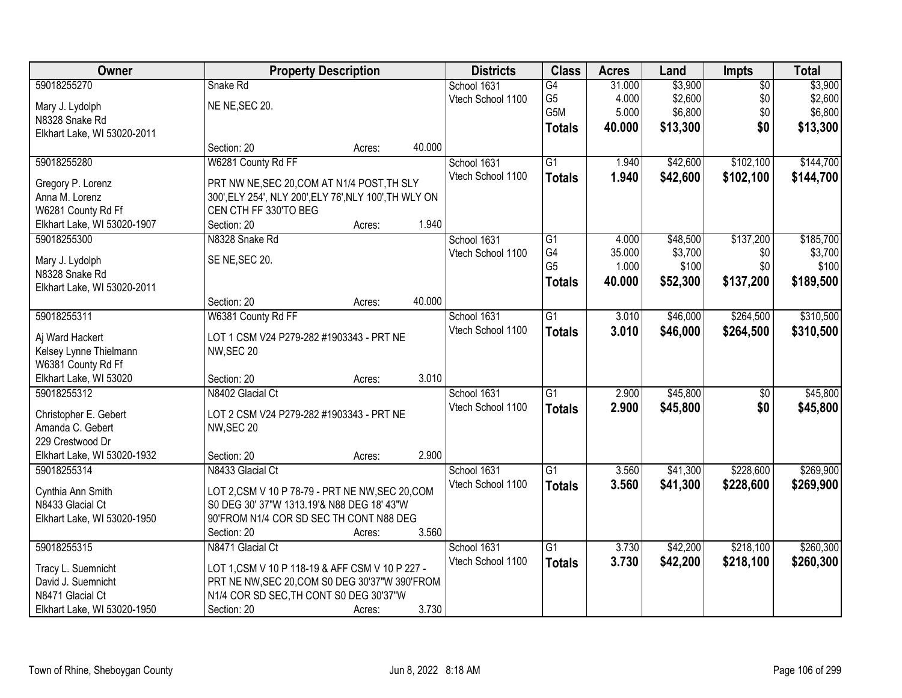| Owner                       |                                                        | <b>Property Description</b> |        | <b>Districts</b>  | <b>Class</b>    | <b>Acres</b> | Land     | <b>Impts</b>    | <b>Total</b> |
|-----------------------------|--------------------------------------------------------|-----------------------------|--------|-------------------|-----------------|--------------|----------|-----------------|--------------|
| 59018255270                 | Snake Rd                                               |                             |        | School 1631       | $\overline{G4}$ | 31.000       | \$3,900  | $\overline{50}$ | \$3,900      |
| Mary J. Lydolph             | NE NE, SEC 20.                                         |                             |        | Vtech School 1100 | G <sub>5</sub>  | 4.000        | \$2,600  | \$0             | \$2,600      |
| N8328 Snake Rd              |                                                        |                             |        |                   | G5M             | 5.000        | \$6,800  | \$0             | \$6,800      |
| Elkhart Lake, WI 53020-2011 |                                                        |                             |        |                   | <b>Totals</b>   | 40.000       | \$13,300 | \$0             | \$13,300     |
|                             | Section: 20                                            | Acres:                      | 40.000 |                   |                 |              |          |                 |              |
| 59018255280                 | W6281 County Rd FF                                     |                             |        | School 1631       | $\overline{G1}$ | 1.940        | \$42,600 | \$102,100       | \$144,700    |
|                             |                                                        |                             |        | Vtech School 1100 | <b>Totals</b>   | 1.940        | \$42,600 | \$102,100       | \$144,700    |
| Gregory P. Lorenz           | PRT NW NE, SEC 20, COM AT N1/4 POST, TH SLY            |                             |        |                   |                 |              |          |                 |              |
| Anna M. Lorenz              | 300', ELY 254', NLY 200', ELY 76', NLY 100', TH WLY ON |                             |        |                   |                 |              |          |                 |              |
| W6281 County Rd Ff          | CEN CTH FF 330'TO BEG                                  |                             |        |                   |                 |              |          |                 |              |
| Elkhart Lake, WI 53020-1907 | Section: 20                                            | Acres:                      | 1.940  |                   |                 |              |          |                 |              |
| 59018255300                 | N8328 Snake Rd                                         |                             |        | School 1631       | $\overline{G1}$ | 4.000        | \$48,500 | \$137,200       | \$185,700    |
| Mary J. Lydolph             | SE NE, SEC 20.                                         |                             |        | Vtech School 1100 | G4              | 35.000       | \$3,700  | \$0             | \$3,700      |
| N8328 Snake Rd              |                                                        |                             |        |                   | G <sub>5</sub>  | 1.000        | \$100    | \$0             | \$100        |
| Elkhart Lake, WI 53020-2011 |                                                        |                             |        |                   | <b>Totals</b>   | 40.000       | \$52,300 | \$137,200       | \$189,500    |
|                             | Section: 20                                            | Acres:                      | 40.000 |                   |                 |              |          |                 |              |
| 59018255311                 | W6381 County Rd FF                                     |                             |        | School 1631       | $\overline{G1}$ | 3.010        | \$46,000 | \$264,500       | \$310,500    |
|                             |                                                        |                             |        | Vtech School 1100 | <b>Totals</b>   | 3.010        | \$46,000 | \$264,500       | \$310,500    |
| Aj Ward Hackert             | LOT 1 CSM V24 P279-282 #1903343 - PRT NE               |                             |        |                   |                 |              |          |                 |              |
| Kelsey Lynne Thielmann      | NW, SEC 20                                             |                             |        |                   |                 |              |          |                 |              |
| W6381 County Rd Ff          |                                                        |                             |        |                   |                 |              |          |                 |              |
| Elkhart Lake, WI 53020      | Section: 20                                            | Acres:                      | 3.010  |                   |                 |              |          |                 |              |
| 59018255312                 | N8402 Glacial Ct                                       |                             |        | School 1631       | $\overline{G1}$ | 2.900        | \$45,800 | $\overline{50}$ | \$45,800     |
| Christopher E. Gebert       | LOT 2 CSM V24 P279-282 #1903343 - PRT NE               |                             |        | Vtech School 1100 | <b>Totals</b>   | 2.900        | \$45,800 | \$0             | \$45,800     |
| Amanda C. Gebert            | NW, SEC 20                                             |                             |        |                   |                 |              |          |                 |              |
| 229 Crestwood Dr            |                                                        |                             |        |                   |                 |              |          |                 |              |
| Elkhart Lake, WI 53020-1932 | Section: 20                                            | Acres:                      | 2.900  |                   |                 |              |          |                 |              |
| 59018255314                 | N8433 Glacial Ct                                       |                             |        | School 1631       | G1              | 3.560        | \$41,300 | \$228,600       | \$269,900    |
|                             |                                                        |                             |        |                   |                 |              |          |                 |              |
| Cynthia Ann Smith           | LOT 2,CSM V 10 P 78-79 - PRT NE NW, SEC 20, COM        |                             |        | Vtech School 1100 | <b>Totals</b>   | 3.560        | \$41,300 | \$228,600       | \$269,900    |
| N8433 Glacial Ct            | S0 DEG 30' 37"W 1313.19'& N88 DEG 18' 43"W             |                             |        |                   |                 |              |          |                 |              |
| Elkhart Lake, WI 53020-1950 | 90'FROM N1/4 COR SD SEC TH CONT N88 DEG                |                             |        |                   |                 |              |          |                 |              |
|                             | Section: 20                                            | Acres:                      | 3.560  |                   |                 |              |          |                 |              |
| 59018255315                 | N8471 Glacial Ct                                       |                             |        | School 1631       | G1              | 3.730        | \$42,200 | \$218,100       | \$260,300    |
|                             | LOT 1, CSM V 10 P 118-19 & AFF CSM V 10 P 227 -        |                             |        | Vtech School 1100 | <b>Totals</b>   | 3.730        | \$42,200 | \$218,100       | \$260,300    |
| Tracy L. Suemnicht          |                                                        |                             |        |                   |                 |              |          |                 |              |
| David J. Suemnicht          | PRT NE NW, SEC 20, COM S0 DEG 30'37"W 390'FROM         |                             |        |                   |                 |              |          |                 |              |
| N8471 Glacial Ct            | N1/4 COR SD SEC, TH CONT S0 DEG 30'37"W                |                             |        |                   |                 |              |          |                 |              |
| Elkhart Lake, WI 53020-1950 | Section: 20                                            | Acres:                      | 3.730  |                   |                 |              |          |                 |              |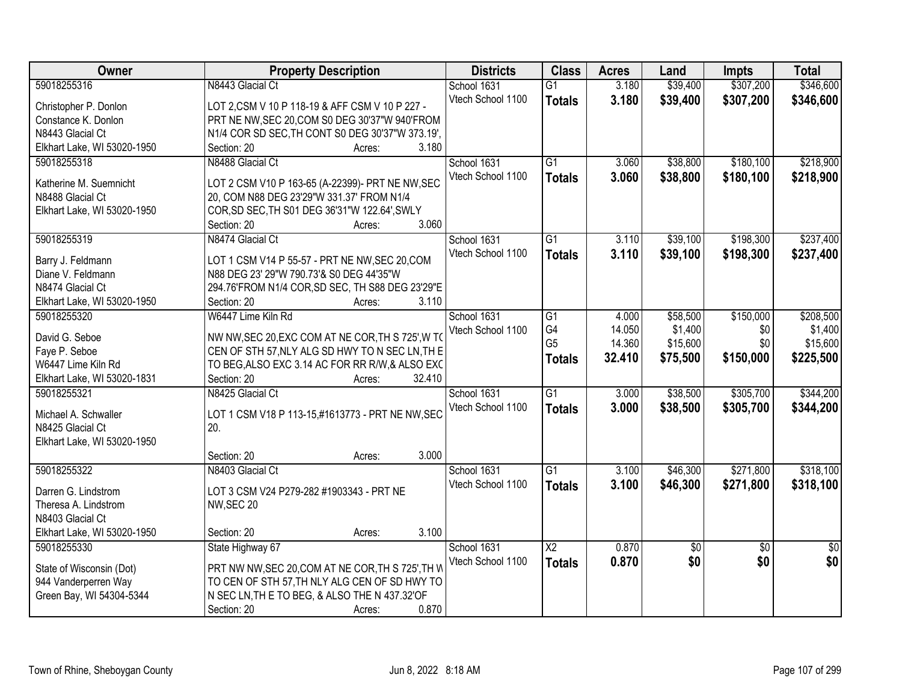| Owner                                            | <b>Property Description</b>                                                                          | <b>Districts</b>  | <b>Class</b>           | <b>Acres</b> | Land     | <b>Impts</b>    | <b>Total</b>    |
|--------------------------------------------------|------------------------------------------------------------------------------------------------------|-------------------|------------------------|--------------|----------|-----------------|-----------------|
| 59018255316                                      | N8443 Glacial Ct                                                                                     | School 1631       | $\overline{G1}$        | 3.180        | \$39,400 | \$307,200       | \$346,600       |
| Christopher P. Donlon                            | LOT 2, CSM V 10 P 118-19 & AFF CSM V 10 P 227 -                                                      | Vtech School 1100 | <b>Totals</b>          | 3.180        | \$39,400 | \$307,200       | \$346,600       |
| Constance K. Donlon                              | PRT NE NW, SEC 20, COM S0 DEG 30'37"W 940'FROM                                                       |                   |                        |              |          |                 |                 |
| N8443 Glacial Ct                                 | N1/4 COR SD SEC, TH CONT S0 DEG 30'37"W 373.19',                                                     |                   |                        |              |          |                 |                 |
| Elkhart Lake, WI 53020-1950                      | 3.180<br>Section: 20<br>Acres:                                                                       |                   |                        |              |          |                 |                 |
| 59018255318                                      | N8488 Glacial Ct                                                                                     | School 1631       | $\overline{G1}$        | 3.060        | \$38,800 | \$180,100       | \$218,900       |
|                                                  |                                                                                                      | Vtech School 1100 | <b>Totals</b>          | 3.060        | \$38,800 | \$180,100       | \$218,900       |
| Katherine M. Suemnicht                           | LOT 2 CSM V10 P 163-65 (A-22399)- PRT NE NW, SEC                                                     |                   |                        |              |          |                 |                 |
| N8488 Glacial Ct                                 | 20, COM N88 DEG 23'29"W 331.37' FROM N1/4                                                            |                   |                        |              |          |                 |                 |
| Elkhart Lake, WI 53020-1950                      | COR, SD SEC, TH S01 DEG 36'31"W 122.64', SWLY                                                        |                   |                        |              |          |                 |                 |
|                                                  | 3.060<br>Section: 20<br>Acres:                                                                       |                   |                        |              |          |                 |                 |
| 59018255319                                      | N8474 Glacial Ct                                                                                     | School 1631       | G1                     | 3.110        | \$39,100 | \$198,300       | \$237,400       |
| Barry J. Feldmann                                | LOT 1 CSM V14 P 55-57 - PRT NE NW, SEC 20, COM                                                       | Vtech School 1100 | <b>Totals</b>          | 3.110        | \$39,100 | \$198,300       | \$237,400       |
| Diane V. Feldmann                                | N88 DEG 23' 29"W 790.73'& S0 DEG 44'35"W                                                             |                   |                        |              |          |                 |                 |
| N8474 Glacial Ct                                 | 294.76'FROM N1/4 COR, SD SEC, TH S88 DEG 23'29"E                                                     |                   |                        |              |          |                 |                 |
| Elkhart Lake, WI 53020-1950                      | 3.110<br>Section: 20<br>Acres:                                                                       |                   |                        |              |          |                 |                 |
| 59018255320                                      | W6447 Lime Kiln Rd                                                                                   | School 1631       | G1                     | 4.000        | \$58,500 | \$150,000       | \$208,500       |
|                                                  |                                                                                                      | Vtech School 1100 | G4                     | 14.050       | \$1,400  | \$0             | \$1,400         |
| David G. Seboe<br>Faye P. Seboe                  | NW NW, SEC 20, EXC COM AT NE COR, TH S 725', W TO<br>CEN OF STH 57, NLY ALG SD HWY TO N SEC LN, TH E |                   | G <sub>5</sub>         | 14.360       | \$15,600 | \$0             | \$15,600        |
| W6447 Lime Kiln Rd                               | TO BEG, ALSO EXC 3.14 AC FOR RR R/W, & ALSO EXC                                                      |                   | <b>Totals</b>          | 32.410       | \$75,500 | \$150,000       | \$225,500       |
| Elkhart Lake, WI 53020-1831                      | Section: 20<br>32.410<br>Acres:                                                                      |                   |                        |              |          |                 |                 |
| 59018255321                                      | N8425 Glacial Ct                                                                                     | School 1631       | $\overline{G1}$        | 3.000        | \$38,500 | \$305,700       | \$344,200       |
|                                                  |                                                                                                      | Vtech School 1100 |                        | 3.000        | \$38,500 | \$305,700       | \$344,200       |
| Michael A. Schwaller                             | LOT 1 CSM V18 P 113-15,#1613773 - PRT NE NW, SEC                                                     |                   | <b>Totals</b>          |              |          |                 |                 |
| N8425 Glacial Ct                                 | 20.                                                                                                  |                   |                        |              |          |                 |                 |
| Elkhart Lake, WI 53020-1950                      |                                                                                                      |                   |                        |              |          |                 |                 |
|                                                  | 3.000<br>Section: 20<br>Acres:                                                                       |                   |                        |              |          |                 |                 |
| 59018255322                                      | N8403 Glacial Ct                                                                                     | School 1631       | G1                     | 3.100        | \$46,300 | \$271,800       | \$318,100       |
| Darren G. Lindstrom                              | LOT 3 CSM V24 P279-282 #1903343 - PRT NE                                                             | Vtech School 1100 | <b>Totals</b>          | 3.100        | \$46,300 | \$271,800       | \$318,100       |
| Theresa A. Lindstrom                             | NW, SEC 20                                                                                           |                   |                        |              |          |                 |                 |
| N8403 Glacial Ct                                 |                                                                                                      |                   |                        |              |          |                 |                 |
| Elkhart Lake, WI 53020-1950                      | 3.100<br>Section: 20<br>Acres:                                                                       |                   |                        |              |          |                 |                 |
| 59018255330                                      | State Highway 67                                                                                     | School 1631       | $\overline{\text{X2}}$ | 0.870        | \$0      | $\overline{50}$ | $\overline{50}$ |
|                                                  |                                                                                                      | Vtech School 1100 | <b>Totals</b>          | 0.870        | \$0      | \$0             | \$0             |
| State of Wisconsin (Dot)                         | PRT NW NW, SEC 20, COM AT NE COR, TH S 725', TH V<br>TO CEN OF STH 57, TH NLY ALG CEN OF SD HWY TO   |                   |                        |              |          |                 |                 |
| 944 Vanderperren Way<br>Green Bay, WI 54304-5344 | N SEC LN, TH E TO BEG, & ALSO THE N 437.32'OF                                                        |                   |                        |              |          |                 |                 |
|                                                  | 0.870<br>Section: 20<br>Acres:                                                                       |                   |                        |              |          |                 |                 |
|                                                  |                                                                                                      |                   |                        |              |          |                 |                 |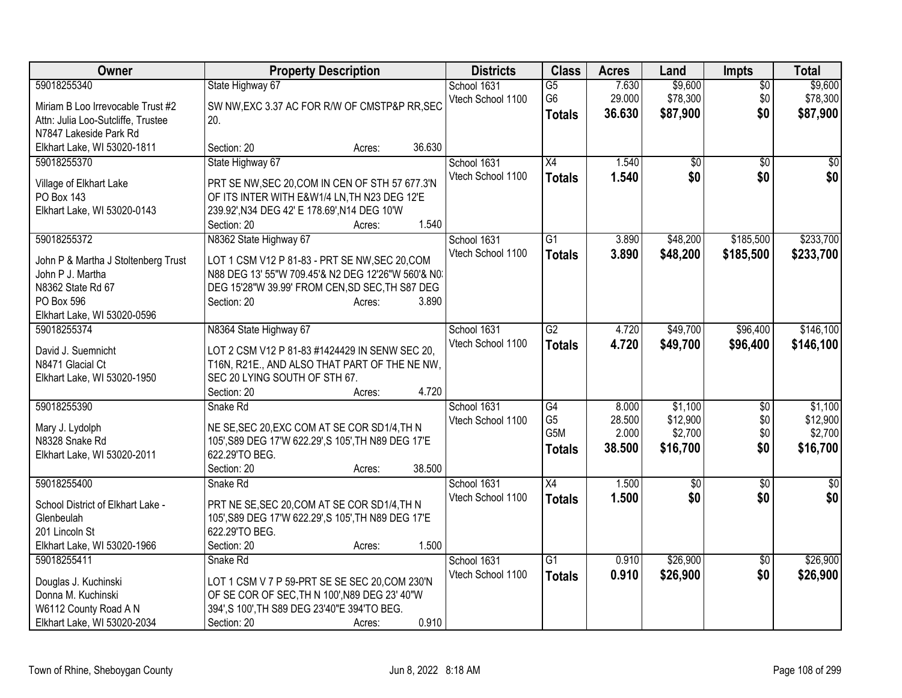| Owner                                       | <b>Property Description</b>                                                                   | <b>Districts</b>  | <b>Class</b>     | <b>Acres</b> | Land       | <b>Impts</b>    | <b>Total</b>    |
|---------------------------------------------|-----------------------------------------------------------------------------------------------|-------------------|------------------|--------------|------------|-----------------|-----------------|
| 59018255340                                 | State Highway 67                                                                              | School 1631       | $\overline{G5}$  | 7.630        | \$9,600    | $\overline{50}$ | \$9,600         |
| Miriam B Loo Irrevocable Trust #2           | SW NW, EXC 3.37 AC FOR R/W OF CMSTP&P RR, SEC                                                 | Vtech School 1100 | G <sub>6</sub>   | 29.000       | \$78,300   | \$0             | \$78,300        |
| Attn: Julia Loo-Sutcliffe, Trustee          | 20.                                                                                           |                   | <b>Totals</b>    | 36.630       | \$87,900   | \$0             | \$87,900        |
| N7847 Lakeside Park Rd                      |                                                                                               |                   |                  |              |            |                 |                 |
| Elkhart Lake, WI 53020-1811                 | 36.630<br>Section: 20<br>Acres:                                                               |                   |                  |              |            |                 |                 |
| 59018255370                                 | State Highway 67                                                                              | School 1631       | X4               | 1.540        | \$0        | \$0             | \$0             |
| Village of Elkhart Lake                     | PRT SE NW, SEC 20, COM IN CEN OF STH 57 677.3'N                                               | Vtech School 1100 | <b>Totals</b>    | 1.540        | \$0        | \$0             | \$0             |
| PO Box 143                                  | OF ITS INTER WITH E&W1/4 LN, TH N23 DEG 12'E                                                  |                   |                  |              |            |                 |                 |
| Elkhart Lake, WI 53020-0143                 | 239.92', N34 DEG 42' E 178.69', N14 DEG 10'W                                                  |                   |                  |              |            |                 |                 |
|                                             | 1.540<br>Section: 20<br>Acres:                                                                |                   |                  |              |            |                 |                 |
| 59018255372                                 | N8362 State Highway 67                                                                        | School 1631       | G1               | 3.890        | \$48,200   | \$185,500       | \$233,700       |
|                                             |                                                                                               | Vtech School 1100 | <b>Totals</b>    | 3.890        | \$48,200   | \$185,500       | \$233,700       |
| John P & Martha J Stoltenberg Trust         | LOT 1 CSM V12 P 81-83 - PRT SE NW, SEC 20, COM                                                |                   |                  |              |            |                 |                 |
| John P J. Martha                            | N88 DEG 13' 55"W 709.45'& N2 DEG 12'26"W 560'& N0.                                            |                   |                  |              |            |                 |                 |
| N8362 State Rd 67<br>PO Box 596             | DEG 15'28"W 39.99' FROM CEN, SD SEC, TH S87 DEG<br>Section: 20<br>3.890<br>Acres:             |                   |                  |              |            |                 |                 |
| Elkhart Lake, WI 53020-0596                 |                                                                                               |                   |                  |              |            |                 |                 |
| 59018255374                                 | N8364 State Highway 67                                                                        | School 1631       | $\overline{G2}$  | 4.720        | \$49,700   | \$96,400        | \$146,100       |
|                                             |                                                                                               | Vtech School 1100 | <b>Totals</b>    | 4.720        | \$49,700   | \$96,400        | \$146,100       |
| David J. Suemnicht                          | LOT 2 CSM V12 P 81-83 #1424429 IN SENW SEC 20,                                                |                   |                  |              |            |                 |                 |
| N8471 Glacial Ct                            | T16N, R21E., AND ALSO THAT PART OF THE NE NW,                                                 |                   |                  |              |            |                 |                 |
| Elkhart Lake, WI 53020-1950                 | SEC 20 LYING SOUTH OF STH 67.                                                                 |                   |                  |              |            |                 |                 |
|                                             | 4.720<br>Section: 20<br>Acres:                                                                |                   |                  |              |            |                 |                 |
| 59018255390                                 | Snake Rd                                                                                      | School 1631       | $\overline{G4}$  | 8.000        | \$1,100    | \$0             | \$1,100         |
| Mary J. Lydolph                             | NE SE, SEC 20, EXC COM AT SE COR SD1/4, TH N                                                  | Vtech School 1100 | G <sub>5</sub>   | 28.500       | \$12,900   | \$0             | \$12,900        |
| N8328 Snake Rd                              | 105', S89 DEG 17'W 622.29', S 105', TH N89 DEG 17'E                                           |                   | G <sub>5</sub> M | 2.000        | \$2,700    | \$0             | \$2,700         |
| Elkhart Lake, WI 53020-2011                 | 622.29'TO BEG.                                                                                |                   | <b>Totals</b>    | 38.500       | \$16,700   | \$0             | \$16,700        |
|                                             | 38.500<br>Section: 20<br>Acres:                                                               |                   |                  |              |            |                 |                 |
| 59018255400                                 | Snake Rd                                                                                      | School 1631       | $\overline{X4}$  | 1.500        | $\sqrt{6}$ | $\overline{30}$ | $\overline{50}$ |
| School District of Elkhart Lake -           | PRT NE SE, SEC 20, COM AT SE COR SD1/4, TH N                                                  | Vtech School 1100 | <b>Totals</b>    | 1.500        | \$0        | \$0             | \$0             |
| Glenbeulah                                  | 105', S89 DEG 17'W 622.29', S 105', TH N89 DEG 17'E                                           |                   |                  |              |            |                 |                 |
| 201 Lincoln St                              | 622.29'TO BEG.                                                                                |                   |                  |              |            |                 |                 |
| Elkhart Lake, WI 53020-1966                 | 1.500<br>Section: 20<br>Acres:                                                                |                   |                  |              |            |                 |                 |
| 59018255411                                 | Snake Rd                                                                                      | School 1631       | $\overline{G1}$  | 0.910        | \$26,900   | $\overline{50}$ | \$26,900        |
|                                             |                                                                                               | Vtech School 1100 | <b>Totals</b>    | 0.910        | \$26,900   | \$0             | \$26,900        |
| Douglas J. Kuchinski                        | LOT 1 CSM V 7 P 59-PRT SE SE SEC 20, COM 230'N                                                |                   |                  |              |            |                 |                 |
| Donna M. Kuchinski<br>W6112 County Road A N | OF SE COR OF SEC, TH N 100', N89 DEG 23' 40"W<br>394', S 100', TH S89 DEG 23'40"E 394'TO BEG. |                   |                  |              |            |                 |                 |
| Elkhart Lake, WI 53020-2034                 | 0.910<br>Section: 20<br>Acres:                                                                |                   |                  |              |            |                 |                 |
|                                             |                                                                                               |                   |                  |              |            |                 |                 |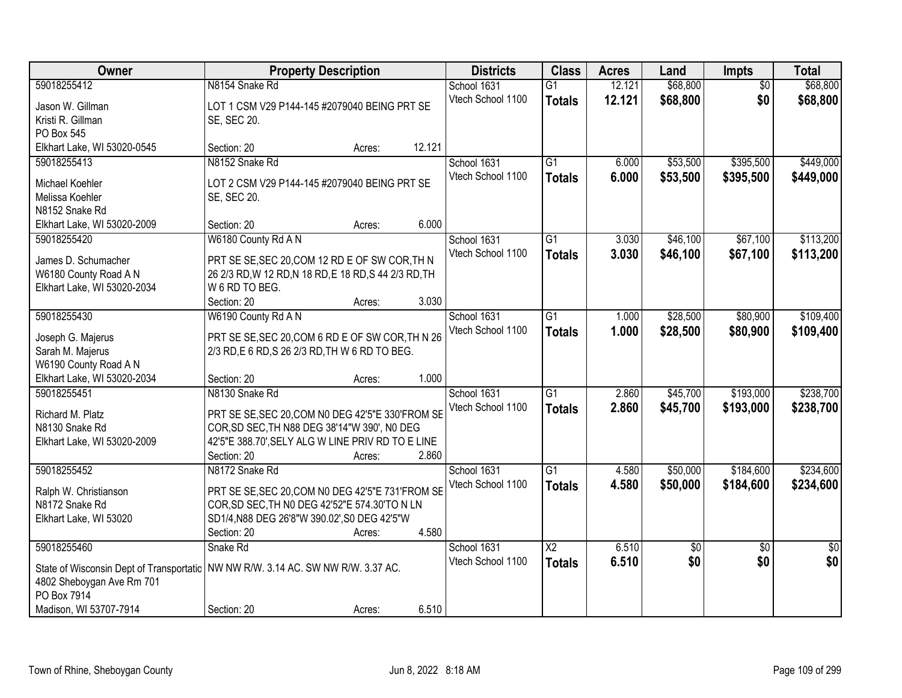| <b>Owner</b>                                                                       | <b>Property Description</b>                                      |        |        | <b>Districts</b>                 | <b>Class</b>    | <b>Acres</b>     | Land                 | Impts                  | <b>Total</b>         |
|------------------------------------------------------------------------------------|------------------------------------------------------------------|--------|--------|----------------------------------|-----------------|------------------|----------------------|------------------------|----------------------|
| 59018255412                                                                        | N8154 Snake Rd                                                   |        |        | School 1631<br>Vtech School 1100 | $\overline{G1}$ | 12.121<br>12.121 | \$68,800<br>\$68,800 | $\overline{50}$<br>\$0 | \$68,800<br>\$68,800 |
| Jason W. Gillman                                                                   | LOT 1 CSM V29 P144-145 #2079040 BEING PRT SE                     |        |        |                                  | <b>Totals</b>   |                  |                      |                        |                      |
| Kristi R. Gillman                                                                  | SE, SEC 20.                                                      |        |        |                                  |                 |                  |                      |                        |                      |
| PO Box 545                                                                         |                                                                  |        |        |                                  |                 |                  |                      |                        |                      |
| Elkhart Lake, WI 53020-0545                                                        | Section: 20                                                      | Acres: | 12.121 |                                  |                 |                  |                      |                        |                      |
| 59018255413                                                                        | N8152 Snake Rd                                                   |        |        | School 1631                      | $\overline{G1}$ | 6.000            | \$53,500             | \$395,500              | \$449,000            |
| Michael Koehler                                                                    | LOT 2 CSM V29 P144-145 #2079040 BEING PRT SE                     |        |        | Vtech School 1100                | <b>Totals</b>   | 6.000            | \$53,500             | \$395,500              | \$449,000            |
| Melissa Koehler                                                                    | SE, SEC 20.                                                      |        |        |                                  |                 |                  |                      |                        |                      |
| N8152 Snake Rd                                                                     |                                                                  |        |        |                                  |                 |                  |                      |                        |                      |
| Elkhart Lake, WI 53020-2009                                                        | Section: 20                                                      | Acres: | 6.000  |                                  |                 |                  |                      |                        |                      |
| 59018255420                                                                        | W6180 County Rd A N                                              |        |        | School 1631                      | G1              | 3.030            | \$46,100             | \$67,100               | \$113,200            |
| James D. Schumacher                                                                | PRT SE SE, SEC 20, COM 12 RD E OF SW COR, TH N                   |        |        | Vtech School 1100                | <b>Totals</b>   | 3.030            | \$46,100             | \$67,100               | \$113,200            |
| W6180 County Road A N                                                              | 26 2/3 RD, W 12 RD, N 18 RD, E 18 RD, S 44 2/3 RD, TH            |        |        |                                  |                 |                  |                      |                        |                      |
| Elkhart Lake, WI 53020-2034                                                        | W 6 RD TO BEG.                                                   |        |        |                                  |                 |                  |                      |                        |                      |
|                                                                                    | Section: 20                                                      | Acres: | 3.030  |                                  |                 |                  |                      |                        |                      |
| 59018255430                                                                        | W6190 County Rd A N                                              |        |        | School 1631                      | $\overline{G1}$ | 1.000            | \$28,500             | \$80,900               | \$109,400            |
| Joseph G. Majerus                                                                  | PRT SE SE, SEC 20, COM 6 RD E OF SW COR, TH N 26                 |        |        | Vtech School 1100                | <b>Totals</b>   | 1.000            | \$28,500             | \$80,900               | \$109,400            |
| Sarah M. Majerus                                                                   | 2/3 RD, E 6 RD, S 26 2/3 RD, TH W 6 RD TO BEG.                   |        |        |                                  |                 |                  |                      |                        |                      |
| W6190 County Road A N                                                              |                                                                  |        |        |                                  |                 |                  |                      |                        |                      |
| Elkhart Lake, WI 53020-2034                                                        | Section: 20                                                      | Acres: | 1.000  |                                  |                 |                  |                      |                        |                      |
| 59018255451                                                                        | N8130 Snake Rd                                                   |        |        | School 1631                      | $\overline{G1}$ | 2.860            | \$45,700             | \$193,000              | \$238,700            |
|                                                                                    |                                                                  |        |        | Vtech School 1100                | <b>Totals</b>   | 2.860            | \$45,700             | \$193,000              | \$238,700            |
| Richard M. Platz                                                                   | PRT SE SE, SEC 20, COM N0 DEG 42'5"E 330'FROM SE                 |        |        |                                  |                 |                  |                      |                        |                      |
| N8130 Snake Rd                                                                     | COR, SD SEC, TH N88 DEG 38'14"W 390', N0 DEG                     |        |        |                                  |                 |                  |                      |                        |                      |
| Elkhart Lake, WI 53020-2009                                                        | 42'5"E 388.70', SELY ALG W LINE PRIV RD TO E LINE<br>Section: 20 | Acres: | 2.860  |                                  |                 |                  |                      |                        |                      |
| 59018255452                                                                        | N8172 Snake Rd                                                   |        |        | School 1631                      | $\overline{G1}$ | 4.580            | \$50,000             | \$184,600              | \$234,600            |
|                                                                                    |                                                                  |        |        | Vtech School 1100                | <b>Totals</b>   | 4.580            | \$50,000             | \$184,600              | \$234,600            |
| Ralph W. Christianson                                                              | PRT SE SE, SEC 20, COM N0 DEG 42'5"E 731'FROM SE                 |        |        |                                  |                 |                  |                      |                        |                      |
| N8172 Snake Rd                                                                     | COR, SD SEC, TH N0 DEG 42'52"E 574.30'TO N LN                    |        |        |                                  |                 |                  |                      |                        |                      |
| Elkhart Lake, WI 53020                                                             | SD1/4, N88 DEG 26'8"W 390.02', S0 DEG 42'5"W                     |        |        |                                  |                 |                  |                      |                        |                      |
|                                                                                    | Section: 20                                                      | Acres: | 4.580  |                                  |                 |                  |                      |                        |                      |
| 59018255460                                                                        | Snake Rd                                                         |        |        | School 1631                      | $\overline{X2}$ | 6.510            | $\overline{60}$      | $\overline{50}$        | \$0                  |
| State of Wisconsin Dept of Transportatic   NW NW R/W. 3.14 AC. SW NW R/W. 3.37 AC. |                                                                  |        |        | Vtech School 1100                | <b>Totals</b>   | 6.510            | \$0                  | \$0                    | \$0                  |
| 4802 Sheboygan Ave Rm 701                                                          |                                                                  |        |        |                                  |                 |                  |                      |                        |                      |
| PO Box 7914                                                                        |                                                                  |        |        |                                  |                 |                  |                      |                        |                      |
| Madison, WI 53707-7914                                                             | Section: 20                                                      | Acres: | 6.510  |                                  |                 |                  |                      |                        |                      |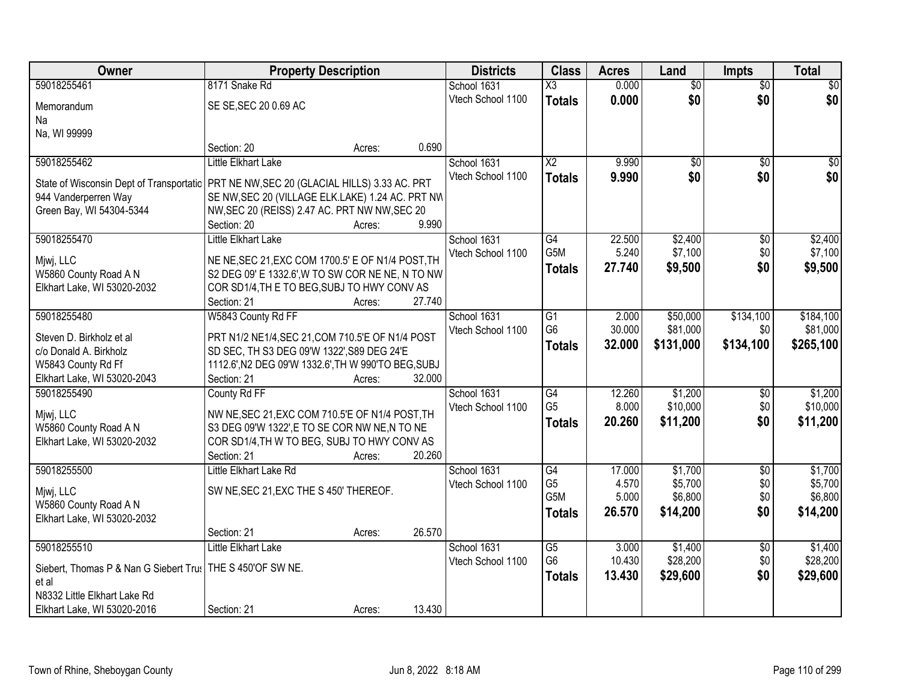| Owner                                                                 | <b>Property Description</b>                         |        |        | <b>Districts</b>  | <b>Class</b>     | <b>Acres</b> | Land            | <b>Impts</b>    | <b>Total</b> |
|-----------------------------------------------------------------------|-----------------------------------------------------|--------|--------|-------------------|------------------|--------------|-----------------|-----------------|--------------|
| 59018255461                                                           | 8171 Snake Rd                                       |        |        | School 1631       | X3               | 0.000        | $\overline{50}$ | $\overline{50}$ | \$0          |
| Memorandum                                                            | SE SE, SEC 20 0.69 AC                               |        |        | Vtech School 1100 | <b>Totals</b>    | 0.000        | \$0             | \$0             | \$0          |
| Na                                                                    |                                                     |        |        |                   |                  |              |                 |                 |              |
| Na, WI 99999                                                          |                                                     |        |        |                   |                  |              |                 |                 |              |
|                                                                       | Section: 20                                         | Acres: | 0.690  |                   |                  |              |                 |                 |              |
| 59018255462                                                           | Little Elkhart Lake                                 |        |        | School 1631       | $\overline{X2}$  | 9.990        | $\overline{50}$ | $\overline{50}$ | \$0          |
| State of Wisconsin Dept of Transportatic                              | PRT NE NW, SEC 20 (GLACIAL HILLS) 3.33 AC. PRT      |        |        | Vtech School 1100 | <b>Totals</b>    | 9.990        | \$0             | \$0             | \$0          |
| 944 Vanderperren Way                                                  | SE NW, SEC 20 (VILLAGE ELK.LAKE) 1.24 AC. PRT NW    |        |        |                   |                  |              |                 |                 |              |
| Green Bay, WI 54304-5344                                              | NW, SEC 20 (REISS) 2.47 AC. PRT NW NW, SEC 20       |        |        |                   |                  |              |                 |                 |              |
|                                                                       | Section: 20                                         | Acres: | 9.990  |                   |                  |              |                 |                 |              |
| 59018255470                                                           | Little Elkhart Lake                                 |        |        | School 1631       | G4               | 22.500       | \$2,400         | \$0             | \$2,400      |
| Mjwj, LLC                                                             | NE NE, SEC 21, EXC COM 1700.5' E OF N1/4 POST, TH   |        |        | Vtech School 1100 | G5M              | 5.240        | \$7,100         | \$0             | \$7,100      |
| W5860 County Road A N                                                 | S2 DEG 09' E 1332.6', W TO SW COR NE NE, N TO NW    |        |        |                   | <b>Totals</b>    | 27.740       | \$9,500         | \$0             | \$9,500      |
| Elkhart Lake, WI 53020-2032                                           | COR SD1/4, TH E TO BEG, SUBJ TO HWY CONV AS         |        |        |                   |                  |              |                 |                 |              |
|                                                                       | Section: 21                                         | Acres: | 27.740 |                   |                  |              |                 |                 |              |
| 59018255480                                                           | W5843 County Rd FF                                  |        |        | School 1631       | $\overline{G1}$  | 2.000        | \$50,000        | \$134,100       | \$184,100    |
| Steven D. Birkholz et al                                              | PRT N1/2 NE1/4, SEC 21, COM 710.5'E OF N1/4 POST    |        |        | Vtech School 1100 | G <sub>6</sub>   | 30.000       | \$81,000        | \$0             | \$81,000     |
| c/o Donald A. Birkholz                                                | SD SEC, TH S3 DEG 09'W 1322', S89 DEG 24'E          |        |        |                   | <b>Totals</b>    | 32.000       | \$131,000       | \$134,100       | \$265,100    |
| W5843 County Rd Ff                                                    | 1112.6', N2 DEG 09'W 1332.6', TH W 990'TO BEG, SUBJ |        |        |                   |                  |              |                 |                 |              |
| Elkhart Lake, WI 53020-2043                                           | Section: 21                                         | Acres: | 32.000 |                   |                  |              |                 |                 |              |
| 59018255490                                                           | County Rd FF                                        |        |        | School 1631       | $\overline{G4}$  | 12.260       | \$1,200         | $\overline{50}$ | \$1,200      |
|                                                                       | NW NE, SEC 21, EXC COM 710.5'E OF N1/4 POST, TH     |        |        | Vtech School 1100 | G <sub>5</sub>   | 8.000        | \$10,000        | \$0             | \$10,000     |
| Mjwj, LLC<br>W5860 County Road A N                                    | S3 DEG 09'W 1322', E TO SE COR NW NE, N TO NE       |        |        |                   | <b>Totals</b>    | 20.260       | \$11,200        | \$0             | \$11,200     |
| Elkhart Lake, WI 53020-2032                                           | COR SD1/4, TH W TO BEG, SUBJ TO HWY CONV AS         |        |        |                   |                  |              |                 |                 |              |
|                                                                       | Section: 21                                         | Acres: | 20.260 |                   |                  |              |                 |                 |              |
| 59018255500                                                           | Little Elkhart Lake Rd                              |        |        | School 1631       | G4               | 17.000       | \$1,700         | $\overline{50}$ | \$1,700      |
|                                                                       |                                                     |        |        | Vtech School 1100 | G <sub>5</sub>   | 4.570        | \$5,700         | \$0             | \$5,700      |
| Mjwj, LLC<br>W5860 County Road A N                                    | SW NE, SEC 21, EXC THE S 450' THEREOF.              |        |        |                   | G <sub>5</sub> M | 5.000        | \$6,800         | \$0             | \$6,800      |
| Elkhart Lake, WI 53020-2032                                           |                                                     |        |        |                   | <b>Totals</b>    | 26.570       | \$14,200        | \$0             | \$14,200     |
|                                                                       | Section: 21                                         | Acres: | 26.570 |                   |                  |              |                 |                 |              |
| 59018255510                                                           | Little Elkhart Lake                                 |        |        | School 1631       | $\overline{G5}$  | 3.000        | \$1,400         | $\overline{50}$ | \$1,400      |
|                                                                       |                                                     |        |        | Vtech School 1100 | G <sub>6</sub>   | 10.430       | \$28,200        | \$0             | \$28,200     |
| Siebert, Thomas P & Nan G Siebert Tru:   THE S 450'OF SW NE.<br>et al |                                                     |        |        |                   | <b>Totals</b>    | 13.430       | \$29,600        | \$0             | \$29,600     |
| N8332 Little Elkhart Lake Rd                                          |                                                     |        |        |                   |                  |              |                 |                 |              |
| Elkhart Lake, WI 53020-2016                                           | Section: 21                                         | Acres: | 13.430 |                   |                  |              |                 |                 |              |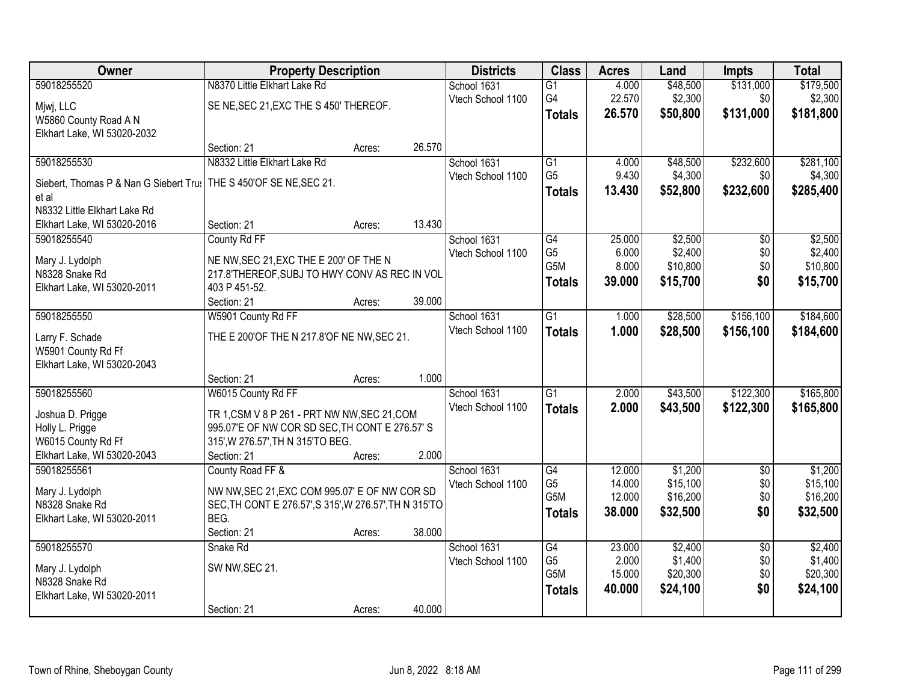| Owner                                  | <b>Property Description</b>                                                             |        |        | <b>Districts</b>  | <b>Class</b>     | <b>Acres</b> | Land     | <b>Impts</b>    | <b>Total</b> |
|----------------------------------------|-----------------------------------------------------------------------------------------|--------|--------|-------------------|------------------|--------------|----------|-----------------|--------------|
| 59018255520                            | N8370 Little Elkhart Lake Rd                                                            |        |        | School 1631       | $\overline{G1}$  | 4.000        | \$48,500 | \$131,000       | \$179,500    |
| Mjwj, LLC                              | SE NE, SEC 21, EXC THE S 450' THEREOF.                                                  |        |        | Vtech School 1100 | G4               | 22.570       | \$2,300  | \$0             | \$2,300      |
| W5860 County Road A N                  |                                                                                         |        |        |                   | <b>Totals</b>    | 26.570       | \$50,800 | \$131,000       | \$181,800    |
| Elkhart Lake, WI 53020-2032            |                                                                                         |        |        |                   |                  |              |          |                 |              |
|                                        | Section: 21                                                                             | Acres: | 26.570 |                   |                  |              |          |                 |              |
| 59018255530                            | N8332 Little Elkhart Lake Rd                                                            |        |        | School 1631       | $\overline{G1}$  | 4.000        | \$48,500 | \$232,600       | \$281,100    |
| Siebert, Thomas P & Nan G Siebert Trus | THE S 450'OF SE NE, SEC 21.                                                             |        |        | Vtech School 1100 | G <sub>5</sub>   | 9.430        | \$4,300  | \$0             | \$4,300      |
| et al                                  |                                                                                         |        |        |                   | <b>Totals</b>    | 13.430       | \$52,800 | \$232,600       | \$285,400    |
| N8332 Little Elkhart Lake Rd           |                                                                                         |        |        |                   |                  |              |          |                 |              |
| Elkhart Lake, WI 53020-2016            | Section: 21                                                                             | Acres: | 13.430 |                   |                  |              |          |                 |              |
| 59018255540                            | County Rd FF                                                                            |        |        | School 1631       | G4               | 25.000       | \$2,500  | \$0             | \$2,500      |
|                                        |                                                                                         |        |        | Vtech School 1100 | G <sub>5</sub>   | 6.000        | \$2,400  | \$0             | \$2,400      |
| Mary J. Lydolph<br>N8328 Snake Rd      | NE NW, SEC 21, EXC THE E 200' OF THE N<br>217.8'THEREOF, SUBJ TO HWY CONV AS REC IN VOL |        |        |                   | G5M              | 8.000        | \$10,800 | \$0             | \$10,800     |
| Elkhart Lake, WI 53020-2011            | 403 P 451-52.                                                                           |        |        |                   | <b>Totals</b>    | 39.000       | \$15,700 | \$0             | \$15,700     |
|                                        | Section: 21                                                                             | Acres: | 39.000 |                   |                  |              |          |                 |              |
| 59018255550                            | W5901 County Rd FF                                                                      |        |        | School 1631       | G1               | 1.000        | \$28,500 | \$156,100       | \$184,600    |
|                                        |                                                                                         |        |        | Vtech School 1100 | <b>Totals</b>    | 1.000        | \$28,500 | \$156,100       | \$184,600    |
| Larry F. Schade                        | THE E 200'OF THE N 217.8'OF NE NW, SEC 21.                                              |        |        |                   |                  |              |          |                 |              |
| W5901 County Rd Ff                     |                                                                                         |        |        |                   |                  |              |          |                 |              |
| Elkhart Lake, WI 53020-2043            |                                                                                         |        |        |                   |                  |              |          |                 |              |
|                                        | Section: 21                                                                             | Acres: | 1.000  |                   |                  |              |          |                 |              |
| 59018255560                            | W6015 County Rd FF                                                                      |        |        | School 1631       | $\overline{G1}$  | 2.000        | \$43,500 | \$122,300       | \$165,800    |
| Joshua D. Prigge                       | TR 1, CSM V 8 P 261 - PRT NW NW, SEC 21, COM                                            |        |        | Vtech School 1100 | <b>Totals</b>    | 2.000        | \$43,500 | \$122,300       | \$165,800    |
| Holly L. Prigge                        | 995.07'E OF NW COR SD SEC, TH CONT E 276.57' S                                          |        |        |                   |                  |              |          |                 |              |
| W6015 County Rd Ff                     | 315', W 276.57', TH N 315'TO BEG.                                                       |        |        |                   |                  |              |          |                 |              |
| Elkhart Lake, WI 53020-2043            | Section: 21                                                                             | Acres: | 2.000  |                   |                  |              |          |                 |              |
| 59018255561                            | County Road FF &                                                                        |        |        | School 1631       | G4               | 12.000       | \$1,200  | $\overline{60}$ | \$1,200      |
| Mary J. Lydolph                        | NW NW, SEC 21, EXC COM 995.07' E OF NW COR SD                                           |        |        | Vtech School 1100 | G <sub>5</sub>   | 14.000       | \$15,100 | \$0             | \$15,100     |
| N8328 Snake Rd                         | SEC, TH CONT E 276.57', S 315', W 276.57', TH N 315'TO                                  |        |        |                   | G5M              | 12.000       | \$16,200 | \$0             | \$16,200     |
| Elkhart Lake, WI 53020-2011            | BEG.                                                                                    |        |        |                   | Totals           | 38.000       | \$32,500 | \$0             | \$32,500     |
|                                        | Section: 21                                                                             | Acres: | 38.000 |                   |                  |              |          |                 |              |
| 59018255570                            | Snake Rd                                                                                |        |        | School 1631       | G4               | 23.000       | \$2,400  | $\overline{50}$ | \$2,400      |
| Mary J. Lydolph                        | SW NW, SEC 21.                                                                          |        |        | Vtech School 1100 | G <sub>5</sub>   | 2.000        | \$1,400  | \$0             | \$1,400      |
| N8328 Snake Rd                         |                                                                                         |        |        |                   | G <sub>5</sub> M | 15.000       | \$20,300 | \$0             | \$20,300     |
| Elkhart Lake, WI 53020-2011            |                                                                                         |        |        |                   | <b>Totals</b>    | 40.000       | \$24,100 | \$0             | \$24,100     |
|                                        | Section: 21                                                                             | Acres: | 40.000 |                   |                  |              |          |                 |              |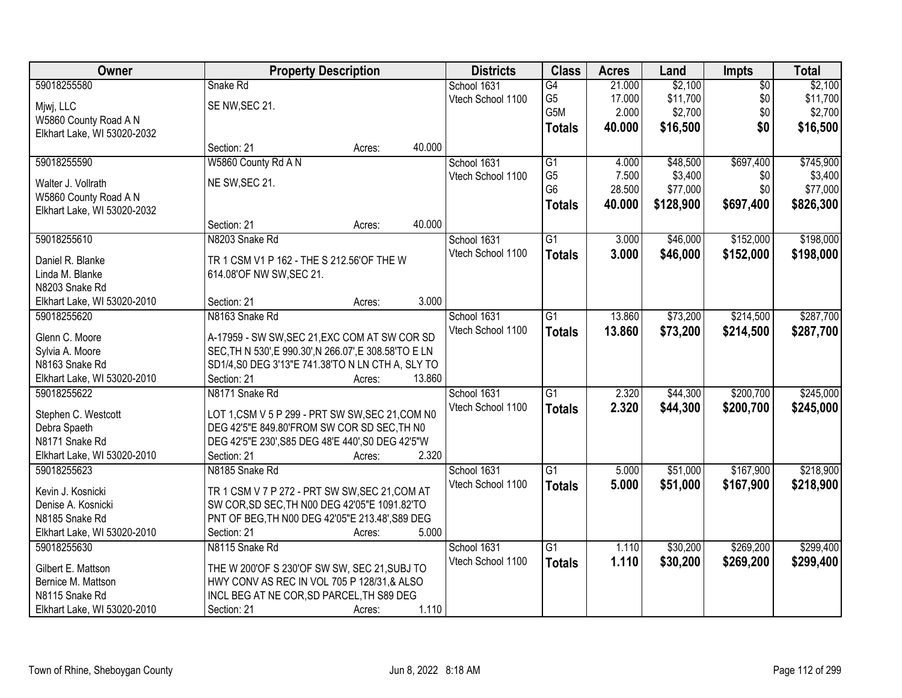| Owner                       | <b>Property Description</b>                            |        |        | <b>Districts</b>  | <b>Class</b>    | <b>Acres</b> | Land      | Impts           | <b>Total</b> |
|-----------------------------|--------------------------------------------------------|--------|--------|-------------------|-----------------|--------------|-----------|-----------------|--------------|
| 59018255580                 | Snake Rd                                               |        |        | School 1631       | G4              | 21.000       | \$2,100   | $\overline{50}$ | \$2,100      |
| Mjwj, LLC                   | SE NW, SEC 21.                                         |        |        | Vtech School 1100 | G <sub>5</sub>  | 17.000       | \$11,700  | \$0             | \$11,700     |
| W5860 County Road A N       |                                                        |        |        |                   | G5M             | 2.000        | \$2,700   | \$0             | \$2,700      |
| Elkhart Lake, WI 53020-2032 |                                                        |        |        |                   | <b>Totals</b>   | 40.000       | \$16,500  | \$0             | \$16,500     |
|                             | Section: 21                                            | Acres: | 40.000 |                   |                 |              |           |                 |              |
| 59018255590                 | W5860 County Rd A N                                    |        |        | School 1631       | $\overline{G1}$ | 4.000        | \$48,500  | \$697,400       | \$745,900    |
|                             |                                                        |        |        | Vtech School 1100 | G <sub>5</sub>  | 7.500        | \$3,400   | \$0             | \$3,400      |
| Walter J. Vollrath          | NE SW, SEC 21.                                         |        |        |                   | G <sub>6</sub>  | 28.500       | \$77,000  | \$0             | \$77,000     |
| W5860 County Road A N       |                                                        |        |        |                   | <b>Totals</b>   | 40.000       | \$128,900 | \$697,400       | \$826,300    |
| Elkhart Lake, WI 53020-2032 |                                                        |        |        |                   |                 |              |           |                 |              |
|                             | Section: 21                                            | Acres: | 40.000 |                   |                 |              |           |                 |              |
| 59018255610                 | N8203 Snake Rd                                         |        |        | School 1631       | $\overline{G1}$ | 3.000        | \$46,000  | \$152,000       | \$198,000    |
| Daniel R. Blanke            | TR 1 CSM V1 P 162 - THE S 212.56'OF THE W              |        |        | Vtech School 1100 | <b>Totals</b>   | 3.000        | \$46,000  | \$152,000       | \$198,000    |
| Linda M. Blanke             | 614.08'OF NW SW, SEC 21.                               |        |        |                   |                 |              |           |                 |              |
| N8203 Snake Rd              |                                                        |        |        |                   |                 |              |           |                 |              |
| Elkhart Lake, WI 53020-2010 | Section: 21                                            | Acres: | 3.000  |                   |                 |              |           |                 |              |
| 59018255620                 | N8163 Snake Rd                                         |        |        | School 1631       | G1              | 13.860       | \$73,200  | \$214,500       | \$287,700    |
|                             |                                                        |        |        | Vtech School 1100 | <b>Totals</b>   | 13.860       | \$73,200  | \$214,500       | \$287,700    |
| Glenn C. Moore              | A-17959 - SW SW, SEC 21, EXC COM AT SW COR SD          |        |        |                   |                 |              |           |                 |              |
| Sylvia A. Moore             | SEC, TH N 530', E 990.30', N 266.07', E 308.58'TO E LN |        |        |                   |                 |              |           |                 |              |
| N8163 Snake Rd              | SD1/4, S0 DEG 3'13"E 741.38'TO N LN CTH A, SLY TO      |        |        |                   |                 |              |           |                 |              |
| Elkhart Lake, WI 53020-2010 | Section: 21                                            | Acres: | 13.860 |                   |                 |              |           |                 |              |
| 59018255622                 | N8171 Snake Rd                                         |        |        | School 1631       | $\overline{G1}$ | 2.320        | \$44,300  | \$200,700       | \$245,000    |
| Stephen C. Westcott         | LOT 1,CSM V 5 P 299 - PRT SW SW, SEC 21, COM N0        |        |        | Vtech School 1100 | <b>Totals</b>   | 2.320        | \$44,300  | \$200,700       | \$245,000    |
| Debra Spaeth                | DEG 42'5"E 849.80'FROM SW COR SD SEC, TH N0            |        |        |                   |                 |              |           |                 |              |
| N8171 Snake Rd              | DEG 42'5"E 230', S85 DEG 48'E 440', S0 DEG 42'5"W      |        |        |                   |                 |              |           |                 |              |
| Elkhart Lake, WI 53020-2010 | Section: 21                                            | Acres: | 2.320  |                   |                 |              |           |                 |              |
| 59018255623                 | N8185 Snake Rd                                         |        |        | School 1631       | $\overline{G1}$ | 5.000        | \$51,000  | \$167,900       | \$218,900    |
|                             |                                                        |        |        | Vtech School 1100 | <b>Totals</b>   | 5.000        | \$51,000  | \$167,900       | \$218,900    |
| Kevin J. Kosnicki           | TR 1 CSM V 7 P 272 - PRT SW SW, SEC 21, COM AT         |        |        |                   |                 |              |           |                 |              |
| Denise A. Kosnicki          | SW COR, SD SEC, TH N00 DEG 42'05"E 1091.82'TO          |        |        |                   |                 |              |           |                 |              |
| N8185 Snake Rd              | PNT OF BEG, TH N00 DEG 42'05"E 213.48', S89 DEG        |        |        |                   |                 |              |           |                 |              |
| Elkhart Lake, WI 53020-2010 | Section: 21                                            | Acres: | 5.000  |                   |                 |              |           |                 |              |
| 59018255630                 | N8115 Snake Rd                                         |        |        | School 1631       | $\overline{G1}$ | 1.110        | \$30,200  | \$269,200       | \$299,400    |
| Gilbert E. Mattson          | THE W 200'OF S 230'OF SW SW, SEC 21, SUBJ TO           |        |        | Vtech School 1100 | <b>Totals</b>   | 1.110        | \$30,200  | \$269,200       | \$299,400    |
| Bernice M. Mattson          | HWY CONV AS REC IN VOL 705 P 128/31,& ALSO             |        |        |                   |                 |              |           |                 |              |
| N8115 Snake Rd              | INCL BEG AT NE COR, SD PARCEL, TH S89 DEG              |        |        |                   |                 |              |           |                 |              |
| Elkhart Lake, WI 53020-2010 | Section: 21                                            | Acres: | 1.110  |                   |                 |              |           |                 |              |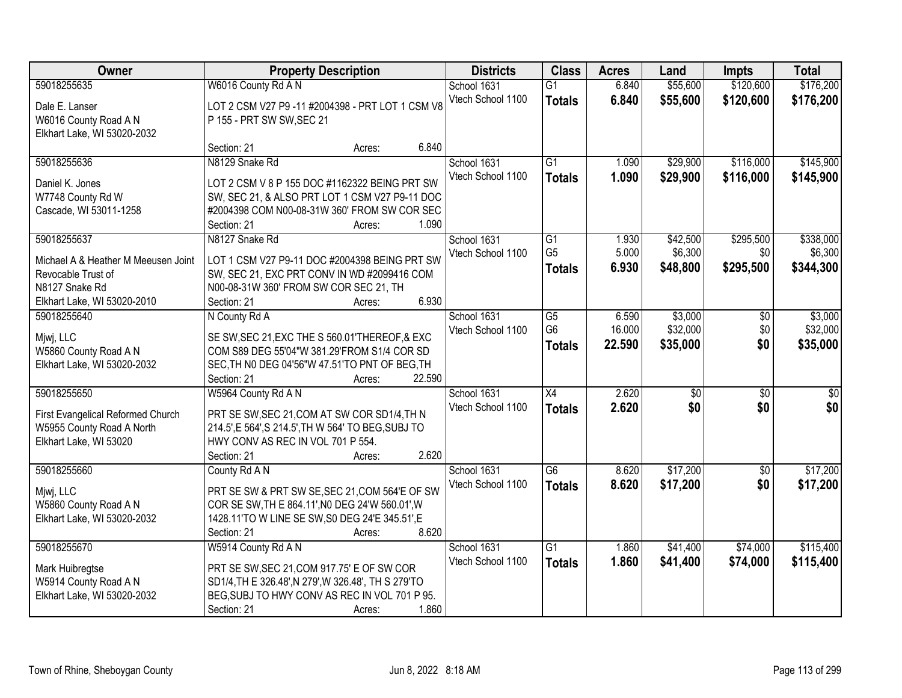| Owner                                                | <b>Property Description</b>                                                                        |                  | <b>Districts</b>  | <b>Class</b>         | <b>Acres</b>    | Land            | <b>Impts</b>    | <b>Total</b>    |
|------------------------------------------------------|----------------------------------------------------------------------------------------------------|------------------|-------------------|----------------------|-----------------|-----------------|-----------------|-----------------|
| 59018255635                                          | W6016 County Rd A N                                                                                |                  | School 1631       | $\overline{G1}$      | 6.840           | \$55,600        | \$120,600       | \$176,200       |
| Dale E. Lanser                                       | LOT 2 CSM V27 P9 -11 #2004398 - PRT LOT 1 CSM V8                                                   |                  | Vtech School 1100 | <b>Totals</b>        | 6.840           | \$55,600        | \$120,600       | \$176,200       |
| W6016 County Road A N                                | P 155 - PRT SW SW, SEC 21                                                                          |                  |                   |                      |                 |                 |                 |                 |
| Elkhart Lake, WI 53020-2032                          |                                                                                                    |                  |                   |                      |                 |                 |                 |                 |
|                                                      | Section: 21                                                                                        | 6.840<br>Acres:  |                   |                      |                 |                 |                 |                 |
| 59018255636                                          | N8129 Snake Rd                                                                                     |                  | School 1631       | $\overline{G1}$      | 1.090           | \$29,900        | \$116,000       | \$145,900       |
|                                                      |                                                                                                    |                  | Vtech School 1100 | <b>Totals</b>        | 1.090           | \$29,900        | \$116,000       | \$145,900       |
| Daniel K. Jones                                      | LOT 2 CSM V 8 P 155 DOC #1162322 BEING PRT SW                                                      |                  |                   |                      |                 |                 |                 |                 |
| W7748 County Rd W<br>Cascade, WI 53011-1258          | SW, SEC 21, & ALSO PRT LOT 1 CSM V27 P9-11 DOC<br>#2004398 COM N00-08-31W 360' FROM SW COR SEC     |                  |                   |                      |                 |                 |                 |                 |
|                                                      | Section: 21                                                                                        | 1.090<br>Acres:  |                   |                      |                 |                 |                 |                 |
| 59018255637                                          | N8127 Snake Rd                                                                                     |                  | School 1631       | G1                   | 1.930           | \$42,500        | \$295,500       | \$338,000       |
|                                                      |                                                                                                    |                  | Vtech School 1100 | G <sub>5</sub>       | 5.000           | \$6,300         | \$0             | \$6,300         |
| Michael A & Heather M Meeusen Joint                  | LOT 1 CSM V27 P9-11 DOC #2004398 BEING PRT SW                                                      |                  |                   | <b>Totals</b>        | 6.930           | \$48,800        | \$295,500       | \$344,300       |
| Revocable Trust of                                   | SW, SEC 21, EXC PRT CONV IN WD #2099416 COM                                                        |                  |                   |                      |                 |                 |                 |                 |
| N8127 Snake Rd                                       | N00-08-31W 360' FROM SW COR SEC 21, TH                                                             |                  |                   |                      |                 |                 |                 |                 |
| Elkhart Lake, WI 53020-2010                          | Section: 21                                                                                        | 6.930<br>Acres:  |                   |                      |                 |                 |                 |                 |
| 59018255640                                          | N County Rd A                                                                                      |                  | School 1631       | G5<br>G <sub>6</sub> | 6.590<br>16.000 | \$3,000         | $\sqrt[6]{}$    | \$3,000         |
| Mjwj, LLC                                            | SE SW, SEC 21, EXC THE S 560.01 THEREOF, & EXC                                                     |                  | Vtech School 1100 |                      |                 | \$32,000        | \$0<br>\$0      | \$32,000        |
| W5860 County Road A N                                | COM S89 DEG 55'04"W 381.29'FROM S1/4 COR SD                                                        |                  |                   | <b>Totals</b>        | 22.590          | \$35,000        |                 | \$35,000        |
| Elkhart Lake, WI 53020-2032                          | SEC, TH NO DEG 04'56"W 47.51'TO PNT OF BEG, TH                                                     |                  |                   |                      |                 |                 |                 |                 |
|                                                      | Section: 21                                                                                        | 22.590<br>Acres: |                   |                      |                 |                 |                 |                 |
| 59018255650                                          | W5964 County Rd A N                                                                                |                  | School 1631       | $\overline{X4}$      | 2.620           | $\overline{50}$ | $\overline{50}$ | $\overline{50}$ |
| First Evangelical Reformed Church                    | PRT SE SW, SEC 21, COM AT SW COR SD1/4, TH N                                                       |                  | Vtech School 1100 | <b>Totals</b>        | 2.620           | \$0             | \$0             | \$0             |
| W5955 County Road A North                            | 214.5', E 564', S 214.5', TH W 564' TO BEG, SUBJ TO                                                |                  |                   |                      |                 |                 |                 |                 |
| Elkhart Lake, WI 53020                               | HWY CONV AS REC IN VOL 701 P 554.                                                                  |                  |                   |                      |                 |                 |                 |                 |
|                                                      | Section: 21                                                                                        | 2.620<br>Acres:  |                   |                      |                 |                 |                 |                 |
| 59018255660                                          | County Rd A N                                                                                      |                  | School 1631       | $\overline{G6}$      | 8.620           | \$17,200        | $\overline{50}$ | \$17,200        |
|                                                      |                                                                                                    |                  | Vtech School 1100 | <b>Totals</b>        | 8.620           | \$17,200        | \$0             | \$17,200        |
| Mjwj, LLC                                            | PRT SE SW & PRT SW SE, SEC 21, COM 564'E OF SW                                                     |                  |                   |                      |                 |                 |                 |                 |
| W5860 County Road A N<br>Elkhart Lake, WI 53020-2032 | COR SE SW, TH E 864.11', NO DEG 24'W 560.01', W<br>1428.11'TO W LINE SE SW, S0 DEG 24'E 345.51', E |                  |                   |                      |                 |                 |                 |                 |
|                                                      | Section: 21                                                                                        | 8.620<br>Acres:  |                   |                      |                 |                 |                 |                 |
| 59018255670                                          | W5914 County Rd A N                                                                                |                  | School 1631       | $\overline{G1}$      | 1.860           | \$41,400        | \$74,000        | \$115,400       |
|                                                      |                                                                                                    |                  | Vtech School 1100 | <b>Totals</b>        | 1.860           | \$41,400        | \$74,000        | \$115,400       |
| Mark Huibregtse                                      | PRT SE SW, SEC 21, COM 917.75' E OF SW COR                                                         |                  |                   |                      |                 |                 |                 |                 |
| W5914 County Road A N                                | SD1/4, TH E 326.48', N 279', W 326.48', TH S 279'TO                                                |                  |                   |                      |                 |                 |                 |                 |
| Elkhart Lake, WI 53020-2032                          | BEG, SUBJ TO HWY CONV AS REC IN VOL 701 P 95.                                                      |                  |                   |                      |                 |                 |                 |                 |
|                                                      | Section: 21                                                                                        | 1.860<br>Acres:  |                   |                      |                 |                 |                 |                 |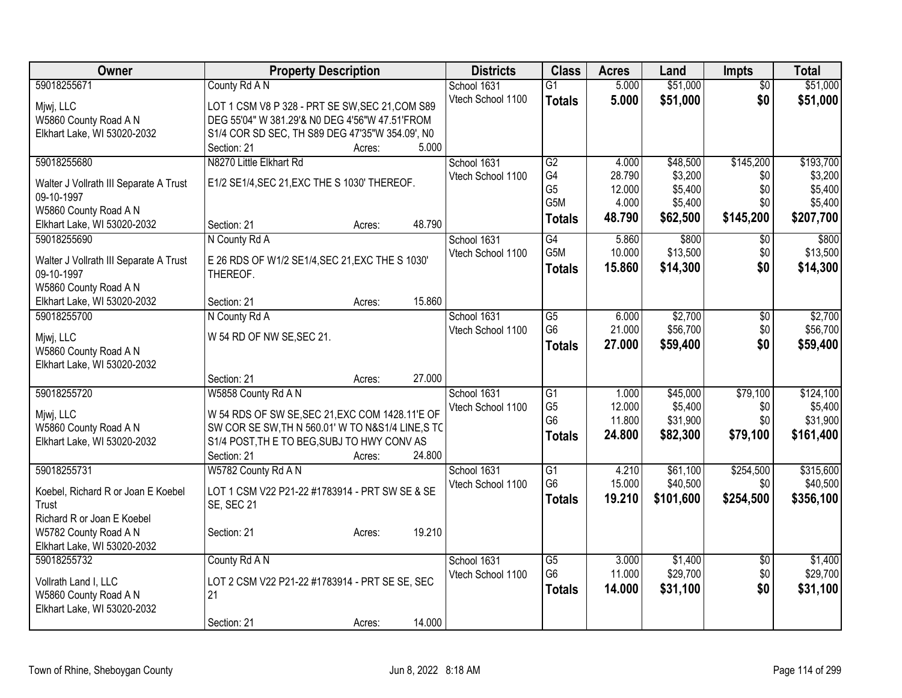| Owner                                                | <b>Property Description</b>                       | <b>Districts</b>  | <b>Class</b>     | <b>Acres</b> | Land      | <b>Impts</b>    | <b>Total</b> |
|------------------------------------------------------|---------------------------------------------------|-------------------|------------------|--------------|-----------|-----------------|--------------|
| 59018255671                                          | County Rd A N                                     | School 1631       | $\overline{G1}$  | 5.000        | \$51,000  | $\overline{50}$ | \$51,000     |
| Mjwj, LLC                                            | LOT 1 CSM V8 P 328 - PRT SE SW, SEC 21, COM S89   | Vtech School 1100 | <b>Totals</b>    | 5.000        | \$51,000  | \$0             | \$51,000     |
| W5860 County Road A N                                | DEG 55'04" W 381.29'& N0 DEG 4'56"W 47.51'FROM    |                   |                  |              |           |                 |              |
| Elkhart Lake, WI 53020-2032                          | S1/4 COR SD SEC, TH S89 DEG 47'35"W 354.09', N0   |                   |                  |              |           |                 |              |
|                                                      | 5.000<br>Section: 21<br>Acres:                    |                   |                  |              |           |                 |              |
| 59018255680                                          | N8270 Little Elkhart Rd                           | School 1631       | G2               | 4.000        | \$48,500  | \$145,200       | \$193,700    |
|                                                      |                                                   | Vtech School 1100 | G4               | 28.790       | \$3,200   | \$0             | \$3,200      |
| Walter J Vollrath III Separate A Trust<br>09-10-1997 | E1/2 SE1/4, SEC 21, EXC THE S 1030' THEREOF.      |                   | G <sub>5</sub>   | 12.000       | \$5,400   | \$0             | \$5,400      |
| W5860 County Road A N                                |                                                   |                   | G <sub>5</sub> M | 4.000        | \$5,400   | \$0             | \$5,400      |
| Elkhart Lake, WI 53020-2032                          | 48.790<br>Section: 21<br>Acres:                   |                   | <b>Totals</b>    | 48.790       | \$62,500  | \$145,200       | \$207,700    |
| 59018255690                                          | N County Rd A                                     | School 1631       | G4               | 5.860        | \$800     | $\sqrt{6}$      | \$800        |
|                                                      |                                                   | Vtech School 1100 | G5M              | 10.000       | \$13,500  | \$0             | \$13,500     |
| Walter J Vollrath III Separate A Trust               | E 26 RDS OF W1/2 SE1/4, SEC 21, EXC THE S 1030'   |                   | <b>Totals</b>    | 15.860       | \$14,300  | \$0             | \$14,300     |
| 09-10-1997                                           | THEREOF.                                          |                   |                  |              |           |                 |              |
| W5860 County Road A N                                |                                                   |                   |                  |              |           |                 |              |
| Elkhart Lake, WI 53020-2032                          | 15.860<br>Section: 21<br>Acres:                   |                   |                  |              |           |                 |              |
| 59018255700                                          | N County Rd A                                     | School 1631       | G <sub>5</sub>   | 6.000        | \$2,700   | \$0             | \$2,700      |
| Mjwj, LLC                                            | W 54 RD OF NW SE, SEC 21.                         | Vtech School 1100 | G <sub>6</sub>   | 21.000       | \$56,700  | \$0             | \$56,700     |
| W5860 County Road A N                                |                                                   |                   | <b>Totals</b>    | 27.000       | \$59,400  | \$0             | \$59,400     |
| Elkhart Lake, WI 53020-2032                          |                                                   |                   |                  |              |           |                 |              |
|                                                      | 27.000<br>Section: 21<br>Acres:                   |                   |                  |              |           |                 |              |
| 59018255720                                          | W5858 County Rd A N                               | School 1631       | $\overline{G1}$  | 1.000        | \$45,000  | \$79,100        | \$124,100    |
| Mjwj, LLC                                            | W 54 RDS OF SW SE, SEC 21, EXC COM 1428.11'E OF   | Vtech School 1100 | G <sub>5</sub>   | 12.000       | \$5,400   | \$0             | \$5,400      |
| W5860 County Road A N                                | SW COR SE SW, TH N 560.01' W TO N&S1/4 LINE, S TC |                   | G <sub>6</sub>   | 11.800       | \$31,900  | \$0             | \$31,900     |
| Elkhart Lake, WI 53020-2032                          | S1/4 POST, TH E TO BEG, SUBJ TO HWY CONV AS       |                   | <b>Totals</b>    | 24.800       | \$82,300  | \$79,100        | \$161,400    |
|                                                      | 24.800<br>Section: 21<br>Acres:                   |                   |                  |              |           |                 |              |
| 59018255731                                          | W5782 County Rd A N                               | School 1631       | $\overline{G1}$  | 4.210        | \$61,100  | \$254,500       | \$315,600    |
|                                                      |                                                   | Vtech School 1100 | G <sub>6</sub>   | 15.000       | \$40,500  | \$0             | \$40,500     |
| Koebel, Richard R or Joan E Koebel                   | LOT 1 CSM V22 P21-22 #1783914 - PRT SW SE & SE    |                   | <b>Totals</b>    | 19.210       | \$101,600 | \$254,500       | \$356,100    |
| Trust<br>Richard R or Joan E Koebel                  | <b>SE, SEC 21</b>                                 |                   |                  |              |           |                 |              |
| W5782 County Road A N                                | 19.210<br>Section: 21<br>Acres:                   |                   |                  |              |           |                 |              |
| Elkhart Lake, WI 53020-2032                          |                                                   |                   |                  |              |           |                 |              |
| 59018255732                                          | County Rd A N                                     | School 1631       | $\overline{G5}$  | 3.000        | \$1,400   | \$0             | \$1,400      |
|                                                      |                                                   | Vtech School 1100 | G <sub>6</sub>   | 11.000       | \$29,700  | \$0             | \$29,700     |
| Vollrath Land I, LLC                                 | LOT 2 CSM V22 P21-22 #1783914 - PRT SE SE, SEC    |                   | <b>Totals</b>    | 14.000       | \$31,100  | \$0             | \$31,100     |
| W5860 County Road A N                                | 21                                                |                   |                  |              |           |                 |              |
| Elkhart Lake, WI 53020-2032                          |                                                   |                   |                  |              |           |                 |              |
|                                                      | 14.000<br>Section: 21<br>Acres:                   |                   |                  |              |           |                 |              |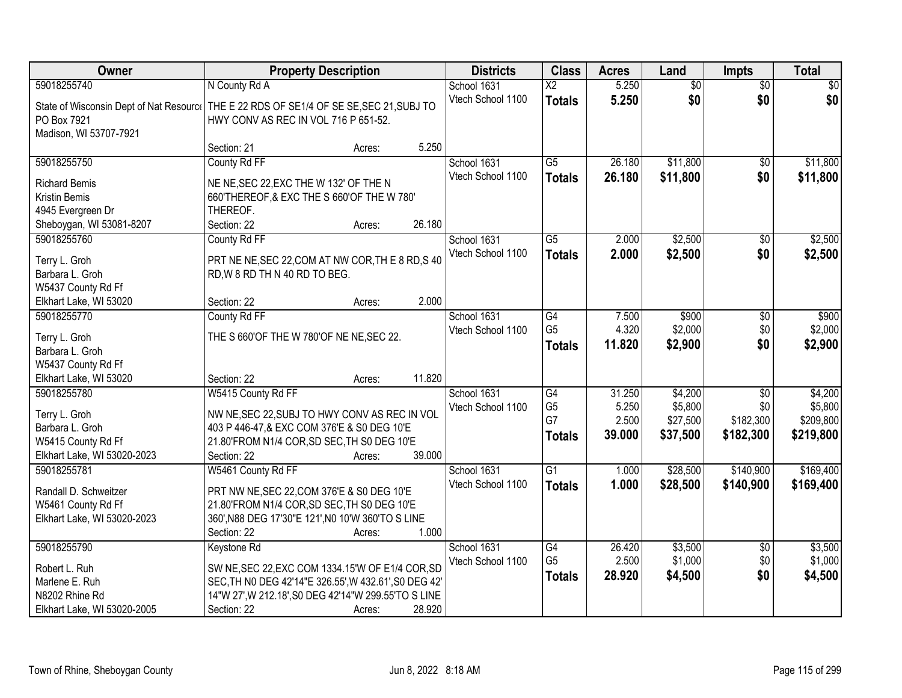| Owner                                   | <b>Property Description</b>                            | <b>Districts</b>                 | <b>Class</b>           | <b>Acres</b> | Land            | <b>Impts</b>    | <b>Total</b> |
|-----------------------------------------|--------------------------------------------------------|----------------------------------|------------------------|--------------|-----------------|-----------------|--------------|
| 59018255740                             | N County Rd A                                          | School 1631                      | $\overline{\text{X2}}$ | 5.250        | $\overline{60}$ | $\overline{50}$ | \$0          |
| State of Wisconsin Dept of Nat Resource | THE E 22 RDS OF SE1/4 OF SE SE, SEC 21, SUBJ TO        | Vtech School 1100                | <b>Totals</b>          | 5.250        | \$0             | \$0             | \$0          |
| PO Box 7921                             | HWY CONV AS REC IN VOL 716 P 651-52.                   |                                  |                        |              |                 |                 |              |
| Madison, WI 53707-7921                  |                                                        |                                  |                        |              |                 |                 |              |
|                                         | 5.250<br>Section: 21<br>Acres:                         |                                  |                        |              |                 |                 |              |
| 59018255750                             | County Rd FF                                           | School 1631                      | $\overline{G5}$        | 26.180       | \$11,800        | \$0             | \$11,800     |
| <b>Richard Bemis</b>                    |                                                        | Vtech School 1100                | <b>Totals</b>          | 26.180       | \$11,800        | \$0             | \$11,800     |
|                                         | NE NE, SEC 22, EXC THE W 132' OF THE N                 |                                  |                        |              |                 |                 |              |
| Kristin Bemis<br>4945 Evergreen Dr      | 660'THEREOF, & EXC THE S 660'OF THE W 780'<br>THEREOF. |                                  |                        |              |                 |                 |              |
|                                         | 26.180<br>Section: 22<br>Acres:                        |                                  |                        |              |                 |                 |              |
| Sheboygan, WI 53081-8207<br>59018255760 | County Rd FF                                           |                                  | G5                     | 2.000        | \$2,500         | \$0             | \$2,500      |
|                                         |                                                        | School 1631<br>Vtech School 1100 |                        |              |                 |                 |              |
| Terry L. Groh                           | PRT NE NE, SEC 22, COM AT NW COR, THE 8 RD, S 40       |                                  | <b>Totals</b>          | 2.000        | \$2,500         | \$0             | \$2,500      |
| Barbara L. Groh                         | RD, W 8 RD TH N 40 RD TO BEG.                          |                                  |                        |              |                 |                 |              |
| W5437 County Rd Ff                      |                                                        |                                  |                        |              |                 |                 |              |
| Elkhart Lake, WI 53020                  | 2.000<br>Section: 22<br>Acres:                         |                                  |                        |              |                 |                 |              |
| 59018255770                             | County Rd FF                                           | School 1631                      | $\overline{G4}$        | 7.500        | \$900           | \$0             | \$900        |
|                                         | THE S 660'OF THE W 780'OF NE NE, SEC 22.               | Vtech School 1100                | G <sub>5</sub>         | 4.320        | \$2,000         | \$0             | \$2,000      |
| Terry L. Groh<br>Barbara L. Groh        |                                                        |                                  | <b>Totals</b>          | 11.820       | \$2,900         | \$0             | \$2,900      |
| W5437 County Rd Ff                      |                                                        |                                  |                        |              |                 |                 |              |
| Elkhart Lake, WI 53020                  | 11.820<br>Section: 22<br>Acres:                        |                                  |                        |              |                 |                 |              |
| 59018255780                             | W5415 County Rd FF                                     | School 1631                      | $\overline{G4}$        | 31.250       | \$4,200         | \$0             | \$4,200      |
|                                         |                                                        |                                  | G <sub>5</sub>         | 5.250        | \$5,800         | \$0             | \$5,800      |
| Terry L. Groh                           | NW NE, SEC 22, SUBJ TO HWY CONV AS REC IN VOL          | Vtech School 1100                | G7                     | 2.500        | \$27,500        | \$182,300       | \$209,800    |
| Barbara L. Groh                         | 403 P 446-47, & EXC COM 376'E & S0 DEG 10'E            |                                  |                        | 39.000       |                 | \$182,300       |              |
| W5415 County Rd Ff                      | 21.80'FROM N1/4 COR, SD SEC, TH S0 DEG 10'E            |                                  | <b>Totals</b>          |              | \$37,500        |                 | \$219,800    |
| Elkhart Lake, WI 53020-2023             | 39.000<br>Section: 22<br>Acres:                        |                                  |                        |              |                 |                 |              |
| 59018255781                             | W5461 County Rd FF                                     | School 1631                      | $\overline{G1}$        | 1.000        | \$28,500        | \$140,900       | \$169,400    |
| Randall D. Schweitzer                   | PRT NW NE, SEC 22, COM 376'E & S0 DEG 10'E             | Vtech School 1100                | <b>Totals</b>          | 1.000        | \$28,500        | \$140,900       | \$169,400    |
| W5461 County Rd Ff                      | 21.80'FROM N1/4 COR, SD SEC, TH S0 DEG 10'E            |                                  |                        |              |                 |                 |              |
| Elkhart Lake, WI 53020-2023             | 360', N88 DEG 17'30"E 121', N0 10'W 360'TO S LINE      |                                  |                        |              |                 |                 |              |
|                                         | 1.000<br>Section: 22<br>Acres:                         |                                  |                        |              |                 |                 |              |
| 59018255790                             | Keystone Rd                                            | School 1631                      | G4                     | 26.420       | \$3,500         | $\overline{50}$ | \$3,500      |
|                                         |                                                        | Vtech School 1100                | G <sub>5</sub>         | 2.500        | \$1,000         | \$0             | \$1,000      |
| Robert L. Ruh                           | SW NE, SEC 22, EXC COM 1334.15'W OF E1/4 COR, SD       |                                  | <b>Totals</b>          | 28.920       | \$4,500         | \$0             | \$4,500      |
| Marlene E. Ruh                          | SEC, TH N0 DEG 42'14"E 326.55', W 432.61', S0 DEG 42'  |                                  |                        |              |                 |                 |              |
| N8202 Rhine Rd                          | 14"W 27", W 212.18", S0 DEG 42'14"W 299.55'TO S LINE   |                                  |                        |              |                 |                 |              |
| Elkhart Lake, WI 53020-2005             | 28.920<br>Section: 22<br>Acres:                        |                                  |                        |              |                 |                 |              |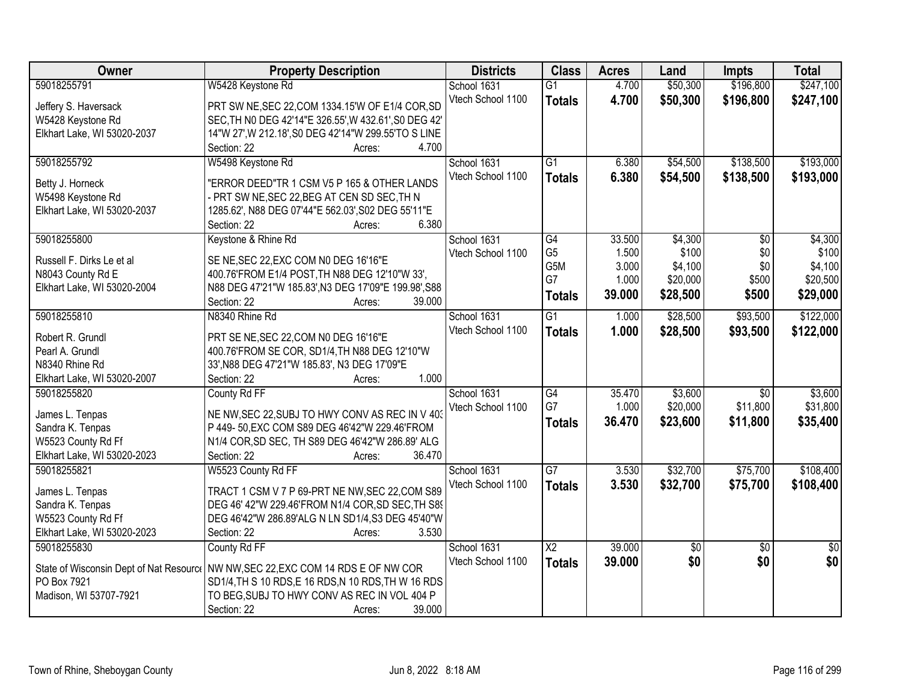| Owner                                   | <b>Property Description</b>                           | <b>Districts</b>  | <b>Class</b>           | <b>Acres</b> | Land     | <b>Impts</b>    | <b>Total</b>    |
|-----------------------------------------|-------------------------------------------------------|-------------------|------------------------|--------------|----------|-----------------|-----------------|
| 59018255791                             | W5428 Keystone Rd                                     | School 1631       | $\overline{G1}$        | 4.700        | \$50,300 | \$196,800       | \$247,100       |
| Jeffery S. Haversack                    | PRT SW NE, SEC 22, COM 1334.15'W OF E1/4 COR, SD      | Vtech School 1100 | <b>Totals</b>          | 4.700        | \$50,300 | \$196,800       | \$247,100       |
| W5428 Keystone Rd                       | SEC, TH N0 DEG 42'14"E 326.55', W 432.61', S0 DEG 42' |                   |                        |              |          |                 |                 |
| Elkhart Lake, WI 53020-2037             | 14"W 27", W 212.18", S0 DEG 42'14"W 299.55'TO S LINE  |                   |                        |              |          |                 |                 |
|                                         | 4.700<br>Section: 22<br>Acres:                        |                   |                        |              |          |                 |                 |
| 59018255792                             | W5498 Keystone Rd                                     | School 1631       | $\overline{G1}$        | 6.380        | \$54,500 | \$138,500       | \$193,000       |
| Betty J. Horneck                        | "ERROR DEED"TR 1 CSM V5 P 165 & OTHER LANDS           | Vtech School 1100 | <b>Totals</b>          | 6.380        | \$54,500 | \$138,500       | \$193,000       |
| W5498 Keystone Rd                       | - PRT SW NE, SEC 22, BEG AT CEN SD SEC, TH N          |                   |                        |              |          |                 |                 |
| Elkhart Lake, WI 53020-2037             | 1285.62', N88 DEG 07'44"E 562.03', S02 DEG 55'11"E    |                   |                        |              |          |                 |                 |
|                                         | 6.380<br>Section: 22<br>Acres:                        |                   |                        |              |          |                 |                 |
| 59018255800                             | Keystone & Rhine Rd                                   | School 1631       | G4                     | 33.500       | \$4,300  | \$0             | \$4,300         |
|                                         |                                                       | Vtech School 1100 | G <sub>5</sub>         | 1.500        | \$100    | \$0             | \$100           |
| Russell F. Dirks Le et al               | SE NE, SEC 22, EXC COM N0 DEG 16'16"E                 |                   | G5M                    | 3.000        | \$4,100  | \$0             | \$4,100         |
| N8043 County Rd E                       | 400.76'FROM E1/4 POST, TH N88 DEG 12'10"W 33',        |                   | G7                     | 1.000        | \$20,000 | \$500           | \$20,500        |
| Elkhart Lake, WI 53020-2004             | N88 DEG 47'21"W 185.83', N3 DEG 17'09"E 199.98', S88  |                   | <b>Totals</b>          | 39.000       | \$28,500 | \$500           | \$29,000        |
|                                         | Section: 22<br>39,000<br>Acres:                       |                   |                        |              |          |                 |                 |
| 59018255810                             | N8340 Rhine Rd                                        | School 1631       | $\overline{G1}$        | 1.000        | \$28,500 | \$93,500        | \$122,000       |
| Robert R. Grundl                        | PRT SE NE, SEC 22, COM N0 DEG 16'16"E                 | Vtech School 1100 | <b>Totals</b>          | 1.000        | \$28,500 | \$93,500        | \$122,000       |
| Pearl A. Grundl                         | 400.76'FROM SE COR, SD1/4, TH N88 DEG 12'10"W         |                   |                        |              |          |                 |                 |
| N8340 Rhine Rd                          | 33', N88 DEG 47'21"W 185.83', N3 DEG 17'09"E          |                   |                        |              |          |                 |                 |
| Elkhart Lake, WI 53020-2007             | 1.000<br>Section: 22<br>Acres:                        |                   |                        |              |          |                 |                 |
| 59018255820                             | County Rd FF                                          | School 1631       | G4                     | 35.470       | \$3,600  | $\overline{30}$ | \$3,600         |
|                                         |                                                       | Vtech School 1100 | G7                     | 1.000        | \$20,000 | \$11,800        | \$31,800        |
| James L. Tenpas                         | NE NW, SEC 22, SUBJ TO HWY CONV AS REC IN V 403       |                   | <b>Totals</b>          | 36.470       | \$23,600 | \$11,800        | \$35,400        |
| Sandra K. Tenpas                        | P 449- 50, EXC COM S89 DEG 46'42"W 229.46'FROM        |                   |                        |              |          |                 |                 |
| W5523 County Rd Ff                      | N1/4 COR, SD SEC, TH S89 DEG 46'42"W 286.89' ALG      |                   |                        |              |          |                 |                 |
| Elkhart Lake, WI 53020-2023             | 36.470<br>Section: 22<br>Acres:                       |                   |                        |              |          |                 |                 |
| 59018255821                             | W5523 County Rd FF                                    | School 1631       | $\overline{G7}$        | 3.530        | \$32,700 | \$75,700        | \$108,400       |
| James L. Tenpas                         | TRACT 1 CSM V 7 P 69-PRT NE NW, SEC 22, COM S89       | Vtech School 1100 | <b>Totals</b>          | 3.530        | \$32,700 | \$75,700        | \$108,400       |
| Sandra K. Tenpas                        | DEG 46' 42"W 229.46'FROM N1/4 COR, SD SEC, TH S89     |                   |                        |              |          |                 |                 |
| W5523 County Rd Ff                      | DEG 46'42"W 286.89'ALG N LN SD1/4,S3 DEG 45'40"W      |                   |                        |              |          |                 |                 |
| Elkhart Lake, WI 53020-2023             | 3.530<br>Section: 22<br>Acres:                        |                   |                        |              |          |                 |                 |
| 59018255830                             | County Rd FF                                          | School 1631       | $\overline{\text{X2}}$ | 39.000       | \$0      | $\overline{50}$ | $\overline{50}$ |
| State of Wisconsin Dept of Nat Resource | NW NW, SEC 22, EXC COM 14 RDS E OF NW COR             | Vtech School 1100 | <b>Totals</b>          | 39.000       | \$0      | \$0             | \$0             |
| PO Box 7921                             | SD1/4, TH S 10 RDS, E 16 RDS, N 10 RDS, TH W 16 RDS   |                   |                        |              |          |                 |                 |
| Madison, WI 53707-7921                  | TO BEG, SUBJ TO HWY CONV AS REC IN VOL 404 P          |                   |                        |              |          |                 |                 |
|                                         | Section: 22<br>39.000<br>Acres:                       |                   |                        |              |          |                 |                 |
|                                         |                                                       |                   |                        |              |          |                 |                 |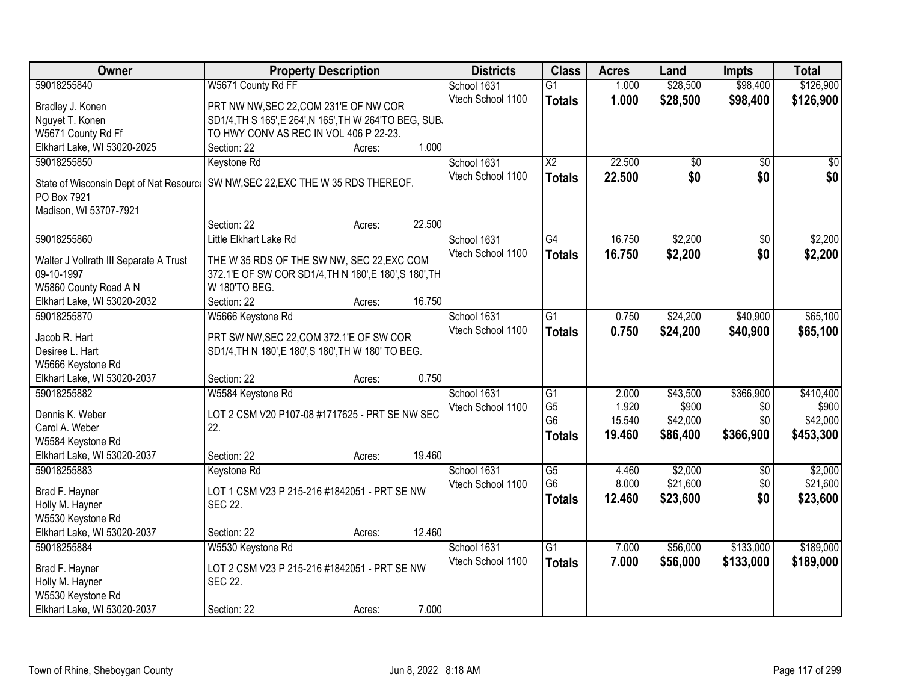| Owner                                   | <b>Property Description</b>                                                                     | <b>Districts</b>  | <b>Class</b>    | <b>Acres</b> | Land            | <b>Impts</b>    | <b>Total</b> |
|-----------------------------------------|-------------------------------------------------------------------------------------------------|-------------------|-----------------|--------------|-----------------|-----------------|--------------|
| 59018255840                             | W5671 County Rd FF                                                                              | School 1631       | $\overline{G1}$ | 1.000        | \$28,500        | \$98,400        | \$126,900    |
| Bradley J. Konen                        | PRT NW NW, SEC 22, COM 231'E OF NW COR                                                          | Vtech School 1100 | <b>Totals</b>   | 1.000        | \$28,500        | \$98,400        | \$126,900    |
| Nguyet T. Konen                         | SD1/4, TH S 165', E 264', N 165', TH W 264'TO BEG, SUB.                                         |                   |                 |              |                 |                 |              |
| W5671 County Rd Ff                      | TO HWY CONV AS REC IN VOL 406 P 22-23.                                                          |                   |                 |              |                 |                 |              |
| Elkhart Lake, WI 53020-2025             | 1.000<br>Section: 22<br>Acres:                                                                  |                   |                 |              |                 |                 |              |
| 59018255850                             | Keystone Rd                                                                                     | School 1631       | $\overline{X2}$ | 22.500       | $\overline{50}$ | $\overline{50}$ | $\sqrt{50}$  |
|                                         |                                                                                                 | Vtech School 1100 | <b>Totals</b>   | 22.500       | \$0             | \$0             | \$0          |
| State of Wisconsin Dept of Nat Resource | SW NW, SEC 22, EXC THE W 35 RDS THEREOF.                                                        |                   |                 |              |                 |                 |              |
| PO Box 7921                             |                                                                                                 |                   |                 |              |                 |                 |              |
| Madison, WI 53707-7921                  | 22.500                                                                                          |                   |                 |              |                 |                 |              |
|                                         | Section: 22<br>Acres:                                                                           |                   |                 |              |                 |                 |              |
| 59018255860                             | Little Elkhart Lake Rd                                                                          | School 1631       | G4              | 16.750       | \$2,200         | \$0             | \$2,200      |
| Walter J Vollrath III Separate A Trust  | THE W 35 RDS OF THE SW NW, SEC 22, EXC COM                                                      | Vtech School 1100 | <b>Totals</b>   | 16.750       | \$2,200         | \$0             | \$2,200      |
| 09-10-1997                              | 372.1'E OF SW COR SD1/4, TH N 180', E 180', S 180', TH                                          |                   |                 |              |                 |                 |              |
| W5860 County Road A N                   | W 180'TO BEG.                                                                                   |                   |                 |              |                 |                 |              |
| Elkhart Lake, WI 53020-2032             | 16.750<br>Section: 22<br>Acres:                                                                 |                   |                 |              |                 |                 |              |
| 59018255870                             | W5666 Keystone Rd                                                                               | School 1631       | $\overline{G1}$ | 0.750        | \$24,200        | \$40,900        | \$65,100     |
|                                         |                                                                                                 | Vtech School 1100 | <b>Totals</b>   | 0.750        | \$24,200        | \$40,900        | \$65,100     |
| Jacob R. Hart<br>Desiree L. Hart        | PRT SW NW, SEC 22, COM 372.1'E OF SW COR<br>SD1/4, TH N 180', E 180', S 180', TH W 180' TO BEG. |                   |                 |              |                 |                 |              |
| W5666 Keystone Rd                       |                                                                                                 |                   |                 |              |                 |                 |              |
| Elkhart Lake, WI 53020-2037             | 0.750<br>Section: 22<br>Acres:                                                                  |                   |                 |              |                 |                 |              |
| 59018255882                             | W5584 Keystone Rd                                                                               | School 1631       | $\overline{G1}$ | 2.000        | \$43,500        | \$366,900       | \$410,400    |
|                                         |                                                                                                 | Vtech School 1100 | G <sub>5</sub>  | 1.920        | \$900           | \$0             | \$900        |
| Dennis K. Weber                         | LOT 2 CSM V20 P107-08 #1717625 - PRT SE NW SEC                                                  |                   | G <sub>6</sub>  | 15.540       | \$42,000        | \$0             | \$42,000     |
| Carol A. Weber                          | 22.                                                                                             |                   | <b>Totals</b>   | 19.460       | \$86,400        | \$366,900       | \$453,300    |
| W5584 Keystone Rd                       |                                                                                                 |                   |                 |              |                 |                 |              |
| Elkhart Lake, WI 53020-2037             | 19.460<br>Section: 22<br>Acres:                                                                 |                   |                 |              |                 |                 |              |
| 59018255883                             | Keystone Rd                                                                                     | School 1631       | $\overline{G5}$ | 4.460        | \$2,000         | \$0             | \$2,000      |
| Brad F. Hayner                          | LOT 1 CSM V23 P 215-216 #1842051 - PRT SE NW                                                    | Vtech School 1100 | G <sub>6</sub>  | 8.000        | \$21,600        | \$0             | \$21,600     |
| Holly M. Hayner                         | <b>SEC 22.</b>                                                                                  |                   | <b>Totals</b>   | 12.460       | \$23,600        | \$0             | \$23,600     |
| W5530 Keystone Rd                       |                                                                                                 |                   |                 |              |                 |                 |              |
| Elkhart Lake, WI 53020-2037             | 12.460<br>Section: 22<br>Acres:                                                                 |                   |                 |              |                 |                 |              |
| 59018255884                             | W5530 Keystone Rd                                                                               | School 1631       | $\overline{G1}$ | 7.000        | \$56,000        | \$133,000       | \$189,000    |
|                                         |                                                                                                 | Vtech School 1100 | <b>Totals</b>   | 7.000        | \$56,000        | \$133,000       | \$189,000    |
| Brad F. Hayner                          | LOT 2 CSM V23 P 215-216 #1842051 - PRT SE NW                                                    |                   |                 |              |                 |                 |              |
| Holly M. Hayner                         | <b>SEC 22.</b>                                                                                  |                   |                 |              |                 |                 |              |
| W5530 Keystone Rd                       |                                                                                                 |                   |                 |              |                 |                 |              |
| Elkhart Lake, WI 53020-2037             | 7.000<br>Section: 22<br>Acres:                                                                  |                   |                 |              |                 |                 |              |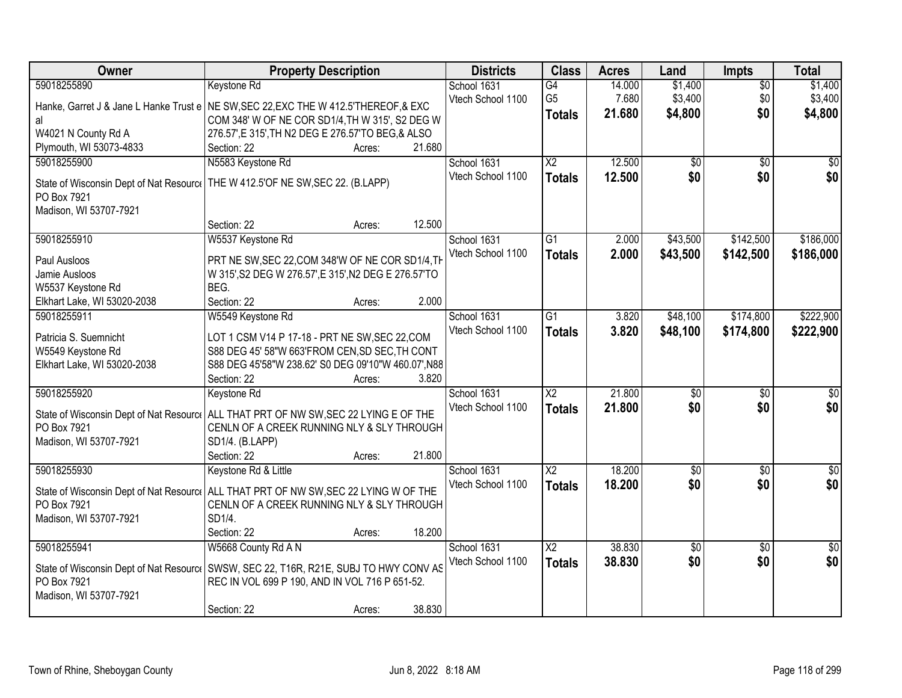| Owner                                   | <b>Property Description</b>                                                                                                         | <b>Districts</b>  | <b>Class</b>           | <b>Acres</b> | Land            | <b>Impts</b>    | <b>Total</b>    |
|-----------------------------------------|-------------------------------------------------------------------------------------------------------------------------------------|-------------------|------------------------|--------------|-----------------|-----------------|-----------------|
| 59018255890                             | <b>Keystone Rd</b>                                                                                                                  | School 1631       | G4                     | 14.000       | \$1,400         | $\overline{60}$ | \$1,400         |
|                                         | Hanke, Garret J & Jane L Hanke Trust e NE SW, SEC 22, EXC THE W 412.5 THEREOF, & EXC                                                | Vtech School 1100 | G <sub>5</sub>         | 7.680        | \$3,400         | \$0             | \$3,400         |
| al                                      | COM 348' W OF NE COR SD1/4, TH W 315', S2 DEG W                                                                                     |                   | <b>Totals</b>          | 21.680       | \$4,800         | \$0             | \$4,800         |
| W4021 N County Rd A                     | 276.57', E 315', TH N2 DEG E 276.57'TO BEG, & ALSO                                                                                  |                   |                        |              |                 |                 |                 |
| Plymouth, WI 53073-4833                 | 21.680<br>Section: 22<br>Acres:                                                                                                     |                   |                        |              |                 |                 |                 |
| 59018255900                             | N5583 Keystone Rd                                                                                                                   | School 1631       | $\overline{\text{X2}}$ | 12.500       | $\overline{50}$ | $\overline{50}$ | \$0             |
| State of Wisconsin Dept of Nat Resource | THE W 412.5'OF NE SW, SEC 22. (B.LAPP)                                                                                              | Vtech School 1100 | <b>Totals</b>          | 12.500       | \$0             | \$0             | \$0             |
| PO Box 7921                             |                                                                                                                                     |                   |                        |              |                 |                 |                 |
| Madison, WI 53707-7921                  |                                                                                                                                     |                   |                        |              |                 |                 |                 |
|                                         | 12.500<br>Section: 22<br>Acres:                                                                                                     |                   |                        |              |                 |                 |                 |
| 59018255910                             | W5537 Keystone Rd                                                                                                                   | School 1631       | $\overline{G1}$        | 2.000        | \$43,500        | \$142,500       | \$186,000       |
| Paul Ausloos                            | PRT NE SW, SEC 22, COM 348'W OF NE COR SD1/4, TH                                                                                    | Vtech School 1100 | <b>Totals</b>          | 2.000        | \$43,500        | \$142,500       | \$186,000       |
| Jamie Ausloos                           | W 315', S2 DEG W 276.57', E 315', N2 DEG E 276.57'TO                                                                                |                   |                        |              |                 |                 |                 |
| W5537 Keystone Rd                       | BEG.                                                                                                                                |                   |                        |              |                 |                 |                 |
| Elkhart Lake, WI 53020-2038             | Section: 22<br>2.000<br>Acres:                                                                                                      |                   |                        |              |                 |                 |                 |
| 59018255911                             | W5549 Keystone Rd                                                                                                                   | School 1631       | $\overline{G1}$        | 3.820        | \$48,100        | \$174,800       | \$222,900       |
| Patricia S. Suemnicht                   | LOT 1 CSM V14 P 17-18 - PRT NE SW, SEC 22, COM                                                                                      | Vtech School 1100 | <b>Totals</b>          | 3.820        | \$48,100        | \$174,800       | \$222,900       |
| W5549 Keystone Rd                       | S88 DEG 45' 58"W 663'FROM CEN, SD SEC, TH CONT                                                                                      |                   |                        |              |                 |                 |                 |
| Elkhart Lake, WI 53020-2038             | S88 DEG 45'58"W 238.62' S0 DEG 09'10"W 460.07', N88                                                                                 |                   |                        |              |                 |                 |                 |
|                                         | 3.820<br>Section: 22<br>Acres:                                                                                                      |                   |                        |              |                 |                 |                 |
| 59018255920                             | Keystone Rd                                                                                                                         | School 1631       | $\overline{\text{X2}}$ | 21.800       | \$0             | \$0             | \$0             |
|                                         |                                                                                                                                     | Vtech School 1100 | <b>Totals</b>          | 21.800       | \$0             | \$0             | \$0             |
| PO Box 7921                             | State of Wisconsin Dept of Nat Resourcol ALL THAT PRT OF NW SW, SEC 22 LYING E OF THE<br>CENLN OF A CREEK RUNNING NLY & SLY THROUGH |                   |                        |              |                 |                 |                 |
| Madison, WI 53707-7921                  | SD1/4. (B.LAPP)                                                                                                                     |                   |                        |              |                 |                 |                 |
|                                         | 21.800<br>Section: 22<br>Acres:                                                                                                     |                   |                        |              |                 |                 |                 |
| 59018255930                             | Keystone Rd & Little                                                                                                                | School 1631       | $\overline{\text{X2}}$ | 18.200       | $\overline{50}$ | $\sqrt{$0}$     | $\sqrt{60}$     |
|                                         |                                                                                                                                     | Vtech School 1100 | <b>Totals</b>          | 18.200       | \$0             | \$0             | \$0             |
|                                         | State of Wisconsin Dept of Nat Resourc   ALL THAT PRT OF NW SW, SEC 22 LYING W OF THE                                               |                   |                        |              |                 |                 |                 |
| PO Box 7921<br>Madison, WI 53707-7921   | CENLN OF A CREEK RUNNING NLY & SLY THROUGH<br>SD1/4.                                                                                |                   |                        |              |                 |                 |                 |
|                                         | 18.200<br>Section: 22<br>Acres:                                                                                                     |                   |                        |              |                 |                 |                 |
| 59018255941                             | W5668 County Rd A N                                                                                                                 | School 1631       | $\overline{\text{X2}}$ | 38,830       | $\overline{50}$ | $\overline{50}$ | $\overline{30}$ |
|                                         |                                                                                                                                     | Vtech School 1100 | <b>Totals</b>          | 38.830       | \$0             | \$0             | \$0             |
| State of Wisconsin Dept of Nat Resource | SWSW, SEC 22, T16R, R21E, SUBJ TO HWY CONV AS                                                                                       |                   |                        |              |                 |                 |                 |
| PO Box 7921                             | REC IN VOL 699 P 190, AND IN VOL 716 P 651-52.                                                                                      |                   |                        |              |                 |                 |                 |
| Madison, WI 53707-7921                  |                                                                                                                                     |                   |                        |              |                 |                 |                 |
|                                         | 38.830<br>Section: 22<br>Acres:                                                                                                     |                   |                        |              |                 |                 |                 |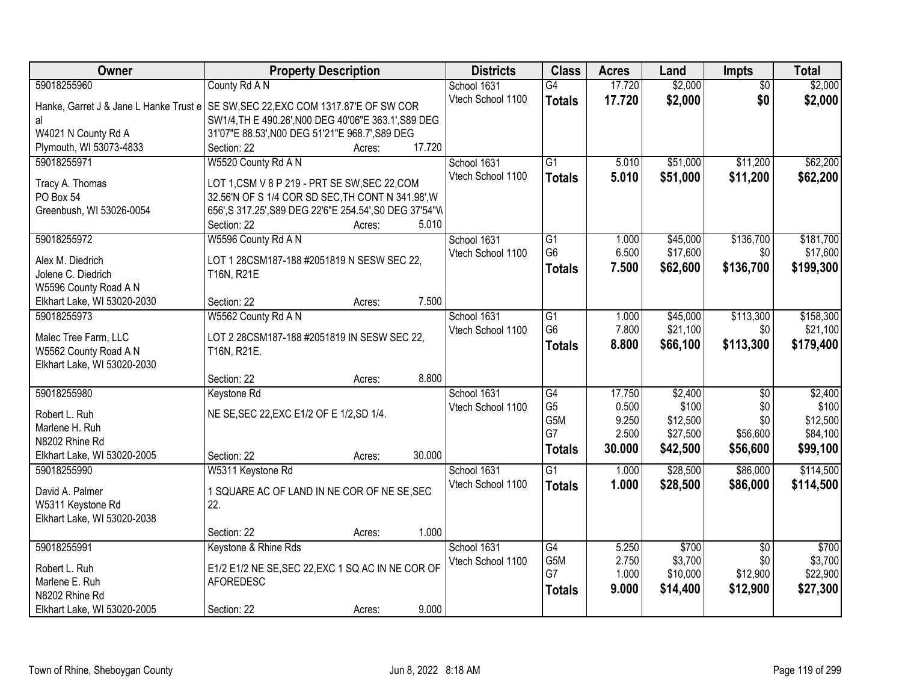| Owner                        | <b>Property Description</b>                                                                        |        | <b>Districts</b>  | <b>Class</b>    | <b>Acres</b>   | Land             | <b>Impts</b>           | <b>Total</b>     |
|------------------------------|----------------------------------------------------------------------------------------------------|--------|-------------------|-----------------|----------------|------------------|------------------------|------------------|
| 59018255960                  | County Rd A N                                                                                      |        | School 1631       | $\overline{G4}$ | 17.720         | \$2,000          | $\overline{50}$        | \$2,000          |
|                              | Hanke, Garret J & Jane L Hanke Trust e SE SW, SEC 22, EXC COM 1317.87'E OF SW COR                  |        | Vtech School 1100 | <b>Totals</b>   | 17.720         | \$2,000          | \$0                    | \$2,000          |
| al                           | SW1/4, TH E 490.26', N00 DEG 40'06"E 363.1', S89 DEG                                               |        |                   |                 |                |                  |                        |                  |
| W4021 N County Rd A          | 31'07"E 88.53', N00 DEG 51'21"E 968.7', S89 DEG                                                    |        |                   |                 |                |                  |                        |                  |
| Plymouth, WI 53073-4833      | Section: 22<br>Acres:                                                                              | 17.720 |                   |                 |                |                  |                        |                  |
| 59018255971                  | W5520 County Rd A N                                                                                |        | School 1631       | $\overline{G1}$ | 5.010          | \$51,000         | \$11,200               | \$62,200         |
|                              |                                                                                                    |        | Vtech School 1100 | <b>Totals</b>   | 5.010          | \$51,000         | \$11,200               | \$62,200         |
| Tracy A. Thomas<br>PO Box 54 | LOT 1, CSM V 8 P 219 - PRT SE SW, SEC 22, COM<br>32.56'N OF S 1/4 COR SD SEC, TH CONT N 341.98', W |        |                   |                 |                |                  |                        |                  |
| Greenbush, WI 53026-0054     | 656', S 317.25', S89 DEG 22'6"E 254.54', S0 DEG 37'54"W                                            |        |                   |                 |                |                  |                        |                  |
|                              | Section: 22<br>Acres:                                                                              | 5.010  |                   |                 |                |                  |                        |                  |
| 59018255972                  | W5596 County Rd A N                                                                                |        | School 1631       | $\overline{G1}$ | 1.000          | \$45,000         | \$136,700              | \$181,700        |
|                              |                                                                                                    |        | Vtech School 1100 | G <sub>6</sub>  | 6.500          | \$17,600         | \$0                    | \$17,600         |
| Alex M. Diedrich             | LOT 1 28CSM187-188 #2051819 N SESW SEC 22,                                                         |        |                   | <b>Totals</b>   | 7.500          | \$62,600         | \$136,700              | \$199,300        |
| Jolene C. Diedrich           | T16N, R21E                                                                                         |        |                   |                 |                |                  |                        |                  |
| W5596 County Road A N        |                                                                                                    |        |                   |                 |                |                  |                        |                  |
| Elkhart Lake, WI 53020-2030  | Section: 22<br>Acres:                                                                              | 7.500  |                   |                 |                |                  |                        |                  |
| 59018255973                  | W5562 County Rd A N                                                                                |        | School 1631       | $\overline{G1}$ | 1.000          | \$45,000         | \$113,300              | \$158,300        |
| Malec Tree Farm, LLC         | LOT 2 28CSM187-188 #2051819 IN SESW SEC 22,                                                        |        | Vtech School 1100 | G <sub>6</sub>  | 7.800          | \$21,100         | \$0                    | \$21,100         |
| W5562 County Road A N        | T16N, R21E.                                                                                        |        |                   | Totals          | 8.800          | \$66,100         | \$113,300              | \$179,400        |
| Elkhart Lake, WI 53020-2030  |                                                                                                    |        |                   |                 |                |                  |                        |                  |
|                              | Section: 22<br>Acres:                                                                              | 8.800  |                   |                 |                |                  |                        |                  |
| 59018255980                  | Keystone Rd                                                                                        |        | School 1631       | $\overline{G4}$ | 17.750         | \$2,400          | $\overline{50}$        | \$2,400          |
| Robert L. Ruh                | NE SE, SEC 22, EXC E1/2 OF E 1/2, SD 1/4.                                                          |        | Vtech School 1100 | G <sub>5</sub>  | 0.500          | \$100            | \$0                    | \$100            |
| Marlene H. Ruh               |                                                                                                    |        |                   | G5M             | 9.250          | \$12,500         | \$0                    | \$12,500         |
| N8202 Rhine Rd               |                                                                                                    |        |                   | G7              | 2.500          | \$27,500         | \$56,600               | \$84,100         |
| Elkhart Lake, WI 53020-2005  | Section: 22<br>Acres:                                                                              | 30.000 |                   | <b>Totals</b>   | 30.000         | \$42,500         | \$56,600               | \$99,100         |
| 59018255990                  | W5311 Keystone Rd                                                                                  |        | School 1631       | $\overline{G1}$ | 1.000          | \$28,500         | \$86,000               | \$114,500        |
|                              |                                                                                                    |        | Vtech School 1100 | <b>Totals</b>   | 1.000          | \$28,500         | \$86,000               | \$114,500        |
| David A. Palmer              | 1 SQUARE AC OF LAND IN NE COR OF NE SE, SEC                                                        |        |                   |                 |                |                  |                        |                  |
| W5311 Keystone Rd            | 22.                                                                                                |        |                   |                 |                |                  |                        |                  |
| Elkhart Lake, WI 53020-2038  |                                                                                                    | 1.000  |                   |                 |                |                  |                        |                  |
|                              | Section: 22<br>Acres:                                                                              |        |                   |                 |                |                  |                        |                  |
| 59018255991                  | Keystone & Rhine Rds                                                                               |        | School 1631       | G4<br>G5M       | 5.250<br>2.750 | \$700<br>\$3,700 | $\overline{50}$<br>\$0 | \$700<br>\$3,700 |
| Robert L. Ruh                | E1/2 E1/2 NE SE, SEC 22, EXC 1 SQ AC IN NE COR OF                                                  |        | Vtech School 1100 | G7              | 1.000          | \$10,000         | \$12,900               | \$22,900         |
| Marlene E. Ruh               | <b>AFOREDESC</b>                                                                                   |        |                   |                 | 9.000          | \$14,400         | \$12,900               | \$27,300         |
| N8202 Rhine Rd               |                                                                                                    |        |                   | <b>Totals</b>   |                |                  |                        |                  |
| Elkhart Lake, WI 53020-2005  | Section: 22<br>Acres:                                                                              | 9.000  |                   |                 |                |                  |                        |                  |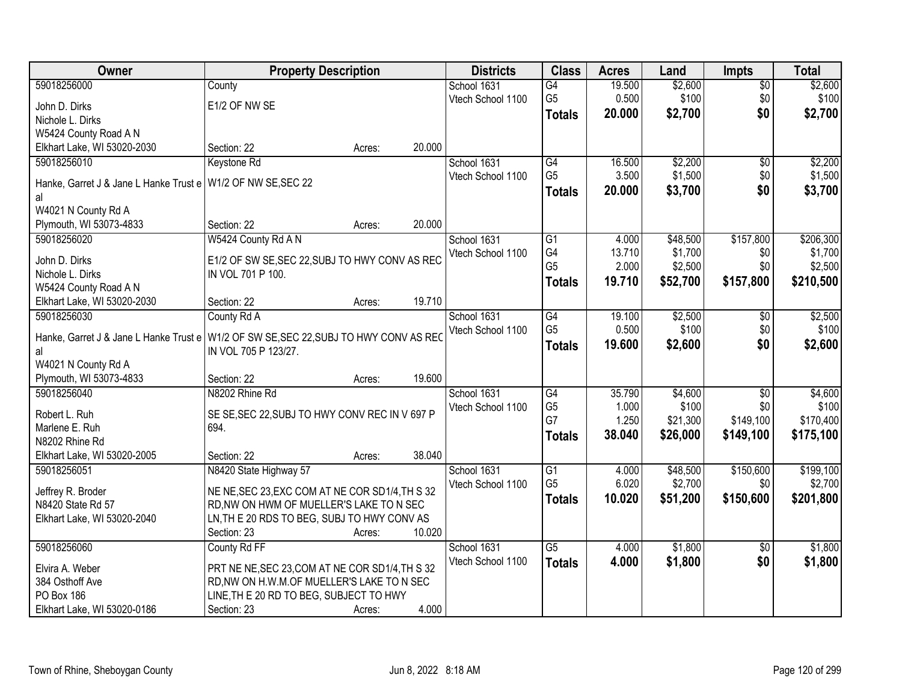| Owner                                  | <b>Property Description</b>                     | <b>Districts</b>  | <b>Class</b>         | <b>Acres</b> | Land                | <b>Impts</b>    | <b>Total</b> |
|----------------------------------------|-------------------------------------------------|-------------------|----------------------|--------------|---------------------|-----------------|--------------|
| 59018256000                            | County                                          | School 1631       | G4                   | 19.500       | \$2,600             | $\overline{50}$ | \$2,600      |
| John D. Dirks                          | E1/2 OF NW SE                                   | Vtech School 1100 | G <sub>5</sub>       | 0.500        | \$100               | \$0             | \$100        |
| Nichole L. Dirks                       |                                                 |                   | <b>Totals</b>        | 20.000       | \$2,700             | \$0             | \$2,700      |
| W5424 County Road A N                  |                                                 |                   |                      |              |                     |                 |              |
| Elkhart Lake, WI 53020-2030            | 20.000<br>Section: 22<br>Acres:                 |                   |                      |              |                     |                 |              |
| 59018256010                            | Keystone Rd                                     | School 1631       | G4                   | 16.500       | \$2,200             | \$0             | \$2,200      |
|                                        |                                                 | Vtech School 1100 | G <sub>5</sub>       | 3.500        | \$1,500             | \$0             | \$1,500      |
| Hanke, Garret J & Jane L Hanke Trust e | W1/2 OF NW SE, SEC 22                           |                   | <b>Totals</b>        | 20.000       | \$3,700             | \$0             | \$3,700      |
| al                                     |                                                 |                   |                      |              |                     |                 |              |
| W4021 N County Rd A                    | 20.000<br>Section: 22                           |                   |                      |              |                     |                 |              |
| Plymouth, WI 53073-4833<br>59018256020 | Acres:<br>W5424 County Rd A N                   | School 1631       | $\overline{G1}$      | 4.000        | \$48,500            | \$157,800       | \$206,300    |
|                                        |                                                 | Vtech School 1100 | G4                   | 13.710       | \$1,700             | \$0             | \$1,700      |
| John D. Dirks                          | E1/2 OF SW SE, SEC 22, SUBJ TO HWY CONV AS REC  |                   | G <sub>5</sub>       | 2.000        | \$2,500             | \$0             | \$2,500      |
| Nichole L. Dirks                       | IN VOL 701 P 100.                               |                   | <b>Totals</b>        | 19.710       | \$52,700            | \$157,800       | \$210,500    |
| W5424 County Road A N                  |                                                 |                   |                      |              |                     |                 |              |
| Elkhart Lake, WI 53020-2030            | 19.710<br>Section: 22<br>Acres:                 |                   |                      |              |                     |                 |              |
| 59018256030                            | County Rd A                                     | School 1631       | G4                   | 19.100       | \$2,500             | \$0             | \$2,500      |
| Hanke, Garret J & Jane L Hanke Trust e | W1/2 OF SW SE, SEC 22, SUBJ TO HWY CONV AS REC  | Vtech School 1100 | G <sub>5</sub>       | 0.500        | \$100               | \$0             | \$100        |
| al                                     | IN VOL 705 P 123/27.                            |                   | <b>Totals</b>        | 19.600       | \$2,600             | \$0             | \$2,600      |
| W4021 N County Rd A                    |                                                 |                   |                      |              |                     |                 |              |
| Plymouth, WI 53073-4833                | 19.600<br>Section: 22<br>Acres:                 |                   |                      |              |                     |                 |              |
| 59018256040                            | N8202 Rhine Rd                                  | School 1631       | $\overline{G4}$      | 35.790       | \$4,600             | $\overline{50}$ | \$4,600      |
|                                        |                                                 | Vtech School 1100 | G <sub>5</sub>       | 1.000        | \$100               | \$0             | \$100        |
| Robert L. Ruh                          | SE SE, SEC 22, SUBJ TO HWY CONV REC IN V 697 P  |                   | G7                   | 1.250        | \$21,300            | \$149,100       | \$170,400    |
| Marlene E. Ruh                         | 694.                                            |                   | <b>Totals</b>        | 38.040       | \$26,000            | \$149,100       | \$175,100    |
| N8202 Rhine Rd                         |                                                 |                   |                      |              |                     |                 |              |
| Elkhart Lake, WI 53020-2005            | 38.040<br>Section: 22<br>Acres:                 |                   |                      |              |                     |                 |              |
| 59018256051                            | N8420 State Highway 57                          | School 1631       | G1<br>G <sub>5</sub> | 4.000        | \$48,500<br>\$2,700 | \$150,600       | \$199,100    |
| Jeffrey R. Broder                      | NE NE, SEC 23, EXC COM AT NE COR SD1/4, TH S 32 | Vtech School 1100 |                      | 6.020        |                     | \$0             | \$2,700      |
| N8420 State Rd 57                      | RD, NW ON HWM OF MUELLER'S LAKE TO N SEC        |                   | <b>Totals</b>        | 10.020       | \$51,200            | \$150,600       | \$201,800    |
| Elkhart Lake, WI 53020-2040            | LN, TH E 20 RDS TO BEG, SUBJ TO HWY CONV AS     |                   |                      |              |                     |                 |              |
|                                        | 10.020<br>Section: 23<br>Acres:                 |                   |                      |              |                     |                 |              |
| 59018256060                            | County Rd FF                                    | School 1631       | $\overline{G5}$      | 4.000        | \$1,800             | $\overline{50}$ | \$1,800      |
| Elvira A. Weber                        | PRT NE NE, SEC 23, COM AT NE COR SD1/4, TH S 32 | Vtech School 1100 | <b>Totals</b>        | 4.000        | \$1,800             | \$0             | \$1,800      |
| 384 Osthoff Ave                        | RD, NW ON H.W.M.OF MUELLER'S LAKE TO N SEC      |                   |                      |              |                     |                 |              |
| PO Box 186                             | LINE, TH E 20 RD TO BEG, SUBJECT TO HWY         |                   |                      |              |                     |                 |              |
| Elkhart Lake, WI 53020-0186            | Section: 23<br>Acres:                           | 4.000             |                      |              |                     |                 |              |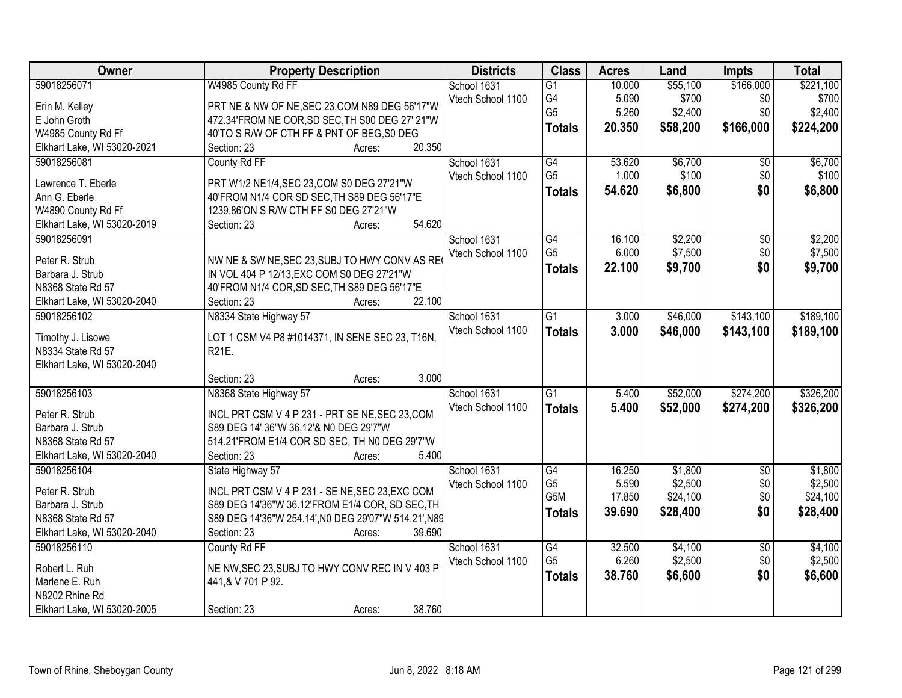| Owner                       | <b>Property Description</b>                          | <b>Districts</b>  | <b>Class</b>    | <b>Acres</b> | Land     | <b>Impts</b>    | <b>Total</b> |
|-----------------------------|------------------------------------------------------|-------------------|-----------------|--------------|----------|-----------------|--------------|
| 59018256071                 | W4985 County Rd FF                                   | School 1631       | $\overline{G1}$ | 10.000       | \$55,100 | \$166,000       | \$221,100    |
| Erin M. Kelley              | PRT NE & NW OF NE, SEC 23, COM N89 DEG 56'17"W       | Vtech School 1100 | G4              | 5.090        | \$700    | \$0             | \$700        |
| E John Groth                | 472.34'FROM NE COR, SD SEC, TH S00 DEG 27' 21"W      |                   | G <sub>5</sub>  | 5.260        | \$2,400  | \$0             | \$2,400      |
| W4985 County Rd Ff          | 40'TO S R/W OF CTH FF & PNT OF BEG, S0 DEG           |                   | <b>Totals</b>   | 20.350       | \$58,200 | \$166,000       | \$224,200    |
| Elkhart Lake, WI 53020-2021 | 20.350<br>Section: 23<br>Acres:                      |                   |                 |              |          |                 |              |
| 59018256081                 | County Rd FF                                         | School 1631       | G4              | 53.620       | \$6,700  | $\overline{50}$ | \$6,700      |
|                             |                                                      | Vtech School 1100 | G <sub>5</sub>  | 1.000        | \$100    | \$0             | \$100        |
| Lawrence T. Eberle          | PRT W1/2 NE1/4, SEC 23, COM S0 DEG 27'21"W           |                   | <b>Totals</b>   | 54.620       | \$6,800  | \$0             | \$6,800      |
| Ann G. Eberle               | 40'FROM N1/4 COR SD SEC, TH S89 DEG 56'17"E          |                   |                 |              |          |                 |              |
| W4890 County Rd Ff          | 1239.86'ON S R/W CTH FF S0 DEG 27'21"W               |                   |                 |              |          |                 |              |
| Elkhart Lake, WI 53020-2019 | 54.620<br>Section: 23<br>Acres:                      |                   |                 |              |          |                 |              |
| 59018256091                 |                                                      | School 1631       | G4              | 16.100       | \$2,200  | \$0             | \$2,200      |
| Peter R. Strub              | NW NE & SW NE, SEC 23, SUBJ TO HWY CONV AS RE        | Vtech School 1100 | G <sub>5</sub>  | 6.000        | \$7,500  | \$0             | \$7,500      |
| Barbara J. Strub            | IN VOL 404 P 12/13, EXC COM S0 DEG 27'21"W           |                   | <b>Totals</b>   | 22.100       | \$9,700  | \$0             | \$9,700      |
| N8368 State Rd 57           | 40'FROM N1/4 COR, SD SEC, TH S89 DEG 56'17"E         |                   |                 |              |          |                 |              |
| Elkhart Lake, WI 53020-2040 | 22.100<br>Section: 23<br>Acres:                      |                   |                 |              |          |                 |              |
| 59018256102                 | N8334 State Highway 57                               | School 1631       | $\overline{G1}$ | 3.000        | \$46,000 | \$143,100       | \$189,100    |
|                             |                                                      | Vtech School 1100 | <b>Totals</b>   | 3.000        | \$46,000 | \$143,100       | \$189,100    |
| Timothy J. Lisowe           | LOT 1 CSM V4 P8 #1014371, IN SENE SEC 23, T16N,      |                   |                 |              |          |                 |              |
| N8334 State Rd 57           | R21E.                                                |                   |                 |              |          |                 |              |
| Elkhart Lake, WI 53020-2040 |                                                      |                   |                 |              |          |                 |              |
|                             | 3.000<br>Section: 23<br>Acres:                       |                   |                 |              |          |                 |              |
| 59018256103                 | N8368 State Highway 57                               | School 1631       | $\overline{G1}$ | 5.400        | \$52,000 | \$274,200       | \$326,200    |
| Peter R. Strub              | INCL PRT CSM V 4 P 231 - PRT SE NE, SEC 23, COM      | Vtech School 1100 | <b>Totals</b>   | 5.400        | \$52,000 | \$274,200       | \$326,200    |
| Barbara J. Strub            | S89 DEG 14' 36"W 36.12'& N0 DEG 29'7"W               |                   |                 |              |          |                 |              |
| N8368 State Rd 57           | 514.21'FROM E1/4 COR SD SEC, TH N0 DEG 29'7"W        |                   |                 |              |          |                 |              |
| Elkhart Lake, WI 53020-2040 | 5.400<br>Section: 23<br>Acres:                       |                   |                 |              |          |                 |              |
| 59018256104                 | State Highway 57                                     | School 1631       | G4              | 16.250       | \$1,800  | $\overline{50}$ | \$1,800      |
|                             |                                                      | Vtech School 1100 | G <sub>5</sub>  | 5.590        | \$2,500  | \$0             | \$2,500      |
| Peter R. Strub              | INCL PRT CSM V 4 P 231 - SE NE, SEC 23, EXC COM      |                   | G5M             | 17.850       | \$24,100 | \$0             | \$24,100     |
| Barbara J. Strub            | S89 DEG 14'36"W 36.12'FROM E1/4 COR, SD SEC, TH      |                   | <b>Totals</b>   | 39.690       | \$28,400 | \$0             | \$28,400     |
| N8368 State Rd 57           | S89 DEG 14'36"W 254.14', NO DEG 29'07"W 514.21', N89 |                   |                 |              |          |                 |              |
| Elkhart Lake, WI 53020-2040 | 39.690<br>Section: 23<br>Acres:                      |                   |                 |              |          |                 |              |
| 59018256110                 | County Rd FF                                         | School 1631       | G4              | 32.500       | \$4,100  | $\overline{50}$ | \$4,100      |
| Robert L. Ruh               | NE NW, SEC 23, SUBJ TO HWY CONV REC IN V 403 P       | Vtech School 1100 | G <sub>5</sub>  | 6.260        | \$2,500  | \$0             | \$2,500      |
| Marlene E. Ruh              | 441,& V 701 P 92.                                    |                   | <b>Totals</b>   | 38.760       | \$6,600  | \$0             | \$6,600      |
| N8202 Rhine Rd              |                                                      |                   |                 |              |          |                 |              |
| Elkhart Lake, WI 53020-2005 | 38.760<br>Section: 23<br>Acres:                      |                   |                 |              |          |                 |              |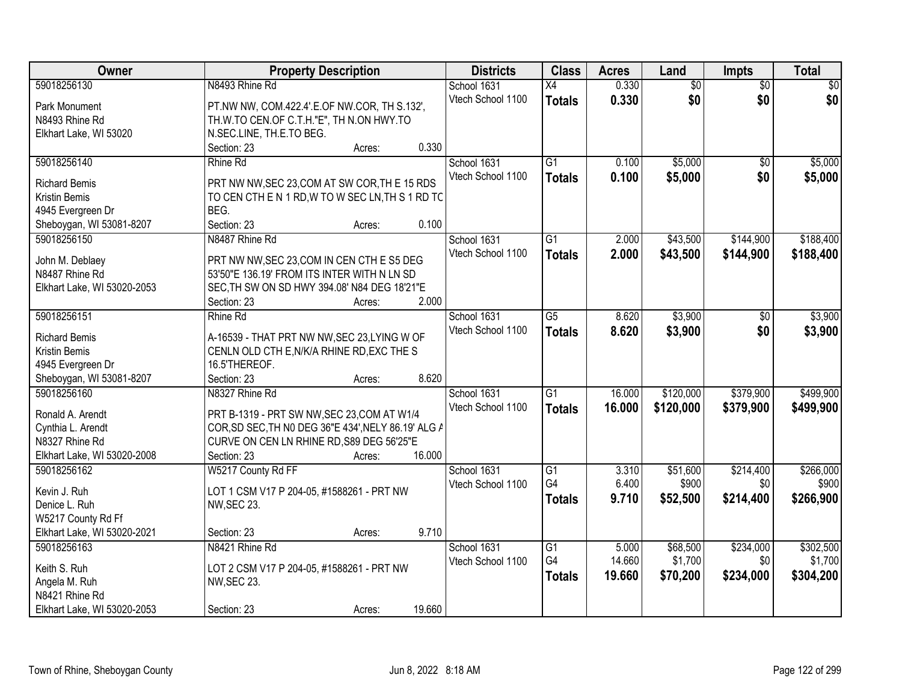| Owner                                   | <b>Property Description</b>                                 | <b>Districts</b>  | <b>Class</b>    | <b>Acres</b> | Land            | Impts           | <b>Total</b>    |
|-----------------------------------------|-------------------------------------------------------------|-------------------|-----------------|--------------|-----------------|-----------------|-----------------|
| 59018256130                             | N8493 Rhine Rd                                              | School 1631       | $\overline{X4}$ | 0.330        | $\overline{60}$ | $\overline{30}$ | $\overline{50}$ |
| Park Monument                           | PT.NW NW, COM.422.4'.E.OF NW.COR, TH S.132',                | Vtech School 1100 | <b>Totals</b>   | 0.330        | \$0             | \$0             | \$0             |
| N8493 Rhine Rd                          | TH.W.TO CEN.OF C.T.H."E", TH N.ON HWY.TO                    |                   |                 |              |                 |                 |                 |
| Elkhart Lake, WI 53020                  | N.SEC.LINE, TH.E.TO BEG.                                    |                   |                 |              |                 |                 |                 |
|                                         | 0.330<br>Section: 23<br>Acres:                              |                   |                 |              |                 |                 |                 |
| 59018256140                             | Rhine Rd                                                    | School 1631       | $\overline{G1}$ | 0.100        | \$5,000         | $\overline{50}$ | \$5,000         |
|                                         |                                                             | Vtech School 1100 | <b>Totals</b>   | 0.100        | \$5,000         | \$0             | \$5,000         |
| <b>Richard Bemis</b>                    | PRT NW NW, SEC 23, COM AT SW COR, THE 15 RDS                |                   |                 |              |                 |                 |                 |
| <b>Kristin Bemis</b>                    | TO CEN CTH E N 1 RD, W TO W SEC LN, TH S 1 RD TC            |                   |                 |              |                 |                 |                 |
| 4945 Evergreen Dr                       | BEG.                                                        |                   |                 |              |                 |                 |                 |
| Sheboygan, WI 53081-8207                | Section: 23<br>0.100<br>Acres:                              |                   |                 |              |                 |                 |                 |
| 59018256150                             | N8487 Rhine Rd                                              | School 1631       | G1              | 2.000        | \$43,500        | \$144,900       | \$188,400       |
| John M. Deblaey                         | PRT NW NW, SEC 23, COM IN CEN CTH E S5 DEG                  | Vtech School 1100 | <b>Totals</b>   | 2.000        | \$43,500        | \$144,900       | \$188,400       |
| N8487 Rhine Rd                          | 53'50"E 136.19' FROM ITS INTER WITH N LN SD                 |                   |                 |              |                 |                 |                 |
| Elkhart Lake, WI 53020-2053             | SEC, TH SW ON SD HWY 394.08' N84 DEG 18'21"E                |                   |                 |              |                 |                 |                 |
|                                         | 2.000<br>Section: 23<br>Acres:                              |                   |                 |              |                 |                 |                 |
| 59018256151                             | Rhine Rd                                                    | School 1631       | $\overline{G5}$ | 8.620        | \$3,900         | \$0             | \$3,900         |
|                                         |                                                             | Vtech School 1100 | <b>Totals</b>   | 8.620        | \$3,900         | \$0             | \$3,900         |
| <b>Richard Bemis</b>                    | A-16539 - THAT PRT NW NW, SEC 23, LYING W OF                |                   |                 |              |                 |                 |                 |
| Kristin Bemis                           | CENLN OLD CTH E, N/K/A RHINE RD, EXC THE S<br>16.5'THEREOF. |                   |                 |              |                 |                 |                 |
| 4945 Evergreen Dr                       | 8.620                                                       |                   |                 |              |                 |                 |                 |
| Sheboygan, WI 53081-8207<br>59018256160 | Section: 23<br>Acres:<br>N8327 Rhine Rd                     |                   | $\overline{G1}$ | 16.000       | \$120,000       | \$379,900       | \$499,900       |
|                                         |                                                             | School 1631       |                 |              |                 |                 |                 |
| Ronald A. Arendt                        | PRT B-1319 - PRT SW NW, SEC 23, COM AT W1/4                 | Vtech School 1100 | <b>Totals</b>   | 16.000       | \$120,000       | \$379,900       | \$499,900       |
| Cynthia L. Arendt                       | COR, SD SEC, TH NO DEG 36"E 434', NELY 86.19' ALG A         |                   |                 |              |                 |                 |                 |
| N8327 Rhine Rd                          | CURVE ON CEN LN RHINE RD, S89 DEG 56'25"E                   |                   |                 |              |                 |                 |                 |
| Elkhart Lake, WI 53020-2008             | 16.000<br>Section: 23<br>Acres:                             |                   |                 |              |                 |                 |                 |
| 59018256162                             | W5217 County Rd FF                                          | School 1631       | $\overline{G1}$ | 3.310        | \$51,600        | \$214,400       | \$266,000       |
| Kevin J. Ruh                            | LOT 1 CSM V17 P 204-05, #1588261 - PRT NW                   | Vtech School 1100 | G4              | 6.400        | \$900           | \$0             | \$900           |
| Denice L. Ruh                           | <b>NW, SEC 23.</b>                                          |                   | <b>Totals</b>   | 9.710        | \$52,500        | \$214,400       | \$266,900       |
| W5217 County Rd Ff                      |                                                             |                   |                 |              |                 |                 |                 |
| Elkhart Lake, WI 53020-2021             | 9.710<br>Section: 23<br>Acres:                              |                   |                 |              |                 |                 |                 |
| 59018256163                             | N8421 Rhine Rd                                              | School 1631       | $\overline{G1}$ | 5.000        | \$68,500        | \$234,000       | \$302,500       |
|                                         |                                                             | Vtech School 1100 | G4              | 14.660       | \$1,700         | \$0             | \$1,700         |
| Keith S. Ruh                            | LOT 2 CSM V17 P 204-05, #1588261 - PRT NW                   |                   | <b>Totals</b>   | 19,660       | \$70,200        | \$234,000       | \$304,200       |
| Angela M. Ruh                           | NW, SEC 23.                                                 |                   |                 |              |                 |                 |                 |
| N8421 Rhine Rd                          |                                                             |                   |                 |              |                 |                 |                 |
| Elkhart Lake, WI 53020-2053             | 19.660<br>Section: 23<br>Acres:                             |                   |                 |              |                 |                 |                 |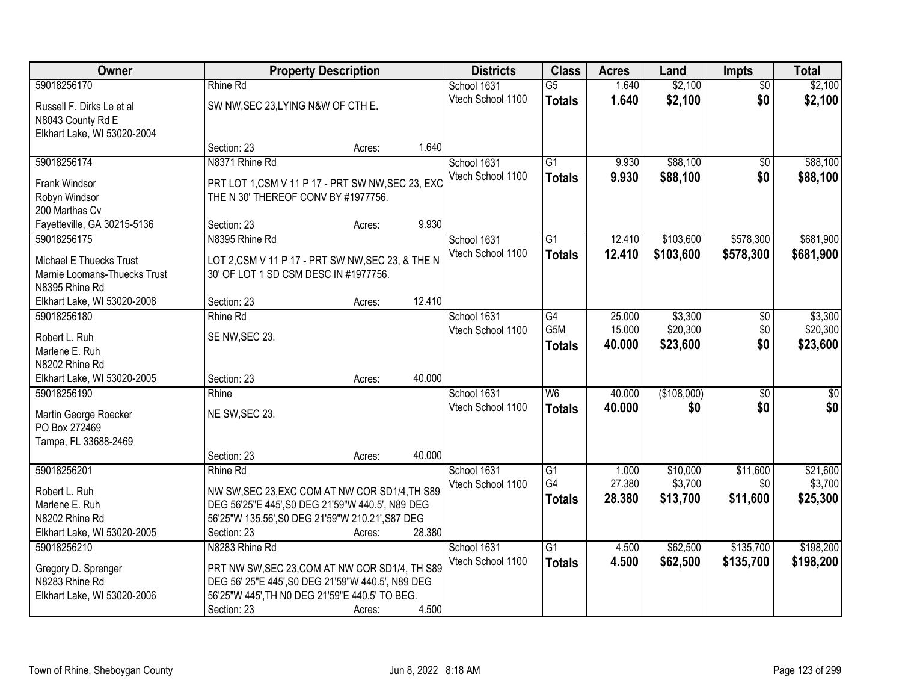| Owner                                  |                                                   | <b>Property Description</b> |        | <b>Districts</b>  | <b>Class</b>    | <b>Acres</b> | Land        | <b>Impts</b>    | <b>Total</b>    |
|----------------------------------------|---------------------------------------------------|-----------------------------|--------|-------------------|-----------------|--------------|-------------|-----------------|-----------------|
| 59018256170                            | Rhine Rd                                          |                             |        | School 1631       | $\overline{G5}$ | 1.640        | \$2,100     | $\overline{50}$ | \$2,100         |
| Russell F. Dirks Le et al              | SW NW, SEC 23, LYING N&W OF CTH E.                |                             |        | Vtech School 1100 | <b>Totals</b>   | 1.640        | \$2,100     | \$0             | \$2,100         |
| N8043 County Rd E                      |                                                   |                             |        |                   |                 |              |             |                 |                 |
| Elkhart Lake, WI 53020-2004            |                                                   |                             |        |                   |                 |              |             |                 |                 |
|                                        | Section: 23                                       | Acres:                      | 1.640  |                   |                 |              |             |                 |                 |
| 59018256174                            | N8371 Rhine Rd                                    |                             |        | School 1631       | $\overline{G1}$ | 9.930        | \$88,100    | $\overline{50}$ | \$88,100        |
| Frank Windsor                          | PRT LOT 1,CSM V 11 P 17 - PRT SW NW, SEC 23, EXC  |                             |        | Vtech School 1100 | <b>Totals</b>   | 9.930        | \$88,100    | \$0             | \$88,100        |
| Robyn Windsor                          | THE N 30' THEREOF CONV BY #1977756.               |                             |        |                   |                 |              |             |                 |                 |
| 200 Marthas Cv                         |                                                   |                             |        |                   |                 |              |             |                 |                 |
| Fayetteville, GA 30215-5136            | Section: 23                                       | Acres:                      | 9.930  |                   |                 |              |             |                 |                 |
| 59018256175                            | N8395 Rhine Rd                                    |                             |        | School 1631       | G1              | 12.410       | \$103,600   | \$578,300       | \$681,900       |
| Michael E Thuecks Trust                | LOT 2,CSM V 11 P 17 - PRT SW NW, SEC 23, & THE N  |                             |        | Vtech School 1100 | <b>Totals</b>   | 12.410       | \$103,600   | \$578,300       | \$681,900       |
| Marnie Loomans-Thuecks Trust           | 30' OF LOT 1 SD CSM DESC IN #1977756.             |                             |        |                   |                 |              |             |                 |                 |
| N8395 Rhine Rd                         |                                                   |                             |        |                   |                 |              |             |                 |                 |
| Elkhart Lake, WI 53020-2008            | Section: 23                                       | Acres:                      | 12.410 |                   |                 |              |             |                 |                 |
| 59018256180                            | Rhine Rd                                          |                             |        | School 1631       | G4              | 25.000       | \$3,300     | \$0             | \$3,300         |
| Robert L. Ruh                          | SE NW, SEC 23.                                    |                             |        | Vtech School 1100 | G5M             | 15.000       | \$20,300    | \$0             | \$20,300        |
| Marlene E. Ruh                         |                                                   |                             |        |                   | <b>Totals</b>   | 40.000       | \$23,600    | \$0             | \$23,600        |
| N8202 Rhine Rd                         |                                                   |                             |        |                   |                 |              |             |                 |                 |
| Elkhart Lake, WI 53020-2005            | Section: 23                                       | Acres:                      | 40.000 |                   |                 |              |             |                 |                 |
| 59018256190                            | Rhine                                             |                             |        | School 1631       | W6              | 40.000       | (\$108,000) | $\overline{30}$ | $\overline{50}$ |
|                                        | NE SW, SEC 23.                                    |                             |        | Vtech School 1100 | <b>Totals</b>   | 40.000       | \$0         | \$0             | \$0             |
| Martin George Roecker<br>PO Box 272469 |                                                   |                             |        |                   |                 |              |             |                 |                 |
| Tampa, FL 33688-2469                   |                                                   |                             |        |                   |                 |              |             |                 |                 |
|                                        | Section: 23                                       | Acres:                      | 40.000 |                   |                 |              |             |                 |                 |
| 59018256201                            | Rhine Rd                                          |                             |        | School 1631       | $\overline{G1}$ | 1.000        | \$10,000    | \$11,600        | \$21,600        |
| Robert L. Ruh                          | NW SW, SEC 23, EXC COM AT NW COR SD1/4, TH S89    |                             |        | Vtech School 1100 | G4              | 27.380       | \$3,700     | \$0             | \$3,700         |
| Marlene E. Ruh                         | DEG 56'25"E 445', S0 DEG 21'59"W 440.5', N89 DEG  |                             |        |                   | <b>Totals</b>   | 28.380       | \$13,700    | \$11,600        | \$25,300        |
| N8202 Rhine Rd                         | 56'25"W 135.56', S0 DEG 21'59"W 210.21', S87 DEG  |                             |        |                   |                 |              |             |                 |                 |
| Elkhart Lake, WI 53020-2005            | Section: 23                                       | Acres:                      | 28.380 |                   |                 |              |             |                 |                 |
| 59018256210                            | N8283 Rhine Rd                                    |                             |        | School 1631       | $\overline{G1}$ | 4.500        | \$62,500    | \$135,700       | \$198,200       |
| Gregory D. Sprenger                    | PRT NW SW, SEC 23, COM AT NW COR SD1/4, TH S89    |                             |        | Vtech School 1100 | <b>Totals</b>   | 4.500        | \$62,500    | \$135,700       | \$198,200       |
| N8283 Rhine Rd                         | DEG 56' 25"E 445', S0 DEG 21'59"W 440.5', N89 DEG |                             |        |                   |                 |              |             |                 |                 |
| Elkhart Lake, WI 53020-2006            | 56'25"W 445', TH NO DEG 21'59"E 440.5' TO BEG.    |                             |        |                   |                 |              |             |                 |                 |
|                                        | Section: 23                                       | Acres:                      | 4.500  |                   |                 |              |             |                 |                 |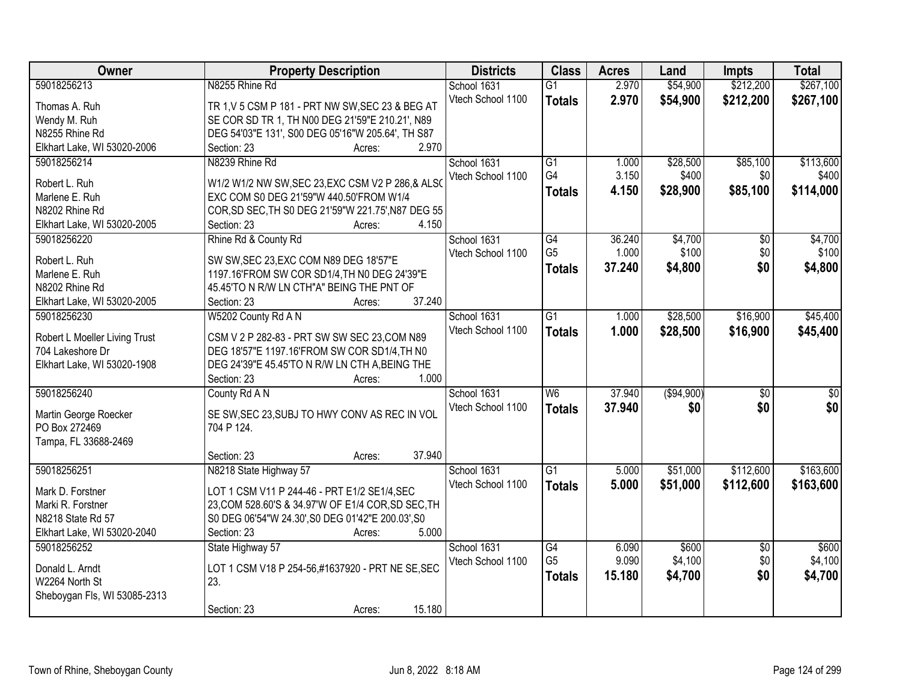| Owner                                  | <b>Property Description</b>                                                                             | <b>Districts</b>  | <b>Class</b>    | <b>Acres</b> | Land       | <b>Impts</b>           | <b>Total</b>    |
|----------------------------------------|---------------------------------------------------------------------------------------------------------|-------------------|-----------------|--------------|------------|------------------------|-----------------|
| 59018256213                            | N8255 Rhine Rd                                                                                          | School 1631       | $\overline{G1}$ | 2.970        | \$54,900   | \$212,200              | \$267,100       |
| Thomas A. Ruh                          | TR 1, V 5 CSM P 181 - PRT NW SW, SEC 23 & BEG AT                                                        | Vtech School 1100 | <b>Totals</b>   | 2.970        | \$54,900   | \$212,200              | \$267,100       |
| Wendy M. Ruh                           | SE COR SD TR 1, TH N00 DEG 21'59"E 210.21', N89                                                         |                   |                 |              |            |                        |                 |
| N8255 Rhine Rd                         | DEG 54'03"E 131', S00 DEG 05'16"W 205.64', TH S87                                                       |                   |                 |              |            |                        |                 |
| Elkhart Lake, WI 53020-2006            | 2.970<br>Section: 23<br>Acres:                                                                          |                   |                 |              |            |                        |                 |
| 59018256214                            | N8239 Rhine Rd                                                                                          | School 1631       | $\overline{G1}$ | 1.000        | \$28,500   | \$85,100               | \$113,600       |
|                                        |                                                                                                         | Vtech School 1100 | G4              | 3.150        | \$400      | \$0                    | \$400           |
| Robert L. Ruh                          | W1/2 W1/2 NW SW, SEC 23, EXC CSM V2 P 286, & ALSO                                                       |                   | <b>Totals</b>   | 4.150        | \$28,900   | \$85,100               | \$114,000       |
| Marlene E. Ruh                         | EXC COM S0 DEG 21'59"W 440.50'FROM W1/4                                                                 |                   |                 |              |            |                        |                 |
| N8202 Rhine Rd                         | COR, SD SEC, TH S0 DEG 21'59"W 221.75', N87 DEG 55                                                      |                   |                 |              |            |                        |                 |
| Elkhart Lake, WI 53020-2005            | 4.150<br>Section: 23<br>Acres:                                                                          |                   |                 |              |            |                        |                 |
| 59018256220                            | Rhine Rd & County Rd                                                                                    | School 1631       | G4              | 36.240       | \$4,700    | \$0                    | \$4,700         |
| Robert L. Ruh                          | SW SW, SEC 23, EXC COM N89 DEG 18'57"E                                                                  | Vtech School 1100 | G <sub>5</sub>  | 1.000        | \$100      | \$0                    | \$100           |
| Marlene E. Ruh                         | 1197.16'FROM SW COR SD1/4, TH N0 DEG 24'39"E                                                            |                   | <b>Totals</b>   | 37.240       | \$4,800    | \$0                    | \$4,800         |
| N8202 Rhine Rd                         | 45.45'TO N R/W LN CTH"A" BEING THE PNT OF                                                               |                   |                 |              |            |                        |                 |
| Elkhart Lake, WI 53020-2005            | 37.240<br>Section: 23<br>Acres:                                                                         |                   |                 |              |            |                        |                 |
| 59018256230                            | W5202 County Rd A N                                                                                     | School 1631       | $\overline{G1}$ | 1.000        | \$28,500   | \$16,900               | \$45,400        |
|                                        |                                                                                                         | Vtech School 1100 | <b>Totals</b>   | 1.000        | \$28,500   | \$16,900               | \$45,400        |
| Robert L Moeller Living Trust          | CSM V 2 P 282-83 - PRT SW SW SEC 23, COM N89                                                            |                   |                 |              |            |                        |                 |
| 704 Lakeshore Dr                       | DEG 18'57"E 1197.16'FROM SW COR SD1/4, TH N0                                                            |                   |                 |              |            |                        |                 |
| Elkhart Lake, WI 53020-1908            | DEG 24'39"E 45.45'TO N R/W LN CTH A, BEING THE                                                          |                   |                 |              |            |                        |                 |
|                                        | Section: 23<br>1.000<br>Acres:                                                                          |                   |                 |              |            |                        |                 |
| 59018256240                            | County Rd A N                                                                                           | School 1631       | $\overline{W6}$ | 37.940       | (\$94,900) | $\overline{50}$        | $\overline{50}$ |
| Martin George Roecker                  | SE SW, SEC 23, SUBJ TO HWY CONV AS REC IN VOL                                                           | Vtech School 1100 | <b>Totals</b>   | 37.940       | \$0        | \$0                    | \$0             |
| PO Box 272469                          | 704 P 124.                                                                                              |                   |                 |              |            |                        |                 |
| Tampa, FL 33688-2469                   |                                                                                                         |                   |                 |              |            |                        |                 |
|                                        | 37.940<br>Section: 23<br>Acres:                                                                         |                   |                 |              |            |                        |                 |
| 59018256251                            | N8218 State Highway 57                                                                                  | School 1631       | $\overline{G1}$ | 5.000        | \$51,000   | \$112,600              | \$163,600       |
| Mark D. Forstner                       | LOT 1 CSM V11 P 244-46 - PRT E1/2 SE1/4, SEC                                                            | Vtech School 1100 | <b>Totals</b>   | 5.000        | \$51,000   | \$112,600              | \$163,600       |
|                                        |                                                                                                         |                   |                 |              |            |                        |                 |
| Marki R. Forstner<br>N8218 State Rd 57 | 23, COM 528.60'S & 34.97'W OF E1/4 COR, SD SEC, TH<br>S0 DEG 06'54"W 24.30', S0 DEG 01'42"E 200.03', S0 |                   |                 |              |            |                        |                 |
| Elkhart Lake, WI 53020-2040            | 5.000<br>Section: 23<br>Acres:                                                                          |                   |                 |              |            |                        |                 |
| 59018256252                            |                                                                                                         | School 1631       | $\overline{G4}$ | 6.090        | \$600      |                        | \$600           |
|                                        | State Highway 57                                                                                        |                   | G <sub>5</sub>  | 9.090        | \$4,100    | $\overline{50}$<br>\$0 | \$4,100         |
| Donald L. Arndt                        | LOT 1 CSM V18 P 254-56,#1637920 - PRT NE SE, SEC                                                        | Vtech School 1100 |                 |              |            |                        |                 |
| W2264 North St                         | 23.                                                                                                     |                   | <b>Totals</b>   | 15.180       | \$4,700    | \$0                    | \$4,700         |
| Sheboygan Fls, WI 53085-2313           |                                                                                                         |                   |                 |              |            |                        |                 |
|                                        | 15.180<br>Section: 23<br>Acres:                                                                         |                   |                 |              |            |                        |                 |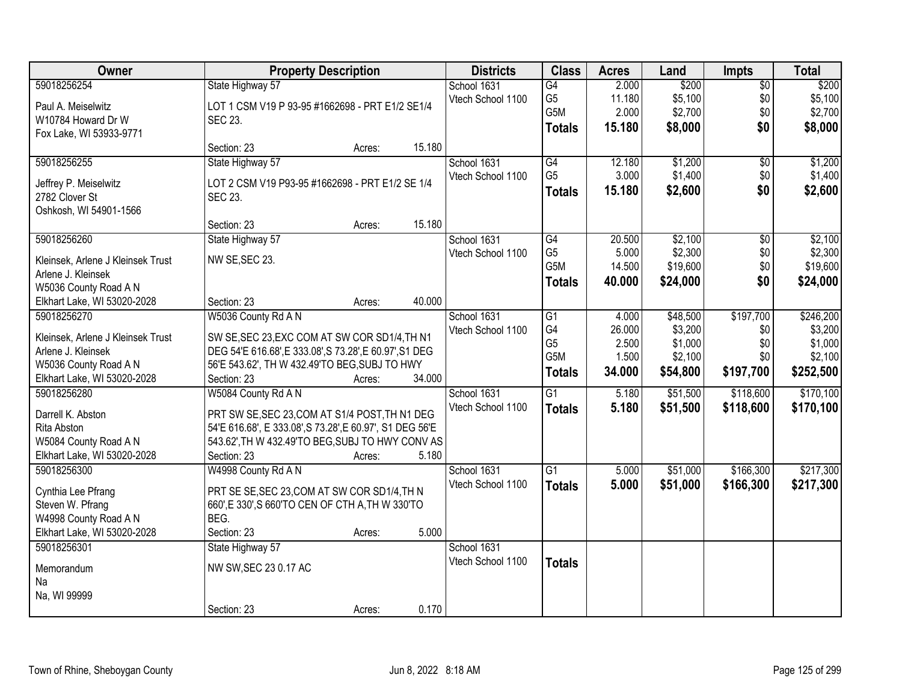| Owner                                    | <b>Property Description</b>                              |        |        | <b>Districts</b>  | <b>Class</b>    | <b>Acres</b>    | Land               | <b>Impts</b>    | <b>Total</b>       |
|------------------------------------------|----------------------------------------------------------|--------|--------|-------------------|-----------------|-----------------|--------------------|-----------------|--------------------|
| 59018256254                              | State Highway 57                                         |        |        | School 1631       | G4              | 2.000           | \$200              | $\overline{50}$ | \$200              |
| Paul A. Meiselwitz                       | LOT 1 CSM V19 P 93-95 #1662698 - PRT E1/2 SE1/4          |        |        | Vtech School 1100 | G <sub>5</sub>  | 11.180          | \$5,100            | \$0             | \$5,100            |
| W10784 Howard Dr W                       | SEC 23.                                                  |        |        |                   | G5M             | 2.000           | \$2,700            | \$0             | \$2,700            |
| Fox Lake, WI 53933-9771                  |                                                          |        |        |                   | <b>Totals</b>   | 15.180          | \$8,000            | \$0             | \$8,000            |
|                                          | Section: 23                                              | Acres: | 15.180 |                   |                 |                 |                    |                 |                    |
| 59018256255                              | State Highway 57                                         |        |        | School 1631       | G4              | 12.180          | \$1,200            | $\overline{50}$ | \$1,200            |
|                                          |                                                          |        |        | Vtech School 1100 | G <sub>5</sub>  | 3.000           | \$1,400            | \$0             | \$1,400            |
| Jeffrey P. Meiselwitz                    | LOT 2 CSM V19 P93-95 #1662698 - PRT E1/2 SE 1/4          |        |        |                   | <b>Totals</b>   | 15.180          | \$2,600            | \$0             | \$2,600            |
| 2782 Clover St<br>Oshkosh, WI 54901-1566 | <b>SEC 23.</b>                                           |        |        |                   |                 |                 |                    |                 |                    |
|                                          | Section: 23                                              | Acres: | 15.180 |                   |                 |                 |                    |                 |                    |
| 59018256260                              | State Highway 57                                         |        |        | School 1631       | G4              | 20.500          | \$2,100            | \$0             | \$2,100            |
|                                          |                                                          |        |        | Vtech School 1100 | G <sub>5</sub>  | 5.000           | \$2,300            | \$0             | \$2,300            |
| Kleinsek, Arlene J Kleinsek Trust        | NW SE, SEC 23.                                           |        |        |                   | G5M             | 14.500          | \$19,600           | \$0             | \$19,600           |
| Arlene J. Kleinsek                       |                                                          |        |        |                   | <b>Totals</b>   | 40.000          | \$24,000           | \$0             | \$24,000           |
| W5036 County Road A N                    |                                                          |        | 40.000 |                   |                 |                 |                    |                 |                    |
| Elkhart Lake, WI 53020-2028              | Section: 23                                              | Acres: |        |                   |                 |                 |                    |                 |                    |
| 59018256270                              | W5036 County Rd A N                                      |        |        | School 1631       | G1<br>G4        | 4.000           | \$48,500           | \$197,700       | \$246,200          |
| Kleinsek, Arlene J Kleinsek Trust        | SW SE, SEC 23, EXC COM AT SW COR SD1/4, TH N1            |        |        | Vtech School 1100 | G <sub>5</sub>  | 26.000<br>2.500 | \$3,200<br>\$1,000 | \$0<br>\$0      | \$3,200<br>\$1,000 |
| Arlene J. Kleinsek                       | DEG 54'E 616.68', E 333.08', S 73.28', E 60.97', S1 DEG  |        |        |                   | G5M             | 1.500           | \$2,100            | \$0             | \$2,100            |
| W5036 County Road A N                    | 56'E 543.62', TH W 432.49'TO BEG, SUBJ TO HWY            |        |        |                   |                 | 34.000          |                    | \$197,700       |                    |
| Elkhart Lake, WI 53020-2028              | Section: 23                                              | Acres: | 34.000 |                   | <b>Totals</b>   |                 | \$54,800           |                 | \$252,500          |
| 59018256280                              | W5084 County Rd A N                                      |        |        | School 1631       | $\overline{G1}$ | 5.180           | \$51,500           | \$118,600       | \$170,100          |
| Darrell K. Abston                        | PRT SW SE, SEC 23, COM AT S1/4 POST, TH N1 DEG           |        |        | Vtech School 1100 | <b>Totals</b>   | 5.180           | \$51,500           | \$118,600       | \$170,100          |
| Rita Abston                              | 54'E 616.68', E 333.08', S 73.28', E 60.97', S1 DEG 56'E |        |        |                   |                 |                 |                    |                 |                    |
| W5084 County Road A N                    | 543.62', TH W 432.49'TO BEG, SUBJ TO HWY CONV AS         |        |        |                   |                 |                 |                    |                 |                    |
| Elkhart Lake, WI 53020-2028              | Section: 23                                              | Acres: | 5.180  |                   |                 |                 |                    |                 |                    |
| 59018256300                              | W4998 County Rd A N                                      |        |        | School 1631       | $\overline{G1}$ | 5.000           | \$51,000           | \$166,300       | \$217,300          |
|                                          |                                                          |        |        | Vtech School 1100 | <b>Totals</b>   | 5.000           | \$51,000           | \$166,300       | \$217,300          |
| Cynthia Lee Pfrang                       | PRT SE SE, SEC 23, COM AT SW COR SD1/4, TH N             |        |        |                   |                 |                 |                    |                 |                    |
| Steven W. Pfrang                         | 660', E 330', S 660'TO CEN OF CTH A, TH W 330'TO         |        |        |                   |                 |                 |                    |                 |                    |
| W4998 County Road A N                    | BEG.                                                     |        |        |                   |                 |                 |                    |                 |                    |
| Elkhart Lake, WI 53020-2028              | Section: 23                                              | Acres: | 5.000  |                   |                 |                 |                    |                 |                    |
| 59018256301                              | State Highway 57                                         |        |        | School 1631       |                 |                 |                    |                 |                    |
| Memorandum                               | NW SW, SEC 23 0.17 AC                                    |        |        | Vtech School 1100 | <b>Totals</b>   |                 |                    |                 |                    |
| Na                                       |                                                          |        |        |                   |                 |                 |                    |                 |                    |
| Na, WI 99999                             |                                                          |        |        |                   |                 |                 |                    |                 |                    |
|                                          | Section: 23                                              | Acres: | 0.170  |                   |                 |                 |                    |                 |                    |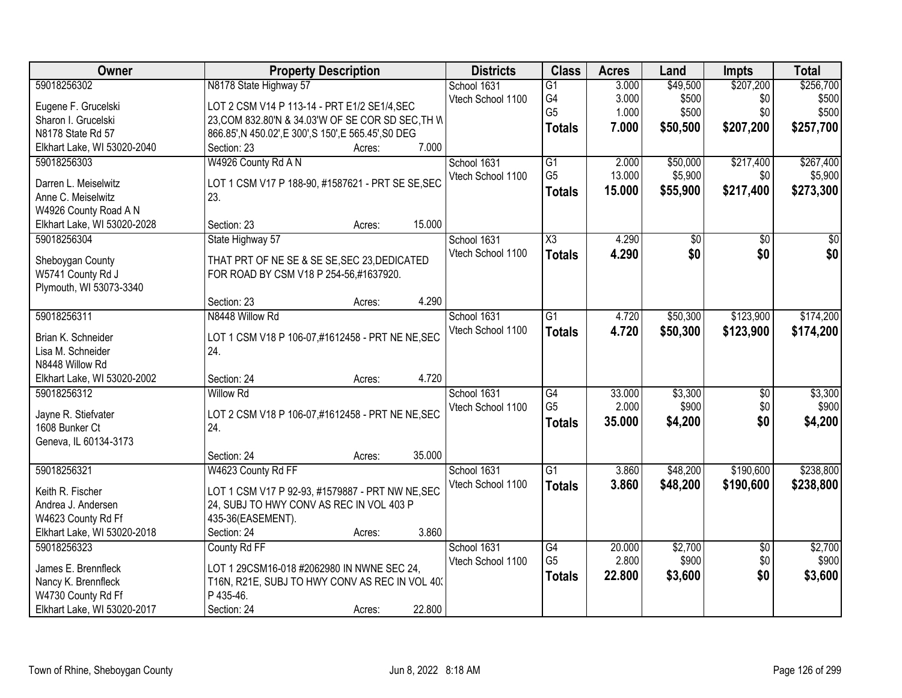| Owner                       | <b>Property Description</b>                           | <b>Districts</b>  | <b>Class</b>    | <b>Acres</b> | Land     | <b>Impts</b>    | <b>Total</b>    |
|-----------------------------|-------------------------------------------------------|-------------------|-----------------|--------------|----------|-----------------|-----------------|
| 59018256302                 | N8178 State Highway 57                                | School 1631       | $\overline{G1}$ | 3.000        | \$49,500 | \$207,200       | \$256,700       |
| Eugene F. Grucelski         | LOT 2 CSM V14 P 113-14 - PRT E1/2 SE1/4, SEC          | Vtech School 1100 | G4              | 3.000        | \$500    | \$0             | \$500           |
| Sharon I. Grucelski         | 23, COM 832.80'N & 34.03'W OF SE COR SD SEC, TH W     |                   | G <sub>5</sub>  | 1.000        | \$500    | \$0             | \$500           |
| N8178 State Rd 57           | 866.85', N 450.02', E 300', S 150', E 565.45', S0 DEG |                   | <b>Totals</b>   | 7.000        | \$50,500 | \$207,200       | \$257,700       |
| Elkhart Lake, WI 53020-2040 | 7.000<br>Section: 23<br>Acres:                        |                   |                 |              |          |                 |                 |
| 59018256303                 | W4926 County Rd A N                                   | School 1631       | $\overline{G1}$ | 2.000        | \$50,000 | \$217,400       | \$267,400       |
|                             |                                                       | Vtech School 1100 | G <sub>5</sub>  | 13.000       | \$5,900  | \$0             | \$5,900         |
| Darren L. Meiselwitz        | LOT 1 CSM V17 P 188-90, #1587621 - PRT SE SE, SEC     |                   |                 |              |          |                 |                 |
| Anne C. Meiselwitz          | 23.                                                   |                   | <b>Totals</b>   | 15.000       | \$55,900 | \$217,400       | \$273,300       |
| W4926 County Road A N       |                                                       |                   |                 |              |          |                 |                 |
| Elkhart Lake, WI 53020-2028 | 15.000<br>Section: 23<br>Acres:                       |                   |                 |              |          |                 |                 |
| 59018256304                 | State Highway 57                                      | School 1631       | X3              | 4.290        | \$0      | \$0             | $\overline{50}$ |
|                             |                                                       | Vtech School 1100 | <b>Totals</b>   | 4.290        | \$0      | \$0             | \$0             |
| Sheboygan County            | THAT PRT OF NE SE & SE SE, SEC 23, DEDICATED          |                   |                 |              |          |                 |                 |
| W5741 County Rd J           | FOR ROAD BY CSM V18 P 254-56,#1637920.                |                   |                 |              |          |                 |                 |
| Plymouth, WI 53073-3340     | 4.290                                                 |                   |                 |              |          |                 |                 |
|                             | Section: 23<br>Acres:                                 |                   |                 |              |          |                 |                 |
| 59018256311                 | N8448 Willow Rd                                       | School 1631       | $\overline{G1}$ | 4.720        | \$50,300 | \$123,900       | \$174,200       |
| Brian K. Schneider          | LOT 1 CSM V18 P 106-07,#1612458 - PRT NE NE, SEC      | Vtech School 1100 | <b>Totals</b>   | 4.720        | \$50,300 | \$123,900       | \$174,200       |
| Lisa M. Schneider           | 24.                                                   |                   |                 |              |          |                 |                 |
| N8448 Willow Rd             |                                                       |                   |                 |              |          |                 |                 |
| Elkhart Lake, WI 53020-2002 | 4.720<br>Section: 24<br>Acres:                        |                   |                 |              |          |                 |                 |
| 59018256312                 | <b>Willow Rd</b>                                      | School 1631       | $\overline{G4}$ | 33.000       | \$3,300  | $\overline{50}$ | \$3,300         |
|                             |                                                       | Vtech School 1100 | G <sub>5</sub>  | 2.000        | \$900    | \$0             | \$900           |
| Jayne R. Stiefvater         | LOT 2 CSM V18 P 106-07,#1612458 - PRT NE NE, SEC      |                   | <b>Totals</b>   | 35.000       | \$4,200  | \$0             | \$4,200         |
| 1608 Bunker Ct              | 24.                                                   |                   |                 |              |          |                 |                 |
| Geneva, IL 60134-3173       |                                                       |                   |                 |              |          |                 |                 |
|                             | 35.000<br>Section: 24<br>Acres:                       |                   |                 |              |          |                 |                 |
| 59018256321                 | W4623 County Rd FF                                    | School 1631       | $\overline{G1}$ | 3.860        | \$48,200 | \$190,600       | \$238,800       |
| Keith R. Fischer            | LOT 1 CSM V17 P 92-93, #1579887 - PRT NW NE, SEC      | Vtech School 1100 | <b>Totals</b>   | 3.860        | \$48,200 | \$190,600       | \$238,800       |
| Andrea J. Andersen          | 24, SUBJ TO HWY CONV AS REC IN VOL 403 P              |                   |                 |              |          |                 |                 |
| W4623 County Rd Ff          | 435-36(EASEMENT).                                     |                   |                 |              |          |                 |                 |
| Elkhart Lake, WI 53020-2018 | 3.860<br>Section: 24<br>Acres:                        |                   |                 |              |          |                 |                 |
| 59018256323                 | County Rd FF                                          | School 1631       | G4              | 20.000       | \$2,700  | $\overline{50}$ | \$2,700         |
|                             |                                                       | Vtech School 1100 | G <sub>5</sub>  | 2.800        | \$900    | \$0             | \$900           |
| James E. Brennfleck         | LOT 1 29CSM16-018 #2062980 IN NWNE SEC 24,            |                   | <b>Totals</b>   | 22,800       | \$3,600  | \$0             | \$3,600         |
| Nancy K. Brennfleck         | T16N, R21E, SUBJ TO HWY CONV AS REC IN VOL 40.        |                   |                 |              |          |                 |                 |
| W4730 County Rd Ff          | P 435-46.                                             |                   |                 |              |          |                 |                 |
| Elkhart Lake, WI 53020-2017 | 22.800<br>Section: 24<br>Acres:                       |                   |                 |              |          |                 |                 |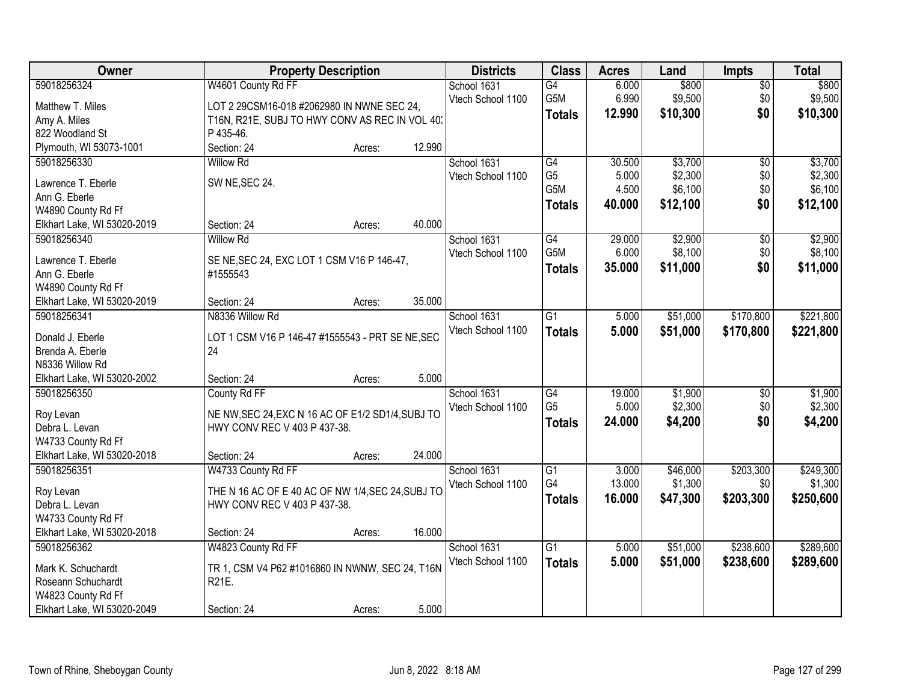| Owner                       |                                                   | <b>Property Description</b> |        | <b>Districts</b>  | <b>Class</b>     | <b>Acres</b> | Land     | <b>Impts</b>    | <b>Total</b> |
|-----------------------------|---------------------------------------------------|-----------------------------|--------|-------------------|------------------|--------------|----------|-----------------|--------------|
| 59018256324                 | W4601 County Rd FF                                |                             |        | School 1631       | $\overline{G4}$  | 6.000        | \$800    | $\overline{50}$ | \$800        |
| Matthew T. Miles            | LOT 2 29CSM16-018 #2062980 IN NWNE SEC 24,        |                             |        | Vtech School 1100 | G5M              | 6.990        | \$9,500  | \$0             | \$9,500      |
| Amy A. Miles                | T16N, R21E, SUBJ TO HWY CONV AS REC IN VOL 40.    |                             |        |                   | <b>Totals</b>    | 12.990       | \$10,300 | \$0             | \$10,300     |
| 822 Woodland St             | P 435-46.                                         |                             |        |                   |                  |              |          |                 |              |
| Plymouth, WI 53073-1001     | Section: 24                                       | Acres:                      | 12.990 |                   |                  |              |          |                 |              |
| 59018256330                 | <b>Willow Rd</b>                                  |                             |        | School 1631       | G4               | 30.500       | \$3,700  | $\overline{50}$ | \$3,700      |
|                             |                                                   |                             |        | Vtech School 1100 | G <sub>5</sub>   | 5.000        | \$2,300  | \$0             | \$2,300      |
| Lawrence T. Eberle          | SW NE, SEC 24.                                    |                             |        |                   | G <sub>5</sub> M | 4.500        | \$6,100  | \$0             | \$6,100      |
| Ann G. Eberle               |                                                   |                             |        |                   | <b>Totals</b>    | 40.000       | \$12,100 | \$0             | \$12,100     |
| W4890 County Rd Ff          | Section: 24                                       |                             | 40.000 |                   |                  |              |          |                 |              |
| Elkhart Lake, WI 53020-2019 | <b>Willow Rd</b>                                  | Acres:                      |        | School 1631       | G4               | 29.000       | \$2,900  |                 | \$2,900      |
| 59018256340                 |                                                   |                             |        |                   | G <sub>5</sub> M | 6.000        | \$8,100  | \$0<br>\$0      | \$8,100      |
| Lawrence T. Eberle          | SE NE, SEC 24, EXC LOT 1 CSM V16 P 146-47,        |                             |        | Vtech School 1100 |                  | 35.000       | \$11,000 | \$0             |              |
| Ann G. Eberle               | #1555543                                          |                             |        |                   | Totals           |              |          |                 | \$11,000     |
| W4890 County Rd Ff          |                                                   |                             |        |                   |                  |              |          |                 |              |
| Elkhart Lake, WI 53020-2019 | Section: 24                                       | Acres:                      | 35.000 |                   |                  |              |          |                 |              |
| 59018256341                 | N8336 Willow Rd                                   |                             |        | School 1631       | $\overline{G1}$  | 5.000        | \$51,000 | \$170,800       | \$221,800    |
| Donald J. Eberle            | LOT 1 CSM V16 P 146-47 #1555543 - PRT SE NE, SEC  |                             |        | Vtech School 1100 | <b>Totals</b>    | 5.000        | \$51,000 | \$170,800       | \$221,800    |
| Brenda A. Eberle            | 24                                                |                             |        |                   |                  |              |          |                 |              |
| N8336 Willow Rd             |                                                   |                             |        |                   |                  |              |          |                 |              |
| Elkhart Lake, WI 53020-2002 | Section: 24                                       | Acres:                      | 5.000  |                   |                  |              |          |                 |              |
| 59018256350                 | County Rd FF                                      |                             |        | School 1631       | $\overline{G4}$  | 19.000       | \$1,900  | $\overline{50}$ | \$1,900      |
|                             |                                                   |                             |        | Vtech School 1100 | G <sub>5</sub>   | 5.000        | \$2,300  | \$0             | \$2,300      |
| Roy Levan                   | NE NW, SEC 24, EXC N 16 AC OF E1/2 SD1/4, SUBJ TO |                             |        |                   | <b>Totals</b>    | 24.000       | \$4,200  | \$0             | \$4,200      |
| Debra L. Levan              | HWY CONV REC V 403 P 437-38.                      |                             |        |                   |                  |              |          |                 |              |
| W4733 County Rd Ff          |                                                   |                             |        |                   |                  |              |          |                 |              |
| Elkhart Lake, WI 53020-2018 | Section: 24                                       | Acres:                      | 24.000 |                   |                  |              |          |                 |              |
| 59018256351                 | W4733 County Rd FF                                |                             |        | School 1631       | $\overline{G1}$  | 3.000        | \$46,000 | \$203,300       | \$249,300    |
| Roy Levan                   | THE N 16 AC OF E 40 AC OF NW 1/4, SEC 24, SUBJ TO |                             |        | Vtech School 1100 | G4               | 13.000       | \$1,300  | \$0             | \$1,300      |
| Debra L. Levan              | HWY CONV REC V 403 P 437-38.                      |                             |        |                   | <b>Totals</b>    | 16.000       | \$47,300 | \$203,300       | \$250,600    |
| W4733 County Rd Ff          |                                                   |                             |        |                   |                  |              |          |                 |              |
| Elkhart Lake, WI 53020-2018 | Section: 24                                       | Acres:                      | 16.000 |                   |                  |              |          |                 |              |
| 59018256362                 | W4823 County Rd FF                                |                             |        | School 1631       | $\overline{G1}$  | 5.000        | \$51,000 | \$238,600       | \$289,600    |
|                             |                                                   |                             |        | Vtech School 1100 | <b>Totals</b>    | 5.000        | \$51,000 | \$238,600       | \$289,600    |
| Mark K. Schuchardt          | TR 1, CSM V4 P62 #1016860 IN NWNW, SEC 24, T16N   |                             |        |                   |                  |              |          |                 |              |
| Roseann Schuchardt          | R21E.                                             |                             |        |                   |                  |              |          |                 |              |
| W4823 County Rd Ff          |                                                   |                             |        |                   |                  |              |          |                 |              |
| Elkhart Lake, WI 53020-2049 | Section: 24                                       | Acres:                      | 5.000  |                   |                  |              |          |                 |              |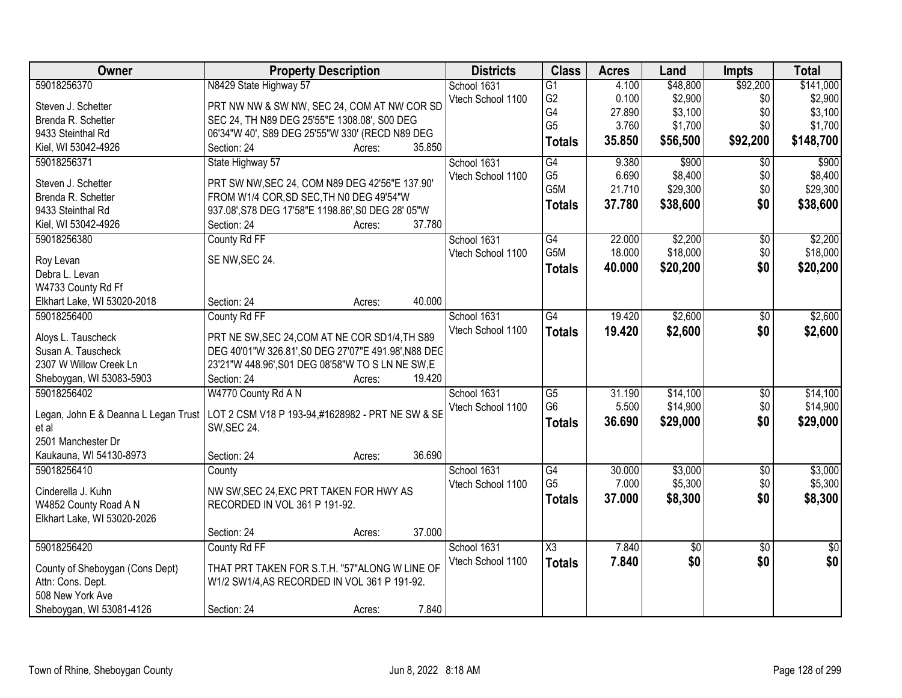| Owner                                | <b>Property Description</b>                          |        |        | <b>Districts</b>  | <b>Class</b>    | <b>Acres</b> | Land       | <b>Impts</b>    | <b>Total</b> |
|--------------------------------------|------------------------------------------------------|--------|--------|-------------------|-----------------|--------------|------------|-----------------|--------------|
| 59018256370                          | N8429 State Highway 57                               |        |        | School 1631       | $\overline{G1}$ | 4.100        | \$48,800   | \$92,200        | \$141,000    |
| Steven J. Schetter                   | PRT NW NW & SW NW, SEC 24, COM AT NW COR SD          |        |        | Vtech School 1100 | G <sub>2</sub>  | 0.100        | \$2,900    | \$0             | \$2,900      |
| Brenda R. Schetter                   | SEC 24, TH N89 DEG 25'55"E 1308.08', S00 DEG         |        |        |                   | G4              | 27.890       | \$3,100    | \$0             | \$3,100      |
| 9433 Steinthal Rd                    | 06'34"W 40', S89 DEG 25'55"W 330' (RECD N89 DEG      |        |        |                   | G <sub>5</sub>  | 3.760        | \$1,700    | \$0             | \$1,700      |
| Kiel, WI 53042-4926                  | Section: 24                                          | Acres: | 35.850 |                   | <b>Totals</b>   | 35.850       | \$56,500   | \$92,200        | \$148,700    |
| 59018256371                          | State Highway 57                                     |        |        | School 1631       | G4              | 9.380        | \$900      | \$0             | \$900        |
|                                      |                                                      |        |        | Vtech School 1100 | G <sub>5</sub>  | 6.690        | \$8,400    | \$0             | \$8,400      |
| Steven J. Schetter                   | PRT SW NW, SEC 24, COM N89 DEG 42'56"E 137.90'       |        |        |                   | G5M             | 21.710       | \$29,300   | \$0             | \$29,300     |
| Brenda R. Schetter                   | FROM W1/4 COR, SD SEC, TH N0 DEG 49'54"W             |        |        |                   | <b>Totals</b>   | 37.780       | \$38,600   | \$0             | \$38,600     |
| 9433 Steinthal Rd                    | 937.08', S78 DEG 17'58"E 1198.86', S0 DEG 28' 05"W   |        |        |                   |                 |              |            |                 |              |
| Kiel, WI 53042-4926                  | Section: 24                                          | Acres: | 37.780 |                   |                 |              |            |                 |              |
| 59018256380                          | County Rd FF                                         |        |        | School 1631       | G4              | 22.000       | \$2,200    | \$0             | \$2,200      |
| Roy Levan                            | SE NW, SEC 24.                                       |        |        | Vtech School 1100 | G5M             | 18.000       | \$18,000   | \$0             | \$18,000     |
| Debra L. Levan                       |                                                      |        |        |                   | <b>Totals</b>   | 40.000       | \$20,200   | \$0             | \$20,200     |
| W4733 County Rd Ff                   |                                                      |        |        |                   |                 |              |            |                 |              |
| Elkhart Lake, WI 53020-2018          | Section: 24                                          | Acres: | 40.000 |                   |                 |              |            |                 |              |
| 59018256400                          | County Rd FF                                         |        |        | School 1631       | G4              | 19.420       | \$2,600    | \$0             | \$2,600      |
|                                      |                                                      |        |        | Vtech School 1100 | <b>Totals</b>   | 19.420       | \$2,600    | \$0             | \$2,600      |
| Aloys L. Tauscheck                   | PRT NE SW, SEC 24, COM AT NE COR SD1/4, TH S89       |        |        |                   |                 |              |            |                 |              |
| Susan A. Tauscheck                   | DEG 40'01"W 326.81', S0 DEG 27'07"E 491.98', N88 DEC |        |        |                   |                 |              |            |                 |              |
| 2307 W Willow Creek Ln               | 23'21"W 448.96', S01 DEG 08'58"W TO S LN NE SW, E    |        |        |                   |                 |              |            |                 |              |
| Sheboygan, WI 53083-5903             | Section: 24                                          | Acres: | 19.420 |                   |                 |              |            |                 |              |
| 59018256402                          | W4770 County Rd A N                                  |        |        | School 1631       | $\overline{G5}$ | 31.190       | \$14,100   | $\overline{50}$ | \$14,100     |
| Legan, John E & Deanna L Legan Trust | LOT 2 CSM V18 P 193-94,#1628982 - PRT NE SW & SE     |        |        | Vtech School 1100 | G <sub>6</sub>  | 5.500        | \$14,900   | \$0             | \$14,900     |
| et al                                | <b>SW, SEC 24.</b>                                   |        |        |                   | <b>Totals</b>   | 36.690       | \$29,000   | \$0             | \$29,000     |
| 2501 Manchester Dr                   |                                                      |        |        |                   |                 |              |            |                 |              |
| Kaukauna, WI 54130-8973              | Section: 24                                          | Acres: | 36.690 |                   |                 |              |            |                 |              |
| 59018256410                          | County                                               |        |        | School 1631       | G4              | 30.000       | \$3,000    | $\overline{60}$ | \$3,000      |
|                                      |                                                      |        |        | Vtech School 1100 | G <sub>5</sub>  | 7.000        | \$5,300    | \$0             | \$5,300      |
| Cinderella J. Kuhn                   | NW SW, SEC 24, EXC PRT TAKEN FOR HWY AS              |        |        |                   |                 | 37.000       | \$8,300    | \$0             | \$8,300      |
| W4852 County Road A N                | RECORDED IN VOL 361 P 191-92.                        |        |        |                   | <b>Totals</b>   |              |            |                 |              |
| Elkhart Lake, WI 53020-2026          |                                                      |        |        |                   |                 |              |            |                 |              |
|                                      | Section: 24                                          | Acres: | 37.000 |                   |                 |              |            |                 |              |
| 59018256420                          | County Rd FF                                         |        |        | School 1631       | X3              | 7.840        | $\sqrt{6}$ | $\overline{50}$ | $\sqrt{50}$  |
| County of Sheboygan (Cons Dept)      | THAT PRT TAKEN FOR S.T.H. "57"ALONG W LINE OF        |        |        | Vtech School 1100 | <b>Totals</b>   | 7.840        | \$0        | \$0             | \$0          |
| Attn: Cons. Dept.                    | W1/2 SW1/4, AS RECORDED IN VOL 361 P 191-92.         |        |        |                   |                 |              |            |                 |              |
| 508 New York Ave                     |                                                      |        |        |                   |                 |              |            |                 |              |
|                                      |                                                      |        |        |                   |                 |              |            |                 |              |
| Sheboygan, WI 53081-4126             | Section: 24                                          | Acres: | 7.840  |                   |                 |              |            |                 |              |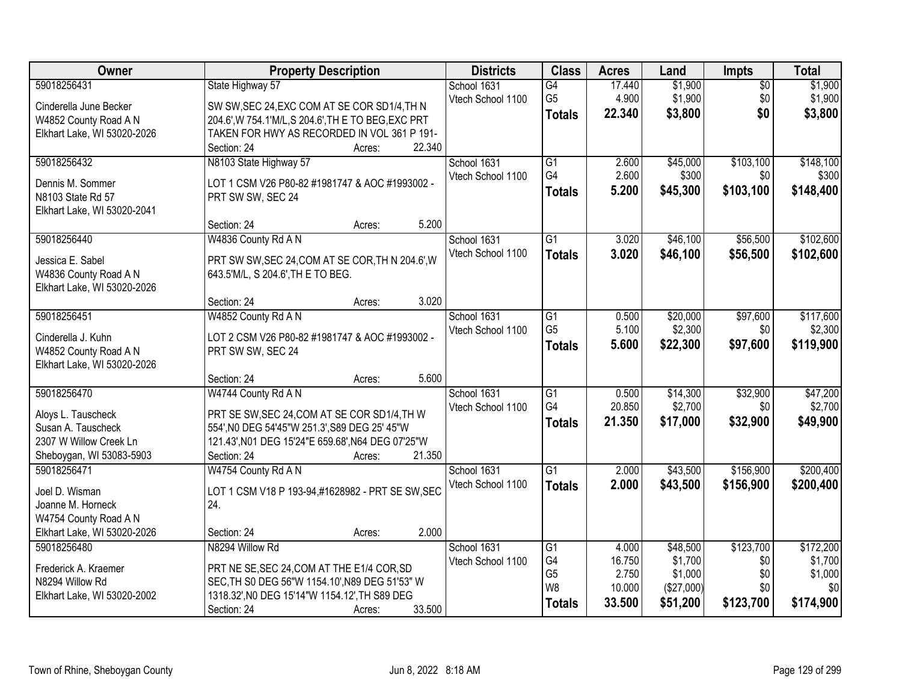| <b>Owner</b>                | <b>Property Description</b>                         | <b>Districts</b>  | <b>Class</b>    | <b>Acres</b> | Land       | Impts           | <b>Total</b> |
|-----------------------------|-----------------------------------------------------|-------------------|-----------------|--------------|------------|-----------------|--------------|
| 59018256431                 | State Highway 57                                    | School 1631       | G4              | 17.440       | \$1,900    | $\overline{50}$ | \$1,900      |
| Cinderella June Becker      | SW SW, SEC 24, EXC COM AT SE COR SD1/4, TH N        | Vtech School 1100 | G <sub>5</sub>  | 4.900        | \$1,900    | \$0             | \$1,900      |
| W4852 County Road A N       | 204.6', W 754.1'M/L, S 204.6', TH E TO BEG, EXC PRT |                   | <b>Totals</b>   | 22.340       | \$3,800    | \$0             | \$3,800      |
| Elkhart Lake, WI 53020-2026 | TAKEN FOR HWY AS RECORDED IN VOL 361 P 191-         |                   |                 |              |            |                 |              |
|                             | 22.340<br>Section: 24<br>Acres:                     |                   |                 |              |            |                 |              |
| 59018256432                 | N8103 State Highway 57                              | School 1631       | $\overline{G1}$ | 2.600        | \$45,000   | \$103,100       | \$148,100    |
| Dennis M. Sommer            | LOT 1 CSM V26 P80-82 #1981747 & AOC #1993002 -      | Vtech School 1100 | G4              | 2.600        | \$300      | \$0             | \$300        |
| N8103 State Rd 57           | PRT SW SW, SEC 24                                   |                   | <b>Totals</b>   | 5.200        | \$45,300   | \$103,100       | \$148,400    |
| Elkhart Lake, WI 53020-2041 |                                                     |                   |                 |              |            |                 |              |
|                             | 5.200<br>Section: 24<br>Acres:                      |                   |                 |              |            |                 |              |
| 59018256440                 | W4836 County Rd A N                                 | School 1631       | $\overline{G1}$ | 3.020        | \$46,100   | \$56,500        | \$102,600    |
| Jessica E. Sabel            | PRT SW SW, SEC 24, COM AT SE COR, TH N 204.6', W    | Vtech School 1100 | <b>Totals</b>   | 3.020        | \$46,100   | \$56,500        | \$102,600    |
| W4836 County Road A N       | 643.5'M/L, S 204.6', TH E TO BEG.                   |                   |                 |              |            |                 |              |
| Elkhart Lake, WI 53020-2026 |                                                     |                   |                 |              |            |                 |              |
|                             | 3.020<br>Section: 24<br>Acres:                      |                   |                 |              |            |                 |              |
| 59018256451                 | W4852 County Rd A N                                 | School 1631       | G1              | 0.500        | \$20,000   | \$97,600        | \$117,600    |
| Cinderella J. Kuhn          | LOT 2 CSM V26 P80-82 #1981747 & AOC #1993002 -      | Vtech School 1100 | G <sub>5</sub>  | 5.100        | \$2,300    | \$0             | \$2,300      |
| W4852 County Road A N       | PRT SW SW, SEC 24                                   |                   | <b>Totals</b>   | 5.600        | \$22,300   | \$97,600        | \$119,900    |
| Elkhart Lake, WI 53020-2026 |                                                     |                   |                 |              |            |                 |              |
|                             | 5.600<br>Section: 24<br>Acres:                      |                   |                 |              |            |                 |              |
| 59018256470                 | W4744 County Rd A N                                 | School 1631       | $\overline{G1}$ | 0.500        | \$14,300   | \$32,900        | \$47,200     |
| Aloys L. Tauscheck          | PRT SE SW, SEC 24, COM AT SE COR SD1/4, TH W        | Vtech School 1100 | G4              | 20.850       | \$2,700    | \$0             | \$2,700      |
| Susan A. Tauscheck          | 554', NO DEG 54'45"W 251.3', S89 DEG 25' 45"W       |                   | <b>Totals</b>   | 21.350       | \$17,000   | \$32,900        | \$49,900     |
| 2307 W Willow Creek Ln      | 121.43', N01 DEG 15'24"E 659.68', N64 DEG 07'25"W   |                   |                 |              |            |                 |              |
| Sheboygan, WI 53083-5903    | 21.350<br>Section: 24<br>Acres:                     |                   |                 |              |            |                 |              |
| 59018256471                 | W4754 County Rd A N                                 | School 1631       | $\overline{G1}$ | 2.000        | \$43,500   | \$156,900       | \$200,400    |
| Joel D. Wisman              | LOT 1 CSM V18 P 193-94,#1628982 - PRT SE SW, SEC    | Vtech School 1100 | <b>Totals</b>   | 2.000        | \$43,500   | \$156,900       | \$200,400    |
| Joanne M. Horneck           | 24.                                                 |                   |                 |              |            |                 |              |
| W4754 County Road A N       |                                                     |                   |                 |              |            |                 |              |
| Elkhart Lake, WI 53020-2026 | 2.000<br>Section: 24<br>Acres:                      |                   |                 |              |            |                 |              |
| 59018256480                 | N8294 Willow Rd                                     | School 1631       | $\overline{G1}$ | 4.000        | \$48,500   | \$123,700       | \$172,200    |
| Frederick A. Kraemer        | PRT NE SE, SEC 24, COM AT THE E1/4 COR, SD          | Vtech School 1100 | G4              | 16.750       | \$1,700    | \$0             | \$1,700      |
| N8294 Willow Rd             | SEC.TH S0 DEG 56"W 1154.10', N89 DEG 51'53" W       |                   | G <sub>5</sub>  | 2.750        | \$1,000    | \$0             | \$1,000      |
| Elkhart Lake, WI 53020-2002 | 1318.32', NO DEG 15'14"W 1154.12', TH S89 DEG       |                   | W <sub>8</sub>  | 10.000       | (\$27,000) | \$0             | \$0          |
|                             | 33.500<br>Section: 24<br>Acres:                     |                   | <b>Totals</b>   | 33.500       | \$51,200   | \$123,700       | \$174,900    |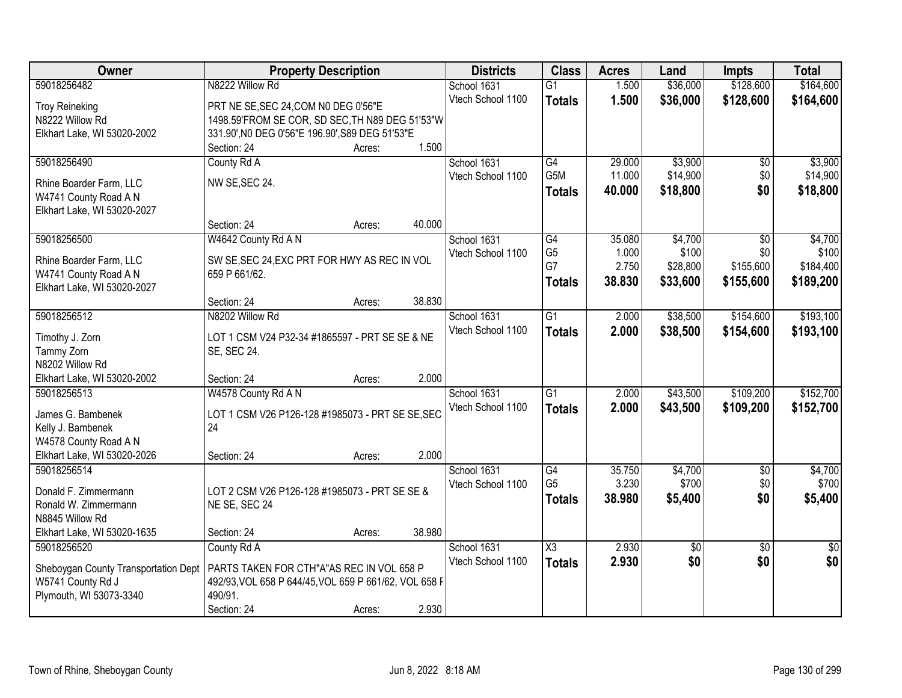| Owner                                | <b>Property Description</b>                                   |        | <b>Districts</b>                 | <b>Class</b>           | <b>Acres</b>    | Land             | <b>Impts</b>           | <b>Total</b>     |
|--------------------------------------|---------------------------------------------------------------|--------|----------------------------------|------------------------|-----------------|------------------|------------------------|------------------|
| 59018256482                          | N8222 Willow Rd                                               |        | School 1631                      | $\overline{G1}$        | 1.500           | \$36,000         | \$128,600              | \$164,600        |
| <b>Troy Reineking</b>                | PRT NE SE, SEC 24, COM N0 DEG 0'56"E                          |        | Vtech School 1100                | <b>Totals</b>          | 1.500           | \$36,000         | \$128,600              | \$164,600        |
| N8222 Willow Rd                      | 1498.59'FROM SE COR, SD SEC, TH N89 DEG 51'53"W               |        |                                  |                        |                 |                  |                        |                  |
| Elkhart Lake, WI 53020-2002          | 331.90', NO DEG 0'56"E 196.90', S89 DEG 51'53"E               |        |                                  |                        |                 |                  |                        |                  |
|                                      | Section: 24<br>Acres:                                         | 1.500  |                                  |                        |                 |                  |                        |                  |
| 59018256490                          | County Rd A                                                   |        | School 1631                      | G4                     | 29.000          | \$3,900          | \$0                    | \$3,900          |
| Rhine Boarder Farm, LLC              | NW SE, SEC 24.                                                |        | Vtech School 1100                | G5M                    | 11.000          | \$14,900         | \$0                    | \$14,900         |
| W4741 County Road A N                |                                                               |        |                                  | <b>Totals</b>          | 40.000          | \$18,800         | \$0                    | \$18,800         |
| Elkhart Lake, WI 53020-2027          |                                                               |        |                                  |                        |                 |                  |                        |                  |
|                                      | Section: 24<br>Acres:                                         | 40.000 |                                  |                        |                 |                  |                        |                  |
| 59018256500                          | W4642 County Rd A N                                           |        | School 1631                      | $\overline{G4}$        | 35.080          | \$4,700          | $\overline{50}$        | \$4,700          |
| Rhine Boarder Farm, LLC              | SW SE, SEC 24, EXC PRT FOR HWY AS REC IN VOL                  |        | Vtech School 1100                | G <sub>5</sub>         | 1.000           | \$100            | \$0                    | \$100            |
| W4741 County Road A N                | 659 P 661/62.                                                 |        |                                  | G7                     | 2.750           | \$28,800         | \$155,600              | \$184,400        |
| Elkhart Lake, WI 53020-2027          |                                                               |        |                                  | <b>Totals</b>          | 38.830          | \$33,600         | \$155,600              | \$189,200        |
|                                      | Section: 24<br>Acres:                                         | 38.830 |                                  |                        |                 |                  |                        |                  |
| 59018256512                          | N8202 Willow Rd                                               |        | School 1631                      | $\overline{G1}$        | 2.000           | \$38,500         | \$154,600              | \$193,100        |
|                                      |                                                               |        | Vtech School 1100                | <b>Totals</b>          | 2.000           | \$38,500         | \$154,600              | \$193,100        |
| Timothy J. Zorn                      | LOT 1 CSM V24 P32-34 #1865597 - PRT SE SE & NE<br>SE, SEC 24. |        |                                  |                        |                 |                  |                        |                  |
| Tammy Zorn<br>N8202 Willow Rd        |                                                               |        |                                  |                        |                 |                  |                        |                  |
| Elkhart Lake, WI 53020-2002          | Section: 24<br>Acres:                                         | 2.000  |                                  |                        |                 |                  |                        |                  |
| 59018256513                          | W4578 County Rd A N                                           |        | School 1631                      | $\overline{G1}$        | 2.000           | \$43,500         | \$109,200              | \$152,700        |
|                                      |                                                               |        | Vtech School 1100                | <b>Totals</b>          | 2.000           | \$43,500         | \$109,200              | \$152,700        |
| James G. Bambenek                    | LOT 1 CSM V26 P126-128 #1985073 - PRT SE SE, SEC              |        |                                  |                        |                 |                  |                        |                  |
| Kelly J. Bambenek                    | 24                                                            |        |                                  |                        |                 |                  |                        |                  |
| W4578 County Road A N                |                                                               |        |                                  |                        |                 |                  |                        |                  |
| Elkhart Lake, WI 53020-2026          | Section: 24<br>Acres:                                         | 2.000  |                                  |                        |                 |                  |                        |                  |
| 59018256514                          |                                                               |        | School 1631<br>Vtech School 1100 | G4<br>G <sub>5</sub>   | 35.750<br>3.230 | \$4,700<br>\$700 | $\overline{60}$<br>\$0 | \$4,700<br>\$700 |
| Donald F. Zimmermann                 | LOT 2 CSM V26 P126-128 #1985073 - PRT SE SE &                 |        |                                  |                        | 38.980          | \$5,400          | \$0                    | \$5,400          |
| Ronald W. Zimmermann                 | NE SE, SEC 24                                                 |        |                                  | <b>Totals</b>          |                 |                  |                        |                  |
| N8845 Willow Rd                      |                                                               |        |                                  |                        |                 |                  |                        |                  |
| Elkhart Lake, WI 53020-1635          | Section: 24<br>Acres:                                         | 38.980 |                                  |                        |                 |                  |                        |                  |
| 59018256520                          | County Rd A                                                   |        | School 1631                      | $\overline{\text{X3}}$ | 2.930           | $\overline{50}$  | $\overline{50}$        | $\overline{50}$  |
| Sheboygan County Transportation Dept | PARTS TAKEN FOR CTH"A"AS REC IN VOL 658 P                     |        | Vtech School 1100                | <b>Totals</b>          | 2.930           | \$0              | \$0                    | \$0              |
| W5741 County Rd J                    | 492/93, VOL 658 P 644/45, VOL 659 P 661/62, VOL 658 F         |        |                                  |                        |                 |                  |                        |                  |
| Plymouth, WI 53073-3340              | 490/91.                                                       |        |                                  |                        |                 |                  |                        |                  |
|                                      | Section: 24<br>Acres:                                         | 2.930  |                                  |                        |                 |                  |                        |                  |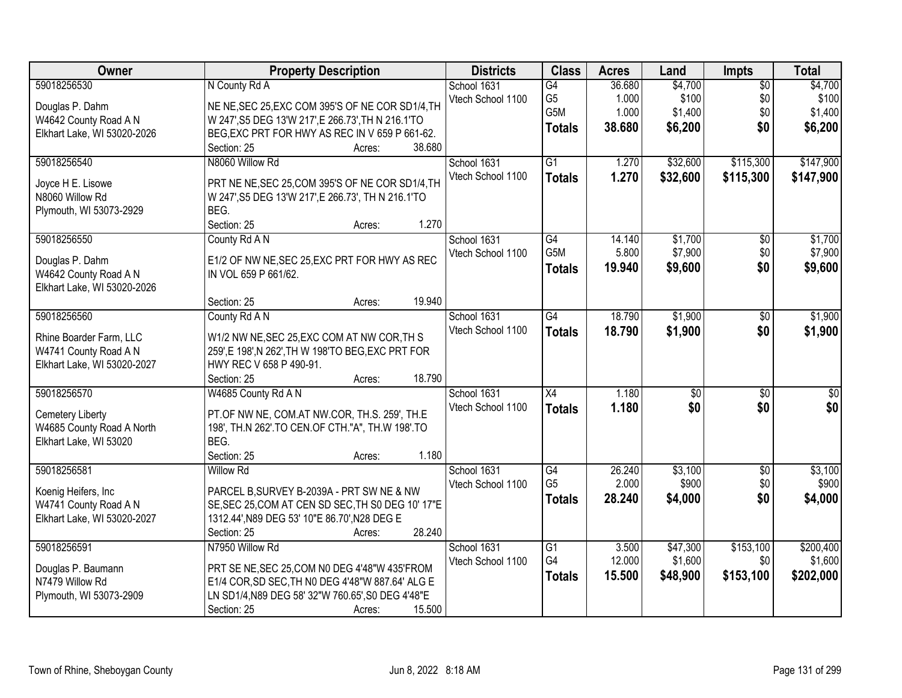| <b>Owner</b>                                                                                   | <b>Property Description</b>                                                                                                                                                                                  | <b>Districts</b>                 | <b>Class</b>                           | <b>Acres</b>                       | Land                                   | Impts                                | <b>Total</b>                           |
|------------------------------------------------------------------------------------------------|--------------------------------------------------------------------------------------------------------------------------------------------------------------------------------------------------------------|----------------------------------|----------------------------------------|------------------------------------|----------------------------------------|--------------------------------------|----------------------------------------|
| 59018256530<br>Douglas P. Dahm<br>W4642 County Road A N<br>Elkhart Lake, WI 53020-2026         | N County Rd A<br>NE NE, SEC 25, EXC COM 395'S OF NE COR SD1/4, TH<br>W 247', S5 DEG 13'W 217', E 266.73', TH N 216.1'TO<br>BEG, EXC PRT FOR HWY AS REC IN V 659 P 661-62.<br>38.680<br>Section: 25<br>Acres: | School 1631<br>Vtech School 1100 | G4<br>G5<br>G5M<br><b>Totals</b>       | 36.680<br>1.000<br>1.000<br>38.680 | \$4,700<br>\$100<br>\$1,400<br>\$6,200 | $\overline{50}$<br>\$0<br>\$0<br>\$0 | \$4,700<br>\$100<br>\$1,400<br>\$6,200 |
| 59018256540<br>Joyce H E. Lisowe<br>N8060 Willow Rd<br>Plymouth, WI 53073-2929                 | N8060 Willow Rd<br>PRT NE NE, SEC 25, COM 395'S OF NE COR SD1/4, TH<br>W 247', S5 DEG 13'W 217', E 266.73', TH N 216.1'TO<br>BEG.<br>1.270<br>Section: 25<br>Acres:                                          | School 1631<br>Vtech School 1100 | $\overline{G1}$<br><b>Totals</b>       | 1.270<br>1.270                     | \$32,600<br>\$32,600                   | \$115,300<br>\$115,300               | \$147,900<br>\$147,900                 |
| 59018256550<br>Douglas P. Dahm<br>W4642 County Road A N<br>Elkhart Lake, WI 53020-2026         | County Rd A N<br>E1/2 OF NW NE, SEC 25, EXC PRT FOR HWY AS REC<br>IN VOL 659 P 661/62.<br>19.940<br>Section: 25<br>Acres:                                                                                    | School 1631<br>Vtech School 1100 | G4<br>G5M<br><b>Totals</b>             | 14.140<br>5.800<br>19.940          | \$1,700<br>\$7,900<br>\$9,600          | $\overline{50}$<br>\$0<br>\$0        | \$1,700<br>\$7,900<br>\$9,600          |
| 59018256560<br>Rhine Boarder Farm, LLC<br>W4741 County Road A N<br>Elkhart Lake, WI 53020-2027 | County Rd A N<br>W1/2 NW NE, SEC 25, EXC COM AT NW COR, TH S<br>259', E 198', N 262', TH W 198'TO BEG, EXC PRT FOR<br>HWY REC V 658 P 490-91.<br>18.790<br>Section: 25<br>Acres:                             | School 1631<br>Vtech School 1100 | $\overline{G4}$<br><b>Totals</b>       | 18.790<br>18.790                   | \$1,900<br>\$1,900                     | \$0<br>\$0                           | \$1,900<br>\$1,900                     |
| 59018256570<br><b>Cemetery Liberty</b><br>W4685 County Road A North<br>Elkhart Lake, WI 53020  | W4685 County Rd A N<br>PT.OF NW NE, COM.AT NW.COR, TH.S. 259', TH.E<br>198', TH.N 262'.TO CEN.OF CTH."A", TH.W 198'.TO<br>BEG.<br>Section: 25<br>1.180<br>Acres:                                             | School 1631<br>Vtech School 1100 | $\overline{X4}$<br><b>Totals</b>       | 1.180<br>1.180                     | \$0<br>\$0                             | $\overline{30}$<br>\$0               | $\overline{50}$<br>\$0                 |
| 59018256581<br>Koenig Heifers, Inc<br>W4741 County Road A N<br>Elkhart Lake, WI 53020-2027     | <b>Willow Rd</b><br>PARCEL B, SURVEY B-2039A - PRT SW NE & NW<br>SE, SEC 25, COM AT CEN SD SEC, TH S0 DEG 10' 17"E<br>1312.44', N89 DEG 53' 10"E 86.70', N28 DEG E<br>28.240<br>Section: 25<br>Acres:        | School 1631<br>Vtech School 1100 | G4<br>G <sub>5</sub><br><b>Totals</b>  | 26.240<br>2.000<br>28.240          | \$3,100<br>\$900<br>\$4,000            | $\overline{50}$<br>\$0<br>\$0        | \$3,100<br>\$900<br>\$4,000            |
| 59018256591<br>Douglas P. Baumann<br>N7479 Willow Rd<br>Plymouth, WI 53073-2909                | N7950 Willow Rd<br>PRT SE NE, SEC 25, COM N0 DEG 4'48"W 435'FROM<br>E1/4 COR, SD SEC, TH N0 DEG 4'48"W 887.64' ALG E<br>LN SD1/4, N89 DEG 58' 32"W 760.65', S0 DEG 4'48"E<br>Section: 25<br>15.500<br>Acres: | School 1631<br>Vtech School 1100 | $\overline{G1}$<br>G4<br><b>Totals</b> | 3.500<br>12.000<br>15.500          | \$47,300<br>\$1,600<br>\$48,900        | \$153,100<br>\$0<br>\$153,100        | \$200,400<br>\$1,600<br>\$202,000      |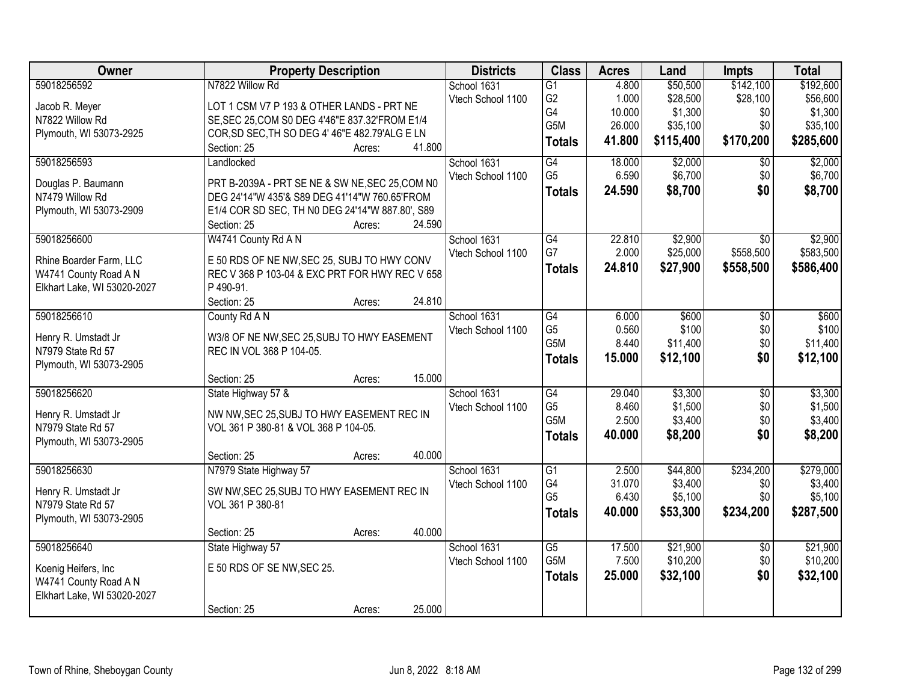| Owner                       | <b>Property Description</b>                               | <b>Districts</b>  | <b>Class</b>     | <b>Acres</b> | Land      | <b>Impts</b>    | <b>Total</b> |
|-----------------------------|-----------------------------------------------------------|-------------------|------------------|--------------|-----------|-----------------|--------------|
| 59018256592                 | N7822 Willow Rd                                           | School 1631       | $\overline{G1}$  | 4.800        | \$50,500  | \$142,100       | \$192,600    |
| Jacob R. Meyer              | LOT 1 CSM V7 P 193 & OTHER LANDS - PRT NE                 | Vtech School 1100 | G <sub>2</sub>   | 1.000        | \$28,500  | \$28,100        | \$56,600     |
| N7822 Willow Rd             | SE, SEC 25, COM S0 DEG 4'46"E 837.32'FROM E1/4            |                   | G4               | 10.000       | \$1,300   | \$0             | \$1,300      |
| Plymouth, WI 53073-2925     | COR, SD SEC, TH SO DEG 4' 46"E 482.79'ALG E LN            |                   | G <sub>5</sub> M | 26.000       | \$35,100  | \$0             | \$35,100     |
|                             | 41.800<br>Section: 25<br>Acres:                           |                   | <b>Totals</b>    | 41.800       | \$115,400 | \$170,200       | \$285,600    |
| 59018256593                 | Landlocked                                                | School 1631       | $\overline{G4}$  | 18.000       | \$2,000   | $\overline{50}$ | \$2,000      |
|                             |                                                           | Vtech School 1100 | G <sub>5</sub>   | 6.590        | \$6,700   | \$0             | \$6,700      |
| Douglas P. Baumann          | PRT B-2039A - PRT SE NE & SW NE, SEC 25, COM NO           |                   | <b>Totals</b>    | 24.590       | \$8,700   | \$0             | \$8,700      |
| N7479 Willow Rd             | DEG 24'14"W 435'& S89 DEG 41'14"W 760.65'FROM             |                   |                  |              |           |                 |              |
| Plymouth, WI 53073-2909     | E1/4 COR SD SEC, TH N0 DEG 24'14"W 887.80', S89<br>24.590 |                   |                  |              |           |                 |              |
| 59018256600                 | Section: 25<br>Acres:<br>W4741 County Rd A N              | School 1631       | $\overline{G4}$  | 22.810       | \$2,900   | $\overline{50}$ | \$2,900      |
|                             |                                                           | Vtech School 1100 | G7               | 2.000        | \$25,000  | \$558,500       | \$583,500    |
| Rhine Boarder Farm, LLC     | E 50 RDS OF NE NW, SEC 25, SUBJ TO HWY CONV               |                   |                  | 24.810       | \$27,900  | \$558,500       | \$586,400    |
| W4741 County Road A N       | REC V 368 P 103-04 & EXC PRT FOR HWY REC V 658            |                   | <b>Totals</b>    |              |           |                 |              |
| Elkhart Lake, WI 53020-2027 | P 490-91.                                                 |                   |                  |              |           |                 |              |
|                             | Section: 25<br>24.810<br>Acres:                           |                   |                  |              |           |                 |              |
| 59018256610                 | County Rd A N                                             | School 1631       | $\overline{G4}$  | 6.000        | \$600     | \$0             | \$600        |
| Henry R. Umstadt Jr         | W3/8 OF NE NW, SEC 25, SUBJ TO HWY EASEMENT               | Vtech School 1100 | G <sub>5</sub>   | 0.560        | \$100     | \$0             | \$100        |
| N7979 State Rd 57           | REC IN VOL 368 P 104-05.                                  |                   | G5M              | 8.440        | \$11,400  | \$0             | \$11,400     |
| Plymouth, WI 53073-2905     |                                                           |                   | <b>Totals</b>    | 15.000       | \$12,100  | \$0             | \$12,100     |
|                             | 15.000<br>Section: 25<br>Acres:                           |                   |                  |              |           |                 |              |
| 59018256620                 | State Highway 57 &                                        | School 1631       | $\overline{G4}$  | 29.040       | \$3,300   | $\overline{50}$ | \$3,300      |
|                             |                                                           | Vtech School 1100 | G <sub>5</sub>   | 8.460        | \$1,500   | \$0             | \$1,500      |
| Henry R. Umstadt Jr         | NW NW, SEC 25, SUBJ TO HWY EASEMENT REC IN                |                   | G <sub>5</sub> M | 2.500        | \$3,400   | \$0             | \$3,400      |
| N7979 State Rd 57           | VOL 361 P 380-81 & VOL 368 P 104-05.                      |                   | <b>Totals</b>    | 40.000       | \$8,200   | \$0             | \$8,200      |
| Plymouth, WI 53073-2905     |                                                           |                   |                  |              |           |                 |              |
|                             | 40.000<br>Section: 25<br>Acres:                           |                   |                  |              |           |                 |              |
| 59018256630                 | N7979 State Highway 57                                    | School 1631       | $\overline{G1}$  | 2.500        | \$44,800  | \$234,200       | \$279,000    |
| Henry R. Umstadt Jr         | SW NW, SEC 25, SUBJ TO HWY EASEMENT REC IN                | Vtech School 1100 | G4               | 31.070       | \$3,400   | \$0             | \$3,400      |
| N7979 State Rd 57           | VOL 361 P 380-81                                          |                   | G <sub>5</sub>   | 6.430        | \$5,100   | \$0             | \$5,100      |
| Plymouth, WI 53073-2905     |                                                           |                   | <b>Totals</b>    | 40.000       | \$53,300  | \$234,200       | \$287,500    |
|                             | 40.000<br>Section: 25<br>Acres:                           |                   |                  |              |           |                 |              |
| 59018256640                 | State Highway 57                                          | School 1631       | $\overline{G5}$  | 17.500       | \$21,900  | $\overline{50}$ | \$21,900     |
| Koenig Heifers, Inc         | E 50 RDS OF SE NW, SEC 25.                                | Vtech School 1100 | G <sub>5</sub> M | 7.500        | \$10,200  | \$0             | \$10,200     |
| W4741 County Road A N       |                                                           |                   | <b>Totals</b>    | 25.000       | \$32,100  | \$0             | \$32,100     |
| Elkhart Lake, WI 53020-2027 |                                                           |                   |                  |              |           |                 |              |
|                             | 25.000<br>Section: 25<br>Acres:                           |                   |                  |              |           |                 |              |
|                             |                                                           |                   |                  |              |           |                 |              |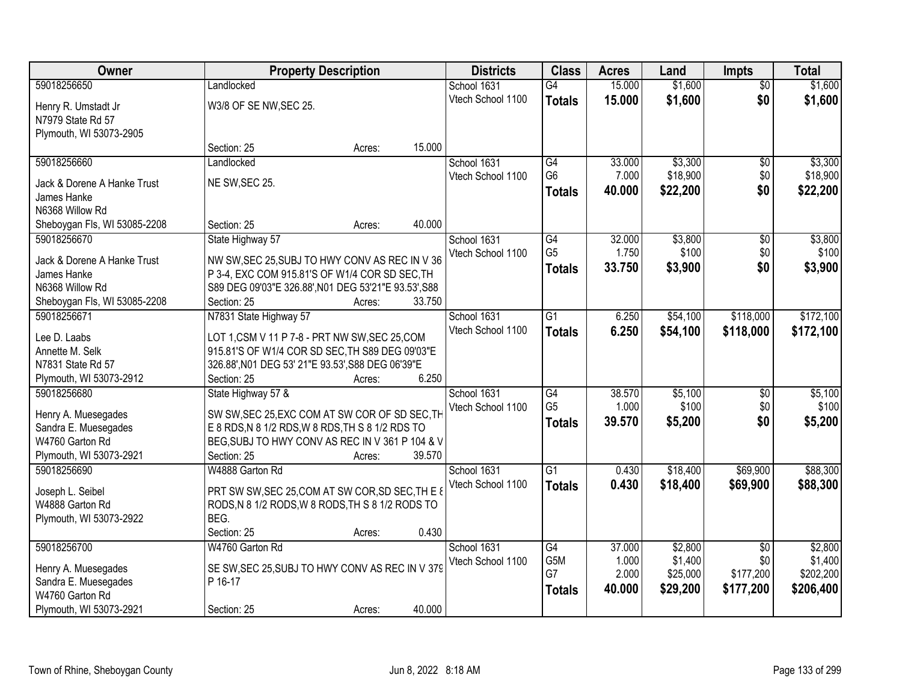| Owner                          | <b>Property Description</b>                          |        |        | <b>Districts</b>  | <b>Class</b>    | <b>Acres</b> | Land     | <b>Impts</b>    | <b>Total</b> |
|--------------------------------|------------------------------------------------------|--------|--------|-------------------|-----------------|--------------|----------|-----------------|--------------|
| 59018256650                    | Landlocked                                           |        |        | School 1631       | $\overline{G4}$ | 15.000       | \$1,600  | $\overline{50}$ | \$1,600      |
| Henry R. Umstadt Jr            | W3/8 OF SE NW, SEC 25.                               |        |        | Vtech School 1100 | <b>Totals</b>   | 15.000       | \$1,600  | \$0             | \$1,600      |
| N7979 State Rd 57              |                                                      |        |        |                   |                 |              |          |                 |              |
| Plymouth, WI 53073-2905        |                                                      |        |        |                   |                 |              |          |                 |              |
|                                | Section: 25                                          | Acres: | 15.000 |                   |                 |              |          |                 |              |
| 59018256660                    | Landlocked                                           |        |        | School 1631       | $\overline{G4}$ | 33.000       | \$3,300  | \$0             | \$3,300      |
|                                |                                                      |        |        | Vtech School 1100 | G <sub>6</sub>  | 7.000        | \$18,900 | \$0             | \$18,900     |
| Jack & Dorene A Hanke Trust    | NE SW, SEC 25.                                       |        |        |                   | <b>Totals</b>   | 40.000       | \$22,200 | \$0             | \$22,200     |
| James Hanke<br>N6368 Willow Rd |                                                      |        |        |                   |                 |              |          |                 |              |
| Sheboygan Fls, WI 53085-2208   | Section: 25                                          | Acres: | 40.000 |                   |                 |              |          |                 |              |
| 59018256670                    | State Highway 57                                     |        |        | School 1631       | G4              | 32.000       | \$3,800  | \$0             | \$3,800      |
|                                |                                                      |        |        | Vtech School 1100 | G <sub>5</sub>  | 1.750        | \$100    | \$0             | \$100        |
| Jack & Dorene A Hanke Trust    | NW SW, SEC 25, SUBJ TO HWY CONV AS REC IN V 36       |        |        |                   | <b>Totals</b>   | 33.750       | \$3,900  | \$0             | \$3,900      |
| James Hanke                    | P 3-4, EXC COM 915.81'S OF W1/4 COR SD SEC, TH       |        |        |                   |                 |              |          |                 |              |
| N6368 Willow Rd                | S89 DEG 09'03"E 326.88', N01 DEG 53'21"E 93.53', S88 |        |        |                   |                 |              |          |                 |              |
| Sheboygan Fls, WI 53085-2208   | Section: 25                                          | Acres: | 33.750 |                   |                 |              |          |                 |              |
| 59018256671                    | N7831 State Highway 57                               |        |        | School 1631       | $\overline{G1}$ | 6.250        | \$54,100 | \$118,000       | \$172,100    |
| Lee D. Laabs                   | LOT 1, CSM V 11 P 7-8 - PRT NW SW, SEC 25, COM       |        |        | Vtech School 1100 | <b>Totals</b>   | 6.250        | \$54,100 | \$118,000       | \$172,100    |
| Annette M. Selk                | 915.81'S OF W1/4 COR SD SEC, TH S89 DEG 09'03"E      |        |        |                   |                 |              |          |                 |              |
| N7831 State Rd 57              | 326.88', N01 DEG 53' 21"E 93.53', S88 DEG 06'39"E    |        |        |                   |                 |              |          |                 |              |
| Plymouth, WI 53073-2912        | Section: 25                                          | Acres: | 6.250  |                   |                 |              |          |                 |              |
| 59018256680                    | State Highway 57 &                                   |        |        | School 1631       | $\overline{G4}$ | 38.570       | \$5,100  | $\overline{50}$ | \$5,100      |
|                                |                                                      |        |        | Vtech School 1100 | G <sub>5</sub>  | 1.000        | \$100    | \$0             | \$100        |
| Henry A. Muesegades            | SW SW, SEC 25, EXC COM AT SW COR OF SD SEC, TH       |        |        |                   | <b>Totals</b>   | 39.570       | \$5,200  | \$0             | \$5,200      |
| Sandra E. Muesegades           | E 8 RDS, N 8 1/2 RDS, W 8 RDS, TH S 8 1/2 RDS TO     |        |        |                   |                 |              |          |                 |              |
| W4760 Garton Rd                | BEG, SUBJ TO HWY CONV AS REC IN V 361 P 104 & V      |        |        |                   |                 |              |          |                 |              |
| Plymouth, WI 53073-2921        | Section: 25                                          | Acres: | 39.570 |                   |                 |              |          |                 |              |
| 59018256690                    | W4888 Garton Rd                                      |        |        | School 1631       | G1              | 0.430        | \$18,400 | \$69,900        | \$88,300     |
| Joseph L. Seibel               | PRT SW SW, SEC 25, COM AT SW COR, SD SEC, TH E 8     |        |        | Vtech School 1100 | <b>Totals</b>   | 0.430        | \$18,400 | \$69,900        | \$88,300     |
| W4888 Garton Rd                | RODS, N 8 1/2 RODS, W 8 RODS, TH S 8 1/2 RODS TO     |        |        |                   |                 |              |          |                 |              |
| Plymouth, WI 53073-2922        | BEG.                                                 |        |        |                   |                 |              |          |                 |              |
|                                | Section: 25                                          | Acres: | 0.430  |                   |                 |              |          |                 |              |
| 59018256700                    | W4760 Garton Rd                                      |        |        | School 1631       | $\overline{G4}$ | 37.000       | \$2,800  | $\overline{30}$ | \$2,800      |
| Henry A. Muesegades            | SE SW, SEC 25, SUBJ TO HWY CONV AS REC IN V 379      |        |        | Vtech School 1100 | G5M             | 1.000        | \$1,400  | \$0             | \$1,400      |
| Sandra E. Muesegades           | P 16-17                                              |        |        |                   | G7              | 2.000        | \$25,000 | \$177,200       | \$202,200    |
| W4760 Garton Rd                |                                                      |        |        |                   | <b>Totals</b>   | 40.000       | \$29,200 | \$177,200       | \$206,400    |
| Plymouth, WI 53073-2921        | Section: 25                                          | Acres: | 40.000 |                   |                 |              |          |                 |              |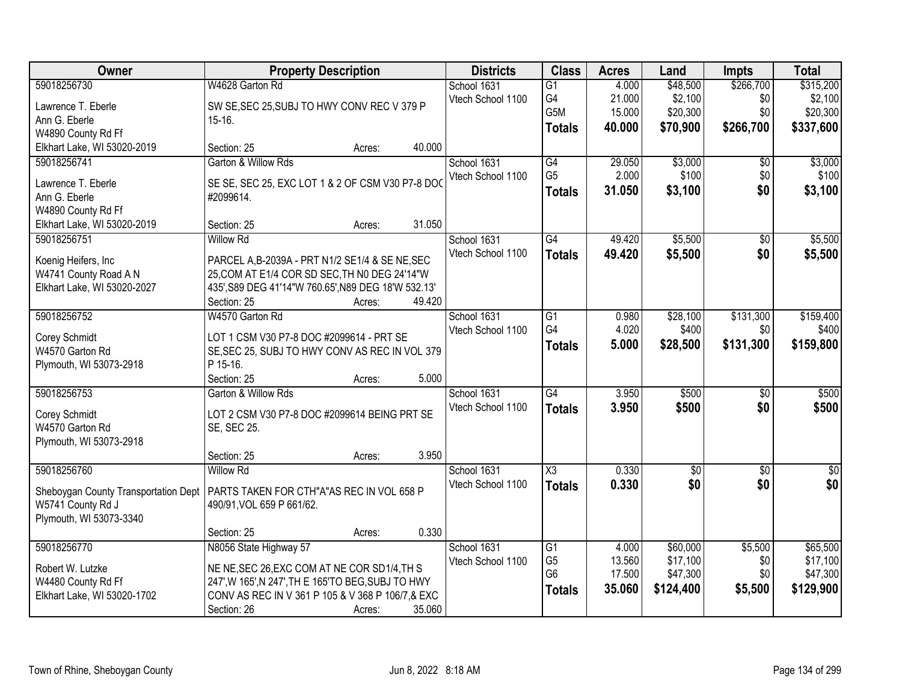| <b>Owner</b>                         | <b>Property Description</b>                         |        |        | <b>Districts</b>  | <b>Class</b>           | <b>Acres</b> | Land            | <b>Impts</b>    | <b>Total</b> |
|--------------------------------------|-----------------------------------------------------|--------|--------|-------------------|------------------------|--------------|-----------------|-----------------|--------------|
| 59018256730                          | W4628 Garton Rd                                     |        |        | School 1631       | $\overline{G1}$        | 4.000        | \$48,500        | \$266,700       | \$315,200    |
| Lawrence T. Eberle                   | SW SE, SEC 25, SUBJ TO HWY CONV REC V 379 P         |        |        | Vtech School 1100 | G4                     | 21.000       | \$2,100         | \$0             | \$2,100      |
| Ann G. Eberle                        | $15-16.$                                            |        |        |                   | G <sub>5</sub> M       | 15.000       | \$20,300        | \$0             | \$20,300     |
| W4890 County Rd Ff                   |                                                     |        |        |                   | <b>Totals</b>          | 40.000       | \$70,900        | \$266,700       | \$337,600    |
| Elkhart Lake, WI 53020-2019          | Section: 25                                         | Acres: | 40.000 |                   |                        |              |                 |                 |              |
| 59018256741                          | Garton & Willow Rds                                 |        |        | School 1631       | G4                     | 29.050       | \$3,000         | $\overline{50}$ | \$3,000      |
|                                      |                                                     |        |        | Vtech School 1100 | G <sub>5</sub>         | 2.000        | \$100           | \$0             | \$100        |
| Lawrence T. Eberle                   | SE SE, SEC 25, EXC LOT 1 & 2 OF CSM V30 P7-8 DO     |        |        |                   | Totals                 | 31.050       | \$3,100         | \$0             | \$3,100      |
| Ann G. Eberle                        | #2099614.                                           |        |        |                   |                        |              |                 |                 |              |
| W4890 County Rd Ff                   |                                                     |        |        |                   |                        |              |                 |                 |              |
| Elkhart Lake, WI 53020-2019          | Section: 25                                         | Acres: | 31.050 |                   |                        |              |                 |                 |              |
| 59018256751                          | <b>Willow Rd</b>                                    |        |        | School 1631       | G4                     | 49.420       | \$5,500         | $\sqrt{50}$     | \$5,500      |
| Koenig Heifers, Inc                  | PARCEL A, B-2039A - PRT N1/2 SE1/4 & SE NE, SEC     |        |        | Vtech School 1100 | <b>Totals</b>          | 49.420       | \$5,500         | \$0             | \$5,500      |
| W4741 County Road A N                | 25, COM AT E1/4 COR SD SEC, TH N0 DEG 24'14"W       |        |        |                   |                        |              |                 |                 |              |
| Elkhart Lake, WI 53020-2027          | 435', S89 DEG 41'14"W 760.65', N89 DEG 18'W 532.13' |        |        |                   |                        |              |                 |                 |              |
|                                      | Section: 25                                         | Acres: | 49.420 |                   |                        |              |                 |                 |              |
| 59018256752                          | W4570 Garton Rd                                     |        |        | School 1631       | G1                     | 0.980        | \$28,100        | \$131,300       | \$159,400    |
|                                      |                                                     |        |        | Vtech School 1100 | G4                     | 4.020        | \$400           | \$0             | \$400        |
| Corey Schmidt                        | LOT 1 CSM V30 P7-8 DOC #2099614 - PRT SE            |        |        |                   | <b>Totals</b>          | 5.000        | \$28,500        | \$131,300       | \$159,800    |
| W4570 Garton Rd                      | SE, SEC 25, SUBJ TO HWY CONV AS REC IN VOL 379      |        |        |                   |                        |              |                 |                 |              |
| Plymouth, WI 53073-2918              | P 15-16.                                            |        |        |                   |                        |              |                 |                 |              |
|                                      | Section: 25                                         | Acres: | 5.000  |                   |                        |              |                 |                 |              |
| 59018256753                          | Garton & Willow Rds                                 |        |        | School 1631       | G4                     | 3.950        | \$500           | $\overline{50}$ | \$500        |
| Corey Schmidt                        | LOT 2 CSM V30 P7-8 DOC #2099614 BEING PRT SE        |        |        | Vtech School 1100 | <b>Totals</b>          | 3.950        | \$500           | \$0             | \$500        |
| W4570 Garton Rd                      | SE, SEC 25.                                         |        |        |                   |                        |              |                 |                 |              |
| Plymouth, WI 53073-2918              |                                                     |        |        |                   |                        |              |                 |                 |              |
|                                      | Section: 25                                         | Acres: | 3.950  |                   |                        |              |                 |                 |              |
| 59018256760                          | <b>Willow Rd</b>                                    |        |        | School 1631       | $\overline{\text{X3}}$ | 0.330        | $\overline{60}$ | $\overline{60}$ | $\sqrt{50}$  |
| Sheboygan County Transportation Dept | PARTS TAKEN FOR CTH"A"AS REC IN VOL 658 P           |        |        | Vtech School 1100 | <b>Totals</b>          | 0.330        | \$0             | \$0             | \$0          |
| W5741 County Rd J                    | 490/91, VOL 659 P 661/62.                           |        |        |                   |                        |              |                 |                 |              |
| Plymouth, WI 53073-3340              |                                                     |        |        |                   |                        |              |                 |                 |              |
|                                      | Section: 25                                         | Acres: | 0.330  |                   |                        |              |                 |                 |              |
| 59018256770                          | N8056 State Highway 57                              |        |        | School 1631       | G1                     | 4.000        | \$60,000        | \$5,500         | \$65,500     |
|                                      |                                                     |        |        | Vtech School 1100 | G <sub>5</sub>         | 13.560       | \$17,100        | \$0             | \$17,100     |
| Robert W. Lutzke                     | NE NE, SEC 26, EXC COM AT NE COR SD1/4, TH S        |        |        |                   | G <sub>6</sub>         | 17.500       | \$47,300        | \$0             | \$47,300     |
| W4480 County Rd Ff                   | 247', W 165', N 247', TH E 165'TO BEG, SUBJ TO HWY  |        |        |                   | <b>Totals</b>          | 35.060       | \$124,400       | \$5,500         | \$129,900    |
| Elkhart Lake, WI 53020-1702          | CONV AS REC IN V 361 P 105 & V 368 P 106/7, & EXC   |        |        |                   |                        |              |                 |                 |              |
|                                      | Section: 26                                         | Acres: | 35.060 |                   |                        |              |                 |                 |              |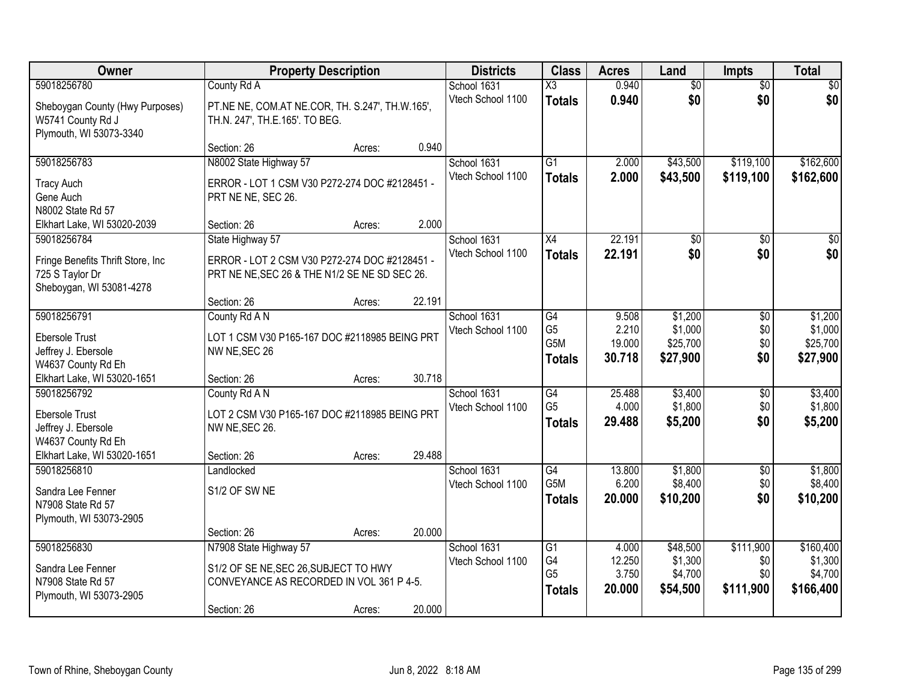| Owner                                                                                                            | <b>Property Description</b>                                                                                 |        |        | <b>Districts</b>                 | <b>Class</b>                                       | <b>Acres</b>                       | Land                                       | <b>Impts</b>                         | <b>Total</b>                                 |
|------------------------------------------------------------------------------------------------------------------|-------------------------------------------------------------------------------------------------------------|--------|--------|----------------------------------|----------------------------------------------------|------------------------------------|--------------------------------------------|--------------------------------------|----------------------------------------------|
| 59018256780                                                                                                      | County Rd A                                                                                                 |        |        | School 1631                      | $\overline{\text{X3}}$                             | 0.940                              | $\overline{50}$                            | $\overline{50}$                      | \$0                                          |
| Sheboygan County (Hwy Purposes)<br>W5741 County Rd J<br>Plymouth, WI 53073-3340                                  | PT.NE NE, COM.AT NE.COR, TH. S.247', TH.W.165',<br>TH.N. 247', TH.E.165'. TO BEG.                           |        |        | Vtech School 1100                | <b>Totals</b>                                      | 0.940                              | \$0                                        | \$0                                  | \$0                                          |
|                                                                                                                  | Section: 26                                                                                                 | Acres: | 0.940  |                                  |                                                    |                                    |                                            |                                      |                                              |
| 59018256783                                                                                                      | N8002 State Highway 57                                                                                      |        |        | School 1631                      | $\overline{G1}$                                    | 2.000                              | \$43,500                                   | \$119,100                            | \$162,600                                    |
| <b>Tracy Auch</b><br>Gene Auch<br>N8002 State Rd 57                                                              | ERROR - LOT 1 CSM V30 P272-274 DOC #2128451 -<br>PRT NE NE, SEC 26.                                         |        |        | Vtech School 1100                | <b>Totals</b>                                      | 2.000                              | \$43,500                                   | \$119,100                            | \$162,600                                    |
| Elkhart Lake, WI 53020-2039                                                                                      | Section: 26                                                                                                 | Acres: | 2.000  |                                  |                                                    |                                    |                                            |                                      |                                              |
| 59018256784                                                                                                      | State Highway 57                                                                                            |        |        | School 1631                      | X4                                                 | 22.191                             | $\overline{50}$                            | \$0                                  | $\overline{30}$                              |
| Fringe Benefits Thrift Store, Inc.<br>725 S Taylor Dr<br>Sheboygan, WI 53081-4278                                | ERROR - LOT 2 CSM V30 P272-274 DOC #2128451 -<br>PRT NE NE, SEC 26 & THE N1/2 SE NE SD SEC 26.              |        |        | Vtech School 1100                | <b>Totals</b>                                      | 22.191                             | \$0                                        | \$0                                  | \$0                                          |
|                                                                                                                  | Section: 26                                                                                                 | Acres: | 22.191 |                                  |                                                    |                                    |                                            |                                      |                                              |
| 59018256791<br><b>Ebersole Trust</b><br>Jeffrey J. Ebersole<br>W4637 County Rd Eh                                | County Rd A N<br>LOT 1 CSM V30 P165-167 DOC #2118985 BEING PRT<br>NW NE, SEC 26                             |        |        | School 1631<br>Vtech School 1100 | G4<br>G <sub>5</sub><br>G5M<br><b>Totals</b>       | 9.508<br>2.210<br>19.000<br>30.718 | \$1,200<br>\$1,000<br>\$25,700<br>\$27,900 | $\sqrt[6]{3}$<br>\$0<br>\$0<br>\$0   | \$1,200<br>\$1,000<br>\$25,700<br>\$27,900   |
| Elkhart Lake, WI 53020-1651                                                                                      | Section: 26                                                                                                 | Acres: | 30.718 |                                  |                                                    |                                    |                                            |                                      |                                              |
| 59018256792<br><b>Ebersole Trust</b><br>Jeffrey J. Ebersole<br>W4637 County Rd Eh<br>Elkhart Lake, WI 53020-1651 | County Rd A N<br>LOT 2 CSM V30 P165-167 DOC #2118985 BEING PRT<br>NW NE, SEC 26.<br>Section: 26             |        | 29.488 | School 1631<br>Vtech School 1100 | $\overline{G4}$<br>G <sub>5</sub><br><b>Totals</b> | 25.488<br>4.000<br>29.488          | \$3,400<br>\$1,800<br>\$5,200              | $\overline{50}$<br>\$0<br>\$0        | \$3,400<br>\$1,800<br>\$5,200                |
| 59018256810                                                                                                      | Landlocked                                                                                                  | Acres: |        | School 1631                      | G4                                                 | 13.800                             | \$1,800                                    | $\sqrt{6}$                           | \$1,800                                      |
| Sandra Lee Fenner<br>N7908 State Rd 57<br>Plymouth, WI 53073-2905                                                | S1/2 OF SW NE                                                                                               |        |        | Vtech School 1100                | G <sub>5</sub> M<br><b>Totals</b>                  | 6.200<br>20.000                    | \$8,400<br>\$10,200                        | \$0<br>\$0                           | \$8,400<br>\$10,200                          |
|                                                                                                                  | Section: 26                                                                                                 | Acres: | 20.000 |                                  |                                                    |                                    |                                            |                                      |                                              |
| 59018256830<br>Sandra Lee Fenner<br>N7908 State Rd 57<br>Plymouth, WI 53073-2905                                 | N7908 State Highway 57<br>S1/2 OF SE NE, SEC 26, SUBJECT TO HWY<br>CONVEYANCE AS RECORDED IN VOL 361 P 4-5. |        |        | School 1631<br>Vtech School 1100 | G1<br>G4<br>G <sub>5</sub><br><b>Totals</b>        | 4.000<br>12.250<br>3.750<br>20.000 | \$48,500<br>\$1,300<br>\$4,700<br>\$54,500 | \$111,900<br>\$0<br>\$0<br>\$111,900 | \$160,400<br>\$1,300<br>\$4,700<br>\$166,400 |
|                                                                                                                  | Section: 26                                                                                                 | Acres: | 20.000 |                                  |                                                    |                                    |                                            |                                      |                                              |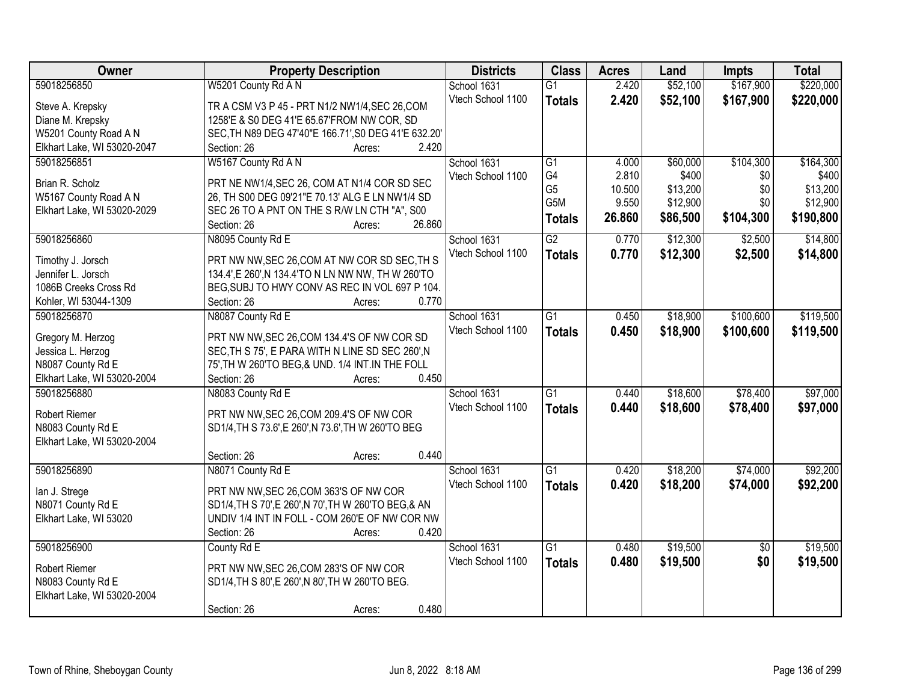| Owner                       | <b>Property Description</b>                           | <b>Districts</b>  | <b>Class</b>    | <b>Acres</b> | Land     | Impts           | <b>Total</b> |
|-----------------------------|-------------------------------------------------------|-------------------|-----------------|--------------|----------|-----------------|--------------|
| 59018256850                 | W5201 County Rd A N                                   | School 1631       | $\overline{G1}$ | 2.420        | \$52,100 | \$167,900       | \$220,000    |
| Steve A. Krepsky            | TR A CSM V3 P 45 - PRT N1/2 NW1/4, SEC 26, COM        | Vtech School 1100 | <b>Totals</b>   | 2.420        | \$52,100 | \$167,900       | \$220,000    |
| Diane M. Krepsky            | 1258'E & S0 DEG 41'E 65.67'FROM NW COR, SD            |                   |                 |              |          |                 |              |
| W5201 County Road A N       | SEC, TH N89 DEG 47'40"E 166.71', S0 DEG 41'E 632.20'  |                   |                 |              |          |                 |              |
| Elkhart Lake, WI 53020-2047 | 2.420<br>Section: 26<br>Acres:                        |                   |                 |              |          |                 |              |
| 59018256851                 | W5167 County Rd A N                                   | School 1631       | $\overline{G1}$ | 4.000        | \$60,000 | \$104,300       | \$164,300    |
| Brian R. Scholz             | PRT NE NW1/4, SEC 26, COM AT N1/4 COR SD SEC          | Vtech School 1100 | G4              | 2.810        | \$400    | \$0             | \$400        |
| W5167 County Road A N       | 26, TH S00 DEG 09'21"E 70.13' ALG E LN NW1/4 SD       |                   | G <sub>5</sub>  | 10.500       | \$13,200 | \$0             | \$13,200     |
| Elkhart Lake, WI 53020-2029 | SEC 26 TO A PNT ON THE S R/W LN CTH "A", S00          |                   | G5M             | 9.550        | \$12,900 | \$0             | \$12,900     |
|                             | 26.860<br>Section: 26<br>Acres:                       |                   | <b>Totals</b>   | 26.860       | \$86,500 | \$104,300       | \$190,800    |
| 59018256860                 | N8095 County Rd E                                     | School 1631       | $\overline{G2}$ | 0.770        | \$12,300 | \$2,500         | \$14,800     |
| Timothy J. Jorsch           | PRT NW NW, SEC 26, COM AT NW COR SD SEC, TH S         | Vtech School 1100 | <b>Totals</b>   | 0.770        | \$12,300 | \$2,500         | \$14,800     |
| Jennifer L. Jorsch          | 134.4', E 260', N 134.4'TO N LN NW NW, TH W 260'TO    |                   |                 |              |          |                 |              |
| 1086B Creeks Cross Rd       | BEG, SUBJ TO HWY CONV AS REC IN VOL 697 P 104.        |                   |                 |              |          |                 |              |
| Kohler, WI 53044-1309       | Section: 26<br>0.770<br>Acres:                        |                   |                 |              |          |                 |              |
| 59018256870                 | N8087 County Rd E                                     | School 1631       | G1              | 0.450        | \$18,900 | \$100,600       | \$119,500    |
|                             |                                                       | Vtech School 1100 |                 | 0.450        | \$18,900 | \$100,600       | \$119,500    |
| Gregory M. Herzog           | PRT NW NW, SEC 26, COM 134.4'S OF NW COR SD           |                   | <b>Totals</b>   |              |          |                 |              |
| Jessica L. Herzog           | SEC, TH S 75', E PARA WITH N LINE SD SEC 260', N      |                   |                 |              |          |                 |              |
| N8087 County Rd E           | 75', TH W 260'TO BEG, & UND. 1/4 INT. IN THE FOLL     |                   |                 |              |          |                 |              |
| Elkhart Lake, WI 53020-2004 | 0.450<br>Section: 26<br>Acres:                        |                   |                 |              |          |                 |              |
| 59018256880                 | N8083 County Rd E                                     | School 1631       | $\overline{G1}$ | 0.440        | \$18,600 | \$78,400        | \$97,000     |
| <b>Robert Riemer</b>        | PRT NW NW, SEC 26, COM 209.4'S OF NW COR              | Vtech School 1100 | <b>Totals</b>   | 0.440        | \$18,600 | \$78,400        | \$97,000     |
| N8083 County Rd E           | SD1/4, TH S 73.6', E 260', N 73.6', TH W 260'TO BEG   |                   |                 |              |          |                 |              |
| Elkhart Lake, WI 53020-2004 |                                                       |                   |                 |              |          |                 |              |
|                             | 0.440<br>Section: 26<br>Acres:                        |                   |                 |              |          |                 |              |
| 59018256890                 | N8071 County Rd E                                     | School 1631       | $\overline{G1}$ | 0.420        | \$18,200 | \$74,000        | \$92,200     |
|                             |                                                       | Vtech School 1100 | <b>Totals</b>   | 0.420        | \$18,200 | \$74,000        | \$92,200     |
| lan J. Strege               | PRT NW NW, SEC 26, COM 363'S OF NW COR                |                   |                 |              |          |                 |              |
| N8071 County Rd E           | SD1/4, TH S 70', E 260', N 70', TH W 260'TO BEG, & AN |                   |                 |              |          |                 |              |
| Elkhart Lake, WI 53020      | UNDIV 1/4 INT IN FOLL - COM 260'E OF NW COR NW        |                   |                 |              |          |                 |              |
|                             | 0.420<br>Section: 26<br>Acres:                        |                   |                 |              |          |                 |              |
| 59018256900                 | County Rd E                                           | School 1631       | $\overline{G1}$ | 0.480        | \$19,500 | $\overline{50}$ | \$19,500     |
| <b>Robert Riemer</b>        | PRT NW NW, SEC 26, COM 283'S OF NW COR                | Vtech School 1100 | <b>Totals</b>   | 0.480        | \$19,500 | \$0             | \$19,500     |
| N8083 County Rd E           | SD1/4, TH S 80', E 260', N 80', TH W 260'TO BEG.      |                   |                 |              |          |                 |              |
| Elkhart Lake, WI 53020-2004 |                                                       |                   |                 |              |          |                 |              |
|                             | 0.480<br>Section: 26<br>Acres:                        |                   |                 |              |          |                 |              |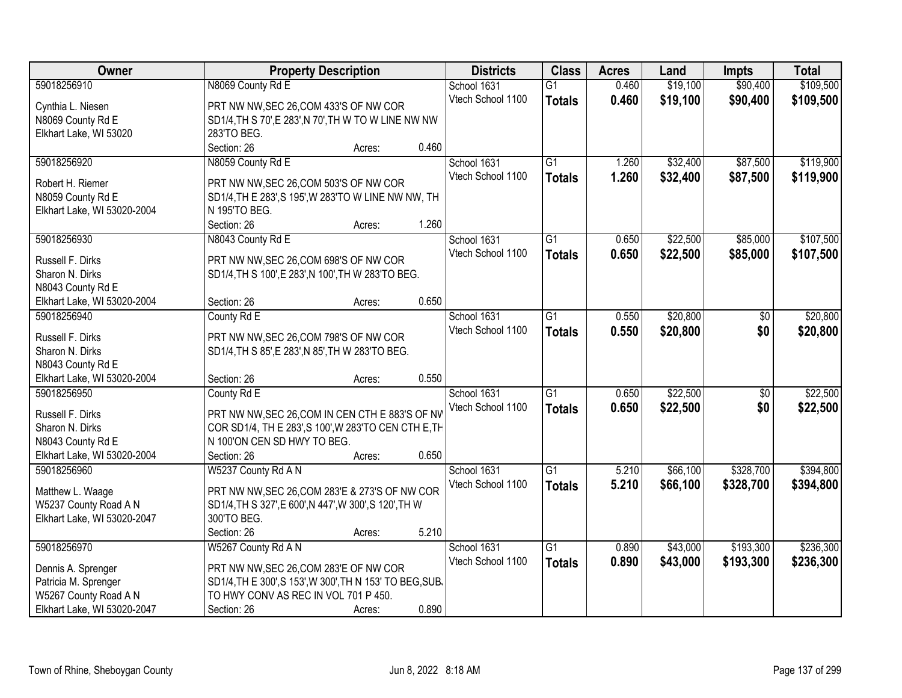| Owner                                            | <b>Property Description</b>                              |        |       | <b>Districts</b>  | <b>Class</b>    | <b>Acres</b> | Land     | <b>Impts</b>    | <b>Total</b> |
|--------------------------------------------------|----------------------------------------------------------|--------|-------|-------------------|-----------------|--------------|----------|-----------------|--------------|
| 59018256910                                      | N8069 County Rd E                                        |        |       | School 1631       | $\overline{G1}$ | 0.460        | \$19,100 | \$90,400        | \$109,500    |
| Cynthia L. Niesen                                | PRT NW NW, SEC 26, COM 433'S OF NW COR                   |        |       | Vtech School 1100 | <b>Totals</b>   | 0.460        | \$19,100 | \$90,400        | \$109,500    |
| N8069 County Rd E                                | SD1/4, TH S 70', E 283', N 70', TH W TO W LINE NW NW     |        |       |                   |                 |              |          |                 |              |
| Elkhart Lake, WI 53020                           | 283'TO BEG.                                              |        |       |                   |                 |              |          |                 |              |
|                                                  | Section: 26                                              | Acres: | 0.460 |                   |                 |              |          |                 |              |
| 59018256920                                      | N8059 County Rd E                                        |        |       | School 1631       | $\overline{G1}$ | 1.260        | \$32,400 | \$87,500        | \$119,900    |
|                                                  |                                                          |        |       | Vtech School 1100 | <b>Totals</b>   | 1.260        | \$32,400 | \$87,500        | \$119,900    |
| Robert H. Riemer                                 | PRT NW NW, SEC 26, COM 503'S OF NW COR                   |        |       |                   |                 |              |          |                 |              |
| N8059 County Rd E                                | SD1/4, TH E 283', S 195', W 283'TO W LINE NW NW, TH      |        |       |                   |                 |              |          |                 |              |
| Elkhart Lake, WI 53020-2004                      | N 195'TO BEG.                                            |        | 1.260 |                   |                 |              |          |                 |              |
|                                                  | Section: 26                                              | Acres: |       |                   |                 |              |          | \$85,000        |              |
| 59018256930                                      | N8043 County Rd E                                        |        |       | School 1631       | $\overline{G1}$ | 0.650        | \$22,500 |                 | \$107,500    |
| Russell F. Dirks                                 | PRT NW NW, SEC 26, COM 698'S OF NW COR                   |        |       | Vtech School 1100 | <b>Totals</b>   | 0.650        | \$22,500 | \$85,000        | \$107,500    |
| Sharon N. Dirks                                  | SD1/4, TH S 100', E 283', N 100', TH W 283'TO BEG.       |        |       |                   |                 |              |          |                 |              |
| N8043 County Rd E                                |                                                          |        |       |                   |                 |              |          |                 |              |
| Elkhart Lake, WI 53020-2004                      | Section: 26                                              | Acres: | 0.650 |                   |                 |              |          |                 |              |
| 59018256940                                      | County Rd E                                              |        |       | School 1631       | $\overline{G1}$ | 0.550        | \$20,800 | $\sqrt[6]{30}$  | \$20,800     |
|                                                  |                                                          |        |       | Vtech School 1100 | <b>Totals</b>   | 0.550        | \$20,800 | \$0             | \$20,800     |
| Russell F. Dirks                                 | PRT NW NW, SEC 26, COM 798'S OF NW COR                   |        |       |                   |                 |              |          |                 |              |
| Sharon N. Dirks                                  | SD1/4, TH S 85', E 283', N 85', TH W 283' TO BEG.        |        |       |                   |                 |              |          |                 |              |
| N8043 County Rd E<br>Elkhart Lake, WI 53020-2004 |                                                          |        | 0.550 |                   |                 |              |          |                 |              |
| 59018256950                                      | Section: 26                                              | Acres: |       |                   | $\overline{G1}$ | 0.650        | \$22,500 | $\overline{50}$ | \$22,500     |
|                                                  | County Rd E                                              |        |       | School 1631       |                 |              |          |                 |              |
| Russell F. Dirks                                 | PRT NW NW, SEC 26, COM IN CEN CTH E 883'S OF NW          |        |       | Vtech School 1100 | <b>Totals</b>   | 0.650        | \$22,500 | \$0             | \$22,500     |
| Sharon N. Dirks                                  | COR SD1/4, TH E 283', S 100', W 283'TO CEN CTH E, TH     |        |       |                   |                 |              |          |                 |              |
| N8043 County Rd E                                | N 100'ON CEN SD HWY TO BEG.                              |        |       |                   |                 |              |          |                 |              |
| Elkhart Lake, WI 53020-2004                      | Section: 26                                              | Acres: | 0.650 |                   |                 |              |          |                 |              |
| 59018256960                                      | W5237 County Rd A N                                      |        |       | School 1631       | $\overline{G1}$ | 5.210        | \$66,100 | \$328,700       | \$394,800    |
| Matthew L. Waage                                 | PRT NW NW, SEC 26, COM 283'E & 273'S OF NW COR           |        |       | Vtech School 1100 | <b>Totals</b>   | 5.210        | \$66,100 | \$328,700       | \$394,800    |
| W5237 County Road A N                            | SD1/4, TH S 327', E 600', N 447', W 300', S 120', TH W   |        |       |                   |                 |              |          |                 |              |
| Elkhart Lake, WI 53020-2047                      | 300'TO BEG.                                              |        |       |                   |                 |              |          |                 |              |
|                                                  | Section: 26                                              | Acres: | 5.210 |                   |                 |              |          |                 |              |
| 59018256970                                      | W5267 County Rd A N                                      |        |       | School 1631       | $\overline{G1}$ | 0.890        | \$43,000 | \$193,300       | \$236,300    |
|                                                  |                                                          |        |       | Vtech School 1100 |                 | 0.890        | \$43,000 | \$193,300       |              |
| Dennis A. Sprenger                               | PRT NW NW, SEC 26, COM 283'E OF NW COR                   |        |       |                   | <b>Totals</b>   |              |          |                 | \$236,300    |
| Patricia M. Sprenger                             | SD1/4, TH E 300', S 153', W 300', TH N 153' TO BEG, SUB. |        |       |                   |                 |              |          |                 |              |
| W5267 County Road A N                            | TO HWY CONV AS REC IN VOL 701 P 450.                     |        |       |                   |                 |              |          |                 |              |
| Elkhart Lake, WI 53020-2047                      | Section: 26                                              | Acres: | 0.890 |                   |                 |              |          |                 |              |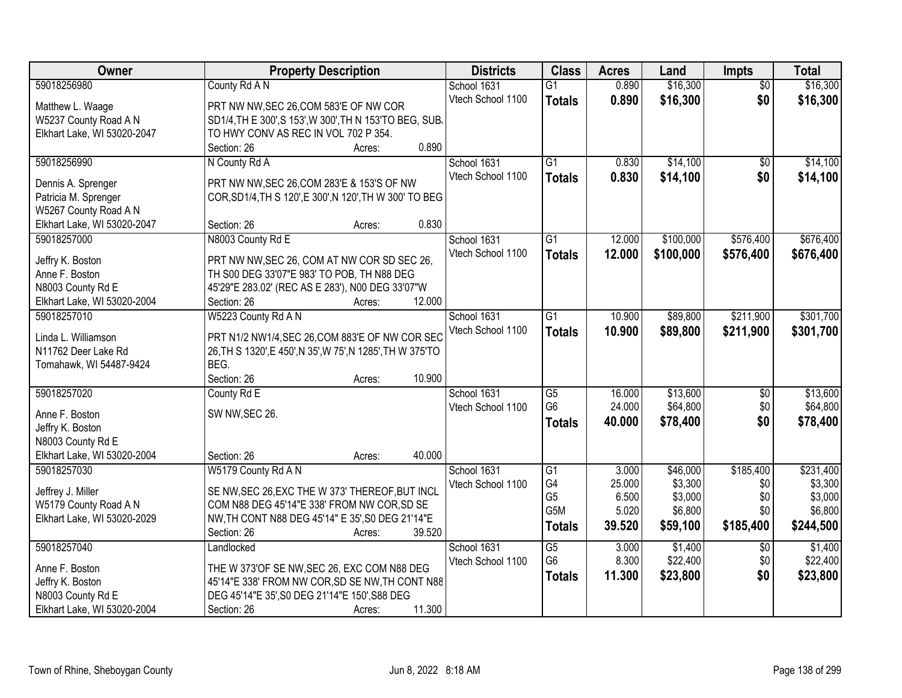| Owner                                      | <b>Property Description</b>                                        | <b>Districts</b>  | <b>Class</b>     | <b>Acres</b> | Land      | Impts           | <b>Total</b> |
|--------------------------------------------|--------------------------------------------------------------------|-------------------|------------------|--------------|-----------|-----------------|--------------|
| 59018256980                                | County Rd A N                                                      | School 1631       | $\overline{G1}$  | 0.890        | \$16,300  | $\overline{50}$ | \$16,300     |
| Matthew L. Waage                           | PRT NW NW, SEC 26, COM 583'E OF NW COR                             | Vtech School 1100 | <b>Totals</b>    | 0.890        | \$16,300  | \$0             | \$16,300     |
| W5237 County Road A N                      | SD1/4, TH E 300', S 153', W 300', TH N 153'TO BEG, SUB,            |                   |                  |              |           |                 |              |
| Elkhart Lake, WI 53020-2047                | TO HWY CONV AS REC IN VOL 702 P 354.                               |                   |                  |              |           |                 |              |
|                                            | 0.890<br>Section: 26<br>Acres:                                     |                   |                  |              |           |                 |              |
| 59018256990                                | N County Rd A                                                      | School 1631       | $\overline{G1}$  | 0.830        | \$14,100  | $\overline{50}$ | \$14,100     |
|                                            |                                                                    | Vtech School 1100 | <b>Totals</b>    | 0.830        | \$14,100  | \$0             | \$14,100     |
| Dennis A. Sprenger                         | PRT NW NW, SEC 26, COM 283'E & 153'S OF NW                         |                   |                  |              |           |                 |              |
| Patricia M. Sprenger                       | COR, SD1/4, TH S 120', E 300', N 120', TH W 300' TO BEG            |                   |                  |              |           |                 |              |
| W5267 County Road A N                      |                                                                    |                   |                  |              |           |                 |              |
| Elkhart Lake, WI 53020-2047                | 0.830<br>Section: 26<br>Acres:                                     |                   |                  |              |           |                 |              |
| 59018257000                                | N8003 County Rd E                                                  | School 1631       | G1               | 12.000       | \$100,000 | \$576,400       | \$676,400    |
| Jeffry K. Boston                           | PRT NW NW, SEC 26, COM AT NW COR SD SEC 26,                        | Vtech School 1100 | <b>Totals</b>    | 12.000       | \$100,000 | \$576,400       | \$676,400    |
| Anne F. Boston                             | TH S00 DEG 33'07"E 983' TO POB, TH N88 DEG                         |                   |                  |              |           |                 |              |
| N8003 County Rd E                          | 45'29"E 283.02' (REC AS E 283'), N00 DEG 33'07"W                   |                   |                  |              |           |                 |              |
| Elkhart Lake, WI 53020-2004                | 12.000<br>Section: 26<br>Acres:                                    |                   |                  |              |           |                 |              |
| 59018257010                                | W5223 County Rd A N                                                | School 1631       | $\overline{G1}$  | 10.900       | \$89,800  | \$211,900       | \$301,700    |
|                                            |                                                                    | Vtech School 1100 | <b>Totals</b>    | 10.900       | \$89,800  | \$211,900       | \$301,700    |
| Linda L. Williamson<br>N11762 Deer Lake Rd | PRT N1/2 NW1/4, SEC 26, COM 883'E OF NW COR SEC                    |                   |                  |              |           |                 |              |
| Tomahawk, WI 54487-9424                    | 26, TH S 1320', E 450', N 35', W 75', N 1285', TH W 375'TO<br>BEG. |                   |                  |              |           |                 |              |
|                                            | Section: 26<br>10.900<br>Acres:                                    |                   |                  |              |           |                 |              |
| 59018257020                                | County Rd E                                                        | School 1631       | G5               | 16.000       | \$13,600  | $\overline{50}$ | \$13,600     |
|                                            |                                                                    | Vtech School 1100 | G <sub>6</sub>   | 24.000       | \$64,800  | \$0             | \$64,800     |
| Anne F. Boston                             | SW NW, SEC 26.                                                     |                   |                  | 40.000       | \$78,400  | \$0             | \$78,400     |
| Jeffry K. Boston                           |                                                                    |                   | <b>Totals</b>    |              |           |                 |              |
| N8003 County Rd E                          |                                                                    |                   |                  |              |           |                 |              |
| Elkhart Lake, WI 53020-2004                | 40.000<br>Section: 26<br>Acres:                                    |                   |                  |              |           |                 |              |
| 59018257030                                | W5179 County Rd A N                                                | School 1631       | G1               | 3.000        | \$46,000  | \$185,400       | \$231,400    |
| Jeffrey J. Miller                          | SE NW, SEC 26, EXC THE W 373' THEREOF, BUT INCL                    | Vtech School 1100 | G4               | 25.000       | \$3,300   | \$0             | \$3,300      |
| W5179 County Road A N                      | COM N88 DEG 45'14"E 338' FROM NW COR, SD SE                        |                   | G <sub>5</sub>   | 6.500        | \$3,000   | \$0             | \$3,000      |
| Elkhart Lake, WI 53020-2029                | NW, TH CONT N88 DEG 45'14" E 35', S0 DEG 21'14"E                   |                   | G <sub>5</sub> M | 5.020        | \$6,800   | \$0             | \$6,800      |
|                                            | 39.520<br>Section: 26<br>Acres:                                    |                   | <b>Totals</b>    | 39.520       | \$59,100  | \$185,400       | \$244,500    |
| 59018257040                                | Landlocked                                                         | School 1631       | $\overline{G5}$  | 3.000        | \$1,400   | $\overline{50}$ | \$1,400      |
|                                            |                                                                    | Vtech School 1100 | G <sub>6</sub>   | 8.300        | \$22,400  | \$0             | \$22,400     |
| Anne F. Boston                             | THE W 373'OF SE NW, SEC 26, EXC COM N88 DEG                        |                   | <b>Totals</b>    | 11.300       | \$23,800  | \$0             | \$23,800     |
| Jeffry K. Boston                           | 45'14"E 338' FROM NW COR, SD SE NW, TH CONT N88                    |                   |                  |              |           |                 |              |
| N8003 County Rd E                          | DEG 45'14"E 35', S0 DEG 21'14"E 150', S88 DEG                      |                   |                  |              |           |                 |              |
| Elkhart Lake, WI 53020-2004                | 11.300<br>Section: 26<br>Acres:                                    |                   |                  |              |           |                 |              |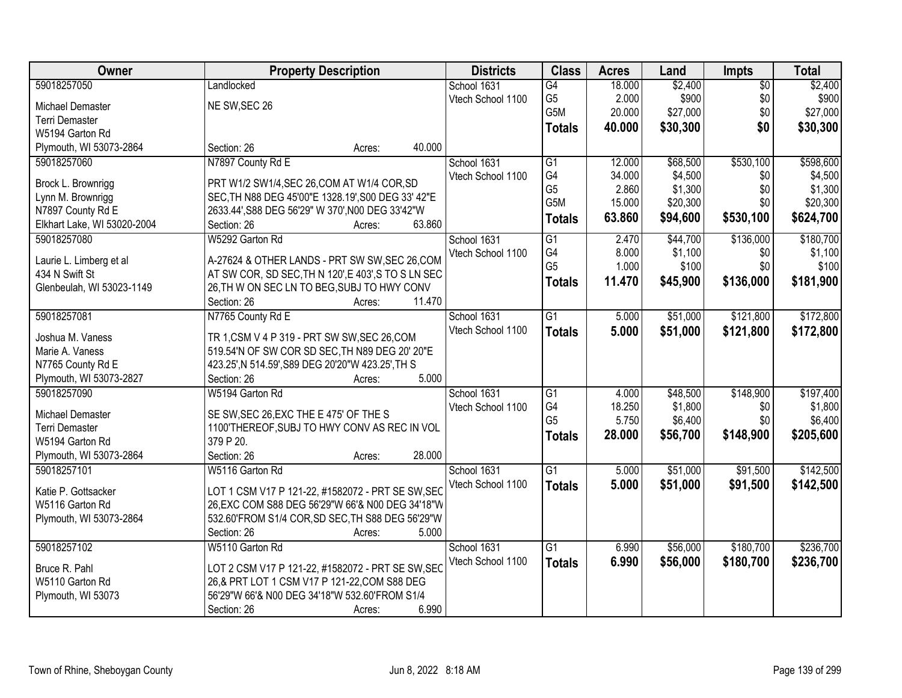| Owner                       | <b>Property Description</b>                         | <b>Districts</b>  | <b>Class</b>         | <b>Acres</b>    | Land             | Impts           | <b>Total</b>         |
|-----------------------------|-----------------------------------------------------|-------------------|----------------------|-----------------|------------------|-----------------|----------------------|
| 59018257050                 | Landlocked                                          | School 1631       | G4                   | 18.000          | \$2,400          | $\overline{50}$ | \$2,400              |
| Michael Demaster            | NE SW, SEC 26                                       | Vtech School 1100 | G <sub>5</sub>       | 2.000           | \$900            | \$0             | \$900                |
| <b>Terri Demaster</b>       |                                                     |                   | G5M                  | 20.000          | \$27,000         | \$0             | \$27,000             |
| W5194 Garton Rd             |                                                     |                   | <b>Totals</b>        | 40.000          | \$30,300         | \$0             | \$30,300             |
| Plymouth, WI 53073-2864     | 40.000<br>Section: 26<br>Acres:                     |                   |                      |                 |                  |                 |                      |
| 59018257060                 | N7897 County Rd E                                   | School 1631       | $\overline{G1}$      | 12.000          | \$68,500         | \$530,100       | \$598,600            |
|                             |                                                     | Vtech School 1100 | G4                   | 34.000          | \$4,500          | \$0             | \$4,500              |
| Brock L. Brownrigg          | PRT W1/2 SW1/4, SEC 26, COM AT W1/4 COR, SD         |                   | G <sub>5</sub>       | 2.860           | \$1,300          | \$0             | \$1,300              |
| Lynn M. Brownrigg           | SEC, TH N88 DEG 45'00"E 1328.19', S00 DEG 33' 42"E  |                   | G5M                  | 15.000          | \$20,300         | \$0             | \$20,300             |
| N7897 County Rd E           | 2633.44', S88 DEG 56'29" W 370', N00 DEG 33'42"W    |                   | <b>Totals</b>        | 63.860          | \$94,600         | \$530,100       | \$624,700            |
| Elkhart Lake, WI 53020-2004 | 63.860<br>Section: 26<br>Acres:                     |                   |                      |                 |                  |                 |                      |
| 59018257080                 | W5292 Garton Rd                                     | School 1631       | $\overline{G1}$      | 2.470           | \$44,700         | \$136,000       | \$180,700            |
| Laurie L. Limberg et al     | A-27624 & OTHER LANDS - PRT SW SW, SEC 26, COM      | Vtech School 1100 | G4<br>G <sub>5</sub> | 8.000           | \$1,100<br>\$100 | \$0             | \$1,100              |
| 434 N Swift St              | AT SW COR, SD SEC, TH N 120', E 403', S TO S LN SEC |                   |                      | 1.000           |                  | \$0             | \$100                |
| Glenbeulah, WI 53023-1149   | 26, TH W ON SEC LN TO BEG, SUBJ TO HWY CONV         |                   | <b>Totals</b>        | 11.470          | \$45,900         | \$136,000       | \$181,900            |
|                             | 11.470<br>Section: 26<br>Acres:                     |                   |                      |                 |                  |                 |                      |
| 59018257081                 | N7765 County Rd E                                   | School 1631       | $\overline{G1}$      | 5.000           | \$51,000         | \$121,800       | \$172,800            |
|                             |                                                     | Vtech School 1100 | <b>Totals</b>        | 5.000           | \$51,000         | \$121,800       | \$172,800            |
| Joshua M. Vaness            | TR 1, CSM V 4 P 319 - PRT SW SW, SEC 26, COM        |                   |                      |                 |                  |                 |                      |
| Marie A. Vaness             | 519.54'N OF SW COR SD SEC, TH N89 DEG 20' 20"E      |                   |                      |                 |                  |                 |                      |
| N7765 County Rd E           | 423.25', N 514.59', S89 DEG 20'20"W 423.25', TH S   |                   |                      |                 |                  |                 |                      |
| Plymouth, WI 53073-2827     | 5.000<br>Section: 26<br>Acres:                      |                   |                      |                 |                  |                 |                      |
| 59018257090                 | W5194 Garton Rd                                     | School 1631       | G1<br>G4             | 4.000<br>18.250 | \$48,500         | \$148,900       | \$197,400<br>\$1,800 |
| Michael Demaster            | SE SW, SEC 26, EXC THE E 475' OF THE S              | Vtech School 1100 | G <sub>5</sub>       | 5.750           | \$1,800          | \$0<br>\$0      |                      |
| <b>Terri Demaster</b>       | 1100'THEREOF, SUBJ TO HWY CONV AS REC IN VOL        |                   |                      |                 | \$6,400          |                 | \$6,400              |
| W5194 Garton Rd             | 379 P 20.                                           |                   | <b>Totals</b>        | 28.000          | \$56,700         | \$148,900       | \$205,600            |
| Plymouth, WI 53073-2864     | 28.000<br>Section: 26<br>Acres:                     |                   |                      |                 |                  |                 |                      |
| 59018257101                 | W5116 Garton Rd                                     | School 1631       | $\overline{G1}$      | 5.000           | \$51,000         | \$91,500        | \$142,500            |
| Katie P. Gottsacker         | LOT 1 CSM V17 P 121-22, #1582072 - PRT SE SW, SEC   | Vtech School 1100 | <b>Totals</b>        | 5.000           | \$51,000         | \$91,500        | \$142,500            |
| W5116 Garton Rd             | 26, EXC COM S88 DEG 56'29"W 66'& N00 DEG 34'18"W    |                   |                      |                 |                  |                 |                      |
| Plymouth, WI 53073-2864     | 532.60'FROM S1/4 COR, SD SEC, TH S88 DEG 56'29"W    |                   |                      |                 |                  |                 |                      |
|                             | 5.000<br>Section: 26<br>Acres:                      |                   |                      |                 |                  |                 |                      |
| 59018257102                 | W5110 Garton Rd                                     | School 1631       | $\overline{G1}$      | 6.990           | \$56,000         | \$180,700       | \$236,700            |
|                             |                                                     | Vtech School 1100 | <b>Totals</b>        | 6.990           | \$56,000         | \$180,700       | \$236,700            |
| Bruce R. Pahl               | LOT 2 CSM V17 P 121-22, #1582072 - PRT SE SW, SEC   |                   |                      |                 |                  |                 |                      |
| W5110 Garton Rd             | 26,& PRT LOT 1 CSM V17 P 121-22, COM S88 DEG        |                   |                      |                 |                  |                 |                      |
| Plymouth, WI 53073          | 56'29"W 66'& N00 DEG 34'18"W 532.60'FROM S1/4       |                   |                      |                 |                  |                 |                      |
|                             | 6.990<br>Section: 26<br>Acres:                      |                   |                      |                 |                  |                 |                      |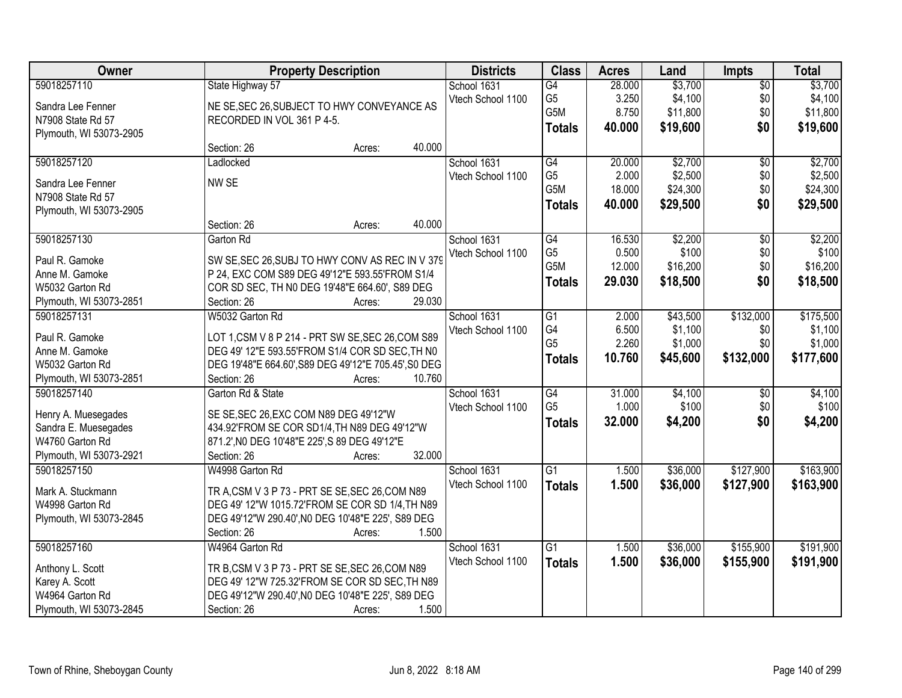| Owner                             | <b>Property Description</b>                                                                      | <b>Districts</b> | <b>Class</b>      | <b>Acres</b>     | Land   | <b>Impts</b> | <b>Total</b>    |           |
|-----------------------------------|--------------------------------------------------------------------------------------------------|------------------|-------------------|------------------|--------|--------------|-----------------|-----------|
| 59018257110                       | State Highway 57                                                                                 |                  | School 1631       | G4               | 28.000 | \$3,700      | $\overline{50}$ | \$3,700   |
| Sandra Lee Fenner                 | NE SE, SEC 26, SUBJECT TO HWY CONVEYANCE AS                                                      |                  | Vtech School 1100 | G <sub>5</sub>   | 3.250  | \$4,100      | \$0             | \$4,100   |
| N7908 State Rd 57                 | RECORDED IN VOL 361 P 4-5.                                                                       |                  |                   | G5M              | 8.750  | \$11,800     | \$0             | \$11,800  |
| Plymouth, WI 53073-2905           |                                                                                                  |                  |                   | <b>Totals</b>    | 40.000 | \$19,600     | \$0             | \$19,600  |
|                                   | Section: 26                                                                                      | 40.000<br>Acres: |                   |                  |        |              |                 |           |
| 59018257120                       | Ladlocked                                                                                        |                  | School 1631       | $\overline{G4}$  | 20.000 | \$2,700      | $\overline{50}$ | \$2,700   |
| Sandra Lee Fenner                 | NW SE                                                                                            |                  | Vtech School 1100 | G <sub>5</sub>   | 2.000  | \$2,500      | \$0             | \$2,500   |
| N7908 State Rd 57                 |                                                                                                  |                  |                   | G5M              | 18.000 | \$24,300     | \$0             | \$24,300  |
| Plymouth, WI 53073-2905           |                                                                                                  |                  |                   | <b>Totals</b>    | 40.000 | \$29,500     | \$0             | \$29,500  |
|                                   | Section: 26                                                                                      | 40.000<br>Acres: |                   |                  |        |              |                 |           |
| 59018257130                       | Garton Rd                                                                                        |                  | School 1631       | G4               | 16.530 | \$2,200      | $\overline{50}$ | \$2,200   |
|                                   |                                                                                                  |                  | Vtech School 1100 | G <sub>5</sub>   | 0.500  | \$100        | \$0             | \$100     |
| Paul R. Gamoke                    | SW SE, SEC 26, SUBJ TO HWY CONV AS REC IN V 379                                                  |                  |                   | G <sub>5</sub> M | 12.000 | \$16,200     | \$0             | \$16,200  |
| Anne M. Gamoke<br>W5032 Garton Rd | P 24, EXC COM S89 DEG 49'12"E 593.55'FROM S1/4<br>COR SD SEC, TH N0 DEG 19'48"E 664.60', S89 DEG |                  |                   | <b>Totals</b>    | 29.030 | \$18,500     | \$0             | \$18,500  |
| Plymouth, WI 53073-2851           | Section: 26                                                                                      | 29.030<br>Acres: |                   |                  |        |              |                 |           |
| 59018257131                       | W5032 Garton Rd                                                                                  |                  | School 1631       | G1               | 2.000  | \$43,500     | \$132,000       | \$175,500 |
|                                   |                                                                                                  |                  | Vtech School 1100 | G4               | 6.500  | \$1,100      | \$0             | \$1,100   |
| Paul R. Gamoke                    | LOT 1, CSM V 8 P 214 - PRT SW SE, SEC 26, COM S89                                                |                  |                   | G <sub>5</sub>   | 2.260  | \$1,000      | \$0             | \$1,000   |
| Anne M. Gamoke                    | DEG 49' 12"E 593.55'FROM S1/4 COR SD SEC, TH N0                                                  |                  |                   |                  | 10.760 |              | \$132,000       |           |
| W5032 Garton Rd                   | DEG 19'48"E 664.60', S89 DEG 49'12"E 705.45', S0 DEG                                             |                  |                   | <b>Totals</b>    |        | \$45,600     |                 | \$177,600 |
| Plymouth, WI 53073-2851           | Section: 26                                                                                      | 10.760<br>Acres: |                   |                  |        |              |                 |           |
| 59018257140                       | Garton Rd & State                                                                                |                  | School 1631       | $\overline{G4}$  | 31.000 | \$4,100      | $\overline{50}$ | \$4,100   |
| Henry A. Muesegades               | SE SE, SEC 26, EXC COM N89 DEG 49'12"W                                                           |                  | Vtech School 1100 | G <sub>5</sub>   | 1.000  | \$100        | \$0             | \$100     |
| Sandra E. Muesegades              | 434.92'FROM SE COR SD1/4, TH N89 DEG 49'12"W                                                     |                  |                   | <b>Totals</b>    | 32.000 | \$4,200      | \$0             | \$4,200   |
| W4760 Garton Rd                   | 871.2', NO DEG 10'48"E 225', S 89 DEG 49'12"E                                                    |                  |                   |                  |        |              |                 |           |
| Plymouth, WI 53073-2921           | Section: 26                                                                                      | 32.000<br>Acres: |                   |                  |        |              |                 |           |
| 59018257150                       | W4998 Garton Rd                                                                                  |                  | School 1631       | G1               | 1.500  | \$36,000     | \$127,900       | \$163,900 |
|                                   |                                                                                                  |                  | Vtech School 1100 | <b>Totals</b>    | 1.500  | \$36,000     | \$127,900       | \$163,900 |
| Mark A. Stuckmann                 | TR A, CSM V 3 P 73 - PRT SE SE, SEC 26, COM N89                                                  |                  |                   |                  |        |              |                 |           |
| W4998 Garton Rd                   | DEG 49' 12"W 1015.72'FROM SE COR SD 1/4, TH N89                                                  |                  |                   |                  |        |              |                 |           |
| Plymouth, WI 53073-2845           | DEG 49'12"W 290.40', N0 DEG 10'48"E 225', S89 DEG                                                |                  |                   |                  |        |              |                 |           |
|                                   | Section: 26                                                                                      | 1.500<br>Acres:  |                   |                  |        |              |                 |           |
| 59018257160                       | W4964 Garton Rd                                                                                  |                  | School 1631       | $\overline{G1}$  | 1.500  | \$36,000     | \$155,900       | \$191,900 |
| Anthony L. Scott                  | TR B, CSM V 3 P 73 - PRT SE SE, SEC 26, COM N89                                                  |                  | Vtech School 1100 | <b>Totals</b>    | 1.500  | \$36,000     | \$155,900       | \$191,900 |
| Karey A. Scott                    | DEG 49' 12"W 725.32'FROM SE COR SD SEC, TH N89                                                   |                  |                   |                  |        |              |                 |           |
| W4964 Garton Rd                   | DEG 49'12"W 290.40', NO DEG 10'48"E 225', S89 DEG                                                |                  |                   |                  |        |              |                 |           |
| Plymouth, WI 53073-2845           | Section: 26                                                                                      | 1.500<br>Acres:  |                   |                  |        |              |                 |           |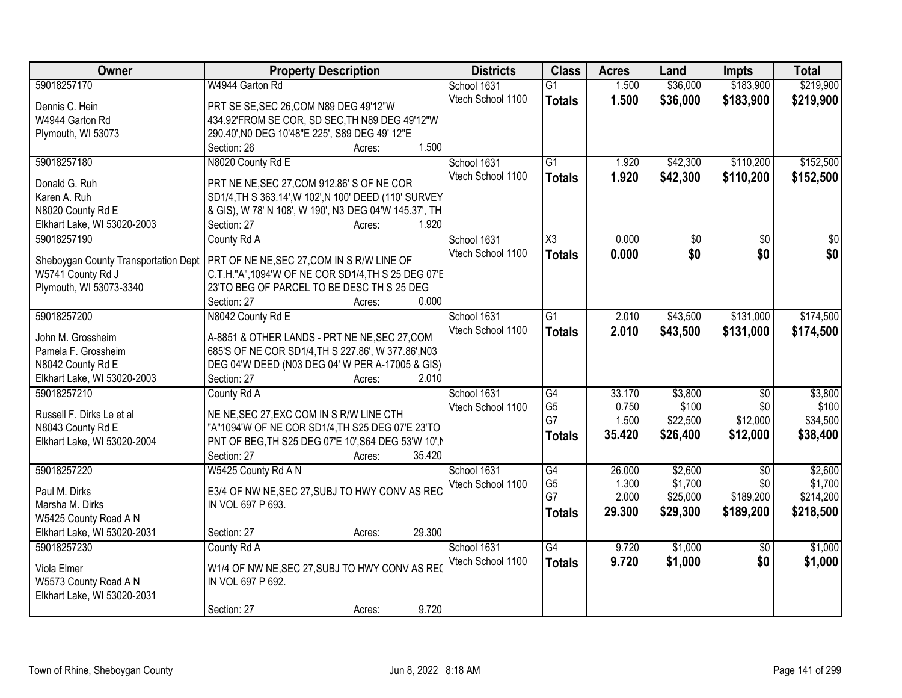| \$219,900<br>59018257170<br>W4944 Garton Rd<br>1.500<br>\$36,000<br>\$183,900<br>School 1631<br>$\overline{G1}$<br>Vtech School 1100<br>1.500<br>\$36,000<br>\$183,900<br>\$219,900<br><b>Totals</b><br>Dennis C. Hein<br>PRT SE SE, SEC 26, COM N89 DEG 49'12"W<br>434.92'FROM SE COR, SD SEC, TH N89 DEG 49'12"W<br>W4944 Garton Rd<br>290.40', NO DEG 10'48"E 225', S89 DEG 49' 12"E<br>Plymouth, WI 53073<br>1.500<br>Section: 26<br>Acres:<br>59018257180<br>N8020 County Rd E<br>$\overline{G1}$<br>\$42,300<br>\$110,200<br>School 1631<br>1.920<br>Vtech School 1100<br>1.920<br>\$42,300<br>\$110,200<br>\$152,500<br><b>Totals</b><br>Donald G. Ruh<br>PRT NE NE, SEC 27, COM 912.86' S OF NE COR<br>Karen A. Ruh<br>SD1/4, TH S 363.14', W 102', N 100' DEED (110' SURVEY<br>N8020 County Rd E<br>& GIS), W 78' N 108', W 190', N3 DEG 04'W 145.37', TH<br>1.920<br>Elkhart Lake, WI 53020-2003<br>Section: 27<br>Acres:<br>59018257190<br>County Rd A<br>School 1631<br>$\overline{\chi_3}$<br>0.000<br>$\overline{50}$<br>$\overline{30}$<br>\$0<br>\$0<br>Vtech School 1100<br>\$0<br>0.000<br><b>Totals</b><br>Sheboygan County Transportation Dept<br>PRT OF NE NE, SEC 27, COM IN S R/W LINE OF<br>W5741 County Rd J<br>C.T.H."A", 1094'W OF NE COR SD1/4, TH S 25 DEG 07'E<br>Plymouth, WI 53073-3340<br>23'TO BEG OF PARCEL TO BE DESC TH S 25 DEG<br>0.000<br>Section: 27<br>Acres:<br>59018257200<br>$\overline{G1}$<br>\$43,500<br>\$131,000<br>N8042 County Rd E<br>School 1631<br>2.010<br>Vtech School 1100<br>2.010<br>\$43,500<br>\$131,000<br><b>Totals</b><br>A-8851 & OTHER LANDS - PRT NE NE, SEC 27, COM<br>John M. Grossheim<br>685'S OF NE COR SD1/4, TH S 227.86', W 377.86', N03<br>Pamela F. Grossheim<br>DEG 04'W DEED (N03 DEG 04' W PER A-17005 & GIS)<br>N8042 County Rd E<br>2.010<br>Elkhart Lake, WI 53020-2003<br>Section: 27<br>Acres:<br>\$3,800<br>59018257210<br>G4<br>33.170<br>County Rd A<br>School 1631<br>$\overline{50}$<br>G <sub>5</sub><br>0.750<br>\$100<br>\$0<br>Vtech School 1100<br>Russell F. Dirks Le et al<br>NE NE, SEC 27, EXC COM IN S R/W LINE CTH<br>G7<br>\$12,000<br>1.500<br>\$22,500<br>"A"1094'W OF NE COR SD1/4, TH S25 DEG 07'E 23'TO<br>N8043 County Rd E<br>35.420<br>\$12,000<br>\$38,400<br>\$26,400<br><b>Totals</b><br>Elkhart Lake, WI 53020-2004<br>PNT OF BEG, TH S25 DEG 07'E 10', S64 DEG 53'W 10', N<br>35.420<br>Section: 27<br>Acres:<br>W5425 County Rd A N<br>G4<br>\$2,600<br>59018257220<br>School 1631<br>26.000<br>$\overline{50}$<br>G <sub>5</sub><br>1.300<br>\$1,700<br>\$0<br>Vtech School 1100<br>Paul M. Dirks<br>E3/4 OF NW NE, SEC 27, SUBJ TO HWY CONV AS REC<br>G7<br>2.000<br>\$25,000<br>\$189,200<br>IN VOL 697 P 693.<br>Marsha M. Dirks<br>29,300<br>\$29,300<br>\$189,200<br>\$218,500<br><b>Totals</b><br>W5425 County Road A N<br>29.300<br>Elkhart Lake, WI 53020-2031<br>Section: 27<br>Acres:<br>\$1,000<br>59018257230<br>G4<br>9.720<br>County Rd A<br>School 1631<br>$\overline{30}$<br>Vtech School 1100<br>9.720<br>\$1,000<br>\$0<br>\$1,000<br><b>Totals</b><br>W1/4 OF NW NE, SEC 27, SUBJ TO HWY CONV AS REO<br>Viola Elmer<br>IN VOL 697 P 692.<br>W5573 County Road A N<br>Elkhart Lake, WI 53020-2031 | Owner | <b>Property Description</b> | <b>Districts</b> | <b>Class</b> | <b>Acres</b> | Land | <b>Impts</b> | <b>Total</b> |
|-------------------------------------------------------------------------------------------------------------------------------------------------------------------------------------------------------------------------------------------------------------------------------------------------------------------------------------------------------------------------------------------------------------------------------------------------------------------------------------------------------------------------------------------------------------------------------------------------------------------------------------------------------------------------------------------------------------------------------------------------------------------------------------------------------------------------------------------------------------------------------------------------------------------------------------------------------------------------------------------------------------------------------------------------------------------------------------------------------------------------------------------------------------------------------------------------------------------------------------------------------------------------------------------------------------------------------------------------------------------------------------------------------------------------------------------------------------------------------------------------------------------------------------------------------------------------------------------------------------------------------------------------------------------------------------------------------------------------------------------------------------------------------------------------------------------------------------------------------------------------------------------------------------------------------------------------------------------------------------------------------------------------------------------------------------------------------------------------------------------------------------------------------------------------------------------------------------------------------------------------------------------------------------------------------------------------------------------------------------------------------------------------------------------------------------------------------------------------------------------------------------------------------------------------------------------------------------------------------------------------------------------------------------------------------------------------------------------------------------------------------------------------------------------------------------------------------------------------------------------------------------------------------------------------------------------------------------------------------------------------------------------------------------------------------------------------------------------------------------------------------------------------------------------------------------------------------------------------------------------|-------|-----------------------------|------------------|--------------|--------------|------|--------------|--------------|
|                                                                                                                                                                                                                                                                                                                                                                                                                                                                                                                                                                                                                                                                                                                                                                                                                                                                                                                                                                                                                                                                                                                                                                                                                                                                                                                                                                                                                                                                                                                                                                                                                                                                                                                                                                                                                                                                                                                                                                                                                                                                                                                                                                                                                                                                                                                                                                                                                                                                                                                                                                                                                                                                                                                                                                                                                                                                                                                                                                                                                                                                                                                                                                                                                                           |       |                             |                  |              |              |      |              |              |
|                                                                                                                                                                                                                                                                                                                                                                                                                                                                                                                                                                                                                                                                                                                                                                                                                                                                                                                                                                                                                                                                                                                                                                                                                                                                                                                                                                                                                                                                                                                                                                                                                                                                                                                                                                                                                                                                                                                                                                                                                                                                                                                                                                                                                                                                                                                                                                                                                                                                                                                                                                                                                                                                                                                                                                                                                                                                                                                                                                                                                                                                                                                                                                                                                                           |       |                             |                  |              |              |      |              |              |
| \$152,500<br>\$0                                                                                                                                                                                                                                                                                                                                                                                                                                                                                                                                                                                                                                                                                                                                                                                                                                                                                                                                                                                                                                                                                                                                                                                                                                                                                                                                                                                                                                                                                                                                                                                                                                                                                                                                                                                                                                                                                                                                                                                                                                                                                                                                                                                                                                                                                                                                                                                                                                                                                                                                                                                                                                                                                                                                                                                                                                                                                                                                                                                                                                                                                                                                                                                                                          |       |                             |                  |              |              |      |              |              |
|                                                                                                                                                                                                                                                                                                                                                                                                                                                                                                                                                                                                                                                                                                                                                                                                                                                                                                                                                                                                                                                                                                                                                                                                                                                                                                                                                                                                                                                                                                                                                                                                                                                                                                                                                                                                                                                                                                                                                                                                                                                                                                                                                                                                                                                                                                                                                                                                                                                                                                                                                                                                                                                                                                                                                                                                                                                                                                                                                                                                                                                                                                                                                                                                                                           |       |                             |                  |              |              |      |              |              |
|                                                                                                                                                                                                                                                                                                                                                                                                                                                                                                                                                                                                                                                                                                                                                                                                                                                                                                                                                                                                                                                                                                                                                                                                                                                                                                                                                                                                                                                                                                                                                                                                                                                                                                                                                                                                                                                                                                                                                                                                                                                                                                                                                                                                                                                                                                                                                                                                                                                                                                                                                                                                                                                                                                                                                                                                                                                                                                                                                                                                                                                                                                                                                                                                                                           |       |                             |                  |              |              |      |              |              |
|                                                                                                                                                                                                                                                                                                                                                                                                                                                                                                                                                                                                                                                                                                                                                                                                                                                                                                                                                                                                                                                                                                                                                                                                                                                                                                                                                                                                                                                                                                                                                                                                                                                                                                                                                                                                                                                                                                                                                                                                                                                                                                                                                                                                                                                                                                                                                                                                                                                                                                                                                                                                                                                                                                                                                                                                                                                                                                                                                                                                                                                                                                                                                                                                                                           |       |                             |                  |              |              |      |              |              |
|                                                                                                                                                                                                                                                                                                                                                                                                                                                                                                                                                                                                                                                                                                                                                                                                                                                                                                                                                                                                                                                                                                                                                                                                                                                                                                                                                                                                                                                                                                                                                                                                                                                                                                                                                                                                                                                                                                                                                                                                                                                                                                                                                                                                                                                                                                                                                                                                                                                                                                                                                                                                                                                                                                                                                                                                                                                                                                                                                                                                                                                                                                                                                                                                                                           |       |                             |                  |              |              |      |              |              |
|                                                                                                                                                                                                                                                                                                                                                                                                                                                                                                                                                                                                                                                                                                                                                                                                                                                                                                                                                                                                                                                                                                                                                                                                                                                                                                                                                                                                                                                                                                                                                                                                                                                                                                                                                                                                                                                                                                                                                                                                                                                                                                                                                                                                                                                                                                                                                                                                                                                                                                                                                                                                                                                                                                                                                                                                                                                                                                                                                                                                                                                                                                                                                                                                                                           |       |                             |                  |              |              |      |              |              |
|                                                                                                                                                                                                                                                                                                                                                                                                                                                                                                                                                                                                                                                                                                                                                                                                                                                                                                                                                                                                                                                                                                                                                                                                                                                                                                                                                                                                                                                                                                                                                                                                                                                                                                                                                                                                                                                                                                                                                                                                                                                                                                                                                                                                                                                                                                                                                                                                                                                                                                                                                                                                                                                                                                                                                                                                                                                                                                                                                                                                                                                                                                                                                                                                                                           |       |                             |                  |              |              |      |              |              |
|                                                                                                                                                                                                                                                                                                                                                                                                                                                                                                                                                                                                                                                                                                                                                                                                                                                                                                                                                                                                                                                                                                                                                                                                                                                                                                                                                                                                                                                                                                                                                                                                                                                                                                                                                                                                                                                                                                                                                                                                                                                                                                                                                                                                                                                                                                                                                                                                                                                                                                                                                                                                                                                                                                                                                                                                                                                                                                                                                                                                                                                                                                                                                                                                                                           |       |                             |                  |              |              |      |              |              |
|                                                                                                                                                                                                                                                                                                                                                                                                                                                                                                                                                                                                                                                                                                                                                                                                                                                                                                                                                                                                                                                                                                                                                                                                                                                                                                                                                                                                                                                                                                                                                                                                                                                                                                                                                                                                                                                                                                                                                                                                                                                                                                                                                                                                                                                                                                                                                                                                                                                                                                                                                                                                                                                                                                                                                                                                                                                                                                                                                                                                                                                                                                                                                                                                                                           |       |                             |                  |              |              |      |              |              |
|                                                                                                                                                                                                                                                                                                                                                                                                                                                                                                                                                                                                                                                                                                                                                                                                                                                                                                                                                                                                                                                                                                                                                                                                                                                                                                                                                                                                                                                                                                                                                                                                                                                                                                                                                                                                                                                                                                                                                                                                                                                                                                                                                                                                                                                                                                                                                                                                                                                                                                                                                                                                                                                                                                                                                                                                                                                                                                                                                                                                                                                                                                                                                                                                                                           |       |                             |                  |              |              |      |              |              |
|                                                                                                                                                                                                                                                                                                                                                                                                                                                                                                                                                                                                                                                                                                                                                                                                                                                                                                                                                                                                                                                                                                                                                                                                                                                                                                                                                                                                                                                                                                                                                                                                                                                                                                                                                                                                                                                                                                                                                                                                                                                                                                                                                                                                                                                                                                                                                                                                                                                                                                                                                                                                                                                                                                                                                                                                                                                                                                                                                                                                                                                                                                                                                                                                                                           |       |                             |                  |              |              |      |              |              |
| \$174,500<br>\$174,500<br>\$3,800<br>\$100<br>\$34,500<br>\$2,600<br>\$1,700<br>\$214,200<br>\$1,000                                                                                                                                                                                                                                                                                                                                                                                                                                                                                                                                                                                                                                                                                                                                                                                                                                                                                                                                                                                                                                                                                                                                                                                                                                                                                                                                                                                                                                                                                                                                                                                                                                                                                                                                                                                                                                                                                                                                                                                                                                                                                                                                                                                                                                                                                                                                                                                                                                                                                                                                                                                                                                                                                                                                                                                                                                                                                                                                                                                                                                                                                                                                      |       |                             |                  |              |              |      |              |              |
|                                                                                                                                                                                                                                                                                                                                                                                                                                                                                                                                                                                                                                                                                                                                                                                                                                                                                                                                                                                                                                                                                                                                                                                                                                                                                                                                                                                                                                                                                                                                                                                                                                                                                                                                                                                                                                                                                                                                                                                                                                                                                                                                                                                                                                                                                                                                                                                                                                                                                                                                                                                                                                                                                                                                                                                                                                                                                                                                                                                                                                                                                                                                                                                                                                           |       |                             |                  |              |              |      |              |              |
|                                                                                                                                                                                                                                                                                                                                                                                                                                                                                                                                                                                                                                                                                                                                                                                                                                                                                                                                                                                                                                                                                                                                                                                                                                                                                                                                                                                                                                                                                                                                                                                                                                                                                                                                                                                                                                                                                                                                                                                                                                                                                                                                                                                                                                                                                                                                                                                                                                                                                                                                                                                                                                                                                                                                                                                                                                                                                                                                                                                                                                                                                                                                                                                                                                           |       |                             |                  |              |              |      |              |              |
|                                                                                                                                                                                                                                                                                                                                                                                                                                                                                                                                                                                                                                                                                                                                                                                                                                                                                                                                                                                                                                                                                                                                                                                                                                                                                                                                                                                                                                                                                                                                                                                                                                                                                                                                                                                                                                                                                                                                                                                                                                                                                                                                                                                                                                                                                                                                                                                                                                                                                                                                                                                                                                                                                                                                                                                                                                                                                                                                                                                                                                                                                                                                                                                                                                           |       |                             |                  |              |              |      |              |              |
|                                                                                                                                                                                                                                                                                                                                                                                                                                                                                                                                                                                                                                                                                                                                                                                                                                                                                                                                                                                                                                                                                                                                                                                                                                                                                                                                                                                                                                                                                                                                                                                                                                                                                                                                                                                                                                                                                                                                                                                                                                                                                                                                                                                                                                                                                                                                                                                                                                                                                                                                                                                                                                                                                                                                                                                                                                                                                                                                                                                                                                                                                                                                                                                                                                           |       |                             |                  |              |              |      |              |              |
|                                                                                                                                                                                                                                                                                                                                                                                                                                                                                                                                                                                                                                                                                                                                                                                                                                                                                                                                                                                                                                                                                                                                                                                                                                                                                                                                                                                                                                                                                                                                                                                                                                                                                                                                                                                                                                                                                                                                                                                                                                                                                                                                                                                                                                                                                                                                                                                                                                                                                                                                                                                                                                                                                                                                                                                                                                                                                                                                                                                                                                                                                                                                                                                                                                           |       |                             |                  |              |              |      |              |              |
|                                                                                                                                                                                                                                                                                                                                                                                                                                                                                                                                                                                                                                                                                                                                                                                                                                                                                                                                                                                                                                                                                                                                                                                                                                                                                                                                                                                                                                                                                                                                                                                                                                                                                                                                                                                                                                                                                                                                                                                                                                                                                                                                                                                                                                                                                                                                                                                                                                                                                                                                                                                                                                                                                                                                                                                                                                                                                                                                                                                                                                                                                                                                                                                                                                           |       |                             |                  |              |              |      |              |              |
|                                                                                                                                                                                                                                                                                                                                                                                                                                                                                                                                                                                                                                                                                                                                                                                                                                                                                                                                                                                                                                                                                                                                                                                                                                                                                                                                                                                                                                                                                                                                                                                                                                                                                                                                                                                                                                                                                                                                                                                                                                                                                                                                                                                                                                                                                                                                                                                                                                                                                                                                                                                                                                                                                                                                                                                                                                                                                                                                                                                                                                                                                                                                                                                                                                           |       |                             |                  |              |              |      |              |              |
|                                                                                                                                                                                                                                                                                                                                                                                                                                                                                                                                                                                                                                                                                                                                                                                                                                                                                                                                                                                                                                                                                                                                                                                                                                                                                                                                                                                                                                                                                                                                                                                                                                                                                                                                                                                                                                                                                                                                                                                                                                                                                                                                                                                                                                                                                                                                                                                                                                                                                                                                                                                                                                                                                                                                                                                                                                                                                                                                                                                                                                                                                                                                                                                                                                           |       |                             |                  |              |              |      |              |              |
|                                                                                                                                                                                                                                                                                                                                                                                                                                                                                                                                                                                                                                                                                                                                                                                                                                                                                                                                                                                                                                                                                                                                                                                                                                                                                                                                                                                                                                                                                                                                                                                                                                                                                                                                                                                                                                                                                                                                                                                                                                                                                                                                                                                                                                                                                                                                                                                                                                                                                                                                                                                                                                                                                                                                                                                                                                                                                                                                                                                                                                                                                                                                                                                                                                           |       |                             |                  |              |              |      |              |              |
|                                                                                                                                                                                                                                                                                                                                                                                                                                                                                                                                                                                                                                                                                                                                                                                                                                                                                                                                                                                                                                                                                                                                                                                                                                                                                                                                                                                                                                                                                                                                                                                                                                                                                                                                                                                                                                                                                                                                                                                                                                                                                                                                                                                                                                                                                                                                                                                                                                                                                                                                                                                                                                                                                                                                                                                                                                                                                                                                                                                                                                                                                                                                                                                                                                           |       |                             |                  |              |              |      |              |              |
|                                                                                                                                                                                                                                                                                                                                                                                                                                                                                                                                                                                                                                                                                                                                                                                                                                                                                                                                                                                                                                                                                                                                                                                                                                                                                                                                                                                                                                                                                                                                                                                                                                                                                                                                                                                                                                                                                                                                                                                                                                                                                                                                                                                                                                                                                                                                                                                                                                                                                                                                                                                                                                                                                                                                                                                                                                                                                                                                                                                                                                                                                                                                                                                                                                           |       |                             |                  |              |              |      |              |              |
|                                                                                                                                                                                                                                                                                                                                                                                                                                                                                                                                                                                                                                                                                                                                                                                                                                                                                                                                                                                                                                                                                                                                                                                                                                                                                                                                                                                                                                                                                                                                                                                                                                                                                                                                                                                                                                                                                                                                                                                                                                                                                                                                                                                                                                                                                                                                                                                                                                                                                                                                                                                                                                                                                                                                                                                                                                                                                                                                                                                                                                                                                                                                                                                                                                           |       |                             |                  |              |              |      |              |              |
|                                                                                                                                                                                                                                                                                                                                                                                                                                                                                                                                                                                                                                                                                                                                                                                                                                                                                                                                                                                                                                                                                                                                                                                                                                                                                                                                                                                                                                                                                                                                                                                                                                                                                                                                                                                                                                                                                                                                                                                                                                                                                                                                                                                                                                                                                                                                                                                                                                                                                                                                                                                                                                                                                                                                                                                                                                                                                                                                                                                                                                                                                                                                                                                                                                           |       |                             |                  |              |              |      |              |              |
|                                                                                                                                                                                                                                                                                                                                                                                                                                                                                                                                                                                                                                                                                                                                                                                                                                                                                                                                                                                                                                                                                                                                                                                                                                                                                                                                                                                                                                                                                                                                                                                                                                                                                                                                                                                                                                                                                                                                                                                                                                                                                                                                                                                                                                                                                                                                                                                                                                                                                                                                                                                                                                                                                                                                                                                                                                                                                                                                                                                                                                                                                                                                                                                                                                           |       |                             |                  |              |              |      |              |              |
|                                                                                                                                                                                                                                                                                                                                                                                                                                                                                                                                                                                                                                                                                                                                                                                                                                                                                                                                                                                                                                                                                                                                                                                                                                                                                                                                                                                                                                                                                                                                                                                                                                                                                                                                                                                                                                                                                                                                                                                                                                                                                                                                                                                                                                                                                                                                                                                                                                                                                                                                                                                                                                                                                                                                                                                                                                                                                                                                                                                                                                                                                                                                                                                                                                           |       |                             |                  |              |              |      |              |              |
|                                                                                                                                                                                                                                                                                                                                                                                                                                                                                                                                                                                                                                                                                                                                                                                                                                                                                                                                                                                                                                                                                                                                                                                                                                                                                                                                                                                                                                                                                                                                                                                                                                                                                                                                                                                                                                                                                                                                                                                                                                                                                                                                                                                                                                                                                                                                                                                                                                                                                                                                                                                                                                                                                                                                                                                                                                                                                                                                                                                                                                                                                                                                                                                                                                           |       |                             |                  |              |              |      |              |              |
|                                                                                                                                                                                                                                                                                                                                                                                                                                                                                                                                                                                                                                                                                                                                                                                                                                                                                                                                                                                                                                                                                                                                                                                                                                                                                                                                                                                                                                                                                                                                                                                                                                                                                                                                                                                                                                                                                                                                                                                                                                                                                                                                                                                                                                                                                                                                                                                                                                                                                                                                                                                                                                                                                                                                                                                                                                                                                                                                                                                                                                                                                                                                                                                                                                           |       |                             |                  |              |              |      |              |              |
|                                                                                                                                                                                                                                                                                                                                                                                                                                                                                                                                                                                                                                                                                                                                                                                                                                                                                                                                                                                                                                                                                                                                                                                                                                                                                                                                                                                                                                                                                                                                                                                                                                                                                                                                                                                                                                                                                                                                                                                                                                                                                                                                                                                                                                                                                                                                                                                                                                                                                                                                                                                                                                                                                                                                                                                                                                                                                                                                                                                                                                                                                                                                                                                                                                           |       |                             |                  |              |              |      |              |              |
|                                                                                                                                                                                                                                                                                                                                                                                                                                                                                                                                                                                                                                                                                                                                                                                                                                                                                                                                                                                                                                                                                                                                                                                                                                                                                                                                                                                                                                                                                                                                                                                                                                                                                                                                                                                                                                                                                                                                                                                                                                                                                                                                                                                                                                                                                                                                                                                                                                                                                                                                                                                                                                                                                                                                                                                                                                                                                                                                                                                                                                                                                                                                                                                                                                           |       |                             |                  |              |              |      |              |              |
|                                                                                                                                                                                                                                                                                                                                                                                                                                                                                                                                                                                                                                                                                                                                                                                                                                                                                                                                                                                                                                                                                                                                                                                                                                                                                                                                                                                                                                                                                                                                                                                                                                                                                                                                                                                                                                                                                                                                                                                                                                                                                                                                                                                                                                                                                                                                                                                                                                                                                                                                                                                                                                                                                                                                                                                                                                                                                                                                                                                                                                                                                                                                                                                                                                           |       |                             |                  |              |              |      |              |              |
|                                                                                                                                                                                                                                                                                                                                                                                                                                                                                                                                                                                                                                                                                                                                                                                                                                                                                                                                                                                                                                                                                                                                                                                                                                                                                                                                                                                                                                                                                                                                                                                                                                                                                                                                                                                                                                                                                                                                                                                                                                                                                                                                                                                                                                                                                                                                                                                                                                                                                                                                                                                                                                                                                                                                                                                                                                                                                                                                                                                                                                                                                                                                                                                                                                           |       |                             |                  |              |              |      |              |              |
|                                                                                                                                                                                                                                                                                                                                                                                                                                                                                                                                                                                                                                                                                                                                                                                                                                                                                                                                                                                                                                                                                                                                                                                                                                                                                                                                                                                                                                                                                                                                                                                                                                                                                                                                                                                                                                                                                                                                                                                                                                                                                                                                                                                                                                                                                                                                                                                                                                                                                                                                                                                                                                                                                                                                                                                                                                                                                                                                                                                                                                                                                                                                                                                                                                           |       |                             |                  |              |              |      |              |              |
|                                                                                                                                                                                                                                                                                                                                                                                                                                                                                                                                                                                                                                                                                                                                                                                                                                                                                                                                                                                                                                                                                                                                                                                                                                                                                                                                                                                                                                                                                                                                                                                                                                                                                                                                                                                                                                                                                                                                                                                                                                                                                                                                                                                                                                                                                                                                                                                                                                                                                                                                                                                                                                                                                                                                                                                                                                                                                                                                                                                                                                                                                                                                                                                                                                           |       |                             |                  |              |              |      |              |              |
| Acres:                                                                                                                                                                                                                                                                                                                                                                                                                                                                                                                                                                                                                                                                                                                                                                                                                                                                                                                                                                                                                                                                                                                                                                                                                                                                                                                                                                                                                                                                                                                                                                                                                                                                                                                                                                                                                                                                                                                                                                                                                                                                                                                                                                                                                                                                                                                                                                                                                                                                                                                                                                                                                                                                                                                                                                                                                                                                                                                                                                                                                                                                                                                                                                                                                                    |       | 9.720<br>Section: 27        |                  |              |              |      |              |              |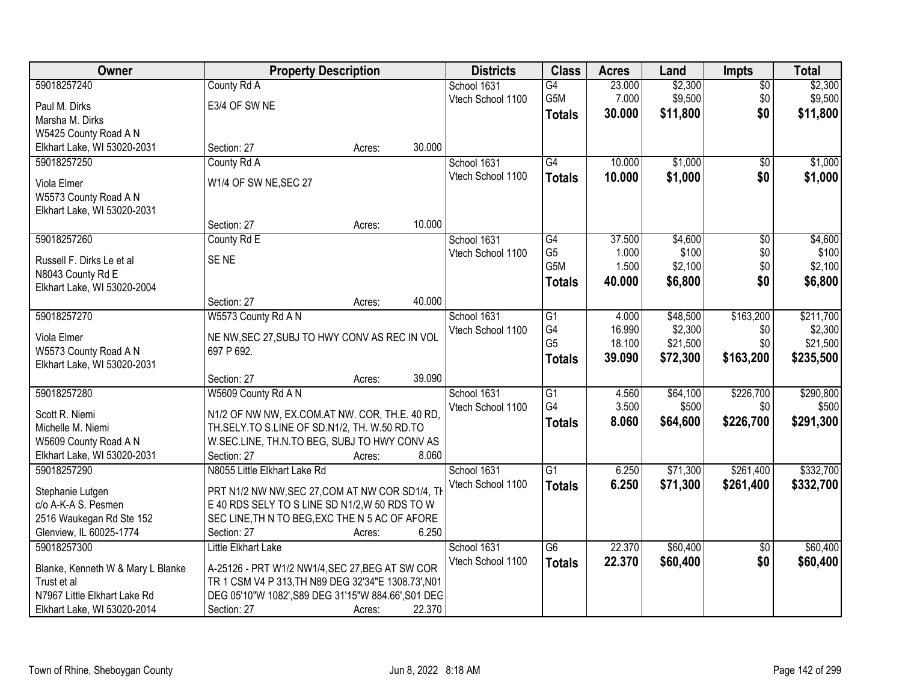| Owner                                                | <b>Property Description</b>                         |        |        | <b>Districts</b>  | <b>Class</b>     | <b>Acres</b> | Land     | <b>Impts</b>    | <b>Total</b> |
|------------------------------------------------------|-----------------------------------------------------|--------|--------|-------------------|------------------|--------------|----------|-----------------|--------------|
| 59018257240                                          | County Rd A                                         |        |        | School 1631       | $\overline{G4}$  | 23.000       | \$2,300  | \$0             | \$2,300      |
| Paul M. Dirks                                        | E3/4 OF SW NE                                       |        |        | Vtech School 1100 | G5M              | 7.000        | \$9,500  | \$0             | \$9,500      |
| Marsha M. Dirks                                      |                                                     |        |        |                   | <b>Totals</b>    | 30.000       | \$11,800 | \$0             | \$11,800     |
| W5425 County Road A N                                |                                                     |        |        |                   |                  |              |          |                 |              |
| Elkhart Lake, WI 53020-2031                          | Section: 27                                         | Acres: | 30.000 |                   |                  |              |          |                 |              |
| 59018257250                                          | County Rd A                                         |        |        | School 1631       | G4               | 10.000       | \$1,000  | \$0             | \$1,000      |
| Viola Elmer                                          | W1/4 OF SW NE, SEC 27                               |        |        | Vtech School 1100 | <b>Totals</b>    | 10.000       | \$1,000  | \$0             | \$1,000      |
| W5573 County Road A N                                |                                                     |        |        |                   |                  |              |          |                 |              |
| Elkhart Lake, WI 53020-2031                          |                                                     |        |        |                   |                  |              |          |                 |              |
|                                                      | Section: 27                                         | Acres: | 10.000 |                   |                  |              |          |                 |              |
| 59018257260                                          | County Rd E                                         |        |        | School 1631       | G4               | 37.500       | \$4,600  | $\overline{50}$ | \$4,600      |
|                                                      | SE <sub>NE</sub>                                    |        |        | Vtech School 1100 | G <sub>5</sub>   | 1.000        | \$100    | \$0             | \$100        |
| Russell F. Dirks Le et al<br>N8043 County Rd E       |                                                     |        |        |                   | G <sub>5</sub> M | 1.500        | \$2,100  | \$0             | \$2,100      |
| Elkhart Lake, WI 53020-2004                          |                                                     |        |        |                   | <b>Totals</b>    | 40.000       | \$6,800  | \$0             | \$6,800      |
|                                                      | Section: 27                                         | Acres: | 40.000 |                   |                  |              |          |                 |              |
| 59018257270                                          | W5573 County Rd A N                                 |        |        | School 1631       | $\overline{G1}$  | 4.000        | \$48,500 | \$163,200       | \$211,700    |
|                                                      |                                                     |        |        | Vtech School 1100 | G4               | 16.990       | \$2,300  | \$0             | \$2,300      |
| Viola Elmer                                          | NE NW, SEC 27, SUBJ TO HWY CONV AS REC IN VOL       |        |        |                   | G <sub>5</sub>   | 18.100       | \$21,500 | \$0             | \$21,500     |
| W5573 County Road A N<br>Elkhart Lake, WI 53020-2031 | 697 P 692.                                          |        |        |                   | <b>Totals</b>    | 39.090       | \$72,300 | \$163,200       | \$235,500    |
|                                                      | Section: 27                                         | Acres: | 39.090 |                   |                  |              |          |                 |              |
| 59018257280                                          | W5609 County Rd A N                                 |        |        | School 1631       | $\overline{G1}$  | 4.560        | \$64,100 | \$226,700       | \$290,800    |
|                                                      |                                                     |        |        | Vtech School 1100 | G4               | 3.500        | \$500    | \$0             | \$500        |
| Scott R. Niemi                                       | N1/2 OF NW NW, EX.COM.AT NW. COR, TH.E. 40 RD,      |        |        |                   | <b>Totals</b>    | 8.060        | \$64,600 | \$226,700       | \$291,300    |
| Michelle M. Niemi                                    | TH.SELY.TO S.LINE OF SD.N1/2, TH. W.50 RD.TO        |        |        |                   |                  |              |          |                 |              |
| W5609 County Road A N                                | W.SEC.LINE, TH.N.TO BEG, SUBJ TO HWY CONV AS        |        |        |                   |                  |              |          |                 |              |
| Elkhart Lake, WI 53020-2031                          | Section: 27                                         | Acres: | 8.060  |                   |                  |              |          |                 |              |
| 59018257290                                          | N8055 Little Elkhart Lake Rd                        |        |        | School 1631       | $\overline{G1}$  | 6.250        | \$71,300 | \$261,400       | \$332,700    |
| Stephanie Lutgen                                     | PRT N1/2 NW NW, SEC 27, COM AT NW COR SD1/4, TH     |        |        | Vtech School 1100 | <b>Totals</b>    | 6.250        | \$71,300 | \$261,400       | \$332,700    |
| c/o A-K-A S. Pesmen                                  | E 40 RDS SELY TO S LINE SD N1/2, W 50 RDS TO W      |        |        |                   |                  |              |          |                 |              |
| 2516 Waukegan Rd Ste 152                             | SEC LINE, TH N TO BEG, EXC THE N 5 AC OF AFORE      |        |        |                   |                  |              |          |                 |              |
| Glenview, IL 60025-1774                              | Section: 27                                         | Acres: | 6.250  |                   |                  |              |          |                 |              |
| 59018257300                                          | Little Elkhart Lake                                 |        |        | School 1631       | G6               | 22.370       | \$60,400 | $\overline{30}$ | \$60,400     |
| Blanke, Kenneth W & Mary L Blanke                    | A-25126 - PRT W1/2 NW1/4, SEC 27, BEG AT SW COR     |        |        | Vtech School 1100 | <b>Totals</b>    | 22.370       | \$60,400 | \$0             | \$60,400     |
| Trust et al                                          | TR 1 CSM V4 P 313, TH N89 DEG 32'34"E 1308.73', N01 |        |        |                   |                  |              |          |                 |              |
| N7967 Little Elkhart Lake Rd                         | DEG 05'10"W 1082', S89 DEG 31'15"W 884.66', S01 DEC |        |        |                   |                  |              |          |                 |              |
| Elkhart Lake, WI 53020-2014                          | Section: 27                                         | Acres: | 22.370 |                   |                  |              |          |                 |              |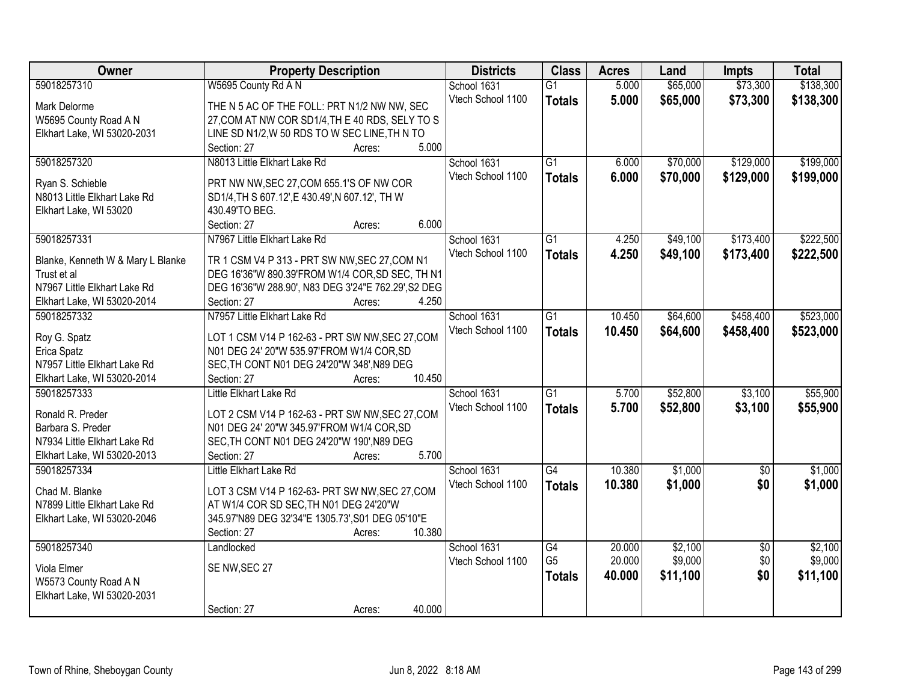| Owner                             | <b>Property Description</b>                         | <b>Districts</b>  | <b>Class</b>    | <b>Acres</b> | Land     | <b>Impts</b>    | <b>Total</b> |
|-----------------------------------|-----------------------------------------------------|-------------------|-----------------|--------------|----------|-----------------|--------------|
| 59018257310                       | W5695 County Rd A N                                 | School 1631       | $\overline{G1}$ | 5.000        | \$65,000 | \$73,300        | \$138,300    |
| Mark Delorme                      | THE N 5 AC OF THE FOLL: PRT N1/2 NW NW, SEC         | Vtech School 1100 | <b>Totals</b>   | 5.000        | \$65,000 | \$73,300        | \$138,300    |
| W5695 County Road A N             | 27, COM AT NW COR SD1/4, TH E 40 RDS, SELY TO S     |                   |                 |              |          |                 |              |
| Elkhart Lake, WI 53020-2031       | LINE SD N1/2, W 50 RDS TO W SEC LINE, TH N TO       |                   |                 |              |          |                 |              |
|                                   | 5.000<br>Section: 27<br>Acres:                      |                   |                 |              |          |                 |              |
| 59018257320                       | N8013 Little Elkhart Lake Rd                        | School 1631       | $\overline{G1}$ | 6.000        | \$70,000 | \$129,000       | \$199,000    |
|                                   |                                                     | Vtech School 1100 | <b>Totals</b>   | 6.000        | \$70,000 | \$129,000       | \$199,000    |
| Ryan S. Schieble                  | PRT NW NW, SEC 27, COM 655.1'S OF NW COR            |                   |                 |              |          |                 |              |
| N8013 Little Elkhart Lake Rd      | SD1/4, TH S 607.12', E 430.49', N 607.12', TH W     |                   |                 |              |          |                 |              |
| Elkhart Lake, WI 53020            | 430.49'TO BEG.                                      |                   |                 |              |          |                 |              |
|                                   | 6.000<br>Section: 27<br>Acres:                      |                   |                 |              |          |                 |              |
| 59018257331                       | N7967 Little Elkhart Lake Rd                        | School 1631       | G1              | 4.250        | \$49,100 | \$173,400       | \$222,500    |
| Blanke, Kenneth W & Mary L Blanke | TR 1 CSM V4 P 313 - PRT SW NW, SEC 27, COM N1       | Vtech School 1100 | <b>Totals</b>   | 4.250        | \$49,100 | \$173,400       | \$222,500    |
| Trust et al                       | DEG 16'36"W 890.39'FROM W1/4 COR, SD SEC, TH N1     |                   |                 |              |          |                 |              |
| N7967 Little Elkhart Lake Rd      | DEG 16'36"W 288.90', N83 DEG 3'24"E 762.29', S2 DEG |                   |                 |              |          |                 |              |
| Elkhart Lake, WI 53020-2014       | Section: 27<br>4.250<br>Acres:                      |                   |                 |              |          |                 |              |
| 59018257332                       | N7957 Little Elkhart Lake Rd                        | School 1631       | G1              | 10.450       | \$64,600 | \$458,400       | \$523,000    |
| Roy G. Spatz                      | LOT 1 CSM V14 P 162-63 - PRT SW NW, SEC 27, COM     | Vtech School 1100 | <b>Totals</b>   | 10.450       | \$64,600 | \$458,400       | \$523,000    |
| Erica Spatz                       | N01 DEG 24' 20"W 535.97'FROM W1/4 COR, SD           |                   |                 |              |          |                 |              |
| N7957 Little Elkhart Lake Rd      | SEC, TH CONT N01 DEG 24'20"W 348', N89 DEG          |                   |                 |              |          |                 |              |
| Elkhart Lake, WI 53020-2014       | 10.450<br>Section: 27<br>Acres:                     |                   |                 |              |          |                 |              |
| 59018257333                       | Little Elkhart Lake Rd                              | School 1631       | $\overline{G1}$ | 5.700        | \$52,800 | \$3,100         | \$55,900     |
|                                   |                                                     | Vtech School 1100 | <b>Totals</b>   | 5.700        | \$52,800 | \$3,100         | \$55,900     |
| Ronald R. Preder                  | LOT 2 CSM V14 P 162-63 - PRT SW NW, SEC 27, COM     |                   |                 |              |          |                 |              |
| Barbara S. Preder                 | N01 DEG 24' 20"W 345.97'FROM W1/4 COR, SD           |                   |                 |              |          |                 |              |
| N7934 Little Elkhart Lake Rd      | SEC, TH CONT N01 DEG 24'20"W 190', N89 DEG          |                   |                 |              |          |                 |              |
| Elkhart Lake, WI 53020-2013       | 5.700<br>Section: 27<br>Acres:                      |                   |                 |              |          |                 |              |
| 59018257334                       | Little Elkhart Lake Rd                              | School 1631       | G4              | 10.380       | \$1,000  | $\overline{50}$ | \$1,000      |
| Chad M. Blanke                    | LOT 3 CSM V14 P 162-63- PRT SW NW, SEC 27, COM      | Vtech School 1100 | <b>Totals</b>   | 10.380       | \$1,000  | \$0             | \$1,000      |
| N7899 Little Elkhart Lake Rd      | AT W1/4 COR SD SEC, TH N01 DEG 24'20"W              |                   |                 |              |          |                 |              |
| Elkhart Lake, WI 53020-2046       | 345.97'N89 DEG 32'34"E 1305.73', S01 DEG 05'10"E    |                   |                 |              |          |                 |              |
|                                   | 10.380<br>Section: 27<br>Acres:                     |                   |                 |              |          |                 |              |
| 59018257340                       | Landlocked                                          | School 1631       | $\overline{G4}$ | 20.000       | \$2,100  | $\overline{50}$ | \$2,100      |
|                                   |                                                     | Vtech School 1100 | G <sub>5</sub>  | 20.000       | \$9,000  | \$0             | \$9,000      |
| Viola Elmer                       | SE NW, SEC 27                                       |                   | <b>Totals</b>   | 40.000       | \$11,100 | \$0             | \$11,100     |
| W5573 County Road A N             |                                                     |                   |                 |              |          |                 |              |
| Elkhart Lake, WI 53020-2031       |                                                     |                   |                 |              |          |                 |              |
|                                   | 40.000<br>Section: 27<br>Acres:                     |                   |                 |              |          |                 |              |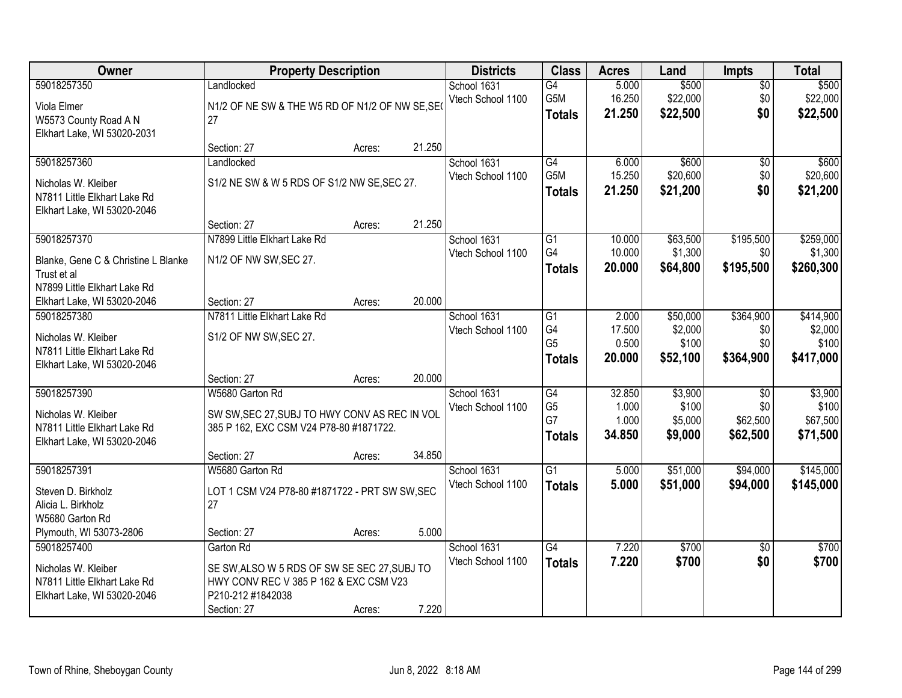| Owner                               | <b>Property Description</b>                    |        |        | <b>Districts</b>  | <b>Class</b>         | <b>Acres</b>    | Land               | <b>Impts</b>         | <b>Total</b>         |
|-------------------------------------|------------------------------------------------|--------|--------|-------------------|----------------------|-----------------|--------------------|----------------------|----------------------|
| 59018257350                         | Landlocked                                     |        |        | School 1631       | $\overline{G4}$      | 5.000           | \$500              | $\overline{50}$      | \$500                |
| Viola Elmer                         | N1/2 OF NE SW & THE W5 RD OF N1/2 OF NW SE, SE |        |        | Vtech School 1100 | G5M                  | 16.250          | \$22,000           | \$0                  | \$22,000             |
| W5573 County Road A N               | 27                                             |        |        |                   | <b>Totals</b>        | 21.250          | \$22,500           | \$0                  | \$22,500             |
| Elkhart Lake, WI 53020-2031         |                                                |        |        |                   |                      |                 |                    |                      |                      |
|                                     | Section: 27                                    | Acres: | 21.250 |                   |                      |                 |                    |                      |                      |
| 59018257360                         | Landlocked                                     |        |        | School 1631       | G4                   | 6.000           | \$600              | \$0                  | \$600                |
| Nicholas W. Kleiber                 | S1/2 NE SW & W 5 RDS OF S1/2 NW SE, SEC 27.    |        |        | Vtech School 1100 | G <sub>5</sub> M     | 15.250          | \$20,600           | \$0                  | \$20,600             |
| N7811 Little Elkhart Lake Rd        |                                                |        |        |                   | Totals               | 21.250          | \$21,200           | \$0                  | \$21,200             |
| Elkhart Lake, WI 53020-2046         |                                                |        |        |                   |                      |                 |                    |                      |                      |
|                                     | Section: 27                                    | Acres: | 21.250 |                   |                      |                 |                    |                      |                      |
| 59018257370                         | N7899 Little Elkhart Lake Rd                   |        |        | School 1631       | G1                   | 10.000          | \$63,500           | \$195,500            | \$259,000            |
| Blanke, Gene C & Christine L Blanke | N1/2 OF NW SW, SEC 27.                         |        |        | Vtech School 1100 | G4                   | 10.000          | \$1,300            | \$0                  | \$1,300              |
| Trust et al                         |                                                |        |        |                   | <b>Totals</b>        | 20.000          | \$64,800           | \$195,500            | \$260,300            |
| N7899 Little Elkhart Lake Rd        |                                                |        |        |                   |                      |                 |                    |                      |                      |
| Elkhart Lake, WI 53020-2046         | Section: 27                                    | Acres: | 20.000 |                   |                      |                 |                    |                      |                      |
| 59018257380                         | N7811 Little Elkhart Lake Rd                   |        |        | School 1631       | G1                   | 2.000           | \$50,000           | \$364,900            | \$414,900            |
| Nicholas W. Kleiber                 | S1/2 OF NW SW, SEC 27.                         |        |        | Vtech School 1100 | G4                   | 17.500          | \$2,000            | \$0                  | \$2,000              |
| N7811 Little Elkhart Lake Rd        |                                                |        |        |                   | G <sub>5</sub>       | 0.500           | \$100              | \$0                  | \$100                |
| Elkhart Lake, WI 53020-2046         |                                                |        |        |                   | <b>Totals</b>        | 20.000          | \$52,100           | \$364,900            | \$417,000            |
|                                     | Section: 27                                    | Acres: | 20.000 |                   |                      |                 |                    |                      |                      |
| 59018257390                         | W5680 Garton Rd                                |        |        | School 1631       | G4                   | 32.850          | \$3,900            | $\overline{50}$      | \$3,900              |
| Nicholas W. Kleiber                 | SW SW, SEC 27, SUBJ TO HWY CONV AS REC IN VOL  |        |        | Vtech School 1100 | G <sub>5</sub><br>G7 | 1.000           | \$100              | \$0                  | \$100                |
| N7811 Little Elkhart Lake Rd        | 385 P 162, EXC CSM V24 P78-80 #1871722.        |        |        |                   |                      | 1.000<br>34.850 | \$5,000<br>\$9,000 | \$62,500<br>\$62,500 | \$67,500<br>\$71,500 |
| Elkhart Lake, WI 53020-2046         |                                                |        |        |                   | <b>Totals</b>        |                 |                    |                      |                      |
|                                     | Section: 27                                    | Acres: | 34.850 |                   |                      |                 |                    |                      |                      |
| 59018257391                         | W5680 Garton Rd                                |        |        | School 1631       | $\overline{G1}$      | 5.000           | \$51,000           | \$94,000             | \$145,000            |
| Steven D. Birkholz                  | LOT 1 CSM V24 P78-80 #1871722 - PRT SW SW, SEC |        |        | Vtech School 1100 | <b>Totals</b>        | 5.000           | \$51,000           | \$94,000             | \$145,000            |
| Alicia L. Birkholz                  | 27                                             |        |        |                   |                      |                 |                    |                      |                      |
| W5680 Garton Rd                     |                                                |        |        |                   |                      |                 |                    |                      |                      |
| Plymouth, WI 53073-2806             | Section: 27                                    | Acres: | 5.000  |                   |                      |                 |                    |                      |                      |
| 59018257400                         | Garton Rd                                      |        |        | School 1631       | G4                   | 7.220           | \$700              | $\overline{30}$      | \$700                |
| Nicholas W. Kleiber                 | SE SW, ALSO W 5 RDS OF SW SE SEC 27, SUBJ TO   |        |        | Vtech School 1100 | <b>Totals</b>        | 7.220           | \$700              | \$0                  | \$700                |
| N7811 Little Elkhart Lake Rd        | HWY CONV REC V 385 P 162 & EXC CSM V23         |        |        |                   |                      |                 |                    |                      |                      |
| Elkhart Lake, WI 53020-2046         | P210-212 #1842038                              |        |        |                   |                      |                 |                    |                      |                      |
|                                     | Section: 27                                    | Acres: | 7.220  |                   |                      |                 |                    |                      |                      |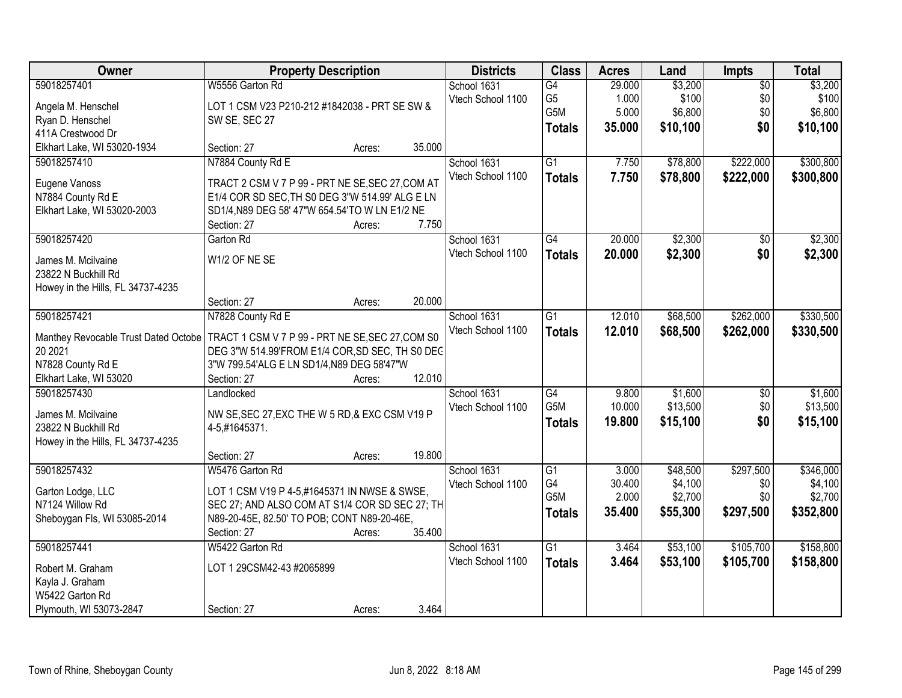| Owner                                       | <b>Property Description</b>                              |        |        | <b>Districts</b>  | <b>Class</b>          | <b>Acres</b> | Land     | Impts           | <b>Total</b> |
|---------------------------------------------|----------------------------------------------------------|--------|--------|-------------------|-----------------------|--------------|----------|-----------------|--------------|
| 59018257401                                 | W5556 Garton Rd                                          |        |        | School 1631       | G4                    | 29.000       | \$3,200  | $\overline{50}$ | \$3,200      |
| Angela M. Henschel                          | LOT 1 CSM V23 P210-212 #1842038 - PRT SE SW &            |        |        | Vtech School 1100 | G <sub>5</sub><br>G5M | 1.000        | \$100    | \$0             | \$100        |
| Ryan D. Henschel                            | SW SE, SEC 27                                            |        |        |                   |                       | 5.000        | \$6,800  | \$0             | \$6,800      |
| 411A Crestwood Dr                           |                                                          |        |        |                   | <b>Totals</b>         | 35.000       | \$10,100 | \$0             | \$10,100     |
| Elkhart Lake, WI 53020-1934                 | Section: 27                                              | Acres: | 35.000 |                   |                       |              |          |                 |              |
| 59018257410                                 | N7884 County Rd E                                        |        |        | School 1631       | $\overline{G1}$       | 7.750        | \$78,800 | \$222,000       | \$300,800    |
| Eugene Vanoss                               | TRACT 2 CSM V 7 P 99 - PRT NE SE, SEC 27, COM AT         |        |        | Vtech School 1100 | <b>Totals</b>         | 7.750        | \$78,800 | \$222,000       | \$300,800    |
| N7884 County Rd E                           | E1/4 COR SD SEC, TH S0 DEG 3"W 514.99' ALG E LN          |        |        |                   |                       |              |          |                 |              |
| Elkhart Lake, WI 53020-2003                 | SD1/4, N89 DEG 58' 47"W 654.54'TO W LN E1/2 NE           |        |        |                   |                       |              |          |                 |              |
|                                             | Section: 27                                              | Acres: | 7.750  |                   |                       |              |          |                 |              |
| 59018257420                                 | Garton Rd                                                |        |        | School 1631       | G4                    | 20.000       | \$2,300  | \$0             | \$2,300      |
| James M. Mcilvaine                          | W1/2 OF NE SE                                            |        |        | Vtech School 1100 | <b>Totals</b>         | 20.000       | \$2,300  | \$0             | \$2,300      |
| 23822 N Buckhill Rd                         |                                                          |        |        |                   |                       |              |          |                 |              |
| Howey in the Hills, FL 34737-4235           |                                                          |        |        |                   |                       |              |          |                 |              |
|                                             | Section: 27                                              | Acres: | 20.000 |                   |                       |              |          |                 |              |
| 59018257421                                 | N7828 County Rd E                                        |        |        | School 1631       | G1                    | 12.010       | \$68,500 | \$262,000       | \$330,500    |
|                                             |                                                          |        |        | Vtech School 1100 | <b>Totals</b>         | 12.010       | \$68,500 | \$262,000       | \$330,500    |
| Manthey Revocable Trust Dated Octobe        | TRACT 1 CSM V 7 P 99 - PRT NE SE, SEC 27, COM S0         |        |        |                   |                       |              |          |                 |              |
| 20 20 21                                    | DEG 3"W 514.99'FROM E1/4 COR, SD SEC, TH S0 DEC          |        |        |                   |                       |              |          |                 |              |
| N7828 County Rd E<br>Elkhart Lake, WI 53020 | 3"W 799.54'ALG E LN SD1/4,N89 DEG 58'47"W<br>Section: 27 |        | 12.010 |                   |                       |              |          |                 |              |
| 59018257430                                 | Landlocked                                               | Acres: |        | School 1631       | $\overline{G4}$       | 9.800        | \$1,600  | $\overline{50}$ | \$1,600      |
|                                             |                                                          |        |        | Vtech School 1100 | G5M                   | 10.000       | \$13,500 | \$0             | \$13,500     |
| James M. Mcilvaine                          | NW SE, SEC 27, EXC THE W 5 RD, & EXC CSM V19 P           |        |        |                   | <b>Totals</b>         | 19.800       | \$15,100 | \$0             | \$15,100     |
| 23822 N Buckhill Rd                         | 4-5,#1645371.                                            |        |        |                   |                       |              |          |                 |              |
| Howey in the Hills, FL 34737-4235           |                                                          |        |        |                   |                       |              |          |                 |              |
|                                             | Section: 27                                              | Acres: | 19.800 |                   |                       |              |          |                 |              |
| 59018257432                                 | W5476 Garton Rd                                          |        |        | School 1631       | $\overline{G1}$       | 3.000        | \$48,500 | \$297,500       | \$346,000    |
| Garton Lodge, LLC                           | LOT 1 CSM V19 P 4-5,#1645371 IN NWSE & SWSE,             |        |        | Vtech School 1100 | G4                    | 30.400       | \$4,100  | \$0             | \$4,100      |
| N7124 Willow Rd                             | SEC 27; AND ALSO COM AT S1/4 COR SD SEC 27; TH           |        |        |                   | G5M                   | 2.000        | \$2,700  | \$0             | \$2,700      |
| Sheboygan Fls, WI 53085-2014                | N89-20-45E, 82.50' TO POB; CONT N89-20-46E,              |        |        |                   | <b>Totals</b>         | 35.400       | \$55,300 | \$297,500       | \$352,800    |
|                                             | Section: 27                                              | Acres: | 35.400 |                   |                       |              |          |                 |              |
| 59018257441                                 | W5422 Garton Rd                                          |        |        | School 1631       | $\overline{G1}$       | 3.464        | \$53,100 | \$105,700       | \$158,800    |
| Robert M. Graham                            | LOT 1 29CSM42-43 #2065899                                |        |        | Vtech School 1100 | <b>Totals</b>         | 3.464        | \$53,100 | \$105,700       | \$158,800    |
| Kayla J. Graham                             |                                                          |        |        |                   |                       |              |          |                 |              |
| W5422 Garton Rd                             |                                                          |        |        |                   |                       |              |          |                 |              |
| Plymouth, WI 53073-2847                     | Section: 27                                              | Acres: | 3.464  |                   |                       |              |          |                 |              |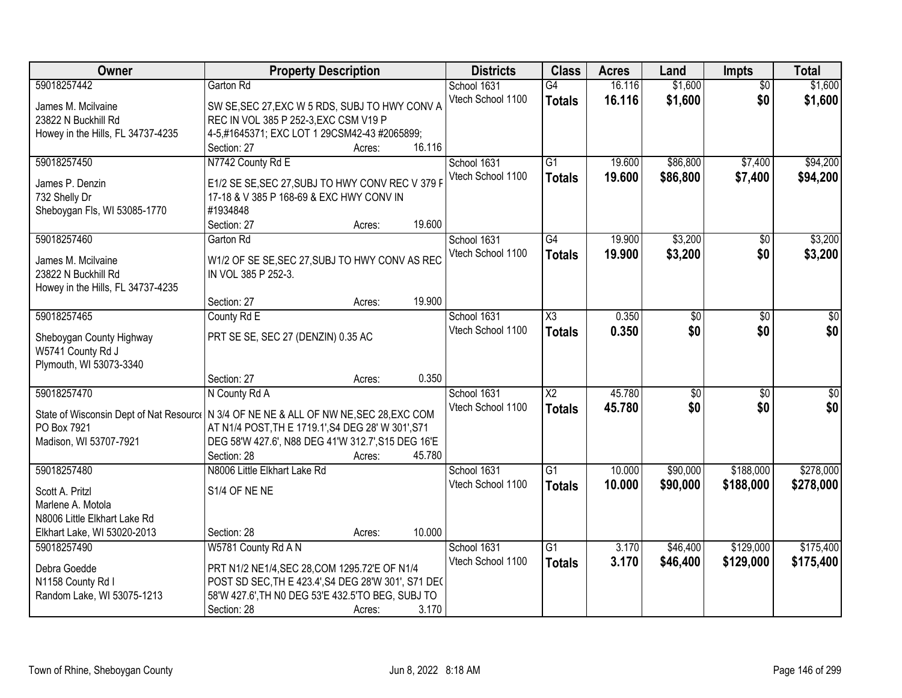| \$1,600<br>59018257442<br>16.116<br>\$1,600<br>Garton Rd<br>School 1631<br>$\overline{G4}$<br>$\overline{50}$<br>\$1,600<br>\$0<br>Vtech School 1100<br>16.116<br>\$1,600<br><b>Totals</b><br>SW SE, SEC 27, EXC W 5 RDS, SUBJ TO HWY CONV A<br>James M. Mcilvaine<br>REC IN VOL 385 P 252-3, EXC CSM V19 P<br>23822 N Buckhill Rd<br>Howey in the Hills, FL 34737-4235<br>4-5,#1645371; EXC LOT 1 29CSM42-43 #2065899;<br>16.116<br>Section: 27<br>Acres:<br>N7742 County Rd E<br>\$86,800<br>\$7,400<br>59018257450<br>$\overline{G1}$<br>19.600<br>School 1631<br>Vtech School 1100<br>19.600<br>\$86,800<br>\$7,400<br><b>Totals</b><br>E1/2 SE SE, SEC 27, SUBJ TO HWY CONV REC V 379 F<br>James P. Denzin<br>17-18 & V 385 P 168-69 & EXC HWY CONV IN<br>732 Shelly Dr<br>#1934848<br>Sheboygan Fls, WI 53085-1770<br>19.600<br>Section: 27<br>Acres:<br>\$3,200<br>59018257460<br>School 1631<br>G4<br>19.900<br>Garton Rd<br>$\sqrt[6]{}$<br>\$0<br>Vtech School 1100<br>\$3,200<br>19.900<br><b>Totals</b><br>W1/2 OF SE SE, SEC 27, SUBJ TO HWY CONV AS REC<br>James M. Mcilvaine<br>IN VOL 385 P 252-3.<br>23822 N Buckhill Rd<br>Howey in the Hills, FL 34737-4235<br>19.900<br>Section: 27<br>Acres:<br>59018257465<br>$\overline{\chi_3}$<br>0.350<br>$\overline{50}$<br>County Rd E<br>School 1631<br>$\sqrt[6]{3}$<br>\$0<br>\$0<br>Vtech School 1100<br>0.350<br>\$0<br><b>Totals</b><br>PRT SE SE, SEC 27 (DENZIN) 0.35 AC<br>Sheboygan County Highway<br>W5741 County Rd J<br>Plymouth, WI 53073-3340<br>0.350<br>Section: 27<br>Acres:<br>$\overline{X2}$<br>45.780<br>59018257470<br>$\overline{50}$<br>N County Rd A<br>\$0<br>School 1631<br>\$0<br>\$0<br>45.780<br>\$0<br>Vtech School 1100<br><b>Totals</b><br>State of Wisconsin Dept of Nat Resource   N 3/4 OF NE NE & ALL OF NW NE, SEC 28, EXC COM<br>PO Box 7921<br>AT N1/4 POST, TH E 1719.1', S4 DEG 28' W 301', S71<br>Madison, WI 53707-7921<br>DEG 58'W 427.6', N88 DEG 41'W 312.7', S15 DEG 16'E<br>Section: 28<br>45.780<br>Acres:<br>$\overline{G1}$<br>\$188,000<br>59018257480<br>N8006 Little Elkhart Lake Rd<br>School 1631<br>10.000<br>\$90,000<br>Vtech School 1100<br>10.000<br>\$90,000<br>\$188,000<br><b>Totals</b><br>S1/4 OF NE NE<br>Scott A. Pritzl<br>Marlene A. Motola<br>N8006 Little Elkhart Lake Rd<br>10.000<br>Elkhart Lake, WI 53020-2013<br>Section: 28<br>Acres:<br>59018257490<br>W5781 County Rd A N<br>School 1631<br>$\overline{G1}$<br>\$129,000<br>3.170<br>\$46,400 | Owner | <b>Property Description</b> |  | <b>Districts</b>  | <b>Class</b>  | <b>Acres</b> | Land     | <b>Impts</b> | <b>Total</b> |
|---------------------------------------------------------------------------------------------------------------------------------------------------------------------------------------------------------------------------------------------------------------------------------------------------------------------------------------------------------------------------------------------------------------------------------------------------------------------------------------------------------------------------------------------------------------------------------------------------------------------------------------------------------------------------------------------------------------------------------------------------------------------------------------------------------------------------------------------------------------------------------------------------------------------------------------------------------------------------------------------------------------------------------------------------------------------------------------------------------------------------------------------------------------------------------------------------------------------------------------------------------------------------------------------------------------------------------------------------------------------------------------------------------------------------------------------------------------------------------------------------------------------------------------------------------------------------------------------------------------------------------------------------------------------------------------------------------------------------------------------------------------------------------------------------------------------------------------------------------------------------------------------------------------------------------------------------------------------------------------------------------------------------------------------------------------------------------------------------------------------------------------------------------------------------------------------------------------------------------------------------------------------------------------------------------------------------------------------------------------------------------------------------------------------------------------------------------------------------------------------|-------|-----------------------------|--|-------------------|---------------|--------------|----------|--------------|--------------|
|                                                                                                                                                                                                                                                                                                                                                                                                                                                                                                                                                                                                                                                                                                                                                                                                                                                                                                                                                                                                                                                                                                                                                                                                                                                                                                                                                                                                                                                                                                                                                                                                                                                                                                                                                                                                                                                                                                                                                                                                                                                                                                                                                                                                                                                                                                                                                                                                                                                                                             |       |                             |  |                   |               |              |          |              |              |
|                                                                                                                                                                                                                                                                                                                                                                                                                                                                                                                                                                                                                                                                                                                                                                                                                                                                                                                                                                                                                                                                                                                                                                                                                                                                                                                                                                                                                                                                                                                                                                                                                                                                                                                                                                                                                                                                                                                                                                                                                                                                                                                                                                                                                                                                                                                                                                                                                                                                                             |       |                             |  |                   |               |              |          |              |              |
| \$94,200<br>\$94,200<br>\$3,200<br>\$3,200<br>$\sqrt{50}$<br>$\overline{50}$<br>\$278,000<br>\$278,000<br>\$175,400                                                                                                                                                                                                                                                                                                                                                                                                                                                                                                                                                                                                                                                                                                                                                                                                                                                                                                                                                                                                                                                                                                                                                                                                                                                                                                                                                                                                                                                                                                                                                                                                                                                                                                                                                                                                                                                                                                                                                                                                                                                                                                                                                                                                                                                                                                                                                                         |       |                             |  |                   |               |              |          |              |              |
|                                                                                                                                                                                                                                                                                                                                                                                                                                                                                                                                                                                                                                                                                                                                                                                                                                                                                                                                                                                                                                                                                                                                                                                                                                                                                                                                                                                                                                                                                                                                                                                                                                                                                                                                                                                                                                                                                                                                                                                                                                                                                                                                                                                                                                                                                                                                                                                                                                                                                             |       |                             |  |                   |               |              |          |              |              |
|                                                                                                                                                                                                                                                                                                                                                                                                                                                                                                                                                                                                                                                                                                                                                                                                                                                                                                                                                                                                                                                                                                                                                                                                                                                                                                                                                                                                                                                                                                                                                                                                                                                                                                                                                                                                                                                                                                                                                                                                                                                                                                                                                                                                                                                                                                                                                                                                                                                                                             |       |                             |  |                   |               |              |          |              |              |
|                                                                                                                                                                                                                                                                                                                                                                                                                                                                                                                                                                                                                                                                                                                                                                                                                                                                                                                                                                                                                                                                                                                                                                                                                                                                                                                                                                                                                                                                                                                                                                                                                                                                                                                                                                                                                                                                                                                                                                                                                                                                                                                                                                                                                                                                                                                                                                                                                                                                                             |       |                             |  |                   |               |              |          |              |              |
|                                                                                                                                                                                                                                                                                                                                                                                                                                                                                                                                                                                                                                                                                                                                                                                                                                                                                                                                                                                                                                                                                                                                                                                                                                                                                                                                                                                                                                                                                                                                                                                                                                                                                                                                                                                                                                                                                                                                                                                                                                                                                                                                                                                                                                                                                                                                                                                                                                                                                             |       |                             |  |                   |               |              |          |              |              |
|                                                                                                                                                                                                                                                                                                                                                                                                                                                                                                                                                                                                                                                                                                                                                                                                                                                                                                                                                                                                                                                                                                                                                                                                                                                                                                                                                                                                                                                                                                                                                                                                                                                                                                                                                                                                                                                                                                                                                                                                                                                                                                                                                                                                                                                                                                                                                                                                                                                                                             |       |                             |  |                   |               |              |          |              |              |
|                                                                                                                                                                                                                                                                                                                                                                                                                                                                                                                                                                                                                                                                                                                                                                                                                                                                                                                                                                                                                                                                                                                                                                                                                                                                                                                                                                                                                                                                                                                                                                                                                                                                                                                                                                                                                                                                                                                                                                                                                                                                                                                                                                                                                                                                                                                                                                                                                                                                                             |       |                             |  |                   |               |              |          |              |              |
|                                                                                                                                                                                                                                                                                                                                                                                                                                                                                                                                                                                                                                                                                                                                                                                                                                                                                                                                                                                                                                                                                                                                                                                                                                                                                                                                                                                                                                                                                                                                                                                                                                                                                                                                                                                                                                                                                                                                                                                                                                                                                                                                                                                                                                                                                                                                                                                                                                                                                             |       |                             |  |                   |               |              |          |              |              |
|                                                                                                                                                                                                                                                                                                                                                                                                                                                                                                                                                                                                                                                                                                                                                                                                                                                                                                                                                                                                                                                                                                                                                                                                                                                                                                                                                                                                                                                                                                                                                                                                                                                                                                                                                                                                                                                                                                                                                                                                                                                                                                                                                                                                                                                                                                                                                                                                                                                                                             |       |                             |  |                   |               |              |          |              |              |
|                                                                                                                                                                                                                                                                                                                                                                                                                                                                                                                                                                                                                                                                                                                                                                                                                                                                                                                                                                                                                                                                                                                                                                                                                                                                                                                                                                                                                                                                                                                                                                                                                                                                                                                                                                                                                                                                                                                                                                                                                                                                                                                                                                                                                                                                                                                                                                                                                                                                                             |       |                             |  |                   |               |              |          |              |              |
|                                                                                                                                                                                                                                                                                                                                                                                                                                                                                                                                                                                                                                                                                                                                                                                                                                                                                                                                                                                                                                                                                                                                                                                                                                                                                                                                                                                                                                                                                                                                                                                                                                                                                                                                                                                                                                                                                                                                                                                                                                                                                                                                                                                                                                                                                                                                                                                                                                                                                             |       |                             |  |                   |               |              |          |              |              |
|                                                                                                                                                                                                                                                                                                                                                                                                                                                                                                                                                                                                                                                                                                                                                                                                                                                                                                                                                                                                                                                                                                                                                                                                                                                                                                                                                                                                                                                                                                                                                                                                                                                                                                                                                                                                                                                                                                                                                                                                                                                                                                                                                                                                                                                                                                                                                                                                                                                                                             |       |                             |  |                   |               |              |          |              |              |
|                                                                                                                                                                                                                                                                                                                                                                                                                                                                                                                                                                                                                                                                                                                                                                                                                                                                                                                                                                                                                                                                                                                                                                                                                                                                                                                                                                                                                                                                                                                                                                                                                                                                                                                                                                                                                                                                                                                                                                                                                                                                                                                                                                                                                                                                                                                                                                                                                                                                                             |       |                             |  |                   |               |              |          |              |              |
|                                                                                                                                                                                                                                                                                                                                                                                                                                                                                                                                                                                                                                                                                                                                                                                                                                                                                                                                                                                                                                                                                                                                                                                                                                                                                                                                                                                                                                                                                                                                                                                                                                                                                                                                                                                                                                                                                                                                                                                                                                                                                                                                                                                                                                                                                                                                                                                                                                                                                             |       |                             |  |                   |               |              |          |              |              |
|                                                                                                                                                                                                                                                                                                                                                                                                                                                                                                                                                                                                                                                                                                                                                                                                                                                                                                                                                                                                                                                                                                                                                                                                                                                                                                                                                                                                                                                                                                                                                                                                                                                                                                                                                                                                                                                                                                                                                                                                                                                                                                                                                                                                                                                                                                                                                                                                                                                                                             |       |                             |  |                   |               |              |          |              |              |
|                                                                                                                                                                                                                                                                                                                                                                                                                                                                                                                                                                                                                                                                                                                                                                                                                                                                                                                                                                                                                                                                                                                                                                                                                                                                                                                                                                                                                                                                                                                                                                                                                                                                                                                                                                                                                                                                                                                                                                                                                                                                                                                                                                                                                                                                                                                                                                                                                                                                                             |       |                             |  |                   |               |              |          |              |              |
|                                                                                                                                                                                                                                                                                                                                                                                                                                                                                                                                                                                                                                                                                                                                                                                                                                                                                                                                                                                                                                                                                                                                                                                                                                                                                                                                                                                                                                                                                                                                                                                                                                                                                                                                                                                                                                                                                                                                                                                                                                                                                                                                                                                                                                                                                                                                                                                                                                                                                             |       |                             |  |                   |               |              |          |              |              |
|                                                                                                                                                                                                                                                                                                                                                                                                                                                                                                                                                                                                                                                                                                                                                                                                                                                                                                                                                                                                                                                                                                                                                                                                                                                                                                                                                                                                                                                                                                                                                                                                                                                                                                                                                                                                                                                                                                                                                                                                                                                                                                                                                                                                                                                                                                                                                                                                                                                                                             |       |                             |  |                   |               |              |          |              |              |
|                                                                                                                                                                                                                                                                                                                                                                                                                                                                                                                                                                                                                                                                                                                                                                                                                                                                                                                                                                                                                                                                                                                                                                                                                                                                                                                                                                                                                                                                                                                                                                                                                                                                                                                                                                                                                                                                                                                                                                                                                                                                                                                                                                                                                                                                                                                                                                                                                                                                                             |       |                             |  |                   |               |              |          |              |              |
|                                                                                                                                                                                                                                                                                                                                                                                                                                                                                                                                                                                                                                                                                                                                                                                                                                                                                                                                                                                                                                                                                                                                                                                                                                                                                                                                                                                                                                                                                                                                                                                                                                                                                                                                                                                                                                                                                                                                                                                                                                                                                                                                                                                                                                                                                                                                                                                                                                                                                             |       |                             |  |                   |               |              |          |              |              |
|                                                                                                                                                                                                                                                                                                                                                                                                                                                                                                                                                                                                                                                                                                                                                                                                                                                                                                                                                                                                                                                                                                                                                                                                                                                                                                                                                                                                                                                                                                                                                                                                                                                                                                                                                                                                                                                                                                                                                                                                                                                                                                                                                                                                                                                                                                                                                                                                                                                                                             |       |                             |  |                   |               |              |          |              |              |
|                                                                                                                                                                                                                                                                                                                                                                                                                                                                                                                                                                                                                                                                                                                                                                                                                                                                                                                                                                                                                                                                                                                                                                                                                                                                                                                                                                                                                                                                                                                                                                                                                                                                                                                                                                                                                                                                                                                                                                                                                                                                                                                                                                                                                                                                                                                                                                                                                                                                                             |       |                             |  |                   |               |              |          |              |              |
|                                                                                                                                                                                                                                                                                                                                                                                                                                                                                                                                                                                                                                                                                                                                                                                                                                                                                                                                                                                                                                                                                                                                                                                                                                                                                                                                                                                                                                                                                                                                                                                                                                                                                                                                                                                                                                                                                                                                                                                                                                                                                                                                                                                                                                                                                                                                                                                                                                                                                             |       |                             |  |                   |               |              |          |              |              |
|                                                                                                                                                                                                                                                                                                                                                                                                                                                                                                                                                                                                                                                                                                                                                                                                                                                                                                                                                                                                                                                                                                                                                                                                                                                                                                                                                                                                                                                                                                                                                                                                                                                                                                                                                                                                                                                                                                                                                                                                                                                                                                                                                                                                                                                                                                                                                                                                                                                                                             |       |                             |  |                   |               |              |          |              |              |
|                                                                                                                                                                                                                                                                                                                                                                                                                                                                                                                                                                                                                                                                                                                                                                                                                                                                                                                                                                                                                                                                                                                                                                                                                                                                                                                                                                                                                                                                                                                                                                                                                                                                                                                                                                                                                                                                                                                                                                                                                                                                                                                                                                                                                                                                                                                                                                                                                                                                                             |       |                             |  |                   |               |              |          |              |              |
|                                                                                                                                                                                                                                                                                                                                                                                                                                                                                                                                                                                                                                                                                                                                                                                                                                                                                                                                                                                                                                                                                                                                                                                                                                                                                                                                                                                                                                                                                                                                                                                                                                                                                                                                                                                                                                                                                                                                                                                                                                                                                                                                                                                                                                                                                                                                                                                                                                                                                             |       |                             |  |                   |               |              |          |              |              |
|                                                                                                                                                                                                                                                                                                                                                                                                                                                                                                                                                                                                                                                                                                                                                                                                                                                                                                                                                                                                                                                                                                                                                                                                                                                                                                                                                                                                                                                                                                                                                                                                                                                                                                                                                                                                                                                                                                                                                                                                                                                                                                                                                                                                                                                                                                                                                                                                                                                                                             |       |                             |  |                   |               |              |          |              |              |
|                                                                                                                                                                                                                                                                                                                                                                                                                                                                                                                                                                                                                                                                                                                                                                                                                                                                                                                                                                                                                                                                                                                                                                                                                                                                                                                                                                                                                                                                                                                                                                                                                                                                                                                                                                                                                                                                                                                                                                                                                                                                                                                                                                                                                                                                                                                                                                                                                                                                                             |       |                             |  |                   |               |              |          |              |              |
|                                                                                                                                                                                                                                                                                                                                                                                                                                                                                                                                                                                                                                                                                                                                                                                                                                                                                                                                                                                                                                                                                                                                                                                                                                                                                                                                                                                                                                                                                                                                                                                                                                                                                                                                                                                                                                                                                                                                                                                                                                                                                                                                                                                                                                                                                                                                                                                                                                                                                             |       |                             |  |                   |               |              |          |              |              |
|                                                                                                                                                                                                                                                                                                                                                                                                                                                                                                                                                                                                                                                                                                                                                                                                                                                                                                                                                                                                                                                                                                                                                                                                                                                                                                                                                                                                                                                                                                                                                                                                                                                                                                                                                                                                                                                                                                                                                                                                                                                                                                                                                                                                                                                                                                                                                                                                                                                                                             |       |                             |  | Vtech School 1100 | <b>Totals</b> | 3.170        | \$46,400 | \$129,000    | \$175,400    |
| Debra Goedde<br>PRT N1/2 NE1/4, SEC 28, COM 1295.72'E OF N1/4<br>POST SD SEC, TH E 423.4', S4 DEG 28'W 301', S71 DEC                                                                                                                                                                                                                                                                                                                                                                                                                                                                                                                                                                                                                                                                                                                                                                                                                                                                                                                                                                                                                                                                                                                                                                                                                                                                                                                                                                                                                                                                                                                                                                                                                                                                                                                                                                                                                                                                                                                                                                                                                                                                                                                                                                                                                                                                                                                                                                        |       |                             |  |                   |               |              |          |              |              |
| N1158 County Rd I<br>58'W 427.6', TH N0 DEG 53'E 432.5'TO BEG, SUBJ TO<br>Random Lake, WI 53075-1213                                                                                                                                                                                                                                                                                                                                                                                                                                                                                                                                                                                                                                                                                                                                                                                                                                                                                                                                                                                                                                                                                                                                                                                                                                                                                                                                                                                                                                                                                                                                                                                                                                                                                                                                                                                                                                                                                                                                                                                                                                                                                                                                                                                                                                                                                                                                                                                        |       |                             |  |                   |               |              |          |              |              |
| 3.170<br>Section: 28<br>Acres:                                                                                                                                                                                                                                                                                                                                                                                                                                                                                                                                                                                                                                                                                                                                                                                                                                                                                                                                                                                                                                                                                                                                                                                                                                                                                                                                                                                                                                                                                                                                                                                                                                                                                                                                                                                                                                                                                                                                                                                                                                                                                                                                                                                                                                                                                                                                                                                                                                                              |       |                             |  |                   |               |              |          |              |              |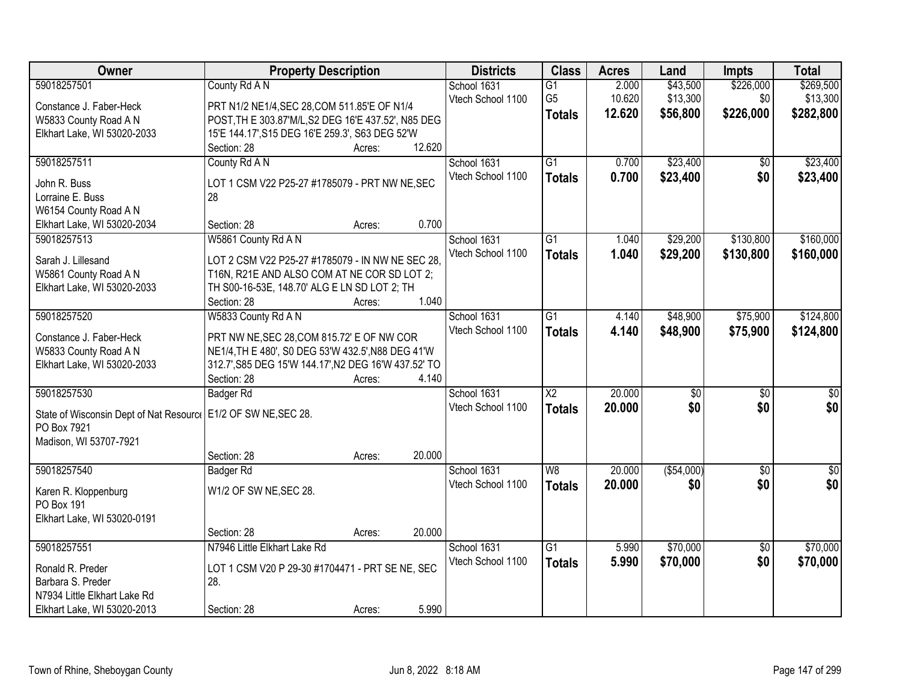| Owner                                                           | <b>Property Description</b>                          |        |        | <b>Districts</b>  | <b>Class</b>           | <b>Acres</b> | Land             | <b>Impts</b>    | <b>Total</b>     |
|-----------------------------------------------------------------|------------------------------------------------------|--------|--------|-------------------|------------------------|--------------|------------------|-----------------|------------------|
| 59018257501                                                     | County Rd A N                                        |        |        | School 1631       | $\overline{G1}$        | 2.000        | \$43,500         | \$226,000       | \$269,500        |
| Constance J. Faber-Heck                                         | PRT N1/2 NE1/4, SEC 28, COM 511.85'E OF N1/4         |        |        | Vtech School 1100 | G <sub>5</sub>         | 10.620       | \$13,300         | \$0             | \$13,300         |
| W5833 County Road A N                                           | POST, TH E 303.87'M/L, S2 DEG 16'E 437.52', N85 DEG  |        |        |                   | <b>Totals</b>          | 12.620       | \$56,800         | \$226,000       | \$282,800        |
| Elkhart Lake, WI 53020-2033                                     | 15'E 144.17', S15 DEG 16'E 259.3', S63 DEG 52'W      |        |        |                   |                        |              |                  |                 |                  |
|                                                                 | Section: 28                                          | Acres: | 12.620 |                   |                        |              |                  |                 |                  |
| 59018257511                                                     | County Rd A N                                        |        |        | School 1631       | $\overline{G1}$        | 0.700        | \$23,400         | \$0             | \$23,400         |
|                                                                 |                                                      |        |        | Vtech School 1100 | <b>Totals</b>          | 0.700        | \$23,400         | \$0             | \$23,400         |
| John R. Buss                                                    | LOT 1 CSM V22 P25-27 #1785079 - PRT NW NE, SEC       |        |        |                   |                        |              |                  |                 |                  |
| Lorraine E. Buss                                                | 28                                                   |        |        |                   |                        |              |                  |                 |                  |
| W6154 County Road A N                                           |                                                      |        |        |                   |                        |              |                  |                 |                  |
| Elkhart Lake, WI 53020-2034                                     | Section: 28                                          | Acres: | 0.700  |                   |                        |              |                  |                 |                  |
| 59018257513                                                     | W5861 County Rd A N                                  |        |        | School 1631       | $\overline{G1}$        | 1.040        | \$29,200         | \$130,800       | \$160,000        |
| Sarah J. Lillesand                                              | LOT 2 CSM V22 P25-27 #1785079 - IN NW NE SEC 28,     |        |        | Vtech School 1100 | <b>Totals</b>          | 1.040        | \$29,200         | \$130,800       | \$160,000        |
| W5861 County Road A N                                           | T16N, R21E AND ALSO COM AT NE COR SD LOT 2;          |        |        |                   |                        |              |                  |                 |                  |
| Elkhart Lake, WI 53020-2033                                     | TH S00-16-53E, 148.70' ALG E LN SD LOT 2; TH         |        |        |                   |                        |              |                  |                 |                  |
|                                                                 | Section: 28                                          | Acres: | 1.040  |                   |                        |              |                  |                 |                  |
| 59018257520                                                     | W5833 County Rd A N                                  |        |        | School 1631       | G1                     | 4.140        | \$48,900         | \$75,900        | \$124,800        |
|                                                                 |                                                      |        |        | Vtech School 1100 | <b>Totals</b>          | 4.140        | \$48,900         | \$75,900        | \$124,800        |
| Constance J. Faber-Heck                                         | PRT NW NE, SEC 28, COM 815.72' E OF NW COR           |        |        |                   |                        |              |                  |                 |                  |
| W5833 County Road A N                                           | NE1/4, TH E 480', S0 DEG 53'W 432.5', N88 DEG 41'W   |        |        |                   |                        |              |                  |                 |                  |
| Elkhart Lake, WI 53020-2033                                     | 312.7', S85 DEG 15'W 144.17', N2 DEG 16'W 437.52' TO |        |        |                   |                        |              |                  |                 |                  |
|                                                                 | Section: 28                                          | Acres: | 4.140  |                   |                        |              |                  |                 |                  |
| 59018257530                                                     | <b>Badger Rd</b>                                     |        |        | School 1631       | $\overline{\text{X2}}$ | 20.000       | $\overline{\$0}$ | $\overline{50}$ | $\overline{\$0}$ |
| State of Wisconsin Dept of Nat Resourc   E1/2 OF SW NE, SEC 28. |                                                      |        |        | Vtech School 1100 | <b>Totals</b>          | 20.000       | \$0              | \$0             | \$0              |
| PO Box 7921                                                     |                                                      |        |        |                   |                        |              |                  |                 |                  |
| Madison, WI 53707-7921                                          |                                                      |        |        |                   |                        |              |                  |                 |                  |
|                                                                 | Section: 28                                          | Acres: | 20.000 |                   |                        |              |                  |                 |                  |
| 59018257540                                                     | Badger Rd                                            |        |        | School 1631       | W8                     | 20.000       | ( \$54,000)      | $\overline{50}$ | $\frac{6}{3}$    |
|                                                                 |                                                      |        |        | Vtech School 1100 | <b>Totals</b>          | 20.000       | \$0              | \$0             | \$0              |
| Karen R. Kloppenburg                                            | W1/2 OF SW NE, SEC 28.                               |        |        |                   |                        |              |                  |                 |                  |
| PO Box 191                                                      |                                                      |        |        |                   |                        |              |                  |                 |                  |
| Elkhart Lake, WI 53020-0191                                     |                                                      |        |        |                   |                        |              |                  |                 |                  |
|                                                                 | Section: 28                                          | Acres: | 20.000 |                   |                        |              |                  |                 |                  |
| 59018257551                                                     | N7946 Little Elkhart Lake Rd                         |        |        | School 1631       | $\overline{G1}$        | 5.990        | \$70,000         | $\overline{50}$ | \$70,000         |
| Ronald R. Preder                                                | LOT 1 CSM V20 P 29-30 #1704471 - PRT SE NE, SEC      |        |        | Vtech School 1100 | <b>Totals</b>          | 5.990        | \$70,000         | \$0             | \$70,000         |
| Barbara S. Preder                                               | 28.                                                  |        |        |                   |                        |              |                  |                 |                  |
| N7934 Little Elkhart Lake Rd                                    |                                                      |        |        |                   |                        |              |                  |                 |                  |
| Elkhart Lake, WI 53020-2013                                     | Section: 28                                          | Acres: | 5.990  |                   |                        |              |                  |                 |                  |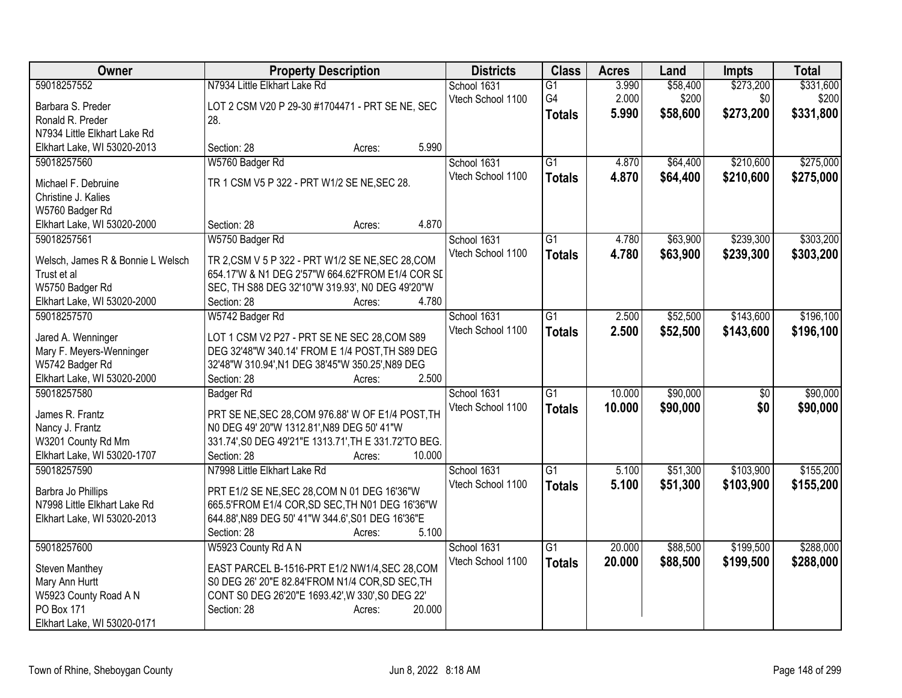| Owner                                      | <b>Property Description</b>                           |        |        | <b>Districts</b>  | <b>Class</b>    | <b>Acres</b> | Land     | <b>Impts</b>    | <b>Total</b> |
|--------------------------------------------|-------------------------------------------------------|--------|--------|-------------------|-----------------|--------------|----------|-----------------|--------------|
| 59018257552                                | N7934 Little Elkhart Lake Rd                          |        |        | School 1631       | G1              | 3.990        | \$58,400 | \$273,200       | \$331,600    |
| Barbara S. Preder                          | LOT 2 CSM V20 P 29-30 #1704471 - PRT SE NE, SEC       |        |        | Vtech School 1100 | G4              | 2.000        | \$200    | \$0             | \$200        |
| Ronald R. Preder                           | 28.                                                   |        |        |                   | <b>Totals</b>   | 5.990        | \$58,600 | \$273,200       | \$331,800    |
| N7934 Little Elkhart Lake Rd               |                                                       |        |        |                   |                 |              |          |                 |              |
| Elkhart Lake, WI 53020-2013                | Section: 28                                           | Acres: | 5.990  |                   |                 |              |          |                 |              |
| 59018257560                                | W5760 Badger Rd                                       |        |        | School 1631       | $\overline{G1}$ | 4.870        | \$64,400 | \$210,600       | \$275,000    |
|                                            |                                                       |        |        | Vtech School 1100 | <b>Totals</b>   | 4.870        | \$64,400 | \$210,600       | \$275,000    |
| Michael F. Debruine                        | TR 1 CSM V5 P 322 - PRT W1/2 SE NE, SEC 28.           |        |        |                   |                 |              |          |                 |              |
| Christine J. Kalies                        |                                                       |        |        |                   |                 |              |          |                 |              |
| W5760 Badger Rd                            | Section: 28                                           |        | 4.870  |                   |                 |              |          |                 |              |
| Elkhart Lake, WI 53020-2000<br>59018257561 | W5750 Badger Rd                                       | Acres: |        | School 1631       | $\overline{G1}$ | 4.780        | \$63,900 | \$239,300       | \$303,200    |
|                                            |                                                       |        |        | Vtech School 1100 |                 |              |          |                 |              |
| Welsch, James R & Bonnie L Welsch          | TR 2, CSM V 5 P 322 - PRT W1/2 SE NE, SEC 28, COM     |        |        |                   | <b>Totals</b>   | 4.780        | \$63,900 | \$239,300       | \$303,200    |
| Trust et al                                | 654.17'W & N1 DEG 2'57"W 664.62'FROM E1/4 COR SL      |        |        |                   |                 |              |          |                 |              |
| W5750 Badger Rd                            | SEC, TH S88 DEG 32'10"W 319.93', N0 DEG 49'20"W       |        |        |                   |                 |              |          |                 |              |
| Elkhart Lake, WI 53020-2000                | Section: 28                                           | Acres: | 4.780  |                   |                 |              |          |                 |              |
| 59018257570                                | W5742 Badger Rd                                       |        |        | School 1631       | $\overline{G1}$ | 2.500        | \$52,500 | \$143,600       | \$196,100    |
| Jared A. Wenninger                         | LOT 1 CSM V2 P27 - PRT SE NE SEC 28, COM S89          |        |        | Vtech School 1100 | <b>Totals</b>   | 2.500        | \$52,500 | \$143,600       | \$196,100    |
| Mary F. Meyers-Wenninger                   | DEG 32'48"W 340.14' FROM E 1/4 POST, TH S89 DEG       |        |        |                   |                 |              |          |                 |              |
| W5742 Badger Rd                            | 32'48"W 310.94', N1 DEG 38'45"W 350.25', N89 DEG      |        |        |                   |                 |              |          |                 |              |
| Elkhart Lake, WI 53020-2000                | Section: 28                                           | Acres: | 2.500  |                   |                 |              |          |                 |              |
| 59018257580                                | <b>Badger Rd</b>                                      |        |        | School 1631       | $\overline{G1}$ | 10.000       | \$90,000 | $\overline{50}$ | \$90,000     |
|                                            |                                                       |        |        | Vtech School 1100 | <b>Totals</b>   | 10.000       | \$90,000 | \$0             | \$90,000     |
| James R. Frantz                            | PRT SE NE, SEC 28, COM 976.88' W OF E1/4 POST, TH     |        |        |                   |                 |              |          |                 |              |
| Nancy J. Frantz                            | N0 DEG 49' 20"W 1312.81', N89 DEG 50' 41"W            |        |        |                   |                 |              |          |                 |              |
| W3201 County Rd Mm                         | 331.74', S0 DEG 49'21"E 1313.71', TH E 331.72'TO BEG. |        |        |                   |                 |              |          |                 |              |
| Elkhart Lake, WI 53020-1707                | Section: 28                                           | Acres: | 10.000 |                   |                 |              |          |                 |              |
| 59018257590                                | N7998 Little Elkhart Lake Rd                          |        |        | School 1631       | $\overline{G1}$ | 5.100        | \$51,300 | \$103,900       | \$155,200    |
| Barbra Jo Phillips                         | PRT E1/2 SE NE, SEC 28, COM N 01 DEG 16'36"W          |        |        | Vtech School 1100 | <b>Totals</b>   | 5.100        | \$51,300 | \$103,900       | \$155,200    |
| N7998 Little Elkhart Lake Rd               | 665.5'FROM E1/4 COR, SD SEC, TH N01 DEG 16'36"W       |        |        |                   |                 |              |          |                 |              |
| Elkhart Lake, WI 53020-2013                | 644.88', N89 DEG 50' 41"W 344.6', S01 DEG 16'36"E     |        |        |                   |                 |              |          |                 |              |
|                                            | Section: 28                                           | Acres: | 5.100  |                   |                 |              |          |                 |              |
| 59018257600                                | W5923 County Rd A N                                   |        |        | School 1631       | $\overline{G1}$ | 20.000       | \$88,500 | \$199,500       | \$288,000    |
| Steven Manthey                             | EAST PARCEL B-1516-PRT E1/2 NW1/4, SEC 28, COM        |        |        | Vtech School 1100 | <b>Totals</b>   | 20.000       | \$88,500 | \$199,500       | \$288,000    |
| Mary Ann Hurtt                             | S0 DEG 26' 20"E 82.84'FROM N1/4 COR, SD SEC, TH       |        |        |                   |                 |              |          |                 |              |
| W5923 County Road A N                      | CONT S0 DEG 26'20"E 1693.42', W 330', S0 DEG 22'      |        |        |                   |                 |              |          |                 |              |
| PO Box 171                                 | Section: 28                                           | Acres: | 20.000 |                   |                 |              |          |                 |              |
| Elkhart Lake, WI 53020-0171                |                                                       |        |        |                   |                 |              |          |                 |              |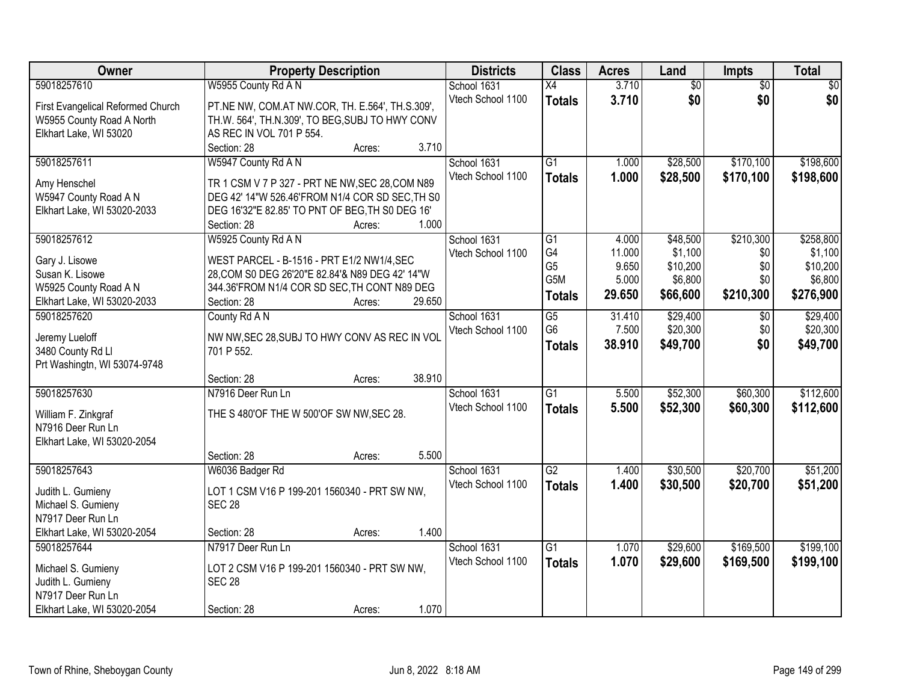| 59018257610<br>W5955 County Rd A N<br>3.710<br>$\overline{60}$<br>$\overline{50}$<br>\$0<br>School 1631<br>$\overline{X4}$<br>\$0<br>3.710<br>\$0<br>\$0<br>Vtech School 1100<br><b>Totals</b><br>First Evangelical Reformed Church<br>PT.NE NW, COM.AT NW.COR, TH. E.564', TH.S.309',<br>W5955 County Road A North<br>TH.W. 564', TH.N.309', TO BEG, SUBJ TO HWY CONV<br>Elkhart Lake, WI 53020<br>AS REC IN VOL 701 P 554.<br>3.710<br>Section: 28<br>Acres:<br>59018257611<br>W5947 County Rd A N<br>$\overline{G1}$<br>\$28,500<br>\$170,100<br>School 1631<br>1.000<br>Vtech School 1100<br>1.000<br>\$170,100<br>\$28,500<br><b>Totals</b><br>TR 1 CSM V 7 P 327 - PRT NE NW, SEC 28, COM N89<br>Amy Henschel<br>W5947 County Road A N<br>DEG 42' 14"W 526.46'FROM N1/4 COR SD SEC, TH S0<br>Elkhart Lake, WI 53020-2033<br>DEG 16'32"E 82.85' TO PNT OF BEG, TH S0 DEG 16'<br>1.000<br>Section: 28<br>Acres:<br>\$210,300<br>59018257612<br>W5925 County Rd A N<br>School 1631<br>$\overline{G1}$<br>\$48,500<br>4.000<br>G4<br>\$1,100<br>\$0<br>Vtech School 1100<br>11.000<br>WEST PARCEL - B-1516 - PRT E1/2 NW1/4, SEC<br>Gary J. Lisowe<br>G <sub>5</sub><br>9.650<br>\$10,200<br>\$0<br>Susan K. Lisowe<br>28, COM S0 DEG 26' 20" E 82.84' & N89 DEG 42' 14" W<br>G5M<br>5.000<br>\$6,800<br>\$0<br>344.36'FROM N1/4 COR SD SEC, TH CONT N89 DEG<br>W5925 County Road A N<br>29.650<br>\$66,600<br>\$210,300<br>\$276,900<br><b>Totals</b><br>29.650<br>Elkhart Lake, WI 53020-2033<br>Section: 28<br>Acres:<br>\$29,400<br>\$29,400<br>59018257620<br>County Rd A N<br>School 1631<br>G5<br>31.410<br>$\sqrt[6]{}$<br>G <sub>6</sub><br>\$20,300<br>\$0<br>Vtech School 1100<br>7.500<br>NW NW, SEC 28, SUBJ TO HWY CONV AS REC IN VOL<br>Jeremy Lueloff<br>\$0<br>38.910<br>\$49,700<br><b>Totals</b><br>3480 County Rd Ll<br>701 P 552.<br>Prt Washingtn, WI 53074-9748<br>38.910<br>Section: 28<br>Acres:<br>$\overline{G1}$<br>\$52,300<br>\$60,300<br>59018257630<br>N7916 Deer Run Ln<br>5.500<br>School 1631<br>Vtech School 1100<br>5.500<br>\$52,300<br>\$60,300<br><b>Totals</b><br>THE S 480'OF THE W 500'OF SW NW, SEC 28.<br>William F. Zinkgraf<br>N7916 Deer Run Ln<br>Elkhart Lake, WI 53020-2054<br>5.500<br>Section: 28<br>Acres:<br>59018257643<br>G2<br>\$30,500<br>\$20,700<br>School 1631<br>1.400<br>W6036 Badger Rd<br>Vtech School 1100<br>1.400<br>\$30,500<br>\$20,700<br><b>Totals</b><br>LOT 1 CSM V16 P 199-201 1560340 - PRT SW NW,<br>Judith L. Gumieny<br>Michael S. Gumieny<br><b>SEC 28</b><br>N7917 Deer Run Ln<br>Elkhart Lake, WI 53020-2054<br>1.400<br>Section: 28<br>Acres:<br>\$169,500<br>N7917 Deer Run Ln<br>School 1631<br>$\overline{G1}$<br>\$29,600<br>59018257644<br>1.070<br>1.070<br>Vtech School 1100<br>\$29,600<br>\$169,500<br><b>Totals</b><br>Michael S. Gumieny<br>LOT 2 CSM V16 P 199-201 1560340 - PRT SW NW,<br><b>SEC 28</b><br>Judith L. Gumieny | Owner                       | <b>Property Description</b> | <b>Districts</b> | <b>Class</b> | <b>Acres</b> | Land | Impts | <b>Total</b> |
|---------------------------------------------------------------------------------------------------------------------------------------------------------------------------------------------------------------------------------------------------------------------------------------------------------------------------------------------------------------------------------------------------------------------------------------------------------------------------------------------------------------------------------------------------------------------------------------------------------------------------------------------------------------------------------------------------------------------------------------------------------------------------------------------------------------------------------------------------------------------------------------------------------------------------------------------------------------------------------------------------------------------------------------------------------------------------------------------------------------------------------------------------------------------------------------------------------------------------------------------------------------------------------------------------------------------------------------------------------------------------------------------------------------------------------------------------------------------------------------------------------------------------------------------------------------------------------------------------------------------------------------------------------------------------------------------------------------------------------------------------------------------------------------------------------------------------------------------------------------------------------------------------------------------------------------------------------------------------------------------------------------------------------------------------------------------------------------------------------------------------------------------------------------------------------------------------------------------------------------------------------------------------------------------------------------------------------------------------------------------------------------------------------------------------------------------------------------------------------------------------------------------------------------------------------------------------------------------------------------------------------------------------------------------------------------------------------------------------------------------------------------------------------------------------------------------------------------------------------------------------------------------------------------------------------|-----------------------------|-----------------------------|------------------|--------------|--------------|------|-------|--------------|
|                                                                                                                                                                                                                                                                                                                                                                                                                                                                                                                                                                                                                                                                                                                                                                                                                                                                                                                                                                                                                                                                                                                                                                                                                                                                                                                                                                                                                                                                                                                                                                                                                                                                                                                                                                                                                                                                                                                                                                                                                                                                                                                                                                                                                                                                                                                                                                                                                                                                                                                                                                                                                                                                                                                                                                                                                                                                                                                                 |                             |                             |                  |              |              |      |       |              |
|                                                                                                                                                                                                                                                                                                                                                                                                                                                                                                                                                                                                                                                                                                                                                                                                                                                                                                                                                                                                                                                                                                                                                                                                                                                                                                                                                                                                                                                                                                                                                                                                                                                                                                                                                                                                                                                                                                                                                                                                                                                                                                                                                                                                                                                                                                                                                                                                                                                                                                                                                                                                                                                                                                                                                                                                                                                                                                                                 |                             |                             |                  |              |              |      |       |              |
| \$198,600<br>\$198,600<br>\$258,800<br>\$1,100<br>\$10,200<br>\$6,800<br>\$20,300<br>\$49,700<br>\$112,600<br>\$112,600<br>\$51,200<br>\$51,200<br>\$199,100<br>\$199,100                                                                                                                                                                                                                                                                                                                                                                                                                                                                                                                                                                                                                                                                                                                                                                                                                                                                                                                                                                                                                                                                                                                                                                                                                                                                                                                                                                                                                                                                                                                                                                                                                                                                                                                                                                                                                                                                                                                                                                                                                                                                                                                                                                                                                                                                                                                                                                                                                                                                                                                                                                                                                                                                                                                                                       |                             |                             |                  |              |              |      |       |              |
|                                                                                                                                                                                                                                                                                                                                                                                                                                                                                                                                                                                                                                                                                                                                                                                                                                                                                                                                                                                                                                                                                                                                                                                                                                                                                                                                                                                                                                                                                                                                                                                                                                                                                                                                                                                                                                                                                                                                                                                                                                                                                                                                                                                                                                                                                                                                                                                                                                                                                                                                                                                                                                                                                                                                                                                                                                                                                                                                 |                             |                             |                  |              |              |      |       |              |
|                                                                                                                                                                                                                                                                                                                                                                                                                                                                                                                                                                                                                                                                                                                                                                                                                                                                                                                                                                                                                                                                                                                                                                                                                                                                                                                                                                                                                                                                                                                                                                                                                                                                                                                                                                                                                                                                                                                                                                                                                                                                                                                                                                                                                                                                                                                                                                                                                                                                                                                                                                                                                                                                                                                                                                                                                                                                                                                                 |                             |                             |                  |              |              |      |       |              |
|                                                                                                                                                                                                                                                                                                                                                                                                                                                                                                                                                                                                                                                                                                                                                                                                                                                                                                                                                                                                                                                                                                                                                                                                                                                                                                                                                                                                                                                                                                                                                                                                                                                                                                                                                                                                                                                                                                                                                                                                                                                                                                                                                                                                                                                                                                                                                                                                                                                                                                                                                                                                                                                                                                                                                                                                                                                                                                                                 |                             |                             |                  |              |              |      |       |              |
|                                                                                                                                                                                                                                                                                                                                                                                                                                                                                                                                                                                                                                                                                                                                                                                                                                                                                                                                                                                                                                                                                                                                                                                                                                                                                                                                                                                                                                                                                                                                                                                                                                                                                                                                                                                                                                                                                                                                                                                                                                                                                                                                                                                                                                                                                                                                                                                                                                                                                                                                                                                                                                                                                                                                                                                                                                                                                                                                 |                             |                             |                  |              |              |      |       |              |
|                                                                                                                                                                                                                                                                                                                                                                                                                                                                                                                                                                                                                                                                                                                                                                                                                                                                                                                                                                                                                                                                                                                                                                                                                                                                                                                                                                                                                                                                                                                                                                                                                                                                                                                                                                                                                                                                                                                                                                                                                                                                                                                                                                                                                                                                                                                                                                                                                                                                                                                                                                                                                                                                                                                                                                                                                                                                                                                                 |                             |                             |                  |              |              |      |       |              |
|                                                                                                                                                                                                                                                                                                                                                                                                                                                                                                                                                                                                                                                                                                                                                                                                                                                                                                                                                                                                                                                                                                                                                                                                                                                                                                                                                                                                                                                                                                                                                                                                                                                                                                                                                                                                                                                                                                                                                                                                                                                                                                                                                                                                                                                                                                                                                                                                                                                                                                                                                                                                                                                                                                                                                                                                                                                                                                                                 |                             |                             |                  |              |              |      |       |              |
|                                                                                                                                                                                                                                                                                                                                                                                                                                                                                                                                                                                                                                                                                                                                                                                                                                                                                                                                                                                                                                                                                                                                                                                                                                                                                                                                                                                                                                                                                                                                                                                                                                                                                                                                                                                                                                                                                                                                                                                                                                                                                                                                                                                                                                                                                                                                                                                                                                                                                                                                                                                                                                                                                                                                                                                                                                                                                                                                 |                             |                             |                  |              |              |      |       |              |
|                                                                                                                                                                                                                                                                                                                                                                                                                                                                                                                                                                                                                                                                                                                                                                                                                                                                                                                                                                                                                                                                                                                                                                                                                                                                                                                                                                                                                                                                                                                                                                                                                                                                                                                                                                                                                                                                                                                                                                                                                                                                                                                                                                                                                                                                                                                                                                                                                                                                                                                                                                                                                                                                                                                                                                                                                                                                                                                                 |                             |                             |                  |              |              |      |       |              |
|                                                                                                                                                                                                                                                                                                                                                                                                                                                                                                                                                                                                                                                                                                                                                                                                                                                                                                                                                                                                                                                                                                                                                                                                                                                                                                                                                                                                                                                                                                                                                                                                                                                                                                                                                                                                                                                                                                                                                                                                                                                                                                                                                                                                                                                                                                                                                                                                                                                                                                                                                                                                                                                                                                                                                                                                                                                                                                                                 |                             |                             |                  |              |              |      |       |              |
|                                                                                                                                                                                                                                                                                                                                                                                                                                                                                                                                                                                                                                                                                                                                                                                                                                                                                                                                                                                                                                                                                                                                                                                                                                                                                                                                                                                                                                                                                                                                                                                                                                                                                                                                                                                                                                                                                                                                                                                                                                                                                                                                                                                                                                                                                                                                                                                                                                                                                                                                                                                                                                                                                                                                                                                                                                                                                                                                 |                             |                             |                  |              |              |      |       |              |
|                                                                                                                                                                                                                                                                                                                                                                                                                                                                                                                                                                                                                                                                                                                                                                                                                                                                                                                                                                                                                                                                                                                                                                                                                                                                                                                                                                                                                                                                                                                                                                                                                                                                                                                                                                                                                                                                                                                                                                                                                                                                                                                                                                                                                                                                                                                                                                                                                                                                                                                                                                                                                                                                                                                                                                                                                                                                                                                                 |                             |                             |                  |              |              |      |       |              |
|                                                                                                                                                                                                                                                                                                                                                                                                                                                                                                                                                                                                                                                                                                                                                                                                                                                                                                                                                                                                                                                                                                                                                                                                                                                                                                                                                                                                                                                                                                                                                                                                                                                                                                                                                                                                                                                                                                                                                                                                                                                                                                                                                                                                                                                                                                                                                                                                                                                                                                                                                                                                                                                                                                                                                                                                                                                                                                                                 |                             |                             |                  |              |              |      |       |              |
|                                                                                                                                                                                                                                                                                                                                                                                                                                                                                                                                                                                                                                                                                                                                                                                                                                                                                                                                                                                                                                                                                                                                                                                                                                                                                                                                                                                                                                                                                                                                                                                                                                                                                                                                                                                                                                                                                                                                                                                                                                                                                                                                                                                                                                                                                                                                                                                                                                                                                                                                                                                                                                                                                                                                                                                                                                                                                                                                 |                             |                             |                  |              |              |      |       |              |
|                                                                                                                                                                                                                                                                                                                                                                                                                                                                                                                                                                                                                                                                                                                                                                                                                                                                                                                                                                                                                                                                                                                                                                                                                                                                                                                                                                                                                                                                                                                                                                                                                                                                                                                                                                                                                                                                                                                                                                                                                                                                                                                                                                                                                                                                                                                                                                                                                                                                                                                                                                                                                                                                                                                                                                                                                                                                                                                                 |                             |                             |                  |              |              |      |       |              |
|                                                                                                                                                                                                                                                                                                                                                                                                                                                                                                                                                                                                                                                                                                                                                                                                                                                                                                                                                                                                                                                                                                                                                                                                                                                                                                                                                                                                                                                                                                                                                                                                                                                                                                                                                                                                                                                                                                                                                                                                                                                                                                                                                                                                                                                                                                                                                                                                                                                                                                                                                                                                                                                                                                                                                                                                                                                                                                                                 |                             |                             |                  |              |              |      |       |              |
|                                                                                                                                                                                                                                                                                                                                                                                                                                                                                                                                                                                                                                                                                                                                                                                                                                                                                                                                                                                                                                                                                                                                                                                                                                                                                                                                                                                                                                                                                                                                                                                                                                                                                                                                                                                                                                                                                                                                                                                                                                                                                                                                                                                                                                                                                                                                                                                                                                                                                                                                                                                                                                                                                                                                                                                                                                                                                                                                 |                             |                             |                  |              |              |      |       |              |
|                                                                                                                                                                                                                                                                                                                                                                                                                                                                                                                                                                                                                                                                                                                                                                                                                                                                                                                                                                                                                                                                                                                                                                                                                                                                                                                                                                                                                                                                                                                                                                                                                                                                                                                                                                                                                                                                                                                                                                                                                                                                                                                                                                                                                                                                                                                                                                                                                                                                                                                                                                                                                                                                                                                                                                                                                                                                                                                                 |                             |                             |                  |              |              |      |       |              |
|                                                                                                                                                                                                                                                                                                                                                                                                                                                                                                                                                                                                                                                                                                                                                                                                                                                                                                                                                                                                                                                                                                                                                                                                                                                                                                                                                                                                                                                                                                                                                                                                                                                                                                                                                                                                                                                                                                                                                                                                                                                                                                                                                                                                                                                                                                                                                                                                                                                                                                                                                                                                                                                                                                                                                                                                                                                                                                                                 |                             |                             |                  |              |              |      |       |              |
|                                                                                                                                                                                                                                                                                                                                                                                                                                                                                                                                                                                                                                                                                                                                                                                                                                                                                                                                                                                                                                                                                                                                                                                                                                                                                                                                                                                                                                                                                                                                                                                                                                                                                                                                                                                                                                                                                                                                                                                                                                                                                                                                                                                                                                                                                                                                                                                                                                                                                                                                                                                                                                                                                                                                                                                                                                                                                                                                 |                             |                             |                  |              |              |      |       |              |
|                                                                                                                                                                                                                                                                                                                                                                                                                                                                                                                                                                                                                                                                                                                                                                                                                                                                                                                                                                                                                                                                                                                                                                                                                                                                                                                                                                                                                                                                                                                                                                                                                                                                                                                                                                                                                                                                                                                                                                                                                                                                                                                                                                                                                                                                                                                                                                                                                                                                                                                                                                                                                                                                                                                                                                                                                                                                                                                                 |                             |                             |                  |              |              |      |       |              |
|                                                                                                                                                                                                                                                                                                                                                                                                                                                                                                                                                                                                                                                                                                                                                                                                                                                                                                                                                                                                                                                                                                                                                                                                                                                                                                                                                                                                                                                                                                                                                                                                                                                                                                                                                                                                                                                                                                                                                                                                                                                                                                                                                                                                                                                                                                                                                                                                                                                                                                                                                                                                                                                                                                                                                                                                                                                                                                                                 |                             |                             |                  |              |              |      |       |              |
|                                                                                                                                                                                                                                                                                                                                                                                                                                                                                                                                                                                                                                                                                                                                                                                                                                                                                                                                                                                                                                                                                                                                                                                                                                                                                                                                                                                                                                                                                                                                                                                                                                                                                                                                                                                                                                                                                                                                                                                                                                                                                                                                                                                                                                                                                                                                                                                                                                                                                                                                                                                                                                                                                                                                                                                                                                                                                                                                 |                             |                             |                  |              |              |      |       |              |
|                                                                                                                                                                                                                                                                                                                                                                                                                                                                                                                                                                                                                                                                                                                                                                                                                                                                                                                                                                                                                                                                                                                                                                                                                                                                                                                                                                                                                                                                                                                                                                                                                                                                                                                                                                                                                                                                                                                                                                                                                                                                                                                                                                                                                                                                                                                                                                                                                                                                                                                                                                                                                                                                                                                                                                                                                                                                                                                                 |                             |                             |                  |              |              |      |       |              |
|                                                                                                                                                                                                                                                                                                                                                                                                                                                                                                                                                                                                                                                                                                                                                                                                                                                                                                                                                                                                                                                                                                                                                                                                                                                                                                                                                                                                                                                                                                                                                                                                                                                                                                                                                                                                                                                                                                                                                                                                                                                                                                                                                                                                                                                                                                                                                                                                                                                                                                                                                                                                                                                                                                                                                                                                                                                                                                                                 |                             |                             |                  |              |              |      |       |              |
|                                                                                                                                                                                                                                                                                                                                                                                                                                                                                                                                                                                                                                                                                                                                                                                                                                                                                                                                                                                                                                                                                                                                                                                                                                                                                                                                                                                                                                                                                                                                                                                                                                                                                                                                                                                                                                                                                                                                                                                                                                                                                                                                                                                                                                                                                                                                                                                                                                                                                                                                                                                                                                                                                                                                                                                                                                                                                                                                 |                             |                             |                  |              |              |      |       |              |
|                                                                                                                                                                                                                                                                                                                                                                                                                                                                                                                                                                                                                                                                                                                                                                                                                                                                                                                                                                                                                                                                                                                                                                                                                                                                                                                                                                                                                                                                                                                                                                                                                                                                                                                                                                                                                                                                                                                                                                                                                                                                                                                                                                                                                                                                                                                                                                                                                                                                                                                                                                                                                                                                                                                                                                                                                                                                                                                                 |                             |                             |                  |              |              |      |       |              |
|                                                                                                                                                                                                                                                                                                                                                                                                                                                                                                                                                                                                                                                                                                                                                                                                                                                                                                                                                                                                                                                                                                                                                                                                                                                                                                                                                                                                                                                                                                                                                                                                                                                                                                                                                                                                                                                                                                                                                                                                                                                                                                                                                                                                                                                                                                                                                                                                                                                                                                                                                                                                                                                                                                                                                                                                                                                                                                                                 |                             |                             |                  |              |              |      |       |              |
|                                                                                                                                                                                                                                                                                                                                                                                                                                                                                                                                                                                                                                                                                                                                                                                                                                                                                                                                                                                                                                                                                                                                                                                                                                                                                                                                                                                                                                                                                                                                                                                                                                                                                                                                                                                                                                                                                                                                                                                                                                                                                                                                                                                                                                                                                                                                                                                                                                                                                                                                                                                                                                                                                                                                                                                                                                                                                                                                 |                             |                             |                  |              |              |      |       |              |
|                                                                                                                                                                                                                                                                                                                                                                                                                                                                                                                                                                                                                                                                                                                                                                                                                                                                                                                                                                                                                                                                                                                                                                                                                                                                                                                                                                                                                                                                                                                                                                                                                                                                                                                                                                                                                                                                                                                                                                                                                                                                                                                                                                                                                                                                                                                                                                                                                                                                                                                                                                                                                                                                                                                                                                                                                                                                                                                                 |                             |                             |                  |              |              |      |       |              |
|                                                                                                                                                                                                                                                                                                                                                                                                                                                                                                                                                                                                                                                                                                                                                                                                                                                                                                                                                                                                                                                                                                                                                                                                                                                                                                                                                                                                                                                                                                                                                                                                                                                                                                                                                                                                                                                                                                                                                                                                                                                                                                                                                                                                                                                                                                                                                                                                                                                                                                                                                                                                                                                                                                                                                                                                                                                                                                                                 |                             |                             |                  |              |              |      |       |              |
|                                                                                                                                                                                                                                                                                                                                                                                                                                                                                                                                                                                                                                                                                                                                                                                                                                                                                                                                                                                                                                                                                                                                                                                                                                                                                                                                                                                                                                                                                                                                                                                                                                                                                                                                                                                                                                                                                                                                                                                                                                                                                                                                                                                                                                                                                                                                                                                                                                                                                                                                                                                                                                                                                                                                                                                                                                                                                                                                 |                             |                             |                  |              |              |      |       |              |
|                                                                                                                                                                                                                                                                                                                                                                                                                                                                                                                                                                                                                                                                                                                                                                                                                                                                                                                                                                                                                                                                                                                                                                                                                                                                                                                                                                                                                                                                                                                                                                                                                                                                                                                                                                                                                                                                                                                                                                                                                                                                                                                                                                                                                                                                                                                                                                                                                                                                                                                                                                                                                                                                                                                                                                                                                                                                                                                                 |                             |                             |                  |              |              |      |       |              |
| N7917 Deer Run Ln                                                                                                                                                                                                                                                                                                                                                                                                                                                                                                                                                                                                                                                                                                                                                                                                                                                                                                                                                                                                                                                                                                                                                                                                                                                                                                                                                                                                                                                                                                                                                                                                                                                                                                                                                                                                                                                                                                                                                                                                                                                                                                                                                                                                                                                                                                                                                                                                                                                                                                                                                                                                                                                                                                                                                                                                                                                                                                               |                             |                             |                  |              |              |      |       |              |
| 1.070                                                                                                                                                                                                                                                                                                                                                                                                                                                                                                                                                                                                                                                                                                                                                                                                                                                                                                                                                                                                                                                                                                                                                                                                                                                                                                                                                                                                                                                                                                                                                                                                                                                                                                                                                                                                                                                                                                                                                                                                                                                                                                                                                                                                                                                                                                                                                                                                                                                                                                                                                                                                                                                                                                                                                                                                                                                                                                                           | Elkhart Lake, WI 53020-2054 | Section: 28<br>Acres:       |                  |              |              |      |       |              |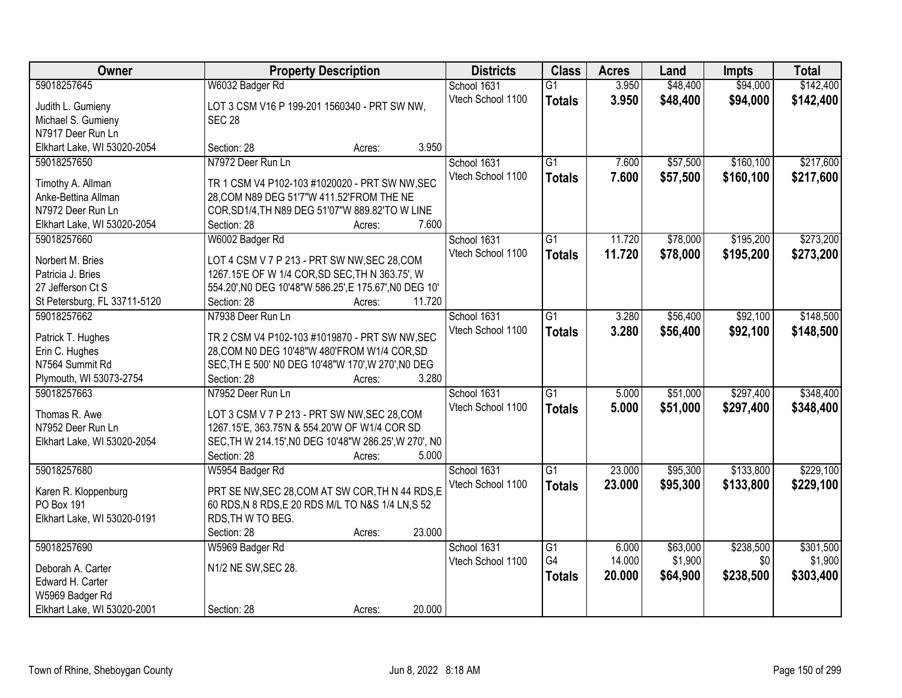| Owner                                    | <b>Property Description</b>                                                                  | <b>Districts</b> | <b>Class</b>      | <b>Acres</b>    | Land   | <b>Impts</b> | <b>Total</b> |           |
|------------------------------------------|----------------------------------------------------------------------------------------------|------------------|-------------------|-----------------|--------|--------------|--------------|-----------|
| 59018257645                              | W6032 Badger Rd                                                                              |                  | School 1631       | $\overline{G1}$ | 3.950  | \$48,400     | \$94,000     | \$142,400 |
| Judith L. Gumieny                        | LOT 3 CSM V16 P 199-201 1560340 - PRT SW NW,                                                 |                  | Vtech School 1100 | <b>Totals</b>   | 3.950  | \$48,400     | \$94,000     | \$142,400 |
| Michael S. Gumieny                       | <b>SEC 28</b>                                                                                |                  |                   |                 |        |              |              |           |
| N7917 Deer Run Ln                        |                                                                                              |                  |                   |                 |        |              |              |           |
| Elkhart Lake, WI 53020-2054              | Section: 28                                                                                  | Acres:           | 3.950             |                 |        |              |              |           |
| 59018257650                              | N7972 Deer Run Ln                                                                            |                  | School 1631       | $\overline{G1}$ | 7.600  | \$57,500     | \$160,100    | \$217,600 |
|                                          |                                                                                              |                  | Vtech School 1100 | <b>Totals</b>   | 7.600  | \$57,500     | \$160,100    | \$217,600 |
| Timothy A. Allman                        | TR 1 CSM V4 P102-103 #1020020 - PRT SW NW, SEC                                               |                  |                   |                 |        |              |              |           |
| Anke-Bettina Allman<br>N7972 Deer Run Ln | 28, COM N89 DEG 51'7"W 411.52'FROM THE NE<br>COR, SD1/4, TH N89 DEG 51'07"W 889.82'TO W LINE |                  |                   |                 |        |              |              |           |
| Elkhart Lake, WI 53020-2054              | Section: 28                                                                                  | Acres:           | 7.600             |                 |        |              |              |           |
| 59018257660                              | W6002 Badger Rd                                                                              |                  | School 1631       | G1              | 11.720 | \$78,000     | \$195,200    | \$273,200 |
|                                          |                                                                                              |                  | Vtech School 1100 |                 |        |              |              |           |
| Norbert M. Bries                         | LOT 4 CSM V 7 P 213 - PRT SW NW, SEC 28, COM                                                 |                  |                   | <b>Totals</b>   | 11.720 | \$78,000     | \$195,200    | \$273,200 |
| Patricia J. Bries                        | 1267.15'E OF W 1/4 COR, SD SEC, TH N 363.75', W                                              |                  |                   |                 |        |              |              |           |
| 27 Jefferson Ct S                        | 554.20', N0 DEG 10'48"W 586.25', E 175.67', N0 DEG 10'                                       |                  |                   |                 |        |              |              |           |
| St Petersburg, FL 33711-5120             | Section: 28                                                                                  | 11.720<br>Acres: |                   |                 |        |              |              |           |
| 59018257662                              | N7938 Deer Run Ln                                                                            |                  | School 1631       | $\overline{G1}$ | 3.280  | \$56,400     | \$92,100     | \$148,500 |
| Patrick T. Hughes                        | TR 2 CSM V4 P102-103 #1019870 - PRT SW NW, SEC                                               |                  | Vtech School 1100 | <b>Totals</b>   | 3.280  | \$56,400     | \$92,100     | \$148,500 |
| Erin C. Hughes                           | 28, COM N0 DEG 10'48"W 480'FROM W1/4 COR, SD                                                 |                  |                   |                 |        |              |              |           |
| N7564 Summit Rd                          | SEC, TH E 500' NO DEG 10'48"W 170', W 270', NO DEG                                           |                  |                   |                 |        |              |              |           |
| Plymouth, WI 53073-2754                  | Section: 28                                                                                  | Acres:           | 3.280             |                 |        |              |              |           |
| 59018257663                              | N7952 Deer Run Ln                                                                            |                  | School 1631       | $\overline{G1}$ | 5.000  | \$51,000     | \$297,400    | \$348,400 |
|                                          |                                                                                              |                  | Vtech School 1100 | <b>Totals</b>   | 5.000  | \$51,000     | \$297,400    | \$348,400 |
| Thomas R. Awe                            | LOT 3 CSM V 7 P 213 - PRT SW NW, SEC 28, COM                                                 |                  |                   |                 |        |              |              |           |
| N7952 Deer Run Ln                        | 1267.15'E, 363.75'N & 554.20'W OF W1/4 COR SD                                                |                  |                   |                 |        |              |              |           |
| Elkhart Lake, WI 53020-2054              | SEC, TH W 214.15', NO DEG 10'48"W 286.25', W 270', NO                                        |                  |                   |                 |        |              |              |           |
|                                          | Section: 28                                                                                  | Acres:           | 5.000             |                 |        |              |              |           |
| 59018257680                              | W5954 Badger Rd                                                                              |                  | School 1631       | $\overline{G1}$ | 23.000 | \$95,300     | \$133,800    | \$229,100 |
| Karen R. Kloppenburg                     | PRT SE NW, SEC 28, COM AT SW COR, TH N 44 RDS, E                                             |                  | Vtech School 1100 | <b>Totals</b>   | 23.000 | \$95,300     | \$133,800    | \$229,100 |
| PO Box 191                               | 60 RDS, N 8 RDS, E 20 RDS M/L TO N&S 1/4 LN, S 52                                            |                  |                   |                 |        |              |              |           |
| Elkhart Lake, WI 53020-0191              | RDS, TH W TO BEG.                                                                            |                  |                   |                 |        |              |              |           |
|                                          | Section: 28                                                                                  | 23.000<br>Acres: |                   |                 |        |              |              |           |
| 59018257690                              | W5969 Badger Rd                                                                              |                  | School 1631       | $\overline{G1}$ | 6.000  | \$63,000     | \$238,500    | \$301,500 |
| Deborah A. Carter                        | N1/2 NE SW, SEC 28.                                                                          |                  | Vtech School 1100 | G4              | 14.000 | \$1,900      | \$0          | \$1,900   |
| Edward H. Carter                         |                                                                                              |                  |                   | <b>Totals</b>   | 20.000 | \$64,900     | \$238,500    | \$303,400 |
| W5969 Badger Rd                          |                                                                                              |                  |                   |                 |        |              |              |           |
| Elkhart Lake, WI 53020-2001              | Section: 28                                                                                  | 20.000<br>Acres: |                   |                 |        |              |              |           |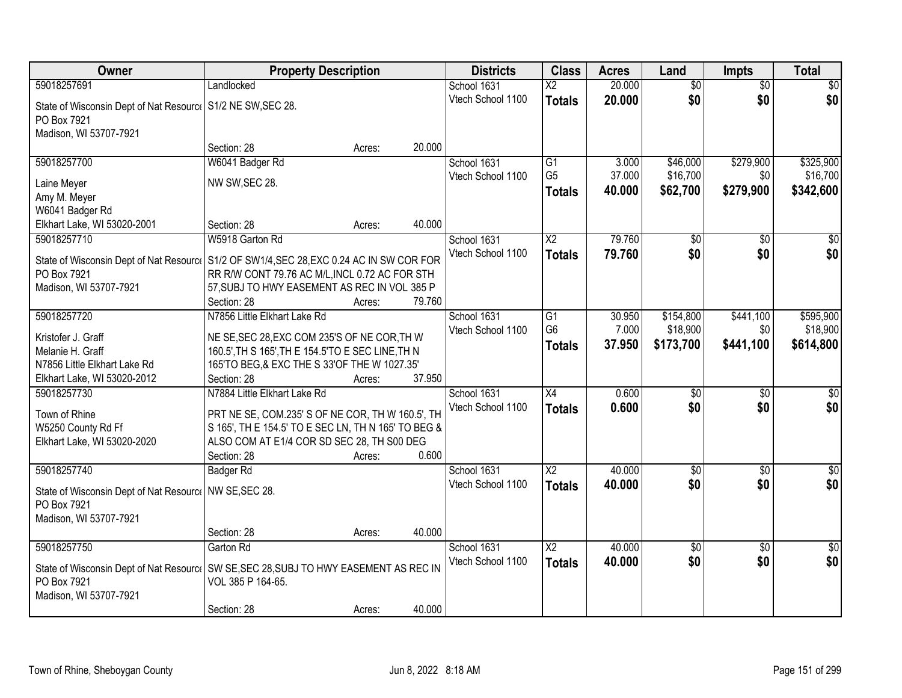| Owner                                                                                    | <b>Property Description</b>                                                                       |        |        | <b>Districts</b>  | <b>Class</b>           | <b>Acres</b> | Land             | <b>Impts</b>    | <b>Total</b>    |
|------------------------------------------------------------------------------------------|---------------------------------------------------------------------------------------------------|--------|--------|-------------------|------------------------|--------------|------------------|-----------------|-----------------|
| 59018257691                                                                              | Landlocked                                                                                        |        |        | School 1631       | $\overline{\text{X2}}$ | 20.000       | $\overline{50}$  | $\overline{50}$ | \$0             |
| State of Wisconsin Dept of Nat Resourc   S1/2 NE SW, SEC 28.                             |                                                                                                   |        |        | Vtech School 1100 | <b>Totals</b>          | 20.000       | \$0              | \$0             | \$0             |
| PO Box 7921                                                                              |                                                                                                   |        |        |                   |                        |              |                  |                 |                 |
| Madison, WI 53707-7921                                                                   |                                                                                                   |        |        |                   |                        |              |                  |                 |                 |
|                                                                                          | Section: 28                                                                                       | Acres: | 20.000 |                   |                        |              |                  |                 |                 |
| 59018257700                                                                              | W6041 Badger Rd                                                                                   |        |        | School 1631       | G1                     | 3.000        | \$46,000         | \$279,900       | \$325,900       |
| Laine Meyer                                                                              | NW SW, SEC 28.                                                                                    |        |        | Vtech School 1100 | G <sub>5</sub>         | 37.000       | \$16,700         | \$0             | \$16,700        |
| Amy M. Meyer                                                                             |                                                                                                   |        |        |                   | <b>Totals</b>          | 40.000       | \$62,700         | \$279,900       | \$342,600       |
| W6041 Badger Rd                                                                          |                                                                                                   |        |        |                   |                        |              |                  |                 |                 |
| Elkhart Lake, WI 53020-2001                                                              | Section: 28                                                                                       | Acres: | 40.000 |                   |                        |              |                  |                 |                 |
| 59018257710                                                                              | W5918 Garton Rd                                                                                   |        |        | School 1631       | $\overline{\text{X2}}$ | 79.760       | \$0              | \$0             | \$0             |
| State of Wisconsin Dept of Nat Resource S1/2 OF SW1/4, SEC 28, EXC 0.24 AC IN SW COR FOR |                                                                                                   |        |        | Vtech School 1100 | <b>Totals</b>          | 79.760       | \$0              | \$0             | \$0             |
| PO Box 7921                                                                              | RR R/W CONT 79.76 AC M/L, INCL 0.72 AC FOR STH                                                    |        |        |                   |                        |              |                  |                 |                 |
| Madison, WI 53707-7921                                                                   | 57, SUBJ TO HWY EASEMENT AS REC IN VOL 385 P                                                      |        |        |                   |                        |              |                  |                 |                 |
|                                                                                          | Section: 28                                                                                       | Acres: | 79.760 |                   |                        |              |                  |                 |                 |
| 59018257720                                                                              | N7856 Little Elkhart Lake Rd                                                                      |        |        | School 1631       | G1                     | 30.950       | \$154,800        | \$441,100       | \$595,900       |
|                                                                                          |                                                                                                   |        |        | Vtech School 1100 | G <sub>6</sub>         | 7.000        | \$18,900         | \$0             | \$18,900        |
| Kristofer J. Graff<br>Melanie H. Graff                                                   | NE SE, SEC 28, EXC COM 235'S OF NE COR, TH W<br>160.5', TH S 165', TH E 154.5'TO E SEC LINE, TH N |        |        |                   | <b>Totals</b>          | 37.950       | \$173,700        | \$441,100       | \$614,800       |
| N7856 Little Elkhart Lake Rd                                                             | 165'TO BEG, & EXC THE S 33'OF THE W 1027.35'                                                      |        |        |                   |                        |              |                  |                 |                 |
| Elkhart Lake, WI 53020-2012                                                              | Section: 28                                                                                       | Acres: | 37.950 |                   |                        |              |                  |                 |                 |
| 59018257730                                                                              | N7884 Little Elkhart Lake Rd                                                                      |        |        | School 1631       | $\overline{X4}$        | 0.600        | $\overline{\$0}$ | $\overline{50}$ | $\overline{50}$ |
|                                                                                          |                                                                                                   |        |        | Vtech School 1100 | <b>Totals</b>          | 0.600        | \$0              | \$0             | \$0             |
| Town of Rhine                                                                            | PRT NE SE, COM.235' S OF NE COR, TH W 160.5', TH                                                  |        |        |                   |                        |              |                  |                 |                 |
| W5250 County Rd Ff<br>Elkhart Lake, WI 53020-2020                                        | S 165', TH E 154.5' TO E SEC LN, TH N 165' TO BEG &<br>ALSO COM AT E1/4 COR SD SEC 28, TH S00 DEG |        |        |                   |                        |              |                  |                 |                 |
|                                                                                          | Section: 28                                                                                       | Acres: | 0.600  |                   |                        |              |                  |                 |                 |
| 59018257740                                                                              | Badger Rd                                                                                         |        |        | School 1631       | $\overline{X2}$        | 40.000       | \$0              | $\sqrt{6}$      | \$0             |
|                                                                                          |                                                                                                   |        |        | Vtech School 1100 | <b>Totals</b>          | 40.000       | \$0              | \$0             | \$0             |
| State of Wisconsin Dept of Nat Resourc   NW SE, SEC 28.                                  |                                                                                                   |        |        |                   |                        |              |                  |                 |                 |
| PO Box 7921                                                                              |                                                                                                   |        |        |                   |                        |              |                  |                 |                 |
| Madison, WI 53707-7921                                                                   | Section: 28                                                                                       | Acres: | 40.000 |                   |                        |              |                  |                 |                 |
| 59018257750                                                                              | Garton Rd                                                                                         |        |        | School 1631       | $\overline{\text{X2}}$ | 40.000       | \$0              | $\overline{30}$ | $\overline{50}$ |
|                                                                                          |                                                                                                   |        |        | Vtech School 1100 | <b>Totals</b>          | 40.000       | \$0              | \$0             | \$0             |
| State of Wisconsin Dept of Nat Resource                                                  | SW SE, SEC 28, SUBJ TO HWY EASEMENT AS REC IN                                                     |        |        |                   |                        |              |                  |                 |                 |
| PO Box 7921                                                                              | VOL 385 P 164-65.                                                                                 |        |        |                   |                        |              |                  |                 |                 |
| Madison, WI 53707-7921                                                                   |                                                                                                   |        | 40.000 |                   |                        |              |                  |                 |                 |
|                                                                                          | Section: 28                                                                                       | Acres: |        |                   |                        |              |                  |                 |                 |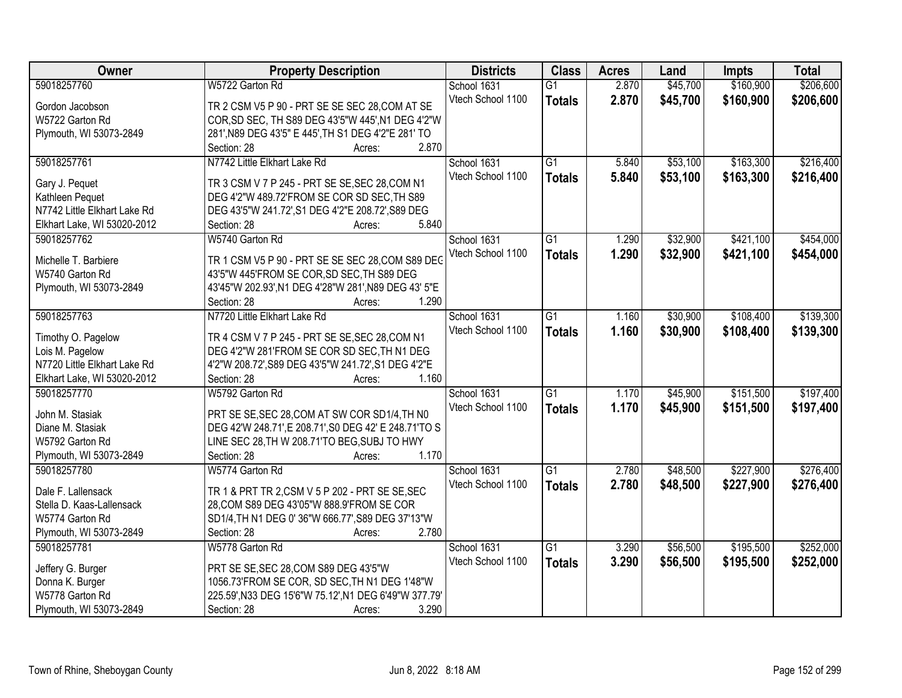| Owner                        | <b>Property Description</b>                           | <b>Districts</b>  | <b>Class</b>    | <b>Acres</b> | Land     | <b>Impts</b> | <b>Total</b> |
|------------------------------|-------------------------------------------------------|-------------------|-----------------|--------------|----------|--------------|--------------|
| 59018257760                  | W5722 Garton Rd                                       | School 1631       | $\overline{G1}$ | 2.870        | \$45,700 | \$160,900    | \$206,600    |
| Gordon Jacobson              | TR 2 CSM V5 P 90 - PRT SE SE SEC 28, COM AT SE        | Vtech School 1100 | <b>Totals</b>   | 2.870        | \$45,700 | \$160,900    | \$206,600    |
| W5722 Garton Rd              | COR, SD SEC, TH S89 DEG 43'5"W 445', N1 DEG 4'2"W     |                   |                 |              |          |              |              |
| Plymouth, WI 53073-2849      | 281', N89 DEG 43'5" E 445', TH S1 DEG 4'2"E 281' TO   |                   |                 |              |          |              |              |
|                              | 2.870<br>Section: 28<br>Acres:                        |                   |                 |              |          |              |              |
| 59018257761                  | N7742 Little Elkhart Lake Rd                          | School 1631       | $\overline{G1}$ | 5.840        | \$53,100 | \$163,300    | \$216,400    |
|                              |                                                       | Vtech School 1100 |                 | 5.840        |          |              |              |
| Gary J. Pequet               | TR 3 CSM V 7 P 245 - PRT SE SE, SEC 28, COM N1        |                   | <b>Totals</b>   |              | \$53,100 | \$163,300    | \$216,400    |
| Kathleen Pequet              | DEG 4'2"W 489.72'FROM SE COR SD SEC.TH S89            |                   |                 |              |          |              |              |
| N7742 Little Elkhart Lake Rd | DEG 43'5"W 241.72', S1 DEG 4'2"E 208.72', S89 DEG     |                   |                 |              |          |              |              |
| Elkhart Lake, WI 53020-2012  | 5.840<br>Section: 28<br>Acres:                        |                   |                 |              |          |              |              |
| 59018257762                  | W5740 Garton Rd                                       | School 1631       | $\overline{G1}$ | 1.290        | \$32,900 | \$421,100    | \$454,000    |
|                              |                                                       | Vtech School 1100 | <b>Totals</b>   | 1.290        | \$32,900 | \$421,100    | \$454,000    |
| Michelle T. Barbiere         | TR 1 CSM V5 P 90 - PRT SE SE SEC 28, COM S89 DEG      |                   |                 |              |          |              |              |
| W5740 Garton Rd              | 43'5"W 445'FROM SE COR, SD SEC, TH S89 DEG            |                   |                 |              |          |              |              |
| Plymouth, WI 53073-2849      | 43'45"W 202.93', N1 DEG 4'28"W 281', N89 DEG 43' 5"E  |                   |                 |              |          |              |              |
|                              | 1.290<br>Section: 28<br>Acres:                        |                   |                 |              |          |              |              |
| 59018257763                  | N7720 Little Elkhart Lake Rd                          | School 1631       | $\overline{G1}$ | 1.160        | \$30,900 | \$108,400    | \$139,300    |
| Timothy O. Pagelow           | TR 4 CSM V 7 P 245 - PRT SE SE, SEC 28, COM N1        | Vtech School 1100 | <b>Totals</b>   | 1.160        | \$30,900 | \$108,400    | \$139,300    |
| Lois M. Pagelow              | DEG 4'2"W 281'FROM SE COR SD SEC, TH N1 DEG           |                   |                 |              |          |              |              |
| N7720 Little Elkhart Lake Rd | 4'2"W 208.72', S89 DEG 43'5"W 241.72', S1 DEG 4'2"E   |                   |                 |              |          |              |              |
| Elkhart Lake, WI 53020-2012  | 1.160<br>Section: 28<br>Acres:                        |                   |                 |              |          |              |              |
| 59018257770                  | W5792 Garton Rd                                       | School 1631       | $\overline{G1}$ | 1.170        | \$45,900 | \$151,500    | \$197,400    |
|                              |                                                       | Vtech School 1100 | <b>Totals</b>   | 1.170        | \$45,900 | \$151,500    | \$197,400    |
| John M. Stasiak              | PRT SE SE, SEC 28, COM AT SW COR SD1/4, TH NO         |                   |                 |              |          |              |              |
| Diane M. Stasiak             | DEG 42'W 248.71', E 208.71', S0 DEG 42' E 248.71'TO S |                   |                 |              |          |              |              |
| W5792 Garton Rd              | LINE SEC 28, TH W 208.71'TO BEG, SUBJ TO HWY          |                   |                 |              |          |              |              |
| Plymouth, WI 53073-2849      | 1.170<br>Section: 28<br>Acres:                        |                   |                 |              |          |              |              |
| 59018257780                  | W5774 Garton Rd                                       | School 1631       | $\overline{G1}$ | 2.780        | \$48,500 | \$227,900    | \$276,400    |
| Dale F. Lallensack           | TR 1 & PRT TR 2, CSM V 5 P 202 - PRT SE SE, SEC       | Vtech School 1100 | <b>Totals</b>   | 2.780        | \$48,500 | \$227,900    | \$276,400    |
| Stella D. Kaas-Lallensack    | 28, COM S89 DEG 43'05"W 888.9'FROM SE COR             |                   |                 |              |          |              |              |
| W5774 Garton Rd              | SD1/4, TH N1 DEG 0' 36"W 666.77', S89 DEG 37'13"W     |                   |                 |              |          |              |              |
| Plymouth, WI 53073-2849      | 2.780<br>Section: 28<br>Acres:                        |                   |                 |              |          |              |              |
| 59018257781                  | W5778 Garton Rd                                       | School 1631       | $\overline{G1}$ | 3.290        | \$56,500 | \$195,500    | \$252,000    |
|                              |                                                       | Vtech School 1100 |                 |              |          |              |              |
| Jeffery G. Burger            | PRT SE SE, SEC 28, COM S89 DEG 43'5"W                 |                   | <b>Totals</b>   | 3.290        | \$56,500 | \$195,500    | \$252,000    |
| Donna K. Burger              | 1056.73'FROM SE COR, SD SEC, TH N1 DEG 1'48"W         |                   |                 |              |          |              |              |
| W5778 Garton Rd              | 225.59', N33 DEG 15'6"W 75.12', N1 DEG 6'49"W 377.79' |                   |                 |              |          |              |              |
| Plymouth, WI 53073-2849      | 3.290<br>Section: 28<br>Acres:                        |                   |                 |              |          |              |              |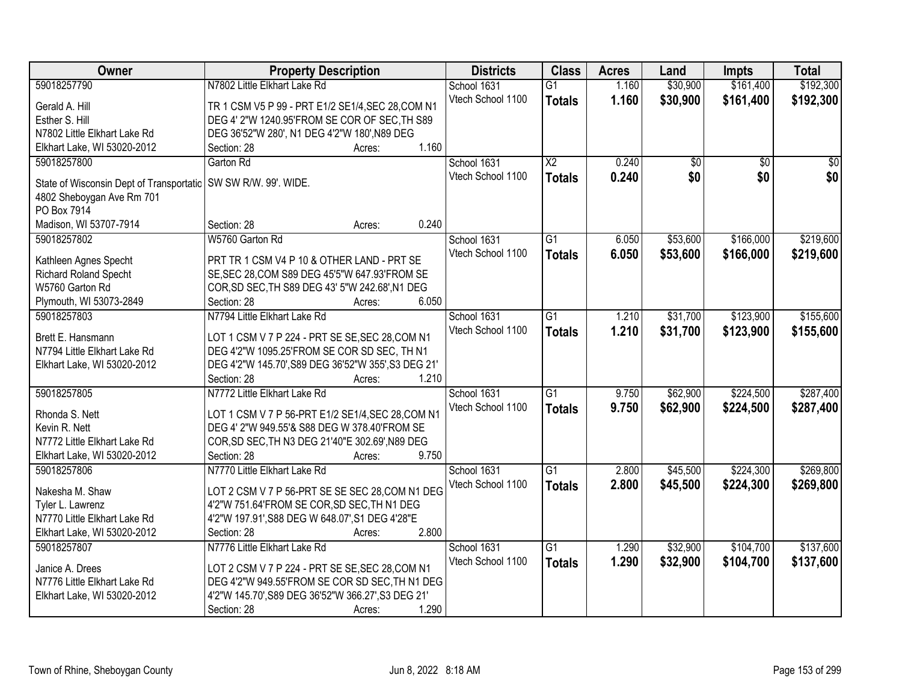| Owner                                    | <b>Property Description</b>                                                                       | <b>Districts</b>  | <b>Class</b>    | <b>Acres</b> | Land     | <b>Impts</b>    | <b>Total</b>    |
|------------------------------------------|---------------------------------------------------------------------------------------------------|-------------------|-----------------|--------------|----------|-----------------|-----------------|
| 59018257790                              | N7802 Little Elkhart Lake Rd                                                                      | School 1631       | $\overline{G1}$ | 1.160        | \$30,900 | \$161,400       | \$192,300       |
| Gerald A. Hill                           | TR 1 CSM V5 P 99 - PRT E1/2 SE1/4, SEC 28, COM N1                                                 | Vtech School 1100 | <b>Totals</b>   | 1.160        | \$30,900 | \$161,400       | \$192,300       |
| Esther S. Hill                           | DEG 4' 2"W 1240.95'FROM SE COR OF SEC, TH S89                                                     |                   |                 |              |          |                 |                 |
| N7802 Little Elkhart Lake Rd             | DEG 36'52"W 280', N1 DEG 4'2"W 180', N89 DEG                                                      |                   |                 |              |          |                 |                 |
| Elkhart Lake, WI 53020-2012              | 1.160<br>Section: 28<br>Acres:                                                                    |                   |                 |              |          |                 |                 |
| 59018257800                              | Garton Rd                                                                                         | School 1631       | $\overline{X2}$ | 0.240        | \$0      | $\overline{50}$ | $\overline{50}$ |
|                                          |                                                                                                   | Vtech School 1100 | <b>Totals</b>   | 0.240        | \$0      | \$0             | \$0             |
| State of Wisconsin Dept of Transportatic | SW SW R/W. 99'. WIDE.                                                                             |                   |                 |              |          |                 |                 |
| 4802 Sheboygan Ave Rm 701                |                                                                                                   |                   |                 |              |          |                 |                 |
| PO Box 7914                              |                                                                                                   |                   |                 |              |          |                 |                 |
| Madison, WI 53707-7914                   | 0.240<br>Section: 28<br>Acres:                                                                    |                   |                 |              |          |                 |                 |
| 59018257802                              | W5760 Garton Rd                                                                                   | School 1631       | $\overline{G1}$ | 6.050        | \$53,600 | \$166,000       | \$219,600       |
| Kathleen Agnes Specht                    | PRT TR 1 CSM V4 P 10 & OTHER LAND - PRT SE                                                        | Vtech School 1100 | <b>Totals</b>   | 6.050        | \$53,600 | \$166,000       | \$219,600       |
| Richard Roland Specht                    | SE, SEC 28, COM S89 DEG 45'5"W 647.93'FROM SE                                                     |                   |                 |              |          |                 |                 |
| W5760 Garton Rd                          | COR, SD SEC, TH S89 DEG 43' 5"W 242.68', N1 DEG                                                   |                   |                 |              |          |                 |                 |
| Plymouth, WI 53073-2849                  | 6.050<br>Section: 28<br>Acres:                                                                    |                   |                 |              |          |                 |                 |
| 59018257803                              | N7794 Little Elkhart Lake Rd                                                                      | School 1631       | $\overline{G1}$ | 1.210        | \$31,700 | \$123,900       | \$155,600       |
|                                          |                                                                                                   | Vtech School 1100 |                 | 1.210        | \$31,700 | \$123,900       |                 |
| Brett E. Hansmann                        | LOT 1 CSM V 7 P 224 - PRT SE SE, SEC 28, COM N1                                                   |                   | <b>Totals</b>   |              |          |                 | \$155,600       |
| N7794 Little Elkhart Lake Rd             | DEG 4'2"W 1095.25'FROM SE COR SD SEC, TH N1                                                       |                   |                 |              |          |                 |                 |
| Elkhart Lake, WI 53020-2012              | DEG 4'2"W 145.70', S89 DEG 36'52"W 355', S3 DEG 21'                                               |                   |                 |              |          |                 |                 |
|                                          | 1.210<br>Section: 28<br>Acres:                                                                    |                   |                 |              |          |                 |                 |
| 59018257805                              | N7772 Little Elkhart Lake Rd                                                                      | School 1631       | $\overline{G1}$ | 9.750        | \$62,900 | \$224,500       | \$287,400       |
| Rhonda S. Nett                           | LOT 1 CSM V 7 P 56-PRT E1/2 SE1/4, SEC 28, COM N1                                                 | Vtech School 1100 | <b>Totals</b>   | 9.750        | \$62,900 | \$224,500       | \$287,400       |
| Kevin R. Nett                            | DEG 4' 2"W 949.55'& S88 DEG W 378.40'FROM SE                                                      |                   |                 |              |          |                 |                 |
| N7772 Little Elkhart Lake Rd             | COR, SD SEC, TH N3 DEG 21'40"E 302.69', N89 DEG                                                   |                   |                 |              |          |                 |                 |
| Elkhart Lake, WI 53020-2012              | Section: 28<br>9.750<br>Acres:                                                                    |                   |                 |              |          |                 |                 |
| 59018257806                              | N7770 Little Elkhart Lake Rd                                                                      | School 1631       | $\overline{G1}$ | 2.800        | \$45,500 | \$224,300       | \$269,800       |
|                                          |                                                                                                   | Vtech School 1100 |                 |              |          |                 |                 |
| Nakesha M. Shaw                          | LOT 2 CSM V 7 P 56-PRT SE SE SEC 28, COM N1 DEG                                                   |                   | <b>Totals</b>   | 2.800        | \$45,500 | \$224,300       | \$269,800       |
| Tyler L. Lawrenz                         | 4'2"W 751.64'FROM SE COR, SD SEC, TH N1 DEG                                                       |                   |                 |              |          |                 |                 |
| N7770 Little Elkhart Lake Rd             | 4'2"W 197.91', S88 DEG W 648.07', S1 DEG 4'28"E                                                   |                   |                 |              |          |                 |                 |
| Elkhart Lake, WI 53020-2012              | 2.800<br>Section: 28<br>Acres:                                                                    |                   |                 |              |          |                 |                 |
| 59018257807                              | N7776 Little Elkhart Lake Rd                                                                      | School 1631       | $\overline{G1}$ | 1.290        | \$32,900 | \$104,700       | \$137,600       |
|                                          |                                                                                                   | Vtech School 1100 | <b>Totals</b>   | 1.290        | \$32,900 | \$104,700       | \$137,600       |
| Janice A. Drees                          | LOT 2 CSM V 7 P 224 - PRT SE SE, SEC 28, COM N1<br>DEG 4'2"W 949.55'FROM SE COR SD SEC, TH N1 DEG |                   |                 |              |          |                 |                 |
| N7776 Little Elkhart Lake Rd             | 4'2"W 145.70', S89 DEG 36'52"W 366.27', S3 DEG 21'                                                |                   |                 |              |          |                 |                 |
| Elkhart Lake, WI 53020-2012              | 1.290                                                                                             |                   |                 |              |          |                 |                 |
|                                          | Section: 28<br>Acres:                                                                             |                   |                 |              |          |                 |                 |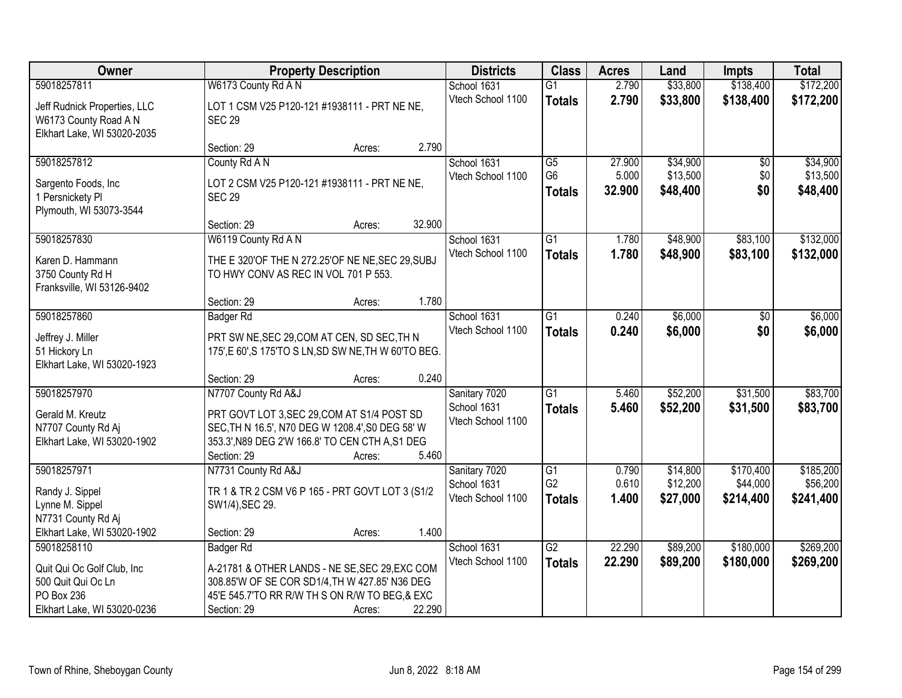| Owner                                                                                         | <b>Property Description</b>                                                                                                                                                              |        |        | <b>Districts</b>                                  | <b>Class</b>                     | <b>Acres</b>    | Land                 | <b>Impts</b>          | <b>Total</b>          |
|-----------------------------------------------------------------------------------------------|------------------------------------------------------------------------------------------------------------------------------------------------------------------------------------------|--------|--------|---------------------------------------------------|----------------------------------|-----------------|----------------------|-----------------------|-----------------------|
| 59018257811                                                                                   | W6173 County Rd A N                                                                                                                                                                      |        |        | School 1631                                       | $\overline{G1}$                  | 2.790           | \$33,800             | \$138,400             | \$172,200             |
| Jeff Rudnick Properties, LLC<br>W6173 County Road A N<br>Elkhart Lake, WI 53020-2035          | LOT 1 CSM V25 P120-121 #1938111 - PRT NE NE,<br><b>SEC 29</b>                                                                                                                            |        |        | Vtech School 1100                                 | <b>Totals</b>                    | 2.790           | \$33,800             | \$138,400             | \$172,200             |
|                                                                                               | Section: 29                                                                                                                                                                              | Acres: | 2.790  |                                                   |                                  |                 |                      |                       |                       |
| 59018257812                                                                                   | County Rd A N                                                                                                                                                                            |        |        | School 1631                                       | $\overline{G5}$                  | 27.900          | \$34,900             | $\overline{50}$       | \$34,900              |
| Sargento Foods, Inc<br>1 Persnickety PI<br>Plymouth, WI 53073-3544                            | LOT 2 CSM V25 P120-121 #1938111 - PRT NE NE,<br><b>SEC 29</b>                                                                                                                            |        |        | Vtech School 1100                                 | G <sub>6</sub><br><b>Totals</b>  | 5.000<br>32.900 | \$13,500<br>\$48,400 | \$0<br>\$0            | \$13,500<br>\$48,400  |
|                                                                                               | Section: 29                                                                                                                                                                              | Acres: | 32.900 |                                                   |                                  |                 |                      |                       |                       |
| 59018257830                                                                                   | W6119 County Rd A N                                                                                                                                                                      |        |        | School 1631                                       | G1                               | 1.780           | \$48,900             | \$83,100              | \$132,000             |
| Karen D. Hammann<br>3750 County Rd H<br>Franksville, WI 53126-9402                            | THE E 320'OF THE N 272.25'OF NE NE, SEC 29, SUBJ<br>TO HWY CONV AS REC IN VOL 701 P 553.                                                                                                 |        |        | Vtech School 1100                                 | <b>Totals</b>                    | 1.780           | \$48,900             | \$83,100              | \$132,000             |
|                                                                                               | Section: 29                                                                                                                                                                              | Acres: | 1.780  |                                                   |                                  |                 |                      |                       |                       |
| 59018257860                                                                                   | <b>Badger Rd</b>                                                                                                                                                                         |        |        | School 1631                                       | $\overline{G1}$                  | 0.240           | \$6,000              | \$0                   | \$6,000               |
| Jeffrey J. Miller<br>51 Hickory Ln<br>Elkhart Lake, WI 53020-1923                             | PRT SW NE, SEC 29, COM AT CEN, SD SEC, TH N<br>175', E 60', S 175'TO S LN, SD SW NE, TH W 60'TO BEG.                                                                                     |        |        | Vtech School 1100                                 | <b>Totals</b>                    | 0.240           | \$6,000              | \$0                   | \$6,000               |
|                                                                                               | Section: 29                                                                                                                                                                              | Acres: | 0.240  |                                                   |                                  |                 |                      |                       |                       |
| 59018257970<br>Gerald M. Kreutz<br>N7707 County Rd Ai<br>Elkhart Lake, WI 53020-1902          | N7707 County Rd A&J<br>PRT GOVT LOT 3, SEC 29, COM AT S1/4 POST SD<br>SEC, TH N 16.5', N70 DEG W 1208.4', S0 DEG 58' W<br>353.3', N89 DEG 2'W 166.8' TO CEN CTH A, S1 DEG<br>Section: 29 | Acres: | 5.460  | Sanitary 7020<br>School 1631<br>Vtech School 1100 | $\overline{G1}$<br><b>Totals</b> | 5.460<br>5.460  | \$52,200<br>\$52,200 | \$31,500<br>\$31,500  | \$83,700<br>\$83,700  |
| 59018257971                                                                                   | N7731 County Rd A&J                                                                                                                                                                      |        |        | Sanitary 7020                                     | $\overline{G1}$                  | 0.790           | \$14,800             | \$170,400             | \$185,200             |
| Randy J. Sippel<br>Lynne M. Sippel<br>N7731 County Rd Aj                                      | TR 1 & TR 2 CSM V6 P 165 - PRT GOVT LOT 3 (S1/2<br>SW1/4), SEC 29.                                                                                                                       |        |        | School 1631<br>Vtech School 1100                  | G <sub>2</sub><br><b>Totals</b>  | 0.610<br>1.400  | \$12,200<br>\$27,000 | \$44,000<br>\$214,400 | \$56,200<br>\$241,400 |
| Elkhart Lake, WI 53020-1902                                                                   | Section: 29                                                                                                                                                                              | Acres: | 1.400  |                                                   |                                  |                 |                      |                       |                       |
| 59018258110                                                                                   | <b>Badger Rd</b>                                                                                                                                                                         |        |        | School 1631                                       | G2                               | 22.290          | \$89,200             | \$180,000             | \$269,200             |
| Quit Qui Oc Golf Club, Inc<br>500 Quit Qui Oc Ln<br>PO Box 236<br>Elkhart Lake, WI 53020-0236 | A-21781 & OTHER LANDS - NE SE, SEC 29, EXC COM<br>308.85'W OF SE COR SD1/4, TH W 427.85' N36 DEG<br>45'E 545.7'TO RR R/W TH S ON R/W TO BEG,& EXC<br>Section: 29                         | Acres: | 22.290 | Vtech School 1100                                 | <b>Totals</b>                    | 22.290          | \$89,200             | \$180,000             | \$269,200             |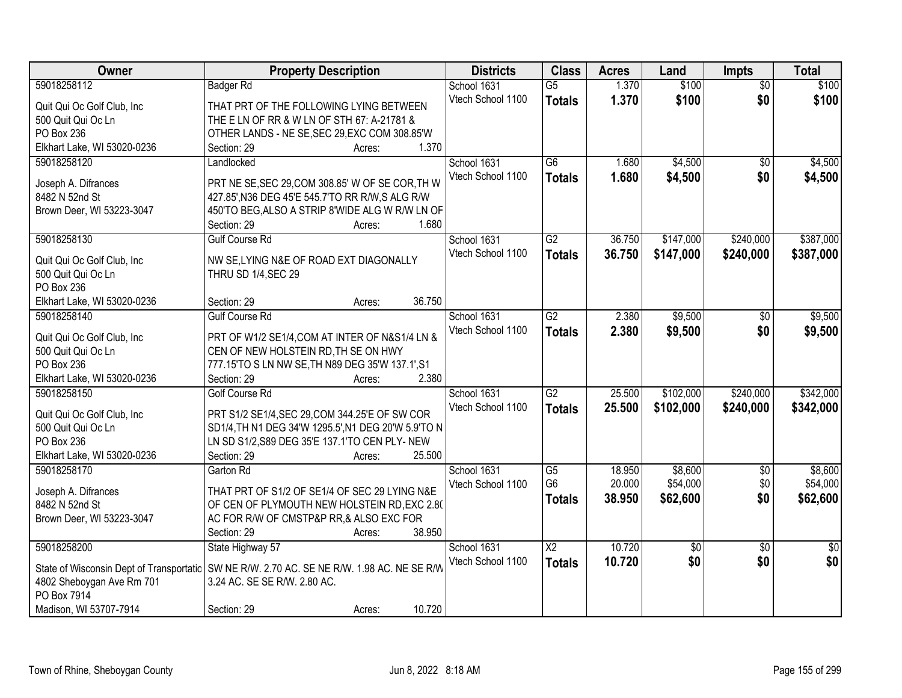| Owner                                    | <b>Property Description</b>                         | <b>Districts</b>  | <b>Class</b>             | <b>Acres</b> | Land        | Impts           | <b>Total</b>    |
|------------------------------------------|-----------------------------------------------------|-------------------|--------------------------|--------------|-------------|-----------------|-----------------|
| 59018258112                              | <b>Badger Rd</b>                                    | School 1631       | $\overline{G5}$          | 1.370        | \$100       | $\overline{50}$ | \$100           |
| Quit Qui Oc Golf Club, Inc               | THAT PRT OF THE FOLLOWING LYING BETWEEN             | Vtech School 1100 | <b>Totals</b>            | 1.370        | \$100       | \$0             | \$100           |
| 500 Quit Qui Oc Ln                       | THE E LN OF RR & W LN OF STH 67: A-21781 &          |                   |                          |              |             |                 |                 |
| PO Box 236                               | OTHER LANDS - NE SE, SEC 29, EXC COM 308.85'W       |                   |                          |              |             |                 |                 |
| Elkhart Lake, WI 53020-0236              | 1.370<br>Section: 29<br>Acres:                      |                   |                          |              |             |                 |                 |
| 59018258120                              | Landlocked                                          | School 1631       | $\overline{G6}$          | 1.680        | \$4,500     | $\overline{50}$ | \$4,500         |
|                                          |                                                     | Vtech School 1100 | <b>Totals</b>            | 1.680        | \$4,500     | \$0             | \$4,500         |
| Joseph A. Difrances                      | PRT NE SE, SEC 29, COM 308.85' W OF SE COR, TH W    |                   |                          |              |             |                 |                 |
| 8482 N 52nd St                           | 427.85', N36 DEG 45'E 545.7'TO RR R/W, S ALG R/W    |                   |                          |              |             |                 |                 |
| Brown Deer, WI 53223-3047                | 450'TO BEG, ALSO A STRIP 8'WIDE ALG W R/W LN OF     |                   |                          |              |             |                 |                 |
|                                          | 1.680<br>Section: 29<br>Acres:                      |                   |                          |              |             |                 |                 |
| 59018258130                              | <b>Gulf Course Rd</b>                               | School 1631       | $\overline{G2}$          | 36.750       | \$147,000   | \$240,000       | \$387,000       |
| Quit Qui Oc Golf Club, Inc.              | NW SE, LYING N&E OF ROAD EXT DIAGONALLY             | Vtech School 1100 | <b>Totals</b>            | 36.750       | \$147,000   | \$240,000       | \$387,000       |
| 500 Quit Qui Oc Ln                       | THRU SD 1/4, SEC 29                                 |                   |                          |              |             |                 |                 |
| PO Box 236                               |                                                     |                   |                          |              |             |                 |                 |
| Elkhart Lake, WI 53020-0236              | 36.750<br>Section: 29<br>Acres:                     |                   |                          |              |             |                 |                 |
| 59018258140                              | <b>Gulf Course Rd</b>                               | School 1631       | $\overline{G2}$          | 2.380        | \$9,500     | $\sqrt[6]{}$    | \$9,500         |
|                                          |                                                     | Vtech School 1100 | <b>Totals</b>            | 2.380        | \$9,500     | \$0             | \$9,500         |
| Quit Qui Oc Golf Club, Inc               | PRT OF W1/2 SE1/4, COM AT INTER OF N&S1/4 LN &      |                   |                          |              |             |                 |                 |
| 500 Quit Qui Oc Ln                       | CEN OF NEW HOLSTEIN RD, TH SE ON HWY                |                   |                          |              |             |                 |                 |
| <b>PO Box 236</b>                        | 777.15'TO S LN NW SE, TH N89 DEG 35'W 137.1', S1    |                   |                          |              |             |                 |                 |
| Elkhart Lake, WI 53020-0236              | 2.380<br>Section: 29<br>Acres:                      |                   |                          |              |             |                 |                 |
| 59018258150                              | <b>Golf Course Rd</b>                               | School 1631       | $\overline{G2}$          | 25.500       | \$102,000   | \$240,000       | \$342,000       |
| Quit Qui Oc Golf Club, Inc               | PRT S1/2 SE1/4, SEC 29, COM 344.25'E OF SW COR      | Vtech School 1100 | <b>Totals</b>            | 25.500       | \$102,000   | \$240,000       | \$342,000       |
| 500 Quit Qui Oc Ln                       | SD1/4, TH N1 DEG 34'W 1295.5', N1 DEG 20'W 5.9'TO N |                   |                          |              |             |                 |                 |
| PO Box 236                               | LN SD S1/2, S89 DEG 35'E 137.1'TO CEN PLY- NEW      |                   |                          |              |             |                 |                 |
| Elkhart Lake, WI 53020-0236              | 25.500<br>Section: 29<br>Acres:                     |                   |                          |              |             |                 |                 |
| 59018258170                              | Garton Rd                                           | School 1631       | $\overline{G5}$          | 18.950       | \$8,600     | $\overline{50}$ | \$8,600         |
|                                          |                                                     | Vtech School 1100 | G <sub>6</sub>           | 20.000       | \$54,000    | \$0             | \$54,000        |
| Joseph A. Difrances                      | THAT PRT OF S1/2 OF SE1/4 OF SEC 29 LYING N&E       |                   | <b>Totals</b>            | 38.950       | \$62,600    | \$0             | \$62,600        |
| 8482 N 52nd St                           | OF CEN OF PLYMOUTH NEW HOLSTEIN RD, EXC 2.80        |                   |                          |              |             |                 |                 |
| Brown Deer, WI 53223-3047                | AC FOR R/W OF CMSTP&P RR,& ALSO EXC FOR             |                   |                          |              |             |                 |                 |
|                                          | 38.950<br>Section: 29<br>Acres:                     |                   |                          |              |             |                 |                 |
| 59018258200                              | State Highway 57                                    | School 1631       | $\overline{\mathsf{X2}}$ | 10.720       | $\sqrt{50}$ | $\overline{50}$ | $\overline{50}$ |
| State of Wisconsin Dept of Transportatic | SW NE R/W. 2.70 AC. SE NE R/W. 1.98 AC. NE SE R/W   | Vtech School 1100 | <b>Totals</b>            | 10.720       | \$0         | \$0             | \$0             |
| 4802 Sheboygan Ave Rm 701                | 3.24 AC. SE SE R/W. 2.80 AC.                        |                   |                          |              |             |                 |                 |
| PO Box 7914                              |                                                     |                   |                          |              |             |                 |                 |
| Madison, WI 53707-7914                   | 10.720<br>Section: 29<br>Acres:                     |                   |                          |              |             |                 |                 |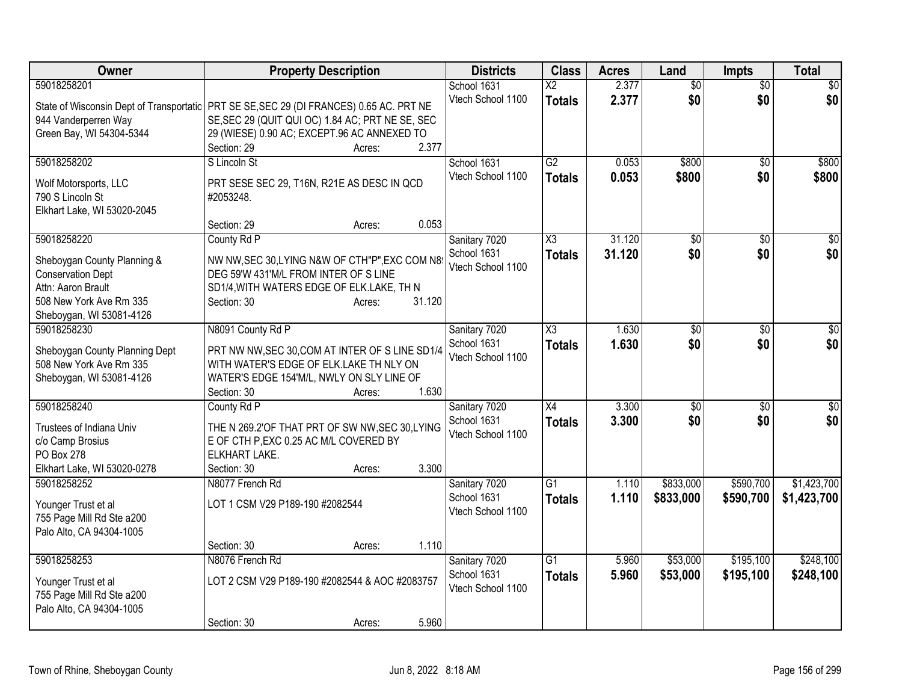| Owner                                                                                     | <b>Property Description</b>                      |        |        | <b>Districts</b>             | <b>Class</b>           | <b>Acres</b> | Land            | <b>Impts</b>    | <b>Total</b> |
|-------------------------------------------------------------------------------------------|--------------------------------------------------|--------|--------|------------------------------|------------------------|--------------|-----------------|-----------------|--------------|
| 59018258201                                                                               |                                                  |        |        | School 1631                  | $\overline{\text{X2}}$ | 2.377        | $\overline{50}$ | $\overline{50}$ | \$0          |
| State of Wisconsin Dept of Transportatic   PRT SE SE, SEC 29 (DI FRANCES) 0.65 AC. PRT NE |                                                  |        |        | Vtech School 1100            | <b>Totals</b>          | 2.377        | \$0             | \$0             | \$0          |
| 944 Vanderperren Way                                                                      | SE, SEC 29 (QUIT QUI OC) 1.84 AC; PRT NE SE, SEC |        |        |                              |                        |              |                 |                 |              |
| Green Bay, WI 54304-5344                                                                  | 29 (WIESE) 0.90 AC; EXCEPT.96 AC ANNEXED TO      |        |        |                              |                        |              |                 |                 |              |
|                                                                                           | Section: 29                                      | Acres: | 2.377  |                              |                        |              |                 |                 |              |
| 59018258202                                                                               | S Lincoln St                                     |        |        | School 1631                  | $\overline{G2}$        | 0.053        | \$800           | $\overline{50}$ | \$800        |
|                                                                                           |                                                  |        |        | Vtech School 1100            | <b>Totals</b>          | 0.053        | \$800           | \$0             | \$800        |
| Wolf Motorsports, LLC                                                                     | PRT SESE SEC 29, T16N, R21E AS DESC IN QCD       |        |        |                              |                        |              |                 |                 |              |
| 790 S Lincoln St                                                                          | #2053248.                                        |        |        |                              |                        |              |                 |                 |              |
| Elkhart Lake, WI 53020-2045                                                               |                                                  |        |        |                              |                        |              |                 |                 |              |
|                                                                                           | Section: 29                                      | Acres: | 0.053  |                              |                        |              |                 |                 |              |
| 59018258220                                                                               | County Rd P                                      |        |        | Sanitary 7020                | X3                     | 31.120       | \$0             | \$0             | $\sqrt{50}$  |
| Sheboygan County Planning &                                                               | NW NW, SEC 30, LYING N&W OF CTH"P", EXC COM N8   |        |        | School 1631                  | <b>Totals</b>          | 31.120       | \$0             | \$0             | \$0          |
| <b>Conservation Dept</b>                                                                  | DEG 59'W 431'M/L FROM INTER OF S LINE            |        |        | Vtech School 1100            |                        |              |                 |                 |              |
| Attn: Aaron Brault                                                                        | SD1/4, WITH WATERS EDGE OF ELK.LAKE, TH N        |        |        |                              |                        |              |                 |                 |              |
| 508 New York Ave Rm 335                                                                   | Section: 30                                      | Acres: | 31.120 |                              |                        |              |                 |                 |              |
| Sheboygan, WI 53081-4126                                                                  |                                                  |        |        |                              |                        |              |                 |                 |              |
| 59018258230                                                                               | N8091 County Rd P                                |        |        | Sanitary 7020                | X3                     | 1.630        | \$0             | \$0             | \$0          |
|                                                                                           |                                                  |        |        | School 1631                  | <b>Totals</b>          | 1.630        | \$0             | \$0             | \$0          |
| Sheboygan County Planning Dept                                                            | PRT NW NW, SEC 30, COM AT INTER OF S LINE SD1/4  |        |        | Vtech School 1100            |                        |              |                 |                 |              |
| 508 New York Ave Rm 335                                                                   | WITH WATER'S EDGE OF ELK.LAKE TH NLY ON          |        |        |                              |                        |              |                 |                 |              |
| Sheboygan, WI 53081-4126                                                                  | WATER'S EDGE 154'M/L, NWLY ON SLY LINE OF        |        | 1.630  |                              |                        |              |                 |                 |              |
| 59018258240                                                                               | Section: 30<br>County Rd P                       | Acres: |        |                              | X4                     | 3.300        |                 |                 |              |
|                                                                                           |                                                  |        |        | Sanitary 7020<br>School 1631 |                        |              | \$0             | \$0             | \$0          |
| Trustees of Indiana Univ                                                                  | THE N 269.2'OF THAT PRT OF SW NW, SEC 30, LYING  |        |        | Vtech School 1100            | <b>Totals</b>          | 3.300        | \$0             | \$0             | \$0          |
| c/o Camp Brosius                                                                          | E OF CTH P, EXC 0.25 AC M/L COVERED BY           |        |        |                              |                        |              |                 |                 |              |
| PO Box 278                                                                                | ELKHART LAKE.                                    |        |        |                              |                        |              |                 |                 |              |
| Elkhart Lake, WI 53020-0278                                                               | Section: 30                                      | Acres: | 3.300  |                              |                        |              |                 |                 |              |
| 59018258252                                                                               | N8077 French Rd                                  |        |        | Sanitary 7020                | $\overline{G1}$        | 1.110        | \$833,000       | \$590,700       | \$1,423,700  |
| Younger Trust et al                                                                       | LOT 1 CSM V29 P189-190 #2082544                  |        |        | School 1631                  | <b>Totals</b>          | 1.110        | \$833,000       | \$590,700       | \$1,423,700  |
| 755 Page Mill Rd Ste a200                                                                 |                                                  |        |        | Vtech School 1100            |                        |              |                 |                 |              |
| Palo Alto, CA 94304-1005                                                                  |                                                  |        |        |                              |                        |              |                 |                 |              |
|                                                                                           | Section: 30                                      | Acres: | 1.110  |                              |                        |              |                 |                 |              |
| 59018258253                                                                               | N8076 French Rd                                  |        |        | Sanitary 7020                | $\overline{G1}$        | 5.960        | \$53,000        | \$195,100       | \$248,100    |
|                                                                                           |                                                  |        |        | School 1631                  |                        | 5.960        | \$53,000        | \$195,100       | \$248,100    |
| Younger Trust et al                                                                       | LOT 2 CSM V29 P189-190 #2082544 & AOC #2083757   |        |        | Vtech School 1100            | <b>Totals</b>          |              |                 |                 |              |
| 755 Page Mill Rd Ste a200                                                                 |                                                  |        |        |                              |                        |              |                 |                 |              |
| Palo Alto, CA 94304-1005                                                                  |                                                  |        |        |                              |                        |              |                 |                 |              |
|                                                                                           | Section: 30                                      | Acres: | 5.960  |                              |                        |              |                 |                 |              |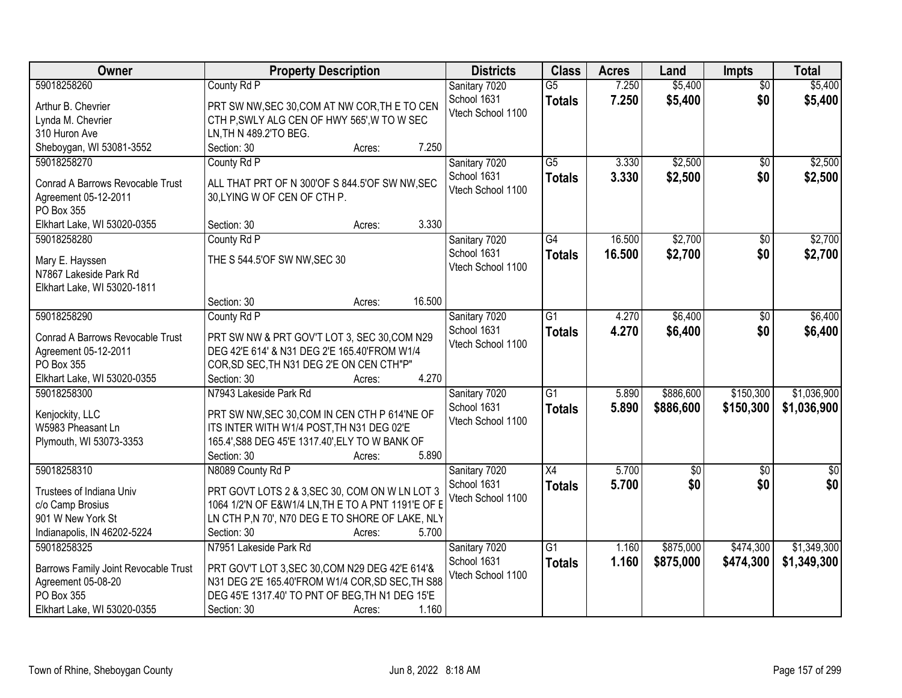| Owner                                                                                                                  | <b>Property Description</b>                                                                                                                                                                                        | <b>Districts</b>                                  | <b>Class</b>                     | <b>Acres</b>     | Land                   | <b>Impts</b>           | <b>Total</b>               |
|------------------------------------------------------------------------------------------------------------------------|--------------------------------------------------------------------------------------------------------------------------------------------------------------------------------------------------------------------|---------------------------------------------------|----------------------------------|------------------|------------------------|------------------------|----------------------------|
| 59018258260<br>Arthur B. Chevrier<br>Lynda M. Chevrier<br>310 Huron Ave                                                | County Rd P<br>PRT SW NW, SEC 30, COM AT NW COR, THE TO CEN<br>CTH P, SWLY ALG CEN OF HWY 565', W TO W SEC<br>LN, TH N 489.2'TO BEG.                                                                               | Sanitary 7020<br>School 1631<br>Vtech School 1100 | $\overline{G5}$<br><b>Totals</b> | 7.250<br>7.250   | \$5,400<br>\$5,400     | $\overline{50}$<br>\$0 | \$5,400<br>\$5,400         |
| Sheboygan, WI 53081-3552                                                                                               | 7.250<br>Section: 30<br>Acres:                                                                                                                                                                                     |                                                   |                                  |                  |                        |                        |                            |
| 59018258270<br>Conrad A Barrows Revocable Trust<br>Agreement 05-12-2011<br>PO Box 355                                  | County Rd P<br>ALL THAT PRT OF N 300'OF S 844.5'OF SW NW, SEC<br>30, LYING W OF CEN OF CTH P.                                                                                                                      | Sanitary 7020<br>School 1631<br>Vtech School 1100 | $\overline{G5}$<br><b>Totals</b> | 3.330<br>3.330   | \$2,500<br>\$2,500     | $\overline{50}$<br>\$0 | \$2,500<br>\$2,500         |
| Elkhart Lake, WI 53020-0355                                                                                            | 3.330<br>Section: 30<br>Acres:                                                                                                                                                                                     |                                                   |                                  |                  |                        |                        |                            |
| 59018258280<br>Mary E. Hayssen<br>N7867 Lakeside Park Rd<br>Elkhart Lake, WI 53020-1811                                | County Rd P<br>THE S 544.5'OF SW NW, SEC 30                                                                                                                                                                        | Sanitary 7020<br>School 1631<br>Vtech School 1100 | G4<br><b>Totals</b>              | 16.500<br>16.500 | \$2,700<br>\$2,700     | \$0<br>\$0             | \$2,700<br>\$2,700         |
|                                                                                                                        | 16.500<br>Section: 30<br>Acres:                                                                                                                                                                                    |                                                   |                                  |                  |                        |                        |                            |
| 59018258290<br>Conrad A Barrows Revocable Trust<br>Agreement 05-12-2011<br>PO Box 355<br>Elkhart Lake, WI 53020-0355   | County Rd P<br>PRT SW NW & PRT GOV'T LOT 3, SEC 30, COM N29<br>DEG 42'E 614' & N31 DEG 2'E 165.40'FROM W1/4<br>COR, SD SEC, TH N31 DEG 2'E ON CEN CTH"P"<br>4.270<br>Section: 30<br>Acres:                         | Sanitary 7020<br>School 1631<br>Vtech School 1100 | $\overline{G1}$<br><b>Totals</b> | 4.270<br>4.270   | \$6,400<br>\$6,400     | \$0<br>\$0             | \$6,400<br>\$6,400         |
| 59018258300<br>Kenjockity, LLC<br>W5983 Pheasant Ln<br>Plymouth, WI 53073-3353                                         | N7943 Lakeside Park Rd<br>PRT SW NW, SEC 30, COM IN CEN CTH P 614'NE OF<br>ITS INTER WITH W1/4 POST, TH N31 DEG 02'E<br>165.4', S88 DEG 45'E 1317.40', ELY TO W BANK OF<br>5.890<br>Section: 30<br>Acres:          | Sanitary 7020<br>School 1631<br>Vtech School 1100 | $\overline{G1}$<br><b>Totals</b> | 5.890<br>5.890   | \$886,600<br>\$886,600 | \$150,300<br>\$150,300 | \$1,036,900<br>\$1,036,900 |
| 59018258310<br>Trustees of Indiana Univ<br>c/o Camp Brosius<br>901 W New York St<br>Indianapolis, IN 46202-5224        | N8089 County Rd P<br>PRT GOVT LOTS 2 & 3, SEC 30, COM ON W LN LOT 3<br>1064 1/2'N OF E&W1/4 LN, TH E TO A PNT 1191'E OF E<br>LN CTH P,N 70', N70 DEG E TO SHORE OF LAKE, NLY<br>Section: 30<br>5.700<br>Acres:     | Sanitary 7020<br>School 1631<br>Vtech School 1100 | X4<br><b>Totals</b>              | 5.700<br>5.700   | $\overline{50}$<br>\$0 | $\overline{50}$<br>\$0 | $\overline{30}$<br>\$0     |
| 59018258325<br>Barrows Family Joint Revocable Trust<br>Agreement 05-08-20<br>PO Box 355<br>Elkhart Lake, WI 53020-0355 | N7951 Lakeside Park Rd<br>PRT GOV'T LOT 3, SEC 30, COM N29 DEG 42'E 614'&<br>N31 DEG 2'E 165.40'FROM W1/4 COR, SD SEC, TH S88<br>DEG 45'E 1317.40' TO PNT OF BEG, TH N1 DEG 15'E<br>Section: 30<br>1.160<br>Acres: | Sanitary 7020<br>School 1631<br>Vtech School 1100 | G1<br><b>Totals</b>              | 1.160<br>1.160   | \$875,000<br>\$875,000 | \$474,300<br>\$474,300 | \$1,349,300<br>\$1,349,300 |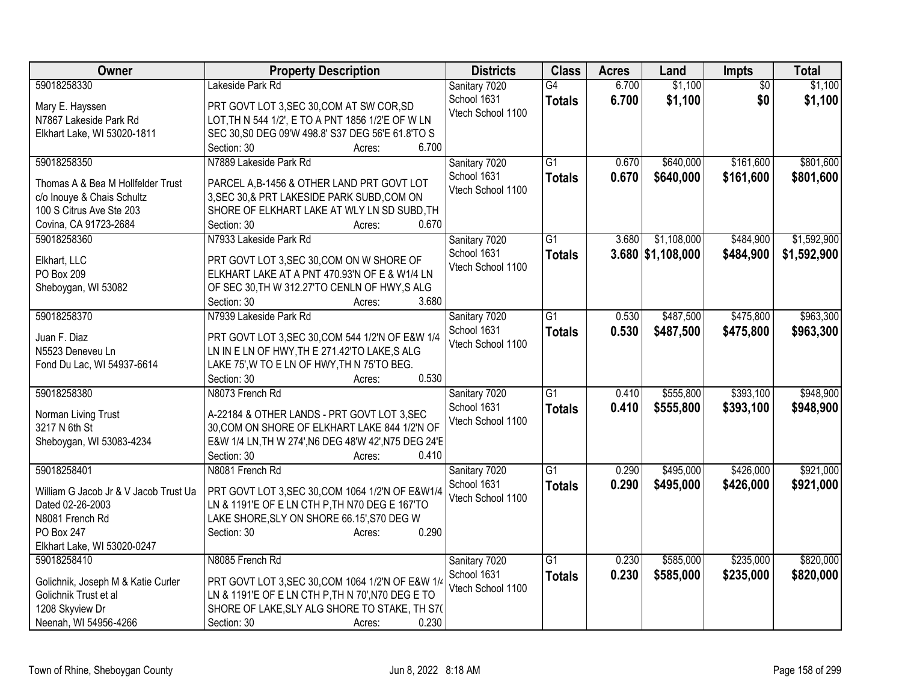| Owner                                                       | <b>Property Description</b>                                                                            | <b>Districts</b>             | <b>Class</b>    | <b>Acres</b> | Land                | <b>Impts</b>    | <b>Total</b> |
|-------------------------------------------------------------|--------------------------------------------------------------------------------------------------------|------------------------------|-----------------|--------------|---------------------|-----------------|--------------|
| 59018258330                                                 | Lakeside Park Rd                                                                                       | Sanitary 7020                | $\overline{G4}$ | 6.700        | \$1,100             | $\overline{50}$ | \$1,100      |
| Mary E. Hayssen                                             | PRT GOVT LOT 3, SEC 30, COM AT SW COR, SD                                                              | School 1631                  | <b>Totals</b>   | 6.700        | \$1,100             | \$0             | \$1,100      |
| N7867 Lakeside Park Rd                                      | LOT, TH N 544 1/2', E TO A PNT 1856 1/2'E OF W LN                                                      | Vtech School 1100            |                 |              |                     |                 |              |
| Elkhart Lake, WI 53020-1811                                 | SEC 30, S0 DEG 09'W 498.8' S37 DEG 56'E 61.8'TO S                                                      |                              |                 |              |                     |                 |              |
|                                                             | 6.700<br>Section: 30<br>Acres:                                                                         |                              |                 |              |                     |                 |              |
| 59018258350                                                 | N7889 Lakeside Park Rd                                                                                 | Sanitary 7020                | $\overline{G1}$ | 0.670        | \$640,000           | \$161,600       | \$801,600    |
|                                                             |                                                                                                        | School 1631                  | <b>Totals</b>   | 0.670        | \$640,000           | \$161,600       | \$801,600    |
| Thomas A & Bea M Hollfelder Trust                           | PARCEL A, B-1456 & OTHER LAND PRT GOVT LOT                                                             | Vtech School 1100            |                 |              |                     |                 |              |
| c/o Inouye & Chais Schultz                                  | 3, SEC 30, & PRT LAKESIDE PARK SUBD, COM ON                                                            |                              |                 |              |                     |                 |              |
| 100 S Citrus Ave Ste 203<br>Covina, CA 91723-2684           | SHORE OF ELKHART LAKE AT WLY LN SD SUBD, TH<br>0.670<br>Section: 30                                    |                              |                 |              |                     |                 |              |
| 59018258360                                                 | Acres:<br>N7933 Lakeside Park Rd                                                                       |                              | $\overline{G1}$ | 3.680        | \$1,108,000         | \$484,900       | \$1,592,900  |
|                                                             |                                                                                                        | Sanitary 7020<br>School 1631 |                 |              |                     |                 |              |
| Elkhart, LLC                                                | PRT GOVT LOT 3, SEC 30, COM ON W SHORE OF                                                              | Vtech School 1100            | <b>Totals</b>   |              | $3.680$ \$1,108,000 | \$484,900       | \$1,592,900  |
| PO Box 209                                                  | ELKHART LAKE AT A PNT 470.93'N OF E & W1/4 LN                                                          |                              |                 |              |                     |                 |              |
| Sheboygan, WI 53082                                         | OF SEC 30, TH W 312.27'TO CENLN OF HWY, S ALG                                                          |                              |                 |              |                     |                 |              |
|                                                             | 3.680<br>Section: 30<br>Acres:                                                                         |                              |                 |              |                     |                 |              |
| 59018258370                                                 | N7939 Lakeside Park Rd                                                                                 | Sanitary 7020                | $\overline{G1}$ | 0.530        | \$487,500           | \$475,800       | \$963,300    |
| Juan F. Diaz                                                | PRT GOVT LOT 3, SEC 30, COM 544 1/2'N OF E&W 1/4                                                       | School 1631                  | <b>Totals</b>   | 0.530        | \$487,500           | \$475,800       | \$963,300    |
| N5523 Deneveu Ln                                            | LN IN E LN OF HWY, TH E 271.42'TO LAKE, S ALG                                                          | Vtech School 1100            |                 |              |                     |                 |              |
| Fond Du Lac, WI 54937-6614                                  | LAKE 75', W TO E LN OF HWY, TH N 75'TO BEG.                                                            |                              |                 |              |                     |                 |              |
|                                                             | 0.530<br>Section: 30<br>Acres:                                                                         |                              |                 |              |                     |                 |              |
| 59018258380                                                 | N8073 French Rd                                                                                        | Sanitary 7020                | $\overline{G1}$ | 0.410        | \$555,800           | \$393,100       | \$948,900    |
|                                                             |                                                                                                        | School 1631                  | <b>Totals</b>   | 0.410        | \$555,800           | \$393,100       | \$948,900    |
| Norman Living Trust                                         | A-22184 & OTHER LANDS - PRT GOVT LOT 3, SEC                                                            | Vtech School 1100            |                 |              |                     |                 |              |
| 3217 N 6th St                                               | 30, COM ON SHORE OF ELKHART LAKE 844 1/2'N OF                                                          |                              |                 |              |                     |                 |              |
| Sheboygan, WI 53083-4234                                    | E&W 1/4 LN, TH W 274', N6 DEG 48'W 42', N75 DEG 24'E                                                   |                              |                 |              |                     |                 |              |
|                                                             | 0.410<br>Section: 30<br>Acres:                                                                         |                              |                 |              |                     |                 |              |
| 59018258401                                                 | N8081 French Rd                                                                                        | Sanitary 7020                | $\overline{G1}$ | 0.290        | \$495,000           | \$426,000       | \$921,000    |
| William G Jacob Jr & V Jacob Trust Ua                       | PRT GOVT LOT 3, SEC 30, COM 1064 1/2'N OF E&W1/4                                                       | School 1631                  | <b>Totals</b>   | 0.290        | \$495,000           | \$426,000       | \$921,000    |
| Dated 02-26-2003                                            | LN & 1191'E OF E LN CTH P, TH N70 DEG E 167'TO                                                         | Vtech School 1100            |                 |              |                     |                 |              |
| N8081 French Rd                                             | LAKE SHORE, SLY ON SHORE 66.15', S70 DEG W                                                             |                              |                 |              |                     |                 |              |
| PO Box 247                                                  | 0.290<br>Section: 30<br>Acres:                                                                         |                              |                 |              |                     |                 |              |
| Elkhart Lake, WI 53020-0247                                 |                                                                                                        |                              |                 |              |                     |                 |              |
| 59018258410                                                 | N8085 French Rd                                                                                        | Sanitary 7020                | $\overline{G1}$ | 0.230        | \$585,000           | \$235,000       | \$820,000    |
|                                                             |                                                                                                        | School 1631                  | <b>Totals</b>   | 0.230        | \$585,000           | \$235,000       | \$820,000    |
| Golichnik, Joseph M & Katie Curler<br>Golichnik Trust et al | PRT GOVT LOT 3, SEC 30, COM 1064 1/2'N OF E&W 1/4<br>LN & 1191'E OF E LN CTH P, TH N 70', N70 DEG E TO | Vtech School 1100            |                 |              |                     |                 |              |
| 1208 Skyview Dr                                             | SHORE OF LAKE, SLY ALG SHORE TO STAKE, TH S7(                                                          |                              |                 |              |                     |                 |              |
| Neenah, WI 54956-4266                                       | 0.230<br>Section: 30<br>Acres:                                                                         |                              |                 |              |                     |                 |              |
|                                                             |                                                                                                        |                              |                 |              |                     |                 |              |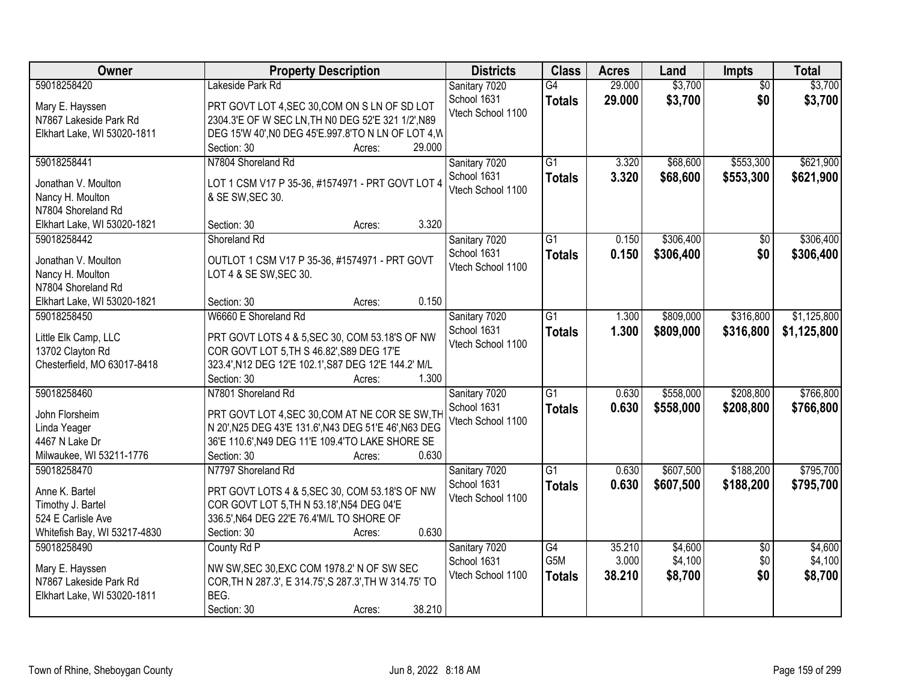| Owner                        | <b>Property Description</b>                            | <b>Districts</b>             | <b>Class</b>           | <b>Acres</b>    | Land               | Impts                  | <b>Total</b>       |
|------------------------------|--------------------------------------------------------|------------------------------|------------------------|-----------------|--------------------|------------------------|--------------------|
| 59018258420                  | Lakeside Park Rd                                       | Sanitary 7020                | G4                     | 29.000          | \$3,700            | $\overline{50}$        | \$3,700            |
| Mary E. Hayssen              | PRT GOVT LOT 4, SEC 30, COM ON S LN OF SD LOT          | School 1631                  | <b>Totals</b>          | 29.000          | \$3,700            | \$0                    | \$3,700            |
| N7867 Lakeside Park Rd       | 2304.3'E OF W SEC LN, TH NO DEG 52'E 321 1/2', N89     | Vtech School 1100            |                        |                 |                    |                        |                    |
| Elkhart Lake, WI 53020-1811  | DEG 15'W 40', N0 DEG 45'E.997.8'TO N LN OF LOT 4, W    |                              |                        |                 |                    |                        |                    |
|                              | 29.000<br>Section: 30<br>Acres:                        |                              |                        |                 |                    |                        |                    |
| 59018258441                  | N7804 Shoreland Rd                                     | Sanitary 7020                | $\overline{G1}$        | 3.320           | \$68,600           | \$553,300              | \$621,900          |
| Jonathan V. Moulton          | LOT 1 CSM V17 P 35-36, #1574971 - PRT GOVT LOT 4       | School 1631                  | <b>Totals</b>          | 3.320           | \$68,600           | \$553,300              | \$621,900          |
| Nancy H. Moulton             | & SE SW, SEC 30.                                       | Vtech School 1100            |                        |                 |                    |                        |                    |
| N7804 Shoreland Rd           |                                                        |                              |                        |                 |                    |                        |                    |
| Elkhart Lake, WI 53020-1821  | 3.320<br>Section: 30<br>Acres:                         |                              |                        |                 |                    |                        |                    |
| 59018258442                  | Shoreland Rd                                           | Sanitary 7020                | $\overline{G1}$        | 0.150           | \$306,400          | $\overline{50}$        | \$306,400          |
|                              |                                                        | School 1631                  | <b>Totals</b>          | 0.150           | \$306,400          | \$0                    | \$306,400          |
| Jonathan V. Moulton          | OUTLOT 1 CSM V17 P 35-36, #1574971 - PRT GOVT          | Vtech School 1100            |                        |                 |                    |                        |                    |
| Nancy H. Moulton             | LOT 4 & SE SW, SEC 30.                                 |                              |                        |                 |                    |                        |                    |
| N7804 Shoreland Rd           |                                                        |                              |                        |                 |                    |                        |                    |
| Elkhart Lake, WI 53020-1821  | 0.150<br>Section: 30<br>Acres:                         |                              |                        |                 |                    |                        |                    |
| 59018258450                  | W6660 E Shoreland Rd                                   | Sanitary 7020                | G1                     | 1.300           | \$809,000          | \$316,800              | \$1,125,800        |
| Little Elk Camp, LLC         | PRT GOVT LOTS 4 & 5, SEC 30, COM 53.18'S OF NW         | School 1631                  | <b>Totals</b>          | 1.300           | \$809,000          | \$316,800              | \$1,125,800        |
| 13702 Clayton Rd             | COR GOVT LOT 5, TH S 46.82', S89 DEG 17'E              | Vtech School 1100            |                        |                 |                    |                        |                    |
| Chesterfield, MO 63017-8418  | 323.4', N12 DEG 12'E 102.1', S87 DEG 12'E 144.2' M/L   |                              |                        |                 |                    |                        |                    |
|                              | Section: 30<br>1.300<br>Acres:                         |                              |                        |                 |                    |                        |                    |
| 59018258460                  | N7801 Shoreland Rd                                     | Sanitary 7020                | $\overline{G1}$        | 0.630           | \$558,000          | \$208,800              | \$766,800          |
| John Florsheim               | PRT GOVT LOT 4, SEC 30, COM AT NE COR SE SW, TH        | School 1631                  | <b>Totals</b>          | 0.630           | \$558,000          | \$208,800              | \$766,800          |
| Linda Yeager                 | N 20', N25 DEG 43'E 131.6', N43 DEG 51'E 46', N63 DEG  | Vtech School 1100            |                        |                 |                    |                        |                    |
| 4467 N Lake Dr               | 36'E 110.6', N49 DEG 11'E 109.4'TO LAKE SHORE SE       |                              |                        |                 |                    |                        |                    |
| Milwaukee, WI 53211-1776     | 0.630<br>Section: 30<br>Acres:                         |                              |                        |                 |                    |                        |                    |
| 59018258470                  | N7797 Shoreland Rd                                     | Sanitary 7020                | $\overline{G1}$        | 0.630           | \$607,500          | \$188,200              | \$795,700          |
|                              |                                                        | School 1631                  | <b>Totals</b>          | 0.630           | \$607,500          | \$188,200              | \$795,700          |
| Anne K. Bartel               | PRT GOVT LOTS 4 & 5, SEC 30, COM 53.18'S OF NW         | Vtech School 1100            |                        |                 |                    |                        |                    |
| Timothy J. Bartel            | COR GOVT LOT 5, TH N 53.18', N54 DEG 04'E              |                              |                        |                 |                    |                        |                    |
| 524 E Carlisle Ave           | 336.5', N64 DEG 22'E 76.4'M/L TO SHORE OF<br>0.630     |                              |                        |                 |                    |                        |                    |
| Whitefish Bay, WI 53217-4830 | Section: 30<br>Acres:                                  |                              |                        |                 |                    |                        |                    |
| 59018258490                  | County Rd P                                            | Sanitary 7020<br>School 1631 | $\overline{G4}$<br>G5M | 35.210<br>3.000 | \$4,600<br>\$4,100 | $\overline{30}$<br>\$0 | \$4,600<br>\$4,100 |
| Mary E. Hayssen              | NW SW, SEC 30, EXC COM 1978.2' N OF SW SEC             | Vtech School 1100            |                        |                 |                    | \$0                    |                    |
| N7867 Lakeside Park Rd       | COR, TH N 287.3', E 314.75', S 287.3', TH W 314.75' TO |                              | <b>Totals</b>          | 38.210          | \$8,700            |                        | \$8,700            |
| Elkhart Lake, WI 53020-1811  | BEG.                                                   |                              |                        |                 |                    |                        |                    |
|                              | 38.210<br>Section: 30<br>Acres:                        |                              |                        |                 |                    |                        |                    |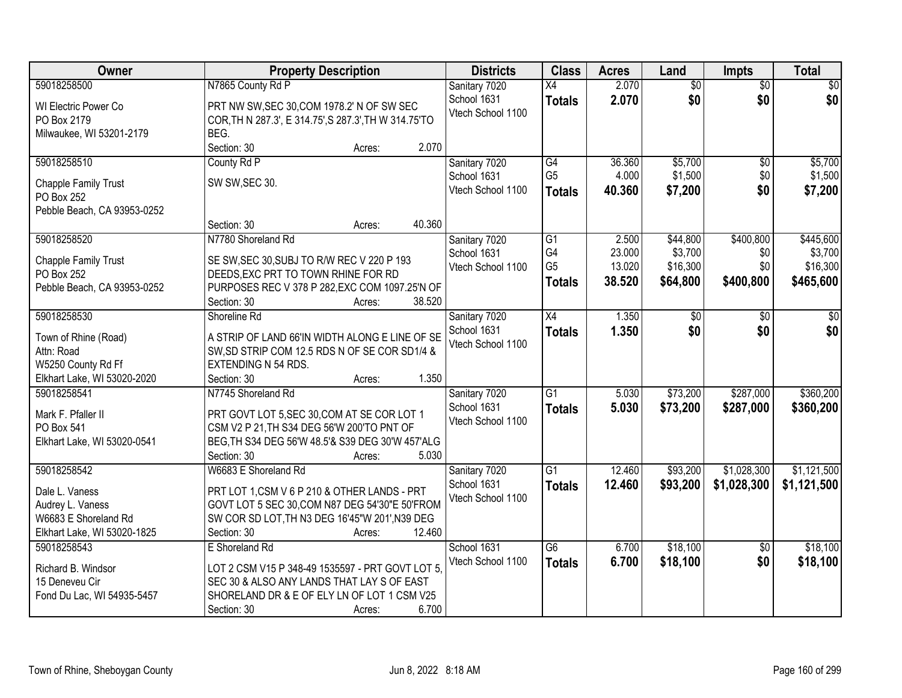| Owner                                      | <b>Property Description</b>                           | <b>Districts</b>  | <b>Class</b>    | <b>Acres</b> | Land            | Impts           | <b>Total</b> |
|--------------------------------------------|-------------------------------------------------------|-------------------|-----------------|--------------|-----------------|-----------------|--------------|
| 59018258500                                | N7865 County Rd P                                     | Sanitary 7020     | X4              | 2.070        | $\overline{60}$ | $\overline{50}$ | \$0          |
| WI Electric Power Co                       | PRT NW SW, SEC 30, COM 1978.2' N OF SW SEC            | School 1631       | <b>Totals</b>   | 2.070        | \$0             | \$0             | \$0          |
| PO Box 2179                                | COR, TH N 287.3', E 314.75', S 287.3', TH W 314.75'TO | Vtech School 1100 |                 |              |                 |                 |              |
| Milwaukee, WI 53201-2179                   | BEG.                                                  |                   |                 |              |                 |                 |              |
|                                            | 2.070<br>Section: 30<br>Acres:                        |                   |                 |              |                 |                 |              |
| 59018258510                                | County Rd P                                           | Sanitary 7020     | G4              | 36.360       | \$5,700         | \$0             | \$5,700      |
|                                            |                                                       | School 1631       | G <sub>5</sub>  | 4.000        | \$1,500         | \$0             | \$1,500      |
| Chapple Family Trust<br>PO Box 252         | SW SW, SEC 30.                                        | Vtech School 1100 | <b>Totals</b>   | 40.360       | \$7,200         | \$0             | \$7,200      |
| Pebble Beach, CA 93953-0252                |                                                       |                   |                 |              |                 |                 |              |
|                                            | 40.360<br>Section: 30<br>Acres:                       |                   |                 |              |                 |                 |              |
| 59018258520                                | N7780 Shoreland Rd                                    | Sanitary 7020     | G1              | 2.500        | \$44,800        | \$400,800       | \$445,600    |
|                                            |                                                       | School 1631       | G4              | 23.000       | \$3,700         | \$0             | \$3,700      |
| Chapple Family Trust                       | SE SW, SEC 30, SUBJ TO R/W REC V 220 P 193            | Vtech School 1100 | G <sub>5</sub>  | 13.020       | \$16,300        | \$0             | \$16,300     |
| PO Box 252                                 | DEEDS, EXC PRT TO TOWN RHINE FOR RD                   |                   | <b>Totals</b>   | 38.520       | \$64,800        | \$400,800       | \$465,600    |
| Pebble Beach, CA 93953-0252                | PURPOSES REC V 378 P 282, EXC COM 1097.25'N OF        |                   |                 |              |                 |                 |              |
|                                            | 38.520<br>Section: 30<br>Acres:                       |                   |                 |              |                 |                 |              |
| 59018258530                                | Shoreline Rd                                          | Sanitary 7020     | $\overline{X4}$ | 1.350        | \$0             | \$0             | \$0          |
| Town of Rhine (Road)                       | A STRIP OF LAND 66'IN WIDTH ALONG E LINE OF SE        | School 1631       | <b>Totals</b>   | 1.350        | \$0             | \$0             | \$0          |
| Attn: Road                                 | SW, SD STRIP COM 12.5 RDS N OF SE COR SD1/4 &         | Vtech School 1100 |                 |              |                 |                 |              |
| W5250 County Rd Ff                         | <b>EXTENDING N 54 RDS.</b>                            |                   |                 |              |                 |                 |              |
| Elkhart Lake, WI 53020-2020                | 1.350<br>Section: 30<br>Acres:                        |                   |                 |              |                 |                 |              |
| 59018258541                                | N7745 Shoreland Rd                                    | Sanitary 7020     | $\overline{G1}$ | 5.030        | \$73,200        | \$287,000       | \$360,200    |
| Mark F. Pfaller II                         | PRT GOVT LOT 5, SEC 30, COM AT SE COR LOT 1           | School 1631       | <b>Totals</b>   | 5.030        | \$73,200        | \$287,000       | \$360,200    |
| PO Box 541                                 | CSM V2 P 21, TH S34 DEG 56'W 200'TO PNT OF            | Vtech School 1100 |                 |              |                 |                 |              |
| Elkhart Lake, WI 53020-0541                | BEG, TH S34 DEG 56'W 48.5'& S39 DEG 30'W 457'ALG      |                   |                 |              |                 |                 |              |
|                                            | Section: 30<br>5.030<br>Acres:                        |                   |                 |              |                 |                 |              |
| 59018258542                                | W6683 E Shoreland Rd                                  | Sanitary 7020     | $\overline{G1}$ | 12.460       | \$93,200        | \$1,028,300     | \$1,121,500  |
|                                            |                                                       | School 1631       | <b>Totals</b>   | 12.460       | \$93,200        | \$1,028,300     | \$1,121,500  |
| Dale L. Vaness                             | PRT LOT 1,CSM V 6 P 210 & OTHER LANDS - PRT           | Vtech School 1100 |                 |              |                 |                 |              |
| Audrey L. Vaness                           | GOVT LOT 5 SEC 30, COM N87 DEG 54'30"E 50'FROM        |                   |                 |              |                 |                 |              |
| W6683 E Shoreland Rd                       | SW COR SD LOT, TH N3 DEG 16'45"W 201', N39 DEG        |                   |                 |              |                 |                 |              |
| Elkhart Lake, WI 53020-1825<br>59018258543 | 12.460<br>Section: 30<br>Acres:<br>E Shoreland Rd     | School 1631       | $\overline{G6}$ | 6.700        | \$18,100        |                 | \$18,100     |
|                                            |                                                       |                   |                 |              |                 | $\overline{30}$ |              |
| Richard B. Windsor                         | LOT 2 CSM V15 P 348-49 1535597 - PRT GOVT LOT 5,      | Vtech School 1100 | <b>Totals</b>   | 6.700        | \$18,100        | \$0             | \$18,100     |
| 15 Deneveu Cir                             | SEC 30 & ALSO ANY LANDS THAT LAY S OF EAST            |                   |                 |              |                 |                 |              |
| Fond Du Lac, WI 54935-5457                 | SHORELAND DR & E OF ELY LN OF LOT 1 CSM V25           |                   |                 |              |                 |                 |              |
|                                            | 6.700<br>Section: 30<br>Acres:                        |                   |                 |              |                 |                 |              |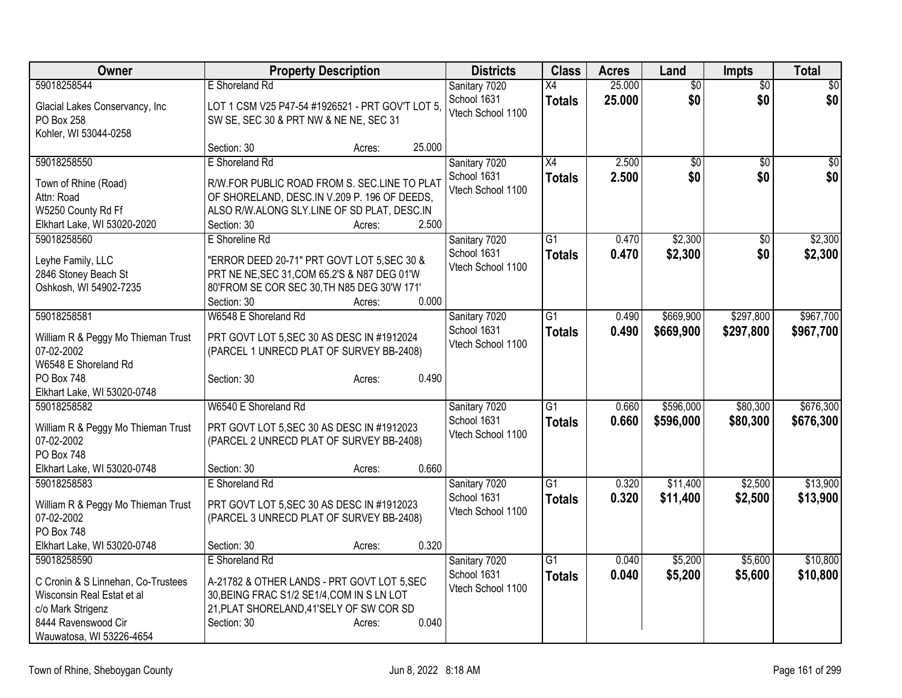| Owner                              | <b>Property Description</b>                                         | <b>Districts</b>  | <b>Class</b>    | <b>Acres</b> | Land            | <b>Impts</b>    | <b>Total</b>     |
|------------------------------------|---------------------------------------------------------------------|-------------------|-----------------|--------------|-----------------|-----------------|------------------|
| 59018258544                        | E Shoreland Rd                                                      | Sanitary 7020     | X4              | 25.000       | $\overline{60}$ | $\overline{50}$ | $\overline{\$0}$ |
| Glacial Lakes Conservancy, Inc     | LOT 1 CSM V25 P47-54 #1926521 - PRT GOV'T LOT 5.                    | School 1631       | <b>Totals</b>   | 25.000       | \$0             | \$0             | \$0              |
| <b>PO Box 258</b>                  | SW SE, SEC 30 & PRT NW & NE NE, SEC 31                              | Vtech School 1100 |                 |              |                 |                 |                  |
| Kohler, WI 53044-0258              |                                                                     |                   |                 |              |                 |                 |                  |
|                                    | 25.000<br>Section: 30<br>Acres:                                     |                   |                 |              |                 |                 |                  |
| 59018258550                        | E Shoreland Rd                                                      | Sanitary 7020     | X4              | 2.500        | $\overline{50}$ | \$0             | \$0              |
| Town of Rhine (Road)               | R/W.FOR PUBLIC ROAD FROM S. SEC.LINE TO PLAT                        | School 1631       | <b>Totals</b>   | 2.500        | \$0             | \$0             | \$0              |
| Attn: Road                         | OF SHORELAND, DESC.IN V.209 P. 196 OF DEEDS,                        | Vtech School 1100 |                 |              |                 |                 |                  |
| W5250 County Rd Ff                 | ALSO R/W.ALONG SLY.LINE OF SD PLAT, DESC.IN                         |                   |                 |              |                 |                 |                  |
| Elkhart Lake, WI 53020-2020        | 2.500<br>Section: 30<br>Acres:                                      |                   |                 |              |                 |                 |                  |
| 59018258560                        | E Shoreline Rd                                                      | Sanitary 7020     | G1              | 0.470        | \$2,300         | \$0             | \$2,300          |
|                                    |                                                                     | School 1631       | <b>Totals</b>   | 0.470        | \$2,300         | \$0             | \$2,300          |
| Leyhe Family, LLC                  | "ERROR DEED 20-71" PRT GOVT LOT 5, SEC 30 &                         | Vtech School 1100 |                 |              |                 |                 |                  |
| 2846 Stoney Beach St               | PRT NE NE, SEC 31, COM 65.2'S & N87 DEG 01'W                        |                   |                 |              |                 |                 |                  |
| Oshkosh, WI 54902-7235             | 80'FROM SE COR SEC 30, TH N85 DEG 30'W 171'<br>0.000<br>Section: 30 |                   |                 |              |                 |                 |                  |
| 59018258581                        | Acres:<br>W6548 E Shoreland Rd                                      | Sanitary 7020     | $\overline{G1}$ | 0.490        | \$669,900       | \$297,800       | \$967,700        |
|                                    |                                                                     | School 1631       |                 | 0.490        | \$669,900       |                 |                  |
| William R & Peggy Mo Thieman Trust | PRT GOVT LOT 5, SEC 30 AS DESC IN #1912024                          | Vtech School 1100 | <b>Totals</b>   |              |                 | \$297,800       | \$967,700        |
| 07-02-2002                         | (PARCEL 1 UNRECD PLAT OF SURVEY BB-2408)                            |                   |                 |              |                 |                 |                  |
| W6548 E Shoreland Rd               |                                                                     |                   |                 |              |                 |                 |                  |
| <b>PO Box 748</b>                  | 0.490<br>Section: 30<br>Acres:                                      |                   |                 |              |                 |                 |                  |
| Elkhart Lake, WI 53020-0748        |                                                                     |                   |                 |              |                 |                 |                  |
| 59018258582                        | W6540 E Shoreland Rd                                                | Sanitary 7020     | $\overline{G1}$ | 0.660        | \$596,000       | \$80,300        | \$676,300        |
| William R & Peggy Mo Thieman Trust | PRT GOVT LOT 5, SEC 30 AS DESC IN #1912023                          | School 1631       | <b>Totals</b>   | 0.660        | \$596,000       | \$80,300        | \$676,300        |
| 07-02-2002                         | (PARCEL 2 UNRECD PLAT OF SURVEY BB-2408)                            | Vtech School 1100 |                 |              |                 |                 |                  |
| PO Box 748                         |                                                                     |                   |                 |              |                 |                 |                  |
| Elkhart Lake, WI 53020-0748        | 0.660<br>Section: 30<br>Acres:                                      |                   |                 |              |                 |                 |                  |
| 59018258583                        | E Shoreland Rd                                                      | Sanitary 7020     | $\overline{G1}$ | 0.320        | \$11,400        | \$2,500         | \$13,900         |
| William R & Peggy Mo Thieman Trust | PRT GOVT LOT 5, SEC 30 AS DESC IN #1912023                          | School 1631       | <b>Totals</b>   | 0.320        | \$11,400        | \$2,500         | \$13,900         |
| 07-02-2002                         | (PARCEL 3 UNRECD PLAT OF SURVEY BB-2408)                            | Vtech School 1100 |                 |              |                 |                 |                  |
| <b>PO Box 748</b>                  |                                                                     |                   |                 |              |                 |                 |                  |
| Elkhart Lake, WI 53020-0748        | 0.320<br>Section: 30<br>Acres:                                      |                   |                 |              |                 |                 |                  |
| 59018258590                        | E Shoreland Rd                                                      | Sanitary 7020     | G1              | 0.040        | \$5,200         | \$5,600         | \$10,800         |
| C Cronin & S Linnehan, Co-Trustees | A-21782 & OTHER LANDS - PRT GOVT LOT 5, SEC                         | School 1631       | <b>Totals</b>   | 0.040        | \$5,200         | \$5,600         | \$10,800         |
| Wisconsin Real Estat et al         | 30, BEING FRAC S1/2 SE1/4, COM IN S LN LOT                          | Vtech School 1100 |                 |              |                 |                 |                  |
| c/o Mark Strigenz                  | 21, PLAT SHORELAND, 41'SELY OF SW COR SD                            |                   |                 |              |                 |                 |                  |
| 8444 Ravenswood Cir                | Section: 30<br>0.040<br>Acres:                                      |                   |                 |              |                 |                 |                  |
| Wauwatosa, WI 53226-4654           |                                                                     |                   |                 |              |                 |                 |                  |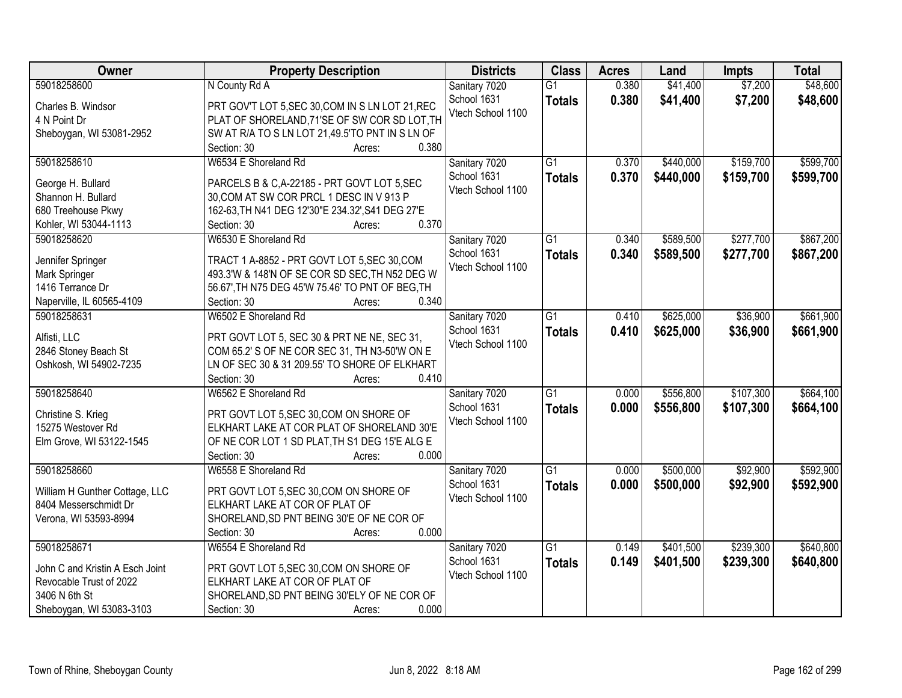| Owner                           | <b>Property Description</b>                      | <b>Districts</b>  | <b>Class</b>    | <b>Acres</b> | Land      | <b>Impts</b> | <b>Total</b> |
|---------------------------------|--------------------------------------------------|-------------------|-----------------|--------------|-----------|--------------|--------------|
| 59018258600                     | N County Rd A                                    | Sanitary 7020     | $\overline{G1}$ | 0.380        | \$41,400  | \$7,200      | \$48,600     |
| Charles B. Windsor              | PRT GOV'T LOT 5, SEC 30, COM IN S LN LOT 21, REC | School 1631       | <b>Totals</b>   | 0.380        | \$41,400  | \$7,200      | \$48,600     |
| 4 N Point Dr                    | PLAT OF SHORELAND, 71'SE OF SW COR SD LOT, TH    | Vtech School 1100 |                 |              |           |              |              |
| Sheboygan, WI 53081-2952        | SW AT R/A TO S LN LOT 21,49.5'TO PNT IN S LN OF  |                   |                 |              |           |              |              |
|                                 | 0.380<br>Section: 30<br>Acres:                   |                   |                 |              |           |              |              |
| 59018258610                     | W6534 E Shoreland Rd                             | Sanitary 7020     | $\overline{G1}$ | 0.370        | \$440,000 | \$159,700    | \$599,700    |
| George H. Bullard               | PARCELS B & C,A-22185 - PRT GOVT LOT 5, SEC      | School 1631       | <b>Totals</b>   | 0.370        | \$440,000 | \$159,700    | \$599,700    |
| Shannon H. Bullard              | 30, COM AT SW COR PRCL 1 DESC IN V 913 P         | Vtech School 1100 |                 |              |           |              |              |
| 680 Treehouse Pkwy              | 162-63, TH N41 DEG 12'30"E 234.32', S41 DEG 27'E |                   |                 |              |           |              |              |
| Kohler, WI 53044-1113           | 0.370<br>Section: 30<br>Acres:                   |                   |                 |              |           |              |              |
| 59018258620                     | W6530 E Shoreland Rd                             | Sanitary 7020     | $\overline{G1}$ | 0.340        | \$589,500 | \$277,700    | \$867,200    |
|                                 |                                                  | School 1631       | <b>Totals</b>   | 0.340        | \$589,500 | \$277,700    | \$867,200    |
| Jennifer Springer               | TRACT 1 A-8852 - PRT GOVT LOT 5, SEC 30, COM     | Vtech School 1100 |                 |              |           |              |              |
| Mark Springer                   | 493.3'W & 148'N OF SE COR SD SEC, TH N52 DEG W   |                   |                 |              |           |              |              |
| 1416 Terrance Dr                | 56.67', TH N75 DEG 45'W 75.46' TO PNT OF BEG, TH |                   |                 |              |           |              |              |
| Naperville, IL 60565-4109       | 0.340<br>Section: 30<br>Acres:                   |                   |                 |              |           |              |              |
| 59018258631                     | W6502 E Shoreland Rd                             | Sanitary 7020     | G1              | 0.410        | \$625,000 | \$36,900     | \$661,900    |
| Alfisti, LLC                    | PRT GOVT LOT 5, SEC 30 & PRT NE NE, SEC 31,      | School 1631       | <b>Totals</b>   | 0.410        | \$625,000 | \$36,900     | \$661,900    |
| 2846 Stoney Beach St            | COM 65.2' S OF NE COR SEC 31, TH N3-50'W ON E    | Vtech School 1100 |                 |              |           |              |              |
| Oshkosh, WI 54902-7235          | LN OF SEC 30 & 31 209.55' TO SHORE OF ELKHART    |                   |                 |              |           |              |              |
|                                 | Section: 30<br>0.410<br>Acres:                   |                   |                 |              |           |              |              |
| 59018258640                     | W6562 E Shoreland Rd                             | Sanitary 7020     | $\overline{G1}$ | 0.000        | \$556,800 | \$107,300    | \$664,100    |
| Christine S. Krieg              | PRT GOVT LOT 5, SEC 30, COM ON SHORE OF          | School 1631       | <b>Totals</b>   | 0.000        | \$556,800 | \$107,300    | \$664,100    |
| 15275 Westover Rd               | ELKHART LAKE AT COR PLAT OF SHORELAND 30'E       | Vtech School 1100 |                 |              |           |              |              |
| Elm Grove, WI 53122-1545        | OF NE COR LOT 1 SD PLAT, TH S1 DEG 15'E ALG E    |                   |                 |              |           |              |              |
|                                 | 0.000<br>Section: 30<br>Acres:                   |                   |                 |              |           |              |              |
| 59018258660                     | W6558 E Shoreland Rd                             | Sanitary 7020     | $\overline{G1}$ | 0.000        | \$500,000 | \$92,900     | \$592,900    |
|                                 |                                                  | School 1631       | <b>Totals</b>   | 0.000        | \$500,000 | \$92,900     | \$592,900    |
| William H Gunther Cottage, LLC  | PRT GOVT LOT 5, SEC 30, COM ON SHORE OF          | Vtech School 1100 |                 |              |           |              |              |
| 8404 Messerschmidt Dr           | ELKHART LAKE AT COR OF PLAT OF                   |                   |                 |              |           |              |              |
| Verona, WI 53593-8994           | SHORELAND, SD PNT BEING 30'E OF NE COR OF        |                   |                 |              |           |              |              |
|                                 | 0.000<br>Section: 30<br>Acres:                   |                   |                 |              |           |              |              |
| 59018258671                     | W6554 E Shoreland Rd                             | Sanitary 7020     | $\overline{G1}$ | 0.149        | \$401,500 | \$239,300    | \$640,800    |
| John C and Kristin A Esch Joint | PRT GOVT LOT 5, SEC 30, COM ON SHORE OF          | School 1631       | <b>Totals</b>   | 0.149        | \$401,500 | \$239,300    | \$640,800    |
| Revocable Trust of 2022         | ELKHART LAKE AT COR OF PLAT OF                   | Vtech School 1100 |                 |              |           |              |              |
| 3406 N 6th St                   | SHORELAND, SD PNT BEING 30'ELY OF NE COR OF      |                   |                 |              |           |              |              |
| Sheboygan, WI 53083-3103        | 0.000<br>Section: 30<br>Acres:                   |                   |                 |              |           |              |              |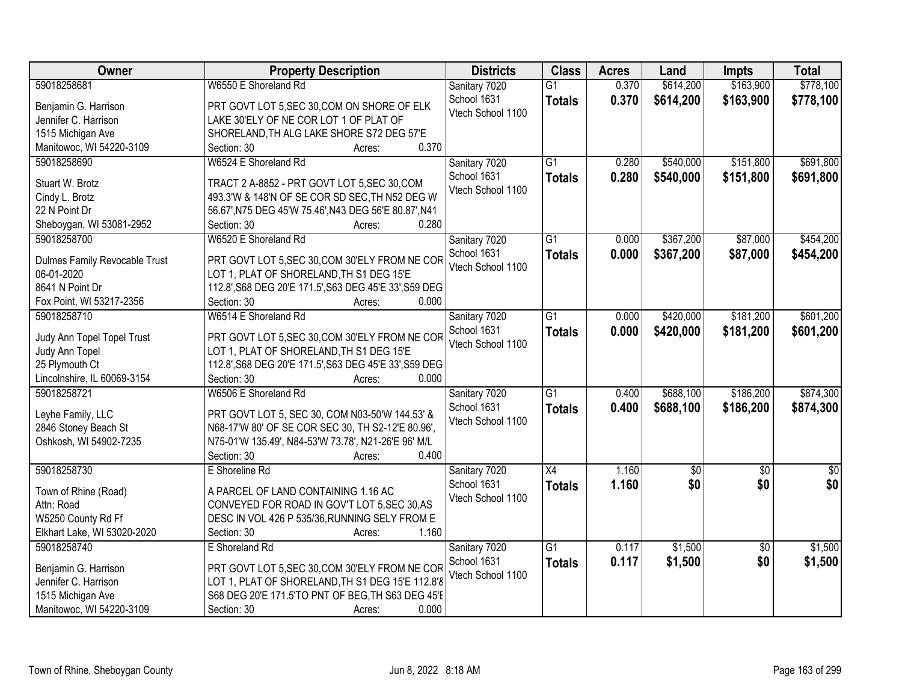| Owner                                        | <b>Property Description</b>                            | <b>Districts</b>             | <b>Class</b>    | <b>Acres</b> | Land        | <b>Impts</b>    | <b>Total</b> |
|----------------------------------------------|--------------------------------------------------------|------------------------------|-----------------|--------------|-------------|-----------------|--------------|
| 59018258681                                  | W6550 E Shoreland Rd                                   | Sanitary 7020                | $\overline{G1}$ | 0.370        | \$614,200   | \$163,900       | \$778,100    |
| Benjamin G. Harrison                         | PRT GOVT LOT 5, SEC 30, COM ON SHORE OF ELK            | School 1631                  | <b>Totals</b>   | 0.370        | \$614,200   | \$163,900       | \$778,100    |
| Jennifer C. Harrison                         | LAKE 30'ELY OF NE COR LOT 1 OF PLAT OF                 | Vtech School 1100            |                 |              |             |                 |              |
| 1515 Michigan Ave                            | SHORELAND, TH ALG LAKE SHORE S72 DEG 57'E              |                              |                 |              |             |                 |              |
| Manitowoc, WI 54220-3109                     | 0.370<br>Section: 30<br>Acres:                         |                              |                 |              |             |                 |              |
| 59018258690                                  | W6524 E Shoreland Rd                                   | Sanitary 7020                | $\overline{G1}$ | 0.280        | \$540,000   | \$151,800       | \$691,800    |
|                                              |                                                        | School 1631                  | <b>Totals</b>   | 0.280        | \$540,000   | \$151,800       | \$691,800    |
| Stuart W. Brotz                              | TRACT 2 A-8852 - PRT GOVT LOT 5, SEC 30, COM           | Vtech School 1100            |                 |              |             |                 |              |
| Cindy L. Brotz                               | 493.3'W & 148'N OF SE COR SD SEC, TH N52 DEG W         |                              |                 |              |             |                 |              |
| 22 N Point Dr                                | 56.67', N75 DEG 45'W 75.46', N43 DEG 56'E 80.87', N41  |                              |                 |              |             |                 |              |
| Sheboygan, WI 53081-2952                     | 0.280<br>Section: 30<br>Acres:                         |                              |                 |              |             |                 |              |
| 59018258700                                  | W6520 E Shoreland Rd                                   | Sanitary 7020                | G1              | 0.000        | \$367,200   | \$87,000        | \$454,200    |
| Dulmes Family Revocable Trust                | PRT GOVT LOT 5, SEC 30, COM 30'ELY FROM NE COR         | School 1631                  | <b>Totals</b>   | 0.000        | \$367,200   | \$87,000        | \$454,200    |
| 06-01-2020                                   | LOT 1, PLAT OF SHORELAND, TH S1 DEG 15'E               | Vtech School 1100            |                 |              |             |                 |              |
| 8641 N Point Dr                              | 112.8', S68 DEG 20'E 171.5', S63 DEG 45'E 33', S59 DEG |                              |                 |              |             |                 |              |
| Fox Point, WI 53217-2356                     | Section: 30<br>0.000<br>Acres:                         |                              |                 |              |             |                 |              |
| 59018258710                                  | W6514 E Shoreland Rd                                   | Sanitary 7020                | $\overline{G1}$ | 0.000        | \$420,000   | \$181,200       | \$601,200    |
|                                              |                                                        | School 1631                  | <b>Totals</b>   | 0.000        | \$420,000   | \$181,200       | \$601,200    |
| Judy Ann Topel Topel Trust                   | PRT GOVT LOT 5, SEC 30, COM 30'ELY FROM NE COR         | Vtech School 1100            |                 |              |             |                 |              |
| Judy Ann Topel                               | LOT 1, PLAT OF SHORELAND, TH S1 DEG 15'E               |                              |                 |              |             |                 |              |
| 25 Plymouth Ct                               | 112.8', S68 DEG 20'E 171.5', S63 DEG 45'E 33', S59 DEG |                              |                 |              |             |                 |              |
| Lincolnshire, IL 60069-3154                  | 0.000<br>Section: 30<br>Acres:                         |                              |                 |              |             |                 |              |
| 59018258721                                  | W6506 E Shoreland Rd                                   | Sanitary 7020                | $\overline{G1}$ | 0.400        | \$688,100   | \$186,200       | \$874,300    |
| Leyhe Family, LLC                            | PRT GOVT LOT 5, SEC 30, COM N03-50'W 144.53' &         | School 1631                  | <b>Totals</b>   | 0.400        | \$688,100   | \$186,200       | \$874,300    |
| 2846 Stoney Beach St                         | N68-17'W 80' OF SE COR SEC 30, TH S2-12'E 80.96',      | Vtech School 1100            |                 |              |             |                 |              |
| Oshkosh, WI 54902-7235                       | N75-01'W 135.49', N84-53'W 73.78', N21-26'E 96' M/L    |                              |                 |              |             |                 |              |
|                                              | 0.400<br>Section: 30<br>Acres:                         |                              |                 |              |             |                 |              |
| 59018258730                                  | E Shoreline Rd                                         |                              | X4              | 1.160        | $\sqrt{50}$ | $\overline{50}$ | $\sqrt{30}$  |
|                                              |                                                        | Sanitary 7020<br>School 1631 |                 |              | \$0         | \$0             | \$0          |
| Town of Rhine (Road)                         | A PARCEL OF LAND CONTAINING 1.16 AC                    | Vtech School 1100            | <b>Totals</b>   | 1.160        |             |                 |              |
| Attn: Road                                   | CONVEYED FOR ROAD IN GOV'T LOT 5, SEC 30, AS           |                              |                 |              |             |                 |              |
| W5250 County Rd Ff                           | DESC IN VOL 426 P 535/36, RUNNING SELY FROM E          |                              |                 |              |             |                 |              |
| Elkhart Lake, WI 53020-2020                  | 1.160<br>Section: 30<br>Acres:                         |                              |                 |              |             |                 |              |
| 59018258740                                  | E Shoreland Rd                                         | Sanitary 7020                | $\overline{G1}$ | 0.117        | \$1,500     | $\overline{30}$ | \$1,500      |
|                                              | PRT GOVT LOT 5, SEC 30, COM 30'ELY FROM NE COR         | School 1631                  | <b>Totals</b>   | 0.117        | \$1,500     | \$0             | \$1,500      |
| Benjamin G. Harrison<br>Jennifer C. Harrison | LOT 1, PLAT OF SHORELAND, TH S1 DEG 15'E 112.8'8       | Vtech School 1100            |                 |              |             |                 |              |
| 1515 Michigan Ave                            | S68 DEG 20'E 171.5'TO PNT OF BEG, TH S63 DEG 45'E      |                              |                 |              |             |                 |              |
|                                              | 0.000                                                  |                              |                 |              |             |                 |              |
| Manitowoc, WI 54220-3109                     | Section: 30<br>Acres:                                  |                              |                 |              |             |                 |              |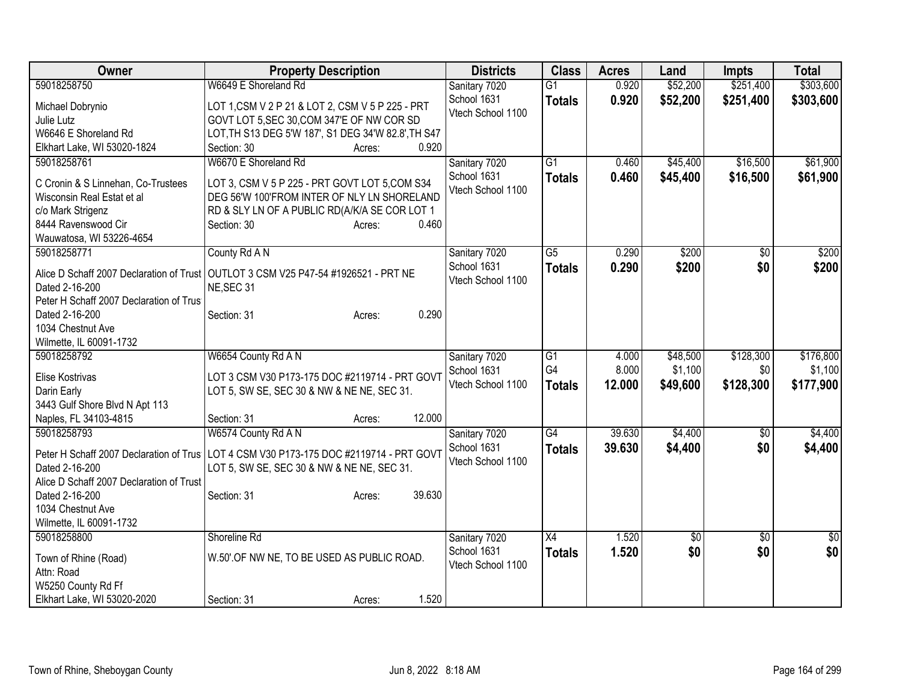| Owner                                                                                                                                    | <b>Property Description</b>                                                                                                                                                      | <b>Districts</b>                 | <b>Class</b>    | <b>Acres</b> | Land     | <b>Impts</b> | <b>Total</b>     |
|------------------------------------------------------------------------------------------------------------------------------------------|----------------------------------------------------------------------------------------------------------------------------------------------------------------------------------|----------------------------------|-----------------|--------------|----------|--------------|------------------|
| 59018258750                                                                                                                              | W6649 E Shoreland Rd                                                                                                                                                             | Sanitary 7020                    | $\overline{G1}$ | 0.920        | \$52,200 | \$251,400    | \$303,600        |
| Michael Dobrynio                                                                                                                         | LOT 1, CSM V 2 P 21 & LOT 2, CSM V 5 P 225 - PRT                                                                                                                                 | School 1631                      | <b>Totals</b>   | 0.920        | \$52,200 | \$251,400    | \$303,600        |
| Julie Lutz                                                                                                                               | GOVT LOT 5, SEC 30, COM 347'E OF NW COR SD                                                                                                                                       | Vtech School 1100                |                 |              |          |              |                  |
| W6646 E Shoreland Rd                                                                                                                     | LOT, TH S13 DEG 5'W 187', S1 DEG 34'W 82.8', TH S47                                                                                                                              |                                  |                 |              |          |              |                  |
| Elkhart Lake, WI 53020-1824                                                                                                              | 0.920<br>Section: 30<br>Acres:                                                                                                                                                   |                                  |                 |              |          |              |                  |
| 59018258761                                                                                                                              | W6670 E Shoreland Rd                                                                                                                                                             | Sanitary 7020                    | $\overline{G1}$ | 0.460        | \$45,400 | \$16,500     | \$61,900         |
| C Cronin & S Linnehan, Co-Trustees<br>Wisconsin Real Estat et al<br>c/o Mark Strigenz<br>8444 Ravenswood Cir<br>Wauwatosa, WI 53226-4654 | LOT 3, CSM V 5 P 225 - PRT GOVT LOT 5, COM S34<br>DEG 56'W 100'FROM INTER OF NLY LN SHORELAND<br>RD & SLY LN OF A PUBLIC RD(A/K/A SE COR LOT 1<br>Section: 30<br>0.460<br>Acres: | School 1631<br>Vtech School 1100 | <b>Totals</b>   | 0.460        | \$45,400 | \$16,500     | \$61,900         |
| 59018258771                                                                                                                              | County Rd A N                                                                                                                                                                    | Sanitary 7020                    | $\overline{G5}$ | 0.290        | \$200    | $\sqrt{50}$  | \$200            |
| Dated 2-16-200                                                                                                                           | Alice D Schaff 2007 Declaration of Trust   OUTLOT 3 CSM V25 P47-54 #1926521 - PRT NE<br>NE, SEC 31                                                                               | School 1631<br>Vtech School 1100 | <b>Totals</b>   | 0.290        | \$200    | \$0          | \$200            |
| Peter H Schaff 2007 Declaration of Trus                                                                                                  |                                                                                                                                                                                  |                                  |                 |              |          |              |                  |
| Dated 2-16-200                                                                                                                           | 0.290<br>Section: 31<br>Acres:                                                                                                                                                   |                                  |                 |              |          |              |                  |
| 1034 Chestnut Ave                                                                                                                        |                                                                                                                                                                                  |                                  |                 |              |          |              |                  |
| Wilmette, IL 60091-1732<br>59018258792                                                                                                   | W6654 County Rd A N                                                                                                                                                              | Sanitary 7020                    | G1              | 4.000        | \$48,500 | \$128,300    | \$176,800        |
|                                                                                                                                          |                                                                                                                                                                                  | School 1631                      | G4              | 8.000        | \$1,100  | \$0          | \$1,100          |
| Elise Kostrivas                                                                                                                          | LOT 3 CSM V30 P173-175 DOC #2119714 - PRT GOVT                                                                                                                                   | Vtech School 1100                | <b>Totals</b>   | 12.000       | \$49,600 | \$128,300    | \$177,900        |
| Darin Early                                                                                                                              | LOT 5, SW SE, SEC 30 & NW & NE NE, SEC 31.                                                                                                                                       |                                  |                 |              |          |              |                  |
| 3443 Gulf Shore Blvd N Apt 113                                                                                                           |                                                                                                                                                                                  |                                  |                 |              |          |              |                  |
| Naples, FL 34103-4815                                                                                                                    | 12.000<br>Section: 31<br>Acres:                                                                                                                                                  |                                  |                 |              |          |              |                  |
| 59018258793                                                                                                                              | W6574 County Rd A N                                                                                                                                                              | Sanitary 7020                    | G4              | 39.630       | \$4,400  | \$0          | \$4,400          |
| Peter H Schaff 2007 Declaration of Trus                                                                                                  | LOT 4 CSM V30 P173-175 DOC #2119714 - PRT GOVT                                                                                                                                   | School 1631                      | <b>Totals</b>   | 39.630       | \$4,400  | \$0          | \$4,400          |
| Dated 2-16-200                                                                                                                           | LOT 5, SW SE, SEC 30 & NW & NE NE, SEC 31.                                                                                                                                       | Vtech School 1100                |                 |              |          |              |                  |
| Alice D Schaff 2007 Declaration of Trust                                                                                                 |                                                                                                                                                                                  |                                  |                 |              |          |              |                  |
| Dated 2-16-200                                                                                                                           | 39.630<br>Section: 31<br>Acres:                                                                                                                                                  |                                  |                 |              |          |              |                  |
| 1034 Chestnut Ave                                                                                                                        |                                                                                                                                                                                  |                                  |                 |              |          |              |                  |
| Wilmette, IL 60091-1732                                                                                                                  |                                                                                                                                                                                  |                                  |                 |              |          |              |                  |
| 59018258800                                                                                                                              | Shoreline Rd                                                                                                                                                                     | Sanitary 7020                    | $\overline{X4}$ | 1.520        | \$0      | \$0          | $\overline{\$0}$ |
| Town of Rhine (Road)                                                                                                                     | W.50' OF NW NE, TO BE USED AS PUBLIC ROAD.                                                                                                                                       | School 1631                      | <b>Totals</b>   | 1.520        | \$0      | \$0          | \$0              |
| Attn: Road                                                                                                                               |                                                                                                                                                                                  | Vtech School 1100                |                 |              |          |              |                  |
| W5250 County Rd Ff                                                                                                                       |                                                                                                                                                                                  |                                  |                 |              |          |              |                  |
| Elkhart Lake, WI 53020-2020                                                                                                              | 1.520<br>Section: 31<br>Acres:                                                                                                                                                   |                                  |                 |              |          |              |                  |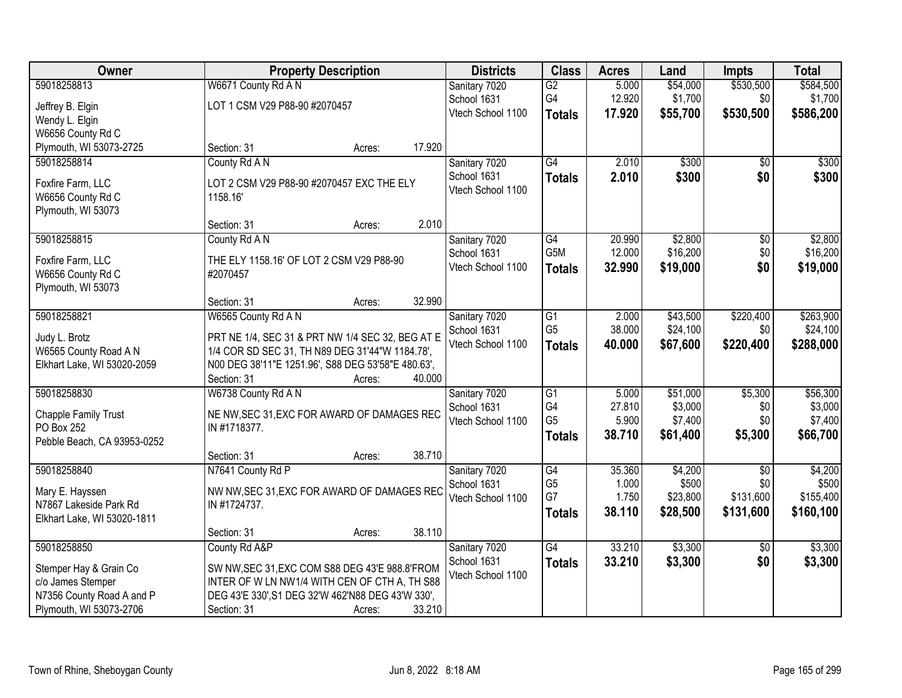| Owner                       |                                                    | <b>Property Description</b> |        | <b>Districts</b>  | <b>Class</b>    | <b>Acres</b> | Land     | <b>Impts</b>    | <b>Total</b> |
|-----------------------------|----------------------------------------------------|-----------------------------|--------|-------------------|-----------------|--------------|----------|-----------------|--------------|
| 59018258813                 | W6671 County Rd A N                                |                             |        | Sanitary 7020     | $\overline{G2}$ | 5.000        | \$54,000 | \$530,500       | \$584,500    |
| Jeffrey B. Elgin            | LOT 1 CSM V29 P88-90 #2070457                      |                             |        | School 1631       | G4              | 12.920       | \$1,700  | \$0             | \$1,700      |
| Wendy L. Elgin              |                                                    |                             |        | Vtech School 1100 | <b>Totals</b>   | 17.920       | \$55,700 | \$530,500       | \$586,200    |
| W6656 County Rd C           |                                                    |                             |        |                   |                 |              |          |                 |              |
| Plymouth, WI 53073-2725     | Section: 31                                        | Acres:                      | 17.920 |                   |                 |              |          |                 |              |
| 59018258814                 | County Rd A N                                      |                             |        | Sanitary 7020     | G4              | 2.010        | \$300    | \$0             | \$300        |
| Foxfire Farm, LLC           | LOT 2 CSM V29 P88-90 #2070457 EXC THE ELY          |                             |        | School 1631       | <b>Totals</b>   | 2.010        | \$300    | \$0             | \$300        |
| W6656 County Rd C           | 1158.16'                                           |                             |        | Vtech School 1100 |                 |              |          |                 |              |
| Plymouth, WI 53073          |                                                    |                             |        |                   |                 |              |          |                 |              |
|                             | Section: 31                                        | Acres:                      | 2.010  |                   |                 |              |          |                 |              |
| 59018258815                 | County Rd A N                                      |                             |        | Sanitary 7020     | $\overline{G4}$ | 20.990       | \$2,800  | $\overline{50}$ | \$2,800      |
| Foxfire Farm, LLC           | THE ELY 1158.16' OF LOT 2 CSM V29 P88-90           |                             |        | School 1631       | G5M             | 12.000       | \$16,200 | \$0             | \$16,200     |
| W6656 County Rd C           | #2070457                                           |                             |        | Vtech School 1100 | <b>Totals</b>   | 32.990       | \$19,000 | \$0             | \$19,000     |
| Plymouth, WI 53073          |                                                    |                             |        |                   |                 |              |          |                 |              |
|                             | Section: 31                                        | Acres:                      | 32.990 |                   |                 |              |          |                 |              |
| 59018258821                 | W6565 County Rd A N                                |                             |        | Sanitary 7020     | $\overline{G1}$ | 2.000        | \$43,500 | \$220,400       | \$263,900    |
| Judy L. Brotz               | PRT NE 1/4, SEC 31 & PRT NW 1/4 SEC 32, BEG AT E   |                             |        | School 1631       | G <sub>5</sub>  | 38.000       | \$24,100 | \$0             | \$24,100     |
| W6565 County Road A N       | 1/4 COR SD SEC 31, TH N89 DEG 31'44"W 1184.78',    |                             |        | Vtech School 1100 | <b>Totals</b>   | 40.000       | \$67,600 | \$220,400       | \$288,000    |
| Elkhart Lake, WI 53020-2059 | N00 DEG 38'11"E 1251.96', S88 DEG 53'58"E 480.63', |                             |        |                   |                 |              |          |                 |              |
|                             | Section: 31                                        | Acres:                      | 40.000 |                   |                 |              |          |                 |              |
| 59018258830                 | W6738 County Rd A N                                |                             |        | Sanitary 7020     | $\overline{G1}$ | 5.000        | \$51,000 | \$5,300         | \$56,300     |
| Chapple Family Trust        | NE NW, SEC 31, EXC FOR AWARD OF DAMAGES REC        |                             |        | School 1631       | G4              | 27.810       | \$3,000  | \$0             | \$3,000      |
| PO Box 252                  | IN #1718377.                                       |                             |        | Vtech School 1100 | G <sub>5</sub>  | 5.900        | \$7,400  | \$0             | \$7,400      |
| Pebble Beach, CA 93953-0252 |                                                    |                             |        |                   | <b>Totals</b>   | 38.710       | \$61,400 | \$5,300         | \$66,700     |
|                             | Section: 31                                        | Acres:                      | 38.710 |                   |                 |              |          |                 |              |
| 59018258840                 | N7641 County Rd P                                  |                             |        | Sanitary 7020     | $\overline{G4}$ | 35.360       | \$4,200  | $\overline{30}$ | \$4,200      |
| Mary E. Hayssen             | NW NW, SEC 31, EXC FOR AWARD OF DAMAGES REC        |                             |        | School 1631       | G <sub>5</sub>  | 1.000        | \$500    | \$0             | \$500        |
| N7867 Lakeside Park Rd      | IN #1724737.                                       |                             |        | Vtech School 1100 | G7              | 1.750        | \$23,800 | \$131,600       | \$155,400    |
| Elkhart Lake, WI 53020-1811 |                                                    |                             |        |                   | <b>Totals</b>   | 38.110       | \$28,500 | \$131,600       | \$160,100    |
|                             | Section: 31                                        | Acres:                      | 38.110 |                   |                 |              |          |                 |              |
| 59018258850                 | County Rd A&P                                      |                             |        | Sanitary 7020     | $\overline{G4}$ | 33.210       | \$3,300  | $\overline{30}$ | \$3,300      |
| Stemper Hay & Grain Co      | SW NW, SEC 31, EXC COM S88 DEG 43'E 988.8' FROM    |                             |        | School 1631       | <b>Totals</b>   | 33.210       | \$3,300  | \$0             | \$3,300      |
| c/o James Stemper           | INTER OF W LN NW1/4 WITH CEN OF CTH A, TH S88      |                             |        | Vtech School 1100 |                 |              |          |                 |              |
| N7356 County Road A and P   | DEG 43'E 330', S1 DEG 32'W 462'N88 DEG 43'W 330',  |                             |        |                   |                 |              |          |                 |              |
| Plymouth, WI 53073-2706     | Section: 31                                        | Acres:                      | 33.210 |                   |                 |              |          |                 |              |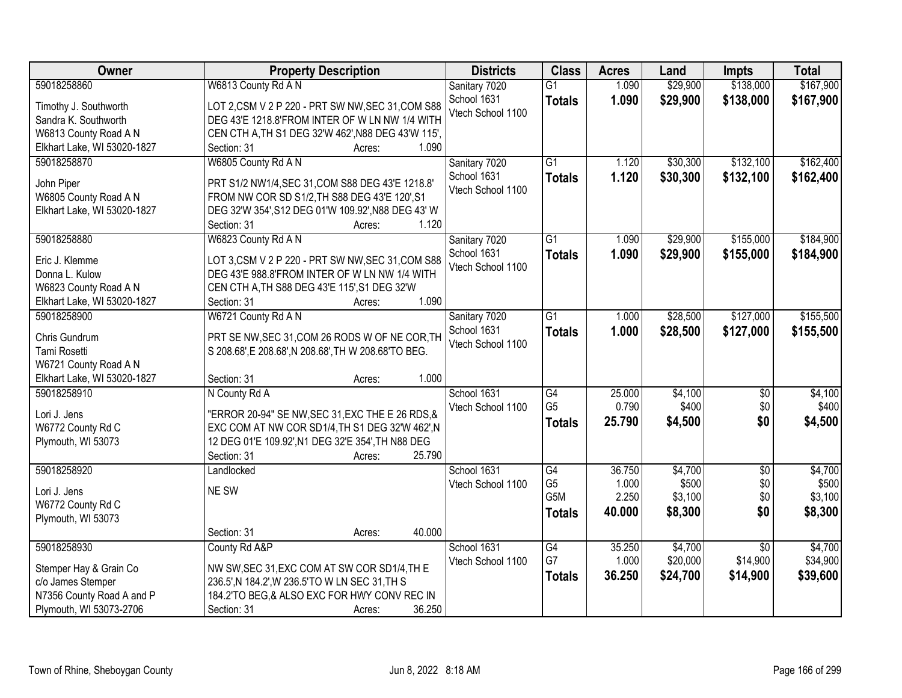| \$167,900<br>59018258860<br>W6813 County Rd A N<br>Sanitary 7020<br>$\overline{G1}$<br>1.090<br>\$29,900<br>\$138,000<br>1.090<br>\$29,900<br>School 1631<br>\$138,000<br>\$167,900<br><b>Totals</b><br>LOT 2,CSM V 2 P 220 - PRT SW NW, SEC 31, COM S88<br>Timothy J. Southworth<br>Vtech School 1100<br>Sandra K. Southworth<br>DEG 43'E 1218.8'FROM INTER OF W LN NW 1/4 WITH<br>CEN CTH A, TH S1 DEG 32'W 462', N88 DEG 43'W 115',<br>W6813 County Road A N<br>Elkhart Lake, WI 53020-1827<br>1.090<br>Section: 31<br>Acres:<br>W6805 County Rd A N<br>\$132,100<br>\$162,400<br>59018258870<br>Sanitary 7020<br>$\overline{G1}$<br>1.120<br>\$30,300<br>1.120<br>\$30,300<br>\$132,100<br>School 1631<br>\$162,400<br><b>Totals</b><br>John Piper<br>PRT S1/2 NW1/4, SEC 31, COM S88 DEG 43'E 1218.8'<br>Vtech School 1100<br>W6805 County Road A N<br>FROM NW COR SD S1/2, TH S88 DEG 43'E 120', S1<br>Elkhart Lake, WI 53020-1827<br>DEG 32'W 354', S12 DEG 01'W 109.92', N88 DEG 43' W<br>1.120<br>Section: 31<br>Acres:<br>W6823 County Rd A N<br>\$155,000<br>\$184,900<br>59018258880<br>Sanitary 7020<br>$\overline{G1}$<br>1.090<br>\$29,900<br>School 1631<br>\$155,000<br>1.090<br>\$29,900<br>\$184,900<br><b>Totals</b><br>Eric J. Klemme<br>LOT 3,CSM V 2 P 220 - PRT SW NW, SEC 31, COM S88<br>Vtech School 1100<br>Donna L. Kulow<br>DEG 43'E 988.8'FROM INTER OF W LN NW 1/4 WITH<br>W6823 County Road A N<br>CEN CTH A, TH S88 DEG 43'E 115', S1 DEG 32'W<br>1.090<br>Elkhart Lake, WI 53020-1827<br>Section: 31<br>Acres:<br>\$155,500<br>59018258900<br>W6721 County Rd A N<br>$\overline{G1}$<br>\$28,500<br>\$127,000<br>Sanitary 7020<br>1.000<br>School 1631<br>1.000<br>\$28,500<br>\$127,000<br>\$155,500<br><b>Totals</b><br>Chris Gundrum<br>PRT SE NW, SEC 31, COM 26 RODS W OF NE COR, TH<br>Vtech School 1100<br>Tami Rosetti<br>S 208.68', E 208.68', N 208.68', TH W 208.68'TO BEG.<br>W6721 County Road A N<br>1.000<br>Elkhart Lake, WI 53020-1827<br>Section: 31<br>Acres:<br>$\overline{G4}$<br>25.000<br>\$4,100<br>$\overline{50}$<br>\$4,100<br>59018258910<br>N County Rd A<br>School 1631<br>G <sub>5</sub><br>0.790<br>\$400<br>\$0<br>Vtech School 1100<br>Lori J. Jens<br>"ERROR 20-94" SE NW, SEC 31, EXC THE E 26 RDS, &<br>\$0<br>25.790<br>\$4,500<br>\$4,500<br><b>Totals</b><br>W6772 County Rd C<br>EXC COM AT NW COR SD1/4, TH S1 DEG 32'W 462', N<br>Plymouth, WI 53073<br>12 DEG 01'E 109.92', N1 DEG 32'E 354', TH N88 DEG<br>Section: 31<br>25.790<br>Acres:<br>$\overline{G4}$<br>\$4,700<br>$\overline{50}$<br>59018258920<br>School 1631<br>36.750<br>Landlocked<br>G <sub>5</sub><br>\$0<br>1.000<br>\$500<br>Vtech School 1100<br>NE SW<br>Lori J. Jens<br>G <sub>5</sub> M<br>2.250<br>\$3,100<br>\$0<br>W6772 County Rd C<br>40.000<br>\$8,300<br>\$0<br>\$8,300<br><b>Totals</b><br>Plymouth, WI 53073<br>40.000<br>Section: 31<br>Acres: | <b>Owner</b> | <b>Property Description</b> | <b>Districts</b> | <b>Class</b>    | <b>Acres</b> | Land    | <b>Impts</b>    | <b>Total</b> |
|----------------------------------------------------------------------------------------------------------------------------------------------------------------------------------------------------------------------------------------------------------------------------------------------------------------------------------------------------------------------------------------------------------------------------------------------------------------------------------------------------------------------------------------------------------------------------------------------------------------------------------------------------------------------------------------------------------------------------------------------------------------------------------------------------------------------------------------------------------------------------------------------------------------------------------------------------------------------------------------------------------------------------------------------------------------------------------------------------------------------------------------------------------------------------------------------------------------------------------------------------------------------------------------------------------------------------------------------------------------------------------------------------------------------------------------------------------------------------------------------------------------------------------------------------------------------------------------------------------------------------------------------------------------------------------------------------------------------------------------------------------------------------------------------------------------------------------------------------------------------------------------------------------------------------------------------------------------------------------------------------------------------------------------------------------------------------------------------------------------------------------------------------------------------------------------------------------------------------------------------------------------------------------------------------------------------------------------------------------------------------------------------------------------------------------------------------------------------------------------------------------------------------------------------------------------------------------------------------------------------------------------------------------------------------------------------------------------------------------------------------------------------------------------------------------------------------------------------------------------------------------------------------------------|--------------|-----------------------------|------------------|-----------------|--------------|---------|-----------------|--------------|
|                                                                                                                                                                                                                                                                                                                                                                                                                                                                                                                                                                                                                                                                                                                                                                                                                                                                                                                                                                                                                                                                                                                                                                                                                                                                                                                                                                                                                                                                                                                                                                                                                                                                                                                                                                                                                                                                                                                                                                                                                                                                                                                                                                                                                                                                                                                                                                                                                                                                                                                                                                                                                                                                                                                                                                                                                                                                                                                |              |                             |                  |                 |              |         |                 |              |
|                                                                                                                                                                                                                                                                                                                                                                                                                                                                                                                                                                                                                                                                                                                                                                                                                                                                                                                                                                                                                                                                                                                                                                                                                                                                                                                                                                                                                                                                                                                                                                                                                                                                                                                                                                                                                                                                                                                                                                                                                                                                                                                                                                                                                                                                                                                                                                                                                                                                                                                                                                                                                                                                                                                                                                                                                                                                                                                |              |                             |                  |                 |              |         |                 |              |
|                                                                                                                                                                                                                                                                                                                                                                                                                                                                                                                                                                                                                                                                                                                                                                                                                                                                                                                                                                                                                                                                                                                                                                                                                                                                                                                                                                                                                                                                                                                                                                                                                                                                                                                                                                                                                                                                                                                                                                                                                                                                                                                                                                                                                                                                                                                                                                                                                                                                                                                                                                                                                                                                                                                                                                                                                                                                                                                |              |                             |                  |                 |              |         |                 |              |
|                                                                                                                                                                                                                                                                                                                                                                                                                                                                                                                                                                                                                                                                                                                                                                                                                                                                                                                                                                                                                                                                                                                                                                                                                                                                                                                                                                                                                                                                                                                                                                                                                                                                                                                                                                                                                                                                                                                                                                                                                                                                                                                                                                                                                                                                                                                                                                                                                                                                                                                                                                                                                                                                                                                                                                                                                                                                                                                |              |                             |                  |                 |              |         |                 |              |
|                                                                                                                                                                                                                                                                                                                                                                                                                                                                                                                                                                                                                                                                                                                                                                                                                                                                                                                                                                                                                                                                                                                                                                                                                                                                                                                                                                                                                                                                                                                                                                                                                                                                                                                                                                                                                                                                                                                                                                                                                                                                                                                                                                                                                                                                                                                                                                                                                                                                                                                                                                                                                                                                                                                                                                                                                                                                                                                |              |                             |                  |                 |              |         |                 |              |
|                                                                                                                                                                                                                                                                                                                                                                                                                                                                                                                                                                                                                                                                                                                                                                                                                                                                                                                                                                                                                                                                                                                                                                                                                                                                                                                                                                                                                                                                                                                                                                                                                                                                                                                                                                                                                                                                                                                                                                                                                                                                                                                                                                                                                                                                                                                                                                                                                                                                                                                                                                                                                                                                                                                                                                                                                                                                                                                |              |                             |                  |                 |              |         |                 |              |
|                                                                                                                                                                                                                                                                                                                                                                                                                                                                                                                                                                                                                                                                                                                                                                                                                                                                                                                                                                                                                                                                                                                                                                                                                                                                                                                                                                                                                                                                                                                                                                                                                                                                                                                                                                                                                                                                                                                                                                                                                                                                                                                                                                                                                                                                                                                                                                                                                                                                                                                                                                                                                                                                                                                                                                                                                                                                                                                |              |                             |                  |                 |              |         |                 |              |
|                                                                                                                                                                                                                                                                                                                                                                                                                                                                                                                                                                                                                                                                                                                                                                                                                                                                                                                                                                                                                                                                                                                                                                                                                                                                                                                                                                                                                                                                                                                                                                                                                                                                                                                                                                                                                                                                                                                                                                                                                                                                                                                                                                                                                                                                                                                                                                                                                                                                                                                                                                                                                                                                                                                                                                                                                                                                                                                |              |                             |                  |                 |              |         |                 |              |
|                                                                                                                                                                                                                                                                                                                                                                                                                                                                                                                                                                                                                                                                                                                                                                                                                                                                                                                                                                                                                                                                                                                                                                                                                                                                                                                                                                                                                                                                                                                                                                                                                                                                                                                                                                                                                                                                                                                                                                                                                                                                                                                                                                                                                                                                                                                                                                                                                                                                                                                                                                                                                                                                                                                                                                                                                                                                                                                |              |                             |                  |                 |              |         |                 |              |
|                                                                                                                                                                                                                                                                                                                                                                                                                                                                                                                                                                                                                                                                                                                                                                                                                                                                                                                                                                                                                                                                                                                                                                                                                                                                                                                                                                                                                                                                                                                                                                                                                                                                                                                                                                                                                                                                                                                                                                                                                                                                                                                                                                                                                                                                                                                                                                                                                                                                                                                                                                                                                                                                                                                                                                                                                                                                                                                |              |                             |                  |                 |              |         |                 |              |
|                                                                                                                                                                                                                                                                                                                                                                                                                                                                                                                                                                                                                                                                                                                                                                                                                                                                                                                                                                                                                                                                                                                                                                                                                                                                                                                                                                                                                                                                                                                                                                                                                                                                                                                                                                                                                                                                                                                                                                                                                                                                                                                                                                                                                                                                                                                                                                                                                                                                                                                                                                                                                                                                                                                                                                                                                                                                                                                |              |                             |                  |                 |              |         |                 |              |
|                                                                                                                                                                                                                                                                                                                                                                                                                                                                                                                                                                                                                                                                                                                                                                                                                                                                                                                                                                                                                                                                                                                                                                                                                                                                                                                                                                                                                                                                                                                                                                                                                                                                                                                                                                                                                                                                                                                                                                                                                                                                                                                                                                                                                                                                                                                                                                                                                                                                                                                                                                                                                                                                                                                                                                                                                                                                                                                |              |                             |                  |                 |              |         |                 |              |
|                                                                                                                                                                                                                                                                                                                                                                                                                                                                                                                                                                                                                                                                                                                                                                                                                                                                                                                                                                                                                                                                                                                                                                                                                                                                                                                                                                                                                                                                                                                                                                                                                                                                                                                                                                                                                                                                                                                                                                                                                                                                                                                                                                                                                                                                                                                                                                                                                                                                                                                                                                                                                                                                                                                                                                                                                                                                                                                |              |                             |                  |                 |              |         |                 |              |
|                                                                                                                                                                                                                                                                                                                                                                                                                                                                                                                                                                                                                                                                                                                                                                                                                                                                                                                                                                                                                                                                                                                                                                                                                                                                                                                                                                                                                                                                                                                                                                                                                                                                                                                                                                                                                                                                                                                                                                                                                                                                                                                                                                                                                                                                                                                                                                                                                                                                                                                                                                                                                                                                                                                                                                                                                                                                                                                |              |                             |                  |                 |              |         |                 |              |
|                                                                                                                                                                                                                                                                                                                                                                                                                                                                                                                                                                                                                                                                                                                                                                                                                                                                                                                                                                                                                                                                                                                                                                                                                                                                                                                                                                                                                                                                                                                                                                                                                                                                                                                                                                                                                                                                                                                                                                                                                                                                                                                                                                                                                                                                                                                                                                                                                                                                                                                                                                                                                                                                                                                                                                                                                                                                                                                |              |                             |                  |                 |              |         |                 |              |
|                                                                                                                                                                                                                                                                                                                                                                                                                                                                                                                                                                                                                                                                                                                                                                                                                                                                                                                                                                                                                                                                                                                                                                                                                                                                                                                                                                                                                                                                                                                                                                                                                                                                                                                                                                                                                                                                                                                                                                                                                                                                                                                                                                                                                                                                                                                                                                                                                                                                                                                                                                                                                                                                                                                                                                                                                                                                                                                |              |                             |                  |                 |              |         |                 |              |
|                                                                                                                                                                                                                                                                                                                                                                                                                                                                                                                                                                                                                                                                                                                                                                                                                                                                                                                                                                                                                                                                                                                                                                                                                                                                                                                                                                                                                                                                                                                                                                                                                                                                                                                                                                                                                                                                                                                                                                                                                                                                                                                                                                                                                                                                                                                                                                                                                                                                                                                                                                                                                                                                                                                                                                                                                                                                                                                |              |                             |                  |                 |              |         |                 |              |
|                                                                                                                                                                                                                                                                                                                                                                                                                                                                                                                                                                                                                                                                                                                                                                                                                                                                                                                                                                                                                                                                                                                                                                                                                                                                                                                                                                                                                                                                                                                                                                                                                                                                                                                                                                                                                                                                                                                                                                                                                                                                                                                                                                                                                                                                                                                                                                                                                                                                                                                                                                                                                                                                                                                                                                                                                                                                                                                |              |                             |                  |                 |              |         |                 |              |
| \$400<br>\$4,700<br>\$500<br>\$3,100                                                                                                                                                                                                                                                                                                                                                                                                                                                                                                                                                                                                                                                                                                                                                                                                                                                                                                                                                                                                                                                                                                                                                                                                                                                                                                                                                                                                                                                                                                                                                                                                                                                                                                                                                                                                                                                                                                                                                                                                                                                                                                                                                                                                                                                                                                                                                                                                                                                                                                                                                                                                                                                                                                                                                                                                                                                                           |              |                             |                  |                 |              |         |                 |              |
|                                                                                                                                                                                                                                                                                                                                                                                                                                                                                                                                                                                                                                                                                                                                                                                                                                                                                                                                                                                                                                                                                                                                                                                                                                                                                                                                                                                                                                                                                                                                                                                                                                                                                                                                                                                                                                                                                                                                                                                                                                                                                                                                                                                                                                                                                                                                                                                                                                                                                                                                                                                                                                                                                                                                                                                                                                                                                                                |              |                             |                  |                 |              |         |                 |              |
|                                                                                                                                                                                                                                                                                                                                                                                                                                                                                                                                                                                                                                                                                                                                                                                                                                                                                                                                                                                                                                                                                                                                                                                                                                                                                                                                                                                                                                                                                                                                                                                                                                                                                                                                                                                                                                                                                                                                                                                                                                                                                                                                                                                                                                                                                                                                                                                                                                                                                                                                                                                                                                                                                                                                                                                                                                                                                                                |              |                             |                  |                 |              |         |                 |              |
|                                                                                                                                                                                                                                                                                                                                                                                                                                                                                                                                                                                                                                                                                                                                                                                                                                                                                                                                                                                                                                                                                                                                                                                                                                                                                                                                                                                                                                                                                                                                                                                                                                                                                                                                                                                                                                                                                                                                                                                                                                                                                                                                                                                                                                                                                                                                                                                                                                                                                                                                                                                                                                                                                                                                                                                                                                                                                                                |              |                             |                  |                 |              |         |                 |              |
|                                                                                                                                                                                                                                                                                                                                                                                                                                                                                                                                                                                                                                                                                                                                                                                                                                                                                                                                                                                                                                                                                                                                                                                                                                                                                                                                                                                                                                                                                                                                                                                                                                                                                                                                                                                                                                                                                                                                                                                                                                                                                                                                                                                                                                                                                                                                                                                                                                                                                                                                                                                                                                                                                                                                                                                                                                                                                                                |              |                             |                  |                 |              |         |                 |              |
|                                                                                                                                                                                                                                                                                                                                                                                                                                                                                                                                                                                                                                                                                                                                                                                                                                                                                                                                                                                                                                                                                                                                                                                                                                                                                                                                                                                                                                                                                                                                                                                                                                                                                                                                                                                                                                                                                                                                                                                                                                                                                                                                                                                                                                                                                                                                                                                                                                                                                                                                                                                                                                                                                                                                                                                                                                                                                                                |              |                             |                  |                 |              |         |                 |              |
|                                                                                                                                                                                                                                                                                                                                                                                                                                                                                                                                                                                                                                                                                                                                                                                                                                                                                                                                                                                                                                                                                                                                                                                                                                                                                                                                                                                                                                                                                                                                                                                                                                                                                                                                                                                                                                                                                                                                                                                                                                                                                                                                                                                                                                                                                                                                                                                                                                                                                                                                                                                                                                                                                                                                                                                                                                                                                                                |              |                             |                  |                 |              |         |                 |              |
|                                                                                                                                                                                                                                                                                                                                                                                                                                                                                                                                                                                                                                                                                                                                                                                                                                                                                                                                                                                                                                                                                                                                                                                                                                                                                                                                                                                                                                                                                                                                                                                                                                                                                                                                                                                                                                                                                                                                                                                                                                                                                                                                                                                                                                                                                                                                                                                                                                                                                                                                                                                                                                                                                                                                                                                                                                                                                                                |              |                             |                  |                 |              |         |                 |              |
|                                                                                                                                                                                                                                                                                                                                                                                                                                                                                                                                                                                                                                                                                                                                                                                                                                                                                                                                                                                                                                                                                                                                                                                                                                                                                                                                                                                                                                                                                                                                                                                                                                                                                                                                                                                                                                                                                                                                                                                                                                                                                                                                                                                                                                                                                                                                                                                                                                                                                                                                                                                                                                                                                                                                                                                                                                                                                                                |              |                             |                  |                 |              |         |                 |              |
|                                                                                                                                                                                                                                                                                                                                                                                                                                                                                                                                                                                                                                                                                                                                                                                                                                                                                                                                                                                                                                                                                                                                                                                                                                                                                                                                                                                                                                                                                                                                                                                                                                                                                                                                                                                                                                                                                                                                                                                                                                                                                                                                                                                                                                                                                                                                                                                                                                                                                                                                                                                                                                                                                                                                                                                                                                                                                                                |              |                             |                  |                 |              |         |                 |              |
|                                                                                                                                                                                                                                                                                                                                                                                                                                                                                                                                                                                                                                                                                                                                                                                                                                                                                                                                                                                                                                                                                                                                                                                                                                                                                                                                                                                                                                                                                                                                                                                                                                                                                                                                                                                                                                                                                                                                                                                                                                                                                                                                                                                                                                                                                                                                                                                                                                                                                                                                                                                                                                                                                                                                                                                                                                                                                                                |              |                             |                  |                 |              |         |                 |              |
|                                                                                                                                                                                                                                                                                                                                                                                                                                                                                                                                                                                                                                                                                                                                                                                                                                                                                                                                                                                                                                                                                                                                                                                                                                                                                                                                                                                                                                                                                                                                                                                                                                                                                                                                                                                                                                                                                                                                                                                                                                                                                                                                                                                                                                                                                                                                                                                                                                                                                                                                                                                                                                                                                                                                                                                                                                                                                                                |              |                             |                  |                 |              |         |                 |              |
|                                                                                                                                                                                                                                                                                                                                                                                                                                                                                                                                                                                                                                                                                                                                                                                                                                                                                                                                                                                                                                                                                                                                                                                                                                                                                                                                                                                                                                                                                                                                                                                                                                                                                                                                                                                                                                                                                                                                                                                                                                                                                                                                                                                                                                                                                                                                                                                                                                                                                                                                                                                                                                                                                                                                                                                                                                                                                                                |              |                             |                  |                 |              |         |                 |              |
|                                                                                                                                                                                                                                                                                                                                                                                                                                                                                                                                                                                                                                                                                                                                                                                                                                                                                                                                                                                                                                                                                                                                                                                                                                                                                                                                                                                                                                                                                                                                                                                                                                                                                                                                                                                                                                                                                                                                                                                                                                                                                                                                                                                                                                                                                                                                                                                                                                                                                                                                                                                                                                                                                                                                                                                                                                                                                                                |              |                             |                  |                 |              |         |                 |              |
|                                                                                                                                                                                                                                                                                                                                                                                                                                                                                                                                                                                                                                                                                                                                                                                                                                                                                                                                                                                                                                                                                                                                                                                                                                                                                                                                                                                                                                                                                                                                                                                                                                                                                                                                                                                                                                                                                                                                                                                                                                                                                                                                                                                                                                                                                                                                                                                                                                                                                                                                                                                                                                                                                                                                                                                                                                                                                                                | 59018258930  | County Rd A&P               | School 1631      | $\overline{G4}$ | 35.250       | \$4,700 | $\overline{50}$ | \$4,700      |
| G7<br>1.000<br>\$20,000<br>\$14,900<br>\$34,900<br>Vtech School 1100                                                                                                                                                                                                                                                                                                                                                                                                                                                                                                                                                                                                                                                                                                                                                                                                                                                                                                                                                                                                                                                                                                                                                                                                                                                                                                                                                                                                                                                                                                                                                                                                                                                                                                                                                                                                                                                                                                                                                                                                                                                                                                                                                                                                                                                                                                                                                                                                                                                                                                                                                                                                                                                                                                                                                                                                                                           |              |                             |                  |                 |              |         |                 |              |
| Stemper Hay & Grain Co<br>NW SW, SEC 31, EXC COM AT SW COR SD1/4, TH E<br>\$24,700<br>36.250<br>\$14,900<br>\$39,600<br><b>Totals</b><br>c/o James Stemper<br>236.5', N 184.2', W 236.5'TO W LN SEC 31, TH S                                                                                                                                                                                                                                                                                                                                                                                                                                                                                                                                                                                                                                                                                                                                                                                                                                                                                                                                                                                                                                                                                                                                                                                                                                                                                                                                                                                                                                                                                                                                                                                                                                                                                                                                                                                                                                                                                                                                                                                                                                                                                                                                                                                                                                                                                                                                                                                                                                                                                                                                                                                                                                                                                                   |              |                             |                  |                 |              |         |                 |              |
| N7356 County Road A and P<br>184.2'TO BEG, & ALSO EXC FOR HWY CONV REC IN                                                                                                                                                                                                                                                                                                                                                                                                                                                                                                                                                                                                                                                                                                                                                                                                                                                                                                                                                                                                                                                                                                                                                                                                                                                                                                                                                                                                                                                                                                                                                                                                                                                                                                                                                                                                                                                                                                                                                                                                                                                                                                                                                                                                                                                                                                                                                                                                                                                                                                                                                                                                                                                                                                                                                                                                                                      |              |                             |                  |                 |              |         |                 |              |
| Plymouth, WI 53073-2706<br>36.250<br>Section: 31<br>Acres:                                                                                                                                                                                                                                                                                                                                                                                                                                                                                                                                                                                                                                                                                                                                                                                                                                                                                                                                                                                                                                                                                                                                                                                                                                                                                                                                                                                                                                                                                                                                                                                                                                                                                                                                                                                                                                                                                                                                                                                                                                                                                                                                                                                                                                                                                                                                                                                                                                                                                                                                                                                                                                                                                                                                                                                                                                                     |              |                             |                  |                 |              |         |                 |              |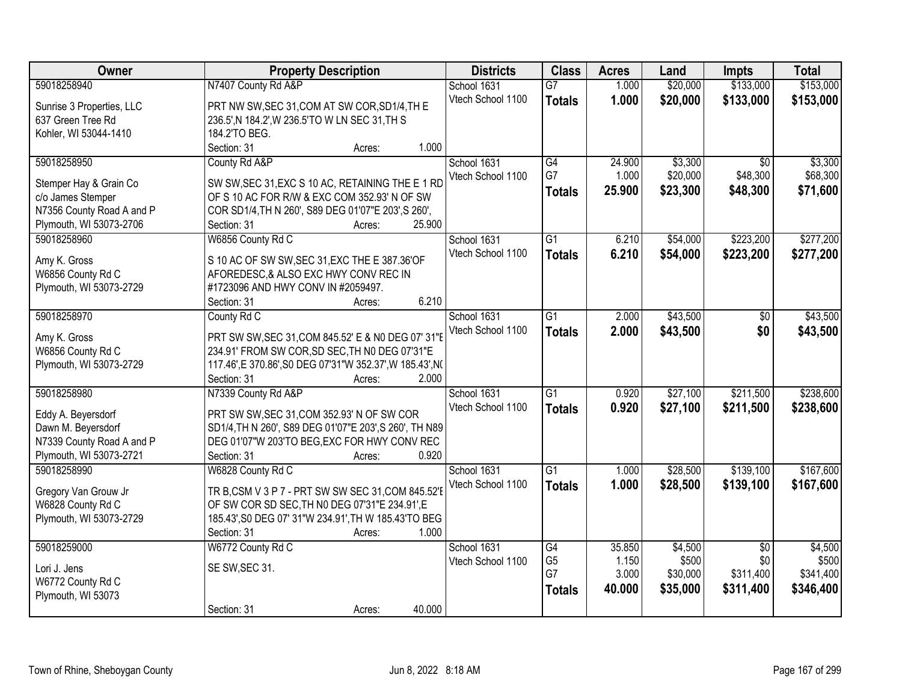| Owner                     | <b>Property Description</b>                               | <b>Districts</b>  | <b>Class</b>    | <b>Acres</b> | Land     | <b>Impts</b>    | <b>Total</b> |
|---------------------------|-----------------------------------------------------------|-------------------|-----------------|--------------|----------|-----------------|--------------|
| 59018258940               | N7407 County Rd A&P                                       | School 1631       | $\overline{G7}$ | 1.000        | \$20,000 | \$133,000       | \$153,000    |
| Sunrise 3 Properties, LLC | PRT NW SW, SEC 31, COM AT SW COR, SD1/4, TH E             | Vtech School 1100 | <b>Totals</b>   | 1.000        | \$20,000 | \$133,000       | \$153,000    |
| 637 Green Tree Rd         | 236.5', N 184.2', W 236.5'TO W LN SEC 31, TH S            |                   |                 |              |          |                 |              |
| Kohler, WI 53044-1410     | 184.2'TO BEG.                                             |                   |                 |              |          |                 |              |
|                           | 1.000<br>Section: 31<br>Acres:                            |                   |                 |              |          |                 |              |
| 59018258950               | County Rd A&P                                             | School 1631       | $\overline{G4}$ | 24.900       | \$3,300  | $\overline{50}$ | \$3,300      |
|                           |                                                           | Vtech School 1100 | G7              | 1.000        | \$20,000 | \$48,300        | \$68,300     |
| Stemper Hay & Grain Co    | SW SW, SEC 31, EXC S 10 AC, RETAINING THE E 1 RD          |                   |                 | 25.900       |          |                 |              |
| c/o James Stemper         | OF S 10 AC FOR R/W & EXC COM 352.93' N OF SW              |                   | <b>Totals</b>   |              | \$23,300 | \$48,300        | \$71,600     |
| N7356 County Road A and P | COR SD1/4, TH N 260', S89 DEG 01'07"E 203', S 260',       |                   |                 |              |          |                 |              |
| Plymouth, WI 53073-2706   | 25.900<br>Section: 31<br>Acres:                           |                   |                 |              |          |                 |              |
| 59018258960               | W6856 County Rd C                                         | School 1631       | $\overline{G1}$ | 6.210        | \$54,000 | \$223,200       | \$277,200    |
|                           |                                                           | Vtech School 1100 | <b>Totals</b>   | 6.210        | \$54,000 | \$223,200       | \$277,200    |
| Amy K. Gross              | S 10 AC OF SW SW, SEC 31, EXC THE E 387.36'OF             |                   |                 |              |          |                 |              |
| W6856 County Rd C         | AFOREDESC,& ALSO EXC HWY CONV REC IN                      |                   |                 |              |          |                 |              |
| Plymouth, WI 53073-2729   | #1723096 AND HWY CONV IN #2059497.                        |                   |                 |              |          |                 |              |
|                           | 6.210<br>Section: 31<br>Acres:                            |                   |                 |              |          |                 |              |
| 59018258970               | County Rd C                                               | School 1631       | $\overline{G1}$ | 2.000        | \$43,500 | \$0             | \$43,500     |
| Amy K. Gross              | PRT SW SW, SEC 31, COM 845.52' E & N0 DEG 07' 31"E        | Vtech School 1100 | <b>Totals</b>   | 2.000        | \$43,500 | \$0             | \$43,500     |
| W6856 County Rd C         | 234.91' FROM SW COR, SD SEC, TH NO DEG 07'31"E            |                   |                 |              |          |                 |              |
| Plymouth, WI 53073-2729   | 117.46', E 370.86', S0 DEG 07'31"W 352.37', W 185.43', N( |                   |                 |              |          |                 |              |
|                           | Section: 31<br>2.000<br>Acres:                            |                   |                 |              |          |                 |              |
| 59018258980               | N7339 County Rd A&P                                       | School 1631       | $\overline{G1}$ | 0.920        | \$27,100 | \$211,500       | \$238,600    |
|                           |                                                           | Vtech School 1100 | <b>Totals</b>   | 0.920        | \$27,100 | \$211,500       | \$238,600    |
| Eddy A. Beyersdorf        | PRT SW SW, SEC 31, COM 352.93' N OF SW COR                |                   |                 |              |          |                 |              |
| Dawn M. Beyersdorf        | SD1/4, TH N 260', S89 DEG 01'07"E 203', S 260', TH N89    |                   |                 |              |          |                 |              |
| N7339 County Road A and P | DEG 01'07"W 203'TO BEG, EXC FOR HWY CONV REC              |                   |                 |              |          |                 |              |
| Plymouth, WI 53073-2721   | 0.920<br>Section: 31<br>Acres:                            |                   |                 |              |          |                 |              |
| 59018258990               | W6828 County Rd C                                         | School 1631       | $\overline{G1}$ | 1.000        | \$28,500 | \$139,100       | \$167,600    |
| Gregory Van Grouw Jr      | TR B, CSM V 3 P 7 - PRT SW SW SEC 31, COM 845.52'E        | Vtech School 1100 | <b>Totals</b>   | 1.000        | \$28,500 | \$139,100       | \$167,600    |
| W6828 County Rd C         | OF SW COR SD SEC, TH NO DEG 07'31"E 234.91', E            |                   |                 |              |          |                 |              |
| Plymouth, WI 53073-2729   | 185.43', S0 DEG 07' 31"W 234.91', TH W 185.43'TO BEG      |                   |                 |              |          |                 |              |
|                           | 1.000<br>Section: 31<br>Acres:                            |                   |                 |              |          |                 |              |
| 59018259000               | W6772 County Rd C                                         | School 1631       | G4              | 35.850       | \$4,500  | $\overline{50}$ | \$4,500      |
|                           |                                                           | Vtech School 1100 | G <sub>5</sub>  | 1.150        | \$500    | \$0             | \$500        |
| Lori J. Jens              | SE SW, SEC 31.                                            |                   | G7              | 3.000        | \$30,000 | \$311,400       | \$341,400    |
| W6772 County Rd C         |                                                           |                   | <b>Totals</b>   | 40.000       | \$35,000 | \$311,400       | \$346,400    |
| Plymouth, WI 53073        |                                                           |                   |                 |              |          |                 |              |
|                           | 40.000<br>Section: 31<br>Acres:                           |                   |                 |              |          |                 |              |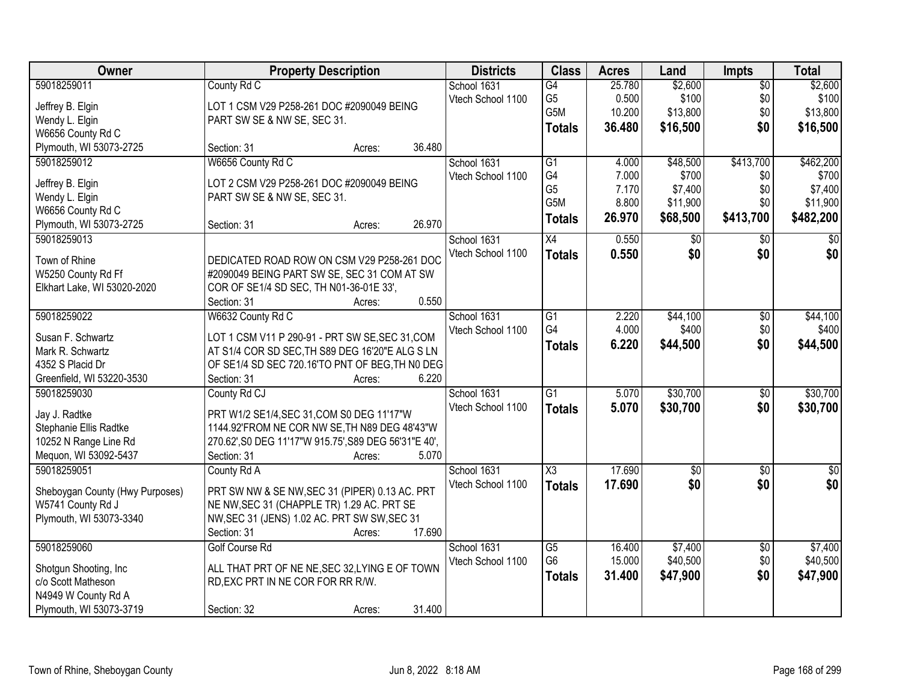| Owner                           | <b>Property Description</b>                           | <b>Districts</b>  | <b>Class</b>     | <b>Acres</b> | Land            | <b>Impts</b>           | <b>Total</b>    |
|---------------------------------|-------------------------------------------------------|-------------------|------------------|--------------|-----------------|------------------------|-----------------|
| 59018259011                     | County Rd C                                           | School 1631       | G4               | 25.780       | \$2,600         | $\overline{50}$        | \$2,600         |
| Jeffrey B. Elgin                | LOT 1 CSM V29 P258-261 DOC #2090049 BEING             | Vtech School 1100 | G <sub>5</sub>   | 0.500        | \$100           | \$0                    | \$100           |
| Wendy L. Elgin                  | PART SW SE & NW SE, SEC 31.                           |                   | G5M              | 10.200       | \$13,800        | \$0                    | \$13,800        |
| W6656 County Rd C               |                                                       |                   | <b>Totals</b>    | 36.480       | \$16,500        | \$0                    | \$16,500        |
| Plymouth, WI 53073-2725         | 36.480<br>Section: 31<br>Acres:                       |                   |                  |              |                 |                        |                 |
| 59018259012                     | W6656 County Rd C                                     | School 1631       | $\overline{G1}$  | 4.000        | \$48,500        | \$413,700              | \$462,200       |
|                                 |                                                       |                   | G4               | 7.000        | \$700           |                        | \$700           |
| Jeffrey B. Elgin                | LOT 2 CSM V29 P258-261 DOC #2090049 BEING             | Vtech School 1100 | G <sub>5</sub>   | 7.170        | \$7,400         | \$0<br>\$0             | \$7,400         |
| Wendy L. Elgin                  | PART SW SE & NW SE, SEC 31.                           |                   | G <sub>5</sub> M | 8.800        | \$11,900        | \$0                    | \$11,900        |
| W6656 County Rd C               |                                                       |                   |                  |              |                 |                        |                 |
| Plymouth, WI 53073-2725         | 26.970<br>Section: 31<br>Acres:                       |                   | <b>Totals</b>    | 26.970       | \$68,500        | \$413,700              | \$482,200       |
| 59018259013                     |                                                       | School 1631       | X4               | 0.550        | \$0             | $\sqrt[6]{}$           | $\overline{30}$ |
|                                 |                                                       | Vtech School 1100 | <b>Totals</b>    | 0.550        | \$0             | \$0                    | \$0             |
| Town of Rhine                   | DEDICATED ROAD ROW ON CSM V29 P258-261 DOC            |                   |                  |              |                 |                        |                 |
| W5250 County Rd Ff              | #2090049 BEING PART SW SE, SEC 31 COM AT SW           |                   |                  |              |                 |                        |                 |
| Elkhart Lake, WI 53020-2020     | COR OF SE1/4 SD SEC, TH N01-36-01E 33',               |                   |                  |              |                 |                        |                 |
|                                 | 0.550<br>Section: 31<br>Acres:                        |                   |                  |              |                 |                        |                 |
| 59018259022                     | W6632 County Rd C                                     | School 1631       | G <sub>1</sub>   | 2.220        | \$44,100        | \$0                    | \$44,100        |
| Susan F. Schwartz               | LOT 1 CSM V11 P 290-91 - PRT SW SE, SEC 31, COM       | Vtech School 1100 | G4               | 4.000        | \$400           | \$0                    | \$400           |
| Mark R. Schwartz                | AT S1/4 COR SD SEC, TH S89 DEG 16'20"E ALG S LN       |                   | <b>Totals</b>    | 6.220        | \$44,500        | \$0                    | \$44,500        |
| 4352 S Placid Dr                | OF SE1/4 SD SEC 720.16'TO PNT OF BEG, TH N0 DEG       |                   |                  |              |                 |                        |                 |
| Greenfield, WI 53220-3530       | 6.220<br>Section: 31<br>Acres:                        |                   |                  |              |                 |                        |                 |
| 59018259030                     | County Rd CJ                                          | School 1631       | $\overline{G1}$  | 5.070        | \$30,700        | $\overline{50}$        | \$30,700        |
|                                 |                                                       | Vtech School 1100 | <b>Totals</b>    | 5.070        | \$30,700        | \$0                    | \$30,700        |
| Jay J. Radtke                   | PRT W1/2 SE1/4, SEC 31, COM S0 DEG 11'17"W            |                   |                  |              |                 |                        |                 |
| Stephanie Ellis Radtke          | 1144.92'FROM NE COR NW SE, TH N89 DEG 48'43"W         |                   |                  |              |                 |                        |                 |
| 10252 N Range Line Rd           | 270.62', S0 DEG 11'17"W 915.75', S89 DEG 56'31"E 40', |                   |                  |              |                 |                        |                 |
| Mequon, WI 53092-5437           | Section: 31<br>5.070<br>Acres:                        |                   |                  |              |                 |                        |                 |
| 59018259051                     | County Rd A                                           | School 1631       | X3               | 17.690       | $\overline{50}$ | \$0                    | \$0             |
| Sheboygan County (Hwy Purposes) | PRT SW NW & SE NW, SEC 31 (PIPER) 0.13 AC. PRT        | Vtech School 1100 | <b>Totals</b>    | 17.690       | \$0             | \$0                    | \$0             |
| W5741 County Rd J               | NE NW, SEC 31 (CHAPPLE TR) 1.29 AC. PRT SE            |                   |                  |              |                 |                        |                 |
| Plymouth, WI 53073-3340         | NW, SEC 31 (JENS) 1.02 AC. PRT SW SW, SEC 31          |                   |                  |              |                 |                        |                 |
|                                 | 17.690<br>Section: 31<br>Acres:                       |                   |                  |              |                 |                        |                 |
| 59018259060                     | Golf Course Rd                                        | School 1631       | G5               | 16.400       | \$7,400         |                        | \$7,400         |
|                                 |                                                       | Vtech School 1100 | G <sub>6</sub>   | 15.000       | \$40,500        | $\overline{50}$<br>\$0 | \$40,500        |
| Shotgun Shooting, Inc           | ALL THAT PRT OF NE NE, SEC 32, LYING E OF TOWN        |                   |                  |              |                 | \$0                    |                 |
| c/o Scott Matheson              | RD, EXC PRT IN NE COR FOR RR R/W.                     |                   | <b>Totals</b>    | 31.400       | \$47,900        |                        | \$47,900        |
| N4949 W County Rd A             |                                                       |                   |                  |              |                 |                        |                 |
| Plymouth, WI 53073-3719         | 31.400<br>Section: 32<br>Acres:                       |                   |                  |              |                 |                        |                 |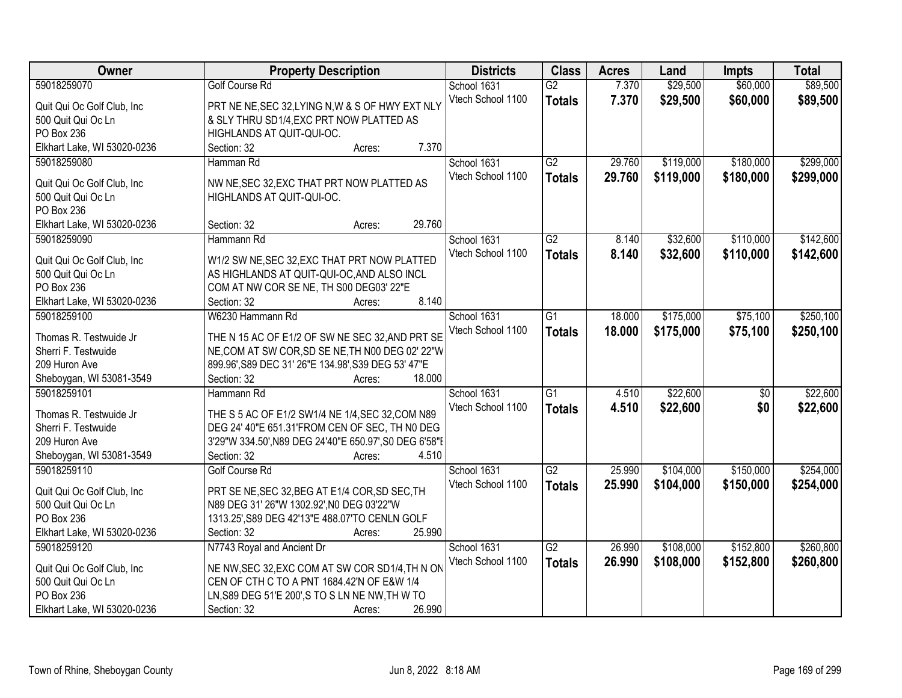| Owner                       | <b>Property Description</b>                            | <b>Districts</b>  | <b>Class</b>    | <b>Acres</b> | Land      | Impts           | <b>Total</b> |
|-----------------------------|--------------------------------------------------------|-------------------|-----------------|--------------|-----------|-----------------|--------------|
| 59018259070                 | <b>Golf Course Rd</b>                                  | School 1631       | $\overline{G2}$ | 7.370        | \$29,500  | \$60,000        | \$89,500     |
| Quit Qui Oc Golf Club, Inc  | PRT NE NE, SEC 32, LYING N, W & S OF HWY EXT NLY       | Vtech School 1100 | <b>Totals</b>   | 7.370        | \$29,500  | \$60,000        | \$89,500     |
| 500 Quit Qui Oc Ln          | & SLY THRU SD1/4, EXC PRT NOW PLATTED AS               |                   |                 |              |           |                 |              |
| PO Box 236                  | HIGHLANDS AT QUIT-QUI-OC.                              |                   |                 |              |           |                 |              |
| Elkhart Lake, WI 53020-0236 | 7.370<br>Section: 32<br>Acres:                         |                   |                 |              |           |                 |              |
| 59018259080                 | Hamman Rd                                              | School 1631       | $\overline{G2}$ | 29.760       | \$119,000 | \$180,000       | \$299,000    |
|                             |                                                        | Vtech School 1100 | <b>Totals</b>   | 29.760       | \$119,000 | \$180,000       | \$299,000    |
| Quit Qui Oc Golf Club, Inc  | NW NE, SEC 32, EXC THAT PRT NOW PLATTED AS             |                   |                 |              |           |                 |              |
| 500 Quit Qui Oc Ln          | HIGHLANDS AT QUIT-QUI-OC.                              |                   |                 |              |           |                 |              |
| PO Box 236                  |                                                        |                   |                 |              |           |                 |              |
| Elkhart Lake, WI 53020-0236 | 29.760<br>Section: 32<br>Acres:                        |                   |                 |              |           |                 |              |
| 59018259090                 | Hammann Rd                                             | School 1631       | G2              | 8.140        | \$32,600  | \$110,000       | \$142,600    |
| Quit Qui Oc Golf Club, Inc  | W1/2 SW NE, SEC 32, EXC THAT PRT NOW PLATTED           | Vtech School 1100 | <b>Totals</b>   | 8.140        | \$32,600  | \$110,000       | \$142,600    |
| 500 Quit Qui Oc Ln          | AS HIGHLANDS AT QUIT-QUI-OC, AND ALSO INCL             |                   |                 |              |           |                 |              |
| PO Box 236                  | COM AT NW COR SE NE, TH S00 DEG03' 22"E                |                   |                 |              |           |                 |              |
| Elkhart Lake, WI 53020-0236 | 8.140<br>Section: 32<br>Acres:                         |                   |                 |              |           |                 |              |
| 59018259100                 | W6230 Hammann Rd                                       | School 1631       | $\overline{G1}$ | 18.000       | \$175,000 | \$75,100        | \$250,100    |
|                             |                                                        | Vtech School 1100 | <b>Totals</b>   | 18.000       | \$175,000 | \$75,100        | \$250,100    |
| Thomas R. Testwuide Jr      | THE N 15 AC OF E1/2 OF SW NE SEC 32, AND PRT SE        |                   |                 |              |           |                 |              |
| Sherri F. Testwuide         | NE, COM AT SW COR, SD SE NE, TH N00 DEG 02' 22"W       |                   |                 |              |           |                 |              |
| 209 Huron Ave               | 899.96', S89 DEC 31' 26"E 134.98', S39 DEG 53' 47"E    |                   |                 |              |           |                 |              |
| Sheboygan, WI 53081-3549    | 18.000<br>Section: 32<br>Acres:                        |                   |                 |              |           |                 |              |
| 59018259101                 | Hammann Rd                                             | School 1631       | $\overline{G1}$ | 4.510        | \$22,600  | $\overline{50}$ | \$22,600     |
| Thomas R. Testwuide Jr      | THE S 5 AC OF E1/2 SW1/4 NE 1/4, SEC 32, COM N89       | Vtech School 1100 | <b>Totals</b>   | 4.510        | \$22,600  | \$0             | \$22,600     |
| Sherri F. Testwuide         | DEG 24' 40"E 651.31'FROM CEN OF SEC, TH NO DEG         |                   |                 |              |           |                 |              |
| 209 Huron Ave               | 3'29"W 334.50', N89 DEG 24'40"E 650.97', S0 DEG 6'58"E |                   |                 |              |           |                 |              |
| Sheboygan, WI 53081-3549    | Section: 32<br>4.510<br>Acres:                         |                   |                 |              |           |                 |              |
| 59018259110                 | <b>Golf Course Rd</b>                                  | School 1631       | $\overline{G2}$ | 25.990       | \$104,000 | \$150,000       | \$254,000    |
|                             |                                                        | Vtech School 1100 | <b>Totals</b>   | 25.990       | \$104,000 | \$150,000       | \$254,000    |
| Quit Qui Oc Golf Club, Inc. | PRT SE NE, SEC 32, BEG AT E1/4 COR, SD SEC, TH         |                   |                 |              |           |                 |              |
| 500 Quit Qui Oc Ln          | N89 DEG 31' 26"W 1302.92', N0 DEG 03'22"W              |                   |                 |              |           |                 |              |
| PO Box 236                  | 1313.25', S89 DEG 42'13"E 488.07'TO CENLN GOLF         |                   |                 |              |           |                 |              |
| Elkhart Lake, WI 53020-0236 | 25.990<br>Section: 32<br>Acres:                        |                   |                 |              |           |                 |              |
| 59018259120                 | N7743 Royal and Ancient Dr                             | School 1631       | $\overline{G2}$ | 26.990       | \$108,000 | \$152,800       | \$260,800    |
| Quit Qui Oc Golf Club, Inc  | NE NW, SEC 32, EXC COM AT SW COR SD1/4, TH N ON        | Vtech School 1100 | <b>Totals</b>   | 26.990       | \$108,000 | \$152,800       | \$260,800    |
| 500 Quit Qui Oc Ln          | CEN OF CTH C TO A PNT 1684.42'N OF E&W 1/4             |                   |                 |              |           |                 |              |
| PO Box 236                  | LN, S89 DEG 51'E 200', S TO S LN NE NW, TH W TO        |                   |                 |              |           |                 |              |
| Elkhart Lake, WI 53020-0236 | Section: 32<br>26.990<br>Acres:                        |                   |                 |              |           |                 |              |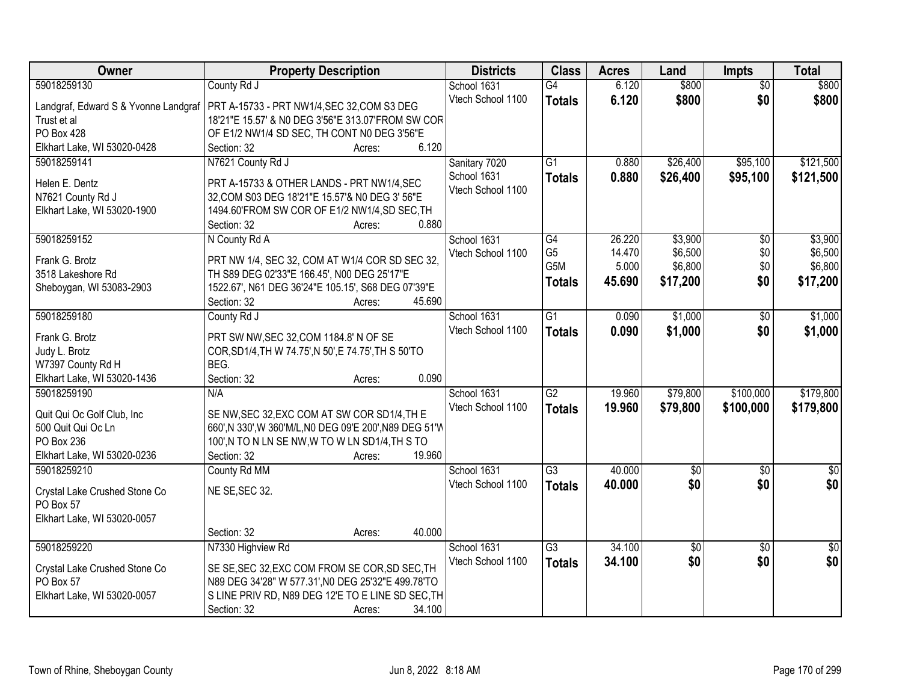| Owner                                | <b>Property Description</b>                                                     | <b>Districts</b>  | <b>Class</b>    | <b>Acres</b> | Land            | <b>Impts</b>           | <b>Total</b>    |
|--------------------------------------|---------------------------------------------------------------------------------|-------------------|-----------------|--------------|-----------------|------------------------|-----------------|
| 59018259130                          | County Rd J                                                                     | School 1631       | $\overline{G4}$ | 6.120        | \$800           | $\overline{50}$        | \$800           |
| Landgraf, Edward S & Yvonne Landgraf | PRT A-15733 - PRT NW1/4, SEC 32, COM S3 DEG                                     | Vtech School 1100 | <b>Totals</b>   | 6.120        | \$800           | \$0                    | \$800           |
| Trust et al                          | 18'21"E 15.57' & N0 DEG 3'56"E 313.07'FROM SW COR                               |                   |                 |              |                 |                        |                 |
| <b>PO Box 428</b>                    | OF E1/2 NW1/4 SD SEC, TH CONT N0 DEG 3'56"E                                     |                   |                 |              |                 |                        |                 |
| Elkhart Lake, WI 53020-0428          | 6.120<br>Section: 32<br>Acres:                                                  |                   |                 |              |                 |                        |                 |
| 59018259141                          | N7621 County Rd J                                                               | Sanitary 7020     | $\overline{G1}$ | 0.880        | \$26,400        | \$95,100               | \$121,500       |
|                                      |                                                                                 | School 1631       | <b>Totals</b>   | 0.880        | \$26,400        | \$95,100               | \$121,500       |
| Helen E. Dentz                       | PRT A-15733 & OTHER LANDS - PRT NW1/4,SEC                                       | Vtech School 1100 |                 |              |                 |                        |                 |
| N7621 County Rd J                    | 32, COM S03 DEG 18'21"E 15.57'& N0 DEG 3' 56"E                                  |                   |                 |              |                 |                        |                 |
| Elkhart Lake, WI 53020-1900          | 1494.60'FROM SW COR OF E1/2 NW1/4, SD SEC, TH<br>0.880<br>Section: 32<br>Acres: |                   |                 |              |                 |                        |                 |
| 59018259152                          | N County Rd A                                                                   | School 1631       | $\overline{G4}$ | 26.220       | \$3,900         | \$0                    | \$3,900         |
|                                      |                                                                                 | Vtech School 1100 | G <sub>5</sub>  | 14.470       | \$6,500         | \$0                    | \$6,500         |
| Frank G. Brotz                       | PRT NW 1/4, SEC 32, COM AT W1/4 COR SD SEC 32,                                  |                   | G5M             | 5.000        | \$6,800         | \$0                    | \$6,800         |
| 3518 Lakeshore Rd                    | TH S89 DEG 02'33"E 166.45', N00 DEG 25'17"E                                     |                   | <b>Totals</b>   | 45.690       | \$17,200        | \$0                    | \$17,200        |
| Sheboygan, WI 53083-2903             | 1522.67', N61 DEG 36'24"E 105.15', S68 DEG 07'39"E                              |                   |                 |              |                 |                        |                 |
|                                      | 45.690<br>Section: 32<br>Acres:                                                 |                   |                 |              |                 |                        |                 |
| 59018259180                          | County Rd J                                                                     | School 1631       | $\overline{G1}$ | 0.090        | \$1,000         | \$0                    | \$1,000         |
| Frank G. Brotz                       | PRT SW NW, SEC 32, COM 1184.8' N OF SE                                          | Vtech School 1100 | <b>Totals</b>   | 0.090        | \$1,000         | \$0                    | \$1,000         |
| Judy L. Brotz                        | COR, SD1/4, TH W 74.75', N 50', E 74.75', TH S 50'TO                            |                   |                 |              |                 |                        |                 |
| W7397 County Rd H                    | BEG.                                                                            |                   |                 |              |                 |                        |                 |
| Elkhart Lake, WI 53020-1436          | 0.090<br>Section: 32<br>Acres:                                                  |                   |                 |              |                 |                        |                 |
| 59018259190                          | N/A                                                                             | School 1631       | $\overline{G2}$ | 19.960       | \$79,800        | \$100,000              | \$179,800       |
| Quit Qui Oc Golf Club, Inc           | SE NW, SEC 32, EXC COM AT SW COR SD1/4, TH E                                    | Vtech School 1100 | <b>Totals</b>   | 19.960       | \$79,800        | \$100,000              | \$179,800       |
| 500 Quit Qui Oc Ln                   | 660',N 330',W 360'M/L,N0 DEG 09'E 200',N89 DEG 51'W                             |                   |                 |              |                 |                        |                 |
| PO Box 236                           | 100',N TO N LN SE NW,W TO W LN SD1/4,TH S TO                                    |                   |                 |              |                 |                        |                 |
| Elkhart Lake, WI 53020-0236          | 19.960<br>Section: 32<br>Acres:                                                 |                   |                 |              |                 |                        |                 |
| 59018259210                          | County Rd MM                                                                    | School 1631       | $\overline{G3}$ | 40.000       | $\overline{50}$ | \$0                    | $\overline{30}$ |
|                                      |                                                                                 | Vtech School 1100 | <b>Totals</b>   | 40.000       | \$0             | \$0                    | \$0             |
| Crystal Lake Crushed Stone Co        | NE SE, SEC 32.                                                                  |                   |                 |              |                 |                        |                 |
| PO Box 57                            |                                                                                 |                   |                 |              |                 |                        |                 |
| Elkhart Lake, WI 53020-0057          | 40.000                                                                          |                   |                 |              |                 |                        |                 |
| 59018259220                          | Section: 32<br>Acres:<br>N7330 Highview Rd                                      | School 1631       | $\overline{G3}$ | 34.100       | $\overline{30}$ |                        | $\overline{30}$ |
|                                      |                                                                                 | Vtech School 1100 |                 | 34.100       | \$0             | $\overline{50}$<br>\$0 | \$0             |
| Crystal Lake Crushed Stone Co        | SE SE, SEC 32, EXC COM FROM SE COR, SD SEC, TH                                  |                   | <b>Totals</b>   |              |                 |                        |                 |
| PO Box 57                            | N89 DEG 34'28" W 577.31', N0 DEG 25'32"E 499.78'TO                              |                   |                 |              |                 |                        |                 |
| Elkhart Lake, WI 53020-0057          | S LINE PRIV RD, N89 DEG 12'E TO E LINE SD SEC, TH                               |                   |                 |              |                 |                        |                 |
|                                      | Section: 32<br>34.100<br>Acres:                                                 |                   |                 |              |                 |                        |                 |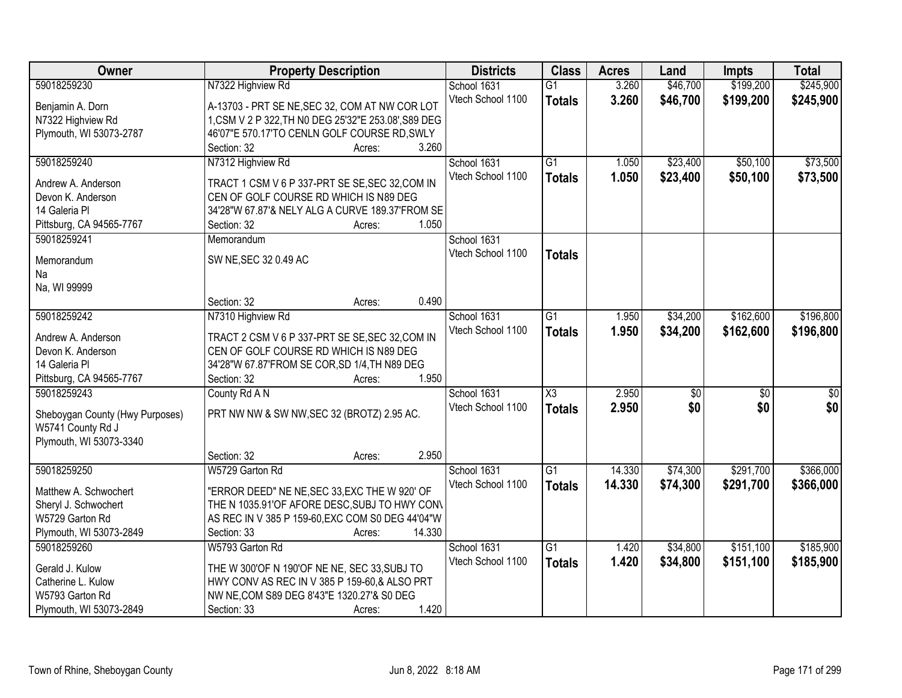| Owner                           | <b>Property Description</b>                          | <b>Districts</b>  | <b>Class</b>           | <b>Acres</b> | Land            | Impts           | <b>Total</b>     |
|---------------------------------|------------------------------------------------------|-------------------|------------------------|--------------|-----------------|-----------------|------------------|
| 59018259230                     | N7322 Highview Rd                                    | School 1631       | $\overline{G1}$        | 3.260        | \$46,700        | \$199,200       | \$245,900        |
| Benjamin A. Dorn                | A-13703 - PRT SE NE, SEC 32, COM AT NW COR LOT       | Vtech School 1100 | <b>Totals</b>          | 3.260        | \$46,700        | \$199,200       | \$245,900        |
| N7322 Highview Rd               | 1, CSM V 2 P 322, TH N0 DEG 25'32"E 253.08', S89 DEG |                   |                        |              |                 |                 |                  |
| Plymouth, WI 53073-2787         | 46'07"E 570.17'TO CENLN GOLF COURSE RD, SWLY         |                   |                        |              |                 |                 |                  |
|                                 | 3.260<br>Section: 32<br>Acres:                       |                   |                        |              |                 |                 |                  |
| 59018259240                     | N7312 Highview Rd                                    | School 1631       | $\overline{G1}$        | 1.050        | \$23,400        | \$50,100        | \$73,500         |
|                                 |                                                      | Vtech School 1100 |                        | 1.050        |                 |                 |                  |
| Andrew A. Anderson              | TRACT 1 CSM V 6 P 337-PRT SE SE, SEC 32, COM IN      |                   | <b>Totals</b>          |              | \$23,400        | \$50,100        | \$73,500         |
| Devon K. Anderson               | CEN OF GOLF COURSE RD WHICH IS N89 DEG               |                   |                        |              |                 |                 |                  |
| 14 Galeria Pl                   | 34'28"W 67.87'& NELY ALG A CURVE 189.37'FROM SE      |                   |                        |              |                 |                 |                  |
| Pittsburg, CA 94565-7767        | 1.050<br>Section: 32<br>Acres:                       |                   |                        |              |                 |                 |                  |
| 59018259241                     | Memorandum                                           | School 1631       |                        |              |                 |                 |                  |
|                                 |                                                      | Vtech School 1100 | <b>Totals</b>          |              |                 |                 |                  |
| Memorandum                      | SW NE, SEC 32 0.49 AC                                |                   |                        |              |                 |                 |                  |
| Na                              |                                                      |                   |                        |              |                 |                 |                  |
| Na, WI 99999                    |                                                      |                   |                        |              |                 |                 |                  |
|                                 | 0.490<br>Section: 32<br>Acres:                       |                   |                        |              |                 |                 |                  |
| 59018259242                     | N7310 Highview Rd                                    | School 1631       | G1                     | 1.950        | \$34,200        | \$162,600       | \$196,800        |
| Andrew A. Anderson              | TRACT 2 CSM V 6 P 337-PRT SE SE, SEC 32, COM IN      | Vtech School 1100 | <b>Totals</b>          | 1.950        | \$34,200        | \$162,600       | \$196,800        |
| Devon K. Anderson               | CEN OF GOLF COURSE RD WHICH IS N89 DEG               |                   |                        |              |                 |                 |                  |
| 14 Galeria Pl                   | 34'28"W 67.87'FROM SE COR, SD 1/4, TH N89 DEG        |                   |                        |              |                 |                 |                  |
| Pittsburg, CA 94565-7767        | 1.950<br>Section: 32<br>Acres:                       |                   |                        |              |                 |                 |                  |
| 59018259243                     | County Rd A N                                        | School 1631       | $\overline{\text{X3}}$ | 2.950        | $\overline{50}$ | $\overline{50}$ | $\overline{\$0}$ |
|                                 |                                                      | Vtech School 1100 | <b>Totals</b>          | 2.950        | \$0             | \$0             | \$0              |
| Sheboygan County (Hwy Purposes) | PRT NW NW & SW NW, SEC 32 (BROTZ) 2.95 AC.           |                   |                        |              |                 |                 |                  |
| W5741 County Rd J               |                                                      |                   |                        |              |                 |                 |                  |
| Plymouth, WI 53073-3340         |                                                      |                   |                        |              |                 |                 |                  |
|                                 | 2.950<br>Section: 32<br>Acres:                       |                   |                        |              |                 |                 |                  |
| 59018259250                     | W5729 Garton Rd                                      | School 1631       | G1                     | 14.330       | \$74,300        | \$291,700       | \$366,000        |
| Matthew A. Schwochert           | "ERROR DEED" NE NE, SEC 33, EXC THE W 920' OF        | Vtech School 1100 | <b>Totals</b>          | 14.330       | \$74,300        | \$291,700       | \$366,000        |
| Sheryl J. Schwochert            | THE N 1035.91'OF AFORE DESC, SUBJ TO HWY CON\        |                   |                        |              |                 |                 |                  |
| W5729 Garton Rd                 | AS REC IN V 385 P 159-60, EXC COM S0 DEG 44'04"W     |                   |                        |              |                 |                 |                  |
| Plymouth, WI 53073-2849         | 14.330<br>Section: 33<br>Acres:                      |                   |                        |              |                 |                 |                  |
| 59018259260                     | W5793 Garton Rd                                      | School 1631       | $\overline{G1}$        | 1.420        | \$34,800        | \$151,100       | \$185,900        |
|                                 |                                                      | Vtech School 1100 |                        |              |                 |                 |                  |
| Gerald J. Kulow                 | THE W 300'OF N 190'OF NE NE, SEC 33, SUBJ TO         |                   | <b>Totals</b>          | 1.420        | \$34,800        | \$151,100       | \$185,900        |
| Catherine L. Kulow              | HWY CONV AS REC IN V 385 P 159-60,& ALSO PRT         |                   |                        |              |                 |                 |                  |
| W5793 Garton Rd                 | NW NE, COM S89 DEG 8'43"E 1320.27'& S0 DEG           |                   |                        |              |                 |                 |                  |
| Plymouth, WI 53073-2849         | 1.420<br>Section: 33<br>Acres:                       |                   |                        |              |                 |                 |                  |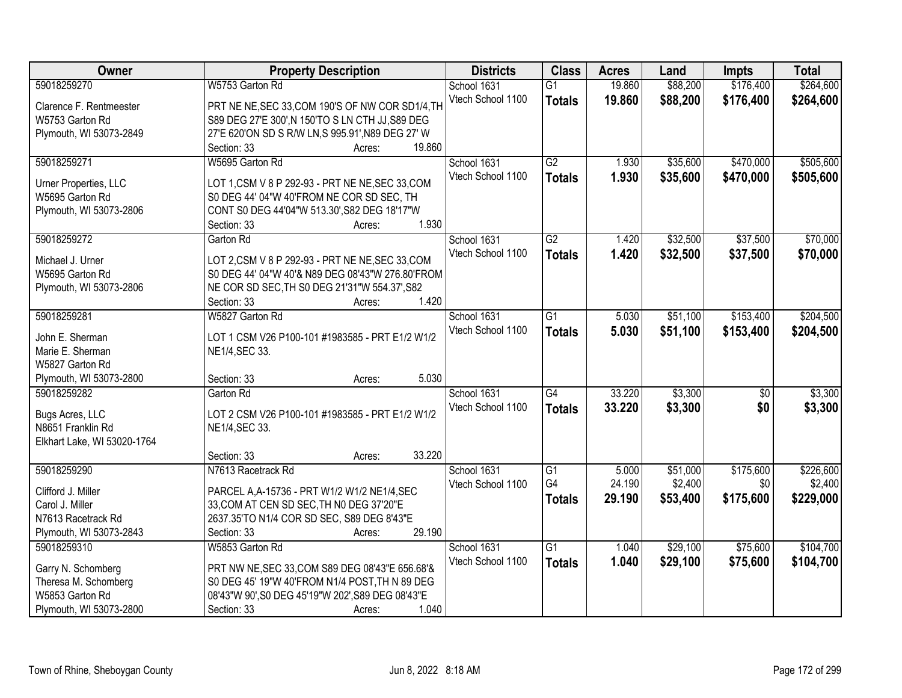| Owner                       | <b>Property Description</b>                            | <b>Districts</b>  | <b>Class</b>    | <b>Acres</b> | Land     | <b>Impts</b>    | <b>Total</b> |
|-----------------------------|--------------------------------------------------------|-------------------|-----------------|--------------|----------|-----------------|--------------|
| 59018259270                 | W5753 Garton Rd                                        | School 1631       | $\overline{G1}$ | 19.860       | \$88,200 | \$176,400       | \$264,600    |
| Clarence F. Rentmeester     | PRT NE NE, SEC 33, COM 190'S OF NW COR SD1/4, TH       | Vtech School 1100 | <b>Totals</b>   | 19.860       | \$88,200 | \$176,400       | \$264,600    |
| W5753 Garton Rd             | S89 DEG 27'E 300', N 150'TO S LN CTH JJ, S89 DEG       |                   |                 |              |          |                 |              |
| Plymouth, WI 53073-2849     | 27'E 620'ON SD S R/W LN, S 995.91', N89 DEG 27' W      |                   |                 |              |          |                 |              |
|                             | 19.860<br>Section: 33<br>Acres:                        |                   |                 |              |          |                 |              |
| 59018259271                 | W5695 Garton Rd                                        | School 1631       | G2              | 1.930        | \$35,600 | \$470,000       | \$505,600    |
|                             |                                                        | Vtech School 1100 |                 | 1.930        |          | \$470,000       |              |
| Urner Properties, LLC       | LOT 1, CSM V 8 P 292-93 - PRT NE NE, SEC 33, COM       |                   | <b>Totals</b>   |              | \$35,600 |                 | \$505,600    |
| W5695 Garton Rd             | S0 DEG 44' 04"W 40'FROM NE COR SD SEC, TH              |                   |                 |              |          |                 |              |
| Plymouth, WI 53073-2806     | CONT S0 DEG 44'04"W 513.30', S82 DEG 18'17"W           |                   |                 |              |          |                 |              |
|                             | 1.930<br>Section: 33<br>Acres:                         |                   |                 |              |          |                 |              |
| 59018259272                 | Garton Rd                                              | School 1631       | $\overline{G2}$ | 1.420        | \$32,500 | \$37,500        | \$70,000     |
|                             |                                                        | Vtech School 1100 | <b>Totals</b>   | 1.420        | \$32,500 | \$37,500        | \$70,000     |
| Michael J. Urner            | LOT 2, CSM V 8 P 292-93 - PRT NE NE, SEC 33, COM       |                   |                 |              |          |                 |              |
| W5695 Garton Rd             | S0 DEG 44' 04"W 40'& N89 DEG 08'43"W 276.80'FROM       |                   |                 |              |          |                 |              |
| Plymouth, WI 53073-2806     | NE COR SD SEC, TH S0 DEG 21'31"W 554.37', S82<br>1.420 |                   |                 |              |          |                 |              |
|                             | Section: 33<br>Acres:                                  |                   |                 |              |          |                 |              |
| 59018259281                 | W5827 Garton Rd                                        | School 1631       | $\overline{G1}$ | 5.030        | \$51,100 | \$153,400       | \$204,500    |
| John E. Sherman             | LOT 1 CSM V26 P100-101 #1983585 - PRT E1/2 W1/2        | Vtech School 1100 | <b>Totals</b>   | 5.030        | \$51,100 | \$153,400       | \$204,500    |
| Marie E. Sherman            | NE1/4, SEC 33.                                         |                   |                 |              |          |                 |              |
| W5827 Garton Rd             |                                                        |                   |                 |              |          |                 |              |
| Plymouth, WI 53073-2800     | 5.030<br>Section: 33<br>Acres:                         |                   |                 |              |          |                 |              |
| 59018259282                 | Garton Rd                                              | School 1631       | $\overline{G4}$ | 33.220       | \$3,300  | $\overline{50}$ | \$3,300      |
|                             |                                                        | Vtech School 1100 | <b>Totals</b>   | 33.220       | \$3,300  | \$0             | \$3,300      |
| Bugs Acres, LLC             | LOT 2 CSM V26 P100-101 #1983585 - PRT E1/2 W1/2        |                   |                 |              |          |                 |              |
| N8651 Franklin Rd           | NE1/4, SEC 33.                                         |                   |                 |              |          |                 |              |
| Elkhart Lake, WI 53020-1764 |                                                        |                   |                 |              |          |                 |              |
|                             | 33.220<br>Section: 33<br>Acres:                        |                   |                 |              |          |                 |              |
| 59018259290                 | N7613 Racetrack Rd                                     | School 1631       | $\overline{G1}$ | 5.000        | \$51,000 | \$175,600       | \$226,600    |
| Clifford J. Miller          | PARCEL A, A-15736 - PRT W1/2 W1/2 NE1/4, SEC           | Vtech School 1100 | G4              | 24.190       | \$2,400  | \$0             | \$2,400      |
| Carol J. Miller             | 33, COM AT CEN SD SEC, TH NO DEG 37'20"E               |                   | <b>Totals</b>   | 29.190       | \$53,400 | \$175,600       | \$229,000    |
| N7613 Racetrack Rd          | 2637.35'TO N1/4 COR SD SEC, S89 DEG 8'43"E             |                   |                 |              |          |                 |              |
| Plymouth, WI 53073-2843     | 29.190<br>Section: 33<br>Acres:                        |                   |                 |              |          |                 |              |
| 59018259310                 | W5853 Garton Rd                                        | School 1631       | $\overline{G1}$ | 1.040        | \$29,100 | \$75,600        | \$104,700    |
|                             |                                                        | Vtech School 1100 | <b>Totals</b>   | 1.040        | \$29,100 | \$75,600        | \$104,700    |
| Garry N. Schomberg          | PRT NW NE, SEC 33, COM S89 DEG 08'43"E 656.68'&        |                   |                 |              |          |                 |              |
| Theresa M. Schomberg        | S0 DEG 45' 19"W 40'FROM N1/4 POST, TH N 89 DEG         |                   |                 |              |          |                 |              |
| W5853 Garton Rd             | 08'43"W 90', S0 DEG 45'19"W 202', S89 DEG 08'43"E      |                   |                 |              |          |                 |              |
| Plymouth, WI 53073-2800     | 1.040<br>Section: 33<br>Acres:                         |                   |                 |              |          |                 |              |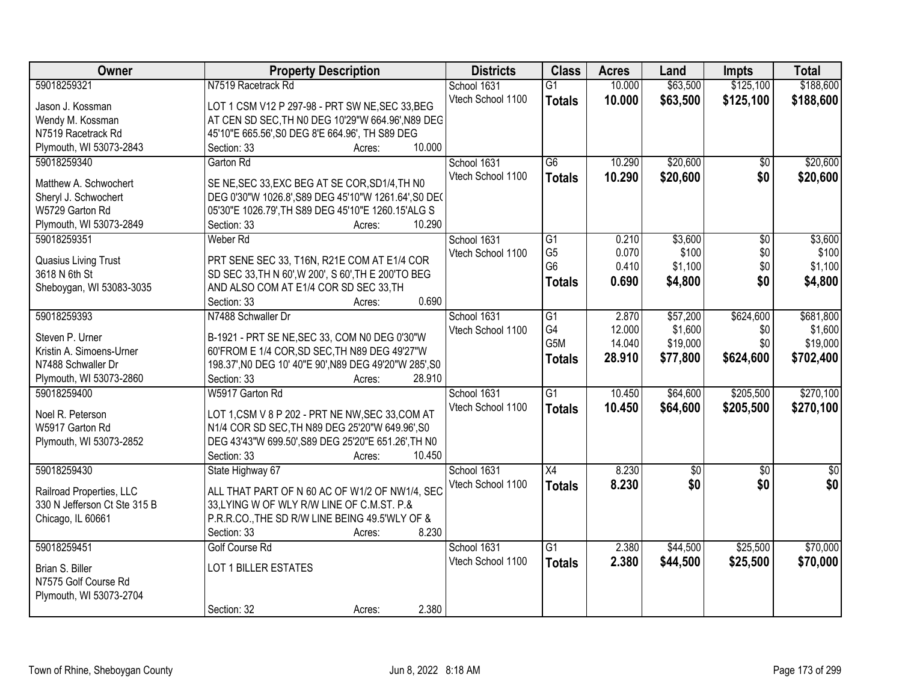| Owner                        | <b>Property Description</b>                            | <b>Districts</b>  | <b>Class</b>     | <b>Acres</b> | Land     | <b>Impts</b>    | <b>Total</b>    |
|------------------------------|--------------------------------------------------------|-------------------|------------------|--------------|----------|-----------------|-----------------|
| 59018259321                  | N7519 Racetrack Rd                                     | School 1631       | $\overline{G1}$  | 10.000       | \$63,500 | \$125,100       | \$188,600       |
| Jason J. Kossman             | LOT 1 CSM V12 P 297-98 - PRT SW NE, SEC 33, BEG        | Vtech School 1100 | <b>Totals</b>    | 10.000       | \$63,500 | \$125,100       | \$188,600       |
| Wendy M. Kossman             | AT CEN SD SEC, TH N0 DEG 10'29"W 664.96', N89 DEG      |                   |                  |              |          |                 |                 |
| N7519 Racetrack Rd           | 45'10"E 665.56', S0 DEG 8'E 664.96', TH S89 DEG        |                   |                  |              |          |                 |                 |
| Plymouth, WI 53073-2843      | 10.000<br>Section: 33<br>Acres:                        |                   |                  |              |          |                 |                 |
| 59018259340                  | Garton Rd                                              | School 1631       | $\overline{G6}$  | 10.290       | \$20,600 | \$0             | \$20,600        |
|                              |                                                        | Vtech School 1100 | <b>Totals</b>    | 10.290       | \$20,600 | \$0             | \$20,600        |
| Matthew A. Schwochert        | SE NE, SEC 33, EXC BEG AT SE COR, SD1/4, TH NO         |                   |                  |              |          |                 |                 |
| Sheryl J. Schwochert         | DEG 0'30"W 1026.8', S89 DEG 45'10"W 1261.64', S0 DEC   |                   |                  |              |          |                 |                 |
| W5729 Garton Rd              | 05'30"E 1026.79', TH S89 DEG 45'10"E 1260.15'ALG S     |                   |                  |              |          |                 |                 |
| Plymouth, WI 53073-2849      | 10.290<br>Section: 33<br>Acres:                        |                   |                  |              |          |                 |                 |
| 59018259351                  | Weber <sub>Rd</sub>                                    | School 1631       | G1               | 0.210        | \$3,600  | \$0             | \$3,600         |
| Quasius Living Trust         | PRT SENE SEC 33, T16N, R21E COM AT E1/4 COR            | Vtech School 1100 | G <sub>5</sub>   | 0.070        | \$100    | \$0             | \$100           |
| 3618 N 6th St                | SD SEC 33, TH N 60', W 200', S 60', TH E 200'TO BEG    |                   | G <sub>6</sub>   | 0.410        | \$1,100  | \$0             | \$1,100         |
| Sheboygan, WI 53083-3035     | AND ALSO COM AT E1/4 COR SD SEC 33, TH                 |                   | <b>Totals</b>    | 0.690        | \$4,800  | \$0             | \$4,800         |
|                              | 0.690<br>Section: 33<br>Acres:                         |                   |                  |              |          |                 |                 |
| 59018259393                  | N7488 Schwaller Dr                                     | School 1631       | G1               | 2.870        | \$57,200 | \$624,600       | \$681,800       |
|                              |                                                        | Vtech School 1100 | G4               | 12.000       | \$1,600  | \$0             | \$1,600         |
| Steven P. Urner              | B-1921 - PRT SE NE, SEC 33, COM N0 DEG 0'30"W          |                   | G <sub>5</sub> M | 14.040       | \$19,000 | \$0             | \$19,000        |
| Kristin A. Simoens-Urner     | 60'FROM E 1/4 COR, SD SEC, TH N89 DEG 49'27"W          |                   |                  | 28.910       | \$77,800 | \$624,600       | \$702,400       |
| N7488 Schwaller Dr           | 198.37', NO DEG 10' 40"E 90', N89 DEG 49'20"W 285', S0 |                   | <b>Totals</b>    |              |          |                 |                 |
| Plymouth, WI 53073-2860      | Section: 33<br>28.910<br>Acres:                        |                   |                  |              |          |                 |                 |
| 59018259400                  | W5917 Garton Rd                                        | School 1631       | $\overline{G1}$  | 10.450       | \$64,600 | \$205,500       | \$270,100       |
|                              |                                                        | Vtech School 1100 | <b>Totals</b>    | 10.450       | \$64,600 | \$205,500       | \$270,100       |
| Noel R. Peterson             | LOT 1,CSM V 8 P 202 - PRT NE NW, SEC 33, COM AT        |                   |                  |              |          |                 |                 |
| W5917 Garton Rd              | N1/4 COR SD SEC, TH N89 DEG 25'20"W 649.96', S0        |                   |                  |              |          |                 |                 |
| Plymouth, WI 53073-2852      | DEG 43'43"W 699.50', S89 DEG 25'20"E 651.26', TH N0    |                   |                  |              |          |                 |                 |
|                              | 10.450<br>Section: 33<br>Acres:                        |                   |                  |              |          |                 |                 |
| 59018259430                  | State Highway 67                                       | School 1631       | $\overline{X4}$  | 8.230        | \$0      | $\overline{50}$ | $\overline{50}$ |
| Railroad Properties, LLC     | ALL THAT PART OF N 60 AC OF W1/2 OF NW1/4, SEC         | Vtech School 1100 | <b>Totals</b>    | 8.230        | \$0      | \$0             | \$0             |
| 330 N Jefferson Ct Ste 315 B | 33, LYING W OF WLY R/W LINE OF C.M.ST. P.&             |                   |                  |              |          |                 |                 |
| Chicago, IL 60661            | P.R.R.CO., THE SD R/W LINE BEING 49.5'WLY OF &         |                   |                  |              |          |                 |                 |
|                              | 8.230<br>Section: 33<br>Acres:                         |                   |                  |              |          |                 |                 |
| 59018259451                  | <b>Golf Course Rd</b>                                  | School 1631       | $\overline{G1}$  | 2.380        | \$44,500 | \$25,500        | \$70,000        |
|                              |                                                        | Vtech School 1100 | <b>Totals</b>    | 2.380        | \$44,500 | \$25,500        | \$70,000        |
| Brian S. Biller              | LOT 1 BILLER ESTATES                                   |                   |                  |              |          |                 |                 |
| N7575 Golf Course Rd         |                                                        |                   |                  |              |          |                 |                 |
| Plymouth, WI 53073-2704      |                                                        |                   |                  |              |          |                 |                 |
|                              | 2.380<br>Section: 32<br>Acres:                         |                   |                  |              |          |                 |                 |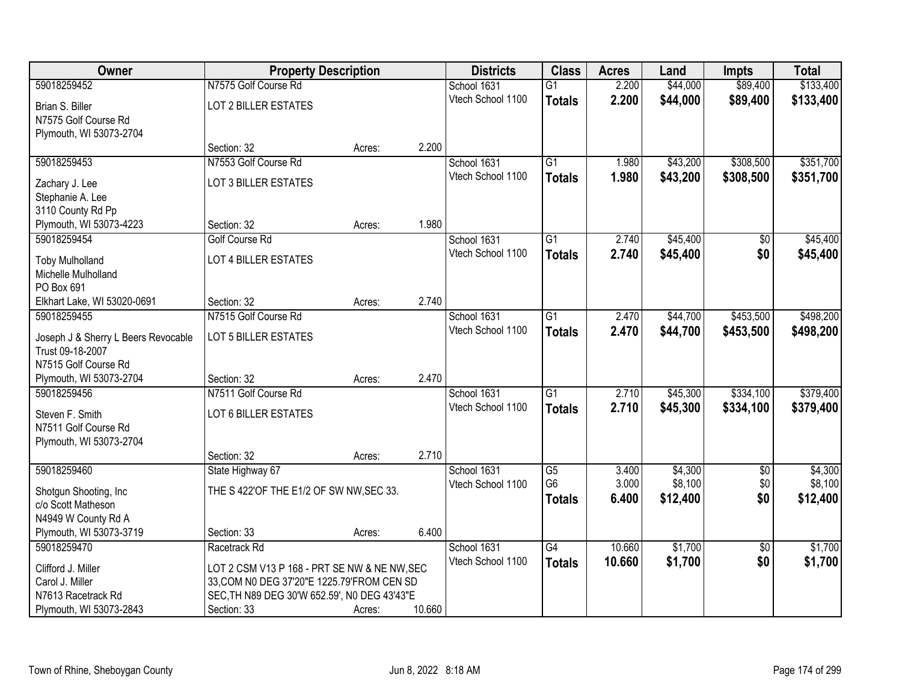| Owner                                        | <b>Property Description</b>                                                                |        |        | <b>Districts</b>  | <b>Class</b>    | <b>Acres</b> | Land     | <b>Impts</b>    | <b>Total</b> |
|----------------------------------------------|--------------------------------------------------------------------------------------------|--------|--------|-------------------|-----------------|--------------|----------|-----------------|--------------|
| 59018259452                                  | N7575 Golf Course Rd                                                                       |        |        | School 1631       | $\overline{G1}$ | 2.200        | \$44,000 | \$89,400        | \$133,400    |
| Brian S. Biller                              | <b>LOT 2 BILLER ESTATES</b>                                                                |        |        | Vtech School 1100 | <b>Totals</b>   | 2.200        | \$44,000 | \$89,400        | \$133,400    |
| N7575 Golf Course Rd                         |                                                                                            |        |        |                   |                 |              |          |                 |              |
| Plymouth, WI 53073-2704                      |                                                                                            |        |        |                   |                 |              |          |                 |              |
|                                              | Section: 32                                                                                | Acres: | 2.200  |                   |                 |              |          |                 |              |
| 59018259453                                  | N7553 Golf Course Rd                                                                       |        |        | School 1631       | $\overline{G1}$ | 1.980        | \$43,200 | \$308,500       | \$351,700    |
| Zachary J. Lee                               | LOT 3 BILLER ESTATES                                                                       |        |        | Vtech School 1100 | <b>Totals</b>   | 1.980        | \$43,200 | \$308,500       | \$351,700    |
| Stephanie A. Lee                             |                                                                                            |        |        |                   |                 |              |          |                 |              |
| 3110 County Rd Pp                            |                                                                                            |        |        |                   |                 |              |          |                 |              |
| Plymouth, WI 53073-4223                      | Section: 32                                                                                | Acres: | 1.980  |                   |                 |              |          |                 |              |
| 59018259454                                  | <b>Golf Course Rd</b>                                                                      |        |        | School 1631       | G1              | 2.740        | \$45,400 | \$0             | \$45,400     |
| <b>Toby Mulholland</b>                       | <b>LOT 4 BILLER ESTATES</b>                                                                |        |        | Vtech School 1100 | <b>Totals</b>   | 2.740        | \$45,400 | \$0             | \$45,400     |
| Michelle Mulholland                          |                                                                                            |        |        |                   |                 |              |          |                 |              |
| PO Box 691                                   |                                                                                            |        |        |                   |                 |              |          |                 |              |
| Elkhart Lake, WI 53020-0691                  | Section: 32                                                                                | Acres: | 2.740  |                   |                 |              |          |                 |              |
| 59018259455                                  | N7515 Golf Course Rd                                                                       |        |        | School 1631       | $\overline{G1}$ | 2.470        | \$44,700 | \$453,500       | \$498,200    |
| Joseph J & Sherry L Beers Revocable          | LOT 5 BILLER ESTATES                                                                       |        |        | Vtech School 1100 | <b>Totals</b>   | 2.470        | \$44,700 | \$453,500       | \$498,200    |
| Trust 09-18-2007                             |                                                                                            |        |        |                   |                 |              |          |                 |              |
| N7515 Golf Course Rd                         |                                                                                            |        |        |                   |                 |              |          |                 |              |
| Plymouth, WI 53073-2704                      | Section: 32                                                                                | Acres: | 2.470  |                   |                 |              |          |                 |              |
| 59018259456                                  | N7511 Golf Course Rd                                                                       |        |        | School 1631       | $\overline{G1}$ | 2.710        | \$45,300 | \$334,100       | \$379,400    |
| Steven F. Smith                              | LOT 6 BILLER ESTATES                                                                       |        |        | Vtech School 1100 | <b>Totals</b>   | 2.710        | \$45,300 | \$334,100       | \$379,400    |
| N7511 Golf Course Rd                         |                                                                                            |        |        |                   |                 |              |          |                 |              |
| Plymouth, WI 53073-2704                      |                                                                                            |        |        |                   |                 |              |          |                 |              |
|                                              | Section: 32                                                                                | Acres: | 2.710  |                   |                 |              |          |                 |              |
| 59018259460                                  | State Highway 67                                                                           |        |        | School 1631       | $\overline{G5}$ | 3.400        | \$4,300  | $\overline{60}$ | \$4,300      |
|                                              | THE S 422'OF THE E1/2 OF SW NW, SEC 33.                                                    |        |        | Vtech School 1100 | G <sub>6</sub>  | 3.000        | \$8,100  | \$0             | \$8,100      |
| Shotgun Shooting, Inc.<br>c/o Scott Matheson |                                                                                            |        |        |                   | <b>Totals</b>   | 6.400        | \$12,400 | \$0             | \$12,400     |
| N4949 W County Rd A                          |                                                                                            |        |        |                   |                 |              |          |                 |              |
| Plymouth, WI 53073-3719                      | Section: 33                                                                                | Acres: | 6.400  |                   |                 |              |          |                 |              |
| 59018259470                                  | Racetrack Rd                                                                               |        |        | School 1631       | G4              | 10.660       | \$1,700  | $\overline{50}$ | \$1,700      |
|                                              |                                                                                            |        |        | Vtech School 1100 | <b>Totals</b>   | 10.660       | \$1,700  | \$0             | \$1,700      |
| Clifford J. Miller<br>Carol J. Miller        | LOT 2 CSM V13 P 168 - PRT SE NW & NE NW, SEC<br>33, COM N0 DEG 37'20"E 1225.79'FROM CEN SD |        |        |                   |                 |              |          |                 |              |
| N7613 Racetrack Rd                           | SEC, TH N89 DEG 30'W 652.59', N0 DEG 43'43"E                                               |        |        |                   |                 |              |          |                 |              |
| Plymouth, WI 53073-2843                      | Section: 33                                                                                | Acres: | 10.660 |                   |                 |              |          |                 |              |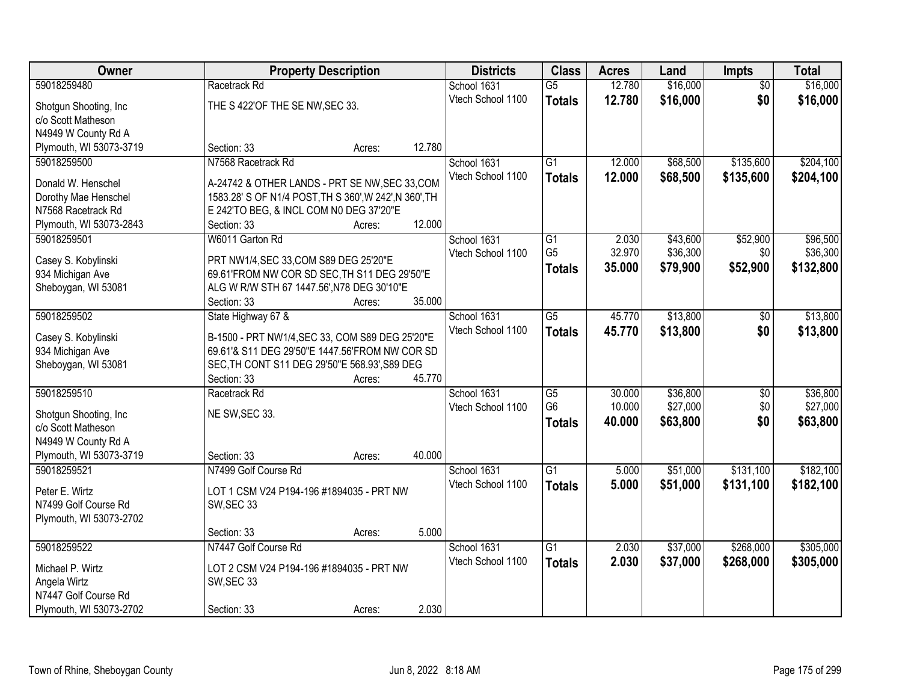| Owner                   | <b>Property Description</b>                                  |        |                                  | <b>Districts</b> | <b>Class</b>    | <b>Acres</b> | Land     | <b>Impts</b>    | <b>Total</b> |
|-------------------------|--------------------------------------------------------------|--------|----------------------------------|------------------|-----------------|--------------|----------|-----------------|--------------|
| 59018259480             | Racetrack Rd                                                 |        | School 1631                      |                  | $\overline{G5}$ | 12.780       | \$16,000 | $\overline{50}$ | \$16,000     |
| Shotgun Shooting, Inc.  | THE S 422'OF THE SE NW, SEC 33.                              |        | Vtech School 1100                |                  | <b>Totals</b>   | 12.780       | \$16,000 | \$0             | \$16,000     |
| c/o Scott Matheson      |                                                              |        |                                  |                  |                 |              |          |                 |              |
| N4949 W County Rd A     |                                                              |        |                                  |                  |                 |              |          |                 |              |
| Plymouth, WI 53073-3719 | Section: 33                                                  | Acres: | 12.780                           |                  |                 |              |          |                 |              |
| 59018259500             | N7568 Racetrack Rd                                           |        | School 1631                      |                  | $\overline{G1}$ | 12.000       | \$68,500 | \$135,600       | \$204,100    |
|                         |                                                              |        | Vtech School 1100                |                  | <b>Totals</b>   | 12.000       | \$68,500 | \$135,600       | \$204,100    |
| Donald W. Henschel      | A-24742 & OTHER LANDS - PRT SE NW, SEC 33, COM               |        |                                  |                  |                 |              |          |                 |              |
| Dorothy Mae Henschel    | 1583.28' S OF N1/4 POST, TH S 360', W 242', N 360', TH       |        |                                  |                  |                 |              |          |                 |              |
| N7568 Racetrack Rd      | E 242'TO BEG, & INCL COM N0 DEG 37'20"E                      |        |                                  |                  |                 |              |          |                 |              |
| Plymouth, WI 53073-2843 | Section: 33                                                  | Acres: | 12.000                           |                  |                 |              |          |                 |              |
| 59018259501             | W6011 Garton Rd                                              |        | School 1631                      |                  | $\overline{G1}$ | 2.030        | \$43,600 | \$52,900        | \$96,500     |
| Casey S. Kobylinski     | PRT NW1/4, SEC 33, COM S89 DEG 25'20"E                       |        | Vtech School 1100                |                  | G <sub>5</sub>  | 32.970       | \$36,300 | \$0             | \$36,300     |
| 934 Michigan Ave        | 69.61'FROM NW COR SD SEC, TH S11 DEG 29'50"E                 |        |                                  |                  | <b>Totals</b>   | 35.000       | \$79,900 | \$52,900        | \$132,800    |
| Sheboygan, WI 53081     | ALG W R/W STH 67 1447.56', N78 DEG 30'10"E                   |        |                                  |                  |                 |              |          |                 |              |
|                         | Section: 33                                                  | Acres: | 35.000                           |                  |                 |              |          |                 |              |
| 59018259502             | State Highway 67 &                                           |        | School 1631                      |                  | $\overline{G5}$ | 45.770       | \$13,800 | \$0             | \$13,800     |
|                         |                                                              |        | Vtech School 1100                |                  | <b>Totals</b>   | 45.770       | \$13,800 | \$0             | \$13,800     |
| Casey S. Kobylinski     | B-1500 - PRT NW1/4, SEC 33, COM S89 DEG 25'20"E              |        |                                  |                  |                 |              |          |                 |              |
| 934 Michigan Ave        | 69.61'& S11 DEG 29'50"E 1447.56'FROM NW COR SD               |        |                                  |                  |                 |              |          |                 |              |
| Sheboygan, WI 53081     | SEC, TH CONT S11 DEG 29'50"E 568.93', S89 DEG<br>Section: 33 |        | 45.770                           |                  |                 |              |          |                 |              |
| 59018259510             | Racetrack Rd                                                 | Acres: |                                  |                  | $\overline{G5}$ | 30.000       | \$36,800 |                 | \$36,800     |
|                         |                                                              |        | School 1631<br>Vtech School 1100 |                  | G <sub>6</sub>  | 10.000       | \$27,000 | \$0<br>\$0      | \$27,000     |
| Shotgun Shooting, Inc   | NE SW, SEC 33.                                               |        |                                  |                  |                 |              |          | \$0             |              |
| c/o Scott Matheson      |                                                              |        |                                  |                  | <b>Totals</b>   | 40.000       | \$63,800 |                 | \$63,800     |
| N4949 W County Rd A     |                                                              |        |                                  |                  |                 |              |          |                 |              |
| Plymouth, WI 53073-3719 | Section: 33                                                  | Acres: | 40.000                           |                  |                 |              |          |                 |              |
| 59018259521             | N7499 Golf Course Rd                                         |        | School 1631                      |                  | $\overline{G1}$ | 5.000        | \$51,000 | \$131,100       | \$182,100    |
| Peter E. Wirtz          | LOT 1 CSM V24 P194-196 #1894035 - PRT NW                     |        | Vtech School 1100                |                  | <b>Totals</b>   | 5.000        | \$51,000 | \$131,100       | \$182,100    |
| N7499 Golf Course Rd    | SW, SEC 33                                                   |        |                                  |                  |                 |              |          |                 |              |
| Plymouth, WI 53073-2702 |                                                              |        |                                  |                  |                 |              |          |                 |              |
|                         | Section: 33                                                  | Acres: | 5.000                            |                  |                 |              |          |                 |              |
| 59018259522             | N7447 Golf Course Rd                                         |        | School 1631                      |                  | $\overline{G1}$ | 2.030        | \$37,000 | \$268,000       | \$305,000    |
|                         |                                                              |        | Vtech School 1100                |                  | <b>Totals</b>   | 2.030        | \$37,000 | \$268,000       | \$305,000    |
| Michael P. Wirtz        | LOT 2 CSM V24 P194-196 #1894035 - PRT NW                     |        |                                  |                  |                 |              |          |                 |              |
| Angela Wirtz            | SW, SEC 33                                                   |        |                                  |                  |                 |              |          |                 |              |
| N7447 Golf Course Rd    |                                                              |        |                                  |                  |                 |              |          |                 |              |
| Plymouth, WI 53073-2702 | Section: 33                                                  | Acres: | 2.030                            |                  |                 |              |          |                 |              |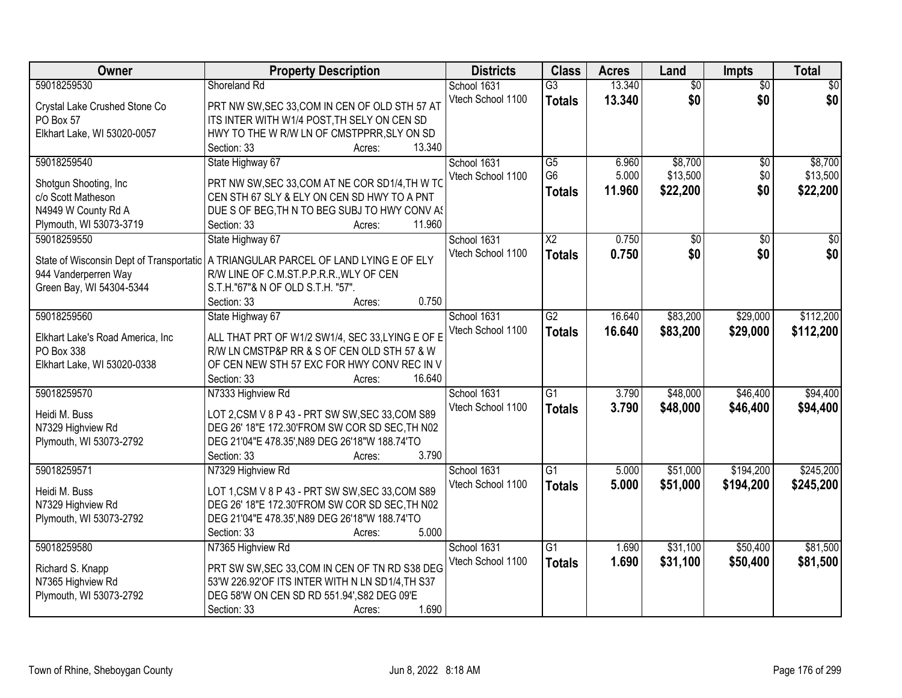| Owner                            | <b>Property Description</b>                                                                       | <b>Districts</b>  | <b>Class</b>           | <b>Acres</b> | Land            | <b>Impts</b>    | <b>Total</b>    |
|----------------------------------|---------------------------------------------------------------------------------------------------|-------------------|------------------------|--------------|-----------------|-----------------|-----------------|
| 59018259530                      | Shoreland Rd                                                                                      | School 1631       | $\overline{G3}$        | 13.340       | $\overline{50}$ | $\overline{50}$ | $\overline{30}$ |
| Crystal Lake Crushed Stone Co    | PRT NW SW, SEC 33, COM IN CEN OF OLD STH 57 AT                                                    | Vtech School 1100 | <b>Totals</b>          | 13.340       | \$0             | \$0             | \$0             |
| PO Box 57                        | ITS INTER WITH W1/4 POST, TH SELY ON CEN SD                                                       |                   |                        |              |                 |                 |                 |
| Elkhart Lake, WI 53020-0057      | HWY TO THE W R/W LN OF CMSTPPRR, SLY ON SD                                                        |                   |                        |              |                 |                 |                 |
|                                  | 13.340<br>Section: 33<br>Acres:                                                                   |                   |                        |              |                 |                 |                 |
| 59018259540                      | State Highway 67                                                                                  | School 1631       | $\overline{G5}$        | 6.960        | \$8,700         | $\overline{50}$ | \$8,700         |
|                                  |                                                                                                   | Vtech School 1100 | G <sub>6</sub>         | 5.000        | \$13,500        | \$0             | \$13,500        |
| Shotgun Shooting, Inc            | PRT NW SW, SEC 33, COM AT NE COR SD1/4, TH W TO                                                   |                   | <b>Totals</b>          | 11.960       | \$22,200        | \$0             | \$22,200        |
| c/o Scott Matheson               | CEN STH 67 SLY & ELY ON CEN SD HWY TO A PNT                                                       |                   |                        |              |                 |                 |                 |
| N4949 W County Rd A              | DUE S OF BEG, TH N TO BEG SUBJ TO HWY CONV AS                                                     |                   |                        |              |                 |                 |                 |
| Plymouth, WI 53073-3719          | 11.960<br>Section: 33<br>Acres:                                                                   |                   |                        |              |                 |                 |                 |
| 59018259550                      | State Highway 67                                                                                  | School 1631       | $\overline{\text{X2}}$ | 0.750        | \$0             | \$0             | \$0             |
|                                  | State of Wisconsin Dept of Transportatic   A TRIANGULAR PARCEL OF LAND LYING E OF ELY             | Vtech School 1100 | <b>Totals</b>          | 0.750        | \$0             | \$0             | \$0             |
| 944 Vanderperren Way             | R/W LINE OF C.M.ST.P.P.R.R., WLY OF CEN                                                           |                   |                        |              |                 |                 |                 |
| Green Bay, WI 54304-5344         | S.T.H."67"& N OF OLD S.T.H. "57".                                                                 |                   |                        |              |                 |                 |                 |
|                                  | 0.750<br>Section: 33<br>Acres:                                                                    |                   |                        |              |                 |                 |                 |
| 59018259560                      | State Highway 67                                                                                  | School 1631       | $\overline{G2}$        | 16.640       | \$83,200        | \$29,000        | \$112,200       |
|                                  |                                                                                                   | Vtech School 1100 |                        | 16.640       |                 |                 |                 |
| Elkhart Lake's Road America, Inc | ALL THAT PRT OF W1/2 SW1/4, SEC 33,LYING E OF E                                                   |                   | <b>Totals</b>          |              | \$83,200        | \$29,000        | \$112,200       |
| PO Box 338                       | R/W LN CMSTP&P RR & S OF CEN OLD STH 57 & W                                                       |                   |                        |              |                 |                 |                 |
| Elkhart Lake, WI 53020-0338      | OF CEN NEW STH 57 EXC FOR HWY CONV REC IN V                                                       |                   |                        |              |                 |                 |                 |
|                                  | Section: 33<br>16.640<br>Acres:                                                                   |                   |                        |              |                 |                 |                 |
| 59018259570                      | N7333 Highview Rd                                                                                 | School 1631       | $\overline{G1}$        | 3.790        | \$48,000        | \$46,400        | \$94,400        |
| Heidi M. Buss                    |                                                                                                   | Vtech School 1100 | <b>Totals</b>          | 3.790        | \$48,000        | \$46,400        | \$94,400        |
| N7329 Highview Rd                | LOT 2,CSM V 8 P 43 - PRT SW SW, SEC 33, COM S89<br>DEG 26' 18"E 172.30'FROM SW COR SD SEC, TH N02 |                   |                        |              |                 |                 |                 |
|                                  | DEG 21'04"E 478.35', N89 DEG 26'18"W 188.74'TO                                                    |                   |                        |              |                 |                 |                 |
| Plymouth, WI 53073-2792          | 3.790<br>Section: 33                                                                              |                   |                        |              |                 |                 |                 |
|                                  | Acres:                                                                                            |                   |                        |              |                 |                 | \$245,200       |
| 59018259571                      | N7329 Highview Rd                                                                                 | School 1631       | $\overline{G1}$        | 5.000        | \$51,000        | \$194,200       |                 |
| Heidi M. Buss                    | LOT 1, CSM V 8 P 43 - PRT SW SW, SEC 33, COM S89                                                  | Vtech School 1100 | <b>Totals</b>          | 5.000        | \$51,000        | \$194,200       | \$245,200       |
| N7329 Highview Rd                | DEG 26' 18"E 172.30'FROM SW COR SD SEC, TH N02                                                    |                   |                        |              |                 |                 |                 |
| Plymouth, WI 53073-2792          | DEG 21'04"E 478.35', N89 DEG 26'18"W 188.74'TO                                                    |                   |                        |              |                 |                 |                 |
|                                  | 5.000<br>Section: 33<br>Acres:                                                                    |                   |                        |              |                 |                 |                 |
| 59018259580                      | N7365 Highview Rd                                                                                 | School 1631       | $\overline{G1}$        | 1.690        | \$31,100        | \$50,400        | \$81,500        |
|                                  |                                                                                                   | Vtech School 1100 | <b>Totals</b>          | 1.690        | \$31,100        | \$50,400        | \$81,500        |
| Richard S. Knapp                 | PRT SW SW, SEC 33, COM IN CEN OF TN RD S38 DEG                                                    |                   |                        |              |                 |                 |                 |
| N7365 Highview Rd                | 53'W 226.92'OF ITS INTER WITH N LN SD1/4, TH S37                                                  |                   |                        |              |                 |                 |                 |
| Plymouth, WI 53073-2792          | DEG 58'W ON CEN SD RD 551.94', S82 DEG 09'E                                                       |                   |                        |              |                 |                 |                 |
|                                  | 1.690<br>Section: 33<br>Acres:                                                                    |                   |                        |              |                 |                 |                 |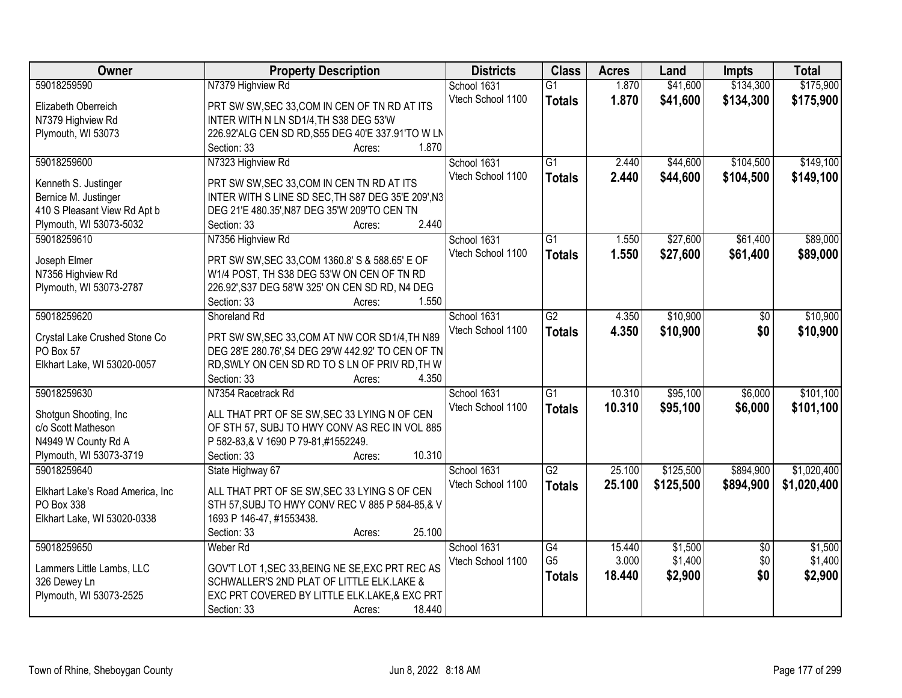| Owner                                        | <b>Property Description</b>                                                          | <b>Districts</b>  | <b>Class</b>    | <b>Acres</b> | Land      | <b>Impts</b>    | <b>Total</b> |
|----------------------------------------------|--------------------------------------------------------------------------------------|-------------------|-----------------|--------------|-----------|-----------------|--------------|
| 59018259590                                  | N7379 Highview Rd                                                                    | School 1631       | $\overline{G1}$ | 1.870        | \$41,600  | \$134,300       | \$175,900    |
| Elizabeth Oberreich                          | PRT SW SW, SEC 33, COM IN CEN OF TN RD AT ITS                                        | Vtech School 1100 | <b>Totals</b>   | 1.870        | \$41,600  | \$134,300       | \$175,900    |
| N7379 Highview Rd                            | INTER WITH N LN SD1/4, TH S38 DEG 53'W                                               |                   |                 |              |           |                 |              |
| Plymouth, WI 53073                           | 226.92'ALG CEN SD RD, S55 DEG 40'E 337.91'TO W LN                                    |                   |                 |              |           |                 |              |
|                                              | 1.870<br>Section: 33<br>Acres:                                                       |                   |                 |              |           |                 |              |
| 59018259600                                  | N7323 Highview Rd                                                                    | School 1631       | $\overline{G1}$ | 2.440        | \$44,600  | \$104,500       | \$149,100    |
|                                              |                                                                                      | Vtech School 1100 | <b>Totals</b>   | 2.440        | \$44,600  | \$104,500       | \$149,100    |
| Kenneth S. Justinger                         | PRT SW SW, SEC 33, COM IN CEN TN RD AT ITS                                           |                   |                 |              |           |                 |              |
| Bernice M. Justinger                         | INTER WITH S LINE SD SEC, TH S87 DEG 35'E 209', N3                                   |                   |                 |              |           |                 |              |
| 410 S Pleasant View Rd Apt b                 | DEG 21'E 480.35', N87 DEG 35'W 209'TO CEN TN                                         |                   |                 |              |           |                 |              |
| Plymouth, WI 53073-5032                      | 2.440<br>Section: 33<br>Acres:                                                       |                   |                 |              |           |                 |              |
| 59018259610                                  | N7356 Highview Rd                                                                    | School 1631       | $\overline{G1}$ | 1.550        | \$27,600  | \$61,400        | \$89,000     |
| Joseph Elmer                                 | PRT SW SW, SEC 33, COM 1360.8' S & 588.65' E OF                                      | Vtech School 1100 | <b>Totals</b>   | 1.550        | \$27,600  | \$61,400        | \$89,000     |
| N7356 Highview Rd                            | W1/4 POST, TH S38 DEG 53'W ON CEN OF TN RD                                           |                   |                 |              |           |                 |              |
| Plymouth, WI 53073-2787                      | 226.92', S37 DEG 58'W 325' ON CEN SD RD, N4 DEG                                      |                   |                 |              |           |                 |              |
|                                              | Section: 33<br>1.550<br>Acres:                                                       |                   |                 |              |           |                 |              |
| 59018259620                                  | Shoreland Rd                                                                         | School 1631       | $\overline{G2}$ | 4.350        | \$10,900  | \$0             | \$10,900     |
|                                              |                                                                                      | Vtech School 1100 |                 | 4.350        | \$10,900  | \$0             | \$10,900     |
| Crystal Lake Crushed Stone Co                | PRT SW SW, SEC 33, COM AT NW COR SD1/4, TH N89                                       |                   | <b>Totals</b>   |              |           |                 |              |
| PO Box 57                                    | DEG 28'E 280.76', S4 DEG 29'W 442.92' TO CEN OF TN                                   |                   |                 |              |           |                 |              |
| Elkhart Lake, WI 53020-0057                  | RD, SWLY ON CEN SD RD TO S LN OF PRIV RD, TH W                                       |                   |                 |              |           |                 |              |
|                                              | 4.350<br>Section: 33<br>Acres:                                                       |                   |                 |              |           |                 |              |
| 59018259630                                  | N7354 Racetrack Rd                                                                   | School 1631       | $\overline{G1}$ | 10.310       | \$95,100  | \$6,000         | \$101,100    |
|                                              | ALL THAT PRT OF SE SW, SEC 33 LYING N OF CEN                                         | Vtech School 1100 | <b>Totals</b>   | 10.310       | \$95,100  | \$6,000         | \$101,100    |
| Shotgun Shooting, Inc.<br>c/o Scott Matheson |                                                                                      |                   |                 |              |           |                 |              |
| N4949 W County Rd A                          | OF STH 57, SUBJ TO HWY CONV AS REC IN VOL 885<br>P 582-83,& V 1690 P 79-81,#1552249. |                   |                 |              |           |                 |              |
| Plymouth, WI 53073-3719                      | 10.310<br>Section: 33<br>Acres:                                                      |                   |                 |              |           |                 |              |
| 59018259640                                  |                                                                                      |                   | G2              |              |           | \$894,900       | \$1,020,400  |
|                                              | State Highway 67                                                                     | School 1631       |                 | 25.100       | \$125,500 |                 |              |
| Elkhart Lake's Road America, Inc             | ALL THAT PRT OF SE SW, SEC 33 LYING S OF CEN                                         | Vtech School 1100 | <b>Totals</b>   | 25.100       | \$125,500 | \$894,900       | \$1,020,400  |
| PO Box 338                                   | STH 57, SUBJ TO HWY CONV REC V 885 P 584-85, & V                                     |                   |                 |              |           |                 |              |
| Elkhart Lake, WI 53020-0338                  | 1693 P 146-47, #1553438.                                                             |                   |                 |              |           |                 |              |
|                                              | 25.100<br>Section: 33<br>Acres:                                                      |                   |                 |              |           |                 |              |
| 59018259650                                  | Weber <sub>Rd</sub>                                                                  | School 1631       | G4              | 15.440       | \$1,500   | $\overline{30}$ | \$1,500      |
|                                              |                                                                                      | Vtech School 1100 | G <sub>5</sub>  | 3.000        | \$1,400   | \$0             | \$1,400      |
| Lammers Little Lambs, LLC                    | GOV'T LOT 1, SEC 33, BEING NE SE, EXC PRT REC AS                                     |                   | <b>Totals</b>   | 18.440       | \$2,900   | \$0             | \$2,900      |
| 326 Dewey Ln                                 | SCHWALLER'S 2ND PLAT OF LITTLE ELK.LAKE &                                            |                   |                 |              |           |                 |              |
| Plymouth, WI 53073-2525                      | EXC PRT COVERED BY LITTLE ELK.LAKE,& EXC PRT                                         |                   |                 |              |           |                 |              |
|                                              | 18.440<br>Section: 33<br>Acres:                                                      |                   |                 |              |           |                 |              |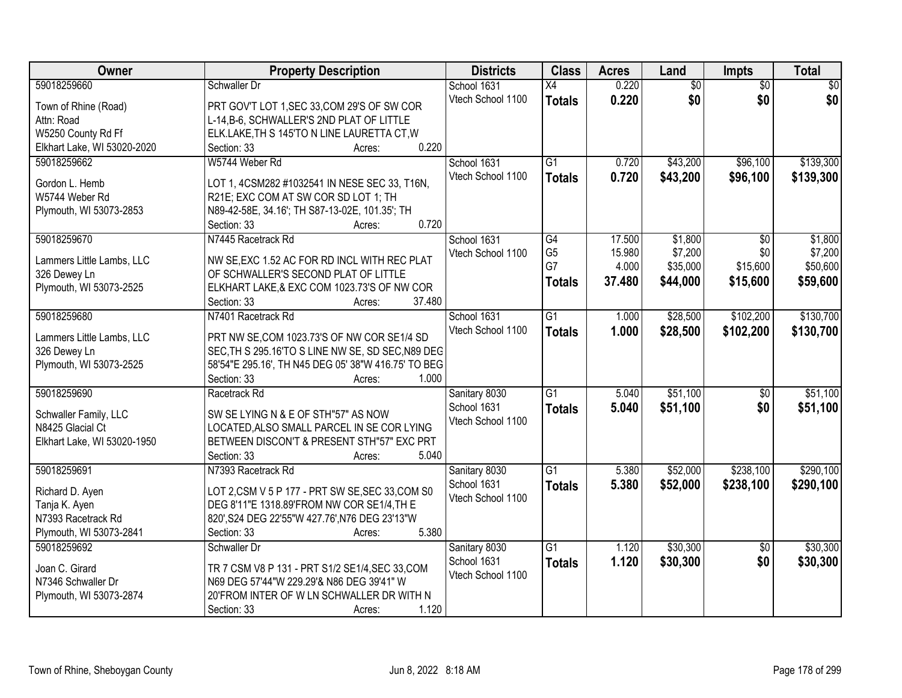| Owner                               | <b>Property Description</b>                                                                    | <b>Districts</b>  | <b>Class</b>         | <b>Acres</b> | Land            | <b>Impts</b>    | <b>Total</b>    |
|-------------------------------------|------------------------------------------------------------------------------------------------|-------------------|----------------------|--------------|-----------------|-----------------|-----------------|
| 59018259660                         | Schwaller Dr                                                                                   | School 1631       | $\overline{X4}$      | 0.220        | $\overline{60}$ | $\overline{50}$ | $\overline{50}$ |
| Town of Rhine (Road)                | PRT GOV'T LOT 1, SEC 33, COM 29'S OF SW COR                                                    | Vtech School 1100 | <b>Totals</b>        | 0.220        | \$0             | \$0             | \$0             |
| Attn: Road                          | L-14, B-6, SCHWALLER'S 2ND PLAT OF LITTLE                                                      |                   |                      |              |                 |                 |                 |
| W5250 County Rd Ff                  | ELK.LAKE, TH S 145'TO N LINE LAURETTA CT, W                                                    |                   |                      |              |                 |                 |                 |
| Elkhart Lake, WI 53020-2020         | 0.220<br>Section: 33<br>Acres:                                                                 |                   |                      |              |                 |                 |                 |
| 59018259662                         | W5744 Weber Rd                                                                                 | School 1631       | $\overline{G1}$      | 0.720        | \$43,200        | \$96,100        | \$139,300       |
|                                     |                                                                                                | Vtech School 1100 | <b>Totals</b>        | 0.720        | \$43,200        | \$96,100        | \$139,300       |
| Gordon L. Hemb                      | LOT 1, 4CSM282 #1032541 IN NESE SEC 33, T16N,                                                  |                   |                      |              |                 |                 |                 |
| W5744 Weber Rd                      | R21E; EXC COM AT SW COR SD LOT 1; TH                                                           |                   |                      |              |                 |                 |                 |
| Plymouth, WI 53073-2853             | N89-42-58E, 34.16'; TH S87-13-02E, 101.35'; TH                                                 |                   |                      |              |                 |                 |                 |
|                                     | 0.720<br>Section: 33<br>Acres:                                                                 |                   |                      |              |                 |                 |                 |
| 59018259670                         | N7445 Racetrack Rd                                                                             | School 1631       | $\overline{G4}$      | 17.500       | \$1,800         | $\overline{50}$ | \$1,800         |
| Lammers Little Lambs, LLC           | NW SE, EXC 1.52 AC FOR RD INCL WITH REC PLAT                                                   | Vtech School 1100 | G <sub>5</sub><br>G7 | 15.980       | \$7,200         | \$0             | \$7,200         |
| 326 Dewey Ln                        | OF SCHWALLER'S SECOND PLAT OF LITTLE                                                           |                   |                      | 4.000        | \$35,000        | \$15,600        | \$50,600        |
| Plymouth, WI 53073-2525             | ELKHART LAKE,& EXC COM 1023.73'S OF NW COR                                                     |                   | <b>Totals</b>        | 37.480       | \$44,000        | \$15,600        | \$59,600        |
|                                     | 37.480<br>Section: 33<br>Acres:                                                                |                   |                      |              |                 |                 |                 |
| 59018259680                         | N7401 Racetrack Rd                                                                             | School 1631       | $\overline{G1}$      | 1.000        | \$28,500        | \$102,200       | \$130,700       |
|                                     |                                                                                                | Vtech School 1100 | <b>Totals</b>        | 1.000        | \$28,500        | \$102,200       | \$130,700       |
| Lammers Little Lambs, LLC           | PRT NW SE, COM 1023.73'S OF NW COR SE1/4 SD                                                    |                   |                      |              |                 |                 |                 |
| 326 Dewey Ln                        | SEC, TH S 295.16'TO S LINE NW SE, SD SEC, N89 DEG                                              |                   |                      |              |                 |                 |                 |
| Plymouth, WI 53073-2525             | 58'54"E 295.16', TH N45 DEG 05' 38"W 416.75' TO BEG                                            |                   |                      |              |                 |                 |                 |
|                                     | 1.000<br>Section: 33<br>Acres:                                                                 |                   |                      |              |                 |                 |                 |
| 59018259690                         | Racetrack Rd                                                                                   | Sanitary 8030     | $\overline{G1}$      | 5.040        | \$51,100        | $\overline{50}$ | \$51,100        |
| Schwaller Family, LLC               | SW SE LYING N & E OF STH"57" AS NOW                                                            | School 1631       | <b>Totals</b>        | 5.040        | \$51,100        | \$0             | \$51,100        |
| N8425 Glacial Ct                    | LOCATED, ALSO SMALL PARCEL IN SE COR LYING                                                     | Vtech School 1100 |                      |              |                 |                 |                 |
| Elkhart Lake, WI 53020-1950         | BETWEEN DISCON'T & PRESENT STH"57" EXC PRT                                                     |                   |                      |              |                 |                 |                 |
|                                     | 5.040<br>Section: 33<br>Acres:                                                                 |                   |                      |              |                 |                 |                 |
| 59018259691                         | N7393 Racetrack Rd                                                                             | Sanitary 8030     | $\overline{G1}$      | 5.380        | \$52,000        | \$238,100       | \$290,100       |
|                                     |                                                                                                | School 1631       | <b>Totals</b>        | 5.380        | \$52,000        | \$238,100       | \$290,100       |
| Richard D. Ayen                     | LOT 2, CSM V 5 P 177 - PRT SW SE, SEC 33, COM S0<br>DEG 8'11"E 1318.89'FROM NW COR SE1/4, TH E | Vtech School 1100 |                      |              |                 |                 |                 |
| Tanja K. Ayen<br>N7393 Racetrack Rd |                                                                                                |                   |                      |              |                 |                 |                 |
| Plymouth, WI 53073-2841             | 820', S24 DEG 22'55"W 427.76', N76 DEG 23'13"W<br>5.380<br>Section: 33                         |                   |                      |              |                 |                 |                 |
| 59018259692                         | Acres:<br>Schwaller Dr                                                                         |                   | $\overline{G1}$      | 1.120        | \$30,300        |                 | \$30,300        |
|                                     |                                                                                                | Sanitary 8030     |                      |              |                 | $\overline{50}$ |                 |
| Joan C. Girard                      | TR 7 CSM V8 P 131 - PRT S1/2 SE1/4, SEC 33, COM                                                | School 1631       | <b>Totals</b>        | 1.120        | \$30,300        | \$0             | \$30,300        |
| N7346 Schwaller Dr                  | N69 DEG 57'44"W 229.29'& N86 DEG 39'41" W                                                      | Vtech School 1100 |                      |              |                 |                 |                 |
| Plymouth, WI 53073-2874             | 20'FROM INTER OF W LN SCHWALLER DR WITH N                                                      |                   |                      |              |                 |                 |                 |
|                                     | 1.120<br>Section: 33<br>Acres:                                                                 |                   |                      |              |                 |                 |                 |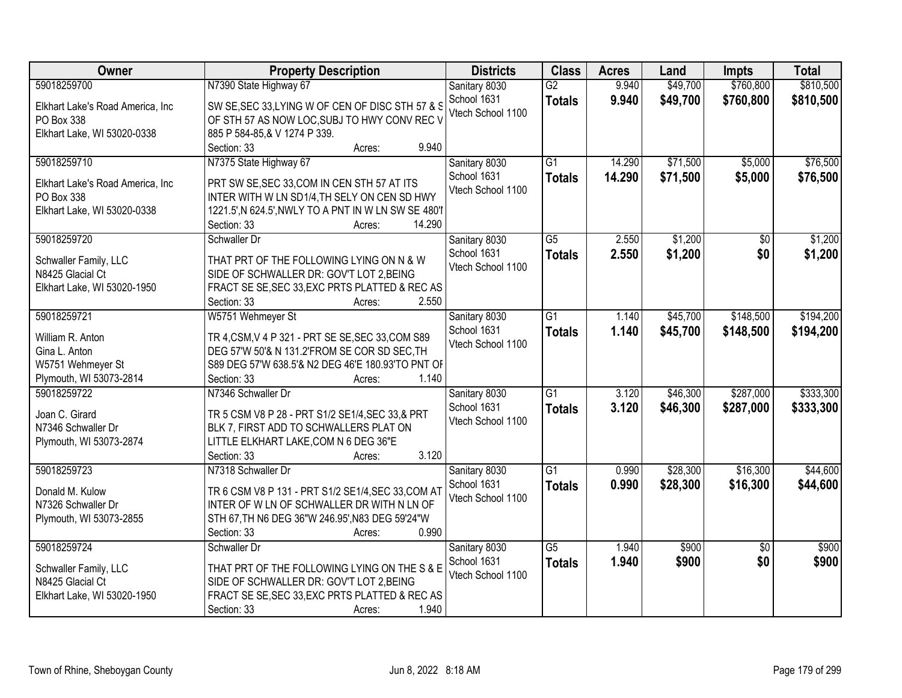| Owner                                                                                            | <b>Property Description</b>                                                                                                                                                                                      | <b>Districts</b>                                  | <b>Class</b>                     | <b>Acres</b>     | Land                 | <b>Impts</b>           | <b>Total</b>           |
|--------------------------------------------------------------------------------------------------|------------------------------------------------------------------------------------------------------------------------------------------------------------------------------------------------------------------|---------------------------------------------------|----------------------------------|------------------|----------------------|------------------------|------------------------|
| 59018259700<br>Elkhart Lake's Road America, Inc<br>PO Box 338                                    | N7390 State Highway 67<br>SW SE, SEC 33, LYING W OF CEN OF DISC STH 57 & S<br>OF STH 57 AS NOW LOC, SUBJ TO HWY CONV REC V                                                                                       | Sanitary 8030<br>School 1631<br>Vtech School 1100 | $\overline{G2}$<br><b>Totals</b> | 9.940<br>9.940   | \$49,700<br>\$49,700 | \$760,800<br>\$760,800 | \$810,500<br>\$810,500 |
| Elkhart Lake, WI 53020-0338                                                                      | 885 P 584-85, & V 1274 P 339.<br>9.940<br>Section: 33<br>Acres:                                                                                                                                                  |                                                   |                                  |                  |                      |                        |                        |
| 59018259710<br>Elkhart Lake's Road America, Inc<br>PO Box 338<br>Elkhart Lake, WI 53020-0338     | N7375 State Highway 67<br>PRT SW SE, SEC 33, COM IN CEN STH 57 AT ITS<br>INTER WITH W LN SD1/4, TH SELY ON CEN SD HWY<br>1221.5', N 624.5', NWLY TO A PNT IN W LN SW SE 480'I<br>14.290<br>Section: 33<br>Acres: | Sanitary 8030<br>School 1631<br>Vtech School 1100 | $\overline{G1}$<br><b>Totals</b> | 14.290<br>14.290 | \$71,500<br>\$71,500 | \$5,000<br>\$5,000     | \$76,500<br>\$76,500   |
| 59018259720<br>Schwaller Family, LLC<br>N8425 Glacial Ct<br>Elkhart Lake, WI 53020-1950          | Schwaller Dr<br>THAT PRT OF THE FOLLOWING LYING ON N & W<br>SIDE OF SCHWALLER DR: GOV'T LOT 2, BEING<br>FRACT SE SE, SEC 33, EXC PRTS PLATTED & REC AS<br>2.550<br>Section: 33<br>Acres:                         | Sanitary 8030<br>School 1631<br>Vtech School 1100 | $\overline{G5}$<br><b>Totals</b> | 2.550<br>2.550   | \$1,200<br>\$1,200   | \$0<br>\$0             | \$1,200<br>\$1,200     |
| 59018259721<br>William R. Anton<br>Gina L. Anton<br>W5751 Wehmeyer St<br>Plymouth, WI 53073-2814 | W5751 Wehmeyer St<br>TR 4, CSM, V 4 P 321 - PRT SE SE, SEC 33, COM S89<br>DEG 57'W 50'& N 131.2'FROM SE COR SD SEC, TH<br>S89 DEG 57'W 638.5'& N2 DEG 46'E 180.93'TO PNT OF<br>1.140<br>Section: 33<br>Acres:    | Sanitary 8030<br>School 1631<br>Vtech School 1100 | $\overline{G1}$<br><b>Totals</b> | 1.140<br>1.140   | \$45,700<br>\$45,700 | \$148,500<br>\$148,500 | \$194,200<br>\$194,200 |
| 59018259722<br>Joan C. Girard<br>N7346 Schwaller Dr<br>Plymouth, WI 53073-2874                   | N7346 Schwaller Dr<br>TR 5 CSM V8 P 28 - PRT S1/2 SE1/4, SEC 33, & PRT<br>BLK 7, FIRST ADD TO SCHWALLERS PLAT ON<br>LITTLE ELKHART LAKE, COM N 6 DEG 36"E<br>3.120<br>Section: 33<br>Acres:                      | Sanitary 8030<br>School 1631<br>Vtech School 1100 | $\overline{G1}$<br><b>Totals</b> | 3.120<br>3.120   | \$46,300<br>\$46,300 | \$287,000<br>\$287,000 | \$333,300<br>\$333,300 |
| 59018259723<br>Donald M. Kulow<br>N7326 Schwaller Dr<br>Plymouth, WI 53073-2855                  | N7318 Schwaller Dr<br>TR 6 CSM V8 P 131 - PRT S1/2 SE1/4, SEC 33, COM AT<br>INTER OF W LN OF SCHWALLER DR WITH N LN OF<br>STH 67, TH N6 DEG 36"W 246.95', N83 DEG 59'24"W<br>0.990<br>Section: 33<br>Acres:      | Sanitary 8030<br>School 1631<br>Vtech School 1100 | $\overline{G1}$<br><b>Totals</b> | 0.990<br>0.990   | \$28,300<br>\$28,300 | \$16,300<br>\$16,300   | \$44,600<br>\$44,600   |
| 59018259724<br>Schwaller Family, LLC<br>N8425 Glacial Ct<br>Elkhart Lake, WI 53020-1950          | Schwaller Dr<br>THAT PRT OF THE FOLLOWING LYING ON THE S & E<br>SIDE OF SCHWALLER DR: GOV'T LOT 2, BEING<br>FRACT SE SE, SEC 33, EXC PRTS PLATTED & REC AS<br>1.940<br>Section: 33<br>Acres:                     | Sanitary 8030<br>School 1631<br>Vtech School 1100 | $\overline{G5}$<br><b>Totals</b> | 1.940<br>1.940   | \$900<br>\$900       | $\overline{50}$<br>\$0 | \$900<br>\$900         |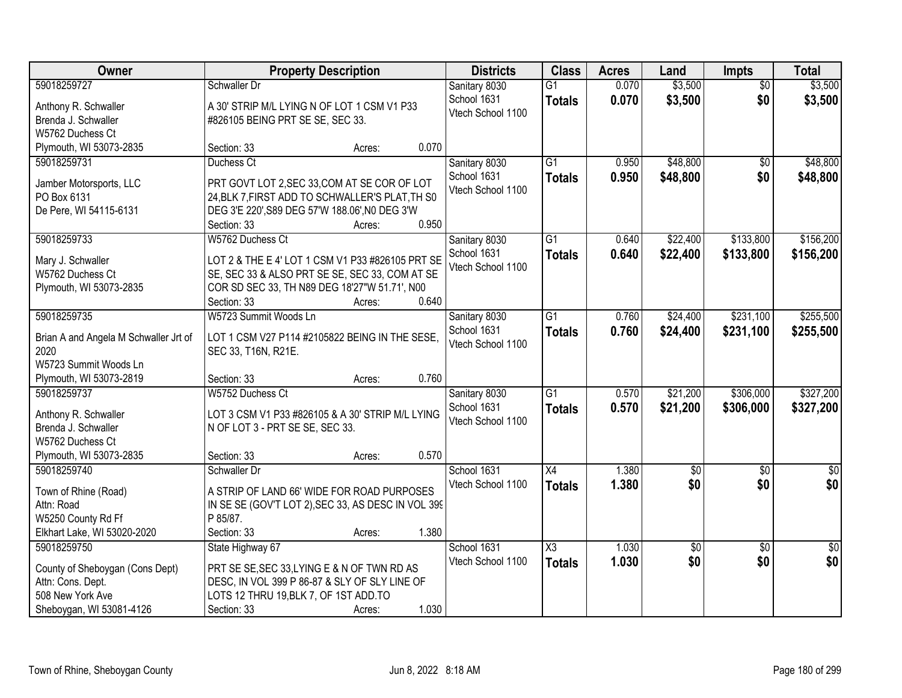| Owner                                 |                                                             | <b>Property Description</b> |                                                   |                                  | <b>Acres</b>   | Land               | <b>Impts</b>           | <b>Total</b>       |
|---------------------------------------|-------------------------------------------------------------|-----------------------------|---------------------------------------------------|----------------------------------|----------------|--------------------|------------------------|--------------------|
| 59018259727<br>Anthony R. Schwaller   | Schwaller Dr<br>A 30' STRIP M/L LYING N OF LOT 1 CSM V1 P33 |                             | Sanitary 8030<br>School 1631<br>Vtech School 1100 | $\overline{G1}$<br><b>Totals</b> | 0.070<br>0.070 | \$3,500<br>\$3,500 | $\overline{50}$<br>\$0 | \$3,500<br>\$3,500 |
| Brenda J. Schwaller                   | #826105 BEING PRT SE SE, SEC 33.                            |                             |                                                   |                                  |                |                    |                        |                    |
| W5762 Duchess Ct                      |                                                             |                             |                                                   |                                  |                |                    |                        |                    |
| Plymouth, WI 53073-2835               | Section: 33                                                 | 0.070<br>Acres:             |                                                   |                                  |                |                    |                        |                    |
| 59018259731                           | Duchess Ct                                                  |                             | Sanitary 8030                                     | $\overline{G1}$                  | 0.950          | \$48,800           | \$0                    | \$48,800           |
| Jamber Motorsports, LLC               | PRT GOVT LOT 2, SEC 33, COM AT SE COR OF LOT                |                             | School 1631                                       | <b>Totals</b>                    | 0.950          | \$48,800           | \$0                    | \$48,800           |
| PO Box 6131                           | 24, BLK 7, FIRST ADD TO SCHWALLER'S PLAT, TH S0             |                             | Vtech School 1100                                 |                                  |                |                    |                        |                    |
| De Pere, WI 54115-6131                | DEG 3'E 220', S89 DEG 57'W 188.06', N0 DEG 3'W              |                             |                                                   |                                  |                |                    |                        |                    |
|                                       | Section: 33                                                 | 0.950<br>Acres:             |                                                   |                                  |                |                    |                        |                    |
| 59018259733                           | W5762 Duchess Ct                                            |                             | Sanitary 8030                                     | $\overline{G1}$                  | 0.640          | \$22,400           | \$133,800              | \$156,200          |
| Mary J. Schwaller                     | LOT 2 & THE E 4' LOT 1 CSM V1 P33 #826105 PRT SE            |                             | School 1631                                       | <b>Totals</b>                    | 0.640          | \$22,400           | \$133,800              | \$156,200          |
| W5762 Duchess Ct                      | SE, SEC 33 & ALSO PRT SE SE, SEC 33, COM AT SE              |                             | Vtech School 1100                                 |                                  |                |                    |                        |                    |
| Plymouth, WI 53073-2835               | COR SD SEC 33, TH N89 DEG 18'27"W 51.71', N00               |                             |                                                   |                                  |                |                    |                        |                    |
|                                       | Section: 33                                                 | 0.640<br>Acres:             |                                                   |                                  |                |                    |                        |                    |
| 59018259735                           | W5723 Summit Woods Ln                                       |                             | Sanitary 8030                                     | $\overline{G1}$                  | 0.760          | \$24,400           | \$231,100              | \$255,500          |
|                                       |                                                             |                             | School 1631                                       | <b>Totals</b>                    | 0.760          | \$24,400           | \$231,100              | \$255,500          |
| Brian A and Angela M Schwaller Jrt of | LOT 1 CSM V27 P114 #2105822 BEING IN THE SESE,              |                             | Vtech School 1100                                 |                                  |                |                    |                        |                    |
| 2020                                  | SEC 33, T16N, R21E.                                         |                             |                                                   |                                  |                |                    |                        |                    |
| W5723 Summit Woods Ln                 |                                                             |                             |                                                   |                                  |                |                    |                        |                    |
| Plymouth, WI 53073-2819               | Section: 33                                                 | 0.760<br>Acres:             |                                                   |                                  |                |                    |                        |                    |
| 59018259737                           | W5752 Duchess Ct                                            |                             | Sanitary 8030                                     | $\overline{G1}$                  | 0.570          | \$21,200           | \$306,000              | \$327,200          |
| Anthony R. Schwaller                  | LOT 3 CSM V1 P33 #826105 & A 30' STRIP M/L LYING            |                             | School 1631                                       | <b>Totals</b>                    | 0.570          | \$21,200           | \$306,000              | \$327,200          |
| Brenda J. Schwaller                   | N OF LOT 3 - PRT SE SE, SEC 33.                             |                             | Vtech School 1100                                 |                                  |                |                    |                        |                    |
| W5762 Duchess Ct                      |                                                             |                             |                                                   |                                  |                |                    |                        |                    |
| Plymouth, WI 53073-2835               | Section: 33                                                 | 0.570<br>Acres:             |                                                   |                                  |                |                    |                        |                    |
| 59018259740                           | Schwaller Dr                                                |                             | School 1631                                       | X4                               | 1.380          | $\overline{50}$    | $\overline{50}$        | $\overline{\$0}$   |
| Town of Rhine (Road)                  | A STRIP OF LAND 66' WIDE FOR ROAD PURPOSES                  |                             | Vtech School 1100                                 | <b>Totals</b>                    | 1.380          | \$0                | \$0                    | \$0                |
| Attn: Road                            | IN SE SE (GOV'T LOT 2), SEC 33, AS DESC IN VOL 399          |                             |                                                   |                                  |                |                    |                        |                    |
| W5250 County Rd Ff                    | P 85/87.                                                    |                             |                                                   |                                  |                |                    |                        |                    |
| Elkhart Lake, WI 53020-2020           | Section: 33                                                 | 1.380<br>Acres:             |                                                   |                                  |                |                    |                        |                    |
| 59018259750                           | State Highway 67                                            |                             | School 1631                                       | X3                               | 1.030          | $\overline{60}$    | $\overline{50}$        | $\overline{30}$    |
|                                       |                                                             |                             | Vtech School 1100                                 | <b>Totals</b>                    | 1.030          | \$0                | \$0                    | \$0                |
| County of Sheboygan (Cons Dept)       | PRT SE SE, SEC 33, LYING E & N OF TWN RD AS                 |                             |                                                   |                                  |                |                    |                        |                    |
| Attn: Cons. Dept.                     | DESC, IN VOL 399 P 86-87 & SLY OF SLY LINE OF               |                             |                                                   |                                  |                |                    |                        |                    |
| 508 New York Ave                      | LOTS 12 THRU 19, BLK 7, OF 1ST ADD. TO                      | 1.030                       |                                                   |                                  |                |                    |                        |                    |
| Sheboygan, WI 53081-4126              | Section: 33                                                 | Acres:                      |                                                   |                                  |                |                    |                        |                    |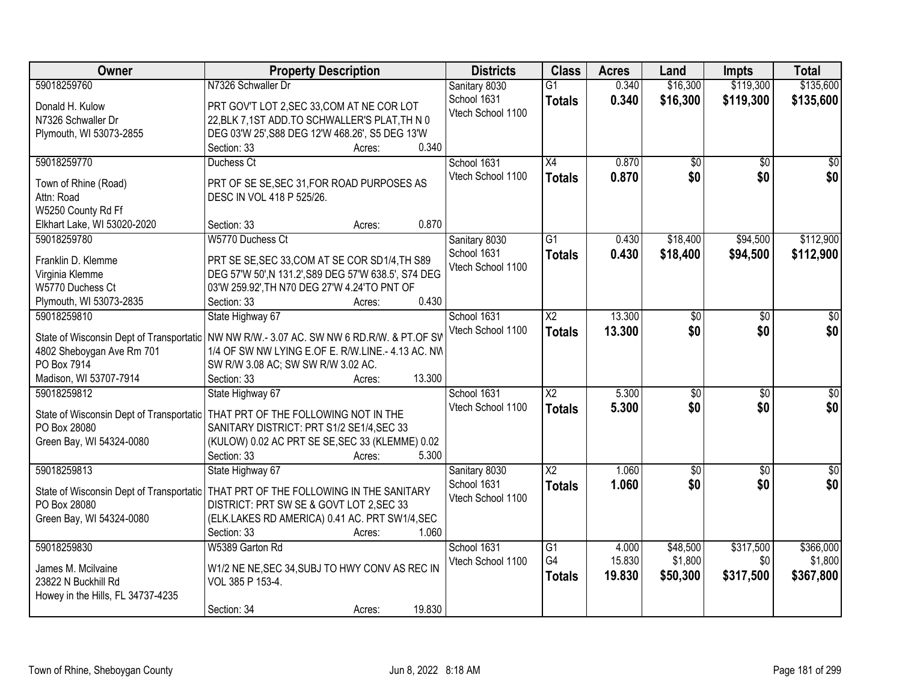| Owner                              | <b>Property Description</b>                                                                | <b>Districts</b>  | <b>Class</b>           | <b>Acres</b> | Land            | <b>Impts</b>    | <b>Total</b>     |
|------------------------------------|--------------------------------------------------------------------------------------------|-------------------|------------------------|--------------|-----------------|-----------------|------------------|
| 59018259760                        | N7326 Schwaller Dr                                                                         | Sanitary 8030     | $\overline{G1}$        | 0.340        | \$16,300        | \$119,300       | \$135,600        |
| Donald H. Kulow                    | PRT GOV'T LOT 2, SEC 33, COM AT NE COR LOT                                                 | School 1631       | <b>Totals</b>          | 0.340        | \$16,300        | \$119,300       | \$135,600        |
| N7326 Schwaller Dr                 | 22, BLK 7, 1ST ADD. TO SCHWALLER'S PLAT, TH N 0                                            | Vtech School 1100 |                        |              |                 |                 |                  |
| Plymouth, WI 53073-2855            | DEG 03'W 25', S88 DEG 12'W 468.26', S5 DEG 13'W                                            |                   |                        |              |                 |                 |                  |
|                                    | 0.340<br>Section: 33<br>Acres:                                                             |                   |                        |              |                 |                 |                  |
| 59018259770                        | Duchess Ct                                                                                 | School 1631       | $\overline{X4}$        | 0.870        | $\overline{50}$ | $\overline{50}$ | $\overline{\$0}$ |
|                                    |                                                                                            | Vtech School 1100 | <b>Totals</b>          | 0.870        | \$0             | \$0             | \$0              |
| Town of Rhine (Road)<br>Attn: Road | PRT OF SE SE, SEC 31, FOR ROAD PURPOSES AS                                                 |                   |                        |              |                 |                 |                  |
| W5250 County Rd Ff                 | DESC IN VOL 418 P 525/26.                                                                  |                   |                        |              |                 |                 |                  |
| Elkhart Lake, WI 53020-2020        | 0.870<br>Section: 33<br>Acres:                                                             |                   |                        |              |                 |                 |                  |
| 59018259780                        | W5770 Duchess Ct                                                                           | Sanitary 8030     | G1                     | 0.430        | \$18,400        | \$94,500        | \$112,900        |
|                                    |                                                                                            | School 1631       |                        | 0.430        | \$18,400        |                 |                  |
| Franklin D. Klemme                 | PRT SE SE, SEC 33, COM AT SE COR SD1/4, TH S89                                             | Vtech School 1100 | <b>Totals</b>          |              |                 | \$94,500        | \$112,900        |
| Virginia Klemme                    | DEG 57'W 50', N 131.2', S89 DEG 57'W 638.5', S74 DEG                                       |                   |                        |              |                 |                 |                  |
| W5770 Duchess Ct                   | 03'W 259.92', TH N70 DEG 27'W 4.24'TO PNT OF                                               |                   |                        |              |                 |                 |                  |
| Plymouth, WI 53073-2835            | 0.430<br>Section: 33<br>Acres:                                                             |                   |                        |              |                 |                 |                  |
| 59018259810                        | State Highway 67                                                                           | School 1631       | X <sub>2</sub>         | 13.300       | \$0             | $\sqrt{6}$      | \$0              |
|                                    | State of Wisconsin Dept of Transportatic   NW NW R/W.- 3.07 AC. SW NW 6 RD.R/W. & PT.OF SV | Vtech School 1100 | <b>Totals</b>          | 13,300       | \$0             | \$0             | \$0              |
| 4802 Sheboygan Ave Rm 701          | 1/4 OF SW NW LYING E.OF E. R/W.LINE.- 4.13 AC. NW                                          |                   |                        |              |                 |                 |                  |
| PO Box 7914                        | SW R/W 3.08 AC; SW SW R/W 3.02 AC.                                                         |                   |                        |              |                 |                 |                  |
| Madison, WI 53707-7914             | 13.300<br>Section: 33<br>Acres:                                                            |                   |                        |              |                 |                 |                  |
| 59018259812                        | State Highway 67                                                                           | School 1631       | $\overline{\text{X2}}$ | 5.300        | $\overline{50}$ | $\overline{30}$ | $\overline{\$0}$ |
|                                    |                                                                                            | Vtech School 1100 | <b>Totals</b>          | 5.300        | \$0             | \$0             | \$0              |
|                                    | State of Wisconsin Dept of Transportatic   THAT PRT OF THE FOLLOWING NOT IN THE            |                   |                        |              |                 |                 |                  |
| PO Box 28080                       | SANITARY DISTRICT: PRT S1/2 SE1/4, SEC 33                                                  |                   |                        |              |                 |                 |                  |
| Green Bay, WI 54324-0080           | (KULOW) 0.02 AC PRT SE SE, SEC 33 (KLEMME) 0.02                                            |                   |                        |              |                 |                 |                  |
|                                    | Section: 33<br>5.300<br>Acres:                                                             |                   |                        |              |                 |                 |                  |
| 59018259813                        | State Highway 67                                                                           | Sanitary 8030     | $\overline{X2}$        | 1.060        | $\overline{50}$ | $\overline{30}$ | $\overline{\$0}$ |
|                                    | State of Wisconsin Dept of Transportatic   THAT PRT OF THE FOLLOWING IN THE SANITARY       | School 1631       | <b>Totals</b>          | 1.060        | \$0             | \$0             | \$0              |
| PO Box 28080                       | DISTRICT: PRT SW SE & GOVT LOT 2, SEC 33                                                   | Vtech School 1100 |                        |              |                 |                 |                  |
| Green Bay, WI 54324-0080           | (ELK.LAKES RD AMERICA) 0.41 AC. PRT SW1/4, SEC                                             |                   |                        |              |                 |                 |                  |
|                                    | 1.060<br>Section: 33<br>Acres:                                                             |                   |                        |              |                 |                 |                  |
| 59018259830                        | W5389 Garton Rd                                                                            | School 1631       | $\overline{G1}$        | 4.000        | \$48,500        | \$317,500       | \$366,000        |
| James M. Mcilvaine                 | W1/2 NE NE, SEC 34, SUBJ TO HWY CONV AS REC IN                                             | Vtech School 1100 | G4                     | 15.830       | \$1,800         | \$0             | \$1,800          |
| 23822 N Buckhill Rd                | VOL 385 P 153-4.                                                                           |                   | <b>Totals</b>          | 19.830       | \$50,300        | \$317,500       | \$367,800        |
| Howey in the Hills, FL 34737-4235  |                                                                                            |                   |                        |              |                 |                 |                  |
|                                    | 19.830<br>Section: 34<br>Acres:                                                            |                   |                        |              |                 |                 |                  |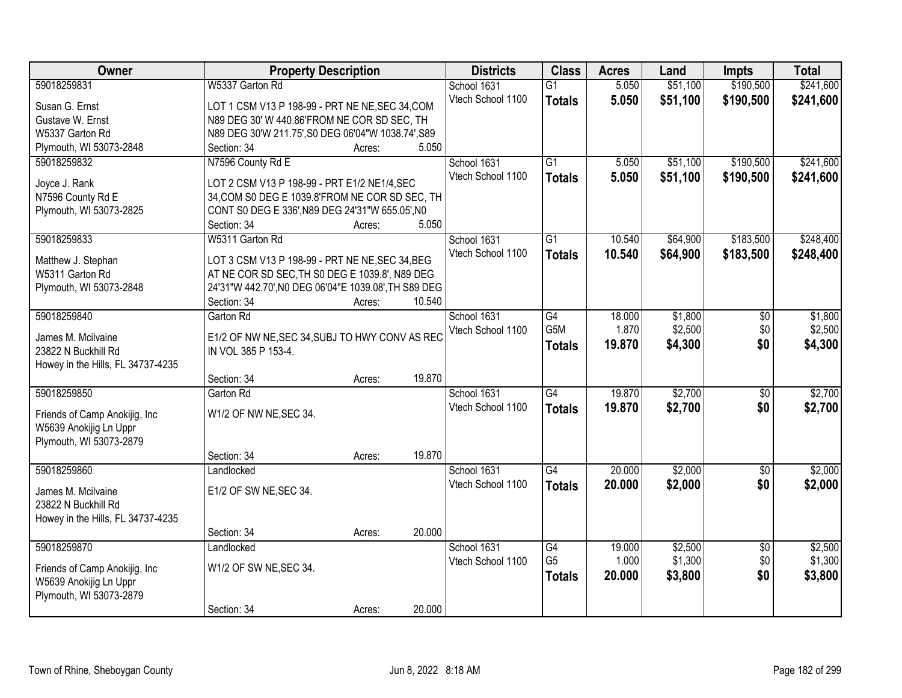| Owner                             | <b>Property Description</b>                              | <b>Districts</b>  | <b>Class</b>    | <b>Acres</b> | Land     | <b>Impts</b>    | <b>Total</b> |
|-----------------------------------|----------------------------------------------------------|-------------------|-----------------|--------------|----------|-----------------|--------------|
| 59018259831                       | W5337 Garton Rd                                          | School 1631       | $\overline{G1}$ | 5.050        | \$51,100 | \$190,500       | \$241,600    |
| Susan G. Ernst                    | LOT 1 CSM V13 P 198-99 - PRT NE NE, SEC 34, COM          | Vtech School 1100 | <b>Totals</b>   | 5.050        | \$51,100 | \$190,500       | \$241,600    |
| Gustave W. Ernst                  | N89 DEG 30' W 440.86'FROM NE COR SD SEC, TH              |                   |                 |              |          |                 |              |
| W5337 Garton Rd                   | N89 DEG 30'W 211.75', S0 DEG 06'04"W 1038.74', S89       |                   |                 |              |          |                 |              |
| Plymouth, WI 53073-2848           | 5.050<br>Section: 34<br>Acres:                           |                   |                 |              |          |                 |              |
| 59018259832                       | N7596 County Rd E                                        | School 1631       | $\overline{G1}$ | 5.050        | \$51,100 | \$190,500       | \$241,600    |
|                                   |                                                          | Vtech School 1100 | <b>Totals</b>   | 5.050        | \$51,100 | \$190,500       | \$241,600    |
| Joyce J. Rank                     | LOT 2 CSM V13 P 198-99 - PRT E1/2 NE1/4, SEC             |                   |                 |              |          |                 |              |
| N7596 County Rd E                 | 34, COM S0 DEG E 1039.8' FROM NE COR SD SEC, TH          |                   |                 |              |          |                 |              |
| Plymouth, WI 53073-2825           | CONT S0 DEG E 336', N89 DEG 24'31"W 655.05', N0<br>5.050 |                   |                 |              |          |                 |              |
|                                   | Section: 34<br>Acres:                                    |                   |                 |              |          |                 |              |
| 59018259833                       | W5311 Garton Rd                                          | School 1631       | G1              | 10.540       | \$64,900 | \$183,500       | \$248,400    |
| Matthew J. Stephan                | LOT 3 CSM V13 P 198-99 - PRT NE NE, SEC 34, BEG          | Vtech School 1100 | <b>Totals</b>   | 10.540       | \$64,900 | \$183,500       | \$248,400    |
| W5311 Garton Rd                   | AT NE COR SD SEC, TH S0 DEG E 1039.8', N89 DEG           |                   |                 |              |          |                 |              |
| Plymouth, WI 53073-2848           | 24'31"W 442.70', NO DEG 06'04"E 1039.08', TH S89 DEG     |                   |                 |              |          |                 |              |
|                                   | 10.540<br>Section: 34<br>Acres:                          |                   |                 |              |          |                 |              |
| 59018259840                       | Garton Rd                                                | School 1631       | G4              | 18.000       | \$1,800  | \$0             | \$1,800      |
|                                   |                                                          | Vtech School 1100 | G5M             | 1.870        | \$2,500  | \$0             | \$2,500      |
| James M. Mcilvaine                | E1/2 OF NW NE, SEC 34, SUBJ TO HWY CONV AS REC           |                   | <b>Totals</b>   | 19.870       | \$4,300  | \$0             | \$4,300      |
| 23822 N Buckhill Rd               | IN VOL 385 P 153-4.                                      |                   |                 |              |          |                 |              |
| Howey in the Hills, FL 34737-4235 |                                                          |                   |                 |              |          |                 |              |
|                                   | 19.870<br>Section: 34<br>Acres:                          |                   |                 |              |          |                 |              |
| 59018259850                       | Garton Rd                                                | School 1631       | G4              | 19.870       | \$2,700  | $\overline{50}$ | \$2,700      |
| Friends of Camp Anokijig, Inc     | W1/2 OF NW NE, SEC 34.                                   | Vtech School 1100 | <b>Totals</b>   | 19.870       | \$2,700  | \$0             | \$2,700      |
| W5639 Anokijig Ln Uppr            |                                                          |                   |                 |              |          |                 |              |
| Plymouth, WI 53073-2879           |                                                          |                   |                 |              |          |                 |              |
|                                   | 19.870<br>Section: 34<br>Acres:                          |                   |                 |              |          |                 |              |
| 59018259860                       | Landlocked                                               | School 1631       | G4              | 20.000       | \$2,000  | $\overline{60}$ | \$2,000      |
| James M. Mcilvaine                | E1/2 OF SW NE, SEC 34.                                   | Vtech School 1100 | <b>Totals</b>   | 20.000       | \$2,000  | \$0             | \$2,000      |
| 23822 N Buckhill Rd               |                                                          |                   |                 |              |          |                 |              |
| Howey in the Hills, FL 34737-4235 |                                                          |                   |                 |              |          |                 |              |
|                                   | 20.000<br>Section: 34<br>Acres:                          |                   |                 |              |          |                 |              |
| 59018259870                       | Landlocked                                               | School 1631       | G4              | 19.000       | \$2,500  | $\overline{50}$ | \$2,500      |
|                                   |                                                          | Vtech School 1100 | G <sub>5</sub>  | 1.000        | \$1,300  | \$0             | \$1,300      |
| Friends of Camp Anokijig, Inc     | W1/2 OF SW NE, SEC 34.                                   |                   |                 | 20.000       | \$3,800  | \$0             | \$3,800      |
| W5639 Anokijig Ln Uppr            |                                                          |                   | <b>Totals</b>   |              |          |                 |              |
| Plymouth, WI 53073-2879           |                                                          |                   |                 |              |          |                 |              |
|                                   | 20.000<br>Section: 34<br>Acres:                          |                   |                 |              |          |                 |              |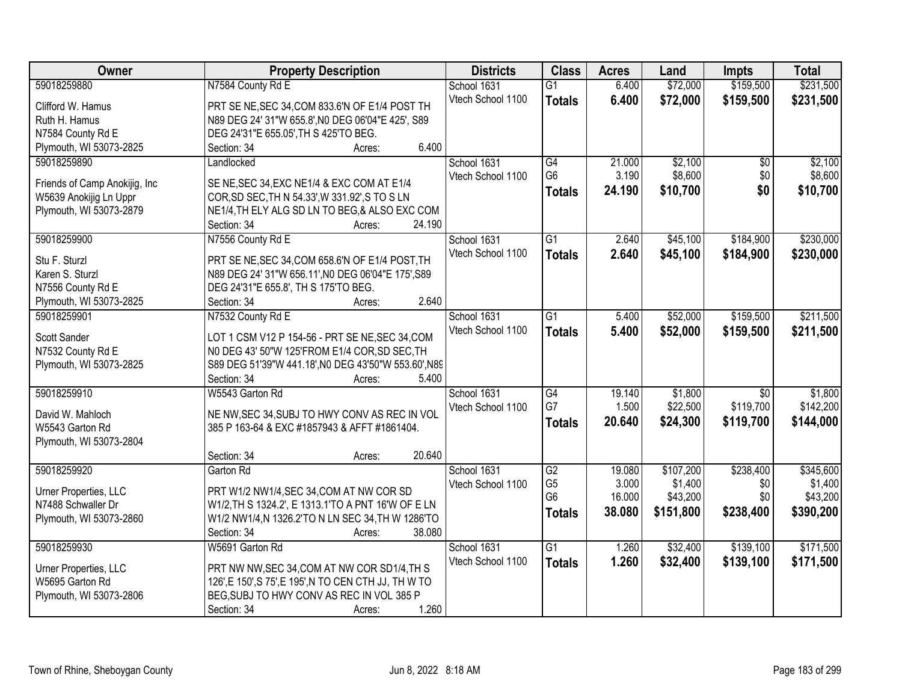| Owner                          | <b>Property Description</b>                           | <b>Districts</b>  | <b>Class</b>    | <b>Acres</b> | Land      | <b>Impts</b>    | <b>Total</b> |
|--------------------------------|-------------------------------------------------------|-------------------|-----------------|--------------|-----------|-----------------|--------------|
| 59018259880                    | N7584 County Rd E                                     | School 1631       | $\overline{G1}$ | 6.400        | \$72,000  | \$159,500       | \$231,500    |
| Clifford W. Hamus              | PRT SE NE, SEC 34, COM 833.6'N OF E1/4 POST TH        | Vtech School 1100 | <b>Totals</b>   | 6.400        | \$72,000  | \$159,500       | \$231,500    |
| Ruth H. Hamus                  | N89 DEG 24' 31"W 655.8', NO DEG 06'04"E 425', S89     |                   |                 |              |           |                 |              |
| N7584 County Rd E              | DEG 24'31"E 655.05', TH S 425'TO BEG.                 |                   |                 |              |           |                 |              |
| Plymouth, WI 53073-2825        | 6.400<br>Section: 34<br>Acres:                        |                   |                 |              |           |                 |              |
| 59018259890                    | Landlocked                                            | School 1631       | $\overline{G4}$ | 21.000       | \$2,100   | $\overline{30}$ | \$2,100      |
|                                |                                                       | Vtech School 1100 | G <sub>6</sub>  | 3.190        | \$8,600   | \$0             | \$8,600      |
| Friends of Camp Anokijig, Inc. | SE NE, SEC 34, EXC NE1/4 & EXC COM AT E1/4            |                   | <b>Totals</b>   | 24.190       | \$10,700  | \$0             | \$10,700     |
| W5639 Anokijig Ln Uppr         | COR, SD SEC, TH N 54.33', W 331.92', S TO S LN        |                   |                 |              |           |                 |              |
| Plymouth, WI 53073-2879        | NE1/4, TH ELY ALG SD LN TO BEG, & ALSO EXC COM        |                   |                 |              |           |                 |              |
|                                | 24.190<br>Section: 34<br>Acres:                       |                   |                 |              |           |                 |              |
| 59018259900                    | N7556 County Rd E                                     | School 1631       | G1              | 2.640        | \$45,100  | \$184,900       | \$230,000    |
| Stu F. Sturzl                  | PRT SE NE, SEC 34, COM 658.6'N OF E1/4 POST, TH       | Vtech School 1100 | <b>Totals</b>   | 2.640        | \$45,100  | \$184,900       | \$230,000    |
| Karen S. Sturzl                | N89 DEG 24' 31"W 656.11', NO DEG 06'04"E 175', S89    |                   |                 |              |           |                 |              |
| N7556 County Rd E              | DEG 24'31"E 655.8', TH S 175'TO BEG.                  |                   |                 |              |           |                 |              |
| Plymouth, WI 53073-2825        | 2.640<br>Section: 34<br>Acres:                        |                   |                 |              |           |                 |              |
| 59018259901                    | N7532 County Rd E                                     | School 1631       | $\overline{G1}$ | 5.400        | \$52,000  | \$159,500       | \$211,500    |
|                                |                                                       | Vtech School 1100 | <b>Totals</b>   | 5.400        | \$52,000  | \$159,500       | \$211,500    |
| Scott Sander                   | LOT 1 CSM V12 P 154-56 - PRT SE NE, SEC 34, COM       |                   |                 |              |           |                 |              |
| N7532 County Rd E              | N0 DEG 43' 50"W 125'FROM E1/4 COR, SD SEC, TH         |                   |                 |              |           |                 |              |
| Plymouth, WI 53073-2825        | S89 DEG 51'39"W 441.18', NO DEG 43'50"W 553.60', N89  |                   |                 |              |           |                 |              |
|                                | Section: 34<br>5.400<br>Acres:                        |                   |                 |              |           |                 |              |
| 59018259910                    | W5543 Garton Rd                                       | School 1631       | $\overline{G4}$ | 19.140       | \$1,800   | $\overline{50}$ | \$1,800      |
| David W. Mahloch               | NE NW, SEC 34, SUBJ TO HWY CONV AS REC IN VOL         | Vtech School 1100 | G7              | 1.500        | \$22,500  | \$119,700       | \$142,200    |
| W5543 Garton Rd                | 385 P 163-64 & EXC #1857943 & AFFT #1861404.          |                   | <b>Totals</b>   | 20.640       | \$24,300  | \$119,700       | \$144,000    |
| Plymouth, WI 53073-2804        |                                                       |                   |                 |              |           |                 |              |
|                                | 20.640<br>Section: 34<br>Acres:                       |                   |                 |              |           |                 |              |
| 59018259920                    | Garton Rd                                             | School 1631       | $\overline{G2}$ | 19.080       | \$107,200 | \$238,400       | \$345,600    |
|                                |                                                       | Vtech School 1100 | G <sub>5</sub>  | 3.000        | \$1,400   | \$0             | \$1,400      |
| Urner Properties, LLC          | PRT W1/2 NW1/4, SEC 34, COM AT NW COR SD              |                   | G <sub>6</sub>  | 16.000       | \$43,200  | \$0             | \$43,200     |
| N7488 Schwaller Dr             | W1/2, TH S 1324.2', E 1313.1'TO A PNT 16'W OF E LN    |                   | <b>Totals</b>   | 38.080       | \$151,800 | \$238,400       | \$390,200    |
| Plymouth, WI 53073-2860        | W1/2 NW1/4,N 1326.2'TO N LN SEC 34,TH W 1286'TO       |                   |                 |              |           |                 |              |
|                                | 38.080<br>Section: 34<br>Acres:                       |                   |                 |              |           |                 |              |
| 59018259930                    | W5691 Garton Rd                                       | School 1631       | $\overline{G1}$ | 1.260        | \$32,400  | \$139,100       | \$171,500    |
| Urner Properties, LLC          | PRT NW NW, SEC 34, COM AT NW COR SD1/4, TH S          | Vtech School 1100 | <b>Totals</b>   | 1.260        | \$32,400  | \$139,100       | \$171,500    |
| W5695 Garton Rd                | 126', E 150', S 75', E 195', N TO CEN CTH JJ, TH W TO |                   |                 |              |           |                 |              |
| Plymouth, WI 53073-2806        | BEG, SUBJ TO HWY CONV AS REC IN VOL 385 P             |                   |                 |              |           |                 |              |
|                                | 1.260<br>Section: 34<br>Acres:                        |                   |                 |              |           |                 |              |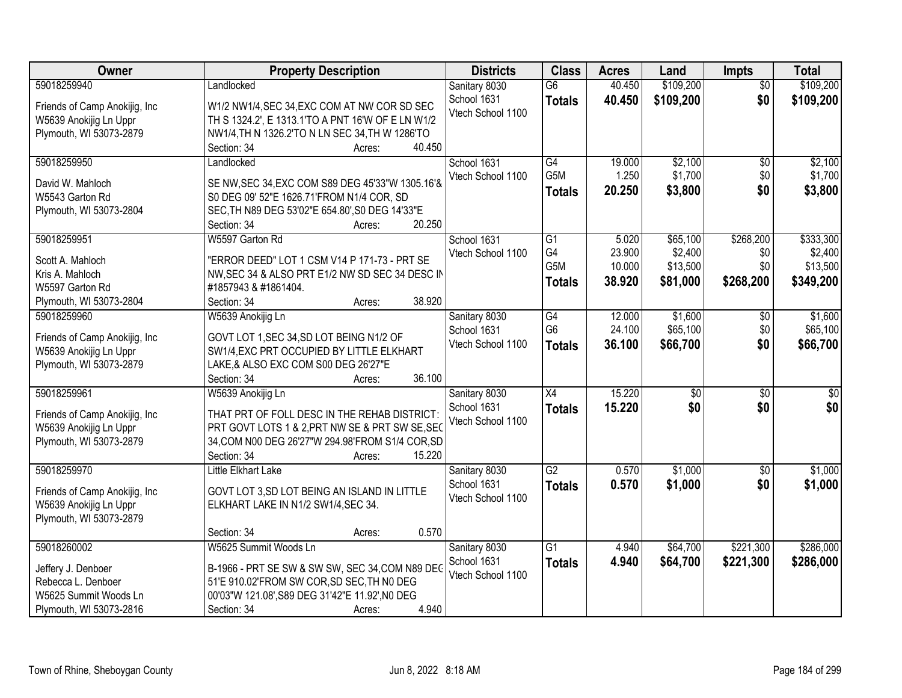| Owner                          | <b>Property Description</b>                       |                  | <b>Districts</b>  | <b>Class</b>     | <b>Acres</b> | Land            | <b>Impts</b>    | <b>Total</b>    |
|--------------------------------|---------------------------------------------------|------------------|-------------------|------------------|--------------|-----------------|-----------------|-----------------|
| 59018259940                    | Landlocked                                        |                  | Sanitary 8030     | $\overline{G6}$  | 40.450       | \$109,200       | $\overline{50}$ | \$109,200       |
| Friends of Camp Anokijig, Inc. | W1/2 NW1/4, SEC 34, EXC COM AT NW COR SD SEC      |                  | School 1631       | <b>Totals</b>    | 40.450       | \$109,200       | \$0             | \$109,200       |
| W5639 Anokijig Ln Uppr         | TH S 1324.2', E 1313.1'TO A PNT 16'W OF E LN W1/2 |                  | Vtech School 1100 |                  |              |                 |                 |                 |
| Plymouth, WI 53073-2879        | NW1/4, TH N 1326.2'TO N LN SEC 34, TH W 1286'TO   |                  |                   |                  |              |                 |                 |                 |
|                                | Section: 34                                       | 40.450<br>Acres: |                   |                  |              |                 |                 |                 |
| 59018259950                    | Landlocked                                        |                  | School 1631       | G4               | 19.000       | \$2,100         | \$0             | \$2,100         |
|                                |                                                   |                  | Vtech School 1100 | G <sub>5</sub> M | 1.250        | \$1,700         | \$0             | \$1,700         |
| David W. Mahloch               | SE NW, SEC 34, EXC COM S89 DEG 45'33"W 1305.16'&  |                  |                   | <b>Totals</b>    | 20.250       | \$3,800         | \$0             | \$3,800         |
| W5543 Garton Rd                | S0 DEG 09' 52"E 1626.71'FROM N1/4 COR, SD         |                  |                   |                  |              |                 |                 |                 |
| Plymouth, WI 53073-2804        | SEC, TH N89 DEG 53'02"E 654.80', S0 DEG 14'33"E   | 20.250           |                   |                  |              |                 |                 |                 |
| 59018259951                    | Section: 34<br>W5597 Garton Rd                    | Acres:           | School 1631       | G1               | 5.020        | \$65,100        | \$268,200       | \$333,300       |
|                                |                                                   |                  | Vtech School 1100 | G4               | 23.900       | \$2,400         | \$0             | \$2,400         |
| Scott A. Mahloch               | "ERROR DEED" LOT 1 CSM V14 P 171-73 - PRT SE      |                  |                   | G <sub>5</sub> M | 10.000       | \$13,500        | \$0             | \$13,500        |
| Kris A. Mahloch                | NW, SEC 34 & ALSO PRT E1/2 NW SD SEC 34 DESC IN   |                  |                   | <b>Totals</b>    | 38.920       | \$81,000        | \$268,200       | \$349,200       |
| W5597 Garton Rd                | #1857943 & #1861404.                              |                  |                   |                  |              |                 |                 |                 |
| Plymouth, WI 53073-2804        | Section: 34                                       | 38.920<br>Acres: |                   |                  |              |                 |                 |                 |
| 59018259960                    | W5639 Anokijig Ln                                 |                  | Sanitary 8030     | G4               | 12.000       | \$1,600         | $\sqrt[6]{3}$   | \$1,600         |
| Friends of Camp Anokijig, Inc  | GOVT LOT 1, SEC 34, SD LOT BEING N1/2 OF          |                  | School 1631       | G <sub>6</sub>   | 24.100       | \$65,100        | \$0             | \$65,100        |
| W5639 Anokijig Ln Uppr         | SW1/4, EXC PRT OCCUPIED BY LITTLE ELKHART         |                  | Vtech School 1100 | <b>Totals</b>    | 36.100       | \$66,700        | \$0             | \$66,700        |
| Plymouth, WI 53073-2879        | LAKE,& ALSO EXC COM S00 DEG 26'27"E               |                  |                   |                  |              |                 |                 |                 |
|                                | Section: 34                                       | 36.100<br>Acres: |                   |                  |              |                 |                 |                 |
| 59018259961                    | W5639 Anokijig Ln                                 |                  | Sanitary 8030     | $\overline{X4}$  | 15.220       | $\overline{50}$ | $\overline{30}$ | $\overline{50}$ |
|                                |                                                   |                  | School 1631       | <b>Totals</b>    | 15.220       | \$0             | \$0             | \$0             |
| Friends of Camp Anokijig, Inc. | THAT PRT OF FOLL DESC IN THE REHAB DISTRICT:      |                  | Vtech School 1100 |                  |              |                 |                 |                 |
| W5639 Anokijig Ln Uppr         | PRT GOVT LOTS 1 & 2, PRT NW SE & PRT SW SE, SEC   |                  |                   |                  |              |                 |                 |                 |
| Plymouth, WI 53073-2879        | 34, COM N00 DEG 26'27"W 294.98' FROM S1/4 COR, SD |                  |                   |                  |              |                 |                 |                 |
|                                | Section: 34                                       | 15.220<br>Acres: |                   |                  |              |                 |                 |                 |
| 59018259970                    | Little Elkhart Lake                               |                  | Sanitary 8030     | $\overline{G2}$  | 0.570        | \$1,000         | $\overline{50}$ | \$1,000         |
| Friends of Camp Anokijig, Inc. | GOVT LOT 3, SD LOT BEING AN ISLAND IN LITTLE      |                  | School 1631       | <b>Totals</b>    | 0.570        | \$1,000         | \$0             | \$1,000         |
| W5639 Anokijig Ln Uppr         | ELKHART LAKE IN N1/2 SW1/4, SEC 34.               |                  | Vtech School 1100 |                  |              |                 |                 |                 |
| Plymouth, WI 53073-2879        |                                                   |                  |                   |                  |              |                 |                 |                 |
|                                | Section: 34                                       | 0.570<br>Acres:  |                   |                  |              |                 |                 |                 |
| 59018260002                    | W5625 Summit Woods Ln                             |                  | Sanitary 8030     | $\overline{G1}$  | 4.940        | \$64,700        | \$221,300       | \$286,000       |
| Jeffery J. Denboer             | B-1966 - PRT SE SW & SW SW, SEC 34, COM N89 DEG   |                  | School 1631       | <b>Totals</b>    | 4.940        | \$64,700        | \$221,300       | \$286,000       |
| Rebecca L. Denboer             | 51'E 910.02'FROM SW COR, SD SEC, TH NO DEG        |                  | Vtech School 1100 |                  |              |                 |                 |                 |
| W5625 Summit Woods Ln          | 00'03"W 121.08', S89 DEG 31'42"E 11.92', NO DEG   |                  |                   |                  |              |                 |                 |                 |
| Plymouth, WI 53073-2816        | Section: 34                                       | 4.940<br>Acres:  |                   |                  |              |                 |                 |                 |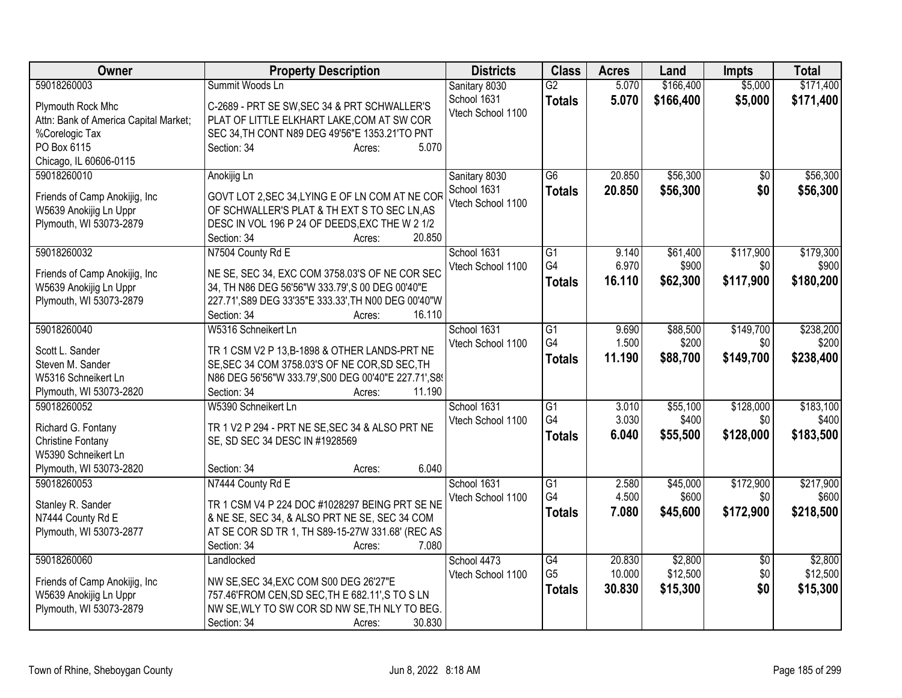| 59018260003<br>Summit Woods Ln<br>$\overline{G2}$<br>5.070<br>\$166,400<br>\$5,000<br>Sanitary 8030<br>School 1631<br>5.070<br>\$166,400<br>\$5,000<br><b>Totals</b><br>C-2689 - PRT SE SW, SEC 34 & PRT SCHWALLER'S<br>Plymouth Rock Mhc<br>Vtech School 1100<br>PLAT OF LITTLE ELKHART LAKE, COM AT SW COR<br>Attn: Bank of America Capital Market;<br>SEC 34, TH CONT N89 DEG 49'56"E 1353.21'TO PNT<br>%Corelogic Tax<br>PO Box 6115<br>5.070<br>Section: 34<br>Acres:<br>Chicago, IL 60606-0115<br>59018260010<br>Sanitary 8030<br>$\overline{G6}$<br>20.850<br>\$56,300<br>$\overline{50}$<br>Anokijig Ln<br>School 1631<br>\$56,300<br>\$0<br>20.850<br><b>Totals</b><br>GOVT LOT 2, SEC 34, LYING E OF LN COM AT NE COR<br>Friends of Camp Anokijig, Inc.<br>Vtech School 1100<br>OF SCHWALLER'S PLAT & TH EXT S TO SEC LN, AS<br>W5639 Anokijig Ln Uppr<br>Plymouth, WI 53073-2879<br>DESC IN VOL 196 P 24 OF DEEDS, EXC THE W 2 1/2<br>Section: 34<br>20.850<br>Acres:<br>\$117,900<br>59018260032<br>N7504 County Rd E<br>School 1631<br>$\overline{G1}$<br>9.140<br>\$61,400<br>G4<br>6.970<br>\$900<br>Vtech School 1100<br>\$0<br>NE SE, SEC 34, EXC COM 3758.03'S OF NE COR SEC<br>Friends of Camp Anokijig, Inc.<br>\$117,900<br>16.110<br>\$62,300<br>\$180,200<br><b>Totals</b><br>34, TH N86 DEG 56'56"W 333.79', S 00 DEG 00'40"E<br>W5639 Anokijig Ln Uppr<br>Plymouth, WI 53073-2879<br>227.71', S89 DEG 33'35"E 333.33', TH N00 DEG 00'40"W<br>16.110<br>Section: 34<br>Acres:<br>59018260040<br>W5316 Schneikert Ln<br>School 1631<br>9.690<br>\$88,500<br>\$149,700<br>G <sub>1</sub><br>G4<br>1.500<br>Vtech School 1100<br>\$200<br>\$0<br>TR 1 CSM V2 P 13, B-1898 & OTHER LANDS-PRT NE<br>Scott L. Sander<br>11.190<br>\$88,700<br>\$149,700<br>\$238,400<br><b>Totals</b><br>SE, SEC 34 COM 3758.03'S OF NE COR, SD SEC, TH<br>Steven M. Sander<br>N86 DEG 56'56"W 333.79', S00 DEG 00'40"E 227.71', S8'<br>W5316 Schneikert Ln<br>11.190<br>Plymouth, WI 53073-2820<br>Section: 34<br>Acres:<br>59018260052<br>W5390 Schneikert Ln<br>\$128,000<br>School 1631<br>G1<br>3.010<br>\$55,100<br>G <sub>4</sub><br>3.030<br>\$400<br>\$0<br>Vtech School 1100<br>Richard G. Fontany<br>TR 1 V2 P 294 - PRT NE SE, SEC 34 & ALSO PRT NE<br>\$183,500<br>6.040<br>\$55,500<br>\$128,000<br><b>Totals</b><br><b>Christine Fontany</b><br>SE, SD SEC 34 DESC IN #1928569<br>W5390 Schneikert Ln<br>6.040<br>Plymouth, WI 53073-2820<br>Section: 34<br>Acres:<br>\$172,900<br>59018260053<br>N7444 County Rd E<br>School 1631<br>$\overline{G1}$<br>2.580<br>\$45,000<br>G4<br>4.500<br>\$600<br>\$0<br>Vtech School 1100<br>TR 1 CSM V4 P 224 DOC #1028297 BEING PRT SE NE<br>Stanley R. Sander<br>7.080<br>\$45,600<br>\$172,900<br>\$218,500<br><b>Totals</b><br>& NE SE, SEC 34, & ALSO PRT NE SE, SEC 34 COM<br>N7444 County Rd E<br>AT SE COR SD TR 1, TH S89-15-27W 331.68' (REC AS<br>Plymouth, WI 53073-2877<br>7.080<br>Section: 34<br>Acres:<br>59018260060<br>$\overline{G4}$<br>\$2,800<br>Landlocked<br>School 4473<br>20.830<br>$\overline{50}$<br>G <sub>5</sub><br>\$12,500<br>10.000<br>\$0<br>Vtech School 1100<br>NW SE, SEC 34, EXC COM S00 DEG 26'27"E<br>Friends of Camp Anokijig, Inc.<br>\$0<br>\$15,300<br>30.830<br>\$15,300<br><b>Totals</b><br>W5639 Anokijig Ln Uppr<br>757.46'FROM CEN, SD SEC, TH E 682.11', S TO SLN<br>Plymouth, WI 53073-2879<br>NW SE, WLY TO SW COR SD NW SE, TH NLY TO BEG. | Owner | <b>Property Description</b>     | <b>Districts</b> | <b>Class</b> | <b>Acres</b> | Land | <b>Impts</b> | <b>Total</b> |
|---------------------------------------------------------------------------------------------------------------------------------------------------------------------------------------------------------------------------------------------------------------------------------------------------------------------------------------------------------------------------------------------------------------------------------------------------------------------------------------------------------------------------------------------------------------------------------------------------------------------------------------------------------------------------------------------------------------------------------------------------------------------------------------------------------------------------------------------------------------------------------------------------------------------------------------------------------------------------------------------------------------------------------------------------------------------------------------------------------------------------------------------------------------------------------------------------------------------------------------------------------------------------------------------------------------------------------------------------------------------------------------------------------------------------------------------------------------------------------------------------------------------------------------------------------------------------------------------------------------------------------------------------------------------------------------------------------------------------------------------------------------------------------------------------------------------------------------------------------------------------------------------------------------------------------------------------------------------------------------------------------------------------------------------------------------------------------------------------------------------------------------------------------------------------------------------------------------------------------------------------------------------------------------------------------------------------------------------------------------------------------------------------------------------------------------------------------------------------------------------------------------------------------------------------------------------------------------------------------------------------------------------------------------------------------------------------------------------------------------------------------------------------------------------------------------------------------------------------------------------------------------------------------------------------------------------------------------------------------------------------------------------------------------------------------------------------------------------------------------------------------------------------------------------------------------------------------------------------------------------------------------------------------------------------------------------------------------------------------------------------------------------------------------------------------------------------------|-------|---------------------------------|------------------|--------------|--------------|------|--------------|--------------|
|                                                                                                                                                                                                                                                                                                                                                                                                                                                                                                                                                                                                                                                                                                                                                                                                                                                                                                                                                                                                                                                                                                                                                                                                                                                                                                                                                                                                                                                                                                                                                                                                                                                                                                                                                                                                                                                                                                                                                                                                                                                                                                                                                                                                                                                                                                                                                                                                                                                                                                                                                                                                                                                                                                                                                                                                                                                                                                                                                                                                                                                                                                                                                                                                                                                                                                                                                                                                                                                         |       |                                 |                  |              |              |      |              | \$171,400    |
| \$56,300<br>\$56,300<br>\$179,300<br>\$900                                                                                                                                                                                                                                                                                                                                                                                                                                                                                                                                                                                                                                                                                                                                                                                                                                                                                                                                                                                                                                                                                                                                                                                                                                                                                                                                                                                                                                                                                                                                                                                                                                                                                                                                                                                                                                                                                                                                                                                                                                                                                                                                                                                                                                                                                                                                                                                                                                                                                                                                                                                                                                                                                                                                                                                                                                                                                                                                                                                                                                                                                                                                                                                                                                                                                                                                                                                                              |       |                                 |                  |              |              |      |              | \$171,400    |
|                                                                                                                                                                                                                                                                                                                                                                                                                                                                                                                                                                                                                                                                                                                                                                                                                                                                                                                                                                                                                                                                                                                                                                                                                                                                                                                                                                                                                                                                                                                                                                                                                                                                                                                                                                                                                                                                                                                                                                                                                                                                                                                                                                                                                                                                                                                                                                                                                                                                                                                                                                                                                                                                                                                                                                                                                                                                                                                                                                                                                                                                                                                                                                                                                                                                                                                                                                                                                                                         |       |                                 |                  |              |              |      |              |              |
|                                                                                                                                                                                                                                                                                                                                                                                                                                                                                                                                                                                                                                                                                                                                                                                                                                                                                                                                                                                                                                                                                                                                                                                                                                                                                                                                                                                                                                                                                                                                                                                                                                                                                                                                                                                                                                                                                                                                                                                                                                                                                                                                                                                                                                                                                                                                                                                                                                                                                                                                                                                                                                                                                                                                                                                                                                                                                                                                                                                                                                                                                                                                                                                                                                                                                                                                                                                                                                                         |       |                                 |                  |              |              |      |              |              |
|                                                                                                                                                                                                                                                                                                                                                                                                                                                                                                                                                                                                                                                                                                                                                                                                                                                                                                                                                                                                                                                                                                                                                                                                                                                                                                                                                                                                                                                                                                                                                                                                                                                                                                                                                                                                                                                                                                                                                                                                                                                                                                                                                                                                                                                                                                                                                                                                                                                                                                                                                                                                                                                                                                                                                                                                                                                                                                                                                                                                                                                                                                                                                                                                                                                                                                                                                                                                                                                         |       |                                 |                  |              |              |      |              |              |
|                                                                                                                                                                                                                                                                                                                                                                                                                                                                                                                                                                                                                                                                                                                                                                                                                                                                                                                                                                                                                                                                                                                                                                                                                                                                                                                                                                                                                                                                                                                                                                                                                                                                                                                                                                                                                                                                                                                                                                                                                                                                                                                                                                                                                                                                                                                                                                                                                                                                                                                                                                                                                                                                                                                                                                                                                                                                                                                                                                                                                                                                                                                                                                                                                                                                                                                                                                                                                                                         |       |                                 |                  |              |              |      |              |              |
|                                                                                                                                                                                                                                                                                                                                                                                                                                                                                                                                                                                                                                                                                                                                                                                                                                                                                                                                                                                                                                                                                                                                                                                                                                                                                                                                                                                                                                                                                                                                                                                                                                                                                                                                                                                                                                                                                                                                                                                                                                                                                                                                                                                                                                                                                                                                                                                                                                                                                                                                                                                                                                                                                                                                                                                                                                                                                                                                                                                                                                                                                                                                                                                                                                                                                                                                                                                                                                                         |       |                                 |                  |              |              |      |              |              |
|                                                                                                                                                                                                                                                                                                                                                                                                                                                                                                                                                                                                                                                                                                                                                                                                                                                                                                                                                                                                                                                                                                                                                                                                                                                                                                                                                                                                                                                                                                                                                                                                                                                                                                                                                                                                                                                                                                                                                                                                                                                                                                                                                                                                                                                                                                                                                                                                                                                                                                                                                                                                                                                                                                                                                                                                                                                                                                                                                                                                                                                                                                                                                                                                                                                                                                                                                                                                                                                         |       |                                 |                  |              |              |      |              |              |
|                                                                                                                                                                                                                                                                                                                                                                                                                                                                                                                                                                                                                                                                                                                                                                                                                                                                                                                                                                                                                                                                                                                                                                                                                                                                                                                                                                                                                                                                                                                                                                                                                                                                                                                                                                                                                                                                                                                                                                                                                                                                                                                                                                                                                                                                                                                                                                                                                                                                                                                                                                                                                                                                                                                                                                                                                                                                                                                                                                                                                                                                                                                                                                                                                                                                                                                                                                                                                                                         |       |                                 |                  |              |              |      |              |              |
|                                                                                                                                                                                                                                                                                                                                                                                                                                                                                                                                                                                                                                                                                                                                                                                                                                                                                                                                                                                                                                                                                                                                                                                                                                                                                                                                                                                                                                                                                                                                                                                                                                                                                                                                                                                                                                                                                                                                                                                                                                                                                                                                                                                                                                                                                                                                                                                                                                                                                                                                                                                                                                                                                                                                                                                                                                                                                                                                                                                                                                                                                                                                                                                                                                                                                                                                                                                                                                                         |       |                                 |                  |              |              |      |              |              |
|                                                                                                                                                                                                                                                                                                                                                                                                                                                                                                                                                                                                                                                                                                                                                                                                                                                                                                                                                                                                                                                                                                                                                                                                                                                                                                                                                                                                                                                                                                                                                                                                                                                                                                                                                                                                                                                                                                                                                                                                                                                                                                                                                                                                                                                                                                                                                                                                                                                                                                                                                                                                                                                                                                                                                                                                                                                                                                                                                                                                                                                                                                                                                                                                                                                                                                                                                                                                                                                         |       |                                 |                  |              |              |      |              |              |
|                                                                                                                                                                                                                                                                                                                                                                                                                                                                                                                                                                                                                                                                                                                                                                                                                                                                                                                                                                                                                                                                                                                                                                                                                                                                                                                                                                                                                                                                                                                                                                                                                                                                                                                                                                                                                                                                                                                                                                                                                                                                                                                                                                                                                                                                                                                                                                                                                                                                                                                                                                                                                                                                                                                                                                                                                                                                                                                                                                                                                                                                                                                                                                                                                                                                                                                                                                                                                                                         |       |                                 |                  |              |              |      |              |              |
| \$238,200<br>\$200<br>\$183,100<br>\$400<br>\$217,900<br>\$600<br>\$2,800<br>\$12,500                                                                                                                                                                                                                                                                                                                                                                                                                                                                                                                                                                                                                                                                                                                                                                                                                                                                                                                                                                                                                                                                                                                                                                                                                                                                                                                                                                                                                                                                                                                                                                                                                                                                                                                                                                                                                                                                                                                                                                                                                                                                                                                                                                                                                                                                                                                                                                                                                                                                                                                                                                                                                                                                                                                                                                                                                                                                                                                                                                                                                                                                                                                                                                                                                                                                                                                                                                   |       |                                 |                  |              |              |      |              |              |
|                                                                                                                                                                                                                                                                                                                                                                                                                                                                                                                                                                                                                                                                                                                                                                                                                                                                                                                                                                                                                                                                                                                                                                                                                                                                                                                                                                                                                                                                                                                                                                                                                                                                                                                                                                                                                                                                                                                                                                                                                                                                                                                                                                                                                                                                                                                                                                                                                                                                                                                                                                                                                                                                                                                                                                                                                                                                                                                                                                                                                                                                                                                                                                                                                                                                                                                                                                                                                                                         |       |                                 |                  |              |              |      |              |              |
|                                                                                                                                                                                                                                                                                                                                                                                                                                                                                                                                                                                                                                                                                                                                                                                                                                                                                                                                                                                                                                                                                                                                                                                                                                                                                                                                                                                                                                                                                                                                                                                                                                                                                                                                                                                                                                                                                                                                                                                                                                                                                                                                                                                                                                                                                                                                                                                                                                                                                                                                                                                                                                                                                                                                                                                                                                                                                                                                                                                                                                                                                                                                                                                                                                                                                                                                                                                                                                                         |       |                                 |                  |              |              |      |              |              |
|                                                                                                                                                                                                                                                                                                                                                                                                                                                                                                                                                                                                                                                                                                                                                                                                                                                                                                                                                                                                                                                                                                                                                                                                                                                                                                                                                                                                                                                                                                                                                                                                                                                                                                                                                                                                                                                                                                                                                                                                                                                                                                                                                                                                                                                                                                                                                                                                                                                                                                                                                                                                                                                                                                                                                                                                                                                                                                                                                                                                                                                                                                                                                                                                                                                                                                                                                                                                                                                         |       |                                 |                  |              |              |      |              |              |
|                                                                                                                                                                                                                                                                                                                                                                                                                                                                                                                                                                                                                                                                                                                                                                                                                                                                                                                                                                                                                                                                                                                                                                                                                                                                                                                                                                                                                                                                                                                                                                                                                                                                                                                                                                                                                                                                                                                                                                                                                                                                                                                                                                                                                                                                                                                                                                                                                                                                                                                                                                                                                                                                                                                                                                                                                                                                                                                                                                                                                                                                                                                                                                                                                                                                                                                                                                                                                                                         |       |                                 |                  |              |              |      |              |              |
|                                                                                                                                                                                                                                                                                                                                                                                                                                                                                                                                                                                                                                                                                                                                                                                                                                                                                                                                                                                                                                                                                                                                                                                                                                                                                                                                                                                                                                                                                                                                                                                                                                                                                                                                                                                                                                                                                                                                                                                                                                                                                                                                                                                                                                                                                                                                                                                                                                                                                                                                                                                                                                                                                                                                                                                                                                                                                                                                                                                                                                                                                                                                                                                                                                                                                                                                                                                                                                                         |       |                                 |                  |              |              |      |              |              |
|                                                                                                                                                                                                                                                                                                                                                                                                                                                                                                                                                                                                                                                                                                                                                                                                                                                                                                                                                                                                                                                                                                                                                                                                                                                                                                                                                                                                                                                                                                                                                                                                                                                                                                                                                                                                                                                                                                                                                                                                                                                                                                                                                                                                                                                                                                                                                                                                                                                                                                                                                                                                                                                                                                                                                                                                                                                                                                                                                                                                                                                                                                                                                                                                                                                                                                                                                                                                                                                         |       |                                 |                  |              |              |      |              |              |
|                                                                                                                                                                                                                                                                                                                                                                                                                                                                                                                                                                                                                                                                                                                                                                                                                                                                                                                                                                                                                                                                                                                                                                                                                                                                                                                                                                                                                                                                                                                                                                                                                                                                                                                                                                                                                                                                                                                                                                                                                                                                                                                                                                                                                                                                                                                                                                                                                                                                                                                                                                                                                                                                                                                                                                                                                                                                                                                                                                                                                                                                                                                                                                                                                                                                                                                                                                                                                                                         |       |                                 |                  |              |              |      |              |              |
|                                                                                                                                                                                                                                                                                                                                                                                                                                                                                                                                                                                                                                                                                                                                                                                                                                                                                                                                                                                                                                                                                                                                                                                                                                                                                                                                                                                                                                                                                                                                                                                                                                                                                                                                                                                                                                                                                                                                                                                                                                                                                                                                                                                                                                                                                                                                                                                                                                                                                                                                                                                                                                                                                                                                                                                                                                                                                                                                                                                                                                                                                                                                                                                                                                                                                                                                                                                                                                                         |       |                                 |                  |              |              |      |              |              |
|                                                                                                                                                                                                                                                                                                                                                                                                                                                                                                                                                                                                                                                                                                                                                                                                                                                                                                                                                                                                                                                                                                                                                                                                                                                                                                                                                                                                                                                                                                                                                                                                                                                                                                                                                                                                                                                                                                                                                                                                                                                                                                                                                                                                                                                                                                                                                                                                                                                                                                                                                                                                                                                                                                                                                                                                                                                                                                                                                                                                                                                                                                                                                                                                                                                                                                                                                                                                                                                         |       |                                 |                  |              |              |      |              |              |
|                                                                                                                                                                                                                                                                                                                                                                                                                                                                                                                                                                                                                                                                                                                                                                                                                                                                                                                                                                                                                                                                                                                                                                                                                                                                                                                                                                                                                                                                                                                                                                                                                                                                                                                                                                                                                                                                                                                                                                                                                                                                                                                                                                                                                                                                                                                                                                                                                                                                                                                                                                                                                                                                                                                                                                                                                                                                                                                                                                                                                                                                                                                                                                                                                                                                                                                                                                                                                                                         |       |                                 |                  |              |              |      |              |              |
|                                                                                                                                                                                                                                                                                                                                                                                                                                                                                                                                                                                                                                                                                                                                                                                                                                                                                                                                                                                                                                                                                                                                                                                                                                                                                                                                                                                                                                                                                                                                                                                                                                                                                                                                                                                                                                                                                                                                                                                                                                                                                                                                                                                                                                                                                                                                                                                                                                                                                                                                                                                                                                                                                                                                                                                                                                                                                                                                                                                                                                                                                                                                                                                                                                                                                                                                                                                                                                                         |       |                                 |                  |              |              |      |              |              |
|                                                                                                                                                                                                                                                                                                                                                                                                                                                                                                                                                                                                                                                                                                                                                                                                                                                                                                                                                                                                                                                                                                                                                                                                                                                                                                                                                                                                                                                                                                                                                                                                                                                                                                                                                                                                                                                                                                                                                                                                                                                                                                                                                                                                                                                                                                                                                                                                                                                                                                                                                                                                                                                                                                                                                                                                                                                                                                                                                                                                                                                                                                                                                                                                                                                                                                                                                                                                                                                         |       |                                 |                  |              |              |      |              |              |
|                                                                                                                                                                                                                                                                                                                                                                                                                                                                                                                                                                                                                                                                                                                                                                                                                                                                                                                                                                                                                                                                                                                                                                                                                                                                                                                                                                                                                                                                                                                                                                                                                                                                                                                                                                                                                                                                                                                                                                                                                                                                                                                                                                                                                                                                                                                                                                                                                                                                                                                                                                                                                                                                                                                                                                                                                                                                                                                                                                                                                                                                                                                                                                                                                                                                                                                                                                                                                                                         |       |                                 |                  |              |              |      |              |              |
|                                                                                                                                                                                                                                                                                                                                                                                                                                                                                                                                                                                                                                                                                                                                                                                                                                                                                                                                                                                                                                                                                                                                                                                                                                                                                                                                                                                                                                                                                                                                                                                                                                                                                                                                                                                                                                                                                                                                                                                                                                                                                                                                                                                                                                                                                                                                                                                                                                                                                                                                                                                                                                                                                                                                                                                                                                                                                                                                                                                                                                                                                                                                                                                                                                                                                                                                                                                                                                                         |       |                                 |                  |              |              |      |              |              |
|                                                                                                                                                                                                                                                                                                                                                                                                                                                                                                                                                                                                                                                                                                                                                                                                                                                                                                                                                                                                                                                                                                                                                                                                                                                                                                                                                                                                                                                                                                                                                                                                                                                                                                                                                                                                                                                                                                                                                                                                                                                                                                                                                                                                                                                                                                                                                                                                                                                                                                                                                                                                                                                                                                                                                                                                                                                                                                                                                                                                                                                                                                                                                                                                                                                                                                                                                                                                                                                         |       |                                 |                  |              |              |      |              |              |
|                                                                                                                                                                                                                                                                                                                                                                                                                                                                                                                                                                                                                                                                                                                                                                                                                                                                                                                                                                                                                                                                                                                                                                                                                                                                                                                                                                                                                                                                                                                                                                                                                                                                                                                                                                                                                                                                                                                                                                                                                                                                                                                                                                                                                                                                                                                                                                                                                                                                                                                                                                                                                                                                                                                                                                                                                                                                                                                                                                                                                                                                                                                                                                                                                                                                                                                                                                                                                                                         |       |                                 |                  |              |              |      |              |              |
|                                                                                                                                                                                                                                                                                                                                                                                                                                                                                                                                                                                                                                                                                                                                                                                                                                                                                                                                                                                                                                                                                                                                                                                                                                                                                                                                                                                                                                                                                                                                                                                                                                                                                                                                                                                                                                                                                                                                                                                                                                                                                                                                                                                                                                                                                                                                                                                                                                                                                                                                                                                                                                                                                                                                                                                                                                                                                                                                                                                                                                                                                                                                                                                                                                                                                                                                                                                                                                                         |       |                                 |                  |              |              |      |              |              |
|                                                                                                                                                                                                                                                                                                                                                                                                                                                                                                                                                                                                                                                                                                                                                                                                                                                                                                                                                                                                                                                                                                                                                                                                                                                                                                                                                                                                                                                                                                                                                                                                                                                                                                                                                                                                                                                                                                                                                                                                                                                                                                                                                                                                                                                                                                                                                                                                                                                                                                                                                                                                                                                                                                                                                                                                                                                                                                                                                                                                                                                                                                                                                                                                                                                                                                                                                                                                                                                         |       |                                 |                  |              |              |      |              |              |
|                                                                                                                                                                                                                                                                                                                                                                                                                                                                                                                                                                                                                                                                                                                                                                                                                                                                                                                                                                                                                                                                                                                                                                                                                                                                                                                                                                                                                                                                                                                                                                                                                                                                                                                                                                                                                                                                                                                                                                                                                                                                                                                                                                                                                                                                                                                                                                                                                                                                                                                                                                                                                                                                                                                                                                                                                                                                                                                                                                                                                                                                                                                                                                                                                                                                                                                                                                                                                                                         |       |                                 |                  |              |              |      |              |              |
|                                                                                                                                                                                                                                                                                                                                                                                                                                                                                                                                                                                                                                                                                                                                                                                                                                                                                                                                                                                                                                                                                                                                                                                                                                                                                                                                                                                                                                                                                                                                                                                                                                                                                                                                                                                                                                                                                                                                                                                                                                                                                                                                                                                                                                                                                                                                                                                                                                                                                                                                                                                                                                                                                                                                                                                                                                                                                                                                                                                                                                                                                                                                                                                                                                                                                                                                                                                                                                                         |       |                                 |                  |              |              |      |              |              |
|                                                                                                                                                                                                                                                                                                                                                                                                                                                                                                                                                                                                                                                                                                                                                                                                                                                                                                                                                                                                                                                                                                                                                                                                                                                                                                                                                                                                                                                                                                                                                                                                                                                                                                                                                                                                                                                                                                                                                                                                                                                                                                                                                                                                                                                                                                                                                                                                                                                                                                                                                                                                                                                                                                                                                                                                                                                                                                                                                                                                                                                                                                                                                                                                                                                                                                                                                                                                                                                         |       |                                 |                  |              |              |      |              |              |
|                                                                                                                                                                                                                                                                                                                                                                                                                                                                                                                                                                                                                                                                                                                                                                                                                                                                                                                                                                                                                                                                                                                                                                                                                                                                                                                                                                                                                                                                                                                                                                                                                                                                                                                                                                                                                                                                                                                                                                                                                                                                                                                                                                                                                                                                                                                                                                                                                                                                                                                                                                                                                                                                                                                                                                                                                                                                                                                                                                                                                                                                                                                                                                                                                                                                                                                                                                                                                                                         |       |                                 |                  |              |              |      |              |              |
|                                                                                                                                                                                                                                                                                                                                                                                                                                                                                                                                                                                                                                                                                                                                                                                                                                                                                                                                                                                                                                                                                                                                                                                                                                                                                                                                                                                                                                                                                                                                                                                                                                                                                                                                                                                                                                                                                                                                                                                                                                                                                                                                                                                                                                                                                                                                                                                                                                                                                                                                                                                                                                                                                                                                                                                                                                                                                                                                                                                                                                                                                                                                                                                                                                                                                                                                                                                                                                                         |       |                                 |                  |              |              |      |              |              |
|                                                                                                                                                                                                                                                                                                                                                                                                                                                                                                                                                                                                                                                                                                                                                                                                                                                                                                                                                                                                                                                                                                                                                                                                                                                                                                                                                                                                                                                                                                                                                                                                                                                                                                                                                                                                                                                                                                                                                                                                                                                                                                                                                                                                                                                                                                                                                                                                                                                                                                                                                                                                                                                                                                                                                                                                                                                                                                                                                                                                                                                                                                                                                                                                                                                                                                                                                                                                                                                         |       |                                 |                  |              |              |      |              |              |
|                                                                                                                                                                                                                                                                                                                                                                                                                                                                                                                                                                                                                                                                                                                                                                                                                                                                                                                                                                                                                                                                                                                                                                                                                                                                                                                                                                                                                                                                                                                                                                                                                                                                                                                                                                                                                                                                                                                                                                                                                                                                                                                                                                                                                                                                                                                                                                                                                                                                                                                                                                                                                                                                                                                                                                                                                                                                                                                                                                                                                                                                                                                                                                                                                                                                                                                                                                                                                                                         |       | Section: 34<br>30.830<br>Acres: |                  |              |              |      |              |              |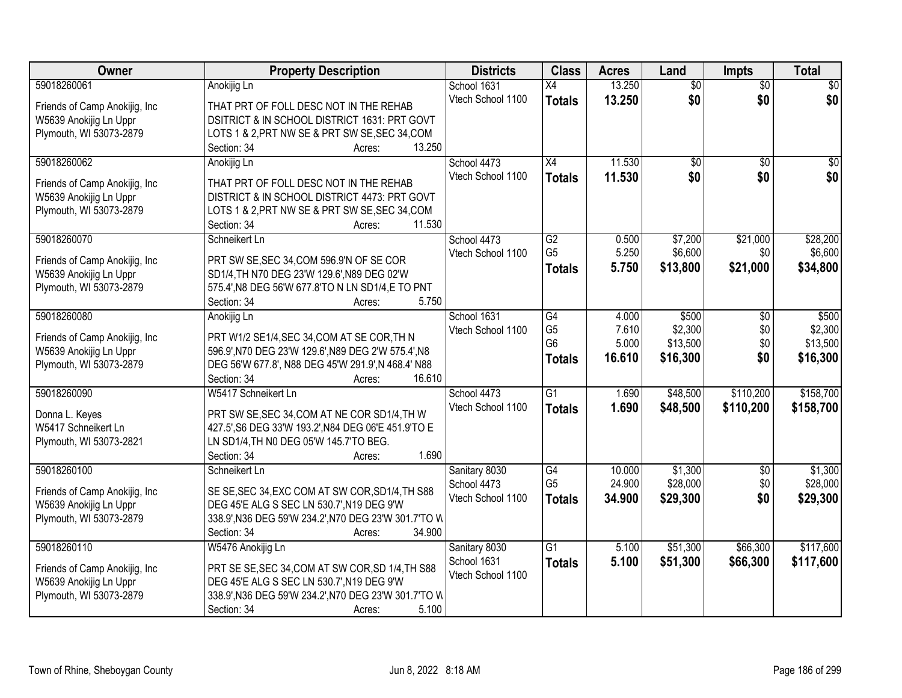| Owner                                                    | <b>Property Description</b>                                                                  | <b>Districts</b>                 | <b>Class</b>    | <b>Acres</b> | Land            | <b>Impts</b>    | <b>Total</b>     |
|----------------------------------------------------------|----------------------------------------------------------------------------------------------|----------------------------------|-----------------|--------------|-----------------|-----------------|------------------|
| 59018260061                                              | Anokijig Ln                                                                                  | School 1631                      | X4              | 13.250       | $\overline{50}$ | $\overline{50}$ | $\overline{30}$  |
| Friends of Camp Anokijig, Inc.                           | THAT PRT OF FOLL DESC NOT IN THE REHAB                                                       | Vtech School 1100                | <b>Totals</b>   | 13.250       | \$0             | \$0             | \$0              |
| W5639 Anokijig Ln Uppr                                   | DSITRICT & IN SCHOOL DISTRICT 1631: PRT GOVT                                                 |                                  |                 |              |                 |                 |                  |
| Plymouth, WI 53073-2879                                  | LOTS 1 & 2, PRT NW SE & PRT SW SE, SEC 34, COM                                               |                                  |                 |              |                 |                 |                  |
|                                                          | 13.250<br>Section: 34<br>Acres:                                                              |                                  |                 |              |                 |                 |                  |
| 59018260062                                              | Anokijig Ln                                                                                  | School 4473                      | $\overline{X4}$ | 11.530       | $\overline{50}$ | $\overline{30}$ | $\overline{\$0}$ |
|                                                          |                                                                                              | Vtech School 1100                | <b>Totals</b>   | 11.530       | \$0             | \$0             | \$0              |
| Friends of Camp Anokijig, Inc.                           | THAT PRT OF FOLL DESC NOT IN THE REHAB                                                       |                                  |                 |              |                 |                 |                  |
| W5639 Anokijig Ln Uppr                                   | DISTRICT & IN SCHOOL DISTRICT 4473: PRT GOVT                                                 |                                  |                 |              |                 |                 |                  |
| Plymouth, WI 53073-2879                                  | LOTS 1 & 2, PRT NW SE & PRT SW SE, SEC 34, COM                                               |                                  |                 |              |                 |                 |                  |
|                                                          | 11.530<br>Section: 34<br>Acres:                                                              |                                  |                 |              |                 |                 |                  |
| 59018260070                                              | Schneikert Ln                                                                                | School 4473                      | G2              | 0.500        | \$7,200         | \$21,000        | \$28,200         |
| Friends of Camp Anokijig, Inc.                           | PRT SW SE, SEC 34, COM 596.9'N OF SE COR                                                     | Vtech School 1100                | G <sub>5</sub>  | 5.250        | \$6,600         | \$0             | \$6,600          |
| W5639 Anokijig Ln Uppr                                   | SD1/4, TH N70 DEG 23'W 129.6', N89 DEG 02'W                                                  |                                  | <b>Totals</b>   | 5.750        | \$13,800        | \$21,000        | \$34,800         |
| Plymouth, WI 53073-2879                                  | 575.4', N8 DEG 56'W 677.8'TO N LN SD1/4, E TO PNT                                            |                                  |                 |              |                 |                 |                  |
|                                                          | Section: 34<br>5.750<br>Acres:                                                               |                                  |                 |              |                 |                 |                  |
| 59018260080                                              | Anokijig Ln                                                                                  | School 1631                      | $\overline{G4}$ | 4.000        | \$500           | $\sqrt{6}$      | \$500            |
|                                                          |                                                                                              | Vtech School 1100                | G <sub>5</sub>  | 7.610        | \$2,300         | \$0             | \$2,300          |
| Friends of Camp Anokijig, Inc.                           | PRT W1/2 SE1/4, SEC 34, COM AT SE COR, TH N                                                  |                                  | G <sub>6</sub>  | 5.000        | \$13,500        | \$0             | \$13,500         |
| W5639 Anokijig Ln Uppr                                   | 596.9', N70 DEG 23'W 129.6', N89 DEG 2'W 575.4', N8                                          |                                  | <b>Totals</b>   | 16.610       | \$16,300        | \$0             | \$16,300         |
| Plymouth, WI 53073-2879                                  | DEG 56'W 677.8', N88 DEG 45'W 291.9', N 468.4' N88                                           |                                  |                 |              |                 |                 |                  |
|                                                          | 16.610<br>Section: 34<br>Acres:                                                              |                                  |                 |              |                 |                 |                  |
| 59018260090                                              | W5417 Schneikert Ln                                                                          | School 4473                      | $\overline{G1}$ | 1.690        | \$48,500        | \$110,200       | \$158,700        |
| Donna L. Keyes                                           | PRT SW SE, SEC 34, COM AT NE COR SD1/4, TH W                                                 | Vtech School 1100                | <b>Totals</b>   | 1.690        | \$48,500        | \$110,200       | \$158,700        |
| W5417 Schneikert Ln                                      | 427.5', S6 DEG 33'W 193.2', N84 DEG 06'E 451.9'TO E                                          |                                  |                 |              |                 |                 |                  |
| Plymouth, WI 53073-2821                                  | LN SD1/4, TH N0 DEG 05'W 145.7'TO BEG.                                                       |                                  |                 |              |                 |                 |                  |
|                                                          | 1.690<br>Section: 34<br>Acres:                                                               |                                  |                 |              |                 |                 |                  |
| 59018260100                                              | Schneikert Ln                                                                                | Sanitary 8030                    | G4              | 10.000       | \$1,300         | $\sqrt{6}$      | \$1,300          |
|                                                          |                                                                                              | School 4473                      | G <sub>5</sub>  | 24.900       | \$28,000        | \$0             | \$28,000         |
| Friends of Camp Anokijig, Inc.<br>W5639 Anokijig Ln Uppr | SE SE, SEC 34, EXC COM AT SW COR, SD1/4, TH S88<br>DEG 45'E ALG S SEC LN 530.7', N19 DEG 9'W | Vtech School 1100                | <b>Totals</b>   | 34.900       | \$29,300        | \$0             | \$29,300         |
|                                                          | 338.9', N36 DEG 59'W 234.2', N70 DEG 23'W 301.7'TO W                                         |                                  |                 |              |                 |                 |                  |
| Plymouth, WI 53073-2879                                  | 34.900<br>Section: 34                                                                        |                                  |                 |              |                 |                 |                  |
| 59018260110                                              | Acres:<br>W5476 Anokijig Ln                                                                  |                                  | $\overline{G1}$ | 5.100        | \$51,300        | \$66,300        | \$117,600        |
|                                                          |                                                                                              | Sanitary 8030                    |                 |              |                 |                 |                  |
| Friends of Camp Anokijig, Inc.                           | PRT SE SE, SEC 34, COM AT SW COR, SD 1/4, TH S88                                             | School 1631<br>Vtech School 1100 | <b>Totals</b>   | 5.100        | \$51,300        | \$66,300        | \$117,600        |
| W5639 Anokijig Ln Uppr                                   | DEG 45'E ALG S SEC LN 530.7', N19 DEG 9'W                                                    |                                  |                 |              |                 |                 |                  |
| Plymouth, WI 53073-2879                                  | 338.9', N36 DEG 59'W 234.2', N70 DEG 23'W 301.7'TO W                                         |                                  |                 |              |                 |                 |                  |
|                                                          | 5.100<br>Section: 34<br>Acres:                                                               |                                  |                 |              |                 |                 |                  |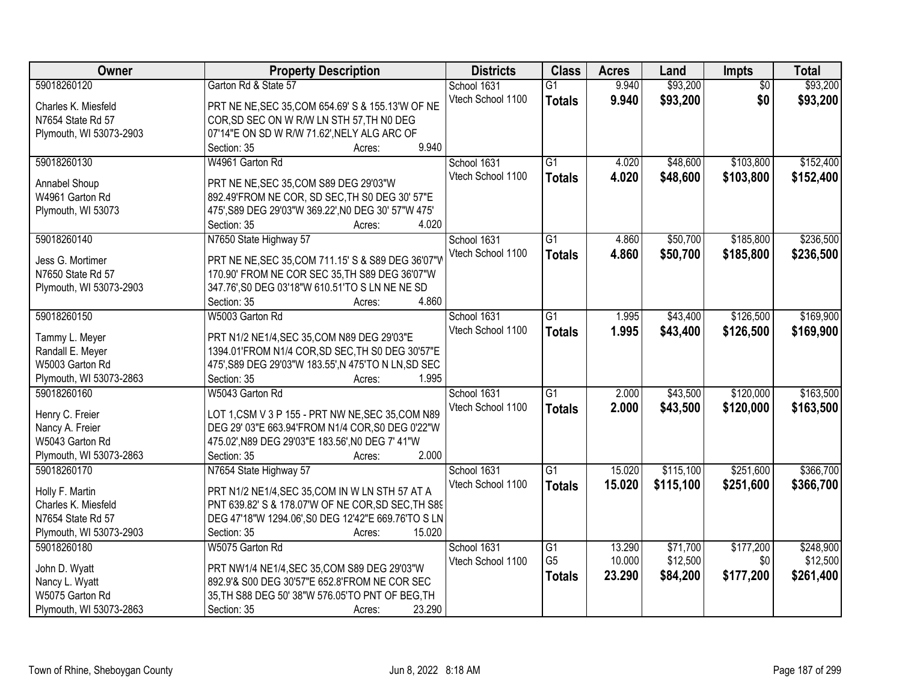| Owner                   | <b>Property Description</b>                          | <b>Districts</b>  | <b>Class</b>    | <b>Acres</b> | Land      | Impts           | <b>Total</b> |
|-------------------------|------------------------------------------------------|-------------------|-----------------|--------------|-----------|-----------------|--------------|
| 59018260120             | Garton Rd & State 57                                 | School 1631       | $\overline{G1}$ | 9.940        | \$93,200  | $\overline{50}$ | \$93,200     |
| Charles K. Miesfeld     | PRT NE NE, SEC 35, COM 654.69' S & 155.13'W OF NE    | Vtech School 1100 | <b>Totals</b>   | 9.940        | \$93,200  | \$0             | \$93,200     |
| N7654 State Rd 57       | COR, SD SEC ON W R/W LN STH 57, TH N0 DEG            |                   |                 |              |           |                 |              |
| Plymouth, WI 53073-2903 | 07'14"E ON SD W R/W 71.62', NELY ALG ARC OF          |                   |                 |              |           |                 |              |
|                         | 9.940<br>Section: 35<br>Acres:                       |                   |                 |              |           |                 |              |
| 59018260130             | W4961 Garton Rd                                      | School 1631       | $\overline{G1}$ | 4.020        | \$48,600  | \$103,800       | \$152,400    |
|                         |                                                      | Vtech School 1100 | <b>Totals</b>   | 4.020        | \$48,600  | \$103,800       | \$152,400    |
| Annabel Shoup           | PRT NE NE, SEC 35, COM S89 DEG 29'03"W               |                   |                 |              |           |                 |              |
| W4961 Garton Rd         | 892.49'FROM NE COR, SD SEC, TH S0 DEG 30' 57"E       |                   |                 |              |           |                 |              |
| Plymouth, WI 53073      | 475', S89 DEG 29'03"W 369.22', N0 DEG 30' 57"W 475'  |                   |                 |              |           |                 |              |
|                         | 4.020<br>Section: 35<br>Acres:                       |                   |                 |              |           |                 |              |
| 59018260140             | N7650 State Highway 57                               | School 1631       | $\overline{G1}$ | 4.860        | \$50,700  | \$185,800       | \$236,500    |
| Jess G. Mortimer        | PRT NE NE, SEC 35, COM 711.15' S & S89 DEG 36'07"V   | Vtech School 1100 | <b>Totals</b>   | 4.860        | \$50,700  | \$185,800       | \$236,500    |
| N7650 State Rd 57       | 170.90' FROM NE COR SEC 35, TH S89 DEG 36'07"W       |                   |                 |              |           |                 |              |
| Plymouth, WI 53073-2903 | 347.76', S0 DEG 03'18"W 610.51'TO S LN NE NE SD      |                   |                 |              |           |                 |              |
|                         | 4.860<br>Section: 35<br>Acres:                       |                   |                 |              |           |                 |              |
| 59018260150             | W5003 Garton Rd                                      | School 1631       | G1              | 1.995        | \$43,400  | \$126,500       | \$169,900    |
|                         |                                                      | Vtech School 1100 | <b>Totals</b>   | 1.995        | \$43,400  | \$126,500       | \$169,900    |
| Tammy L. Meyer          | PRT N1/2 NE1/4, SEC 35, COM N89 DEG 29'03"E          |                   |                 |              |           |                 |              |
| Randall E. Meyer        | 1394.01'FROM N1/4 COR, SD SEC, TH S0 DEG 30'57"E     |                   |                 |              |           |                 |              |
| W5003 Garton Rd         | 475', S89 DEG 29'03"W 183.55', N 475'TO N LN, SD SEC |                   |                 |              |           |                 |              |
| Plymouth, WI 53073-2863 | Section: 35<br>1.995<br>Acres:                       |                   |                 |              |           |                 |              |
| 59018260160             | W5043 Garton Rd                                      | School 1631       | $\overline{G1}$ | 2.000        | \$43,500  | \$120,000       | \$163,500    |
| Henry C. Freier         | LOT 1, CSM V 3 P 155 - PRT NW NE, SEC 35, COM N89    | Vtech School 1100 | <b>Totals</b>   | 2.000        | \$43,500  | \$120,000       | \$163,500    |
| Nancy A. Freier         | DEG 29' 03"E 663.94'FROM N1/4 COR, S0 DEG 0'22"W     |                   |                 |              |           |                 |              |
| W5043 Garton Rd         | 475.02', N89 DEG 29'03"E 183.56', N0 DEG 7' 41"W     |                   |                 |              |           |                 |              |
| Plymouth, WI 53073-2863 | 2.000<br>Section: 35<br>Acres:                       |                   |                 |              |           |                 |              |
| 59018260170             | N7654 State Highway 57                               | School 1631       | $\overline{G1}$ | 15.020       | \$115,100 | \$251,600       | \$366,700    |
|                         |                                                      | Vtech School 1100 |                 | 15.020       | \$115,100 | \$251,600       | \$366,700    |
| Holly F. Martin         | PRT N1/2 NE1/4, SEC 35, COM IN W LN STH 57 AT A      |                   | <b>Totals</b>   |              |           |                 |              |
| Charles K. Miesfeld     | PNT 639.82' S & 178.07'W OF NE COR, SD SEC, TH S89   |                   |                 |              |           |                 |              |
| N7654 State Rd 57       | DEG 47'18"W 1294.06', S0 DEG 12'42"E 669.76'TO S LN  |                   |                 |              |           |                 |              |
| Plymouth, WI 53073-2903 | Section: 35<br>15.020<br>Acres:                      |                   |                 |              |           |                 |              |
| 59018260180             | W5075 Garton Rd                                      | School 1631       | $\overline{G1}$ | 13.290       | \$71,700  | \$177,200       | \$248,900    |
| John D. Wyatt           | PRT NW1/4 NE1/4, SEC 35, COM S89 DEG 29'03"W         | Vtech School 1100 | G <sub>5</sub>  | 10.000       | \$12,500  | \$0             | \$12,500     |
| Nancy L. Wyatt          | 892.9'& S00 DEG 30'57"E 652.8'FROM NE COR SEC        |                   | <b>Totals</b>   | 23.290       | \$84,200  | \$177,200       | \$261,400    |
| W5075 Garton Rd         | 35, TH S88 DEG 50' 38"W 576.05'TO PNT OF BEG, TH     |                   |                 |              |           |                 |              |
|                         |                                                      |                   |                 |              |           |                 |              |
| Plymouth, WI 53073-2863 | 23.290<br>Section: 35<br>Acres:                      |                   |                 |              |           |                 |              |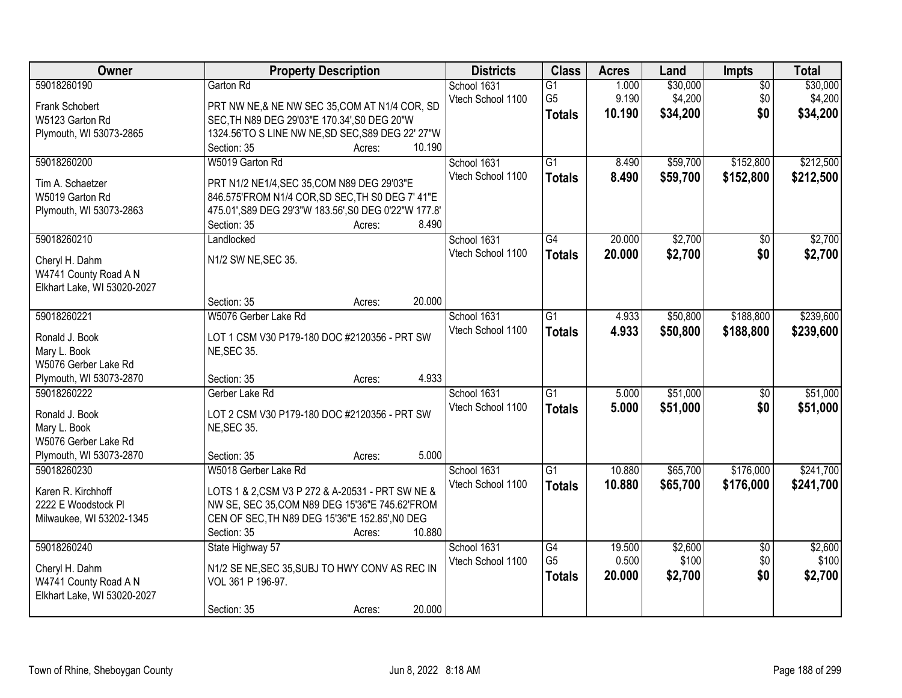| Owner                       | <b>Property Description</b>                           | <b>Districts</b>  | <b>Class</b>    | <b>Acres</b> | Land     | Impts           | <b>Total</b> |
|-----------------------------|-------------------------------------------------------|-------------------|-----------------|--------------|----------|-----------------|--------------|
| 59018260190                 | Garton Rd                                             | School 1631       | $\overline{G1}$ | 1.000        | \$30,000 | $\overline{50}$ | \$30,000     |
| Frank Schobert              | PRT NW NE,& NE NW SEC 35, COM AT N1/4 COR, SD         | Vtech School 1100 | G <sub>5</sub>  | 9.190        | \$4,200  | \$0             | \$4,200      |
| W5123 Garton Rd             | SEC, TH N89 DEG 29'03"E 170.34', S0 DEG 20"W          |                   | <b>Totals</b>   | 10.190       | \$34,200 | \$0             | \$34,200     |
| Plymouth, WI 53073-2865     | 1324.56'TO S LINE NW NE, SD SEC, S89 DEG 22' 27"W     |                   |                 |              |          |                 |              |
|                             | 10.190<br>Section: 35<br>Acres:                       |                   |                 |              |          |                 |              |
| 59018260200                 | W5019 Garton Rd                                       | School 1631       | $\overline{G1}$ | 8.490        | \$59,700 | \$152,800       | \$212,500    |
|                             |                                                       | Vtech School 1100 | <b>Totals</b>   | 8.490        | \$59,700 | \$152,800       | \$212,500    |
| Tim A. Schaetzer            | PRT N1/2 NE1/4, SEC 35, COM N89 DEG 29'03"E           |                   |                 |              |          |                 |              |
| W5019 Garton Rd             | 846.575'FROM N1/4 COR, SD SEC, TH S0 DEG 7' 41"E      |                   |                 |              |          |                 |              |
| Plymouth, WI 53073-2863     | 475.01', S89 DEG 29'3"W 183.56', S0 DEG 0'22"W 177.8' |                   |                 |              |          |                 |              |
|                             | 8.490<br>Section: 35<br>Acres:                        |                   |                 |              |          |                 |              |
| 59018260210                 | Landlocked                                            | School 1631       | G4              | 20.000       | \$2,700  | \$0             | \$2,700      |
| Cheryl H. Dahm              | N1/2 SW NE, SEC 35.                                   | Vtech School 1100 | <b>Totals</b>   | 20.000       | \$2,700  | \$0             | \$2,700      |
| W4741 County Road A N       |                                                       |                   |                 |              |          |                 |              |
| Elkhart Lake, WI 53020-2027 |                                                       |                   |                 |              |          |                 |              |
|                             | 20.000<br>Section: 35<br>Acres:                       |                   |                 |              |          |                 |              |
| 59018260221                 | W5076 Gerber Lake Rd                                  | School 1631       | $\overline{G1}$ | 4.933        | \$50,800 | \$188,800       | \$239,600    |
|                             |                                                       | Vtech School 1100 | <b>Totals</b>   | 4.933        | \$50,800 | \$188,800       | \$239,600    |
| Ronald J. Book              | LOT 1 CSM V30 P179-180 DOC #2120356 - PRT SW          |                   |                 |              |          |                 |              |
| Mary L. Book                | <b>NE, SEC 35.</b>                                    |                   |                 |              |          |                 |              |
| W5076 Gerber Lake Rd        |                                                       |                   |                 |              |          |                 |              |
| Plymouth, WI 53073-2870     | 4.933<br>Section: 35<br>Acres:                        |                   |                 |              |          |                 |              |
| 59018260222                 | Gerber Lake Rd                                        | School 1631       | $\overline{G1}$ | 5.000        | \$51,000 | $\overline{50}$ | \$51,000     |
| Ronald J. Book              | LOT 2 CSM V30 P179-180 DOC #2120356 - PRT SW          | Vtech School 1100 | <b>Totals</b>   | 5.000        | \$51,000 | \$0             | \$51,000     |
| Mary L. Book                | <b>NE, SEC 35.</b>                                    |                   |                 |              |          |                 |              |
| W5076 Gerber Lake Rd        |                                                       |                   |                 |              |          |                 |              |
| Plymouth, WI 53073-2870     | 5.000<br>Section: 35<br>Acres:                        |                   |                 |              |          |                 |              |
| 59018260230                 | W5018 Gerber Lake Rd                                  | School 1631       | $\overline{G1}$ | 10.880       | \$65,700 | \$176,000       | \$241,700    |
|                             |                                                       | Vtech School 1100 | <b>Totals</b>   | 10.880       | \$65,700 | \$176,000       | \$241,700    |
| Karen R. Kirchhoff          | LOTS 1 & 2, CSM V3 P 272 & A-20531 - PRT SW NE &      |                   |                 |              |          |                 |              |
| 2222 E Woodstock PI         | NW SE, SEC 35, COM N89 DEG 15'36"E 745.62'FROM        |                   |                 |              |          |                 |              |
| Milwaukee, WI 53202-1345    | CEN OF SEC, TH N89 DEG 15'36"E 152.85', N0 DEG        |                   |                 |              |          |                 |              |
|                             | 10.880<br>Section: 35<br>Acres:                       |                   |                 |              |          |                 |              |
| 59018260240                 | State Highway 57                                      | School 1631       | G4              | 19.500       | \$2,600  | $\overline{50}$ | \$2,600      |
| Cheryl H. Dahm              | N1/2 SE NE, SEC 35, SUBJ TO HWY CONV AS REC IN        | Vtech School 1100 | G <sub>5</sub>  | 0.500        | \$100    | \$0             | \$100        |
| W4741 County Road A N       | VOL 361 P 196-97.                                     |                   | <b>Totals</b>   | 20.000       | \$2,700  | \$0             | \$2,700      |
| Elkhart Lake, WI 53020-2027 |                                                       |                   |                 |              |          |                 |              |
|                             | 20.000<br>Section: 35<br>Acres:                       |                   |                 |              |          |                 |              |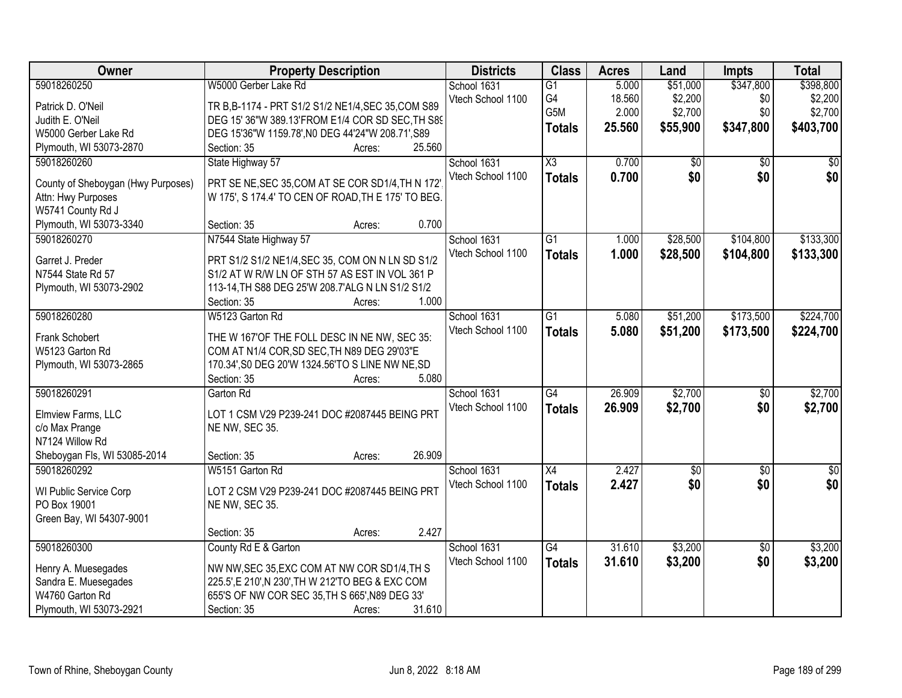| Owner                              | <b>Property Description</b>                         | <b>Districts</b>  | <b>Class</b>    | <b>Acres</b> | Land            | <b>Impts</b>    | <b>Total</b>    |
|------------------------------------|-----------------------------------------------------|-------------------|-----------------|--------------|-----------------|-----------------|-----------------|
| 59018260250                        | W5000 Gerber Lake Rd                                | School 1631       | $\overline{G1}$ | 5.000        | \$51,000        | \$347,800       | \$398,800       |
| Patrick D. O'Neil                  | TR B, B-1174 - PRT S1/2 S1/2 NE1/4, SEC 35, COM S89 | Vtech School 1100 | G4              | 18.560       | \$2,200         | \$0             | \$2,200         |
| Judith E. O'Neil                   | DEG 15' 36"W 389.13'FROM E1/4 COR SD SEC, TH S89    |                   | G5M             | 2.000        | \$2,700         | \$0             | \$2,700         |
| W5000 Gerber Lake Rd               | DEG 15'36"W 1159.78', NO DEG 44'24"W 208.71', S89   |                   | <b>Totals</b>   | 25.560       | \$55,900        | \$347,800       | \$403,700       |
| Plymouth, WI 53073-2870            | 25.560<br>Section: 35<br>Acres:                     |                   |                 |              |                 |                 |                 |
| 59018260260                        | State Highway 57                                    | School 1631       | X3              | 0.700        | $\overline{50}$ | $\overline{50}$ | \$0             |
|                                    |                                                     | Vtech School 1100 | <b>Totals</b>   | 0.700        | \$0             | \$0             | \$0             |
| County of Sheboygan (Hwy Purposes) | PRT SE NE, SEC 35, COM AT SE COR SD1/4, TH N 172    |                   |                 |              |                 |                 |                 |
| Attn: Hwy Purposes                 | W 175', S 174.4' TO CEN OF ROAD, TH E 175' TO BEG.  |                   |                 |              |                 |                 |                 |
| W5741 County Rd J                  |                                                     |                   |                 |              |                 |                 |                 |
| Plymouth, WI 53073-3340            | 0.700<br>Section: 35<br>Acres:                      |                   |                 |              |                 |                 |                 |
| 59018260270                        | N7544 State Highway 57                              | School 1631       | $\overline{G1}$ | 1.000        | \$28,500        | \$104,800       | \$133,300       |
| Garret J. Preder                   | PRT S1/2 S1/2 NE1/4, SEC 35, COM ON N LN SD S1/2    | Vtech School 1100 | <b>Totals</b>   | 1.000        | \$28,500        | \$104,800       | \$133,300       |
| N7544 State Rd 57                  | S1/2 AT W R/W LN OF STH 57 AS EST IN VOL 361 P      |                   |                 |              |                 |                 |                 |
| Plymouth, WI 53073-2902            | 113-14, TH S88 DEG 25'W 208.7'ALG N LN S1/2 S1/2    |                   |                 |              |                 |                 |                 |
|                                    | 1.000<br>Section: 35<br>Acres:                      |                   |                 |              |                 |                 |                 |
| 59018260280                        | W5123 Garton Rd                                     | School 1631       | $\overline{G1}$ | 5.080        | \$51,200        | \$173,500       | \$224,700       |
|                                    |                                                     | Vtech School 1100 | <b>Totals</b>   | 5.080        | \$51,200        | \$173,500       | \$224,700       |
| Frank Schobert                     | THE W 167'OF THE FOLL DESC IN NE NW, SEC 35:        |                   |                 |              |                 |                 |                 |
| W5123 Garton Rd                    | COM AT N1/4 COR, SD SEC, TH N89 DEG 29'03"E         |                   |                 |              |                 |                 |                 |
| Plymouth, WI 53073-2865            | 170.34', S0 DEG 20'W 1324.56'TO S LINE NW NE, SD    |                   |                 |              |                 |                 |                 |
|                                    | 5.080<br>Section: 35<br>Acres:                      |                   |                 |              |                 |                 |                 |
| 59018260291                        | Garton Rd                                           | School 1631       | $\overline{G4}$ | 26.909       | \$2,700         | \$0             | \$2,700         |
| Elmview Farms, LLC                 | LOT 1 CSM V29 P239-241 DOC #2087445 BEING PRT       | Vtech School 1100 | <b>Totals</b>   | 26,909       | \$2,700         | \$0             | \$2,700         |
| c/o Max Prange                     | NE NW, SEC 35.                                      |                   |                 |              |                 |                 |                 |
| N7124 Willow Rd                    |                                                     |                   |                 |              |                 |                 |                 |
| Sheboygan Fls, WI 53085-2014       | 26.909<br>Section: 35<br>Acres:                     |                   |                 |              |                 |                 |                 |
| 59018260292                        | W5151 Garton Rd                                     | School 1631       | $\overline{X4}$ | 2.427        | $\sqrt{50}$     | $\overline{50}$ | $\overline{30}$ |
|                                    |                                                     | Vtech School 1100 |                 | 2.427        | \$0             | \$0             | \$0             |
| WI Public Service Corp             | LOT 2 CSM V29 P239-241 DOC #2087445 BEING PRT       |                   | <b>Totals</b>   |              |                 |                 |                 |
| PO Box 19001                       | NE NW, SEC 35.                                      |                   |                 |              |                 |                 |                 |
| Green Bay, WI 54307-9001           |                                                     |                   |                 |              |                 |                 |                 |
|                                    | 2.427<br>Section: 35<br>Acres:                      |                   |                 |              |                 |                 |                 |
| 59018260300                        | County Rd E & Garton                                | School 1631       | $\overline{G4}$ | 31.610       | \$3,200         | $\overline{50}$ | \$3,200         |
| Henry A. Muesegades                | NW NW, SEC 35, EXC COM AT NW COR SD1/4, TH S        | Vtech School 1100 | <b>Totals</b>   | 31.610       | \$3,200         | \$0             | \$3,200         |
| Sandra E. Muesegades               | 225.5', E 210', N 230', TH W 212'TO BEG & EXC COM   |                   |                 |              |                 |                 |                 |
| W4760 Garton Rd                    | 655'S OF NW COR SEC 35, TH S 665', N89 DEG 33'      |                   |                 |              |                 |                 |                 |
| Plymouth, WI 53073-2921            | 31.610<br>Section: 35                               |                   |                 |              |                 |                 |                 |
|                                    | Acres:                                              |                   |                 |              |                 |                 |                 |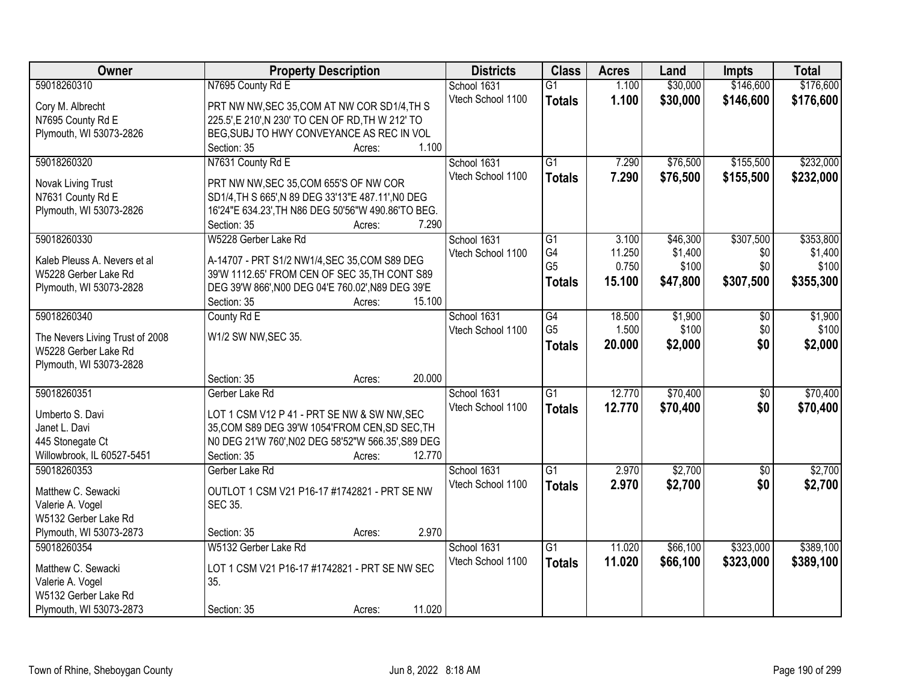| <b>Owner</b>                    | <b>Property Description</b>                        | <b>Districts</b>  | <b>Class</b>    | <b>Acres</b> | Land     | <b>Impts</b>    | <b>Total</b> |
|---------------------------------|----------------------------------------------------|-------------------|-----------------|--------------|----------|-----------------|--------------|
| 59018260310                     | N7695 County Rd E                                  | School 1631       | $\overline{G1}$ | 1.100        | \$30,000 | \$146,600       | \$176,600    |
| Cory M. Albrecht                | PRT NW NW, SEC 35, COM AT NW COR SD1/4, TH S       | Vtech School 1100 | <b>Totals</b>   | 1.100        | \$30,000 | \$146,600       | \$176,600    |
| N7695 County Rd E               | 225.5', E 210', N 230' TO CEN OF RD, TH W 212' TO  |                   |                 |              |          |                 |              |
| Plymouth, WI 53073-2826         | BEG, SUBJ TO HWY CONVEYANCE AS REC IN VOL          |                   |                 |              |          |                 |              |
|                                 | 1.100<br>Section: 35<br>Acres:                     |                   |                 |              |          |                 |              |
| 59018260320                     | N7631 County Rd E                                  | School 1631       | $\overline{G1}$ | 7.290        | \$76,500 | \$155,500       | \$232,000    |
|                                 |                                                    | Vtech School 1100 | <b>Totals</b>   | 7.290        | \$76,500 | \$155,500       | \$232,000    |
| Novak Living Trust              | PRT NW NW, SEC 35, COM 655'S OF NW COR             |                   |                 |              |          |                 |              |
| N7631 County Rd E               | SD1/4, TH S 665', N 89 DEG 33'13"E 487.11', NO DEG |                   |                 |              |          |                 |              |
| Plymouth, WI 53073-2826         | 16'24"E 634.23', TH N86 DEG 50'56"W 490.86'TO BEG. |                   |                 |              |          |                 |              |
|                                 | 7.290<br>Section: 35<br>Acres:                     |                   |                 |              |          |                 |              |
| 59018260330                     | W5228 Gerber Lake Rd                               | School 1631       | $\overline{G1}$ | 3.100        | \$46,300 | \$307,500       | \$353,800    |
| Kaleb Pleuss A. Nevers et al    | A-14707 - PRT S1/2 NW1/4, SEC 35, COM S89 DEG      | Vtech School 1100 | G4              | 11.250       | \$1,400  | \$0             | \$1,400      |
| W5228 Gerber Lake Rd            | 39'W 1112.65' FROM CEN OF SEC 35, TH CONT S89      |                   | G <sub>5</sub>  | 0.750        | \$100    | \$0             | \$100        |
| Plymouth, WI 53073-2828         | DEG 39'W 866', N00 DEG 04'E 760.02', N89 DEG 39'E  |                   | <b>Totals</b>   | 15.100       | \$47,800 | \$307,500       | \$355,300    |
|                                 | 15.100<br>Section: 35<br>Acres:                    |                   |                 |              |          |                 |              |
| 59018260340                     | County Rd E                                        | School 1631       | $\overline{G4}$ | 18.500       | \$1,900  | \$0             | \$1,900      |
|                                 |                                                    | Vtech School 1100 | G <sub>5</sub>  | 1.500        | \$100    | \$0             | \$100        |
| The Nevers Living Trust of 2008 | W1/2 SW NW, SEC 35.                                |                   | <b>Totals</b>   | 20.000       | \$2,000  | \$0             | \$2,000      |
| W5228 Gerber Lake Rd            |                                                    |                   |                 |              |          |                 |              |
| Plymouth, WI 53073-2828         |                                                    |                   |                 |              |          |                 |              |
|                                 | 20.000<br>Section: 35<br>Acres:                    |                   |                 |              |          |                 |              |
| 59018260351                     | Gerber Lake Rd                                     | School 1631       | $\overline{G1}$ | 12.770       | \$70,400 | $\overline{50}$ | \$70,400     |
| Umberto S. Davi                 | LOT 1 CSM V12 P 41 - PRT SE NW & SW NW, SEC        | Vtech School 1100 | <b>Totals</b>   | 12.770       | \$70,400 | \$0             | \$70,400     |
| Janet L. Davi                   | 35, COM S89 DEG 39'W 1054'FROM CEN, SD SEC, TH     |                   |                 |              |          |                 |              |
| 445 Stonegate Ct                | N0 DEG 21'W 760', N02 DEG 58'52"W 566.35', S89 DEG |                   |                 |              |          |                 |              |
| Willowbrook, IL 60527-5451      | 12.770<br>Section: 35<br>Acres:                    |                   |                 |              |          |                 |              |
| 59018260353                     | Gerber Lake Rd                                     | School 1631       | $\overline{G1}$ | 2.970        | \$2,700  | $\sqrt{$0}$     | \$2,700      |
|                                 |                                                    | Vtech School 1100 | <b>Totals</b>   | 2.970        | \$2,700  | \$0             | \$2,700      |
| Matthew C. Sewacki              | OUTLOT 1 CSM V21 P16-17 #1742821 - PRT SE NW       |                   |                 |              |          |                 |              |
| Valerie A. Vogel                | <b>SEC 35.</b>                                     |                   |                 |              |          |                 |              |
| W5132 Gerber Lake Rd            |                                                    |                   |                 |              |          |                 |              |
| Plymouth, WI 53073-2873         | 2.970<br>Section: 35<br>Acres:                     |                   |                 |              |          |                 |              |
| 59018260354                     | W5132 Gerber Lake Rd                               | School 1631       | G1              | 11.020       | \$66,100 | \$323,000       | \$389,100    |
| Matthew C. Sewacki              | LOT 1 CSM V21 P16-17 #1742821 - PRT SE NW SEC      | Vtech School 1100 | <b>Totals</b>   | 11.020       | \$66,100 | \$323,000       | \$389,100    |
| Valerie A. Vogel                | 35.                                                |                   |                 |              |          |                 |              |
| W5132 Gerber Lake Rd            |                                                    |                   |                 |              |          |                 |              |
| Plymouth, WI 53073-2873         | 11.020<br>Section: 35<br>Acres:                    |                   |                 |              |          |                 |              |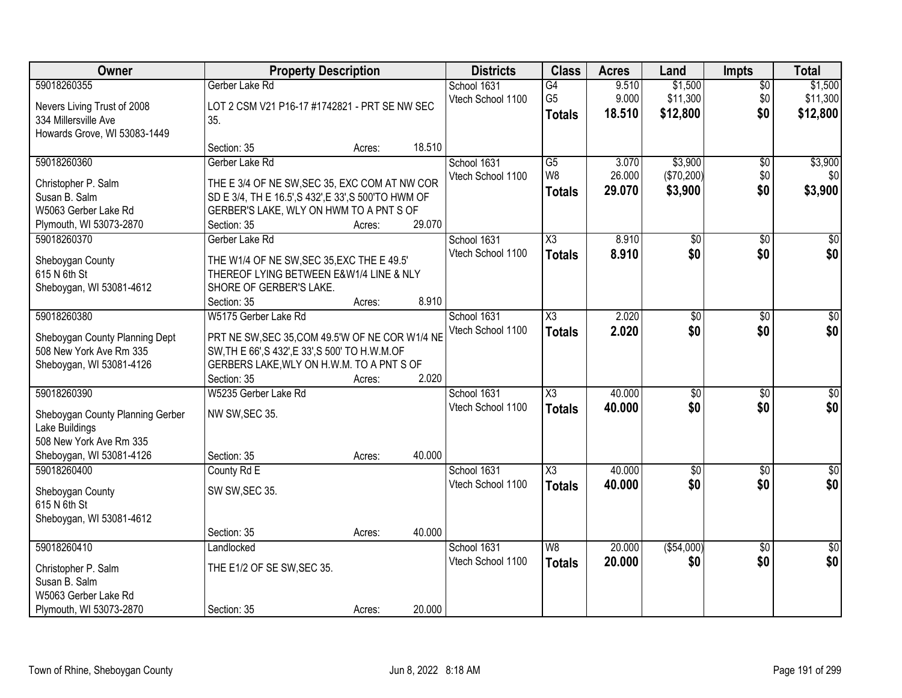| Owner                            | <b>Property Description</b>                                                           |        |        | <b>Districts</b>  | <b>Class</b>           | <b>Acres</b> | Land            | <b>Impts</b>    | <b>Total</b> |
|----------------------------------|---------------------------------------------------------------------------------------|--------|--------|-------------------|------------------------|--------------|-----------------|-----------------|--------------|
| 59018260355                      | Gerber Lake Rd                                                                        |        |        | School 1631       | $\overline{G4}$        | 9.510        | \$1,500         | $\overline{50}$ | \$1,500      |
| Nevers Living Trust of 2008      | LOT 2 CSM V21 P16-17 #1742821 - PRT SE NW SEC                                         |        |        | Vtech School 1100 | G <sub>5</sub>         | 9.000        | \$11,300        | \$0             | \$11,300     |
| 334 Millersville Ave             | 35.                                                                                   |        |        |                   | <b>Totals</b>          | 18.510       | \$12,800        | \$0             | \$12,800     |
| Howards Grove, WI 53083-1449     |                                                                                       |        |        |                   |                        |              |                 |                 |              |
|                                  | Section: 35                                                                           | Acres: | 18.510 |                   |                        |              |                 |                 |              |
| 59018260360                      | Gerber Lake Rd                                                                        |        |        | School 1631       | $\overline{G5}$        | 3.070        | \$3,900         | $\overline{50}$ | \$3,900      |
| Christopher P. Salm              | THE E 3/4 OF NE SW, SEC 35, EXC COM AT NW COR                                         |        |        | Vtech School 1100 | W <sub>8</sub>         | 26.000       | (\$70,200)      | \$0             | \$0          |
| Susan B. Salm                    | SD E 3/4, TH E 16.5', S 432', E 33', S 500'TO HWM OF                                  |        |        |                   | <b>Totals</b>          | 29.070       | \$3,900         | \$0             | \$3,900      |
| W5063 Gerber Lake Rd             | GERBER'S LAKE, WLY ON HWM TO A PNT S OF                                               |        |        |                   |                        |              |                 |                 |              |
| Plymouth, WI 53073-2870          | Section: 35                                                                           | Acres: | 29.070 |                   |                        |              |                 |                 |              |
| 59018260370                      | Gerber Lake Rd                                                                        |        |        | School 1631       | X3                     | 8.910        | \$0             | \$0             | \$0          |
|                                  |                                                                                       |        |        | Vtech School 1100 | <b>Totals</b>          | 8.910        | \$0             | \$0             | \$0          |
| Sheboygan County<br>615 N 6th St | THE W1/4 OF NE SW, SEC 35, EXC THE E 49.5'<br>THEREOF LYING BETWEEN E&W1/4 LINE & NLY |        |        |                   |                        |              |                 |                 |              |
| Sheboygan, WI 53081-4612         | SHORE OF GERBER'S LAKE.                                                               |        |        |                   |                        |              |                 |                 |              |
|                                  | Section: 35                                                                           | Acres: | 8.910  |                   |                        |              |                 |                 |              |
| 59018260380                      | W5175 Gerber Lake Rd                                                                  |        |        | School 1631       | $\overline{\chi_3}$    | 2.020        | $\overline{50}$ | \$0             | \$0          |
|                                  |                                                                                       |        |        | Vtech School 1100 | <b>Totals</b>          | 2.020        | \$0             | \$0             | \$0          |
| Sheboygan County Planning Dept   | PRT NE SW, SEC 35, COM 49.5'W OF NE COR W1/4 NE                                       |        |        |                   |                        |              |                 |                 |              |
| 508 New York Ave Rm 335          | SW, TH E 66', S 432', E 33', S 500' TO H.W.M.OF                                       |        |        |                   |                        |              |                 |                 |              |
| Sheboygan, WI 53081-4126         | GERBERS LAKE, WLY ON H.W.M. TO A PNT S OF                                             |        |        |                   |                        |              |                 |                 |              |
|                                  | Section: 35                                                                           | Acres: | 2.020  |                   |                        |              |                 |                 |              |
| 59018260390                      | W5235 Gerber Lake Rd                                                                  |        |        | School 1631       | $\overline{\text{X3}}$ | 40.000       | \$0             | $\overline{50}$ | \$0          |
| Sheboygan County Planning Gerber | NW SW, SEC 35.                                                                        |        |        | Vtech School 1100 | <b>Totals</b>          | 40.000       | \$0             | \$0             | \$0          |
| Lake Buildings                   |                                                                                       |        |        |                   |                        |              |                 |                 |              |
| 508 New York Ave Rm 335          |                                                                                       |        |        |                   |                        |              |                 |                 |              |
| Sheboygan, WI 53081-4126         | Section: 35                                                                           | Acres: | 40.000 |                   |                        |              |                 |                 |              |
| 59018260400                      | County Rd E                                                                           |        |        | School 1631       | $\overline{\text{X3}}$ | 40.000       | $\overline{50}$ | $\overline{50}$ | $\sqrt{50}$  |
| Sheboygan County                 | SW SW, SEC 35.                                                                        |        |        | Vtech School 1100 | <b>Totals</b>          | 40.000       | \$0             | \$0             | \$0          |
| 615 N 6th St                     |                                                                                       |        |        |                   |                        |              |                 |                 |              |
| Sheboygan, WI 53081-4612         |                                                                                       |        |        |                   |                        |              |                 |                 |              |
|                                  | Section: 35                                                                           | Acres: | 40.000 |                   |                        |              |                 |                 |              |
| 59018260410                      | Landlocked                                                                            |        |        | School 1631       | W8                     | 20.000       | ( \$54,000)     | $\overline{30}$ | $\sqrt{30}$  |
| Christopher P. Salm              | THE E1/2 OF SE SW, SEC 35.                                                            |        |        | Vtech School 1100 | <b>Totals</b>          | 20.000       | \$0             | \$0             | \$0          |
| Susan B. Salm                    |                                                                                       |        |        |                   |                        |              |                 |                 |              |
| W5063 Gerber Lake Rd             |                                                                                       |        |        |                   |                        |              |                 |                 |              |
| Plymouth, WI 53073-2870          | Section: 35                                                                           | Acres: | 20.000 |                   |                        |              |                 |                 |              |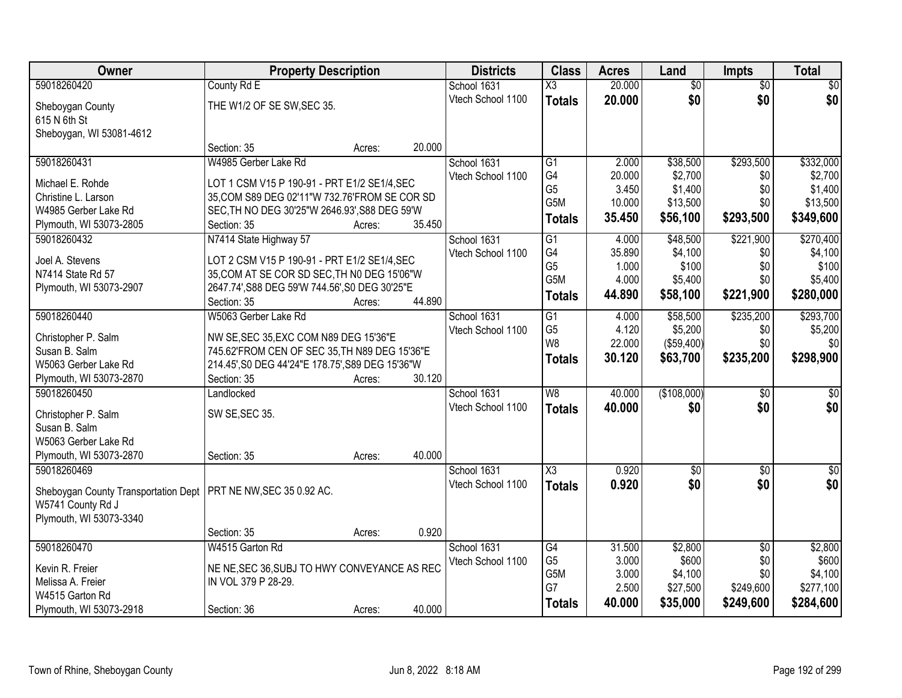| Owner                                                             | <b>Property Description</b>                                                             |                  | <b>Districts</b>  | <b>Class</b>           | <b>Acres</b> | Land            | <b>Impts</b>    | <b>Total</b>     |
|-------------------------------------------------------------------|-----------------------------------------------------------------------------------------|------------------|-------------------|------------------------|--------------|-----------------|-----------------|------------------|
| 59018260420                                                       | County Rd E                                                                             |                  | School 1631       | X3                     | 20.000       | $\overline{50}$ | $\overline{50}$ | \$0              |
| Sheboygan County                                                  | THE W1/2 OF SE SW, SEC 35.                                                              |                  | Vtech School 1100 | <b>Totals</b>          | 20.000       | \$0             | \$0             | \$0              |
| 615 N 6th St                                                      |                                                                                         |                  |                   |                        |              |                 |                 |                  |
| Sheboygan, WI 53081-4612                                          |                                                                                         |                  |                   |                        |              |                 |                 |                  |
|                                                                   | Section: 35                                                                             | 20.000<br>Acres: |                   |                        |              |                 |                 |                  |
| 59018260431                                                       | W4985 Gerber Lake Rd                                                                    |                  | School 1631       | $\overline{G1}$        | 2.000        | \$38,500        | \$293,500       | \$332,000        |
| Michael E. Rohde                                                  | LOT 1 CSM V15 P 190-91 - PRT E1/2 SE1/4, SEC                                            |                  | Vtech School 1100 | G4                     | 20.000       | \$2,700         | \$0             | \$2,700          |
| Christine L. Larson                                               | 35, COM S89 DEG 02'11"W 732.76'FROM SE COR SD                                           |                  |                   | G <sub>5</sub>         | 3.450        | \$1,400         | \$0             | \$1,400          |
| W4985 Gerber Lake Rd                                              | SEC, TH NO DEG 30'25"W 2646.93', S88 DEG 59'W                                           |                  |                   | G <sub>5</sub> M       | 10.000       | \$13,500        | \$0             | \$13,500         |
| Plymouth, WI 53073-2805                                           | Section: 35                                                                             | 35.450<br>Acres: |                   | <b>Totals</b>          | 35.450       | \$56,100        | \$293,500       | \$349,600        |
| 59018260432                                                       | N7414 State Highway 57                                                                  |                  | School 1631       | $\overline{G1}$        | 4.000        | \$48,500        | \$221,900       | \$270,400        |
| Joel A. Stevens                                                   | LOT 2 CSM V15 P 190-91 - PRT E1/2 SE1/4, SEC                                            |                  | Vtech School 1100 | G4                     | 35.890       | \$4,100         | \$0             | \$4,100          |
| N7414 State Rd 57                                                 | 35, COM AT SE COR SD SEC, TH NO DEG 15'06"W                                             |                  |                   | G <sub>5</sub>         | 1.000        | \$100           | \$0             | \$100            |
| Plymouth, WI 53073-2907                                           | 2647.74', S88 DEG 59'W 744.56', S0 DEG 30'25"E                                          |                  |                   | G5M                    | 4.000        | \$5,400         | \$0             | \$5,400          |
|                                                                   | Section: 35                                                                             | 44.890<br>Acres: |                   | <b>Totals</b>          | 44.890       | \$58,100        | \$221,900       | \$280,000        |
| 59018260440                                                       | W5063 Gerber Lake Rd                                                                    |                  | School 1631       | G1                     | 4.000        | \$58,500        | \$235,200       | \$293,700        |
|                                                                   |                                                                                         |                  | Vtech School 1100 | G <sub>5</sub>         | 4.120        | \$5,200         | \$0             | \$5,200          |
| Christopher P. Salm<br>Susan B. Salm                              | NW SE, SEC 35, EXC COM N89 DEG 15'36"E<br>745.62'FROM CEN OF SEC 35, TH N89 DEG 15'36"E |                  |                   | W <sub>8</sub>         | 22.000       | (\$59,400)      | \$0             | \$0              |
| W5063 Gerber Lake Rd                                              | 214.45', S0 DEG 44'24"E 178.75', S89 DEG 15'36"W                                        |                  |                   | <b>Totals</b>          | 30.120       | \$63,700        | \$235,200       | \$298,900        |
| Plymouth, WI 53073-2870                                           | Section: 35                                                                             | 30.120<br>Acres: |                   |                        |              |                 |                 |                  |
| 59018260450                                                       | Landlocked                                                                              |                  | School 1631       | $\overline{W8}$        | 40.000       | (\$108,000)     | \$0             | $\sqrt{50}$      |
|                                                                   |                                                                                         |                  | Vtech School 1100 | <b>Totals</b>          | 40.000       | \$0             | \$0             | \$0              |
| Christopher P. Salm                                               | SW SE, SEC 35.                                                                          |                  |                   |                        |              |                 |                 |                  |
| Susan B. Salm<br>W5063 Gerber Lake Rd                             |                                                                                         |                  |                   |                        |              |                 |                 |                  |
| Plymouth, WI 53073-2870                                           | Section: 35                                                                             | 40.000<br>Acres: |                   |                        |              |                 |                 |                  |
| 59018260469                                                       |                                                                                         |                  | School 1631       | $\overline{\text{X3}}$ | 0.920        | $\overline{60}$ | $\overline{50}$ | $\overline{\$0}$ |
|                                                                   |                                                                                         |                  | Vtech School 1100 | <b>Totals</b>          | 0.920        | \$0             | \$0             | \$0              |
| Sheboygan County Transportation Dept   PRT NE NW, SEC 35 0.92 AC. |                                                                                         |                  |                   |                        |              |                 |                 |                  |
| W5741 County Rd J                                                 |                                                                                         |                  |                   |                        |              |                 |                 |                  |
| Plymouth, WI 53073-3340                                           | Section: 35                                                                             | 0.920<br>Acres:  |                   |                        |              |                 |                 |                  |
| 59018260470                                                       | W4515 Garton Rd                                                                         |                  | School 1631       | G4                     | 31.500       | \$2,800         | $\overline{50}$ | \$2,800          |
|                                                                   |                                                                                         |                  | Vtech School 1100 | G <sub>5</sub>         | 3.000        | \$600           | \$0             | \$600            |
| Kevin R. Freier                                                   | NE NE, SEC 36, SUBJ TO HWY CONVEYANCE AS REC                                            |                  |                   | G5M                    | 3.000        | \$4,100         | \$0             | \$4,100          |
| Melissa A. Freier                                                 | IN VOL 379 P 28-29.                                                                     |                  |                   | G7                     | 2.500        | \$27,500        | \$249,600       | \$277,100        |
| W4515 Garton Rd                                                   |                                                                                         |                  |                   | <b>Totals</b>          | 40.000       | \$35,000        | \$249,600       | \$284,600        |
| Plymouth, WI 53073-2918                                           | Section: 36                                                                             | 40.000<br>Acres: |                   |                        |              |                 |                 |                  |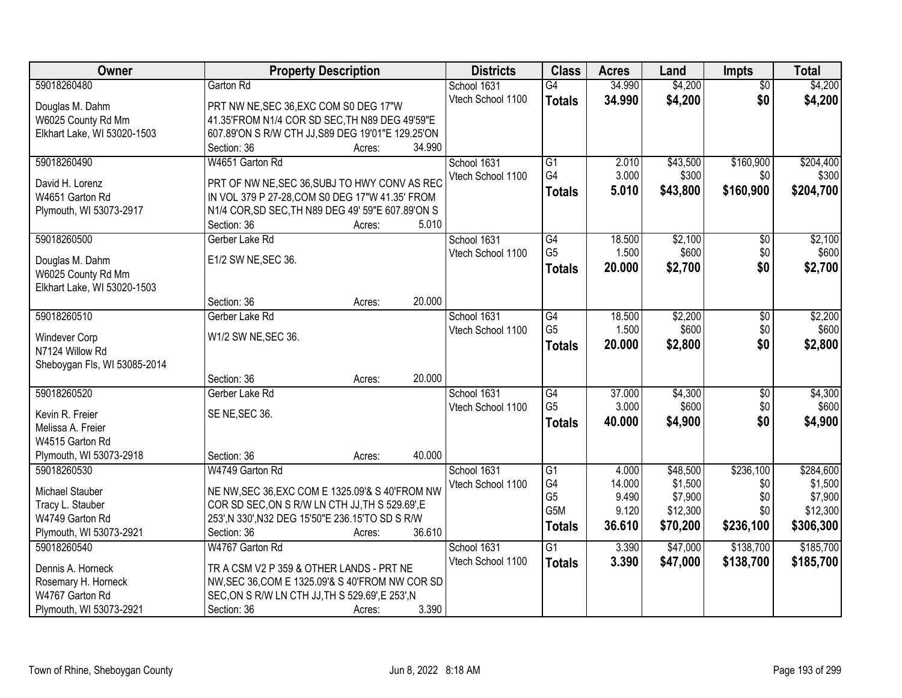| Owner                        | <b>Property Description</b>                       | <b>Districts</b>  | <b>Class</b>         | <b>Acres</b> | Land     | <b>Impts</b>    | <b>Total</b> |
|------------------------------|---------------------------------------------------|-------------------|----------------------|--------------|----------|-----------------|--------------|
| 59018260480                  | Garton Rd                                         | School 1631       | $\overline{G4}$      | 34.990       | \$4,200  | $\overline{50}$ | \$4,200      |
| Douglas M. Dahm              | PRT NW NE, SEC 36, EXC COM S0 DEG 17"W            | Vtech School 1100 | <b>Totals</b>        | 34.990       | \$4,200  | \$0             | \$4,200      |
| W6025 County Rd Mm           | 41.35'FROM N1/4 COR SD SEC, TH N89 DEG 49'59"E    |                   |                      |              |          |                 |              |
| Elkhart Lake, WI 53020-1503  | 607.89'ON S R/W CTH JJ, S89 DEG 19'01"E 129.25'ON |                   |                      |              |          |                 |              |
|                              | 34.990<br>Section: 36<br>Acres:                   |                   |                      |              |          |                 |              |
| 59018260490                  | W4651 Garton Rd                                   | School 1631       | $\overline{G1}$      | 2.010        | \$43,500 | \$160,900       | \$204,400    |
|                              |                                                   | Vtech School 1100 | G4                   | 3.000        | \$300    | \$0             | \$300        |
| David H. Lorenz              | PRT OF NW NE, SEC 36, SUBJ TO HWY CONV AS REC     |                   | <b>Totals</b>        | 5.010        | \$43,800 | \$160,900       | \$204,700    |
| W4651 Garton Rd              | IN VOL 379 P 27-28, COM S0 DEG 17"W 41.35' FROM   |                   |                      |              |          |                 |              |
| Plymouth, WI 53073-2917      | N1/4 COR, SD SEC, TH N89 DEG 49' 59"E 607.89'ON S |                   |                      |              |          |                 |              |
|                              | 5.010<br>Section: 36<br>Acres:                    |                   |                      |              |          |                 |              |
| 59018260500                  | Gerber Lake Rd                                    | School 1631       | G4<br>G <sub>5</sub> | 18.500       | \$2,100  | \$0             | \$2,100      |
| Douglas M. Dahm              | E1/2 SW NE, SEC 36.                               | Vtech School 1100 |                      | 1.500        | \$600    | \$0             | \$600        |
| W6025 County Rd Mm           |                                                   |                   | Totals               | 20.000       | \$2,700  | \$0             | \$2,700      |
| Elkhart Lake, WI 53020-1503  |                                                   |                   |                      |              |          |                 |              |
|                              | 20.000<br>Section: 36<br>Acres:                   |                   |                      |              |          |                 |              |
| 59018260510                  | Gerber Lake Rd                                    | School 1631       | $\overline{G4}$      | 18.500       | \$2,200  | \$0             | \$2,200      |
|                              |                                                   | Vtech School 1100 | G <sub>5</sub>       | 1.500        | \$600    | \$0             | \$600        |
| Windever Corp                | W1/2 SW NE, SEC 36.                               |                   | <b>Totals</b>        | 20.000       | \$2,800  | \$0             | \$2,800      |
| N7124 Willow Rd              |                                                   |                   |                      |              |          |                 |              |
| Sheboygan Fls, WI 53085-2014 | 20.000<br>Section: 36<br>Acres:                   |                   |                      |              |          |                 |              |
| 59018260520                  | Gerber Lake Rd                                    | School 1631       | G4                   | 37.000       | \$4,300  | $\overline{50}$ | \$4,300      |
|                              |                                                   | Vtech School 1100 | G <sub>5</sub>       | 3.000        | \$600    | \$0             | \$600        |
| Kevin R. Freier              | SE NE, SEC 36.                                    |                   |                      | 40.000       |          | \$0             |              |
| Melissa A. Freier            |                                                   |                   | <b>Totals</b>        |              | \$4,900  |                 | \$4,900      |
| W4515 Garton Rd              |                                                   |                   |                      |              |          |                 |              |
| Plymouth, WI 53073-2918      | 40.000<br>Section: 36<br>Acres:                   |                   |                      |              |          |                 |              |
| 59018260530                  | W4749 Garton Rd                                   | School 1631       | $\overline{G1}$      | 4.000        | \$48,500 | \$236,100       | \$284,600    |
| Michael Stauber              | NE NW, SEC 36, EXC COM E 1325.09'& S 40'FROM NW   | Vtech School 1100 | G4                   | 14.000       | \$1,500  | \$0             | \$1,500      |
| Tracy L. Stauber             | COR SD SEC, ON S R/W LN CTH JJ, TH S 529.69', E   |                   | G <sub>5</sub>       | 9.490        | \$7,900  | \$0             | \$7,900      |
| W4749 Garton Rd              | 253', N 330', N32 DEG 15'50"E 236.15'TO SD S R/W  |                   | G <sub>5</sub> M     | 9.120        | \$12,300 | \$0             | \$12,300     |
| Plymouth, WI 53073-2921      | 36.610<br>Section: 36<br>Acres:                   |                   | <b>Totals</b>        | 36.610       | \$70,200 | \$236,100       | \$306,300    |
| 59018260540                  | W4767 Garton Rd                                   | School 1631       | $\overline{G1}$      | 3.390        | \$47,000 | \$138,700       | \$185,700    |
|                              |                                                   | Vtech School 1100 | <b>Totals</b>        | 3.390        | \$47,000 | \$138,700       | \$185,700    |
| Dennis A. Horneck            | TR A CSM V2 P 359 & OTHER LANDS - PRT NE          |                   |                      |              |          |                 |              |
| Rosemary H. Horneck          | NW, SEC 36, COM E 1325.09'& S 40'FROM NW COR SD   |                   |                      |              |          |                 |              |
| W4767 Garton Rd              | SEC, ON S R/W LN CTH JJ, TH S 529.69', E 253', N  |                   |                      |              |          |                 |              |
| Plymouth, WI 53073-2921      | 3.390<br>Section: 36<br>Acres:                    |                   |                      |              |          |                 |              |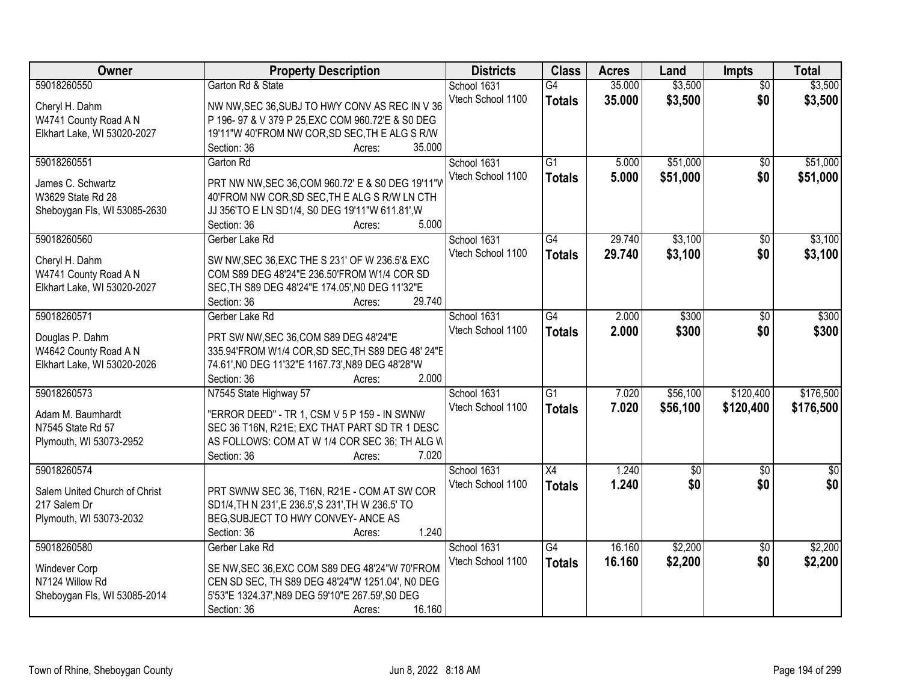| Owner                         | <b>Property Description</b>                                              | <b>Districts</b>  | <b>Class</b>    | <b>Acres</b> | Land        | Impts           | <b>Total</b> |
|-------------------------------|--------------------------------------------------------------------------|-------------------|-----------------|--------------|-------------|-----------------|--------------|
| 59018260550                   | Garton Rd & State                                                        | School 1631       | G4              | 35.000       | \$3,500     | $\overline{50}$ | \$3,500      |
| Cheryl H. Dahm                | NW NW, SEC 36, SUBJ TO HWY CONV AS REC IN V 36                           | Vtech School 1100 | <b>Totals</b>   | 35.000       | \$3,500     | \$0             | \$3,500      |
| W4741 County Road A N         | P 196- 97 & V 379 P 25, EXC COM 960. 72'E & S0 DEG                       |                   |                 |              |             |                 |              |
| Elkhart Lake, WI 53020-2027   | 19'11"W 40'FROM NW COR, SD SEC, TH E ALG S R/W                           |                   |                 |              |             |                 |              |
|                               | 35.000<br>Section: 36<br>Acres:                                          |                   |                 |              |             |                 |              |
| 59018260551                   | Garton Rd                                                                | School 1631       | $\overline{G1}$ | 5.000        | \$51,000    | $\overline{50}$ | \$51,000     |
|                               |                                                                          | Vtech School 1100 | <b>Totals</b>   | 5.000        | \$51,000    | \$0             | \$51,000     |
| James C. Schwartz             | PRT NW NW, SEC 36, COM 960.72' E & S0 DEG 19'11"V                        |                   |                 |              |             |                 |              |
| W3629 State Rd 28             | 40'FROM NW COR, SD SEC, THE ALG SR/W LN CTH                              |                   |                 |              |             |                 |              |
| Sheboygan Fls, WI 53085-2630  | JJ 356'TO E LN SD1/4, S0 DEG 19'11"W 611.81', W                          |                   |                 |              |             |                 |              |
|                               | 5.000<br>Section: 36<br>Acres:                                           |                   |                 |              |             |                 |              |
| 59018260560                   | Gerber Lake Rd                                                           | School 1631       | G4              | 29.740       | \$3,100     | \$0             | \$3,100      |
| Cheryl H. Dahm                | SW NW, SEC 36, EXC THE S 231' OF W 236.5'& EXC                           | Vtech School 1100 | <b>Totals</b>   | 29.740       | \$3,100     | \$0             | \$3,100      |
| W4741 County Road A N         | COM S89 DEG 48'24"E 236.50'FROM W1/4 COR SD                              |                   |                 |              |             |                 |              |
| Elkhart Lake, WI 53020-2027   | SEC, TH S89 DEG 48'24"E 174.05', NO DEG 11'32"E                          |                   |                 |              |             |                 |              |
|                               | 29.740<br>Section: 36<br>Acres:                                          |                   |                 |              |             |                 |              |
| 59018260571                   | Gerber Lake Rd                                                           | School 1631       | $\overline{G4}$ | 2.000        | \$300       | \$0             | \$300        |
|                               |                                                                          | Vtech School 1100 | <b>Totals</b>   | 2.000        | \$300       | \$0             | \$300        |
| Douglas P. Dahm               | PRT SW NW, SEC 36, COM S89 DEG 48'24"E                                   |                   |                 |              |             |                 |              |
| W4642 County Road A N         | 335.94'FROM W1/4 COR, SD SEC, TH S89 DEG 48' 24"E                        |                   |                 |              |             |                 |              |
| Elkhart Lake, WI 53020-2026   | 74.61', NO DEG 11'32"E 1167.73', N89 DEG 48'28"W<br>2.000<br>Section: 36 |                   |                 |              |             |                 |              |
| 59018260573                   | Acres:<br>N7545 State Highway 57                                         |                   | $\overline{G1}$ | 7.020        | \$56,100    | \$120,400       | \$176,500    |
|                               |                                                                          | School 1631       |                 |              |             |                 |              |
| Adam M. Baumhardt             | "ERROR DEED" - TR 1, CSM V 5 P 159 - IN SWNW                             | Vtech School 1100 | <b>Totals</b>   | 7.020        | \$56,100    | \$120,400       | \$176,500    |
| N7545 State Rd 57             | SEC 36 T16N, R21E; EXC THAT PART SD TR 1 DESC                            |                   |                 |              |             |                 |              |
| Plymouth, WI 53073-2952       | AS FOLLOWS: COM AT W 1/4 COR SEC 36; TH ALG W                            |                   |                 |              |             |                 |              |
|                               | 7.020<br>Section: 36<br>Acres:                                           |                   |                 |              |             |                 |              |
| 59018260574                   |                                                                          | School 1631       | X4              | 1.240        | $\sqrt{50}$ | $\overline{50}$ | $\sqrt{30}$  |
| Salem United Church of Christ | PRT SWNW SEC 36, T16N, R21E - COM AT SW COR                              | Vtech School 1100 | <b>Totals</b>   | 1.240        | \$0         | \$0             | \$0          |
| 217 Salem Dr                  | SD1/4, TH N 231', E 236.5', S 231', TH W 236.5' TO                       |                   |                 |              |             |                 |              |
| Plymouth, WI 53073-2032       | BEG, SUBJECT TO HWY CONVEY- ANCE AS                                      |                   |                 |              |             |                 |              |
|                               | 1.240<br>Section: 36<br>Acres:                                           |                   |                 |              |             |                 |              |
| 59018260580                   | Gerber Lake Rd                                                           | School 1631       | $\overline{G4}$ | 16.160       | \$2,200     | $\overline{50}$ | \$2,200      |
|                               |                                                                          | Vtech School 1100 | <b>Totals</b>   | 16.160       | \$2,200     | \$0             | \$2,200      |
| Windever Corp                 | SE NW, SEC 36, EXC COM S89 DEG 48'24"W 70'FROM                           |                   |                 |              |             |                 |              |
| N7124 Willow Rd               | CEN SD SEC, TH S89 DEG 48'24"W 1251.04', NO DEG                          |                   |                 |              |             |                 |              |
| Sheboygan Fls, WI 53085-2014  | 5'53"E 1324.37', N89 DEG 59'10"E 267.59', S0 DEG                         |                   |                 |              |             |                 |              |
|                               | 16.160<br>Section: 36<br>Acres:                                          |                   |                 |              |             |                 |              |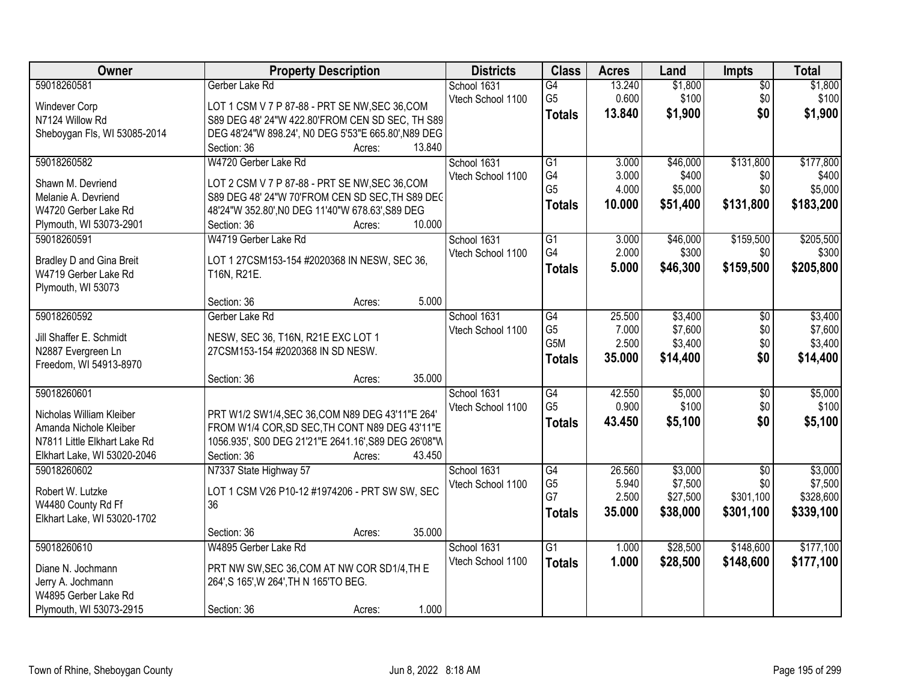| Owner                           | <b>Property Description</b>                          | <b>Districts</b>  | <b>Class</b>    | <b>Acres</b> | Land     | Impts           | <b>Total</b> |
|---------------------------------|------------------------------------------------------|-------------------|-----------------|--------------|----------|-----------------|--------------|
| 59018260581                     | Gerber Lake Rd                                       | School 1631       | $\overline{G4}$ | 13.240       | \$1,800  | $\overline{50}$ | \$1,800      |
| Windever Corp                   | LOT 1 CSM V 7 P 87-88 - PRT SE NW, SEC 36, COM       | Vtech School 1100 | G <sub>5</sub>  | 0.600        | \$100    | \$0             | \$100        |
| N7124 Willow Rd                 | S89 DEG 48' 24"W 422.80'FROM CEN SD SEC, TH S89      |                   | <b>Totals</b>   | 13.840       | \$1,900  | \$0             | \$1,900      |
| Sheboygan Fls, WI 53085-2014    | DEG 48'24"W 898.24', N0 DEG 5'53"E 665.80', N89 DEG  |                   |                 |              |          |                 |              |
|                                 | 13.840<br>Section: 36<br>Acres:                      |                   |                 |              |          |                 |              |
| 59018260582                     | W4720 Gerber Lake Rd                                 | School 1631       | $\overline{G1}$ | 3.000        | \$46,000 | \$131,800       | \$177,800    |
| Shawn M. Devriend               | LOT 2 CSM V 7 P 87-88 - PRT SE NW, SEC 36, COM       | Vtech School 1100 | G4              | 3.000        | \$400    | \$0             | \$400        |
| Melanie A. Devriend             | S89 DEG 48' 24"W 70'FROM CEN SD SEC. TH S89 DEC      |                   | G <sub>5</sub>  | 4.000        | \$5,000  | \$0             | \$5,000      |
| W4720 Gerber Lake Rd            | 48'24"W 352.80', NO DEG 11'40"W 678.63', S89 DEG     |                   | <b>Totals</b>   | 10.000       | \$51,400 | \$131,800       | \$183,200    |
| Plymouth, WI 53073-2901         | 10.000<br>Section: 36<br>Acres:                      |                   |                 |              |          |                 |              |
| 59018260591                     | W4719 Gerber Lake Rd                                 | School 1631       | G1              | 3.000        | \$46,000 | \$159,500       | \$205,500    |
|                                 |                                                      | Vtech School 1100 | G <sub>4</sub>  | 2.000        | \$300    | \$0             | \$300        |
| <b>Bradley D and Gina Breit</b> | LOT 1 27CSM153-154 #2020368 IN NESW, SEC 36,         |                   | Totals          | 5.000        | \$46,300 | \$159,500       | \$205,800    |
| W4719 Gerber Lake Rd            | T16N, R21E.                                          |                   |                 |              |          |                 |              |
| Plymouth, WI 53073              |                                                      |                   |                 |              |          |                 |              |
|                                 | 5.000<br>Section: 36<br>Acres:                       |                   |                 |              |          |                 |              |
| 59018260592                     | Gerber Lake Rd                                       | School 1631       | $\overline{G4}$ | 25.500       | \$3,400  | \$0             | \$3,400      |
| Jill Shaffer E. Schmidt         | NESW, SEC 36, T16N, R21E EXC LOT 1                   | Vtech School 1100 | G <sub>5</sub>  | 7.000        | \$7,600  | \$0             | \$7,600      |
| N2887 Evergreen Ln              | 27CSM153-154 #2020368 IN SD NESW.                    |                   | G5M             | 2.500        | \$3,400  | \$0             | \$3,400      |
| Freedom, WI 54913-8970          |                                                      |                   | <b>Totals</b>   | 35.000       | \$14,400 | \$0             | \$14,400     |
|                                 | 35.000<br>Section: 36<br>Acres:                      |                   |                 |              |          |                 |              |
| 59018260601                     |                                                      | School 1631       | G4              | 42.550       | \$5,000  | $\overline{50}$ | \$5,000      |
| Nicholas William Kleiber        | PRT W1/2 SW1/4, SEC 36, COM N89 DEG 43'11"E 264'     | Vtech School 1100 | G <sub>5</sub>  | 0.900        | \$100    | \$0             | \$100        |
| Amanda Nichole Kleiber          | FROM W1/4 COR, SD SEC, TH CONT N89 DEG 43'11"E       |                   | <b>Totals</b>   | 43.450       | \$5,100  | \$0             | \$5,100      |
| N7811 Little Elkhart Lake Rd    | 1056.935', S00 DEG 21'21"E 2641.16', S89 DEG 26'08"W |                   |                 |              |          |                 |              |
| Elkhart Lake, WI 53020-2046     | Section: 36<br>43.450<br>Acres:                      |                   |                 |              |          |                 |              |
| 59018260602                     | N7337 State Highway 57                               | School 1631       | $\overline{G4}$ | 26.560       | \$3,000  | $\overline{50}$ | \$3,000      |
|                                 |                                                      | Vtech School 1100 | G <sub>5</sub>  | 5.940        | \$7,500  | \$0             | \$7,500      |
| Robert W. Lutzke                | LOT 1 CSM V26 P10-12 #1974206 - PRT SW SW, SEC       |                   | G7              | 2.500        | \$27,500 | \$301,100       | \$328,600    |
| W4480 County Rd Ff              | 36                                                   |                   | <b>Totals</b>   | 35.000       | \$38,000 | \$301,100       | \$339,100    |
| Elkhart Lake, WI 53020-1702     |                                                      |                   |                 |              |          |                 |              |
|                                 | 35.000<br>Section: 36<br>Acres:                      |                   |                 |              |          |                 | \$177,100    |
| 59018260610                     | W4895 Gerber Lake Rd                                 | School 1631       | $\overline{G1}$ | 1.000        | \$28,500 | \$148,600       |              |
| Diane N. Jochmann               | PRT NW SW, SEC 36, COM AT NW COR SD1/4, TH E         | Vtech School 1100 | <b>Totals</b>   | 1.000        | \$28,500 | \$148,600       | \$177,100    |
| Jerry A. Jochmann               | 264', S 165', W 264', TH N 165'TO BEG.               |                   |                 |              |          |                 |              |
| W4895 Gerber Lake Rd            |                                                      |                   |                 |              |          |                 |              |
| Plymouth, WI 53073-2915         | 1.000<br>Section: 36<br>Acres:                       |                   |                 |              |          |                 |              |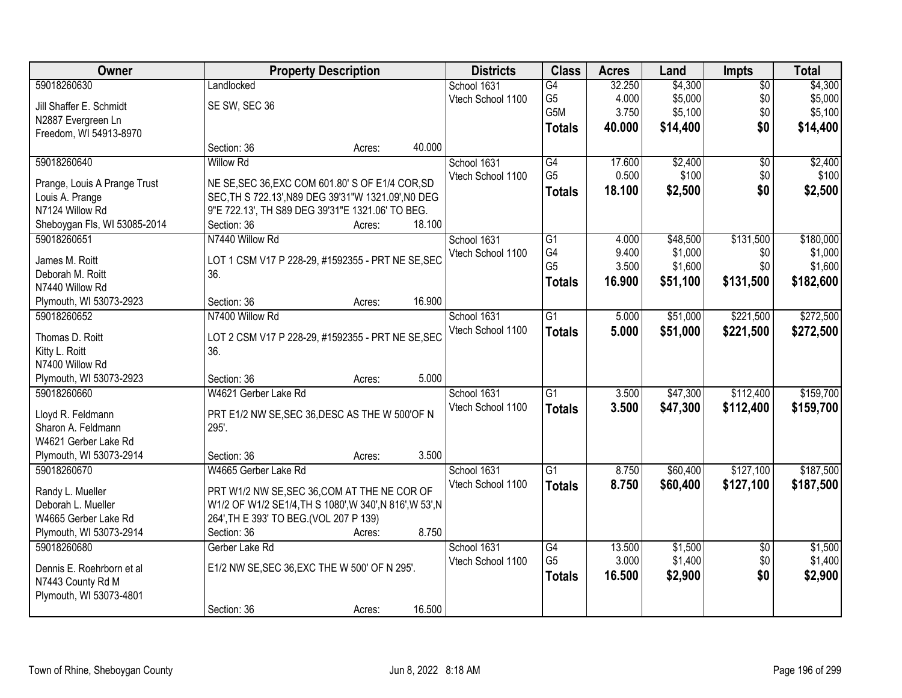| Owner                        |                                                          | <b>Property Description</b> |        | <b>Districts</b>  | <b>Class</b>    | <b>Acres</b>   | Land               | <b>Impts</b>    | <b>Total</b>       |
|------------------------------|----------------------------------------------------------|-----------------------------|--------|-------------------|-----------------|----------------|--------------------|-----------------|--------------------|
| 59018260630                  | Landlocked                                               |                             |        | School 1631       | G4              | 32.250         | \$4,300            | $\overline{50}$ | \$4,300            |
| Jill Shaffer E. Schmidt      | SE SW, SEC 36                                            |                             |        | Vtech School 1100 | G <sub>5</sub>  | 4.000          | \$5,000            | \$0             | \$5,000            |
| N2887 Evergreen Ln           |                                                          |                             |        |                   | G5M             | 3.750          | \$5,100            | \$0             | \$5,100            |
| Freedom, WI 54913-8970       |                                                          |                             |        |                   | <b>Totals</b>   | 40.000         | \$14,400           | \$0             | \$14,400           |
|                              | Section: 36                                              | Acres:                      | 40.000 |                   |                 |                |                    |                 |                    |
| 59018260640                  | <b>Willow Rd</b>                                         |                             |        | School 1631       | G4              | 17.600         | \$2,400            | $\overline{50}$ | \$2,400            |
|                              |                                                          |                             |        | Vtech School 1100 | G <sub>5</sub>  | 0.500          | \$100              | \$0             | \$100              |
| Prange, Louis A Prange Trust | NE SE, SEC 36, EXC COM 601.80' S OF E1/4 COR, SD         |                             |        |                   | <b>Totals</b>   | 18.100         | \$2,500            | \$0             | \$2,500            |
| Louis A. Prange              | SEC, TH S 722.13', N89 DEG 39'31"W 1321.09', N0 DEG      |                             |        |                   |                 |                |                    |                 |                    |
| N7124 Willow Rd              | 9"E 722.13', TH S89 DEG 39'31"E 1321.06' TO BEG.         |                             | 18.100 |                   |                 |                |                    |                 |                    |
| Sheboygan Fls, WI 53085-2014 | Section: 36                                              | Acres:                      |        |                   |                 |                |                    |                 |                    |
| 59018260651                  | N7440 Willow Rd                                          |                             |        | School 1631       | G1<br>G4        | 4.000          | \$48,500           | \$131,500       | \$180,000          |
| James M. Roitt               | LOT 1 CSM V17 P 228-29, #1592355 - PRT NE SE, SEC        |                             |        | Vtech School 1100 | G <sub>5</sub>  | 9.400<br>3.500 | \$1,000<br>\$1,600 | \$0<br>\$0      | \$1,000<br>\$1,600 |
| Deborah M. Roitt             | 36.                                                      |                             |        |                   |                 |                |                    |                 |                    |
| N7440 Willow Rd              |                                                          |                             |        |                   | <b>Totals</b>   | 16.900         | \$51,100           | \$131,500       | \$182,600          |
| Plymouth, WI 53073-2923      | Section: 36                                              | Acres:                      | 16.900 |                   |                 |                |                    |                 |                    |
| 59018260652                  | N7400 Willow Rd                                          |                             |        | School 1631       | G1              | 5.000          | \$51,000           | \$221,500       | \$272,500          |
| Thomas D. Roitt              | LOT 2 CSM V17 P 228-29, #1592355 - PRT NE SE, SEC        |                             |        | Vtech School 1100 | <b>Totals</b>   | 5.000          | \$51,000           | \$221,500       | \$272,500          |
| Kitty L. Roitt               | 36.                                                      |                             |        |                   |                 |                |                    |                 |                    |
| N7400 Willow Rd              |                                                          |                             |        |                   |                 |                |                    |                 |                    |
| Plymouth, WI 53073-2923      | Section: 36                                              | Acres:                      | 5.000  |                   |                 |                |                    |                 |                    |
| 59018260660                  | W4621 Gerber Lake Rd                                     |                             |        | School 1631       | $\overline{G1}$ | 3.500          | \$47,300           | \$112,400       | \$159,700          |
|                              |                                                          |                             |        | Vtech School 1100 | <b>Totals</b>   | 3.500          | \$47,300           | \$112,400       | \$159,700          |
| Lloyd R. Feldmann            | PRT E1/2 NW SE, SEC 36, DESC AS THE W 500'OF N           |                             |        |                   |                 |                |                    |                 |                    |
| Sharon A. Feldmann           | 295'.                                                    |                             |        |                   |                 |                |                    |                 |                    |
| W4621 Gerber Lake Rd         |                                                          |                             |        |                   |                 |                |                    |                 |                    |
| Plymouth, WI 53073-2914      | Section: 36                                              | Acres:                      | 3.500  |                   |                 |                |                    |                 |                    |
| 59018260670                  | W4665 Gerber Lake Rd                                     |                             |        | School 1631       | $\overline{G1}$ | 8.750          | \$60,400           | \$127,100       | \$187,500          |
| Randy L. Mueller             | PRT W1/2 NW SE, SEC 36, COM AT THE NE COR OF             |                             |        | Vtech School 1100 | <b>Totals</b>   | 8.750          | \$60,400           | \$127,100       | \$187,500          |
| Deborah L. Mueller           | W1/2 OF W1/2 SE1/4, TH S 1080', W 340', N 816', W 53', N |                             |        |                   |                 |                |                    |                 |                    |
| W4665 Gerber Lake Rd         | 264', TH E 393' TO BEG. (VOL 207 P 139)                  |                             |        |                   |                 |                |                    |                 |                    |
| Plymouth, WI 53073-2914      | Section: 36                                              | Acres:                      | 8.750  |                   |                 |                |                    |                 |                    |
| 59018260680                  | Gerber Lake Rd                                           |                             |        | School 1631       | G4              | 13.500         | \$1,500            | $\overline{50}$ | \$1,500            |
|                              |                                                          |                             |        | Vtech School 1100 | G <sub>5</sub>  | 3.000          | \$1,400            | \$0             | \$1,400            |
| Dennis E. Roehrborn et al    | E1/2 NW SE, SEC 36, EXC THE W 500' OF N 295'.            |                             |        |                   | <b>Totals</b>   | 16.500         | \$2,900            | \$0             | \$2,900            |
| N7443 County Rd M            |                                                          |                             |        |                   |                 |                |                    |                 |                    |
| Plymouth, WI 53073-4801      |                                                          |                             |        |                   |                 |                |                    |                 |                    |
|                              | Section: 36                                              | Acres:                      | 16.500 |                   |                 |                |                    |                 |                    |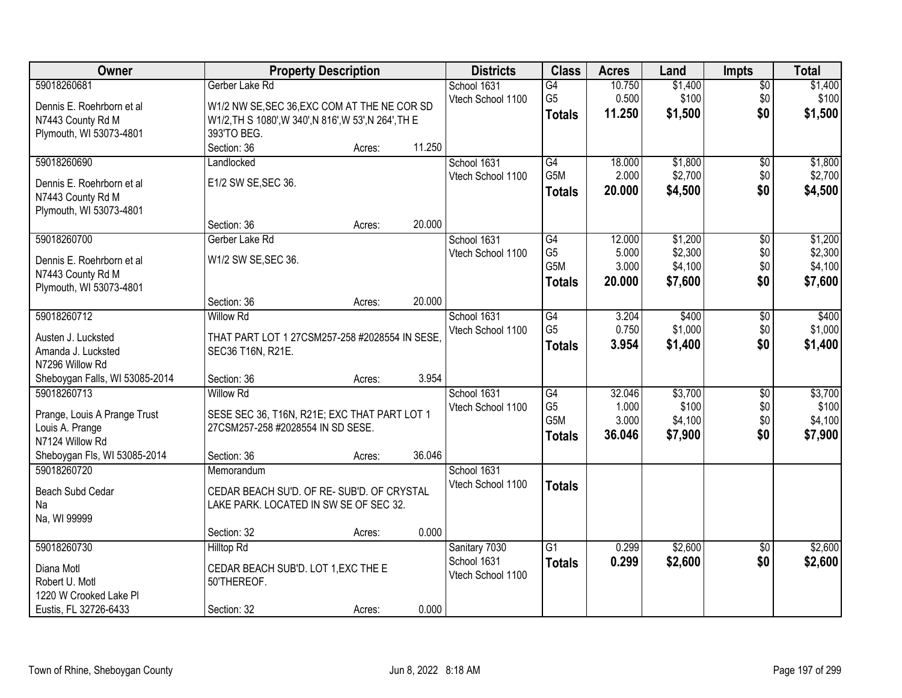| Owner                          | <b>Property Description</b>                           |        |        | <b>Districts</b>  | <b>Class</b>     | <b>Acres</b> | Land    | <b>Impts</b>    | <b>Total</b> |
|--------------------------------|-------------------------------------------------------|--------|--------|-------------------|------------------|--------------|---------|-----------------|--------------|
| 59018260681                    | Gerber Lake Rd                                        |        |        | School 1631       | $\overline{G4}$  | 10.750       | \$1,400 | $\overline{50}$ | \$1,400      |
| Dennis E. Roehrborn et al      | W1/2 NW SE, SEC 36, EXC COM AT THE NE COR SD          |        |        | Vtech School 1100 | G <sub>5</sub>   | 0.500        | \$100   | \$0             | \$100        |
| N7443 County Rd M              | W1/2, TH S 1080', W 340', N 816', W 53', N 264', TH E |        |        |                   | <b>Totals</b>    | 11.250       | \$1,500 | \$0             | \$1,500      |
| Plymouth, WI 53073-4801        | 393'TO BEG.                                           |        |        |                   |                  |              |         |                 |              |
|                                | Section: 36                                           | Acres: | 11.250 |                   |                  |              |         |                 |              |
| 59018260690                    | Landlocked                                            |        |        | School 1631       | G4               | 18.000       | \$1,800 | $\overline{50}$ | \$1,800      |
|                                |                                                       |        |        | Vtech School 1100 | G5M              | 2.000        | \$2,700 | \$0             | \$2,700      |
| Dennis E. Roehrborn et al      | E1/2 SW SE, SEC 36.                                   |        |        |                   | <b>Totals</b>    | 20,000       | \$4,500 | \$0             | \$4,500      |
| N7443 County Rd M              |                                                       |        |        |                   |                  |              |         |                 |              |
| Plymouth, WI 53073-4801        | Section: 36                                           |        | 20.000 |                   |                  |              |         |                 |              |
| 59018260700                    |                                                       | Acres: |        | School 1631       | G4               | 12.000       | \$1,200 |                 | \$1,200      |
|                                | Gerber Lake Rd                                        |        |        | Vtech School 1100 | G <sub>5</sub>   | 5.000        | \$2,300 | \$0<br>\$0      | \$2,300      |
| Dennis E. Roehrborn et al      | W1/2 SW SE, SEC 36.                                   |        |        |                   | G <sub>5</sub> M | 3.000        | \$4,100 | \$0             | \$4,100      |
| N7443 County Rd M              |                                                       |        |        |                   |                  | 20.000       | \$7,600 | \$0             |              |
| Plymouth, WI 53073-4801        |                                                       |        |        |                   | <b>Totals</b>    |              |         |                 | \$7,600      |
|                                | Section: 36                                           | Acres: | 20.000 |                   |                  |              |         |                 |              |
| 59018260712                    | <b>Willow Rd</b>                                      |        |        | School 1631       | G4               | 3.204        | \$400   | \$0             | \$400        |
| Austen J. Lucksted             | THAT PART LOT 1 27CSM257-258 #2028554 IN SESE.        |        |        | Vtech School 1100 | G <sub>5</sub>   | 0.750        | \$1,000 | \$0             | \$1,000      |
| Amanda J. Lucksted             | SEC36 T16N, R21E.                                     |        |        |                   | <b>Totals</b>    | 3.954        | \$1,400 | \$0             | \$1,400      |
| N7296 Willow Rd                |                                                       |        |        |                   |                  |              |         |                 |              |
| Sheboygan Falls, WI 53085-2014 | Section: 36                                           | Acres: | 3.954  |                   |                  |              |         |                 |              |
| 59018260713                    | <b>Willow Rd</b>                                      |        |        | School 1631       | $\overline{G4}$  | 32.046       | \$3,700 | $\overline{50}$ | \$3,700      |
|                                |                                                       |        |        | Vtech School 1100 | G <sub>5</sub>   | 1.000        | \$100   | \$0             | \$100        |
| Prange, Louis A Prange Trust   | SESE SEC 36, T16N, R21E; EXC THAT PART LOT 1          |        |        |                   | G <sub>5</sub> M | 3.000        | \$4,100 | \$0             | \$4,100      |
| Louis A. Prange                | 27CSM257-258 #2028554 IN SD SESE.                     |        |        |                   | <b>Totals</b>    | 36.046       | \$7,900 | \$0             | \$7,900      |
| N7124 Willow Rd                |                                                       |        |        |                   |                  |              |         |                 |              |
| Sheboygan Fls, WI 53085-2014   | Section: 36                                           | Acres: | 36.046 |                   |                  |              |         |                 |              |
| 59018260720                    | Memorandum                                            |        |        | School 1631       |                  |              |         |                 |              |
| Beach Subd Cedar               | CEDAR BEACH SU'D. OF RE-SUB'D. OF CRYSTAL             |        |        | Vtech School 1100 | <b>Totals</b>    |              |         |                 |              |
| Na                             | LAKE PARK. LOCATED IN SW SE OF SEC 32.                |        |        |                   |                  |              |         |                 |              |
| Na, WI 99999                   |                                                       |        |        |                   |                  |              |         |                 |              |
|                                | Section: 32                                           | Acres: | 0.000  |                   |                  |              |         |                 |              |
| 59018260730                    | <b>Hilltop Rd</b>                                     |        |        | Sanitary 7030     | $\overline{G1}$  | 0.299        | \$2,600 | $\overline{50}$ | \$2,600      |
| Diana Motl                     | CEDAR BEACH SUB'D. LOT 1, EXC THE E                   |        |        | School 1631       | <b>Totals</b>    | 0.299        | \$2,600 | \$0             | \$2,600      |
| Robert U. Motl                 | 50'THEREOF.                                           |        |        | Vtech School 1100 |                  |              |         |                 |              |
| 1220 W Crooked Lake PI         |                                                       |        |        |                   |                  |              |         |                 |              |
| Eustis, FL 32726-6433          | Section: 32                                           | Acres: | 0.000  |                   |                  |              |         |                 |              |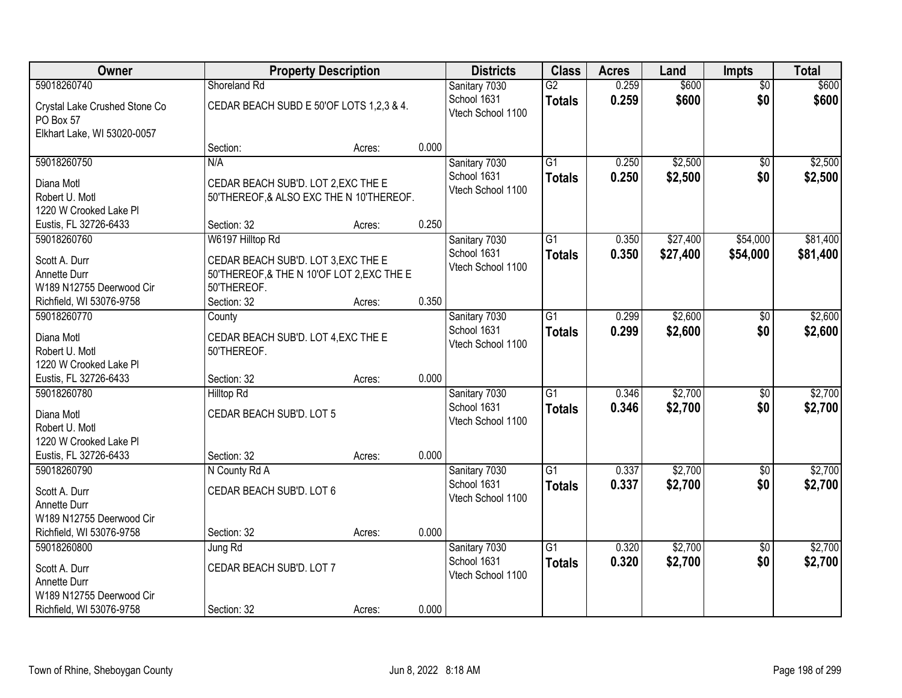| Owner                                      |                                            | <b>Property Description</b> |       |                                  | <b>Class</b>    | <b>Acres</b> | Land     | <b>Impts</b>    | <b>Total</b> |
|--------------------------------------------|--------------------------------------------|-----------------------------|-------|----------------------------------|-----------------|--------------|----------|-----------------|--------------|
| 59018260740                                | Shoreland Rd                               |                             |       | Sanitary 7030                    | $\overline{G2}$ | 0.259        | \$600    | \$0             | \$600        |
| Crystal Lake Crushed Stone Co<br>PO Box 57 | CEDAR BEACH SUBD E 50'OF LOTS 1,2,3 & 4.   |                             |       | School 1631<br>Vtech School 1100 | <b>Totals</b>   | 0.259        | \$600    | \$0             | \$600        |
| Elkhart Lake, WI 53020-0057                |                                            |                             |       |                                  |                 |              |          |                 |              |
|                                            | Section:                                   | Acres:                      | 0.000 |                                  |                 |              |          |                 |              |
| 59018260750                                | N/A                                        |                             |       | Sanitary 7030                    | $\overline{G1}$ | 0.250        | \$2,500  | \$0             | \$2,500      |
| Diana Motl                                 | CEDAR BEACH SUB'D. LOT 2, EXC THE E        |                             |       | School 1631                      | <b>Totals</b>   | 0.250        | \$2,500  | \$0             | \$2,500      |
| Robert U. Motl                             | 50'THEREOF, & ALSO EXC THE N 10'THEREOF.   |                             |       | Vtech School 1100                |                 |              |          |                 |              |
| 1220 W Crooked Lake Pl                     |                                            |                             |       |                                  |                 |              |          |                 |              |
| Eustis, FL 32726-6433                      | Section: 32                                | Acres:                      | 0.250 |                                  |                 |              |          |                 |              |
| 59018260760                                | W6197 Hilltop Rd                           |                             |       | Sanitary 7030                    | $\overline{G1}$ | 0.350        | \$27,400 | \$54,000        | \$81,400     |
| Scott A. Durr                              | CEDAR BEACH SUB'D. LOT 3, EXC THE E        |                             |       | School 1631                      | <b>Totals</b>   | 0.350        | \$27,400 | \$54,000        | \$81,400     |
| Annette Durr                               | 50'THEREOF, & THE N 10'OF LOT 2, EXC THE E |                             |       | Vtech School 1100                |                 |              |          |                 |              |
| W189 N12755 Deerwood Cir                   | 50'THEREOF.                                |                             |       |                                  |                 |              |          |                 |              |
| Richfield, WI 53076-9758                   | Section: 32                                | Acres:                      | 0.350 |                                  |                 |              |          |                 |              |
| 59018260770                                | County                                     |                             |       | Sanitary 7030                    | $\overline{G1}$ | 0.299        | \$2,600  | \$0             | \$2,600      |
| Diana Motl                                 | CEDAR BEACH SUB'D. LOT 4, EXC THE E        |                             |       | School 1631                      | <b>Totals</b>   | 0.299        | \$2,600  | \$0             | \$2,600      |
| Robert U. Motl                             | 50'THEREOF.                                |                             |       | Vtech School 1100                |                 |              |          |                 |              |
| 1220 W Crooked Lake Pl                     |                                            |                             |       |                                  |                 |              |          |                 |              |
| Eustis, FL 32726-6433                      | Section: 32                                | Acres:                      | 0.000 |                                  |                 |              |          |                 |              |
| 59018260780                                | <b>Hilltop Rd</b>                          |                             |       | Sanitary 7030                    | $\overline{G1}$ | 0.346        | \$2,700  | \$0             | \$2,700      |
| Diana Motl                                 | CEDAR BEACH SUB'D. LOT 5                   |                             |       | School 1631                      | <b>Totals</b>   | 0.346        | \$2,700  | \$0             | \$2,700      |
| Robert U. Motl                             |                                            |                             |       | Vtech School 1100                |                 |              |          |                 |              |
| 1220 W Crooked Lake PI                     |                                            |                             |       |                                  |                 |              |          |                 |              |
| Eustis, FL 32726-6433                      | Section: 32                                | Acres:                      | 0.000 |                                  |                 |              |          |                 |              |
| 59018260790                                | N County Rd A                              |                             |       | Sanitary 7030                    | $\overline{G1}$ | 0.337        | \$2,700  | \$0             | \$2,700      |
| Scott A. Durr                              | CEDAR BEACH SUB'D. LOT 6                   |                             |       | School 1631                      | <b>Totals</b>   | 0.337        | \$2,700  | \$0             | \$2,700      |
| Annette Durr                               |                                            |                             |       | Vtech School 1100                |                 |              |          |                 |              |
| W189 N12755 Deerwood Cir                   |                                            |                             |       |                                  |                 |              |          |                 |              |
| Richfield, WI 53076-9758                   | Section: 32                                | Acres:                      | 0.000 |                                  |                 |              |          |                 |              |
| 59018260800                                | Jung Rd                                    |                             |       | Sanitary 7030                    | $\overline{G1}$ | 0.320        | \$2,700  | $\overline{50}$ | \$2,700      |
| Scott A. Durr                              | CEDAR BEACH SUB'D. LOT 7                   |                             |       | School 1631                      | <b>Totals</b>   | 0.320        | \$2,700  | \$0             | \$2,700      |
| Annette Durr                               |                                            |                             |       | Vtech School 1100                |                 |              |          |                 |              |
| W189 N12755 Deerwood Cir                   |                                            |                             |       |                                  |                 |              |          |                 |              |
| Richfield, WI 53076-9758                   | Section: 32                                | Acres:                      | 0.000 |                                  |                 |              |          |                 |              |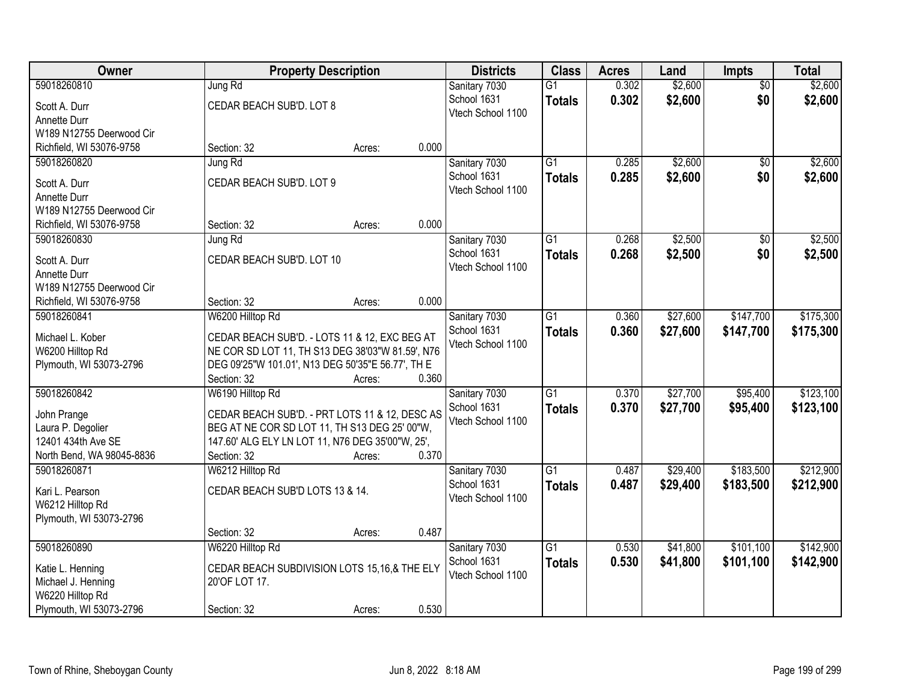| Owner                     |                                                   | <b>Property Description</b> |       | <b>Districts</b>  | <b>Class</b>    | <b>Acres</b> | Land     | <b>Impts</b>    | <b>Total</b> |
|---------------------------|---------------------------------------------------|-----------------------------|-------|-------------------|-----------------|--------------|----------|-----------------|--------------|
| 59018260810               | Jung Rd                                           |                             |       | Sanitary 7030     | $\overline{G1}$ | 0.302        | \$2,600  | $\overline{50}$ | \$2,600      |
| Scott A. Durr             | CEDAR BEACH SUB'D. LOT 8                          |                             |       | School 1631       | <b>Totals</b>   | 0.302        | \$2,600  | \$0             | \$2,600      |
| Annette Durr              |                                                   |                             |       | Vtech School 1100 |                 |              |          |                 |              |
| W189 N12755 Deerwood Cir  |                                                   |                             |       |                   |                 |              |          |                 |              |
| Richfield, WI 53076-9758  | Section: 32                                       | Acres:                      | 0.000 |                   |                 |              |          |                 |              |
| 59018260820               | Jung Rd                                           |                             |       | Sanitary 7030     | $\overline{G1}$ | 0.285        | \$2,600  | $\overline{50}$ | \$2,600      |
| Scott A. Durr             | CEDAR BEACH SUB'D. LOT 9                          |                             |       | School 1631       | <b>Totals</b>   | 0.285        | \$2,600  | \$0             | \$2,600      |
| Annette Durr              |                                                   |                             |       | Vtech School 1100 |                 |              |          |                 |              |
| W189 N12755 Deerwood Cir  |                                                   |                             |       |                   |                 |              |          |                 |              |
| Richfield, WI 53076-9758  | Section: 32                                       | Acres:                      | 0.000 |                   |                 |              |          |                 |              |
| 59018260830               | Jung Rd                                           |                             |       | Sanitary 7030     | $\overline{G1}$ | 0.268        | \$2,500  | \$0             | \$2,500      |
|                           |                                                   |                             |       | School 1631       | <b>Totals</b>   | 0.268        | \$2,500  | \$0             | \$2,500      |
| Scott A. Durr             | CEDAR BEACH SUB'D. LOT 10                         |                             |       | Vtech School 1100 |                 |              |          |                 |              |
| Annette Durr              |                                                   |                             |       |                   |                 |              |          |                 |              |
| W189 N12755 Deerwood Cir  |                                                   |                             |       |                   |                 |              |          |                 |              |
| Richfield, WI 53076-9758  | Section: 32                                       | Acres:                      | 0.000 |                   |                 |              |          |                 |              |
| 59018260841               | W6200 Hilltop Rd                                  |                             |       | Sanitary 7030     | $\overline{G1}$ | 0.360        | \$27,600 | \$147,700       | \$175,300    |
| Michael L. Kober          | CEDAR BEACH SUB'D. - LOTS 11 & 12, EXC BEG AT     |                             |       | School 1631       | <b>Totals</b>   | 0.360        | \$27,600 | \$147,700       | \$175,300    |
| W6200 Hilltop Rd          | NE COR SD LOT 11, TH S13 DEG 38'03"W 81.59', N76  |                             |       | Vtech School 1100 |                 |              |          |                 |              |
| Plymouth, WI 53073-2796   | DEG 09'25"W 101.01', N13 DEG 50'35"E 56.77', TH E |                             |       |                   |                 |              |          |                 |              |
|                           | Section: 32                                       | Acres:                      | 0.360 |                   |                 |              |          |                 |              |
| 59018260842               | W6190 Hilltop Rd                                  |                             |       | Sanitary 7030     | $\overline{G1}$ | 0.370        | \$27,700 | \$95,400        | \$123,100    |
| John Prange               | CEDAR BEACH SUB'D. - PRT LOTS 11 & 12, DESC AS    |                             |       | School 1631       | <b>Totals</b>   | 0.370        | \$27,700 | \$95,400        | \$123,100    |
| Laura P. Degolier         | BEG AT NE COR SD LOT 11, TH S13 DEG 25' 00"W,     |                             |       | Vtech School 1100 |                 |              |          |                 |              |
| 12401 434th Ave SE        | 147.60' ALG ELY LN LOT 11, N76 DEG 35'00"W, 25',  |                             |       |                   |                 |              |          |                 |              |
| North Bend, WA 98045-8836 | Section: 32                                       | Acres:                      | 0.370 |                   |                 |              |          |                 |              |
| 59018260871               | W6212 Hilltop Rd                                  |                             |       | Sanitary 7030     | $\overline{G1}$ | 0.487        | \$29,400 | \$183,500       | \$212,900    |
|                           |                                                   |                             |       | School 1631       | <b>Totals</b>   | 0.487        | \$29,400 | \$183,500       | \$212,900    |
| Kari L. Pearson           | CEDAR BEACH SUB'D LOTS 13 & 14.                   |                             |       | Vtech School 1100 |                 |              |          |                 |              |
| W6212 Hilltop Rd          |                                                   |                             |       |                   |                 |              |          |                 |              |
| Plymouth, WI 53073-2796   |                                                   |                             |       |                   |                 |              |          |                 |              |
|                           | Section: 32                                       | Acres:                      | 0.487 |                   |                 |              |          |                 |              |
| 59018260890               | W6220 Hilltop Rd                                  |                             |       | Sanitary 7030     | $\overline{G1}$ | 0.530        | \$41,800 | \$101,100       | \$142,900    |
| Katie L. Henning          | CEDAR BEACH SUBDIVISION LOTS 15,16,& THE ELY      |                             |       | School 1631       | <b>Totals</b>   | 0.530        | \$41,800 | \$101,100       | \$142,900    |
| Michael J. Henning        | 20'OF LOT 17.                                     |                             |       | Vtech School 1100 |                 |              |          |                 |              |
| W6220 Hilltop Rd          |                                                   |                             |       |                   |                 |              |          |                 |              |
| Plymouth, WI 53073-2796   | Section: 32                                       | Acres:                      | 0.530 |                   |                 |              |          |                 |              |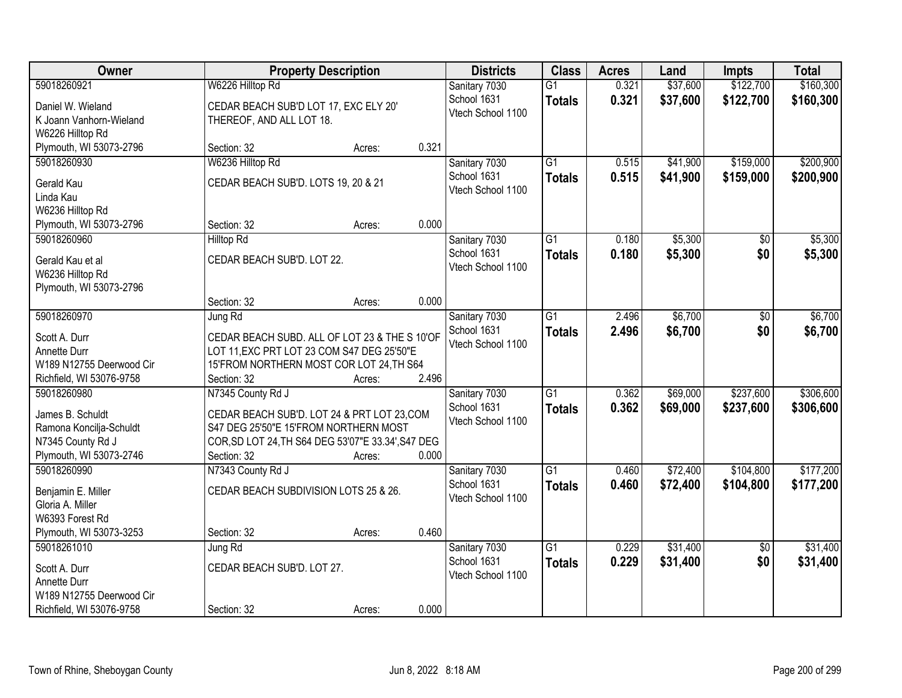| Owner                                        |                                       | <b>Property Description</b>                                                                 |       | <b>Districts</b>  | <b>Class</b>    | <b>Acres</b> | Land     | <b>Impts</b>    | <b>Total</b> |
|----------------------------------------------|---------------------------------------|---------------------------------------------------------------------------------------------|-------|-------------------|-----------------|--------------|----------|-----------------|--------------|
| 59018260921                                  | W6226 Hilltop Rd                      |                                                                                             |       | Sanitary 7030     | $\overline{G1}$ | 0.321        | \$37,600 | \$122,700       | \$160,300    |
| Daniel W. Wieland                            | CEDAR BEACH SUB'D LOT 17, EXC ELY 20' |                                                                                             |       | School 1631       | <b>Totals</b>   | 0.321        | \$37,600 | \$122,700       | \$160,300    |
| K Joann Vanhorn-Wieland                      | THEREOF, AND ALL LOT 18.              |                                                                                             |       | Vtech School 1100 |                 |              |          |                 |              |
| W6226 Hilltop Rd                             |                                       |                                                                                             |       |                   |                 |              |          |                 |              |
| Plymouth, WI 53073-2796                      | Section: 32                           | Acres:                                                                                      | 0.321 |                   |                 |              |          |                 |              |
| 59018260930                                  | W6236 Hilltop Rd                      |                                                                                             |       | Sanitary 7030     | $\overline{G1}$ | 0.515        | \$41,900 | \$159,000       | \$200,900    |
| Gerald Kau                                   | CEDAR BEACH SUB'D. LOTS 19, 20 & 21   |                                                                                             |       | School 1631       | <b>Totals</b>   | 0.515        | \$41,900 | \$159,000       | \$200,900    |
| Linda Kau                                    |                                       |                                                                                             |       | Vtech School 1100 |                 |              |          |                 |              |
| W6236 Hilltop Rd                             |                                       |                                                                                             |       |                   |                 |              |          |                 |              |
| Plymouth, WI 53073-2796                      | Section: 32                           | Acres:                                                                                      | 0.000 |                   |                 |              |          |                 |              |
| 59018260960                                  | <b>Hilltop Rd</b>                     |                                                                                             |       | Sanitary 7030     | G1              | 0.180        | \$5,300  | \$0             | \$5,300      |
| Gerald Kau et al                             | CEDAR BEACH SUB'D. LOT 22.            |                                                                                             |       | School 1631       | <b>Totals</b>   | 0.180        | \$5,300  | \$0             | \$5,300      |
| W6236 Hilltop Rd                             |                                       |                                                                                             |       | Vtech School 1100 |                 |              |          |                 |              |
| Plymouth, WI 53073-2796                      |                                       |                                                                                             |       |                   |                 |              |          |                 |              |
|                                              | Section: 32                           | Acres:                                                                                      | 0.000 |                   |                 |              |          |                 |              |
| 59018260970                                  | Jung Rd                               |                                                                                             |       | Sanitary 7030     | $\overline{G1}$ | 2.496        | \$6,700  | \$0             | \$6,700      |
| Scott A. Durr                                |                                       |                                                                                             |       | School 1631       | <b>Totals</b>   | 2.496        | \$6,700  | \$0             | \$6,700      |
| Annette Durr                                 |                                       | CEDAR BEACH SUBD. ALL OF LOT 23 & THE S 10'OF<br>LOT 11, EXC PRT LOT 23 COM S47 DEG 25'50"E |       | Vtech School 1100 |                 |              |          |                 |              |
| W189 N12755 Deerwood Cir                     |                                       | 15'FROM NORTHERN MOST COR LOT 24, TH S64                                                    |       |                   |                 |              |          |                 |              |
| Richfield, WI 53076-9758                     | Section: 32                           | Acres:                                                                                      | 2.496 |                   |                 |              |          |                 |              |
| 59018260980                                  | N7345 County Rd J                     |                                                                                             |       | Sanitary 7030     | $\overline{G1}$ | 0.362        | \$69,000 | \$237,600       | \$306,600    |
|                                              |                                       |                                                                                             |       | School 1631       | <b>Totals</b>   | 0.362        | \$69,000 | \$237,600       | \$306,600    |
| James B. Schuldt                             |                                       | CEDAR BEACH SUB'D. LOT 24 & PRT LOT 23, COM<br>S47 DEG 25'50"E 15'FROM NORTHERN MOST        |       | Vtech School 1100 |                 |              |          |                 |              |
| Ramona Koncilja-Schuldt<br>N7345 County Rd J |                                       | COR, SD LOT 24, TH S64 DEG 53'07"E 33.34', S47 DEG                                          |       |                   |                 |              |          |                 |              |
| Plymouth, WI 53073-2746                      | Section: 32                           | Acres:                                                                                      | 0.000 |                   |                 |              |          |                 |              |
| 59018260990                                  | N7343 County Rd J                     |                                                                                             |       | Sanitary 7030     | $\overline{G1}$ | 0.460        | \$72,400 | \$104,800       | \$177,200    |
|                                              |                                       |                                                                                             |       | School 1631       | <b>Totals</b>   | 0.460        | \$72,400 | \$104,800       | \$177,200    |
| Benjamin E. Miller                           | CEDAR BEACH SUBDIVISION LOTS 25 & 26. |                                                                                             |       | Vtech School 1100 |                 |              |          |                 |              |
| Gloria A. Miller                             |                                       |                                                                                             |       |                   |                 |              |          |                 |              |
| W6393 Forest Rd<br>Plymouth, WI 53073-3253   | Section: 32                           | Acres:                                                                                      | 0.460 |                   |                 |              |          |                 |              |
| 59018261010                                  | Jung Rd                               |                                                                                             |       | Sanitary 7030     | $\overline{G1}$ | 0.229        | \$31,400 | $\overline{50}$ | \$31,400     |
|                                              |                                       |                                                                                             |       | School 1631       | <b>Totals</b>   | 0.229        | \$31,400 | \$0             | \$31,400     |
| Scott A. Durr                                | CEDAR BEACH SUB'D. LOT 27.            |                                                                                             |       | Vtech School 1100 |                 |              |          |                 |              |
| Annette Durr                                 |                                       |                                                                                             |       |                   |                 |              |          |                 |              |
| W189 N12755 Deerwood Cir                     |                                       |                                                                                             |       |                   |                 |              |          |                 |              |
| Richfield, WI 53076-9758                     | Section: 32                           | Acres:                                                                                      | 0.000 |                   |                 |              |          |                 |              |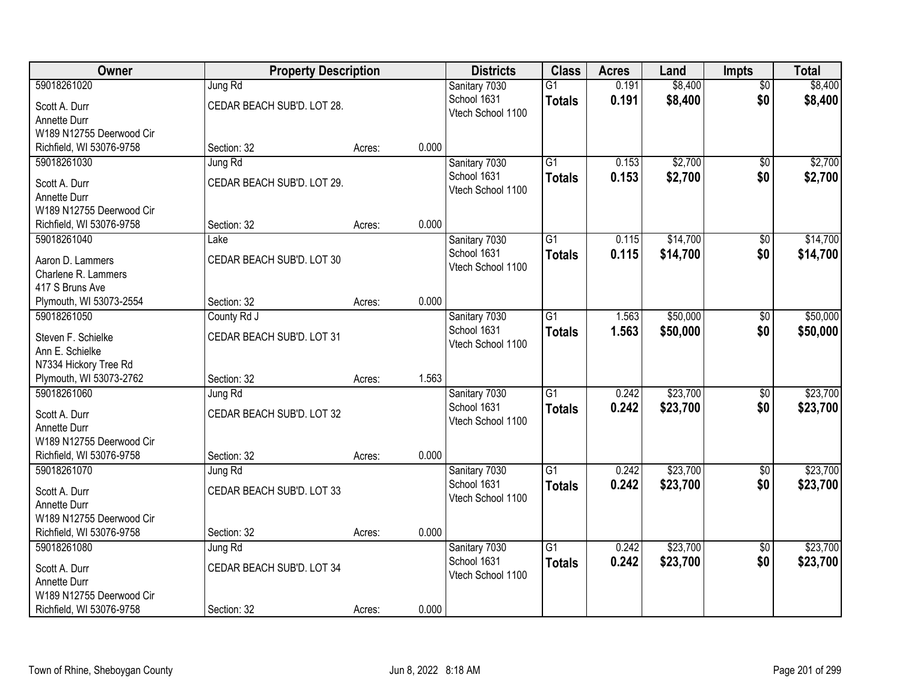| Owner                    | <b>Property Description</b> |        |       | <b>Districts</b>                 | <b>Class</b>    | <b>Acres</b> | Land     | Impts           | <b>Total</b> |
|--------------------------|-----------------------------|--------|-------|----------------------------------|-----------------|--------------|----------|-----------------|--------------|
| 59018261020              | Jung Rd                     |        |       | Sanitary 7030                    | $\overline{G1}$ | 0.191        | \$8,400  | $\overline{50}$ | \$8,400      |
| Scott A. Durr            | CEDAR BEACH SUB'D. LOT 28.  |        |       | School 1631<br>Vtech School 1100 | <b>Totals</b>   | 0.191        | \$8,400  | \$0             | \$8,400      |
| Annette Durr             |                             |        |       |                                  |                 |              |          |                 |              |
| W189 N12755 Deerwood Cir |                             |        |       |                                  |                 |              |          |                 |              |
| Richfield, WI 53076-9758 | Section: 32                 | Acres: | 0.000 |                                  |                 |              |          |                 |              |
| 59018261030              | Jung Rd                     |        |       | Sanitary 7030                    | $\overline{G1}$ | 0.153        | \$2,700  | \$0             | \$2,700      |
| Scott A. Durr            | CEDAR BEACH SUB'D. LOT 29.  |        |       | School 1631<br>Vtech School 1100 | <b>Totals</b>   | 0.153        | \$2,700  | \$0             | \$2,700      |
| Annette Durr             |                             |        |       |                                  |                 |              |          |                 |              |
| W189 N12755 Deerwood Cir |                             |        |       |                                  |                 |              |          |                 |              |
| Richfield, WI 53076-9758 | Section: 32                 | Acres: | 0.000 |                                  |                 |              |          |                 |              |
| 59018261040              | Lake                        |        |       | Sanitary 7030                    | $\overline{G1}$ | 0.115        | \$14,700 | \$0             | \$14,700     |
| Aaron D. Lammers         | CEDAR BEACH SUB'D. LOT 30   |        |       | School 1631<br>Vtech School 1100 | <b>Totals</b>   | 0.115        | \$14,700 | \$0             | \$14,700     |
| Charlene R. Lammers      |                             |        |       |                                  |                 |              |          |                 |              |
| 417 S Bruns Ave          |                             |        |       |                                  |                 |              |          |                 |              |
| Plymouth, WI 53073-2554  | Section: 32                 | Acres: | 0.000 |                                  |                 |              |          |                 |              |
| 59018261050              | County Rd J                 |        |       | Sanitary 7030                    | $\overline{G1}$ | 1.563        | \$50,000 | \$0             | \$50,000     |
| Steven F. Schielke       | CEDAR BEACH SUB'D. LOT 31   |        |       | School 1631<br>Vtech School 1100 | <b>Totals</b>   | 1.563        | \$50,000 | \$0             | \$50,000     |
| Ann E. Schielke          |                             |        |       |                                  |                 |              |          |                 |              |
| N7334 Hickory Tree Rd    |                             |        |       |                                  |                 |              |          |                 |              |
| Plymouth, WI 53073-2762  | Section: 32                 | Acres: | 1.563 |                                  |                 |              |          |                 |              |
| 59018261060              | Jung Rd                     |        |       | Sanitary 7030                    | $\overline{G1}$ | 0.242        | \$23,700 | \$0             | \$23,700     |
| Scott A. Durr            | CEDAR BEACH SUB'D. LOT 32   |        |       | School 1631<br>Vtech School 1100 | <b>Totals</b>   | 0.242        | \$23,700 | \$0             | \$23,700     |
| Annette Durr             |                             |        |       |                                  |                 |              |          |                 |              |
| W189 N12755 Deerwood Cir |                             |        |       |                                  |                 |              |          |                 |              |
| Richfield, WI 53076-9758 | Section: 32                 | Acres: | 0.000 |                                  |                 |              |          |                 |              |
| 59018261070              | Jung Rd                     |        |       | Sanitary 7030                    | $\overline{G1}$ | 0.242        | \$23,700 | $\sqrt{6}$      | \$23,700     |
| Scott A. Durr            | CEDAR BEACH SUB'D. LOT 33   |        |       | School 1631<br>Vtech School 1100 | <b>Totals</b>   | 0.242        | \$23,700 | \$0             | \$23,700     |
| Annette Durr             |                             |        |       |                                  |                 |              |          |                 |              |
| W189 N12755 Deerwood Cir |                             |        |       |                                  |                 |              |          |                 |              |
| Richfield, WI 53076-9758 | Section: 32                 | Acres: | 0.000 |                                  |                 |              |          |                 |              |
| 59018261080              | Jung Rd                     |        |       | Sanitary 7030                    | $\overline{G1}$ | 0.242        | \$23,700 | $\overline{50}$ | \$23,700     |
| Scott A. Durr            | CEDAR BEACH SUB'D. LOT 34   |        |       | School 1631                      | <b>Totals</b>   | 0.242        | \$23,700 | \$0             | \$23,700     |
| Annette Durr             |                             |        |       | Vtech School 1100                |                 |              |          |                 |              |
| W189 N12755 Deerwood Cir |                             |        |       |                                  |                 |              |          |                 |              |
| Richfield, WI 53076-9758 | Section: 32                 | Acres: | 0.000 |                                  |                 |              |          |                 |              |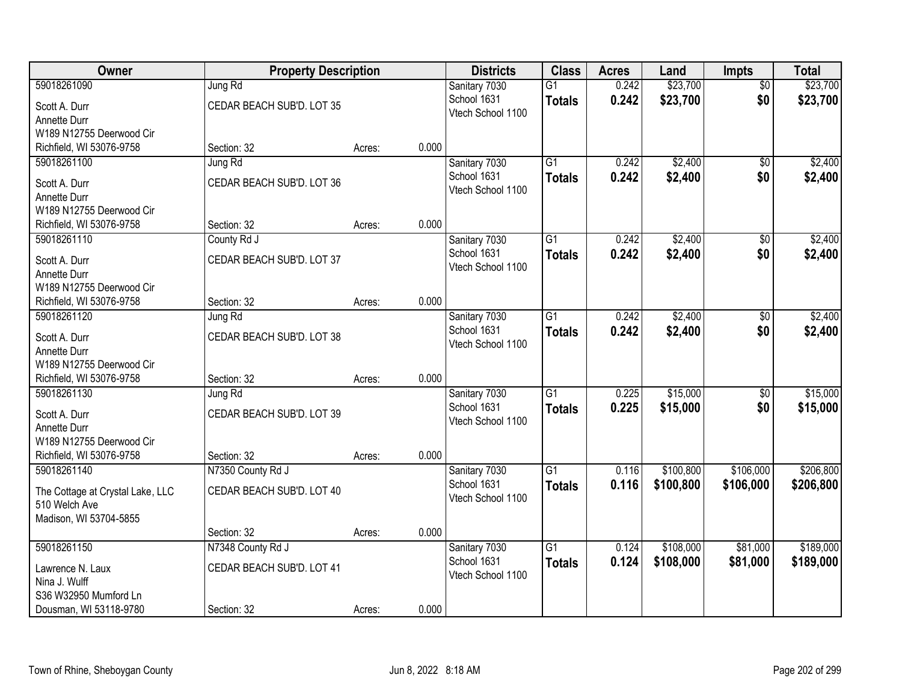| Owner                            | <b>Property Description</b> |        |       | <b>Districts</b>                 | <b>Class</b>    | <b>Acres</b> | Land      | Impts           | <b>Total</b> |
|----------------------------------|-----------------------------|--------|-------|----------------------------------|-----------------|--------------|-----------|-----------------|--------------|
| 59018261090                      | Jung Rd                     |        |       | Sanitary 7030                    | $\overline{G1}$ | 0.242        | \$23,700  | $\overline{50}$ | \$23,700     |
| Scott A. Durr                    | CEDAR BEACH SUB'D. LOT 35   |        |       | School 1631<br>Vtech School 1100 | <b>Totals</b>   | 0.242        | \$23,700  | \$0             | \$23,700     |
| Annette Durr                     |                             |        |       |                                  |                 |              |           |                 |              |
| W189 N12755 Deerwood Cir         |                             |        |       |                                  |                 |              |           |                 |              |
| Richfield, WI 53076-9758         | Section: 32                 | Acres: | 0.000 |                                  |                 |              |           |                 |              |
| 59018261100                      | Jung Rd                     |        |       | Sanitary 7030                    | $\overline{G1}$ | 0.242        | \$2,400   | \$0             | \$2,400      |
| Scott A. Durr                    | CEDAR BEACH SUB'D. LOT 36   |        |       | School 1631<br>Vtech School 1100 | <b>Totals</b>   | 0.242        | \$2,400   | \$0             | \$2,400      |
| Annette Durr                     |                             |        |       |                                  |                 |              |           |                 |              |
| W189 N12755 Deerwood Cir         |                             |        |       |                                  |                 |              |           |                 |              |
| Richfield, WI 53076-9758         | Section: 32                 | Acres: | 0.000 |                                  |                 |              |           |                 |              |
| 59018261110                      | County Rd J                 |        |       | Sanitary 7030                    | $\overline{G1}$ | 0.242        | \$2,400   | \$0             | \$2,400      |
| Scott A. Durr                    | CEDAR BEACH SUB'D. LOT 37   |        |       | School 1631                      | <b>Totals</b>   | 0.242        | \$2,400   | \$0             | \$2,400      |
| Annette Durr                     |                             |        |       | Vtech School 1100                |                 |              |           |                 |              |
| W189 N12755 Deerwood Cir         |                             |        |       |                                  |                 |              |           |                 |              |
| Richfield, WI 53076-9758         | Section: 32                 | Acres: | 0.000 |                                  |                 |              |           |                 |              |
| 59018261120                      | Jung Rd                     |        |       | Sanitary 7030                    | $\overline{G1}$ | 0.242        | \$2,400   | \$0             | \$2,400      |
| Scott A. Durr                    | CEDAR BEACH SUB'D. LOT 38   |        |       | School 1631                      | <b>Totals</b>   | 0.242        | \$2,400   | \$0             | \$2,400      |
| Annette Durr                     |                             |        |       | Vtech School 1100                |                 |              |           |                 |              |
| W189 N12755 Deerwood Cir         |                             |        |       |                                  |                 |              |           |                 |              |
| Richfield, WI 53076-9758         | Section: 32                 | Acres: | 0.000 |                                  |                 |              |           |                 |              |
| 59018261130                      | Jung Rd                     |        |       | Sanitary 7030                    | $\overline{G1}$ | 0.225        | \$15,000  | $\overline{50}$ | \$15,000     |
| Scott A. Durr                    | CEDAR BEACH SUB'D. LOT 39   |        |       | School 1631                      | <b>Totals</b>   | 0.225        | \$15,000  | \$0             | \$15,000     |
| Annette Durr                     |                             |        |       | Vtech School 1100                |                 |              |           |                 |              |
| W189 N12755 Deerwood Cir         |                             |        |       |                                  |                 |              |           |                 |              |
| Richfield, WI 53076-9758         | Section: 32                 | Acres: | 0.000 |                                  |                 |              |           |                 |              |
| 59018261140                      | N7350 County Rd J           |        |       | Sanitary 7030                    | $\overline{G1}$ | 0.116        | \$100,800 | \$106,000       | \$206,800    |
| The Cottage at Crystal Lake, LLC | CEDAR BEACH SUB'D. LOT 40   |        |       | School 1631                      | <b>Totals</b>   | 0.116        | \$100,800 | \$106,000       | \$206,800    |
| 510 Welch Ave                    |                             |        |       | Vtech School 1100                |                 |              |           |                 |              |
| Madison, WI 53704-5855           |                             |        |       |                                  |                 |              |           |                 |              |
|                                  | Section: 32                 | Acres: | 0.000 |                                  |                 |              |           |                 |              |
| 59018261150                      | N7348 County Rd J           |        |       | Sanitary 7030                    | $\overline{G1}$ | 0.124        | \$108,000 | \$81,000        | \$189,000    |
| Lawrence N. Laux                 | CEDAR BEACH SUB'D. LOT 41   |        |       | School 1631                      | <b>Totals</b>   | 0.124        | \$108,000 | \$81,000        | \$189,000    |
| Nina J. Wulff                    |                             |        |       | Vtech School 1100                |                 |              |           |                 |              |
| S36 W32950 Mumford Ln            |                             |        |       |                                  |                 |              |           |                 |              |
| Dousman, WI 53118-9780           | Section: 32                 | Acres: | 0.000 |                                  |                 |              |           |                 |              |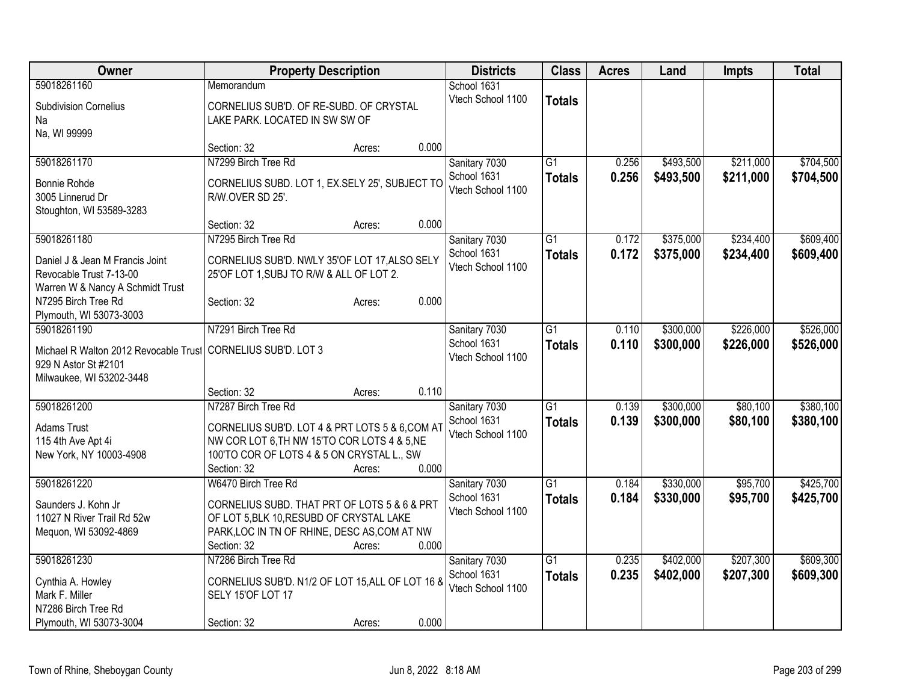| <b>Owner</b>                                                 | <b>Property Description</b>                      |        |       | <b>Districts</b>                 | <b>Class</b>    | <b>Acres</b> | Land      | Impts     | <b>Total</b> |
|--------------------------------------------------------------|--------------------------------------------------|--------|-------|----------------------------------|-----------------|--------------|-----------|-----------|--------------|
| 59018261160                                                  | Memorandum                                       |        |       | School 1631                      |                 |              |           |           |              |
| <b>Subdivision Cornelius</b>                                 | CORNELIUS SUB'D. OF RE-SUBD. OF CRYSTAL          |        |       | Vtech School 1100                | <b>Totals</b>   |              |           |           |              |
| Na                                                           | LAKE PARK. LOCATED IN SW SW OF                   |        |       |                                  |                 |              |           |           |              |
| Na, WI 99999                                                 |                                                  |        |       |                                  |                 |              |           |           |              |
|                                                              | Section: 32                                      | Acres: | 0.000 |                                  |                 |              |           |           |              |
| 59018261170                                                  | N7299 Birch Tree Rd                              |        |       | Sanitary 7030                    | $\overline{G1}$ | 0.256        | \$493,500 | \$211,000 | \$704,500    |
| Bonnie Rohde                                                 | CORNELIUS SUBD. LOT 1, EX.SELY 25', SUBJECT TO   |        |       | School 1631                      | <b>Totals</b>   | 0.256        | \$493,500 | \$211,000 | \$704,500    |
| 3005 Linnerud Dr                                             | R/W.OVER SD 25'.                                 |        |       | Vtech School 1100                |                 |              |           |           |              |
| Stoughton, WI 53589-3283                                     |                                                  |        |       |                                  |                 |              |           |           |              |
|                                                              | Section: 32                                      | Acres: | 0.000 |                                  |                 |              |           |           |              |
| 59018261180                                                  | N7295 Birch Tree Rd                              |        |       | Sanitary 7030                    | $\overline{G1}$ | 0.172        | \$375,000 | \$234,400 | \$609,400    |
|                                                              | CORNELIUS SUB'D. NWLY 35'OF LOT 17, ALSO SELY    |        |       | School 1631                      | <b>Totals</b>   | 0.172        | \$375,000 | \$234,400 | \$609,400    |
| Daniel J & Jean M Francis Joint<br>Revocable Trust 7-13-00   | 25'OF LOT 1, SUBJ TO R/W & ALL OF LOT 2.         |        |       | Vtech School 1100                |                 |              |           |           |              |
| Warren W & Nancy A Schmidt Trust                             |                                                  |        |       |                                  |                 |              |           |           |              |
| N7295 Birch Tree Rd                                          | Section: 32                                      | Acres: | 0.000 |                                  |                 |              |           |           |              |
| Plymouth, WI 53073-3003                                      |                                                  |        |       |                                  |                 |              |           |           |              |
| 59018261190                                                  | N7291 Birch Tree Rd                              |        |       | Sanitary 7030                    | $\overline{G1}$ | 0.110        | \$300,000 | \$226,000 | \$526,000    |
|                                                              |                                                  |        |       | School 1631                      | <b>Totals</b>   | 0.110        | \$300,000 | \$226,000 | \$526,000    |
| Michael R Walton 2012 Revocable Trust CORNELIUS SUB'D. LOT 3 |                                                  |        |       | Vtech School 1100                |                 |              |           |           |              |
| 929 N Astor St #2101<br>Milwaukee, WI 53202-3448             |                                                  |        |       |                                  |                 |              |           |           |              |
|                                                              | Section: 32                                      | Acres: | 0.110 |                                  |                 |              |           |           |              |
| 59018261200                                                  | N7287 Birch Tree Rd                              |        |       | Sanitary 7030                    | $\overline{G1}$ | 0.139        | \$300,000 | \$80,100  | \$380,100    |
|                                                              |                                                  |        |       | School 1631                      | <b>Totals</b>   | 0.139        | \$300,000 | \$80,100  | \$380,100    |
| Adams Trust                                                  | CORNELIUS SUB'D. LOT 4 & PRT LOTS 5 & 6, COM AT  |        |       | Vtech School 1100                |                 |              |           |           |              |
| 115 4th Ave Apt 4i                                           | NW COR LOT 6, TH NW 15'TO COR LOTS 4 & 5, NE     |        |       |                                  |                 |              |           |           |              |
| New York, NY 10003-4908                                      | 100'TO COR OF LOTS 4 & 5 ON CRYSTAL L., SW       |        |       |                                  |                 |              |           |           |              |
|                                                              | Section: 32                                      | Acres: | 0.000 |                                  |                 |              |           |           |              |
| 59018261220                                                  | W6470 Birch Tree Rd                              |        |       | Sanitary 7030                    | $\overline{G1}$ | 0.184        | \$330,000 | \$95,700  | \$425,700    |
| Saunders J. Kohn Jr                                          | CORNELIUS SUBD. THAT PRT OF LOTS 5 & 6 & PRT     |        |       | School 1631<br>Vtech School 1100 | <b>Totals</b>   | 0.184        | \$330,000 | \$95,700  | \$425,700    |
| 11027 N River Trail Rd 52w                                   | OF LOT 5, BLK 10, RESUBD OF CRYSTAL LAKE         |        |       |                                  |                 |              |           |           |              |
| Mequon, WI 53092-4869                                        | PARK, LOC IN TN OF RHINE, DESC AS, COM AT NW     |        |       |                                  |                 |              |           |           |              |
|                                                              | Section: 32                                      | Acres: | 0.000 |                                  |                 |              |           |           |              |
| 59018261230                                                  | N7286 Birch Tree Rd                              |        |       | Sanitary 7030                    | $\overline{G1}$ | 0.235        | \$402,000 | \$207,300 | \$609,300    |
| Cynthia A. Howley                                            | CORNELIUS SUB'D. N1/2 OF LOT 15, ALL OF LOT 16 8 |        |       | School 1631                      | <b>Totals</b>   | 0.235        | \$402,000 | \$207,300 | \$609,300    |
| Mark F. Miller                                               | SELY 15'OF LOT 17                                |        |       | Vtech School 1100                |                 |              |           |           |              |
| N7286 Birch Tree Rd                                          |                                                  |        |       |                                  |                 |              |           |           |              |
| Plymouth, WI 53073-3004                                      | Section: 32                                      | Acres: | 0.000 |                                  |                 |              |           |           |              |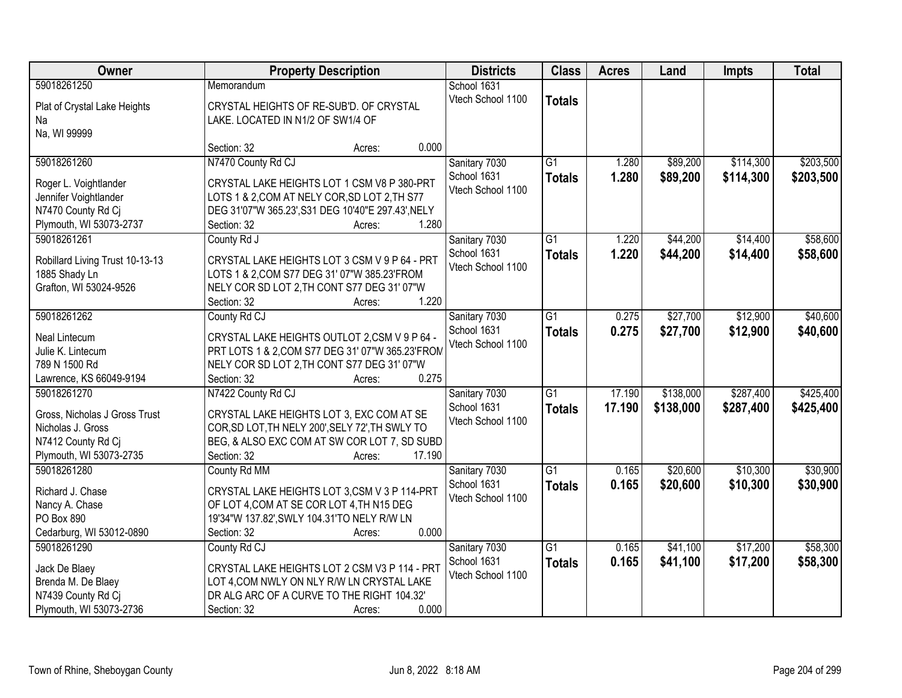| Owner                           | <b>Property Description</b>                        | <b>Districts</b>                 | <b>Class</b>    | <b>Acres</b> | Land      | Impts     | <b>Total</b> |
|---------------------------------|----------------------------------------------------|----------------------------------|-----------------|--------------|-----------|-----------|--------------|
| 59018261250                     | Memorandum                                         | School 1631                      |                 |              |           |           |              |
| Plat of Crystal Lake Heights    | CRYSTAL HEIGHTS OF RE-SUB'D. OF CRYSTAL            | Vtech School 1100                | <b>Totals</b>   |              |           |           |              |
| Na                              | LAKE. LOCATED IN N1/2 OF SW1/4 OF                  |                                  |                 |              |           |           |              |
| Na, WI 99999                    |                                                    |                                  |                 |              |           |           |              |
|                                 | 0.000<br>Section: 32<br>Acres:                     |                                  |                 |              |           |           |              |
| 59018261260                     | N7470 County Rd CJ                                 | Sanitary 7030                    | $\overline{G1}$ | 1.280        | \$89,200  | \$114,300 | \$203,500    |
| Roger L. Voightlander           | CRYSTAL LAKE HEIGHTS LOT 1 CSM V8 P 380-PRT        | School 1631                      | <b>Totals</b>   | 1.280        | \$89,200  | \$114,300 | \$203,500    |
| Jennifer Voightlander           | LOTS 1 & 2, COM AT NELY COR, SD LOT 2, TH S77      | Vtech School 1100                |                 |              |           |           |              |
| N7470 County Rd Cj              | DEG 31'07"W 365.23', S31 DEG 10'40"E 297.43', NELY |                                  |                 |              |           |           |              |
| Plymouth, WI 53073-2737         | 1.280<br>Section: 32<br>Acres:                     |                                  |                 |              |           |           |              |
| 59018261261                     | County Rd J                                        | Sanitary 7030                    | $\overline{G1}$ | 1.220        | \$44,200  | \$14,400  | \$58,600     |
|                                 |                                                    | School 1631                      | <b>Totals</b>   | 1.220        | \$44,200  | \$14,400  | \$58,600     |
| Robillard Living Trust 10-13-13 | CRYSTAL LAKE HEIGHTS LOT 3 CSM V 9 P 64 - PRT      | Vtech School 1100                |                 |              |           |           |              |
| 1885 Shady Ln                   | LOTS 1 & 2, COM S77 DEG 31' 07"W 385.23' FROM      |                                  |                 |              |           |           |              |
| Grafton, WI 53024-9526          | NELY COR SD LOT 2, TH CONT S77 DEG 31' 07"W        |                                  |                 |              |           |           |              |
|                                 | 1.220<br>Section: 32<br>Acres:                     |                                  |                 |              |           |           |              |
| 59018261262                     | County Rd CJ                                       | Sanitary 7030                    | $\overline{G1}$ | 0.275        | \$27,700  | \$12,900  | \$40,600     |
| Neal Lintecum                   | CRYSTAL LAKE HEIGHTS OUTLOT 2,CSM V 9 P 64 -       | School 1631<br>Vtech School 1100 | <b>Totals</b>   | 0.275        | \$27,700  | \$12,900  | \$40,600     |
| Julie K. Lintecum               | PRT LOTS 1 & 2, COM S77 DEG 31' 07"W 365.23'FROM   |                                  |                 |              |           |           |              |
| 789 N 1500 Rd                   | NELY COR SD LOT 2, TH CONT S77 DEG 31' 07"W        |                                  |                 |              |           |           |              |
| Lawrence, KS 66049-9194         | 0.275<br>Section: 32<br>Acres:                     |                                  |                 |              |           |           |              |
| 59018261270                     | N7422 County Rd CJ                                 | Sanitary 7030                    | $\overline{G1}$ | 17.190       | \$138,000 | \$287,400 | \$425,400    |
| Gross, Nicholas J Gross Trust   | CRYSTAL LAKE HEIGHTS LOT 3, EXC COM AT SE          | School 1631                      | <b>Totals</b>   | 17.190       | \$138,000 | \$287,400 | \$425,400    |
| Nicholas J. Gross               | COR, SD LOT, TH NELY 200', SELY 72', TH SWLY TO    | Vtech School 1100                |                 |              |           |           |              |
| N7412 County Rd Ci              | BEG, & ALSO EXC COM AT SW COR LOT 7, SD SUBD       |                                  |                 |              |           |           |              |
| Plymouth, WI 53073-2735         | Section: 32<br>17.190<br>Acres:                    |                                  |                 |              |           |           |              |
| 59018261280                     | County Rd MM                                       | Sanitary 7030                    | $\overline{G1}$ | 0.165        | \$20,600  | \$10,300  | \$30,900     |
| Richard J. Chase                | CRYSTAL LAKE HEIGHTS LOT 3,CSM V 3 P 114-PRT       | School 1631                      | <b>Totals</b>   | 0.165        | \$20,600  | \$10,300  | \$30,900     |
| Nancy A. Chase                  | OF LOT 4, COM AT SE COR LOT 4, TH N15 DEG          | Vtech School 1100                |                 |              |           |           |              |
| PO Box 890                      | 19'34"W 137.82', SWLY 104.31'TO NELY R/W LN        |                                  |                 |              |           |           |              |
| Cedarburg, WI 53012-0890        | 0.000<br>Section: 32<br>Acres:                     |                                  |                 |              |           |           |              |
| 59018261290                     | County Rd CJ                                       | Sanitary 7030                    | $\overline{G1}$ | 0.165        | \$41,100  | \$17,200  | \$58,300     |
|                                 |                                                    | School 1631                      | <b>Totals</b>   | 0.165        | \$41,100  | \$17,200  | \$58,300     |
| Jack De Blaey                   | CRYSTAL LAKE HEIGHTS LOT 2 CSM V3 P 114 - PRT      | Vtech School 1100                |                 |              |           |           |              |
| Brenda M. De Blaey              | LOT 4, COM NWLY ON NLY R/W LN CRYSTAL LAKE         |                                  |                 |              |           |           |              |
| N7439 County Rd Cj              | DR ALG ARC OF A CURVE TO THE RIGHT 104.32'         |                                  |                 |              |           |           |              |
| Plymouth, WI 53073-2736         | 0.000<br>Section: 32<br>Acres:                     |                                  |                 |              |           |           |              |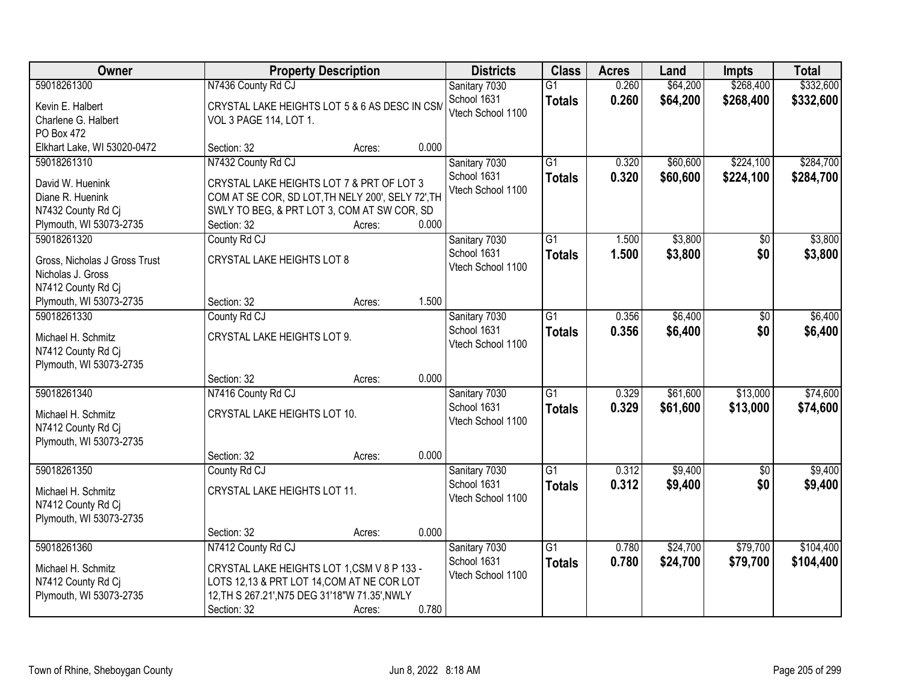| Owner                         |                                                   | <b>Property Description</b> |       | <b>Districts</b>  | <b>Class</b>    | <b>Acres</b> | Land     | <b>Impts</b>    | <b>Total</b> |
|-------------------------------|---------------------------------------------------|-----------------------------|-------|-------------------|-----------------|--------------|----------|-----------------|--------------|
| 59018261300                   | N7436 County Rd CJ                                |                             |       | Sanitary 7030     | $\overline{G1}$ | 0.260        | \$64,200 | \$268,400       | \$332,600    |
| Kevin E. Halbert              | CRYSTAL LAKE HEIGHTS LOT 5 & 6 AS DESC IN CSM     |                             |       | School 1631       | <b>Totals</b>   | 0.260        | \$64,200 | \$268,400       | \$332,600    |
| Charlene G. Halbert           | VOL 3 PAGE 114, LOT 1.                            |                             |       | Vtech School 1100 |                 |              |          |                 |              |
| PO Box 472                    |                                                   |                             |       |                   |                 |              |          |                 |              |
| Elkhart Lake, WI 53020-0472   | Section: 32                                       | Acres:                      | 0.000 |                   |                 |              |          |                 |              |
| 59018261310                   | N7432 County Rd CJ                                |                             |       | Sanitary 7030     | $\overline{G1}$ | 0.320        | \$60,600 | \$224,100       | \$284,700    |
| David W. Huenink              | CRYSTAL LAKE HEIGHTS LOT 7 & PRT OF LOT 3         |                             |       | School 1631       | <b>Totals</b>   | 0.320        | \$60,600 | \$224,100       | \$284,700    |
| Diane R. Huenink              | COM AT SE COR, SD LOT, TH NELY 200', SELY 72', TH |                             |       | Vtech School 1100 |                 |              |          |                 |              |
| N7432 County Rd Cj            | SWLY TO BEG, & PRT LOT 3, COM AT SW COR, SD       |                             |       |                   |                 |              |          |                 |              |
| Plymouth, WI 53073-2735       | Section: 32                                       | Acres:                      | 0.000 |                   |                 |              |          |                 |              |
| 59018261320                   | County Rd CJ                                      |                             |       | Sanitary 7030     | G1              | 1.500        | \$3,800  | \$0             | \$3,800      |
| Gross, Nicholas J Gross Trust | <b>CRYSTAL LAKE HEIGHTS LOT 8</b>                 |                             |       | School 1631       | <b>Totals</b>   | 1.500        | \$3,800  | \$0             | \$3,800      |
| Nicholas J. Gross             |                                                   |                             |       | Vtech School 1100 |                 |              |          |                 |              |
| N7412 County Rd Cj            |                                                   |                             |       |                   |                 |              |          |                 |              |
| Plymouth, WI 53073-2735       | Section: 32                                       | Acres:                      | 1.500 |                   |                 |              |          |                 |              |
| 59018261330                   | County Rd CJ                                      |                             |       | Sanitary 7030     | $\overline{G1}$ | 0.356        | \$6,400  | \$0             | \$6,400      |
| Michael H. Schmitz            | CRYSTAL LAKE HEIGHTS LOT 9.                       |                             |       | School 1631       | <b>Totals</b>   | 0.356        | \$6,400  | \$0             | \$6,400      |
| N7412 County Rd Cj            |                                                   |                             |       | Vtech School 1100 |                 |              |          |                 |              |
| Plymouth, WI 53073-2735       |                                                   |                             |       |                   |                 |              |          |                 |              |
|                               | Section: 32                                       | Acres:                      | 0.000 |                   |                 |              |          |                 |              |
| 59018261340                   | N7416 County Rd CJ                                |                             |       | Sanitary 7030     | $\overline{G1}$ | 0.329        | \$61,600 | \$13,000        | \$74,600     |
| Michael H. Schmitz            | CRYSTAL LAKE HEIGHTS LOT 10.                      |                             |       | School 1631       | <b>Totals</b>   | 0.329        | \$61,600 | \$13,000        | \$74,600     |
| N7412 County Rd Ci            |                                                   |                             |       | Vtech School 1100 |                 |              |          |                 |              |
| Plymouth, WI 53073-2735       |                                                   |                             |       |                   |                 |              |          |                 |              |
|                               | Section: 32                                       | Acres:                      | 0.000 |                   |                 |              |          |                 |              |
| 59018261350                   | County Rd CJ                                      |                             |       | Sanitary 7030     | $\overline{G1}$ | 0.312        | \$9,400  | $\overline{50}$ | \$9,400      |
| Michael H. Schmitz            | CRYSTAL LAKE HEIGHTS LOT 11.                      |                             |       | School 1631       | <b>Totals</b>   | 0.312        | \$9,400  | \$0             | \$9,400      |
| N7412 County Rd Cj            |                                                   |                             |       | Vtech School 1100 |                 |              |          |                 |              |
| Plymouth, WI 53073-2735       |                                                   |                             |       |                   |                 |              |          |                 |              |
|                               | Section: 32                                       | Acres:                      | 0.000 |                   |                 |              |          |                 |              |
| 59018261360                   | N7412 County Rd CJ                                |                             |       | Sanitary 7030     | $\overline{G1}$ | 0.780        | \$24,700 | \$79,700        | \$104,400    |
| Michael H. Schmitz            | CRYSTAL LAKE HEIGHTS LOT 1,CSM V 8 P 133 -        |                             |       | School 1631       | <b>Totals</b>   | 0.780        | \$24,700 | \$79,700        | \$104,400    |
| N7412 County Rd Cj            | LOTS 12,13 & PRT LOT 14, COM AT NE COR LOT        |                             |       | Vtech School 1100 |                 |              |          |                 |              |
| Plymouth, WI 53073-2735       | 12, TH S 267.21', N75 DEG 31'18"W 71.35', NWLY    |                             |       |                   |                 |              |          |                 |              |
|                               | Section: 32                                       | Acres:                      | 0.780 |                   |                 |              |          |                 |              |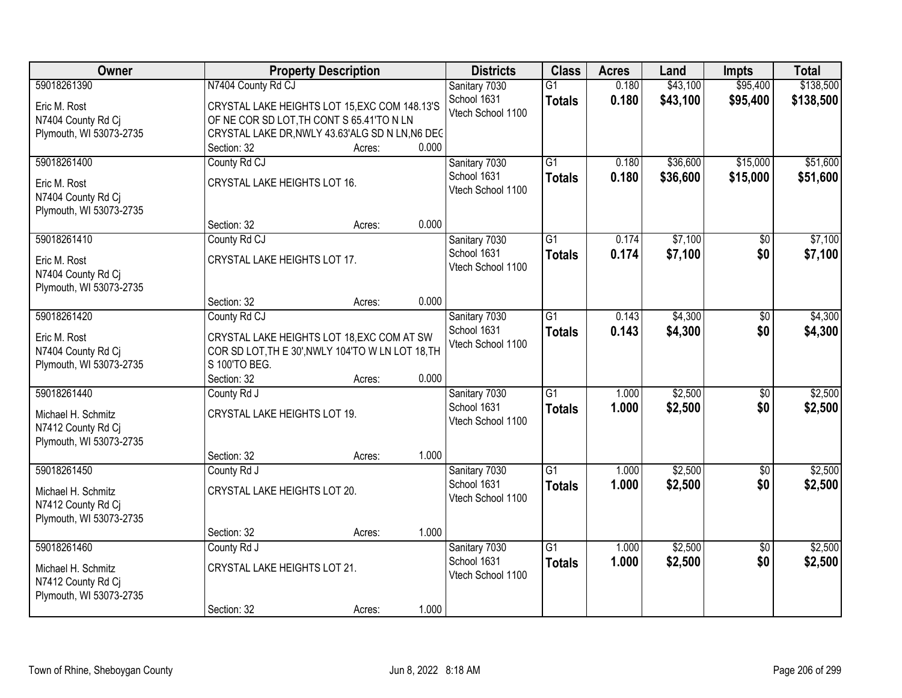| <b>Owner</b>                                                        |                                                                                                                  | <b>Property Description</b> |       | <b>Districts</b>                 | <b>Class</b>                     | <b>Acres</b>   | Land                 | <b>Impts</b>         | <b>Total</b>           |
|---------------------------------------------------------------------|------------------------------------------------------------------------------------------------------------------|-----------------------------|-------|----------------------------------|----------------------------------|----------------|----------------------|----------------------|------------------------|
| 59018261390                                                         | N7404 County Rd CJ                                                                                               |                             |       | Sanitary 7030<br>School 1631     | $\overline{G1}$<br><b>Totals</b> | 0.180<br>0.180 | \$43,100<br>\$43,100 | \$95,400<br>\$95,400 | \$138,500<br>\$138,500 |
| Eric M. Rost<br>N7404 County Rd Cj                                  | CRYSTAL LAKE HEIGHTS LOT 15, EXC COM 148.13'S<br>OF NE COR SD LOT, TH CONT S 65.41'TO N LN                       |                             |       | Vtech School 1100                |                                  |                |                      |                      |                        |
| Plymouth, WI 53073-2735                                             | CRYSTAL LAKE DR, NWLY 43.63'ALG SD N LN, N6 DEC<br>Section: 32                                                   | Acres:                      | 0.000 |                                  |                                  |                |                      |                      |                        |
| 59018261400                                                         | County Rd CJ                                                                                                     |                             |       | Sanitary 7030                    | $\overline{G1}$                  | 0.180          | \$36,600             | \$15,000             | \$51,600               |
| Eric M. Rost<br>N7404 County Rd Cj<br>Plymouth, WI 53073-2735       | CRYSTAL LAKE HEIGHTS LOT 16.                                                                                     |                             |       | School 1631<br>Vtech School 1100 | <b>Totals</b>                    | 0.180          | \$36,600             | \$15,000             | \$51,600               |
|                                                                     | Section: 32                                                                                                      | Acres:                      | 0.000 |                                  |                                  |                |                      |                      |                        |
| 59018261410                                                         | County Rd CJ                                                                                                     |                             |       | Sanitary 7030                    | $\overline{G1}$                  | 0.174          | \$7,100              | \$0                  | \$7,100                |
| Eric M. Rost<br>N7404 County Rd Cj<br>Plymouth, WI 53073-2735       | CRYSTAL LAKE HEIGHTS LOT 17.                                                                                     |                             |       | School 1631<br>Vtech School 1100 | <b>Totals</b>                    | 0.174          | \$7,100              | \$0                  | \$7,100                |
|                                                                     | Section: 32                                                                                                      | Acres:                      | 0.000 |                                  |                                  |                |                      |                      |                        |
| 59018261420                                                         | County Rd CJ                                                                                                     |                             |       | Sanitary 7030                    | $\overline{G1}$                  | 0.143          | \$4,300              | \$0                  | \$4,300                |
| Eric M. Rost<br>N7404 County Rd Cj<br>Plymouth, WI 53073-2735       | CRYSTAL LAKE HEIGHTS LOT 18, EXC COM AT SW<br>COR SD LOT, TH E 30', NWLY 104'TO W LN LOT 18, TH<br>S 100'TO BEG. |                             |       | School 1631<br>Vtech School 1100 | <b>Totals</b>                    | 0.143          | \$4,300              | \$0                  | \$4,300                |
|                                                                     | Section: 32                                                                                                      | Acres:                      | 0.000 |                                  |                                  |                |                      |                      |                        |
| 59018261440                                                         | County Rd J                                                                                                      |                             |       | Sanitary 7030                    | $\overline{G1}$                  | 1.000          | \$2,500              | $\overline{50}$      | \$2,500                |
| Michael H. Schmitz<br>N7412 County Rd Cj<br>Plymouth, WI 53073-2735 | CRYSTAL LAKE HEIGHTS LOT 19.                                                                                     |                             |       | School 1631<br>Vtech School 1100 | <b>Totals</b>                    | 1.000          | \$2,500              | \$0                  | \$2,500                |
|                                                                     | Section: 32                                                                                                      | Acres:                      | 1.000 |                                  |                                  |                |                      |                      |                        |
| 59018261450                                                         | County Rd J                                                                                                      |                             |       | Sanitary 7030                    | $\overline{G1}$                  | 1.000          | \$2,500              | $\sqrt{6}$           | \$2,500                |
| Michael H. Schmitz<br>N7412 County Rd Cj<br>Plymouth, WI 53073-2735 | CRYSTAL LAKE HEIGHTS LOT 20.                                                                                     |                             |       | School 1631<br>Vtech School 1100 | <b>Totals</b>                    | 1.000          | \$2,500              | \$0                  | \$2,500                |
|                                                                     | Section: 32                                                                                                      | Acres:                      | 1.000 |                                  |                                  |                |                      |                      |                        |
| 59018261460                                                         | County Rd J                                                                                                      |                             |       | Sanitary 7030                    | $\overline{G1}$                  | 1.000          | \$2,500              | $\overline{50}$      | \$2,500                |
| Michael H. Schmitz<br>N7412 County Rd Cj<br>Plymouth, WI 53073-2735 | CRYSTAL LAKE HEIGHTS LOT 21.                                                                                     |                             |       | School 1631<br>Vtech School 1100 | <b>Totals</b>                    | 1.000          | \$2,500              | \$0                  | \$2,500                |
|                                                                     | Section: 32                                                                                                      | Acres:                      | 1.000 |                                  |                                  |                |                      |                      |                        |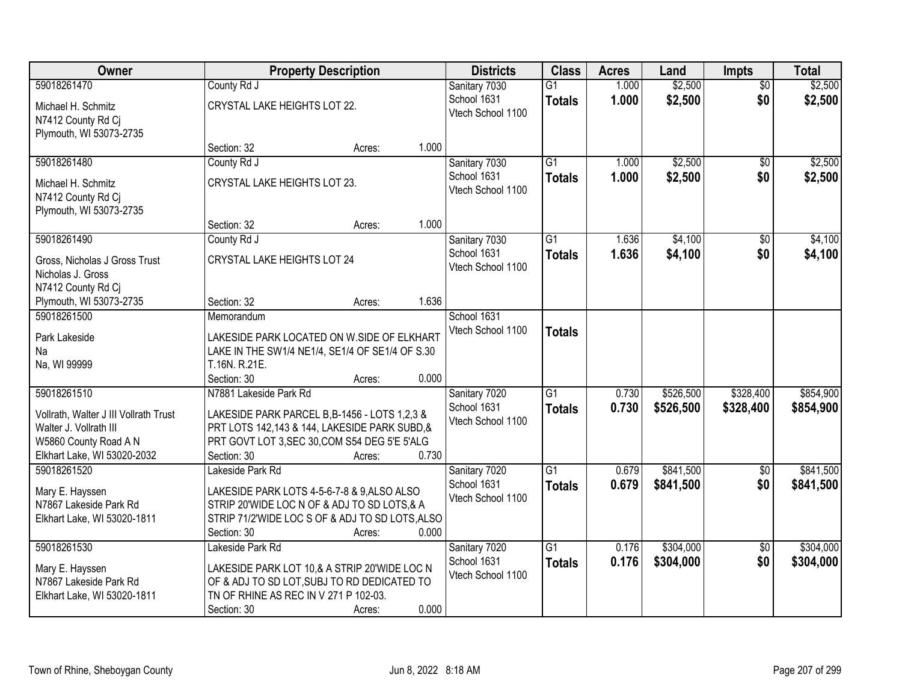| Owner                                                                                                                                  | <b>Property Description</b>                                                                                                                                                              |        |       | <b>Districts</b>                                  | <b>Class</b>                     | <b>Acres</b>   | Land                   | <b>Impts</b>           | <b>Total</b>           |
|----------------------------------------------------------------------------------------------------------------------------------------|------------------------------------------------------------------------------------------------------------------------------------------------------------------------------------------|--------|-------|---------------------------------------------------|----------------------------------|----------------|------------------------|------------------------|------------------------|
| 59018261470                                                                                                                            | County Rd J                                                                                                                                                                              |        |       | Sanitary 7030                                     | $\overline{G1}$                  | 1.000          | \$2,500                | $\overline{50}$        | \$2,500                |
| Michael H. Schmitz<br>N7412 County Rd Cj<br>Plymouth, WI 53073-2735                                                                    | CRYSTAL LAKE HEIGHTS LOT 22.                                                                                                                                                             |        |       | School 1631<br>Vtech School 1100                  | <b>Totals</b>                    | 1.000          | \$2,500                | \$0                    | \$2,500                |
|                                                                                                                                        | Section: 32                                                                                                                                                                              | Acres: | 1.000 |                                                   |                                  |                |                        |                        |                        |
| 59018261480                                                                                                                            | County Rd J                                                                                                                                                                              |        |       | Sanitary 7030                                     | $\overline{G1}$                  | 1.000          | \$2,500                | \$0                    | \$2,500                |
| Michael H. Schmitz<br>N7412 County Rd Cj<br>Plymouth, WI 53073-2735                                                                    | CRYSTAL LAKE HEIGHTS LOT 23.                                                                                                                                                             |        |       | School 1631<br>Vtech School 1100                  | <b>Totals</b>                    | 1.000          | \$2,500                | \$0                    | \$2,500                |
|                                                                                                                                        | Section: 32                                                                                                                                                                              | Acres: | 1.000 |                                                   |                                  |                |                        |                        |                        |
| 59018261490                                                                                                                            | County Rd J                                                                                                                                                                              |        |       | Sanitary 7030                                     | G1                               | 1.636          | \$4,100                | \$0                    | \$4,100                |
| Gross, Nicholas J Gross Trust<br>Nicholas J. Gross<br>N7412 County Rd Cj                                                               | CRYSTAL LAKE HEIGHTS LOT 24                                                                                                                                                              |        |       | School 1631<br>Vtech School 1100                  | <b>Totals</b>                    | 1.636          | \$4,100                | \$0                    | \$4,100                |
| Plymouth, WI 53073-2735                                                                                                                | Section: 32                                                                                                                                                                              | Acres: | 1.636 |                                                   |                                  |                |                        |                        |                        |
| 59018261500                                                                                                                            | Memorandum                                                                                                                                                                               |        |       | School 1631                                       |                                  |                |                        |                        |                        |
| Park Lakeside<br>Na<br>Na, WI 99999                                                                                                    | LAKESIDE PARK LOCATED ON W.SIDE OF ELKHART<br>LAKE IN THE SW1/4 NE1/4, SE1/4 OF SE1/4 OF S.30<br>T.16N. R.21E.                                                                           |        |       | Vtech School 1100                                 | <b>Totals</b>                    |                |                        |                        |                        |
|                                                                                                                                        | Section: 30                                                                                                                                                                              | Acres: | 0.000 |                                                   |                                  |                |                        |                        |                        |
| 59018261510<br>Vollrath, Walter J III Vollrath Trust<br>Walter J. Vollrath III<br>W5860 County Road A N<br>Elkhart Lake, WI 53020-2032 | N7881 Lakeside Park Rd<br>LAKESIDE PARK PARCEL B, B-1456 - LOTS 1,2,3 &<br>PRT LOTS 142,143 & 144, LAKESIDE PARK SUBD, &<br>PRT GOVT LOT 3, SEC 30, COM S54 DEG 5'E 5'ALG<br>Section: 30 | Acres: | 0.730 | Sanitary 7020<br>School 1631<br>Vtech School 1100 | $\overline{G1}$<br><b>Totals</b> | 0.730<br>0.730 | \$526,500<br>\$526,500 | \$328,400<br>\$328,400 | \$854,900<br>\$854,900 |
| 59018261520                                                                                                                            | Lakeside Park Rd                                                                                                                                                                         |        |       | Sanitary 7020                                     | $\overline{G1}$                  | 0.679          | \$841,500              | $\overline{50}$        | \$841,500              |
| Mary E. Hayssen<br>N7867 Lakeside Park Rd<br>Elkhart Lake, WI 53020-1811                                                               | LAKESIDE PARK LOTS 4-5-6-7-8 & 9,ALSO ALSO<br>STRIP 20'WIDE LOC N OF & ADJ TO SD LOTS, & A<br>STRIP 71/2'WIDE LOC S OF & ADJ TO SD LOTS, ALSO<br>Section: 30                             | Acres: | 0.000 | School 1631<br>Vtech School 1100                  | <b>Totals</b>                    | 0.679          | \$841,500              | \$0                    | \$841,500              |
| 59018261530                                                                                                                            | Lakeside Park Rd                                                                                                                                                                         |        |       | Sanitary 7020                                     | $\overline{G1}$                  | 0.176          | \$304,000              | $\overline{50}$        | \$304,000              |
| Mary E. Hayssen<br>N7867 Lakeside Park Rd<br>Elkhart Lake, WI 53020-1811                                                               | LAKESIDE PARK LOT 10,& A STRIP 20'WIDE LOC N<br>OF & ADJ TO SD LOT, SUBJ TO RD DEDICATED TO<br>TN OF RHINE AS REC IN V 271 P 102-03.<br>Section: 30                                      | Acres: | 0.000 | School 1631<br>Vtech School 1100                  | <b>Totals</b>                    | 0.176          | \$304,000              | \$0                    | \$304,000              |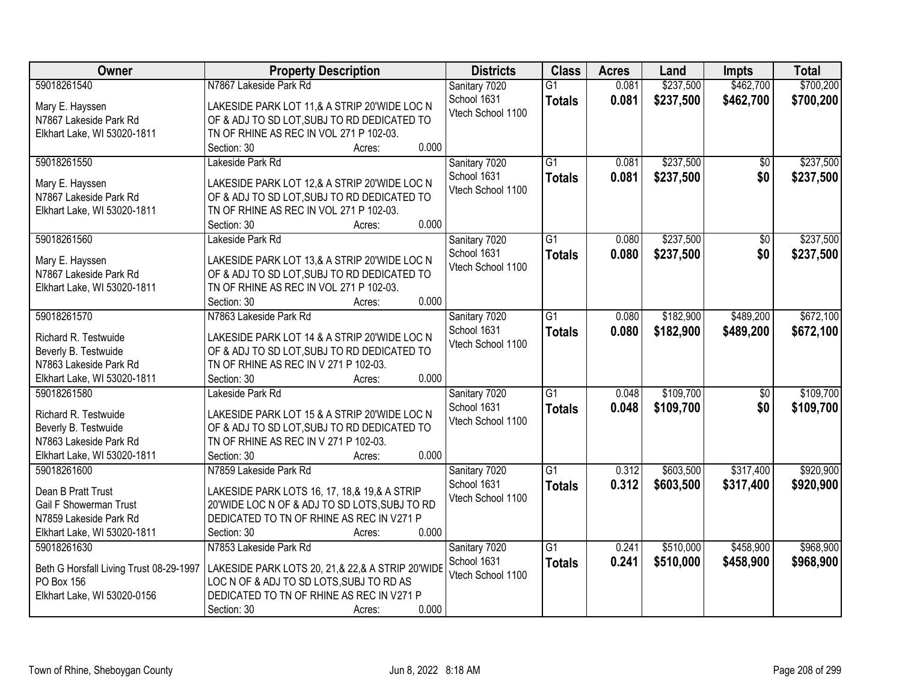| Owner                                   | <b>Property Description</b>                                                                   | <b>Districts</b>  | <b>Class</b>    | <b>Acres</b> | Land      | <b>Impts</b>    | <b>Total</b> |
|-----------------------------------------|-----------------------------------------------------------------------------------------------|-------------------|-----------------|--------------|-----------|-----------------|--------------|
| 59018261540                             | N7867 Lakeside Park Rd                                                                        | Sanitary 7020     | $\overline{G1}$ | 0.081        | \$237,500 | \$462,700       | \$700,200    |
| Mary E. Hayssen                         | LAKESIDE PARK LOT 11,& A STRIP 20'WIDE LOC N                                                  | School 1631       | <b>Totals</b>   | 0.081        | \$237,500 | \$462,700       | \$700,200    |
| N7867 Lakeside Park Rd                  | OF & ADJ TO SD LOT, SUBJ TO RD DEDICATED TO                                                   | Vtech School 1100 |                 |              |           |                 |              |
| Elkhart Lake, WI 53020-1811             | TN OF RHINE AS REC IN VOL 271 P 102-03.                                                       |                   |                 |              |           |                 |              |
|                                         | 0.000<br>Section: 30<br>Acres:                                                                |                   |                 |              |           |                 |              |
| 59018261550                             | Lakeside Park Rd                                                                              | Sanitary 7020     | $\overline{G1}$ | 0.081        | \$237,500 | \$0             | \$237,500    |
|                                         |                                                                                               | School 1631       | <b>Totals</b>   | 0.081        | \$237,500 | \$0             | \$237,500    |
| Mary E. Hayssen                         | LAKESIDE PARK LOT 12,& A STRIP 20'WIDE LOC N                                                  | Vtech School 1100 |                 |              |           |                 |              |
| N7867 Lakeside Park Rd                  | OF & ADJ TO SD LOT, SUBJ TO RD DEDICATED TO                                                   |                   |                 |              |           |                 |              |
| Elkhart Lake, WI 53020-1811             | TN OF RHINE AS REC IN VOL 271 P 102-03.                                                       |                   |                 |              |           |                 |              |
|                                         | 0.000<br>Section: 30<br>Acres:                                                                |                   |                 |              |           |                 |              |
| 59018261560                             | Lakeside Park Rd                                                                              | Sanitary 7020     | G1              | 0.080        | \$237,500 | \$0             | \$237,500    |
| Mary E. Hayssen                         | LAKESIDE PARK LOT 13,& A STRIP 20'WIDE LOC N                                                  | School 1631       | <b>Totals</b>   | 0.080        | \$237,500 | \$0             | \$237,500    |
| N7867 Lakeside Park Rd                  | OF & ADJ TO SD LOT, SUBJ TO RD DEDICATED TO                                                   | Vtech School 1100 |                 |              |           |                 |              |
| Elkhart Lake, WI 53020-1811             | TN OF RHINE AS REC IN VOL 271 P 102-03.                                                       |                   |                 |              |           |                 |              |
|                                         | 0.000<br>Section: 30<br>Acres:                                                                |                   |                 |              |           |                 |              |
| 59018261570                             | N7863 Lakeside Park Rd                                                                        | Sanitary 7020     | G1              | 0.080        | \$182,900 | \$489,200       | \$672,100    |
|                                         |                                                                                               | School 1631       | <b>Totals</b>   | 0.080        | \$182,900 | \$489,200       | \$672,100    |
| Richard R. Testwuide                    | LAKESIDE PARK LOT 14 & A STRIP 20'WIDE LOC N                                                  | Vtech School 1100 |                 |              |           |                 |              |
| Beverly B. Testwuide                    | OF & ADJ TO SD LOT, SUBJ TO RD DEDICATED TO                                                   |                   |                 |              |           |                 |              |
| N7863 Lakeside Park Rd                  | TN OF RHINE AS REC IN V 271 P 102-03.                                                         |                   |                 |              |           |                 |              |
| Elkhart Lake, WI 53020-1811             | 0.000<br>Section: 30<br>Acres:                                                                |                   |                 |              |           |                 |              |
| 59018261580                             | Lakeside Park Rd                                                                              | Sanitary 7020     | $\overline{G1}$ | 0.048        | \$109,700 | $\overline{50}$ | \$109,700    |
| Richard R. Testwuide                    | LAKESIDE PARK LOT 15 & A STRIP 20'WIDE LOC N                                                  | School 1631       | <b>Totals</b>   | 0.048        | \$109,700 | \$0             | \$109,700    |
| Beverly B. Testwuide                    | OF & ADJ TO SD LOT, SUBJ TO RD DEDICATED TO                                                   | Vtech School 1100 |                 |              |           |                 |              |
| N7863 Lakeside Park Rd                  | TN OF RHINE AS REC IN V 271 P 102-03.                                                         |                   |                 |              |           |                 |              |
| Elkhart Lake, WI 53020-1811             | 0.000<br>Section: 30<br>Acres:                                                                |                   |                 |              |           |                 |              |
| 59018261600                             | N7859 Lakeside Park Rd                                                                        | Sanitary 7020     | $\overline{G1}$ | 0.312        | \$603,500 | \$317,400       | \$920,900    |
| Dean B Pratt Trust                      |                                                                                               | School 1631       | <b>Totals</b>   | 0.312        | \$603,500 | \$317,400       | \$920,900    |
| Gail F Showerman Trust                  | LAKESIDE PARK LOTS 16, 17, 18,& 19,& A STRIP<br>20'WIDE LOC N OF & ADJ TO SD LOTS, SUBJ TO RD | Vtech School 1100 |                 |              |           |                 |              |
| N7859 Lakeside Park Rd                  | DEDICATED TO TN OF RHINE AS REC IN V271 P                                                     |                   |                 |              |           |                 |              |
| Elkhart Lake, WI 53020-1811             | 0.000<br>Section: 30                                                                          |                   |                 |              |           |                 |              |
| 59018261630                             | Acres:<br>N7853 Lakeside Park Rd                                                              |                   | $\overline{G1}$ | 0.241        | \$510,000 | \$458,900       | \$968,900    |
|                                         |                                                                                               | Sanitary 7020     |                 |              |           |                 |              |
| Beth G Horsfall Living Trust 08-29-1997 | LAKESIDE PARK LOTS 20, 21,& 22,& A STRIP 20'WIDE                                              | School 1631       | <b>Totals</b>   | 0.241        | \$510,000 | \$458,900       | \$968,900    |
| PO Box 156                              | LOC N OF & ADJ TO SD LOTS, SUBJ TO RD AS                                                      | Vtech School 1100 |                 |              |           |                 |              |
| Elkhart Lake, WI 53020-0156             | DEDICATED TO TN OF RHINE AS REC IN V271 P                                                     |                   |                 |              |           |                 |              |
|                                         | 0.000<br>Section: 30<br>Acres:                                                                |                   |                 |              |           |                 |              |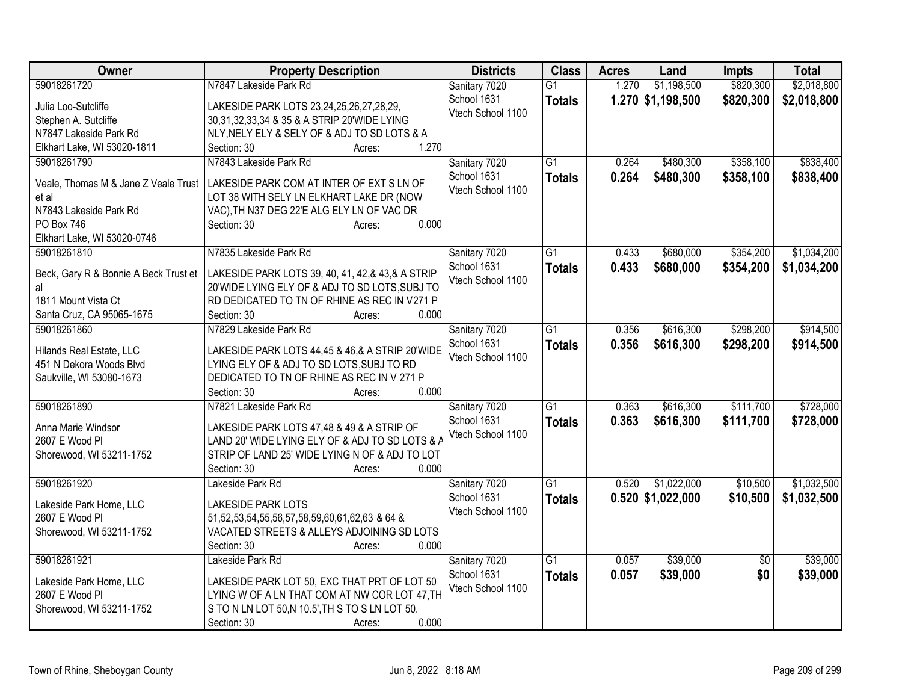| Owner                                               | <b>Property Description</b>                                                                  | <b>Districts</b>                 | <b>Class</b>    | <b>Acres</b> | Land                | <b>Impts</b>    | <b>Total</b> |
|-----------------------------------------------------|----------------------------------------------------------------------------------------------|----------------------------------|-----------------|--------------|---------------------|-----------------|--------------|
| 59018261720                                         | N7847 Lakeside Park Rd                                                                       | Sanitary 7020                    | $\overline{G1}$ | 1.270        | \$1,198,500         | \$820,300       | \$2,018,800  |
| Julia Loo-Sutcliffe                                 | LAKESIDE PARK LOTS 23,24,25,26,27,28,29,                                                     | School 1631                      | <b>Totals</b>   |              | 1.270 \$1,198,500   | \$820,300       | \$2,018,800  |
| Stephen A. Sutcliffe                                | 30,31,32,33,34 & 35 & A STRIP 20'WIDE LYING                                                  | Vtech School 1100                |                 |              |                     |                 |              |
| N7847 Lakeside Park Rd                              | NLY, NELY ELY & SELY OF & ADJ TO SD LOTS & A                                                 |                                  |                 |              |                     |                 |              |
| Elkhart Lake, WI 53020-1811                         | 1.270<br>Section: 30<br>Acres:                                                               |                                  |                 |              |                     |                 |              |
| 59018261790                                         | N7843 Lakeside Park Rd                                                                       | Sanitary 7020                    | $\overline{G1}$ | 0.264        | \$480,300           | \$358,100       | \$838,400    |
|                                                     |                                                                                              | School 1631                      | <b>Totals</b>   | 0.264        | \$480,300           | \$358,100       | \$838,400    |
| Veale, Thomas M & Jane Z Veale Trust                | LAKESIDE PARK COM AT INTER OF EXT S LN OF                                                    | Vtech School 1100                |                 |              |                     |                 |              |
| et al                                               | LOT 38 WITH SELY LN ELKHART LAKE DR (NOW                                                     |                                  |                 |              |                     |                 |              |
| N7843 Lakeside Park Rd                              | VAC), TH N37 DEG 22'E ALG ELY LN OF VAC DR                                                   |                                  |                 |              |                     |                 |              |
| PO Box 746                                          | 0.000<br>Section: 30<br>Acres:                                                               |                                  |                 |              |                     |                 |              |
| Elkhart Lake, WI 53020-0746                         |                                                                                              |                                  |                 |              |                     |                 |              |
| 59018261810                                         | N7835 Lakeside Park Rd                                                                       | Sanitary 7020                    | $\overline{G1}$ | 0.433        | \$680,000           | \$354,200       | \$1,034,200  |
| Beck, Gary R & Bonnie A Beck Trust et               | LAKESIDE PARK LOTS 39, 40, 41, 42,& 43,& A STRIP                                             | School 1631<br>Vtech School 1100 | <b>Totals</b>   | 0.433        | \$680,000           | \$354,200       | \$1,034,200  |
| al                                                  | 20'WIDE LYING ELY OF & ADJ TO SD LOTS, SUBJ TO                                               |                                  |                 |              |                     |                 |              |
| 1811 Mount Vista Ct                                 | RD DEDICATED TO TN OF RHINE AS REC IN V271 P                                                 |                                  |                 |              |                     |                 |              |
| Santa Cruz, CA 95065-1675                           | Section: 30<br>0.000<br>Acres:                                                               |                                  |                 |              |                     |                 |              |
| 59018261860                                         | N7829 Lakeside Park Rd                                                                       | Sanitary 7020                    | G1              | 0.356        | \$616,300           | \$298,200       | \$914,500    |
|                                                     |                                                                                              | School 1631                      | <b>Totals</b>   | 0.356        | \$616,300           | \$298,200       | \$914,500    |
| Hilands Real Estate, LLC<br>451 N Dekora Woods Blvd | LAKESIDE PARK LOTS 44,45 & 46,& A STRIP 20'WIDE<br>LYING ELY OF & ADJ TO SD LOTS, SUBJ TO RD | Vtech School 1100                |                 |              |                     |                 |              |
| Saukville, WI 53080-1673                            | DEDICATED TO TN OF RHINE AS REC IN V 271 P                                                   |                                  |                 |              |                     |                 |              |
|                                                     | 0.000<br>Section: 30<br>Acres:                                                               |                                  |                 |              |                     |                 |              |
| 59018261890                                         | N7821 Lakeside Park Rd                                                                       | Sanitary 7020                    | $\overline{G1}$ | 0.363        | \$616,300           | \$111,700       | \$728,000    |
|                                                     |                                                                                              | School 1631                      |                 | 0.363        | \$616,300           | \$111,700       |              |
| Anna Marie Windsor                                  | LAKESIDE PARK LOTS 47,48 & 49 & A STRIP OF                                                   | Vtech School 1100                | <b>Totals</b>   |              |                     |                 | \$728,000    |
| 2607 E Wood Pl                                      | LAND 20' WIDE LYING ELY OF & ADJ TO SD LOTS & A                                              |                                  |                 |              |                     |                 |              |
| Shorewood, WI 53211-1752                            | STRIP OF LAND 25' WIDE LYING N OF & ADJ TO LOT                                               |                                  |                 |              |                     |                 |              |
|                                                     | 0.000<br>Section: 30<br>Acres:                                                               |                                  |                 |              |                     |                 |              |
| 59018261920                                         | Lakeside Park Rd                                                                             | Sanitary 7020                    | $\overline{G1}$ | 0.520        | \$1,022,000         | \$10,500        | \$1,032,500  |
| Lakeside Park Home, LLC                             | <b>LAKESIDE PARK LOTS</b>                                                                    | School 1631                      | <b>Totals</b>   |              | $0.520$ \$1,022,000 | \$10,500        | \$1,032,500  |
| 2607 E Wood Pl                                      | 51,52,53,54,55,56,57,58,59,60,61,62,63 & 64 &                                                | Vtech School 1100                |                 |              |                     |                 |              |
| Shorewood, WI 53211-1752                            | VACATED STREETS & ALLEYS ADJOINING SD LOTS                                                   |                                  |                 |              |                     |                 |              |
|                                                     | 0.000<br>Section: 30<br>Acres:                                                               |                                  |                 |              |                     |                 |              |
| 59018261921                                         | Lakeside Park Rd                                                                             | Sanitary 7020                    | $\overline{G1}$ | 0.057        | \$39,000            | $\overline{50}$ | \$39,000     |
|                                                     |                                                                                              | School 1631                      | <b>Totals</b>   | 0.057        | \$39,000            | \$0             | \$39,000     |
| Lakeside Park Home, LLC                             | LAKESIDE PARK LOT 50, EXC THAT PRT OF LOT 50                                                 | Vtech School 1100                |                 |              |                     |                 |              |
| 2607 E Wood Pl                                      | LYING W OF A LN THAT COM AT NW COR LOT 47, TH                                                |                                  |                 |              |                     |                 |              |
| Shorewood, WI 53211-1752                            | S TO N LN LOT 50,N 10.5', TH S TO S LN LOT 50.                                               |                                  |                 |              |                     |                 |              |
|                                                     | 0.000<br>Section: 30<br>Acres:                                                               |                                  |                 |              |                     |                 |              |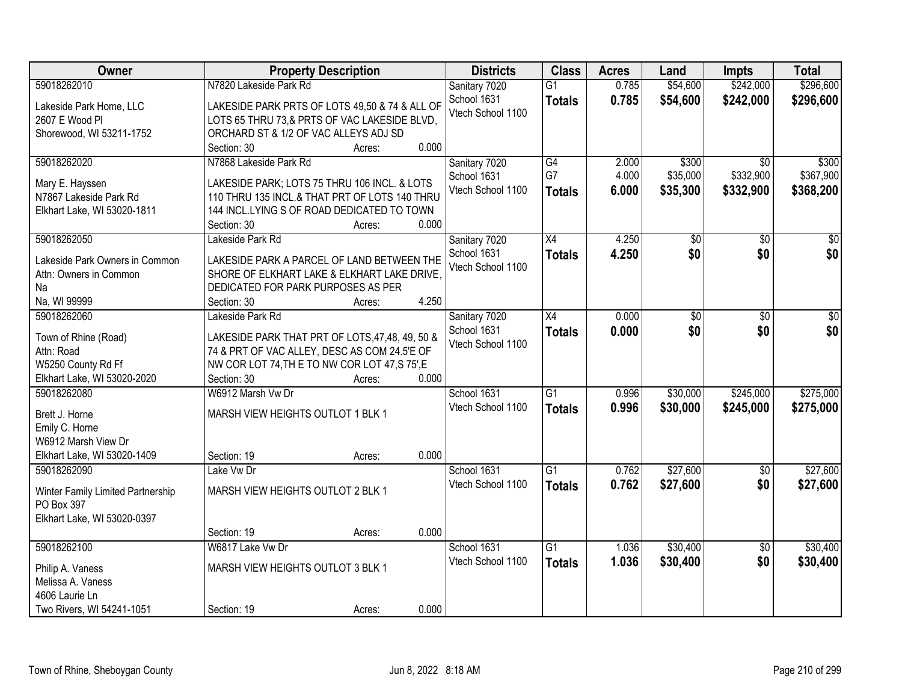| Owner                             |                                                  | <b>Property Description</b> |       | <b>Districts</b>  | <b>Class</b>    | <b>Acres</b> | Land     | <b>Impts</b>    | <b>Total</b> |
|-----------------------------------|--------------------------------------------------|-----------------------------|-------|-------------------|-----------------|--------------|----------|-----------------|--------------|
| 59018262010                       | N7820 Lakeside Park Rd                           |                             |       | Sanitary 7020     | $\overline{G1}$ | 0.785        | \$54,600 | \$242,000       | \$296,600    |
| Lakeside Park Home, LLC           | LAKESIDE PARK PRTS OF LOTS 49,50 & 74 & ALL OF   |                             |       | School 1631       | <b>Totals</b>   | 0.785        | \$54,600 | \$242,000       | \$296,600    |
| 2607 E Wood Pl                    | LOTS 65 THRU 73,& PRTS OF VAC LAKESIDE BLVD,     |                             |       | Vtech School 1100 |                 |              |          |                 |              |
| Shorewood, WI 53211-1752          | ORCHARD ST & 1/2 OF VAC ALLEYS ADJ SD            |                             |       |                   |                 |              |          |                 |              |
|                                   | Section: 30                                      | Acres:                      | 0.000 |                   |                 |              |          |                 |              |
| 59018262020                       | N7868 Lakeside Park Rd                           |                             |       | Sanitary 7020     | $\overline{G4}$ | 2.000        | \$300    | $\overline{50}$ | \$300        |
|                                   |                                                  |                             |       | School 1631       | G7              | 4.000        | \$35,000 | \$332,900       | \$367,900    |
| Mary E. Hayssen                   | LAKESIDE PARK; LOTS 75 THRU 106 INCL. & LOTS     |                             |       | Vtech School 1100 | <b>Totals</b>   | 6.000        | \$35,300 | \$332,900       | \$368,200    |
| N7867 Lakeside Park Rd            | 110 THRU 135 INCL.& THAT PRT OF LOTS 140 THRU    |                             |       |                   |                 |              |          |                 |              |
| Elkhart Lake, WI 53020-1811       | 144 INCL.LYING S OF ROAD DEDICATED TO TOWN       |                             |       |                   |                 |              |          |                 |              |
|                                   | Section: 30                                      | Acres:                      | 0.000 |                   |                 |              |          |                 |              |
| 59018262050                       | Lakeside Park Rd                                 |                             |       | Sanitary 7020     | $\overline{X4}$ | 4.250        | \$0      | \$0             | \$0          |
| Lakeside Park Owners in Common    | LAKESIDE PARK A PARCEL OF LAND BETWEEN THE       |                             |       | School 1631       | <b>Totals</b>   | 4.250        | \$0      | \$0             | \$0          |
| Attn: Owners in Common            | SHORE OF ELKHART LAKE & ELKHART LAKE DRIVE       |                             |       | Vtech School 1100 |                 |              |          |                 |              |
| Na                                | DEDICATED FOR PARK PURPOSES AS PER               |                             |       |                   |                 |              |          |                 |              |
| Na, WI 99999                      | Section: 30                                      | Acres:                      | 4.250 |                   |                 |              |          |                 |              |
| 59018262060                       | Lakeside Park Rd                                 |                             |       | Sanitary 7020     | $\overline{X4}$ | 0.000        | \$0      | $\overline{50}$ | \$0          |
|                                   |                                                  |                             |       | School 1631       | <b>Totals</b>   | 0.000        | \$0      | \$0             | \$0          |
| Town of Rhine (Road)              | LAKESIDE PARK THAT PRT OF LOTS, 47, 48, 49, 50 & |                             |       | Vtech School 1100 |                 |              |          |                 |              |
| Attn: Road                        | 74 & PRT OF VAC ALLEY, DESC AS COM 24.5'E OF     |                             |       |                   |                 |              |          |                 |              |
| W5250 County Rd Ff                | NW COR LOT 74, THE TO NW COR LOT 47, S 75', E    |                             |       |                   |                 |              |          |                 |              |
| Elkhart Lake, WI 53020-2020       | Section: 30                                      | Acres:                      | 0.000 |                   |                 |              |          |                 |              |
| 59018262080                       | W6912 Marsh Vw Dr                                |                             |       | School 1631       | $\overline{G1}$ | 0.996        | \$30,000 | \$245,000       | \$275,000    |
| Brett J. Horne                    | MARSH VIEW HEIGHTS OUTLOT 1 BLK 1                |                             |       | Vtech School 1100 | <b>Totals</b>   | 0.996        | \$30,000 | \$245,000       | \$275,000    |
| Emily C. Horne                    |                                                  |                             |       |                   |                 |              |          |                 |              |
| W6912 Marsh View Dr               |                                                  |                             |       |                   |                 |              |          |                 |              |
| Elkhart Lake, WI 53020-1409       | Section: 19                                      | Acres:                      | 0.000 |                   |                 |              |          |                 |              |
| 59018262090                       | Lake Vw Dr                                       |                             |       | School 1631       | $\overline{G1}$ | 0.762        | \$27,600 | $\sqrt{6}$      | \$27,600     |
|                                   |                                                  |                             |       | Vtech School 1100 | <b>Totals</b>   | 0.762        | \$27,600 | \$0             | \$27,600     |
| Winter Family Limited Partnership | MARSH VIEW HEIGHTS OUTLOT 2 BLK 1                |                             |       |                   |                 |              |          |                 |              |
| PO Box 397                        |                                                  |                             |       |                   |                 |              |          |                 |              |
| Elkhart Lake, WI 53020-0397       |                                                  |                             |       |                   |                 |              |          |                 |              |
|                                   | Section: 19                                      | Acres:                      | 0.000 |                   |                 |              |          |                 |              |
| 59018262100                       | W6817 Lake Vw Dr                                 |                             |       | School 1631       | $\overline{G1}$ | 1.036        | \$30,400 | $\overline{50}$ | \$30,400     |
| Philip A. Vaness                  | MARSH VIEW HEIGHTS OUTLOT 3 BLK 1                |                             |       | Vtech School 1100 | <b>Totals</b>   | 1.036        | \$30,400 | \$0             | \$30,400     |
| Melissa A. Vaness                 |                                                  |                             |       |                   |                 |              |          |                 |              |
| 4606 Laurie Ln                    |                                                  |                             |       |                   |                 |              |          |                 |              |
| Two Rivers, WI 54241-1051         | Section: 19                                      | Acres:                      | 0.000 |                   |                 |              |          |                 |              |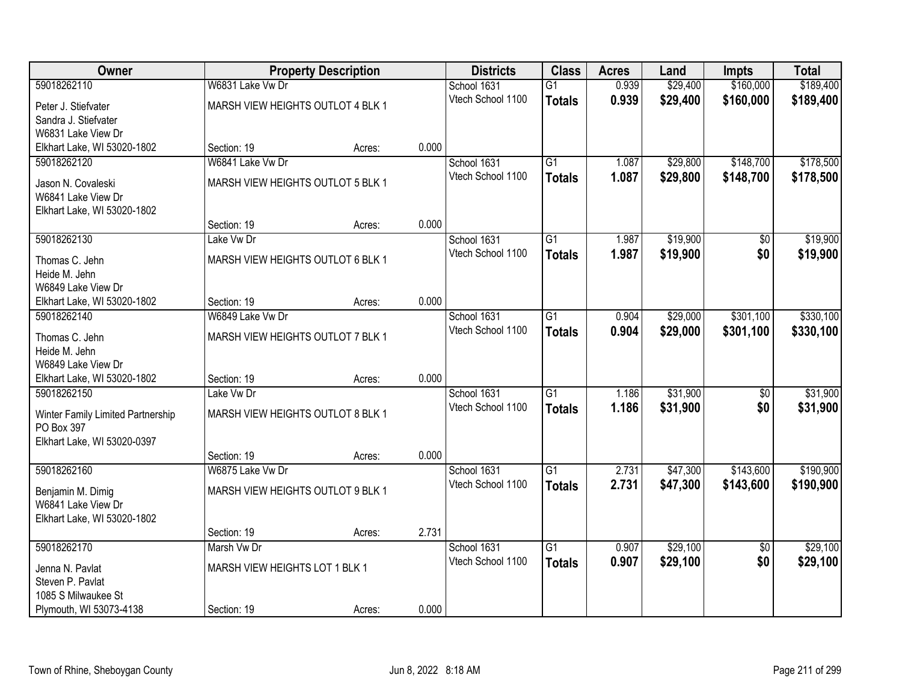| <b>Owner</b>                      |                                   | <b>Property Description</b> |       | <b>Districts</b>  | <b>Class</b>    | <b>Acres</b> | Land     | <b>Impts</b>    | <b>Total</b> |
|-----------------------------------|-----------------------------------|-----------------------------|-------|-------------------|-----------------|--------------|----------|-----------------|--------------|
| 59018262110                       | W6831 Lake Vw Dr                  |                             |       | School 1631       | $\overline{G1}$ | 0.939        | \$29,400 | \$160,000       | \$189,400    |
| Peter J. Stiefvater               | MARSH VIEW HEIGHTS OUTLOT 4 BLK 1 |                             |       | Vtech School 1100 | <b>Totals</b>   | 0.939        | \$29,400 | \$160,000       | \$189,400    |
| Sandra J. Stiefvater              |                                   |                             |       |                   |                 |              |          |                 |              |
| W6831 Lake View Dr                |                                   |                             |       |                   |                 |              |          |                 |              |
| Elkhart Lake, WI 53020-1802       | Section: 19                       | Acres:                      | 0.000 |                   |                 |              |          |                 |              |
| 59018262120                       | W6841 Lake Vw Dr                  |                             |       | School 1631       | $\overline{G1}$ | 1.087        | \$29,800 | \$148,700       | \$178,500    |
| Jason N. Covaleski                | MARSH VIEW HEIGHTS OUTLOT 5 BLK 1 |                             |       | Vtech School 1100 | <b>Totals</b>   | 1.087        | \$29,800 | \$148,700       | \$178,500    |
| W6841 Lake View Dr                |                                   |                             |       |                   |                 |              |          |                 |              |
| Elkhart Lake, WI 53020-1802       |                                   |                             |       |                   |                 |              |          |                 |              |
|                                   | Section: 19                       | Acres:                      | 0.000 |                   |                 |              |          |                 |              |
| 59018262130                       | Lake Vw Dr                        |                             |       | School 1631       | $\overline{G1}$ | 1.987        | \$19,900 | \$0             | \$19,900     |
| Thomas C. Jehn                    | MARSH VIEW HEIGHTS OUTLOT 6 BLK 1 |                             |       | Vtech School 1100 | <b>Totals</b>   | 1.987        | \$19,900 | \$0             | \$19,900     |
| Heide M. Jehn                     |                                   |                             |       |                   |                 |              |          |                 |              |
| W6849 Lake View Dr                |                                   |                             |       |                   |                 |              |          |                 |              |
| Elkhart Lake, WI 53020-1802       | Section: 19                       | Acres:                      | 0.000 |                   |                 |              |          |                 |              |
| 59018262140                       | W6849 Lake Vw Dr                  |                             |       | School 1631       | G1              | 0.904        | \$29,000 | \$301,100       | \$330,100    |
| Thomas C. Jehn                    | MARSH VIEW HEIGHTS OUTLOT 7 BLK 1 |                             |       | Vtech School 1100 | <b>Totals</b>   | 0.904        | \$29,000 | \$301,100       | \$330,100    |
| Heide M. Jehn                     |                                   |                             |       |                   |                 |              |          |                 |              |
| W6849 Lake View Dr                |                                   |                             |       |                   |                 |              |          |                 |              |
| Elkhart Lake, WI 53020-1802       | Section: 19                       | Acres:                      | 0.000 |                   |                 |              |          |                 |              |
| 59018262150                       | Lake Vw Dr                        |                             |       | School 1631       | $\overline{G1}$ | 1.186        | \$31,900 | $\overline{50}$ | \$31,900     |
| Winter Family Limited Partnership | MARSH VIEW HEIGHTS OUTLOT 8 BLK 1 |                             |       | Vtech School 1100 | <b>Totals</b>   | 1.186        | \$31,900 | \$0             | \$31,900     |
| PO Box 397                        |                                   |                             |       |                   |                 |              |          |                 |              |
| Elkhart Lake, WI 53020-0397       |                                   |                             |       |                   |                 |              |          |                 |              |
|                                   | Section: 19                       | Acres:                      | 0.000 |                   |                 |              |          |                 |              |
| 59018262160                       | W6875 Lake Vw Dr                  |                             |       | School 1631       | $\overline{G1}$ | 2.731        | \$47,300 | \$143,600       | \$190,900    |
| Benjamin M. Dimig                 | MARSH VIEW HEIGHTS OUTLOT 9 BLK 1 |                             |       | Vtech School 1100 | <b>Totals</b>   | 2.731        | \$47,300 | \$143,600       | \$190,900    |
| W6841 Lake View Dr                |                                   |                             |       |                   |                 |              |          |                 |              |
| Elkhart Lake, WI 53020-1802       |                                   |                             |       |                   |                 |              |          |                 |              |
|                                   | Section: 19                       | Acres:                      | 2.731 |                   |                 |              |          |                 |              |
| 59018262170                       | Marsh Vw Dr                       |                             |       | School 1631       | $\overline{G1}$ | 0.907        | \$29,100 | $\overline{50}$ | \$29,100     |
| Jenna N. Pavlat                   | MARSH VIEW HEIGHTS LOT 1 BLK 1    |                             |       | Vtech School 1100 | <b>Totals</b>   | 0.907        | \$29,100 | \$0             | \$29,100     |
| Steven P. Pavlat                  |                                   |                             |       |                   |                 |              |          |                 |              |
| 1085 S Milwaukee St               |                                   |                             |       |                   |                 |              |          |                 |              |
| Plymouth, WI 53073-4138           | Section: 19                       | Acres:                      | 0.000 |                   |                 |              |          |                 |              |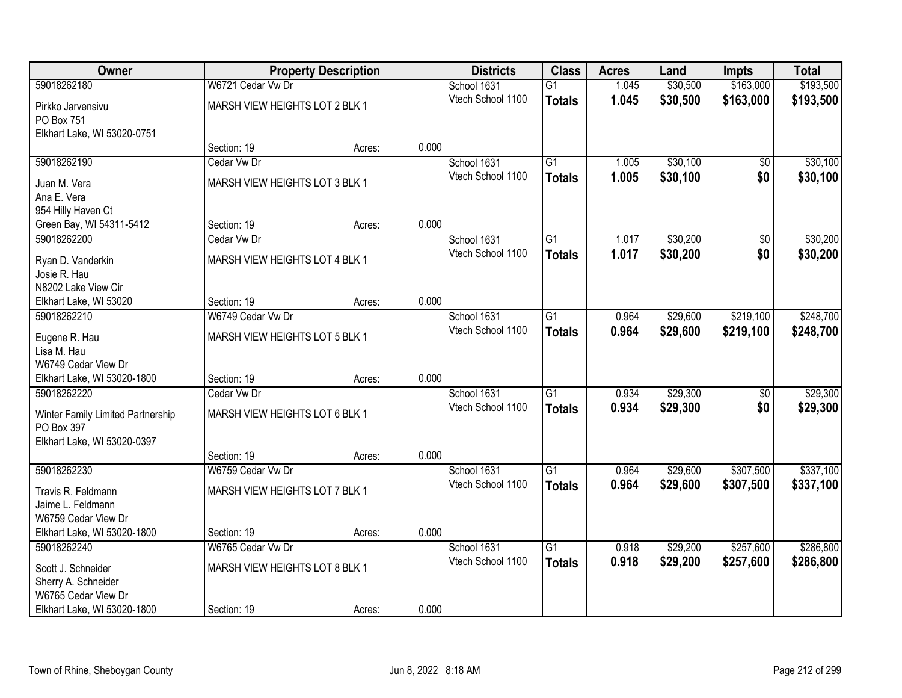| Owner                                     |                                | <b>Property Description</b> |       | <b>Districts</b>  | <b>Class</b>    | <b>Acres</b> | Land     | <b>Impts</b>    | <b>Total</b> |
|-------------------------------------------|--------------------------------|-----------------------------|-------|-------------------|-----------------|--------------|----------|-----------------|--------------|
| 59018262180                               | W6721 Cedar Vw Dr              |                             |       | School 1631       | $\overline{G1}$ | 1.045        | \$30,500 | \$163,000       | \$193,500    |
| Pirkko Jarvensivu                         | MARSH VIEW HEIGHTS LOT 2 BLK 1 |                             |       | Vtech School 1100 | <b>Totals</b>   | 1.045        | \$30,500 | \$163,000       | \$193,500    |
| PO Box 751                                |                                |                             |       |                   |                 |              |          |                 |              |
| Elkhart Lake, WI 53020-0751               |                                |                             |       |                   |                 |              |          |                 |              |
|                                           | Section: 19                    | Acres:                      | 0.000 |                   |                 |              |          |                 |              |
| 59018262190                               | Cedar Vw Dr                    |                             |       | School 1631       | $\overline{G1}$ | 1.005        | \$30,100 | $\overline{50}$ | \$30,100     |
| Juan M. Vera                              | MARSH VIEW HEIGHTS LOT 3 BLK 1 |                             |       | Vtech School 1100 | <b>Totals</b>   | 1.005        | \$30,100 | \$0             | \$30,100     |
| Ana E. Vera                               |                                |                             |       |                   |                 |              |          |                 |              |
| 954 Hilly Haven Ct                        |                                |                             |       |                   |                 |              |          |                 |              |
| Green Bay, WI 54311-5412                  | Section: 19                    | Acres:                      | 0.000 |                   |                 |              |          |                 |              |
| 59018262200                               | Cedar Vw Dr                    |                             |       | School 1631       | G1              | 1.017        | \$30,200 | $\sqrt[6]{30}$  | \$30,200     |
| Ryan D. Vanderkin                         | MARSH VIEW HEIGHTS LOT 4 BLK 1 |                             |       | Vtech School 1100 | <b>Totals</b>   | 1.017        | \$30,200 | \$0             | \$30,200     |
| Josie R. Hau                              |                                |                             |       |                   |                 |              |          |                 |              |
| N8202 Lake View Cir                       |                                |                             |       |                   |                 |              |          |                 |              |
| Elkhart Lake, WI 53020                    | Section: 19                    | Acres:                      | 0.000 |                   |                 |              |          |                 |              |
| 59018262210                               | W6749 Cedar Vw Dr              |                             |       | School 1631       | G1              | 0.964        | \$29,600 | \$219,100       | \$248,700    |
| Eugene R. Hau                             | MARSH VIEW HEIGHTS LOT 5 BLK 1 |                             |       | Vtech School 1100 | <b>Totals</b>   | 0.964        | \$29,600 | \$219,100       | \$248,700    |
| Lisa M. Hau                               |                                |                             |       |                   |                 |              |          |                 |              |
| W6749 Cedar View Dr                       |                                |                             |       |                   |                 |              |          |                 |              |
| Elkhart Lake, WI 53020-1800               | Section: 19                    | Acres:                      | 0.000 |                   |                 |              |          |                 |              |
| 59018262220                               | Cedar Vw Dr                    |                             |       | School 1631       | $\overline{G1}$ | 0.934        | \$29,300 | \$0             | \$29,300     |
| Winter Family Limited Partnership         | MARSH VIEW HEIGHTS LOT 6 BLK 1 |                             |       | Vtech School 1100 | <b>Totals</b>   | 0.934        | \$29,300 | \$0             | \$29,300     |
| PO Box 397                                |                                |                             |       |                   |                 |              |          |                 |              |
| Elkhart Lake, WI 53020-0397               |                                |                             |       |                   |                 |              |          |                 |              |
|                                           | Section: 19                    | Acres:                      | 0.000 |                   |                 |              |          |                 |              |
| 59018262230                               | W6759 Cedar Vw Dr              |                             |       | School 1631       | $\overline{G1}$ | 0.964        | \$29,600 | \$307,500       | \$337,100    |
| Travis R. Feldmann                        | MARSH VIEW HEIGHTS LOT 7 BLK 1 |                             |       | Vtech School 1100 | <b>Totals</b>   | 0.964        | \$29,600 | \$307,500       | \$337,100    |
| Jaime L. Feldmann                         |                                |                             |       |                   |                 |              |          |                 |              |
| W6759 Cedar View Dr                       |                                |                             |       |                   |                 |              |          |                 |              |
| Elkhart Lake, WI 53020-1800               | Section: 19                    | Acres:                      | 0.000 |                   |                 |              |          |                 |              |
| 59018262240                               | W6765 Cedar Vw Dr              |                             |       | School 1631       | $\overline{G1}$ | 0.918        | \$29,200 | \$257,600       | \$286,800    |
|                                           | MARSH VIEW HEIGHTS LOT 8 BLK 1 |                             |       | Vtech School 1100 | <b>Totals</b>   | 0.918        | \$29,200 | \$257,600       | \$286,800    |
| Scott J. Schneider<br>Sherry A. Schneider |                                |                             |       |                   |                 |              |          |                 |              |
| W6765 Cedar View Dr                       |                                |                             |       |                   |                 |              |          |                 |              |
| Elkhart Lake, WI 53020-1800               | Section: 19                    | Acres:                      | 0.000 |                   |                 |              |          |                 |              |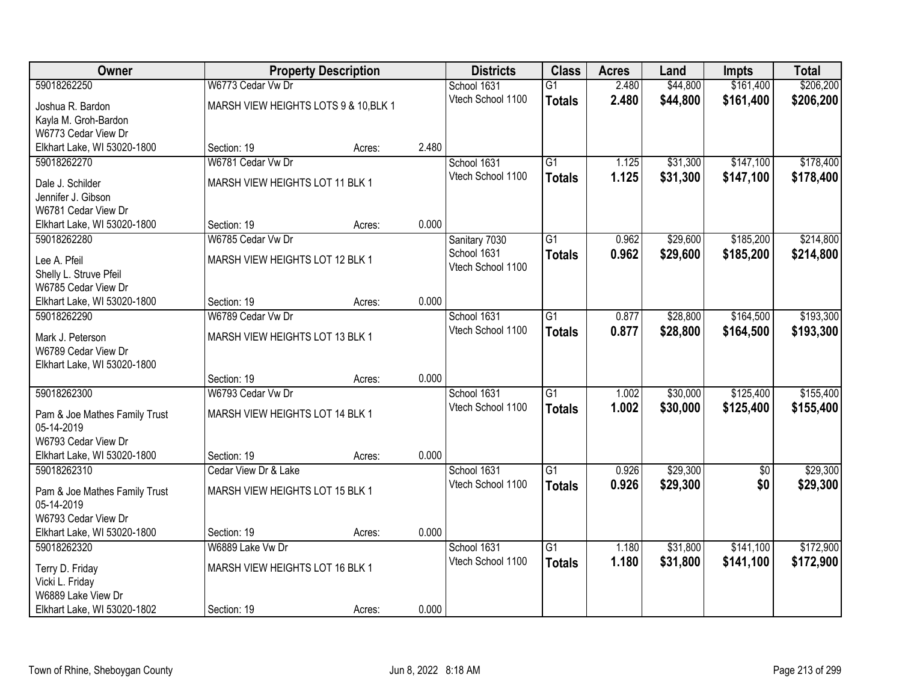| Owner                         |                                       | <b>Property Description</b> |       | <b>Districts</b>  | <b>Class</b>    | <b>Acres</b> | Land     | <b>Impts</b> | <b>Total</b> |
|-------------------------------|---------------------------------------|-----------------------------|-------|-------------------|-----------------|--------------|----------|--------------|--------------|
| 59018262250                   | W6773 Cedar Vw Dr                     |                             |       | School 1631       | $\overline{G1}$ | 2.480        | \$44,800 | \$161,400    | \$206,200    |
| Joshua R. Bardon              | MARSH VIEW HEIGHTS LOTS 9 & 10, BLK 1 |                             |       | Vtech School 1100 | <b>Totals</b>   | 2.480        | \$44,800 | \$161,400    | \$206,200    |
| Kayla M. Groh-Bardon          |                                       |                             |       |                   |                 |              |          |              |              |
| W6773 Cedar View Dr           |                                       |                             |       |                   |                 |              |          |              |              |
| Elkhart Lake, WI 53020-1800   | Section: 19                           | Acres:                      | 2.480 |                   |                 |              |          |              |              |
| 59018262270                   | W6781 Cedar Vw Dr                     |                             |       | School 1631       | $\overline{G1}$ | 1.125        | \$31,300 | \$147,100    | \$178,400    |
| Dale J. Schilder              | MARSH VIEW HEIGHTS LOT 11 BLK 1       |                             |       | Vtech School 1100 | <b>Totals</b>   | 1.125        | \$31,300 | \$147,100    | \$178,400    |
| Jennifer J. Gibson            |                                       |                             |       |                   |                 |              |          |              |              |
| W6781 Cedar View Dr           |                                       |                             |       |                   |                 |              |          |              |              |
| Elkhart Lake, WI 53020-1800   | Section: 19                           | Acres:                      | 0.000 |                   |                 |              |          |              |              |
| 59018262280                   | W6785 Cedar Vw Dr                     |                             |       | Sanitary 7030     | $\overline{G1}$ | 0.962        | \$29,600 | \$185,200    | \$214,800    |
| Lee A. Pfeil                  | MARSH VIEW HEIGHTS LOT 12 BLK 1       |                             |       | School 1631       | <b>Totals</b>   | 0.962        | \$29,600 | \$185,200    | \$214,800    |
| Shelly L. Struve Pfeil        |                                       |                             |       | Vtech School 1100 |                 |              |          |              |              |
| W6785 Cedar View Dr           |                                       |                             |       |                   |                 |              |          |              |              |
| Elkhart Lake, WI 53020-1800   | Section: 19                           | Acres:                      | 0.000 |                   |                 |              |          |              |              |
| 59018262290                   | W6789 Cedar Vw Dr                     |                             |       | School 1631       | $\overline{G1}$ | 0.877        | \$28,800 | \$164,500    | \$193,300    |
| Mark J. Peterson              | MARSH VIEW HEIGHTS LOT 13 BLK 1       |                             |       | Vtech School 1100 | <b>Totals</b>   | 0.877        | \$28,800 | \$164,500    | \$193,300    |
| W6789 Cedar View Dr           |                                       |                             |       |                   |                 |              |          |              |              |
| Elkhart Lake, WI 53020-1800   |                                       |                             |       |                   |                 |              |          |              |              |
|                               | Section: 19                           | Acres:                      | 0.000 |                   |                 |              |          |              |              |
| 59018262300                   | W6793 Cedar Vw Dr                     |                             |       | School 1631       | $\overline{G1}$ | 1.002        | \$30,000 | \$125,400    | \$155,400    |
| Pam & Joe Mathes Family Trust | MARSH VIEW HEIGHTS LOT 14 BLK 1       |                             |       | Vtech School 1100 | <b>Totals</b>   | 1.002        | \$30,000 | \$125,400    | \$155,400    |
| 05-14-2019                    |                                       |                             |       |                   |                 |              |          |              |              |
| W6793 Cedar View Dr           |                                       |                             |       |                   |                 |              |          |              |              |
| Elkhart Lake, WI 53020-1800   | Section: 19                           | Acres:                      | 0.000 |                   |                 |              |          |              |              |
| 59018262310                   | Cedar View Dr & Lake                  |                             |       | School 1631       | $\overline{G1}$ | 0.926        | \$29,300 | \$0          | \$29,300     |
| Pam & Joe Mathes Family Trust | MARSH VIEW HEIGHTS LOT 15 BLK 1       |                             |       | Vtech School 1100 | <b>Totals</b>   | 0.926        | \$29,300 | \$0          | \$29,300     |
| 05-14-2019                    |                                       |                             |       |                   |                 |              |          |              |              |
| W6793 Cedar View Dr           |                                       |                             |       |                   |                 |              |          |              |              |
| Elkhart Lake, WI 53020-1800   | Section: 19                           | Acres:                      | 0.000 |                   |                 |              |          |              |              |
| 59018262320                   | W6889 Lake Vw Dr                      |                             |       | School 1631       | $\overline{G1}$ | 1.180        | \$31,800 | \$141,100    | \$172,900    |
| Terry D. Friday               | MARSH VIEW HEIGHTS LOT 16 BLK 1       |                             |       | Vtech School 1100 | <b>Totals</b>   | 1.180        | \$31,800 | \$141,100    | \$172,900    |
| Vicki L. Friday               |                                       |                             |       |                   |                 |              |          |              |              |
| W6889 Lake View Dr            |                                       |                             |       |                   |                 |              |          |              |              |
| Elkhart Lake, WI 53020-1802   | Section: 19                           | Acres:                      | 0.000 |                   |                 |              |          |              |              |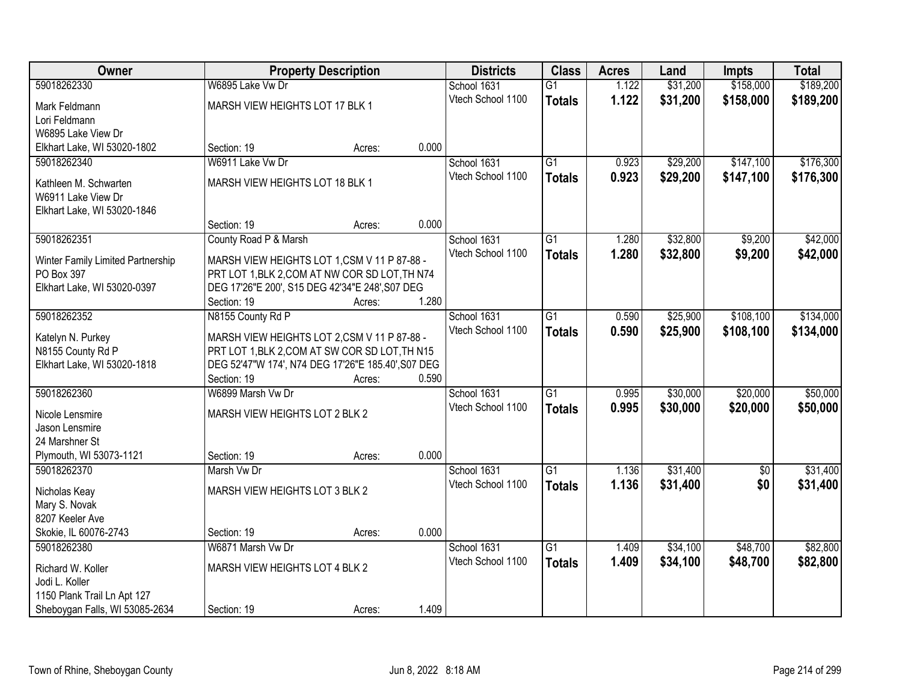| Owner                                           |                                                                                               | <b>Property Description</b> |       | <b>Districts</b>  | <b>Class</b>    | <b>Acres</b> | Land     | <b>Impts</b> | <b>Total</b> |
|-------------------------------------------------|-----------------------------------------------------------------------------------------------|-----------------------------|-------|-------------------|-----------------|--------------|----------|--------------|--------------|
| 59018262330                                     | W6895 Lake Vw Dr                                                                              |                             |       | School 1631       | $\overline{G1}$ | 1.122        | \$31,200 | \$158,000    | \$189,200    |
| Mark Feldmann                                   | MARSH VIEW HEIGHTS LOT 17 BLK 1                                                               |                             |       | Vtech School 1100 | <b>Totals</b>   | 1.122        | \$31,200 | \$158,000    | \$189,200    |
| Lori Feldmann                                   |                                                                                               |                             |       |                   |                 |              |          |              |              |
| W6895 Lake View Dr                              |                                                                                               |                             |       |                   |                 |              |          |              |              |
| Elkhart Lake, WI 53020-1802                     | Section: 19                                                                                   | Acres:                      | 0.000 |                   |                 |              |          |              |              |
| 59018262340                                     | W6911 Lake Vw Dr                                                                              |                             |       | School 1631       | $\overline{G1}$ | 0.923        | \$29,200 | \$147,100    | \$176,300    |
| Kathleen M. Schwarten                           | MARSH VIEW HEIGHTS LOT 18 BLK 1                                                               |                             |       | Vtech School 1100 | <b>Totals</b>   | 0.923        | \$29,200 | \$147,100    | \$176,300    |
| W6911 Lake View Dr                              |                                                                                               |                             |       |                   |                 |              |          |              |              |
| Elkhart Lake, WI 53020-1846                     |                                                                                               |                             |       |                   |                 |              |          |              |              |
|                                                 | Section: 19                                                                                   | Acres:                      | 0.000 |                   |                 |              |          |              |              |
| 59018262351                                     | County Road P & Marsh                                                                         |                             |       | School 1631       | $\overline{G1}$ | 1.280        | \$32,800 | \$9,200      | \$42,000     |
|                                                 |                                                                                               |                             |       | Vtech School 1100 | <b>Totals</b>   | 1.280        | \$32,800 | \$9,200      | \$42,000     |
| Winter Family Limited Partnership<br>PO Box 397 | MARSH VIEW HEIGHTS LOT 1,CSM V 11 P 87-88 -<br>PRT LOT 1, BLK 2, COM AT NW COR SD LOT, TH N74 |                             |       |                   |                 |              |          |              |              |
| Elkhart Lake, WI 53020-0397                     | DEG 17'26"E 200', S15 DEG 42'34"E 248', S07 DEG                                               |                             |       |                   |                 |              |          |              |              |
|                                                 | Section: 19                                                                                   | Acres:                      | 1.280 |                   |                 |              |          |              |              |
| 59018262352                                     | N8155 County Rd P                                                                             |                             |       | School 1631       | $\overline{G1}$ | 0.590        | \$25,900 | \$108,100    | \$134,000    |
|                                                 |                                                                                               |                             |       | Vtech School 1100 | <b>Totals</b>   | 0.590        | \$25,900 | \$108,100    | \$134,000    |
| Katelyn N. Purkey                               | MARSH VIEW HEIGHTS LOT 2,CSM V 11 P 87-88 -                                                   |                             |       |                   |                 |              |          |              |              |
| N8155 County Rd P                               | PRT LOT 1, BLK 2, COM AT SW COR SD LOT, TH N15                                                |                             |       |                   |                 |              |          |              |              |
| Elkhart Lake, WI 53020-1818                     | DEG 52'47"W 174', N74 DEG 17'26"E 185.40', S07 DEG<br>Section: 19                             |                             | 0.590 |                   |                 |              |          |              |              |
| 59018262360                                     | W6899 Marsh Vw Dr                                                                             | Acres:                      |       | School 1631       | $\overline{G1}$ | 0.995        | \$30,000 | \$20,000     | \$50,000     |
|                                                 |                                                                                               |                             |       | Vtech School 1100 |                 | 0.995        | \$30,000 | \$20,000     | \$50,000     |
| Nicole Lensmire                                 | MARSH VIEW HEIGHTS LOT 2 BLK 2                                                                |                             |       |                   | <b>Totals</b>   |              |          |              |              |
| Jason Lensmire                                  |                                                                                               |                             |       |                   |                 |              |          |              |              |
| 24 Marshner St                                  |                                                                                               |                             |       |                   |                 |              |          |              |              |
| Plymouth, WI 53073-1121                         | Section: 19                                                                                   | Acres:                      | 0.000 |                   |                 |              |          |              |              |
| 59018262370                                     | Marsh Vw Dr                                                                                   |                             |       | School 1631       | $\overline{G1}$ | 1.136        | \$31,400 | $\sqrt{6}$   | \$31,400     |
| Nicholas Keay                                   | MARSH VIEW HEIGHTS LOT 3 BLK 2                                                                |                             |       | Vtech School 1100 | <b>Totals</b>   | 1.136        | \$31,400 | \$0          | \$31,400     |
| Mary S. Novak                                   |                                                                                               |                             |       |                   |                 |              |          |              |              |
| 8207 Keeler Ave                                 |                                                                                               |                             |       |                   |                 |              |          |              |              |
| Skokie, IL 60076-2743                           | Section: 19                                                                                   | Acres:                      | 0.000 |                   |                 |              |          |              |              |
| 59018262380                                     | W6871 Marsh Vw Dr                                                                             |                             |       | School 1631       | $\overline{G1}$ | 1.409        | \$34,100 | \$48,700     | \$82,800     |
| Richard W. Koller                               | MARSH VIEW HEIGHTS LOT 4 BLK 2                                                                |                             |       | Vtech School 1100 | <b>Totals</b>   | 1.409        | \$34,100 | \$48,700     | \$82,800     |
| Jodi L. Koller                                  |                                                                                               |                             |       |                   |                 |              |          |              |              |
| 1150 Plank Trail Ln Apt 127                     |                                                                                               |                             |       |                   |                 |              |          |              |              |
| Sheboygan Falls, WI 53085-2634                  | Section: 19                                                                                   | Acres:                      | 1.409 |                   |                 |              |          |              |              |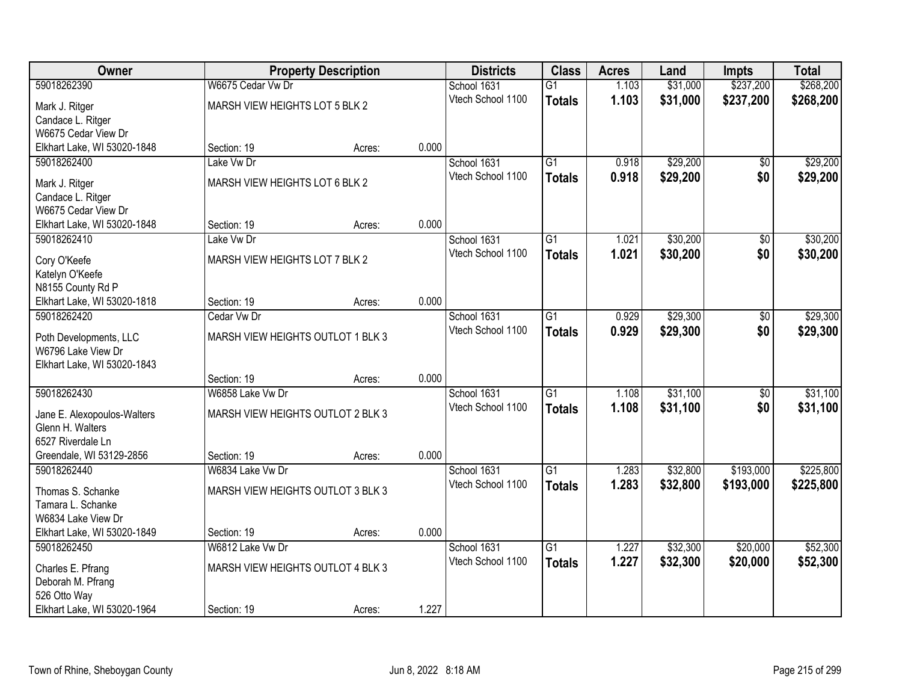| Owner                       |                                   | <b>Property Description</b> |       | <b>Districts</b>  | <b>Class</b>    | <b>Acres</b> | Land     | Impts           | <b>Total</b> |
|-----------------------------|-----------------------------------|-----------------------------|-------|-------------------|-----------------|--------------|----------|-----------------|--------------|
| 59018262390                 | W6675 Cedar Vw Dr                 |                             |       | School 1631       | $\overline{G1}$ | 1.103        | \$31,000 | \$237,200       | \$268,200    |
| Mark J. Ritger              | MARSH VIEW HEIGHTS LOT 5 BLK 2    |                             |       | Vtech School 1100 | <b>Totals</b>   | 1.103        | \$31,000 | \$237,200       | \$268,200    |
| Candace L. Ritger           |                                   |                             |       |                   |                 |              |          |                 |              |
| W6675 Cedar View Dr         |                                   |                             |       |                   |                 |              |          |                 |              |
| Elkhart Lake, WI 53020-1848 | Section: 19                       | Acres:                      | 0.000 |                   |                 |              |          |                 |              |
| 59018262400                 | Lake Vw Dr                        |                             |       | School 1631       | $\overline{G1}$ | 0.918        | \$29,200 | $\overline{50}$ | \$29,200     |
| Mark J. Ritger              | MARSH VIEW HEIGHTS LOT 6 BLK 2    |                             |       | Vtech School 1100 | <b>Totals</b>   | 0.918        | \$29,200 | \$0             | \$29,200     |
| Candace L. Ritger           |                                   |                             |       |                   |                 |              |          |                 |              |
| W6675 Cedar View Dr         |                                   |                             |       |                   |                 |              |          |                 |              |
| Elkhart Lake, WI 53020-1848 | Section: 19                       | Acres:                      | 0.000 |                   |                 |              |          |                 |              |
| 59018262410                 | Lake Vw Dr                        |                             |       | School 1631       | $\overline{G1}$ | 1.021        | \$30,200 | \$0             | \$30,200     |
| Cory O'Keefe                | MARSH VIEW HEIGHTS LOT 7 BLK 2    |                             |       | Vtech School 1100 | <b>Totals</b>   | 1.021        | \$30,200 | \$0             | \$30,200     |
| Katelyn O'Keefe             |                                   |                             |       |                   |                 |              |          |                 |              |
| N8155 County Rd P           |                                   |                             |       |                   |                 |              |          |                 |              |
| Elkhart Lake, WI 53020-1818 | Section: 19                       | Acres:                      | 0.000 |                   |                 |              |          |                 |              |
| 59018262420                 | Cedar Vw Dr                       |                             |       | School 1631       | $\overline{G1}$ | 0.929        | \$29,300 | \$0             | \$29,300     |
| Poth Developments, LLC      | MARSH VIEW HEIGHTS OUTLOT 1 BLK 3 |                             |       | Vtech School 1100 | <b>Totals</b>   | 0.929        | \$29,300 | \$0             | \$29,300     |
| W6796 Lake View Dr          |                                   |                             |       |                   |                 |              |          |                 |              |
| Elkhart Lake, WI 53020-1843 |                                   |                             |       |                   |                 |              |          |                 |              |
|                             | Section: 19                       | Acres:                      | 0.000 |                   |                 |              |          |                 |              |
| 59018262430                 | W6858 Lake Vw Dr                  |                             |       | School 1631       | $\overline{G1}$ | 1.108        | \$31,100 | $\overline{50}$ | \$31,100     |
| Jane E. Alexopoulos-Walters | MARSH VIEW HEIGHTS OUTLOT 2 BLK 3 |                             |       | Vtech School 1100 | <b>Totals</b>   | 1.108        | \$31,100 | \$0             | \$31,100     |
| Glenn H. Walters            |                                   |                             |       |                   |                 |              |          |                 |              |
| 6527 Riverdale Ln           |                                   |                             |       |                   |                 |              |          |                 |              |
| Greendale, WI 53129-2856    | Section: 19                       | Acres:                      | 0.000 |                   |                 |              |          |                 |              |
| 59018262440                 | W6834 Lake Vw Dr                  |                             |       | School 1631       | $\overline{G1}$ | 1.283        | \$32,800 | \$193,000       | \$225,800    |
| Thomas S. Schanke           | MARSH VIEW HEIGHTS OUTLOT 3 BLK 3 |                             |       | Vtech School 1100 | <b>Totals</b>   | 1.283        | \$32,800 | \$193,000       | \$225,800    |
| Tamara L. Schanke           |                                   |                             |       |                   |                 |              |          |                 |              |
| W6834 Lake View Dr          |                                   |                             |       |                   |                 |              |          |                 |              |
| Elkhart Lake, WI 53020-1849 | Section: 19                       | Acres:                      | 0.000 |                   |                 |              |          |                 |              |
| 59018262450                 | W6812 Lake Vw Dr                  |                             |       | School 1631       | $\overline{G1}$ | 1.227        | \$32,300 | \$20,000        | \$52,300     |
| Charles E. Pfrang           | MARSH VIEW HEIGHTS OUTLOT 4 BLK 3 |                             |       | Vtech School 1100 | <b>Totals</b>   | 1.227        | \$32,300 | \$20,000        | \$52,300     |
| Deborah M. Pfrang           |                                   |                             |       |                   |                 |              |          |                 |              |
| 526 Otto Way                |                                   |                             |       |                   |                 |              |          |                 |              |
| Elkhart Lake, WI 53020-1964 | Section: 19                       | Acres:                      | 1.227 |                   |                 |              |          |                 |              |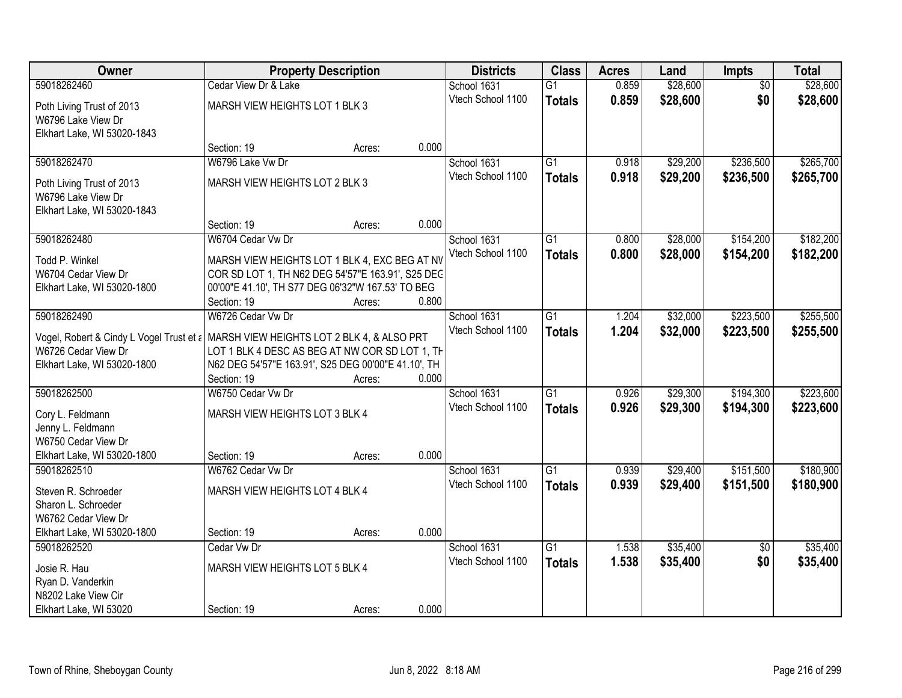| Owner                                                                               |                                                     | <b>Property Description</b> |       | <b>Districts</b>  | <b>Class</b>    | <b>Acres</b> | Land     | Impts           | <b>Total</b> |
|-------------------------------------------------------------------------------------|-----------------------------------------------------|-----------------------------|-------|-------------------|-----------------|--------------|----------|-----------------|--------------|
| 59018262460                                                                         | Cedar View Dr & Lake                                |                             |       | School 1631       | $\overline{G1}$ | 0.859        | \$28,600 | $\overline{50}$ | \$28,600     |
| Poth Living Trust of 2013                                                           | MARSH VIEW HEIGHTS LOT 1 BLK 3                      |                             |       | Vtech School 1100 | <b>Totals</b>   | 0.859        | \$28,600 | \$0             | \$28,600     |
| W6796 Lake View Dr                                                                  |                                                     |                             |       |                   |                 |              |          |                 |              |
| Elkhart Lake, WI 53020-1843                                                         |                                                     |                             |       |                   |                 |              |          |                 |              |
|                                                                                     | Section: 19                                         | Acres:                      | 0.000 |                   |                 |              |          |                 |              |
| 59018262470                                                                         | W6796 Lake Vw Dr                                    |                             |       | School 1631       | $\overline{G1}$ | 0.918        | \$29,200 | \$236,500       | \$265,700    |
| Poth Living Trust of 2013                                                           | MARSH VIEW HEIGHTS LOT 2 BLK 3                      |                             |       | Vtech School 1100 | <b>Totals</b>   | 0.918        | \$29,200 | \$236,500       | \$265,700    |
| W6796 Lake View Dr                                                                  |                                                     |                             |       |                   |                 |              |          |                 |              |
| Elkhart Lake, WI 53020-1843                                                         |                                                     |                             |       |                   |                 |              |          |                 |              |
|                                                                                     | Section: 19                                         | Acres:                      | 0.000 |                   |                 |              |          |                 |              |
| 59018262480                                                                         | W6704 Cedar Vw Dr                                   |                             |       | School 1631       | G1              | 0.800        | \$28,000 | \$154,200       | \$182,200    |
| Todd P. Winkel                                                                      | MARSH VIEW HEIGHTS LOT 1 BLK 4, EXC BEG AT NV       |                             |       | Vtech School 1100 | <b>Totals</b>   | 0.800        | \$28,000 | \$154,200       | \$182,200    |
| W6704 Cedar View Dr                                                                 | COR SD LOT 1, TH N62 DEG 54'57"E 163.91', S25 DEC   |                             |       |                   |                 |              |          |                 |              |
| Elkhart Lake, WI 53020-1800                                                         | 00'00"E 41.10', TH S77 DEG 06'32"W 167.53' TO BEG   |                             |       |                   |                 |              |          |                 |              |
|                                                                                     | Section: 19                                         | Acres:                      | 0.800 |                   |                 |              |          |                 |              |
| 59018262490                                                                         | W6726 Cedar Vw Dr                                   |                             |       | School 1631       | G1              | 1.204        | \$32,000 | \$223,500       | \$255,500    |
| Vogel, Robert & Cindy L Vogel Trust et a MARSH VIEW HEIGHTS LOT 2 BLK 4, & ALSO PRT |                                                     |                             |       | Vtech School 1100 | <b>Totals</b>   | 1.204        | \$32,000 | \$223,500       | \$255,500    |
| W6726 Cedar View Dr                                                                 | LOT 1 BLK 4 DESC AS BEG AT NW COR SD LOT 1, TH      |                             |       |                   |                 |              |          |                 |              |
| Elkhart Lake, WI 53020-1800                                                         | N62 DEG 54'57"E 163.91', S25 DEG 00'00"E 41.10', TH |                             |       |                   |                 |              |          |                 |              |
|                                                                                     | Section: 19                                         | Acres:                      | 0.000 |                   |                 |              |          |                 |              |
| 59018262500                                                                         | W6750 Cedar Vw Dr                                   |                             |       | School 1631       | $\overline{G1}$ | 0.926        | \$29,300 | \$194,300       | \$223,600    |
| Cory L. Feldmann                                                                    | MARSH VIEW HEIGHTS LOT 3 BLK 4                      |                             |       | Vtech School 1100 | <b>Totals</b>   | 0.926        | \$29,300 | \$194,300       | \$223,600    |
| Jenny L. Feldmann                                                                   |                                                     |                             |       |                   |                 |              |          |                 |              |
| W6750 Cedar View Dr                                                                 |                                                     |                             |       |                   |                 |              |          |                 |              |
| Elkhart Lake, WI 53020-1800                                                         | Section: 19                                         | Acres:                      | 0.000 |                   |                 |              |          |                 |              |
| 59018262510                                                                         | W6762 Cedar Vw Dr                                   |                             |       | School 1631       | $\overline{G1}$ | 0.939        | \$29,400 | \$151,500       | \$180,900    |
|                                                                                     |                                                     |                             |       | Vtech School 1100 | <b>Totals</b>   | 0.939        | \$29,400 | \$151,500       | \$180,900    |
| Steven R. Schroeder<br>Sharon L. Schroeder                                          | MARSH VIEW HEIGHTS LOT 4 BLK 4                      |                             |       |                   |                 |              |          |                 |              |
| W6762 Cedar View Dr                                                                 |                                                     |                             |       |                   |                 |              |          |                 |              |
| Elkhart Lake, WI 53020-1800                                                         | Section: 19                                         | Acres:                      | 0.000 |                   |                 |              |          |                 |              |
| 59018262520                                                                         | Cedar Vw Dr                                         |                             |       | School 1631       | $\overline{G1}$ | 1.538        | \$35,400 | $\overline{50}$ | \$35,400     |
|                                                                                     |                                                     |                             |       | Vtech School 1100 | <b>Totals</b>   | 1.538        | \$35,400 | \$0             | \$35,400     |
| Josie R. Hau                                                                        | MARSH VIEW HEIGHTS LOT 5 BLK 4                      |                             |       |                   |                 |              |          |                 |              |
| Ryan D. Vanderkin<br>N8202 Lake View Cir                                            |                                                     |                             |       |                   |                 |              |          |                 |              |
| Elkhart Lake, WI 53020                                                              | Section: 19                                         | Acres:                      | 0.000 |                   |                 |              |          |                 |              |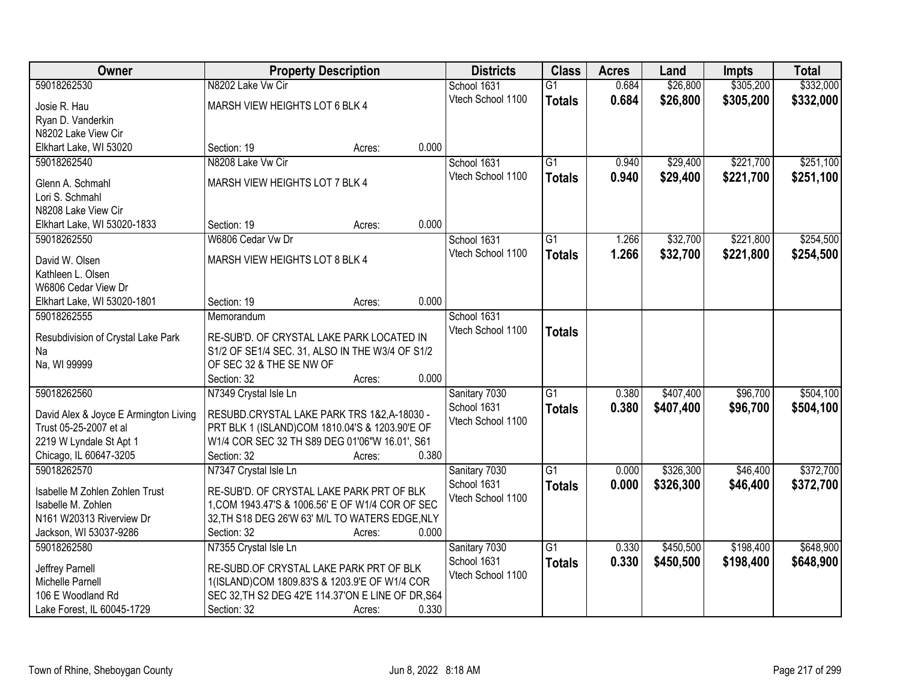| <b>Owner</b>                               | <b>Property Description</b>                        |        |       | <b>Districts</b>                 | <b>Class</b>    | <b>Acres</b> | Land      | <b>Impts</b> | <b>Total</b> |
|--------------------------------------------|----------------------------------------------------|--------|-------|----------------------------------|-----------------|--------------|-----------|--------------|--------------|
| 59018262530                                | N8202 Lake Vw Cir                                  |        |       | School 1631                      | $\overline{G1}$ | 0.684        | \$26,800  | \$305,200    | \$332,000    |
| Josie R. Hau                               | MARSH VIEW HEIGHTS LOT 6 BLK 4                     |        |       | Vtech School 1100                | <b>Totals</b>   | 0.684        | \$26,800  | \$305,200    | \$332,000    |
| Ryan D. Vanderkin                          |                                                    |        |       |                                  |                 |              |           |              |              |
| N8202 Lake View Cir                        |                                                    |        |       |                                  |                 |              |           |              |              |
| Elkhart Lake, WI 53020                     | Section: 19                                        | Acres: | 0.000 |                                  |                 |              |           |              |              |
| 59018262540                                | N8208 Lake Vw Cir                                  |        |       | School 1631                      | $\overline{G1}$ | 0.940        | \$29,400  | \$221,700    | \$251,100    |
|                                            |                                                    |        |       | Vtech School 1100                | <b>Totals</b>   | 0.940        | \$29,400  | \$221,700    | \$251,100    |
| Glenn A. Schmahl                           | MARSH VIEW HEIGHTS LOT 7 BLK 4                     |        |       |                                  |                 |              |           |              |              |
| Lori S. Schmahl                            |                                                    |        |       |                                  |                 |              |           |              |              |
| N8208 Lake View Cir                        | Section: 19                                        |        | 0.000 |                                  |                 |              |           |              |              |
| Elkhart Lake, WI 53020-1833<br>59018262550 | W6806 Cedar Vw Dr                                  | Acres: |       |                                  | G1              |              |           |              | \$254,500    |
|                                            |                                                    |        |       | School 1631<br>Vtech School 1100 |                 | 1.266        | \$32,700  | \$221,800    |              |
| David W. Olsen                             | MARSH VIEW HEIGHTS LOT 8 BLK 4                     |        |       |                                  | <b>Totals</b>   | 1.266        | \$32,700  | \$221,800    | \$254,500    |
| Kathleen L. Olsen                          |                                                    |        |       |                                  |                 |              |           |              |              |
| W6806 Cedar View Dr                        |                                                    |        |       |                                  |                 |              |           |              |              |
| Elkhart Lake, WI 53020-1801                | Section: 19                                        | Acres: | 0.000 |                                  |                 |              |           |              |              |
| 59018262555                                | Memorandum                                         |        |       | School 1631                      |                 |              |           |              |              |
| Resubdivision of Crystal Lake Park         | RE-SUB'D. OF CRYSTAL LAKE PARK LOCATED IN          |        |       | Vtech School 1100                | <b>Totals</b>   |              |           |              |              |
| Na                                         | S1/2 OF SE1/4 SEC. 31, ALSO IN THE W3/4 OF S1/2    |        |       |                                  |                 |              |           |              |              |
| Na, WI 99999                               | OF SEC 32 & THE SE NW OF                           |        |       |                                  |                 |              |           |              |              |
|                                            | Section: 32                                        | Acres: | 0.000 |                                  |                 |              |           |              |              |
| 59018262560                                | N7349 Crystal Isle Ln                              |        |       | Sanitary 7030                    | $\overline{G1}$ | 0.380        | \$407,400 | \$96,700     | \$504,100    |
|                                            |                                                    |        |       | School 1631                      | <b>Totals</b>   | 0.380        | \$407,400 | \$96,700     | \$504,100    |
| David Alex & Joyce E Armington Living      | RESUBD.CRYSTAL LAKE PARK TRS 1&2,A-18030 -         |        |       | Vtech School 1100                |                 |              |           |              |              |
| Trust 05-25-2007 et al                     | PRT BLK 1 (ISLAND)COM 1810.04'S & 1203.90'E OF     |        |       |                                  |                 |              |           |              |              |
| 2219 W Lyndale St Apt 1                    | W1/4 COR SEC 32 TH S89 DEG 01'06"W 16.01', S61     |        |       |                                  |                 |              |           |              |              |
| Chicago, IL 60647-3205                     | Section: 32                                        | Acres: | 0.380 |                                  |                 |              |           |              |              |
| 59018262570                                | N7347 Crystal Isle Ln                              |        |       | Sanitary 7030                    | $\overline{G1}$ | 0.000        | \$326,300 | \$46,400     | \$372,700    |
| Isabelle M Zohlen Zohlen Trust             | RE-SUB'D. OF CRYSTAL LAKE PARK PRT OF BLK          |        |       | School 1631                      | <b>Totals</b>   | 0.000        | \$326,300 | \$46,400     | \$372,700    |
| Isabelle M. Zohlen                         | 1, COM 1943.47'S & 1006.56' E OF W1/4 COR OF SEC   |        |       | Vtech School 1100                |                 |              |           |              |              |
| N161 W20313 Riverview Dr                   | 32, TH S18 DEG 26'W 63' M/L TO WATERS EDGE, NLY    |        |       |                                  |                 |              |           |              |              |
| Jackson, WI 53037-9286                     | Section: 32                                        | Acres: | 0.000 |                                  |                 |              |           |              |              |
| 59018262580                                | N7355 Crystal Isle Ln                              |        |       | Sanitary 7030                    | $\overline{G1}$ | 0.330        | \$450,500 | \$198,400    | \$648,900    |
| Jeffrey Parnell                            | RE-SUBD.OF CRYSTAL LAKE PARK PRT OF BLK            |        |       | School 1631                      | <b>Totals</b>   | 0.330        | \$450,500 | \$198,400    | \$648,900    |
| Michelle Parnell                           | 1(ISLAND)COM 1809.83'S & 1203.9'E OF W1/4 COR      |        |       | Vtech School 1100                |                 |              |           |              |              |
| 106 E Woodland Rd                          | SEC 32, TH S2 DEG 42'E 114.37'ON E LINE OF DR, S64 |        |       |                                  |                 |              |           |              |              |
| Lake Forest, IL 60045-1729                 | Section: 32                                        | Acres: | 0.330 |                                  |                 |              |           |              |              |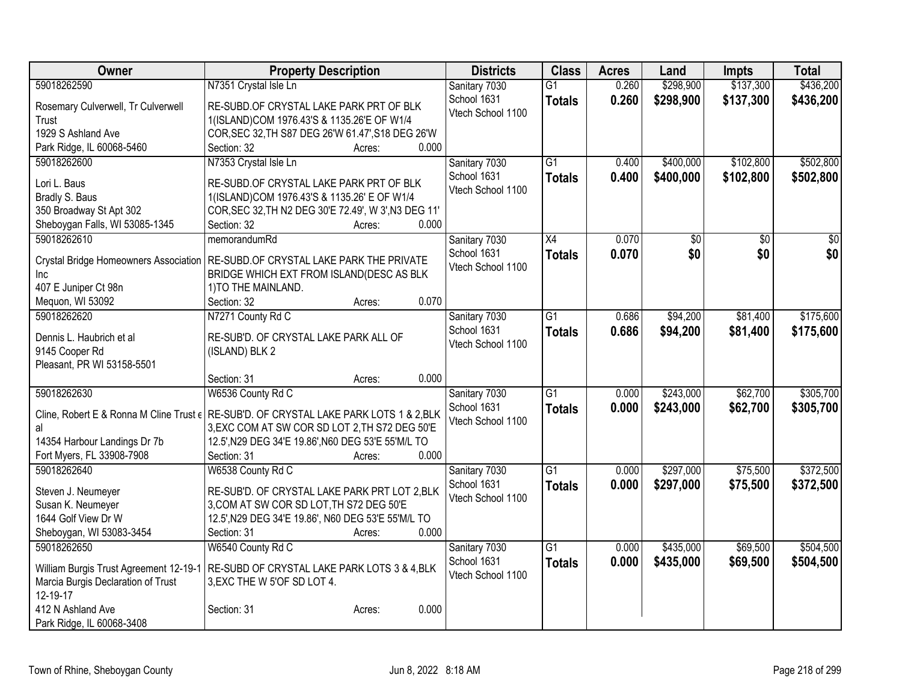| Owner                                        | <b>Property Description</b>                                                            | <b>Districts</b>  | <b>Class</b>    | <b>Acres</b> | Land      | <b>Impts</b> | <b>Total</b> |
|----------------------------------------------|----------------------------------------------------------------------------------------|-------------------|-----------------|--------------|-----------|--------------|--------------|
| 59018262590                                  | N7351 Crystal Isle Ln                                                                  | Sanitary 7030     | $\overline{G1}$ | 0.260        | \$298,900 | \$137,300    | \$436,200    |
| Rosemary Culverwell, Tr Culverwell           | RE-SUBD.OF CRYSTAL LAKE PARK PRT OF BLK                                                | School 1631       | <b>Totals</b>   | 0.260        | \$298,900 | \$137,300    | \$436,200    |
| Trust                                        | 1(ISLAND)COM 1976.43'S & 1135.26'E OF W1/4                                             | Vtech School 1100 |                 |              |           |              |              |
| 1929 S Ashland Ave                           | COR, SEC 32, TH S87 DEG 26'W 61.47', S18 DEG 26'W                                      |                   |                 |              |           |              |              |
| Park Ridge, IL 60068-5460                    | 0.000<br>Section: 32<br>Acres:                                                         |                   |                 |              |           |              |              |
| 59018262600                                  | N7353 Crystal Isle Ln                                                                  | Sanitary 7030     | $\overline{G1}$ | 0.400        | \$400,000 | \$102,800    | \$502,800    |
| Lori L. Baus                                 | RE-SUBD.OF CRYSTAL LAKE PARK PRT OF BLK                                                | School 1631       | <b>Totals</b>   | 0.400        | \$400,000 | \$102,800    | \$502,800    |
| Bradly S. Baus                               | 1(ISLAND)COM 1976.43'S & 1135.26' E OF W1/4                                            | Vtech School 1100 |                 |              |           |              |              |
| 350 Broadway St Apt 302                      | COR, SEC 32, TH N2 DEG 30'E 72.49', W 3', N3 DEG 11'                                   |                   |                 |              |           |              |              |
| Sheboygan Falls, WI 53085-1345               | 0.000<br>Section: 32<br>Acres:                                                         |                   |                 |              |           |              |              |
| 59018262610                                  | memorandumRd                                                                           | Sanitary 7030     | $\overline{X4}$ | 0.070        | \$0       | \$0          | \$0          |
|                                              |                                                                                        | School 1631       | <b>Totals</b>   | 0.070        | \$0       | \$0          | \$0          |
| <b>Crystal Bridge Homeowners Association</b> | RE-SUBD.OF CRYSTAL LAKE PARK THE PRIVATE                                               | Vtech School 1100 |                 |              |           |              |              |
| Inc                                          | BRIDGE WHICH EXT FROM ISLAND(DESC AS BLK                                               |                   |                 |              |           |              |              |
| 407 E Juniper Ct 98n                         | 1) TO THE MAINLAND.                                                                    |                   |                 |              |           |              |              |
| Mequon, WI 53092                             | 0.070<br>Section: 32<br>Acres:                                                         |                   |                 |              |           |              |              |
| 59018262620                                  | N7271 County Rd C                                                                      | Sanitary 7030     | $\overline{G1}$ | 0.686        | \$94,200  | \$81,400     | \$175,600    |
| Dennis L. Haubrich et al                     | RE-SUB'D. OF CRYSTAL LAKE PARK ALL OF                                                  | School 1631       | <b>Totals</b>   | 0.686        | \$94,200  | \$81,400     | \$175,600    |
| 9145 Cooper Rd                               | (ISLAND) BLK 2                                                                         | Vtech School 1100 |                 |              |           |              |              |
| Pleasant, PR WI 53158-5501                   |                                                                                        |                   |                 |              |           |              |              |
|                                              | 0.000<br>Section: 31<br>Acres:                                                         |                   |                 |              |           |              |              |
| 59018262630                                  | W6536 County Rd C                                                                      | Sanitary 7030     | $\overline{G1}$ | 0.000        | \$243,000 | \$62,700     | \$305,700    |
|                                              | Cline, Robert E & Ronna M Cline Trust ( RE-SUB'D. OF CRYSTAL LAKE PARK LOTS 1 & 2, BLK | School 1631       | <b>Totals</b>   | 0.000        | \$243,000 | \$62,700     | \$305,700    |
| al                                           | 3, EXC COM AT SW COR SD LOT 2, TH S72 DEG 50'E                                         | Vtech School 1100 |                 |              |           |              |              |
| 14354 Harbour Landings Dr 7b                 | 12.5', N29 DEG 34'E 19.86', N60 DEG 53'E 55'M/L TO                                     |                   |                 |              |           |              |              |
| Fort Myers, FL 33908-7908                    | 0.000<br>Section: 31<br>Acres:                                                         |                   |                 |              |           |              |              |
| 59018262640                                  | W6538 County Rd C                                                                      | Sanitary 7030     | $\overline{G1}$ | 0.000        | \$297,000 | \$75,500     | \$372,500    |
|                                              |                                                                                        | School 1631       | <b>Totals</b>   | 0.000        | \$297,000 | \$75,500     | \$372,500    |
| Steven J. Neumeyer                           | RE-SUB'D. OF CRYSTAL LAKE PARK PRT LOT 2, BLK                                          | Vtech School 1100 |                 |              |           |              |              |
| Susan K. Neumeyer                            | 3, COM AT SW COR SD LOT, TH S72 DEG 50'E                                               |                   |                 |              |           |              |              |
| 1644 Golf View Dr W                          | 12.5', N29 DEG 34'E 19.86', N60 DEG 53'E 55'M/L TO                                     |                   |                 |              |           |              |              |
| Sheboygan, WI 53083-3454                     | 0.000<br>Section: 31<br>Acres:                                                         |                   |                 |              |           |              |              |
| 59018262650                                  | W6540 County Rd C                                                                      | Sanitary 7030     | $\overline{G1}$ | 0.000        | \$435,000 | \$69,500     | \$504,500    |
| William Burgis Trust Agreement 12-19-1       | RE-SUBD OF CRYSTAL LAKE PARK LOTS 3 & 4, BLK                                           | School 1631       | <b>Totals</b>   | 0.000        | \$435,000 | \$69,500     | \$504,500    |
| Marcia Burgis Declaration of Trust           | 3, EXC THE W 5'OF SD LOT 4.                                                            | Vtech School 1100 |                 |              |           |              |              |
| 12-19-17                                     |                                                                                        |                   |                 |              |           |              |              |
| 412 N Ashland Ave                            | 0.000<br>Section: 31<br>Acres:                                                         |                   |                 |              |           |              |              |
| Park Ridge, IL 60068-3408                    |                                                                                        |                   |                 |              |           |              |              |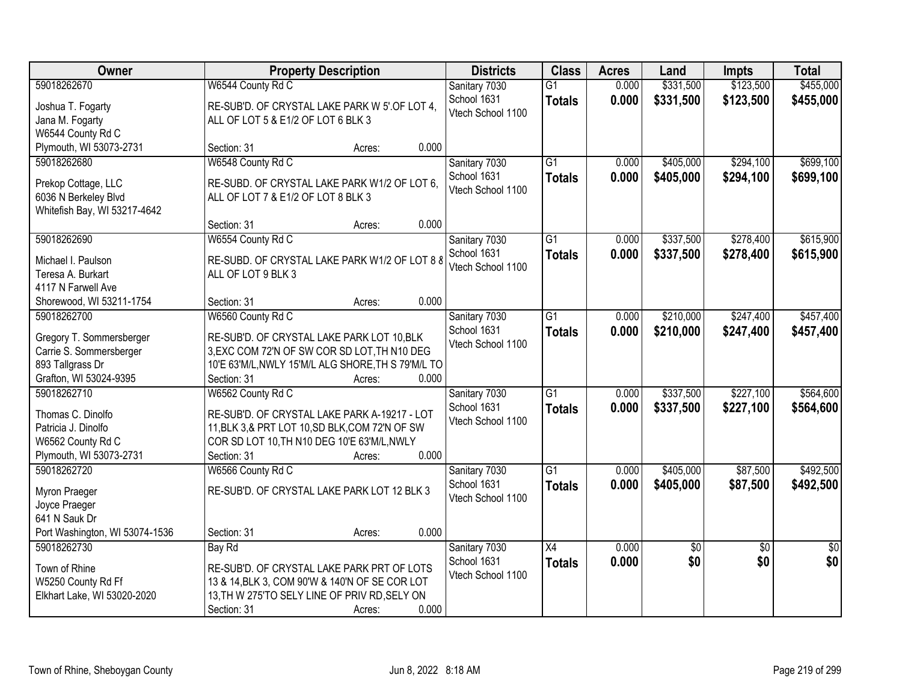| Owner                                                |                                                                                    | <b>Property Description</b> |       | <b>Districts</b>  | <b>Class</b>    | <b>Acres</b> | Land        | <b>Impts</b>    | <b>Total</b>    |
|------------------------------------------------------|------------------------------------------------------------------------------------|-----------------------------|-------|-------------------|-----------------|--------------|-------------|-----------------|-----------------|
| 59018262670                                          | W6544 County Rd C                                                                  |                             |       | Sanitary 7030     | $\overline{G1}$ | 0.000        | \$331,500   | \$123,500       | \$455,000       |
| Joshua T. Fogarty                                    | RE-SUB'D. OF CRYSTAL LAKE PARK W 5' OF LOT 4,                                      |                             |       | School 1631       | <b>Totals</b>   | 0.000        | \$331,500   | \$123,500       | \$455,000       |
| Jana M. Fogarty                                      | ALL OF LOT 5 & E1/2 OF LOT 6 BLK 3                                                 |                             |       | Vtech School 1100 |                 |              |             |                 |                 |
| W6544 County Rd C                                    |                                                                                    |                             |       |                   |                 |              |             |                 |                 |
| Plymouth, WI 53073-2731                              | Section: 31                                                                        | Acres:                      | 0.000 |                   |                 |              |             |                 |                 |
| 59018262680                                          | W6548 County Rd C                                                                  |                             |       | Sanitary 7030     | $\overline{G1}$ | 0.000        | \$405,000   | \$294,100       | \$699,100       |
|                                                      |                                                                                    |                             |       | School 1631       | <b>Totals</b>   | 0.000        | \$405,000   | \$294,100       | \$699,100       |
| Prekop Cottage, LLC                                  | RE-SUBD. OF CRYSTAL LAKE PARK W1/2 OF LOT 6,<br>ALL OF LOT 7 & E1/2 OF LOT 8 BLK 3 |                             |       | Vtech School 1100 |                 |              |             |                 |                 |
| 6036 N Berkeley Blvd<br>Whitefish Bay, WI 53217-4642 |                                                                                    |                             |       |                   |                 |              |             |                 |                 |
|                                                      | Section: 31                                                                        | Acres:                      | 0.000 |                   |                 |              |             |                 |                 |
| 59018262690                                          | W6554 County Rd C                                                                  |                             |       | Sanitary 7030     | $\overline{G1}$ | 0.000        | \$337,500   | \$278,400       | \$615,900       |
|                                                      |                                                                                    |                             |       | School 1631       | <b>Totals</b>   | 0.000        | \$337,500   | \$278,400       | \$615,900       |
| Michael I. Paulson                                   | RE-SUBD. OF CRYSTAL LAKE PARK W1/2 OF LOT 8 8                                      |                             |       | Vtech School 1100 |                 |              |             |                 |                 |
| Teresa A. Burkart                                    | ALL OF LOT 9 BLK 3                                                                 |                             |       |                   |                 |              |             |                 |                 |
| 4117 N Farwell Ave                                   |                                                                                    |                             |       |                   |                 |              |             |                 |                 |
| Shorewood, WI 53211-1754                             | Section: 31                                                                        | Acres:                      | 0.000 |                   |                 |              |             |                 |                 |
| 59018262700                                          | W6560 County Rd C                                                                  |                             |       | Sanitary 7030     | $\overline{G1}$ | 0.000        | \$210,000   | \$247,400       | \$457,400       |
| Gregory T. Sommersberger                             | RE-SUB'D. OF CRYSTAL LAKE PARK LOT 10, BLK                                         |                             |       | School 1631       | <b>Totals</b>   | 0.000        | \$210,000   | \$247,400       | \$457,400       |
| Carrie S. Sommersberger                              | 3, EXC COM 72'N OF SW COR SD LOT, TH N10 DEG                                       |                             |       | Vtech School 1100 |                 |              |             |                 |                 |
| 893 Tallgrass Dr                                     | 10'E 63'M/L, NWLY 15'M/L ALG SHORE, TH S 79'M/L TO                                 |                             |       |                   |                 |              |             |                 |                 |
| Grafton, WI 53024-9395                               | Section: 31                                                                        | Acres:                      | 0.000 |                   |                 |              |             |                 |                 |
| 59018262710                                          | W6562 County Rd C                                                                  |                             |       | Sanitary 7030     | $\overline{G1}$ | 0.000        | \$337,500   | \$227,100       | \$564,600       |
| Thomas C. Dinolfo                                    | RE-SUB'D. OF CRYSTAL LAKE PARK A-19217 - LOT                                       |                             |       | School 1631       | <b>Totals</b>   | 0.000        | \$337,500   | \$227,100       | \$564,600       |
| Patricia J. Dinolfo                                  | 11, BLK 3, & PRT LOT 10, SD BLK, COM 72'N OF SW                                    |                             |       | Vtech School 1100 |                 |              |             |                 |                 |
| W6562 County Rd C                                    | COR SD LOT 10, TH N10 DEG 10'E 63'M/L, NWLY                                        |                             |       |                   |                 |              |             |                 |                 |
| Plymouth, WI 53073-2731                              | Section: 31                                                                        | Acres:                      | 0.000 |                   |                 |              |             |                 |                 |
| 59018262720                                          | W6566 County Rd C                                                                  |                             |       | Sanitary 7030     | $\overline{G1}$ | 0.000        | \$405,000   | \$87,500        | \$492,500       |
|                                                      |                                                                                    |                             |       | School 1631       | <b>Totals</b>   | 0.000        | \$405,000   | \$87,500        | \$492,500       |
| Myron Praeger                                        | RE-SUB'D. OF CRYSTAL LAKE PARK LOT 12 BLK 3                                        |                             |       | Vtech School 1100 |                 |              |             |                 |                 |
| Joyce Praeger                                        |                                                                                    |                             |       |                   |                 |              |             |                 |                 |
| 641 N Sauk Dr                                        |                                                                                    |                             |       |                   |                 |              |             |                 |                 |
| Port Washington, WI 53074-1536                       | Section: 31                                                                        | Acres:                      | 0.000 |                   |                 |              |             |                 |                 |
| 59018262730                                          | Bay Rd                                                                             |                             |       | Sanitary 7030     | $\overline{X4}$ | 0.000        | $\sqrt{50}$ | $\overline{50}$ | $\overline{50}$ |
| Town of Rhine                                        | RE-SUB'D. OF CRYSTAL LAKE PARK PRT OF LOTS                                         |                             |       | School 1631       | <b>Totals</b>   | 0.000        | \$0         | \$0             | \$0             |
| W5250 County Rd Ff                                   | 13 & 14, BLK 3, COM 90'W & 140'N OF SE COR LOT                                     |                             |       | Vtech School 1100 |                 |              |             |                 |                 |
| Elkhart Lake, WI 53020-2020                          | 13, TH W 275'TO SELY LINE OF PRIV RD, SELY ON                                      |                             |       |                   |                 |              |             |                 |                 |
|                                                      | Section: 31                                                                        | Acres:                      | 0.000 |                   |                 |              |             |                 |                 |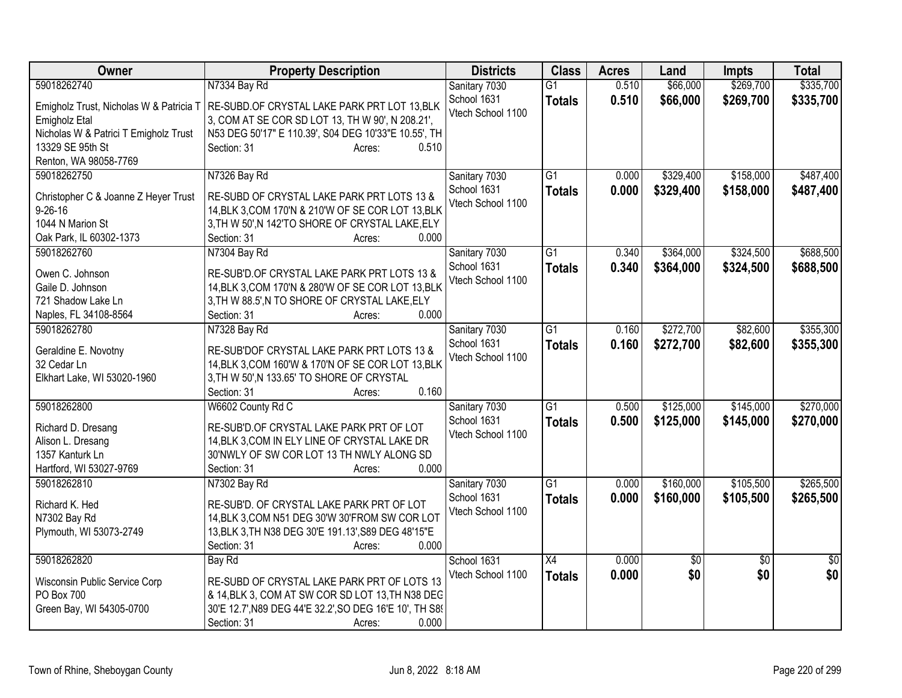| Owner                                   | <b>Property Description</b>                             | <b>Districts</b>                 | <b>Class</b>    | <b>Acres</b> | Land            | <b>Impts</b>    | <b>Total</b>    |
|-----------------------------------------|---------------------------------------------------------|----------------------------------|-----------------|--------------|-----------------|-----------------|-----------------|
| 59018262740                             | N7334 Bay Rd                                            | Sanitary 7030                    | $\overline{G1}$ | 0.510        | \$66,000        | \$269,700       | \$335,700       |
| Emigholz Trust, Nicholas W & Patricia T | RE-SUBD.OF CRYSTAL LAKE PARK PRT LOT 13, BLK            | School 1631                      | <b>Totals</b>   | 0.510        | \$66,000        | \$269,700       | \$335,700       |
| Emigholz Etal                           | 3, COM AT SE COR SD LOT 13, TH W 90', N 208.21',        | Vtech School 1100                |                 |              |                 |                 |                 |
| Nicholas W & Patrici T Emigholz Trust   | N53 DEG 50'17" E 110.39', S04 DEG 10'33"E 10.55', TH    |                                  |                 |              |                 |                 |                 |
| 13329 SE 95th St                        | Section: 31<br>0.510<br>Acres:                          |                                  |                 |              |                 |                 |                 |
| Renton, WA 98058-7769                   |                                                         |                                  |                 |              |                 |                 |                 |
| 59018262750                             | N7326 Bay Rd                                            | Sanitary 7030                    | $\overline{G1}$ | 0.000        | \$329,400       | \$158,000       | \$487,400       |
| Christopher C & Joanne Z Heyer Trust    | RE-SUBD OF CRYSTAL LAKE PARK PRT LOTS 13 &              | School 1631                      | <b>Totals</b>   | 0.000        | \$329,400       | \$158,000       | \$487,400       |
| $9 - 26 - 16$                           | 14, BLK 3, COM 170'N & 210'W OF SE COR LOT 13, BLK      | Vtech School 1100                |                 |              |                 |                 |                 |
| 1044 N Marion St                        | 3, TH W 50', N 142'TO SHORE OF CRYSTAL LAKE, ELY        |                                  |                 |              |                 |                 |                 |
| Oak Park, IL 60302-1373                 | 0.000<br>Section: 31<br>Acres:                          |                                  |                 |              |                 |                 |                 |
| 59018262760                             | N7304 Bay Rd                                            | Sanitary 7030                    | $\overline{G1}$ | 0.340        | \$364,000       | \$324,500       | \$688,500       |
|                                         |                                                         | School 1631                      | <b>Totals</b>   | 0.340        | \$364,000       | \$324,500       | \$688,500       |
| Owen C. Johnson                         | RE-SUB'D.OF CRYSTAL LAKE PARK PRT LOTS 13 &             | Vtech School 1100                |                 |              |                 |                 |                 |
| Gaile D. Johnson                        | 14, BLK 3, COM 170'N & 280'W OF SE COR LOT 13, BLK      |                                  |                 |              |                 |                 |                 |
| 721 Shadow Lake Ln                      | 3, TH W 88.5', N TO SHORE OF CRYSTAL LAKE, ELY          |                                  |                 |              |                 |                 |                 |
| Naples, FL 34108-8564                   | 0.000<br>Section: 31<br>Acres:                          |                                  |                 |              |                 |                 |                 |
| 59018262780                             | N7328 Bay Rd                                            | Sanitary 7030                    | $\overline{G1}$ | 0.160        | \$272,700       | \$82,600        | \$355,300       |
| Geraldine E. Novotny                    | RE-SUB'DOF CRYSTAL LAKE PARK PRT LOTS 13 &              | School 1631<br>Vtech School 1100 | <b>Totals</b>   | 0.160        | \$272,700       | \$82,600        | \$355,300       |
| 32 Cedar Ln                             | 14, BLK 3, COM 160'W & 170'N OF SE COR LOT 13, BLK      |                                  |                 |              |                 |                 |                 |
| Elkhart Lake, WI 53020-1960             | 3, TH W 50', N 133.65' TO SHORE OF CRYSTAL              |                                  |                 |              |                 |                 |                 |
|                                         | 0.160<br>Section: 31<br>Acres:                          |                                  |                 |              |                 |                 |                 |
| 59018262800                             | W6602 County Rd C                                       | Sanitary 7030                    | G1              | 0.500        | \$125,000       | \$145,000       | \$270,000       |
| Richard D. Dresang                      | RE-SUB'D.OF CRYSTAL LAKE PARK PRT OF LOT                | School 1631                      | <b>Totals</b>   | 0.500        | \$125,000       | \$145,000       | \$270,000       |
| Alison L. Dresang                       | 14, BLK 3, COM IN ELY LINE OF CRYSTAL LAKE DR           | Vtech School 1100                |                 |              |                 |                 |                 |
| 1357 Kanturk Ln                         | 30'NWLY OF SW COR LOT 13 TH NWLY ALONG SD               |                                  |                 |              |                 |                 |                 |
| Hartford, WI 53027-9769                 | 0.000<br>Section: 31<br>Acres:                          |                                  |                 |              |                 |                 |                 |
| 59018262810                             | N7302 Bay Rd                                            | Sanitary 7030                    | $\overline{G1}$ | 0.000        | \$160,000       | \$105,500       | \$265,500       |
|                                         |                                                         | School 1631                      | <b>Totals</b>   | 0.000        | \$160,000       | \$105,500       | \$265,500       |
| Richard K. Hed                          | RE-SUB'D. OF CRYSTAL LAKE PARK PRT OF LOT               | Vtech School 1100                |                 |              |                 |                 |                 |
| N7302 Bay Rd                            | 14, BLK 3, COM N51 DEG 30'W 30'FROM SW COR LOT          |                                  |                 |              |                 |                 |                 |
| Plymouth, WI 53073-2749                 | 13, BLK 3, TH N38 DEG 30'E 191.13', S89 DEG 48'15"E     |                                  |                 |              |                 |                 |                 |
|                                         | 0.000<br>Section: 31<br>Acres:                          |                                  |                 |              |                 |                 |                 |
| 59018262820                             | Bay Rd                                                  | School 1631                      | $\overline{X4}$ | 0.000        | $\overline{60}$ | $\overline{30}$ | $\overline{50}$ |
| Wisconsin Public Service Corp           | RE-SUBD OF CRYSTAL LAKE PARK PRT OF LOTS 13             | Vtech School 1100                | <b>Totals</b>   | 0.000        | \$0             | \$0             | \$0             |
| <b>PO Box 700</b>                       | & 14, BLK 3, COM AT SW COR SD LOT 13, TH N38 DEG        |                                  |                 |              |                 |                 |                 |
| Green Bay, WI 54305-0700                | 30'E 12.7', N89 DEG 44'E 32.2', SO DEG 16'E 10', TH S89 |                                  |                 |              |                 |                 |                 |
|                                         | 0.000<br>Section: 31<br>Acres:                          |                                  |                 |              |                 |                 |                 |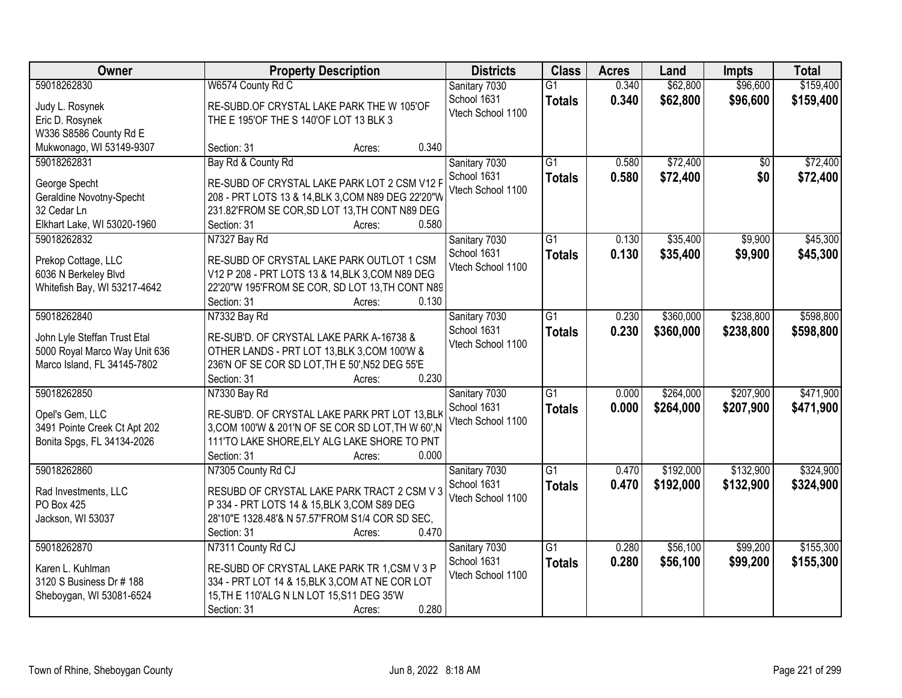| Owner                         | <b>Property Description</b>                                             | <b>Districts</b>  | <b>Class</b>    | <b>Acres</b> | Land      | <b>Impts</b> | <b>Total</b> |
|-------------------------------|-------------------------------------------------------------------------|-------------------|-----------------|--------------|-----------|--------------|--------------|
| 59018262830                   | W6574 County Rd C                                                       | Sanitary 7030     | $\overline{G1}$ | 0.340        | \$62,800  | \$96,600     | \$159,400    |
| Judy L. Rosynek               | RE-SUBD.OF CRYSTAL LAKE PARK THE W 105'OF                               | School 1631       | <b>Totals</b>   | 0.340        | \$62,800  | \$96,600     | \$159,400    |
| Eric D. Rosynek               | THE E 195'OF THE S 140'OF LOT 13 BLK 3                                  | Vtech School 1100 |                 |              |           |              |              |
| W336 S8586 County Rd E        |                                                                         |                   |                 |              |           |              |              |
| Mukwonago, WI 53149-9307      | 0.340<br>Section: 31<br>Acres:                                          |                   |                 |              |           |              |              |
| 59018262831                   | Bay Rd & County Rd                                                      | Sanitary 7030     | $\overline{G1}$ | 0.580        | \$72,400  | \$0          | \$72,400     |
| George Specht                 | RE-SUBD OF CRYSTAL LAKE PARK LOT 2 CSM V12 F                            | School 1631       | <b>Totals</b>   | 0.580        | \$72,400  | \$0          | \$72,400     |
| Geraldine Novotny-Specht      | 208 - PRT LOTS 13 & 14, BLK 3, COM N89 DEG 22'20"W                      | Vtech School 1100 |                 |              |           |              |              |
| 32 Cedar Ln                   | 231.82'FROM SE COR, SD LOT 13, TH CONT N89 DEG                          |                   |                 |              |           |              |              |
| Elkhart Lake, WI 53020-1960   | 0.580<br>Section: 31<br>Acres:                                          |                   |                 |              |           |              |              |
| 59018262832                   | N7327 Bay Rd                                                            | Sanitary 7030     | G1              | 0.130        | \$35,400  | \$9,900      | \$45,300     |
|                               |                                                                         | School 1631       | <b>Totals</b>   | 0.130        | \$35,400  | \$9,900      | \$45,300     |
| Prekop Cottage, LLC           | RE-SUBD OF CRYSTAL LAKE PARK OUTLOT 1 CSM                               | Vtech School 1100 |                 |              |           |              |              |
| 6036 N Berkeley Blvd          | V12 P 208 - PRT LOTS 13 & 14, BLK 3, COM N89 DEG                        |                   |                 |              |           |              |              |
| Whitefish Bay, WI 53217-4642  | 22'20"W 195'FROM SE COR, SD LOT 13, TH CONT N89                         |                   |                 |              |           |              |              |
|                               | 0.130<br>Section: 31<br>Acres:                                          |                   |                 |              |           |              |              |
| 59018262840                   | N7332 Bay Rd                                                            | Sanitary 7030     | G1              | 0.230        | \$360,000 | \$238,800    | \$598,800    |
| John Lyle Steffan Trust Etal  | RE-SUB'D. OF CRYSTAL LAKE PARK A-16738 &                                | School 1631       | <b>Totals</b>   | 0.230        | \$360,000 | \$238,800    | \$598,800    |
| 5000 Royal Marco Way Unit 636 | OTHER LANDS - PRT LOT 13, BLK 3, COM 100'W &                            | Vtech School 1100 |                 |              |           |              |              |
| Marco Island, FL 34145-7802   | 236'N OF SE COR SD LOT, TH E 50', N52 DEG 55'E                          |                   |                 |              |           |              |              |
|                               | 0.230<br>Section: 31<br>Acres:                                          |                   |                 |              |           |              |              |
| 59018262850                   | N7330 Bay Rd                                                            | Sanitary 7030     | $\overline{G1}$ | 0.000        | \$264,000 | \$207,900    | \$471,900    |
| Opel's Gem, LLC               | RE-SUB'D. OF CRYSTAL LAKE PARK PRT LOT 13, BLK                          | School 1631       | <b>Totals</b>   | 0.000        | \$264,000 | \$207,900    | \$471,900    |
| 3491 Pointe Creek Ct Apt 202  | 3, COM 100'W & 201'N OF SE COR SD LOT, TH W 60', N                      | Vtech School 1100 |                 |              |           |              |              |
| Bonita Spgs, FL 34134-2026    | 111'TO LAKE SHORE, ELY ALG LAKE SHORE TO PNT                            |                   |                 |              |           |              |              |
|                               | 0.000<br>Section: 31<br>Acres:                                          |                   |                 |              |           |              |              |
| 59018262860                   | N7305 County Rd CJ                                                      | Sanitary 7030     | $\overline{G1}$ | 0.470        | \$192,000 | \$132,900    | \$324,900    |
|                               |                                                                         | School 1631       | <b>Totals</b>   | 0.470        | \$192,000 | \$132,900    | \$324,900    |
| Rad Investments, LLC          | RESUBD OF CRYSTAL LAKE PARK TRACT 2 CSM V 3                             | Vtech School 1100 |                 |              |           |              |              |
| PO Box 425                    | P 334 - PRT LOTS 14 & 15, BLK 3, COM S89 DEG                            |                   |                 |              |           |              |              |
| Jackson, WI 53037             | 28'10"E 1328.48'& N 57.57'FROM S1/4 COR SD SEC,<br>0.470<br>Section: 31 |                   |                 |              |           |              |              |
| 59018262870                   | Acres:<br>N7311 County Rd CJ                                            | Sanitary 7030     | $\overline{G1}$ | 0.280        | \$56,100  | \$99,200     | \$155,300    |
|                               |                                                                         | School 1631       |                 | 0.280        |           | \$99,200     |              |
| Karen L. Kuhlman              | RE-SUBD OF CRYSTAL LAKE PARK TR 1,CSM V 3 P                             | Vtech School 1100 | <b>Totals</b>   |              | \$56,100  |              | \$155,300    |
| 3120 S Business Dr # 188      | 334 - PRT LOT 14 & 15, BLK 3, COM AT NE COR LOT                         |                   |                 |              |           |              |              |
| Sheboygan, WI 53081-6524      | 15, TH E 110'ALG N LN LOT 15, S11 DEG 35'W                              |                   |                 |              |           |              |              |
|                               | 0.280<br>Section: 31<br>Acres:                                          |                   |                 |              |           |              |              |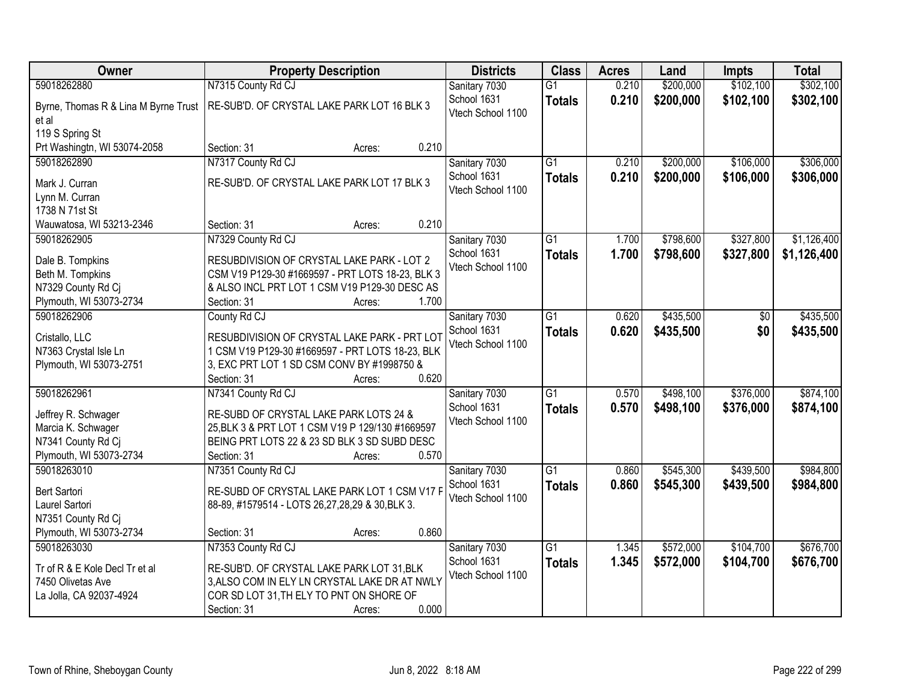| Owner                                     | <b>Property Description</b>                                                                      |                 | <b>Districts</b>  | <b>Class</b>    | <b>Acres</b> | Land      | <b>Impts</b> | <b>Total</b> |
|-------------------------------------------|--------------------------------------------------------------------------------------------------|-----------------|-------------------|-----------------|--------------|-----------|--------------|--------------|
| 59018262880                               | N7315 County Rd CJ                                                                               |                 | Sanitary 7030     | $\overline{G1}$ | 0.210        | \$200,000 | \$102,100    | \$302,100    |
| Byrne, Thomas R & Lina M Byrne Trust      | RE-SUB'D. OF CRYSTAL LAKE PARK LOT 16 BLK 3                                                      |                 | School 1631       | <b>Totals</b>   | 0.210        | \$200,000 | \$102,100    | \$302,100    |
| et al                                     |                                                                                                  |                 | Vtech School 1100 |                 |              |           |              |              |
| 119 S Spring St                           |                                                                                                  |                 |                   |                 |              |           |              |              |
| Prt Washingtn, WI 53074-2058              | Section: 31                                                                                      | 0.210<br>Acres: |                   |                 |              |           |              |              |
| 59018262890                               | N7317 County Rd CJ                                                                               |                 | Sanitary 7030     | $\overline{G1}$ | 0.210        | \$200,000 | \$106,000    | \$306,000    |
| Mark J. Curran                            | RE-SUB'D. OF CRYSTAL LAKE PARK LOT 17 BLK 3                                                      |                 | School 1631       | <b>Totals</b>   | 0.210        | \$200,000 | \$106,000    | \$306,000    |
| Lynn M. Curran                            |                                                                                                  |                 | Vtech School 1100 |                 |              |           |              |              |
| 1738 N 71st St                            |                                                                                                  |                 |                   |                 |              |           |              |              |
| Wauwatosa, WI 53213-2346                  | Section: 31                                                                                      | 0.210<br>Acres: |                   |                 |              |           |              |              |
| 59018262905                               | N7329 County Rd CJ                                                                               |                 | Sanitary 7030     | G1              | 1.700        | \$798,600 | \$327,800    | \$1,126,400  |
| Dale B. Tompkins                          | RESUBDIVISION OF CRYSTAL LAKE PARK - LOT 2                                                       |                 | School 1631       | <b>Totals</b>   | 1.700        | \$798,600 | \$327,800    | \$1,126,400  |
| Beth M. Tompkins                          | CSM V19 P129-30 #1669597 - PRT LOTS 18-23, BLK 3                                                 |                 | Vtech School 1100 |                 |              |           |              |              |
| N7329 County Rd Cj                        | & ALSO INCL PRT LOT 1 CSM V19 P129-30 DESC AS                                                    |                 |                   |                 |              |           |              |              |
| Plymouth, WI 53073-2734                   | Section: 31                                                                                      | 1.700<br>Acres: |                   |                 |              |           |              |              |
| 59018262906                               | County Rd CJ                                                                                     |                 | Sanitary 7030     | G1              | 0.620        | \$435,500 | $\sqrt[6]{}$ | \$435,500    |
|                                           |                                                                                                  |                 | School 1631       | <b>Totals</b>   | 0.620        | \$435,500 | \$0          | \$435,500    |
| Cristallo, LLC<br>N7363 Crystal Isle Ln   | RESUBDIVISION OF CRYSTAL LAKE PARK - PRT LOT<br>1 CSM V19 P129-30 #1669597 - PRT LOTS 18-23, BLK |                 | Vtech School 1100 |                 |              |           |              |              |
| Plymouth, WI 53073-2751                   | 3, EXC PRT LOT 1 SD CSM CONV BY #1998750 &                                                       |                 |                   |                 |              |           |              |              |
|                                           | Section: 31                                                                                      | 0.620<br>Acres: |                   |                 |              |           |              |              |
| 59018262961                               | N7341 County Rd CJ                                                                               |                 | Sanitary 7030     | $\overline{G1}$ | 0.570        | \$498,100 | \$376,000    | \$874,100    |
|                                           |                                                                                                  |                 | School 1631       | <b>Totals</b>   | 0.570        | \$498,100 | \$376,000    | \$874,100    |
| Jeffrey R. Schwager<br>Marcia K. Schwager | RE-SUBD OF CRYSTAL LAKE PARK LOTS 24 &<br>25, BLK 3 & PRT LOT 1 CSM V19 P 129/130 #1669597       |                 | Vtech School 1100 |                 |              |           |              |              |
| N7341 County Rd Cj                        | BEING PRT LOTS 22 & 23 SD BLK 3 SD SUBD DESC                                                     |                 |                   |                 |              |           |              |              |
| Plymouth, WI 53073-2734                   | Section: 31                                                                                      | 0.570<br>Acres: |                   |                 |              |           |              |              |
| 59018263010                               | N7351 County Rd CJ                                                                               |                 | Sanitary 7030     | $\overline{G1}$ | 0.860        | \$545,300 | \$439,500    | \$984,800    |
|                                           |                                                                                                  |                 | School 1631       | <b>Totals</b>   | 0.860        | \$545,300 | \$439,500    | \$984,800    |
| <b>Bert Sartori</b>                       | RE-SUBD OF CRYSTAL LAKE PARK LOT 1 CSM V17 F                                                     |                 | Vtech School 1100 |                 |              |           |              |              |
| Laurel Sartori<br>N7351 County Rd Cj      | 88-89, #1579514 - LOTS 26,27,28,29 & 30,BLK 3.                                                   |                 |                   |                 |              |           |              |              |
| Plymouth, WI 53073-2734                   | Section: 31                                                                                      | 0.860<br>Acres: |                   |                 |              |           |              |              |
| 59018263030                               | N7353 County Rd CJ                                                                               |                 | Sanitary 7030     | $\overline{G1}$ | 1.345        | \$572,000 | \$104,700    | \$676,700    |
|                                           |                                                                                                  |                 | School 1631       | <b>Totals</b>   | 1.345        | \$572,000 | \$104,700    | \$676,700    |
| Tr of R & E Kole Decl Tr et al            | RE-SUB'D. OF CRYSTAL LAKE PARK LOT 31, BLK                                                       |                 | Vtech School 1100 |                 |              |           |              |              |
| 7450 Olivetas Ave                         | 3, ALSO COM IN ELY LN CRYSTAL LAKE DR AT NWLY                                                    |                 |                   |                 |              |           |              |              |
| La Jolla, CA 92037-4924                   | COR SD LOT 31, TH ELY TO PNT ON SHORE OF                                                         |                 |                   |                 |              |           |              |              |
|                                           | Section: 31                                                                                      | 0.000<br>Acres: |                   |                 |              |           |              |              |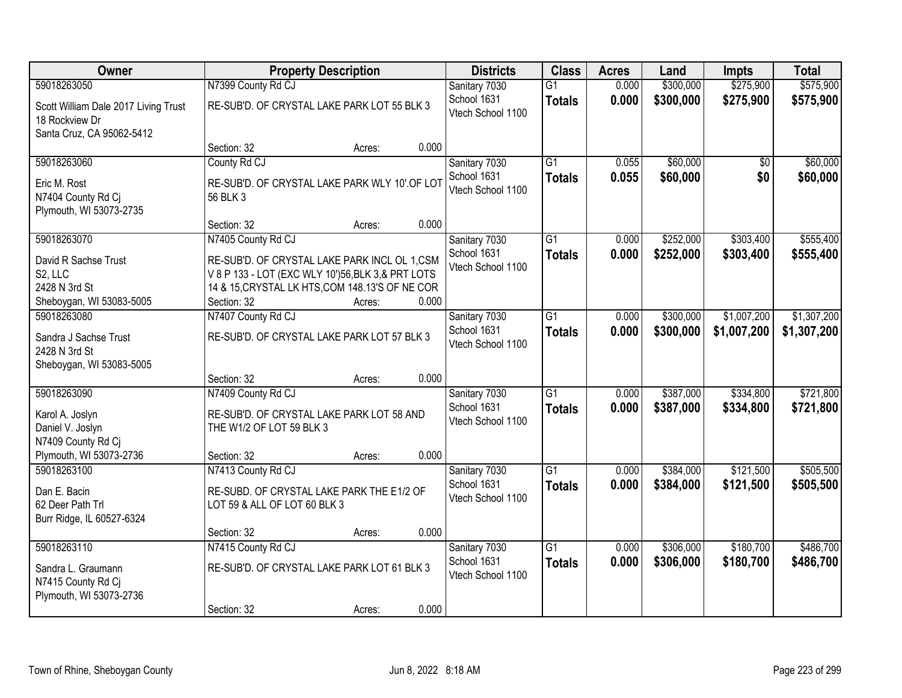| Owner                                                                               |                                                                                                                                                                      | <b>Property Description</b> |       | <b>Districts</b>                                  | <b>Class</b>                     | <b>Acres</b>   | Land                   | <b>Impts</b>           | <b>Total</b>           |
|-------------------------------------------------------------------------------------|----------------------------------------------------------------------------------------------------------------------------------------------------------------------|-----------------------------|-------|---------------------------------------------------|----------------------------------|----------------|------------------------|------------------------|------------------------|
| 59018263050                                                                         | N7399 County Rd CJ                                                                                                                                                   |                             |       | Sanitary 7030                                     | $\overline{G1}$                  | 0.000          | \$300,000              | \$275,900              | \$575,900              |
| Scott William Dale 2017 Living Trust<br>18 Rockview Dr<br>Santa Cruz, CA 95062-5412 | RE-SUB'D. OF CRYSTAL LAKE PARK LOT 55 BLK 3                                                                                                                          |                             |       | School 1631<br>Vtech School 1100                  | <b>Totals</b>                    | 0.000          | \$300,000              | \$275,900              | \$575,900              |
|                                                                                     | Section: 32                                                                                                                                                          | Acres:                      | 0.000 |                                                   |                                  |                |                        |                        |                        |
| 59018263060                                                                         | County Rd CJ                                                                                                                                                         |                             |       | Sanitary 7030                                     | $\overline{G1}$                  | 0.055          | \$60,000               | \$0                    | \$60,000               |
| Eric M. Rost<br>N7404 County Rd Cj<br>Plymouth, WI 53073-2735                       | RE-SUB'D. OF CRYSTAL LAKE PARK WLY 10' OF LOT<br>56 BLK 3                                                                                                            |                             |       | School 1631<br>Vtech School 1100                  | <b>Totals</b>                    | 0.055          | \$60,000               | \$0                    | \$60,000               |
|                                                                                     | Section: 32                                                                                                                                                          | Acres:                      | 0.000 |                                                   |                                  |                |                        |                        |                        |
| 59018263070                                                                         | N7405 County Rd CJ                                                                                                                                                   |                             |       | Sanitary 7030                                     | $\overline{G1}$                  | 0.000          | \$252,000              | \$303,400              | \$555,400              |
| David R Sachse Trust<br>S2, LLC<br>2428 N 3rd St<br>Sheboygan, WI 53083-5005        | RE-SUB'D. OF CRYSTAL LAKE PARK INCL OL 1,CSM<br>V 8 P 133 - LOT (EXC WLY 10')56, BLK 3, & PRT LOTS<br>14 & 15, CRYSTAL LK HTS, COM 148.13'S OF NE COR<br>Section: 32 | Acres:                      | 0.000 | School 1631<br>Vtech School 1100                  | <b>Totals</b>                    | 0.000          | \$252,000              | \$303,400              | \$555,400              |
| 59018263080                                                                         | N7407 County Rd CJ                                                                                                                                                   |                             |       | Sanitary 7030                                     | $\overline{G1}$                  | 0.000          | \$300,000              | \$1,007,200            | \$1,307,200            |
| Sandra J Sachse Trust<br>2428 N 3rd St<br>Sheboygan, WI 53083-5005                  | RE-SUB'D. OF CRYSTAL LAKE PARK LOT 57 BLK 3                                                                                                                          |                             |       | School 1631<br>Vtech School 1100                  | <b>Totals</b>                    | 0.000          | \$300,000              | \$1,007,200            | \$1,307,200            |
|                                                                                     | Section: 32                                                                                                                                                          | Acres:                      | 0.000 |                                                   |                                  |                |                        |                        |                        |
| 59018263090<br>Karol A. Joslyn<br>Daniel V. Joslyn<br>N7409 County Rd Ci            | N7409 County Rd CJ<br>RE-SUB'D. OF CRYSTAL LAKE PARK LOT 58 AND<br>THE W1/2 OF LOT 59 BLK 3                                                                          |                             |       | Sanitary 7030<br>School 1631<br>Vtech School 1100 | $\overline{G1}$<br><b>Totals</b> | 0.000<br>0.000 | \$387,000<br>\$387,000 | \$334,800<br>\$334,800 | \$721,800<br>\$721,800 |
| Plymouth, WI 53073-2736                                                             | Section: 32                                                                                                                                                          | Acres:                      | 0.000 |                                                   |                                  |                |                        |                        |                        |
| 59018263100                                                                         | N7413 County Rd CJ                                                                                                                                                   |                             |       | Sanitary 7030                                     | $\overline{G1}$                  | 0.000          | \$384,000              | \$121,500              | \$505,500              |
| Dan E. Bacin<br>62 Deer Path Trl<br>Burr Ridge, IL 60527-6324                       | RE-SUBD. OF CRYSTAL LAKE PARK THE E1/2 OF<br>LOT 59 & ALL OF LOT 60 BLK 3                                                                                            |                             |       | School 1631<br>Vtech School 1100                  | <b>Totals</b>                    | 0.000          | \$384,000              | \$121,500              | \$505,500              |
|                                                                                     | Section: 32                                                                                                                                                          | Acres:                      | 0.000 |                                                   |                                  |                |                        |                        |                        |
| 59018263110                                                                         | N7415 County Rd CJ                                                                                                                                                   |                             |       | Sanitary 7030                                     | $\overline{G1}$                  | 0.000          | \$306,000              | \$180,700              | \$486,700              |
| Sandra L. Graumann<br>N7415 County Rd Cj<br>Plymouth, WI 53073-2736                 | RE-SUB'D. OF CRYSTAL LAKE PARK LOT 61 BLK 3                                                                                                                          |                             |       | School 1631<br>Vtech School 1100                  | <b>Totals</b>                    | 0.000          | \$306,000              | \$180,700              | \$486,700              |
|                                                                                     | Section: 32                                                                                                                                                          | Acres:                      | 0.000 |                                                   |                                  |                |                        |                        |                        |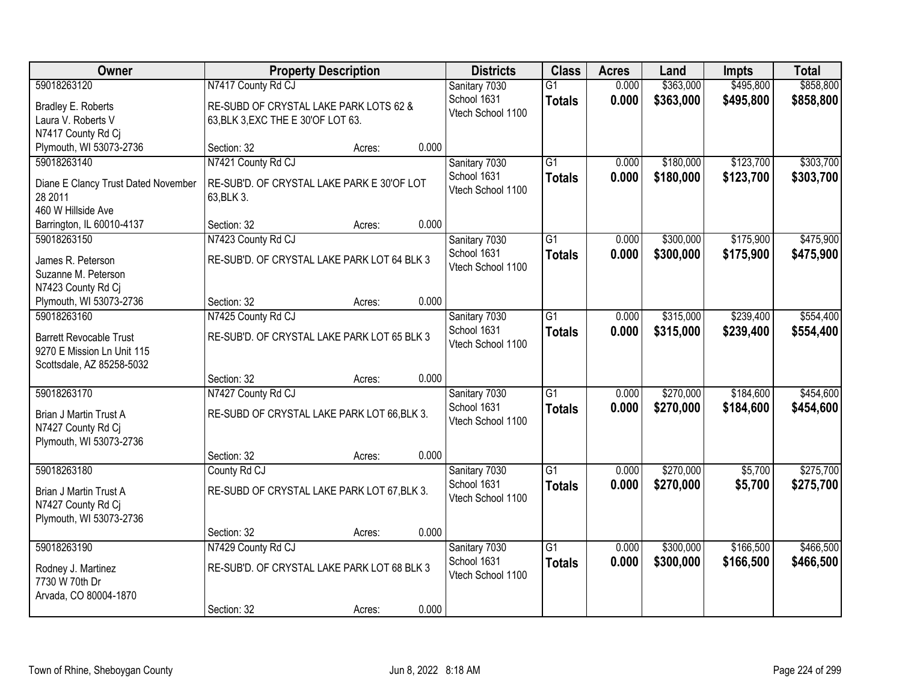| Owner                                                   |                                             | <b>Property Description</b> |       | <b>Districts</b>             | <b>Class</b>    | <b>Acres</b> | Land      | <b>Impts</b> | <b>Total</b> |
|---------------------------------------------------------|---------------------------------------------|-----------------------------|-------|------------------------------|-----------------|--------------|-----------|--------------|--------------|
| 59018263120                                             | N7417 County Rd CJ                          |                             |       | Sanitary 7030                | $\overline{G1}$ | 0.000        | \$363,000 | \$495,800    | \$858,800    |
| Bradley E. Roberts                                      | RE-SUBD OF CRYSTAL LAKE PARK LOTS 62 &      |                             |       | School 1631                  | <b>Totals</b>   | 0.000        | \$363,000 | \$495,800    | \$858,800    |
| Laura V. Roberts V                                      | 63, BLK 3, EXC THE E 30'OF LOT 63.          |                             |       | Vtech School 1100            |                 |              |           |              |              |
| N7417 County Rd Cj                                      |                                             |                             |       |                              |                 |              |           |              |              |
| Plymouth, WI 53073-2736                                 | Section: 32                                 | Acres:                      | 0.000 |                              |                 |              |           |              |              |
| 59018263140                                             | N7421 County Rd CJ                          |                             |       | Sanitary 7030                | $\overline{G1}$ | 0.000        | \$180,000 | \$123,700    | \$303,700    |
| Diane E Clancy Trust Dated November                     | RE-SUB'D. OF CRYSTAL LAKE PARK E 30'OF LOT  |                             |       | School 1631                  | <b>Totals</b>   | 0.000        | \$180,000 | \$123,700    | \$303,700    |
| 28 2011                                                 | 63, BLK 3.                                  |                             |       | Vtech School 1100            |                 |              |           |              |              |
| 460 W Hillside Ave                                      |                                             |                             |       |                              |                 |              |           |              |              |
| Barrington, IL 60010-4137                               | Section: 32                                 | Acres:                      | 0.000 |                              |                 |              |           |              |              |
| 59018263150                                             | N7423 County Rd CJ                          |                             |       | Sanitary 7030                | $\overline{G1}$ | 0.000        | \$300,000 | \$175,900    | \$475,900    |
|                                                         |                                             |                             |       | School 1631                  | <b>Totals</b>   | 0.000        | \$300,000 | \$175,900    | \$475,900    |
| James R. Peterson<br>Suzanne M. Peterson                | RE-SUB'D. OF CRYSTAL LAKE PARK LOT 64 BLK 3 |                             |       | Vtech School 1100            |                 |              |           |              |              |
| N7423 County Rd Cj                                      |                                             |                             |       |                              |                 |              |           |              |              |
| Plymouth, WI 53073-2736                                 | Section: 32                                 | Acres:                      | 0.000 |                              |                 |              |           |              |              |
| 59018263160                                             | N7425 County Rd CJ                          |                             |       | Sanitary 7030                | $\overline{G1}$ | 0.000        | \$315,000 | \$239,400    | \$554,400    |
|                                                         |                                             |                             |       | School 1631                  | <b>Totals</b>   | 0.000        | \$315,000 | \$239,400    | \$554,400    |
| <b>Barrett Revocable Trust</b>                          | RE-SUB'D. OF CRYSTAL LAKE PARK LOT 65 BLK 3 |                             |       | Vtech School 1100            |                 |              |           |              |              |
| 9270 E Mission Ln Unit 115<br>Scottsdale, AZ 85258-5032 |                                             |                             |       |                              |                 |              |           |              |              |
|                                                         | Section: 32                                 | Acres:                      | 0.000 |                              |                 |              |           |              |              |
| 59018263170                                             | N7427 County Rd CJ                          |                             |       | Sanitary 7030                | $\overline{G1}$ | 0.000        | \$270,000 | \$184,600    | \$454,600    |
|                                                         |                                             |                             |       | School 1631                  | <b>Totals</b>   | 0.000        | \$270,000 | \$184,600    | \$454,600    |
| Brian J Martin Trust A                                  | RE-SUBD OF CRYSTAL LAKE PARK LOT 66, BLK 3. |                             |       | Vtech School 1100            |                 |              |           |              |              |
| N7427 County Rd Cj                                      |                                             |                             |       |                              |                 |              |           |              |              |
| Plymouth, WI 53073-2736                                 | Section: 32                                 |                             | 0.000 |                              |                 |              |           |              |              |
| 59018263180                                             | County Rd CJ                                | Acres:                      |       | Sanitary 7030                | $\overline{G1}$ | 0.000        | \$270,000 | \$5,700      | \$275,700    |
|                                                         |                                             |                             |       | School 1631                  | <b>Totals</b>   | 0.000        | \$270,000 | \$5,700      | \$275,700    |
| Brian J Martin Trust A                                  | RE-SUBD OF CRYSTAL LAKE PARK LOT 67, BLK 3. |                             |       | Vtech School 1100            |                 |              |           |              |              |
| N7427 County Rd Cj                                      |                                             |                             |       |                              |                 |              |           |              |              |
| Plymouth, WI 53073-2736                                 |                                             |                             |       |                              |                 |              |           |              |              |
| 59018263190                                             | Section: 32                                 | Acres:                      | 0.000 |                              | $\overline{G1}$ | 0.000        | \$300,000 | \$166,500    | \$466,500    |
|                                                         | N7429 County Rd CJ                          |                             |       | Sanitary 7030<br>School 1631 |                 | 0.000        | \$300,000 |              |              |
| Rodney J. Martinez                                      | RE-SUB'D. OF CRYSTAL LAKE PARK LOT 68 BLK 3 |                             |       | Vtech School 1100            | <b>Totals</b>   |              |           | \$166,500    | \$466,500    |
| 7730 W 70th Dr                                          |                                             |                             |       |                              |                 |              |           |              |              |
| Arvada, CO 80004-1870                                   |                                             |                             |       |                              |                 |              |           |              |              |
|                                                         | Section: 32                                 | Acres:                      | 0.000 |                              |                 |              |           |              |              |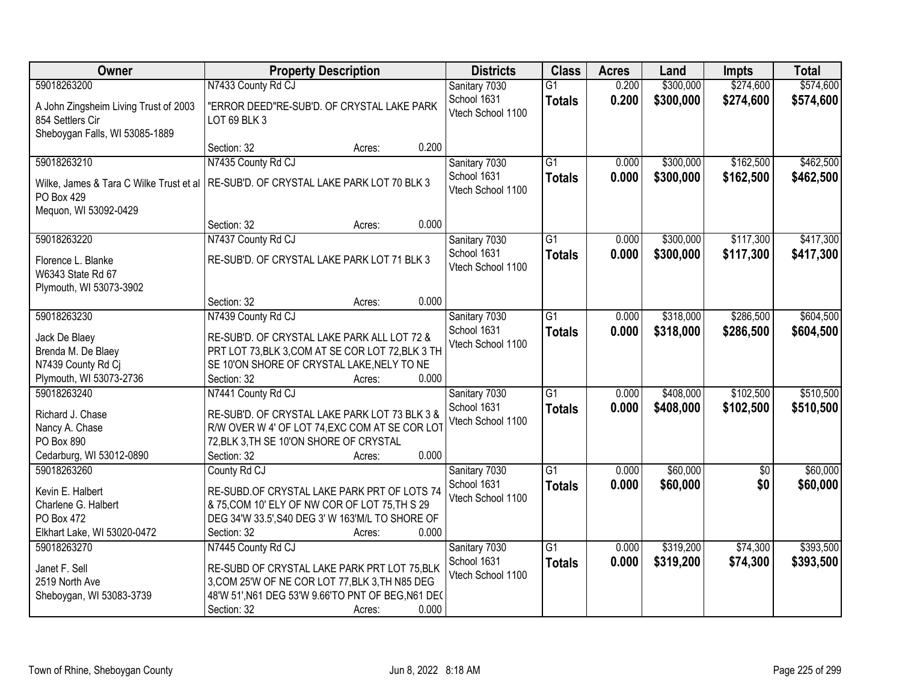| Owner                                                                                       | <b>Property Description</b>                                                                        | <b>Districts</b>                 | <b>Class</b>    | <b>Acres</b> | Land      | <b>Impts</b> | <b>Total</b> |
|---------------------------------------------------------------------------------------------|----------------------------------------------------------------------------------------------------|----------------------------------|-----------------|--------------|-----------|--------------|--------------|
| 59018263200                                                                                 | N7433 County Rd CJ                                                                                 | Sanitary 7030                    | $\overline{G1}$ | 0.200        | \$300,000 | \$274,600    | \$574,600    |
| A John Zingsheim Living Trust of 2003<br>854 Settlers Cir<br>Sheboygan Falls, WI 53085-1889 | "ERROR DEED"RE-SUB'D. OF CRYSTAL LAKE PARK<br>LOT 69 BLK 3                                         | School 1631<br>Vtech School 1100 | <b>Totals</b>   | 0.200        | \$300,000 | \$274,600    | \$574,600    |
|                                                                                             | 0.200<br>Section: 32<br>Acres:                                                                     |                                  |                 |              |           |              |              |
| 59018263210                                                                                 | N7435 County Rd CJ                                                                                 | Sanitary 7030                    | $\overline{G1}$ | 0.000        | \$300,000 | \$162,500    | \$462,500    |
| Wilke, James & Tara C Wilke Trust et al<br>PO Box 429                                       | RE-SUB'D. OF CRYSTAL LAKE PARK LOT 70 BLK 3                                                        | School 1631<br>Vtech School 1100 | <b>Totals</b>   | 0.000        | \$300,000 | \$162,500    | \$462,500    |
| Mequon, WI 53092-0429                                                                       | 0.000<br>Section: 32<br>Acres:                                                                     |                                  |                 |              |           |              |              |
| 59018263220                                                                                 | N7437 County Rd CJ                                                                                 | Sanitary 7030                    | $\overline{G1}$ | 0.000        | \$300,000 | \$117,300    | \$417,300    |
| Florence L. Blanke<br>W6343 State Rd 67<br>Plymouth, WI 53073-3902                          | RE-SUB'D. OF CRYSTAL LAKE PARK LOT 71 BLK 3                                                        | School 1631<br>Vtech School 1100 | <b>Totals</b>   | 0.000        | \$300,000 | \$117,300    | \$417,300    |
|                                                                                             | 0.000<br>Section: 32<br>Acres:                                                                     |                                  |                 |              |           |              |              |
| 59018263230                                                                                 | N7439 County Rd CJ                                                                                 | Sanitary 7030                    | $\overline{G1}$ | 0.000        | \$318,000 | \$286,500    | \$604,500    |
| Jack De Blaey                                                                               | RE-SUB'D. OF CRYSTAL LAKE PARK ALL LOT 72 &                                                        | School 1631<br>Vtech School 1100 | <b>Totals</b>   | 0.000        | \$318,000 | \$286,500    | \$604,500    |
| Brenda M. De Blaey<br>N7439 County Rd Ci                                                    | PRT LOT 73, BLK 3, COM AT SE COR LOT 72, BLK 3 TH<br>SE 10'ON SHORE OF CRYSTAL LAKE, NELY TO NE    |                                  |                 |              |           |              |              |
| Plymouth, WI 53073-2736                                                                     | 0.000<br>Section: 32<br>Acres:                                                                     |                                  |                 |              |           |              |              |
| 59018263240                                                                                 | N7441 County Rd CJ                                                                                 | Sanitary 7030                    | $\overline{G1}$ | 0.000        | \$408,000 | \$102,500    | \$510,500    |
|                                                                                             |                                                                                                    | School 1631                      | <b>Totals</b>   | 0.000        | \$408,000 | \$102,500    | \$510,500    |
| Richard J. Chase<br>Nancy A. Chase                                                          | RE-SUB'D. OF CRYSTAL LAKE PARK LOT 73 BLK 3 &<br>R/W OVER W 4' OF LOT 74, EXC COM AT SE COR LOT    | Vtech School 1100                |                 |              |           |              |              |
| PO Box 890                                                                                  | 72, BLK 3, TH SE 10'ON SHORE OF CRYSTAL                                                            |                                  |                 |              |           |              |              |
| Cedarburg, WI 53012-0890                                                                    | 0.000<br>Section: 32<br>Acres:                                                                     |                                  |                 |              |           |              |              |
| 59018263260                                                                                 | County Rd CJ                                                                                       | Sanitary 7030                    | $\overline{G1}$ | 0.000        | \$60,000  | $\sqrt{6}$   | \$60,000     |
|                                                                                             |                                                                                                    | School 1631                      | <b>Totals</b>   | 0.000        | \$60,000  | \$0          | \$60,000     |
| Kevin E. Halbert                                                                            | RE-SUBD.OF CRYSTAL LAKE PARK PRT OF LOTS 74                                                        | Vtech School 1100                |                 |              |           |              |              |
| Charlene G. Halbert<br>PO Box 472                                                           | & 75, COM 10' ELY OF NW COR OF LOT 75, TH S 29<br>DEG 34'W 33.5', S40 DEG 3' W 163'M/L TO SHORE OF |                                  |                 |              |           |              |              |
| Elkhart Lake, WI 53020-0472                                                                 | 0.000<br>Section: 32<br>Acres:                                                                     |                                  |                 |              |           |              |              |
| 59018263270                                                                                 | N7445 County Rd CJ                                                                                 | Sanitary 7030                    | $\overline{G1}$ | 0.000        | \$319,200 | \$74,300     | \$393,500    |
|                                                                                             |                                                                                                    | School 1631                      | <b>Totals</b>   | 0.000        | \$319,200 | \$74,300     | \$393,500    |
| Janet F. Sell                                                                               | RE-SUBD OF CRYSTAL LAKE PARK PRT LOT 75, BLK                                                       | Vtech School 1100                |                 |              |           |              |              |
| 2519 North Ave                                                                              | 3, COM 25'W OF NE COR LOT 77, BLK 3, TH N85 DEG                                                    |                                  |                 |              |           |              |              |
| Sheboygan, WI 53083-3739                                                                    | 48'W 51', N61 DEG 53'W 9.66'TO PNT OF BEG, N61 DEC                                                 |                                  |                 |              |           |              |              |
|                                                                                             | 0.000<br>Section: 32<br>Acres:                                                                     |                                  |                 |              |           |              |              |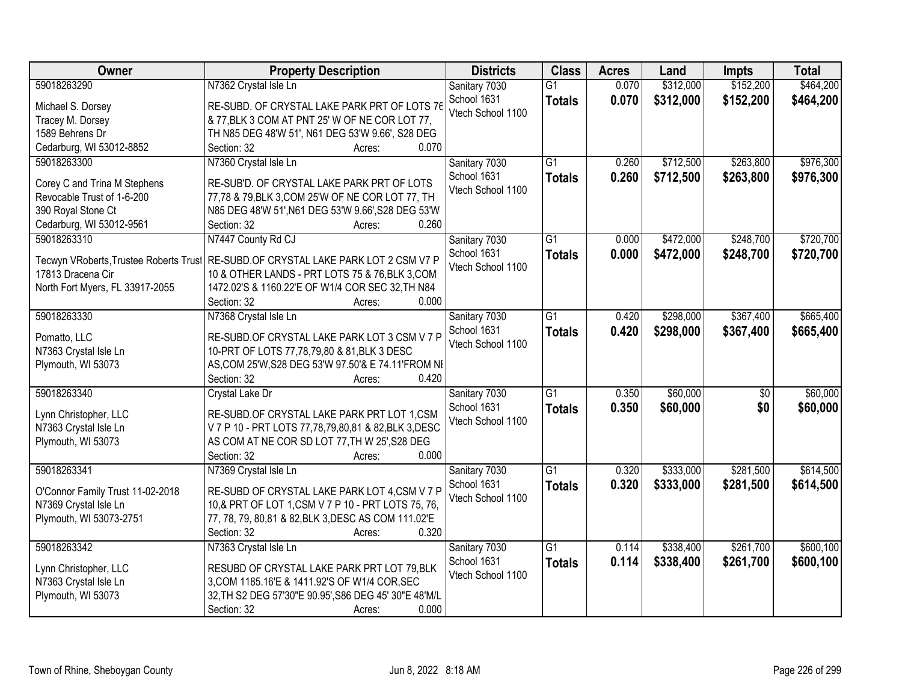| Owner                            | <b>Property Description</b>                                                        | <b>Districts</b>  | <b>Class</b>    | <b>Acres</b> | Land      | <b>Impts</b>    | <b>Total</b> |
|----------------------------------|------------------------------------------------------------------------------------|-------------------|-----------------|--------------|-----------|-----------------|--------------|
| 59018263290                      | N7362 Crystal Isle Ln                                                              | Sanitary 7030     | $\overline{G1}$ | 0.070        | \$312,000 | \$152,200       | \$464,200    |
| Michael S. Dorsey                | RE-SUBD. OF CRYSTAL LAKE PARK PRT OF LOTS 76                                       | School 1631       | <b>Totals</b>   | 0.070        | \$312,000 | \$152,200       | \$464,200    |
| Tracey M. Dorsey                 | & 77, BLK 3 COM AT PNT 25' W OF NE COR LOT 77,                                     | Vtech School 1100 |                 |              |           |                 |              |
| 1589 Behrens Dr                  | TH N85 DEG 48'W 51', N61 DEG 53'W 9.66', S28 DEG                                   |                   |                 |              |           |                 |              |
| Cedarburg, WI 53012-8852         | 0.070<br>Section: 32<br>Acres:                                                     |                   |                 |              |           |                 |              |
| 59018263300                      | N7360 Crystal Isle Ln                                                              | Sanitary 7030     | $\overline{G1}$ | 0.260        | \$712,500 | \$263,800       | \$976,300    |
|                                  |                                                                                    | School 1631       | <b>Totals</b>   | 0.260        | \$712,500 | \$263,800       | \$976,300    |
| Corey C and Trina M Stephens     | RE-SUB'D. OF CRYSTAL LAKE PARK PRT OF LOTS                                         | Vtech School 1100 |                 |              |           |                 |              |
| Revocable Trust of 1-6-200       | 77,78 & 79, BLK 3, COM 25'W OF NE COR LOT 77, TH                                   |                   |                 |              |           |                 |              |
| 390 Royal Stone Ct               | N85 DEG 48'W 51', N61 DEG 53'W 9.66', S28 DEG 53'W                                 |                   |                 |              |           |                 |              |
| Cedarburg, WI 53012-9561         | 0.260<br>Section: 32<br>Acres:                                                     |                   |                 |              |           |                 |              |
| 59018263310                      | N7447 County Rd CJ                                                                 | Sanitary 7030     | $\overline{G1}$ | 0.000        | \$472,000 | \$248,700       | \$720,700    |
|                                  | Tecwyn VRoberts, Trustee Roberts Trust RE-SUBD.OF CRYSTAL LAKE PARK LOT 2 CSM V7 P | School 1631       | <b>Totals</b>   | 0.000        | \$472,000 | \$248,700       | \$720,700    |
| 17813 Dracena Cir                | 10 & OTHER LANDS - PRT LOTS 75 & 76, BLK 3, COM                                    | Vtech School 1100 |                 |              |           |                 |              |
| North Fort Myers, FL 33917-2055  | 1472.02'S & 1160.22'E OF W1/4 COR SEC 32, TH N84                                   |                   |                 |              |           |                 |              |
|                                  | Section: 32<br>0.000<br>Acres:                                                     |                   |                 |              |           |                 |              |
| 59018263330                      | N7368 Crystal Isle Ln                                                              | Sanitary 7030     | $\overline{G1}$ | 0.420        | \$298,000 | \$367,400       | \$665,400    |
|                                  |                                                                                    | School 1631       | <b>Totals</b>   | 0.420        | \$298,000 | \$367,400       | \$665,400    |
| Pomatto, LLC                     | RE-SUBD.OF CRYSTAL LAKE PARK LOT 3 CSM V 7 P                                       | Vtech School 1100 |                 |              |           |                 |              |
| N7363 Crystal Isle Ln            | 10-PRT OF LOTS 77,78,79,80 & 81,BLK 3 DESC                                         |                   |                 |              |           |                 |              |
| Plymouth, WI 53073               | AS, COM 25'W, S28 DEG 53'W 97.50'& E 74.11'FROM NI                                 |                   |                 |              |           |                 |              |
|                                  | 0.420<br>Section: 32<br>Acres:                                                     |                   |                 |              |           |                 |              |
| 59018263340                      | <b>Crystal Lake Dr</b>                                                             | Sanitary 7030     | $\overline{G1}$ | 0.350        | \$60,000  | $\overline{50}$ | \$60,000     |
| Lynn Christopher, LLC            | RE-SUBD.OF CRYSTAL LAKE PARK PRT LOT 1,CSM                                         | School 1631       | <b>Totals</b>   | 0.350        | \$60,000  | \$0             | \$60,000     |
| N7363 Crystal Isle Ln            | V 7 P 10 - PRT LOTS 77,78,79,80,81 & 82,BLK 3,DESC                                 | Vtech School 1100 |                 |              |           |                 |              |
| Plymouth, WI 53073               | AS COM AT NE COR SD LOT 77, TH W 25', S28 DEG                                      |                   |                 |              |           |                 |              |
|                                  | Section: 32<br>0.000                                                               |                   |                 |              |           |                 |              |
|                                  | Acres:                                                                             |                   |                 |              |           |                 |              |
| 59018263341                      | N7369 Crystal Isle Ln                                                              | Sanitary 7030     | $\overline{G1}$ | 0.320        | \$333,000 | \$281,500       | \$614,500    |
| O'Connor Family Trust 11-02-2018 | RE-SUBD OF CRYSTAL LAKE PARK LOT 4,CSM V 7 P                                       | School 1631       | <b>Totals</b>   | 0.320        | \$333,000 | \$281,500       | \$614,500    |
| N7369 Crystal Isle Ln            | 10,& PRT OF LOT 1, CSM V 7 P 10 - PRT LOTS 75, 76,                                 | Vtech School 1100 |                 |              |           |                 |              |
| Plymouth, WI 53073-2751          | 77, 78, 79, 80,81 & 82, BLK 3, DESC AS COM 111.02'E                                |                   |                 |              |           |                 |              |
|                                  | 0.320<br>Section: 32<br>Acres:                                                     |                   |                 |              |           |                 |              |
| 59018263342                      | N7363 Crystal Isle Ln                                                              | Sanitary 7030     | $\overline{G1}$ | 0.114        | \$338,400 | \$261,700       | \$600,100    |
|                                  |                                                                                    | School 1631       | <b>Totals</b>   | 0.114        | \$338,400 | \$261,700       | \$600,100    |
| Lynn Christopher, LLC            | RESUBD OF CRYSTAL LAKE PARK PRT LOT 79,BLK                                         | Vtech School 1100 |                 |              |           |                 |              |
| N7363 Crystal Isle Ln            | 3, COM 1185.16'E & 1411.92'S OF W1/4 COR, SEC                                      |                   |                 |              |           |                 |              |
| Plymouth, WI 53073               | 32, TH S2 DEG 57'30"E 90.95', S86 DEG 45' 30"E 48'M/L                              |                   |                 |              |           |                 |              |
|                                  | Section: 32<br>0.000<br>Acres:                                                     |                   |                 |              |           |                 |              |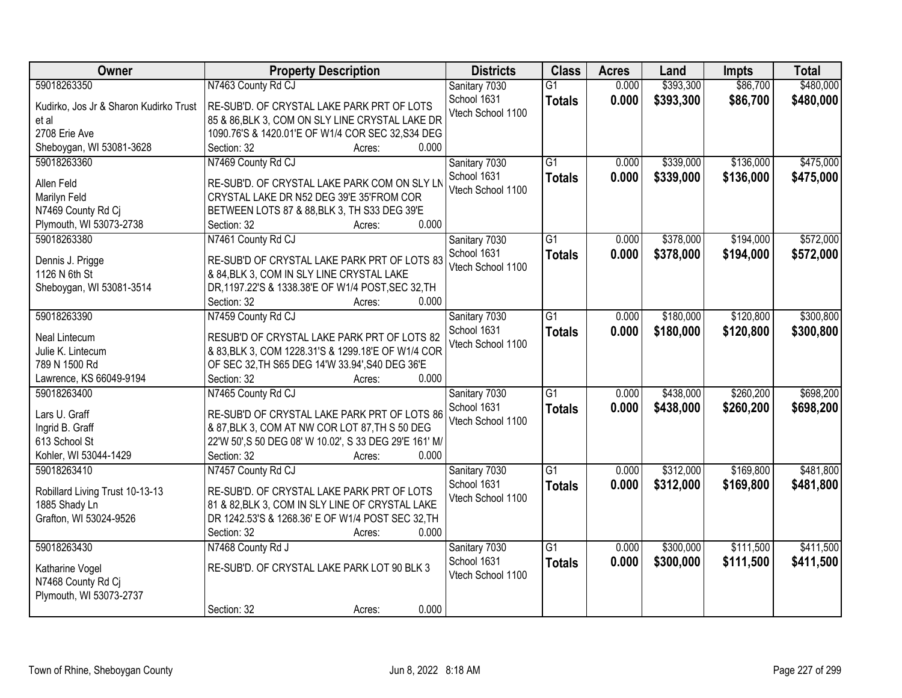| Owner                                  | <b>Property Description</b>                            | <b>Districts</b>  | <b>Class</b>    | <b>Acres</b> | Land      | <b>Impts</b> | <b>Total</b> |
|----------------------------------------|--------------------------------------------------------|-------------------|-----------------|--------------|-----------|--------------|--------------|
| 59018263350                            | N7463 County Rd CJ                                     | Sanitary 7030     | $\overline{G1}$ | 0.000        | \$393,300 | \$86,700     | \$480,000    |
| Kudirko, Jos Jr & Sharon Kudirko Trust | RE-SUB'D. OF CRYSTAL LAKE PARK PRT OF LOTS             | School 1631       | <b>Totals</b>   | 0.000        | \$393,300 | \$86,700     | \$480,000    |
| et al                                  | 85 & 86, BLK 3, COM ON SLY LINE CRYSTAL LAKE DR        | Vtech School 1100 |                 |              |           |              |              |
| 2708 Erie Ave                          | 1090.76'S & 1420.01'E OF W1/4 COR SEC 32,S34 DEG       |                   |                 |              |           |              |              |
| Sheboygan, WI 53081-3628               | 0.000<br>Section: 32<br>Acres:                         |                   |                 |              |           |              |              |
| 59018263360                            | N7469 County Rd CJ                                     | Sanitary 7030     | $\overline{G1}$ | 0.000        | \$339,000 | \$136,000    | \$475,000    |
|                                        |                                                        | School 1631       | <b>Totals</b>   | 0.000        | \$339,000 | \$136,000    | \$475,000    |
| Allen Feld                             | RE-SUB'D. OF CRYSTAL LAKE PARK COM ON SLY LN           | Vtech School 1100 |                 |              |           |              |              |
| Marilyn Feld                           | CRYSTAL LAKE DR N52 DEG 39'E 35'FROM COR               |                   |                 |              |           |              |              |
| N7469 County Rd Cj                     | BETWEEN LOTS 87 & 88, BLK 3, TH S33 DEG 39'E<br>0.000  |                   |                 |              |           |              |              |
| Plymouth, WI 53073-2738                | Section: 32<br>Acres:                                  |                   |                 |              |           |              |              |
| 59018263380                            | N7461 County Rd CJ                                     | Sanitary 7030     | $\overline{G1}$ | 0.000        | \$378,000 | \$194,000    | \$572,000    |
| Dennis J. Prigge                       | RE-SUB'D OF CRYSTAL LAKE PARK PRT OF LOTS 83           | School 1631       | <b>Totals</b>   | 0.000        | \$378,000 | \$194,000    | \$572,000    |
| 1126 N 6th St                          | & 84, BLK 3, COM IN SLY LINE CRYSTAL LAKE              | Vtech School 1100 |                 |              |           |              |              |
| Sheboygan, WI 53081-3514               | DR, 1197.22'S & 1338.38'E OF W1/4 POST, SEC 32, TH     |                   |                 |              |           |              |              |
|                                        | 0.000<br>Section: 32<br>Acres:                         |                   |                 |              |           |              |              |
| 59018263390                            | N7459 County Rd CJ                                     | Sanitary 7030     | $\overline{G1}$ | 0.000        | \$180,000 | \$120,800    | \$300,800    |
|                                        |                                                        | School 1631       | <b>Totals</b>   | 0.000        | \$180,000 | \$120,800    | \$300,800    |
| Neal Lintecum                          | RESUB'D OF CRYSTAL LAKE PARK PRT OF LOTS 82            | Vtech School 1100 |                 |              |           |              |              |
| Julie K. Lintecum                      | & 83, BLK 3, COM 1228.31'S & 1299.18'E OF W1/4 COR     |                   |                 |              |           |              |              |
| 789 N 1500 Rd                          | OF SEC 32, TH S65 DEG 14'W 33.94', S40 DEG 36'E        |                   |                 |              |           |              |              |
| Lawrence, KS 66049-9194                | 0.000<br>Section: 32<br>Acres:                         |                   | $\overline{G1}$ |              |           |              |              |
| 59018263400                            | N7465 County Rd CJ                                     | Sanitary 7030     |                 | 0.000        | \$438,000 | \$260,200    | \$698,200    |
| Lars U. Graff                          | RE-SUB'D OF CRYSTAL LAKE PARK PRT OF LOTS 86           | School 1631       | <b>Totals</b>   | 0.000        | \$438,000 | \$260,200    | \$698,200    |
| Ingrid B. Graff                        | & 87, BLK 3, COM AT NW COR LOT 87, TH S 50 DEG         | Vtech School 1100 |                 |              |           |              |              |
| 613 School St                          | 22'W 50', S 50 DEG 08' W 10.02', S 33 DEG 29'E 161' M/ |                   |                 |              |           |              |              |
| Kohler, WI 53044-1429                  | 0.000<br>Section: 32<br>Acres:                         |                   |                 |              |           |              |              |
| 59018263410                            | N7457 County Rd CJ                                     | Sanitary 7030     | $\overline{G1}$ | 0.000        | \$312,000 | \$169,800    | \$481,800    |
|                                        |                                                        | School 1631       | <b>Totals</b>   | 0.000        | \$312,000 | \$169,800    | \$481,800    |
| Robillard Living Trust 10-13-13        | RE-SUB'D. OF CRYSTAL LAKE PARK PRT OF LOTS             | Vtech School 1100 |                 |              |           |              |              |
| 1885 Shady Ln                          | 81 & 82, BLK 3, COM IN SLY LINE OF CRYSTAL LAKE        |                   |                 |              |           |              |              |
| Grafton, WI 53024-9526                 | DR 1242.53'S & 1268.36' E OF W1/4 POST SEC 32, TH      |                   |                 |              |           |              |              |
|                                        | 0.000<br>Section: 32<br>Acres:                         |                   |                 |              |           |              |              |
| 59018263430                            | N7468 County Rd J                                      | Sanitary 7030     | $\overline{G1}$ | 0.000        | \$300,000 | \$111,500    | \$411,500    |
| Katharine Vogel                        | RE-SUB'D. OF CRYSTAL LAKE PARK LOT 90 BLK 3            | School 1631       | <b>Totals</b>   | 0.000        | \$300,000 | \$111,500    | \$411,500    |
| N7468 County Rd Cj                     |                                                        | Vtech School 1100 |                 |              |           |              |              |
| Plymouth, WI 53073-2737                |                                                        |                   |                 |              |           |              |              |
|                                        | 0.000<br>Section: 32<br>Acres:                         |                   |                 |              |           |              |              |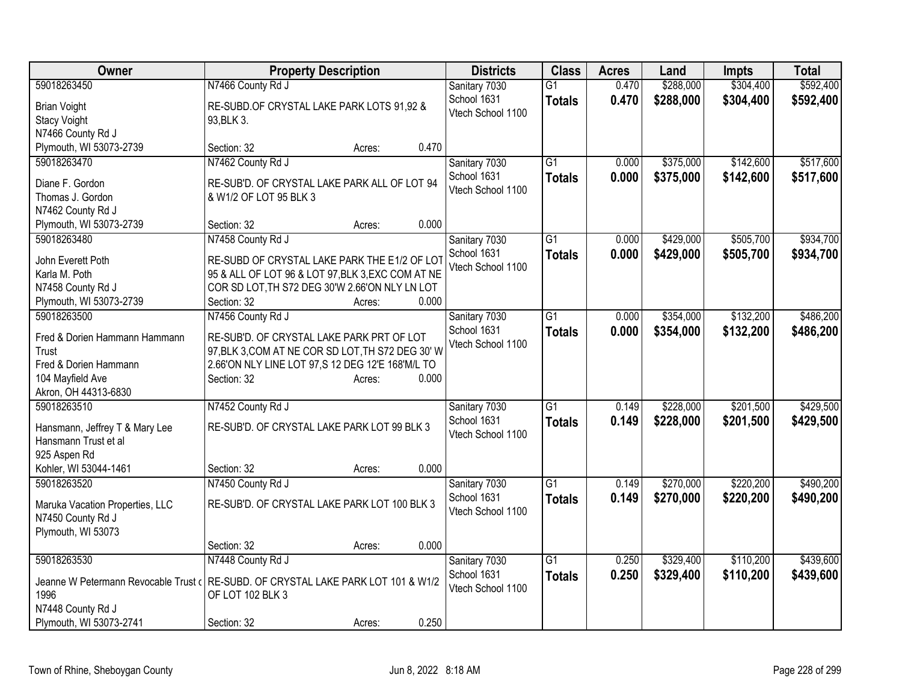| Owner                                  | <b>Property Description</b>                                                      | <b>Districts</b>             | <b>Class</b>    | <b>Acres</b> | Land      | Impts     | <b>Total</b> |
|----------------------------------------|----------------------------------------------------------------------------------|------------------------------|-----------------|--------------|-----------|-----------|--------------|
| 59018263450                            | N7466 County Rd J                                                                | Sanitary 7030                | $\overline{G1}$ | 0.470        | \$288,000 | \$304,400 | \$592,400    |
| <b>Brian Voight</b>                    | RE-SUBD.OF CRYSTAL LAKE PARK LOTS 91,92 &                                        | School 1631                  | <b>Totals</b>   | 0.470        | \$288,000 | \$304,400 | \$592,400    |
| <b>Stacy Voight</b>                    | 93, BLK 3.                                                                       | Vtech School 1100            |                 |              |           |           |              |
| N7466 County Rd J                      |                                                                                  |                              |                 |              |           |           |              |
| Plymouth, WI 53073-2739                | 0.470<br>Section: 32<br>Acres:                                                   |                              |                 |              |           |           |              |
| 59018263470                            | N7462 County Rd J                                                                | Sanitary 7030                | $\overline{G1}$ | 0.000        | \$375,000 | \$142,600 | \$517,600    |
| Diane F. Gordon                        | RE-SUB'D. OF CRYSTAL LAKE PARK ALL OF LOT 94                                     | School 1631                  | <b>Totals</b>   | 0.000        | \$375,000 | \$142,600 | \$517,600    |
| Thomas J. Gordon                       | & W1/2 OF LOT 95 BLK 3                                                           | Vtech School 1100            |                 |              |           |           |              |
| N7462 County Rd J                      |                                                                                  |                              |                 |              |           |           |              |
| Plymouth, WI 53073-2739                | 0.000<br>Section: 32<br>Acres:                                                   |                              |                 |              |           |           |              |
| 59018263480                            | N7458 County Rd J                                                                | Sanitary 7030                | G1              | 0.000        | \$429,000 | \$505,700 | \$934,700    |
|                                        |                                                                                  | School 1631                  | <b>Totals</b>   | 0.000        | \$429,000 | \$505,700 | \$934,700    |
| John Everett Poth                      | RE-SUBD OF CRYSTAL LAKE PARK THE E1/2 OF LOT                                     | Vtech School 1100            |                 |              |           |           |              |
| Karla M. Poth                          | 95 & ALL OF LOT 96 & LOT 97, BLK 3, EXC COM AT NE                                |                              |                 |              |           |           |              |
| N7458 County Rd J                      | COR SD LOT, TH S72 DEG 30'W 2.66'ON NLY LN LOT<br>0.000                          |                              |                 |              |           |           |              |
| Plymouth, WI 53073-2739<br>59018263500 | Section: 32<br>Acres:<br>N7456 County Rd J                                       |                              | $\overline{G1}$ |              | \$354,000 | \$132,200 | \$486,200    |
|                                        |                                                                                  | Sanitary 7030<br>School 1631 |                 | 0.000        |           |           |              |
| Fred & Dorien Hammann Hammann          | RE-SUB'D. OF CRYSTAL LAKE PARK PRT OF LOT                                        | Vtech School 1100            | <b>Totals</b>   | 0.000        | \$354,000 | \$132,200 | \$486,200    |
| Trust                                  | 97, BLK 3, COM AT NE COR SD LOT, TH S72 DEG 30' W                                |                              |                 |              |           |           |              |
| Fred & Dorien Hammann                  | 2.66'ON NLY LINE LOT 97,S 12 DEG 12'E 168'M/L TO                                 |                              |                 |              |           |           |              |
| 104 Mayfield Ave                       | Section: 32<br>0.000<br>Acres:                                                   |                              |                 |              |           |           |              |
| Akron, OH 44313-6830                   |                                                                                  |                              |                 |              |           |           |              |
| 59018263510                            | N7452 County Rd J                                                                | Sanitary 7030                | $\overline{G1}$ | 0.149        | \$228,000 | \$201,500 | \$429,500    |
| Hansmann, Jeffrey T & Mary Lee         | RE-SUB'D. OF CRYSTAL LAKE PARK LOT 99 BLK 3                                      | School 1631                  | <b>Totals</b>   | 0.149        | \$228,000 | \$201,500 | \$429,500    |
| Hansmann Trust et al                   |                                                                                  | Vtech School 1100            |                 |              |           |           |              |
| 925 Aspen Rd                           |                                                                                  |                              |                 |              |           |           |              |
| Kohler, WI 53044-1461                  | 0.000<br>Section: 32<br>Acres:                                                   |                              |                 |              |           |           |              |
| 59018263520                            | N7450 County Rd J                                                                | Sanitary 7030                | $\overline{G1}$ | 0.149        | \$270,000 | \$220,200 | \$490,200    |
| Maruka Vacation Properties, LLC        | RE-SUB'D. OF CRYSTAL LAKE PARK LOT 100 BLK 3                                     | School 1631                  | <b>Totals</b>   | 0.149        | \$270,000 | \$220,200 | \$490,200    |
| N7450 County Rd J                      |                                                                                  | Vtech School 1100            |                 |              |           |           |              |
| Plymouth, WI 53073                     |                                                                                  |                              |                 |              |           |           |              |
|                                        | 0.000<br>Section: 32<br>Acres:                                                   |                              |                 |              |           |           |              |
| 59018263530                            | N7448 County Rd J                                                                | Sanitary 7030                | $\overline{G1}$ | 0.250        | \$329,400 | \$110,200 | \$439,600    |
|                                        |                                                                                  | School 1631                  | <b>Totals</b>   | 0.250        | \$329,400 | \$110,200 | \$439,600    |
|                                        | Jeanne W Petermann Revocable Trust (RE-SUBD. OF CRYSTAL LAKE PARK LOT 101 & W1/2 | Vtech School 1100            |                 |              |           |           |              |
| 1996<br>N7448 County Rd J              | OF LOT 102 BLK 3                                                                 |                              |                 |              |           |           |              |
| Plymouth, WI 53073-2741                | 0.250<br>Section: 32<br>Acres:                                                   |                              |                 |              |           |           |              |
|                                        |                                                                                  |                              |                 |              |           |           |              |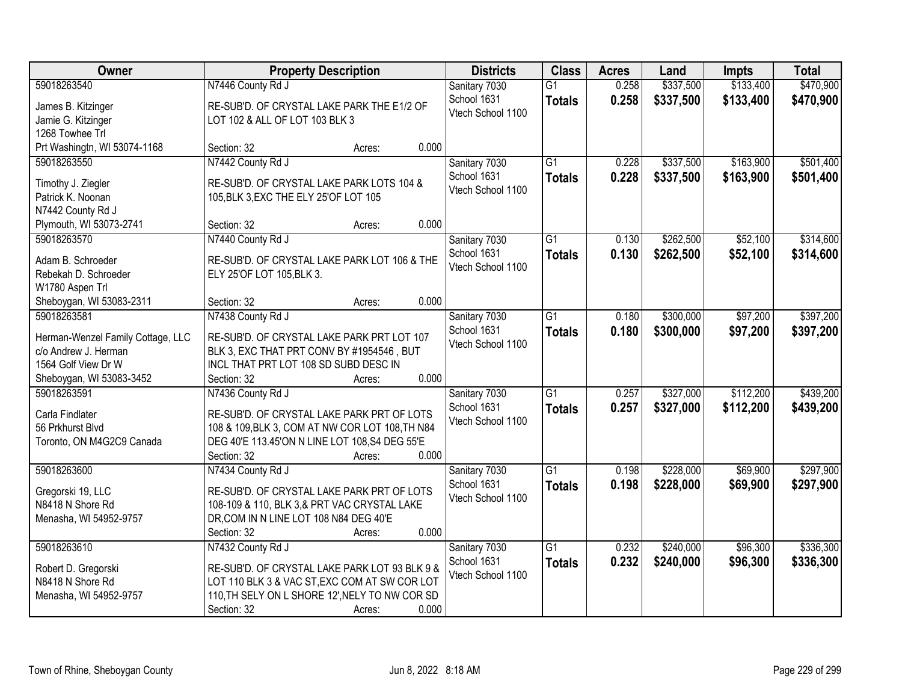| Owner                                                     | <b>Property Description</b>                                                             | <b>Districts</b>             | <b>Class</b>    | <b>Acres</b> | Land      | <b>Impts</b> | <b>Total</b> |
|-----------------------------------------------------------|-----------------------------------------------------------------------------------------|------------------------------|-----------------|--------------|-----------|--------------|--------------|
| 59018263540                                               | N7446 County Rd J                                                                       | Sanitary 7030                | $\overline{G1}$ | 0.258        | \$337,500 | \$133,400    | \$470,900    |
| James B. Kitzinger                                        | RE-SUB'D. OF CRYSTAL LAKE PARK THE E1/2 OF                                              | School 1631                  | <b>Totals</b>   | 0.258        | \$337,500 | \$133,400    | \$470,900    |
| Jamie G. Kitzinger                                        | LOT 102 & ALL OF LOT 103 BLK 3                                                          | Vtech School 1100            |                 |              |           |              |              |
| 1268 Towhee Trl                                           |                                                                                         |                              |                 |              |           |              |              |
| Prt Washingtn, WI 53074-1168                              | 0.000<br>Section: 32<br>Acres:                                                          |                              |                 |              |           |              |              |
| 59018263550                                               | N7442 County Rd J                                                                       | Sanitary 7030                | $\overline{G1}$ | 0.228        | \$337,500 | \$163,900    | \$501,400    |
| Timothy J. Ziegler                                        | RE-SUB'D. OF CRYSTAL LAKE PARK LOTS 104 &                                               | School 1631                  | <b>Totals</b>   | 0.228        | \$337,500 | \$163,900    | \$501,400    |
| Patrick K. Noonan                                         | 105, BLK 3, EXC THE ELY 25' OF LOT 105                                                  | Vtech School 1100            |                 |              |           |              |              |
| N7442 County Rd J                                         |                                                                                         |                              |                 |              |           |              |              |
| Plymouth, WI 53073-2741                                   | 0.000<br>Section: 32<br>Acres:                                                          |                              |                 |              |           |              |              |
| 59018263570                                               | N7440 County Rd J                                                                       | Sanitary 7030                | G1              | 0.130        | \$262,500 | \$52,100     | \$314,600    |
|                                                           | RE-SUB'D. OF CRYSTAL LAKE PARK LOT 106 & THE                                            | School 1631                  | <b>Totals</b>   | 0.130        | \$262,500 | \$52,100     | \$314,600    |
| Adam B. Schroeder<br>Rebekah D. Schroeder                 | ELY 25'OF LOT 105, BLK 3.                                                               | Vtech School 1100            |                 |              |           |              |              |
| W1780 Aspen Trl                                           |                                                                                         |                              |                 |              |           |              |              |
| Sheboygan, WI 53083-2311                                  | 0.000<br>Section: 32<br>Acres:                                                          |                              |                 |              |           |              |              |
| 59018263581                                               | N7438 County Rd J                                                                       | Sanitary 7030                | G1              | 0.180        | \$300,000 | \$97,200     | \$397,200    |
|                                                           |                                                                                         | School 1631                  | <b>Totals</b>   | 0.180        | \$300,000 | \$97,200     | \$397,200    |
| Herman-Wenzel Family Cottage, LLC<br>c/o Andrew J. Herman | RE-SUB'D. OF CRYSTAL LAKE PARK PRT LOT 107<br>BLK 3, EXC THAT PRT CONV BY #1954546, BUT | Vtech School 1100            |                 |              |           |              |              |
| 1564 Golf View Dr W                                       | INCL THAT PRT LOT 108 SD SUBD DESC IN                                                   |                              |                 |              |           |              |              |
| Sheboygan, WI 53083-3452                                  | 0.000<br>Section: 32<br>Acres:                                                          |                              |                 |              |           |              |              |
| 59018263591                                               | N7436 County Rd J                                                                       | Sanitary 7030                | $\overline{G1}$ | 0.257        | \$327,000 | \$112,200    | \$439,200    |
|                                                           |                                                                                         | School 1631                  | <b>Totals</b>   | 0.257        | \$327,000 | \$112,200    | \$439,200    |
| Carla Findlater                                           | RE-SUB'D. OF CRYSTAL LAKE PARK PRT OF LOTS                                              | Vtech School 1100            |                 |              |           |              |              |
| 56 Prkhurst Blvd                                          | 108 & 109, BLK 3, COM AT NW COR LOT 108, TH N84                                         |                              |                 |              |           |              |              |
| Toronto, ON M4G2C9 Canada                                 | DEG 40'E 113.45'ON N LINE LOT 108,S4 DEG 55'E<br>Section: 32<br>0.000                   |                              |                 |              |           |              |              |
| 59018263600                                               | Acres:<br>N7434 County Rd J                                                             | Sanitary 7030                | $\overline{G1}$ | 0.198        | \$228,000 | \$69,900     | \$297,900    |
|                                                           |                                                                                         | School 1631                  | <b>Totals</b>   | 0.198        | \$228,000 | \$69,900     | \$297,900    |
| Gregorski 19, LLC                                         | RE-SUB'D. OF CRYSTAL LAKE PARK PRT OF LOTS                                              | Vtech School 1100            |                 |              |           |              |              |
| N8418 N Shore Rd                                          | 108-109 & 110, BLK 3,& PRT VAC CRYSTAL LAKE                                             |                              |                 |              |           |              |              |
| Menasha, WI 54952-9757                                    | DR, COM IN N LINE LOT 108 N84 DEG 40'E                                                  |                              |                 |              |           |              |              |
| 59018263610                                               | 0.000<br>Section: 32<br>Acres:                                                          |                              | $\overline{G1}$ | 0.232        | \$240,000 | \$96,300     | \$336,300    |
|                                                           | N7432 County Rd J                                                                       | Sanitary 7030<br>School 1631 |                 |              |           |              |              |
| Robert D. Gregorski                                       | RE-SUB'D. OF CRYSTAL LAKE PARK LOT 93 BLK 9 &                                           | Vtech School 1100            | <b>Totals</b>   | 0.232        | \$240,000 | \$96,300     | \$336,300    |
| N8418 N Shore Rd                                          | LOT 110 BLK 3 & VAC ST, EXC COM AT SW COR LOT                                           |                              |                 |              |           |              |              |
| Menasha, WI 54952-9757                                    | 110, TH SELY ON L SHORE 12', NELY TO NW COR SD                                          |                              |                 |              |           |              |              |
|                                                           | 0.000<br>Section: 32<br>Acres:                                                          |                              |                 |              |           |              |              |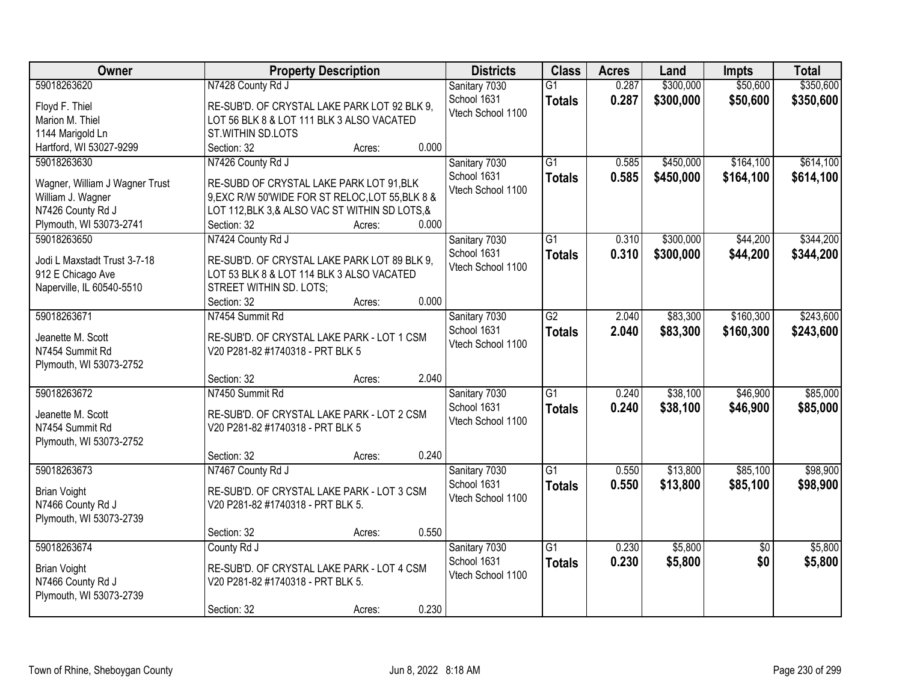| Owner                          | <b>Property Description</b>                      | <b>Districts</b>  | <b>Class</b>    | <b>Acres</b> | Land      | <b>Impts</b>    | <b>Total</b> |
|--------------------------------|--------------------------------------------------|-------------------|-----------------|--------------|-----------|-----------------|--------------|
| 59018263620                    | N7428 County Rd J                                | Sanitary 7030     | $\overline{G1}$ | 0.287        | \$300,000 | \$50,600        | \$350,600    |
| Floyd F. Thiel                 | RE-SUB'D. OF CRYSTAL LAKE PARK LOT 92 BLK 9,     | School 1631       | <b>Totals</b>   | 0.287        | \$300,000 | \$50,600        | \$350,600    |
| Marion M. Thiel                | LOT 56 BLK 8 & LOT 111 BLK 3 ALSO VACATED        | Vtech School 1100 |                 |              |           |                 |              |
| 1144 Marigold Ln               | ST.WITHIN SD.LOTS                                |                   |                 |              |           |                 |              |
| Hartford, WI 53027-9299        | 0.000<br>Section: 32<br>Acres:                   |                   |                 |              |           |                 |              |
| 59018263630                    | N7426 County Rd J                                | Sanitary 7030     | $\overline{G1}$ | 0.585        | \$450,000 | \$164,100       | \$614,100    |
|                                |                                                  | School 1631       | <b>Totals</b>   | 0.585        | \$450,000 | \$164,100       | \$614,100    |
| Wagner, William J Wagner Trust | RE-SUBD OF CRYSTAL LAKE PARK LOT 91, BLK         | Vtech School 1100 |                 |              |           |                 |              |
| William J. Wagner              | 9, EXC R/W 50'WIDE FOR ST RELOC, LOT 55, BLK 8 & |                   |                 |              |           |                 |              |
| N7426 County Rd J              | LOT 112, BLK 3, & ALSO VAC ST WITHIN SD LOTS, &  |                   |                 |              |           |                 |              |
| Plymouth, WI 53073-2741        | 0.000<br>Section: 32<br>Acres:                   |                   |                 |              |           |                 |              |
| 59018263650                    | N7424 County Rd J                                | Sanitary 7030     | G1              | 0.310        | \$300,000 | \$44,200        | \$344,200    |
| Jodi L Maxstadt Trust 3-7-18   | RE-SUB'D. OF CRYSTAL LAKE PARK LOT 89 BLK 9,     | School 1631       | <b>Totals</b>   | 0.310        | \$300,000 | \$44,200        | \$344,200    |
| 912 E Chicago Ave              | LOT 53 BLK 8 & LOT 114 BLK 3 ALSO VACATED        | Vtech School 1100 |                 |              |           |                 |              |
| Naperville, IL 60540-5510      | <b>STREET WITHIN SD. LOTS:</b>                   |                   |                 |              |           |                 |              |
|                                | 0.000<br>Section: 32<br>Acres:                   |                   |                 |              |           |                 |              |
| 59018263671                    | N7454 Summit Rd                                  | Sanitary 7030     | $\overline{G2}$ | 2.040        | \$83,300  | \$160,300       | \$243,600    |
| Jeanette M. Scott              | RE-SUB'D. OF CRYSTAL LAKE PARK - LOT 1 CSM       | School 1631       | <b>Totals</b>   | 2.040        | \$83,300  | \$160,300       | \$243,600    |
| N7454 Summit Rd                | V20 P281-82 #1740318 - PRT BLK 5                 | Vtech School 1100 |                 |              |           |                 |              |
| Plymouth, WI 53073-2752        |                                                  |                   |                 |              |           |                 |              |
|                                | 2.040<br>Section: 32<br>Acres:                   |                   |                 |              |           |                 |              |
| 59018263672                    | N7450 Summit Rd                                  | Sanitary 7030     | $\overline{G1}$ | 0.240        | \$38,100  | \$46,900        | \$85,000     |
|                                |                                                  | School 1631       | <b>Totals</b>   | 0.240        | \$38,100  | \$46,900        | \$85,000     |
| Jeanette M. Scott              | RE-SUB'D. OF CRYSTAL LAKE PARK - LOT 2 CSM       | Vtech School 1100 |                 |              |           |                 |              |
| N7454 Summit Rd                | V20 P281-82 #1740318 - PRT BLK 5                 |                   |                 |              |           |                 |              |
| Plymouth, WI 53073-2752        |                                                  |                   |                 |              |           |                 |              |
|                                | 0.240<br>Section: 32<br>Acres:                   |                   |                 |              |           |                 |              |
| 59018263673                    | N7467 County Rd J                                | Sanitary 7030     | $\overline{G1}$ | 0.550        | \$13,800  | \$85,100        | \$98,900     |
| <b>Brian Voight</b>            | RE-SUB'D. OF CRYSTAL LAKE PARK - LOT 3 CSM       | School 1631       | <b>Totals</b>   | 0.550        | \$13,800  | \$85,100        | \$98,900     |
| N7466 County Rd J              | V20 P281-82 #1740318 - PRT BLK 5.                | Vtech School 1100 |                 |              |           |                 |              |
| Plymouth, WI 53073-2739        |                                                  |                   |                 |              |           |                 |              |
|                                | 0.550<br>Section: 32<br>Acres:                   |                   |                 |              |           |                 |              |
| 59018263674                    | County Rd J                                      | Sanitary 7030     | $\overline{G1}$ | 0.230        | \$5,800   | $\overline{50}$ | \$5,800      |
|                                |                                                  | School 1631       | <b>Totals</b>   | 0.230        | \$5,800   | \$0             | \$5,800      |
| <b>Brian Voight</b>            | RE-SUB'D. OF CRYSTAL LAKE PARK - LOT 4 CSM       | Vtech School 1100 |                 |              |           |                 |              |
| N7466 County Rd J              | V20 P281-82 #1740318 - PRT BLK 5.                |                   |                 |              |           |                 |              |
| Plymouth, WI 53073-2739        |                                                  |                   |                 |              |           |                 |              |
|                                | 0.230<br>Section: 32<br>Acres:                   |                   |                 |              |           |                 |              |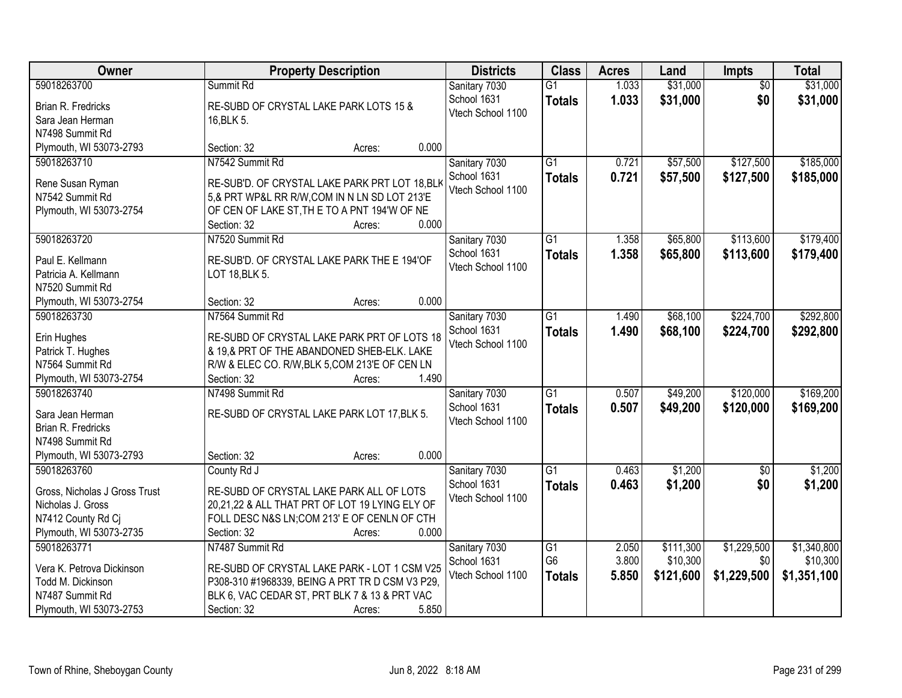| Owner                         | <b>Property Description</b>                          | <b>Districts</b>  | <b>Class</b>         | <b>Acres</b>   | Land                  | <b>Impts</b>       | <b>Total</b>            |
|-------------------------------|------------------------------------------------------|-------------------|----------------------|----------------|-----------------------|--------------------|-------------------------|
| 59018263700                   | Summit Rd                                            | Sanitary 7030     | $\overline{G1}$      | 1.033          | \$31,000              | $\overline{50}$    | \$31,000                |
| Brian R. Fredricks            | RE-SUBD OF CRYSTAL LAKE PARK LOTS 15 &               | School 1631       | <b>Totals</b>        | 1.033          | \$31,000              | \$0                | \$31,000                |
| Sara Jean Herman              | 16, BLK 5.                                           | Vtech School 1100 |                      |                |                       |                    |                         |
| N7498 Summit Rd               |                                                      |                   |                      |                |                       |                    |                         |
| Plymouth, WI 53073-2793       | 0.000<br>Section: 32<br>Acres:                       |                   |                      |                |                       |                    |                         |
| 59018263710                   | N7542 Summit Rd                                      | Sanitary 7030     | $\overline{G1}$      | 0.721          | \$57,500              | \$127,500          | \$185,000               |
|                               |                                                      | School 1631       | <b>Totals</b>        | 0.721          | \$57,500              | \$127,500          | \$185,000               |
| Rene Susan Ryman              | RE-SUB'D. OF CRYSTAL LAKE PARK PRT LOT 18, BLK       | Vtech School 1100 |                      |                |                       |                    |                         |
| N7542 Summit Rd               | 5,& PRT WP&L RR R/W, COM IN N LN SD LOT 213'E        |                   |                      |                |                       |                    |                         |
| Plymouth, WI 53073-2754       | OF CEN OF LAKE ST, TH E TO A PNT 194'W OF NE         |                   |                      |                |                       |                    |                         |
|                               | 0.000<br>Section: 32<br>Acres:                       |                   |                      |                |                       |                    |                         |
| 59018263720                   | N7520 Summit Rd                                      | Sanitary 7030     | $\overline{G1}$      | 1.358          | \$65,800              | \$113,600          | \$179,400               |
| Paul E. Kellmann              | RE-SUB'D. OF CRYSTAL LAKE PARK THE E 194'OF          | School 1631       | <b>Totals</b>        | 1.358          | \$65,800              | \$113,600          | \$179,400               |
| Patricia A. Kellmann          | LOT 18, BLK 5.                                       | Vtech School 1100 |                      |                |                       |                    |                         |
| N7520 Summit Rd               |                                                      |                   |                      |                |                       |                    |                         |
| Plymouth, WI 53073-2754       | 0.000<br>Section: 32<br>Acres:                       |                   |                      |                |                       |                    |                         |
| 59018263730                   | N7564 Summit Rd                                      | Sanitary 7030     | $\overline{G1}$      | 1.490          | \$68,100              | \$224,700          | \$292,800               |
|                               |                                                      | School 1631       | <b>Totals</b>        | 1.490          | \$68,100              | \$224,700          | \$292,800               |
| Erin Hughes                   | RE-SUBD OF CRYSTAL LAKE PARK PRT OF LOTS 18          | Vtech School 1100 |                      |                |                       |                    |                         |
| Patrick T. Hughes             | & 19,& PRT OF THE ABANDONED SHEB-ELK. LAKE           |                   |                      |                |                       |                    |                         |
| N7564 Summit Rd               | R/W & ELEC CO. R/W, BLK 5, COM 213'E OF CEN LN       |                   |                      |                |                       |                    |                         |
| Plymouth, WI 53073-2754       | 1.490<br>Section: 32<br>Acres:                       |                   |                      |                |                       |                    |                         |
| 59018263740                   | N7498 Summit Rd                                      | Sanitary 7030     | $\overline{G1}$      | 0.507          | \$49,200              | \$120,000          | \$169,200               |
| Sara Jean Herman              | RE-SUBD OF CRYSTAL LAKE PARK LOT 17, BLK 5.          | School 1631       | <b>Totals</b>        | 0.507          | \$49,200              | \$120,000          | \$169,200               |
| <b>Brian R. Fredricks</b>     |                                                      | Vtech School 1100 |                      |                |                       |                    |                         |
| N7498 Summit Rd               |                                                      |                   |                      |                |                       |                    |                         |
| Plymouth, WI 53073-2793       | 0.000<br>Section: 32<br>Acres:                       |                   |                      |                |                       |                    |                         |
| 59018263760                   | County Rd J                                          | Sanitary 7030     | $\overline{G1}$      | 0.463          | \$1,200               | \$0                | \$1,200                 |
|                               |                                                      | School 1631       | <b>Totals</b>        | 0.463          | \$1,200               | \$0                | \$1,200                 |
| Gross, Nicholas J Gross Trust | RE-SUBD OF CRYSTAL LAKE PARK ALL OF LOTS             | Vtech School 1100 |                      |                |                       |                    |                         |
| Nicholas J. Gross             | 20,21,22 & ALL THAT PRT OF LOT 19 LYING ELY OF       |                   |                      |                |                       |                    |                         |
| N7412 County Rd Cj            | FOLL DESC N&S LN;COM 213' E OF CENLN OF CTH<br>0.000 |                   |                      |                |                       |                    |                         |
| Plymouth, WI 53073-2735       | Section: 32<br>Acres:                                |                   |                      |                |                       |                    |                         |
| 59018263771                   | N7487 Summit Rd                                      | Sanitary 7030     | G1<br>G <sub>6</sub> | 2.050<br>3.800 | \$111,300<br>\$10,300 | \$1,229,500<br>\$0 | \$1,340,800<br>\$10,300 |
| Vera K. Petrova Dickinson     | RE-SUBD OF CRYSTAL LAKE PARK - LOT 1 CSM V25         | School 1631       |                      |                |                       |                    |                         |
| Todd M. Dickinson             | P308-310 #1968339, BEING A PRT TR D CSM V3 P29,      | Vtech School 1100 | <b>Totals</b>        | 5.850          | \$121,600             | \$1,229,500        | \$1,351,100             |
| N7487 Summit Rd               | BLK 6, VAC CEDAR ST, PRT BLK 7 & 13 & PRT VAC        |                   |                      |                |                       |                    |                         |
| Plymouth, WI 53073-2753       | 5.850<br>Section: 32<br>Acres:                       |                   |                      |                |                       |                    |                         |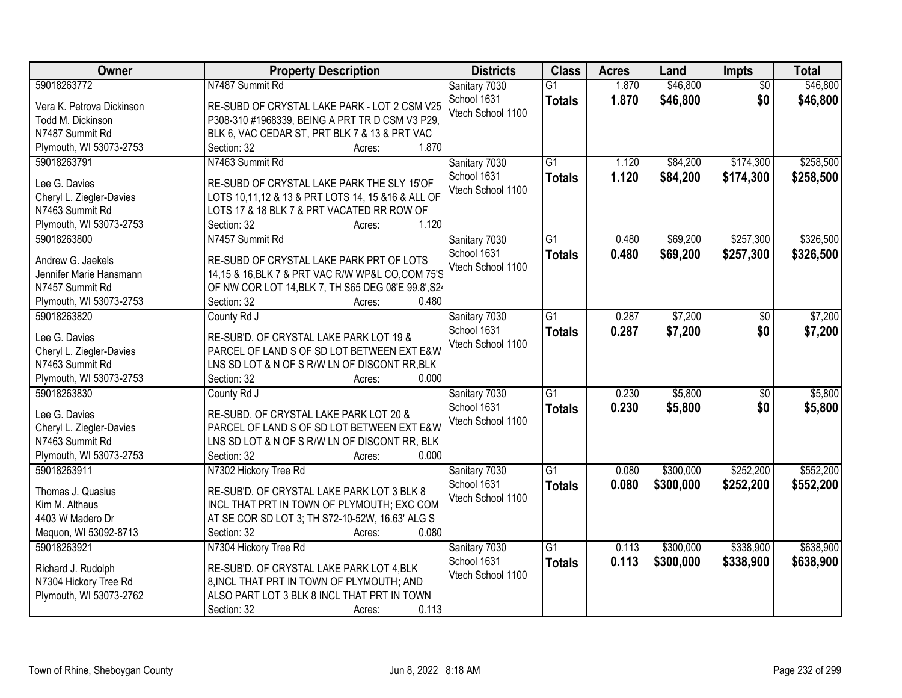| Owner                     | <b>Property Description</b>                         | <b>Districts</b>  | <b>Class</b>    | <b>Acres</b> | Land      | Impts           | <b>Total</b> |
|---------------------------|-----------------------------------------------------|-------------------|-----------------|--------------|-----------|-----------------|--------------|
| 59018263772               | N7487 Summit Rd                                     | Sanitary 7030     | $\overline{G1}$ | 1.870        | \$46,800  | $\overline{50}$ | \$46,800     |
| Vera K. Petrova Dickinson | RE-SUBD OF CRYSTAL LAKE PARK - LOT 2 CSM V25        | School 1631       | <b>Totals</b>   | 1.870        | \$46,800  | \$0             | \$46,800     |
| Todd M. Dickinson         | P308-310 #1968339, BEING A PRT TR D CSM V3 P29,     | Vtech School 1100 |                 |              |           |                 |              |
| N7487 Summit Rd           | BLK 6, VAC CEDAR ST, PRT BLK 7 & 13 & PRT VAC       |                   |                 |              |           |                 |              |
| Plymouth, WI 53073-2753   | 1.870<br>Section: 32<br>Acres:                      |                   |                 |              |           |                 |              |
| 59018263791               | N7463 Summit Rd                                     | Sanitary 7030     | $\overline{G1}$ | 1.120        | \$84,200  | \$174,300       | \$258,500    |
|                           |                                                     | School 1631       | <b>Totals</b>   | 1.120        | \$84,200  | \$174,300       | \$258,500    |
| Lee G. Davies             | RE-SUBD OF CRYSTAL LAKE PARK THE SLY 15'OF          | Vtech School 1100 |                 |              |           |                 |              |
| Cheryl L. Ziegler-Davies  | LOTS 10,11,12 & 13 & PRT LOTS 14, 15 & 16 & ALL OF  |                   |                 |              |           |                 |              |
| N7463 Summit Rd           | LOTS 17 & 18 BLK 7 & PRT VACATED RR ROW OF          |                   |                 |              |           |                 |              |
| Plymouth, WI 53073-2753   | 1.120<br>Section: 32<br>Acres:                      |                   |                 |              |           |                 |              |
| 59018263800               | N7457 Summit Rd                                     | Sanitary 7030     | $\overline{G1}$ | 0.480        | \$69,200  | \$257,300       | \$326,500    |
| Andrew G. Jaekels         | RE-SUBD OF CRYSTAL LAKE PARK PRT OF LOTS            | School 1631       | <b>Totals</b>   | 0.480        | \$69,200  | \$257,300       | \$326,500    |
| Jennifer Marie Hansmann   | 14,15 & 16, BLK 7 & PRT VAC R/W WP&L CO, COM 75'S   | Vtech School 1100 |                 |              |           |                 |              |
| N7457 Summit Rd           | OF NW COR LOT 14, BLK 7, TH S65 DEG 08'E 99.8', S2. |                   |                 |              |           |                 |              |
| Plymouth, WI 53073-2753   | Section: 32<br>0.480<br>Acres:                      |                   |                 |              |           |                 |              |
| 59018263820               | County Rd J                                         | Sanitary 7030     | $\overline{G1}$ | 0.287        | \$7,200   | \$0             | \$7,200      |
|                           |                                                     | School 1631       | <b>Totals</b>   | 0.287        | \$7,200   | \$0             | \$7,200      |
| Lee G. Davies             | RE-SUB'D. OF CRYSTAL LAKE PARK LOT 19 &             | Vtech School 1100 |                 |              |           |                 |              |
| Cheryl L. Ziegler-Davies  | PARCEL OF LAND S OF SD LOT BETWEEN EXT E&W          |                   |                 |              |           |                 |              |
| N7463 Summit Rd           | LNS SD LOT & N OF S R/W LN OF DISCONT RR, BLK       |                   |                 |              |           |                 |              |
| Plymouth, WI 53073-2753   | 0.000<br>Section: 32<br>Acres:                      |                   |                 |              |           |                 |              |
| 59018263830               | County Rd J                                         | Sanitary 7030     | $\overline{G1}$ | 0.230        | \$5,800   | $\overline{50}$ | \$5,800      |
| Lee G. Davies             | RE-SUBD. OF CRYSTAL LAKE PARK LOT 20 &              | School 1631       | <b>Totals</b>   | 0.230        | \$5,800   | \$0             | \$5,800      |
| Cheryl L. Ziegler-Davies  | PARCEL OF LAND S OF SD LOT BETWEEN EXT E&W          | Vtech School 1100 |                 |              |           |                 |              |
| N7463 Summit Rd           | LNS SD LOT & N OF S R/W LN OF DISCONT RR, BLK       |                   |                 |              |           |                 |              |
| Plymouth, WI 53073-2753   | Section: 32<br>0.000                                |                   |                 |              |           |                 |              |
| 59018263911               | Acres:                                              |                   |                 |              |           |                 | \$552,200    |
|                           | N7302 Hickory Tree Rd                               | Sanitary 7030     | $\overline{G1}$ | 0.080        | \$300,000 | \$252,200       |              |
| Thomas J. Quasius         | RE-SUB'D. OF CRYSTAL LAKE PARK LOT 3 BLK 8          | School 1631       | <b>Totals</b>   | 0.080        | \$300,000 | \$252,200       | \$552,200    |
| Kim M. Althaus            | INCL THAT PRT IN TOWN OF PLYMOUTH; EXC COM          | Vtech School 1100 |                 |              |           |                 |              |
| 4403 W Madero Dr          | AT SE COR SD LOT 3; TH S72-10-52W, 16.63' ALG S     |                   |                 |              |           |                 |              |
| Mequon, WI 53092-8713     | 0.080<br>Section: 32<br>Acres:                      |                   |                 |              |           |                 |              |
| 59018263921               | N7304 Hickory Tree Rd                               | Sanitary 7030     | $\overline{G1}$ | 0.113        | \$300,000 | \$338,900       | \$638,900    |
|                           |                                                     | School 1631       | <b>Totals</b>   | 0.113        | \$300,000 | \$338,900       | \$638,900    |
| Richard J. Rudolph        | RE-SUB'D. OF CRYSTAL LAKE PARK LOT 4, BLK           | Vtech School 1100 |                 |              |           |                 |              |
| N7304 Hickory Tree Rd     | 8, INCL THAT PRT IN TOWN OF PLYMOUTH; AND           |                   |                 |              |           |                 |              |
| Plymouth, WI 53073-2762   | ALSO PART LOT 3 BLK 8 INCL THAT PRT IN TOWN         |                   |                 |              |           |                 |              |
|                           | 0.113<br>Section: 32<br>Acres:                      |                   |                 |              |           |                 |              |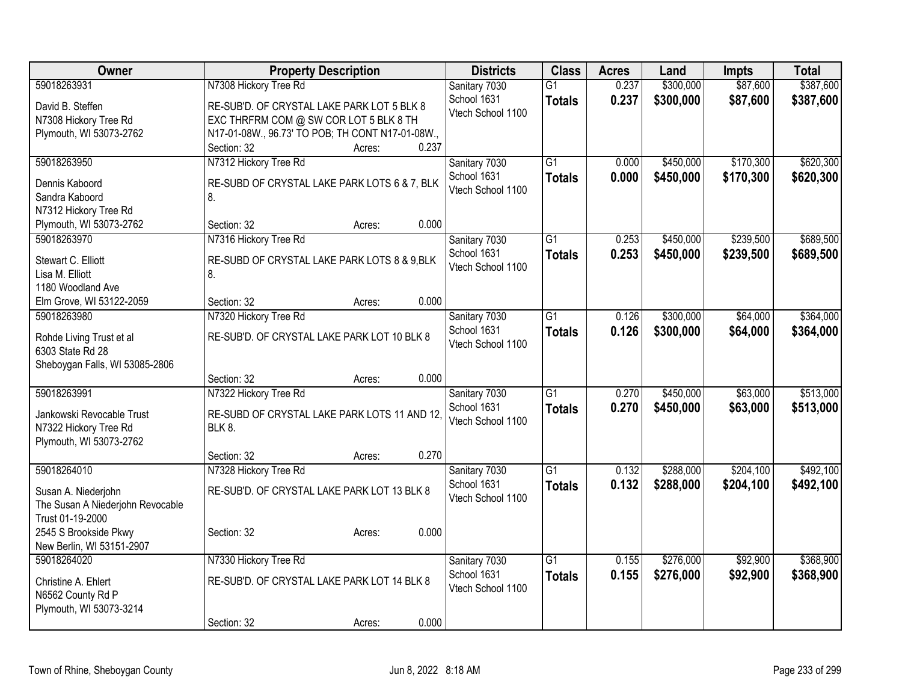| <b>Owner</b>                     | <b>Property Description</b>                      | <b>Districts</b>  | <b>Class</b>    | <b>Acres</b> | Land      | <b>Impts</b> | <b>Total</b> |
|----------------------------------|--------------------------------------------------|-------------------|-----------------|--------------|-----------|--------------|--------------|
| 59018263931                      | N7308 Hickory Tree Rd                            | Sanitary 7030     | $\overline{G1}$ | 0.237        | \$300,000 | \$87,600     | \$387,600    |
| David B. Steffen                 | RE-SUB'D. OF CRYSTAL LAKE PARK LOT 5 BLK 8       | School 1631       | <b>Totals</b>   | 0.237        | \$300,000 | \$87,600     | \$387,600    |
| N7308 Hickory Tree Rd            | EXC THRFRM COM @ SW COR LOT 5 BLK 8 TH           | Vtech School 1100 |                 |              |           |              |              |
| Plymouth, WI 53073-2762          | N17-01-08W., 96.73' TO POB; TH CONT N17-01-08W., |                   |                 |              |           |              |              |
|                                  | Section: 32<br>0.237<br>Acres:                   |                   |                 |              |           |              |              |
| 59018263950                      | N7312 Hickory Tree Rd                            | Sanitary 7030     | $\overline{G1}$ | 0.000        | \$450,000 | \$170,300    | \$620,300    |
| Dennis Kaboord                   | RE-SUBD OF CRYSTAL LAKE PARK LOTS 6 & 7, BLK     | School 1631       | <b>Totals</b>   | 0.000        | \$450,000 | \$170,300    | \$620,300    |
| Sandra Kaboord                   | 8.                                               | Vtech School 1100 |                 |              |           |              |              |
| N7312 Hickory Tree Rd            |                                                  |                   |                 |              |           |              |              |
| Plymouth, WI 53073-2762          | 0.000<br>Section: 32<br>Acres:                   |                   |                 |              |           |              |              |
| 59018263970                      | N7316 Hickory Tree Rd                            | Sanitary 7030     | G1              | 0.253        | \$450,000 | \$239,500    | \$689,500    |
| Stewart C. Elliott               | RE-SUBD OF CRYSTAL LAKE PARK LOTS 8 & 9,BLK      | School 1631       | <b>Totals</b>   | 0.253        | \$450,000 | \$239,500    | \$689,500    |
| Lisa M. Elliott                  | 8.                                               | Vtech School 1100 |                 |              |           |              |              |
| 1180 Woodland Ave                |                                                  |                   |                 |              |           |              |              |
| Elm Grove, WI 53122-2059         | 0.000<br>Section: 32<br>Acres:                   |                   |                 |              |           |              |              |
| 59018263980                      | N7320 Hickory Tree Rd                            | Sanitary 7030     | $\overline{G1}$ | 0.126        | \$300,000 | \$64,000     | \$364,000    |
| Rohde Living Trust et al         | RE-SUB'D. OF CRYSTAL LAKE PARK LOT 10 BLK 8      | School 1631       | <b>Totals</b>   | 0.126        | \$300,000 | \$64,000     | \$364,000    |
| 6303 State Rd 28                 |                                                  | Vtech School 1100 |                 |              |           |              |              |
| Sheboygan Falls, WI 53085-2806   |                                                  |                   |                 |              |           |              |              |
|                                  | 0.000<br>Section: 32<br>Acres:                   |                   |                 |              |           |              |              |
| 59018263991                      | N7322 Hickory Tree Rd                            | Sanitary 7030     | $\overline{G1}$ | 0.270        | \$450,000 | \$63,000     | \$513,000    |
| Jankowski Revocable Trust        | RE-SUBD OF CRYSTAL LAKE PARK LOTS 11 AND 12,     | School 1631       | <b>Totals</b>   | 0.270        | \$450,000 | \$63,000     | \$513,000    |
| N7322 Hickory Tree Rd            | <b>BLK 8.</b>                                    | Vtech School 1100 |                 |              |           |              |              |
| Plymouth, WI 53073-2762          |                                                  |                   |                 |              |           |              |              |
|                                  | 0.270<br>Section: 32<br>Acres:                   |                   |                 |              |           |              |              |
| 59018264010                      | N7328 Hickory Tree Rd                            | Sanitary 7030     | $\overline{G1}$ | 0.132        | \$288,000 | \$204,100    | \$492,100    |
| Susan A. Niederjohn              | RE-SUB'D. OF CRYSTAL LAKE PARK LOT 13 BLK 8      | School 1631       | <b>Totals</b>   | 0.132        | \$288,000 | \$204,100    | \$492,100    |
| The Susan A Niederjohn Revocable |                                                  | Vtech School 1100 |                 |              |           |              |              |
| Trust 01-19-2000                 |                                                  |                   |                 |              |           |              |              |
| 2545 S Brookside Pkwy            | 0.000<br>Section: 32<br>Acres:                   |                   |                 |              |           |              |              |
| New Berlin, WI 53151-2907        |                                                  |                   |                 |              |           |              |              |
| 59018264020                      | N7330 Hickory Tree Rd                            | Sanitary 7030     | $\overline{G1}$ | 0.155        | \$276,000 | \$92,900     | \$368,900    |
| Christine A. Ehlert              | RE-SUB'D. OF CRYSTAL LAKE PARK LOT 14 BLK 8      | School 1631       | <b>Totals</b>   | 0.155        | \$276,000 | \$92,900     | \$368,900    |
| N6562 County Rd P                |                                                  | Vtech School 1100 |                 |              |           |              |              |
| Plymouth, WI 53073-3214          |                                                  |                   |                 |              |           |              |              |
|                                  | 0.000<br>Section: 32<br>Acres:                   |                   |                 |              |           |              |              |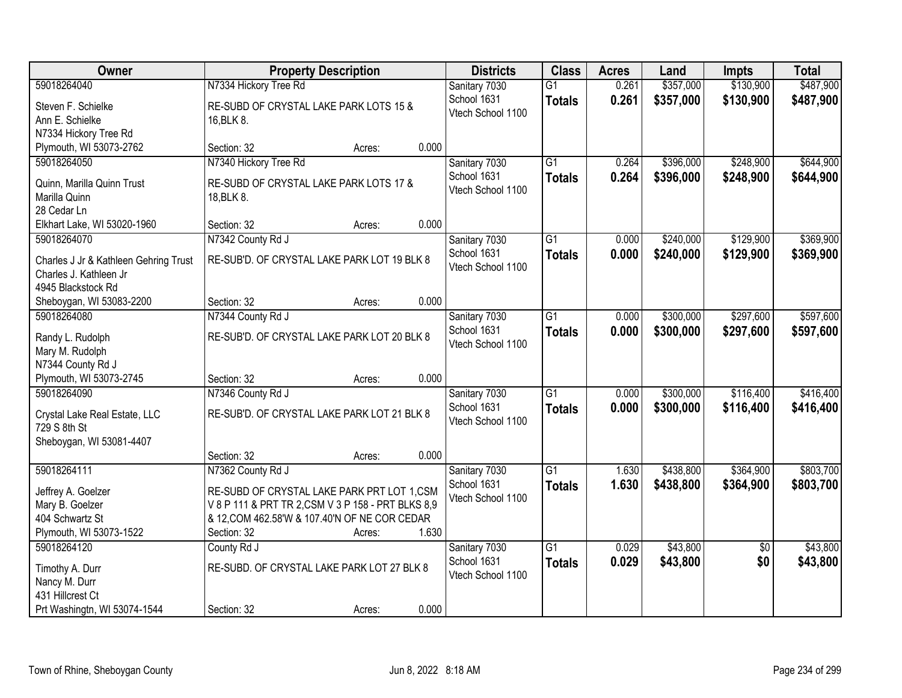| \$487,900<br>59018264040<br>N7334 Hickory Tree Rd<br>\$357,000<br>\$130,900<br>Sanitary 7030<br>$\overline{G1}$<br>0.261<br>School 1631<br>0.261<br>\$357,000<br>\$130,900<br>\$487,900<br><b>Totals</b><br>Steven F. Schielke<br>RE-SUBD OF CRYSTAL LAKE PARK LOTS 15 &<br>Vtech School 1100<br>Ann E. Schielke<br>16, BLK 8.<br>N7334 Hickory Tree Rd<br>0.000<br>Plymouth, WI 53073-2762<br>Section: 32<br>Acres:<br>N7340 Hickory Tree Rd<br>$\overline{G1}$<br>\$396,000<br>\$248,900<br>\$644,900<br>59018264050<br>Sanitary 7030<br>0.264<br>School 1631<br>0.264<br>\$396,000<br>\$248,900<br>\$644,900<br><b>Totals</b><br>Quinn, Marilla Quinn Trust<br>RE-SUBD OF CRYSTAL LAKE PARK LOTS 17 &<br>Vtech School 1100<br>Marilla Quinn<br>18, BLK 8.<br>28 Cedar Ln<br>0.000<br>Elkhart Lake, WI 53020-1960<br>Section: 32<br>Acres:<br>\$129,900<br>\$369,900<br>59018264070<br>N7342 County Rd J<br>Sanitary 7030<br>G1<br>\$240,000<br>0.000<br>School 1631<br>\$129,900<br>0.000<br>\$240,000<br>\$369,900<br><b>Totals</b><br>RE-SUB'D. OF CRYSTAL LAKE PARK LOT 19 BLK 8<br>Charles J Jr & Kathleen Gehring Trust<br>Vtech School 1100<br>Charles J. Kathleen Jr<br>4945 Blackstock Rd<br>0.000<br>Section: 32<br>Sheboygan, WI 53083-2200<br>Acres:<br>$\overline{G1}$<br>\$300,000<br>\$297,600<br>\$597,600<br>59018264080<br>N7344 County Rd J<br>Sanitary 7030<br>0.000<br>School 1631<br>0.000<br>\$300,000<br>\$297,600<br>\$597,600<br><b>Totals</b><br>RE-SUB'D. OF CRYSTAL LAKE PARK LOT 20 BLK 8<br>Randy L. Rudolph<br>Vtech School 1100<br>Mary M. Rudolph<br>N7344 County Rd J<br>0.000<br>Plymouth, WI 53073-2745<br>Section: 32<br>Acres:<br>\$116,400<br>59018264090<br>N7346 County Rd J<br>$\overline{G1}$<br>0.000<br>\$300,000<br>Sanitary 7030<br>School 1631<br>0.000<br>\$300,000<br>\$116,400<br><b>Totals</b><br>RE-SUB'D. OF CRYSTAL LAKE PARK LOT 21 BLK 8<br>Crystal Lake Real Estate, LLC<br>Vtech School 1100<br>729 S 8th St<br>Sheboygan, WI 53081-4407<br>0.000<br>Section: 32<br>Acres: | Owner       | <b>Property Description</b> | <b>Districts</b> | <b>Class</b>    | <b>Acres</b> | Land      | <b>Impts</b> | <b>Total</b> |
|------------------------------------------------------------------------------------------------------------------------------------------------------------------------------------------------------------------------------------------------------------------------------------------------------------------------------------------------------------------------------------------------------------------------------------------------------------------------------------------------------------------------------------------------------------------------------------------------------------------------------------------------------------------------------------------------------------------------------------------------------------------------------------------------------------------------------------------------------------------------------------------------------------------------------------------------------------------------------------------------------------------------------------------------------------------------------------------------------------------------------------------------------------------------------------------------------------------------------------------------------------------------------------------------------------------------------------------------------------------------------------------------------------------------------------------------------------------------------------------------------------------------------------------------------------------------------------------------------------------------------------------------------------------------------------------------------------------------------------------------------------------------------------------------------------------------------------------------------------------------------------------------------------------------------------------------------------------------------------------------------------------------------------------|-------------|-----------------------------|------------------|-----------------|--------------|-----------|--------------|--------------|
|                                                                                                                                                                                                                                                                                                                                                                                                                                                                                                                                                                                                                                                                                                                                                                                                                                                                                                                                                                                                                                                                                                                                                                                                                                                                                                                                                                                                                                                                                                                                                                                                                                                                                                                                                                                                                                                                                                                                                                                                                                          |             |                             |                  |                 |              |           |              |              |
|                                                                                                                                                                                                                                                                                                                                                                                                                                                                                                                                                                                                                                                                                                                                                                                                                                                                                                                                                                                                                                                                                                                                                                                                                                                                                                                                                                                                                                                                                                                                                                                                                                                                                                                                                                                                                                                                                                                                                                                                                                          |             |                             |                  |                 |              |           |              |              |
|                                                                                                                                                                                                                                                                                                                                                                                                                                                                                                                                                                                                                                                                                                                                                                                                                                                                                                                                                                                                                                                                                                                                                                                                                                                                                                                                                                                                                                                                                                                                                                                                                                                                                                                                                                                                                                                                                                                                                                                                                                          |             |                             |                  |                 |              |           |              |              |
|                                                                                                                                                                                                                                                                                                                                                                                                                                                                                                                                                                                                                                                                                                                                                                                                                                                                                                                                                                                                                                                                                                                                                                                                                                                                                                                                                                                                                                                                                                                                                                                                                                                                                                                                                                                                                                                                                                                                                                                                                                          |             |                             |                  |                 |              |           |              |              |
|                                                                                                                                                                                                                                                                                                                                                                                                                                                                                                                                                                                                                                                                                                                                                                                                                                                                                                                                                                                                                                                                                                                                                                                                                                                                                                                                                                                                                                                                                                                                                                                                                                                                                                                                                                                                                                                                                                                                                                                                                                          |             |                             |                  |                 |              |           |              |              |
|                                                                                                                                                                                                                                                                                                                                                                                                                                                                                                                                                                                                                                                                                                                                                                                                                                                                                                                                                                                                                                                                                                                                                                                                                                                                                                                                                                                                                                                                                                                                                                                                                                                                                                                                                                                                                                                                                                                                                                                                                                          |             |                             |                  |                 |              |           |              |              |
|                                                                                                                                                                                                                                                                                                                                                                                                                                                                                                                                                                                                                                                                                                                                                                                                                                                                                                                                                                                                                                                                                                                                                                                                                                                                                                                                                                                                                                                                                                                                                                                                                                                                                                                                                                                                                                                                                                                                                                                                                                          |             |                             |                  |                 |              |           |              |              |
|                                                                                                                                                                                                                                                                                                                                                                                                                                                                                                                                                                                                                                                                                                                                                                                                                                                                                                                                                                                                                                                                                                                                                                                                                                                                                                                                                                                                                                                                                                                                                                                                                                                                                                                                                                                                                                                                                                                                                                                                                                          |             |                             |                  |                 |              |           |              |              |
|                                                                                                                                                                                                                                                                                                                                                                                                                                                                                                                                                                                                                                                                                                                                                                                                                                                                                                                                                                                                                                                                                                                                                                                                                                                                                                                                                                                                                                                                                                                                                                                                                                                                                                                                                                                                                                                                                                                                                                                                                                          |             |                             |                  |                 |              |           |              |              |
|                                                                                                                                                                                                                                                                                                                                                                                                                                                                                                                                                                                                                                                                                                                                                                                                                                                                                                                                                                                                                                                                                                                                                                                                                                                                                                                                                                                                                                                                                                                                                                                                                                                                                                                                                                                                                                                                                                                                                                                                                                          |             |                             |                  |                 |              |           |              |              |
|                                                                                                                                                                                                                                                                                                                                                                                                                                                                                                                                                                                                                                                                                                                                                                                                                                                                                                                                                                                                                                                                                                                                                                                                                                                                                                                                                                                                                                                                                                                                                                                                                                                                                                                                                                                                                                                                                                                                                                                                                                          |             |                             |                  |                 |              |           |              |              |
|                                                                                                                                                                                                                                                                                                                                                                                                                                                                                                                                                                                                                                                                                                                                                                                                                                                                                                                                                                                                                                                                                                                                                                                                                                                                                                                                                                                                                                                                                                                                                                                                                                                                                                                                                                                                                                                                                                                                                                                                                                          |             |                             |                  |                 |              |           |              |              |
|                                                                                                                                                                                                                                                                                                                                                                                                                                                                                                                                                                                                                                                                                                                                                                                                                                                                                                                                                                                                                                                                                                                                                                                                                                                                                                                                                                                                                                                                                                                                                                                                                                                                                                                                                                                                                                                                                                                                                                                                                                          |             |                             |                  |                 |              |           |              |              |
|                                                                                                                                                                                                                                                                                                                                                                                                                                                                                                                                                                                                                                                                                                                                                                                                                                                                                                                                                                                                                                                                                                                                                                                                                                                                                                                                                                                                                                                                                                                                                                                                                                                                                                                                                                                                                                                                                                                                                                                                                                          |             |                             |                  |                 |              |           |              |              |
|                                                                                                                                                                                                                                                                                                                                                                                                                                                                                                                                                                                                                                                                                                                                                                                                                                                                                                                                                                                                                                                                                                                                                                                                                                                                                                                                                                                                                                                                                                                                                                                                                                                                                                                                                                                                                                                                                                                                                                                                                                          |             |                             |                  |                 |              |           |              |              |
|                                                                                                                                                                                                                                                                                                                                                                                                                                                                                                                                                                                                                                                                                                                                                                                                                                                                                                                                                                                                                                                                                                                                                                                                                                                                                                                                                                                                                                                                                                                                                                                                                                                                                                                                                                                                                                                                                                                                                                                                                                          |             |                             |                  |                 |              |           |              |              |
|                                                                                                                                                                                                                                                                                                                                                                                                                                                                                                                                                                                                                                                                                                                                                                                                                                                                                                                                                                                                                                                                                                                                                                                                                                                                                                                                                                                                                                                                                                                                                                                                                                                                                                                                                                                                                                                                                                                                                                                                                                          |             |                             |                  |                 |              |           |              |              |
|                                                                                                                                                                                                                                                                                                                                                                                                                                                                                                                                                                                                                                                                                                                                                                                                                                                                                                                                                                                                                                                                                                                                                                                                                                                                                                                                                                                                                                                                                                                                                                                                                                                                                                                                                                                                                                                                                                                                                                                                                                          |             |                             |                  |                 |              |           |              |              |
|                                                                                                                                                                                                                                                                                                                                                                                                                                                                                                                                                                                                                                                                                                                                                                                                                                                                                                                                                                                                                                                                                                                                                                                                                                                                                                                                                                                                                                                                                                                                                                                                                                                                                                                                                                                                                                                                                                                                                                                                                                          |             |                             |                  |                 |              |           |              |              |
| \$416,400<br>\$416,400                                                                                                                                                                                                                                                                                                                                                                                                                                                                                                                                                                                                                                                                                                                                                                                                                                                                                                                                                                                                                                                                                                                                                                                                                                                                                                                                                                                                                                                                                                                                                                                                                                                                                                                                                                                                                                                                                                                                                                                                                   |             |                             |                  |                 |              |           |              |              |
|                                                                                                                                                                                                                                                                                                                                                                                                                                                                                                                                                                                                                                                                                                                                                                                                                                                                                                                                                                                                                                                                                                                                                                                                                                                                                                                                                                                                                                                                                                                                                                                                                                                                                                                                                                                                                                                                                                                                                                                                                                          |             |                             |                  |                 |              |           |              |              |
|                                                                                                                                                                                                                                                                                                                                                                                                                                                                                                                                                                                                                                                                                                                                                                                                                                                                                                                                                                                                                                                                                                                                                                                                                                                                                                                                                                                                                                                                                                                                                                                                                                                                                                                                                                                                                                                                                                                                                                                                                                          |             |                             |                  |                 |              |           |              |              |
|                                                                                                                                                                                                                                                                                                                                                                                                                                                                                                                                                                                                                                                                                                                                                                                                                                                                                                                                                                                                                                                                                                                                                                                                                                                                                                                                                                                                                                                                                                                                                                                                                                                                                                                                                                                                                                                                                                                                                                                                                                          |             |                             |                  |                 |              |           |              |              |
|                                                                                                                                                                                                                                                                                                                                                                                                                                                                                                                                                                                                                                                                                                                                                                                                                                                                                                                                                                                                                                                                                                                                                                                                                                                                                                                                                                                                                                                                                                                                                                                                                                                                                                                                                                                                                                                                                                                                                                                                                                          |             |                             |                  |                 |              |           |              |              |
|                                                                                                                                                                                                                                                                                                                                                                                                                                                                                                                                                                                                                                                                                                                                                                                                                                                                                                                                                                                                                                                                                                                                                                                                                                                                                                                                                                                                                                                                                                                                                                                                                                                                                                                                                                                                                                                                                                                                                                                                                                          |             |                             |                  |                 |              |           |              |              |
|                                                                                                                                                                                                                                                                                                                                                                                                                                                                                                                                                                                                                                                                                                                                                                                                                                                                                                                                                                                                                                                                                                                                                                                                                                                                                                                                                                                                                                                                                                                                                                                                                                                                                                                                                                                                                                                                                                                                                                                                                                          |             |                             |                  |                 |              |           |              |              |
|                                                                                                                                                                                                                                                                                                                                                                                                                                                                                                                                                                                                                                                                                                                                                                                                                                                                                                                                                                                                                                                                                                                                                                                                                                                                                                                                                                                                                                                                                                                                                                                                                                                                                                                                                                                                                                                                                                                                                                                                                                          |             |                             |                  |                 |              |           |              |              |
|                                                                                                                                                                                                                                                                                                                                                                                                                                                                                                                                                                                                                                                                                                                                                                                                                                                                                                                                                                                                                                                                                                                                                                                                                                                                                                                                                                                                                                                                                                                                                                                                                                                                                                                                                                                                                                                                                                                                                                                                                                          | 59018264111 | N7362 County Rd J           | Sanitary 7030    | $\overline{G1}$ | 1.630        | \$438,800 | \$364,900    | \$803,700    |
| School 1631<br>1.630<br>\$438,800<br>\$364,900<br>\$803,700<br><b>Totals</b><br>RE-SUBD OF CRYSTAL LAKE PARK PRT LOT 1,CSM<br>Jeffrey A. Goelzer                                                                                                                                                                                                                                                                                                                                                                                                                                                                                                                                                                                                                                                                                                                                                                                                                                                                                                                                                                                                                                                                                                                                                                                                                                                                                                                                                                                                                                                                                                                                                                                                                                                                                                                                                                                                                                                                                         |             |                             |                  |                 |              |           |              |              |
| Vtech School 1100<br>V 8 P 111 & PRT TR 2, CSM V 3 P 158 - PRT BLKS 8,9<br>Mary B. Goelzer                                                                                                                                                                                                                                                                                                                                                                                                                                                                                                                                                                                                                                                                                                                                                                                                                                                                                                                                                                                                                                                                                                                                                                                                                                                                                                                                                                                                                                                                                                                                                                                                                                                                                                                                                                                                                                                                                                                                               |             |                             |                  |                 |              |           |              |              |
| 404 Schwartz St<br>& 12, COM 462.58'W & 107.40'N OF NE COR CEDAR                                                                                                                                                                                                                                                                                                                                                                                                                                                                                                                                                                                                                                                                                                                                                                                                                                                                                                                                                                                                                                                                                                                                                                                                                                                                                                                                                                                                                                                                                                                                                                                                                                                                                                                                                                                                                                                                                                                                                                         |             |                             |                  |                 |              |           |              |              |
| Plymouth, WI 53073-1522<br>1.630<br>Section: 32<br>Acres:                                                                                                                                                                                                                                                                                                                                                                                                                                                                                                                                                                                                                                                                                                                                                                                                                                                                                                                                                                                                                                                                                                                                                                                                                                                                                                                                                                                                                                                                                                                                                                                                                                                                                                                                                                                                                                                                                                                                                                                |             |                             |                  |                 |              |           |              |              |
| $\overline{G1}$<br>\$43,800<br>\$43,800<br>59018264120<br>County Rd J<br>Sanitary 7030<br>0.029<br>$\overline{50}$                                                                                                                                                                                                                                                                                                                                                                                                                                                                                                                                                                                                                                                                                                                                                                                                                                                                                                                                                                                                                                                                                                                                                                                                                                                                                                                                                                                                                                                                                                                                                                                                                                                                                                                                                                                                                                                                                                                       |             |                             |                  |                 |              |           |              |              |
| \$0<br>School 1631<br>0.029<br>\$43,800<br>\$43,800<br><b>Totals</b>                                                                                                                                                                                                                                                                                                                                                                                                                                                                                                                                                                                                                                                                                                                                                                                                                                                                                                                                                                                                                                                                                                                                                                                                                                                                                                                                                                                                                                                                                                                                                                                                                                                                                                                                                                                                                                                                                                                                                                     |             |                             |                  |                 |              |           |              |              |
| RE-SUBD. OF CRYSTAL LAKE PARK LOT 27 BLK 8<br>Timothy A. Durr<br>Vtech School 1100<br>Nancy M. Durr                                                                                                                                                                                                                                                                                                                                                                                                                                                                                                                                                                                                                                                                                                                                                                                                                                                                                                                                                                                                                                                                                                                                                                                                                                                                                                                                                                                                                                                                                                                                                                                                                                                                                                                                                                                                                                                                                                                                      |             |                             |                  |                 |              |           |              |              |
| 431 Hillcrest Ct                                                                                                                                                                                                                                                                                                                                                                                                                                                                                                                                                                                                                                                                                                                                                                                                                                                                                                                                                                                                                                                                                                                                                                                                                                                                                                                                                                                                                                                                                                                                                                                                                                                                                                                                                                                                                                                                                                                                                                                                                         |             |                             |                  |                 |              |           |              |              |
| 0.000<br>Prt Washingtn, WI 53074-1544<br>Section: 32<br>Acres:                                                                                                                                                                                                                                                                                                                                                                                                                                                                                                                                                                                                                                                                                                                                                                                                                                                                                                                                                                                                                                                                                                                                                                                                                                                                                                                                                                                                                                                                                                                                                                                                                                                                                                                                                                                                                                                                                                                                                                           |             |                             |                  |                 |              |           |              |              |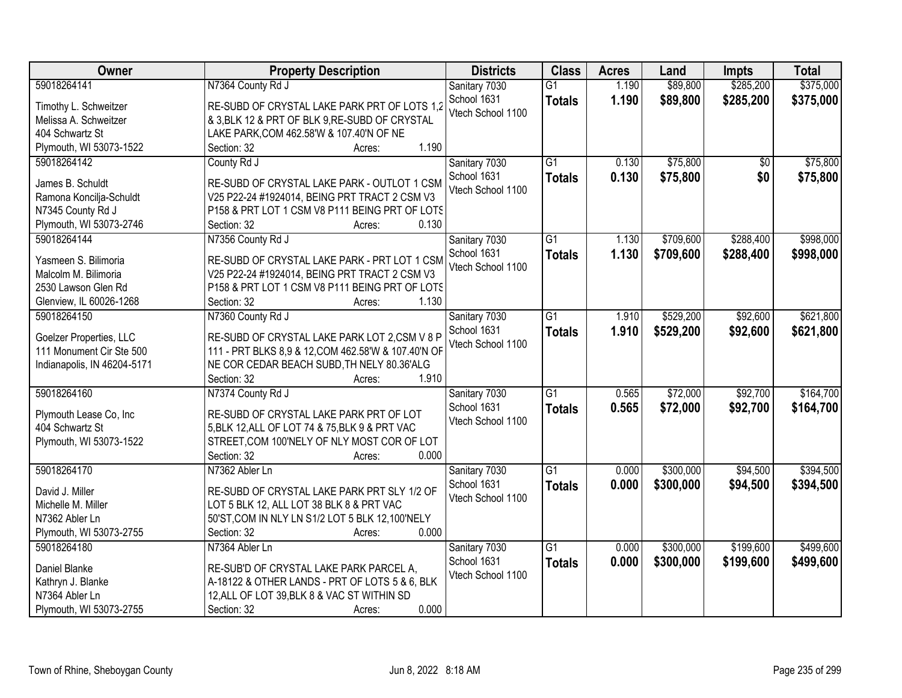| Owner                                     | <b>Property Description</b>                         | <b>Districts</b>  | <b>Class</b>    | <b>Acres</b> | Land      | <b>Impts</b> | <b>Total</b> |
|-------------------------------------------|-----------------------------------------------------|-------------------|-----------------|--------------|-----------|--------------|--------------|
| 59018264141                               | N7364 County Rd J                                   | Sanitary 7030     | $\overline{G1}$ | 1.190        | \$89,800  | \$285,200    | \$375,000    |
| Timothy L. Schweitzer                     | RE-SUBD OF CRYSTAL LAKE PARK PRT OF LOTS 1,2        | School 1631       | <b>Totals</b>   | 1.190        | \$89,800  | \$285,200    | \$375,000    |
| Melissa A. Schweitzer                     | & 3, BLK 12 & PRT OF BLK 9, RE-SUBD OF CRYSTAL      | Vtech School 1100 |                 |              |           |              |              |
| 404 Schwartz St                           | LAKE PARK, COM 462.58'W & 107.40'N OF NE            |                   |                 |              |           |              |              |
| Plymouth, WI 53073-1522                   | 1.190<br>Section: 32<br>Acres:                      |                   |                 |              |           |              |              |
| 59018264142                               | County Rd J                                         | Sanitary 7030     | $\overline{G1}$ | 0.130        | \$75,800  | \$0          | \$75,800     |
|                                           |                                                     | School 1631       | <b>Totals</b>   | 0.130        | \$75,800  | \$0          | \$75,800     |
| James B. Schuldt                          | RE-SUBD OF CRYSTAL LAKE PARK - OUTLOT 1 CSM         | Vtech School 1100 |                 |              |           |              |              |
| Ramona Koncilja-Schuldt                   | V25 P22-24 #1924014, BEING PRT TRACT 2 CSM V3       |                   |                 |              |           |              |              |
| N7345 County Rd J                         | P158 & PRT LOT 1 CSM V8 P111 BEING PRT OF LOTS      |                   |                 |              |           |              |              |
| Plymouth, WI 53073-2746                   | 0.130<br>Section: 32<br>Acres:                      |                   |                 |              |           |              |              |
| 59018264144                               | N7356 County Rd J                                   | Sanitary 7030     | G1              | 1.130        | \$709,600 | \$288,400    | \$998,000    |
| Yasmeen S. Bilimoria                      | RE-SUBD OF CRYSTAL LAKE PARK - PRT LOT 1 CSM        | School 1631       | <b>Totals</b>   | 1.130        | \$709,600 | \$288,400    | \$998,000    |
| Malcolm M. Bilimoria                      | V25 P22-24 #1924014, BEING PRT TRACT 2 CSM V3       | Vtech School 1100 |                 |              |           |              |              |
| 2530 Lawson Glen Rd                       | P158 & PRT LOT 1 CSM V8 P111 BEING PRT OF LOTS      |                   |                 |              |           |              |              |
| Glenview, IL 60026-1268                   | Section: 32<br>1.130<br>Acres:                      |                   |                 |              |           |              |              |
| 59018264150                               | N7360 County Rd J                                   | Sanitary 7030     | $\overline{G1}$ | 1.910        | \$529,200 | \$92,600     | \$621,800    |
|                                           |                                                     | School 1631       |                 | 1.910        | \$529,200 | \$92,600     | \$621,800    |
| Goelzer Properties, LLC                   | RE-SUBD OF CRYSTAL LAKE PARK LOT 2,CSM V 8 P        | Vtech School 1100 | <b>Totals</b>   |              |           |              |              |
| 111 Monument Cir Ste 500                  | 111 - PRT BLKS 8,9 & 12, COM 462.58'W & 107.40'N OF |                   |                 |              |           |              |              |
| Indianapolis, IN 46204-5171               | NE COR CEDAR BEACH SUBD, TH NELY 80.36'ALG          |                   |                 |              |           |              |              |
|                                           | 1.910<br>Section: 32<br>Acres:                      |                   |                 |              |           |              |              |
| 59018264160                               | N7374 County Rd J                                   | Sanitary 7030     | $\overline{G1}$ | 0.565        | \$72,000  | \$92,700     | \$164,700    |
|                                           | RE-SUBD OF CRYSTAL LAKE PARK PRT OF LOT             | School 1631       | <b>Totals</b>   | 0.565        | \$72,000  | \$92,700     | \$164,700    |
| Plymouth Lease Co, Inc<br>404 Schwartz St | 5, BLK 12, ALL OF LOT 74 & 75, BLK 9 & PRT VAC      | Vtech School 1100 |                 |              |           |              |              |
| Plymouth, WI 53073-1522                   | STREET, COM 100'NELY OF NLY MOST COR OF LOT         |                   |                 |              |           |              |              |
|                                           | 0.000<br>Section: 32                                |                   |                 |              |           |              |              |
| 59018264170                               | Acres:                                              |                   | $\overline{G1}$ |              |           |              |              |
|                                           | N7362 Abler Ln                                      | Sanitary 7030     |                 | 0.000        | \$300,000 | \$94,500     | \$394,500    |
| David J. Miller                           | RE-SUBD OF CRYSTAL LAKE PARK PRT SLY 1/2 OF         | School 1631       | <b>Totals</b>   | 0.000        | \$300,000 | \$94,500     | \$394,500    |
| Michelle M. Miller                        | LOT 5 BLK 12, ALL LOT 38 BLK 8 & PRT VAC            | Vtech School 1100 |                 |              |           |              |              |
| N7362 Abler Ln                            | 50'ST, COM IN NLY LN S1/2 LOT 5 BLK 12, 100'NELY    |                   |                 |              |           |              |              |
| Plymouth, WI 53073-2755                   | 0.000<br>Section: 32<br>Acres:                      |                   |                 |              |           |              |              |
| 59018264180                               | N7364 Abler Ln                                      | Sanitary 7030     | $\overline{G1}$ | 0.000        | \$300,000 | \$199,600    | \$499,600    |
|                                           |                                                     | School 1631       | <b>Totals</b>   | 0.000        | \$300,000 | \$199,600    | \$499,600    |
| Daniel Blanke                             | RE-SUB'D OF CRYSTAL LAKE PARK PARCEL A,             | Vtech School 1100 |                 |              |           |              |              |
| Kathryn J. Blanke                         | A-18122 & OTHER LANDS - PRT OF LOTS 5 & 6, BLK      |                   |                 |              |           |              |              |
| N7364 Abler Ln                            | 12, ALL OF LOT 39, BLK 8 & VAC ST WITHIN SD         |                   |                 |              |           |              |              |
| Plymouth, WI 53073-2755                   | 0.000<br>Section: 32<br>Acres:                      |                   |                 |              |           |              |              |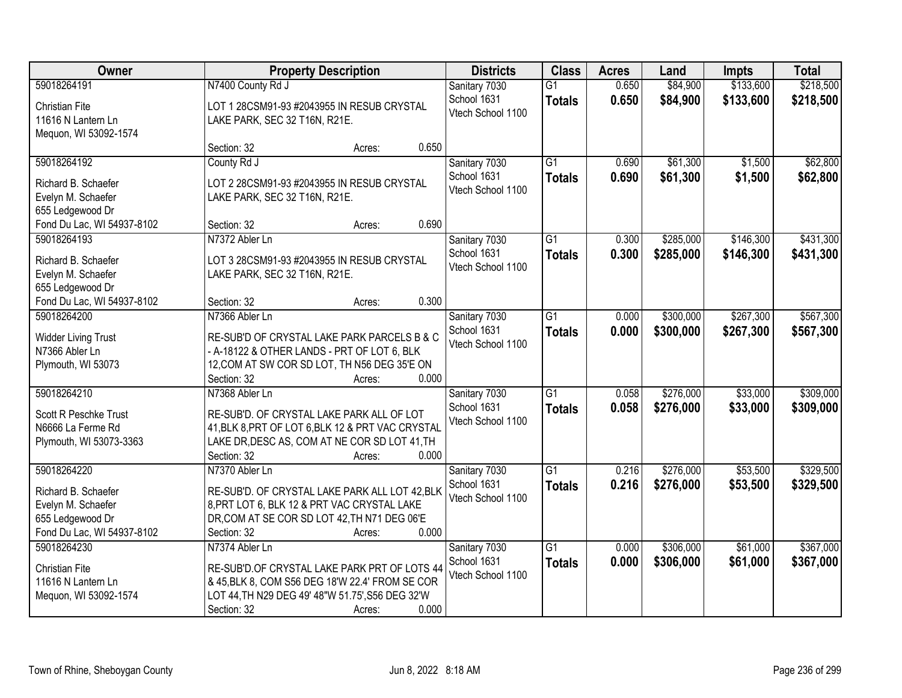| Owner                                                                                | <b>Property Description</b>                                                                                                                                                                             | <b>Districts</b>                                  | <b>Class</b>                     | <b>Acres</b>   | Land                   | <b>Impts</b>           | <b>Total</b>           |
|--------------------------------------------------------------------------------------|---------------------------------------------------------------------------------------------------------------------------------------------------------------------------------------------------------|---------------------------------------------------|----------------------------------|----------------|------------------------|------------------------|------------------------|
| 59018264191                                                                          | N7400 County Rd J                                                                                                                                                                                       | Sanitary 7030                                     | $\overline{G1}$                  | 0.650          | \$84,900               | \$133,600              | \$218,500              |
| <b>Christian Fite</b><br>11616 N Lantern Ln<br>Mequon, WI 53092-1574                 | LOT 1 28CSM91-93 #2043955 IN RESUB CRYSTAL<br>LAKE PARK, SEC 32 T16N, R21E.                                                                                                                             | School 1631<br>Vtech School 1100                  | <b>Totals</b>                    | 0.650          | \$84,900               | \$133,600              | \$218,500              |
|                                                                                      | 0.650<br>Section: 32<br>Acres:                                                                                                                                                                          |                                                   |                                  |                |                        |                        |                        |
| 59018264192<br>Richard B. Schaefer<br>Evelyn M. Schaefer                             | County Rd J<br>LOT 2 28CSM91-93 #2043955 IN RESUB CRYSTAL<br>LAKE PARK, SEC 32 T16N, R21E.                                                                                                              | Sanitary 7030<br>School 1631<br>Vtech School 1100 | $\overline{G1}$<br><b>Totals</b> | 0.690<br>0.690 | \$61,300<br>\$61,300   | \$1,500<br>\$1,500     | \$62,800<br>\$62,800   |
| 655 Ledgewood Dr<br>Fond Du Lac, WI 54937-8102                                       | 0.690<br>Section: 32<br>Acres:                                                                                                                                                                          |                                                   |                                  |                |                        |                        |                        |
| 59018264193                                                                          | N7372 Abler Ln                                                                                                                                                                                          | Sanitary 7030                                     | G1                               | 0.300          | \$285,000              | \$146,300              | \$431,300              |
| Richard B. Schaefer<br>Evelyn M. Schaefer<br>655 Ledgewood Dr                        | LOT 3 28CSM91-93 #2043955 IN RESUB CRYSTAL<br>LAKE PARK, SEC 32 T16N, R21E.                                                                                                                             | School 1631<br>Vtech School 1100                  | <b>Totals</b>                    | 0.300          | \$285,000              | \$146,300              | \$431,300              |
| Fond Du Lac, WI 54937-8102                                                           | 0.300<br>Section: 32<br>Acres:                                                                                                                                                                          |                                                   |                                  |                |                        |                        |                        |
| 59018264200                                                                          | N7366 Abler Ln<br>RE-SUB'D OF CRYSTAL LAKE PARK PARCELS B & C                                                                                                                                           | Sanitary 7030<br>School 1631                      | G1<br><b>Totals</b>              | 0.000<br>0.000 | \$300,000<br>\$300,000 | \$267,300<br>\$267,300 | \$567,300<br>\$567,300 |
| <b>Widder Living Trust</b><br>N7366 Abler Ln<br>Plymouth, WI 53073                   | - A-18122 & OTHER LANDS - PRT OF LOT 6, BLK<br>12, COM AT SW COR SD LOT, TH N56 DEG 35'E ON<br>0.000<br>Section: 32<br>Acres:                                                                           | Vtech School 1100                                 |                                  |                |                        |                        |                        |
| 59018264210<br>Scott R Peschke Trust<br>N6666 La Ferme Rd<br>Plymouth, WI 53073-3363 | N7368 Abler Ln<br>RE-SUB'D. OF CRYSTAL LAKE PARK ALL OF LOT<br>41, BLK 8, PRT OF LOT 6, BLK 12 & PRT VAC CRYSTAL<br>LAKE DR, DESC AS, COM AT NE COR SD LOT 41, TH<br>Section: 32<br>0.000<br>Acres:     | Sanitary 7030<br>School 1631<br>Vtech School 1100 | $\overline{G1}$<br><b>Totals</b> | 0.058<br>0.058 | \$276,000<br>\$276,000 | \$33,000<br>\$33,000   | \$309,000<br>\$309,000 |
| 59018264220<br>Richard B. Schaefer<br>Evelyn M. Schaefer<br>655 Ledgewood Dr         | N7370 Abler Ln<br>RE-SUB'D. OF CRYSTAL LAKE PARK ALL LOT 42, BLK<br>8, PRT LOT 6, BLK 12 & PRT VAC CRYSTAL LAKE<br>DR, COM AT SE COR SD LOT 42, TH N71 DEG 06'E                                         | Sanitary 7030<br>School 1631<br>Vtech School 1100 | $\overline{G1}$<br><b>Totals</b> | 0.216<br>0.216 | \$276,000<br>\$276,000 | \$53,500<br>\$53,500   | \$329,500<br>\$329,500 |
| Fond Du Lac, WI 54937-8102                                                           | 0.000<br>Section: 32<br>Acres:                                                                                                                                                                          |                                                   |                                  |                |                        |                        |                        |
| 59018264230<br><b>Christian Fite</b><br>11616 N Lantern Ln<br>Mequon, WI 53092-1574  | N7374 Abler Ln<br>RE-SUB'D.OF CRYSTAL LAKE PARK PRT OF LOTS 44<br>& 45, BLK 8, COM S56 DEG 18'W 22.4' FROM SE COR<br>LOT 44, TH N29 DEG 49' 48"W 51.75', S56 DEG 32'W<br>0.000<br>Section: 32<br>Acres: | Sanitary 7030<br>School 1631<br>Vtech School 1100 | $\overline{G1}$<br><b>Totals</b> | 0.000<br>0.000 | \$306,000<br>\$306,000 | \$61,000<br>\$61,000   | \$367,000<br>\$367,000 |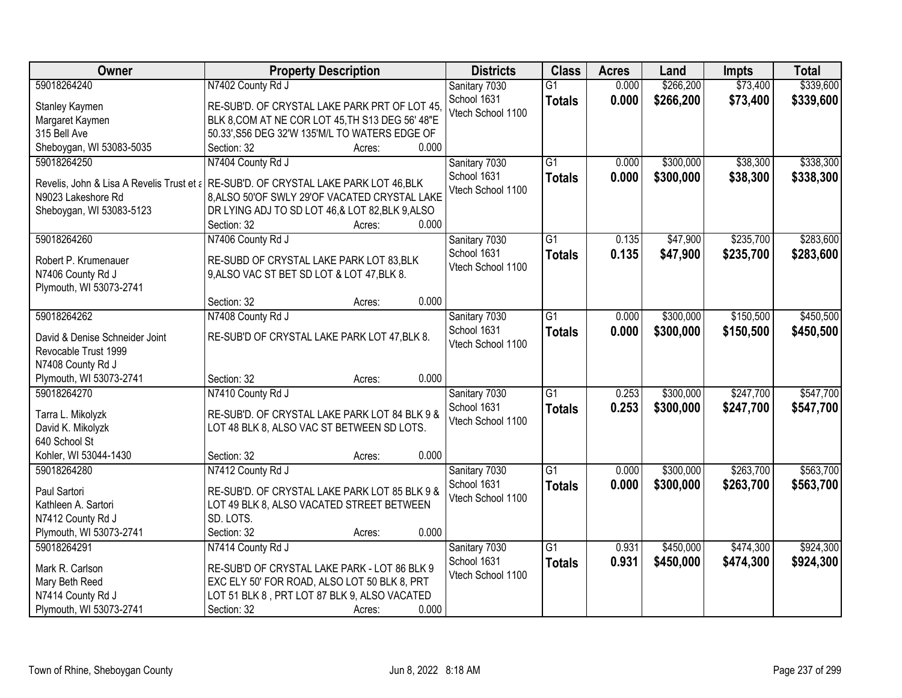| Owner                          | <b>Property Description</b>                                                          | <b>Districts</b>  | <b>Class</b>    | <b>Acres</b> | Land      | <b>Impts</b> | <b>Total</b> |
|--------------------------------|--------------------------------------------------------------------------------------|-------------------|-----------------|--------------|-----------|--------------|--------------|
| 59018264240                    | N7402 County Rd J                                                                    | Sanitary 7030     | $\overline{G1}$ | 0.000        | \$266,200 | \$73,400     | \$339,600    |
| Stanley Kaymen                 | RE-SUB'D. OF CRYSTAL LAKE PARK PRT OF LOT 45                                         | School 1631       | <b>Totals</b>   | 0.000        | \$266,200 | \$73,400     | \$339,600    |
| Margaret Kaymen                | BLK 8, COM AT NE COR LOT 45, TH S13 DEG 56' 48"E                                     | Vtech School 1100 |                 |              |           |              |              |
| 315 Bell Ave                   | 50.33', S56 DEG 32'W 135'M/L TO WATERS EDGE OF                                       |                   |                 |              |           |              |              |
| Sheboygan, WI 53083-5035       | 0.000<br>Section: 32<br>Acres:                                                       |                   |                 |              |           |              |              |
| 59018264250                    | N7404 County Rd J                                                                    | Sanitary 7030     | $\overline{G1}$ | 0.000        | \$300,000 | \$38,300     | \$338,300    |
|                                |                                                                                      | School 1631       | <b>Totals</b>   | 0.000        | \$300,000 | \$38,300     | \$338,300    |
|                                | Revelis, John & Lisa A Revelis Trust et a RE-SUB'D. OF CRYSTAL LAKE PARK LOT 46, BLK | Vtech School 1100 |                 |              |           |              |              |
| N9023 Lakeshore Rd             | 8.ALSO 50'OF SWLY 29'OF VACATED CRYSTAL LAKE                                         |                   |                 |              |           |              |              |
| Sheboygan, WI 53083-5123       | DR LYING ADJ TO SD LOT 46,& LOT 82, BLK 9, ALSO                                      |                   |                 |              |           |              |              |
|                                | 0.000<br>Section: 32<br>Acres:                                                       |                   |                 |              |           |              |              |
| 59018264260                    | N7406 County Rd J                                                                    | Sanitary 7030     | $\overline{G1}$ | 0.135        | \$47,900  | \$235,700    | \$283,600    |
| Robert P. Krumenauer           | RE-SUBD OF CRYSTAL LAKE PARK LOT 83, BLK                                             | School 1631       | <b>Totals</b>   | 0.135        | \$47,900  | \$235,700    | \$283,600    |
| N7406 County Rd J              | 9, ALSO VAC ST BET SD LOT & LOT 47, BLK 8.                                           | Vtech School 1100 |                 |              |           |              |              |
| Plymouth, WI 53073-2741        |                                                                                      |                   |                 |              |           |              |              |
|                                | 0.000<br>Section: 32<br>Acres:                                                       |                   |                 |              |           |              |              |
| 59018264262                    | N7408 County Rd J                                                                    | Sanitary 7030     | $\overline{G1}$ | 0.000        | \$300,000 | \$150,500    | \$450,500    |
| David & Denise Schneider Joint | RE-SUB'D OF CRYSTAL LAKE PARK LOT 47, BLK 8.                                         | School 1631       | <b>Totals</b>   | 0.000        | \$300,000 | \$150,500    | \$450,500    |
| Revocable Trust 1999           |                                                                                      | Vtech School 1100 |                 |              |           |              |              |
| N7408 County Rd J              |                                                                                      |                   |                 |              |           |              |              |
| Plymouth, WI 53073-2741        | 0.000<br>Section: 32<br>Acres:                                                       |                   |                 |              |           |              |              |
| 59018264270                    | N7410 County Rd J                                                                    | Sanitary 7030     | $\overline{G1}$ | 0.253        | \$300,000 | \$247,700    | \$547,700    |
|                                |                                                                                      | School 1631       |                 | 0.253        |           | \$247,700    |              |
| Tarra L. Mikolyzk              | RE-SUB'D. OF CRYSTAL LAKE PARK LOT 84 BLK 9 &                                        | Vtech School 1100 | <b>Totals</b>   |              | \$300,000 |              | \$547,700    |
| David K. Mikolyzk              | LOT 48 BLK 8, ALSO VAC ST BETWEEN SD LOTS.                                           |                   |                 |              |           |              |              |
| 640 School St                  |                                                                                      |                   |                 |              |           |              |              |
| Kohler, WI 53044-1430          | 0.000<br>Section: 32<br>Acres:                                                       |                   |                 |              |           |              |              |
| 59018264280                    | N7412 County Rd J                                                                    | Sanitary 7030     | $\overline{G1}$ | 0.000        | \$300,000 | \$263,700    | \$563,700    |
| Paul Sartori                   | RE-SUB'D. OF CRYSTAL LAKE PARK LOT 85 BLK 9 &                                        | School 1631       | <b>Totals</b>   | 0.000        | \$300,000 | \$263,700    | \$563,700    |
| Kathleen A. Sartori            | LOT 49 BLK 8, ALSO VACATED STREET BETWEEN                                            | Vtech School 1100 |                 |              |           |              |              |
| N7412 County Rd J              | SD. LOTS.                                                                            |                   |                 |              |           |              |              |
| Plymouth, WI 53073-2741        | 0.000<br>Section: 32<br>Acres:                                                       |                   |                 |              |           |              |              |
| 59018264291                    | N7414 County Rd J                                                                    | Sanitary 7030     | $\overline{G1}$ | 0.931        | \$450,000 | \$474,300    | \$924,300    |
|                                |                                                                                      | School 1631       | <b>Totals</b>   | 0.931        | \$450,000 | \$474,300    | \$924,300    |
| Mark R. Carlson                | RE-SUB'D OF CRYSTAL LAKE PARK - LOT 86 BLK 9                                         | Vtech School 1100 |                 |              |           |              |              |
| Mary Beth Reed                 | EXC ELY 50' FOR ROAD, ALSO LOT 50 BLK 8, PRT                                         |                   |                 |              |           |              |              |
| N7414 County Rd J              | LOT 51 BLK 8, PRT LOT 87 BLK 9, ALSO VACATED                                         |                   |                 |              |           |              |              |
| Plymouth, WI 53073-2741        | 0.000<br>Section: 32<br>Acres:                                                       |                   |                 |              |           |              |              |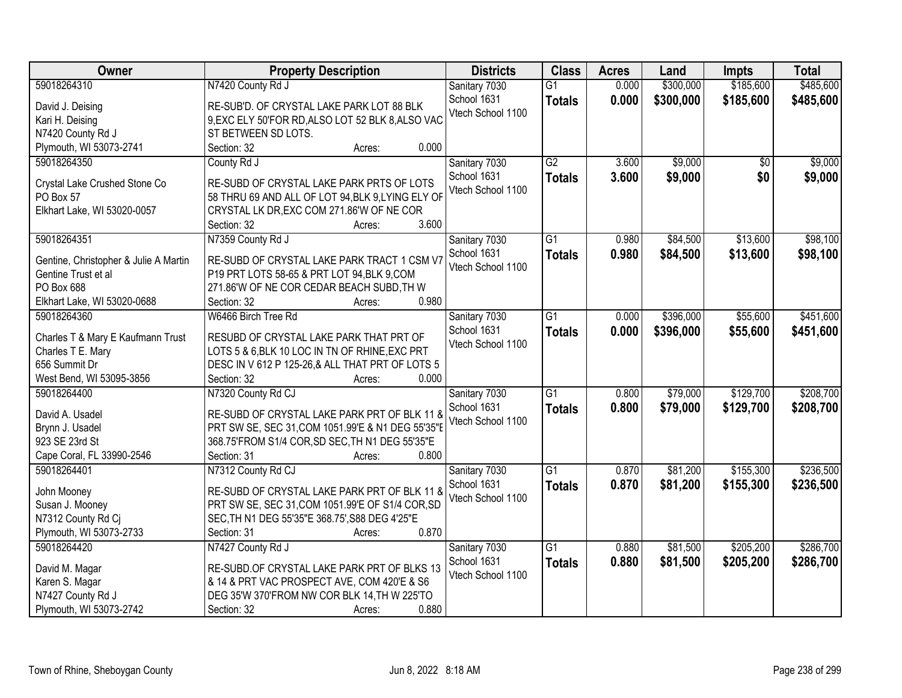| Owner                                 | <b>Property Description</b>                       | <b>Districts</b>             | <b>Class</b>    | <b>Acres</b> | Land      | <b>Impts</b> | <b>Total</b> |
|---------------------------------------|---------------------------------------------------|------------------------------|-----------------|--------------|-----------|--------------|--------------|
| 59018264310                           | N7420 County Rd J                                 | Sanitary 7030                | $\overline{G1}$ | 0.000        | \$300,000 | \$185,600    | \$485,600    |
| David J. Deising                      | RE-SUB'D. OF CRYSTAL LAKE PARK LOT 88 BLK         | School 1631                  | <b>Totals</b>   | 0.000        | \$300,000 | \$185,600    | \$485,600    |
| Kari H. Deising                       | 9, EXC ELY 50'FOR RD, ALSO LOT 52 BLK 8, ALSO VAC | Vtech School 1100            |                 |              |           |              |              |
| N7420 County Rd J                     | ST BETWEEN SD LOTS.                               |                              |                 |              |           |              |              |
| Plymouth, WI 53073-2741               | 0.000<br>Section: 32<br>Acres:                    |                              |                 |              |           |              |              |
| 59018264350                           | County Rd J                                       | Sanitary 7030                | $\overline{G2}$ | 3.600        | \$9,000   | \$0          | \$9,000      |
|                                       |                                                   | School 1631                  |                 | 3.600        | \$9,000   | \$0          | \$9,000      |
| Crystal Lake Crushed Stone Co         | RE-SUBD OF CRYSTAL LAKE PARK PRTS OF LOTS         | Vtech School 1100            | <b>Totals</b>   |              |           |              |              |
| PO Box 57                             | 58 THRU 69 AND ALL OF LOT 94, BLK 9, LYING ELY OF |                              |                 |              |           |              |              |
| Elkhart Lake, WI 53020-0057           | CRYSTAL LK DR, EXC COM 271.86'W OF NE COR         |                              |                 |              |           |              |              |
|                                       | 3.600<br>Section: 32<br>Acres:                    |                              |                 |              |           |              |              |
| 59018264351                           | N7359 County Rd J                                 | Sanitary 7030                | $\overline{G1}$ | 0.980        | \$84,500  | \$13,600     | \$98,100     |
| Gentine, Christopher & Julie A Martin | RE-SUBD OF CRYSTAL LAKE PARK TRACT 1 CSM V7       | School 1631                  | <b>Totals</b>   | 0.980        | \$84,500  | \$13,600     | \$98,100     |
| Gentine Trust et al                   | P19 PRT LOTS 58-65 & PRT LOT 94, BLK 9, COM       | Vtech School 1100            |                 |              |           |              |              |
| PO Box 688                            | 271.86'W OF NE COR CEDAR BEACH SUBD, TH W         |                              |                 |              |           |              |              |
| Elkhart Lake, WI 53020-0688           | 0.980<br>Section: 32<br>Acres:                    |                              |                 |              |           |              |              |
| 59018264360                           | W6466 Birch Tree Rd                               |                              | $\overline{G1}$ | 0.000        | \$396,000 | \$55,600     | \$451,600    |
|                                       |                                                   | Sanitary 7030<br>School 1631 |                 |              |           |              |              |
| Charles T & Mary E Kaufmann Trust     | RESUBD OF CRYSTAL LAKE PARK THAT PRT OF           | Vtech School 1100            | <b>Totals</b>   | 0.000        | \$396,000 | \$55,600     | \$451,600    |
| Charles T E. Mary                     | LOTS 5 & 6, BLK 10 LOC IN TN OF RHINE, EXC PRT    |                              |                 |              |           |              |              |
| 656 Summit Dr                         | DESC IN V 612 P 125-26, & ALL THAT PRT OF LOTS 5  |                              |                 |              |           |              |              |
| West Bend, WI 53095-3856              | 0.000<br>Section: 32<br>Acres:                    |                              |                 |              |           |              |              |
| 59018264400                           | N7320 County Rd CJ                                | Sanitary 7030                | $\overline{G1}$ | 0.800        | \$79,000  | \$129,700    | \$208,700    |
|                                       |                                                   | School 1631                  | <b>Totals</b>   | 0.800        | \$79,000  | \$129,700    | \$208,700    |
| David A. Usadel                       | RE-SUBD OF CRYSTAL LAKE PARK PRT OF BLK 11 &      | Vtech School 1100            |                 |              |           |              |              |
| Brynn J. Usadel                       | PRT SW SE, SEC 31, COM 1051.99'E & N1 DEG 55'35"E |                              |                 |              |           |              |              |
| 923 SE 23rd St                        | 368.75'FROM S1/4 COR, SD SEC, TH N1 DEG 55'35"E   |                              |                 |              |           |              |              |
| Cape Coral, FL 33990-2546             | 0.800<br>Section: 31<br>Acres:                    |                              |                 |              |           |              |              |
| 59018264401                           | N7312 County Rd CJ                                | Sanitary 7030                | $\overline{G1}$ | 0.870        | \$81,200  | \$155,300    | \$236,500    |
| John Mooney                           | RE-SUBD OF CRYSTAL LAKE PARK PRT OF BLK 11 &      | School 1631                  | <b>Totals</b>   | 0.870        | \$81,200  | \$155,300    | \$236,500    |
| Susan J. Mooney                       | PRT SW SE, SEC 31, COM 1051.99'E OF S1/4 COR, SD  | Vtech School 1100            |                 |              |           |              |              |
| N7312 County Rd Cj                    | SEC, TH N1 DEG 55'35"E 368.75', S88 DEG 4'25"E    |                              |                 |              |           |              |              |
| Plymouth, WI 53073-2733               | 0.870<br>Section: 31<br>Acres:                    |                              |                 |              |           |              |              |
| 59018264420                           | N7427 County Rd J                                 | Sanitary 7030                | $\overline{G1}$ | 0.880        | \$81,500  | \$205,200    | \$286,700    |
|                                       |                                                   | School 1631                  | <b>Totals</b>   | 0.880        | \$81,500  | \$205,200    | \$286,700    |
| David M. Magar                        | RE-SUBD.OF CRYSTAL LAKE PARK PRT OF BLKS 13       | Vtech School 1100            |                 |              |           |              |              |
| Karen S. Magar                        | & 14 & PRT VAC PROSPECT AVE, COM 420'E & S6       |                              |                 |              |           |              |              |
| N7427 County Rd J                     | DEG 35'W 370'FROM NW COR BLK 14, TH W 225'TO      |                              |                 |              |           |              |              |
| Plymouth, WI 53073-2742               | 0.880<br>Section: 32<br>Acres:                    |                              |                 |              |           |              |              |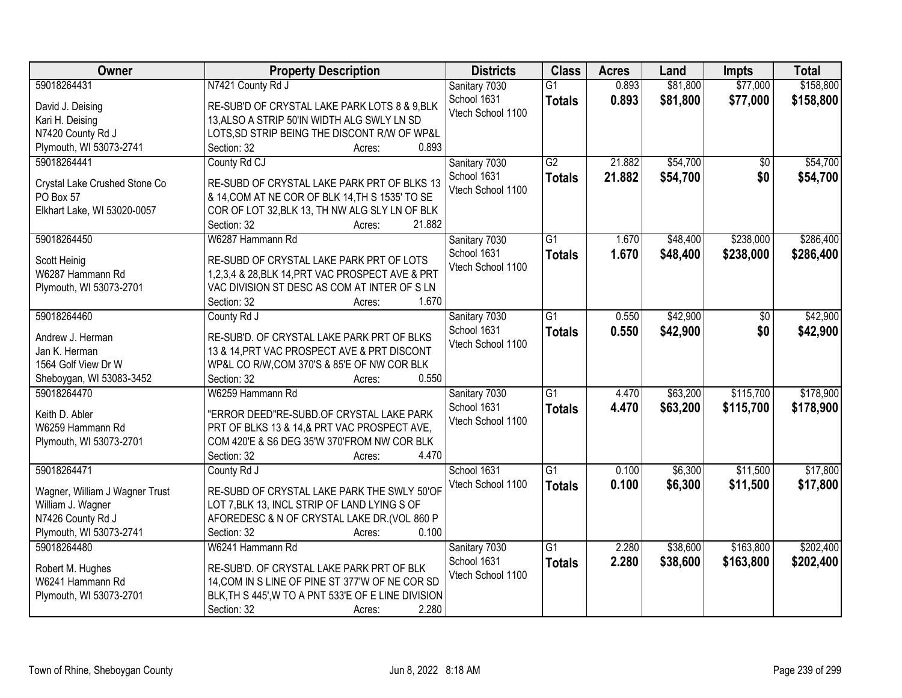| Owner                          | <b>Property Description</b>                                                                  | <b>Districts</b>  | <b>Class</b>    | <b>Acres</b> | Land     | <b>Impts</b>    | <b>Total</b> |
|--------------------------------|----------------------------------------------------------------------------------------------|-------------------|-----------------|--------------|----------|-----------------|--------------|
| 59018264431                    | N7421 County Rd J                                                                            | Sanitary 7030     | $\overline{G1}$ | 0.893        | \$81,800 | \$77,000        | \$158,800    |
| David J. Deising               | RE-SUB'D OF CRYSTAL LAKE PARK LOTS 8 & 9,BLK                                                 | School 1631       | <b>Totals</b>   | 0.893        | \$81,800 | \$77,000        | \$158,800    |
| Kari H. Deising                | 13, ALSO A STRIP 50'IN WIDTH ALG SWLY LN SD                                                  | Vtech School 1100 |                 |              |          |                 |              |
| N7420 County Rd J              | LOTS, SD STRIP BEING THE DISCONT R/W OF WP&L                                                 |                   |                 |              |          |                 |              |
| Plymouth, WI 53073-2741        | 0.893<br>Section: 32<br>Acres:                                                               |                   |                 |              |          |                 |              |
| 59018264441                    | County Rd CJ                                                                                 | Sanitary 7030     | $\overline{G2}$ | 21.882       | \$54,700 | $\overline{30}$ | \$54,700     |
|                                |                                                                                              | School 1631       | <b>Totals</b>   | 21.882       | \$54,700 | \$0             | \$54,700     |
| Crystal Lake Crushed Stone Co  | RE-SUBD OF CRYSTAL LAKE PARK PRT OF BLKS 13                                                  | Vtech School 1100 |                 |              |          |                 |              |
| PO Box 57                      | & 14, COM AT NE COR OF BLK 14, TH S 1535' TO SE                                              |                   |                 |              |          |                 |              |
| Elkhart Lake, WI 53020-0057    | COR OF LOT 32, BLK 13, TH NW ALG SLY LN OF BLK                                               |                   |                 |              |          |                 |              |
|                                | Section: 32<br>21.882<br>Acres:                                                              |                   |                 |              |          |                 |              |
| 59018264450                    | W6287 Hammann Rd                                                                             | Sanitary 7030     | G1              | 1.670        | \$48,400 | \$238,000       | \$286,400    |
| Scott Heinig                   | RE-SUBD OF CRYSTAL LAKE PARK PRT OF LOTS                                                     | School 1631       | <b>Totals</b>   | 1.670        | \$48,400 | \$238,000       | \$286,400    |
| W6287 Hammann Rd               | 1,2,3,4 & 28, BLK 14, PRT VAC PROSPECT AVE & PRT                                             | Vtech School 1100 |                 |              |          |                 |              |
| Plymouth, WI 53073-2701        | VAC DIVISION ST DESC AS COM AT INTER OF S LN                                                 |                   |                 |              |          |                 |              |
|                                | Section: 32<br>1.670<br>Acres:                                                               |                   |                 |              |          |                 |              |
| 59018264460                    | County Rd J                                                                                  | Sanitary 7030     | $\overline{G1}$ | 0.550        | \$42,900 | \$0             | \$42,900     |
| Andrew J. Herman               | RE-SUB'D. OF CRYSTAL LAKE PARK PRT OF BLKS                                                   | School 1631       | <b>Totals</b>   | 0.550        | \$42,900 | \$0             | \$42,900     |
| Jan K. Herman                  | 13 & 14, PRT VAC PROSPECT AVE & PRT DISCONT                                                  | Vtech School 1100 |                 |              |          |                 |              |
| 1564 Golf View Dr W            | WP&L CO R/W,COM 370'S & 85'E OF NW COR BLK                                                   |                   |                 |              |          |                 |              |
| Sheboygan, WI 53083-3452       | 0.550<br>Section: 32<br>Acres:                                                               |                   |                 |              |          |                 |              |
| 59018264470                    | W6259 Hammann Rd                                                                             | Sanitary 7030     | $\overline{G1}$ | 4.470        | \$63,200 | \$115,700       | \$178,900    |
|                                |                                                                                              | School 1631       | <b>Totals</b>   | 4.470        | \$63,200 | \$115,700       | \$178,900    |
| Keith D. Abler                 | "ERROR DEED"RE-SUBD.OF CRYSTAL LAKE PARK                                                     | Vtech School 1100 |                 |              |          |                 |              |
| W6259 Hammann Rd               | PRT OF BLKS 13 & 14,& PRT VAC PROSPECT AVE,                                                  |                   |                 |              |          |                 |              |
| Plymouth, WI 53073-2701        | COM 420'E & S6 DEG 35'W 370'FROM NW COR BLK                                                  |                   |                 |              |          |                 |              |
|                                | 4.470<br>Section: 32<br>Acres:                                                               |                   |                 |              |          |                 |              |
| 59018264471                    | County Rd J                                                                                  | School 1631       | $\overline{G1}$ | 0.100        | \$6,300  | \$11,500        | \$17,800     |
| Wagner, William J Wagner Trust | RE-SUBD OF CRYSTAL LAKE PARK THE SWLY 50'OF                                                  | Vtech School 1100 | <b>Totals</b>   | 0.100        | \$6,300  | \$11,500        | \$17,800     |
| William J. Wagner              | LOT 7, BLK 13, INCL STRIP OF LAND LYING S OF                                                 |                   |                 |              |          |                 |              |
| N7426 County Rd J              | AFOREDESC & N OF CRYSTAL LAKE DR. (VOL 860 P                                                 |                   |                 |              |          |                 |              |
| Plymouth, WI 53073-2741        | Section: 32<br>0.100<br>Acres:                                                               |                   |                 |              |          |                 |              |
| 59018264480                    | W6241 Hammann Rd                                                                             | Sanitary 7030     | $\overline{G1}$ | 2.280        | \$38,600 | \$163,800       | \$202,400    |
|                                |                                                                                              | School 1631       | <b>Totals</b>   | 2.280        | \$38,600 | \$163,800       | \$202,400    |
| Robert M. Hughes               | RE-SUB'D. OF CRYSTAL LAKE PARK PRT OF BLK<br>14, COM IN S LINE OF PINE ST 377'W OF NE COR SD | Vtech School 1100 |                 |              |          |                 |              |
| W6241 Hammann Rd               | BLK, TH S 445', W TO A PNT 533'E OF E LINE DIVISION                                          |                   |                 |              |          |                 |              |
| Plymouth, WI 53073-2701        | 2.280                                                                                        |                   |                 |              |          |                 |              |
|                                | Section: 32<br>Acres:                                                                        |                   |                 |              |          |                 |              |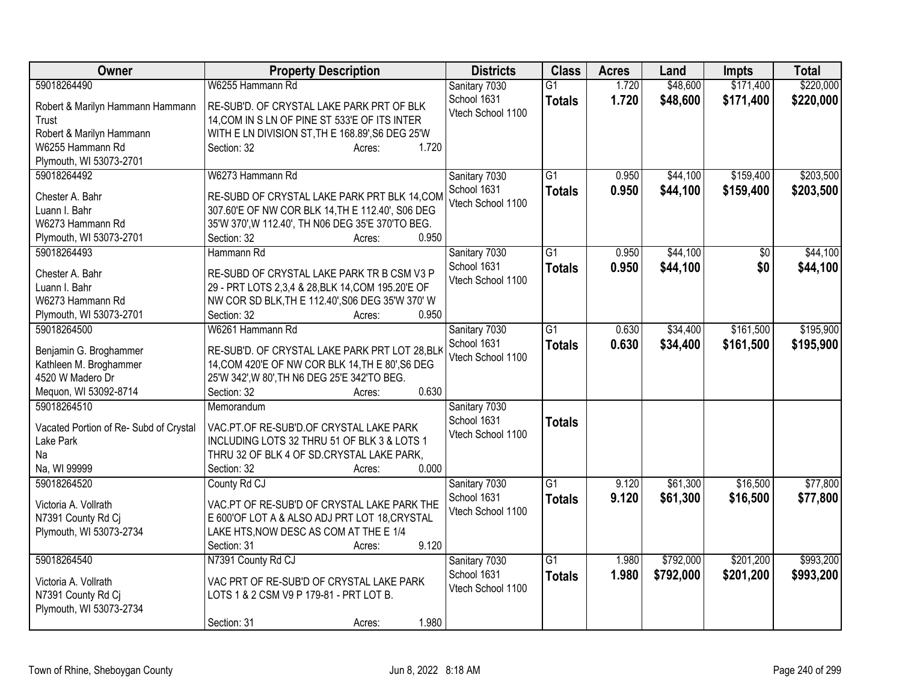| Owner                                       | <b>Property Description</b>                                          | <b>Districts</b>                 | <b>Class</b>    | <b>Acres</b> | Land      | <b>Impts</b> | <b>Total</b> |
|---------------------------------------------|----------------------------------------------------------------------|----------------------------------|-----------------|--------------|-----------|--------------|--------------|
| 59018264490                                 | W6255 Hammann Rd                                                     | Sanitary 7030                    | $\overline{G1}$ | 1.720        | \$48,600  | \$171,400    | \$220,000    |
| Robert & Marilyn Hammann Hammann            | RE-SUB'D. OF CRYSTAL LAKE PARK PRT OF BLK                            | School 1631                      | <b>Totals</b>   | 1.720        | \$48,600  | \$171,400    | \$220,000    |
| Trust                                       | 14, COM IN S LN OF PINE ST 533'E OF ITS INTER                        | Vtech School 1100                |                 |              |           |              |              |
| Robert & Marilyn Hammann                    | WITH E LN DIVISION ST, TH E 168.89', S6 DEG 25'W                     |                                  |                 |              |           |              |              |
| W6255 Hammann Rd                            | 1.720<br>Section: 32<br>Acres:                                       |                                  |                 |              |           |              |              |
| Plymouth, WI 53073-2701                     |                                                                      |                                  |                 |              |           |              |              |
| 59018264492                                 | W6273 Hammann Rd                                                     | Sanitary 7030                    | G <sub>1</sub>  | 0.950        | \$44,100  | \$159,400    | \$203,500    |
|                                             |                                                                      | School 1631                      | <b>Totals</b>   | 0.950        | \$44,100  | \$159,400    | \$203,500    |
| Chester A. Bahr                             | RE-SUBD OF CRYSTAL LAKE PARK PRT BLK 14, COM                         | Vtech School 1100                |                 |              |           |              |              |
| Luann I. Bahr                               | 307.60'E OF NW COR BLK 14, TH E 112.40', S06 DEG                     |                                  |                 |              |           |              |              |
| W6273 Hammann Rd<br>Plymouth, WI 53073-2701 | 35'W 370', W 112.40', TH N06 DEG 35'E 370'TO BEG.<br>0.950           |                                  |                 |              |           |              |              |
| 59018264493                                 | Section: 32<br>Acres:                                                |                                  | G1              |              |           |              |              |
|                                             | Hammann Rd                                                           | Sanitary 7030                    |                 | 0.950        | \$44,100  | \$0          | \$44,100     |
| Chester A. Bahr                             | RE-SUBD OF CRYSTAL LAKE PARK TR B CSM V3 P                           | School 1631<br>Vtech School 1100 | <b>Totals</b>   | 0.950        | \$44,100  | \$0          | \$44,100     |
| Luann I. Bahr                               | 29 - PRT LOTS 2,3,4 & 28, BLK 14, COM 195.20'E OF                    |                                  |                 |              |           |              |              |
| W6273 Hammann Rd                            | NW COR SD BLK, TH E 112.40', S06 DEG 35'W 370' W                     |                                  |                 |              |           |              |              |
| Plymouth, WI 53073-2701                     | Section: 32<br>0.950<br>Acres:                                       |                                  |                 |              |           |              |              |
| 59018264500                                 | W6261 Hammann Rd                                                     | Sanitary 7030                    | $\overline{G1}$ | 0.630        | \$34,400  | \$161,500    | \$195,900    |
|                                             |                                                                      | School 1631                      | <b>Totals</b>   | 0.630        | \$34,400  | \$161,500    | \$195,900    |
| Benjamin G. Broghammer                      | RE-SUB'D. OF CRYSTAL LAKE PARK PRT LOT 28, BLK                       | Vtech School 1100                |                 |              |           |              |              |
| Kathleen M. Broghammer<br>4520 W Madero Dr  | 14, COM 420'E OF NW COR BLK 14, TH E 80', S6 DEG                     |                                  |                 |              |           |              |              |
| Mequon, WI 53092-8714                       | 25'W 342', W 80', TH N6 DEG 25'E 342'TO BEG.<br>0.630<br>Section: 32 |                                  |                 |              |           |              |              |
| 59018264510                                 | Acres:<br>Memorandum                                                 | Sanitary 7030                    |                 |              |           |              |              |
|                                             |                                                                      | School 1631                      |                 |              |           |              |              |
| Vacated Portion of Re- Subd of Crystal      | VAC.PT.OF RE-SUB'D.OF CRYSTAL LAKE PARK                              | Vtech School 1100                | <b>Totals</b>   |              |           |              |              |
| Lake Park                                   | INCLUDING LOTS 32 THRU 51 OF BLK 3 & LOTS 1                          |                                  |                 |              |           |              |              |
| Na                                          | THRU 32 OF BLK 4 OF SD.CRYSTAL LAKE PARK,                            |                                  |                 |              |           |              |              |
| Na, WI 99999                                | 0.000<br>Section: 32<br>Acres:                                       |                                  |                 |              |           |              |              |
| 59018264520                                 | County Rd CJ                                                         | Sanitary 7030                    | $\overline{G1}$ | 9.120        | \$61,300  | \$16,500     | \$77,800     |
| Victoria A. Vollrath                        | VAC.PT OF RE-SUB'D OF CRYSTAL LAKE PARK THE                          | School 1631                      | <b>Totals</b>   | 9.120        | \$61,300  | \$16,500     | \$77,800     |
| N7391 County Rd Cj                          | E 600'OF LOT A & ALSO ADJ PRT LOT 18, CRYSTAL                        | Vtech School 1100                |                 |              |           |              |              |
| Plymouth, WI 53073-2734                     | LAKE HTS, NOW DESC AS COM AT THE E 1/4                               |                                  |                 |              |           |              |              |
|                                             | 9.120<br>Section: 31<br>Acres:                                       |                                  |                 |              |           |              |              |
| 59018264540                                 | N7391 County Rd CJ                                                   | Sanitary 7030                    | $\overline{G1}$ | 1.980        | \$792,000 | \$201,200    | \$993,200    |
|                                             |                                                                      | School 1631                      | <b>Totals</b>   | 1.980        | \$792,000 | \$201,200    | \$993,200    |
| Victoria A. Vollrath                        | VAC PRT OF RE-SUB'D OF CRYSTAL LAKE PARK                             | Vtech School 1100                |                 |              |           |              |              |
| N7391 County Rd Cj                          | LOTS 1 & 2 CSM V9 P 179-81 - PRT LOT B.                              |                                  |                 |              |           |              |              |
| Plymouth, WI 53073-2734                     |                                                                      |                                  |                 |              |           |              |              |
|                                             | 1.980<br>Section: 31<br>Acres:                                       |                                  |                 |              |           |              |              |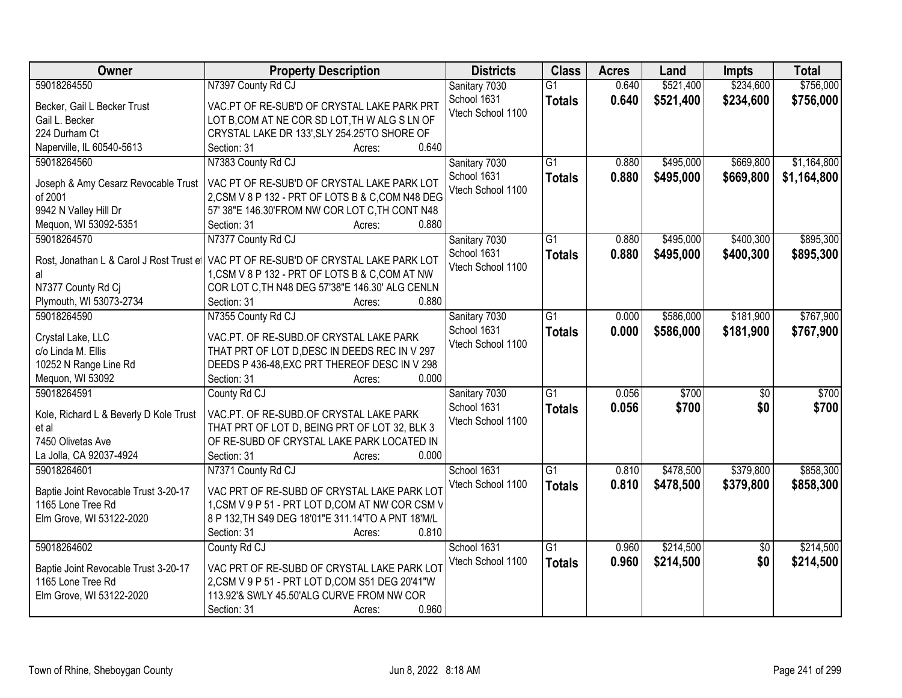| Owner                                    | <b>Property Description</b>                        | <b>Districts</b>  | <b>Class</b>    | <b>Acres</b> | Land      | <b>Impts</b>    | <b>Total</b> |
|------------------------------------------|----------------------------------------------------|-------------------|-----------------|--------------|-----------|-----------------|--------------|
| 59018264550                              | N7397 County Rd CJ                                 | Sanitary 7030     | $\overline{G1}$ | 0.640        | \$521,400 | \$234,600       | \$756,000    |
| Becker, Gail L Becker Trust              | VAC.PT OF RE-SUB'D OF CRYSTAL LAKE PARK PRT        | School 1631       | <b>Totals</b>   | 0.640        | \$521,400 | \$234,600       | \$756,000    |
| Gail L. Becker                           | LOT B, COM AT NE COR SD LOT, TH W ALG S LN OF      | Vtech School 1100 |                 |              |           |                 |              |
| 224 Durham Ct                            | CRYSTAL LAKE DR 133', SLY 254.25'TO SHORE OF       |                   |                 |              |           |                 |              |
| Naperville, IL 60540-5613                | 0.640<br>Section: 31<br>Acres:                     |                   |                 |              |           |                 |              |
| 59018264560                              | N7383 County Rd CJ                                 | Sanitary 7030     | $\overline{G1}$ | 0.880        | \$495,000 | \$669,800       | \$1,164,800  |
|                                          |                                                    | School 1631       | <b>Totals</b>   | 0.880        | \$495,000 | \$669,800       | \$1,164,800  |
| Joseph & Amy Cesarz Revocable Trust      | VAC PT OF RE-SUB'D OF CRYSTAL LAKE PARK LOT        | Vtech School 1100 |                 |              |           |                 |              |
| of 2001                                  | 2, CSM V 8 P 132 - PRT OF LOTS B & C, COM N48 DEG  |                   |                 |              |           |                 |              |
| 9942 N Valley Hill Dr                    | 57' 38"E 146.30'FROM NW COR LOT C, TH CONT N48     |                   |                 |              |           |                 |              |
| Mequon, WI 53092-5351                    | 0.880<br>Section: 31<br>Acres:                     |                   |                 |              |           |                 |              |
| 59018264570                              | N7377 County Rd CJ                                 | Sanitary 7030     | $\overline{G1}$ | 0.880        | \$495,000 | \$400,300       | \$895,300    |
| Rost, Jonathan L & Carol J Rost Trust et | VAC PT OF RE-SUB'D OF CRYSTAL LAKE PARK LOT        | School 1631       | <b>Totals</b>   | 0.880        | \$495,000 | \$400,300       | \$895,300    |
| al                                       | 1, CSM V 8 P 132 - PRT OF LOTS B & C, COM AT NW    | Vtech School 1100 |                 |              |           |                 |              |
| N7377 County Rd Cj                       | COR LOT C, TH N48 DEG 57'38"E 146.30' ALG CENLN    |                   |                 |              |           |                 |              |
| Plymouth, WI 53073-2734                  | 0.880<br>Section: 31<br>Acres:                     |                   |                 |              |           |                 |              |
| 59018264590                              | N7355 County Rd CJ                                 | Sanitary 7030     | $\overline{G1}$ | 0.000        | \$586,000 | \$181,900       | \$767,900    |
|                                          |                                                    | School 1631       | <b>Totals</b>   | 0.000        | \$586,000 | \$181,900       | \$767,900    |
| Crystal Lake, LLC                        | VAC.PT. OF RE-SUBD.OF CRYSTAL LAKE PARK            | Vtech School 1100 |                 |              |           |                 |              |
| c/o Linda M. Ellis                       | THAT PRT OF LOT D, DESC IN DEEDS REC IN V 297      |                   |                 |              |           |                 |              |
| 10252 N Range Line Rd                    | DEEDS P 436-48, EXC PRT THEREOF DESC IN V 298      |                   |                 |              |           |                 |              |
| Mequon, WI 53092                         | Section: 31<br>0.000<br>Acres:                     |                   |                 |              |           |                 |              |
| 59018264591                              | County Rd CJ                                       | Sanitary 7030     | $\overline{G1}$ | 0.056        | \$700     | $\overline{50}$ | \$700        |
| Kole, Richard L & Beverly D Kole Trust   | VAC.PT. OF RE-SUBD.OF CRYSTAL LAKE PARK            | School 1631       | <b>Totals</b>   | 0.056        | \$700     | \$0             | \$700        |
| et al                                    | THAT PRT OF LOT D, BEING PRT OF LOT 32, BLK 3      | Vtech School 1100 |                 |              |           |                 |              |
| 7450 Olivetas Ave                        | OF RE-SUBD OF CRYSTAL LAKE PARK LOCATED IN         |                   |                 |              |           |                 |              |
| La Jolla, CA 92037-4924                  | Section: 31<br>0.000<br>Acres:                     |                   |                 |              |           |                 |              |
| 59018264601                              | N7371 County Rd CJ                                 | School 1631       | $\overline{G1}$ | 0.810        | \$478,500 | \$379,800       | \$858,300    |
|                                          |                                                    | Vtech School 1100 | <b>Totals</b>   | 0.810        | \$478,500 | \$379,800       | \$858,300    |
| Baptie Joint Revocable Trust 3-20-17     | VAC PRT OF RE-SUBD OF CRYSTAL LAKE PARK LOT        |                   |                 |              |           |                 |              |
| 1165 Lone Tree Rd                        | 1, CSM V 9 P 51 - PRT LOT D, COM AT NW COR CSM V   |                   |                 |              |           |                 |              |
| Elm Grove, WI 53122-2020                 | 8 P 132, TH S49 DEG 18'01"E 311.14'TO A PNT 18'M/L |                   |                 |              |           |                 |              |
|                                          | 0.810<br>Section: 31<br>Acres:                     |                   |                 |              |           |                 |              |
| 59018264602                              | County Rd CJ                                       | School 1631       | G1              | 0.960        | \$214,500 | $\overline{50}$ | \$214,500    |
| Baptie Joint Revocable Trust 3-20-17     | VAC PRT OF RE-SUBD OF CRYSTAL LAKE PARK LOT        | Vtech School 1100 | <b>Totals</b>   | 0.960        | \$214,500 | \$0             | \$214,500    |
| 1165 Lone Tree Rd                        | 2, CSM V 9 P 51 - PRT LOT D, COM S51 DEG 20'41"W   |                   |                 |              |           |                 |              |
| Elm Grove, WI 53122-2020                 | 113.92'& SWLY 45.50'ALG CURVE FROM NW COR          |                   |                 |              |           |                 |              |
|                                          | 0.960<br>Section: 31<br>Acres:                     |                   |                 |              |           |                 |              |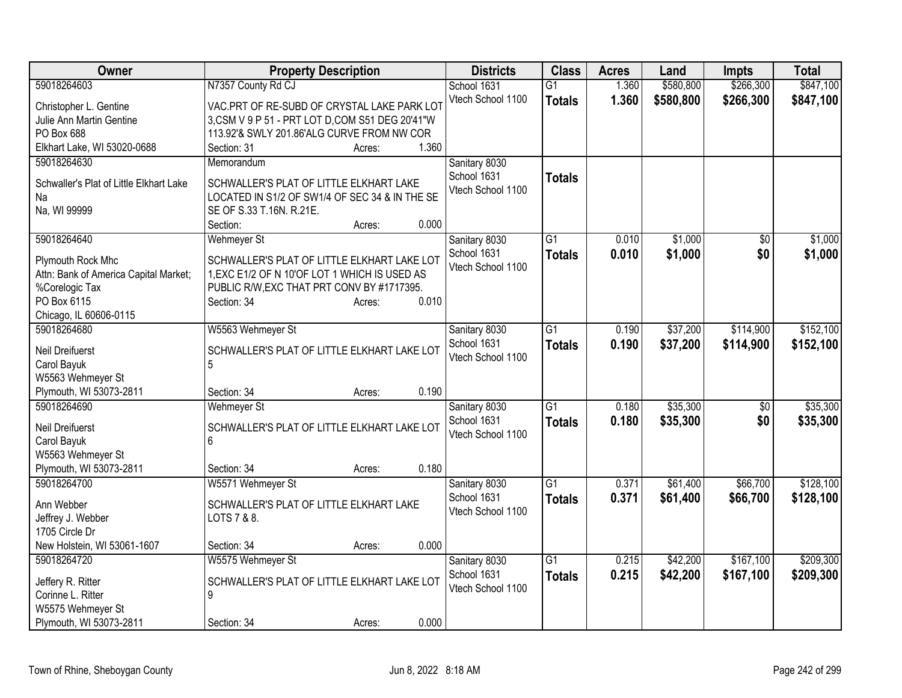| Owner                                   | <b>Property Description</b>                            | <b>Districts</b>             | <b>Class</b>    | <b>Acres</b> | Land      | Impts     | <b>Total</b> |
|-----------------------------------------|--------------------------------------------------------|------------------------------|-----------------|--------------|-----------|-----------|--------------|
| 59018264603                             | N7357 County Rd CJ                                     | School 1631                  | $\overline{G1}$ | 1.360        | \$580,800 | \$266,300 | \$847,100    |
| Christopher L. Gentine                  | VAC.PRT OF RE-SUBD OF CRYSTAL LAKE PARK LOT            | Vtech School 1100            | <b>Totals</b>   | 1.360        | \$580,800 | \$266,300 | \$847,100    |
| Julie Ann Martin Gentine                | 3, CSM V 9 P 51 - PRT LOT D, COM S51 DEG 20'41"W       |                              |                 |              |           |           |              |
| PO Box 688                              | 113.92'& SWLY 201.86'ALG CURVE FROM NW COR             |                              |                 |              |           |           |              |
| Elkhart Lake, WI 53020-0688             | 1.360<br>Section: 31<br>Acres:                         |                              |                 |              |           |           |              |
| 59018264630                             | Memorandum                                             | Sanitary 8030                |                 |              |           |           |              |
|                                         |                                                        | School 1631                  | <b>Totals</b>   |              |           |           |              |
| Schwaller's Plat of Little Elkhart Lake | SCHWALLER'S PLAT OF LITTLE ELKHART LAKE                | Vtech School 1100            |                 |              |           |           |              |
| Na                                      | LOCATED IN S1/2 OF SW1/4 OF SEC 34 & IN THE SE         |                              |                 |              |           |           |              |
| Na, WI 99999                            | SE OF S.33 T.16N. R.21E.                               |                              |                 |              |           |           |              |
|                                         | 0.000<br>Section:<br>Acres:                            |                              |                 |              |           |           |              |
| 59018264640                             | <b>Wehmeyer St</b>                                     | Sanitary 8030                | $\overline{G1}$ | 0.010        | \$1,000   | \$0       | \$1,000      |
| Plymouth Rock Mhc                       | SCHWALLER'S PLAT OF LITTLE ELKHART LAKE LOT            | School 1631                  | <b>Totals</b>   | 0.010        | \$1,000   | \$0       | \$1,000      |
| Attn: Bank of America Capital Market;   | 1, EXC E1/2 OF N 10'OF LOT 1 WHICH IS USED AS          | Vtech School 1100            |                 |              |           |           |              |
| %Corelogic Tax                          | PUBLIC R/W, EXC THAT PRT CONV BY #1717395.             |                              |                 |              |           |           |              |
| PO Box 6115                             | 0.010<br>Section: 34<br>Acres:                         |                              |                 |              |           |           |              |
| Chicago, IL 60606-0115                  |                                                        |                              |                 |              |           |           |              |
| 59018264680                             | W5563 Wehmeyer St                                      | Sanitary 8030                | $\overline{G1}$ | 0.190        | \$37,200  | \$114,900 | \$152,100    |
|                                         |                                                        | School 1631                  | <b>Totals</b>   | 0.190        | \$37,200  | \$114,900 | \$152,100    |
| <b>Neil Dreifuerst</b>                  | SCHWALLER'S PLAT OF LITTLE ELKHART LAKE LOT            | Vtech School 1100            |                 |              |           |           |              |
| Carol Bayuk                             | 5                                                      |                              |                 |              |           |           |              |
| W5563 Wehmeyer St                       |                                                        |                              |                 |              |           |           |              |
| Plymouth, WI 53073-2811                 | 0.190<br>Section: 34<br>Acres:                         |                              |                 |              |           |           |              |
| 59018264690                             | Wehmeyer St                                            | Sanitary 8030                | $\overline{G1}$ | 0.180        | \$35,300  | \$0       | \$35,300     |
| <b>Neil Dreifuerst</b>                  | SCHWALLER'S PLAT OF LITTLE ELKHART LAKE LOT            | School 1631                  | <b>Totals</b>   | 0.180        | \$35,300  | \$0       | \$35,300     |
| Carol Bayuk                             | 6                                                      | Vtech School 1100            |                 |              |           |           |              |
| W5563 Wehmeyer St                       |                                                        |                              |                 |              |           |           |              |
| Plymouth, WI 53073-2811                 | 0.180<br>Section: 34<br>Acres:                         |                              |                 |              |           |           |              |
| 59018264700                             | W5571 Wehmeyer St                                      | Sanitary 8030                | $\overline{G1}$ | 0.371        | \$61,400  | \$66,700  | \$128,100    |
| Ann Webber                              |                                                        | School 1631                  | <b>Totals</b>   | 0.371        | \$61,400  | \$66,700  | \$128,100    |
|                                         | SCHWALLER'S PLAT OF LITTLE ELKHART LAKE<br>LOTS 7 & 8. | Vtech School 1100            |                 |              |           |           |              |
| Jeffrey J. Webber<br>1705 Circle Dr     |                                                        |                              |                 |              |           |           |              |
| New Holstein, WI 53061-1607             | 0.000<br>Section: 34<br>Acres:                         |                              |                 |              |           |           |              |
| 59018264720                             | W5575 Wehmeyer St                                      |                              | $\overline{G1}$ | 0.215        | \$42,200  | \$167,100 | \$209,300    |
|                                         |                                                        | Sanitary 8030<br>School 1631 |                 |              |           |           |              |
| Jeffery R. Ritter                       | SCHWALLER'S PLAT OF LITTLE ELKHART LAKE LOT            | Vtech School 1100            | <b>Totals</b>   | 0.215        | \$42,200  | \$167,100 | \$209,300    |
| Corinne L. Ritter                       | 9                                                      |                              |                 |              |           |           |              |
| W5575 Wehmeyer St                       |                                                        |                              |                 |              |           |           |              |
| Plymouth, WI 53073-2811                 | 0.000<br>Section: 34<br>Acres:                         |                              |                 |              |           |           |              |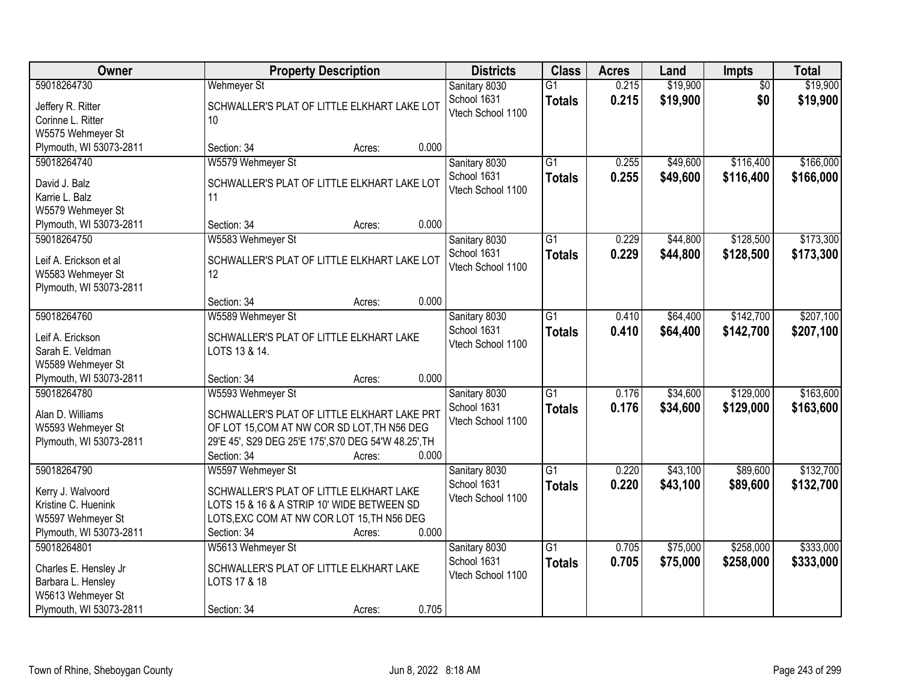| <b>Owner</b>                                                                                               | <b>Property Description</b>                                                                                                                                                                               | <b>Districts</b>                                  | <b>Class</b>                     | <b>Acres</b>   | Land                 | <b>Impts</b>           | <b>Total</b>           |
|------------------------------------------------------------------------------------------------------------|-----------------------------------------------------------------------------------------------------------------------------------------------------------------------------------------------------------|---------------------------------------------------|----------------------------------|----------------|----------------------|------------------------|------------------------|
| 59018264730<br>Jeffery R. Ritter<br>Corinne L. Ritter<br>W5575 Wehmeyer St                                 | <b>Wehmeyer St</b><br>SCHWALLER'S PLAT OF LITTLE ELKHART LAKE LOT<br>10                                                                                                                                   | Sanitary 8030<br>School 1631<br>Vtech School 1100 | $\overline{G1}$<br><b>Totals</b> | 0.215<br>0.215 | \$19,900<br>\$19,900 | $\overline{50}$<br>\$0 | \$19,900<br>\$19,900   |
| Plymouth, WI 53073-2811                                                                                    | 0.000<br>Section: 34<br>Acres:                                                                                                                                                                            |                                                   |                                  |                |                      |                        |                        |
| 59018264740<br>David J. Balz<br>Karrie L. Balz<br>W5579 Wehmeyer St<br>Plymouth, WI 53073-2811             | W5579 Wehmeyer St<br>SCHWALLER'S PLAT OF LITTLE ELKHART LAKE LOT<br>11<br>0.000<br>Section: 34<br>Acres:                                                                                                  | Sanitary 8030<br>School 1631<br>Vtech School 1100 | $\overline{G1}$<br><b>Totals</b> | 0.255<br>0.255 | \$49,600<br>\$49,600 | \$116,400<br>\$116,400 | \$166,000<br>\$166,000 |
| 59018264750                                                                                                | W5583 Wehmeyer St                                                                                                                                                                                         | Sanitary 8030                                     | $\overline{G1}$                  | 0.229          | \$44,800             | \$128,500              | \$173,300              |
| Leif A. Erickson et al<br>W5583 Wehmeyer St<br>Plymouth, WI 53073-2811                                     | SCHWALLER'S PLAT OF LITTLE ELKHART LAKE LOT<br>12                                                                                                                                                         | School 1631<br>Vtech School 1100                  | <b>Totals</b>                    | 0.229          | \$44,800             | \$128,500              | \$173,300              |
|                                                                                                            | 0.000<br>Section: 34<br>Acres:                                                                                                                                                                            |                                                   |                                  |                |                      |                        |                        |
| 59018264760<br>Leif A. Erickson<br>Sarah E. Veldman<br>W5589 Wehmeyer St                                   | W5589 Wehmeyer St<br>SCHWALLER'S PLAT OF LITTLE ELKHART LAKE<br>LOTS 13 & 14.                                                                                                                             | Sanitary 8030<br>School 1631<br>Vtech School 1100 | $\overline{G1}$<br><b>Totals</b> | 0.410<br>0.410 | \$64,400<br>\$64,400 | \$142,700<br>\$142,700 | \$207,100<br>\$207,100 |
| Plymouth, WI 53073-2811                                                                                    | 0.000<br>Section: 34<br>Acres:                                                                                                                                                                            |                                                   |                                  |                |                      |                        |                        |
| 59018264780<br>Alan D. Williams<br>W5593 Wehmeyer St<br>Plymouth, WI 53073-2811                            | W5593 Wehmeyer St<br>SCHWALLER'S PLAT OF LITTLE ELKHART LAKE PRT<br>OF LOT 15, COM AT NW COR SD LOT, TH N56 DEG<br>29'E 45', S29 DEG 25'E 175', S70 DEG 54'W 48.25', TH<br>0.000<br>Section: 34<br>Acres: | Sanitary 8030<br>School 1631<br>Vtech School 1100 | $\overline{G1}$<br><b>Totals</b> | 0.176<br>0.176 | \$34,600<br>\$34,600 | \$129,000<br>\$129,000 | \$163,600<br>\$163,600 |
| 59018264790<br>Kerry J. Walvoord<br>Kristine C. Huenink<br>W5597 Wehmeyer St<br>Plymouth, WI 53073-2811    | W5597 Wehmeyer St<br>SCHWALLER'S PLAT OF LITTLE ELKHART LAKE<br>LOTS 15 & 16 & A STRIP 10' WIDE BETWEEN SD<br>LOTS, EXC COM AT NW COR LOT 15, TH N56 DEG<br>0.000<br>Section: 34<br>Acres:                | Sanitary 8030<br>School 1631<br>Vtech School 1100 | $\overline{G1}$<br><b>Totals</b> | 0.220<br>0.220 | \$43,100<br>\$43,100 | \$89,600<br>\$89,600   | \$132,700<br>\$132,700 |
| 59018264801<br>Charles E. Hensley Jr<br>Barbara L. Hensley<br>W5613 Wehmeyer St<br>Plymouth, WI 53073-2811 | W5613 Wehmeyer St<br>SCHWALLER'S PLAT OF LITTLE ELKHART LAKE<br>LOTS 17 & 18<br>0.705<br>Section: 34<br>Acres:                                                                                            | Sanitary 8030<br>School 1631<br>Vtech School 1100 | $\overline{G1}$<br><b>Totals</b> | 0.705<br>0.705 | \$75,000<br>\$75,000 | \$258,000<br>\$258,000 | \$333,000<br>\$333,000 |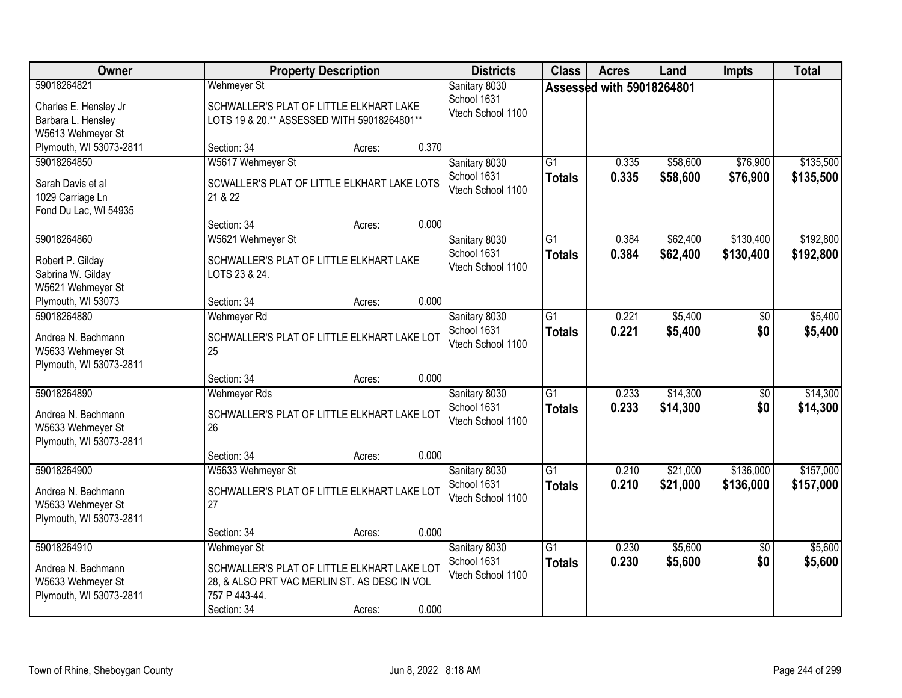| Owner                                                                             |                                                                                                                                                   | <b>Property Description</b> |       | <b>Districts</b>                                  | <b>Class</b>                     | <b>Acres</b>              | Land                 | <b>Impts</b>           | <b>Total</b>           |
|-----------------------------------------------------------------------------------|---------------------------------------------------------------------------------------------------------------------------------------------------|-----------------------------|-------|---------------------------------------------------|----------------------------------|---------------------------|----------------------|------------------------|------------------------|
| 59018264821<br>Charles E. Hensley Jr<br>Barbara L. Hensley<br>W5613 Wehmeyer St   | <b>Wehmeyer St</b><br>SCHWALLER'S PLAT OF LITTLE ELKHART LAKE<br>LOTS 19 & 20.** ASSESSED WITH 59018264801**                                      |                             |       | Sanitary 8030<br>School 1631<br>Vtech School 1100 |                                  | Assessed with 59018264801 |                      |                        |                        |
| Plymouth, WI 53073-2811                                                           | Section: 34                                                                                                                                       | Acres:                      | 0.370 |                                                   |                                  |                           |                      |                        |                        |
| 59018264850<br>Sarah Davis et al<br>1029 Carriage Ln<br>Fond Du Lac, WI 54935     | W5617 Wehmeyer St<br>SCWALLER'S PLAT OF LITTLE ELKHART LAKE LOTS<br>21 & 22<br>Section: 34                                                        | Acres:                      | 0.000 | Sanitary 8030<br>School 1631<br>Vtech School 1100 | $\overline{G1}$<br><b>Totals</b> | 0.335<br>0.335            | \$58,600<br>\$58,600 | \$76,900<br>\$76,900   | \$135,500<br>\$135,500 |
| 59018264860                                                                       | W5621 Wehmeyer St                                                                                                                                 |                             |       | Sanitary 8030                                     | G1                               | 0.384                     | \$62,400             | \$130,400              | \$192,800              |
| Robert P. Gilday<br>Sabrina W. Gilday<br>W5621 Wehmeyer St                        | SCHWALLER'S PLAT OF LITTLE ELKHART LAKE<br>LOTS 23 & 24.                                                                                          |                             |       | School 1631<br>Vtech School 1100                  | <b>Totals</b>                    | 0.384                     | \$62,400             | \$130,400              | \$192,800              |
| Plymouth, WI 53073                                                                | Section: 34                                                                                                                                       | Acres:                      | 0.000 |                                                   |                                  |                           |                      |                        |                        |
| 59018264880<br>Andrea N. Bachmann<br>W5633 Wehmeyer St<br>Plymouth, WI 53073-2811 | Wehmeyer Rd<br>SCHWALLER'S PLAT OF LITTLE ELKHART LAKE LOT<br>25                                                                                  |                             |       | Sanitary 8030<br>School 1631<br>Vtech School 1100 | $\overline{G1}$<br><b>Totals</b> | 0.221<br>0.221            | \$5,400<br>\$5,400   | $\sqrt[6]{}$<br>\$0    | \$5,400<br>\$5,400     |
|                                                                                   | Section: 34                                                                                                                                       | Acres:                      | 0.000 |                                                   |                                  |                           |                      |                        |                        |
| 59018264890<br>Andrea N. Bachmann<br>W5633 Wehmeyer St<br>Plymouth, WI 53073-2811 | Wehmeyer Rds<br>SCHWALLER'S PLAT OF LITTLE ELKHART LAKE LOT<br>26                                                                                 |                             |       | Sanitary 8030<br>School 1631<br>Vtech School 1100 | $\overline{G1}$<br><b>Totals</b> | 0.233<br>0.233            | \$14,300<br>\$14,300 | $\overline{50}$<br>\$0 | \$14,300<br>\$14,300   |
|                                                                                   | Section: 34                                                                                                                                       | Acres:                      | 0.000 |                                                   |                                  |                           |                      |                        |                        |
| 59018264900<br>Andrea N. Bachmann<br>W5633 Wehmeyer St<br>Plymouth, WI 53073-2811 | W5633 Wehmeyer St<br>SCHWALLER'S PLAT OF LITTLE ELKHART LAKE LOT<br>27                                                                            |                             |       | Sanitary 8030<br>School 1631<br>Vtech School 1100 | $\overline{G1}$<br><b>Totals</b> | 0.210<br>0.210            | \$21,000<br>\$21,000 | \$136,000<br>\$136,000 | \$157,000<br>\$157,000 |
|                                                                                   | Section: 34                                                                                                                                       | Acres:                      | 0.000 |                                                   |                                  |                           |                      |                        |                        |
| 59018264910<br>Andrea N. Bachmann<br>W5633 Wehmeyer St<br>Plymouth, WI 53073-2811 | <b>Wehmeyer St</b><br>SCHWALLER'S PLAT OF LITTLE ELKHART LAKE LOT<br>28, & ALSO PRT VAC MERLIN ST. AS DESC IN VOL<br>757 P 443-44.<br>Section: 34 | Acres:                      | 0.000 | Sanitary 8030<br>School 1631<br>Vtech School 1100 | $\overline{G1}$<br><b>Totals</b> | 0.230<br>0.230            | \$5,600<br>\$5,600   | $\overline{50}$<br>\$0 | \$5,600<br>\$5,600     |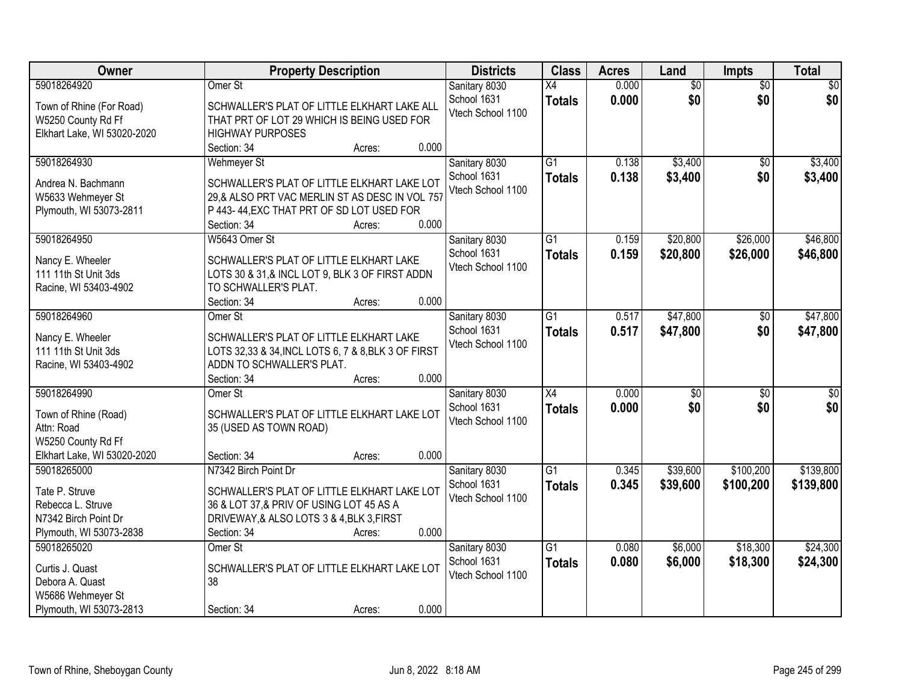| <b>Owner</b>                | <b>Property Description</b>                         | <b>Districts</b>  | <b>Class</b>    | <b>Acres</b> | Land            | Impts           | <b>Total</b>    |
|-----------------------------|-----------------------------------------------------|-------------------|-----------------|--------------|-----------------|-----------------|-----------------|
| 59018264920                 | Omer St                                             | Sanitary 8030     | X4              | 0.000        | $\overline{50}$ | $\overline{30}$ | $\overline{50}$ |
| Town of Rhine (For Road)    | SCHWALLER'S PLAT OF LITTLE ELKHART LAKE ALL         | School 1631       | <b>Totals</b>   | 0.000        | \$0             | \$0             | \$0             |
| W5250 County Rd Ff          | THAT PRT OF LOT 29 WHICH IS BEING USED FOR          | Vtech School 1100 |                 |              |                 |                 |                 |
| Elkhart Lake, WI 53020-2020 | <b>HIGHWAY PURPOSES</b>                             |                   |                 |              |                 |                 |                 |
|                             | 0.000<br>Section: 34<br>Acres:                      |                   |                 |              |                 |                 |                 |
| 59018264930                 | <b>Wehmeyer St</b>                                  | Sanitary 8030     | $\overline{G1}$ | 0.138        | \$3,400         | $\overline{50}$ | \$3,400         |
|                             |                                                     | School 1631       | <b>Totals</b>   | 0.138        | \$3,400         | \$0             | \$3,400         |
| Andrea N. Bachmann          | SCHWALLER'S PLAT OF LITTLE ELKHART LAKE LOT         | Vtech School 1100 |                 |              |                 |                 |                 |
| W5633 Wehmeyer St           | 29,& ALSO PRT VAC MERLIN ST AS DESC IN VOL 757      |                   |                 |              |                 |                 |                 |
| Plymouth, WI 53073-2811     | P 443-44, EXC THAT PRT OF SD LOT USED FOR<br>0.000  |                   |                 |              |                 |                 |                 |
|                             | Section: 34<br>Acres:                               |                   |                 |              |                 |                 |                 |
| 59018264950                 | W5643 Omer St                                       | Sanitary 8030     | G1              | 0.159        | \$20,800        | \$26,000        | \$46,800        |
| Nancy E. Wheeler            | SCHWALLER'S PLAT OF LITTLE ELKHART LAKE             | School 1631       | <b>Totals</b>   | 0.159        | \$20,800        | \$26,000        | \$46,800        |
| 111 11th St Unit 3ds        | LOTS 30 & 31,& INCL LOT 9, BLK 3 OF FIRST ADDN      | Vtech School 1100 |                 |              |                 |                 |                 |
| Racine, WI 53403-4902       | TO SCHWALLER'S PLAT.                                |                   |                 |              |                 |                 |                 |
|                             | 0.000<br>Section: 34<br>Acres:                      |                   |                 |              |                 |                 |                 |
| 59018264960                 | Omer St                                             | Sanitary 8030     | $\overline{G1}$ | 0.517        | \$47,800        | $\sqrt[6]{}$    | \$47,800        |
|                             |                                                     | School 1631       | <b>Totals</b>   | 0.517        | \$47,800        | \$0             | \$47,800        |
| Nancy E. Wheeler            | SCHWALLER'S PLAT OF LITTLE ELKHART LAKE             | Vtech School 1100 |                 |              |                 |                 |                 |
| 111 11th St Unit 3ds        | LOTS 32,33 & 34, INCL LOTS 6, 7 & 8, BLK 3 OF FIRST |                   |                 |              |                 |                 |                 |
| Racine, WI 53403-4902       | ADDN TO SCHWALLER'S PLAT.                           |                   |                 |              |                 |                 |                 |
|                             | 0.000<br>Section: 34<br>Acres:                      |                   |                 |              |                 |                 |                 |
| 59018264990                 | Omer St                                             | Sanitary 8030     | $\overline{X4}$ | 0.000        | \$0             | $\overline{50}$ | \$0             |
| Town of Rhine (Road)        | SCHWALLER'S PLAT OF LITTLE ELKHART LAKE LOT         | School 1631       | <b>Totals</b>   | 0.000        | \$0             | \$0             | \$0             |
| Attn: Road                  | 35 (USED AS TOWN ROAD)                              | Vtech School 1100 |                 |              |                 |                 |                 |
| W5250 County Rd Ff          |                                                     |                   |                 |              |                 |                 |                 |
| Elkhart Lake, WI 53020-2020 | 0.000<br>Section: 34<br>Acres:                      |                   |                 |              |                 |                 |                 |
| 59018265000                 | N7342 Birch Point Dr                                | Sanitary 8030     | $\overline{G1}$ | 0.345        | \$39,600        | \$100,200       | \$139,800       |
| Tate P. Struve              | SCHWALLER'S PLAT OF LITTLE ELKHART LAKE LOT         | School 1631       | <b>Totals</b>   | 0.345        | \$39,600        | \$100,200       | \$139,800       |
| Rebecca L. Struve           | 36 & LOT 37,& PRIV OF USING LOT 45 AS A             | Vtech School 1100 |                 |              |                 |                 |                 |
| N7342 Birch Point Dr        | DRIVEWAY, & ALSO LOTS 3 & 4, BLK 3, FIRST           |                   |                 |              |                 |                 |                 |
| Plymouth, WI 53073-2838     | 0.000<br>Section: 34<br>Acres:                      |                   |                 |              |                 |                 |                 |
| 59018265020                 | Omer St                                             | Sanitary 8030     | $\overline{G1}$ | 0.080        | \$6,000         | \$18,300        | \$24,300        |
|                             |                                                     | School 1631       | <b>Totals</b>   | 0.080        | \$6,000         | \$18,300        | \$24,300        |
| Curtis J. Quast             | SCHWALLER'S PLAT OF LITTLE ELKHART LAKE LOT         | Vtech School 1100 |                 |              |                 |                 |                 |
| Debora A. Quast             | 38                                                  |                   |                 |              |                 |                 |                 |
| W5686 Wehmeyer St           |                                                     |                   |                 |              |                 |                 |                 |
| Plymouth, WI 53073-2813     | 0.000<br>Section: 34<br>Acres:                      |                   |                 |              |                 |                 |                 |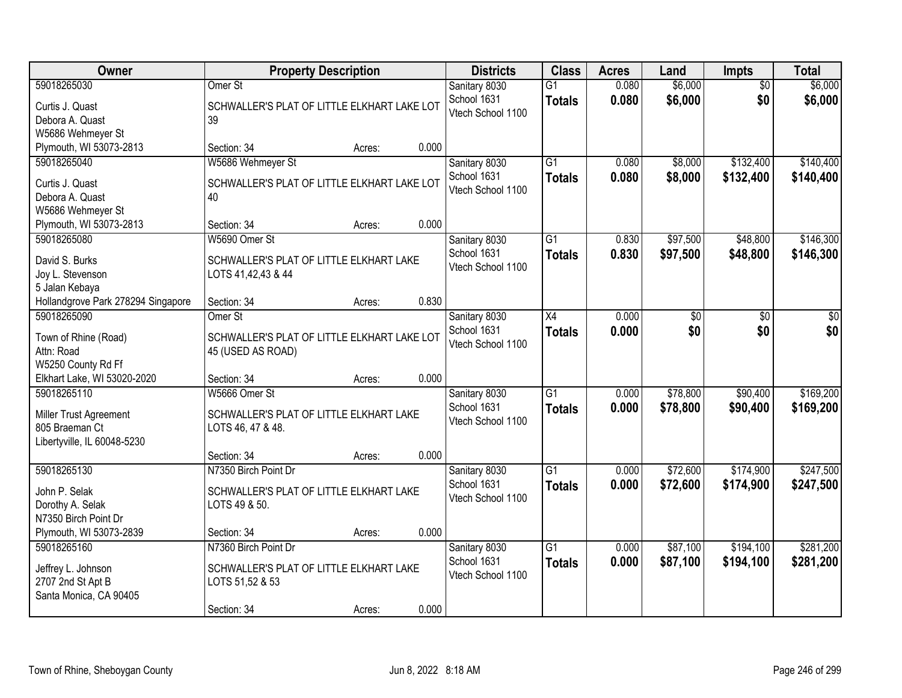| <b>Owner</b>                                                                                      | <b>Property Description</b>                                                                                 |       | <b>Districts</b>                                  | <b>Class</b>                     | <b>Acres</b>   | Land                 | <b>Impts</b>           | <b>Total</b>           |
|---------------------------------------------------------------------------------------------------|-------------------------------------------------------------------------------------------------------------|-------|---------------------------------------------------|----------------------------------|----------------|----------------------|------------------------|------------------------|
| 59018265030<br>Curtis J. Quast<br>Debora A. Quast<br>W5686 Wehmeyer St                            | Omer <sub>St</sub><br>SCHWALLER'S PLAT OF LITTLE ELKHART LAKE LOT<br>39                                     |       | Sanitary 8030<br>School 1631<br>Vtech School 1100 | $\overline{G1}$<br><b>Totals</b> | 0.080<br>0.080 | \$6,000<br>\$6,000   | $\overline{50}$<br>\$0 | \$6,000<br>\$6,000     |
| Plymouth, WI 53073-2813                                                                           | Section: 34<br>Acres:                                                                                       | 0.000 |                                                   |                                  |                |                      |                        |                        |
| 59018265040<br>Curtis J. Quast<br>Debora A. Quast<br>W5686 Wehmeyer St<br>Plymouth, WI 53073-2813 | W5686 Wehmeyer St<br>SCHWALLER'S PLAT OF LITTLE ELKHART LAKE LOT<br>40<br>Section: 34<br>Acres:             | 0.000 | Sanitary 8030<br>School 1631<br>Vtech School 1100 | $\overline{G1}$<br><b>Totals</b> | 0.080<br>0.080 | \$8,000<br>\$8,000   | \$132,400<br>\$132,400 | \$140,400<br>\$140,400 |
| 59018265080                                                                                       | W5690 Omer St                                                                                               |       | Sanitary 8030                                     | G1                               | 0.830          | \$97,500             | \$48,800               | \$146,300              |
| David S. Burks<br>Joy L. Stevenson<br>5 Jalan Kebaya                                              | SCHWALLER'S PLAT OF LITTLE ELKHART LAKE<br>LOTS 41,42,43 & 44                                               |       | School 1631<br>Vtech School 1100                  | <b>Totals</b>                    | 0.830          | \$97,500             | \$48,800               | \$146,300              |
| Hollandgrove Park 278294 Singapore                                                                | Section: 34<br>Acres:                                                                                       | 0.830 |                                                   |                                  |                |                      |                        |                        |
| 59018265090<br>Town of Rhine (Road)<br>Attn: Road<br>W5250 County Rd Ff                           | Omer St<br>SCHWALLER'S PLAT OF LITTLE ELKHART LAKE LOT<br>45 (USED AS ROAD)                                 |       | Sanitary 8030<br>School 1631<br>Vtech School 1100 | $\overline{X4}$<br><b>Totals</b> | 0.000<br>0.000 | \$0<br>\$0           | \$0<br>\$0             | \$0<br>\$0             |
| Elkhart Lake, WI 53020-2020                                                                       | Section: 34<br>Acres:                                                                                       | 0.000 |                                                   |                                  |                |                      |                        |                        |
| 59018265110<br>Miller Trust Agreement<br>805 Braeman Ct<br>Libertyville, IL 60048-5230            | W5666 Omer St<br>SCHWALLER'S PLAT OF LITTLE ELKHART LAKE<br>LOTS 46, 47 & 48.                               |       | Sanitary 8030<br>School 1631<br>Vtech School 1100 | $\overline{G1}$<br><b>Totals</b> | 0.000<br>0.000 | \$78,800<br>\$78,800 | \$90,400<br>\$90,400   | \$169,200<br>\$169,200 |
|                                                                                                   | Section: 34<br>Acres:                                                                                       | 0.000 |                                                   |                                  |                |                      |                        |                        |
| 59018265130<br>John P. Selak<br>Dorothy A. Selak<br>N7350 Birch Point Dr                          | N7350 Birch Point Dr<br>SCHWALLER'S PLAT OF LITTLE ELKHART LAKE<br>LOTS 49 & 50.                            |       | Sanitary 8030<br>School 1631<br>Vtech School 1100 | $\overline{G1}$<br><b>Totals</b> | 0.000<br>0.000 | \$72,600<br>\$72,600 | \$174,900<br>\$174,900 | \$247,500<br>\$247,500 |
| Plymouth, WI 53073-2839                                                                           | Section: 34<br>Acres:                                                                                       | 0.000 |                                                   |                                  |                |                      |                        |                        |
| 59018265160<br>Jeffrey L. Johnson<br>2707 2nd St Apt B<br>Santa Monica, CA 90405                  | N7360 Birch Point Dr<br>SCHWALLER'S PLAT OF LITTLE ELKHART LAKE<br>LOTS 51,52 & 53<br>Section: 34<br>Acres: | 0.000 | Sanitary 8030<br>School 1631<br>Vtech School 1100 | $\overline{G1}$<br><b>Totals</b> | 0.000<br>0.000 | \$87,100<br>\$87,100 | \$194,100<br>\$194,100 | \$281,200<br>\$281,200 |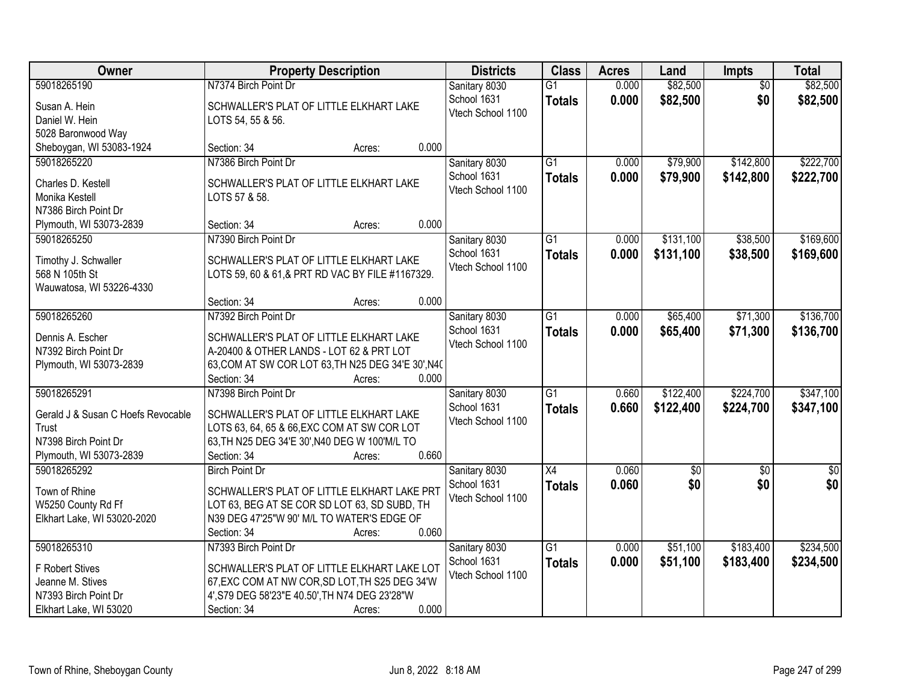| Owner                                                              | <b>Property Description</b>                                                                | <b>Districts</b>                                  | <b>Class</b>                     | <b>Acres</b>   | Land                 | <b>Impts</b>           | <b>Total</b>         |
|--------------------------------------------------------------------|--------------------------------------------------------------------------------------------|---------------------------------------------------|----------------------------------|----------------|----------------------|------------------------|----------------------|
| 59018265190<br>Susan A. Hein<br>Daniel W. Hein                     | N7374 Birch Point Dr<br>SCHWALLER'S PLAT OF LITTLE ELKHART LAKE                            | Sanitary 8030<br>School 1631<br>Vtech School 1100 | $\overline{G1}$<br><b>Totals</b> | 0.000<br>0.000 | \$82,500<br>\$82,500 | $\overline{50}$<br>\$0 | \$82,500<br>\$82,500 |
| 5028 Baronwood Way<br>Sheboygan, WI 53083-1924                     | LOTS 54, 55 & 56.<br>0.000<br>Section: 34<br>Acres:                                        |                                                   |                                  |                |                      |                        |                      |
| 59018265220                                                        | N7386 Birch Point Dr                                                                       | Sanitary 8030                                     | $\overline{G1}$                  | 0.000          | \$79,900             | \$142,800              | \$222,700            |
| Charles D. Kestell<br>Monika Kestell<br>N7386 Birch Point Dr       | SCHWALLER'S PLAT OF LITTLE ELKHART LAKE<br>LOTS 57 & 58.                                   | School 1631<br>Vtech School 1100                  | <b>Totals</b>                    | 0.000          | \$79,900             | \$142,800              | \$222,700            |
| Plymouth, WI 53073-2839                                            | 0.000<br>Section: 34<br>Acres:                                                             |                                                   |                                  |                |                      |                        |                      |
| 59018265250                                                        | N7390 Birch Point Dr                                                                       | Sanitary 8030                                     | G1                               | 0.000          | \$131,100            | \$38,500               | \$169,600            |
| Timothy J. Schwaller<br>568 N 105th St<br>Wauwatosa, WI 53226-4330 | SCHWALLER'S PLAT OF LITTLE ELKHART LAKE<br>LOTS 59, 60 & 61,& PRT RD VAC BY FILE #1167329. | School 1631<br>Vtech School 1100                  | <b>Totals</b>                    | 0.000          | \$131,100            | \$38,500               | \$169,600            |
|                                                                    | 0.000<br>Section: 34<br>Acres:                                                             |                                                   |                                  |                |                      |                        |                      |
| 59018265260                                                        | N7392 Birch Point Dr                                                                       | Sanitary 8030                                     | $\overline{G1}$                  | 0.000          | \$65,400             | \$71,300               | \$136,700            |
| Dennis A. Escher<br>N7392 Birch Point Dr                           | SCHWALLER'S PLAT OF LITTLE ELKHART LAKE<br>A-20400 & OTHER LANDS - LOT 62 & PRT LOT        | School 1631<br>Vtech School 1100                  | <b>Totals</b>                    | 0.000          | \$65,400             | \$71,300               | \$136,700            |
| Plymouth, WI 53073-2839                                            | 63, COM AT SW COR LOT 63, TH N25 DEG 34'E 30', N40<br>0.000<br>Section: 34<br>Acres:       |                                                   |                                  |                |                      |                        |                      |
| 59018265291                                                        | N7398 Birch Point Dr                                                                       | Sanitary 8030                                     | $\overline{G1}$                  | 0.660          | \$122,400            | \$224,700              | \$347,100            |
| Gerald J & Susan C Hoefs Revocable                                 | SCHWALLER'S PLAT OF LITTLE ELKHART LAKE                                                    | School 1631                                       | <b>Totals</b>                    | 0.660          | \$122,400            | \$224,700              | \$347,100            |
| Trust                                                              | LOTS 63, 64, 65 & 66, EXC COM AT SW COR LOT                                                | Vtech School 1100                                 |                                  |                |                      |                        |                      |
| N7398 Birch Point Dr                                               | 63, TH N25 DEG 34'E 30', N40 DEG W 100'M/L TO                                              |                                                   |                                  |                |                      |                        |                      |
| Plymouth, WI 53073-2839                                            | Section: 34<br>0.660<br>Acres:                                                             |                                                   |                                  |                |                      |                        |                      |
| 59018265292                                                        | <b>Birch Point Dr</b>                                                                      | Sanitary 8030                                     | $\overline{X4}$                  | 0.060          | $\overline{50}$      | $\overline{50}$        | $\overline{\$0}$     |
| Town of Rhine                                                      | SCHWALLER'S PLAT OF LITTLE ELKHART LAKE PRT                                                | School 1631                                       | <b>Totals</b>                    | 0.060          | \$0                  | \$0                    | \$0                  |
| W5250 County Rd Ff                                                 | LOT 63, BEG AT SE COR SD LOT 63, SD SUBD, TH                                               | Vtech School 1100                                 |                                  |                |                      |                        |                      |
| Elkhart Lake, WI 53020-2020                                        | N39 DEG 47'25"W 90' M/L TO WATER'S EDGE OF                                                 |                                                   |                                  |                |                      |                        |                      |
|                                                                    | 0.060<br>Section: 34<br>Acres:                                                             |                                                   |                                  |                |                      |                        |                      |
| 59018265310                                                        | N7393 Birch Point Dr                                                                       | Sanitary 8030                                     | $\overline{G1}$                  | 0.000          | \$51,100             | \$183,400              | \$234,500            |
| F Robert Stives                                                    | SCHWALLER'S PLAT OF LITTLE ELKHART LAKE LOT                                                | School 1631                                       | <b>Totals</b>                    | 0.000          | \$51,100             | \$183,400              | \$234,500            |
| Jeanne M. Stives                                                   | 67, EXC COM AT NW COR, SD LOT, TH S25 DEG 34'W                                             | Vtech School 1100                                 |                                  |                |                      |                        |                      |
| N7393 Birch Point Dr                                               | 4', S79 DEG 58'23"E 40.50', TH N74 DEG 23'28"W                                             |                                                   |                                  |                |                      |                        |                      |
| Elkhart Lake, WI 53020                                             | 0.000<br>Section: 34<br>Acres:                                                             |                                                   |                                  |                |                      |                        |                      |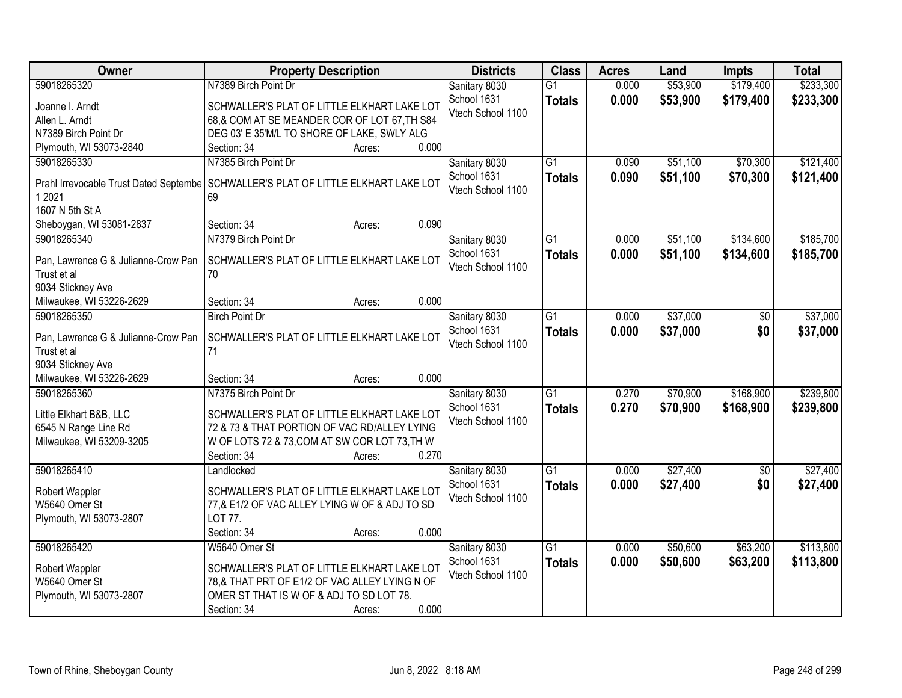| Owner                               | <b>Property Description</b>                                                          | <b>Districts</b>  | <b>Class</b>    | <b>Acres</b> | Land     | <b>Impts</b>    | <b>Total</b> |
|-------------------------------------|--------------------------------------------------------------------------------------|-------------------|-----------------|--------------|----------|-----------------|--------------|
| 59018265320                         | N7389 Birch Point Dr                                                                 | Sanitary 8030     | $\overline{G1}$ | 0.000        | \$53,900 | \$179,400       | \$233,300    |
| Joanne I. Arndt                     | SCHWALLER'S PLAT OF LITTLE ELKHART LAKE LOT                                          | School 1631       | <b>Totals</b>   | 0.000        | \$53,900 | \$179,400       | \$233,300    |
| Allen L. Arndt                      | 68,& COM AT SE MEANDER COR OF LOT 67, TH S84                                         | Vtech School 1100 |                 |              |          |                 |              |
| N7389 Birch Point Dr                | DEG 03' E 35'M/L TO SHORE OF LAKE, SWLY ALG                                          |                   |                 |              |          |                 |              |
| Plymouth, WI 53073-2840             | 0.000<br>Section: 34<br>Acres:                                                       |                   |                 |              |          |                 |              |
| 59018265330                         | N7385 Birch Point Dr                                                                 | Sanitary 8030     | $\overline{G1}$ | 0.090        | \$51,100 | \$70,300        | \$121,400    |
|                                     |                                                                                      | School 1631       | <b>Totals</b>   | 0.090        | \$51,100 | \$70,300        | \$121,400    |
|                                     | Prahl Irrevocable Trust Dated Septembe   SCHWALLER'S PLAT OF LITTLE ELKHART LAKE LOT | Vtech School 1100 |                 |              |          |                 |              |
| 1 2021                              | 69                                                                                   |                   |                 |              |          |                 |              |
| 1607 N 5th St A                     |                                                                                      |                   |                 |              |          |                 |              |
| Sheboygan, WI 53081-2837            | 0.090<br>Section: 34<br>Acres:                                                       |                   |                 |              |          |                 |              |
| 59018265340                         | N7379 Birch Point Dr                                                                 | Sanitary 8030     | G1              | 0.000        | \$51,100 | \$134,600       | \$185,700    |
| Pan, Lawrence G & Julianne-Crow Pan | SCHWALLER'S PLAT OF LITTLE ELKHART LAKE LOT                                          | School 1631       | <b>Totals</b>   | 0.000        | \$51,100 | \$134,600       | \$185,700    |
| Trust et al                         | 70                                                                                   | Vtech School 1100 |                 |              |          |                 |              |
| 9034 Stickney Ave                   |                                                                                      |                   |                 |              |          |                 |              |
| Milwaukee, WI 53226-2629            | 0.000<br>Section: 34<br>Acres:                                                       |                   |                 |              |          |                 |              |
| 59018265350                         | <b>Birch Point Dr</b>                                                                | Sanitary 8030     | G1              | 0.000        | \$37,000 | $\sqrt[6]{}$    | \$37,000     |
|                                     |                                                                                      | School 1631       | <b>Totals</b>   | 0.000        | \$37,000 | \$0             | \$37,000     |
| Pan, Lawrence G & Julianne-Crow Pan | SCHWALLER'S PLAT OF LITTLE ELKHART LAKE LOT                                          | Vtech School 1100 |                 |              |          |                 |              |
| Trust et al                         | 71                                                                                   |                   |                 |              |          |                 |              |
| 9034 Stickney Ave                   |                                                                                      |                   |                 |              |          |                 |              |
| Milwaukee, WI 53226-2629            | 0.000<br>Section: 34<br>Acres:                                                       |                   |                 |              |          |                 |              |
| 59018265360                         | N7375 Birch Point Dr                                                                 | Sanitary 8030     | $\overline{G1}$ | 0.270        | \$70,900 | \$168,900       | \$239,800    |
| Little Elkhart B&B, LLC             | SCHWALLER'S PLAT OF LITTLE ELKHART LAKE LOT                                          | School 1631       | <b>Totals</b>   | 0.270        | \$70,900 | \$168,900       | \$239,800    |
| 6545 N Range Line Rd                | 72 & 73 & THAT PORTION OF VAC RD/ALLEY LYING                                         | Vtech School 1100 |                 |              |          |                 |              |
| Milwaukee, WI 53209-3205            | W OF LOTS 72 & 73, COM AT SW COR LOT 73, TH W                                        |                   |                 |              |          |                 |              |
|                                     | 0.270<br>Section: 34<br>Acres:                                                       |                   |                 |              |          |                 |              |
| 59018265410                         | Landlocked                                                                           | Sanitary 8030     | $\overline{G1}$ | 0.000        | \$27,400 | $\overline{50}$ | \$27,400     |
|                                     |                                                                                      | School 1631       | <b>Totals</b>   | 0.000        | \$27,400 | \$0             | \$27,400     |
| Robert Wappler                      | SCHWALLER'S PLAT OF LITTLE ELKHART LAKE LOT                                          | Vtech School 1100 |                 |              |          |                 |              |
| W5640 Omer St                       | 77,& E1/2 OF VAC ALLEY LYING W OF & ADJ TO SD                                        |                   |                 |              |          |                 |              |
| Plymouth, WI 53073-2807             | LOT 77.                                                                              |                   |                 |              |          |                 |              |
|                                     | 0.000<br>Section: 34<br>Acres:                                                       |                   |                 |              |          |                 |              |
| 59018265420                         | W5640 Omer St                                                                        | Sanitary 8030     | $\overline{G1}$ | 0.000        | \$50,600 | \$63,200        | \$113,800    |
| Robert Wappler                      | SCHWALLER'S PLAT OF LITTLE ELKHART LAKE LOT                                          | School 1631       | <b>Totals</b>   | 0.000        | \$50,600 | \$63,200        | \$113,800    |
| W5640 Omer St                       | 78,& THAT PRT OF E1/2 OF VAC ALLEY LYING N OF                                        | Vtech School 1100 |                 |              |          |                 |              |
| Plymouth, WI 53073-2807             | OMER ST THAT IS W OF & ADJ TO SD LOT 78.                                             |                   |                 |              |          |                 |              |
|                                     | 0.000<br>Section: 34<br>Acres:                                                       |                   |                 |              |          |                 |              |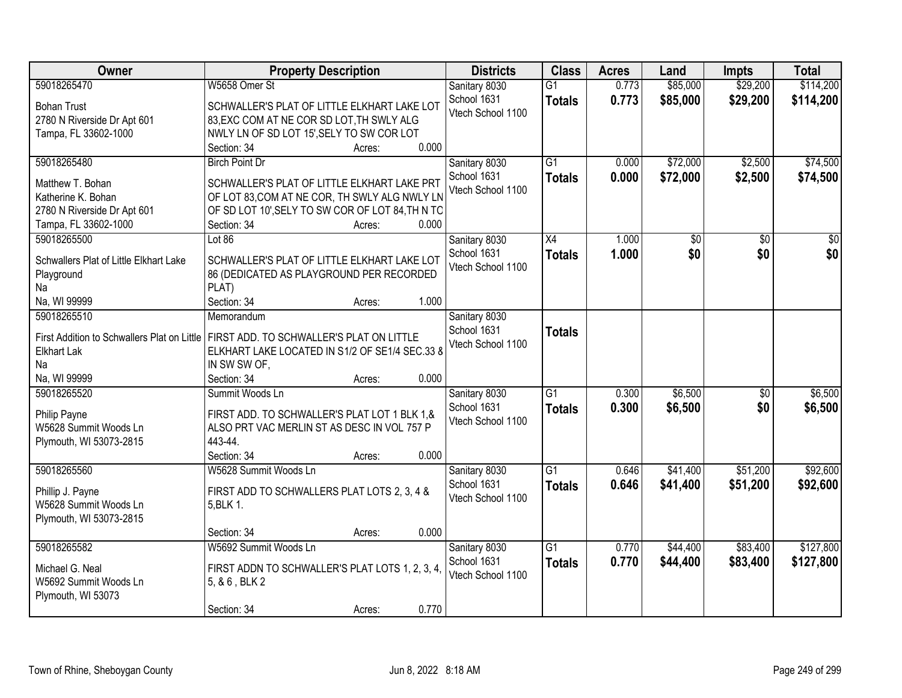| Owner                                                             | <b>Property Description</b>                      | <b>Districts</b>                 | <b>Class</b>    | <b>Acres</b> | Land     | <b>Impts</b> | <b>Total</b>    |
|-------------------------------------------------------------------|--------------------------------------------------|----------------------------------|-----------------|--------------|----------|--------------|-----------------|
| 59018265470                                                       | W5658 Omer St                                    | Sanitary 8030                    | $\overline{G1}$ | 0.773        | \$85,000 | \$29,200     | \$114,200       |
| <b>Bohan Trust</b>                                                | SCHWALLER'S PLAT OF LITTLE ELKHART LAKE LOT      | School 1631                      | <b>Totals</b>   | 0.773        | \$85,000 | \$29,200     | \$114,200       |
| 2780 N Riverside Dr Apt 601                                       | 83, EXC COM AT NE COR SD LOT, TH SWLY ALG        | Vtech School 1100                |                 |              |          |              |                 |
| Tampa, FL 33602-1000                                              | NWLY LN OF SD LOT 15', SELY TO SW COR LOT        |                                  |                 |              |          |              |                 |
|                                                                   | 0.000<br>Section: 34<br>Acres:                   |                                  |                 |              |          |              |                 |
| 59018265480                                                       | <b>Birch Point Dr</b>                            | Sanitary 8030                    | $\overline{G1}$ | 0.000        | \$72,000 | \$2,500      | \$74,500        |
|                                                                   |                                                  | School 1631                      | <b>Totals</b>   | 0.000        | \$72,000 | \$2,500      | \$74,500        |
| Matthew T. Bohan                                                  | SCHWALLER'S PLAT OF LITTLE ELKHART LAKE PRT      | Vtech School 1100                |                 |              |          |              |                 |
| Katherine K. Bohan                                                | OF LOT 83, COM AT NE COR, TH SWLY ALG NWLY LN    |                                  |                 |              |          |              |                 |
| 2780 N Riverside Dr Apt 601                                       | OF SD LOT 10', SELY TO SW COR OF LOT 84, TH N TO |                                  |                 |              |          |              |                 |
| Tampa, FL 33602-1000                                              | 0.000<br>Section: 34<br>Acres:                   |                                  |                 |              |          |              |                 |
| 59018265500                                                       | Lot $86$                                         | Sanitary 8030                    | X4              | 1.000        | \$0      | \$0          | $\overline{30}$ |
| Schwallers Plat of Little Elkhart Lake                            | SCHWALLER'S PLAT OF LITTLE ELKHART LAKE LOT      | School 1631                      | <b>Totals</b>   | 1.000        | \$0      | \$0          | \$0             |
| Playground                                                        | 86 (DEDICATED AS PLAYGROUND PER RECORDED         | Vtech School 1100                |                 |              |          |              |                 |
| Na                                                                | PLAT)                                            |                                  |                 |              |          |              |                 |
| Na, WI 99999                                                      | Section: 34<br>1.000<br>Acres:                   |                                  |                 |              |          |              |                 |
| 59018265510                                                       | Memorandum                                       | Sanitary 8030                    |                 |              |          |              |                 |
|                                                                   |                                                  | School 1631                      | <b>Totals</b>   |              |          |              |                 |
| First Addition to Schwallers Plat on Little<br><b>Elkhart Lak</b> | FIRST ADD. TO SCHWALLER'S PLAT ON LITTLE         | Vtech School 1100                |                 |              |          |              |                 |
| Na                                                                | ELKHART LAKE LOCATED IN S1/2 OF SE1/4 SEC.33 8   |                                  |                 |              |          |              |                 |
| Na, WI 99999                                                      | IN SW SW OF,<br>0.000                            |                                  |                 |              |          |              |                 |
| 59018265520                                                       | Section: 34<br>Acres:<br>Summit Woods Ln         |                                  | $\overline{G1}$ | 0.300        | \$6,500  |              | \$6,500         |
|                                                                   |                                                  | Sanitary 8030                    |                 |              |          | \$0          |                 |
| Philip Payne                                                      | FIRST ADD. TO SCHWALLER'S PLAT LOT 1 BLK 1,&     | School 1631<br>Vtech School 1100 | <b>Totals</b>   | 0.300        | \$6,500  | \$0          | \$6,500         |
| W5628 Summit Woods Ln                                             | ALSO PRT VAC MERLIN ST AS DESC IN VOL 757 P      |                                  |                 |              |          |              |                 |
| Plymouth, WI 53073-2815                                           | 443-44.                                          |                                  |                 |              |          |              |                 |
|                                                                   | Section: 34<br>0.000<br>Acres:                   |                                  |                 |              |          |              |                 |
| 59018265560                                                       | W5628 Summit Woods Ln                            | Sanitary 8030                    | $\overline{G1}$ | 0.646        | \$41,400 | \$51,200     | \$92,600        |
| Phillip J. Payne                                                  | FIRST ADD TO SCHWALLERS PLAT LOTS 2, 3, 4 &      | School 1631                      | <b>Totals</b>   | 0.646        | \$41,400 | \$51,200     | \$92,600        |
| W5628 Summit Woods Ln                                             | 5, BLK 1.                                        | Vtech School 1100                |                 |              |          |              |                 |
| Plymouth, WI 53073-2815                                           |                                                  |                                  |                 |              |          |              |                 |
|                                                                   | 0.000<br>Section: 34<br>Acres:                   |                                  |                 |              |          |              |                 |
| 59018265582                                                       | W5692 Summit Woods Ln                            | Sanitary 8030                    | $\overline{G1}$ | 0.770        | \$44,400 | \$83,400     | \$127,800       |
|                                                                   |                                                  | School 1631                      | <b>Totals</b>   | 0.770        | \$44,400 | \$83,400     | \$127,800       |
| Michael G. Neal                                                   | FIRST ADDN TO SCHWALLER'S PLAT LOTS 1, 2, 3, 4,  | Vtech School 1100                |                 |              |          |              |                 |
| W5692 Summit Woods Ln                                             | 5, & 6, BLK 2                                    |                                  |                 |              |          |              |                 |
| Plymouth, WI 53073                                                |                                                  |                                  |                 |              |          |              |                 |
|                                                                   | 0.770<br>Section: 34<br>Acres:                   |                                  |                 |              |          |              |                 |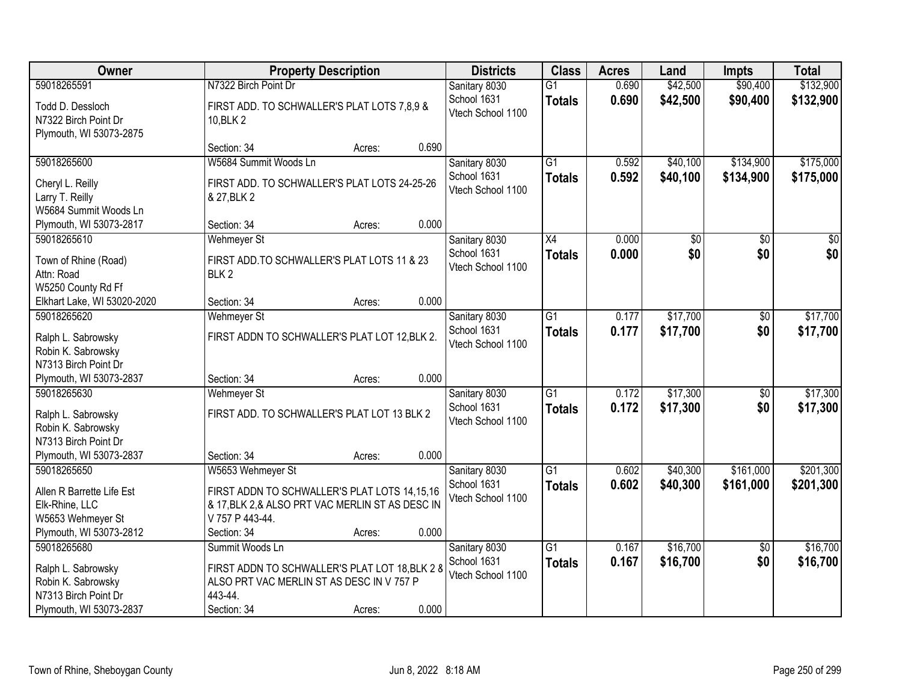| Owner                                                               | <b>Property Description</b>                                                                      |        |       | <b>Districts</b>                 | <b>Class</b>                     | <b>Acres</b>   | Land                 | <b>Impts</b>           | <b>Total</b>           |
|---------------------------------------------------------------------|--------------------------------------------------------------------------------------------------|--------|-------|----------------------------------|----------------------------------|----------------|----------------------|------------------------|------------------------|
| 59018265591                                                         | N7322 Birch Point Dr                                                                             |        |       | Sanitary 8030                    | $\overline{G1}$                  | 0.690          | \$42,500             | \$90,400               | \$132,900              |
| Todd D. Dessloch<br>N7322 Birch Point Dr<br>Plymouth, WI 53073-2875 | FIRST ADD. TO SCHWALLER'S PLAT LOTS 7,8,9 &<br>10, BLK 2                                         |        |       | School 1631<br>Vtech School 1100 | <b>Totals</b>                    | 0.690          | \$42,500             | \$90,400               | \$132,900              |
|                                                                     | Section: 34                                                                                      | Acres: | 0.690 |                                  |                                  |                |                      |                        |                        |
| 59018265600<br>Cheryl L. Reilly                                     | W5684 Summit Woods Ln<br>FIRST ADD. TO SCHWALLER'S PLAT LOTS 24-25-26                            |        |       | Sanitary 8030<br>School 1631     | $\overline{G1}$<br><b>Totals</b> | 0.592<br>0.592 | \$40,100<br>\$40,100 | \$134,900<br>\$134,900 | \$175,000<br>\$175,000 |
| Larry T. Reilly<br>W5684 Summit Woods Ln                            | & 27, BLK 2                                                                                      |        |       | Vtech School 1100                |                                  |                |                      |                        |                        |
| Plymouth, WI 53073-2817                                             | Section: 34                                                                                      | Acres: | 0.000 |                                  |                                  |                |                      |                        |                        |
| 59018265610                                                         | <b>Wehmeyer St</b>                                                                               |        |       | Sanitary 8030                    | X4                               | 0.000          | \$0                  | $\sqrt{6}$             | $\overline{30}$        |
| Town of Rhine (Road)<br>Attn: Road<br>W5250 County Rd Ff            | FIRST ADD. TO SCHWALLER'S PLAT LOTS 11 & 23<br>BLK <sub>2</sub>                                  |        |       | School 1631<br>Vtech School 1100 | <b>Totals</b>                    | 0.000          | \$0                  | \$0                    | \$0                    |
| Elkhart Lake, WI 53020-2020                                         | Section: 34                                                                                      | Acres: | 0.000 |                                  |                                  |                |                      |                        |                        |
| 59018265620                                                         | <b>Wehmeyer St</b>                                                                               |        |       | Sanitary 8030                    | G1                               | 0.177          | \$17,700             | $\sqrt[6]{3}$          | \$17,700               |
| Ralph L. Sabrowsky<br>Robin K. Sabrowsky<br>N7313 Birch Point Dr    | FIRST ADDN TO SCHWALLER'S PLAT LOT 12, BLK 2.                                                    |        |       | School 1631<br>Vtech School 1100 | <b>Totals</b>                    | 0.177          | \$17,700             | \$0                    | \$17,700               |
| Plymouth, WI 53073-2837                                             | Section: 34                                                                                      | Acres: | 0.000 |                                  |                                  |                |                      |                        |                        |
| 59018265630                                                         | <b>Wehmeyer St</b>                                                                               |        |       | Sanitary 8030                    | $\overline{G1}$                  | 0.172          | \$17,300             | $\overline{50}$        | \$17,300               |
| Ralph L. Sabrowsky                                                  | FIRST ADD. TO SCHWALLER'S PLAT LOT 13 BLK 2                                                      |        |       | School 1631<br>Vtech School 1100 | <b>Totals</b>                    | 0.172          | \$17,300             | \$0                    | \$17,300               |
| Robin K. Sabrowsky<br>N7313 Birch Point Dr                          |                                                                                                  |        |       |                                  |                                  |                |                      |                        |                        |
| Plymouth, WI 53073-2837                                             | Section: 34                                                                                      | Acres: | 0.000 |                                  |                                  |                |                      |                        |                        |
| 59018265650                                                         | W5653 Wehmeyer St                                                                                |        |       | Sanitary 8030                    | $\overline{G1}$                  | 0.602          | \$40,300             | \$161,000              | \$201,300              |
|                                                                     |                                                                                                  |        |       | School 1631                      | <b>Totals</b>                    | 0.602          | \$40,300             | \$161,000              | \$201,300              |
| Allen R Barrette Life Est<br>Elk-Rhine, LLC                         | FIRST ADDN TO SCHWALLER'S PLAT LOTS 14,15,16<br>& 17, BLK 2, & ALSO PRT VAC MERLIN ST AS DESC IN |        |       | Vtech School 1100                |                                  |                |                      |                        |                        |
| W5653 Wehmeyer St                                                   | V 757 P 443-44.                                                                                  |        |       |                                  |                                  |                |                      |                        |                        |
| Plymouth, WI 53073-2812                                             | Section: 34                                                                                      | Acres: | 0.000 |                                  |                                  |                |                      |                        |                        |
| 59018265680                                                         | Summit Woods Ln                                                                                  |        |       | Sanitary 8030                    | $\overline{G1}$                  | 0.167          | \$16,700             | $\overline{50}$        | \$16,700               |
| Ralph L. Sabrowsky                                                  | FIRST ADDN TO SCHWALLER'S PLAT LOT 18, BLK 2 8                                                   |        |       | School 1631                      | <b>Totals</b>                    | 0.167          | \$16,700             | \$0                    | \$16,700               |
| Robin K. Sabrowsky                                                  | ALSO PRT VAC MERLIN ST AS DESC IN V 757 P                                                        |        |       | Vtech School 1100                |                                  |                |                      |                        |                        |
| N7313 Birch Point Dr                                                | 443-44.                                                                                          |        |       |                                  |                                  |                |                      |                        |                        |
| Plymouth, WI 53073-2837                                             | Section: 34                                                                                      | Acres: | 0.000 |                                  |                                  |                |                      |                        |                        |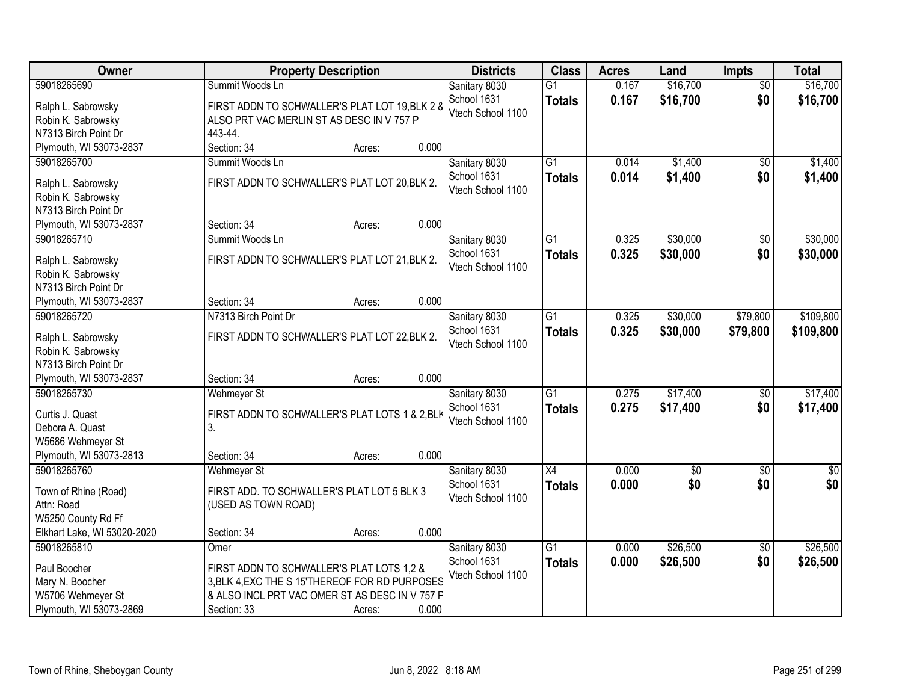| Owner                                    | <b>Property Description</b>                    | <b>Districts</b>                 | <b>Class</b>    | <b>Acres</b> | Land        | <b>Impts</b>    | <b>Total</b> |
|------------------------------------------|------------------------------------------------|----------------------------------|-----------------|--------------|-------------|-----------------|--------------|
| 59018265690                              | Summit Woods Ln                                | Sanitary 8030                    | $\overline{G1}$ | 0.167        | \$16,700    | $\overline{50}$ | \$16,700     |
| Ralph L. Sabrowsky                       | FIRST ADDN TO SCHWALLER'S PLAT LOT 19, BLK 2 8 | School 1631                      | <b>Totals</b>   | 0.167        | \$16,700    | \$0             | \$16,700     |
| Robin K. Sabrowsky                       | ALSO PRT VAC MERLIN ST AS DESC IN V 757 P      | Vtech School 1100                |                 |              |             |                 |              |
| N7313 Birch Point Dr                     | 443-44.                                        |                                  |                 |              |             |                 |              |
| Plymouth, WI 53073-2837                  | Section: 34<br>0.000<br>Acres:                 |                                  |                 |              |             |                 |              |
| 59018265700                              | Summit Woods Ln                                | Sanitary 8030                    | $\overline{G1}$ | 0.014        | \$1,400     | $\overline{50}$ | \$1,400      |
|                                          | FIRST ADDN TO SCHWALLER'S PLAT LOT 20, BLK 2.  | School 1631                      | <b>Totals</b>   | 0.014        | \$1,400     | \$0             | \$1,400      |
| Ralph L. Sabrowsky<br>Robin K. Sabrowsky |                                                | Vtech School 1100                |                 |              |             |                 |              |
| N7313 Birch Point Dr                     |                                                |                                  |                 |              |             |                 |              |
| Plymouth, WI 53073-2837                  | 0.000<br>Section: 34<br>Acres:                 |                                  |                 |              |             |                 |              |
| 59018265710                              | Summit Woods Ln                                | Sanitary 8030                    | $\overline{G1}$ | 0.325        | \$30,000    | \$0             | \$30,000     |
|                                          |                                                | School 1631                      | <b>Totals</b>   | 0.325        | \$30,000    | \$0             | \$30,000     |
| Ralph L. Sabrowsky                       | FIRST ADDN TO SCHWALLER'S PLAT LOT 21, BLK 2.  | Vtech School 1100                |                 |              |             |                 |              |
| Robin K. Sabrowsky                       |                                                |                                  |                 |              |             |                 |              |
| N7313 Birch Point Dr                     |                                                |                                  |                 |              |             |                 |              |
| Plymouth, WI 53073-2837                  | 0.000<br>Section: 34<br>Acres:                 |                                  |                 |              |             |                 |              |
| 59018265720                              | N7313 Birch Point Dr                           | Sanitary 8030                    | $\overline{G1}$ | 0.325        | \$30,000    | \$79,800        | \$109,800    |
| Ralph L. Sabrowsky                       | FIRST ADDN TO SCHWALLER'S PLAT LOT 22, BLK 2.  | School 1631                      | <b>Totals</b>   | 0.325        | \$30,000    | \$79,800        | \$109,800    |
| Robin K. Sabrowsky                       |                                                | Vtech School 1100                |                 |              |             |                 |              |
| N7313 Birch Point Dr                     |                                                |                                  |                 |              |             |                 |              |
| Plymouth, WI 53073-2837                  | 0.000<br>Section: 34<br>Acres:                 |                                  |                 |              |             |                 |              |
| 59018265730                              | <b>Wehmeyer St</b>                             | Sanitary 8030                    | $\overline{G1}$ | 0.275        | \$17,400    | \$0             | \$17,400     |
| Curtis J. Quast                          | FIRST ADDN TO SCHWALLER'S PLAT LOTS 1 & 2, BLK | School 1631                      | Totals          | 0.275        | \$17,400    | \$0             | \$17,400     |
| Debora A. Quast                          | 3.                                             | Vtech School 1100                |                 |              |             |                 |              |
| W5686 Wehmeyer St                        |                                                |                                  |                 |              |             |                 |              |
| Plymouth, WI 53073-2813                  | 0.000<br>Section: 34<br>Acres:                 |                                  |                 |              |             |                 |              |
| 59018265760                              | Wehmeyer St                                    | Sanitary 8030                    | X4              | 0.000        | $\sqrt{$0}$ | $\sqrt{6}$      | $\sqrt{50}$  |
|                                          |                                                | School 1631                      | <b>Totals</b>   | 0.000        | \$0         | \$0             | \$0          |
| Town of Rhine (Road)                     | FIRST ADD. TO SCHWALLER'S PLAT LOT 5 BLK 3     | Vtech School 1100                |                 |              |             |                 |              |
| Attn: Road                               | (USED AS TOWN ROAD)                            |                                  |                 |              |             |                 |              |
| W5250 County Rd Ff                       | 0.000                                          |                                  |                 |              |             |                 |              |
| Elkhart Lake, WI 53020-2020              | Section: 34<br>Acres:                          |                                  |                 |              |             |                 |              |
| 59018265810                              | Omer                                           | Sanitary 8030                    | $\overline{G1}$ | 0.000        | \$26,500    | $\overline{50}$ | \$26,500     |
| Paul Boocher                             | FIRST ADDN TO SCHWALLER'S PLAT LOTS 1,2 &      | School 1631<br>Vtech School 1100 | <b>Totals</b>   | 0.000        | \$26,500    | \$0             | \$26,500     |
| Mary N. Boocher                          | 3, BLK 4, EXC THE S 15'THEREOF FOR RD PURPOSES |                                  |                 |              |             |                 |              |
| W5706 Wehmeyer St                        | & ALSO INCL PRT VAC OMER ST AS DESC IN V 757 F |                                  |                 |              |             |                 |              |
| Plymouth, WI 53073-2869                  | 0.000<br>Section: 33<br>Acres:                 |                                  |                 |              |             |                 |              |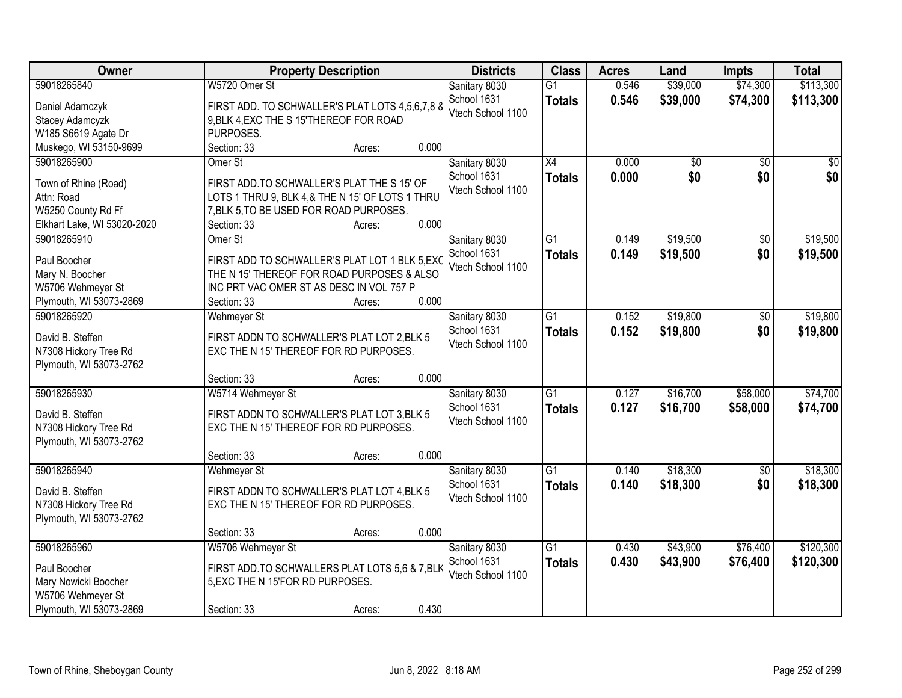| Owner                       |                                                                                       | <b>Property Description</b> |       | <b>Districts</b>  | <b>Class</b>    | <b>Acres</b> | Land     | <b>Impts</b> | <b>Total</b> |
|-----------------------------|---------------------------------------------------------------------------------------|-----------------------------|-------|-------------------|-----------------|--------------|----------|--------------|--------------|
| 59018265840                 | W5720 Omer St                                                                         |                             |       | Sanitary 8030     | $\overline{G1}$ | 0.546        | \$39,000 | \$74,300     | \$113,300    |
| Daniel Adamczyk             | FIRST ADD. TO SCHWALLER'S PLAT LOTS 4,5,6,7,8 8                                       |                             |       | School 1631       | <b>Totals</b>   | 0.546        | \$39,000 | \$74,300     | \$113,300    |
| Stacey Adamcyzk             | 9, BLK 4, EXC THE S 15'THEREOF FOR ROAD                                               |                             |       | Vtech School 1100 |                 |              |          |              |              |
| W185 S6619 Agate Dr         | PURPOSES.                                                                             |                             |       |                   |                 |              |          |              |              |
| Muskego, WI 53150-9699      | Section: 33                                                                           | Acres:                      | 0.000 |                   |                 |              |          |              |              |
| 59018265900                 | Omer St                                                                               |                             |       | Sanitary 8030     | $\overline{X4}$ | 0.000        | \$0      | \$0          | \$0          |
|                             |                                                                                       |                             |       | School 1631       | <b>Totals</b>   | 0.000        | \$0      | \$0          | \$0          |
| Town of Rhine (Road)        | FIRST ADD.TO SCHWALLER'S PLAT THE S 15' OF                                            |                             |       | Vtech School 1100 |                 |              |          |              |              |
| Attn: Road                  | LOTS 1 THRU 9, BLK 4,& THE N 15' OF LOTS 1 THRU                                       |                             |       |                   |                 |              |          |              |              |
| W5250 County Rd Ff          | 7, BLK 5, TO BE USED FOR ROAD PURPOSES.                                               |                             |       |                   |                 |              |          |              |              |
| Elkhart Lake, WI 53020-2020 | Section: 33                                                                           | Acres:                      | 0.000 |                   |                 |              |          |              |              |
| 59018265910                 | Omer St                                                                               |                             |       | Sanitary 8030     | $\overline{G1}$ | 0.149        | \$19,500 | \$0          | \$19,500     |
| Paul Boocher                | FIRST ADD TO SCHWALLER'S PLAT LOT 1 BLK 5, EXC                                        |                             |       | School 1631       | <b>Totals</b>   | 0.149        | \$19,500 | \$0          | \$19,500     |
| Mary N. Boocher             | THE N 15' THEREOF FOR ROAD PURPOSES & ALSO                                            |                             |       | Vtech School 1100 |                 |              |          |              |              |
| W5706 Wehmeyer St           | INC PRT VAC OMER ST AS DESC IN VOL 757 P                                              |                             |       |                   |                 |              |          |              |              |
| Plymouth, WI 53073-2869     | Section: 33                                                                           | Acres:                      | 0.000 |                   |                 |              |          |              |              |
| 59018265920                 | <b>Wehmeyer St</b>                                                                    |                             |       | Sanitary 8030     | $\overline{G1}$ | 0.152        | \$19,800 | \$0          | \$19,800     |
| David B. Steffen            |                                                                                       |                             |       | School 1631       | <b>Totals</b>   | 0.152        | \$19,800 | \$0          | \$19,800     |
| N7308 Hickory Tree Rd       | FIRST ADDN TO SCHWALLER'S PLAT LOT 2, BLK 5<br>EXC THE N 15' THEREOF FOR RD PURPOSES. |                             |       | Vtech School 1100 |                 |              |          |              |              |
| Plymouth, WI 53073-2762     |                                                                                       |                             |       |                   |                 |              |          |              |              |
|                             | Section: 33                                                                           | Acres:                      | 0.000 |                   |                 |              |          |              |              |
| 59018265930                 | W5714 Wehmeyer St                                                                     |                             |       | Sanitary 8030     | $\overline{G1}$ | 0.127        | \$16,700 | \$58,000     | \$74,700     |
|                             |                                                                                       |                             |       | School 1631       |                 | 0.127        | \$16,700 | \$58,000     | \$74,700     |
| David B. Steffen            | FIRST ADDN TO SCHWALLER'S PLAT LOT 3, BLK 5                                           |                             |       | Vtech School 1100 | <b>Totals</b>   |              |          |              |              |
| N7308 Hickory Tree Rd       | EXC THE N 15' THEREOF FOR RD PURPOSES.                                                |                             |       |                   |                 |              |          |              |              |
| Plymouth, WI 53073-2762     |                                                                                       |                             |       |                   |                 |              |          |              |              |
|                             | Section: 33                                                                           | Acres:                      | 0.000 |                   |                 |              |          |              |              |
| 59018265940                 | <b>Wehmeyer St</b>                                                                    |                             |       | Sanitary 8030     | $\overline{G1}$ | 0.140        | \$18,300 | $\sqrt{6}$   | \$18,300     |
| David B. Steffen            | FIRST ADDN TO SCHWALLER'S PLAT LOT 4, BLK 5                                           |                             |       | School 1631       | <b>Totals</b>   | 0.140        | \$18,300 | \$0          | \$18,300     |
| N7308 Hickory Tree Rd       | EXC THE N 15' THEREOF FOR RD PURPOSES.                                                |                             |       | Vtech School 1100 |                 |              |          |              |              |
| Plymouth, WI 53073-2762     |                                                                                       |                             |       |                   |                 |              |          |              |              |
|                             | Section: 33                                                                           | Acres:                      | 0.000 |                   |                 |              |          |              |              |
| 59018265960                 | W5706 Wehmeyer St                                                                     |                             |       | Sanitary 8030     | $\overline{G1}$ | 0.430        | \$43,900 | \$76,400     | \$120,300    |
|                             |                                                                                       |                             |       | School 1631       | <b>Totals</b>   | 0.430        | \$43,900 | \$76,400     | \$120,300    |
| Paul Boocher                | FIRST ADD. TO SCHWALLERS PLAT LOTS 5,6 & 7, BLK                                       |                             |       | Vtech School 1100 |                 |              |          |              |              |
| Mary Nowicki Boocher        | 5, EXC THE N 15'FOR RD PURPOSES.                                                      |                             |       |                   |                 |              |          |              |              |
| W5706 Wehmeyer St           |                                                                                       |                             |       |                   |                 |              |          |              |              |
| Plymouth, WI 53073-2869     | Section: 33                                                                           | Acres:                      | 0.430 |                   |                 |              |          |              |              |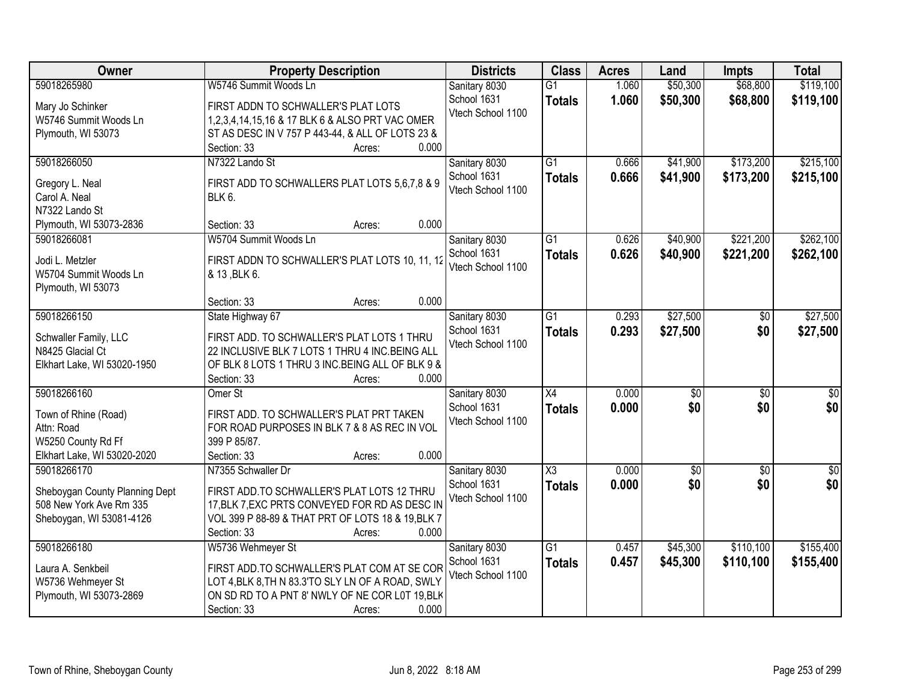| Owner                          | <b>Property Description</b>                                                       | <b>Districts</b>                 | <b>Class</b>        | <b>Acres</b> | Land            | <b>Impts</b>    | <b>Total</b>    |
|--------------------------------|-----------------------------------------------------------------------------------|----------------------------------|---------------------|--------------|-----------------|-----------------|-----------------|
| 59018265980                    | W5746 Summit Woods Ln                                                             | Sanitary 8030                    | $\overline{G1}$     | 1.060        | \$50,300        | \$68,800        | \$119,100       |
| Mary Jo Schinker               | FIRST ADDN TO SCHWALLER'S PLAT LOTS                                               | School 1631                      | <b>Totals</b>       | 1.060        | \$50,300        | \$68,800        | \$119,100       |
| W5746 Summit Woods Ln          | 1,2,3,4,14,15,16 & 17 BLK 6 & ALSO PRT VAC OMER                                   | Vtech School 1100                |                     |              |                 |                 |                 |
| Plymouth, WI 53073             | ST AS DESC IN V 757 P 443-44, & ALL OF LOTS 23 &                                  |                                  |                     |              |                 |                 |                 |
|                                | 0.000<br>Section: 33<br>Acres:                                                    |                                  |                     |              |                 |                 |                 |
| 59018266050                    | N7322 Lando St                                                                    | Sanitary 8030                    | $\overline{G1}$     | 0.666        | \$41,900        | \$173,200       | \$215,100       |
|                                |                                                                                   | School 1631                      | <b>Totals</b>       | 0.666        | \$41,900        | \$173,200       | \$215,100       |
| Gregory L. Neal                | FIRST ADD TO SCHWALLERS PLAT LOTS 5,6,7,8 & 9                                     | Vtech School 1100                |                     |              |                 |                 |                 |
| Carol A. Neal                  | <b>BLK 6.</b>                                                                     |                                  |                     |              |                 |                 |                 |
| N7322 Lando St                 |                                                                                   |                                  |                     |              |                 |                 |                 |
| Plymouth, WI 53073-2836        | 0.000<br>Section: 33<br>Acres:                                                    |                                  |                     |              |                 |                 |                 |
| 59018266081                    | W5704 Summit Woods Ln                                                             | Sanitary 8030                    | G1                  | 0.626        | \$40,900        | \$221,200       | \$262,100       |
| Jodi L. Metzler                | FIRST ADDN TO SCHWALLER'S PLAT LOTS 10, 11, 12                                    | School 1631                      | <b>Totals</b>       | 0.626        | \$40,900        | \$221,200       | \$262,100       |
| W5704 Summit Woods Ln          | & 13, BLK 6.                                                                      | Vtech School 1100                |                     |              |                 |                 |                 |
| Plymouth, WI 53073             |                                                                                   |                                  |                     |              |                 |                 |                 |
|                                | 0.000<br>Section: 33<br>Acres:                                                    |                                  |                     |              |                 |                 |                 |
| 59018266150                    | State Highway 67                                                                  | Sanitary 8030                    | G1                  | 0.293        | \$27,500        | $\sqrt[6]{}$    | \$27,500        |
|                                |                                                                                   | School 1631                      | <b>Totals</b>       | 0.293        | \$27,500        | \$0             | \$27,500        |
| Schwaller Family, LLC          | FIRST ADD. TO SCHWALLER'S PLAT LOTS 1 THRU                                        | Vtech School 1100                |                     |              |                 |                 |                 |
| N8425 Glacial Ct               | 22 INCLUSIVE BLK 7 LOTS 1 THRU 4 INC.BEING ALL                                    |                                  |                     |              |                 |                 |                 |
| Elkhart Lake, WI 53020-1950    | OF BLK 8 LOTS 1 THRU 3 INC.BEING ALL OF BLK 9 &<br>0.000<br>Section: 33<br>Acres: |                                  |                     |              |                 |                 |                 |
| 59018266160                    | Omer St                                                                           |                                  | $\overline{X4}$     | 0.000        | $\overline{50}$ | $\overline{50}$ | $\overline{50}$ |
|                                |                                                                                   | Sanitary 8030                    |                     |              |                 |                 |                 |
| Town of Rhine (Road)           | FIRST ADD. TO SCHWALLER'S PLAT PRT TAKEN                                          | School 1631<br>Vtech School 1100 | <b>Totals</b>       | 0.000        | \$0             | \$0             | \$0             |
| Attn: Road                     | FOR ROAD PURPOSES IN BLK 7 & 8 AS REC IN VOL                                      |                                  |                     |              |                 |                 |                 |
| W5250 County Rd Ff             | 399 P 85/87.                                                                      |                                  |                     |              |                 |                 |                 |
| Elkhart Lake, WI 53020-2020    | Section: 33<br>0.000<br>Acres:                                                    |                                  |                     |              |                 |                 |                 |
| 59018266170                    | N7355 Schwaller Dr                                                                | Sanitary 8030                    | $\overline{\chi_3}$ | 0.000        | $\overline{50}$ | $\overline{50}$ | $\overline{50}$ |
| Sheboygan County Planning Dept | FIRST ADD. TO SCHWALLER'S PLAT LOTS 12 THRU                                       | School 1631                      | <b>Totals</b>       | 0.000        | \$0             | \$0             | \$0             |
| 508 New York Ave Rm 335        | 17, BLK 7, EXC PRTS CONVEYED FOR RD AS DESC IN                                    | Vtech School 1100                |                     |              |                 |                 |                 |
| Sheboygan, WI 53081-4126       | VOL 399 P 88-89 & THAT PRT OF LOTS 18 & 19, BLK 7                                 |                                  |                     |              |                 |                 |                 |
|                                | 0.000<br>Section: 33<br>Acres:                                                    |                                  |                     |              |                 |                 |                 |
| 59018266180                    | W5736 Wehmeyer St                                                                 | Sanitary 8030                    | $\overline{G1}$     | 0.457        | \$45,300        | \$110,100       | \$155,400       |
|                                |                                                                                   | School 1631                      |                     | 0.457        | \$45,300        | \$110,100       | \$155,400       |
| Laura A. Senkbeil              | FIRST ADD. TO SCHWALLER'S PLAT COM AT SE COR                                      | Vtech School 1100                | <b>Totals</b>       |              |                 |                 |                 |
| W5736 Wehmeyer St              | LOT 4, BLK 8, TH N 83.3'TO SLY LN OF A ROAD, SWLY                                 |                                  |                     |              |                 |                 |                 |
| Plymouth, WI 53073-2869        | ON SD RD TO A PNT 8' NWLY OF NE COR L0T 19, BLK                                   |                                  |                     |              |                 |                 |                 |
|                                | 0.000<br>Section: 33<br>Acres:                                                    |                                  |                     |              |                 |                 |                 |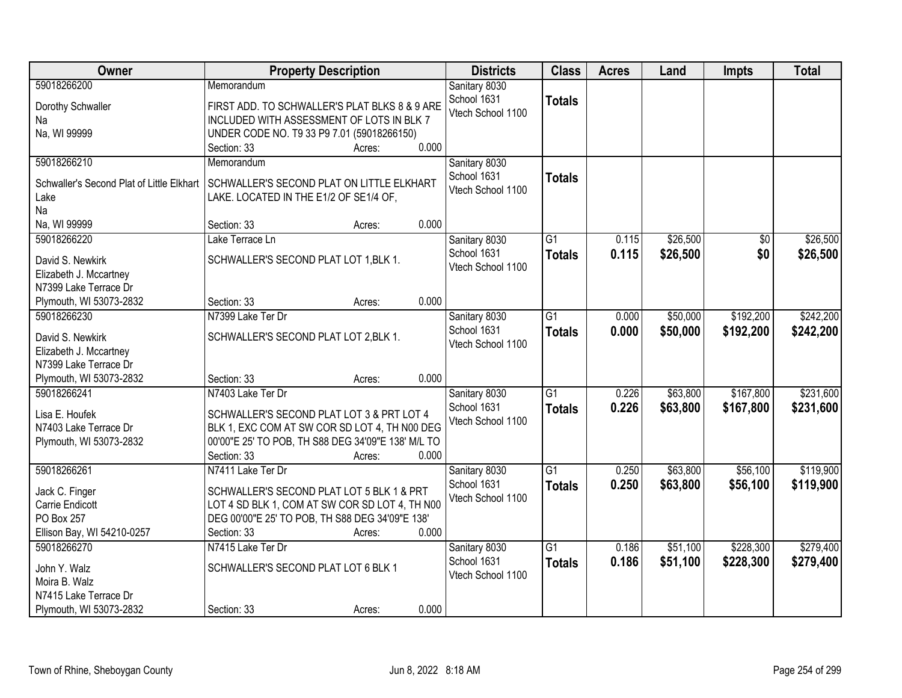| Owner                                     | <b>Property Description</b>                        | <b>Districts</b>  | <b>Class</b>    | <b>Acres</b> | Land     | <b>Impts</b>    | <b>Total</b> |
|-------------------------------------------|----------------------------------------------------|-------------------|-----------------|--------------|----------|-----------------|--------------|
| 59018266200                               | Memorandum                                         | Sanitary 8030     |                 |              |          |                 |              |
| Dorothy Schwaller                         | FIRST ADD. TO SCHWALLER'S PLAT BLKS 8 & 9 ARE      | School 1631       | <b>Totals</b>   |              |          |                 |              |
| Na                                        | INCLUDED WITH ASSESSMENT OF LOTS IN BLK 7          | Vtech School 1100 |                 |              |          |                 |              |
| Na, WI 99999                              | UNDER CODE NO. T9 33 P9 7.01 (59018266150)         |                   |                 |              |          |                 |              |
|                                           | 0.000<br>Section: 33<br>Acres:                     |                   |                 |              |          |                 |              |
| 59018266210                               | Memorandum                                         | Sanitary 8030     |                 |              |          |                 |              |
| Schwaller's Second Plat of Little Elkhart | SCHWALLER'S SECOND PLAT ON LITTLE ELKHART          | School 1631       | <b>Totals</b>   |              |          |                 |              |
| Lake                                      | LAKE. LOCATED IN THE E1/2 OF SE1/4 OF,             | Vtech School 1100 |                 |              |          |                 |              |
| Na                                        |                                                    |                   |                 |              |          |                 |              |
| Na, WI 99999                              | 0.000<br>Section: 33<br>Acres:                     |                   |                 |              |          |                 |              |
| 59018266220                               | Lake Terrace Ln                                    | Sanitary 8030     | $\overline{G1}$ | 0.115        | \$26,500 | $\overline{50}$ | \$26,500     |
|                                           |                                                    | School 1631       | <b>Totals</b>   | 0.115        | \$26,500 | \$0             | \$26,500     |
| David S. Newkirk                          | SCHWALLER'S SECOND PLAT LOT 1, BLK 1.              | Vtech School 1100 |                 |              |          |                 |              |
| Elizabeth J. Mccartney                    |                                                    |                   |                 |              |          |                 |              |
| N7399 Lake Terrace Dr                     |                                                    |                   |                 |              |          |                 |              |
| Plymouth, WI 53073-2832                   | 0.000<br>Section: 33<br>Acres:                     |                   |                 |              |          |                 |              |
| 59018266230                               | N7399 Lake Ter Dr                                  | Sanitary 8030     | $\overline{G1}$ | 0.000        | \$50,000 | \$192,200       | \$242,200    |
| David S. Newkirk                          | SCHWALLER'S SECOND PLAT LOT 2, BLK 1.              | School 1631       | <b>Totals</b>   | 0.000        | \$50,000 | \$192,200       | \$242,200    |
| Elizabeth J. Mccartney                    |                                                    | Vtech School 1100 |                 |              |          |                 |              |
| N7399 Lake Terrace Dr                     |                                                    |                   |                 |              |          |                 |              |
| Plymouth, WI 53073-2832                   | 0.000<br>Section: 33<br>Acres:                     |                   |                 |              |          |                 |              |
| 59018266241                               | N7403 Lake Ter Dr                                  | Sanitary 8030     | $\overline{G1}$ | 0.226        | \$63,800 | \$167,800       | \$231,600    |
|                                           |                                                    | School 1631       | <b>Totals</b>   | 0.226        | \$63,800 | \$167,800       | \$231,600    |
| Lisa E. Houfek                            | SCHWALLER'S SECOND PLAT LOT 3 & PRT LOT 4          | Vtech School 1100 |                 |              |          |                 |              |
| N7403 Lake Terrace Dr                     | BLK 1, EXC COM AT SW COR SD LOT 4, TH N00 DEG      |                   |                 |              |          |                 |              |
| Plymouth, WI 53073-2832                   | 00'00"E 25' TO POB, TH S88 DEG 34'09"E 138' M/L TO |                   |                 |              |          |                 |              |
|                                           | Section: 33<br>0.000<br>Acres:                     |                   |                 |              |          |                 |              |
| 59018266261                               | N7411 Lake Ter Dr                                  | Sanitary 8030     | $\overline{G1}$ | 0.250        | \$63,800 | \$56,100        | \$119,900    |
| Jack C. Finger                            | SCHWALLER'S SECOND PLAT LOT 5 BLK 1 & PRT          | School 1631       | <b>Totals</b>   | 0.250        | \$63,800 | \$56,100        | \$119,900    |
| Carrie Endicott                           | LOT 4 SD BLK 1, COM AT SW COR SD LOT 4, TH N00     | Vtech School 1100 |                 |              |          |                 |              |
| PO Box 257                                | DEG 00'00"E 25' TO POB, TH S88 DEG 34'09"E 138'    |                   |                 |              |          |                 |              |
| Ellison Bay, WI 54210-0257                | 0.000<br>Section: 33<br>Acres:                     |                   |                 |              |          |                 |              |
| 59018266270                               | N7415 Lake Ter Dr                                  | Sanitary 8030     | $\overline{G1}$ | 0.186        | \$51,100 | \$228,300       | \$279,400    |
|                                           |                                                    | School 1631       | <b>Totals</b>   | 0.186        | \$51,100 | \$228,300       | \$279,400    |
| John Y. Walz                              | SCHWALLER'S SECOND PLAT LOT 6 BLK 1                | Vtech School 1100 |                 |              |          |                 |              |
| Moira B. Walz                             |                                                    |                   |                 |              |          |                 |              |
| N7415 Lake Terrace Dr                     |                                                    |                   |                 |              |          |                 |              |
| Plymouth, WI 53073-2832                   | 0.000<br>Section: 33<br>Acres:                     |                   |                 |              |          |                 |              |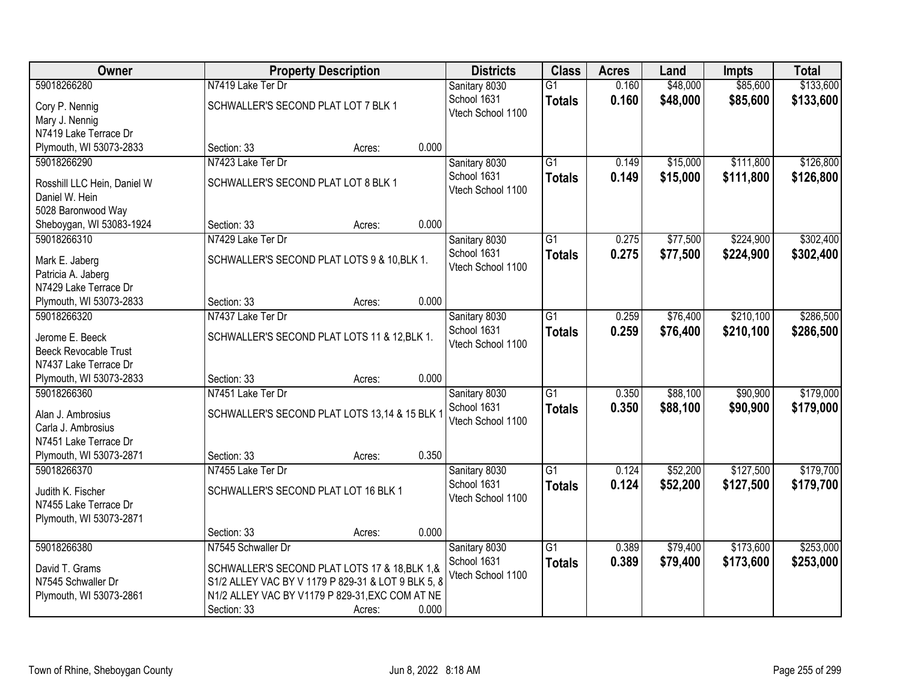| Owner                                         | <b>Property Description</b>                        |       | <b>Districts</b>  | <b>Class</b>    | <b>Acres</b> | Land     | <b>Impts</b> | <b>Total</b> |
|-----------------------------------------------|----------------------------------------------------|-------|-------------------|-----------------|--------------|----------|--------------|--------------|
| 59018266280                                   | N7419 Lake Ter Dr                                  |       | Sanitary 8030     | $\overline{G1}$ | 0.160        | \$48,000 | \$85,600     | \$133,600    |
| Cory P. Nennig                                | SCHWALLER'S SECOND PLAT LOT 7 BLK 1                |       | School 1631       | <b>Totals</b>   | 0.160        | \$48,000 | \$85,600     | \$133,600    |
| Mary J. Nennig                                |                                                    |       | Vtech School 1100 |                 |              |          |              |              |
| N7419 Lake Terrace Dr                         |                                                    |       |                   |                 |              |          |              |              |
| Plymouth, WI 53073-2833                       | Section: 33<br>Acres:                              | 0.000 |                   |                 |              |          |              |              |
| 59018266290                                   | N7423 Lake Ter Dr                                  |       | Sanitary 8030     | $\overline{G1}$ | 0.149        | \$15,000 | \$111,800    | \$126,800    |
|                                               | SCHWALLER'S SECOND PLAT LOT 8 BLK 1                |       | School 1631       | <b>Totals</b>   | 0.149        | \$15,000 | \$111,800    | \$126,800    |
| Rosshill LLC Hein, Daniel W<br>Daniel W. Hein |                                                    |       | Vtech School 1100 |                 |              |          |              |              |
| 5028 Baronwood Way                            |                                                    |       |                   |                 |              |          |              |              |
| Sheboygan, WI 53083-1924                      | Section: 33<br>Acres:                              | 0.000 |                   |                 |              |          |              |              |
| 59018266310                                   | N7429 Lake Ter Dr                                  |       | Sanitary 8030     | $\overline{G1}$ | 0.275        | \$77,500 | \$224,900    | \$302,400    |
|                                               |                                                    |       | School 1631       | <b>Totals</b>   | 0.275        | \$77,500 | \$224,900    | \$302,400    |
| Mark E. Jaberg                                | SCHWALLER'S SECOND PLAT LOTS 9 & 10, BLK 1.        |       | Vtech School 1100 |                 |              |          |              |              |
| Patricia A. Jaberg                            |                                                    |       |                   |                 |              |          |              |              |
| N7429 Lake Terrace Dr                         |                                                    |       |                   |                 |              |          |              |              |
| Plymouth, WI 53073-2833                       | Section: 33<br>Acres:                              | 0.000 |                   |                 |              |          |              |              |
| 59018266320                                   | N7437 Lake Ter Dr                                  |       | Sanitary 8030     | $\overline{G1}$ | 0.259        | \$76,400 | \$210,100    | \$286,500    |
| Jerome E. Beeck                               | SCHWALLER'S SECOND PLAT LOTS 11 & 12, BLK 1.       |       | School 1631       | <b>Totals</b>   | 0.259        | \$76,400 | \$210,100    | \$286,500    |
| <b>Beeck Revocable Trust</b>                  |                                                    |       | Vtech School 1100 |                 |              |          |              |              |
| N7437 Lake Terrace Dr                         |                                                    |       |                   |                 |              |          |              |              |
| Plymouth, WI 53073-2833                       | Section: 33<br>Acres:                              | 0.000 |                   |                 |              |          |              |              |
| 59018266360                                   | N7451 Lake Ter Dr                                  |       | Sanitary 8030     | $\overline{G1}$ | 0.350        | \$88,100 | \$90,900     | \$179,000    |
| Alan J. Ambrosius                             | SCHWALLER'S SECOND PLAT LOTS 13,14 & 15 BLK        |       | School 1631       | <b>Totals</b>   | 0.350        | \$88,100 | \$90,900     | \$179,000    |
| Carla J. Ambrosius                            |                                                    |       | Vtech School 1100 |                 |              |          |              |              |
| N7451 Lake Terrace Dr                         |                                                    |       |                   |                 |              |          |              |              |
| Plymouth, WI 53073-2871                       | Section: 33<br>Acres:                              | 0.350 |                   |                 |              |          |              |              |
| 59018266370                                   | N7455 Lake Ter Dr                                  |       | Sanitary 8030     | $\overline{G1}$ | 0.124        | \$52,200 | \$127,500    | \$179,700    |
|                                               |                                                    |       | School 1631       | <b>Totals</b>   | 0.124        | \$52,200 | \$127,500    | \$179,700    |
| Judith K. Fischer                             | SCHWALLER'S SECOND PLAT LOT 16 BLK 1               |       | Vtech School 1100 |                 |              |          |              |              |
| N7455 Lake Terrace Dr                         |                                                    |       |                   |                 |              |          |              |              |
| Plymouth, WI 53073-2871                       | Section: 33                                        | 0.000 |                   |                 |              |          |              |              |
| 59018266380                                   | Acres:<br>N7545 Schwaller Dr                       |       | Sanitary 8030     | $\overline{G1}$ | 0.389        | \$79,400 | \$173,600    | \$253,000    |
|                                               |                                                    |       | School 1631       |                 | 0.389        |          | \$173,600    |              |
| David T. Grams                                | SCHWALLER'S SECOND PLAT LOTS 17 & 18, BLK 1, &     |       | Vtech School 1100 | <b>Totals</b>   |              | \$79,400 |              | \$253,000    |
| N7545 Schwaller Dr                            | S1/2 ALLEY VAC BY V 1179 P 829-31 & LOT 9 BLK 5, 8 |       |                   |                 |              |          |              |              |
| Plymouth, WI 53073-2861                       | N1/2 ALLEY VAC BY V1179 P 829-31, EXC COM AT NE    |       |                   |                 |              |          |              |              |
|                                               | Section: 33<br>Acres:                              | 0.000 |                   |                 |              |          |              |              |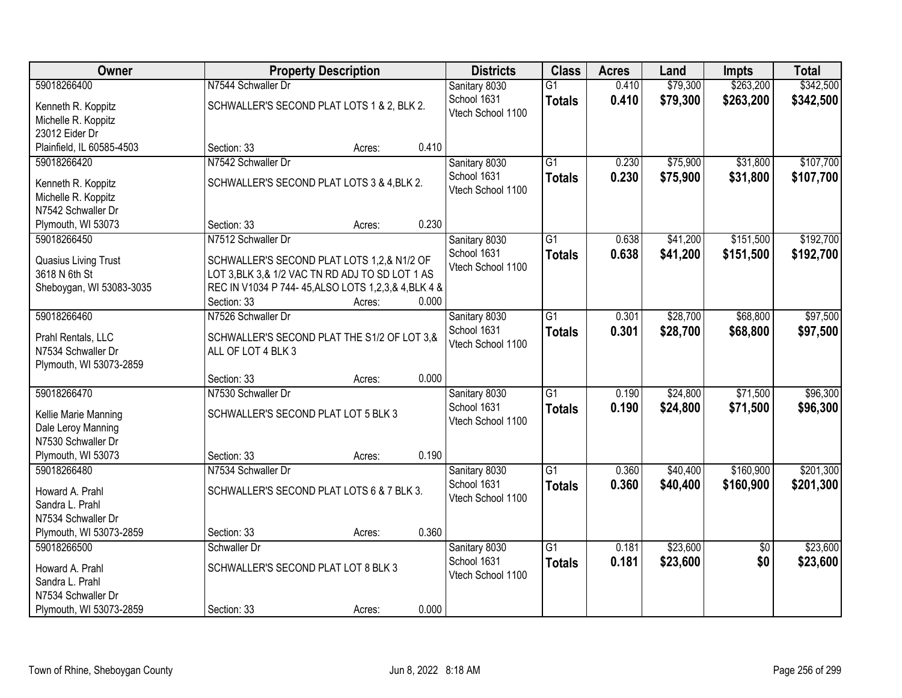| Owner                                     |                                                                                                            | <b>Property Description</b> |       | <b>Districts</b>             | <b>Class</b>    | <b>Acres</b> | Land     | <b>Impts</b>    | <b>Total</b> |
|-------------------------------------------|------------------------------------------------------------------------------------------------------------|-----------------------------|-------|------------------------------|-----------------|--------------|----------|-----------------|--------------|
| 59018266400                               | N7544 Schwaller Dr                                                                                         |                             |       | Sanitary 8030                | $\overline{G1}$ | 0.410        | \$79,300 | \$263,200       | \$342,500    |
| Kenneth R. Koppitz                        | SCHWALLER'S SECOND PLAT LOTS 1 & 2, BLK 2.                                                                 |                             |       | School 1631                  | <b>Totals</b>   | 0.410        | \$79,300 | \$263,200       | \$342,500    |
| Michelle R. Koppitz                       |                                                                                                            |                             |       | Vtech School 1100            |                 |              |          |                 |              |
| 23012 Eider Dr                            |                                                                                                            |                             |       |                              |                 |              |          |                 |              |
| Plainfield, IL 60585-4503                 | Section: 33                                                                                                | Acres:                      | 0.410 |                              |                 |              |          |                 |              |
| 59018266420                               | N7542 Schwaller Dr                                                                                         |                             |       | Sanitary 8030                | $\overline{G1}$ | 0.230        | \$75,900 | \$31,800        | \$107,700    |
| Kenneth R. Koppitz                        | SCHWALLER'S SECOND PLAT LOTS 3 & 4, BLK 2.                                                                 |                             |       | School 1631                  | <b>Totals</b>   | 0.230        | \$75,900 | \$31,800        | \$107,700    |
| Michelle R. Koppitz                       |                                                                                                            |                             |       | Vtech School 1100            |                 |              |          |                 |              |
| N7542 Schwaller Dr                        |                                                                                                            |                             |       |                              |                 |              |          |                 |              |
| Plymouth, WI 53073                        | Section: 33                                                                                                | Acres:                      | 0.230 |                              |                 |              |          |                 |              |
| 59018266450                               | N7512 Schwaller Dr                                                                                         |                             |       | Sanitary 8030                | G1              | 0.638        | \$41,200 | \$151,500       | \$192,700    |
|                                           |                                                                                                            |                             |       | School 1631                  | <b>Totals</b>   | 0.638        | \$41,200 | \$151,500       | \$192,700    |
| Quasius Living Trust                      | SCHWALLER'S SECOND PLAT LOTS 1,2,& N1/2 OF                                                                 |                             |       | Vtech School 1100            |                 |              |          |                 |              |
| 3618 N 6th St<br>Sheboygan, WI 53083-3035 | LOT 3, BLK 3, & 1/2 VAC TN RD ADJ TO SD LOT 1 AS<br>REC IN V1034 P 744-45, ALSO LOTS 1, 2, 3, & 4, BLK 4 & |                             |       |                              |                 |              |          |                 |              |
|                                           | Section: 33                                                                                                | Acres:                      | 0.000 |                              |                 |              |          |                 |              |
| 59018266460                               | N7526 Schwaller Dr                                                                                         |                             |       | Sanitary 8030                | $\overline{G1}$ | 0.301        | \$28,700 | \$68,800        | \$97,500     |
|                                           |                                                                                                            |                             |       | School 1631                  | <b>Totals</b>   | 0.301        | \$28,700 | \$68,800        | \$97,500     |
| Prahl Rentals, LLC                        | SCHWALLER'S SECOND PLAT THE S1/2 OF LOT 3,&                                                                |                             |       | Vtech School 1100            |                 |              |          |                 |              |
| N7534 Schwaller Dr                        | ALL OF LOT 4 BLK 3                                                                                         |                             |       |                              |                 |              |          |                 |              |
| Plymouth, WI 53073-2859                   |                                                                                                            |                             | 0.000 |                              |                 |              |          |                 |              |
| 59018266470                               | Section: 33<br>N7530 Schwaller Dr                                                                          | Acres:                      |       |                              | $\overline{G1}$ | 0.190        |          | \$71,500        | \$96,300     |
|                                           |                                                                                                            |                             |       | Sanitary 8030<br>School 1631 |                 |              | \$24,800 |                 |              |
| Kellie Marie Manning                      | SCHWALLER'S SECOND PLAT LOT 5 BLK 3                                                                        |                             |       | Vtech School 1100            | <b>Totals</b>   | 0.190        | \$24,800 | \$71,500        | \$96,300     |
| Dale Leroy Manning                        |                                                                                                            |                             |       |                              |                 |              |          |                 |              |
| N7530 Schwaller Dr                        |                                                                                                            |                             |       |                              |                 |              |          |                 |              |
| Plymouth, WI 53073                        | Section: 33                                                                                                | Acres:                      | 0.190 |                              |                 |              |          |                 |              |
| 59018266480                               | N7534 Schwaller Dr                                                                                         |                             |       | Sanitary 8030                | $\overline{G1}$ | 0.360        | \$40,400 | \$160,900       | \$201,300    |
| Howard A. Prahl                           | SCHWALLER'S SECOND PLAT LOTS 6 & 7 BLK 3.                                                                  |                             |       | School 1631                  | <b>Totals</b>   | 0.360        | \$40,400 | \$160,900       | \$201,300    |
| Sandra L. Prahl                           |                                                                                                            |                             |       | Vtech School 1100            |                 |              |          |                 |              |
| N7534 Schwaller Dr                        |                                                                                                            |                             |       |                              |                 |              |          |                 |              |
| Plymouth, WI 53073-2859                   | Section: 33                                                                                                | Acres:                      | 0.360 |                              |                 |              |          |                 |              |
| 59018266500                               | Schwaller Dr                                                                                               |                             |       | Sanitary 8030                | $\overline{G1}$ | 0.181        | \$23,600 | $\overline{50}$ | \$23,600     |
| Howard A. Prahl                           | SCHWALLER'S SECOND PLAT LOT 8 BLK 3                                                                        |                             |       | School 1631                  | <b>Totals</b>   | 0.181        | \$23,600 | \$0             | \$23,600     |
| Sandra L. Prahl                           |                                                                                                            |                             |       | Vtech School 1100            |                 |              |          |                 |              |
| N7534 Schwaller Dr                        |                                                                                                            |                             |       |                              |                 |              |          |                 |              |
| Plymouth, WI 53073-2859                   | Section: 33                                                                                                | Acres:                      | 0.000 |                              |                 |              |          |                 |              |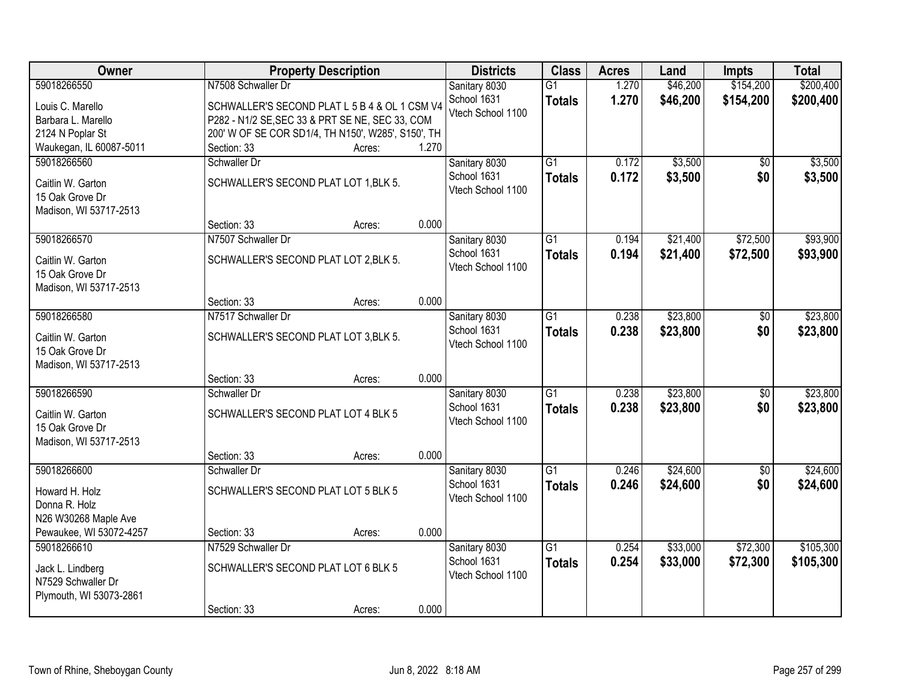| Owner                                           |                                                    | <b>Property Description</b> |       | <b>Districts</b>             | <b>Class</b>    | <b>Acres</b> | Land     | <b>Impts</b>    | <b>Total</b> |
|-------------------------------------------------|----------------------------------------------------|-----------------------------|-------|------------------------------|-----------------|--------------|----------|-----------------|--------------|
| 59018266550                                     | N7508 Schwaller Dr                                 |                             |       | Sanitary 8030                | $\overline{G1}$ | 1.270        | \$46,200 | \$154,200       | \$200,400    |
| Louis C. Marello                                | SCHWALLER'S SECOND PLAT L 5 B 4 & OL 1 CSM V4      |                             |       | School 1631                  | <b>Totals</b>   | 1.270        | \$46,200 | \$154,200       | \$200,400    |
| Barbara L. Marello                              | P282 - N1/2 SE, SEC 33 & PRT SE NE, SEC 33, COM    |                             |       | Vtech School 1100            |                 |              |          |                 |              |
| 2124 N Poplar St                                | 200' W OF SE COR SD1/4, TH N150', W285', S150', TH |                             |       |                              |                 |              |          |                 |              |
| Waukegan, IL 60087-5011                         | Section: 33                                        | Acres:                      | 1.270 |                              |                 |              |          |                 |              |
| 59018266560                                     | Schwaller Dr                                       |                             |       | Sanitary 8030                | $\overline{G1}$ | 0.172        | \$3,500  | \$0             | \$3,500      |
|                                                 |                                                    |                             |       | School 1631                  | <b>Totals</b>   | 0.172        | \$3,500  | \$0             | \$3,500      |
| Caitlin W. Garton                               | SCHWALLER'S SECOND PLAT LOT 1, BLK 5.              |                             |       | Vtech School 1100            |                 |              |          |                 |              |
| 15 Oak Grove Dr                                 |                                                    |                             |       |                              |                 |              |          |                 |              |
| Madison, WI 53717-2513                          |                                                    |                             |       |                              |                 |              |          |                 |              |
|                                                 | Section: 33                                        | Acres:                      | 0.000 |                              |                 |              |          |                 |              |
| 59018266570                                     | N7507 Schwaller Dr                                 |                             |       | Sanitary 8030                | $\overline{G1}$ | 0.194        | \$21,400 | \$72,500        | \$93,900     |
| Caitlin W. Garton                               | SCHWALLER'S SECOND PLAT LOT 2, BLK 5.              |                             |       | School 1631                  | <b>Totals</b>   | 0.194        | \$21,400 | \$72,500        | \$93,900     |
| 15 Oak Grove Dr                                 |                                                    |                             |       | Vtech School 1100            |                 |              |          |                 |              |
| Madison, WI 53717-2513                          |                                                    |                             |       |                              |                 |              |          |                 |              |
|                                                 | Section: 33                                        | Acres:                      | 0.000 |                              |                 |              |          |                 |              |
| 59018266580                                     | N7517 Schwaller Dr                                 |                             |       | Sanitary 8030                | $\overline{G1}$ | 0.238        | \$23,800 | \$0             | \$23,800     |
|                                                 |                                                    |                             |       | School 1631                  | <b>Totals</b>   | 0.238        | \$23,800 | \$0             | \$23,800     |
| Caitlin W. Garton                               | SCHWALLER'S SECOND PLAT LOT 3, BLK 5.              |                             |       | Vtech School 1100            |                 |              |          |                 |              |
| 15 Oak Grove Dr                                 |                                                    |                             |       |                              |                 |              |          |                 |              |
| Madison, WI 53717-2513                          |                                                    |                             |       |                              |                 |              |          |                 |              |
|                                                 | Section: 33                                        | Acres:                      | 0.000 |                              |                 |              |          |                 |              |
| 59018266590                                     | Schwaller Dr                                       |                             |       | Sanitary 8030                | $\overline{G1}$ | 0.238        | \$23,800 | $\overline{50}$ | \$23,800     |
| Caitlin W. Garton                               | SCHWALLER'S SECOND PLAT LOT 4 BLK 5                |                             |       | School 1631                  | <b>Totals</b>   | 0.238        | \$23,800 | \$0             | \$23,800     |
| 15 Oak Grove Dr                                 |                                                    |                             |       | Vtech School 1100            |                 |              |          |                 |              |
| Madison, WI 53717-2513                          |                                                    |                             |       |                              |                 |              |          |                 |              |
|                                                 | Section: 33                                        | Acres:                      | 0.000 |                              |                 |              |          |                 |              |
| 59018266600                                     | Schwaller Dr                                       |                             |       | Sanitary 8030                | $\overline{G1}$ | 0.246        | \$24,600 | $\sqrt{6}$      | \$24,600     |
|                                                 |                                                    |                             |       | School 1631                  | <b>Totals</b>   | 0.246        | \$24,600 | \$0             | \$24,600     |
| Howard H. Holz                                  | SCHWALLER'S SECOND PLAT LOT 5 BLK 5                |                             |       | Vtech School 1100            |                 |              |          |                 |              |
| Donna R. Holz                                   |                                                    |                             |       |                              |                 |              |          |                 |              |
| N26 W30268 Maple Ave<br>Pewaukee, WI 53072-4257 | Section: 33                                        |                             | 0.000 |                              |                 |              |          |                 |              |
| 59018266610                                     | N7529 Schwaller Dr                                 | Acres:                      |       |                              | $\overline{G1}$ | 0.254        | \$33,000 | \$72,300        | \$105,300    |
|                                                 |                                                    |                             |       | Sanitary 8030<br>School 1631 |                 |              |          |                 |              |
| Jack L. Lindberg                                | SCHWALLER'S SECOND PLAT LOT 6 BLK 5                |                             |       |                              | <b>Totals</b>   | 0.254        | \$33,000 | \$72,300        | \$105,300    |
| N7529 Schwaller Dr                              |                                                    |                             |       | Vtech School 1100            |                 |              |          |                 |              |
| Plymouth, WI 53073-2861                         |                                                    |                             |       |                              |                 |              |          |                 |              |
|                                                 | Section: 33                                        | Acres:                      | 0.000 |                              |                 |              |          |                 |              |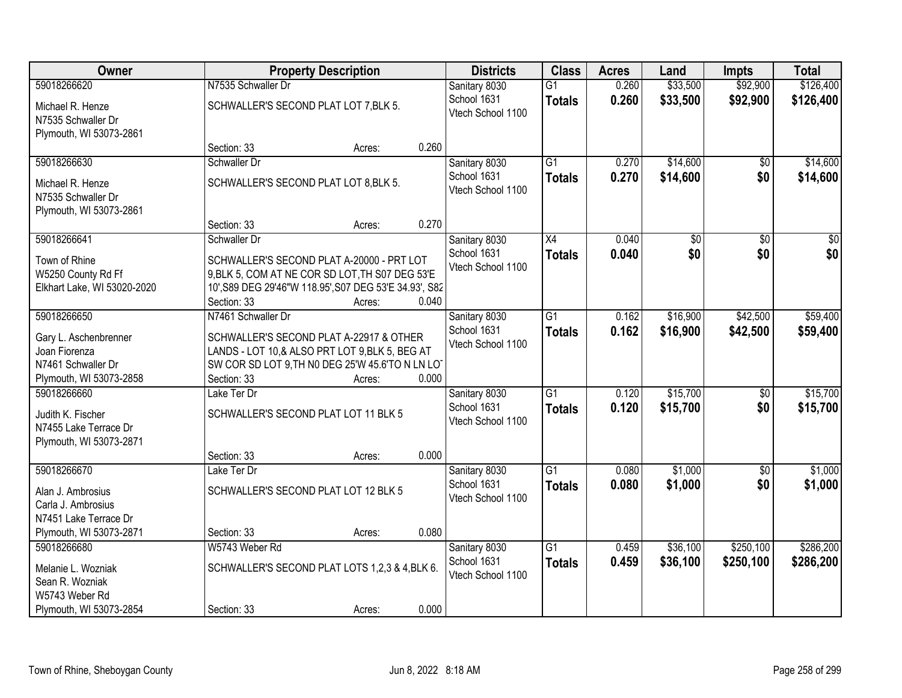| Owner                                                                 |                                       | <b>Property Description</b>                                                                                                                                      |       |                                  | <b>Class</b>                     | <b>Acres</b>   | Land                 | <b>Impts</b>           | <b>Total</b>           |
|-----------------------------------------------------------------------|---------------------------------------|------------------------------------------------------------------------------------------------------------------------------------------------------------------|-------|----------------------------------|----------------------------------|----------------|----------------------|------------------------|------------------------|
| 59018266620                                                           | N7535 Schwaller Dr                    |                                                                                                                                                                  |       | Sanitary 8030<br>School 1631     | $\overline{G1}$<br><b>Totals</b> | 0.260<br>0.260 | \$33,500<br>\$33,500 | \$92,900<br>\$92,900   | \$126,400<br>\$126,400 |
| Michael R. Henze<br>N7535 Schwaller Dr<br>Plymouth, WI 53073-2861     | SCHWALLER'S SECOND PLAT LOT 7, BLK 5. |                                                                                                                                                                  |       | Vtech School 1100                |                                  |                |                      |                        |                        |
|                                                                       | Section: 33                           | Acres:                                                                                                                                                           | 0.260 |                                  |                                  |                |                      |                        |                        |
| 59018266630                                                           | Schwaller Dr                          |                                                                                                                                                                  |       | Sanitary 8030                    | $\overline{G1}$                  | 0.270          | \$14,600             | \$0                    | \$14,600               |
| Michael R. Henze<br>N7535 Schwaller Dr<br>Plymouth, WI 53073-2861     | SCHWALLER'S SECOND PLAT LOT 8, BLK 5. |                                                                                                                                                                  |       | School 1631<br>Vtech School 1100 | <b>Totals</b>                    | 0.270          | \$14,600             | \$0                    | \$14,600               |
|                                                                       | Section: 33                           | Acres:                                                                                                                                                           | 0.270 |                                  |                                  |                |                      |                        |                        |
| 59018266641                                                           | Schwaller Dr                          |                                                                                                                                                                  |       | Sanitary 8030                    | X4                               | 0.040          | \$0                  | \$0                    | \$0                    |
| Town of Rhine<br>W5250 County Rd Ff<br>Elkhart Lake, WI 53020-2020    | Section: 33                           | SCHWALLER'S SECOND PLAT A-20000 - PRT LOT<br>9, BLK 5, COM AT NE COR SD LOT, TH S07 DEG 53'E<br>10', S89 DEG 29'46"W 118.95', S07 DEG 53'E 34.93', S82<br>Acres: | 0.040 | School 1631<br>Vtech School 1100 | <b>Totals</b>                    | 0.040          | \$0                  | \$0                    | \$0                    |
| 59018266650                                                           | N7461 Schwaller Dr                    |                                                                                                                                                                  |       | Sanitary 8030                    | $\overline{G1}$                  | 0.162          | \$16,900             | \$42,500               | \$59,400               |
| Gary L. Aschenbrenner<br>Joan Fiorenza<br>N7461 Schwaller Dr          |                                       | SCHWALLER'S SECOND PLAT A-22917 & OTHER<br>LANDS - LOT 10,& ALSO PRT LOT 9, BLK 5, BEG AT<br>SW COR SD LOT 9, TH N0 DEG 25'W 45.6'TO N LN LOT                    |       | School 1631<br>Vtech School 1100 | <b>Totals</b>                    | 0.162          | \$16,900             | \$42,500               | \$59,400               |
| Plymouth, WI 53073-2858                                               | Section: 33                           | Acres:                                                                                                                                                           | 0.000 |                                  |                                  |                |                      |                        |                        |
| 59018266660                                                           | Lake Ter Dr                           |                                                                                                                                                                  |       | Sanitary 8030<br>School 1631     | $\overline{G1}$<br><b>Totals</b> | 0.120<br>0.120 | \$15,700<br>\$15,700 | $\overline{50}$<br>\$0 | \$15,700<br>\$15,700   |
| Judith K. Fischer<br>N7455 Lake Terrace Dr<br>Plymouth, WI 53073-2871 |                                       | SCHWALLER'S SECOND PLAT LOT 11 BLK 5                                                                                                                             |       | Vtech School 1100                |                                  |                |                      |                        |                        |
|                                                                       | Section: 33                           | Acres:                                                                                                                                                           | 0.000 |                                  |                                  |                |                      |                        |                        |
| 59018266670                                                           | Lake Ter Dr                           |                                                                                                                                                                  |       | Sanitary 8030                    | $\overline{G1}$                  | 0.080          | \$1,000              | $\overline{50}$        | \$1,000                |
| Alan J. Ambrosius<br>Carla J. Ambrosius<br>N7451 Lake Terrace Dr      |                                       | SCHWALLER'S SECOND PLAT LOT 12 BLK 5                                                                                                                             |       | School 1631<br>Vtech School 1100 | <b>Totals</b>                    | 0.080          | \$1,000              | \$0                    | \$1,000                |
| Plymouth, WI 53073-2871                                               | Section: 33                           | Acres:                                                                                                                                                           | 0.080 |                                  |                                  |                |                      |                        |                        |
| 59018266680                                                           | W5743 Weber Rd                        |                                                                                                                                                                  |       | Sanitary 8030                    | $\overline{G1}$                  | 0.459          | \$36,100             | \$250,100              | \$286,200              |
| Melanie L. Wozniak<br>Sean R. Wozniak<br>W5743 Weber Rd               |                                       | SCHWALLER'S SECOND PLAT LOTS 1,2,3 & 4,BLK 6.                                                                                                                    |       | School 1631<br>Vtech School 1100 | <b>Totals</b>                    | 0.459          | \$36,100             | \$250,100              | \$286,200              |
| Plymouth, WI 53073-2854                                               | Section: 33                           | Acres:                                                                                                                                                           | 0.000 |                                  |                                  |                |                      |                        |                        |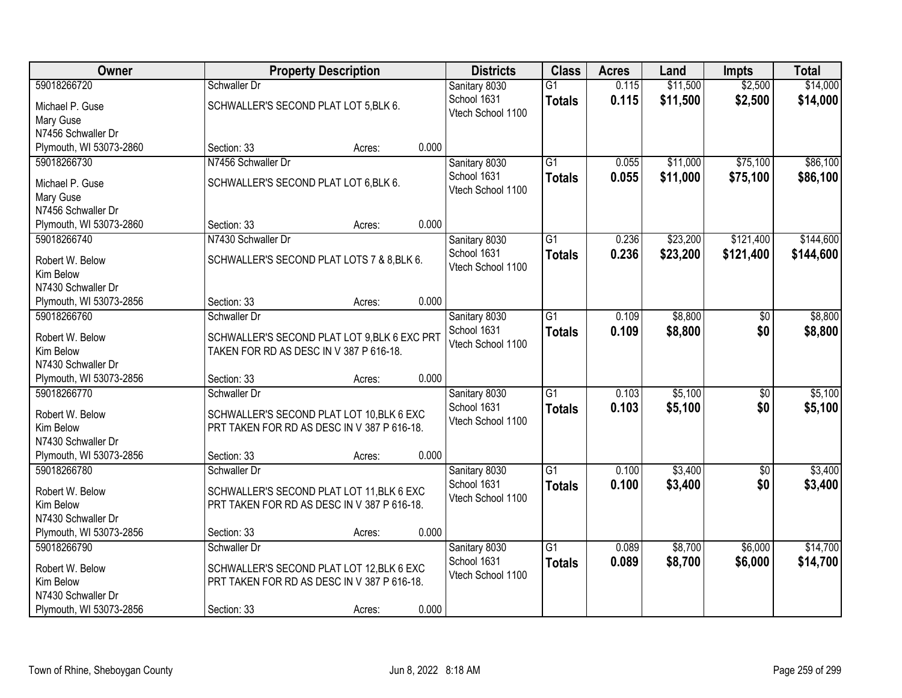| Owner                        |                                              | <b>Property Description</b> |       | <b>Districts</b>                 | <b>Class</b>    | <b>Acres</b> | Land     | <b>Impts</b>    | <b>Total</b> |
|------------------------------|----------------------------------------------|-----------------------------|-------|----------------------------------|-----------------|--------------|----------|-----------------|--------------|
| 59018266720                  | Schwaller Dr                                 |                             |       | Sanitary 8030                    | $\overline{G1}$ | 0.115        | \$11,500 | \$2,500         | \$14,000     |
| Michael P. Guse              | SCHWALLER'S SECOND PLAT LOT 5, BLK 6.        |                             |       | School 1631                      | <b>Totals</b>   | 0.115        | \$11,500 | \$2,500         | \$14,000     |
| Mary Guse                    |                                              |                             |       | Vtech School 1100                |                 |              |          |                 |              |
| N7456 Schwaller Dr           |                                              |                             |       |                                  |                 |              |          |                 |              |
| Plymouth, WI 53073-2860      | Section: 33                                  | Acres:                      | 0.000 |                                  |                 |              |          |                 |              |
| 59018266730                  | N7456 Schwaller Dr                           |                             |       | Sanitary 8030                    | $\overline{G1}$ | 0.055        | \$11,000 | \$75,100        | \$86,100     |
| Michael P. Guse              | SCHWALLER'S SECOND PLAT LOT 6, BLK 6.        |                             |       | School 1631                      | <b>Totals</b>   | 0.055        | \$11,000 | \$75,100        | \$86,100     |
| Mary Guse                    |                                              |                             |       | Vtech School 1100                |                 |              |          |                 |              |
| N7456 Schwaller Dr           |                                              |                             |       |                                  |                 |              |          |                 |              |
| Plymouth, WI 53073-2860      | Section: 33                                  | Acres:                      | 0.000 |                                  |                 |              |          |                 |              |
| 59018266740                  | N7430 Schwaller Dr                           |                             |       | Sanitary 8030                    | G1              | 0.236        | \$23,200 | \$121,400       | \$144,600    |
|                              |                                              |                             |       | School 1631                      | <b>Totals</b>   | 0.236        | \$23,200 | \$121,400       | \$144,600    |
| Robert W. Below<br>Kim Below | SCHWALLER'S SECOND PLAT LOTS 7 & 8, BLK 6.   |                             |       | Vtech School 1100                |                 |              |          |                 |              |
| N7430 Schwaller Dr           |                                              |                             |       |                                  |                 |              |          |                 |              |
| Plymouth, WI 53073-2856      | Section: 33                                  | Acres:                      | 0.000 |                                  |                 |              |          |                 |              |
| 59018266760                  | Schwaller Dr                                 |                             |       | Sanitary 8030                    | $\overline{G1}$ | 0.109        | \$8,800  | \$0             | \$8,800      |
|                              |                                              |                             |       | School 1631                      | <b>Totals</b>   | 0.109        | \$8,800  | \$0             | \$8,800      |
| Robert W. Below              | SCHWALLER'S SECOND PLAT LOT 9, BLK 6 EXC PRT |                             |       | Vtech School 1100                |                 |              |          |                 |              |
| Kim Below                    | TAKEN FOR RD AS DESC IN V 387 P 616-18.      |                             |       |                                  |                 |              |          |                 |              |
| N7430 Schwaller Dr           |                                              |                             |       |                                  |                 |              |          |                 |              |
| Plymouth, WI 53073-2856      | Section: 33                                  | Acres:                      | 0.000 |                                  |                 |              |          |                 |              |
| 59018266770                  | Schwaller Dr                                 |                             |       | Sanitary 8030                    | $\overline{G1}$ | 0.103        | \$5,100  | $\overline{30}$ | \$5,100      |
| Robert W. Below              | SCHWALLER'S SECOND PLAT LOT 10, BLK 6 EXC    |                             |       | School 1631<br>Vtech School 1100 | <b>Totals</b>   | 0.103        | \$5,100  | \$0             | \$5,100      |
| Kim Below                    | PRT TAKEN FOR RD AS DESC IN V 387 P 616-18.  |                             |       |                                  |                 |              |          |                 |              |
| N7430 Schwaller Dr           |                                              |                             |       |                                  |                 |              |          |                 |              |
| Plymouth, WI 53073-2856      | Section: 33                                  | Acres:                      | 0.000 |                                  |                 |              |          |                 |              |
| 59018266780                  | Schwaller Dr                                 |                             |       | Sanitary 8030                    | $\overline{G1}$ | 0.100        | \$3,400  | $\overline{60}$ | \$3,400      |
| Robert W. Below              | SCHWALLER'S SECOND PLAT LOT 11, BLK 6 EXC    |                             |       | School 1631                      | <b>Totals</b>   | 0.100        | \$3,400  | \$0             | \$3,400      |
| Kim Below                    | PRT TAKEN FOR RD AS DESC IN V 387 P 616-18.  |                             |       | Vtech School 1100                |                 |              |          |                 |              |
| N7430 Schwaller Dr           |                                              |                             |       |                                  |                 |              |          |                 |              |
| Plymouth, WI 53073-2856      | Section: 33                                  | Acres:                      | 0.000 |                                  |                 |              |          |                 |              |
| 59018266790                  | Schwaller Dr                                 |                             |       | Sanitary 8030                    | $\overline{G1}$ | 0.089        | \$8,700  | \$6,000         | \$14,700     |
| Robert W. Below              | SCHWALLER'S SECOND PLAT LOT 12, BLK 6 EXC    |                             |       | School 1631                      | <b>Totals</b>   | 0.089        | \$8,700  | \$6,000         | \$14,700     |
| Kim Below                    | PRT TAKEN FOR RD AS DESC IN V 387 P 616-18.  |                             |       | Vtech School 1100                |                 |              |          |                 |              |
| N7430 Schwaller Dr           |                                              |                             |       |                                  |                 |              |          |                 |              |
| Plymouth, WI 53073-2856      | Section: 33                                  | Acres:                      | 0.000 |                                  |                 |              |          |                 |              |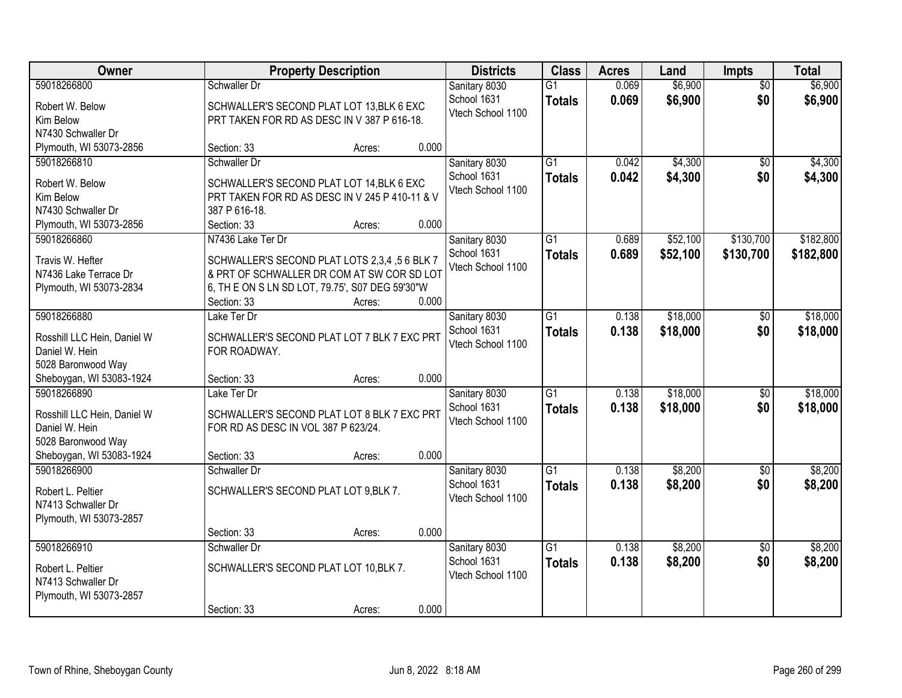| Owner                                   | <b>Property Description</b>                     |        |       | <b>Districts</b>                 | <b>Class</b>    | <b>Acres</b> | Land     | <b>Impts</b>    | <b>Total</b> |
|-----------------------------------------|-------------------------------------------------|--------|-------|----------------------------------|-----------------|--------------|----------|-----------------|--------------|
| 59018266800                             | Schwaller Dr                                    |        |       | Sanitary 8030                    | $\overline{G1}$ | 0.069        | \$6,900  | $\overline{50}$ | \$6,900      |
| Robert W. Below                         | SCHWALLER'S SECOND PLAT LOT 13, BLK 6 EXC       |        |       | School 1631<br>Vtech School 1100 | <b>Totals</b>   | 0.069        | \$6,900  | \$0             | \$6,900      |
| Kim Below                               | PRT TAKEN FOR RD AS DESC IN V 387 P 616-18.     |        |       |                                  |                 |              |          |                 |              |
| N7430 Schwaller Dr                      |                                                 |        |       |                                  |                 |              |          |                 |              |
| Plymouth, WI 53073-2856                 | Section: 33                                     | Acres: | 0.000 |                                  |                 |              |          |                 |              |
| 59018266810                             | Schwaller Dr                                    |        |       | Sanitary 8030                    | $\overline{G1}$ | 0.042        | \$4,300  | $\overline{50}$ | \$4,300      |
| Robert W. Below                         | SCHWALLER'S SECOND PLAT LOT 14, BLK 6 EXC       |        |       | School 1631                      | <b>Totals</b>   | 0.042        | \$4,300  | \$0             | \$4,300      |
| Kim Below                               | PRT TAKEN FOR RD AS DESC IN V 245 P 410-11 & V  |        |       | Vtech School 1100                |                 |              |          |                 |              |
| N7430 Schwaller Dr                      | 387 P 616-18.                                   |        |       |                                  |                 |              |          |                 |              |
| Plymouth, WI 53073-2856                 | Section: 33                                     | Acres: | 0.000 |                                  |                 |              |          |                 |              |
| 59018266860                             | N7436 Lake Ter Dr                               |        |       | Sanitary 8030                    | $\overline{G1}$ | 0.689        | \$52,100 | \$130,700       | \$182,800    |
| Travis W. Hefter                        | SCHWALLER'S SECOND PLAT LOTS 2,3,4,56 BLK 7     |        |       | School 1631                      | <b>Totals</b>   | 0.689        | \$52,100 | \$130,700       | \$182,800    |
| N7436 Lake Terrace Dr                   | & PRT OF SCHWALLER DR COM AT SW COR SD LOT      |        |       | Vtech School 1100                |                 |              |          |                 |              |
| Plymouth, WI 53073-2834                 | 6, TH E ON S LN SD LOT, 79.75', S07 DEG 59'30"W |        |       |                                  |                 |              |          |                 |              |
|                                         | Section: 33                                     | Acres: | 0.000 |                                  |                 |              |          |                 |              |
| 59018266880                             | Lake Ter Dr                                     |        |       | Sanitary 8030                    | $\overline{G1}$ | 0.138        | \$18,000 | \$0             | \$18,000     |
|                                         |                                                 |        |       | School 1631                      | <b>Totals</b>   | 0.138        | \$18,000 | \$0             | \$18,000     |
| Rosshill LLC Hein, Daniel W             | SCHWALLER'S SECOND PLAT LOT 7 BLK 7 EXC PRT     |        |       | Vtech School 1100                |                 |              |          |                 |              |
| Daniel W. Hein                          | FOR ROADWAY.                                    |        |       |                                  |                 |              |          |                 |              |
| 5028 Baronwood Way                      |                                                 |        | 0.000 |                                  |                 |              |          |                 |              |
| Sheboygan, WI 53083-1924<br>59018266890 | Section: 33<br>Lake Ter Dr                      | Acres: |       |                                  | $\overline{G1}$ | 0.138        | \$18,000 | \$0             | \$18,000     |
|                                         |                                                 |        |       | Sanitary 8030<br>School 1631     |                 |              |          |                 |              |
| Rosshill LLC Hein, Daniel W             | SCHWALLER'S SECOND PLAT LOT 8 BLK 7 EXC PRT     |        |       | Vtech School 1100                | <b>Totals</b>   | 0.138        | \$18,000 | \$0             | \$18,000     |
| Daniel W. Hein                          | FOR RD AS DESC IN VOL 387 P 623/24.             |        |       |                                  |                 |              |          |                 |              |
| 5028 Baronwood Way                      |                                                 |        |       |                                  |                 |              |          |                 |              |
| Sheboygan, WI 53083-1924                | Section: 33                                     | Acres: | 0.000 |                                  |                 |              |          |                 |              |
| 59018266900                             | Schwaller Dr                                    |        |       | Sanitary 8030                    | $\overline{G1}$ | 0.138        | \$8,200  | \$0             | \$8,200      |
| Robert L. Peltier                       | SCHWALLER'S SECOND PLAT LOT 9, BLK 7.           |        |       | School 1631                      | <b>Totals</b>   | 0.138        | \$8,200  | \$0             | \$8,200      |
| N7413 Schwaller Dr                      |                                                 |        |       | Vtech School 1100                |                 |              |          |                 |              |
| Plymouth, WI 53073-2857                 |                                                 |        |       |                                  |                 |              |          |                 |              |
|                                         | Section: 33                                     | Acres: | 0.000 |                                  |                 |              |          |                 |              |
| 59018266910                             | Schwaller Dr                                    |        |       | Sanitary 8030                    | $\overline{G1}$ | 0.138        | \$8,200  | $\overline{50}$ | \$8,200      |
| Robert L. Peltier                       | SCHWALLER'S SECOND PLAT LOT 10, BLK 7.          |        |       | School 1631                      | <b>Totals</b>   | 0.138        | \$8,200  | \$0             | \$8,200      |
| N7413 Schwaller Dr                      |                                                 |        |       | Vtech School 1100                |                 |              |          |                 |              |
| Plymouth, WI 53073-2857                 |                                                 |        |       |                                  |                 |              |          |                 |              |
|                                         | Section: 33                                     | Acres: | 0.000 |                                  |                 |              |          |                 |              |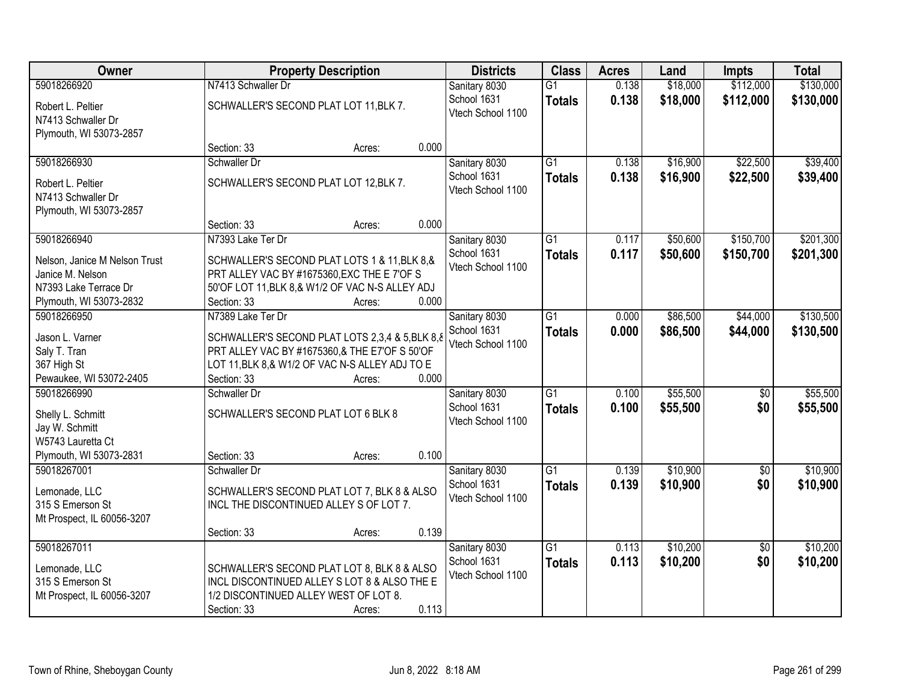| Owner                                          | <b>Property Description</b>            |                                                  |       | <b>Districts</b>                 | <b>Class</b>    | <b>Acres</b> | Land     | <b>Impts</b>    | <b>Total</b> |
|------------------------------------------------|----------------------------------------|--------------------------------------------------|-------|----------------------------------|-----------------|--------------|----------|-----------------|--------------|
| 59018266920                                    | N7413 Schwaller Dr                     |                                                  |       | Sanitary 8030                    | $\overline{G1}$ | 0.138        | \$18,000 | \$112,000       | \$130,000    |
| Robert L. Peltier<br>N7413 Schwaller Dr        | SCHWALLER'S SECOND PLAT LOT 11, BLK 7. |                                                  |       | School 1631<br>Vtech School 1100 | <b>Totals</b>   | 0.138        | \$18,000 | \$112,000       | \$130,000    |
| Plymouth, WI 53073-2857                        |                                        |                                                  | 0.000 |                                  |                 |              |          |                 |              |
| 59018266930                                    | Section: 33<br>Schwaller Dr            | Acres:                                           |       | Sanitary 8030                    | $\overline{G1}$ | 0.138        | \$16,900 | \$22,500        | \$39,400     |
|                                                |                                        |                                                  |       | School 1631                      | <b>Totals</b>   | 0.138        | \$16,900 | \$22,500        | \$39,400     |
| Robert L. Peltier                              | SCHWALLER'S SECOND PLAT LOT 12, BLK 7. |                                                  |       | Vtech School 1100                |                 |              |          |                 |              |
| N7413 Schwaller Dr                             |                                        |                                                  |       |                                  |                 |              |          |                 |              |
| Plymouth, WI 53073-2857                        |                                        |                                                  |       |                                  |                 |              |          |                 |              |
|                                                | Section: 33                            | Acres:                                           | 0.000 |                                  |                 |              |          |                 |              |
| 59018266940                                    | N7393 Lake Ter Dr                      |                                                  |       | Sanitary 8030                    | G1              | 0.117        | \$50,600 | \$150,700       | \$201,300    |
| Nelson, Janice M Nelson Trust                  |                                        | SCHWALLER'S SECOND PLAT LOTS 1 & 11, BLK 8, &    |       | School 1631<br>Vtech School 1100 | <b>Totals</b>   | 0.117        | \$50,600 | \$150,700       | \$201,300    |
| Janice M. Nelson                               |                                        | PRT ALLEY VAC BY #1675360, EXC THE E 7'OF S      |       |                                  |                 |              |          |                 |              |
| N7393 Lake Terrace Dr                          |                                        | 50'OF LOT 11, BLK 8, & W1/2 OF VAC N-S ALLEY ADJ |       |                                  |                 |              |          |                 |              |
| Plymouth, WI 53073-2832                        | Section: 33                            | Acres:                                           | 0.000 |                                  |                 |              |          |                 |              |
| 59018266950                                    | N7389 Lake Ter Dr                      |                                                  |       | Sanitary 8030                    | $\overline{G1}$ | 0.000        | \$86,500 | \$44,000        | \$130,500    |
| Jason L. Varner                                |                                        | SCHWALLER'S SECOND PLAT LOTS 2,3,4 & 5,BLK 8,8   |       | School 1631                      | <b>Totals</b>   | 0.000        | \$86,500 | \$44,000        | \$130,500    |
| Saly T. Tran                                   |                                        | PRT ALLEY VAC BY #1675360,& THE E7'OF S 50'OF    |       | Vtech School 1100                |                 |              |          |                 |              |
| 367 High St                                    |                                        | LOT 11, BLK 8, & W1/2 OF VAC N-S ALLEY ADJ TO E  |       |                                  |                 |              |          |                 |              |
| Pewaukee, WI 53072-2405                        | Section: 33                            | Acres:                                           | 0.000 |                                  |                 |              |          |                 |              |
| 59018266990                                    | Schwaller Dr                           |                                                  |       | Sanitary 8030                    | $\overline{G1}$ | 0.100        | \$55,500 | $\overline{50}$ | \$55,500     |
| Shelly L. Schmitt                              | SCHWALLER'S SECOND PLAT LOT 6 BLK 8    |                                                  |       | School 1631                      | <b>Totals</b>   | 0.100        | \$55,500 | \$0             | \$55,500     |
| Jay W. Schmitt                                 |                                        |                                                  |       | Vtech School 1100                |                 |              |          |                 |              |
| W5743 Lauretta Ct                              |                                        |                                                  |       |                                  |                 |              |          |                 |              |
| Plymouth, WI 53073-2831                        | Section: 33                            | Acres:                                           | 0.100 |                                  |                 |              |          |                 |              |
| 59018267001                                    | Schwaller Dr                           |                                                  |       | Sanitary 8030                    | $\overline{G1}$ | 0.139        | \$10,900 | $\overline{50}$ | \$10,900     |
|                                                |                                        |                                                  |       | School 1631                      | <b>Totals</b>   | 0.139        | \$10,900 | \$0             | \$10,900     |
| Lemonade, LLC                                  |                                        | SCHWALLER'S SECOND PLAT LOT 7, BLK 8 & ALSO      |       | Vtech School 1100                |                 |              |          |                 |              |
| 315 S Emerson St<br>Mt Prospect, IL 60056-3207 |                                        | INCL THE DISCONTINUED ALLEY S OF LOT 7.          |       |                                  |                 |              |          |                 |              |
|                                                | Section: 33                            | Acres:                                           | 0.139 |                                  |                 |              |          |                 |              |
| 59018267011                                    |                                        |                                                  |       | Sanitary 8030                    | $\overline{G1}$ | 0.113        | \$10,200 | $\overline{50}$ | \$10,200     |
|                                                |                                        |                                                  |       | School 1631                      | <b>Totals</b>   | 0.113        | \$10,200 | \$0             | \$10,200     |
| Lemonade, LLC                                  |                                        | SCHWALLER'S SECOND PLAT LOT 8, BLK 8 & ALSO      |       | Vtech School 1100                |                 |              |          |                 |              |
| 315 S Emerson St                               |                                        | INCL DISCONTINUED ALLEY S LOT 8 & ALSO THE E     |       |                                  |                 |              |          |                 |              |
| Mt Prospect, IL 60056-3207                     | 1/2 DISCONTINUED ALLEY WEST OF LOT 8.  |                                                  |       |                                  |                 |              |          |                 |              |
|                                                | Section: 33                            | Acres:                                           | 0.113 |                                  |                 |              |          |                 |              |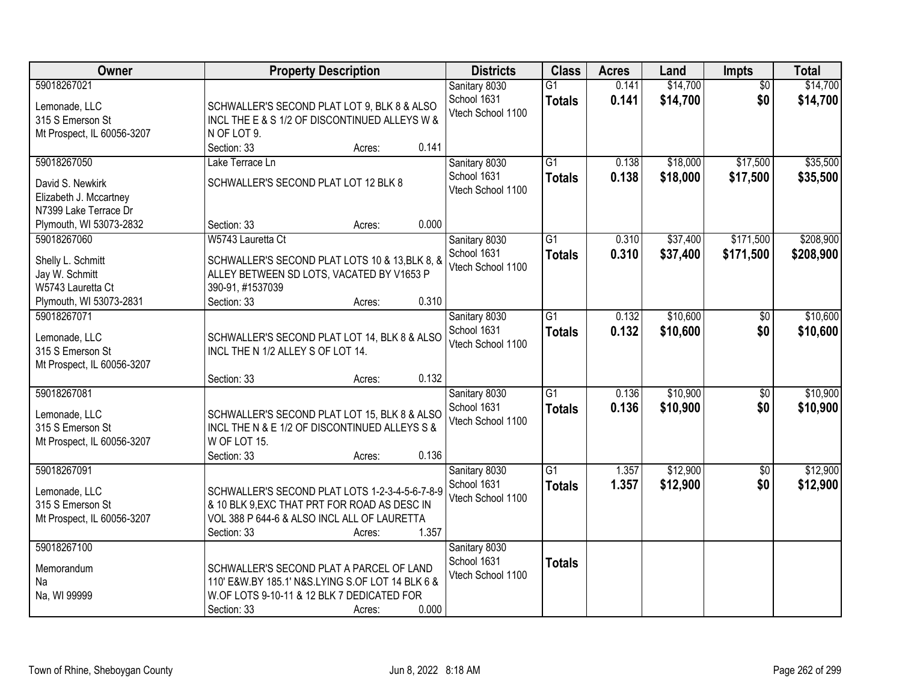| Owner                                                                                     | <b>Property Description</b>                                                                                                                                                       | <b>Districts</b>                                  | <b>Class</b>                     | <b>Acres</b>   | Land                 | Impts                  | <b>Total</b>         |
|-------------------------------------------------------------------------------------------|-----------------------------------------------------------------------------------------------------------------------------------------------------------------------------------|---------------------------------------------------|----------------------------------|----------------|----------------------|------------------------|----------------------|
| 59018267021<br>Lemonade, LLC<br>315 S Emerson St<br>Mt Prospect, IL 60056-3207            | SCHWALLER'S SECOND PLAT LOT 9, BLK 8 & ALSO<br>INCL THE E & S 1/2 OF DISCONTINUED ALLEYS W &<br>N OF LOT 9.                                                                       | Sanitary 8030<br>School 1631<br>Vtech School 1100 | $\overline{G1}$<br><b>Totals</b> | 0.141<br>0.141 | \$14,700<br>\$14,700 | $\overline{50}$<br>\$0 | \$14,700<br>\$14,700 |
| 59018267050<br>David S. Newkirk                                                           | 0.141<br>Section: 33<br>Acres:<br>Lake Terrace Ln<br>SCHWALLER'S SECOND PLAT LOT 12 BLK 8                                                                                         | Sanitary 8030<br>School 1631<br>Vtech School 1100 | $\overline{G1}$<br><b>Totals</b> | 0.138<br>0.138 | \$18,000<br>\$18,000 | \$17,500<br>\$17,500   | \$35,500<br>\$35,500 |
| Elizabeth J. Mccartney<br>N7399 Lake Terrace Dr<br>Plymouth, WI 53073-2832<br>59018267060 | 0.000<br>Section: 33<br>Acres:<br>W5743 Lauretta Ct                                                                                                                               | Sanitary 8030                                     | $\overline{G1}$                  | 0.310          | \$37,400             | \$171,500              | \$208,900            |
| Shelly L. Schmitt<br>Jay W. Schmitt<br>W5743 Lauretta Ct<br>Plymouth, WI 53073-2831       | SCHWALLER'S SECOND PLAT LOTS 10 & 13, BLK 8, &<br>ALLEY BETWEEN SD LOTS, VACATED BY V1653 P<br>390-91, #1537039<br>0.310<br>Section: 33<br>Acres:                                 | School 1631<br>Vtech School 1100                  | <b>Totals</b>                    | 0.310          | \$37,400             | \$171,500              | \$208,900            |
| 59018267071<br>Lemonade, LLC<br>315 S Emerson St<br>Mt Prospect, IL 60056-3207            | SCHWALLER'S SECOND PLAT LOT 14, BLK 8 & ALSO<br>INCL THE N 1/2 ALLEY S OF LOT 14.                                                                                                 | Sanitary 8030<br>School 1631<br>Vtech School 1100 | $\overline{G1}$<br><b>Totals</b> | 0.132<br>0.132 | \$10,600<br>\$10,600 | $\sqrt[6]{3}$<br>\$0   | \$10,600<br>\$10,600 |
| 59018267081<br>Lemonade, LLC<br>315 S Emerson St<br>Mt Prospect, IL 60056-3207            | 0.132<br>Section: 33<br>Acres:<br>SCHWALLER'S SECOND PLAT LOT 15, BLK 8 & ALSO<br>INCL THE N & E 1/2 OF DISCONTINUED ALLEYS S &<br>W OF LOT 15.<br>0.136<br>Section: 33<br>Acres: | Sanitary 8030<br>School 1631<br>Vtech School 1100 | $\overline{G1}$<br><b>Totals</b> | 0.136<br>0.136 | \$10,900<br>\$10,900 | $\overline{50}$<br>\$0 | \$10,900<br>\$10,900 |
| 59018267091<br>Lemonade, LLC<br>315 S Emerson St<br>Mt Prospect, IL 60056-3207            | SCHWALLER'S SECOND PLAT LOTS 1-2-3-4-5-6-7-8-9<br>& 10 BLK 9, EXC THAT PRT FOR ROAD AS DESC IN<br>VOL 388 P 644-6 & ALSO INCL ALL OF LAURETTA<br>1.357<br>Section: 33<br>Acres:   | Sanitary 8030<br>School 1631<br>Vtech School 1100 | $\overline{G1}$<br><b>Totals</b> | 1.357<br>1.357 | \$12,900<br>\$12,900 | $\sqrt{6}$<br>\$0      | \$12,900<br>\$12,900 |
| 59018267100<br>Memorandum<br>Na<br>Na, WI 99999                                           | SCHWALLER'S SECOND PLAT A PARCEL OF LAND<br>110' E&W.BY 185.1' N&S.LYING S.OF LOT 14 BLK 6 &<br>W.OF LOTS 9-10-11 & 12 BLK 7 DEDICATED FOR<br>0.000<br>Section: 33<br>Acres:      | Sanitary 8030<br>School 1631<br>Vtech School 1100 | <b>Totals</b>                    |                |                      |                        |                      |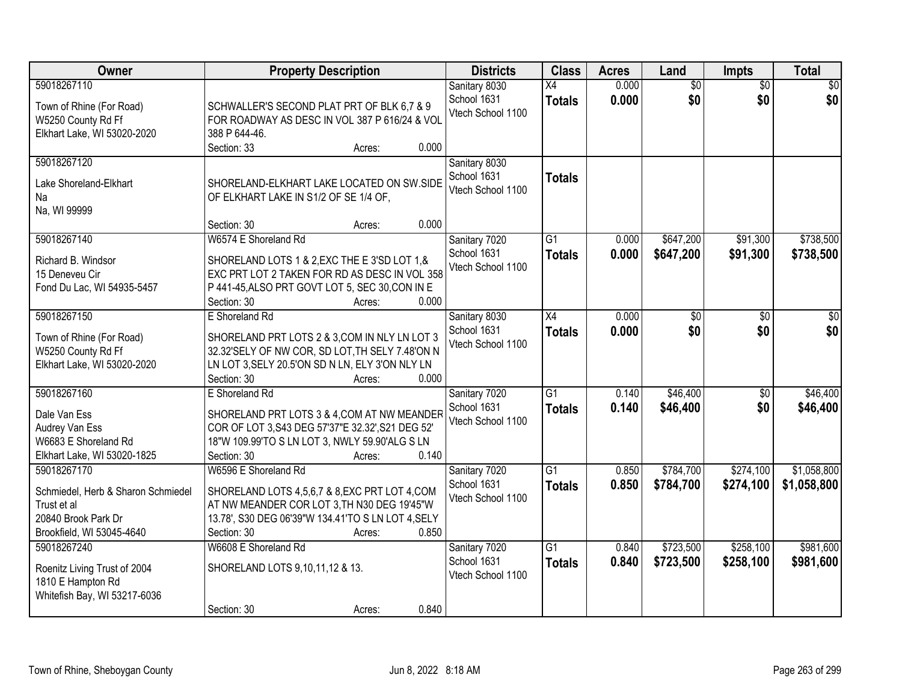| Owner                                                                                                                | <b>Property Description</b>                                                                                                                                                                                           | <b>Districts</b>                                  | <b>Class</b>                     | <b>Acres</b>   | Land                   | Impts                  | <b>Total</b>               |
|----------------------------------------------------------------------------------------------------------------------|-----------------------------------------------------------------------------------------------------------------------------------------------------------------------------------------------------------------------|---------------------------------------------------|----------------------------------|----------------|------------------------|------------------------|----------------------------|
| 59018267110<br>Town of Rhine (For Road)<br>W5250 County Rd Ff<br>Elkhart Lake, WI 53020-2020                         | SCHWALLER'S SECOND PLAT PRT OF BLK 6,7 & 9<br>FOR ROADWAY AS DESC IN VOL 387 P 616/24 & VOL<br>388 P 644-46.                                                                                                          | Sanitary 8030<br>School 1631<br>Vtech School 1100 | $\overline{X4}$<br><b>Totals</b> | 0.000<br>0.000 | $\overline{60}$<br>\$0 | $\overline{50}$<br>\$0 | \$0<br>\$0                 |
| 59018267120<br>Lake Shoreland-Elkhart<br>Na<br>Na, WI 99999                                                          | 0.000<br>Section: 33<br>Acres:<br>SHORELAND-ELKHART LAKE LOCATED ON SW.SIDE<br>OF ELKHART LAKE IN S1/2 OF SE 1/4 OF,<br>0.000<br>Section: 30                                                                          | Sanitary 8030<br>School 1631<br>Vtech School 1100 | <b>Totals</b>                    |                |                        |                        |                            |
| 59018267140<br>Richard B. Windsor<br>15 Deneveu Cir<br>Fond Du Lac, WI 54935-5457                                    | Acres:<br>W6574 E Shoreland Rd<br>SHORELAND LOTS 1 & 2, EXC THE E 3'SD LOT 1, &<br>EXC PRT LOT 2 TAKEN FOR RD AS DESC IN VOL 358<br>P 441-45, ALSO PRT GOVT LOT 5, SEC 30, CON IN E<br>0.000<br>Section: 30<br>Acres: | Sanitary 7020<br>School 1631<br>Vtech School 1100 | $\overline{G1}$<br><b>Totals</b> | 0.000<br>0.000 | \$647,200<br>\$647,200 | \$91,300<br>\$91,300   | \$738,500<br>\$738,500     |
| 59018267150<br>Town of Rhine (For Road)<br>W5250 County Rd Ff<br>Elkhart Lake, WI 53020-2020                         | E Shoreland Rd<br>SHORELAND PRT LOTS 2 & 3, COM IN NLY LN LOT 3<br>32.32'SELY OF NW COR, SD LOT, TH SELY 7.48'ON N<br>LN LOT 3, SELY 20.5'ON SD N LN, ELY 3'ON NLY LN<br>Section: 30<br>0.000<br>Acres:               | Sanitary 8030<br>School 1631<br>Vtech School 1100 | $\overline{X4}$<br><b>Totals</b> | 0.000<br>0.000 | \$0<br>\$0             | \$0<br>\$0             | \$0<br>\$0                 |
| 59018267160<br>Dale Van Ess<br>Audrey Van Ess<br>W6683 E Shoreland Rd<br>Elkhart Lake, WI 53020-1825                 | E Shoreland Rd<br>SHORELAND PRT LOTS 3 & 4, COM AT NW MEANDER<br>COR OF LOT 3, S43 DEG 57'37"E 32.32', S21 DEG 52'<br>18"W 109.99'TO S LN LOT 3, NWLY 59.90'ALG S LN<br>0.140<br>Section: 30<br>Acres:                | Sanitary 7020<br>School 1631<br>Vtech School 1100 | $\overline{G1}$<br><b>Totals</b> | 0.140<br>0.140 | \$46,400<br>\$46,400   | \$0<br>\$0             | \$46,400<br>\$46,400       |
| 59018267170<br>Schmiedel, Herb & Sharon Schmiedel<br>Trust et al<br>20840 Brook Park Dr<br>Brookfield, WI 53045-4640 | W6596 E Shoreland Rd<br>SHORELAND LOTS 4,5,6,7 & 8,EXC PRT LOT 4,COM<br>AT NW MEANDER COR LOT 3, TH N30 DEG 19'45"W<br>13.78', S30 DEG 06'39"W 134.41'TO S LN LOT 4, SELY<br>0.850<br>Section: 30<br>Acres:           | Sanitary 7020<br>School 1631<br>Vtech School 1100 | $\overline{G1}$<br><b>Totals</b> | 0.850<br>0.850 | \$784,700<br>\$784,700 | \$274,100<br>\$274,100 | \$1,058,800<br>\$1,058,800 |
| 59018267240<br>Roenitz Living Trust of 2004<br>1810 E Hampton Rd<br>Whitefish Bay, WI 53217-6036                     | W6608 E Shoreland Rd<br>SHORELAND LOTS 9,10,11,12 & 13.<br>0.840<br>Section: 30<br>Acres:                                                                                                                             | Sanitary 7020<br>School 1631<br>Vtech School 1100 | $\overline{G1}$<br><b>Totals</b> | 0.840<br>0.840 | \$723,500<br>\$723,500 | \$258,100<br>\$258,100 | \$981,600<br>\$981,600     |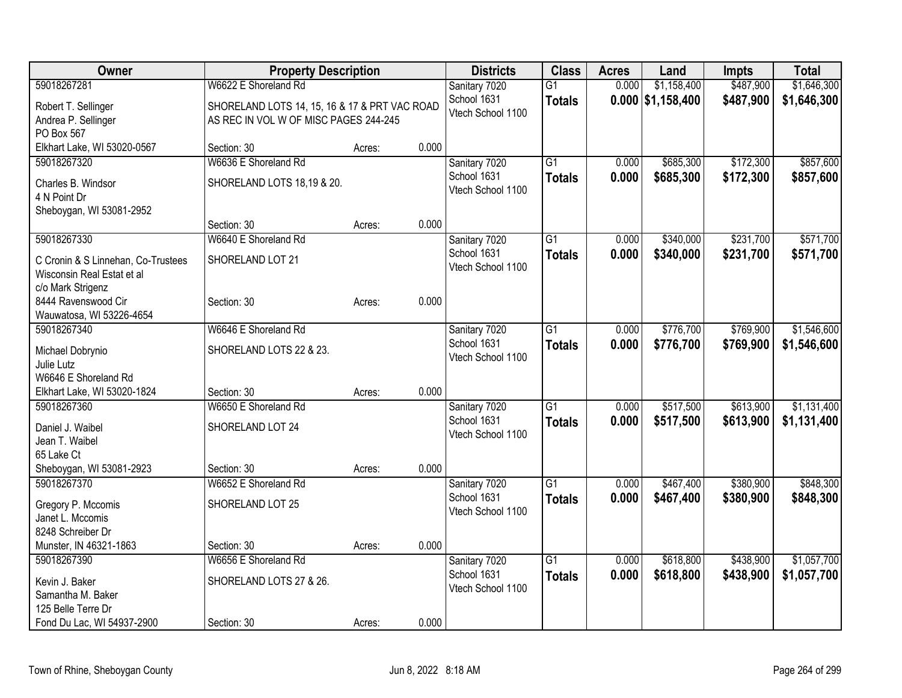| Owner                              | <b>Property Description</b>                   |        |       | <b>Districts</b>  | <b>Class</b>    | <b>Acres</b> | Land                | <b>Impts</b> | <b>Total</b> |
|------------------------------------|-----------------------------------------------|--------|-------|-------------------|-----------------|--------------|---------------------|--------------|--------------|
| 59018267281                        | W6622 E Shoreland Rd                          |        |       | Sanitary 7020     | $\overline{G1}$ | 0.000        | \$1,158,400         | \$487,900    | \$1,646,300  |
| Robert T. Sellinger                | SHORELAND LOTS 14, 15, 16 & 17 & PRT VAC ROAD |        |       | School 1631       | <b>Totals</b>   |              | $0.000$ \$1,158,400 | \$487,900    | \$1,646,300  |
| Andrea P. Sellinger                | AS REC IN VOL W OF MISC PAGES 244-245         |        |       | Vtech School 1100 |                 |              |                     |              |              |
| PO Box 567                         |                                               |        |       |                   |                 |              |                     |              |              |
| Elkhart Lake, WI 53020-0567        | Section: 30                                   | Acres: | 0.000 |                   |                 |              |                     |              |              |
| 59018267320                        | W6636 E Shoreland Rd                          |        |       | Sanitary 7020     | $\overline{G1}$ | 0.000        | \$685,300           | \$172,300    | \$857,600    |
| Charles B. Windsor                 | SHORELAND LOTS 18,19 & 20.                    |        |       | School 1631       | <b>Totals</b>   | 0.000        | \$685,300           | \$172,300    | \$857,600    |
| 4 N Point Dr                       |                                               |        |       | Vtech School 1100 |                 |              |                     |              |              |
| Sheboygan, WI 53081-2952           |                                               |        |       |                   |                 |              |                     |              |              |
|                                    | Section: 30                                   | Acres: | 0.000 |                   |                 |              |                     |              |              |
| 59018267330                        | W6640 E Shoreland Rd                          |        |       | Sanitary 7020     | $\overline{G1}$ | 0.000        | \$340,000           | \$231,700    | \$571,700    |
| C Cronin & S Linnehan, Co-Trustees | SHORELAND LOT 21                              |        |       | School 1631       | <b>Totals</b>   | 0.000        | \$340,000           | \$231,700    | \$571,700    |
| Wisconsin Real Estat et al         |                                               |        |       | Vtech School 1100 |                 |              |                     |              |              |
| c/o Mark Strigenz                  |                                               |        |       |                   |                 |              |                     |              |              |
| 8444 Ravenswood Cir                | Section: 30                                   | Acres: | 0.000 |                   |                 |              |                     |              |              |
| Wauwatosa, WI 53226-4654           |                                               |        |       |                   |                 |              |                     |              |              |
| 59018267340                        | W6646 E Shoreland Rd                          |        |       | Sanitary 7020     | $\overline{G1}$ | 0.000        | \$776,700           | \$769,900    | \$1,546,600  |
| Michael Dobrynio                   | SHORELAND LOTS 22 & 23.                       |        |       | School 1631       | <b>Totals</b>   | 0.000        | \$776,700           | \$769,900    | \$1,546,600  |
| Julie Lutz                         |                                               |        |       | Vtech School 1100 |                 |              |                     |              |              |
| W6646 E Shoreland Rd               |                                               |        |       |                   |                 |              |                     |              |              |
| Elkhart Lake, WI 53020-1824        | Section: 30                                   | Acres: | 0.000 |                   |                 |              |                     |              |              |
| 59018267360                        | W6650 E Shoreland Rd                          |        |       | Sanitary 7020     | $\overline{G1}$ | 0.000        | \$517,500           | \$613,900    | \$1,131,400  |
| Daniel J. Waibel                   | SHORELAND LOT 24                              |        |       | School 1631       | <b>Totals</b>   | 0.000        | \$517,500           | \$613,900    | \$1,131,400  |
| Jean T. Waibel                     |                                               |        |       | Vtech School 1100 |                 |              |                     |              |              |
| 65 Lake Ct                         |                                               |        |       |                   |                 |              |                     |              |              |
| Sheboygan, WI 53081-2923           | Section: 30                                   | Acres: | 0.000 |                   |                 |              |                     |              |              |
| 59018267370                        | W6652 E Shoreland Rd                          |        |       | Sanitary 7020     | $\overline{G1}$ | 0.000        | \$467,400           | \$380,900    | \$848,300    |
| Gregory P. Mccomis                 | SHORELAND LOT 25                              |        |       | School 1631       | <b>Totals</b>   | 0.000        | \$467,400           | \$380,900    | \$848,300    |
| Janet L. Mccomis                   |                                               |        |       | Vtech School 1100 |                 |              |                     |              |              |
| 8248 Schreiber Dr                  |                                               |        |       |                   |                 |              |                     |              |              |
| Munster, IN 46321-1863             | Section: 30                                   | Acres: | 0.000 |                   |                 |              |                     |              |              |
| 59018267390                        | W6656 E Shoreland Rd                          |        |       | Sanitary 7020     | $\overline{G1}$ | 0.000        | \$618,800           | \$438,900    | \$1,057,700  |
| Kevin J. Baker                     | SHORELAND LOTS 27 & 26.                       |        |       | School 1631       | <b>Totals</b>   | 0.000        | \$618,800           | \$438,900    | \$1,057,700  |
| Samantha M. Baker                  |                                               |        |       | Vtech School 1100 |                 |              |                     |              |              |
| 125 Belle Terre Dr                 |                                               |        |       |                   |                 |              |                     |              |              |
| Fond Du Lac, WI 54937-2900         | Section: 30                                   | Acres: | 0.000 |                   |                 |              |                     |              |              |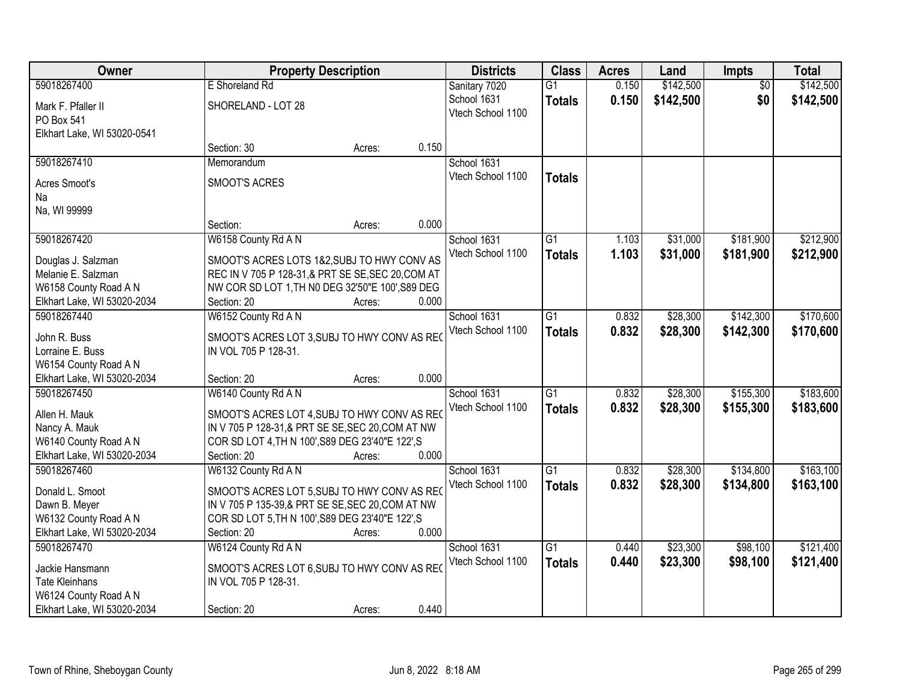| Owner                                  | <b>Property Description</b>                                                                          |        |       | <b>Districts</b>  | <b>Class</b>    | <b>Acres</b> | Land      | Impts           | <b>Total</b> |
|----------------------------------------|------------------------------------------------------------------------------------------------------|--------|-------|-------------------|-----------------|--------------|-----------|-----------------|--------------|
| 59018267400                            | E Shoreland Rd                                                                                       |        |       | Sanitary 7020     | $\overline{G1}$ | 0.150        | \$142,500 | $\overline{50}$ | \$142,500    |
| Mark F. Pfaller II                     | SHORELAND - LOT 28                                                                                   |        |       | School 1631       | <b>Totals</b>   | 0.150        | \$142,500 | \$0             | \$142,500    |
| PO Box 541                             |                                                                                                      |        |       | Vtech School 1100 |                 |              |           |                 |              |
| Elkhart Lake, WI 53020-0541            |                                                                                                      |        |       |                   |                 |              |           |                 |              |
|                                        | Section: 30                                                                                          | Acres: | 0.150 |                   |                 |              |           |                 |              |
| 59018267410                            | Memorandum                                                                                           |        |       | School 1631       |                 |              |           |                 |              |
| Acres Smoot's                          | SMOOT'S ACRES                                                                                        |        |       | Vtech School 1100 | <b>Totals</b>   |              |           |                 |              |
| Na                                     |                                                                                                      |        |       |                   |                 |              |           |                 |              |
| Na, WI 99999                           |                                                                                                      |        |       |                   |                 |              |           |                 |              |
|                                        | Section:                                                                                             | Acres: | 0.000 |                   |                 |              |           |                 |              |
| 59018267420                            | W6158 County Rd A N                                                                                  |        |       | School 1631       | G1              | 1.103        | \$31,000  | \$181,900       | \$212,900    |
| Douglas J. Salzman                     | SMOOT'S ACRES LOTS 1&2, SUBJ TO HWY CONV AS                                                          |        |       | Vtech School 1100 | <b>Totals</b>   | 1.103        | \$31,000  | \$181,900       | \$212,900    |
| Melanie E. Salzman                     | REC IN V 705 P 128-31,& PRT SE SE, SEC 20, COM AT                                                    |        |       |                   |                 |              |           |                 |              |
| W6158 County Road A N                  | NW COR SD LOT 1, TH N0 DEG 32'50"E 100', S89 DEG                                                     |        |       |                   |                 |              |           |                 |              |
| Elkhart Lake, WI 53020-2034            | Section: 20                                                                                          | Acres: | 0.000 |                   |                 |              |           |                 |              |
| 59018267440                            | W6152 County Rd A N                                                                                  |        |       | School 1631       | G1              | 0.832        | \$28,300  | \$142,300       | \$170,600    |
|                                        |                                                                                                      |        |       | Vtech School 1100 | <b>Totals</b>   | 0.832        | \$28,300  | \$142,300       | \$170,600    |
| John R. Buss                           | SMOOT'S ACRES LOT 3, SUBJ TO HWY CONV AS REC                                                         |        |       |                   |                 |              |           |                 |              |
| Lorraine E. Buss                       | IN VOL 705 P 128-31.                                                                                 |        |       |                   |                 |              |           |                 |              |
| W6154 County Road A N                  |                                                                                                      |        |       |                   |                 |              |           |                 |              |
| Elkhart Lake, WI 53020-2034            | Section: 20                                                                                          | Acres: | 0.000 |                   |                 |              |           |                 |              |
| 59018267450                            | W6140 County Rd A N                                                                                  |        |       | School 1631       | $\overline{G1}$ | 0.832        | \$28,300  | \$155,300       | \$183,600    |
| Allen H. Mauk                          | SMOOT'S ACRES LOT 4, SUBJ TO HWY CONV AS REC                                                         |        |       | Vtech School 1100 | <b>Totals</b>   | 0.832        | \$28,300  | \$155,300       | \$183,600    |
| Nancy A. Mauk                          | IN V 705 P 128-31,& PRT SE SE, SEC 20, COM AT NW                                                     |        |       |                   |                 |              |           |                 |              |
| W6140 County Road A N                  | COR SD LOT 4, TH N 100', S89 DEG 23'40"E 122', S                                                     |        |       |                   |                 |              |           |                 |              |
| Elkhart Lake, WI 53020-2034            | Section: 20                                                                                          | Acres: | 0.000 |                   |                 |              |           |                 |              |
| 59018267460                            | W6132 County Rd A N                                                                                  |        |       | School 1631       | $\overline{G1}$ | 0.832        | \$28,300  | \$134,800       | \$163,100    |
| Donald L. Smoot                        |                                                                                                      |        |       | Vtech School 1100 | <b>Totals</b>   | 0.832        | \$28,300  | \$134,800       | \$163,100    |
|                                        | SMOOT'S ACRES LOT 5, SUBJ TO HWY CONV AS REC                                                         |        |       |                   |                 |              |           |                 |              |
| Dawn B. Meyer<br>W6132 County Road A N | IN V 705 P 135-39,& PRT SE SE, SEC 20, COM AT NW<br>COR SD LOT 5, TH N 100', S89 DEG 23'40"E 122', S |        |       |                   |                 |              |           |                 |              |
| Elkhart Lake, WI 53020-2034            | Section: 20                                                                                          | Acres: | 0.000 |                   |                 |              |           |                 |              |
| 59018267470                            | W6124 County Rd A N                                                                                  |        |       | School 1631       | $\overline{G1}$ | 0.440        | \$23,300  | \$98,100        | \$121,400    |
|                                        |                                                                                                      |        |       |                   |                 |              |           |                 |              |
| Jackie Hansmann                        | SMOOT'S ACRES LOT 6, SUBJ TO HWY CONV AS REC                                                         |        |       | Vtech School 1100 | <b>Totals</b>   | 0.440        | \$23,300  | \$98,100        | \$121,400    |
| <b>Tate Kleinhans</b>                  | IN VOL 705 P 128-31.                                                                                 |        |       |                   |                 |              |           |                 |              |
| W6124 County Road A N                  |                                                                                                      |        |       |                   |                 |              |           |                 |              |
| Elkhart Lake, WI 53020-2034            | Section: 20                                                                                          | Acres: | 0.440 |                   |                 |              |           |                 |              |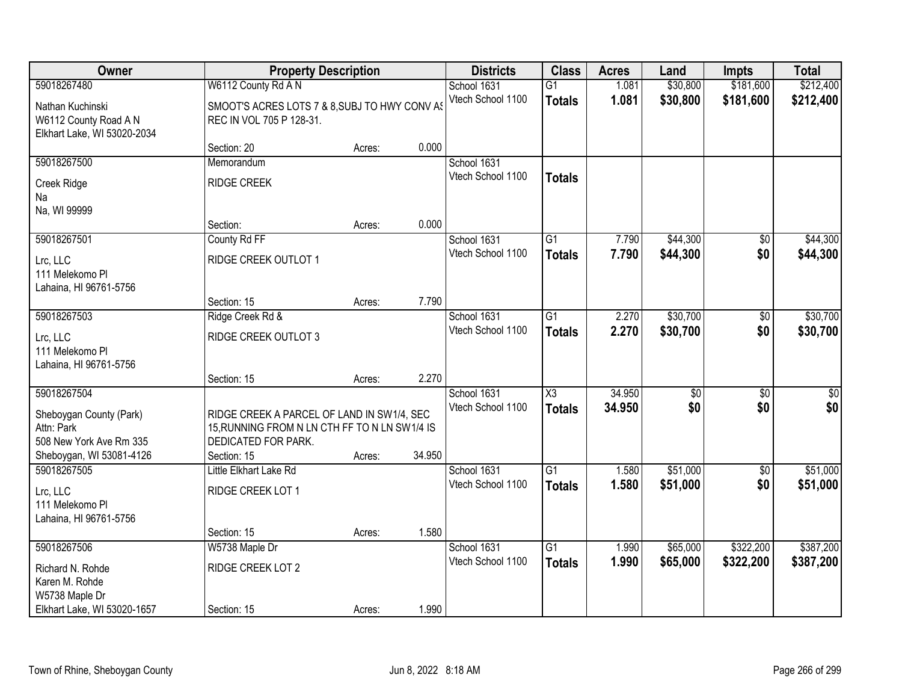| Owner                                                                           |                                                                                                                    | <b>Property Description</b> |        | <b>Districts</b>                 | <b>Class</b>                         | <b>Acres</b>     | Land                 | Impts                  | <b>Total</b>            |
|---------------------------------------------------------------------------------|--------------------------------------------------------------------------------------------------------------------|-----------------------------|--------|----------------------------------|--------------------------------------|------------------|----------------------|------------------------|-------------------------|
| 59018267480                                                                     | W6112 County Rd A N                                                                                                |                             |        | School 1631                      | $\overline{G1}$                      | 1.081            | \$30,800             | \$181,600              | \$212,400               |
| Nathan Kuchinski<br>W6112 County Road A N<br>Elkhart Lake, WI 53020-2034        | SMOOT'S ACRES LOTS 7 & 8, SUBJ TO HWY CONV AS<br>REC IN VOL 705 P 128-31.                                          |                             |        | Vtech School 1100                | <b>Totals</b>                        | 1.081            | \$30,800             | \$181,600              | \$212,400               |
|                                                                                 | Section: 20                                                                                                        | Acres:                      | 0.000  |                                  |                                      |                  |                      |                        |                         |
| 59018267500                                                                     | Memorandum                                                                                                         |                             |        | School 1631                      |                                      |                  |                      |                        |                         |
| Creek Ridge<br>Na                                                               | <b>RIDGE CREEK</b>                                                                                                 |                             |        | Vtech School 1100                | <b>Totals</b>                        |                  |                      |                        |                         |
| Na, WI 99999                                                                    |                                                                                                                    |                             |        |                                  |                                      |                  |                      |                        |                         |
|                                                                                 | Section:                                                                                                           | Acres:                      | 0.000  |                                  |                                      |                  |                      |                        |                         |
| 59018267501                                                                     | County Rd FF                                                                                                       |                             |        | School 1631                      | $\overline{G1}$                      | 7.790            | \$44,300             | $\overline{50}$        | \$44,300                |
| Lrc, LLC<br>111 Melekomo Pl<br>Lahaina, HI 96761-5756                           | RIDGE CREEK OUTLOT 1                                                                                               |                             |        | Vtech School 1100                | <b>Totals</b>                        | 7.790            | \$44,300             | \$0                    | \$44,300                |
|                                                                                 | Section: 15                                                                                                        | Acres:                      | 7.790  |                                  |                                      |                  |                      |                        |                         |
| 59018267503                                                                     | Ridge Creek Rd &                                                                                                   |                             |        | School 1631                      | $\overline{G1}$                      | 2.270            | \$30,700             | $\overline{50}$        | \$30,700                |
| Lrc, LLC<br>111 Melekomo Pl<br>Lahaina, HI 96761-5756                           | RIDGE CREEK OUTLOT 3                                                                                               |                             |        | Vtech School 1100                | <b>Totals</b>                        | 2.270            | \$30,700             | \$0                    | \$30,700                |
|                                                                                 | Section: 15                                                                                                        | Acres:                      | 2.270  |                                  |                                      |                  |                      |                        |                         |
| 59018267504<br>Sheboygan County (Park)<br>Attn: Park<br>508 New York Ave Rm 335 | RIDGE CREEK A PARCEL OF LAND IN SW1/4, SEC<br>15, RUNNING FROM N LN CTH FF TO N LN SW1/4 IS<br>DEDICATED FOR PARK. |                             |        | School 1631<br>Vtech School 1100 | $\overline{\chi_3}$<br><b>Totals</b> | 34.950<br>34.950 | \$0 <br>\$0          | $\overline{30}$<br>\$0 | $\overline{\$0}$<br>\$0 |
| Sheboygan, WI 53081-4126                                                        | Section: 15                                                                                                        | Acres:                      | 34.950 |                                  |                                      |                  |                      |                        |                         |
| 59018267505<br>Lrc, LLC<br>111 Melekomo Pl<br>Lahaina, HI 96761-5756            | Little Elkhart Lake Rd<br>RIDGE CREEK LOT 1                                                                        |                             |        | School 1631<br>Vtech School 1100 | $\overline{G1}$<br><b>Totals</b>     | 1.580<br>1.580   | \$51,000<br>\$51,000 | $\sqrt{6}$<br>\$0      | \$51,000<br>\$51,000    |
|                                                                                 | Section: 15                                                                                                        | Acres:                      | 1.580  |                                  |                                      |                  |                      |                        |                         |
| 59018267506                                                                     | W5738 Maple Dr                                                                                                     |                             |        | School 1631                      | $\overline{G1}$                      | 1.990            | \$65,000             | \$322,200              | \$387,200               |
| Richard N. Rohde<br>Karen M. Rohde<br>W5738 Maple Dr                            | RIDGE CREEK LOT 2                                                                                                  |                             |        | Vtech School 1100                | <b>Totals</b>                        | 1.990            | \$65,000             | \$322,200              | \$387,200               |
| Elkhart Lake, WI 53020-1657                                                     | Section: 15                                                                                                        | Acres:                      | 1.990  |                                  |                                      |                  |                      |                        |                         |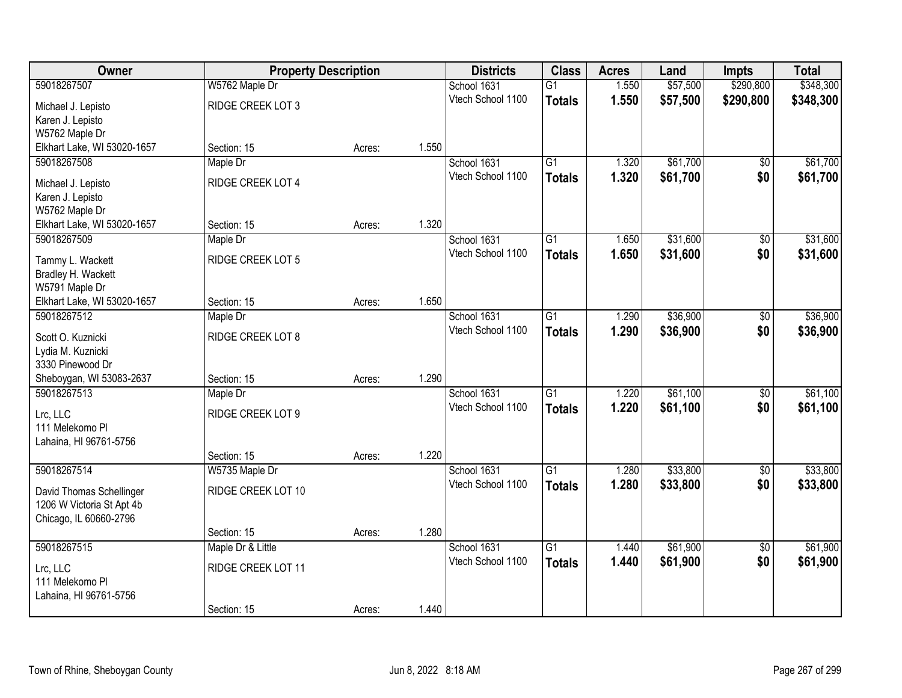| <b>Owner</b>                | <b>Property Description</b> |        |       | <b>Districts</b>  | <b>Class</b>    | <b>Acres</b> | Land     | <b>Impts</b>    | <b>Total</b> |
|-----------------------------|-----------------------------|--------|-------|-------------------|-----------------|--------------|----------|-----------------|--------------|
| 59018267507                 | W5762 Maple Dr              |        |       | School 1631       | $\overline{G1}$ | 1.550        | \$57,500 | \$290,800       | \$348,300    |
| Michael J. Lepisto          | RIDGE CREEK LOT 3           |        |       | Vtech School 1100 | <b>Totals</b>   | 1.550        | \$57,500 | \$290,800       | \$348,300    |
| Karen J. Lepisto            |                             |        |       |                   |                 |              |          |                 |              |
| W5762 Maple Dr              |                             |        |       |                   |                 |              |          |                 |              |
| Elkhart Lake, WI 53020-1657 | Section: 15                 | Acres: | 1.550 |                   |                 |              |          |                 |              |
| 59018267508                 | Maple Dr                    |        |       | School 1631       | $\overline{G1}$ | 1.320        | \$61,700 | \$0             | \$61,700     |
| Michael J. Lepisto          | RIDGE CREEK LOT 4           |        |       | Vtech School 1100 | <b>Totals</b>   | 1.320        | \$61,700 | \$0             | \$61,700     |
| Karen J. Lepisto            |                             |        |       |                   |                 |              |          |                 |              |
| W5762 Maple Dr              |                             |        |       |                   |                 |              |          |                 |              |
| Elkhart Lake, WI 53020-1657 | Section: 15                 | Acres: | 1.320 |                   |                 |              |          |                 |              |
| 59018267509                 | Maple Dr                    |        |       | School 1631       | $\overline{G1}$ | 1.650        | \$31,600 | \$0             | \$31,600     |
| Tammy L. Wackett            | RIDGE CREEK LOT 5           |        |       | Vtech School 1100 | <b>Totals</b>   | 1.650        | \$31,600 | \$0             | \$31,600     |
| Bradley H. Wackett          |                             |        |       |                   |                 |              |          |                 |              |
| W5791 Maple Dr              |                             |        |       |                   |                 |              |          |                 |              |
| Elkhart Lake, WI 53020-1657 | Section: 15                 | Acres: | 1.650 |                   |                 |              |          |                 |              |
| 59018267512                 | Maple Dr                    |        |       | School 1631       | $\overline{G1}$ | 1.290        | \$36,900 | \$0             | \$36,900     |
| Scott O. Kuznicki           | RIDGE CREEK LOT 8           |        |       | Vtech School 1100 | <b>Totals</b>   | 1.290        | \$36,900 | \$0             | \$36,900     |
| Lydia M. Kuznicki           |                             |        |       |                   |                 |              |          |                 |              |
| 3330 Pinewood Dr            |                             |        |       |                   |                 |              |          |                 |              |
| Sheboygan, WI 53083-2637    | Section: 15                 | Acres: | 1.290 |                   |                 |              |          |                 |              |
| 59018267513                 | Maple Dr                    |        |       | School 1631       | $\overline{G1}$ | 1.220        | \$61,100 | $\overline{50}$ | \$61,100     |
| Lrc, LLC                    | RIDGE CREEK LOT 9           |        |       | Vtech School 1100 | <b>Totals</b>   | 1.220        | \$61,100 | \$0             | \$61,100     |
| 111 Melekomo Pl             |                             |        |       |                   |                 |              |          |                 |              |
| Lahaina, HI 96761-5756      |                             |        |       |                   |                 |              |          |                 |              |
|                             | Section: 15                 | Acres: | 1.220 |                   |                 |              |          |                 |              |
| 59018267514                 | W5735 Maple Dr              |        |       | School 1631       | $\overline{G1}$ | 1.280        | \$33,800 | $\sqrt{6}$      | \$33,800     |
| David Thomas Schellinger    | RIDGE CREEK LOT 10          |        |       | Vtech School 1100 | <b>Totals</b>   | 1.280        | \$33,800 | \$0             | \$33,800     |
| 1206 W Victoria St Apt 4b   |                             |        |       |                   |                 |              |          |                 |              |
| Chicago, IL 60660-2796      |                             |        |       |                   |                 |              |          |                 |              |
|                             | Section: 15                 | Acres: | 1.280 |                   |                 |              |          |                 |              |
| 59018267515                 | Maple Dr & Little           |        |       | School 1631       | $\overline{G1}$ | 1.440        | \$61,900 | $\overline{50}$ | \$61,900     |
| Lrc, LLC                    | RIDGE CREEK LOT 11          |        |       | Vtech School 1100 | <b>Totals</b>   | 1.440        | \$61,900 | \$0             | \$61,900     |
| 111 Melekomo Pl             |                             |        |       |                   |                 |              |          |                 |              |
| Lahaina, HI 96761-5756      |                             |        |       |                   |                 |              |          |                 |              |
|                             | Section: 15                 | Acres: | 1.440 |                   |                 |              |          |                 |              |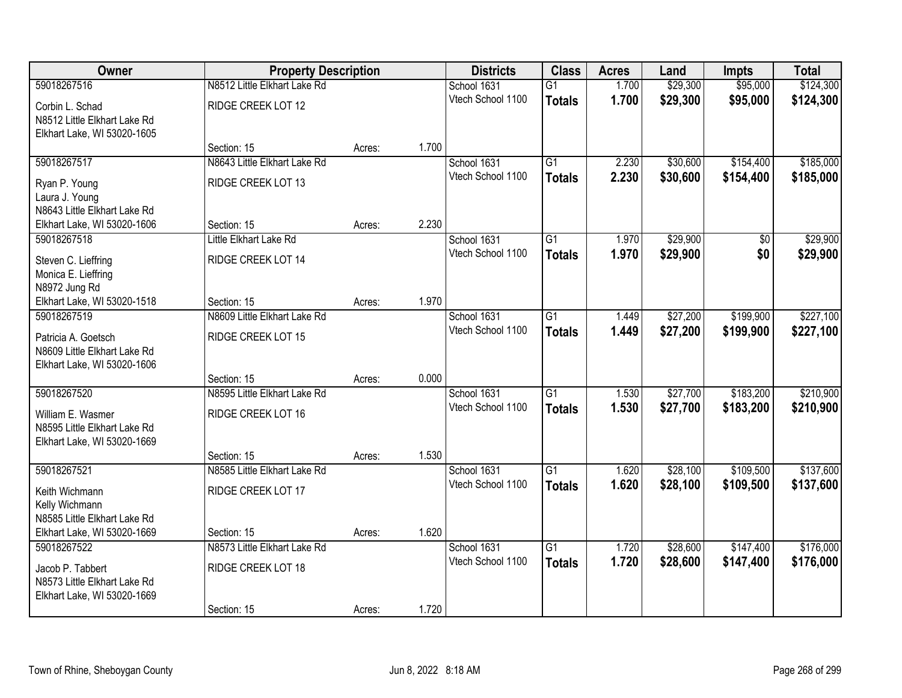| Owner                        | <b>Property Description</b>  |        |       | <b>Districts</b>  | <b>Class</b>    | <b>Acres</b> | Land     | <b>Impts</b> | <b>Total</b> |
|------------------------------|------------------------------|--------|-------|-------------------|-----------------|--------------|----------|--------------|--------------|
| 59018267516                  | N8512 Little Elkhart Lake Rd |        |       | School 1631       | $\overline{G1}$ | 1.700        | \$29,300 | \$95,000     | \$124,300    |
| Corbin L. Schad              | RIDGE CREEK LOT 12           |        |       | Vtech School 1100 | <b>Totals</b>   | 1.700        | \$29,300 | \$95,000     | \$124,300    |
| N8512 Little Elkhart Lake Rd |                              |        |       |                   |                 |              |          |              |              |
| Elkhart Lake, WI 53020-1605  |                              |        |       |                   |                 |              |          |              |              |
|                              | Section: 15                  | Acres: | 1.700 |                   |                 |              |          |              |              |
| 59018267517                  | N8643 Little Elkhart Lake Rd |        |       | School 1631       | $\overline{G1}$ | 2.230        | \$30,600 | \$154,400    | \$185,000    |
| Ryan P. Young                | RIDGE CREEK LOT 13           |        |       | Vtech School 1100 | <b>Totals</b>   | 2.230        | \$30,600 | \$154,400    | \$185,000    |
| Laura J. Young               |                              |        |       |                   |                 |              |          |              |              |
| N8643 Little Elkhart Lake Rd |                              |        |       |                   |                 |              |          |              |              |
| Elkhart Lake, WI 53020-1606  | Section: 15                  | Acres: | 2.230 |                   |                 |              |          |              |              |
| 59018267518                  | Little Elkhart Lake Rd       |        |       | School 1631       | $\overline{G1}$ | 1.970        | \$29,900 | \$0          | \$29,900     |
| Steven C. Lieffring          | RIDGE CREEK LOT 14           |        |       | Vtech School 1100 | <b>Totals</b>   | 1.970        | \$29,900 | \$0          | \$29,900     |
| Monica E. Lieffring          |                              |        |       |                   |                 |              |          |              |              |
| N8972 Jung Rd                |                              |        |       |                   |                 |              |          |              |              |
| Elkhart Lake, WI 53020-1518  | Section: 15                  | Acres: | 1.970 |                   |                 |              |          |              |              |
| 59018267519                  | N8609 Little Elkhart Lake Rd |        |       | School 1631       | $\overline{G1}$ | 1.449        | \$27,200 | \$199,900    | \$227,100    |
| Patricia A. Goetsch          | RIDGE CREEK LOT 15           |        |       | Vtech School 1100 | <b>Totals</b>   | 1.449        | \$27,200 | \$199,900    | \$227,100    |
| N8609 Little Elkhart Lake Rd |                              |        |       |                   |                 |              |          |              |              |
| Elkhart Lake, WI 53020-1606  |                              |        |       |                   |                 |              |          |              |              |
|                              | Section: 15                  | Acres: | 0.000 |                   |                 |              |          |              |              |
| 59018267520                  | N8595 Little Elkhart Lake Rd |        |       | School 1631       | $\overline{G1}$ | 1.530        | \$27,700 | \$183,200    | \$210,900    |
| William E. Wasmer            | RIDGE CREEK LOT 16           |        |       | Vtech School 1100 | <b>Totals</b>   | 1.530        | \$27,700 | \$183,200    | \$210,900    |
| N8595 Little Elkhart Lake Rd |                              |        |       |                   |                 |              |          |              |              |
| Elkhart Lake, WI 53020-1669  |                              |        |       |                   |                 |              |          |              |              |
|                              | Section: 15                  | Acres: | 1.530 |                   |                 |              |          |              |              |
| 59018267521                  | N8585 Little Elkhart Lake Rd |        |       | School 1631       | $\overline{G1}$ | 1.620        | \$28,100 | \$109,500    | \$137,600    |
| Keith Wichmann               | RIDGE CREEK LOT 17           |        |       | Vtech School 1100 | <b>Totals</b>   | 1.620        | \$28,100 | \$109,500    | \$137,600    |
| Kelly Wichmann               |                              |        |       |                   |                 |              |          |              |              |
| N8585 Little Elkhart Lake Rd |                              |        |       |                   |                 |              |          |              |              |
| Elkhart Lake, WI 53020-1669  | Section: 15                  | Acres: | 1.620 |                   |                 |              |          |              |              |
| 59018267522                  | N8573 Little Elkhart Lake Rd |        |       | School 1631       | $\overline{G1}$ | 1.720        | \$28,600 | \$147,400    | \$176,000    |
| Jacob P. Tabbert             | RIDGE CREEK LOT 18           |        |       | Vtech School 1100 | <b>Totals</b>   | 1.720        | \$28,600 | \$147,400    | \$176,000    |
| N8573 Little Elkhart Lake Rd |                              |        |       |                   |                 |              |          |              |              |
| Elkhart Lake, WI 53020-1669  |                              |        |       |                   |                 |              |          |              |              |
|                              | Section: 15                  | Acres: | 1.720 |                   |                 |              |          |              |              |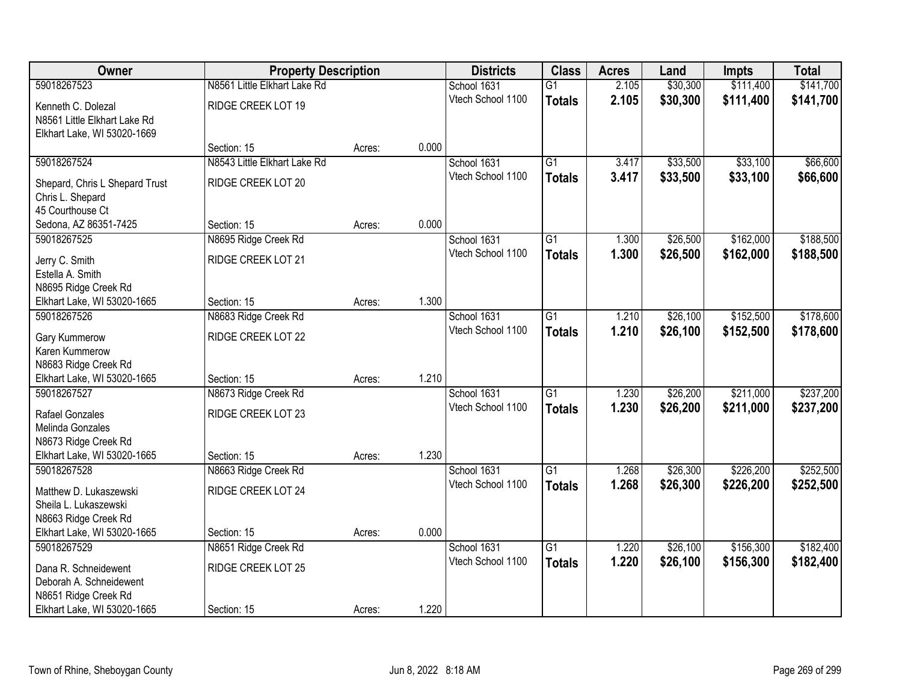| Owner                          | <b>Property Description</b>  |        |       | <b>Districts</b>  | <b>Class</b>    | <b>Acres</b> | Land     | <b>Impts</b> | <b>Total</b> |
|--------------------------------|------------------------------|--------|-------|-------------------|-----------------|--------------|----------|--------------|--------------|
| 59018267523                    | N8561 Little Elkhart Lake Rd |        |       | School 1631       | $\overline{G1}$ | 2.105        | \$30,300 | \$111,400    | \$141,700    |
| Kenneth C. Dolezal             | RIDGE CREEK LOT 19           |        |       | Vtech School 1100 | <b>Totals</b>   | 2.105        | \$30,300 | \$111,400    | \$141,700    |
| N8561 Little Elkhart Lake Rd   |                              |        |       |                   |                 |              |          |              |              |
| Elkhart Lake, WI 53020-1669    |                              |        |       |                   |                 |              |          |              |              |
|                                | Section: 15                  | Acres: | 0.000 |                   |                 |              |          |              |              |
| 59018267524                    | N8543 Little Elkhart Lake Rd |        |       | School 1631       | $\overline{G1}$ | 3.417        | \$33,500 | \$33,100     | \$66,600     |
| Shepard, Chris L Shepard Trust | RIDGE CREEK LOT 20           |        |       | Vtech School 1100 | <b>Totals</b>   | 3.417        | \$33,500 | \$33,100     | \$66,600     |
| Chris L. Shepard               |                              |        |       |                   |                 |              |          |              |              |
| 45 Courthouse Ct               |                              |        |       |                   |                 |              |          |              |              |
| Sedona, AZ 86351-7425          | Section: 15                  | Acres: | 0.000 |                   |                 |              |          |              |              |
| 59018267525                    | N8695 Ridge Creek Rd         |        |       | School 1631       | G1              | 1.300        | \$26,500 | \$162,000    | \$188,500    |
| Jerry C. Smith                 | RIDGE CREEK LOT 21           |        |       | Vtech School 1100 | <b>Totals</b>   | 1.300        | \$26,500 | \$162,000    | \$188,500    |
| Estella A. Smith               |                              |        |       |                   |                 |              |          |              |              |
| N8695 Ridge Creek Rd           |                              |        |       |                   |                 |              |          |              |              |
| Elkhart Lake, WI 53020-1665    | Section: 15                  | Acres: | 1.300 |                   |                 |              |          |              |              |
| 59018267526                    | N8683 Ridge Creek Rd         |        |       | School 1631       | G1              | 1.210        | \$26,100 | \$152,500    | \$178,600    |
| Gary Kummerow                  | RIDGE CREEK LOT 22           |        |       | Vtech School 1100 | <b>Totals</b>   | 1.210        | \$26,100 | \$152,500    | \$178,600    |
| Karen Kummerow                 |                              |        |       |                   |                 |              |          |              |              |
| N8683 Ridge Creek Rd           |                              |        |       |                   |                 |              |          |              |              |
| Elkhart Lake, WI 53020-1665    | Section: 15                  | Acres: | 1.210 |                   |                 |              |          |              |              |
| 59018267527                    | N8673 Ridge Creek Rd         |        |       | School 1631       | $\overline{G1}$ | 1.230        | \$26,200 | \$211,000    | \$237,200    |
| Rafael Gonzales                | RIDGE CREEK LOT 23           |        |       | Vtech School 1100 | <b>Totals</b>   | 1.230        | \$26,200 | \$211,000    | \$237,200    |
| Melinda Gonzales               |                              |        |       |                   |                 |              |          |              |              |
| N8673 Ridge Creek Rd           |                              |        |       |                   |                 |              |          |              |              |
| Elkhart Lake, WI 53020-1665    | Section: 15                  | Acres: | 1.230 |                   |                 |              |          |              |              |
| 59018267528                    | N8663 Ridge Creek Rd         |        |       | School 1631       | $\overline{G1}$ | 1.268        | \$26,300 | \$226,200    | \$252,500    |
| Matthew D. Lukaszewski         | RIDGE CREEK LOT 24           |        |       | Vtech School 1100 | <b>Totals</b>   | 1.268        | \$26,300 | \$226,200    | \$252,500    |
| Sheila L. Lukaszewski          |                              |        |       |                   |                 |              |          |              |              |
| N8663 Ridge Creek Rd           |                              |        |       |                   |                 |              |          |              |              |
| Elkhart Lake, WI 53020-1665    | Section: 15                  | Acres: | 0.000 |                   |                 |              |          |              |              |
| 59018267529                    | N8651 Ridge Creek Rd         |        |       | School 1631       | $\overline{G1}$ | 1.220        | \$26,100 | \$156,300    | \$182,400    |
| Dana R. Schneidewent           | RIDGE CREEK LOT 25           |        |       | Vtech School 1100 | <b>Totals</b>   | 1.220        | \$26,100 | \$156,300    | \$182,400    |
| Deborah A. Schneidewent        |                              |        |       |                   |                 |              |          |              |              |
| N8651 Ridge Creek Rd           |                              |        |       |                   |                 |              |          |              |              |
| Elkhart Lake, WI 53020-1665    | Section: 15                  | Acres: | 1.220 |                   |                 |              |          |              |              |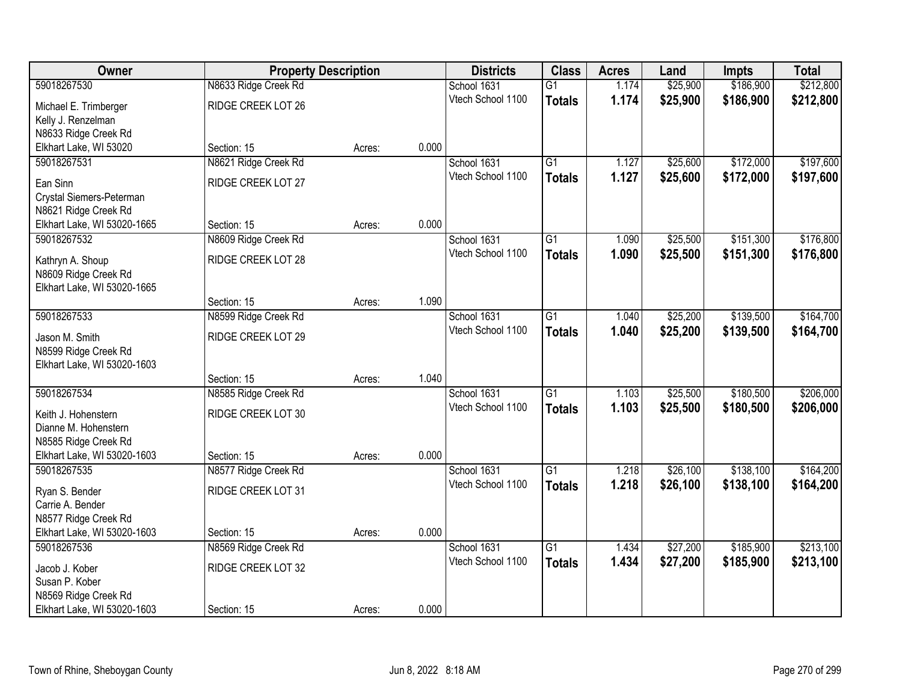| Owner                                               | <b>Property Description</b> |        |       | <b>Districts</b>  | <b>Class</b>    | <b>Acres</b> | Land     | <b>Impts</b> | <b>Total</b> |
|-----------------------------------------------------|-----------------------------|--------|-------|-------------------|-----------------|--------------|----------|--------------|--------------|
| 59018267530                                         | N8633 Ridge Creek Rd        |        |       | School 1631       | $\overline{G1}$ | 1.174        | \$25,900 | \$186,900    | \$212,800    |
| Michael E. Trimberger                               | RIDGE CREEK LOT 26          |        |       | Vtech School 1100 | <b>Totals</b>   | 1.174        | \$25,900 | \$186,900    | \$212,800    |
| Kelly J. Renzelman                                  |                             |        |       |                   |                 |              |          |              |              |
| N8633 Ridge Creek Rd                                |                             |        |       |                   |                 |              |          |              |              |
| Elkhart Lake, WI 53020                              | Section: 15                 | Acres: | 0.000 |                   |                 |              |          |              |              |
| 59018267531                                         | N8621 Ridge Creek Rd        |        |       | School 1631       | $\overline{G1}$ | 1.127        | \$25,600 | \$172,000    | \$197,600    |
| Ean Sinn                                            | RIDGE CREEK LOT 27          |        |       | Vtech School 1100 | <b>Totals</b>   | 1.127        | \$25,600 | \$172,000    | \$197,600    |
| Crystal Siemers-Peterman                            |                             |        |       |                   |                 |              |          |              |              |
| N8621 Ridge Creek Rd                                |                             |        |       |                   |                 |              |          |              |              |
| Elkhart Lake, WI 53020-1665                         | Section: 15                 | Acres: | 0.000 |                   |                 |              |          |              |              |
| 59018267532                                         | N8609 Ridge Creek Rd        |        |       | School 1631       | G1              | 1.090        | \$25,500 | \$151,300    | \$176,800    |
|                                                     | RIDGE CREEK LOT 28          |        |       | Vtech School 1100 | <b>Totals</b>   | 1.090        | \$25,500 | \$151,300    | \$176,800    |
| Kathryn A. Shoup<br>N8609 Ridge Creek Rd            |                             |        |       |                   |                 |              |          |              |              |
| Elkhart Lake, WI 53020-1665                         |                             |        |       |                   |                 |              |          |              |              |
|                                                     | Section: 15                 | Acres: | 1.090 |                   |                 |              |          |              |              |
| 59018267533                                         | N8599 Ridge Creek Rd        |        |       | School 1631       | G1              | 1.040        | \$25,200 | \$139,500    | \$164,700    |
|                                                     |                             |        |       | Vtech School 1100 | <b>Totals</b>   | 1.040        | \$25,200 | \$139,500    | \$164,700    |
| Jason M. Smith                                      | RIDGE CREEK LOT 29          |        |       |                   |                 |              |          |              |              |
| N8599 Ridge Creek Rd<br>Elkhart Lake, WI 53020-1603 |                             |        |       |                   |                 |              |          |              |              |
|                                                     | Section: 15                 | Acres: | 1.040 |                   |                 |              |          |              |              |
| 59018267534                                         | N8585 Ridge Creek Rd        |        |       | School 1631       | $\overline{G1}$ | 1.103        | \$25,500 | \$180,500    | \$206,000    |
|                                                     |                             |        |       | Vtech School 1100 | <b>Totals</b>   | 1.103        | \$25,500 | \$180,500    | \$206,000    |
| Keith J. Hohenstern                                 | RIDGE CREEK LOT 30          |        |       |                   |                 |              |          |              |              |
| Dianne M. Hohenstern                                |                             |        |       |                   |                 |              |          |              |              |
| N8585 Ridge Creek Rd                                |                             |        |       |                   |                 |              |          |              |              |
| Elkhart Lake, WI 53020-1603<br>59018267535          | Section: 15                 | Acres: | 0.000 | School 1631       | $\overline{G1}$ | 1.218        | \$26,100 | \$138,100    | \$164,200    |
|                                                     | N8577 Ridge Creek Rd        |        |       | Vtech School 1100 |                 | 1.218        | \$26,100 | \$138,100    |              |
| Ryan S. Bender                                      | RIDGE CREEK LOT 31          |        |       |                   | <b>Totals</b>   |              |          |              | \$164,200    |
| Carrie A. Bender                                    |                             |        |       |                   |                 |              |          |              |              |
| N8577 Ridge Creek Rd                                |                             |        |       |                   |                 |              |          |              |              |
| Elkhart Lake, WI 53020-1603                         | Section: 15                 | Acres: | 0.000 |                   |                 |              |          |              |              |
| 59018267536                                         | N8569 Ridge Creek Rd        |        |       | School 1631       | $\overline{G1}$ | 1.434        | \$27,200 | \$185,900    | \$213,100    |
| Jacob J. Kober                                      | RIDGE CREEK LOT 32          |        |       | Vtech School 1100 | <b>Totals</b>   | 1.434        | \$27,200 | \$185,900    | \$213,100    |
| Susan P. Kober                                      |                             |        |       |                   |                 |              |          |              |              |
| N8569 Ridge Creek Rd                                |                             |        |       |                   |                 |              |          |              |              |
| Elkhart Lake, WI 53020-1603                         | Section: 15                 | Acres: | 0.000 |                   |                 |              |          |              |              |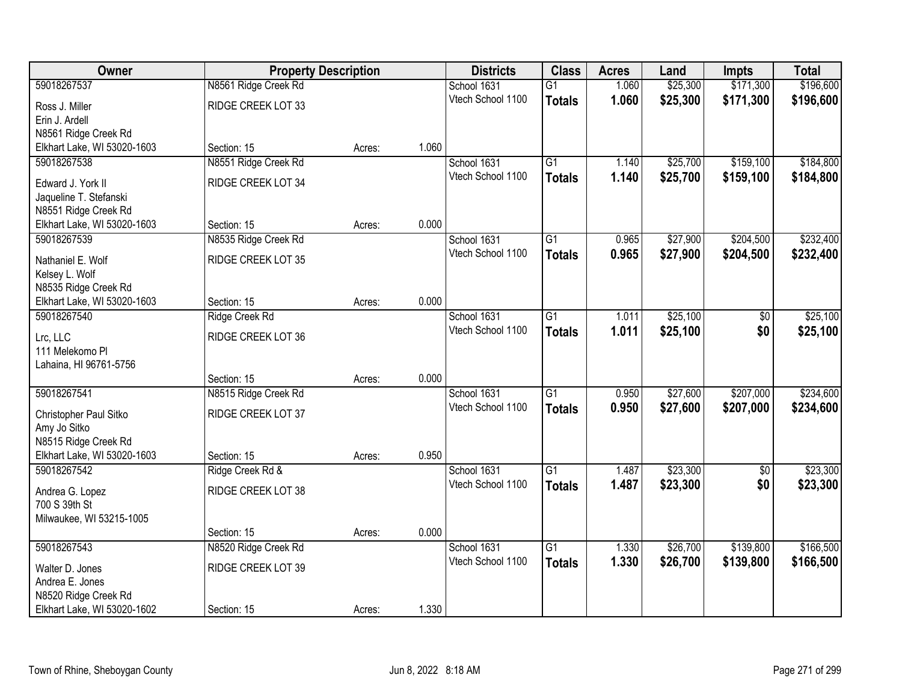| Owner                       | <b>Property Description</b> |        |       | <b>Districts</b>  | <b>Class</b>    | <b>Acres</b> | Land     | <b>Impts</b> | <b>Total</b> |
|-----------------------------|-----------------------------|--------|-------|-------------------|-----------------|--------------|----------|--------------|--------------|
| 59018267537                 | N8561 Ridge Creek Rd        |        |       | School 1631       | $\overline{G1}$ | 1.060        | \$25,300 | \$171,300    | \$196,600    |
| Ross J. Miller              | RIDGE CREEK LOT 33          |        |       | Vtech School 1100 | <b>Totals</b>   | 1.060        | \$25,300 | \$171,300    | \$196,600    |
| Erin J. Ardell              |                             |        |       |                   |                 |              |          |              |              |
| N8561 Ridge Creek Rd        |                             |        |       |                   |                 |              |          |              |              |
| Elkhart Lake, WI 53020-1603 | Section: 15                 | Acres: | 1.060 |                   |                 |              |          |              |              |
| 59018267538                 | N8551 Ridge Creek Rd        |        |       | School 1631       | $\overline{G1}$ | 1.140        | \$25,700 | \$159,100    | \$184,800    |
| Edward J. York II           | RIDGE CREEK LOT 34          |        |       | Vtech School 1100 | <b>Totals</b>   | 1.140        | \$25,700 | \$159,100    | \$184,800    |
| Jaqueline T. Stefanski      |                             |        |       |                   |                 |              |          |              |              |
| N8551 Ridge Creek Rd        |                             |        |       |                   |                 |              |          |              |              |
| Elkhart Lake, WI 53020-1603 | Section: 15                 | Acres: | 0.000 |                   |                 |              |          |              |              |
| 59018267539                 | N8535 Ridge Creek Rd        |        |       | School 1631       | $\overline{G1}$ | 0.965        | \$27,900 | \$204,500    | \$232,400    |
| Nathaniel E. Wolf           | RIDGE CREEK LOT 35          |        |       | Vtech School 1100 | <b>Totals</b>   | 0.965        | \$27,900 | \$204,500    | \$232,400    |
| Kelsey L. Wolf              |                             |        |       |                   |                 |              |          |              |              |
| N8535 Ridge Creek Rd        |                             |        |       |                   |                 |              |          |              |              |
| Elkhart Lake, WI 53020-1603 | Section: 15                 | Acres: | 0.000 |                   |                 |              |          |              |              |
| 59018267540                 | <b>Ridge Creek Rd</b>       |        |       | School 1631       | $\overline{G1}$ | 1.011        | \$25,100 | \$0          | \$25,100     |
| Lrc, LLC                    | RIDGE CREEK LOT 36          |        |       | Vtech School 1100 | <b>Totals</b>   | 1.011        | \$25,100 | \$0          | \$25,100     |
| 111 Melekomo Pl             |                             |        |       |                   |                 |              |          |              |              |
| Lahaina, HI 96761-5756      |                             |        |       |                   |                 |              |          |              |              |
|                             | Section: 15                 | Acres: | 0.000 |                   |                 |              |          |              |              |
| 59018267541                 | N8515 Ridge Creek Rd        |        |       | School 1631       | $\overline{G1}$ | 0.950        | \$27,600 | \$207,000    | \$234,600    |
| Christopher Paul Sitko      | RIDGE CREEK LOT 37          |        |       | Vtech School 1100 | <b>Totals</b>   | 0.950        | \$27,600 | \$207,000    | \$234,600    |
| Amy Jo Sitko                |                             |        |       |                   |                 |              |          |              |              |
| N8515 Ridge Creek Rd        |                             |        |       |                   |                 |              |          |              |              |
| Elkhart Lake, WI 53020-1603 | Section: 15                 | Acres: | 0.950 |                   |                 |              |          |              |              |
| 59018267542                 | Ridge Creek Rd &            |        |       | School 1631       | $\overline{G1}$ | 1.487        | \$23,300 | $\sqrt{6}$   | \$23,300     |
| Andrea G. Lopez             | RIDGE CREEK LOT 38          |        |       | Vtech School 1100 | <b>Totals</b>   | 1.487        | \$23,300 | \$0          | \$23,300     |
| 700 S 39th St               |                             |        |       |                   |                 |              |          |              |              |
| Milwaukee, WI 53215-1005    |                             |        |       |                   |                 |              |          |              |              |
|                             | Section: 15                 | Acres: | 0.000 |                   |                 |              |          |              |              |
| 59018267543                 | N8520 Ridge Creek Rd        |        |       | School 1631       | $\overline{G1}$ | 1.330        | \$26,700 | \$139,800    | \$166,500    |
| Walter D. Jones             | RIDGE CREEK LOT 39          |        |       | Vtech School 1100 | <b>Totals</b>   | 1.330        | \$26,700 | \$139,800    | \$166,500    |
| Andrea E. Jones             |                             |        |       |                   |                 |              |          |              |              |
| N8520 Ridge Creek Rd        |                             |        |       |                   |                 |              |          |              |              |
| Elkhart Lake, WI 53020-1602 | Section: 15                 | Acres: | 1.330 |                   |                 |              |          |              |              |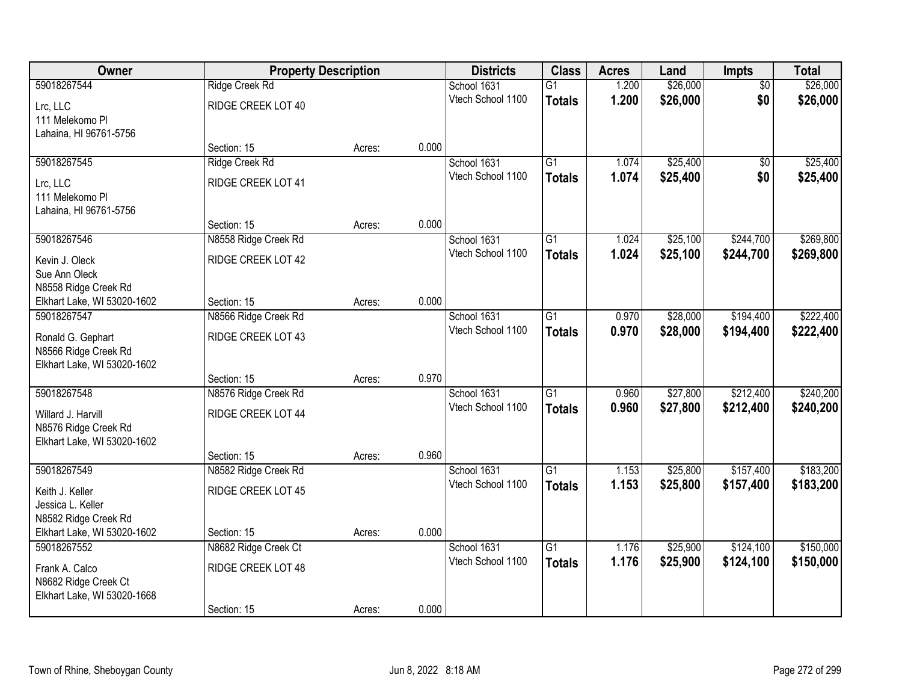| Owner                       | <b>Property Description</b> |        |       | <b>Districts</b>  | <b>Class</b>    | <b>Acres</b> | Land     | Impts           | <b>Total</b> |
|-----------------------------|-----------------------------|--------|-------|-------------------|-----------------|--------------|----------|-----------------|--------------|
| 59018267544                 | Ridge Creek Rd              |        |       | School 1631       | $\overline{G1}$ | 1.200        | \$26,000 | $\overline{50}$ | \$26,000     |
| Lrc, LLC                    | RIDGE CREEK LOT 40          |        |       | Vtech School 1100 | <b>Totals</b>   | 1.200        | \$26,000 | \$0             | \$26,000     |
| 111 Melekomo Pl             |                             |        |       |                   |                 |              |          |                 |              |
| Lahaina, HI 96761-5756      |                             |        |       |                   |                 |              |          |                 |              |
|                             | Section: 15                 | Acres: | 0.000 |                   |                 |              |          |                 |              |
| 59018267545                 | Ridge Creek Rd              |        |       | School 1631       | $\overline{G1}$ | 1.074        | \$25,400 | \$0             | \$25,400     |
| Lrc, LLC                    | RIDGE CREEK LOT 41          |        |       | Vtech School 1100 | <b>Totals</b>   | 1.074        | \$25,400 | \$0             | \$25,400     |
| 111 Melekomo Pl             |                             |        |       |                   |                 |              |          |                 |              |
| Lahaina, HI 96761-5756      |                             |        |       |                   |                 |              |          |                 |              |
|                             | Section: 15                 | Acres: | 0.000 |                   |                 |              |          |                 |              |
| 59018267546                 | N8558 Ridge Creek Rd        |        |       | School 1631       | $\overline{G1}$ | 1.024        | \$25,100 | \$244,700       | \$269,800    |
| Kevin J. Oleck              | RIDGE CREEK LOT 42          |        |       | Vtech School 1100 | <b>Totals</b>   | 1.024        | \$25,100 | \$244,700       | \$269,800    |
| Sue Ann Oleck               |                             |        |       |                   |                 |              |          |                 |              |
| N8558 Ridge Creek Rd        |                             |        |       |                   |                 |              |          |                 |              |
| Elkhart Lake, WI 53020-1602 | Section: 15                 | Acres: | 0.000 |                   |                 |              |          |                 |              |
| 59018267547                 | N8566 Ridge Creek Rd        |        |       | School 1631       | $\overline{G1}$ | 0.970        | \$28,000 | \$194,400       | \$222,400    |
| Ronald G. Gephart           | RIDGE CREEK LOT 43          |        |       | Vtech School 1100 | <b>Totals</b>   | 0.970        | \$28,000 | \$194,400       | \$222,400    |
| N8566 Ridge Creek Rd        |                             |        |       |                   |                 |              |          |                 |              |
| Elkhart Lake, WI 53020-1602 |                             |        |       |                   |                 |              |          |                 |              |
|                             | Section: 15                 | Acres: | 0.970 |                   |                 |              |          |                 |              |
| 59018267548                 | N8576 Ridge Creek Rd        |        |       | School 1631       | $\overline{G1}$ | 0.960        | \$27,800 | \$212,400       | \$240,200    |
| Willard J. Harvill          | RIDGE CREEK LOT 44          |        |       | Vtech School 1100 | <b>Totals</b>   | 0.960        | \$27,800 | \$212,400       | \$240,200    |
| N8576 Ridge Creek Rd        |                             |        |       |                   |                 |              |          |                 |              |
| Elkhart Lake, WI 53020-1602 |                             |        |       |                   |                 |              |          |                 |              |
|                             | Section: 15                 | Acres: | 0.960 |                   |                 |              |          |                 |              |
| 59018267549                 | N8582 Ridge Creek Rd        |        |       | School 1631       | $\overline{G1}$ | 1.153        | \$25,800 | \$157,400       | \$183,200    |
| Keith J. Keller             | RIDGE CREEK LOT 45          |        |       | Vtech School 1100 | <b>Totals</b>   | 1.153        | \$25,800 | \$157,400       | \$183,200    |
| Jessica L. Keller           |                             |        |       |                   |                 |              |          |                 |              |
| N8582 Ridge Creek Rd        |                             |        |       |                   |                 |              |          |                 |              |
| Elkhart Lake, WI 53020-1602 | Section: 15                 | Acres: | 0.000 |                   |                 |              |          |                 |              |
| 59018267552                 | N8682 Ridge Creek Ct        |        |       | School 1631       | $\overline{G1}$ | 1.176        | \$25,900 | \$124,100       | \$150,000    |
| Frank A. Calco              | RIDGE CREEK LOT 48          |        |       | Vtech School 1100 | <b>Totals</b>   | 1.176        | \$25,900 | \$124,100       | \$150,000    |
| N8682 Ridge Creek Ct        |                             |        |       |                   |                 |              |          |                 |              |
| Elkhart Lake, WI 53020-1668 |                             |        |       |                   |                 |              |          |                 |              |
|                             | Section: 15                 | Acres: | 0.000 |                   |                 |              |          |                 |              |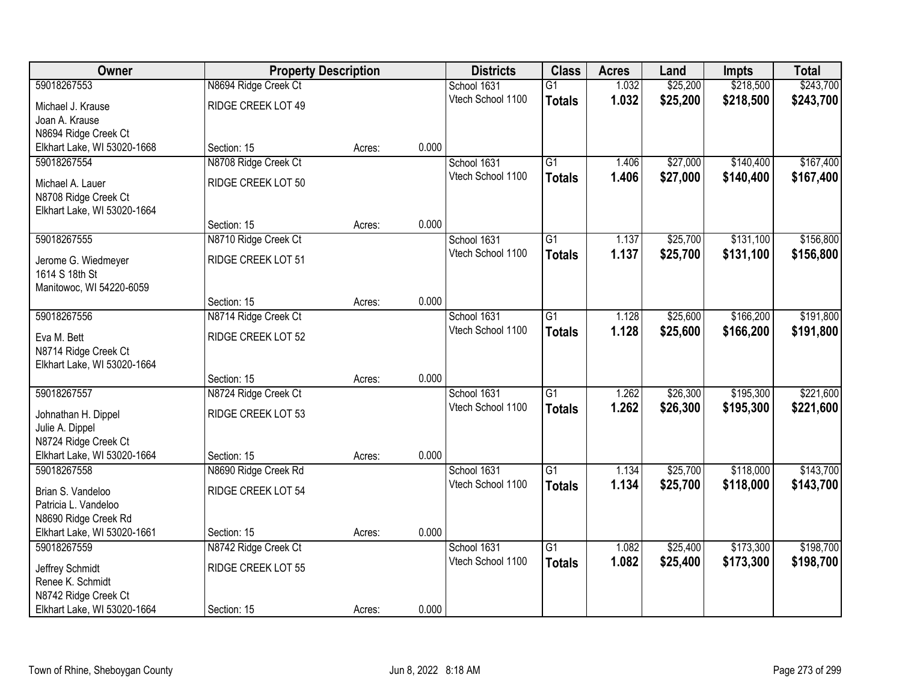| Owner                                  | <b>Property Description</b> |        |       | <b>Districts</b>  | <b>Class</b>    | <b>Acres</b> | Land     | <b>Impts</b> | <b>Total</b> |
|----------------------------------------|-----------------------------|--------|-------|-------------------|-----------------|--------------|----------|--------------|--------------|
| 59018267553                            | N8694 Ridge Creek Ct        |        |       | School 1631       | $\overline{G1}$ | 1.032        | \$25,200 | \$218,500    | \$243,700    |
| Michael J. Krause                      | RIDGE CREEK LOT 49          |        |       | Vtech School 1100 | <b>Totals</b>   | 1.032        | \$25,200 | \$218,500    | \$243,700    |
| Joan A. Krause                         |                             |        |       |                   |                 |              |          |              |              |
| N8694 Ridge Creek Ct                   |                             |        |       |                   |                 |              |          |              |              |
| Elkhart Lake, WI 53020-1668            | Section: 15                 | Acres: | 0.000 |                   |                 |              |          |              |              |
| 59018267554                            | N8708 Ridge Creek Ct        |        |       | School 1631       | $\overline{G1}$ | 1.406        | \$27,000 | \$140,400    | \$167,400    |
| Michael A. Lauer                       | RIDGE CREEK LOT 50          |        |       | Vtech School 1100 | <b>Totals</b>   | 1.406        | \$27,000 | \$140,400    | \$167,400    |
| N8708 Ridge Creek Ct                   |                             |        |       |                   |                 |              |          |              |              |
| Elkhart Lake, WI 53020-1664            |                             |        |       |                   |                 |              |          |              |              |
|                                        | Section: 15                 | Acres: | 0.000 |                   |                 |              |          |              |              |
| 59018267555                            | N8710 Ridge Creek Ct        |        |       | School 1631       | G1              | 1.137        | \$25,700 | \$131,100    | \$156,800    |
| Jerome G. Wiedmeyer                    | RIDGE CREEK LOT 51          |        |       | Vtech School 1100 | <b>Totals</b>   | 1.137        | \$25,700 | \$131,100    | \$156,800    |
| 1614 S 18th St                         |                             |        |       |                   |                 |              |          |              |              |
| Manitowoc, WI 54220-6059               |                             |        |       |                   |                 |              |          |              |              |
|                                        | Section: 15                 | Acres: | 0.000 |                   |                 |              |          |              |              |
| 59018267556                            | N8714 Ridge Creek Ct        |        |       | School 1631       | G1              | 1.128        | \$25,600 | \$166,200    | \$191,800    |
| Eva M. Bett                            | RIDGE CREEK LOT 52          |        |       | Vtech School 1100 | <b>Totals</b>   | 1.128        | \$25,600 | \$166,200    | \$191,800    |
| N8714 Ridge Creek Ct                   |                             |        |       |                   |                 |              |          |              |              |
| Elkhart Lake, WI 53020-1664            |                             |        |       |                   |                 |              |          |              |              |
|                                        | Section: 15                 | Acres: | 0.000 |                   |                 |              |          |              |              |
| 59018267557                            | N8724 Ridge Creek Ct        |        |       | School 1631       | $\overline{G1}$ | 1.262        | \$26,300 | \$195,300    | \$221,600    |
|                                        | RIDGE CREEK LOT 53          |        |       | Vtech School 1100 | <b>Totals</b>   | 1.262        | \$26,300 | \$195,300    | \$221,600    |
| Johnathan H. Dippel<br>Julie A. Dippel |                             |        |       |                   |                 |              |          |              |              |
| N8724 Ridge Creek Ct                   |                             |        |       |                   |                 |              |          |              |              |
| Elkhart Lake, WI 53020-1664            | Section: 15                 | Acres: | 0.000 |                   |                 |              |          |              |              |
| 59018267558                            | N8690 Ridge Creek Rd        |        |       | School 1631       | $\overline{G1}$ | 1.134        | \$25,700 | \$118,000    | \$143,700    |
| Brian S. Vandeloo                      | RIDGE CREEK LOT 54          |        |       | Vtech School 1100 | <b>Totals</b>   | 1.134        | \$25,700 | \$118,000    | \$143,700    |
| Patricia L. Vandeloo                   |                             |        |       |                   |                 |              |          |              |              |
| N8690 Ridge Creek Rd                   |                             |        |       |                   |                 |              |          |              |              |
| Elkhart Lake, WI 53020-1661            | Section: 15                 | Acres: | 0.000 |                   |                 |              |          |              |              |
| 59018267559                            | N8742 Ridge Creek Ct        |        |       | School 1631       | $\overline{G1}$ | 1.082        | \$25,400 | \$173,300    | \$198,700    |
|                                        | RIDGE CREEK LOT 55          |        |       | Vtech School 1100 | <b>Totals</b>   | 1.082        | \$25,400 | \$173,300    | \$198,700    |
| Jeffrey Schmidt<br>Renee K. Schmidt    |                             |        |       |                   |                 |              |          |              |              |
| N8742 Ridge Creek Ct                   |                             |        |       |                   |                 |              |          |              |              |
| Elkhart Lake, WI 53020-1664            | Section: 15                 | Acres: | 0.000 |                   |                 |              |          |              |              |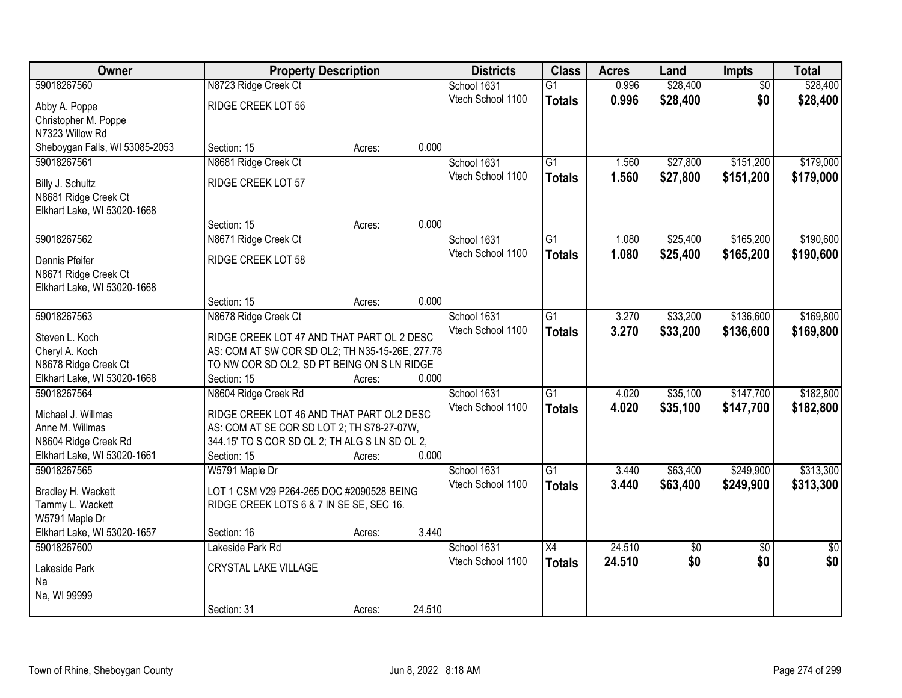| Owner                          | <b>Property Description</b>                     |        |        | <b>Districts</b>  | <b>Class</b>    | <b>Acres</b> | Land        | Impts           | <b>Total</b>    |
|--------------------------------|-------------------------------------------------|--------|--------|-------------------|-----------------|--------------|-------------|-----------------|-----------------|
| 59018267560                    | N8723 Ridge Creek Ct                            |        |        | School 1631       | $\overline{G1}$ | 0.996        | \$28,400    | $\overline{50}$ | \$28,400        |
| Abby A. Poppe                  | RIDGE CREEK LOT 56                              |        |        | Vtech School 1100 | <b>Totals</b>   | 0.996        | \$28,400    | \$0             | \$28,400        |
| Christopher M. Poppe           |                                                 |        |        |                   |                 |              |             |                 |                 |
| N7323 Willow Rd                |                                                 |        |        |                   |                 |              |             |                 |                 |
| Sheboygan Falls, WI 53085-2053 | Section: 15                                     | Acres: | 0.000  |                   |                 |              |             |                 |                 |
| 59018267561                    | N8681 Ridge Creek Ct                            |        |        | School 1631       | $\overline{G1}$ | 1.560        | \$27,800    | \$151,200       | \$179,000       |
| Billy J. Schultz               | RIDGE CREEK LOT 57                              |        |        | Vtech School 1100 | <b>Totals</b>   | 1.560        | \$27,800    | \$151,200       | \$179,000       |
| N8681 Ridge Creek Ct           |                                                 |        |        |                   |                 |              |             |                 |                 |
| Elkhart Lake, WI 53020-1668    |                                                 |        |        |                   |                 |              |             |                 |                 |
|                                | Section: 15                                     | Acres: | 0.000  |                   |                 |              |             |                 |                 |
| 59018267562                    | N8671 Ridge Creek Ct                            |        |        | School 1631       | G1              | 1.080        | \$25,400    | \$165,200       | \$190,600       |
|                                |                                                 |        |        | Vtech School 1100 | <b>Totals</b>   | 1.080        | \$25,400    | \$165,200       | \$190,600       |
| Dennis Pfeifer                 | RIDGE CREEK LOT 58                              |        |        |                   |                 |              |             |                 |                 |
| N8671 Ridge Creek Ct           |                                                 |        |        |                   |                 |              |             |                 |                 |
| Elkhart Lake, WI 53020-1668    | Section: 15                                     | Acres: | 0.000  |                   |                 |              |             |                 |                 |
| 59018267563                    | N8678 Ridge Creek Ct                            |        |        | School 1631       | G1              | 3.270        | \$33,200    | \$136,600       | \$169,800       |
|                                |                                                 |        |        | Vtech School 1100 | <b>Totals</b>   | 3.270        | \$33,200    | \$136,600       | \$169,800       |
| Steven L. Koch                 | RIDGE CREEK LOT 47 AND THAT PART OL 2 DESC      |        |        |                   |                 |              |             |                 |                 |
| Cheryl A. Koch                 | AS: COM AT SW COR SD OL2; TH N35-15-26E, 277.78 |        |        |                   |                 |              |             |                 |                 |
| N8678 Ridge Creek Ct           | TO NW COR SD OL2, SD PT BEING ON S LN RIDGE     |        |        |                   |                 |              |             |                 |                 |
| Elkhart Lake, WI 53020-1668    | Section: 15                                     | Acres: | 0.000  |                   |                 |              |             |                 |                 |
| 59018267564                    | N8604 Ridge Creek Rd                            |        |        | School 1631       | $\overline{G1}$ | 4.020        | \$35,100    | \$147,700       | \$182,800       |
| Michael J. Willmas             | RIDGE CREEK LOT 46 AND THAT PART OL2 DESC       |        |        | Vtech School 1100 | <b>Totals</b>   | 4.020        | \$35,100    | \$147,700       | \$182,800       |
| Anne M. Willmas                | AS: COM AT SE COR SD LOT 2; TH S78-27-07W,      |        |        |                   |                 |              |             |                 |                 |
| N8604 Ridge Creek Rd           | 344.15' TO S COR SD OL 2; TH ALG S LN SD OL 2,  |        |        |                   |                 |              |             |                 |                 |
| Elkhart Lake, WI 53020-1661    | Section: 15                                     | Acres: | 0.000  |                   |                 |              |             |                 |                 |
| 59018267565                    | W5791 Maple Dr                                  |        |        | School 1631       | $\overline{G1}$ | 3.440        | \$63,400    | \$249,900       | \$313,300       |
| Bradley H. Wackett             | LOT 1 CSM V29 P264-265 DOC #2090528 BEING       |        |        | Vtech School 1100 | <b>Totals</b>   | 3.440        | \$63,400    | \$249,900       | \$313,300       |
| Tammy L. Wackett               | RIDGE CREEK LOTS 6 & 7 IN SE SE, SEC 16.        |        |        |                   |                 |              |             |                 |                 |
| W5791 Maple Dr                 |                                                 |        |        |                   |                 |              |             |                 |                 |
| Elkhart Lake, WI 53020-1657    | Section: 16                                     | Acres: | 3.440  |                   |                 |              |             |                 |                 |
| 59018267600                    | Lakeside Park Rd                                |        |        | School 1631       | $\overline{X4}$ | 24.510       | $\sqrt{50}$ | $\overline{50}$ | $\overline{50}$ |
| Lakeside Park                  | CRYSTAL LAKE VILLAGE                            |        |        | Vtech School 1100 | <b>Totals</b>   | 24.510       | \$0         | \$0             | \$0             |
| Na                             |                                                 |        |        |                   |                 |              |             |                 |                 |
| Na, WI 99999                   |                                                 |        |        |                   |                 |              |             |                 |                 |
|                                | Section: 31                                     | Acres: | 24.510 |                   |                 |              |             |                 |                 |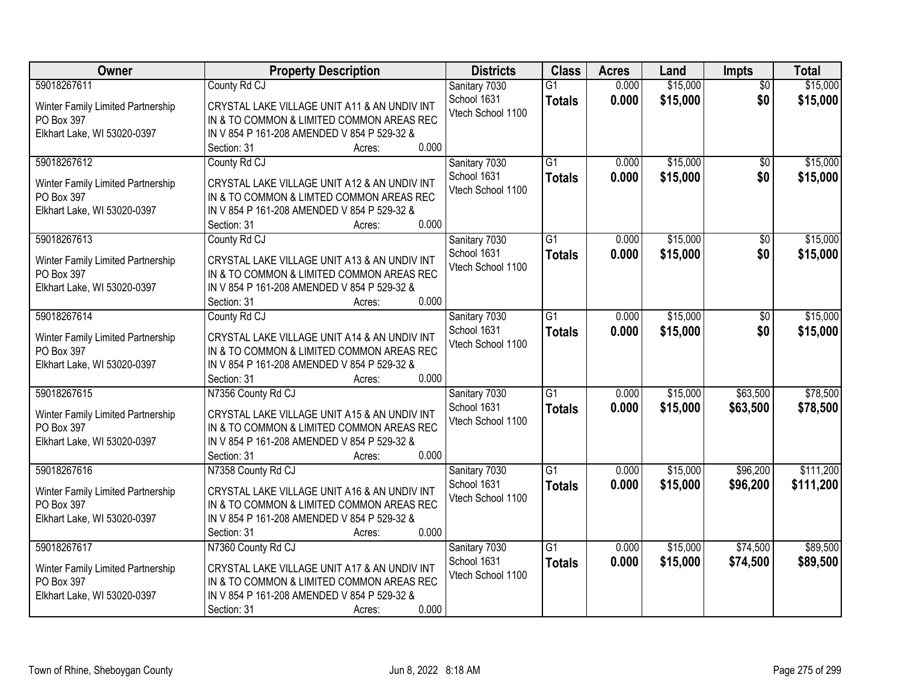| Owner                                           | <b>Property Description</b>                                                               | <b>Districts</b>                 | <b>Class</b>    | <b>Acres</b> | Land     | <b>Impts</b>    | <b>Total</b> |
|-------------------------------------------------|-------------------------------------------------------------------------------------------|----------------------------------|-----------------|--------------|----------|-----------------|--------------|
| 59018267611                                     | County Rd CJ                                                                              | Sanitary 7030                    | $\overline{G1}$ | 0.000        | \$15,000 | $\overline{30}$ | \$15,000     |
| Winter Family Limited Partnership               | CRYSTAL LAKE VILLAGE UNIT A11 & AN UNDIV INT                                              | School 1631<br>Vtech School 1100 | <b>Totals</b>   | 0.000        | \$15,000 | \$0             | \$15,000     |
| PO Box 397                                      | IN & TO COMMON & LIMITED COMMON AREAS REC                                                 |                                  |                 |              |          |                 |              |
| Elkhart Lake, WI 53020-0397                     | IN V 854 P 161-208 AMENDED V 854 P 529-32 &                                               |                                  |                 |              |          |                 |              |
|                                                 | 0.000<br>Section: 31<br>Acres:                                                            |                                  |                 |              |          |                 |              |
| 59018267612                                     | County Rd CJ                                                                              | Sanitary 7030                    | $\overline{G1}$ | 0.000        | \$15,000 | \$0             | \$15,000     |
| Winter Family Limited Partnership               | CRYSTAL LAKE VILLAGE UNIT A12 & AN UNDIV INT                                              | School 1631                      | <b>Totals</b>   | 0.000        | \$15,000 | \$0             | \$15,000     |
| PO Box 397                                      | IN & TO COMMON & LIMTED COMMON AREAS REC                                                  | Vtech School 1100                |                 |              |          |                 |              |
| Elkhart Lake, WI 53020-0397                     | IN V 854 P 161-208 AMENDED V 854 P 529-32 &                                               |                                  |                 |              |          |                 |              |
|                                                 | 0.000<br>Section: 31<br>Acres:                                                            |                                  |                 |              |          |                 |              |
| 59018267613                                     | County Rd CJ                                                                              | Sanitary 7030                    | $\overline{G1}$ | 0.000        | \$15,000 | \$0             | \$15,000     |
| Winter Family Limited Partnership               | CRYSTAL LAKE VILLAGE UNIT A13 & AN UNDIV INT                                              | School 1631                      | <b>Totals</b>   | 0.000        | \$15,000 | \$0             | \$15,000     |
| PO Box 397                                      | IN & TO COMMON & LIMITED COMMON AREAS REC                                                 | Vtech School 1100                |                 |              |          |                 |              |
| Elkhart Lake, WI 53020-0397                     | IN V 854 P 161-208 AMENDED V 854 P 529-32 &                                               |                                  |                 |              |          |                 |              |
|                                                 | 0.000<br>Section: 31<br>Acres:                                                            |                                  |                 |              |          |                 |              |
| 59018267614                                     | County Rd CJ                                                                              | Sanitary 7030                    | $\overline{G1}$ | 0.000        | \$15,000 | \$0             | \$15,000     |
| Winter Family Limited Partnership               | CRYSTAL LAKE VILLAGE UNIT A14 & AN UNDIV INT                                              | School 1631                      | <b>Totals</b>   | 0.000        | \$15,000 | \$0             | \$15,000     |
| PO Box 397                                      | IN & TO COMMON & LIMITED COMMON AREAS REC                                                 | Vtech School 1100                |                 |              |          |                 |              |
| Elkhart Lake, WI 53020-0397                     | IN V 854 P 161-208 AMENDED V 854 P 529-32 &                                               |                                  |                 |              |          |                 |              |
|                                                 | 0.000<br>Section: 31<br>Acres:                                                            |                                  |                 |              |          |                 |              |
| 59018267615                                     | N7356 County Rd CJ                                                                        | Sanitary 7030                    | $\overline{G1}$ | 0.000        | \$15,000 | \$63,500        | \$78,500     |
|                                                 |                                                                                           | School 1631                      | <b>Totals</b>   | 0.000        | \$15,000 | \$63,500        | \$78,500     |
| Winter Family Limited Partnership<br>PO Box 397 | CRYSTAL LAKE VILLAGE UNIT A15 & AN UNDIV INT<br>IN & TO COMMON & LIMITED COMMON AREAS REC | Vtech School 1100                |                 |              |          |                 |              |
| Elkhart Lake, WI 53020-0397                     | IN V 854 P 161-208 AMENDED V 854 P 529-32 &                                               |                                  |                 |              |          |                 |              |
|                                                 | 0.000<br>Section: 31<br>Acres:                                                            |                                  |                 |              |          |                 |              |
| 59018267616                                     | N7358 County Rd CJ                                                                        | Sanitary 7030                    | $\overline{G1}$ | 0.000        | \$15,000 | \$96,200        | \$111,200    |
|                                                 |                                                                                           | School 1631                      | <b>Totals</b>   | 0.000        | \$15,000 | \$96,200        | \$111,200    |
| Winter Family Limited Partnership               | CRYSTAL LAKE VILLAGE UNIT A16 & AN UNDIV INT                                              | Vtech School 1100                |                 |              |          |                 |              |
| PO Box 397                                      | IN & TO COMMON & LIMITED COMMON AREAS REC                                                 |                                  |                 |              |          |                 |              |
| Elkhart Lake, WI 53020-0397                     | IN V 854 P 161-208 AMENDED V 854 P 529-32 &<br>0.000<br>Section: 31<br>Acres:             |                                  |                 |              |          |                 |              |
| 59018267617                                     | N7360 County Rd CJ                                                                        | Sanitary 7030                    | $\overline{G1}$ | 0.000        | \$15,000 | \$74,500        | \$89,500     |
|                                                 |                                                                                           | School 1631                      | <b>Totals</b>   | 0.000        | \$15,000 | \$74,500        | \$89,500     |
| Winter Family Limited Partnership               | CRYSTAL LAKE VILLAGE UNIT A17 & AN UNDIV INT                                              | Vtech School 1100                |                 |              |          |                 |              |
| PO Box 397                                      | IN & TO COMMON & LIMITED COMMON AREAS REC                                                 |                                  |                 |              |          |                 |              |
| Elkhart Lake, WI 53020-0397                     | IN V 854 P 161-208 AMENDED V 854 P 529-32 &                                               |                                  |                 |              |          |                 |              |
|                                                 | 0.000<br>Section: 31<br>Acres:                                                            |                                  |                 |              |          |                 |              |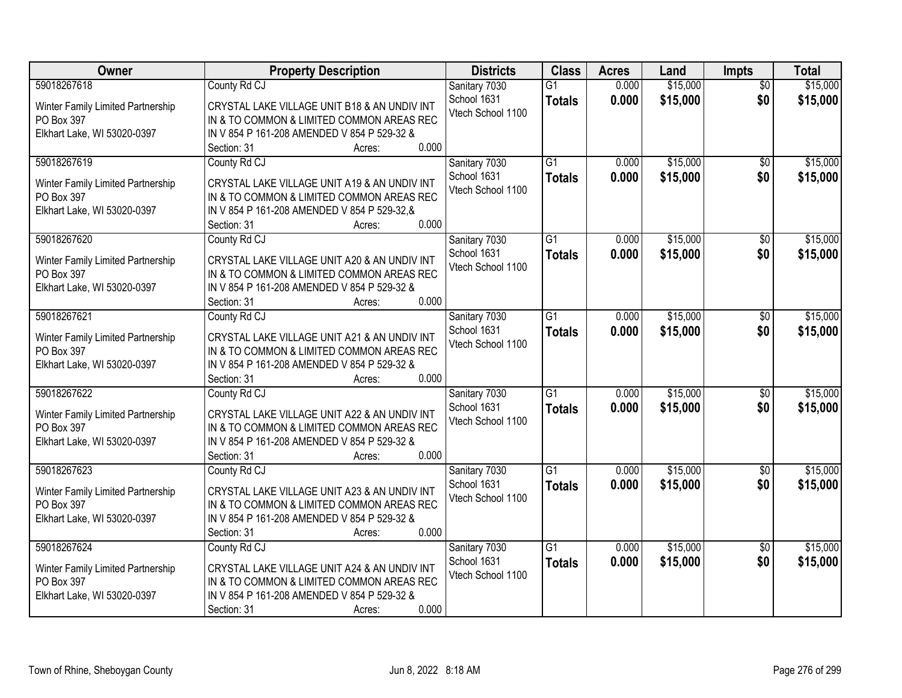| Owner                                           | <b>Property Description</b>                                                              | <b>Districts</b>                 | <b>Class</b>    | <b>Acres</b>   | Land                 | <b>Impts</b>           | <b>Total</b>         |
|-------------------------------------------------|------------------------------------------------------------------------------------------|----------------------------------|-----------------|----------------|----------------------|------------------------|----------------------|
| 59018267618                                     | County Rd CJ                                                                             | Sanitary 7030<br>School 1631     | $\overline{G1}$ | 0.000<br>0.000 | \$15,000<br>\$15,000 | $\overline{30}$<br>\$0 | \$15,000<br>\$15,000 |
| Winter Family Limited Partnership               | CRYSTAL LAKE VILLAGE UNIT B18 & AN UNDIV INT                                             | Vtech School 1100                | <b>Totals</b>   |                |                      |                        |                      |
| PO Box 397                                      | IN & TO COMMON & LIMITED COMMON AREAS REC                                                |                                  |                 |                |                      |                        |                      |
| Elkhart Lake, WI 53020-0397                     | IN V 854 P 161-208 AMENDED V 854 P 529-32 &<br>0.000<br>Section: 31                      |                                  |                 |                |                      |                        |                      |
| 59018267619                                     | Acres:<br>County Rd CJ                                                                   | Sanitary 7030                    | $\overline{G1}$ | 0.000          | \$15,000             | \$0                    | \$15,000             |
|                                                 |                                                                                          | School 1631                      |                 | 0.000          | \$15,000             | \$0                    | \$15,000             |
| Winter Family Limited Partnership               | CRYSTAL LAKE VILLAGE UNIT A19 & AN UNDIV INT                                             | Vtech School 1100                | <b>Totals</b>   |                |                      |                        |                      |
| PO Box 397                                      | IN & TO COMMON & LIMITED COMMON AREAS REC                                                |                                  |                 |                |                      |                        |                      |
| Elkhart Lake, WI 53020-0397                     | IN V 854 P 161-208 AMENDED V 854 P 529-32,&                                              |                                  |                 |                |                      |                        |                      |
|                                                 | 0.000<br>Section: 31<br>Acres:                                                           |                                  |                 |                |                      |                        |                      |
| 59018267620                                     | County Rd CJ                                                                             | Sanitary 7030                    | $\overline{G1}$ | 0.000          | \$15,000             | \$0                    | \$15,000             |
| Winter Family Limited Partnership               | CRYSTAL LAKE VILLAGE UNIT A20 & AN UNDIV INT                                             | School 1631<br>Vtech School 1100 | <b>Totals</b>   | 0.000          | \$15,000             | \$0                    | \$15,000             |
| PO Box 397                                      | IN & TO COMMON & LIMITED COMMON AREAS REC                                                |                                  |                 |                |                      |                        |                      |
| Elkhart Lake, WI 53020-0397                     | IN V 854 P 161-208 AMENDED V 854 P 529-32 &                                              |                                  |                 |                |                      |                        |                      |
|                                                 | 0.000<br>Section: 31<br>Acres:                                                           |                                  |                 |                |                      |                        |                      |
| 59018267621                                     | County Rd CJ                                                                             | Sanitary 7030                    | $\overline{G1}$ | 0.000          | \$15,000             | \$0                    | \$15,000             |
| Winter Family Limited Partnership               | CRYSTAL LAKE VILLAGE UNIT A21 & AN UNDIV INT                                             | School 1631                      | <b>Totals</b>   | 0.000          | \$15,000             | \$0                    | \$15,000             |
| PO Box 397                                      | IN & TO COMMON & LIMITED COMMON AREAS REC                                                | Vtech School 1100                |                 |                |                      |                        |                      |
| Elkhart Lake, WI 53020-0397                     | IN V 854 P 161-208 AMENDED V 854 P 529-32 &                                              |                                  |                 |                |                      |                        |                      |
|                                                 | 0.000<br>Section: 31<br>Acres:                                                           |                                  |                 |                |                      |                        |                      |
| 59018267622                                     | County Rd CJ                                                                             | Sanitary 7030                    | $\overline{G1}$ | 0.000          | \$15,000             | $\overline{50}$        | \$15,000             |
| Winter Family Limited Partnership               | CRYSTAL LAKE VILLAGE UNIT A22 & AN UNDIV INT                                             | School 1631                      | <b>Totals</b>   | 0.000          | \$15,000             | \$0                    | \$15,000             |
| PO Box 397                                      | IN & TO COMMON & LIMITED COMMON AREAS REC                                                | Vtech School 1100                |                 |                |                      |                        |                      |
| Elkhart Lake, WI 53020-0397                     | IN V 854 P 161-208 AMENDED V 854 P 529-32 &                                              |                                  |                 |                |                      |                        |                      |
|                                                 | 0.000<br>Section: 31<br>Acres:                                                           |                                  |                 |                |                      |                        |                      |
| 59018267623                                     | County Rd CJ                                                                             | Sanitary 7030                    | $\overline{G1}$ | 0.000          | \$15,000             | \$0                    | \$15,000             |
|                                                 | CRYSTAL LAKE VILLAGE UNIT A23 & AN UNDIV INT                                             | School 1631                      | <b>Totals</b>   | 0.000          | \$15,000             | \$0                    | \$15,000             |
| Winter Family Limited Partnership<br>PO Box 397 | IN & TO COMMON & LIMITED COMMON AREAS REC                                                | Vtech School 1100                |                 |                |                      |                        |                      |
| Elkhart Lake, WI 53020-0397                     | IN V 854 P 161-208 AMENDED V 854 P 529-32 &                                              |                                  |                 |                |                      |                        |                      |
|                                                 | 0.000<br>Section: 31<br>Acres:                                                           |                                  |                 |                |                      |                        |                      |
| 59018267624                                     | County Rd CJ                                                                             | Sanitary 7030                    | $\overline{G1}$ | 0.000          | \$15,000             | $\overline{30}$        | \$15,000             |
|                                                 |                                                                                          | School 1631                      | <b>Totals</b>   | 0.000          | \$15,000             | \$0                    | \$15,000             |
| Winter Family Limited Partnership               | CRYSTAL LAKE VILLAGE UNIT A24 & AN UNDIV INT                                             | Vtech School 1100                |                 |                |                      |                        |                      |
| PO Box 397<br>Elkhart Lake, WI 53020-0397       | IN & TO COMMON & LIMITED COMMON AREAS REC<br>IN V 854 P 161-208 AMENDED V 854 P 529-32 & |                                  |                 |                |                      |                        |                      |
|                                                 | 0.000<br>Section: 31<br>Acres:                                                           |                                  |                 |                |                      |                        |                      |
|                                                 |                                                                                          |                                  |                 |                |                      |                        |                      |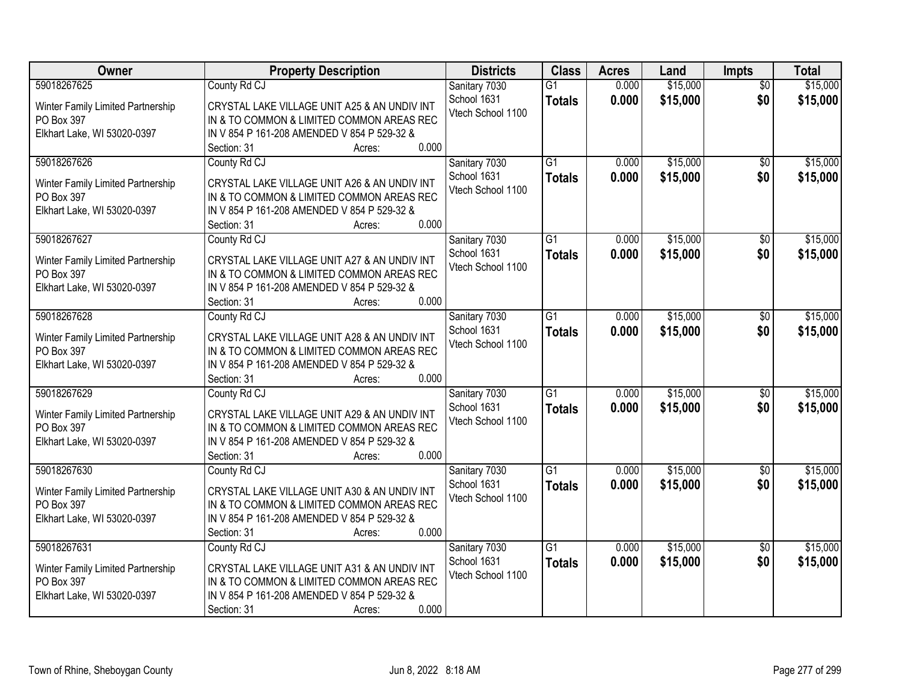| Owner                                           | <b>Property Description</b>                                                              | <b>Districts</b>                 | <b>Class</b>    | <b>Acres</b>   | Land                 | <b>Impts</b>           | <b>Total</b>         |
|-------------------------------------------------|------------------------------------------------------------------------------------------|----------------------------------|-----------------|----------------|----------------------|------------------------|----------------------|
| 59018267625                                     | County Rd CJ                                                                             | Sanitary 7030<br>School 1631     | $\overline{G1}$ | 0.000<br>0.000 | \$15,000<br>\$15,000 | $\overline{30}$<br>\$0 | \$15,000<br>\$15,000 |
| Winter Family Limited Partnership               | CRYSTAL LAKE VILLAGE UNIT A25 & AN UNDIV INT                                             | Vtech School 1100                | <b>Totals</b>   |                |                      |                        |                      |
| PO Box 397                                      | IN & TO COMMON & LIMITED COMMON AREAS REC                                                |                                  |                 |                |                      |                        |                      |
| Elkhart Lake, WI 53020-0397                     | IN V 854 P 161-208 AMENDED V 854 P 529-32 &<br>0.000<br>Section: 31                      |                                  |                 |                |                      |                        |                      |
| 59018267626                                     | Acres:<br>County Rd CJ                                                                   | Sanitary 7030                    | $\overline{G1}$ | 0.000          | \$15,000             | \$0                    | \$15,000             |
|                                                 |                                                                                          | School 1631                      |                 | 0.000          | \$15,000             | \$0                    | \$15,000             |
| Winter Family Limited Partnership               | CRYSTAL LAKE VILLAGE UNIT A26 & AN UNDIV INT                                             | Vtech School 1100                | <b>Totals</b>   |                |                      |                        |                      |
| PO Box 397                                      | IN & TO COMMON & LIMITED COMMON AREAS REC                                                |                                  |                 |                |                      |                        |                      |
| Elkhart Lake, WI 53020-0397                     | IN V 854 P 161-208 AMENDED V 854 P 529-32 &                                              |                                  |                 |                |                      |                        |                      |
|                                                 | 0.000<br>Section: 31<br>Acres:                                                           |                                  |                 |                |                      |                        |                      |
| 59018267627                                     | County Rd CJ                                                                             | Sanitary 7030                    | $\overline{G1}$ | 0.000          | \$15,000             | \$0                    | \$15,000             |
| Winter Family Limited Partnership               | CRYSTAL LAKE VILLAGE UNIT A27 & AN UNDIV INT                                             | School 1631<br>Vtech School 1100 | <b>Totals</b>   | 0.000          | \$15,000             | \$0                    | \$15,000             |
| PO Box 397                                      | IN & TO COMMON & LIMITED COMMON AREAS REC                                                |                                  |                 |                |                      |                        |                      |
| Elkhart Lake, WI 53020-0397                     | IN V 854 P 161-208 AMENDED V 854 P 529-32 &                                              |                                  |                 |                |                      |                        |                      |
|                                                 | 0.000<br>Section: 31<br>Acres:                                                           |                                  |                 |                |                      |                        |                      |
| 59018267628                                     | County Rd CJ                                                                             | Sanitary 7030                    | $\overline{G1}$ | 0.000          | \$15,000             | \$0                    | \$15,000             |
| Winter Family Limited Partnership               | CRYSTAL LAKE VILLAGE UNIT A28 & AN UNDIV INT                                             | School 1631                      | <b>Totals</b>   | 0.000          | \$15,000             | \$0                    | \$15,000             |
| PO Box 397                                      | IN & TO COMMON & LIMITED COMMON AREAS REC                                                | Vtech School 1100                |                 |                |                      |                        |                      |
| Elkhart Lake, WI 53020-0397                     | IN V 854 P 161-208 AMENDED V 854 P 529-32 &                                              |                                  |                 |                |                      |                        |                      |
|                                                 | 0.000<br>Section: 31<br>Acres:                                                           |                                  |                 |                |                      |                        |                      |
| 59018267629                                     | County Rd CJ                                                                             | Sanitary 7030                    | $\overline{G1}$ | 0.000          | \$15,000             | $\overline{50}$        | \$15,000             |
| Winter Family Limited Partnership               | CRYSTAL LAKE VILLAGE UNIT A29 & AN UNDIV INT                                             | School 1631                      | <b>Totals</b>   | 0.000          | \$15,000             | \$0                    | \$15,000             |
| PO Box 397                                      | IN & TO COMMON & LIMITED COMMON AREAS REC                                                | Vtech School 1100                |                 |                |                      |                        |                      |
| Elkhart Lake, WI 53020-0397                     | IN V 854 P 161-208 AMENDED V 854 P 529-32 &                                              |                                  |                 |                |                      |                        |                      |
|                                                 | 0.000<br>Section: 31<br>Acres:                                                           |                                  |                 |                |                      |                        |                      |
| 59018267630                                     | County Rd CJ                                                                             | Sanitary 7030                    | $\overline{G1}$ | 0.000          | \$15,000             | \$0                    | \$15,000             |
|                                                 | CRYSTAL LAKE VILLAGE UNIT A30 & AN UNDIV INT                                             | School 1631                      | <b>Totals</b>   | 0.000          | \$15,000             | \$0                    | \$15,000             |
| Winter Family Limited Partnership<br>PO Box 397 | IN & TO COMMON & LIMITED COMMON AREAS REC                                                | Vtech School 1100                |                 |                |                      |                        |                      |
| Elkhart Lake, WI 53020-0397                     | IN V 854 P 161-208 AMENDED V 854 P 529-32 &                                              |                                  |                 |                |                      |                        |                      |
|                                                 | 0.000<br>Section: 31<br>Acres:                                                           |                                  |                 |                |                      |                        |                      |
| 59018267631                                     | County Rd CJ                                                                             | Sanitary 7030                    | $\overline{G1}$ | 0.000          | \$15,000             | $\overline{30}$        | \$15,000             |
|                                                 |                                                                                          | School 1631                      | <b>Totals</b>   | 0.000          | \$15,000             | \$0                    | \$15,000             |
| Winter Family Limited Partnership               | CRYSTAL LAKE VILLAGE UNIT A31 & AN UNDIV INT                                             | Vtech School 1100                |                 |                |                      |                        |                      |
| PO Box 397<br>Elkhart Lake, WI 53020-0397       | IN & TO COMMON & LIMITED COMMON AREAS REC<br>IN V 854 P 161-208 AMENDED V 854 P 529-32 & |                                  |                 |                |                      |                        |                      |
|                                                 | 0.000<br>Section: 31<br>Acres:                                                           |                                  |                 |                |                      |                        |                      |
|                                                 |                                                                                          |                                  |                 |                |                      |                        |                      |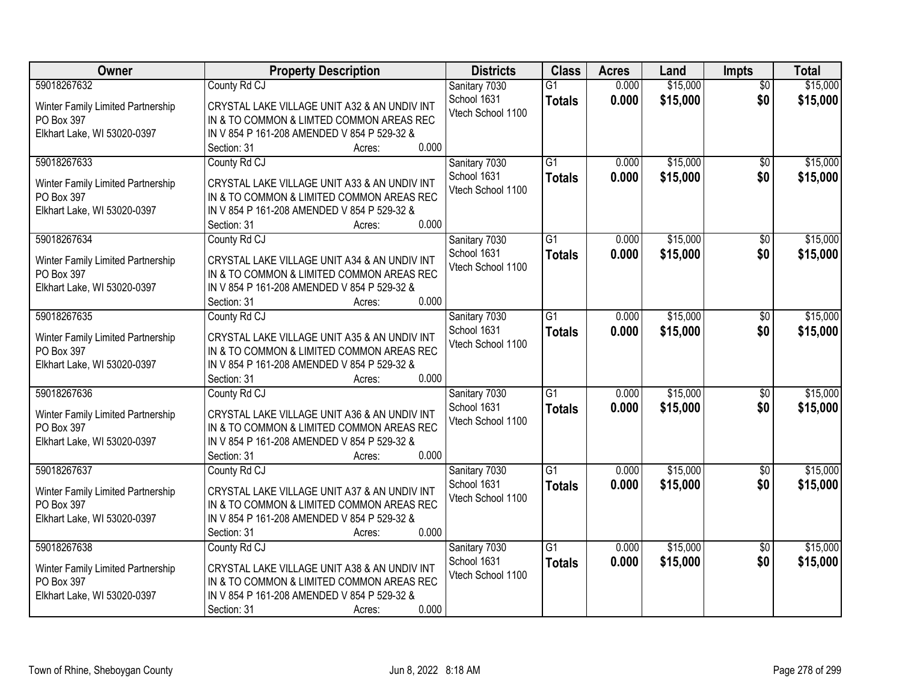| Owner                                                                                         | <b>Property Description</b>                                                                                                                                                                                                  | <b>Districts</b>                                  | <b>Class</b>                     | <b>Acres</b>   | Land                 | <b>Impts</b>           | <b>Total</b>         |
|-----------------------------------------------------------------------------------------------|------------------------------------------------------------------------------------------------------------------------------------------------------------------------------------------------------------------------------|---------------------------------------------------|----------------------------------|----------------|----------------------|------------------------|----------------------|
| 59018267632<br>Winter Family Limited Partnership<br>PO Box 397<br>Elkhart Lake, WI 53020-0397 | County Rd CJ<br>CRYSTAL LAKE VILLAGE UNIT A32 & AN UNDIV INT<br>IN & TO COMMON & LIMTED COMMON AREAS REC<br>IN V 854 P 161-208 AMENDED V 854 P 529-32 &                                                                      | Sanitary 7030<br>School 1631<br>Vtech School 1100 | $\overline{G1}$<br><b>Totals</b> | 0.000<br>0.000 | \$15,000<br>\$15,000 | $\overline{30}$<br>\$0 | \$15,000<br>\$15,000 |
| 59018267633<br>Winter Family Limited Partnership<br>PO Box 397<br>Elkhart Lake, WI 53020-0397 | 0.000<br>Section: 31<br>Acres:<br>County Rd CJ<br>CRYSTAL LAKE VILLAGE UNIT A33 & AN UNDIV INT<br>IN & TO COMMON & LIMITED COMMON AREAS REC<br>IN V 854 P 161-208 AMENDED V 854 P 529-32 &<br>0.000<br>Section: 31<br>Acres: | Sanitary 7030<br>School 1631<br>Vtech School 1100 | $\overline{G1}$<br><b>Totals</b> | 0.000<br>0.000 | \$15,000<br>\$15,000 | \$0<br>\$0             | \$15,000<br>\$15,000 |
| 59018267634<br>Winter Family Limited Partnership<br>PO Box 397<br>Elkhart Lake, WI 53020-0397 | County Rd CJ<br>CRYSTAL LAKE VILLAGE UNIT A34 & AN UNDIV INT<br>IN & TO COMMON & LIMITED COMMON AREAS REC<br>IN V 854 P 161-208 AMENDED V 854 P 529-32 &<br>0.000<br>Section: 31<br>Acres:                                   | Sanitary 7030<br>School 1631<br>Vtech School 1100 | $\overline{G1}$<br><b>Totals</b> | 0.000<br>0.000 | \$15,000<br>\$15,000 | \$0<br>\$0             | \$15,000<br>\$15,000 |
| 59018267635<br>Winter Family Limited Partnership<br>PO Box 397<br>Elkhart Lake, WI 53020-0397 | County Rd CJ<br>CRYSTAL LAKE VILLAGE UNIT A35 & AN UNDIV INT<br>IN & TO COMMON & LIMITED COMMON AREAS REC<br>IN V 854 P 161-208 AMENDED V 854 P 529-32 &<br>0.000<br>Section: 31<br>Acres:                                   | Sanitary 7030<br>School 1631<br>Vtech School 1100 | $\overline{G1}$<br><b>Totals</b> | 0.000<br>0.000 | \$15,000<br>\$15,000 | \$0<br>\$0             | \$15,000<br>\$15,000 |
| 59018267636<br>Winter Family Limited Partnership<br>PO Box 397<br>Elkhart Lake, WI 53020-0397 | County Rd CJ<br>CRYSTAL LAKE VILLAGE UNIT A36 & AN UNDIV INT<br>IN & TO COMMON & LIMITED COMMON AREAS REC<br>IN V 854 P 161-208 AMENDED V 854 P 529-32 &<br>0.000<br>Section: 31<br>Acres:                                   | Sanitary 7030<br>School 1631<br>Vtech School 1100 | $\overline{G1}$<br><b>Totals</b> | 0.000<br>0.000 | \$15,000<br>\$15,000 | $\overline{50}$<br>\$0 | \$15,000<br>\$15,000 |
| 59018267637<br>Winter Family Limited Partnership<br>PO Box 397<br>Elkhart Lake, WI 53020-0397 | County Rd CJ<br>CRYSTAL LAKE VILLAGE UNIT A37 & AN UNDIV INT<br>IN & TO COMMON & LIMITED COMMON AREAS REC<br>IN V 854 P 161-208 AMENDED V 854 P 529-32 &<br>0.000<br>Section: 31<br>Acres:                                   | Sanitary 7030<br>School 1631<br>Vtech School 1100 | $\overline{G1}$<br><b>Totals</b> | 0.000<br>0.000 | \$15,000<br>\$15,000 | \$0<br>\$0             | \$15,000<br>\$15,000 |
| 59018267638<br>Winter Family Limited Partnership<br>PO Box 397<br>Elkhart Lake, WI 53020-0397 | County Rd CJ<br>CRYSTAL LAKE VILLAGE UNIT A38 & AN UNDIV INT<br>IN & TO COMMON & LIMITED COMMON AREAS REC<br>IN V 854 P 161-208 AMENDED V 854 P 529-32 &<br>0.000<br>Section: 31<br>Acres:                                   | Sanitary 7030<br>School 1631<br>Vtech School 1100 | $\overline{G1}$<br><b>Totals</b> | 0.000<br>0.000 | \$15,000<br>\$15,000 | $\overline{30}$<br>\$0 | \$15,000<br>\$15,000 |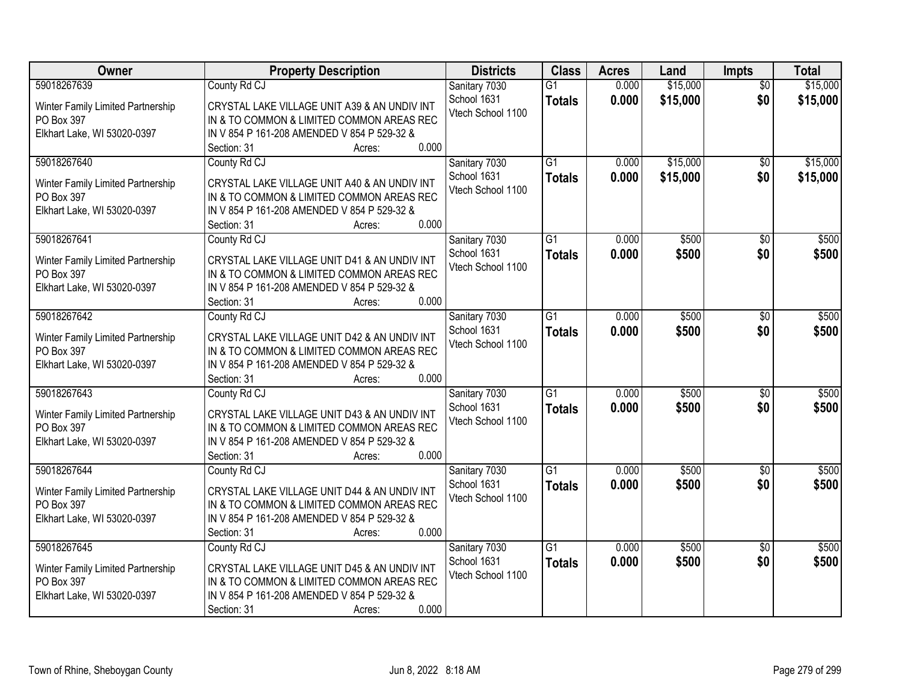| Owner                                           | <b>Property Description</b>                                                               | <b>Districts</b>                 | <b>Class</b>    | <b>Acres</b> | Land     | Impts           | <b>Total</b> |
|-------------------------------------------------|-------------------------------------------------------------------------------------------|----------------------------------|-----------------|--------------|----------|-----------------|--------------|
| 59018267639                                     | County Rd CJ                                                                              | Sanitary 7030                    | $\overline{G1}$ | 0.000        | \$15,000 | $\overline{50}$ | \$15,000     |
| Winter Family Limited Partnership               | CRYSTAL LAKE VILLAGE UNIT A39 & AN UNDIV INT                                              | School 1631<br>Vtech School 1100 | <b>Totals</b>   | 0.000        | \$15,000 | \$0             | \$15,000     |
| PO Box 397                                      | IN & TO COMMON & LIMITED COMMON AREAS REC                                                 |                                  |                 |              |          |                 |              |
| Elkhart Lake, WI 53020-0397                     | IN V 854 P 161-208 AMENDED V 854 P 529-32 &                                               |                                  |                 |              |          |                 |              |
|                                                 | 0.000<br>Section: 31<br>Acres:                                                            |                                  |                 |              |          |                 |              |
| 59018267640                                     | County Rd CJ                                                                              | Sanitary 7030                    | $\overline{G1}$ | 0.000        | \$15,000 | $\overline{50}$ | \$15,000     |
| Winter Family Limited Partnership               | CRYSTAL LAKE VILLAGE UNIT A40 & AN UNDIV INT                                              | School 1631                      | <b>Totals</b>   | 0.000        | \$15,000 | \$0             | \$15,000     |
| PO Box 397                                      | IN & TO COMMON & LIMITED COMMON AREAS REC                                                 | Vtech School 1100                |                 |              |          |                 |              |
| Elkhart Lake, WI 53020-0397                     | IN V 854 P 161-208 AMENDED V 854 P 529-32 &                                               |                                  |                 |              |          |                 |              |
|                                                 | 0.000<br>Section: 31<br>Acres:                                                            |                                  |                 |              |          |                 |              |
| 59018267641                                     | County Rd CJ                                                                              | Sanitary 7030                    | $\overline{G1}$ | 0.000        | \$500    | \$0             | \$500        |
|                                                 | CRYSTAL LAKE VILLAGE UNIT D41 & AN UNDIV INT                                              | School 1631                      | <b>Totals</b>   | 0.000        | \$500    | \$0             | \$500        |
| Winter Family Limited Partnership<br>PO Box 397 | IN & TO COMMON & LIMITED COMMON AREAS REC                                                 | Vtech School 1100                |                 |              |          |                 |              |
| Elkhart Lake, WI 53020-0397                     | IN V 854 P 161-208 AMENDED V 854 P 529-32 &                                               |                                  |                 |              |          |                 |              |
|                                                 | 0.000<br>Section: 31<br>Acres:                                                            |                                  |                 |              |          |                 |              |
| 59018267642                                     | County Rd CJ                                                                              | Sanitary 7030                    | $\overline{G1}$ | 0.000        | \$500    | $\sqrt[6]{3}$   | \$500        |
|                                                 |                                                                                           | School 1631                      | <b>Totals</b>   | 0.000        | \$500    | \$0             | \$500        |
| Winter Family Limited Partnership               | CRYSTAL LAKE VILLAGE UNIT D42 & AN UNDIV INT                                              | Vtech School 1100                |                 |              |          |                 |              |
| PO Box 397                                      | IN & TO COMMON & LIMITED COMMON AREAS REC                                                 |                                  |                 |              |          |                 |              |
| Elkhart Lake, WI 53020-0397                     | IN V 854 P 161-208 AMENDED V 854 P 529-32 &                                               |                                  |                 |              |          |                 |              |
|                                                 | 0.000<br>Section: 31<br>Acres:                                                            |                                  |                 |              |          |                 |              |
| 59018267643                                     | County Rd CJ                                                                              | Sanitary 7030                    | $\overline{G1}$ | 0.000        | \$500    | \$0             | \$500        |
| Winter Family Limited Partnership               | CRYSTAL LAKE VILLAGE UNIT D43 & AN UNDIV INT                                              | School 1631                      | <b>Totals</b>   | 0.000        | \$500    | \$0             | \$500        |
| PO Box 397                                      | IN & TO COMMON & LIMITED COMMON AREAS REC                                                 | Vtech School 1100                |                 |              |          |                 |              |
| Elkhart Lake, WI 53020-0397                     | IN V 854 P 161-208 AMENDED V 854 P 529-32 &                                               |                                  |                 |              |          |                 |              |
|                                                 | 0.000<br>Section: 31<br>Acres:                                                            |                                  |                 |              |          |                 |              |
| 59018267644                                     | County Rd CJ                                                                              | Sanitary 7030                    | $\overline{G1}$ | 0.000        | \$500    | \$0             | \$500        |
| Winter Family Limited Partnership               | CRYSTAL LAKE VILLAGE UNIT D44 & AN UNDIV INT                                              | School 1631                      | <b>Totals</b>   | 0.000        | \$500    | \$0             | \$500        |
| PO Box 397                                      | IN & TO COMMON & LIMITED COMMON AREAS REC                                                 | Vtech School 1100                |                 |              |          |                 |              |
| Elkhart Lake, WI 53020-0397                     | IN V 854 P 161-208 AMENDED V 854 P 529-32 &                                               |                                  |                 |              |          |                 |              |
|                                                 | 0.000<br>Section: 31<br>Acres:                                                            |                                  |                 |              |          |                 |              |
| 59018267645                                     | County Rd CJ                                                                              | Sanitary 7030                    | $\overline{G1}$ | 0.000        | \$500    | $\overline{30}$ | \$500        |
|                                                 |                                                                                           | School 1631                      | <b>Totals</b>   | 0.000        | \$500    | \$0             | \$500        |
| Winter Family Limited Partnership<br>PO Box 397 | CRYSTAL LAKE VILLAGE UNIT D45 & AN UNDIV INT<br>IN & TO COMMON & LIMITED COMMON AREAS REC | Vtech School 1100                |                 |              |          |                 |              |
| Elkhart Lake, WI 53020-0397                     | IN V 854 P 161-208 AMENDED V 854 P 529-32 &                                               |                                  |                 |              |          |                 |              |
|                                                 | 0.000<br>Section: 31<br>Acres:                                                            |                                  |                 |              |          |                 |              |
|                                                 |                                                                                           |                                  |                 |              |          |                 |              |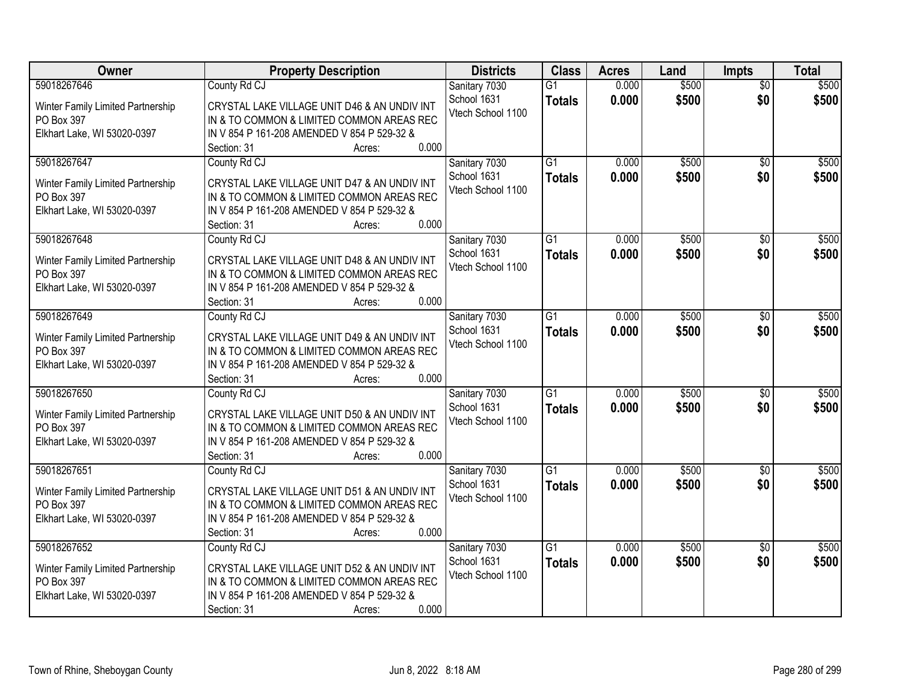| Owner                                                                                         | <b>Property Description</b>                                                                                                                                                                | <b>Districts</b>                                  | <b>Class</b>                     | <b>Acres</b>   | Land           | Impts                  | <b>Total</b>   |
|-----------------------------------------------------------------------------------------------|--------------------------------------------------------------------------------------------------------------------------------------------------------------------------------------------|---------------------------------------------------|----------------------------------|----------------|----------------|------------------------|----------------|
| 59018267646<br>Winter Family Limited Partnership<br>PO Box 397<br>Elkhart Lake, WI 53020-0397 | County Rd CJ<br>CRYSTAL LAKE VILLAGE UNIT D46 & AN UNDIV INT<br>IN & TO COMMON & LIMITED COMMON AREAS REC<br>IN V 854 P 161-208 AMENDED V 854 P 529-32 &<br>0.000<br>Section: 31<br>Acres: | Sanitary 7030<br>School 1631<br>Vtech School 1100 | $\overline{G1}$<br><b>Totals</b> | 0.000<br>0.000 | \$500<br>\$500 | $\overline{50}$<br>\$0 | \$500<br>\$500 |
| 59018267647<br>Winter Family Limited Partnership<br>PO Box 397<br>Elkhart Lake, WI 53020-0397 | County Rd CJ<br>CRYSTAL LAKE VILLAGE UNIT D47 & AN UNDIV INT<br>IN & TO COMMON & LIMITED COMMON AREAS REC<br>IN V 854 P 161-208 AMENDED V 854 P 529-32 &<br>0.000<br>Section: 31<br>Acres: | Sanitary 7030<br>School 1631<br>Vtech School 1100 | $\overline{G1}$<br><b>Totals</b> | 0.000<br>0.000 | \$500<br>\$500 | $\overline{50}$<br>\$0 | \$500<br>\$500 |
| 59018267648<br>Winter Family Limited Partnership<br>PO Box 397<br>Elkhart Lake, WI 53020-0397 | County Rd CJ<br>CRYSTAL LAKE VILLAGE UNIT D48 & AN UNDIV INT<br>IN & TO COMMON & LIMITED COMMON AREAS REC<br>IN V 854 P 161-208 AMENDED V 854 P 529-32 &<br>0.000<br>Section: 31<br>Acres: | Sanitary 7030<br>School 1631<br>Vtech School 1100 | $\overline{G1}$<br><b>Totals</b> | 0.000<br>0.000 | \$500<br>\$500 | \$0<br>\$0             | \$500<br>\$500 |
| 59018267649<br>Winter Family Limited Partnership<br>PO Box 397<br>Elkhart Lake, WI 53020-0397 | County Rd CJ<br>CRYSTAL LAKE VILLAGE UNIT D49 & AN UNDIV INT<br>IN & TO COMMON & LIMITED COMMON AREAS REC<br>IN V 854 P 161-208 AMENDED V 854 P 529-32 &<br>0.000<br>Section: 31<br>Acres: | Sanitary 7030<br>School 1631<br>Vtech School 1100 | $\overline{G1}$<br><b>Totals</b> | 0.000<br>0.000 | \$500<br>\$500 | $\sqrt[6]{3}$<br>\$0   | \$500<br>\$500 |
| 59018267650<br>Winter Family Limited Partnership<br>PO Box 397<br>Elkhart Lake, WI 53020-0397 | County Rd CJ<br>CRYSTAL LAKE VILLAGE UNIT D50 & AN UNDIV INT<br>IN & TO COMMON & LIMITED COMMON AREAS REC<br>IN V 854 P 161-208 AMENDED V 854 P 529-32 &<br>0.000<br>Section: 31<br>Acres: | Sanitary 7030<br>School 1631<br>Vtech School 1100 | $\overline{G1}$<br><b>Totals</b> | 0.000<br>0.000 | \$500<br>\$500 | \$0<br>\$0             | \$500<br>\$500 |
| 59018267651<br>Winter Family Limited Partnership<br>PO Box 397<br>Elkhart Lake, WI 53020-0397 | County Rd CJ<br>CRYSTAL LAKE VILLAGE UNIT D51 & AN UNDIV INT<br>IN & TO COMMON & LIMITED COMMON AREAS REC<br>IN V 854 P 161-208 AMENDED V 854 P 529-32 &<br>0.000<br>Section: 31<br>Acres: | Sanitary 7030<br>School 1631<br>Vtech School 1100 | $\overline{G1}$<br><b>Totals</b> | 0.000<br>0.000 | \$500<br>\$500 | \$0<br>\$0             | \$500<br>\$500 |
| 59018267652<br>Winter Family Limited Partnership<br>PO Box 397<br>Elkhart Lake, WI 53020-0397 | County Rd CJ<br>CRYSTAL LAKE VILLAGE UNIT D52 & AN UNDIV INT<br>IN & TO COMMON & LIMITED COMMON AREAS REC<br>IN V 854 P 161-208 AMENDED V 854 P 529-32 &<br>0.000<br>Section: 31<br>Acres: | Sanitary 7030<br>School 1631<br>Vtech School 1100 | $\overline{G1}$<br><b>Totals</b> | 0.000<br>0.000 | \$500<br>\$500 | $\overline{30}$<br>\$0 | \$500<br>\$500 |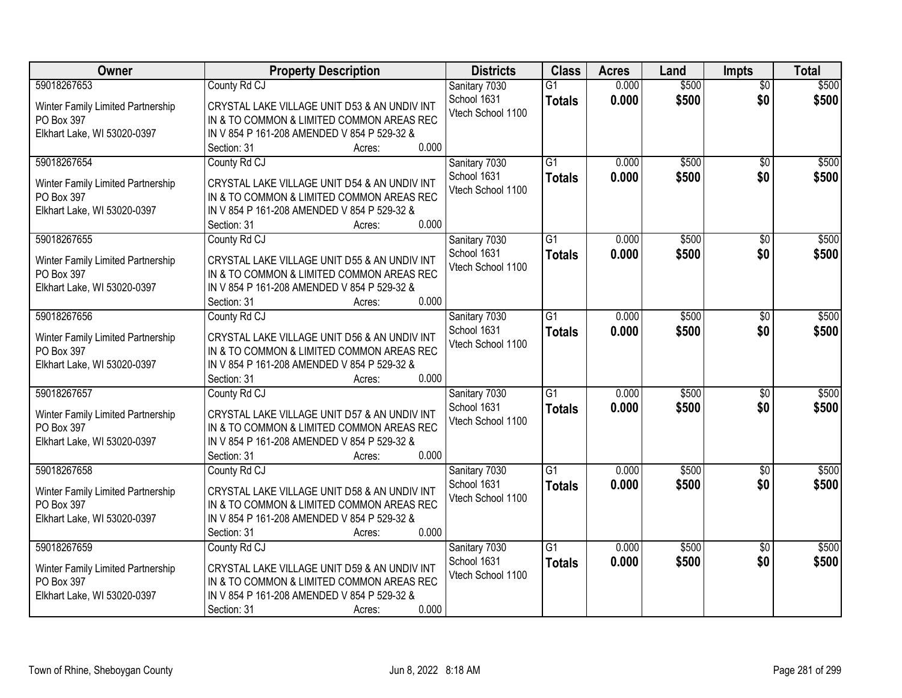| Owner                                                                                         | <b>Property Description</b>                                                                                                                                                                | <b>Districts</b>                                  | <b>Class</b>                     | <b>Acres</b>   | Land           | <b>Impts</b>           | <b>Total</b>   |
|-----------------------------------------------------------------------------------------------|--------------------------------------------------------------------------------------------------------------------------------------------------------------------------------------------|---------------------------------------------------|----------------------------------|----------------|----------------|------------------------|----------------|
| 59018267653<br>Winter Family Limited Partnership<br>PO Box 397<br>Elkhart Lake, WI 53020-0397 | County Rd CJ<br>CRYSTAL LAKE VILLAGE UNIT D53 & AN UNDIV INT<br>IN & TO COMMON & LIMITED COMMON AREAS REC<br>IN V 854 P 161-208 AMENDED V 854 P 529-32 &<br>0.000<br>Section: 31<br>Acres: | Sanitary 7030<br>School 1631<br>Vtech School 1100 | $\overline{G1}$<br><b>Totals</b> | 0.000<br>0.000 | \$500<br>\$500 | $\overline{50}$<br>\$0 | \$500<br>\$500 |
| 59018267654<br>Winter Family Limited Partnership<br>PO Box 397<br>Elkhart Lake, WI 53020-0397 | County Rd CJ<br>CRYSTAL LAKE VILLAGE UNIT D54 & AN UNDIV INT<br>IN & TO COMMON & LIMITED COMMON AREAS REC<br>IN V 854 P 161-208 AMENDED V 854 P 529-32 &<br>0.000<br>Section: 31<br>Acres: | Sanitary 7030<br>School 1631<br>Vtech School 1100 | $\overline{G1}$<br><b>Totals</b> | 0.000<br>0.000 | \$500<br>\$500 | $\overline{50}$<br>\$0 | \$500<br>\$500 |
| 59018267655<br>Winter Family Limited Partnership<br>PO Box 397<br>Elkhart Lake, WI 53020-0397 | County Rd CJ<br>CRYSTAL LAKE VILLAGE UNIT D55 & AN UNDIV INT<br>IN & TO COMMON & LIMITED COMMON AREAS REC<br>IN V 854 P 161-208 AMENDED V 854 P 529-32 &<br>0.000<br>Section: 31<br>Acres: | Sanitary 7030<br>School 1631<br>Vtech School 1100 | $\overline{G1}$<br><b>Totals</b> | 0.000<br>0.000 | \$500<br>\$500 | \$0<br>\$0             | \$500<br>\$500 |
| 59018267656<br>Winter Family Limited Partnership<br>PO Box 397<br>Elkhart Lake, WI 53020-0397 | County Rd CJ<br>CRYSTAL LAKE VILLAGE UNIT D56 & AN UNDIV INT<br>IN & TO COMMON & LIMITED COMMON AREAS REC<br>IN V 854 P 161-208 AMENDED V 854 P 529-32 &<br>0.000<br>Section: 31<br>Acres: | Sanitary 7030<br>School 1631<br>Vtech School 1100 | $\overline{G1}$<br><b>Totals</b> | 0.000<br>0.000 | \$500<br>\$500 | $\sqrt[6]{3}$<br>\$0   | \$500<br>\$500 |
| 59018267657<br>Winter Family Limited Partnership<br>PO Box 397<br>Elkhart Lake, WI 53020-0397 | County Rd CJ<br>CRYSTAL LAKE VILLAGE UNIT D57 & AN UNDIV INT<br>IN & TO COMMON & LIMITED COMMON AREAS REC<br>IN V 854 P 161-208 AMENDED V 854 P 529-32 &<br>0.000<br>Section: 31<br>Acres: | Sanitary 7030<br>School 1631<br>Vtech School 1100 | $\overline{G1}$<br><b>Totals</b> | 0.000<br>0.000 | \$500<br>\$500 | \$0<br>\$0             | \$500<br>\$500 |
| 59018267658<br>Winter Family Limited Partnership<br>PO Box 397<br>Elkhart Lake, WI 53020-0397 | County Rd CJ<br>CRYSTAL LAKE VILLAGE UNIT D58 & AN UNDIV INT<br>IN & TO COMMON & LIMITED COMMON AREAS REC<br>IN V 854 P 161-208 AMENDED V 854 P 529-32 &<br>0.000<br>Section: 31<br>Acres: | Sanitary 7030<br>School 1631<br>Vtech School 1100 | $\overline{G1}$<br><b>Totals</b> | 0.000<br>0.000 | \$500<br>\$500 | \$0<br>\$0             | \$500<br>\$500 |
| 59018267659<br>Winter Family Limited Partnership<br>PO Box 397<br>Elkhart Lake, WI 53020-0397 | County Rd CJ<br>CRYSTAL LAKE VILLAGE UNIT D59 & AN UNDIV INT<br>IN & TO COMMON & LIMITED COMMON AREAS REC<br>IN V 854 P 161-208 AMENDED V 854 P 529-32 &<br>0.000<br>Section: 31<br>Acres: | Sanitary 7030<br>School 1631<br>Vtech School 1100 | $\overline{G1}$<br><b>Totals</b> | 0.000<br>0.000 | \$500<br>\$500 | $\overline{30}$<br>\$0 | \$500<br>\$500 |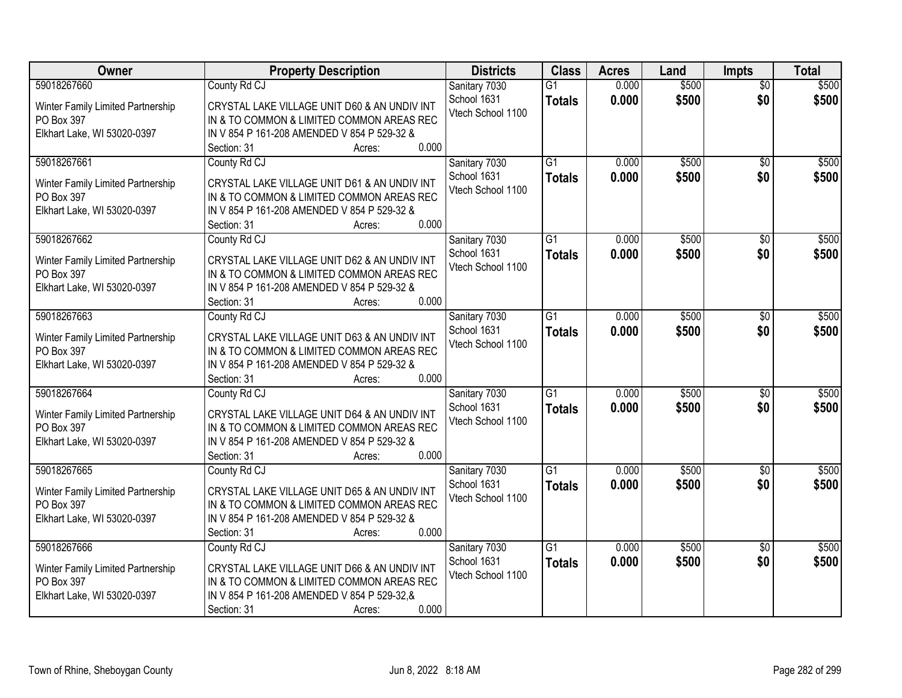| Owner                                                                                         | <b>Property Description</b>                                                                                                                                                                | <b>Districts</b>                                  | <b>Class</b>                     | <b>Acres</b>   | Land           | Impts                  | <b>Total</b>   |
|-----------------------------------------------------------------------------------------------|--------------------------------------------------------------------------------------------------------------------------------------------------------------------------------------------|---------------------------------------------------|----------------------------------|----------------|----------------|------------------------|----------------|
| 59018267660<br>Winter Family Limited Partnership<br>PO Box 397<br>Elkhart Lake, WI 53020-0397 | County Rd CJ<br>CRYSTAL LAKE VILLAGE UNIT D60 & AN UNDIV INT<br>IN & TO COMMON & LIMITED COMMON AREAS REC<br>IN V 854 P 161-208 AMENDED V 854 P 529-32 &<br>0.000<br>Section: 31<br>Acres: | Sanitary 7030<br>School 1631<br>Vtech School 1100 | $\overline{G1}$<br><b>Totals</b> | 0.000<br>0.000 | \$500<br>\$500 | $\overline{50}$<br>\$0 | \$500<br>\$500 |
| 59018267661<br>Winter Family Limited Partnership<br>PO Box 397<br>Elkhart Lake, WI 53020-0397 | County Rd CJ<br>CRYSTAL LAKE VILLAGE UNIT D61 & AN UNDIV INT<br>IN & TO COMMON & LIMITED COMMON AREAS REC<br>IN V 854 P 161-208 AMENDED V 854 P 529-32 &<br>0.000<br>Section: 31<br>Acres: | Sanitary 7030<br>School 1631<br>Vtech School 1100 | $\overline{G1}$<br><b>Totals</b> | 0.000<br>0.000 | \$500<br>\$500 | $\overline{50}$<br>\$0 | \$500<br>\$500 |
| 59018267662<br>Winter Family Limited Partnership<br>PO Box 397<br>Elkhart Lake, WI 53020-0397 | County Rd CJ<br>CRYSTAL LAKE VILLAGE UNIT D62 & AN UNDIV INT<br>IN & TO COMMON & LIMITED COMMON AREAS REC<br>IN V 854 P 161-208 AMENDED V 854 P 529-32 &<br>0.000<br>Section: 31<br>Acres: | Sanitary 7030<br>School 1631<br>Vtech School 1100 | $\overline{G1}$<br><b>Totals</b> | 0.000<br>0.000 | \$500<br>\$500 | \$0<br>\$0             | \$500<br>\$500 |
| 59018267663<br>Winter Family Limited Partnership<br>PO Box 397<br>Elkhart Lake, WI 53020-0397 | County Rd CJ<br>CRYSTAL LAKE VILLAGE UNIT D63 & AN UNDIV INT<br>IN & TO COMMON & LIMITED COMMON AREAS REC<br>IN V 854 P 161-208 AMENDED V 854 P 529-32 &<br>0.000<br>Section: 31<br>Acres: | Sanitary 7030<br>School 1631<br>Vtech School 1100 | $\overline{G1}$<br><b>Totals</b> | 0.000<br>0.000 | \$500<br>\$500 | $\sqrt[6]{3}$<br>\$0   | \$500<br>\$500 |
| 59018267664<br>Winter Family Limited Partnership<br>PO Box 397<br>Elkhart Lake, WI 53020-0397 | County Rd CJ<br>CRYSTAL LAKE VILLAGE UNIT D64 & AN UNDIV INT<br>IN & TO COMMON & LIMITED COMMON AREAS REC<br>IN V 854 P 161-208 AMENDED V 854 P 529-32 &<br>0.000<br>Section: 31<br>Acres: | Sanitary 7030<br>School 1631<br>Vtech School 1100 | $\overline{G1}$<br><b>Totals</b> | 0.000<br>0.000 | \$500<br>\$500 | \$0<br>\$0             | \$500<br>\$500 |
| 59018267665<br>Winter Family Limited Partnership<br>PO Box 397<br>Elkhart Lake, WI 53020-0397 | County Rd CJ<br>CRYSTAL LAKE VILLAGE UNIT D65 & AN UNDIV INT<br>IN & TO COMMON & LIMITED COMMON AREAS REC<br>IN V 854 P 161-208 AMENDED V 854 P 529-32 &<br>0.000<br>Section: 31<br>Acres: | Sanitary 7030<br>School 1631<br>Vtech School 1100 | $\overline{G1}$<br><b>Totals</b> | 0.000<br>0.000 | \$500<br>\$500 | \$0<br>\$0             | \$500<br>\$500 |
| 59018267666<br>Winter Family Limited Partnership<br>PO Box 397<br>Elkhart Lake, WI 53020-0397 | County Rd CJ<br>CRYSTAL LAKE VILLAGE UNIT D66 & AN UNDIV INT<br>IN & TO COMMON & LIMITED COMMON AREAS REC<br>IN V 854 P 161-208 AMENDED V 854 P 529-32,&<br>0.000<br>Section: 31<br>Acres: | Sanitary 7030<br>School 1631<br>Vtech School 1100 | $\overline{G1}$<br><b>Totals</b> | 0.000<br>0.000 | \$500<br>\$500 | $\overline{30}$<br>\$0 | \$500<br>\$500 |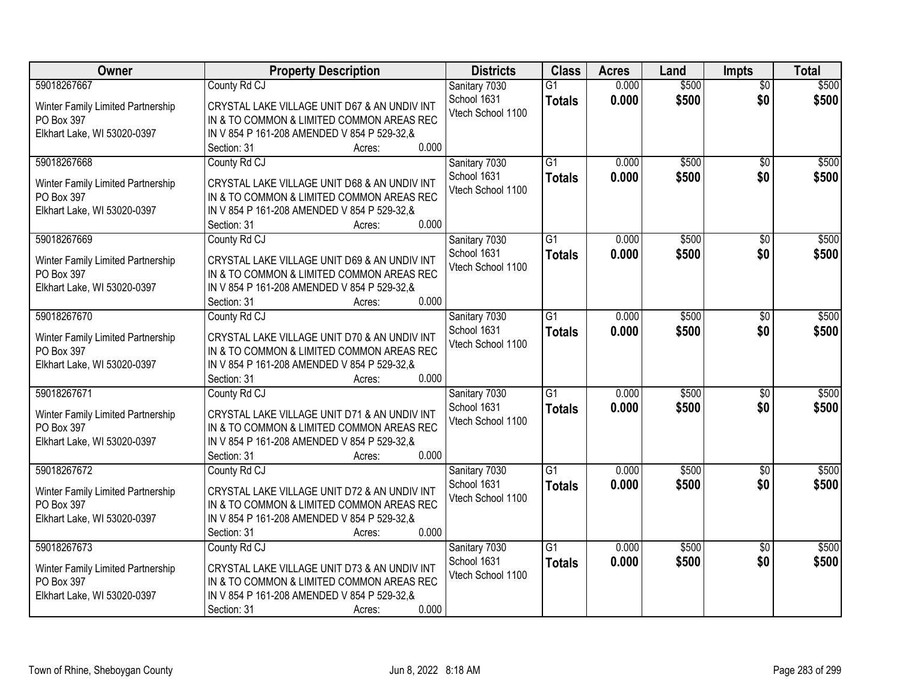| Owner                                                                                         | <b>Property Description</b>                                                                                                                                                                 | <b>Districts</b>                                  | <b>Class</b>                     | <b>Acres</b>   | Land           | Impts                  | <b>Total</b>   |
|-----------------------------------------------------------------------------------------------|---------------------------------------------------------------------------------------------------------------------------------------------------------------------------------------------|---------------------------------------------------|----------------------------------|----------------|----------------|------------------------|----------------|
| 59018267667<br>Winter Family Limited Partnership<br>PO Box 397<br>Elkhart Lake, WI 53020-0397 | County Rd CJ<br>CRYSTAL LAKE VILLAGE UNIT D67 & AN UNDIV INT<br>IN & TO COMMON & LIMITED COMMON AREAS REC<br>IN V 854 P 161-208 AMENDED V 854 P 529-32, &<br>0.000<br>Section: 31<br>Acres: | Sanitary 7030<br>School 1631<br>Vtech School 1100 | $\overline{G1}$<br><b>Totals</b> | 0.000<br>0.000 | \$500<br>\$500 | $\overline{50}$<br>\$0 | \$500<br>\$500 |
| 59018267668<br>Winter Family Limited Partnership<br>PO Box 397<br>Elkhart Lake, WI 53020-0397 | County Rd CJ<br>CRYSTAL LAKE VILLAGE UNIT D68 & AN UNDIV INT<br>IN & TO COMMON & LIMITED COMMON AREAS REC<br>IN V 854 P 161-208 AMENDED V 854 P 529-32,&<br>0.000<br>Section: 31<br>Acres:  | Sanitary 7030<br>School 1631<br>Vtech School 1100 | $\overline{G1}$<br><b>Totals</b> | 0.000<br>0.000 | \$500<br>\$500 | $\overline{50}$<br>\$0 | \$500<br>\$500 |
| 59018267669<br>Winter Family Limited Partnership<br>PO Box 397<br>Elkhart Lake, WI 53020-0397 | County Rd CJ<br>CRYSTAL LAKE VILLAGE UNIT D69 & AN UNDIV INT<br>IN & TO COMMON & LIMITED COMMON AREAS REC<br>IN V 854 P 161-208 AMENDED V 854 P 529-32, &<br>0.000<br>Section: 31<br>Acres: | Sanitary 7030<br>School 1631<br>Vtech School 1100 | $\overline{G1}$<br><b>Totals</b> | 0.000<br>0.000 | \$500<br>\$500 | \$0<br>\$0             | \$500<br>\$500 |
| 59018267670<br>Winter Family Limited Partnership<br>PO Box 397<br>Elkhart Lake, WI 53020-0397 | County Rd CJ<br>CRYSTAL LAKE VILLAGE UNIT D70 & AN UNDIV INT<br>IN & TO COMMON & LIMITED COMMON AREAS REC<br>IN V 854 P 161-208 AMENDED V 854 P 529-32,&<br>0.000<br>Section: 31<br>Acres:  | Sanitary 7030<br>School 1631<br>Vtech School 1100 | $\overline{G1}$<br><b>Totals</b> | 0.000<br>0.000 | \$500<br>\$500 | $\sqrt[6]{3}$<br>\$0   | \$500<br>\$500 |
| 59018267671<br>Winter Family Limited Partnership<br>PO Box 397<br>Elkhart Lake, WI 53020-0397 | County Rd CJ<br>CRYSTAL LAKE VILLAGE UNIT D71 & AN UNDIV INT<br>IN & TO COMMON & LIMITED COMMON AREAS REC<br>IN V 854 P 161-208 AMENDED V 854 P 529-32, &<br>0.000<br>Section: 31<br>Acres: | Sanitary 7030<br>School 1631<br>Vtech School 1100 | $\overline{G1}$<br><b>Totals</b> | 0.000<br>0.000 | \$500<br>\$500 | \$0<br>\$0             | \$500<br>\$500 |
| 59018267672<br>Winter Family Limited Partnership<br>PO Box 397<br>Elkhart Lake, WI 53020-0397 | County Rd CJ<br>CRYSTAL LAKE VILLAGE UNIT D72 & AN UNDIV INT<br>IN & TO COMMON & LIMITED COMMON AREAS REC<br>IN V 854 P 161-208 AMENDED V 854 P 529-32, &<br>0.000<br>Section: 31<br>Acres: | Sanitary 7030<br>School 1631<br>Vtech School 1100 | $\overline{G1}$<br><b>Totals</b> | 0.000<br>0.000 | \$500<br>\$500 | \$0<br>\$0             | \$500<br>\$500 |
| 59018267673<br>Winter Family Limited Partnership<br>PO Box 397<br>Elkhart Lake, WI 53020-0397 | County Rd CJ<br>CRYSTAL LAKE VILLAGE UNIT D73 & AN UNDIV INT<br>IN & TO COMMON & LIMITED COMMON AREAS REC<br>IN V 854 P 161-208 AMENDED V 854 P 529-32,&<br>0.000<br>Section: 31<br>Acres:  | Sanitary 7030<br>School 1631<br>Vtech School 1100 | $\overline{G1}$<br><b>Totals</b> | 0.000<br>0.000 | \$500<br>\$500 | $\overline{30}$<br>\$0 | \$500<br>\$500 |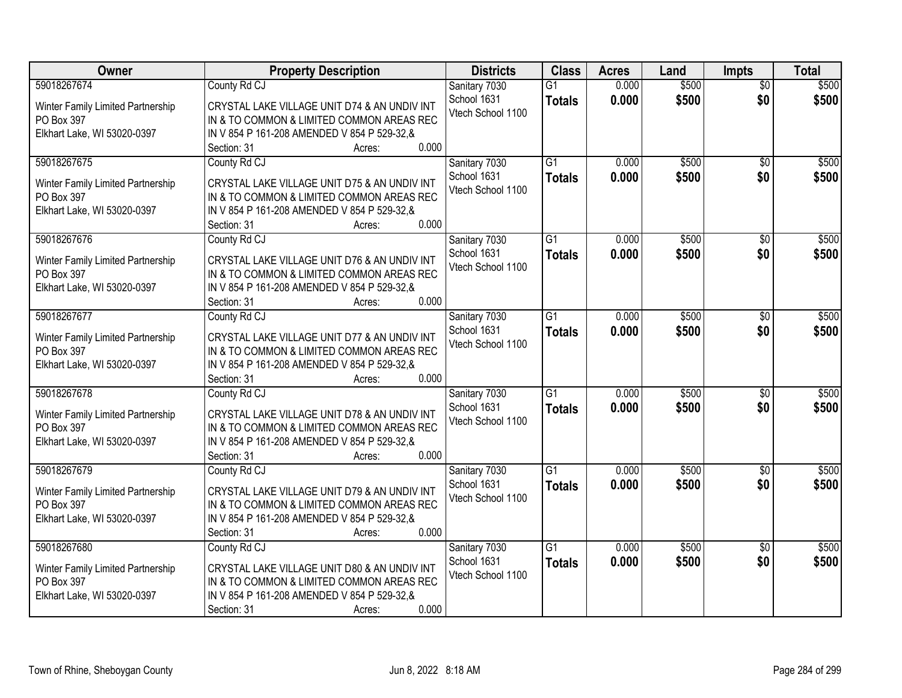| Owner                                                                                         | <b>Property Description</b>                                                                                                                                                                 | <b>Districts</b>                                  | <b>Class</b>                     | <b>Acres</b>   | Land           | <b>Impts</b>           | <b>Total</b>   |
|-----------------------------------------------------------------------------------------------|---------------------------------------------------------------------------------------------------------------------------------------------------------------------------------------------|---------------------------------------------------|----------------------------------|----------------|----------------|------------------------|----------------|
| 59018267674<br>Winter Family Limited Partnership<br>PO Box 397<br>Elkhart Lake, WI 53020-0397 | County Rd CJ<br>CRYSTAL LAKE VILLAGE UNIT D74 & AN UNDIV INT<br>IN & TO COMMON & LIMITED COMMON AREAS REC<br>IN V 854 P 161-208 AMENDED V 854 P 529-32.&<br>0.000<br>Section: 31<br>Acres:  | Sanitary 7030<br>School 1631<br>Vtech School 1100 | $\overline{G1}$<br><b>Totals</b> | 0.000<br>0.000 | \$500<br>\$500 | $\overline{50}$<br>\$0 | \$500<br>\$500 |
| 59018267675<br>Winter Family Limited Partnership<br>PO Box 397<br>Elkhart Lake, WI 53020-0397 | County Rd CJ<br>CRYSTAL LAKE VILLAGE UNIT D75 & AN UNDIV INT<br>IN & TO COMMON & LIMITED COMMON AREAS REC<br>IN V 854 P 161-208 AMENDED V 854 P 529-32, &<br>0.000<br>Section: 31<br>Acres: | Sanitary 7030<br>School 1631<br>Vtech School 1100 | $\overline{G1}$<br><b>Totals</b> | 0.000<br>0.000 | \$500<br>\$500 | $\overline{50}$<br>\$0 | \$500<br>\$500 |
| 59018267676<br>Winter Family Limited Partnership<br>PO Box 397<br>Elkhart Lake, WI 53020-0397 | County Rd CJ<br>CRYSTAL LAKE VILLAGE UNIT D76 & AN UNDIV INT<br>IN & TO COMMON & LIMITED COMMON AREAS REC<br>IN V 854 P 161-208 AMENDED V 854 P 529-32.&<br>0.000<br>Section: 31<br>Acres:  | Sanitary 7030<br>School 1631<br>Vtech School 1100 | $\overline{G1}$<br><b>Totals</b> | 0.000<br>0.000 | \$500<br>\$500 | \$0<br>\$0             | \$500<br>\$500 |
| 59018267677<br>Winter Family Limited Partnership<br>PO Box 397<br>Elkhart Lake, WI 53020-0397 | County Rd CJ<br>CRYSTAL LAKE VILLAGE UNIT D77 & AN UNDIV INT<br>IN & TO COMMON & LIMITED COMMON AREAS REC<br>IN V 854 P 161-208 AMENDED V 854 P 529-32,&<br>0.000<br>Section: 31<br>Acres:  | Sanitary 7030<br>School 1631<br>Vtech School 1100 | $\overline{G1}$<br><b>Totals</b> | 0.000<br>0.000 | \$500<br>\$500 | $\sqrt[6]{3}$<br>\$0   | \$500<br>\$500 |
| 59018267678<br>Winter Family Limited Partnership<br>PO Box 397<br>Elkhart Lake, WI 53020-0397 | County Rd CJ<br>CRYSTAL LAKE VILLAGE UNIT D78 & AN UNDIV INT<br>IN & TO COMMON & LIMITED COMMON AREAS REC<br>IN V 854 P 161-208 AMENDED V 854 P 529-32,&<br>0.000<br>Section: 31<br>Acres:  | Sanitary 7030<br>School 1631<br>Vtech School 1100 | $\overline{G1}$<br><b>Totals</b> | 0.000<br>0.000 | \$500<br>\$500 | \$0<br>\$0             | \$500<br>\$500 |
| 59018267679<br>Winter Family Limited Partnership<br>PO Box 397<br>Elkhart Lake, WI 53020-0397 | County Rd CJ<br>CRYSTAL LAKE VILLAGE UNIT D79 & AN UNDIV INT<br>IN & TO COMMON & LIMITED COMMON AREAS REC<br>IN V 854 P 161-208 AMENDED V 854 P 529-32, &<br>0.000<br>Section: 31<br>Acres: | Sanitary 7030<br>School 1631<br>Vtech School 1100 | $\overline{G1}$<br><b>Totals</b> | 0.000<br>0.000 | \$500<br>\$500 | \$0<br>\$0             | \$500<br>\$500 |
| 59018267680<br>Winter Family Limited Partnership<br>PO Box 397<br>Elkhart Lake, WI 53020-0397 | County Rd CJ<br>CRYSTAL LAKE VILLAGE UNIT D80 & AN UNDIV INT<br>IN & TO COMMON & LIMITED COMMON AREAS REC<br>IN V 854 P 161-208 AMENDED V 854 P 529-32,&<br>0.000<br>Section: 31<br>Acres:  | Sanitary 7030<br>School 1631<br>Vtech School 1100 | $\overline{G1}$<br><b>Totals</b> | 0.000<br>0.000 | \$500<br>\$500 | $\overline{30}$<br>\$0 | \$500<br>\$500 |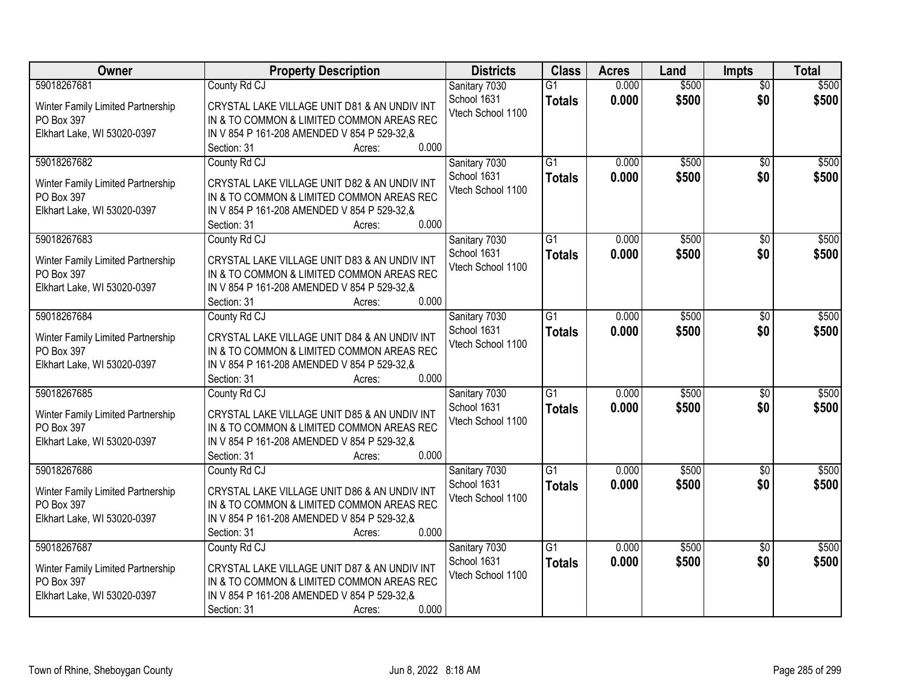| Owner                                                                                         | <b>Property Description</b>                                                                                                                                                                 | <b>Districts</b>                                  | <b>Class</b>                     | <b>Acres</b>   | Land           | Impts                  | <b>Total</b>   |
|-----------------------------------------------------------------------------------------------|---------------------------------------------------------------------------------------------------------------------------------------------------------------------------------------------|---------------------------------------------------|----------------------------------|----------------|----------------|------------------------|----------------|
| 59018267681<br>Winter Family Limited Partnership<br>PO Box 397<br>Elkhart Lake, WI 53020-0397 | County Rd CJ<br>CRYSTAL LAKE VILLAGE UNIT D81 & AN UNDIV INT<br>IN & TO COMMON & LIMITED COMMON AREAS REC<br>IN V 854 P 161-208 AMENDED V 854 P 529-32, &<br>0.000<br>Section: 31<br>Acres: | Sanitary 7030<br>School 1631<br>Vtech School 1100 | $\overline{G1}$<br><b>Totals</b> | 0.000<br>0.000 | \$500<br>\$500 | $\overline{50}$<br>\$0 | \$500<br>\$500 |
| 59018267682<br>Winter Family Limited Partnership<br>PO Box 397<br>Elkhart Lake, WI 53020-0397 | County Rd CJ<br>CRYSTAL LAKE VILLAGE UNIT D82 & AN UNDIV INT<br>IN & TO COMMON & LIMITED COMMON AREAS REC<br>IN V 854 P 161-208 AMENDED V 854 P 529-32,&<br>0.000<br>Section: 31<br>Acres:  | Sanitary 7030<br>School 1631<br>Vtech School 1100 | $\overline{G1}$<br><b>Totals</b> | 0.000<br>0.000 | \$500<br>\$500 | $\overline{50}$<br>\$0 | \$500<br>\$500 |
| 59018267683<br>Winter Family Limited Partnership<br>PO Box 397<br>Elkhart Lake, WI 53020-0397 | County Rd CJ<br>CRYSTAL LAKE VILLAGE UNIT D83 & AN UNDIV INT<br>IN & TO COMMON & LIMITED COMMON AREAS REC<br>IN V 854 P 161-208 AMENDED V 854 P 529-32, &<br>0.000<br>Section: 31<br>Acres: | Sanitary 7030<br>School 1631<br>Vtech School 1100 | $\overline{G1}$<br><b>Totals</b> | 0.000<br>0.000 | \$500<br>\$500 | \$0<br>\$0             | \$500<br>\$500 |
| 59018267684<br>Winter Family Limited Partnership<br>PO Box 397<br>Elkhart Lake, WI 53020-0397 | County Rd CJ<br>CRYSTAL LAKE VILLAGE UNIT D84 & AN UNDIV INT<br>IN & TO COMMON & LIMITED COMMON AREAS REC<br>IN V 854 P 161-208 AMENDED V 854 P 529-32,&<br>0.000<br>Section: 31<br>Acres:  | Sanitary 7030<br>School 1631<br>Vtech School 1100 | $\overline{G1}$<br><b>Totals</b> | 0.000<br>0.000 | \$500<br>\$500 | $\sqrt[6]{3}$<br>\$0   | \$500<br>\$500 |
| 59018267685<br>Winter Family Limited Partnership<br>PO Box 397<br>Elkhart Lake, WI 53020-0397 | County Rd CJ<br>CRYSTAL LAKE VILLAGE UNIT D85 & AN UNDIV INT<br>IN & TO COMMON & LIMITED COMMON AREAS REC<br>IN V 854 P 161-208 AMENDED V 854 P 529-32, &<br>0.000<br>Section: 31<br>Acres: | Sanitary 7030<br>School 1631<br>Vtech School 1100 | $\overline{G1}$<br><b>Totals</b> | 0.000<br>0.000 | \$500<br>\$500 | \$0<br>\$0             | \$500<br>\$500 |
| 59018267686<br>Winter Family Limited Partnership<br>PO Box 397<br>Elkhart Lake, WI 53020-0397 | County Rd CJ<br>CRYSTAL LAKE VILLAGE UNIT D86 & AN UNDIV INT<br>IN & TO COMMON & LIMITED COMMON AREAS REC<br>IN V 854 P 161-208 AMENDED V 854 P 529-32, &<br>0.000<br>Section: 31<br>Acres: | Sanitary 7030<br>School 1631<br>Vtech School 1100 | $\overline{G1}$<br><b>Totals</b> | 0.000<br>0.000 | \$500<br>\$500 | \$0<br>\$0             | \$500<br>\$500 |
| 59018267687<br>Winter Family Limited Partnership<br>PO Box 397<br>Elkhart Lake, WI 53020-0397 | County Rd CJ<br>CRYSTAL LAKE VILLAGE UNIT D87 & AN UNDIV INT<br>IN & TO COMMON & LIMITED COMMON AREAS REC<br>IN V 854 P 161-208 AMENDED V 854 P 529-32,&<br>0.000<br>Section: 31<br>Acres:  | Sanitary 7030<br>School 1631<br>Vtech School 1100 | $\overline{G1}$<br><b>Totals</b> | 0.000<br>0.000 | \$500<br>\$500 | $\overline{30}$<br>\$0 | \$500<br>\$500 |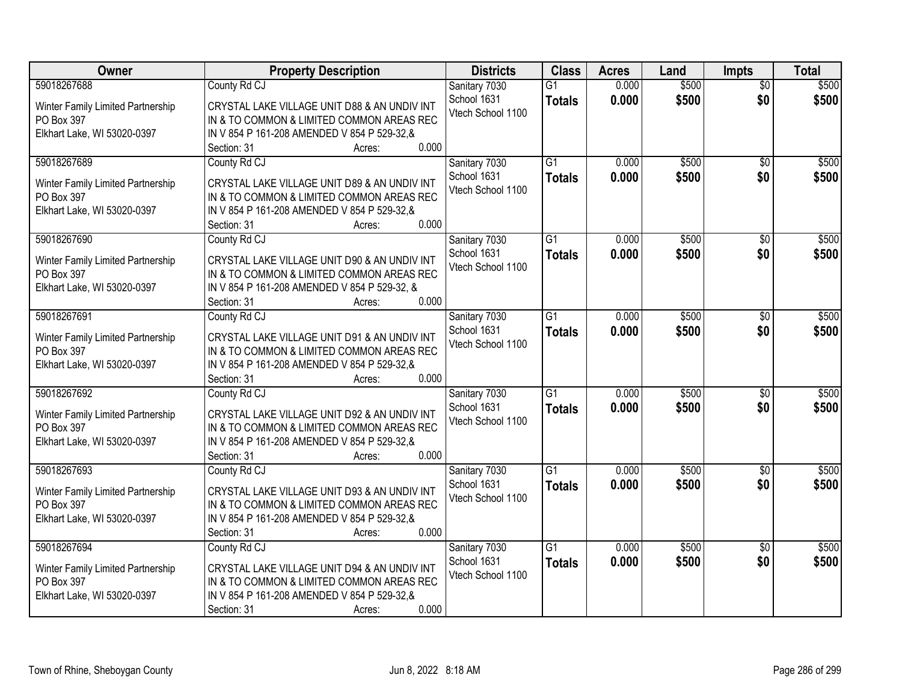| Owner                                                                                         | <b>Property Description</b>                                                                                                                                                                 | <b>Districts</b>                                  | <b>Class</b>                     | <b>Acres</b>   | Land           | Impts                  | <b>Total</b>   |
|-----------------------------------------------------------------------------------------------|---------------------------------------------------------------------------------------------------------------------------------------------------------------------------------------------|---------------------------------------------------|----------------------------------|----------------|----------------|------------------------|----------------|
| 59018267688<br>Winter Family Limited Partnership<br>PO Box 397<br>Elkhart Lake, WI 53020-0397 | County Rd CJ<br>CRYSTAL LAKE VILLAGE UNIT D88 & AN UNDIV INT<br>IN & TO COMMON & LIMITED COMMON AREAS REC<br>IN V 854 P 161-208 AMENDED V 854 P 529-32, &<br>0.000<br>Section: 31<br>Acres: | Sanitary 7030<br>School 1631<br>Vtech School 1100 | $\overline{G1}$<br><b>Totals</b> | 0.000<br>0.000 | \$500<br>\$500 | $\overline{50}$<br>\$0 | \$500<br>\$500 |
| 59018267689<br>Winter Family Limited Partnership<br>PO Box 397<br>Elkhart Lake, WI 53020-0397 | County Rd CJ<br>CRYSTAL LAKE VILLAGE UNIT D89 & AN UNDIV INT<br>IN & TO COMMON & LIMITED COMMON AREAS REC<br>IN V 854 P 161-208 AMENDED V 854 P 529-32,&<br>0.000<br>Section: 31<br>Acres:  | Sanitary 7030<br>School 1631<br>Vtech School 1100 | $\overline{G1}$<br><b>Totals</b> | 0.000<br>0.000 | \$500<br>\$500 | $\overline{50}$<br>\$0 | \$500<br>\$500 |
| 59018267690<br>Winter Family Limited Partnership<br>PO Box 397<br>Elkhart Lake, WI 53020-0397 | County Rd CJ<br>CRYSTAL LAKE VILLAGE UNIT D90 & AN UNDIV INT<br>IN & TO COMMON & LIMITED COMMON AREAS REC<br>IN V 854 P 161-208 AMENDED V 854 P 529-32, &<br>0.000<br>Section: 31<br>Acres: | Sanitary 7030<br>School 1631<br>Vtech School 1100 | $\overline{G1}$<br><b>Totals</b> | 0.000<br>0.000 | \$500<br>\$500 | \$0<br>\$0             | \$500<br>\$500 |
| 59018267691<br>Winter Family Limited Partnership<br>PO Box 397<br>Elkhart Lake, WI 53020-0397 | County Rd CJ<br>CRYSTAL LAKE VILLAGE UNIT D91 & AN UNDIV INT<br>IN & TO COMMON & LIMITED COMMON AREAS REC<br>IN V 854 P 161-208 AMENDED V 854 P 529-32,&<br>0.000<br>Section: 31<br>Acres:  | Sanitary 7030<br>School 1631<br>Vtech School 1100 | $\overline{G1}$<br><b>Totals</b> | 0.000<br>0.000 | \$500<br>\$500 | $\sqrt[6]{3}$<br>\$0   | \$500<br>\$500 |
| 59018267692<br>Winter Family Limited Partnership<br>PO Box 397<br>Elkhart Lake, WI 53020-0397 | County Rd CJ<br>CRYSTAL LAKE VILLAGE UNIT D92 & AN UNDIV INT<br>IN & TO COMMON & LIMITED COMMON AREAS REC<br>IN V 854 P 161-208 AMENDED V 854 P 529-32, &<br>0.000<br>Section: 31<br>Acres: | Sanitary 7030<br>School 1631<br>Vtech School 1100 | $\overline{G1}$<br><b>Totals</b> | 0.000<br>0.000 | \$500<br>\$500 | \$0<br>\$0             | \$500<br>\$500 |
| 59018267693<br>Winter Family Limited Partnership<br>PO Box 397<br>Elkhart Lake, WI 53020-0397 | County Rd CJ<br>CRYSTAL LAKE VILLAGE UNIT D93 & AN UNDIV INT<br>IN & TO COMMON & LIMITED COMMON AREAS REC<br>IN V 854 P 161-208 AMENDED V 854 P 529-32, &<br>0.000<br>Section: 31<br>Acres: | Sanitary 7030<br>School 1631<br>Vtech School 1100 | $\overline{G1}$<br><b>Totals</b> | 0.000<br>0.000 | \$500<br>\$500 | \$0<br>\$0             | \$500<br>\$500 |
| 59018267694<br>Winter Family Limited Partnership<br>PO Box 397<br>Elkhart Lake, WI 53020-0397 | County Rd CJ<br>CRYSTAL LAKE VILLAGE UNIT D94 & AN UNDIV INT<br>IN & TO COMMON & LIMITED COMMON AREAS REC<br>IN V 854 P 161-208 AMENDED V 854 P 529-32,&<br>0.000<br>Section: 31<br>Acres:  | Sanitary 7030<br>School 1631<br>Vtech School 1100 | $\overline{G1}$<br><b>Totals</b> | 0.000<br>0.000 | \$500<br>\$500 | $\overline{30}$<br>\$0 | \$500<br>\$500 |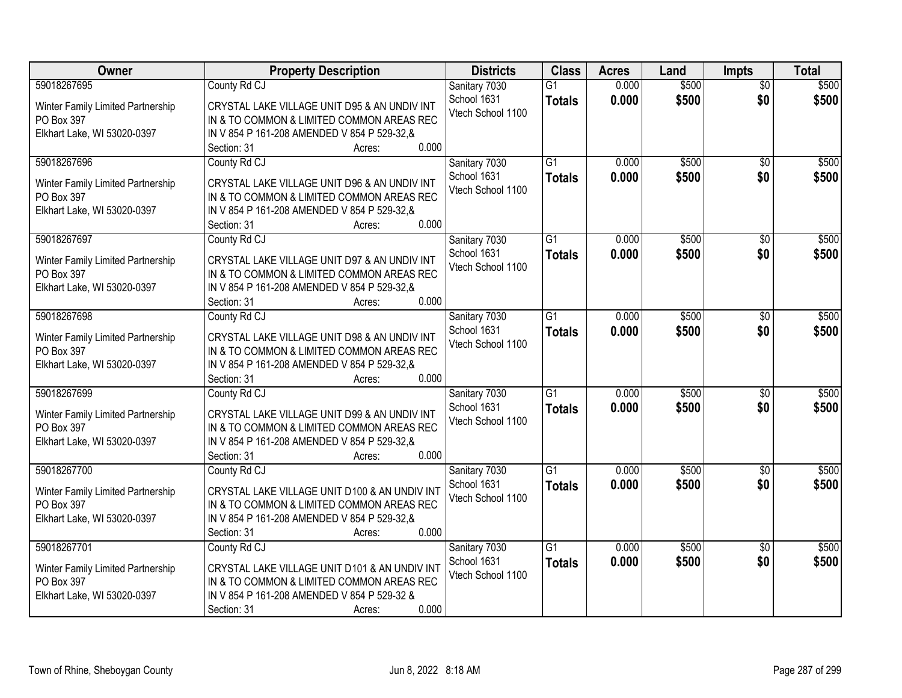| Owner                                                                                         | <b>Property Description</b>                                                                                                                                                                  | <b>Districts</b>                                  | <b>Class</b>                     | <b>Acres</b>   | Land           | <b>Impts</b>           | <b>Total</b>   |
|-----------------------------------------------------------------------------------------------|----------------------------------------------------------------------------------------------------------------------------------------------------------------------------------------------|---------------------------------------------------|----------------------------------|----------------|----------------|------------------------|----------------|
| 59018267695<br>Winter Family Limited Partnership<br>PO Box 397<br>Elkhart Lake, WI 53020-0397 | County Rd CJ<br>CRYSTAL LAKE VILLAGE UNIT D95 & AN UNDIV INT<br>IN & TO COMMON & LIMITED COMMON AREAS REC<br>IN V 854 P 161-208 AMENDED V 854 P 529-32.&<br>0.000<br>Section: 31<br>Acres:   | Sanitary 7030<br>School 1631<br>Vtech School 1100 | $\overline{G1}$<br><b>Totals</b> | 0.000<br>0.000 | \$500<br>\$500 | $\overline{50}$<br>\$0 | \$500<br>\$500 |
| 59018267696<br>Winter Family Limited Partnership<br>PO Box 397<br>Elkhart Lake, WI 53020-0397 | County Rd CJ<br>CRYSTAL LAKE VILLAGE UNIT D96 & AN UNDIV INT<br>IN & TO COMMON & LIMITED COMMON AREAS REC<br>IN V 854 P 161-208 AMENDED V 854 P 529-32, &<br>0.000<br>Section: 31<br>Acres:  | Sanitary 7030<br>School 1631<br>Vtech School 1100 | $\overline{G1}$<br><b>Totals</b> | 0.000<br>0.000 | \$500<br>\$500 | $\overline{50}$<br>\$0 | \$500<br>\$500 |
| 59018267697<br>Winter Family Limited Partnership<br>PO Box 397<br>Elkhart Lake, WI 53020-0397 | County Rd CJ<br>CRYSTAL LAKE VILLAGE UNIT D97 & AN UNDIV INT<br>IN & TO COMMON & LIMITED COMMON AREAS REC<br>IN V 854 P 161-208 AMENDED V 854 P 529-32.&<br>0.000<br>Section: 31<br>Acres:   | Sanitary 7030<br>School 1631<br>Vtech School 1100 | $\overline{G1}$<br><b>Totals</b> | 0.000<br>0.000 | \$500<br>\$500 | \$0<br>\$0             | \$500<br>\$500 |
| 59018267698<br>Winter Family Limited Partnership<br>PO Box 397<br>Elkhart Lake, WI 53020-0397 | County Rd CJ<br>CRYSTAL LAKE VILLAGE UNIT D98 & AN UNDIV INT<br>IN & TO COMMON & LIMITED COMMON AREAS REC<br>IN V 854 P 161-208 AMENDED V 854 P 529-32,&<br>0.000<br>Section: 31<br>Acres:   | Sanitary 7030<br>School 1631<br>Vtech School 1100 | G1<br><b>Totals</b>              | 0.000<br>0.000 | \$500<br>\$500 | $\sqrt[6]{3}$<br>\$0   | \$500<br>\$500 |
| 59018267699<br>Winter Family Limited Partnership<br>PO Box 397<br>Elkhart Lake, WI 53020-0397 | County Rd CJ<br>CRYSTAL LAKE VILLAGE UNIT D99 & AN UNDIV INT<br>IN & TO COMMON & LIMITED COMMON AREAS REC<br>IN V 854 P 161-208 AMENDED V 854 P 529-32,&<br>0.000<br>Section: 31<br>Acres:   | Sanitary 7030<br>School 1631<br>Vtech School 1100 | $\overline{G1}$<br><b>Totals</b> | 0.000<br>0.000 | \$500<br>\$500 | \$0<br>\$0             | \$500<br>\$500 |
| 59018267700<br>Winter Family Limited Partnership<br>PO Box 397<br>Elkhart Lake, WI 53020-0397 | County Rd CJ<br>CRYSTAL LAKE VILLAGE UNIT D100 & AN UNDIV INT<br>IN & TO COMMON & LIMITED COMMON AREAS REC<br>IN V 854 P 161-208 AMENDED V 854 P 529-32, &<br>0.000<br>Section: 31<br>Acres: | Sanitary 7030<br>School 1631<br>Vtech School 1100 | $\overline{G1}$<br><b>Totals</b> | 0.000<br>0.000 | \$500<br>\$500 | \$0<br>\$0             | \$500<br>\$500 |
| 59018267701<br>Winter Family Limited Partnership<br>PO Box 397<br>Elkhart Lake, WI 53020-0397 | County Rd CJ<br>CRYSTAL LAKE VILLAGE UNIT D101 & AN UNDIV INT<br>IN & TO COMMON & LIMITED COMMON AREAS REC<br>IN V 854 P 161-208 AMENDED V 854 P 529-32 &<br>0.000<br>Section: 31<br>Acres:  | Sanitary 7030<br>School 1631<br>Vtech School 1100 | $\overline{G1}$<br><b>Totals</b> | 0.000<br>0.000 | \$500<br>\$500 | $\overline{30}$<br>\$0 | \$500<br>\$500 |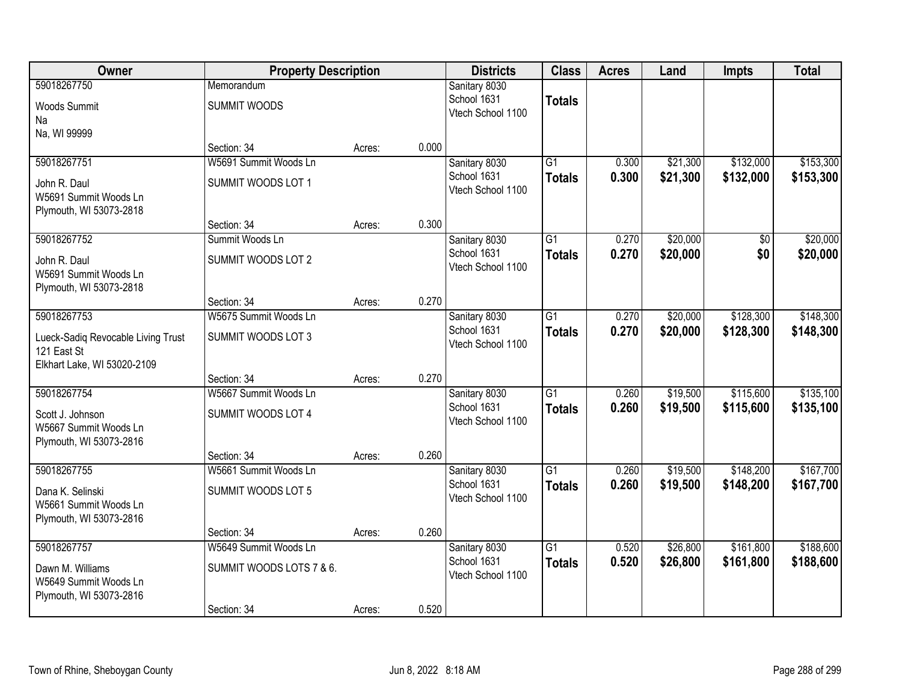| Owner                                                                                           | <b>Property Description</b>                                      |        |       | <b>Districts</b>                                  | <b>Class</b>                     | <b>Acres</b>   | Land                 | <b>Impts</b>           | <b>Total</b>           |
|-------------------------------------------------------------------------------------------------|------------------------------------------------------------------|--------|-------|---------------------------------------------------|----------------------------------|----------------|----------------------|------------------------|------------------------|
| 59018267750<br><b>Woods Summit</b><br>Na                                                        | Memorandum<br><b>SUMMIT WOODS</b>                                |        |       | Sanitary 8030<br>School 1631<br>Vtech School 1100 | <b>Totals</b>                    |                |                      |                        |                        |
| Na, WI 99999                                                                                    | Section: 34                                                      | Acres: | 0.000 |                                                   |                                  |                |                      |                        |                        |
| 59018267751<br>John R. Daul<br>W5691 Summit Woods Ln<br>Plymouth, WI 53073-2818                 | W5691 Summit Woods Ln<br>SUMMIT WOODS LOT 1                      |        |       | Sanitary 8030<br>School 1631<br>Vtech School 1100 | $\overline{G1}$<br><b>Totals</b> | 0.300<br>0.300 | \$21,300<br>\$21,300 | \$132,000<br>\$132,000 | \$153,300<br>\$153,300 |
|                                                                                                 | Section: 34                                                      | Acres: | 0.300 |                                                   |                                  |                |                      |                        |                        |
| 59018267752<br>John R. Daul<br>W5691 Summit Woods Ln<br>Plymouth, WI 53073-2818                 | Summit Woods Ln<br><b>SUMMIT WOODS LOT 2</b>                     |        |       | Sanitary 8030<br>School 1631<br>Vtech School 1100 | G1<br><b>Totals</b>              | 0.270<br>0.270 | \$20,000<br>\$20,000 | \$0<br>\$0             | \$20,000<br>\$20,000   |
|                                                                                                 | Section: 34                                                      | Acres: | 0.270 |                                                   |                                  |                |                      |                        |                        |
| 59018267753<br>Lueck-Sadiq Revocable Living Trust<br>121 East St<br>Elkhart Lake, WI 53020-2109 | W5675 Summit Woods Ln<br>SUMMIT WOODS LOT 3                      |        |       | Sanitary 8030<br>School 1631<br>Vtech School 1100 | G1<br><b>Totals</b>              | 0.270<br>0.270 | \$20,000<br>\$20,000 | \$128,300<br>\$128,300 | \$148,300<br>\$148,300 |
|                                                                                                 | Section: 34                                                      | Acres: | 0.270 |                                                   |                                  |                |                      |                        |                        |
| 59018267754<br>Scott J. Johnson<br>W5667 Summit Woods Ln<br>Plymouth, WI 53073-2816             | W5667 Summit Woods Ln<br>SUMMIT WOODS LOT 4                      |        |       | Sanitary 8030<br>School 1631<br>Vtech School 1100 | $\overline{G1}$<br><b>Totals</b> | 0.260<br>0.260 | \$19,500<br>\$19,500 | \$115,600<br>\$115,600 | \$135,100<br>\$135,100 |
|                                                                                                 | Section: 34                                                      | Acres: | 0.260 |                                                   |                                  |                |                      |                        |                        |
| 59018267755<br>Dana K. Selinski<br>W5661 Summit Woods Ln<br>Plymouth, WI 53073-2816             | W5661 Summit Woods Ln<br>SUMMIT WOODS LOT 5                      |        |       | Sanitary 8030<br>School 1631<br>Vtech School 1100 | $\overline{G1}$<br><b>Totals</b> | 0.260<br>0.260 | \$19,500<br>\$19,500 | \$148,200<br>\$148,200 | \$167,700<br>\$167,700 |
|                                                                                                 | Section: 34                                                      | Acres: | 0.260 |                                                   |                                  |                |                      |                        |                        |
| 59018267757<br>Dawn M. Williams<br>W5649 Summit Woods Ln<br>Plymouth, WI 53073-2816             | W5649 Summit Woods Ln<br>SUMMIT WOODS LOTS 7 & 6.<br>Section: 34 | Acres: | 0.520 | Sanitary 8030<br>School 1631<br>Vtech School 1100 | $\overline{G1}$<br><b>Totals</b> | 0.520<br>0.520 | \$26,800<br>\$26,800 | \$161,800<br>\$161,800 | \$188,600<br>\$188,600 |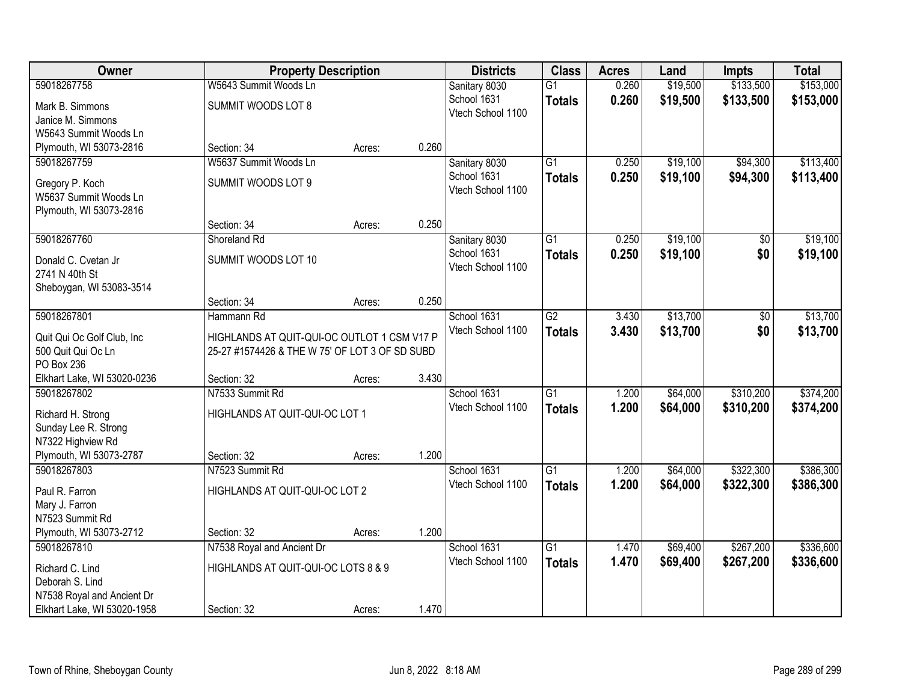| Owner                                     |                                                | <b>Property Description</b> |       | <b>Districts</b>  | <b>Class</b>    | <b>Acres</b> | Land     | <b>Impts</b> | <b>Total</b> |
|-------------------------------------------|------------------------------------------------|-----------------------------|-------|-------------------|-----------------|--------------|----------|--------------|--------------|
| 59018267758                               | W5643 Summit Woods Ln                          |                             |       | Sanitary 8030     | $\overline{G1}$ | 0.260        | \$19,500 | \$133,500    | \$153,000    |
| Mark B. Simmons                           | SUMMIT WOODS LOT 8                             |                             |       | School 1631       | <b>Totals</b>   | 0.260        | \$19,500 | \$133,500    | \$153,000    |
| Janice M. Simmons                         |                                                |                             |       | Vtech School 1100 |                 |              |          |              |              |
| W5643 Summit Woods Ln                     |                                                |                             |       |                   |                 |              |          |              |              |
| Plymouth, WI 53073-2816                   | Section: 34                                    | Acres:                      | 0.260 |                   |                 |              |          |              |              |
| 59018267759                               | W5637 Summit Woods Ln                          |                             |       | Sanitary 8030     | $\overline{G1}$ | 0.250        | \$19,100 | \$94,300     | \$113,400    |
| Gregory P. Koch                           | SUMMIT WOODS LOT 9                             |                             |       | School 1631       | <b>Totals</b>   | 0.250        | \$19,100 | \$94,300     | \$113,400    |
| W5637 Summit Woods Ln                     |                                                |                             |       | Vtech School 1100 |                 |              |          |              |              |
| Plymouth, WI 53073-2816                   |                                                |                             |       |                   |                 |              |          |              |              |
|                                           | Section: 34                                    | Acres:                      | 0.250 |                   |                 |              |          |              |              |
| 59018267760                               | Shoreland Rd                                   |                             |       | Sanitary 8030     | $\overline{G1}$ | 0.250        | \$19,100 | \$0          | \$19,100     |
| Donald C. Cvetan Jr                       | SUMMIT WOODS LOT 10                            |                             |       | School 1631       | <b>Totals</b>   | 0.250        | \$19,100 | \$0          | \$19,100     |
| 2741 N 40th St                            |                                                |                             |       | Vtech School 1100 |                 |              |          |              |              |
| Sheboygan, WI 53083-3514                  |                                                |                             |       |                   |                 |              |          |              |              |
|                                           | Section: 34                                    | Acres:                      | 0.250 |                   |                 |              |          |              |              |
| 59018267801                               | Hammann Rd                                     |                             |       | School 1631       | $\overline{G2}$ | 3.430        | \$13,700 | \$0          | \$13,700     |
| Quit Qui Oc Golf Club, Inc.               | HIGHLANDS AT QUIT-QUI-OC OUTLOT 1 CSM V17 P    |                             |       | Vtech School 1100 | <b>Totals</b>   | 3.430        | \$13,700 | \$0          | \$13,700     |
| 500 Quit Qui Oc Ln                        | 25-27 #1574426 & THE W 75' OF LOT 3 OF SD SUBD |                             |       |                   |                 |              |          |              |              |
| PO Box 236                                |                                                |                             |       |                   |                 |              |          |              |              |
| Elkhart Lake, WI 53020-0236               | Section: 32                                    | Acres:                      | 3.430 |                   |                 |              |          |              |              |
| 59018267802                               | N7533 Summit Rd                                |                             |       | School 1631       | $\overline{G1}$ | 1.200        | \$64,000 | \$310,200    | \$374,200    |
|                                           | HIGHLANDS AT QUIT-QUI-OC LOT 1                 |                             |       | Vtech School 1100 | <b>Totals</b>   | 1.200        | \$64,000 | \$310,200    | \$374,200    |
| Richard H. Strong<br>Sunday Lee R. Strong |                                                |                             |       |                   |                 |              |          |              |              |
| N7322 Highview Rd                         |                                                |                             |       |                   |                 |              |          |              |              |
| Plymouth, WI 53073-2787                   | Section: 32                                    | Acres:                      | 1.200 |                   |                 |              |          |              |              |
| 59018267803                               | N7523 Summit Rd                                |                             |       | School 1631       | $\overline{G1}$ | 1.200        | \$64,000 | \$322,300    | \$386,300    |
|                                           |                                                |                             |       | Vtech School 1100 | <b>Totals</b>   | 1.200        | \$64,000 | \$322,300    | \$386,300    |
| Paul R. Farron<br>Mary J. Farron          | HIGHLANDS AT QUIT-QUI-OC LOT 2                 |                             |       |                   |                 |              |          |              |              |
| N7523 Summit Rd                           |                                                |                             |       |                   |                 |              |          |              |              |
| Plymouth, WI 53073-2712                   | Section: 32                                    | Acres:                      | 1.200 |                   |                 |              |          |              |              |
| 59018267810                               | N7538 Royal and Ancient Dr                     |                             |       | School 1631       | $\overline{G1}$ | 1.470        | \$69,400 | \$267,200    | \$336,600    |
|                                           |                                                |                             |       | Vtech School 1100 | <b>Totals</b>   | 1.470        | \$69,400 | \$267,200    | \$336,600    |
| Richard C. Lind<br>Deborah S. Lind        | HIGHLANDS AT QUIT-QUI-OC LOTS 8 & 9            |                             |       |                   |                 |              |          |              |              |
| N7538 Royal and Ancient Dr                |                                                |                             |       |                   |                 |              |          |              |              |
| Elkhart Lake, WI 53020-1958               | Section: 32                                    | Acres:                      | 1.470 |                   |                 |              |          |              |              |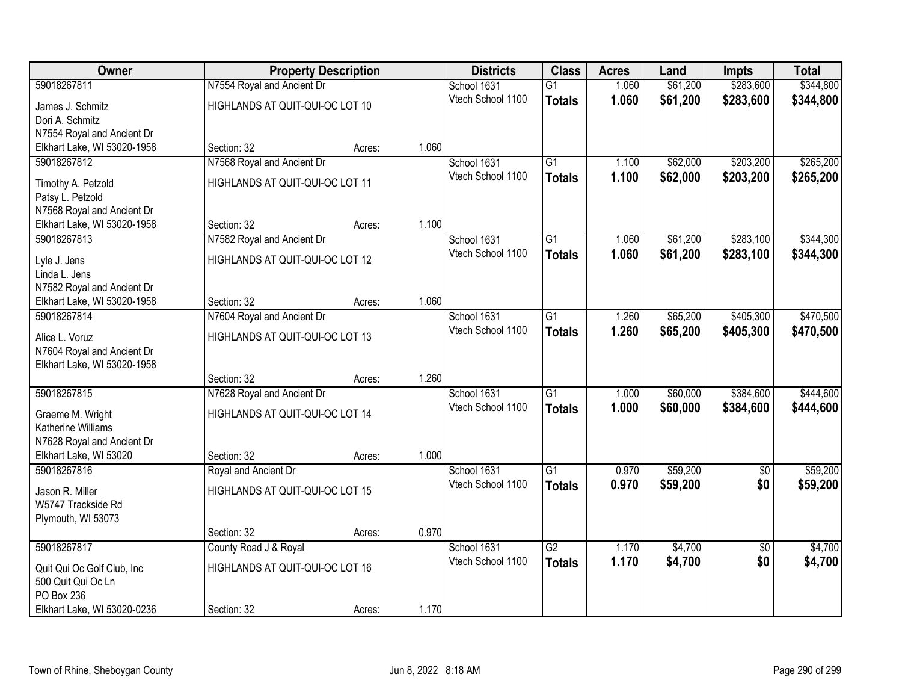| Owner                       |                                 | <b>Property Description</b> |       | <b>Districts</b>  | <b>Class</b>    | <b>Acres</b> | Land     | <b>Impts</b>    | <b>Total</b> |
|-----------------------------|---------------------------------|-----------------------------|-------|-------------------|-----------------|--------------|----------|-----------------|--------------|
| 59018267811                 | N7554 Royal and Ancient Dr      |                             |       | School 1631       | $\overline{G1}$ | 1.060        | \$61,200 | \$283,600       | \$344,800    |
| James J. Schmitz            | HIGHLANDS AT QUIT-QUI-OC LOT 10 |                             |       | Vtech School 1100 | <b>Totals</b>   | 1.060        | \$61,200 | \$283,600       | \$344,800    |
| Dori A. Schmitz             |                                 |                             |       |                   |                 |              |          |                 |              |
| N7554 Royal and Ancient Dr  |                                 |                             |       |                   |                 |              |          |                 |              |
| Elkhart Lake, WI 53020-1958 | Section: 32                     | Acres:                      | 1.060 |                   |                 |              |          |                 |              |
| 59018267812                 | N7568 Royal and Ancient Dr      |                             |       | School 1631       | G1              | 1.100        | \$62,000 | \$203,200       | \$265,200    |
| Timothy A. Petzold          | HIGHLANDS AT QUIT-QUI-OC LOT 11 |                             |       | Vtech School 1100 | <b>Totals</b>   | 1.100        | \$62,000 | \$203,200       | \$265,200    |
| Patsy L. Petzold            |                                 |                             |       |                   |                 |              |          |                 |              |
| N7568 Royal and Ancient Dr  |                                 |                             |       |                   |                 |              |          |                 |              |
| Elkhart Lake, WI 53020-1958 | Section: 32                     | Acres:                      | 1.100 |                   |                 |              |          |                 |              |
| 59018267813                 | N7582 Royal and Ancient Dr      |                             |       | School 1631       | $\overline{G1}$ | 1.060        | \$61,200 | \$283,100       | \$344,300    |
| Lyle J. Jens                | HIGHLANDS AT QUIT-QUI-OC LOT 12 |                             |       | Vtech School 1100 | <b>Totals</b>   | 1.060        | \$61,200 | \$283,100       | \$344,300    |
| Linda L. Jens               |                                 |                             |       |                   |                 |              |          |                 |              |
| N7582 Royal and Ancient Dr  |                                 |                             |       |                   |                 |              |          |                 |              |
| Elkhart Lake, WI 53020-1958 | Section: 32                     | Acres:                      | 1.060 |                   |                 |              |          |                 |              |
| 59018267814                 | N7604 Royal and Ancient Dr      |                             |       | School 1631       | $\overline{G1}$ | 1.260        | \$65,200 | \$405,300       | \$470,500    |
| Alice L. Voruz              | HIGHLANDS AT QUIT-QUI-OC LOT 13 |                             |       | Vtech School 1100 | <b>Totals</b>   | 1.260        | \$65,200 | \$405,300       | \$470,500    |
| N7604 Royal and Ancient Dr  |                                 |                             |       |                   |                 |              |          |                 |              |
| Elkhart Lake, WI 53020-1958 |                                 |                             |       |                   |                 |              |          |                 |              |
|                             | Section: 32                     | Acres:                      | 1.260 |                   |                 |              |          |                 |              |
| 59018267815                 | N7628 Royal and Ancient Dr      |                             |       | School 1631       | $\overline{G1}$ | 1.000        | \$60,000 | \$384,600       | \$444,600    |
| Graeme M. Wright            | HIGHLANDS AT QUIT-QUI-OC LOT 14 |                             |       | Vtech School 1100 | <b>Totals</b>   | 1.000        | \$60,000 | \$384,600       | \$444,600    |
| Katherine Williams          |                                 |                             |       |                   |                 |              |          |                 |              |
| N7628 Royal and Ancient Dr  |                                 |                             |       |                   |                 |              |          |                 |              |
| Elkhart Lake, WI 53020      | Section: 32                     | Acres:                      | 1.000 |                   |                 |              |          |                 |              |
| 59018267816                 | Royal and Ancient Dr            |                             |       | School 1631       | $\overline{G1}$ | 0.970        | \$59,200 | $\sqrt{6}$      | \$59,200     |
| Jason R. Miller             | HIGHLANDS AT QUIT-QUI-OC LOT 15 |                             |       | Vtech School 1100 | <b>Totals</b>   | 0.970        | \$59,200 | \$0             | \$59,200     |
| W5747 Trackside Rd          |                                 |                             |       |                   |                 |              |          |                 |              |
| Plymouth, WI 53073          |                                 |                             |       |                   |                 |              |          |                 |              |
|                             | Section: 32                     | Acres:                      | 0.970 |                   |                 |              |          |                 |              |
| 59018267817                 | County Road J & Royal           |                             |       | School 1631       | $\overline{G2}$ | 1.170        | \$4,700  | $\overline{30}$ | \$4,700      |
| Quit Qui Oc Golf Club, Inc  | HIGHLANDS AT QUIT-QUI-OC LOT 16 |                             |       | Vtech School 1100 | <b>Totals</b>   | 1.170        | \$4,700  | \$0             | \$4,700      |
| 500 Quit Qui Oc Ln          |                                 |                             |       |                   |                 |              |          |                 |              |
| PO Box 236                  |                                 |                             |       |                   |                 |              |          |                 |              |
| Elkhart Lake, WI 53020-0236 | Section: 32                     | Acres:                      | 1.170 |                   |                 |              |          |                 |              |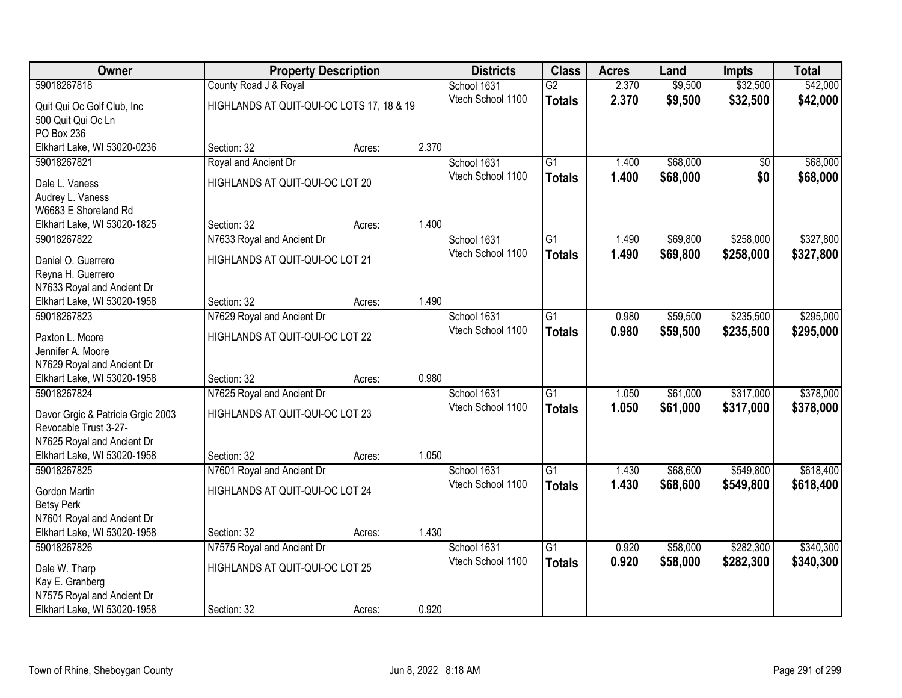| Owner                             |                                           | <b>Property Description</b> |       | <b>Districts</b>  | <b>Class</b>    | <b>Acres</b> | Land     | <b>Impts</b> | <b>Total</b> |
|-----------------------------------|-------------------------------------------|-----------------------------|-------|-------------------|-----------------|--------------|----------|--------------|--------------|
| 59018267818                       | County Road J & Royal                     |                             |       | School 1631       | $\overline{G2}$ | 2.370        | \$9,500  | \$32,500     | \$42,000     |
| Quit Qui Oc Golf Club, Inc        | HIGHLANDS AT QUIT-QUI-OC LOTS 17, 18 & 19 |                             |       | Vtech School 1100 | <b>Totals</b>   | 2.370        | \$9,500  | \$32,500     | \$42,000     |
| 500 Quit Qui Oc Ln                |                                           |                             |       |                   |                 |              |          |              |              |
| PO Box 236                        |                                           |                             |       |                   |                 |              |          |              |              |
| Elkhart Lake, WI 53020-0236       | Section: 32                               | Acres:                      | 2.370 |                   |                 |              |          |              |              |
| 59018267821                       | Royal and Ancient Dr                      |                             |       | School 1631       | G1              | 1.400        | \$68,000 | \$0          | \$68,000     |
| Dale L. Vaness                    | HIGHLANDS AT QUIT-QUI-OC LOT 20           |                             |       | Vtech School 1100 | <b>Totals</b>   | 1.400        | \$68,000 | \$0          | \$68,000     |
| Audrey L. Vaness                  |                                           |                             |       |                   |                 |              |          |              |              |
| W6683 E Shoreland Rd              |                                           |                             |       |                   |                 |              |          |              |              |
| Elkhart Lake, WI 53020-1825       | Section: 32                               | Acres:                      | 1.400 |                   |                 |              |          |              |              |
| 59018267822                       | N7633 Royal and Ancient Dr                |                             |       | School 1631       | $\overline{G1}$ | 1.490        | \$69,800 | \$258,000    | \$327,800    |
| Daniel O. Guerrero                | HIGHLANDS AT QUIT-QUI-OC LOT 21           |                             |       | Vtech School 1100 | <b>Totals</b>   | 1.490        | \$69,800 | \$258,000    | \$327,800    |
| Reyna H. Guerrero                 |                                           |                             |       |                   |                 |              |          |              |              |
| N7633 Royal and Ancient Dr        |                                           |                             |       |                   |                 |              |          |              |              |
| Elkhart Lake, WI 53020-1958       | Section: 32                               | Acres:                      | 1.490 |                   |                 |              |          |              |              |
| 59018267823                       | N7629 Royal and Ancient Dr                |                             |       | School 1631       | $\overline{G1}$ | 0.980        | \$59,500 | \$235,500    | \$295,000    |
| Paxton L. Moore                   | HIGHLANDS AT QUIT-QUI-OC LOT 22           |                             |       | Vtech School 1100 | <b>Totals</b>   | 0.980        | \$59,500 | \$235,500    | \$295,000    |
| Jennifer A. Moore                 |                                           |                             |       |                   |                 |              |          |              |              |
| N7629 Royal and Ancient Dr        |                                           |                             |       |                   |                 |              |          |              |              |
| Elkhart Lake, WI 53020-1958       | Section: 32                               | Acres:                      | 0.980 |                   |                 |              |          |              |              |
| 59018267824                       | N7625 Royal and Ancient Dr                |                             |       | School 1631       | $\overline{G1}$ | 1.050        | \$61,000 | \$317,000    | \$378,000    |
| Davor Grgic & Patricia Grgic 2003 | HIGHLANDS AT QUIT-QUI-OC LOT 23           |                             |       | Vtech School 1100 | <b>Totals</b>   | 1.050        | \$61,000 | \$317,000    | \$378,000    |
| Revocable Trust 3-27-             |                                           |                             |       |                   |                 |              |          |              |              |
| N7625 Royal and Ancient Dr        |                                           |                             |       |                   |                 |              |          |              |              |
| Elkhart Lake, WI 53020-1958       | Section: 32                               | Acres:                      | 1.050 |                   |                 |              |          |              |              |
| 59018267825                       | N7601 Royal and Ancient Dr                |                             |       | School 1631       | $\overline{G1}$ | 1.430        | \$68,600 | \$549,800    | \$618,400    |
| Gordon Martin                     | HIGHLANDS AT QUIT-QUI-OC LOT 24           |                             |       | Vtech School 1100 | <b>Totals</b>   | 1.430        | \$68,600 | \$549,800    | \$618,400    |
| <b>Betsy Perk</b>                 |                                           |                             |       |                   |                 |              |          |              |              |
| N7601 Royal and Ancient Dr        |                                           |                             |       |                   |                 |              |          |              |              |
| Elkhart Lake, WI 53020-1958       | Section: 32                               | Acres:                      | 1.430 |                   |                 |              |          |              |              |
| 59018267826                       | N7575 Royal and Ancient Dr                |                             |       | School 1631       | $\overline{G1}$ | 0.920        | \$58,000 | \$282,300    | \$340,300    |
| Dale W. Tharp                     | HIGHLANDS AT QUIT-QUI-OC LOT 25           |                             |       | Vtech School 1100 | <b>Totals</b>   | 0.920        | \$58,000 | \$282,300    | \$340,300    |
| Kay E. Granberg                   |                                           |                             |       |                   |                 |              |          |              |              |
| N7575 Royal and Ancient Dr        |                                           |                             |       |                   |                 |              |          |              |              |
| Elkhart Lake, WI 53020-1958       | Section: 32                               | Acres:                      | 0.920 |                   |                 |              |          |              |              |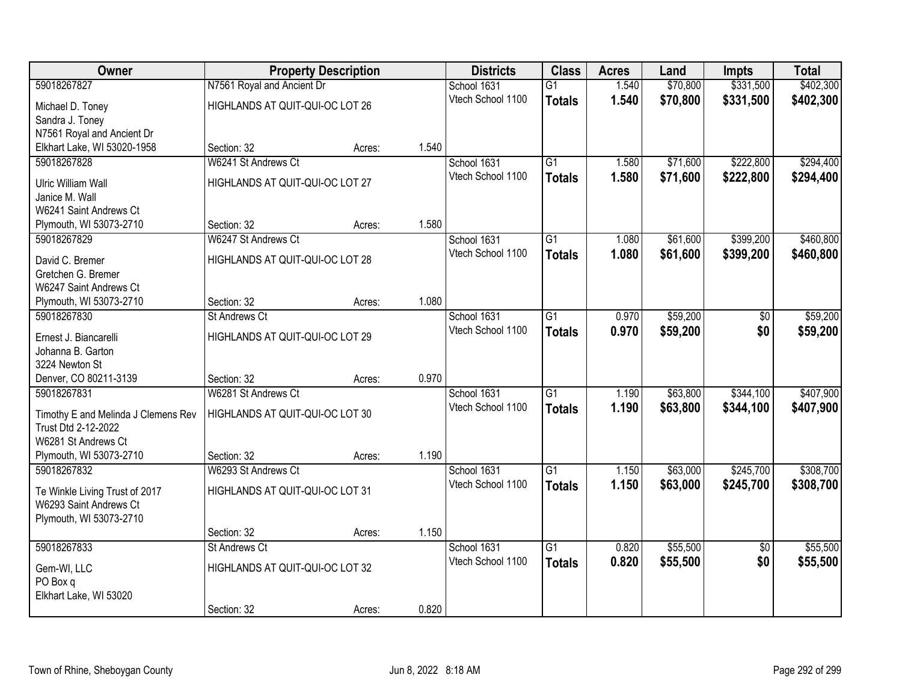| Owner                               |                                 | <b>Property Description</b> |       | <b>Districts</b>  | <b>Class</b>    | <b>Acres</b> | Land     | <b>Impts</b>    | <b>Total</b> |
|-------------------------------------|---------------------------------|-----------------------------|-------|-------------------|-----------------|--------------|----------|-----------------|--------------|
| 59018267827                         | N7561 Royal and Ancient Dr      |                             |       | School 1631       | $\overline{G1}$ | 1.540        | \$70,800 | \$331,500       | \$402,300    |
| Michael D. Toney                    | HIGHLANDS AT QUIT-QUI-OC LOT 26 |                             |       | Vtech School 1100 | <b>Totals</b>   | 1.540        | \$70,800 | \$331,500       | \$402,300    |
| Sandra J. Toney                     |                                 |                             |       |                   |                 |              |          |                 |              |
| N7561 Royal and Ancient Dr          |                                 |                             |       |                   |                 |              |          |                 |              |
| Elkhart Lake, WI 53020-1958         | Section: 32                     | Acres:                      | 1.540 |                   |                 |              |          |                 |              |
| 59018267828                         | W6241 St Andrews Ct             |                             |       | School 1631       | $\overline{G1}$ | 1.580        | \$71,600 | \$222,800       | \$294,400    |
| <b>Ulric William Wall</b>           | HIGHLANDS AT QUIT-QUI-OC LOT 27 |                             |       | Vtech School 1100 | <b>Totals</b>   | 1.580        | \$71,600 | \$222,800       | \$294,400    |
| Janice M. Wall                      |                                 |                             |       |                   |                 |              |          |                 |              |
| W6241 Saint Andrews Ct              |                                 |                             |       |                   |                 |              |          |                 |              |
| Plymouth, WI 53073-2710             | Section: 32                     | Acres:                      | 1.580 |                   |                 |              |          |                 |              |
| 59018267829                         | W6247 St Andrews Ct             |                             |       | School 1631       | $\overline{G1}$ | 1.080        | \$61,600 | \$399,200       | \$460,800    |
| David C. Bremer                     | HIGHLANDS AT QUIT-QUI-OC LOT 28 |                             |       | Vtech School 1100 | <b>Totals</b>   | 1.080        | \$61,600 | \$399,200       | \$460,800    |
| Gretchen G. Bremer                  |                                 |                             |       |                   |                 |              |          |                 |              |
| W6247 Saint Andrews Ct              |                                 |                             |       |                   |                 |              |          |                 |              |
| Plymouth, WI 53073-2710             | Section: 32                     | Acres:                      | 1.080 |                   |                 |              |          |                 |              |
| 59018267830                         | <b>St Andrews Ct</b>            |                             |       | School 1631       | $\overline{G1}$ | 0.970        | \$59,200 | \$0             | \$59,200     |
| Ernest J. Biancarelli               | HIGHLANDS AT QUIT-QUI-OC LOT 29 |                             |       | Vtech School 1100 | <b>Totals</b>   | 0.970        | \$59,200 | \$0             | \$59,200     |
| Johanna B. Garton                   |                                 |                             |       |                   |                 |              |          |                 |              |
| 3224 Newton St                      |                                 |                             |       |                   |                 |              |          |                 |              |
| Denver, CO 80211-3139               | Section: 32                     | Acres:                      | 0.970 |                   |                 |              |          |                 |              |
| 59018267831                         | W6281 St Andrews Ct             |                             |       | School 1631       | $\overline{G1}$ | 1.190        | \$63,800 | \$344,100       | \$407,900    |
| Timothy E and Melinda J Clemens Rev | HIGHLANDS AT QUIT-QUI-OC LOT 30 |                             |       | Vtech School 1100 | <b>Totals</b>   | 1.190        | \$63,800 | \$344,100       | \$407,900    |
| Trust Dtd 2-12-2022                 |                                 |                             |       |                   |                 |              |          |                 |              |
| W6281 St Andrews Ct                 |                                 |                             |       |                   |                 |              |          |                 |              |
| Plymouth, WI 53073-2710             | Section: 32                     | Acres:                      | 1.190 |                   |                 |              |          |                 |              |
| 59018267832                         | W6293 St Andrews Ct             |                             |       | School 1631       | $\overline{G1}$ | 1.150        | \$63,000 | \$245,700       | \$308,700    |
| Te Winkle Living Trust of 2017      | HIGHLANDS AT QUIT-QUI-OC LOT 31 |                             |       | Vtech School 1100 | <b>Totals</b>   | 1.150        | \$63,000 | \$245,700       | \$308,700    |
| W6293 Saint Andrews Ct              |                                 |                             |       |                   |                 |              |          |                 |              |
| Plymouth, WI 53073-2710             |                                 |                             |       |                   |                 |              |          |                 |              |
|                                     | Section: 32                     | Acres:                      | 1.150 |                   |                 |              |          |                 |              |
| 59018267833                         | <b>St Andrews Ct</b>            |                             |       | School 1631       | $\overline{G1}$ | 0.820        | \$55,500 | $\overline{50}$ | \$55,500     |
| Gem-WI, LLC                         | HIGHLANDS AT QUIT-QUI-OC LOT 32 |                             |       | Vtech School 1100 | <b>Totals</b>   | 0.820        | \$55,500 | \$0             | \$55,500     |
| PO Box q                            |                                 |                             |       |                   |                 |              |          |                 |              |
| Elkhart Lake, WI 53020              |                                 |                             |       |                   |                 |              |          |                 |              |
|                                     | Section: 32                     | Acres:                      | 0.820 |                   |                 |              |          |                 |              |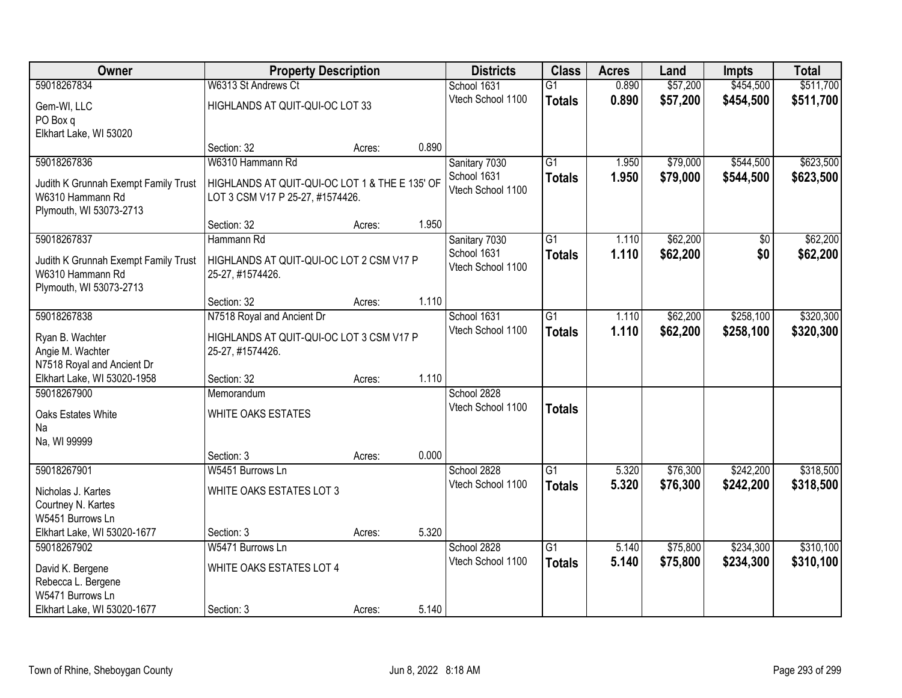| Owner                                | <b>Property Description</b>                    |        |       | <b>Districts</b>  | <b>Class</b>    | <b>Acres</b> | Land     | <b>Impts</b>   | <b>Total</b> |
|--------------------------------------|------------------------------------------------|--------|-------|-------------------|-----------------|--------------|----------|----------------|--------------|
| 59018267834                          | W6313 St Andrews Ct                            |        |       | School 1631       | $\overline{G1}$ | 0.890        | \$57,200 | \$454,500      | \$511,700    |
| Gem-WI, LLC                          | HIGHLANDS AT QUIT-QUI-OC LOT 33                |        |       | Vtech School 1100 | <b>Totals</b>   | 0.890        | \$57,200 | \$454,500      | \$511,700    |
| PO Box q                             |                                                |        |       |                   |                 |              |          |                |              |
| Elkhart Lake, WI 53020               |                                                |        |       |                   |                 |              |          |                |              |
|                                      | Section: 32                                    | Acres: | 0.890 |                   |                 |              |          |                |              |
| 59018267836                          | W6310 Hammann Rd                               |        |       | Sanitary 7030     | $\overline{G1}$ | 1.950        | \$79,000 | \$544,500      | \$623,500    |
| Judith K Grunnah Exempt Family Trust | HIGHLANDS AT QUIT-QUI-OC LOT 1 & THE E 135' OF |        |       | School 1631       | <b>Totals</b>   | 1.950        | \$79,000 | \$544,500      | \$623,500    |
| W6310 Hammann Rd                     | LOT 3 CSM V17 P 25-27, #1574426.               |        |       | Vtech School 1100 |                 |              |          |                |              |
| Plymouth, WI 53073-2713              |                                                |        |       |                   |                 |              |          |                |              |
|                                      | Section: 32                                    | Acres: | 1.950 |                   |                 |              |          |                |              |
| 59018267837                          | Hammann Rd                                     |        |       | Sanitary 7030     | $\overline{G1}$ | 1.110        | \$62,200 | $\sqrt[6]{30}$ | \$62,200     |
| Judith K Grunnah Exempt Family Trust | HIGHLANDS AT QUIT-QUI-OC LOT 2 CSM V17 P       |        |       | School 1631       | <b>Totals</b>   | 1.110        | \$62,200 | \$0            | \$62,200     |
| W6310 Hammann Rd                     | 25-27, #1574426.                               |        |       | Vtech School 1100 |                 |              |          |                |              |
| Plymouth, WI 53073-2713              |                                                |        |       |                   |                 |              |          |                |              |
|                                      | Section: 32                                    | Acres: | 1.110 |                   |                 |              |          |                |              |
| 59018267838                          | N7518 Royal and Ancient Dr                     |        |       | School 1631       | $\overline{G1}$ | 1.110        | \$62,200 | \$258,100      | \$320,300    |
| Ryan B. Wachter                      | HIGHLANDS AT QUIT-QUI-OC LOT 3 CSM V17 P       |        |       | Vtech School 1100 | <b>Totals</b>   | 1.110        | \$62,200 | \$258,100      | \$320,300    |
| Angie M. Wachter                     | 25-27, #1574426.                               |        |       |                   |                 |              |          |                |              |
| N7518 Royal and Ancient Dr           |                                                |        |       |                   |                 |              |          |                |              |
| Elkhart Lake, WI 53020-1958          | Section: 32                                    | Acres: | 1.110 |                   |                 |              |          |                |              |
| 59018267900                          | Memorandum                                     |        |       | School 2828       |                 |              |          |                |              |
| Oaks Estates White                   | WHITE OAKS ESTATES                             |        |       | Vtech School 1100 | <b>Totals</b>   |              |          |                |              |
| Na                                   |                                                |        |       |                   |                 |              |          |                |              |
| Na, WI 99999                         |                                                |        |       |                   |                 |              |          |                |              |
|                                      | Section: 3                                     | Acres: | 0.000 |                   |                 |              |          |                |              |
| 59018267901                          | W5451 Burrows Ln                               |        |       | School 2828       | $\overline{G1}$ | 5.320        | \$76,300 | \$242,200      | \$318,500    |
| Nicholas J. Kartes                   | WHITE OAKS ESTATES LOT 3                       |        |       | Vtech School 1100 | <b>Totals</b>   | 5.320        | \$76,300 | \$242,200      | \$318,500    |
| Courtney N. Kartes                   |                                                |        |       |                   |                 |              |          |                |              |
| W5451 Burrows Ln                     |                                                |        |       |                   |                 |              |          |                |              |
| Elkhart Lake, WI 53020-1677          | Section: 3                                     | Acres: | 5.320 |                   |                 |              |          |                |              |
| 59018267902                          | W5471 Burrows Ln                               |        |       | School 2828       | $\overline{G1}$ | 5.140        | \$75,800 | \$234,300      | \$310,100    |
| David K. Bergene                     | WHITE OAKS ESTATES LOT 4                       |        |       | Vtech School 1100 | <b>Totals</b>   | 5.140        | \$75,800 | \$234,300      | \$310,100    |
| Rebecca L. Bergene                   |                                                |        |       |                   |                 |              |          |                |              |
| W5471 Burrows Ln                     |                                                |        |       |                   |                 |              |          |                |              |
| Elkhart Lake, WI 53020-1677          | Section: 3                                     | Acres: | 5.140 |                   |                 |              |          |                |              |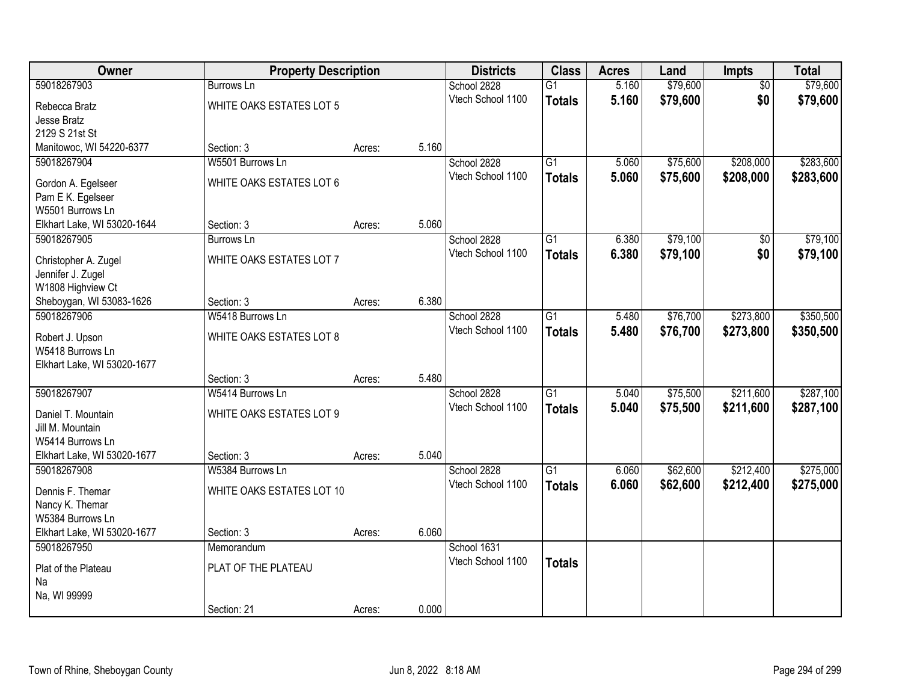| Owner                                  | <b>Property Description</b> |        |       | <b>Districts</b>  | <b>Class</b>    | <b>Acres</b> | Land     | Impts           | <b>Total</b> |
|----------------------------------------|-----------------------------|--------|-------|-------------------|-----------------|--------------|----------|-----------------|--------------|
| 59018267903                            | <b>Burrows Ln</b>           |        |       | School 2828       | $\overline{G1}$ | 5.160        | \$79,600 | $\overline{50}$ | \$79,600     |
| Rebecca Bratz                          | WHITE OAKS ESTATES LOT 5    |        |       | Vtech School 1100 | <b>Totals</b>   | 5.160        | \$79,600 | \$0             | \$79,600     |
| Jesse Bratz                            |                             |        |       |                   |                 |              |          |                 |              |
| 2129 S 21st St                         |                             |        |       |                   |                 |              |          |                 |              |
| Manitowoc, WI 54220-6377               | Section: 3                  | Acres: | 5.160 |                   |                 |              |          |                 |              |
| 59018267904                            | W5501 Burrows Ln            |        |       | School 2828       | $\overline{G1}$ | 5.060        | \$75,600 | \$208,000       | \$283,600    |
| Gordon A. Egelseer                     | WHITE OAKS ESTATES LOT 6    |        |       | Vtech School 1100 | <b>Totals</b>   | 5.060        | \$75,600 | \$208,000       | \$283,600    |
| Pam E K. Egelseer                      |                             |        |       |                   |                 |              |          |                 |              |
| W5501 Burrows Ln                       |                             |        |       |                   |                 |              |          |                 |              |
| Elkhart Lake, WI 53020-1644            | Section: 3                  | Acres: | 5.060 |                   |                 |              |          |                 |              |
| 59018267905                            | Burrows Ln                  |        |       | School 2828       | G1              | 6.380        | \$79,100 | \$0             | \$79,100     |
| Christopher A. Zugel                   | WHITE OAKS ESTATES LOT 7    |        |       | Vtech School 1100 | <b>Totals</b>   | 6.380        | \$79,100 | \$0             | \$79,100     |
| Jennifer J. Zugel                      |                             |        |       |                   |                 |              |          |                 |              |
| W1808 Highview Ct                      |                             |        |       |                   |                 |              |          |                 |              |
| Sheboygan, WI 53083-1626               | Section: 3                  | Acres: | 6.380 |                   |                 |              |          |                 |              |
| 59018267906                            | W5418 Burrows Ln            |        |       | School 2828       | G1              | 5.480        | \$76,700 | \$273,800       | \$350,500    |
| Robert J. Upson                        | WHITE OAKS ESTATES LOT 8    |        |       | Vtech School 1100 | <b>Totals</b>   | 5.480        | \$76,700 | \$273,800       | \$350,500    |
| W5418 Burrows Ln                       |                             |        |       |                   |                 |              |          |                 |              |
| Elkhart Lake, WI 53020-1677            |                             |        |       |                   |                 |              |          |                 |              |
|                                        | Section: 3                  | Acres: | 5.480 |                   |                 |              |          |                 |              |
| 59018267907                            | W5414 Burrows Ln            |        |       | School 2828       | $\overline{G1}$ | 5.040        | \$75,500 | \$211,600       | \$287,100    |
|                                        |                             |        |       | Vtech School 1100 | <b>Totals</b>   | 5.040        | \$75,500 | \$211,600       | \$287,100    |
| Daniel T. Mountain<br>Jill M. Mountain | WHITE OAKS ESTATES LOT 9    |        |       |                   |                 |              |          |                 |              |
| W5414 Burrows Ln                       |                             |        |       |                   |                 |              |          |                 |              |
| Elkhart Lake, WI 53020-1677            | Section: 3                  | Acres: | 5.040 |                   |                 |              |          |                 |              |
| 59018267908                            | W5384 Burrows Ln            |        |       | School 2828       | $\overline{G1}$ | 6.060        | \$62,600 | \$212,400       | \$275,000    |
|                                        |                             |        |       | Vtech School 1100 | <b>Totals</b>   | 6.060        | \$62,600 | \$212,400       | \$275,000    |
| Dennis F. Themar                       | WHITE OAKS ESTATES LOT 10   |        |       |                   |                 |              |          |                 |              |
| Nancy K. Themar<br>W5384 Burrows Ln    |                             |        |       |                   |                 |              |          |                 |              |
| Elkhart Lake, WI 53020-1677            | Section: 3                  | Acres: | 6.060 |                   |                 |              |          |                 |              |
| 59018267950                            | Memorandum                  |        |       | School 1631       |                 |              |          |                 |              |
|                                        |                             |        |       | Vtech School 1100 | <b>Totals</b>   |              |          |                 |              |
| Plat of the Plateau                    | PLAT OF THE PLATEAU         |        |       |                   |                 |              |          |                 |              |
| Na                                     |                             |        |       |                   |                 |              |          |                 |              |
| Na, WI 99999                           |                             |        |       |                   |                 |              |          |                 |              |
|                                        | Section: 21                 | Acres: | 0.000 |                   |                 |              |          |                 |              |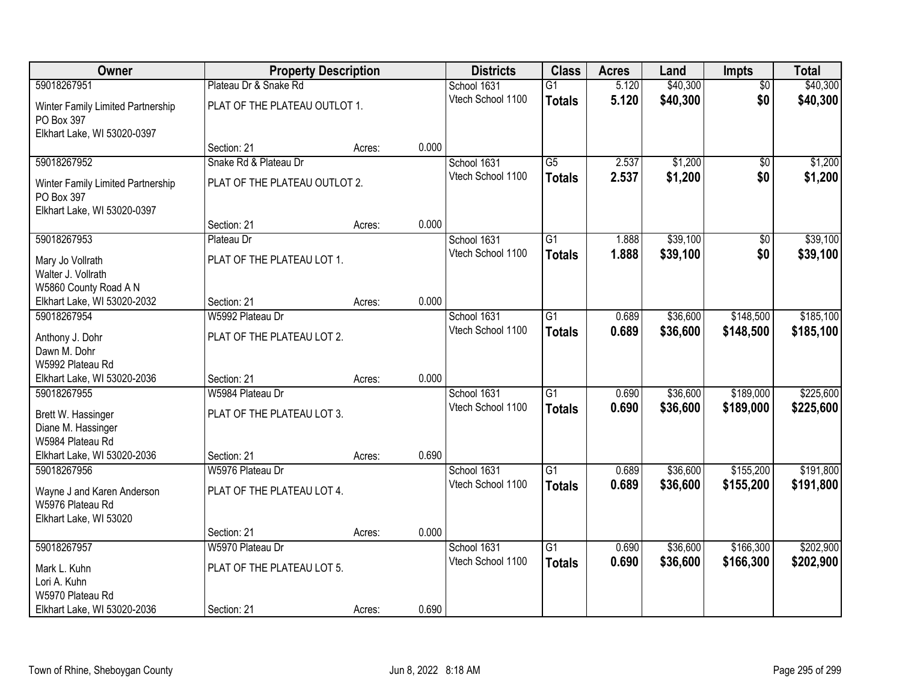| Owner                                           | <b>Property Description</b>   |        |       | <b>Districts</b>  | <b>Class</b>    | <b>Acres</b> | Land     | <b>Impts</b>    | <b>Total</b> |
|-------------------------------------------------|-------------------------------|--------|-------|-------------------|-----------------|--------------|----------|-----------------|--------------|
| 59018267951                                     | Plateau Dr & Snake Rd         |        |       | School 1631       | $\overline{G1}$ | 5.120        | \$40,300 | $\overline{50}$ | \$40,300     |
| Winter Family Limited Partnership<br>PO Box 397 | PLAT OF THE PLATEAU OUTLOT 1. |        |       | Vtech School 1100 | <b>Totals</b>   | 5.120        | \$40,300 | \$0             | \$40,300     |
| Elkhart Lake, WI 53020-0397                     |                               |        |       |                   |                 |              |          |                 |              |
|                                                 | Section: 21                   | Acres: | 0.000 |                   |                 |              |          |                 |              |
| 59018267952                                     | Snake Rd & Plateau Dr         |        |       | School 1631       | $\overline{G5}$ | 2.537        | \$1,200  | \$0             | \$1,200      |
| Winter Family Limited Partnership<br>PO Box 397 | PLAT OF THE PLATEAU OUTLOT 2. |        |       | Vtech School 1100 | <b>Totals</b>   | 2.537        | \$1,200  | \$0             | \$1,200      |
| Elkhart Lake, WI 53020-0397                     | Section: 21                   | Acres: | 0.000 |                   |                 |              |          |                 |              |
| 59018267953                                     | Plateau Dr                    |        |       | School 1631       | $\overline{G1}$ | 1.888        | \$39,100 | \$0             | \$39,100     |
|                                                 |                               |        |       | Vtech School 1100 | <b>Totals</b>   | 1.888        | \$39,100 | \$0             | \$39,100     |
| Mary Jo Vollrath                                | PLAT OF THE PLATEAU LOT 1.    |        |       |                   |                 |              |          |                 |              |
| Walter J. Vollrath<br>W5860 County Road A N     |                               |        |       |                   |                 |              |          |                 |              |
| Elkhart Lake, WI 53020-2032                     | Section: 21                   | Acres: | 0.000 |                   |                 |              |          |                 |              |
| 59018267954                                     | W5992 Plateau Dr              |        |       | School 1631       | $\overline{G1}$ | 0.689        | \$36,600 | \$148,500       | \$185,100    |
|                                                 |                               |        |       | Vtech School 1100 | <b>Totals</b>   | 0.689        | \$36,600 | \$148,500       | \$185,100    |
| Anthony J. Dohr<br>Dawn M. Dohr                 | PLAT OF THE PLATEAU LOT 2.    |        |       |                   |                 |              |          |                 |              |
| W5992 Plateau Rd                                |                               |        |       |                   |                 |              |          |                 |              |
| Elkhart Lake, WI 53020-2036                     | Section: 21                   | Acres: | 0.000 |                   |                 |              |          |                 |              |
| 59018267955                                     | W5984 Plateau Dr              |        |       | School 1631       | $\overline{G1}$ | 0.690        | \$36,600 | \$189,000       | \$225,600    |
|                                                 |                               |        |       | Vtech School 1100 | <b>Totals</b>   | 0.690        | \$36,600 | \$189,000       | \$225,600    |
| Brett W. Hassinger<br>Diane M. Hassinger        | PLAT OF THE PLATEAU LOT 3.    |        |       |                   |                 |              |          |                 |              |
| W5984 Plateau Rd                                |                               |        |       |                   |                 |              |          |                 |              |
| Elkhart Lake, WI 53020-2036                     | Section: 21                   | Acres: | 0.690 |                   |                 |              |          |                 |              |
| 59018267956                                     | W5976 Plateau Dr              |        |       | School 1631       | $\overline{G1}$ | 0.689        | \$36,600 | \$155,200       | \$191,800    |
|                                                 | PLAT OF THE PLATEAU LOT 4.    |        |       | Vtech School 1100 | <b>Totals</b>   | 0.689        | \$36,600 | \$155,200       | \$191,800    |
| Wayne J and Karen Anderson<br>W5976 Plateau Rd  |                               |        |       |                   |                 |              |          |                 |              |
| Elkhart Lake, WI 53020                          |                               |        |       |                   |                 |              |          |                 |              |
|                                                 | Section: 21                   | Acres: | 0.000 |                   |                 |              |          |                 |              |
| 59018267957                                     | W5970 Plateau Dr              |        |       | School 1631       | $\overline{G1}$ | 0.690        | \$36,600 | \$166,300       | \$202,900    |
| Mark L. Kuhn                                    | PLAT OF THE PLATEAU LOT 5.    |        |       | Vtech School 1100 | <b>Totals</b>   | 0.690        | \$36,600 | \$166,300       | \$202,900    |
| Lori A. Kuhn                                    |                               |        |       |                   |                 |              |          |                 |              |
| W5970 Plateau Rd                                |                               |        |       |                   |                 |              |          |                 |              |
| Elkhart Lake, WI 53020-2036                     | Section: 21                   | Acres: | 0.690 |                   |                 |              |          |                 |              |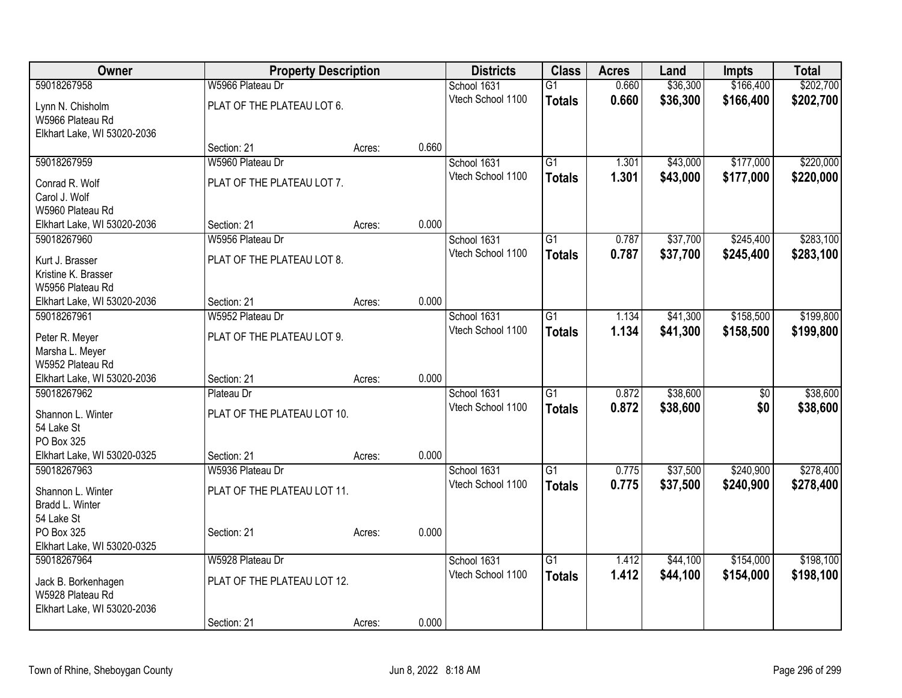| Owner                       | <b>Property Description</b> |        |       | <b>Districts</b>  | <b>Class</b>    | <b>Acres</b> | Land     | Impts     | <b>Total</b> |
|-----------------------------|-----------------------------|--------|-------|-------------------|-----------------|--------------|----------|-----------|--------------|
| 59018267958                 | W5966 Plateau Dr            |        |       | School 1631       | $\overline{G1}$ | 0.660        | \$36,300 | \$166,400 | \$202,700    |
| Lynn N. Chisholm            | PLAT OF THE PLATEAU LOT 6.  |        |       | Vtech School 1100 | <b>Totals</b>   | 0.660        | \$36,300 | \$166,400 | \$202,700    |
| W5966 Plateau Rd            |                             |        |       |                   |                 |              |          |           |              |
| Elkhart Lake, WI 53020-2036 |                             |        |       |                   |                 |              |          |           |              |
|                             | Section: 21                 | Acres: | 0.660 |                   |                 |              |          |           |              |
| 59018267959                 | W5960 Plateau Dr            |        |       | School 1631       | $\overline{G1}$ | 1.301        | \$43,000 | \$177,000 | \$220,000    |
| Conrad R. Wolf              | PLAT OF THE PLATEAU LOT 7.  |        |       | Vtech School 1100 | <b>Totals</b>   | 1.301        | \$43,000 | \$177,000 | \$220,000    |
| Carol J. Wolf               |                             |        |       |                   |                 |              |          |           |              |
| W5960 Plateau Rd            |                             |        |       |                   |                 |              |          |           |              |
| Elkhart Lake, WI 53020-2036 | Section: 21                 | Acres: | 0.000 |                   |                 |              |          |           |              |
| 59018267960                 | W5956 Plateau Dr            |        |       | School 1631       | $\overline{G1}$ | 0.787        | \$37,700 | \$245,400 | \$283,100    |
| Kurt J. Brasser             | PLAT OF THE PLATEAU LOT 8.  |        |       | Vtech School 1100 | <b>Totals</b>   | 0.787        | \$37,700 | \$245,400 | \$283,100    |
| Kristine K. Brasser         |                             |        |       |                   |                 |              |          |           |              |
| W5956 Plateau Rd            |                             |        |       |                   |                 |              |          |           |              |
| Elkhart Lake, WI 53020-2036 | Section: 21                 | Acres: | 0.000 |                   |                 |              |          |           |              |
| 59018267961                 | W5952 Plateau Dr            |        |       | School 1631       | $\overline{G1}$ | 1.134        | \$41,300 | \$158,500 | \$199,800    |
| Peter R. Meyer              | PLAT OF THE PLATEAU LOT 9.  |        |       | Vtech School 1100 | <b>Totals</b>   | 1.134        | \$41,300 | \$158,500 | \$199,800    |
| Marsha L. Meyer             |                             |        |       |                   |                 |              |          |           |              |
| W5952 Plateau Rd            |                             |        |       |                   |                 |              |          |           |              |
| Elkhart Lake, WI 53020-2036 | Section: 21                 | Acres: | 0.000 |                   |                 |              |          |           |              |
| 59018267962                 | Plateau Dr                  |        |       | School 1631       | $\overline{G1}$ | 0.872        | \$38,600 | \$0       | \$38,600     |
| Shannon L. Winter           | PLAT OF THE PLATEAU LOT 10. |        |       | Vtech School 1100 | <b>Totals</b>   | 0.872        | \$38,600 | \$0       | \$38,600     |
| 54 Lake St                  |                             |        |       |                   |                 |              |          |           |              |
| PO Box 325                  |                             |        |       |                   |                 |              |          |           |              |
| Elkhart Lake, WI 53020-0325 | Section: 21                 | Acres: | 0.000 |                   |                 |              |          |           |              |
| 59018267963                 | W5936 Plateau Dr            |        |       | School 1631       | $\overline{G1}$ | 0.775        | \$37,500 | \$240,900 | \$278,400    |
| Shannon L. Winter           | PLAT OF THE PLATEAU LOT 11. |        |       | Vtech School 1100 | <b>Totals</b>   | 0.775        | \$37,500 | \$240,900 | \$278,400    |
| Bradd L. Winter             |                             |        |       |                   |                 |              |          |           |              |
| 54 Lake St                  |                             |        |       |                   |                 |              |          |           |              |
| PO Box 325                  | Section: 21                 | Acres: | 0.000 |                   |                 |              |          |           |              |
| Elkhart Lake, WI 53020-0325 |                             |        |       |                   |                 |              |          |           |              |
| 59018267964                 | W5928 Plateau Dr            |        |       | School 1631       | $\overline{G1}$ | 1.412        | \$44,100 | \$154,000 | \$198,100    |
| Jack B. Borkenhagen         | PLAT OF THE PLATEAU LOT 12. |        |       | Vtech School 1100 | <b>Totals</b>   | 1.412        | \$44,100 | \$154,000 | \$198,100    |
| W5928 Plateau Rd            |                             |        |       |                   |                 |              |          |           |              |
| Elkhart Lake, WI 53020-2036 |                             |        |       |                   |                 |              |          |           |              |
|                             | Section: 21                 | Acres: | 0.000 |                   |                 |              |          |           |              |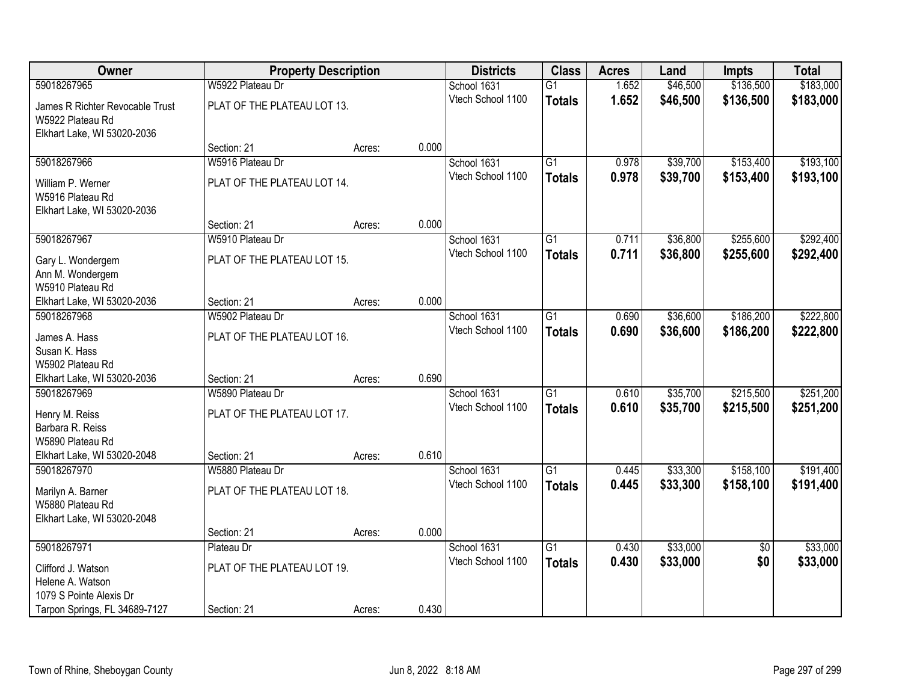| Owner                           | <b>Property Description</b> |        |       | <b>Districts</b>  | <b>Class</b>    | <b>Acres</b> | Land     | <b>Impts</b>    | <b>Total</b> |
|---------------------------------|-----------------------------|--------|-------|-------------------|-----------------|--------------|----------|-----------------|--------------|
| 59018267965                     | W5922 Plateau Dr            |        |       | School 1631       | $\overline{G1}$ | 1.652        | \$46,500 | \$136,500       | \$183,000    |
| James R Richter Revocable Trust | PLAT OF THE PLATEAU LOT 13. |        |       | Vtech School 1100 | <b>Totals</b>   | 1.652        | \$46,500 | \$136,500       | \$183,000    |
| W5922 Plateau Rd                |                             |        |       |                   |                 |              |          |                 |              |
| Elkhart Lake, WI 53020-2036     |                             |        |       |                   |                 |              |          |                 |              |
|                                 | Section: 21                 | Acres: | 0.000 |                   |                 |              |          |                 |              |
| 59018267966                     | W5916 Plateau Dr            |        |       | School 1631       | $\overline{G1}$ | 0.978        | \$39,700 | \$153,400       | \$193,100    |
| William P. Werner               | PLAT OF THE PLATEAU LOT 14. |        |       | Vtech School 1100 | <b>Totals</b>   | 0.978        | \$39,700 | \$153,400       | \$193,100    |
| W5916 Plateau Rd                |                             |        |       |                   |                 |              |          |                 |              |
| Elkhart Lake, WI 53020-2036     |                             |        |       |                   |                 |              |          |                 |              |
|                                 | Section: 21                 | Acres: | 0.000 |                   |                 |              |          |                 |              |
| 59018267967                     | W5910 Plateau Dr            |        |       | School 1631       | $\overline{G1}$ | 0.711        | \$36,800 | \$255,600       | \$292,400    |
| Gary L. Wondergem               | PLAT OF THE PLATEAU LOT 15. |        |       | Vtech School 1100 | <b>Totals</b>   | 0.711        | \$36,800 | \$255,600       | \$292,400    |
| Ann M. Wondergem                |                             |        |       |                   |                 |              |          |                 |              |
| W5910 Plateau Rd                |                             |        |       |                   |                 |              |          |                 |              |
| Elkhart Lake, WI 53020-2036     | Section: 21                 | Acres: | 0.000 |                   |                 |              |          |                 |              |
| 59018267968                     | W5902 Plateau Dr            |        |       | School 1631       | $\overline{G1}$ | 0.690        | \$36,600 | \$186,200       | \$222,800    |
| James A. Hass                   | PLAT OF THE PLATEAU LOT 16. |        |       | Vtech School 1100 | <b>Totals</b>   | 0.690        | \$36,600 | \$186,200       | \$222,800    |
| Susan K. Hass                   |                             |        |       |                   |                 |              |          |                 |              |
| W5902 Plateau Rd                |                             |        |       |                   |                 |              |          |                 |              |
| Elkhart Lake, WI 53020-2036     | Section: 21                 | Acres: | 0.690 |                   |                 |              |          |                 |              |
| 59018267969                     | W5890 Plateau Dr            |        |       | School 1631       | $\overline{G1}$ | 0.610        | \$35,700 | \$215,500       | \$251,200    |
| Henry M. Reiss                  | PLAT OF THE PLATEAU LOT 17. |        |       | Vtech School 1100 | <b>Totals</b>   | 0.610        | \$35,700 | \$215,500       | \$251,200    |
| Barbara R. Reiss                |                             |        |       |                   |                 |              |          |                 |              |
| W5890 Plateau Rd                |                             |        |       |                   |                 |              |          |                 |              |
| Elkhart Lake, WI 53020-2048     | Section: 21                 | Acres: | 0.610 |                   |                 |              |          |                 |              |
| 59018267970                     | W5880 Plateau Dr            |        |       | School 1631       | $\overline{G1}$ | 0.445        | \$33,300 | \$158,100       | \$191,400    |
| Marilyn A. Barner               | PLAT OF THE PLATEAU LOT 18. |        |       | Vtech School 1100 | <b>Totals</b>   | 0.445        | \$33,300 | \$158,100       | \$191,400    |
| W5880 Plateau Rd                |                             |        |       |                   |                 |              |          |                 |              |
| Elkhart Lake, WI 53020-2048     |                             |        |       |                   |                 |              |          |                 |              |
|                                 | Section: 21                 | Acres: | 0.000 |                   |                 |              |          |                 |              |
| 59018267971                     | Plateau Dr                  |        |       | School 1631       | $\overline{G1}$ | 0.430        | \$33,000 | $\overline{50}$ | \$33,000     |
| Clifford J. Watson              | PLAT OF THE PLATEAU LOT 19. |        |       | Vtech School 1100 | <b>Totals</b>   | 0.430        | \$33,000 | \$0             | \$33,000     |
| Helene A. Watson                |                             |        |       |                   |                 |              |          |                 |              |
| 1079 S Pointe Alexis Dr         |                             |        |       |                   |                 |              |          |                 |              |
| Tarpon Springs, FL 34689-7127   | Section: 21                 | Acres: | 0.430 |                   |                 |              |          |                 |              |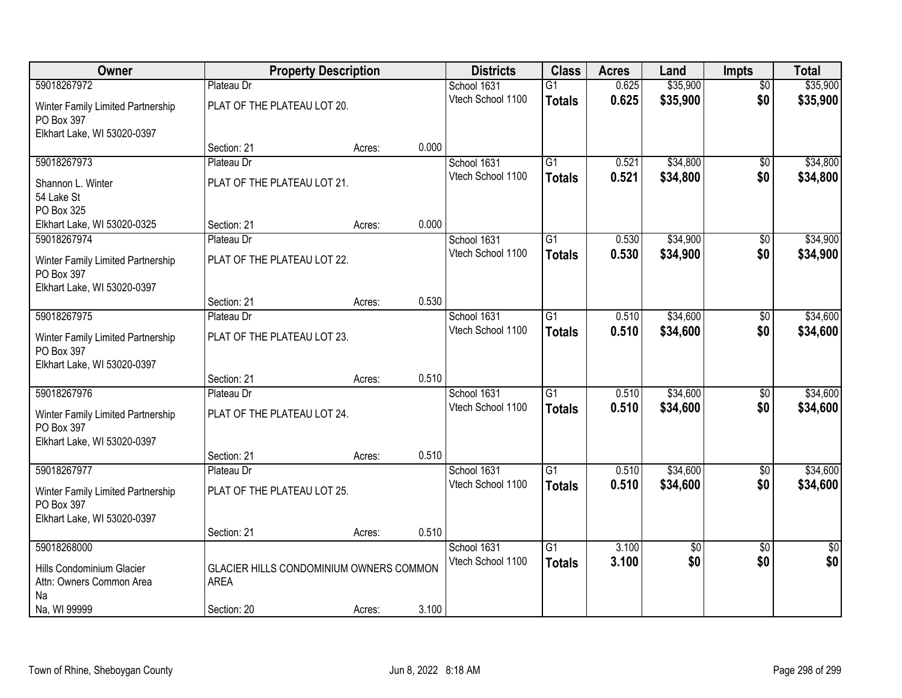| Owner                                           | <b>Property Description</b>             |        |       | <b>Districts</b>  | <b>Class</b>    | <b>Acres</b> | Land     | <b>Impts</b>    | <b>Total</b>    |
|-------------------------------------------------|-----------------------------------------|--------|-------|-------------------|-----------------|--------------|----------|-----------------|-----------------|
| 59018267972                                     | Plateau Dr                              |        |       | School 1631       | $\overline{G1}$ | 0.625        | \$35,900 | $\overline{50}$ | \$35,900        |
| Winter Family Limited Partnership<br>PO Box 397 | PLAT OF THE PLATEAU LOT 20.             |        |       | Vtech School 1100 | <b>Totals</b>   | 0.625        | \$35,900 | \$0             | \$35,900        |
| Elkhart Lake, WI 53020-0397                     |                                         |        |       |                   |                 |              |          |                 |                 |
|                                                 | Section: 21                             | Acres: | 0.000 |                   |                 |              |          |                 |                 |
| 59018267973                                     | Plateau Dr                              |        |       | School 1631       | $\overline{G1}$ | 0.521        | \$34,800 | \$0             | \$34,800        |
| Shannon L. Winter                               | PLAT OF THE PLATEAU LOT 21.             |        |       | Vtech School 1100 | <b>Totals</b>   | 0.521        | \$34,800 | \$0             | \$34,800        |
| 54 Lake St                                      |                                         |        |       |                   |                 |              |          |                 |                 |
| PO Box 325                                      |                                         |        |       |                   |                 |              |          |                 |                 |
| Elkhart Lake, WI 53020-0325                     | Section: 21                             | Acres: | 0.000 |                   |                 |              |          |                 |                 |
| 59018267974                                     | Plateau Dr                              |        |       | School 1631       | G1              | 0.530        | \$34,900 | \$0             | \$34,900        |
| Winter Family Limited Partnership               | PLAT OF THE PLATEAU LOT 22.             |        |       | Vtech School 1100 | <b>Totals</b>   | 0.530        | \$34,900 | \$0             | \$34,900        |
| PO Box 397                                      |                                         |        |       |                   |                 |              |          |                 |                 |
| Elkhart Lake, WI 53020-0397                     |                                         |        |       |                   |                 |              |          |                 |                 |
|                                                 | Section: 21                             | Acres: | 0.530 |                   |                 |              |          |                 |                 |
| 59018267975                                     | Plateau Dr                              |        |       | School 1631       | $\overline{G1}$ | 0.510        | \$34,600 | \$0             | \$34,600        |
| Winter Family Limited Partnership               | PLAT OF THE PLATEAU LOT 23.             |        |       | Vtech School 1100 | <b>Totals</b>   | 0.510        | \$34,600 | \$0             | \$34,600        |
| PO Box 397                                      |                                         |        |       |                   |                 |              |          |                 |                 |
| Elkhart Lake, WI 53020-0397                     |                                         |        |       |                   |                 |              |          |                 |                 |
|                                                 | Section: 21                             | Acres: | 0.510 |                   |                 |              |          |                 |                 |
| 59018267976                                     | Plateau Dr                              |        |       | School 1631       | $\overline{G1}$ | 0.510        | \$34,600 | $\overline{50}$ | \$34,600        |
| Winter Family Limited Partnership               | PLAT OF THE PLATEAU LOT 24.             |        |       | Vtech School 1100 | <b>Totals</b>   | 0.510        | \$34,600 | \$0             | \$34,600        |
| PO Box 397                                      |                                         |        |       |                   |                 |              |          |                 |                 |
| Elkhart Lake, WI 53020-0397                     |                                         |        |       |                   |                 |              |          |                 |                 |
|                                                 | Section: 21                             | Acres: | 0.510 |                   |                 |              |          |                 |                 |
| 59018267977                                     | Plateau Dr                              |        |       | School 1631       | $\overline{G1}$ | 0.510        | \$34,600 | $\overline{60}$ | \$34,600        |
| Winter Family Limited Partnership               | PLAT OF THE PLATEAU LOT 25.             |        |       | Vtech School 1100 | <b>Totals</b>   | 0.510        | \$34,600 | \$0             | \$34,600        |
| PO Box 397                                      |                                         |        |       |                   |                 |              |          |                 |                 |
| Elkhart Lake, WI 53020-0397                     |                                         |        |       |                   |                 |              |          |                 |                 |
|                                                 | Section: 21                             | Acres: | 0.510 |                   |                 |              |          |                 |                 |
| 59018268000                                     |                                         |        |       | School 1631       | $\overline{G1}$ | 3.100        | \$0      | $\overline{50}$ | $\overline{50}$ |
| Hills Condominium Glacier                       | GLACIER HILLS CONDOMINIUM OWNERS COMMON |        |       | Vtech School 1100 | <b>Totals</b>   | 3.100        | \$0      | \$0             | \$0             |
| Attn: Owners Common Area                        | <b>AREA</b>                             |        |       |                   |                 |              |          |                 |                 |
| Na                                              |                                         |        |       |                   |                 |              |          |                 |                 |
| Na, WI 99999                                    | Section: 20                             | Acres: | 3.100 |                   |                 |              |          |                 |                 |